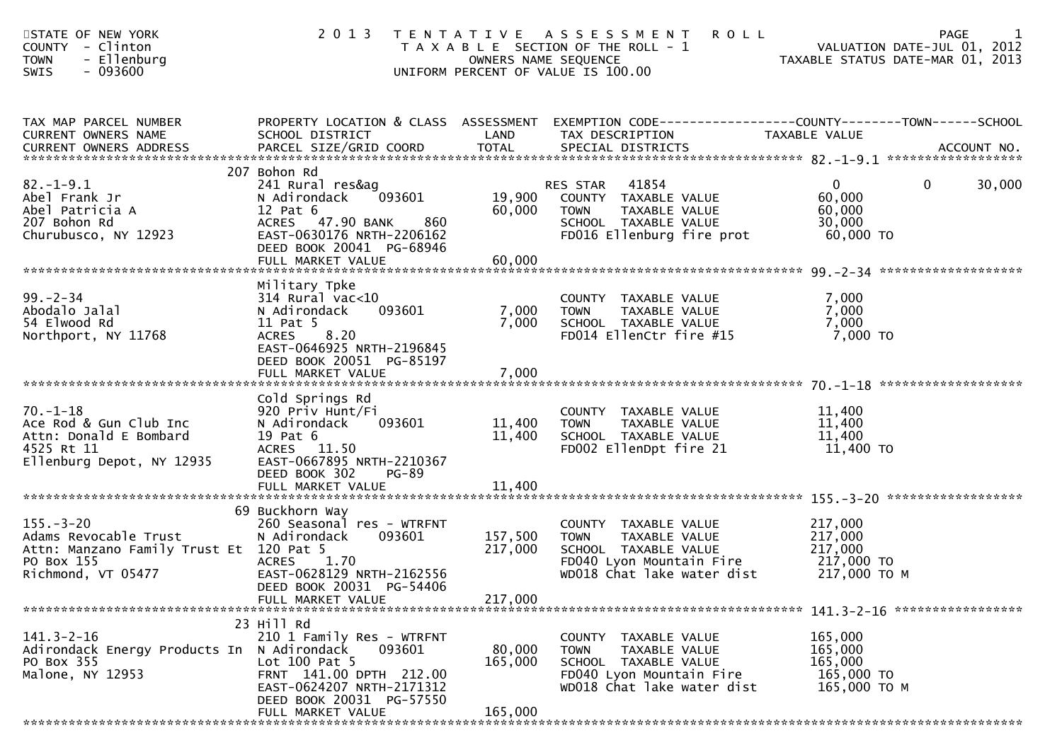| STATE OF NEW YORK<br>COUNTY - Clinton<br><b>TOWN</b><br>- Ellenburg<br>$-093600$<br>SWIS                                | 2 0 1 3                                                                                                                                                                             |                               | TENTATIVE ASSESSMENT<br><b>ROLL</b><br>T A X A B L E SECTION OF THE ROLL - 1<br>OWNERS NAME SEQUENCE<br>UNIFORM PERCENT OF VALUE IS 100.00        | PAGE 1<br>VALUATION DATE-JUL 01, 2012<br>TAXABLE STATUS DATE-MAR 01                                                                                                                              |
|-------------------------------------------------------------------------------------------------------------------------|-------------------------------------------------------------------------------------------------------------------------------------------------------------------------------------|-------------------------------|---------------------------------------------------------------------------------------------------------------------------------------------------|--------------------------------------------------------------------------------------------------------------------------------------------------------------------------------------------------|
| TAX MAP PARCEL NUMBER<br>CURRENT OWNERS NAME                                                                            | PROPERTY LOCATION & CLASS ASSESSMENT<br>SCHOOL DISTRICT                                                                                                                             | LAND                          | TAX DESCRIPTION                                                                                                                                   | EXEMPTION CODE-----------------COUNTY-------TOWN------SCHOOL<br>TAXABLE VALUE<br>.CURRENT OWNERS ADDRESS PARCEL SIZE/GRID COORD TOTAL SPECIAL DISTRICTS ACCOUNT NO ACCOUNT NO ACCOUNT NO ACCOUNT |
| $82.-1-9.1$<br>Abel Frank Jr<br>Abel Patricia A<br>207 Bohon Rd<br>Churubusco, NY 12923                                 | 207 Bohon Rd<br>241 Rural res&ag<br>093601<br>N Adirondack<br>$12$ Pat $6$<br>ACRES 47.90 BANK<br>860<br>EAST-0630176 NRTH-2206162<br>DEED BOOK 20041 PG-68946<br>FULL MARKET VALUE | 19,900<br>60,000<br>60,000    | RES STAR 41854<br>COUNTY TAXABLE VALUE<br>TAXABLE VALUE<br><b>TOWN</b><br>SCHOOL TAXABLE VALUE<br>FD016 Ellenburg fire prot                       | $\overline{0}$<br>$\mathbf 0$<br>30,000<br>60,000<br>60,000<br>30,000<br>60,000 TO                                                                                                               |
| $99 - 2 - 34$<br>Abodalo Jalal<br>54 Elwood Rd<br>Northport, NY 11768                                                   | Military Tpke<br>$314$ Rural vac<10<br>093601<br>N Adirondack<br>11 Pat 5<br>8.20<br><b>ACRES</b><br>EAST-0646925 NRTH-2196845<br>DEED BOOK 20051 PG-85197<br>FULL MARKET VALUE     | 7,000<br>7,000<br>7,000       | COUNTY TAXABLE VALUE<br>TAXABLE VALUE<br><b>TOWN</b><br>SCHOOL TAXABLE VALUE<br>FD014 EllenCtr fire #15                                           | 7,000<br>7,000<br>7,000<br>7,000 TO                                                                                                                                                              |
| $70. - 1 - 18$<br>Ace Rod & Gun Club Inc<br>Attn: Donald E Bombard<br>4525 Rt 11<br>Ellenburg Depot, NY 12935           | Cold Springs Rd<br>920 Priv Hunt/Fi<br>093601<br>N Adirondack<br>19 Pat 6<br>ACRES 11.50<br>EAST-0667895 NRTH-2210367<br>DEED BOOK 302<br><b>PG-89</b>                              | 11,400<br>11,400              | COUNTY TAXABLE VALUE<br>TAXABLE VALUE<br><b>TOWN</b><br>SCHOOL TAXABLE VALUE<br>FD002 EllenDpt fire 21                                            | 11,400<br>11,400<br>11,400<br>11,400 TO                                                                                                                                                          |
| $155. - 3 - 20$<br>Adams Revocable Trust<br>Attn: Manzano Family Trust Et 120 Pat 5<br>PO Box 155<br>Richmond, VT 05477 | 69 Buckhorn Way<br>260 Seasonal res - WTRFNT<br>093601<br>N Adirondack<br>1.70<br><b>ACRES</b><br>EAST-0628129 NRTH-2162556<br>DEED BOOK 20031 PG-54406<br>FULL MARKET VALUE        | 157,500<br>217,000<br>217,000 | COUNTY TAXABLE VALUE<br><b>TOWN</b><br>TAXABLE VALUE<br>SCHOOL TAXABLE VALUE<br>FD040 Lyon Mountain Fire 217,000 TO<br>WD018 Chat lake water dist | 217,000<br>217,000<br>217,000<br>217,000 ТО М                                                                                                                                                    |
| $141.3 - 2 - 16$<br>Adirondack Energy Products In N Adirondack<br>PO Box 355<br>Malone, NY 12953                        | 23 Hill Rd<br>210 1 Family Res - WTRFNT<br>093601<br>Lot $100$ Pat 5<br>FRNT 141.00 DPTH 212.00<br>EAST-0624207 NRTH-2171312<br>DEED BOOK 20031 PG-57550<br>FULL MARKET VALUE       | 80,000<br>165,000<br>165,000  | COUNTY TAXABLE VALUE<br>TAXABLE VALUE<br><b>TOWN</b><br>SCHOOL TAXABLE VALUE<br>FD040 Lyon Mountain Fire<br>WD018 Chat lake water dist            | 165,000<br>165,000<br>165,000<br>165,000 TO<br>165,000 ТО М                                                                                                                                      |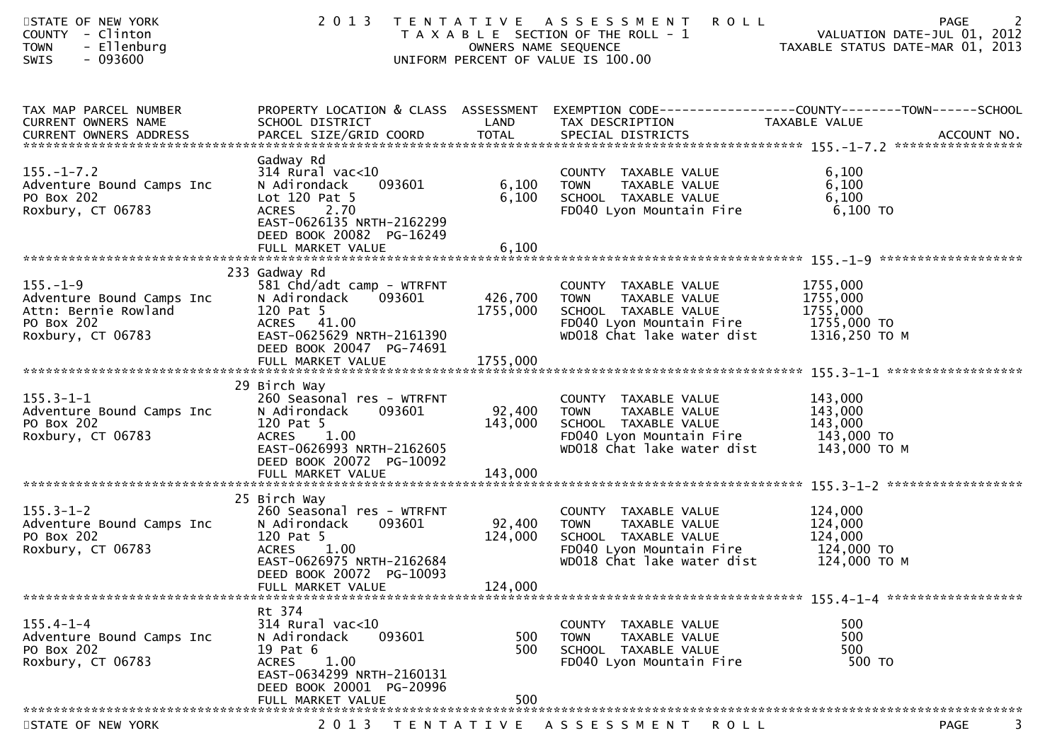| STATE OF NEW YORK<br>COUNTY - Clinton<br>- Ellenburg<br><b>TOWN</b><br><b>SWIS</b><br>- 093600         | 2 0 1 3                                                                                                                                                                                |                              | <b>ROLL</b><br>TENTATIVE ASSESSMENT<br>T A X A B L E SECTION OF THE ROLL - 1<br>OWNERS NAME SEQUENCE<br>UNIFORM PERCENT OF VALUE IS 100.00         | 2<br>PAGE<br>VALUATION DATE-JUL 01, 2012<br>VALUATION DATE-JUL UI, 2012<br>TAXABLE STATUS DATE-MAR 01, 2013 |
|--------------------------------------------------------------------------------------------------------|----------------------------------------------------------------------------------------------------------------------------------------------------------------------------------------|------------------------------|----------------------------------------------------------------------------------------------------------------------------------------------------|-------------------------------------------------------------------------------------------------------------|
| TAX MAP PARCEL NUMBER<br>CURRENT OWNERS NAME                                                           | PROPERTY LOCATION & CLASS ASSESSMENT<br>SCHOOL DISTRICT                                                                                                                                | LAND                         | TAX DESCRIPTION                                                                                                                                    | EXEMPTION CODE------------------COUNTY--------TOWN------SCHOOL<br>TAXABLE VALUE                             |
| $155. - 1 - 7.2$<br>Adventure Bound Camps Inc<br>PO Box 202<br>Roxbury, CT 06783                       | Gadway Rd<br>$314$ Rural vac<10<br>N Adirondack<br>093601<br>Lot 120 Pat 5<br>2.70<br><b>ACRES</b><br>EAST-0626135 NRTH-2162299<br>DEED BOOK 20082 PG-16249                            | 6,100<br>6,100               | COUNTY TAXABLE VALUE<br><b>TOWN</b><br>TAXABLE VALUE<br>SCHOOL TAXABLE VALUE<br>FD040 Lyon Mountain Fire                                           | 6,100<br>6,100<br>6,100<br>6,100 TO                                                                         |
| $155. - 1 - 9$<br>Adventure Bound Camps Inc<br>Attn: Bernie Rowland<br>PO Box 202<br>Roxbury, CT 06783 | 233 Gadway Rd<br>581 Chd/adt camp - WTRFNT<br>093601<br>N Adirondack<br>120 Pat 5<br>ACRES 41.00<br>EAST-0625629 NRTH-2161390<br>DEED BOOK 20047 PG-74691                              | 426,700<br>1755,000          | COUNTY TAXABLE VALUE<br><b>TOWN</b><br>TAXABLE VALUE<br>SCHOOL TAXABLE VALUE<br>FD040 Lyon Mountain Fire 1755,000 TO<br>WD018 Chat lake water dist | 1755,000<br>1755,000<br>1755,000<br>1316,250 то м                                                           |
| $155.3 - 1 - 1$<br>Adventure Bound Camps Inc<br>PO Box 202<br>Roxbury, CT 06783                        | 29 Birch Way<br>260 Seasonal res - WTRFNT<br>093601<br>N Adirondack<br>120 Pat 5<br>1.00<br><b>ACRES</b><br>EAST-0626993 NRTH-2162605<br>DEED BOOK 20072 PG-10092                      | 92,400<br>143,000            | COUNTY TAXABLE VALUE<br>TAXABLE VALUE<br><b>TOWN</b><br>SCHOOL TAXABLE VALUE<br>FD040 Lyon Mountain Fire<br>WD018 Chat lake water dist             | 143,000<br>143,000<br>143,000<br>143,000 TO<br>143,000 ТО М                                                 |
| $155.3 - 1 - 2$<br>Adventure Bound Camps Inc<br>PO Box 202<br>Roxbury, CT 06783                        | 25 Birch Way<br>260 Seasonal res - WTRFNT<br>093601<br>N Adirondack<br>120 Pat 5<br>1.00<br><b>ACRES</b><br>EAST-0626975 NRTH-2162684<br>DEED BOOK 20072 PG-10093<br>FULL MARKET VALUE | 92,400<br>124,000<br>124,000 | COUNTY TAXABLE VALUE<br>TAXABLE VALUE<br><b>TOWN</b><br>SCHOOL TAXABLE VALUE<br>FD040 Lyon Mountain Fire<br>WD018 Chat lake water dist             | 124,000<br>124,000<br>124,000<br>124,000 TO<br>124,000 TO M                                                 |
| $155.4 - 1 - 4$<br>Adventure Bound Camps Inc<br>PO Box 202<br>Roxbury, CT 06783                        | Rt 374<br>$314$ Rural vac<10<br>093601<br>N Adirondack<br>19 Pat 6<br><b>ACRES</b><br>1.00<br>EAST-0634299 NRTH-2160131<br>DEED BOOK 20001 PG-20996<br>FULL MARKET VALUE               | 500<br>500<br>500            | COUNTY TAXABLE VALUE<br><b>TOWN</b><br>TAXABLE VALUE<br>SCHOOL TAXABLE VALUE<br>FD040 Lyon Mountain Fire                                           | 500<br>500<br>500<br>500 TO                                                                                 |
| STATE OF NEW YORK                                                                                      | 2013                                                                                                                                                                                   |                              | TENTATIVE ASSESSMENT<br>ROLL                                                                                                                       | 3.<br>PAGE                                                                                                  |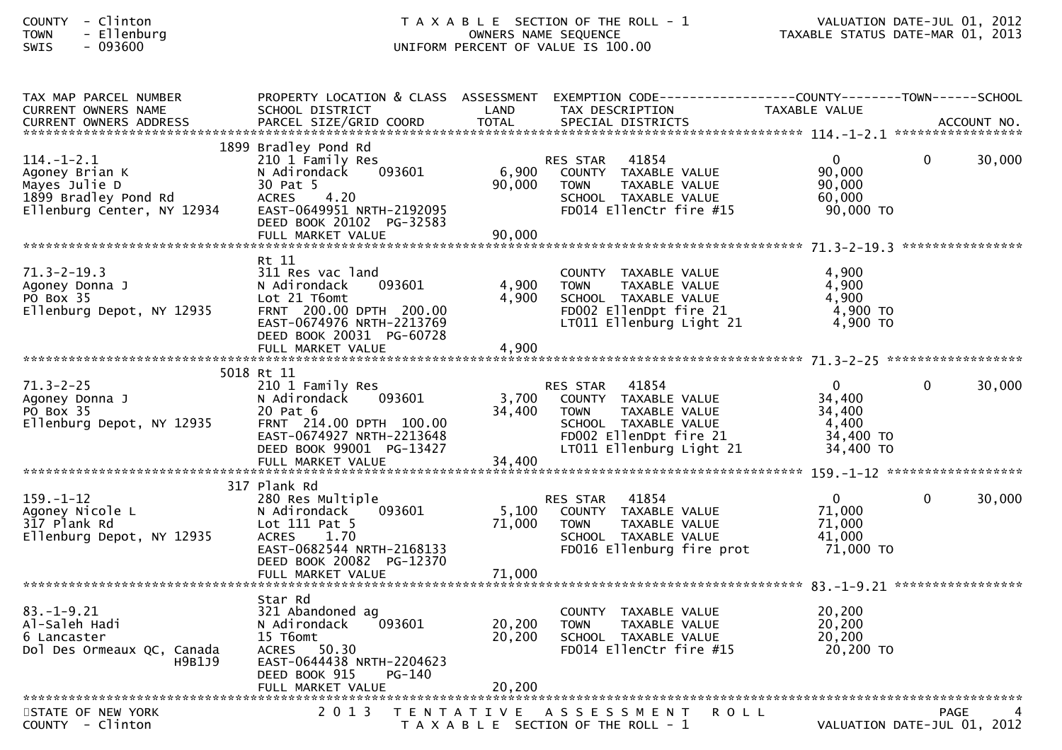| Clinton  |
|----------|
| Ellenbur |
|          |

### COUNTY - Clinton T A X A B L E SECTION OF THE ROLL - 1 VALUATION DATE-JUL 01, 2012 TOWN - Ellenburg OWNERS NAME SEQUENCE TAXABLE STATUS DATE-MAR 01, 2013SWIS - 093600 UNIFORM PERCENT OF VALUE IS 100.00

| TAX MAP PARCEL NUMBER<br><b>CURRENT OWNERS NAME</b>                                                       | PROPERTY LOCATION & CLASS ASSESSMENT<br>SCHOOL DISTRICT                                                                                                                              | LAND                      | EXEMPTION        CODE------------------COUNTY-------TOWN------SCHOOL<br>TAX DESCRIPTION                                                                 | <b>TAXABLE VALUE</b>                                            |             |        |
|-----------------------------------------------------------------------------------------------------------|--------------------------------------------------------------------------------------------------------------------------------------------------------------------------------------|---------------------------|---------------------------------------------------------------------------------------------------------------------------------------------------------|-----------------------------------------------------------------|-------------|--------|
|                                                                                                           |                                                                                                                                                                                      |                           |                                                                                                                                                         |                                                                 |             |        |
| $114. - 1 - 2.1$<br>Agoney Brian K<br>Mayes Julie D<br>1899 Bradley Pond Rd<br>Ellenburg Center, NY 12934 | 1899 Bradley Pond Rd<br>210 1 Family Res<br>093601<br>N Adirondack<br>30 Pat 5<br><b>ACRES</b><br>4.20<br>EAST-0649951 NRTH-2192095<br>DEED BOOK 20102 PG-32583<br>FULL MARKET VALUE | 6,900<br>90,000<br>90,000 | 41854<br>RES STAR<br>COUNTY TAXABLE VALUE<br><b>TOWN</b><br>TAXABLE VALUE<br>SCHOOL TAXABLE VALUE<br>FD014 EllenCtr fire #15                            | $\mathbf{0}$<br>90,000<br>90,000<br>60,000<br>90,000 TO         | $\Omega$    | 30,000 |
|                                                                                                           | Rt 11                                                                                                                                                                                |                           |                                                                                                                                                         |                                                                 |             |        |
| $71.3 - 2 - 19.3$<br>Agoney Donna J<br>PO Box 35<br>Ellenburg Depot, NY 12935                             | 311 Res vac land<br>N Adirondack<br>093601<br>Lot 21 T6omt<br>FRNT 200.00 DPTH 200.00<br>EAST-0674976 NRTH-2213769<br>DEED BOOK 20031 PG-60728                                       | 4,900<br>4.900            | COUNTY TAXABLE VALUE<br>TAXABLE VALUE<br><b>TOWN</b><br>SCHOOL TAXABLE VALUE<br>FD002 EllenDpt fire 21<br>LT011 Ellenburg Light 21                      | 4,900<br>4,900<br>4,900<br>$4,900$ TO<br>$4,900$ TO             |             |        |
|                                                                                                           | FULL MARKET VALUE                                                                                                                                                                    | 4,900                     |                                                                                                                                                         |                                                                 |             |        |
|                                                                                                           | 5018 Rt 11                                                                                                                                                                           |                           |                                                                                                                                                         |                                                                 |             |        |
| $71.3 - 2 - 25$<br>Agoney Donna J<br>PO Box 35<br>Ellenburg Depot, NY 12935                               | 210 1 Family Res<br>093601<br>N Adirondack<br>20 Pat 6<br>FRNT 214.00 DPTH 100.00<br>EAST-0674927 NRTH-2213648<br>DEED BOOK 99001 PG-13427                                           | 3,700<br>34,400           | 41854<br>RES STAR<br>COUNTY TAXABLE VALUE<br>TAXABLE VALUE<br><b>TOWN</b><br>SCHOOL TAXABLE VALUE<br>FD002 EllenDpt fire 21<br>LT011 Ellenburg Light 21 | $\Omega$<br>34,400<br>34,400<br>4,400<br>34,400 TO<br>34,400 TO | $\Omega$    | 30,000 |
|                                                                                                           |                                                                                                                                                                                      |                           |                                                                                                                                                         |                                                                 |             |        |
| $159. - 1 - 12$<br>Agoney Nicole L<br>317 Plank Rd<br>Ellenburg Depot, NY 12935                           | 317 Plank Rd<br>280 Res Multiple<br>093601<br>N Adirondack<br>Lot 111 Pat 5<br>1.70<br><b>ACRES</b><br>EAST-0682544 NRTH-2168133<br>DEED BOOK 20082 PG-12370                         | 5,100<br>71,000           | 41854<br><b>RES STAR</b><br>COUNTY TAXABLE VALUE<br>TAXABLE VALUE<br><b>TOWN</b><br>SCHOOL TAXABLE VALUE<br>FD016 Ellenburg fire prot                   | $\mathbf 0$<br>71,000<br>71,000<br>41,000<br>71,000 TO          | $\Omega$    | 30,000 |
|                                                                                                           | FULL MARKET VALUE                                                                                                                                                                    | 71,000                    |                                                                                                                                                         |                                                                 |             |        |
| $83. - 1 - 9.21$<br>Al-Saleh Hadi<br>6 Lancaster<br>Dol Des Ormeaux QC, Canada<br>H9B1J9                  | Star Rd<br>321 Abandoned ag<br>093601<br>N Adirondack<br>15 T6omt<br>ACRES 50.30<br>EAST-0644438 NRTH-2204623<br>DEED BOOK 915<br>PG-140                                             | 20,200<br>20, 200         | COUNTY TAXABLE VALUE<br><b>TOWN</b><br>TAXABLE VALUE<br>SCHOOL TAXABLE VALUE<br>FD014 EllenCtr fire #15                                                 | 20,200<br>20, 200<br>20,200<br>20,200 TO                        |             |        |
|                                                                                                           |                                                                                                                                                                                      |                           |                                                                                                                                                         |                                                                 |             |        |
| STATE OF NEW YORK<br>$COUNTY - Clinton$                                                                   | 2 0 1 3                                                                                                                                                                              |                           | TENTATIVE ASSESSMENT<br>R O L L<br>T A X A B L E SECTION OF THE ROLL - 1                                                                                | VALUATION DATE-JUL 01, 2012                                     | <b>PAGE</b> |        |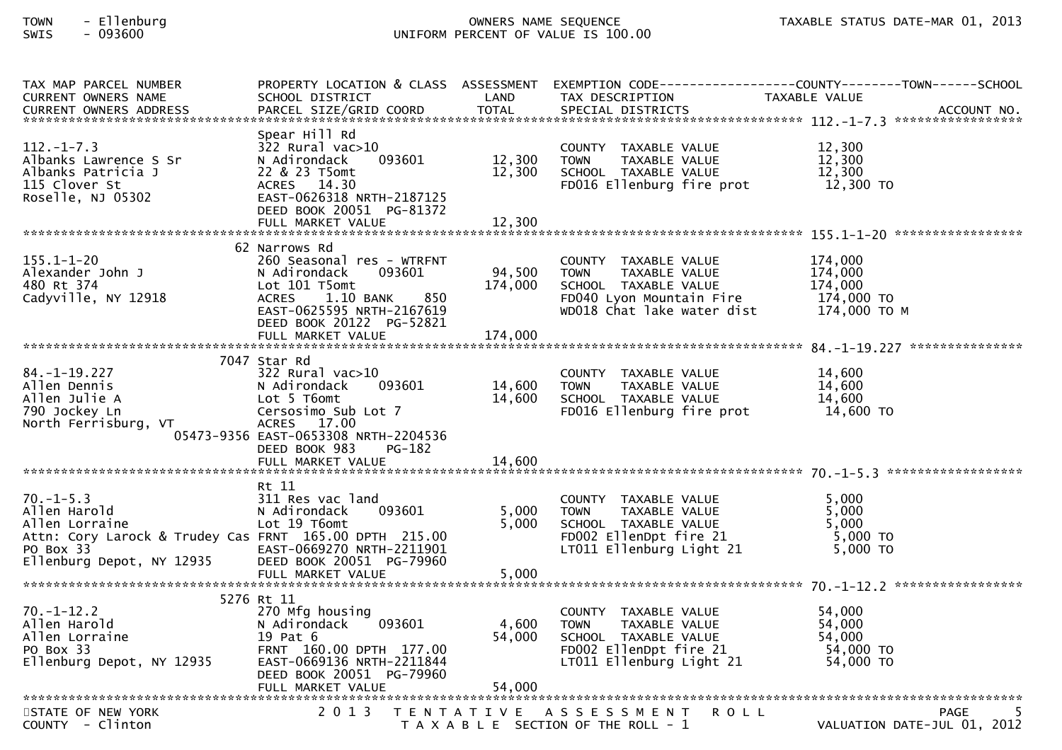| TAX MAP PARCEL NUMBER<br><b>CURRENT OWNERS NAME</b><br><b>CURRENT OWNERS ADDRESS</b>                                                                 | SCHOOL DISTRICT<br>PARCEL SIZE/GRID COORD                                                                                                                                          | LAND<br><b>TOTAL</b>       | TAX DESCRIPTION<br>SPECIAL DISTRICTS                                                                                                   | PROPERTY LOCATION & CLASS ASSESSMENT EXEMPTION CODE----------------COUNTY-------TOWN------SCHOOL<br>TAXABLE VALUE<br>ACCOUNT NO. |
|------------------------------------------------------------------------------------------------------------------------------------------------------|------------------------------------------------------------------------------------------------------------------------------------------------------------------------------------|----------------------------|----------------------------------------------------------------------------------------------------------------------------------------|----------------------------------------------------------------------------------------------------------------------------------|
| $112. - 1 - 7.3$<br>Albanks Lawrence S Sr<br>Albanks Patricia J<br>115 Clover St<br>Roselle, NJ 05302                                                | Spear Hill Rd<br>322 Rural vac>10<br>N Adirondack<br>093601<br>22 & 23 T5omt<br>ACRES 14.30<br>EAST-0626318 NRTH-2187125<br>DEED BOOK 20051 PG-81372<br>FULL MARKET VALUE          | 12,300<br>12,300<br>12,300 | COUNTY TAXABLE VALUE<br>TAXABLE VALUE<br><b>TOWN</b><br>SCHOOL TAXABLE VALUE<br>FD016 Ellenburg fire prot                              | 12,300<br>12,300<br>12,300<br>12,300 TO                                                                                          |
| $155.1 - 1 - 20$<br>Alexander John J<br>480 Rt 374<br>Cadyville, NY 12918                                                                            | 62 Narrows Rd<br>260 Seasonal res - WTRFNT<br>N Adirondack<br>093601<br>Lot 101 T5omt<br>1.10 BANK<br>850<br><b>ACRES</b><br>EAST-0625595 NRTH-2167619<br>DEED BOOK 20122 PG-52821 | 94,500<br>174,000          | COUNTY TAXABLE VALUE<br><b>TOWN</b><br>TAXABLE VALUE<br>SCHOOL TAXABLE VALUE<br>FD040 Lyon Mountain Fire<br>WD018 Chat lake water dist | 174,000<br>174,000<br>174,000<br>174,000 то<br>174,000 то м                                                                      |
|                                                                                                                                                      | 7047 Star Rd                                                                                                                                                                       |                            |                                                                                                                                        |                                                                                                                                  |
| $84. - 1 - 19.227$<br>Allen Dennis<br>Allen Julie A<br>790 Jockey Ln<br>North Ferrisburg, VT                                                         | 322 Rural vac>10<br>093601<br>N Adirondack<br>Lot 5 T6omt<br>Cersosimo Sub Lot 7<br>ACRES 17.00<br>05473-9356 EAST-0653308 NRTH-2204536<br>DEED BOOK 983<br>PG-182                 | 14,600<br>14,600           | COUNTY TAXABLE VALUE<br>TAXABLE VALUE<br><b>TOWN</b><br>SCHOOL TAXABLE VALUE<br>FD016 Ellenburg fire prot                              | 14,600<br>14,600<br>14,600<br>14,600 TO                                                                                          |
|                                                                                                                                                      |                                                                                                                                                                                    |                            |                                                                                                                                        |                                                                                                                                  |
| $70. -1 - 5.3$<br>Allen Harold<br>Allen Lorraine<br>Attn: Cory Larock & Trudey Cas FRNT 165.00 DPTH 215.00<br>PO Box 33<br>Ellenburg Depot, NY 12935 | Rt 11<br>311 Res vac land<br>N Adirondack<br>093601<br>Lot 19 T6omt<br>EAST-0669270 NRTH-2211901<br>DEED BOOK 20051 PG-79960                                                       | 5,000<br>5,000             | COUNTY TAXABLE VALUE<br><b>TOWN</b><br>TAXABLE VALUE<br>SCHOOL TAXABLE VALUE<br>FD002 EllenDpt fire 21<br>LT011 Ellenburg Light 21     | 5,000<br>5,000<br>5,000<br>5,000 TO<br>$5,000$ TO                                                                                |
|                                                                                                                                                      | FULL MARKET VALUE                                                                                                                                                                  | 5,000                      |                                                                                                                                        |                                                                                                                                  |
|                                                                                                                                                      |                                                                                                                                                                                    |                            |                                                                                                                                        |                                                                                                                                  |
| $70. - 1 - 12.2$<br>Allen Harold<br>Allen Lorraine<br>PO Box 33<br>Ellenburg Depot, NY 12935                                                         | 5276 Rt 11<br>270 Mfg housing<br>093601<br>N Adirondack<br>19 Pat 6<br>FRNT 160.00 DPTH 177.00<br>EAST-0669136 NRTH-2211844<br>DEED BOOK 20051 PG-79960                            | 4,600<br>54,000            | COUNTY TAXABLE VALUE<br><b>TOWN</b><br>TAXABLE VALUE<br>SCHOOL TAXABLE VALUE<br>FD002 EllenDpt fire 21<br>LT011 Ellenburg Light 21     | 54.000<br>54,000<br>54,000<br>54,000 TO<br>54,000 TO                                                                             |
|                                                                                                                                                      |                                                                                                                                                                                    |                            |                                                                                                                                        |                                                                                                                                  |
| STATE OF NEW YORK<br>COUNTY - Clinton                                                                                                                | 2 0 1 3                                                                                                                                                                            |                            | TENTATIVE ASSESSMENT<br><b>ROLL</b><br>T A X A B L E SECTION OF THE ROLL - 1                                                           | <b>PAGE</b><br>VALUATION DATE-JUL 01, 2012                                                                                       |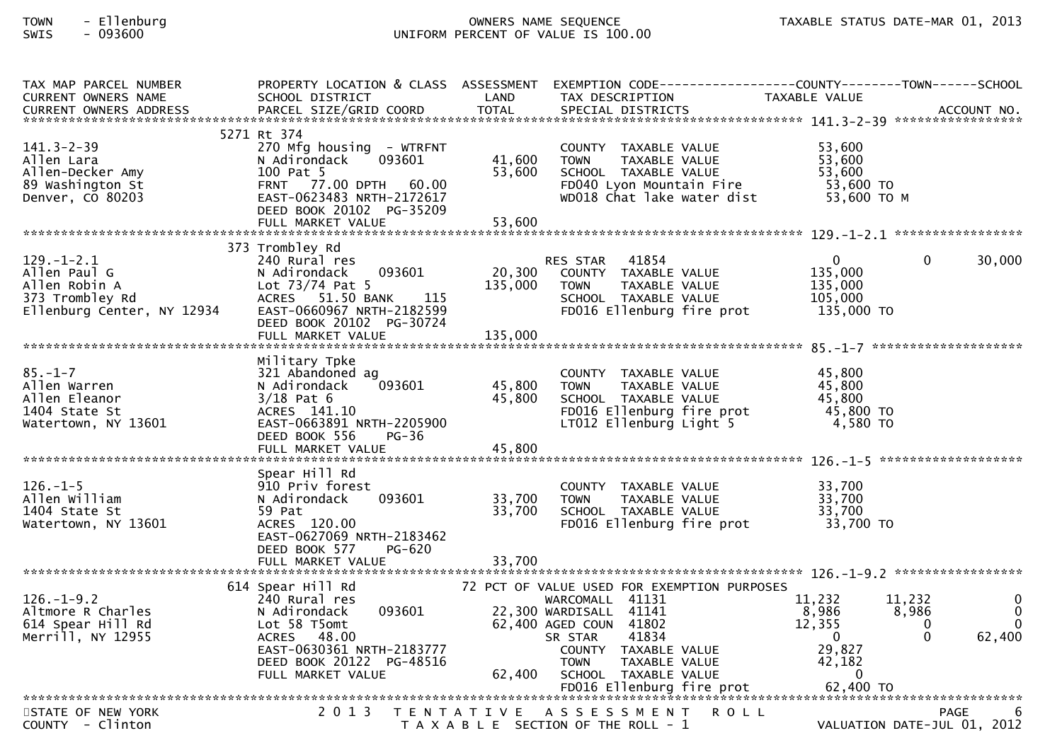| TAX MAP PARCEL NUMBER         |                           |              |                                             | PROPERTY LOCATION & CLASS ASSESSMENT EXEMPTION CODE----------------COUNTY-------TOWN------SCHOOL |                  |
|-------------------------------|---------------------------|--------------|---------------------------------------------|--------------------------------------------------------------------------------------------------|------------------|
| <b>CURRENT OWNERS NAME</b>    | SCHOOL DISTRICT           | LAND         | TAX DESCRIPTION                             | TAXABLE VALUE                                                                                    |                  |
| <b>CURRENT OWNERS ADDRESS</b> | PARCEL SIZE/GRID COORD    | <b>TOTAL</b> | SPECIAL DISTRICTS                           |                                                                                                  | ACCOUNT NO.      |
|                               |                           |              |                                             |                                                                                                  |                  |
|                               | 5271 Rt 374               |              |                                             |                                                                                                  |                  |
| $141.3 - 2 - 39$              | 270 Mfg housing - WTRFNT  |              | COUNTY TAXABLE VALUE                        | 53.600                                                                                           |                  |
| Allen Lara                    | N Adirondack<br>093601    | 41,600       | TAXABLE VALUE<br><b>TOWN</b>                | 53,600                                                                                           |                  |
| Allen-Decker Amy              | 100 Pat 5                 | 53,600       | SCHOOL TAXABLE VALUE                        | 53,600                                                                                           |                  |
| 89 Washington St              | FRNT 77.00 DPTH 60.00     |              | FD040 Lyon Mountain Fire                    | 53,600 TO                                                                                        |                  |
| Denver, CO 80203              | EAST-0623483 NRTH-2172617 |              | WD018 Chat lake water dist                  | 53,600 TO M                                                                                      |                  |
|                               | DEED BOOK 20102 PG-35209  |              |                                             |                                                                                                  |                  |
|                               | FULL MARKET VALUE         | 53,600       |                                             |                                                                                                  |                  |
|                               |                           |              |                                             |                                                                                                  |                  |
|                               | 373 Trombley Rd           |              |                                             |                                                                                                  |                  |
| $129. - 1 - 2.1$              | 240 Rural res             |              | RES STAR 41854                              | $\overline{0}$<br>$\Omega$                                                                       | 30,000           |
| Allen Paul G                  | N Adirondack<br>093601    | 20,300       | COUNTY TAXABLE VALUE                        | 135,000                                                                                          |                  |
| Allen Robin A                 | Lot $73/74$ Pat 5         | 135,000      | TAXABLE VALUE<br><b>TOWN</b>                | 135,000                                                                                          |                  |
| 373 Trombley Rd               | ACRES 51.50 BANK 115      |              | SCHOOL TAXABLE VALUE                        | 105,000                                                                                          |                  |
| Ellenburg Center, NY 12934    | EAST-0660967 NRTH-2182599 |              | FD016 Ellenburg fire prot                   | 135,000 TO                                                                                       |                  |
|                               | DEED BOOK 20102 PG-30724  |              |                                             |                                                                                                  |                  |
|                               |                           |              |                                             |                                                                                                  |                  |
|                               |                           |              |                                             |                                                                                                  |                  |
|                               | Military Tpke             |              |                                             |                                                                                                  |                  |
| $85. - 1 - 7$                 | 321 Abandoned ag          |              | COUNTY TAXABLE VALUE                        | 45,800                                                                                           |                  |
| Allen Warren                  | 093601<br>N Adirondack    | 45,800       | <b>TOWN</b><br>TAXABLE VALUE                | 45,800                                                                                           |                  |
| Allen Eleanor                 | $3/18$ Pat 6              | 45,800       | SCHOOL TAXABLE VALUE                        | 45,800                                                                                           |                  |
| 1404 State St                 | ACRES 141.10              |              | FD016 Ellenburg fire prot                   | 45,800 TO                                                                                        |                  |
| Watertown, NY 13601           | EAST-0663891 NRTH-2205900 |              | LT012 Ellenburg Light 5                     | 4,580 TO                                                                                         |                  |
|                               | DEED BOOK 556<br>$PG-36$  |              |                                             |                                                                                                  |                  |
|                               | FULL MARKET VALUE         | 45,800       |                                             |                                                                                                  |                  |
|                               |                           |              |                                             |                                                                                                  |                  |
|                               | Spear Hill Rd             |              |                                             |                                                                                                  |                  |
| $126. - 1 - 5$                | 910 Priv forest           |              | COUNTY TAXABLE VALUE                        | 33,700                                                                                           |                  |
| Allen William                 | N Adirondack<br>093601    | 33,700       | <b>TOWN</b><br>TAXABLE VALUE                | 33,700                                                                                           |                  |
| 1404 State St                 | 59 Pat                    | 33,700       | SCHOOL TAXABLE VALUE                        | 33,700                                                                                           |                  |
| Watertown, NY 13601           | ACRES 120.00              |              | FD016 Ellenburg fire prot                   | 33,700 TO                                                                                        |                  |
|                               | EAST-0627069 NRTH-2183462 |              |                                             |                                                                                                  |                  |
|                               | DEED BOOK 577<br>PG-620   |              |                                             |                                                                                                  |                  |
|                               |                           |              |                                             |                                                                                                  |                  |
|                               |                           |              |                                             |                                                                                                  |                  |
|                               | 614 Spear Hill Rd         |              | 72 PCT OF VALUE USED FOR EXEMPTION PURPOSES |                                                                                                  |                  |
| $126. - 1 - 9.2$              | 240 Rural res             |              | WARCOMALL 41131                             | 11,232<br>11,232                                                                                 | $\Omega$         |
| Altmore R Charles             | 093601<br>N Adirondack    |              | 22,300 WARDISALL 41141                      | 8,986<br>8,986                                                                                   | $\Omega$         |
| 614 Spear Hill Rd             | Lot 58 T5omt              |              | 62,400 AGED COUN 41802                      | 12,355<br>$\Omega$                                                                               | $\Omega$         |
| Merrill, NY 12955             | 48.00<br>ACRES            |              | 41834<br>SR STAR                            | $\Omega$<br>$\overline{\mathbf{0}}$                                                              | 62,400           |
|                               | EAST-0630361 NRTH-2183777 |              | COUNTY TAXABLE VALUE                        | 29,827                                                                                           |                  |
|                               | DEED BOOK 20122 PG-48516  |              | <b>TOWN</b><br>TAXABLE VALUE                | 42,182                                                                                           |                  |
|                               | FULL MARKET VALUE         | 62,400       | SCHOOL TAXABLE VALUE                        | $\Omega$                                                                                         |                  |
|                               |                           |              |                                             |                                                                                                  |                  |
|                               |                           |              |                                             |                                                                                                  |                  |
| STATE OF NEW YORK             | 2 0 1 3                   |              | TENTATIVE ASSESSMENT<br><b>ROLL</b>         |                                                                                                  | <b>PAGE</b><br>6 |
| COUNTY - Clinton              |                           |              | T A X A B L E SECTION OF THE ROLL - 1       | VALUATION DATE-JUL 01, 2012                                                                      |                  |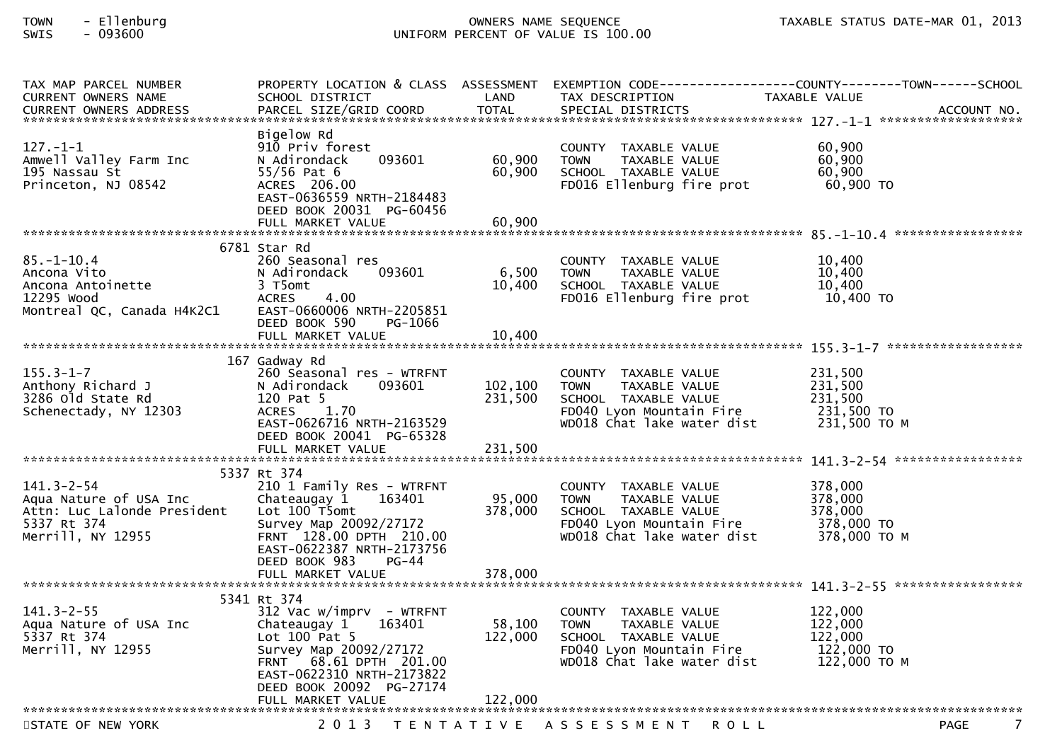| TAX MAP PARCEL NUMBER                                 |                                                     |                   |                                                      | PROPERTY LOCATION & CLASS ASSESSMENT EXEMPTION CODE----------------COUNTY-------TOWN------SCHOOL |
|-------------------------------------------------------|-----------------------------------------------------|-------------------|------------------------------------------------------|--------------------------------------------------------------------------------------------------|
| <b>CURRENT OWNERS NAME</b>                            | SCHOOL DISTRICT                                     | LAND              | TAX DESCRIPTION                                      | TAXABLE VALUE                                                                                    |
| <b>CURRENT OWNERS ADDRESS</b>                         | PARCEL SIZE/GRID COORD                              | <b>TOTAL</b>      | SPECIAL DISTRICTS                                    | ACCOUNT NO.                                                                                      |
|                                                       | Bigelow Rd                                          |                   |                                                      |                                                                                                  |
| $127. - 1 - 1$                                        | 910 Priv forest                                     |                   | COUNTY TAXABLE VALUE                                 | 60.900                                                                                           |
| Amwell Valley Farm Inc                                | 093601<br>N Adirondack                              | 60,900            | TAXABLE VALUE<br><b>TOWN</b>                         | 60,900                                                                                           |
| 195 Nassau St                                         | $55/56$ Pat 6                                       | 60,900            | SCHOOL TAXABLE VALUE                                 | 60,900                                                                                           |
| Princeton, NJ 08542                                   | ACRES 206.00                                        |                   | FD016 Ellenburg fire prot                            | 60,900 TO                                                                                        |
|                                                       | EAST-0636559 NRTH-2184483                           |                   |                                                      |                                                                                                  |
|                                                       | DEED BOOK 20031 PG-60456                            |                   |                                                      |                                                                                                  |
|                                                       | FULL MARKET VALUE                                   | 60,900            |                                                      |                                                                                                  |
|                                                       |                                                     |                   |                                                      |                                                                                                  |
| $85. - 1 - 10.4$                                      | 6781 Star Rd                                        |                   |                                                      | 10,400                                                                                           |
| Ancona Vito                                           | 260 Seasonal res<br>093601<br>N Adirondack          | 6,500             | COUNTY TAXABLE VALUE<br><b>TOWN</b><br>TAXABLE VALUE | 10,400                                                                                           |
| Ancona Antoinette                                     | 3 T5omt                                             | 10,400            | SCHOOL TAXABLE VALUE                                 | 10,400                                                                                           |
| 12295 Wood                                            | <b>ACRES</b><br>4.00                                |                   | FD016 Ellenburg fire prot                            | 10,400 TO                                                                                        |
| Montreal QC, Canada H4K2C1                            | EAST-0660006 NRTH-2205851                           |                   |                                                      |                                                                                                  |
|                                                       | DEED BOOK 590<br>PG-1066                            |                   |                                                      |                                                                                                  |
|                                                       |                                                     |                   |                                                      |                                                                                                  |
|                                                       |                                                     |                   |                                                      |                                                                                                  |
|                                                       | 167 Gadway Rd                                       |                   |                                                      |                                                                                                  |
| $155.3 - 1 - 7$<br>Anthony Richard J                  | 260 Seasonal res - WTRFNT<br>N Adirondack<br>093601 | 102,100           | COUNTY TAXABLE VALUE<br><b>TOWN</b><br>TAXABLE VALUE | 231,500<br>231,500                                                                               |
| 3286 old State Rd                                     | 120 Pat 5                                           | 231,500           | SCHOOL TAXABLE VALUE                                 | 231,500                                                                                          |
| Schenectady, NY 12303                                 | ACRES 1.70                                          |                   | FD040 Lyon Mountain Fire                             | 231,500 TO                                                                                       |
|                                                       | EAST-0626716 NRTH-2163529                           |                   | WD018 Chat lake water dist                           | 231,500 ТО М                                                                                     |
|                                                       | DEED BOOK 20041 PG-65328                            |                   |                                                      |                                                                                                  |
|                                                       | FULL MARKET VALUE                                   | 231,500           |                                                      |                                                                                                  |
|                                                       |                                                     |                   |                                                      |                                                                                                  |
|                                                       | 5337 Rt 374                                         |                   |                                                      |                                                                                                  |
| $141.3 - 2 - 54$                                      | 210 1 Family Res - WTRFNT                           |                   | COUNTY TAXABLE VALUE                                 | 378,000                                                                                          |
| Aqua Nature of USA Inc<br>Attn: Luc Lalonde President | Chateaugay 1<br>163401<br>Lot 100 T5omt             | 95,000<br>378,000 | TAXABLE VALUE<br><b>TOWN</b><br>SCHOOL TAXABLE VALUE | 378,000<br>378,000                                                                               |
| 5337 Rt 374                                           | Survey Map 20092/27172                              |                   | FD040 Lyon Mountain Fire                             | 378,000 TO                                                                                       |
| Merrill, NY 12955                                     | FRNT 128.00 DPTH 210.00                             |                   | WD018 Chat lake water dist                           | 378,000 ТО М                                                                                     |
|                                                       | EAST-0622387 NRTH-2173756                           |                   |                                                      |                                                                                                  |
|                                                       | DEED BOOK 983<br>$PG-44$                            |                   |                                                      |                                                                                                  |
|                                                       | FULL MARKET VALUE                                   | 378,000           |                                                      |                                                                                                  |
|                                                       |                                                     |                   |                                                      |                                                                                                  |
|                                                       | 5341 Rt 374                                         |                   |                                                      |                                                                                                  |
| $141.3 - 2 - 55$<br>Aqua Nature of USA Inc            | 312 Vac w/imprv - WTRFNT<br>Chateaugay 1<br>163401  | 58,100            | COUNTY TAXABLE VALUE<br><b>TOWN</b><br>TAXABLE VALUE | 122,000<br>122,000                                                                               |
| 5337 Rt 374                                           | Lot $100$ Pat 5                                     | 122,000           | SCHOOL TAXABLE VALUE                                 | 122,000                                                                                          |
| Merrill, NY 12955                                     | Survey Map 20092/27172                              |                   | FD040 Lyon Mountain Fire                             | 122,000 TO                                                                                       |
|                                                       | FRNT 68.61 DPTH 201.00                              |                   | WD018 Chat lake water dist                           | 122,000 TO M                                                                                     |
|                                                       | EAST-0622310 NRTH-2173822                           |                   |                                                      |                                                                                                  |
|                                                       | DEED BOOK 20092 PG-27174                            |                   |                                                      |                                                                                                  |
|                                                       | FULL MARKET VALUE                                   | 122,000           |                                                      |                                                                                                  |
|                                                       |                                                     |                   |                                                      |                                                                                                  |
| STATE OF NEW YORK                                     | 2 0 1 3                                             |                   | TENTATIVE ASSESSMENT ROLL                            | 7<br><b>PAGE</b>                                                                                 |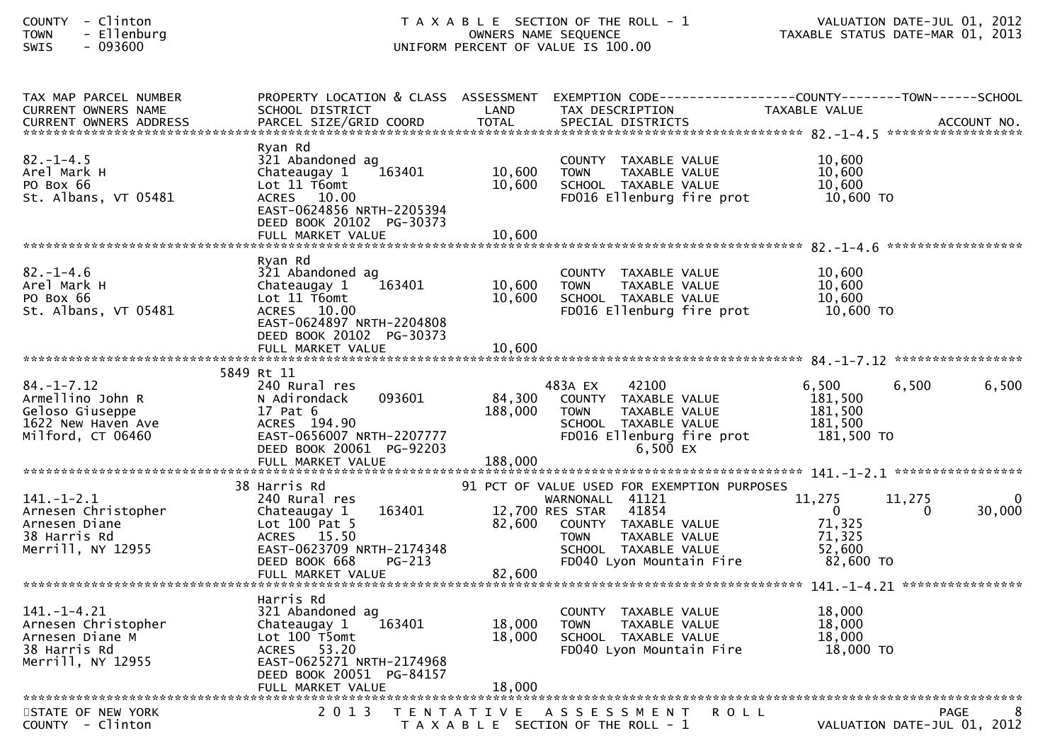| - Clinton<br><b>COUNTY</b><br>- Ellenburg<br><b>TOWN</b><br>$-093600$<br><b>SWIS</b>               |                                                                                                                                                                            |                            | T A X A B L E SECTION OF THE ROLL - 1<br>OWNERS NAME SEQUENCE<br>UNIFORM PERCENT OF VALUE IS 100.00                                                                                                    | VALUATION DATE-JUL 01, 2012<br>TAXABLE STATUS DATE-MAR 01, 2013                  |             |
|----------------------------------------------------------------------------------------------------|----------------------------------------------------------------------------------------------------------------------------------------------------------------------------|----------------------------|--------------------------------------------------------------------------------------------------------------------------------------------------------------------------------------------------------|----------------------------------------------------------------------------------|-------------|
| TAX MAP PARCEL NUMBER<br>CURRENT OWNERS NAME<br>CURRENT OWNERS ADDRESS                             | PROPERTY LOCATION & CLASS ASSESSMENT<br>SCHOOL DISTRICT                                                                                                                    | LAND                       | TAX DESCRIPTION                                                                                                                                                                                        | EXEMPTION CODE------------------COUNTY--------TOWN------SCHOOL<br>TAXABLE VALUE  |             |
| $82. - 1 - 4.5$<br>Arel Mark H<br>PO Box 66<br>St. Albans, VT 05481                                | Ryan Rd<br>321 Abandoned ag<br>163401<br>Chateaugay 1<br>Lot 11 T6omt<br>ACRES 10.00<br>EAST-0624856 NRTH-2205394<br>DEED BOOK 20102 PG-30373<br>FULL MARKET VALUE         | 10,600<br>10,600<br>10,600 | COUNTY TAXABLE VALUE<br>TAXABLE VALUE<br><b>TOWN</b><br>SCHOOL TAXABLE VALUE<br>FD016 Ellenburg fire prot                                                                                              | 10,600<br>10,600<br>10,600<br>10,600 TO                                          |             |
| $82. - 1 - 4.6$<br>Arel Mark H<br>PO Box 66<br>St. Albans, VT 05481                                | Ryan Rd<br>321 Abandoned ag<br>Chateaugay 1<br>163401<br>Lot 11 T6omt<br>ACRES 10.00<br>EAST-0624897 NRTH-2204808<br>DEED BOOK 20102 PG-30373<br>FULL MARKET VALUE         | 10,600<br>10,600<br>10,600 | COUNTY TAXABLE VALUE<br><b>TOWN</b><br>TAXABLE VALUE<br>SCHOOL TAXABLE VALUE<br>FD016 Ellenburg fire prot                                                                                              | 10,600<br>10,600<br>10,600<br>10,600 TO                                          |             |
| $84. - 1 - 7.12$<br>Armellino John R<br>Geloso Giuseppe<br>1622 New Haven Ave<br>Milford, CT 06460 | 5849 Rt 11<br>240 Rural res<br>093601<br>N Adirondack<br>17 Pat 6<br>ACRES 194.90<br>EAST-0656007 NRTH-2207777<br>DEED BOOK 20061 PG-92203                                 | 84,300<br>188,000          | 42100<br>483A EX<br>COUNTY TAXABLE VALUE<br><b>TOWN</b><br>TAXABLE VALUE<br>SCHOOL TAXABLE VALUE<br>FD016 Ellenburg fire prot<br>6,500 EX                                                              | 6,500<br>6,500<br>181,500<br>181,500<br>181,500<br>181,500 TO                    | 6,500       |
| $141.-1-2.1$<br>Arnesen Christopher<br>Arnesen Diane<br>38 Harris Rd<br>Merrill, NY 12955          | 38 Harris Rd<br>240 Rural res<br>163401<br>Chateaugay 1<br>Lot $100$ Pat $5$<br>ACRES 15.50<br>EAST-0623709 NRTH-2174348<br>DEED BOOK 668<br>$PG-213$<br>FULL MARKET VALUE | 82,600<br>82,600           | 91 PCT OF VALUE USED FOR EXEMPTION PURPOSES<br>WARNONALL 41121<br>12,700 RES STAR<br>41854<br>COUNTY TAXABLE VALUE<br>TAXABLE VALUE<br><b>TOWN</b><br>SCHOOL TAXABLE VALUE<br>FD040 Lyon Mountain Fire | 11,275<br>11,275<br>$\mathbf{0}$<br>0<br>71,325<br>71,325<br>52,600<br>82,600 TO | 0<br>30,000 |
| $141. - 1 - 4.21$<br>Arnesen Christopher<br>Arnesen Diane M<br>38 Harris Rd<br>Merrill, NY 12955   | Harris Rd<br>321 Abandoned ag<br>163401<br>Chateaugay 1<br>Lot 100 T5omt<br>ACRES 53.20<br>EAST-0625271 NRTH-2174968<br>DEED BOOK 20051 PG-84157<br>FULL MARKET VALUE      | 18,000<br>18,000<br>18,000 | COUNTY TAXABLE VALUE<br><b>TOWN</b><br>TAXABLE VALUE<br>SCHOOL TAXABLE VALUE<br>FD040 Lyon Mountain Fire                                                                                               | 18,000<br>18,000<br>18,000<br>18,000 TO                                          |             |
| STATE OF NEW YORK<br>$\sim$ $\sim$ $\sim$ $\sim$                                                   | 2 0 1 3                                                                                                                                                                    | T E N T A T I V E          | A S S E S S M E N T<br>ROLL                                                                                                                                                                            | <b>PAGE</b><br><b>BATE 500 01</b>                                                | 2012        |

COUNTY - Clinton T A X A B L E SECTION OF THE ROLL - 1 VALUATION DATE-JUL 01, 2012

 $\bf 8$ 8 PAGE 8<br>VALUATION DATE-JUL 01, 2012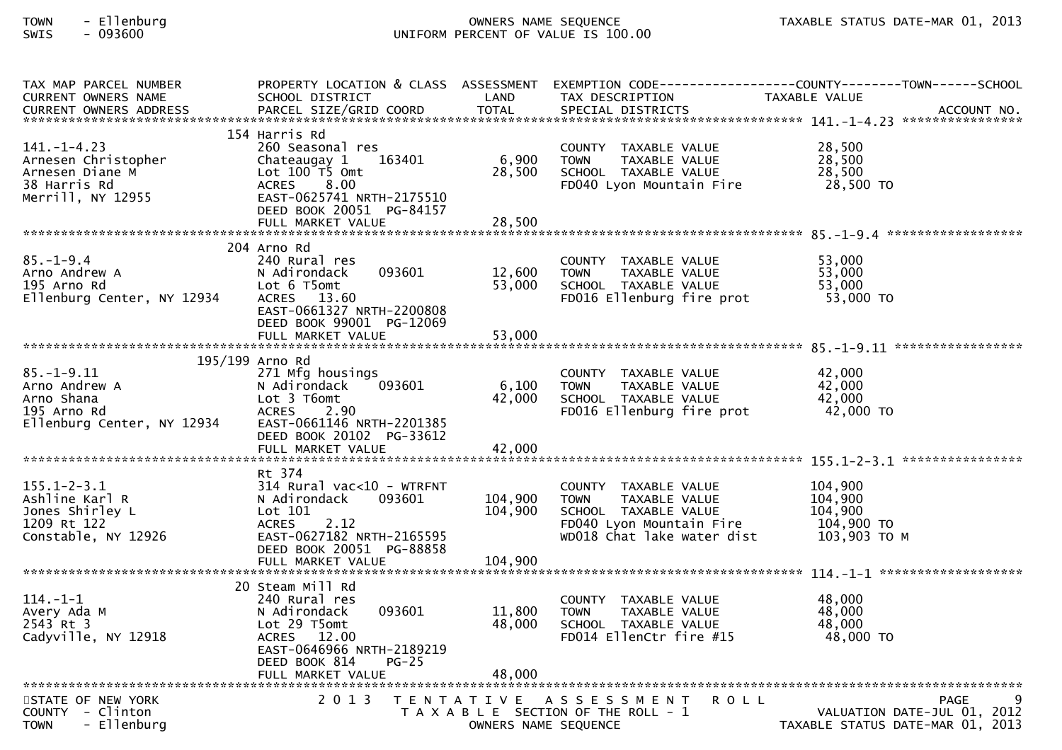| TAX MAP PARCEL NUMBER<br><b>CURRENT OWNERS NAME</b> | SCHOOL DISTRICT                                       | LAND                 | TAX DESCRIPTION                                                              | PROPERTY LOCATION & CLASS ASSESSMENT EXEMPTION CODE----------------COUNTY-------TOWN------SCHOOL<br>TAXABLE VALUE                                                                                          |
|-----------------------------------------------------|-------------------------------------------------------|----------------------|------------------------------------------------------------------------------|------------------------------------------------------------------------------------------------------------------------------------------------------------------------------------------------------------|
|                                                     |                                                       |                      |                                                                              | -CURRENT OWNERS ADDRESS PARCEL SIZE/GRID COORD TOTAL SPECIAL DISTRICTS AND MONERS ADDRESS PARCEL SIZE/GRID COORD TOTAL SPECIAL DISTRICTS AND MONERS ADDRESS PARCEL SIZE/GRID COORD TOTAL SPECIAL DISTRICTS |
|                                                     | 154 Harris Rd                                         |                      |                                                                              |                                                                                                                                                                                                            |
| $141. - 1 - 4.23$<br>Arnesen Christopher            | 260 Seasonal res<br>163401                            | 6,900                | COUNTY TAXABLE VALUE<br>TAXABLE VALUE<br><b>TOWN</b>                         | 28,500<br>28,500                                                                                                                                                                                           |
| Arnesen Diane M                                     | Chateaugay 1<br>Lot $100$ $\overline{15}$ Omt         | 28,500               | SCHOOL TAXABLE VALUE                                                         | 28,500                                                                                                                                                                                                     |
| 38 Harris Rd                                        | 8.00<br><b>ACRES</b>                                  |                      | FD040 Lyon Mountain Fire                                                     | 28,500 TO                                                                                                                                                                                                  |
| Merrill, NY 12955                                   | EAST-0625741 NRTH-2175510<br>DEED BOOK 20051 PG-84157 |                      |                                                                              |                                                                                                                                                                                                            |
|                                                     | FULL MARKET VALUE                                     | 28,500               |                                                                              |                                                                                                                                                                                                            |
|                                                     | 204 Arno Rd                                           |                      |                                                                              |                                                                                                                                                                                                            |
| $85. - 1 - 9.4$                                     | 240 Rural res                                         |                      | COUNTY TAXABLE VALUE                                                         | 53,000                                                                                                                                                                                                     |
| Arno Andrew A<br>195 Arno Rd                        | 093601<br>N Adirondack<br>Lot 6 T5omt                 | 12,600<br>53,000     | <b>TOWN</b><br>TAXABLE VALUE<br>SCHOOL TAXABLE VALUE                         | 53,000<br>53,000                                                                                                                                                                                           |
| Ellenburg Center, NY 12934                          | ACRES 13.60                                           |                      | FD016 Ellenburg fire prot                                                    | 53,000 TO                                                                                                                                                                                                  |
|                                                     | EAST-0661327 NRTH-2200808<br>DEED BOOK 99001 PG-12069 |                      |                                                                              |                                                                                                                                                                                                            |
|                                                     |                                                       |                      |                                                                              |                                                                                                                                                                                                            |
|                                                     | 195/199 Arno Rd                                       |                      |                                                                              |                                                                                                                                                                                                            |
| $85. - 1 - 9.11$                                    | 271 Mfg housings                                      |                      | COUNTY TAXABLE VALUE                                                         | 42,000                                                                                                                                                                                                     |
| Arno Andrew A                                       | 093601<br>N Adirondack                                | 6,100                | TAXABLE VALUE<br><b>TOWN</b>                                                 | 42,000                                                                                                                                                                                                     |
| Arno Shana<br>195 Arno Rd                           | Lot 3 T6omt<br>ACRES 2.90                             | 42,000               | SCHOOL TAXABLE VALUE<br>FD016 Ellenburg fire prot                            | 42,000<br>42,000 TO                                                                                                                                                                                        |
| Ellenburg Center, NY 12934                          | EAST-0661146 NRTH-2201385                             |                      |                                                                              |                                                                                                                                                                                                            |
|                                                     | DEED BOOK 20102 PG-33612<br>FULL MARKET VALUE         | 42,000               |                                                                              |                                                                                                                                                                                                            |
|                                                     |                                                       |                      |                                                                              |                                                                                                                                                                                                            |
| $155.1 - 2 - 3.1$                                   | Rt 374                                                |                      |                                                                              | 104,900                                                                                                                                                                                                    |
| Ashline Karl R                                      | $314$ Rural vac<10 - WTRFNT<br>N Adirondack<br>093601 | 104,900              | COUNTY TAXABLE VALUE<br><b>TOWN</b><br>TAXABLE VALUE                         | 104,900                                                                                                                                                                                                    |
| Jones Shirley L                                     | Lot 101                                               | 104,900              | SCHOOL TAXABLE VALUE                                                         | 104,900                                                                                                                                                                                                    |
| 1209 Rt 122<br>Constable, NY 12926                  | 2.12<br><b>ACRES</b><br>EAST-0627182 NRTH-2165595     |                      | FD040 Lyon Mountain Fire<br>WD018 Chat lake water dist                       | 104,900 TO<br>103,903 то м                                                                                                                                                                                 |
|                                                     | DEED BOOK 20051 PG-88858                              |                      |                                                                              |                                                                                                                                                                                                            |
|                                                     |                                                       |                      |                                                                              |                                                                                                                                                                                                            |
|                                                     | 20 Steam Mill Rd                                      |                      |                                                                              |                                                                                                                                                                                                            |
| $114. - 1 - 1$                                      | 240 Rural res                                         |                      | COUNTY TAXABLE VALUE                                                         | 48,000                                                                                                                                                                                                     |
| Avery Ada M<br>2543 Rt 3                            | 093601<br>N Adirondack<br>Lot 29 T5omt                | 11,800<br>48,000     | TAXABLE VALUE<br><b>TOWN</b><br>SCHOOL TAXABLE VALUE                         | 48,000<br>48,000                                                                                                                                                                                           |
| Cadyville, NY 12918                                 | ACRES 12.00                                           |                      | FD014 EllenCtr fire #15                                                      | 48,000 TO                                                                                                                                                                                                  |
|                                                     | EAST-0646966 NRTH-2189219<br>DEED BOOK 814<br>$PG-25$ |                      |                                                                              |                                                                                                                                                                                                            |
|                                                     | FULL MARKET VALUE                                     | 48,000               |                                                                              |                                                                                                                                                                                                            |
|                                                     |                                                       |                      |                                                                              | q                                                                                                                                                                                                          |
| STATE OF NEW YORK<br>COUNTY - Clinton               | 2 0 1 3                                               |                      | TENTATIVE ASSESSMENT<br><b>ROLL</b><br>T A X A B L E SECTION OF THE ROLL - 1 | <b>PAGE</b><br>VALUATION DATE-JUL 01, 2012                                                                                                                                                                 |
| - Ellenburg<br><b>TOWN</b>                          |                                                       | OWNERS NAME SEQUENCE |                                                                              | TAXABLE STATUS DATE-MAR 01, 2013                                                                                                                                                                           |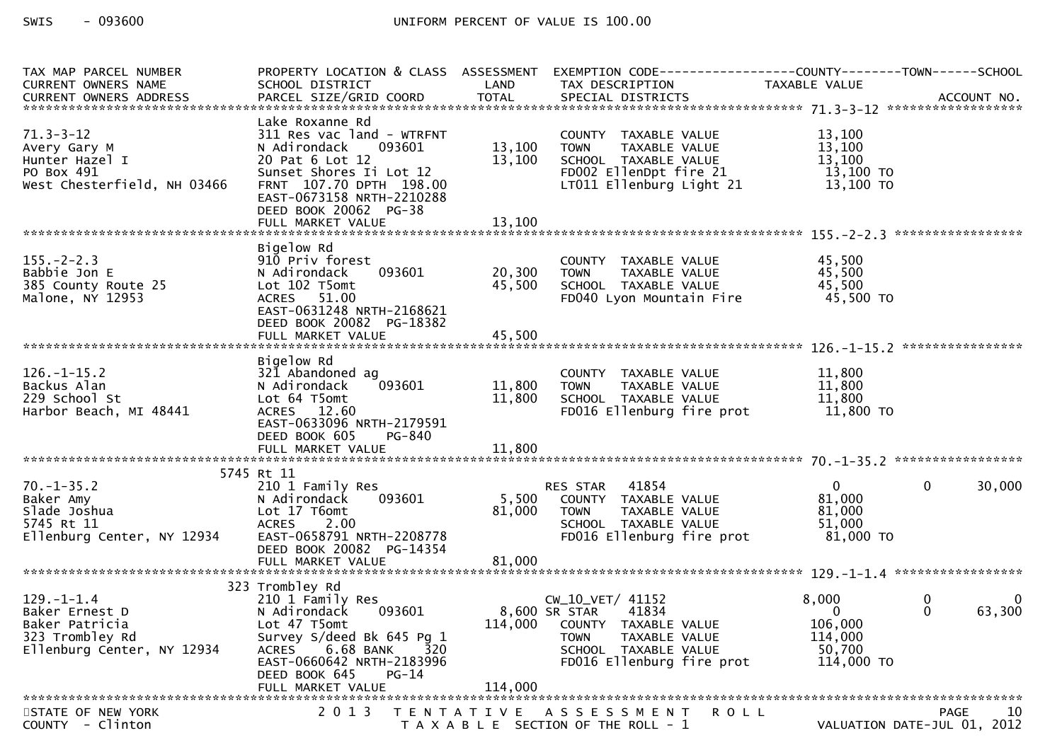| TAX MAP PARCEL NUMBER<br>CURRENT OWNERS NAME                                | PROPERTY LOCATION & CLASS ASSESSMENT<br>SCHOOL DISTRICT                                                              | LAND             | TAX DESCRIPTION                                                                                          | EXEMPTION        CODE------------------COUNTY-------TOWN------SCHOOL<br><b>TAXABLE VALUE</b> |
|-----------------------------------------------------------------------------|----------------------------------------------------------------------------------------------------------------------|------------------|----------------------------------------------------------------------------------------------------------|----------------------------------------------------------------------------------------------|
| $71.3 - 3 - 12$                                                             | Lake Roxanne Rd<br>311 Res vac land - WTRFNT                                                                         |                  | COUNTY TAXABLE VALUE                                                                                     | 13,100                                                                                       |
| Avery Gary M<br>Hunter Hazel I<br>PO Box 491                                | N Adirondack<br>093601<br>20 Pat 6 Lot 12<br>Sunset Shores Ii Lot 12                                                 | 13,100<br>13,100 | TAXABLE VALUE<br>TOWN<br>SCHOOL TAXABLE VALUE<br>FD002 EllenDpt fire 21                                  | 13,100<br>13,100<br>13,100 TO                                                                |
| West Chesterfield, NH 03466                                                 | FRNT 107.70 DPTH 198.00<br>EAST-0673158 NRTH-2210288<br>DEED BOOK 20062 PG-38<br>FULL MARKET VALUE                   | 13,100           | LT011 Ellenburg Light 21                                                                                 | 13,100 TO                                                                                    |
|                                                                             |                                                                                                                      |                  |                                                                                                          |                                                                                              |
| $155. - 2 - 2.3$<br>Babbie Jon E<br>385 County Route 25<br>Malone, NY 12953 | Bigelow Rd<br>910 Priv forest<br>093601<br>N Adirondack<br>Lot 102 T5omt<br>ACRES 51.00<br>EAST-0631248 NRTH-2168621 | 20,300<br>45,500 | COUNTY TAXABLE VALUE<br>TAXABLE VALUE<br><b>TOWN</b><br>SCHOOL TAXABLE VALUE<br>FD040 Lyon Mountain Fire | 45,500<br>45,500<br>45,500<br>45,500 TO                                                      |
|                                                                             | DEED BOOK 20082 PG-18382                                                                                             |                  |                                                                                                          |                                                                                              |
|                                                                             | Bigelow Rd                                                                                                           |                  |                                                                                                          |                                                                                              |
| $126. - 1 - 15.2$<br>Backus Alan                                            | 321 Abandoned ag<br>093601<br>N Adirondack                                                                           | 11,800           | COUNTY TAXABLE VALUE<br><b>TOWN</b><br>TAXABLE VALUE                                                     | 11,800<br>11,800                                                                             |
| 229 School St                                                               | Lot 64 T5omt                                                                                                         | 11,800           | SCHOOL TAXABLE VALUE                                                                                     | 11,800                                                                                       |
| Harbor Beach, MI 48441                                                      | ACRES 12.60<br>EAST-0633096 NRTH-2179591<br>DEED BOOK 605<br>PG-840                                                  |                  | FD016 Ellenburg fire prot                                                                                | 11,800 TO                                                                                    |
|                                                                             |                                                                                                                      |                  |                                                                                                          |                                                                                              |
|                                                                             | 5745 Rt 11                                                                                                           |                  |                                                                                                          |                                                                                              |
| $70. - 1 - 35.2$                                                            | 210 1 Family Res                                                                                                     |                  | RES STAR<br>41854                                                                                        | $\mathbf{0}$<br>30,000<br>$\Omega$                                                           |
| Baker Amy<br>Slade Joshua                                                   | 093601<br>N Adirondack<br>Lot 17 T6omt                                                                               | 5,500<br>81,000  | COUNTY TAXABLE VALUE<br><b>TOWN</b><br>TAXABLE VALUE                                                     | 81,000<br>81,000                                                                             |
| 5745 Rt 11                                                                  | <b>ACRES</b><br>2.00                                                                                                 |                  | SCHOOL TAXABLE VALUE                                                                                     | 51,000                                                                                       |
| Ellenburg Center, NY 12934                                                  | EAST-0658791 NRTH-2208778                                                                                            |                  | FD016 Ellenburg fire prot                                                                                | 81,000 TO                                                                                    |
|                                                                             | DEED BOOK 20082 PG-14354                                                                                             |                  |                                                                                                          |                                                                                              |
|                                                                             |                                                                                                                      |                  |                                                                                                          |                                                                                              |
|                                                                             | 323 Trombley Rd                                                                                                      |                  |                                                                                                          |                                                                                              |
| $129. - 1 - 1.4$<br>Baker Ernest D                                          | 210 1 Family Res<br>093601<br>N Adirondack                                                                           |                  | CW_10_VET/ 41152<br>8,600 SR STAR<br>41834                                                               | 8,000<br>0<br>0<br>63,300<br>$\Omega$<br>$\Omega$                                            |
| Baker Patricia                                                              | Lot 47 T5omt                                                                                                         |                  | 114,000 COUNTY TAXABLE VALUE                                                                             | 106,000                                                                                      |
| 323 Trombley Rd                                                             | Survey S/deed Bk 645 Pg 1                                                                                            |                  | TAXABLE VALUE<br><b>TOWN</b>                                                                             | 114,000                                                                                      |
| Ellenburg Center, NY 12934                                                  | 6.68 BANK<br><b>ACRES</b><br>320<br>EAST-0660642 NRTH-2183996<br>DEED BOOK 645<br>$PG-14$                            |                  | SCHOOL TAXABLE VALUE<br>FD016 Ellenburg fire prot                                                        | 50,700<br>114,000 TO                                                                         |
|                                                                             | FULL MARKET VALUE                                                                                                    | 114,000          |                                                                                                          |                                                                                              |
| STATE OF NEW YORK<br>COUNTY - Clinton                                       | 2 0 1 3                                                                                                              |                  | TENTATIVE ASSESSMENT<br><b>ROLL</b><br>T A X A B L E SECTION OF THE ROLL - 1                             | PAGE<br>10<br>VALUATION DATE-JUL 01, 2012                                                    |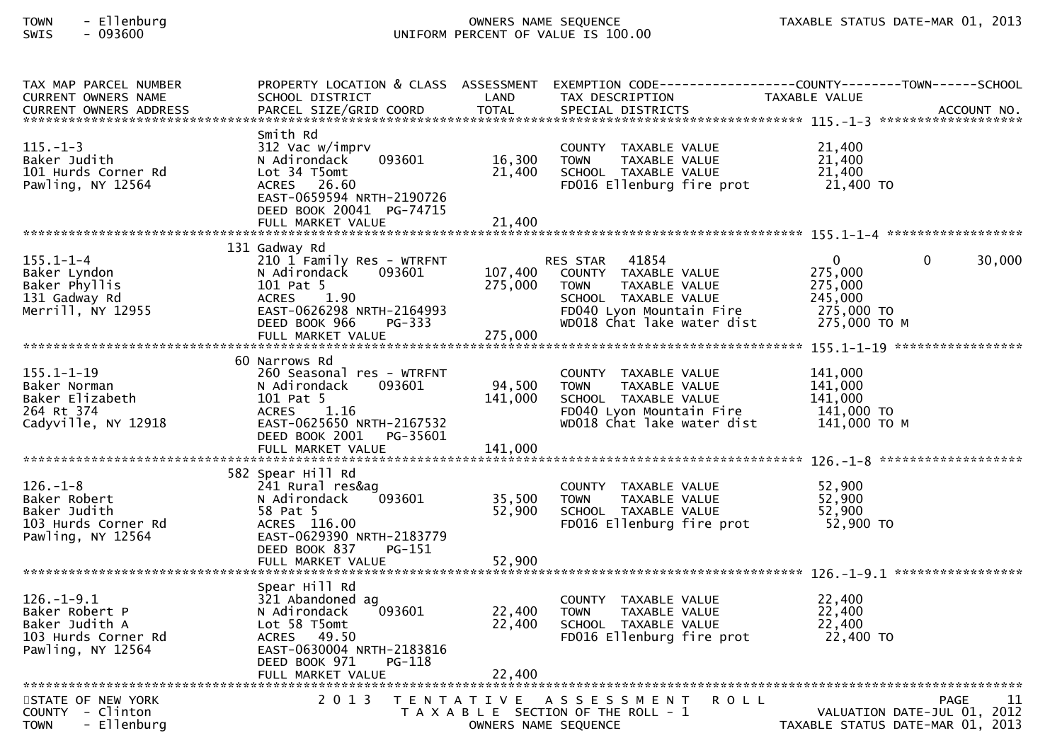| TAX MAP PARCEL NUMBER                                       |                                                       |                      |                                                        | PROPERTY LOCATION & CLASS ASSESSMENT EXEMPTION CODE----------------COUNTY-------TOWN------SCHOOL |  |
|-------------------------------------------------------------|-------------------------------------------------------|----------------------|--------------------------------------------------------|--------------------------------------------------------------------------------------------------|--|
| <b>CURRENT OWNERS NAME</b><br><b>CURRENT OWNERS ADDRESS</b> | SCHOOL DISTRICT<br>PARCEL SIZE/GRID COORD             | LAND<br><b>TOTAL</b> | TAX DESCRIPTION<br>SPECIAL DISTRICTS                   | TAXABLE VALUE<br>ACCOUNT NO.                                                                     |  |
|                                                             |                                                       |                      |                                                        |                                                                                                  |  |
| Smith Rd                                                    |                                                       |                      |                                                        |                                                                                                  |  |
| $115. - 1 - 3$                                              | 312 Vac w/imprv                                       |                      | COUNTY TAXABLE VALUE                                   | 21,400                                                                                           |  |
| Baker Judith                                                | N Adirondack<br>093601                                | 16,300               | TAXABLE VALUE<br><b>TOWN</b>                           | 21,400                                                                                           |  |
| 101 Hurds Corner Rd                                         | Lot 34 T5omt                                          | 21,400               | SCHOOL TAXABLE VALUE                                   | 21,400                                                                                           |  |
| Pawling, NY 12564                                           | ACRES 26.60                                           |                      | FD016 Ellenburg fire prot                              | 21,400 TO                                                                                        |  |
|                                                             | EAST-0659594 NRTH-2190726<br>DEED BOOK 20041 PG-74715 |                      |                                                        |                                                                                                  |  |
|                                                             |                                                       |                      |                                                        |                                                                                                  |  |
|                                                             |                                                       |                      |                                                        |                                                                                                  |  |
|                                                             | 131 Gadway Rd                                         |                      |                                                        |                                                                                                  |  |
| $155.1 - 1 - 4$                                             | 210 1 Family Res - WTRFNT                             |                      | RES STAR 41854                                         | $\mathbf{0}$<br>30,000<br>$\Omega$                                                               |  |
| Baker Lyndon                                                | 093601<br>N Adirondack                                | 107,400              | COUNTY TAXABLE VALUE                                   | 275,000                                                                                          |  |
| Baker Phyllis                                               | 101 Pat 5                                             | 275,000              | TAXABLE VALUE<br><b>TOWN</b>                           | 275,000                                                                                          |  |
| 131 Gadway Rd<br>Merrill, NY 12955                          | 1.90<br>ACRES<br>EAST-0626298 NRTH-2164993            |                      | SCHOOL TAXABLE VALUE                                   | 245,000<br>275,000 TO                                                                            |  |
|                                                             | PG-333<br>DEED BOOK 966                               |                      | FD040 Lyon Mountain Fire<br>WD018 Chat lake water dist | 275,000 ТО М                                                                                     |  |
|                                                             |                                                       |                      |                                                        |                                                                                                  |  |
|                                                             |                                                       |                      |                                                        |                                                                                                  |  |
|                                                             | 60 Narrows Rd                                         |                      |                                                        |                                                                                                  |  |
| $155.1 - 1 - 19$                                            | 260 Seasonal res - WTRFNT                             |                      | COUNTY TAXABLE VALUE                                   | 141.000                                                                                          |  |
| Baker Norman                                                | N Adirondack<br>093601                                | 94,500               | <b>TOWN</b><br>TAXABLE VALUE                           | 141,000                                                                                          |  |
| Baker Elizabeth                                             | 101 Pat 5                                             | 141,000              | SCHOOL TAXABLE VALUE                                   | 141,000                                                                                          |  |
| 264 Rt 374<br>Cadyville, NY 12918                           | ACRES 1.16<br>EAST-0625650 NRTH-2167532               |                      | FD040 Lyon Mountain Fire<br>WD018 Chat lake water dist | 141,000 TO<br>141,000 то м                                                                       |  |
|                                                             | DEED BOOK 2001 PG-35601                               |                      |                                                        |                                                                                                  |  |
|                                                             |                                                       |                      |                                                        |                                                                                                  |  |
|                                                             |                                                       |                      |                                                        |                                                                                                  |  |
|                                                             | 582 Spear Hill Rd                                     |                      |                                                        |                                                                                                  |  |
| $126. - 1 - 8$                                              | 241 Rural res&ag                                      |                      | COUNTY TAXABLE VALUE                                   | 52,900                                                                                           |  |
| Baker Robert<br>Baker Judith                                | 093601<br>N Adirondack<br>58 Pat 5                    | 35,500<br>52,900     | <b>TOWN</b><br>TAXABLE VALUE<br>SCHOOL TAXABLE VALUE   | 52,900<br>52,900                                                                                 |  |
| 103 Hurds Corner Rd                                         | ACRES 116.00                                          |                      | FD016 Ellenburg fire prot                              | 52,900 TO                                                                                        |  |
| Pawling, NY 12564                                           | EAST-0629390 NRTH-2183779                             |                      |                                                        |                                                                                                  |  |
|                                                             | DEED BOOK 837<br>PG-151                               |                      |                                                        |                                                                                                  |  |
|                                                             |                                                       |                      |                                                        |                                                                                                  |  |
|                                                             |                                                       |                      |                                                        |                                                                                                  |  |
| $126. - 1 - 9.1$                                            | Spear Hill Rd<br>321 Abandoned ag                     |                      |                                                        | 22,400                                                                                           |  |
| Baker Robert P                                              | 093601<br>N Adirondack                                | 22,400               | COUNTY TAXABLE VALUE<br>TAXABLE VALUE<br><b>TOWN</b>   | 22,400                                                                                           |  |
| Baker Judith A                                              | Lot 58 T5omt                                          | 22,400               | SCHOOL TAXABLE VALUE                                   | 22,400                                                                                           |  |
| 103 Hurds Corner Rd                                         | ACRES 49.50                                           |                      | FD016 Ellenburg fire prot                              | 22,400 TO                                                                                        |  |
| Pawling, NY 12564                                           | EAST-0630004 NRTH-2183816                             |                      |                                                        |                                                                                                  |  |
|                                                             | DEED BOOK 971<br>PG-118                               |                      |                                                        |                                                                                                  |  |
|                                                             |                                                       |                      |                                                        |                                                                                                  |  |
| STATE OF NEW YORK                                           |                                                       |                      | 2013 TENTATIVE ASSESSMENT<br><b>ROLL</b>               | 11<br><b>PAGE</b>                                                                                |  |
| COUNTY - Clinton                                            |                                                       |                      | T A X A B L E SECTION OF THE ROLL - 1                  | VALUATION DATE-JUL 01, 2012                                                                      |  |
| - Ellenburg<br><b>TOWN</b>                                  |                                                       | OWNERS NAME SEQUENCE |                                                        | TAXABLE STATUS DATE-MAR 01, 2013                                                                 |  |
|                                                             |                                                       |                      |                                                        |                                                                                                  |  |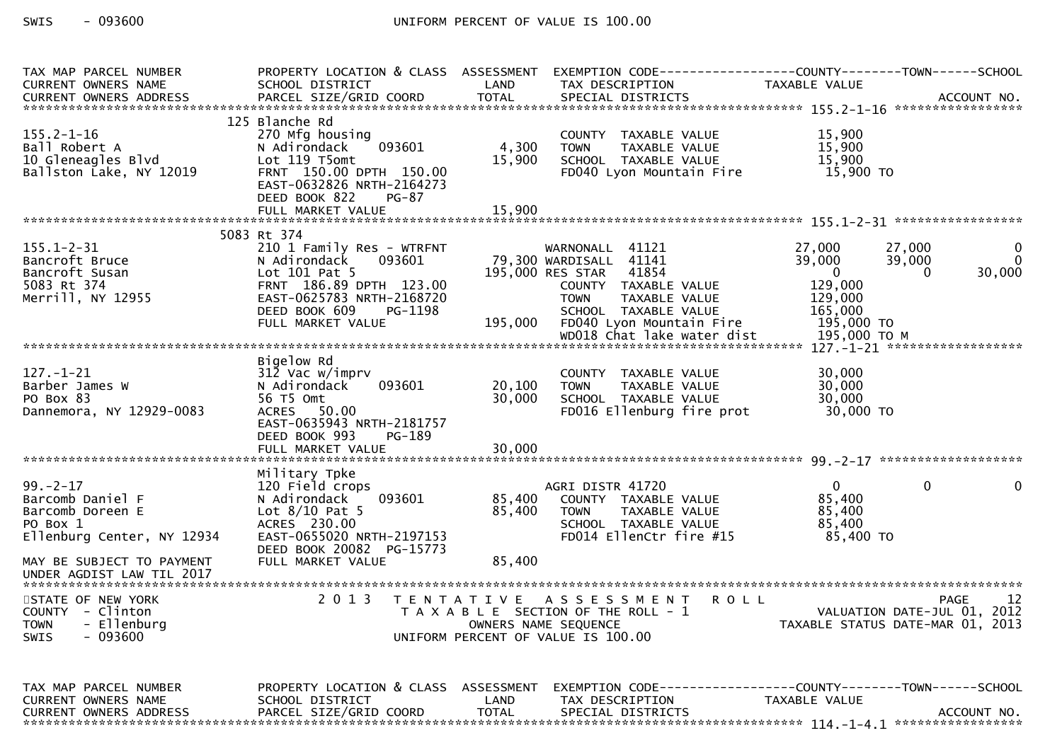| TAX MAP PARCEL NUMBER<br>CURRENT OWNERS NAME                                                     | SCHOOL DISTRICT                                                                                                                                                               | LAND                       | TAX DESCRIPTION                                                                                                                                                                         | PROPERTY LOCATION & CLASS ASSESSMENT EXEMPTION CODE----------------COUNTY-------TOWN------SCHOOL<br>TAXABLE VALUE                                           |
|--------------------------------------------------------------------------------------------------|-------------------------------------------------------------------------------------------------------------------------------------------------------------------------------|----------------------------|-----------------------------------------------------------------------------------------------------------------------------------------------------------------------------------------|-------------------------------------------------------------------------------------------------------------------------------------------------------------|
|                                                                                                  |                                                                                                                                                                               |                            |                                                                                                                                                                                         |                                                                                                                                                             |
| $155.2 - 1 - 16$<br>Ball Robert A<br>10 Gleneagles Blvd<br>Ballston Lake, NY 12019               | 125 Blanche Rd<br>270 Mfg housing<br>093601<br>N Adirondack<br>Lot 119 T5omt<br>FRNT 150.00 DPTH 150.00<br>EAST-0632826 NRTH-2164273<br>DEED BOOK 822<br>PG-87                | 4,300<br>15,900            | COUNTY TAXABLE VALUE<br>TAXABLE VALUE<br><b>TOWN</b><br>SCHOOL TAXABLE VALUE<br>FD040 Lyon Mountain Fire                                                                                | 15,900<br>15,900<br>15,900<br>15,900 TO                                                                                                                     |
|                                                                                                  |                                                                                                                                                                               |                            |                                                                                                                                                                                         |                                                                                                                                                             |
|                                                                                                  |                                                                                                                                                                               |                            |                                                                                                                                                                                         |                                                                                                                                                             |
|                                                                                                  | 5083 Rt 374                                                                                                                                                                   |                            |                                                                                                                                                                                         |                                                                                                                                                             |
| $155.1 - 2 - 31$<br>Bancroft Bruce<br>Bancroft Susan<br>5083 Rt 374<br>Merrill, NY 12955         | 210 1 Family Res - WTRFNT<br>N Adirondack<br>093601<br>Lot 101 Pat 5<br>FRNT 186.89 DPTH 123.00<br>EAST-0625783 NRTH-2168720<br>DEED BOOK 609<br>PG-1198<br>FULL MARKET VALUE |                            | WARNONALL 41121<br>79,300 WARDISALL 41141<br>195,000 RES STAR 41854<br>COUNTY TAXABLE VALUE<br><b>TOWN</b><br>TAXABLE VALUE<br>SCHOOL TAXABLE VALUE<br>195,000 FD040 Lyon Mountain Fire | 27,000<br>27,000<br>$\mathbf{0}$<br>39,000<br>39,000<br>$\mathbf{0}$<br>$\overline{0}$<br>30,000<br>$\Omega$<br>129,000<br>129,000<br>165,000<br>195,000 TO |
|                                                                                                  |                                                                                                                                                                               |                            | WD018 Chat lake water dist                                                                                                                                                              | 195,000 TO M                                                                                                                                                |
| $127. - 1 - 21$<br>Barber James W<br>PO Box 83<br>Dannemora, NY 12929-0083                       | Bigelow Rd<br>312 Vac w/imprv<br>093601<br>N Adirondack<br>56 T5 Omt<br>ACRES 50.00<br>EAST-0635943 NRTH-2181757<br>DEED BOOK 993<br>PG-189<br>FULL MARKET VALUE              | 20,100<br>30,000<br>30,000 | COUNTY TAXABLE VALUE<br>TAXABLE VALUE<br><b>TOWN</b><br>SCHOOL TAXABLE VALUE<br>FD016 Ellenburg fire prot                                                                               | 30,000<br>30,000<br>30,000<br>30,000 TO                                                                                                                     |
|                                                                                                  |                                                                                                                                                                               |                            |                                                                                                                                                                                         |                                                                                                                                                             |
| $99. - 2 - 17$<br>Barcomb Daniel F<br>Barcomb Doreen E<br>PO Box 1<br>Ellenburg Center, NY 12934 | Military Tpke<br>120 Field crops<br>093601<br>N Adirondack<br>Lot $8/10$ Pat 5<br>ACRES 230.00<br>EAST-0655020 NRTH-2197153                                                   | 85,400<br>85,400           | AGRI DISTR 41720<br>COUNTY TAXABLE VALUE<br>TAXABLE VALUE<br><b>TOWN</b><br>SCHOOL TAXABLE VALUE<br>FD014 EllenCtr fire #15                                                             | $\overline{0}$<br>$\mathbf{0}$<br>$\mathbf{0}$<br>85,400<br>85,400<br>85,400<br>85,400 TO                                                                   |
| MAY BE SUBJECT TO PAYMENT<br>UNDER AGDIST LAW TIL 2017                                           | DEED BOOK 20082 PG-15773<br>FULL MARKET VALUE                                                                                                                                 | 85,400                     |                                                                                                                                                                                         |                                                                                                                                                             |
| STATE OF NEW YORK<br>COUNTY - Clinton<br>- Ellenburg<br><b>TOWN</b><br>$-093600$<br>SWIS         | 2 0 1 3                                                                                                                                                                       |                            | TENTATIVE ASSESSMENT<br><b>ROLL</b><br>T A X A B L E SECTION OF THE ROLL - 1<br>OWNERS NAME SEQUENCE<br>UNIFORM PERCENT OF VALUE IS 100.00                                              | 12<br><b>PAGE</b><br>VALUATION DATE-JUL 01, 2012<br>TAXABLE STATUS DATE-MAR 01, 2013                                                                        |
| TAX MAP PARCEL NUMBER<br>CURRENT OWNERS NAME<br><b>CURRENT OWNERS ADDRESS</b>                    | PROPERTY LOCATION & CLASS ASSESSMENT<br>SCHOOL DISTRICT<br>PARCEL SIZE/GRID COORD                                                                                             | LAND<br><b>TOTAL</b>       | TAX DESCRIPTION<br>SPECIAL DISTRICTS                                                                                                                                                    | EXEMPTION CODE-----------------COUNTY-------TOWN------SCHOOL<br>TAXABLE VALUE<br>ACCOUNT NO.                                                                |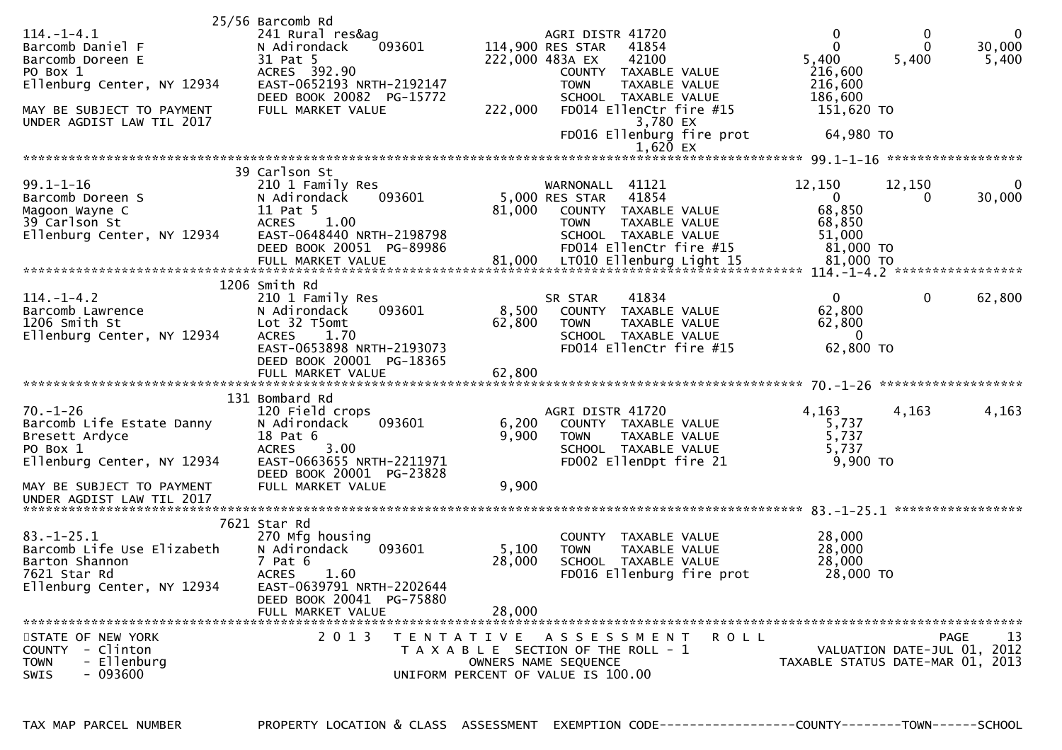|                            | 25/56 Barcomb Rd                           |                 |                      |                           |         |             |                                  |             |
|----------------------------|--------------------------------------------|-----------------|----------------------|---------------------------|---------|-------------|----------------------------------|-------------|
| $114. - 1 - 4.1$           | 241 Rural res&ag                           |                 | AGRI DISTR 41720     |                           |         | 0           | 0                                | $\mathbf 0$ |
| Barcomb Daniel F           | N Adirondack<br>093601                     |                 | 114,900 RES STAR     | 41854                     |         | $\Omega$    | $\Omega$                         | 30,000      |
| Barcomb Doreen E           | 31 Pat 5                                   | 222,000 483A EX |                      | 42100                     |         | 5,400       | 5,400                            | 5,400       |
| PO Box 1                   | ACRES 392.90                               |                 |                      | COUNTY TAXABLE VALUE      |         | 216,600     |                                  |             |
| Ellenburg Center, NY 12934 | EAST-0652193 NRTH-2192147                  |                 | <b>TOWN</b>          | <b>TAXABLE VALUE</b>      |         | 216,600     |                                  |             |
|                            | DEED BOOK 20082 PG-15772                   |                 |                      | SCHOOL TAXABLE VALUE      |         | 186,600     |                                  |             |
| MAY BE SUBJECT TO PAYMENT  | FULL MARKET VALUE                          | 222,000         |                      | FD014 EllenCtr fire #15   |         | 151,620 TO  |                                  |             |
| UNDER AGDIST LAW TIL 2017  |                                            |                 |                      | 3,780 EX                  |         |             |                                  |             |
|                            |                                            |                 |                      | FD016 Ellenburg fire prot |         | 64,980 TO   |                                  |             |
|                            |                                            |                 |                      | $1,620$ EX                |         |             |                                  |             |
|                            |                                            |                 |                      |                           |         |             |                                  |             |
|                            | 39 Carlson St                              |                 |                      |                           |         |             |                                  |             |
| $99.1 - 1 - 16$            | 210 1 Family Res                           |                 | WARNONALL 41121      |                           |         | 12,150      | 12,150                           | $\bf{0}$    |
| Barcomb Doreen S           | N Adirondack<br>093601                     |                 | 5,000 RES STAR       | 41854                     |         | $\mathbf 0$ | 0                                | 30,000      |
| Magoon Wayne C             | 11 Pat 5                                   | 81,000          |                      | COUNTY TAXABLE VALUE      |         | 68,850      |                                  |             |
| 39 Carlson St              | 1.00<br><b>ACRES</b>                       |                 | <b>TOWN</b>          | TAXABLE VALUE             |         | 68,850      |                                  |             |
| Ellenburg Center, NY 12934 | EAST-0648440 NRTH-2198798                  |                 |                      | SCHOOL TAXABLE VALUE      |         | 51,000      |                                  |             |
|                            | DEED BOOK 20051 PG-89986                   |                 |                      | FD014 EllenCtr fire #15   |         | 81,000 TO   |                                  |             |
|                            |                                            |                 |                      |                           |         |             |                                  |             |
|                            | 1206 Smith Rd                              |                 |                      |                           |         |             |                                  |             |
| $114. - 1 - 4.2$           |                                            |                 | SR STAR              |                           |         | 0           | $\mathbf 0$                      | 62,800      |
| Barcomb Lawrence           | 210 1 Family Res<br>N Adirondack<br>093601 | 8,500           | COUNTY               | 41834<br>TAXABLE VALUE    |         | 62,800      |                                  |             |
| 1206 Smith St              | Lot 32 T5omt                               | 62,800          | <b>TOWN</b>          | TAXABLE VALUE             |         | 62,800      |                                  |             |
| Ellenburg Center, NY 12934 | 1.70<br><b>ACRES</b>                       |                 |                      | SCHOOL TAXABLE VALUE      |         | $\Omega$    |                                  |             |
|                            | EAST-0653898 NRTH-2193073                  |                 |                      | FD014 EllenCtr fire #15   |         | 62,800 TO   |                                  |             |
|                            | DEED BOOK 20001 PG-18365                   |                 |                      |                           |         |             |                                  |             |
|                            | FULL MARKET VALUE                          | 62,800          |                      |                           |         |             |                                  |             |
|                            |                                            |                 |                      |                           |         |             |                                  |             |
|                            | 131 Bombard Rd                             |                 |                      |                           |         |             |                                  |             |
| $70. - 1 - 26$             | 120 Field crops                            |                 | AGRI DISTR 41720     |                           |         | 4,163       | 4,163                            | 4,163       |
| Barcomb Life Estate Danny  | 093601<br>N Adirondack                     | 6,200           |                      | COUNTY TAXABLE VALUE      |         | 5,737       |                                  |             |
| Bresett Ardyce             | 18 Pat 6                                   | 9,900           | <b>TOWN</b>          | TAXABLE VALUE             |         | 5,737       |                                  |             |
| PO Box 1                   | <b>ACRES</b><br>3.00                       |                 |                      | SCHOOL TAXABLE VALUE      |         | 5,737       |                                  |             |
| Ellenburg Center, NY 12934 | EAST-0663655 NRTH-2211971                  |                 |                      | FD002 EllenDpt fire 21    |         | 9,900 TO    |                                  |             |
|                            | DEED BOOK 20001 PG-23828                   |                 |                      |                           |         |             |                                  |             |
| MAY BE SUBJECT TO PAYMENT  | FULL MARKET VALUE                          | 9,900           |                      |                           |         |             |                                  |             |
| UNDER AGDIST LAW TIL 2017  |                                            |                 |                      |                           |         |             |                                  |             |
|                            |                                            |                 |                      |                           |         |             |                                  |             |
|                            | 7621 Star Rd                               |                 |                      |                           |         |             |                                  |             |
| $83. - 1 - 25.1$           | 270 Mfg housing                            |                 | <b>COUNTY</b>        | <b>TAXABLE VALUE</b>      |         | 28,000      |                                  |             |
| Barcomb Life Use Elizabeth | N Adirondack<br>093601                     | 5,100           | <b>TOWN</b>          | TAXABLE VALUE             |         | 28,000      |                                  |             |
| Barton Shannon             | $7$ Pat $6$                                | 28,000          |                      | SCHOOL TAXABLE VALUE      |         | 28,000      |                                  |             |
| 7621 Star Rd               | <b>ACRES</b><br>1.60                       |                 |                      | FD016 Ellenburg fire prot |         | 28,000 TO   |                                  |             |
| Ellenburg Center, NY 12934 | EAST-0639791 NRTH-2202644                  |                 |                      |                           |         |             |                                  |             |
|                            | DEED BOOK 20041 PG-75880                   |                 |                      |                           |         |             |                                  |             |
|                            | FULL MARKET VALUE                          | 28,000          |                      |                           |         |             |                                  |             |
| STATE OF NEW YORK          | 2 0 1 3<br>T E N T A T I V E               |                 |                      | A S S E S S M E N T       | R O L L |             | PAGE                             | 13          |
| COUNTY - Clinton           | T A X A B L E SECTION OF THE ROLL - 1      |                 |                      |                           |         |             | VALUATION DATE-JUL 01, 2012      |             |
| - Ellenburg<br><b>TOWN</b> |                                            |                 | OWNERS NAME SEQUENCE |                           |         |             | TAXABLE STATUS DATE-MAR 01, 2013 |             |
| $-093600$<br>SWIS          | UNIFORM PERCENT OF VALUE IS 100.00         |                 |                      |                           |         |             |                                  |             |
|                            |                                            |                 |                      |                           |         |             |                                  |             |

TAX MAP PARCEL NUMBER PROPERTY LOCATION & CLASS ASSESSMENT EXEMPTION CODE------------------COUNTY--------TOWN------SCHOOL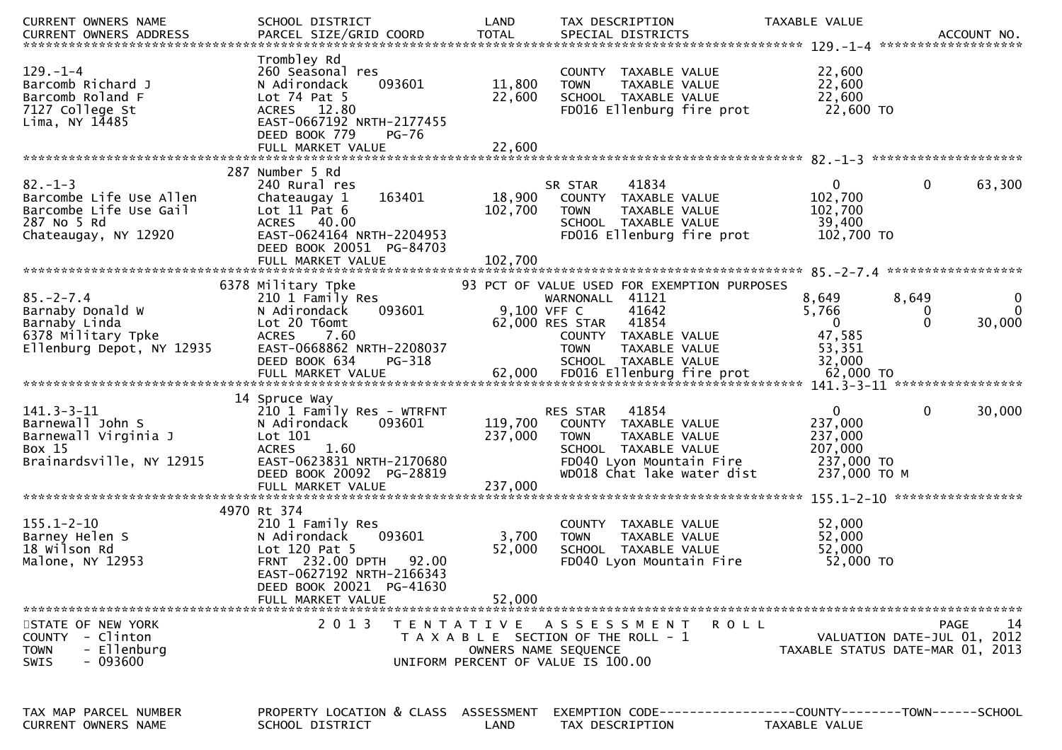| <b>CURRENT OWNERS NAME</b>                                                                               | SCHOOL DISTRICT                                                                                                                                                                         | LAND                       | TAX DESCRIPTION                                                                                                                                             | TAXABLE VALUE                                                               |                                                                                      |
|----------------------------------------------------------------------------------------------------------|-----------------------------------------------------------------------------------------------------------------------------------------------------------------------------------------|----------------------------|-------------------------------------------------------------------------------------------------------------------------------------------------------------|-----------------------------------------------------------------------------|--------------------------------------------------------------------------------------|
| $129. - 1 - 4$<br>Barcomb Richard J<br>Barcomb Roland F<br>7127 College St<br>Lima, NY $14485$           | Trombley Rd<br>260 Seasonal res<br>093601<br>N Adirondack<br>Lot $74$ Pat $5$<br>ACRES 12.80<br>EAST-0667192 NRTH-2177455<br>DEED BOOK 779<br><b>PG-76</b><br>FULL MARKET VALUE         | 11,800<br>22,600<br>22,600 | COUNTY TAXABLE VALUE<br><b>TOWN</b><br>TAXABLE VALUE<br>SCHOOL TAXABLE VALUE<br>FD016 Ellenburg fire prot                                                   | 22,600<br>22,600<br>22,600<br>22,600 TO                                     |                                                                                      |
|                                                                                                          |                                                                                                                                                                                         |                            |                                                                                                                                                             |                                                                             |                                                                                      |
| $82 - 1 - 3$<br>Barcombe Life Use Allen<br>Barcombe Life Use Gail<br>287 No 5 Rd<br>Chateaugay, NY 12920 | 287 Number 5 Rd<br>240 Rural res<br>163401<br>Chateaugay 1<br>Lot $11$ Pat $6$<br>ACRES 40.00<br>EAST-0624164 NRTH-2204953<br>DEED BOOK 20051 PG-84703                                  | 18,900<br>102,700          | 41834<br>SR STAR<br>COUNTY TAXABLE VALUE<br>TAXABLE VALUE<br><b>TOWN</b><br>SCHOOL TAXABLE VALUE<br>FD016 Ellenburg fire prot                               | $\mathbf{0}$<br>102,700<br>102,700<br>39,400<br>102,700 TO                  | $\mathbf{0}$<br>63,300                                                               |
|                                                                                                          | FULL MARKET VALUE                                                                                                                                                                       | 102,700                    |                                                                                                                                                             |                                                                             |                                                                                      |
| $85. - 2 - 7.4$<br>Barnaby Donald W<br>Barnaby Linda<br>6378 Military Tpke<br>Ellenburg Depot, NY 12935  | 6378 Military Tpke<br>210 1 Family Res<br>093601<br>N Adirondack<br>Lot 20 T6omt<br>ACRES 7.60<br>EAST-0668862 NRTH-2208037                                                             | 9,100 VFF C                | 93 PCT OF VALUE USED FOR EXEMPTION PURPOSES<br>WARNONALL 41121<br>41642<br>41854<br>62,000 RES STAR<br>COUNTY TAXABLE VALUE<br>TAXABLE VALUE<br><b>TOWN</b> | 8,649<br>5,766<br>$\Omega$<br>47,585<br>53,351                              | 8,649<br>0<br>$\Omega$<br>0<br>$\Omega$<br>30,000                                    |
|                                                                                                          | DEED BOOK 634<br>PG-318                                                                                                                                                                 |                            | SCHOOL TAXABLE VALUE                                                                                                                                        | 32,000                                                                      |                                                                                      |
| $141.3 - 3 - 11$<br>Barnewall John S<br>Barnewall Virginia J<br>Box 15<br>Brainardsville, NY 12915       | 14 Spruce Way<br>210 1 Family Res - WTRFNT<br>093601<br>N Adirondack<br>Lot 101<br><b>ACRES</b><br>1.60<br>EAST-0623831 NRTH-2170680<br>DEED BOOK 20092 PG-28819                        | 119,700<br>237,000         | 41854<br>RES STAR<br>COUNTY TAXABLE VALUE<br><b>TOWN</b><br>TAXABLE VALUE<br>SCHOOL TAXABLE VALUE<br>FD040 Lyon Mountain Fire<br>WD018 Chat lake water dist | $\mathbf{0}$<br>237,000<br>237,000<br>207,000<br>237,000 TO<br>237,000 TO M | $\mathbf{0}$<br>30,000                                                               |
|                                                                                                          | FULL MARKET VALUE                                                                                                                                                                       | 237,000                    |                                                                                                                                                             |                                                                             |                                                                                      |
| $155.1 - 2 - 10$<br>Barney Helen S<br>18 Wilson Rd<br>Malone, NY 12953                                   | 4970 Rt 374<br>210 1 Family Res<br>093601<br>N Adirondack<br>Lot $120$ Pat 5<br>FRNT 232.00 DPTH<br>92.00<br>EAST-0627192 NRTH-2166343<br>DEED BOOK 20021 PG-41630<br>FULL MARKET VALUE | 3,700<br>52,000<br>52,000  | COUNTY TAXABLE VALUE<br><b>TOWN</b><br>TAXABLE VALUE<br>SCHOOL TAXABLE VALUE<br>FD040 Lyon Mountain Fire                                                    | 52,000<br>52,000<br>52,000<br>52,000 TO                                     |                                                                                      |
| STATE OF NEW YORK<br>COUNTY - Clinton<br>- Ellenburg<br><b>TOWN</b><br>$-093600$<br><b>SWIS</b>          | 2 0 1 3                                                                                                                                                                                 |                            | TENTATIVE ASSESSMENT<br>ROLL<br>T A X A B L E SECTION OF THE ROLL - 1<br>OWNERS NAME SEQUENCE<br>UNIFORM PERCENT OF VALUE IS 100.00                         |                                                                             | 14<br><b>PAGE</b><br>VALUATION DATE-JUL 01, 2012<br>TAXABLE STATUS DATE-MAR 01, 2013 |
| TAX MAP PARCEL NUMBER<br>CURRENT OWNERS NAME                                                             | PROPERTY LOCATION & CLASS ASSESSMENT<br>SCHOOL DISTRICT                                                                                                                                 | LAND                       | TAX DESCRIPTION                                                                                                                                             | TAXABLE VALUE                                                               |                                                                                      |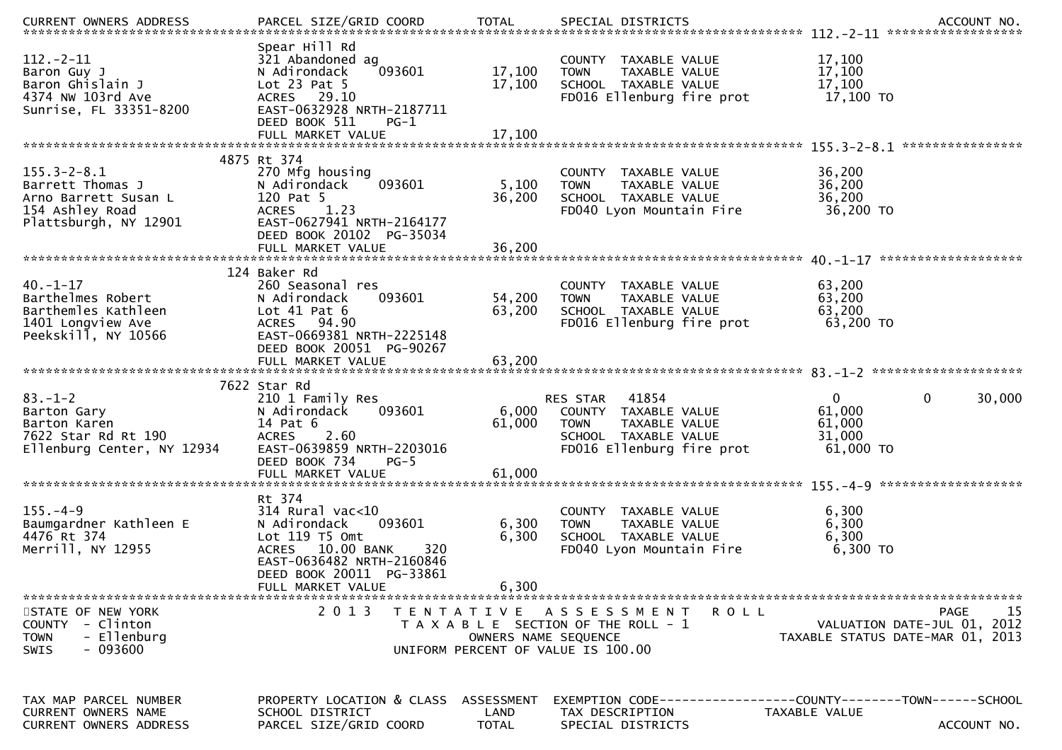| $112. - 2 - 11$<br>Baron Guy J<br>Baron Ghislain J<br>4374 NW 103rd Ave<br>Sunrise, FL 33351-8200         | Spear Hill Rd<br>321 Abandoned ag<br>093601<br>N Adirondack<br>Lot $23$ Pat $5$<br>ACRES 29.10<br>EAST-0632928 NRTH-2187711<br>DEED BOOK 511<br>$PG-1$       | 17,100<br>17,100                   | COUNTY TAXABLE VALUE<br><b>TOWN</b><br>TAXABLE VALUE<br>SCHOOL TAXABLE VALUE<br>FD016 Ellenburg fire prot                   | 17,100<br>17,100<br>17,100<br>17,100 TO                                                              |
|-----------------------------------------------------------------------------------------------------------|--------------------------------------------------------------------------------------------------------------------------------------------------------------|------------------------------------|-----------------------------------------------------------------------------------------------------------------------------|------------------------------------------------------------------------------------------------------|
|                                                                                                           |                                                                                                                                                              |                                    |                                                                                                                             |                                                                                                      |
|                                                                                                           | 4875 Rt 374                                                                                                                                                  |                                    |                                                                                                                             |                                                                                                      |
| $155.3 - 2 - 8.1$<br>Barrett Thomas J<br>Arno Barrett Susan L<br>154 Ashley Road<br>Plattsburgh, NY 12901 | 270 Mfg housing<br>N Adirondack<br>093601<br>120 Pat 5<br>1.23<br><b>ACRES</b><br>EAST-0627941 NRTH-2164177<br>DEED BOOK 20102 PG-35034                      | 5,100<br>36,200                    | COUNTY TAXABLE VALUE<br>TAXABLE VALUE<br><b>TOWN</b><br>SCHOOL TAXABLE VALUE<br>FD040 Lyon Mountain Fire                    | 36,200<br>36,200<br>36,200<br>36,200 TO                                                              |
|                                                                                                           |                                                                                                                                                              |                                    |                                                                                                                             |                                                                                                      |
| $40. -1 - 17$<br>Barthelmes Robert<br>Barthemles Kathleen<br>1401 Longview Ave<br>Peekskill, NY 10566     | 124 Baker Rd<br>260 Seasonal res<br>093601<br>N Adirondack<br>Lot $41$ Pat $6$<br>ACRES 94.90<br>EAST-0669381 NRTH-2225148<br>DEED BOOK 20051 PG-90267       | 54,200<br>63,200                   | COUNTY TAXABLE VALUE<br>TAXABLE VALUE<br><b>TOWN</b><br>SCHOOL TAXABLE VALUE<br>FD016 Ellenburg fire prot                   | 63,200<br>63,200<br>63,200<br>63,200 TO                                                              |
|                                                                                                           |                                                                                                                                                              |                                    |                                                                                                                             |                                                                                                      |
| $83. - 1 - 2$<br>Barton Gary<br>Barton Karen<br>7622 Star Rd Rt 190<br>Ellenburg Center, NY 12934         | 7622 Star Rd<br>210 1 Family Res<br>093601<br>N Adirondack<br>14 Pat 6<br>2.60<br><b>ACRES</b><br>EAST-0639859 NRTH-2203016<br>DEED BOOK 734<br>$PG-5$       | 6,000<br>61,000                    | RES STAR 41854<br>COUNTY TAXABLE VALUE<br><b>TOWN</b><br>TAXABLE VALUE<br>SCHOOL TAXABLE VALUE<br>FD016 Ellenburg fire prot | 0<br>30,000<br>$\overline{0}$<br>61,000<br>61,000<br>31,000<br>61,000 TO                             |
|                                                                                                           |                                                                                                                                                              |                                    |                                                                                                                             |                                                                                                      |
| $155. - 4 - 9$<br>Baumgardner Kathleen E<br>4476 Rt 374<br>Merrill, NY 12955                              | Rt 374<br>$314$ Rural vac<10<br>N Adirondack<br>093601<br>Lot 119 T5 Omt<br>ACRES 10.00 BANK<br>320<br>EAST-0636482 NRTH-2160846<br>DEED BOOK 20011 PG-33861 | 6,300<br>6,300                     | COUNTY TAXABLE VALUE<br>TAXABLE VALUE<br><b>TOWN</b><br>SCHOOL TAXABLE VALUE<br>FD040 Lyon Mountain Fire                    | 6,300<br>6,300<br>6,300<br>6,300 ТО                                                                  |
|                                                                                                           | FULL MARKET VALUE                                                                                                                                            | 6,300                              |                                                                                                                             |                                                                                                      |
| STATE OF NEW YORK<br>COUNTY - Clinton<br><b>TOWN</b><br>- Ellenburg<br>$-093600$<br><b>SWIS</b>           | 2 0 1 3                                                                                                                                                      | OWNERS NAME SEQUENCE               | TENTATIVE ASSESSMENT<br><b>ROLL</b><br>T A X A B L E SECTION OF THE ROLL - 1<br>UNIFORM PERCENT OF VALUE IS 100.00          | 15<br><b>PAGE</b><br>VALUATION DATE-JUL 01, 2012<br>TAXABLE STATUS DATE-MAR 01, 2013                 |
| TAX MAP PARCEL NUMBER<br><b>CURRENT OWNERS NAME</b><br>CURRENT OWNERS ADDRESS                             | PROPERTY LOCATION & CLASS<br>SCHOOL DISTRICT<br>PARCEL SIZE/GRID COORD                                                                                       | ASSESSMENT<br>LAND<br><b>TOTAL</b> | TAX DESCRIPTION<br>SPECIAL DISTRICTS                                                                                        | EXEMPTION        CODE------------------COUNTY-------TOWN------SCHOOL<br>TAXABLE VALUE<br>ACCOUNT NO. |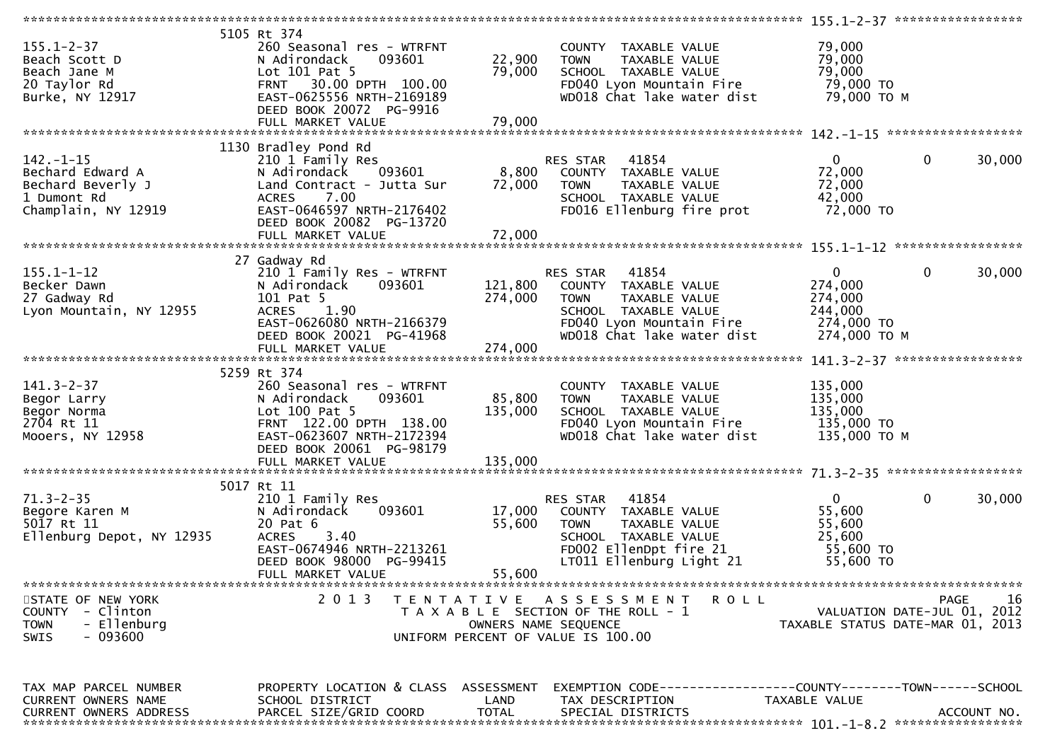| $155.1 - 2 - 37$<br>Beach Scott D<br>Beach Jane M<br>20 Taylor Rd<br>Burke, NY 12917           | 5105 Rt 374<br>260 Seasonal res - WTRFNT<br>093601<br>N Adirondack<br>Lot 101 Pat 5<br>FRNT 30.00 DPTH 100.00<br>EAST-0625556 NRTH-2169189<br>DEED BOOK 20072 PG-9916<br>FULL MARKET VALUE | 22,900<br>79,000<br>79,000    | COUNTY TAXABLE VALUE<br>TAXABLE VALUE<br><b>TOWN</b><br>SCHOOL TAXABLE VALUE<br>FD040 Lyon Mountain Fire<br>WD018 Chat lake water dist                      | 79,000<br>79,000<br>79,000<br>79,000 TO<br>79,000 ТО М                     |                          |
|------------------------------------------------------------------------------------------------|--------------------------------------------------------------------------------------------------------------------------------------------------------------------------------------------|-------------------------------|-------------------------------------------------------------------------------------------------------------------------------------------------------------|----------------------------------------------------------------------------|--------------------------|
|                                                                                                | 1130 Bradley Pond Rd                                                                                                                                                                       |                               |                                                                                                                                                             |                                                                            |                          |
| $142. - 1 - 15$<br>Bechard Edward A<br>Bechard Beverly J<br>1 Dumont Rd<br>Champlain, NY 12919 | 210 1 Family Res<br>N Adirondack<br>093601<br>Land Contract - Jutta Sur<br>7.00<br><b>ACRES</b><br>EAST-0646597 NRTH-2176402<br>DEED BOOK 20082 PG-13720                                   | 8,800<br>72,000               | RES STAR 41854<br>COUNTY TAXABLE VALUE<br>TAXABLE VALUE<br><b>TOWN</b><br>SCHOOL TAXABLE VALUE<br>FD016 Ellenburg fire prot                                 | $\overline{0}$<br>72,000<br>72,000<br>42,000<br>72,000 TO                  | $\overline{0}$<br>30,000 |
|                                                                                                |                                                                                                                                                                                            |                               |                                                                                                                                                             |                                                                            |                          |
| $155.1 - 1 - 12$<br>Becker Dawn<br>27 Gadway Rd<br>Lyon Mountain, NY 12955                     | 27 Gadway Rd<br>210 1 Family Res - WTRFNT<br>N Adirondack<br>093601<br>101 Pat 5<br><b>ACRES</b><br>1.90<br>EAST-0626080 NRTH-2166379<br>DEED BOOK 20021 PG-41968<br>FULL MARKET VALUE     | 121,800<br>274,000<br>274,000 | RES STAR<br>41854<br>COUNTY TAXABLE VALUE<br>TAXABLE VALUE<br><b>TOWN</b><br>SCHOOL TAXABLE VALUE<br>FD040 Lyon Mountain Fire<br>WD018 Chat lake water dist | $\mathbf 0$<br>274,000<br>274,000<br>244,000<br>274,000 TO<br>274,000 ТО М | $\mathbf 0$<br>30,000    |
|                                                                                                |                                                                                                                                                                                            |                               |                                                                                                                                                             |                                                                            |                          |
|                                                                                                |                                                                                                                                                                                            |                               |                                                                                                                                                             |                                                                            |                          |
| $141.3 - 2 - 37$<br>Begor Larry<br>Begor Norma<br>2704 Rt 11<br>Mooers, NY 12958               | 5259 Rt 374<br>260 Seasonal res - WTRFNT<br>093601<br>N Adirondack<br>Lot 100 Pat 5<br>FRNT 122.00 DPTH 138.00<br>EAST-0623607 NRTH-2172394<br>DEED BOOK 20061 PG-98179                    | 85,800<br>135,000             | COUNTY TAXABLE VALUE<br><b>TOWN</b><br>TAXABLE VALUE<br>SCHOOL TAXABLE VALUE<br>FD040 Lyon Mountain Fire<br>WD018 Chat lake water dist                      | 135,000<br>135,000<br>135,000<br>135,000 TO<br>135,000 ТО М                |                          |
|                                                                                                |                                                                                                                                                                                            |                               |                                                                                                                                                             |                                                                            |                          |
|                                                                                                |                                                                                                                                                                                            |                               |                                                                                                                                                             |                                                                            |                          |
| $71.3 - 2 - 35$<br>Begore Karen M<br>5017 Rt 11<br>Ellenburg Depot, NY 12935                   | 5017 Rt 11<br>210 1 Family Res<br>093601<br>N Adirondack<br>20 Pat 6<br><b>ACRES</b><br>3.40<br>EAST-0674946 NRTH-2213261<br>DEED BOOK 98000 PG-99415<br>FULL MARKET VALUE                 | 17,000<br>55,600<br>55,600    | RES STAR<br>41854<br>COUNTY TAXABLE VALUE<br><b>TOWN</b><br>TAXABLE VALUE<br>SCHOOL TAXABLE VALUE<br>FD002 EllenDpt fire 21<br>LT011 Ellenburg Light 21     | $\overline{0}$<br>55,600<br>55,600<br>25,600<br>55,600 TO<br>55,600 TO     | $\mathbf{0}$<br>30,000   |
|                                                                                                |                                                                                                                                                                                            |                               |                                                                                                                                                             |                                                                            |                          |
| STATE OF NEW YORK<br>COUNTY - Clinton<br>- Ellenburg<br><b>TOWN</b><br>- 093600<br>SWIS        | 2 0 1 3                                                                                                                                                                                    | T E N T A T I V E             | <b>ROLL</b><br>A S S E S S M E N T<br>T A X A B L E SECTION OF THE ROLL - 1<br>OWNERS NAME SEQUENCE<br>UNIFORM PERCENT OF VALUE IS 100.00                   | VALUATION DATE-JUL 01, 2012<br>TAXABLE STATUS DATE-MAR 01, 2013            | 16<br>PAGE               |
| TAX MAP PARCEL NUMBER<br>CURRENT OWNERS NAME                                                   | PROPERTY LOCATION & CLASS ASSESSMENT<br>SCHOOL DISTRICT                                                                                                                                    | LAND                          | EXEMPTION CODE------------------COUNTY--------TOWN------SCHOOL<br>TAX DESCRIPTION                                                                           | TAXABLE VALUE                                                              |                          |
| CURRENT OWNERS ADDRESS                                                                         | PARCEL SIZE/GRID COORD                                                                                                                                                                     | <b>TOTAL</b>                  | SPECIAL DISTRICTS                                                                                                                                           |                                                                            | ACCOUNT NO.              |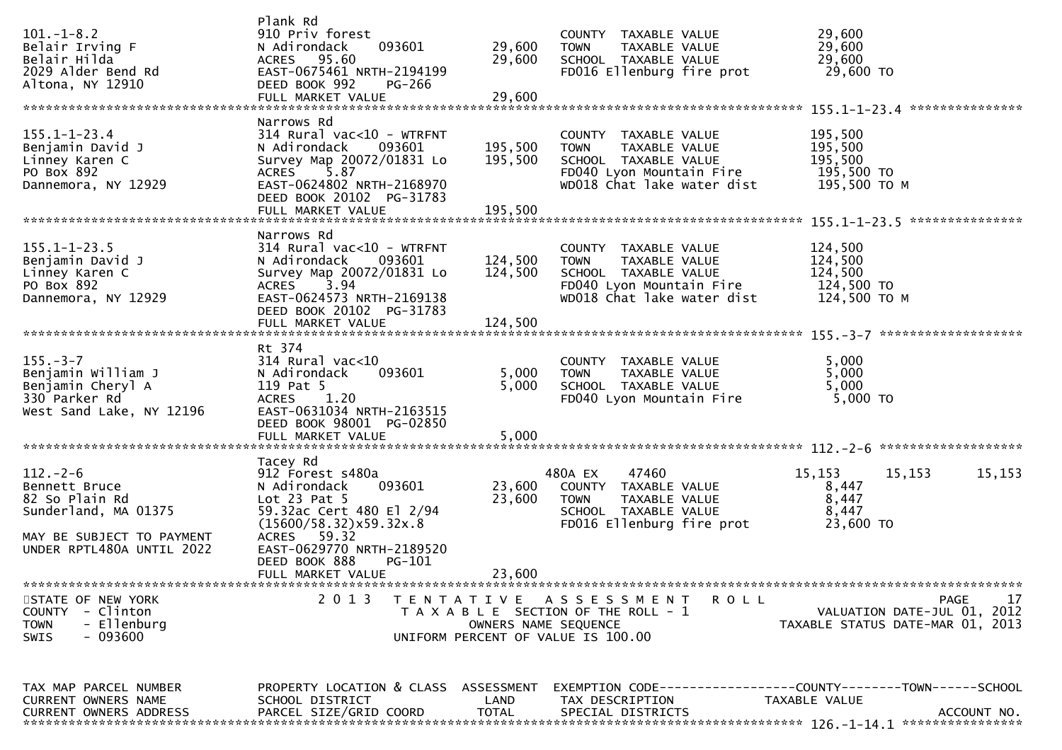| $101. -1 - 8.2$<br>Belair Irving F<br>Belair Hilda<br>2029 Alder Bend Rd<br>Altona, NY 12910                                        | Plank Rd<br>910 Priv forest<br>093601<br>N Adirondack<br>ACRES 95.60<br>EAST-0675461 NRTH-2194199<br>DEED BOOK 992<br><b>PG-266</b><br>FULL MARKET VALUE                                                                            | 29,600<br>29,600<br>29,600    | COUNTY TAXABLE VALUE<br>TAXABLE VALUE<br><b>TOWN</b><br>SCHOOL TAXABLE VALUE<br>FD016 Ellenburg fire prot                              | 29,600<br>29,600<br>29,600<br>29,600 TO                                                             |        |
|-------------------------------------------------------------------------------------------------------------------------------------|-------------------------------------------------------------------------------------------------------------------------------------------------------------------------------------------------------------------------------------|-------------------------------|----------------------------------------------------------------------------------------------------------------------------------------|-----------------------------------------------------------------------------------------------------|--------|
| $155.1 - 1 - 23.4$<br>Benjamin David J<br>Linney Karen C<br>PO Box 892<br>Dannemora, NY 12929                                       | Narrows Rd<br>$314$ Rural vac<10 - WTRFNT<br>N Adirondack<br>093601<br>Survey Map 20072/01831 Lo<br>5.87<br><b>ACRES</b><br>EAST-0624802 NRTH-2168970<br>DEED BOOK 20102 PG-31783<br>FULL MARKET VALUE                              | 195,500<br>195,500<br>195,500 | COUNTY TAXABLE VALUE<br><b>TOWN</b><br>TAXABLE VALUE<br>SCHOOL TAXABLE VALUE<br>FD040 Lyon Mountain Fire<br>WD018 Chat lake water dist | 195,500<br>195,500<br>195,500<br>195,500 TO<br>195,500 ТО М                                         |        |
| $155.1 - 1 - 23.5$<br>Benjamin David J<br>Linney Karen C<br>PO Box 892<br>Dannemora, NY 12929                                       | Narrows Rd<br>$314$ Rural vac<10 - WTRFNT<br>N Adirondack<br>093601<br>Survey Map 20072/01831 Lo<br>3.94<br>ACRES<br>EAST-0624573 NRTH-2169138<br>DEED BOOK 20102 PG-31783<br>FULL MARKET VALUE                                     | 124,500<br>124,500<br>124,500 | COUNTY TAXABLE VALUE<br><b>TOWN</b><br>TAXABLE VALUE<br>SCHOOL TAXABLE VALUE<br>FD040 Lyon Mountain Fire<br>WD018 Chat lake water dist | 124,500<br>124,500<br>124,500<br>124,500 TO<br>124,500 TO M                                         |        |
| $155. - 3 - 7$<br>Benjamin William J<br>Benjamin Cheryl A<br>330 Parker Rd<br>West Sand Lake, NY 12196                              | Rt 374<br>$314$ Rural vac<10<br>093601<br>N Adirondack<br>119 Pat 5<br>1.20<br><b>ACRES</b><br>EAST-0631034 NRTH-2163515<br>DEED BOOK 98001 PG-02850<br>FULL MARKET VALUE                                                           | 5,000<br>5,000<br>5,000       | COUNTY TAXABLE VALUE<br><b>TOWN</b><br>TAXABLE VALUE<br>SCHOOL TAXABLE VALUE<br>FD040 Lyon Mountain Fire                               | 5,000<br>5,000<br>5,000<br>5,000 TO                                                                 |        |
| $112. - 2 - 6$<br>Bennett Bruce<br>82 So Plain Rd<br>Sunderland, MA 01375<br>MAY BE SUBJECT TO PAYMENT<br>UNDER RPTL480A UNTIL 2022 | Tacey Rd<br>912 Forest s480a<br>093601<br>N Adirondack<br>Lot $23$ Pat $5$<br>59.32ac Cert 480 El 2/94<br>(15600/58.32)x59.32x.8<br>ACRES 59.32<br>EAST-0629770 NRTH-2189520<br>DEED BOOK 888<br><b>PG-101</b><br>FULL MARKET VALUE | 23,600<br>23,600<br>23,600    | 480A EX<br>47460<br>COUNTY TAXABLE VALUE<br><b>TOWN</b><br>TAXABLE VALUE<br>SCHOOL TAXABLE VALUE<br>FD016 Ellenburg fire prot          | 15,153<br>15,153<br>8,447<br>8,447<br>8,447<br>23,600 TO                                            | 15,153 |
| STATE OF NEW YORK<br>COUNTY - Clinton<br>- Ellenburg<br><b>TOWN</b><br>$-093600$<br><b>SWIS</b>                                     | 2 0 1 3                                                                                                                                                                                                                             |                               | TENTATIVE ASSESSMENT<br>ROLL<br>T A X A B L E SECTION OF THE ROLL - 1<br>OWNERS NAME SEQUENCE<br>UNIFORM PERCENT OF VALUE IS 100.00    | PAGE<br>VALUATION DATE-JUL 01, 2012<br>TAXABLE STATUS DATE-MAR 01, 2013                             | 17     |
| TAX MAP PARCEL NUMBER<br>CURRENT OWNERS NAME<br><b>CURRENT OWNERS ADDRESS</b>                                                       | PROPERTY LOCATION & CLASS ASSESSMENT<br>SCHOOL DISTRICT<br>PARCEL SIZE/GRID COORD                                                                                                                                                   | LAND<br><b>TOTAL</b>          | TAX DESCRIPTION<br>SPECIAL DISTRICTS                                                                                                   | EXEMPTION        CODE-----------------COUNTY-------TOWN------SCHOOL<br>TAXABLE VALUE<br>ACCOUNT NO. |        |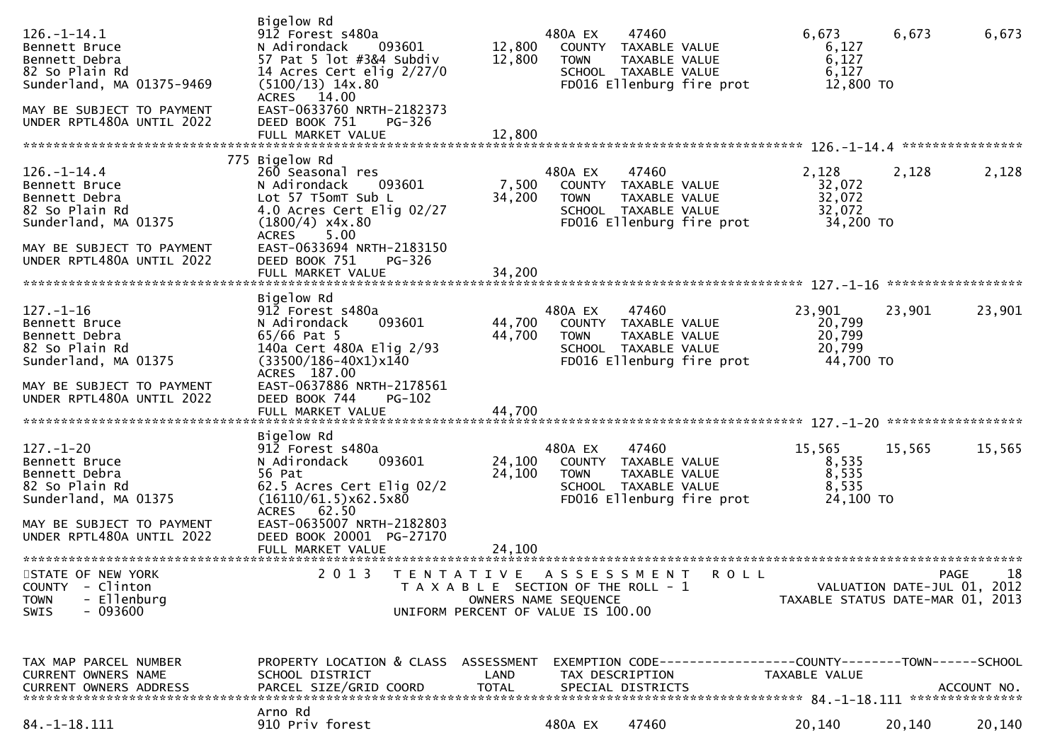| $126. - 1 - 14.1$<br>Bennett Bruce<br>Bennett Debra<br>82 So Plain Rd<br>Sunderland, MA 01375-9469        | Bigelow Rd<br>912 Forest s480a<br>N Adirondack<br>093601<br>57 Pat 5 lot #3&4 Subdiv<br>14 Acres Cert elig $2/27/0$<br>$(5100/13)$ 14x.80<br>ACRES 14.00     | 12,800<br>12,800     | 480A EX<br><b>TOWN</b>                                                                              | 47460<br>COUNTY TAXABLE VALUE<br>TAXABLE VALUE<br>SCHOOL TAXABLE VALUE<br>FD016 Ellenburg fire prot | 6,673<br>6,127<br>6,127<br>6,127<br>12,800 TO                                          | 6,673  | 6,673                                     |
|-----------------------------------------------------------------------------------------------------------|--------------------------------------------------------------------------------------------------------------------------------------------------------------|----------------------|-----------------------------------------------------------------------------------------------------|-----------------------------------------------------------------------------------------------------|----------------------------------------------------------------------------------------|--------|-------------------------------------------|
| MAY BE SUBJECT TO PAYMENT<br>UNDER RPTL480A UNTIL 2022                                                    | EAST-0633760 NRTH-2182373<br>DEED BOOK 751<br>PG-326<br>FULL MARKET VALUE                                                                                    | 12,800               |                                                                                                     |                                                                                                     |                                                                                        |        |                                           |
|                                                                                                           |                                                                                                                                                              |                      |                                                                                                     |                                                                                                     |                                                                                        |        |                                           |
| $126. - 1 - 14.4$<br>Bennett Bruce<br>Bennett Debra<br>82 So Plain Rd<br>Sunderland, MA 01375             | 775 Bigelow Rd<br>260 Seasonal res<br>093601<br>N Adirondack<br>Lot 57 T5omT Sub L<br>4.0 Acres Cert Elig 02/27<br>$(1800/4)$ x4x.80<br>5.00<br><b>ACRES</b> | 7,500<br>34,200      | 480A EX<br><b>TOWN</b>                                                                              | 47460<br>COUNTY TAXABLE VALUE<br>TAXABLE VALUE<br>SCHOOL TAXABLE VALUE<br>FD016 Ellenburg fire prot | 2,128<br>32,072<br>32,072<br>32,072<br>34,200 TO                                       | 2,128  | 2,128                                     |
| MAY BE SUBJECT TO PAYMENT<br>UNDER RPTL480A UNTIL 2022                                                    | EAST-0633694 NRTH-2183150<br>DEED BOOK 751<br>PG-326                                                                                                         |                      |                                                                                                     |                                                                                                     |                                                                                        |        |                                           |
|                                                                                                           | Bigelow Rd                                                                                                                                                   |                      |                                                                                                     |                                                                                                     |                                                                                        |        |                                           |
| $127. - 1 - 16$<br>Bennett Bruce<br>Bennett Debra<br>82 So Plain Rd<br>Sunderland, MA 01375               | 912 Forest s480a<br>N Adirondack<br>093601<br>$65/66$ Pat 5<br>140a Cert 480A Elig 2/93<br>$(33500/186 - 40x1)x140$<br>ACRES 187.00                          | 44,700<br>44,700     | 480A EX<br><b>TOWN</b>                                                                              | 47460<br>COUNTY TAXABLE VALUE<br>TAXABLE VALUE<br>SCHOOL TAXABLE VALUE<br>FD016 Ellenburg fire prot | 23,901<br>20,799<br>20,799<br>20,799<br>44,700 TO                                      | 23,901 | 23,901                                    |
| MAY BE SUBJECT TO PAYMENT<br>UNDER RPTL480A UNTIL 2022                                                    | EAST-0637886 NRTH-2178561<br>DEED BOOK 744<br><b>PG-102</b>                                                                                                  |                      |                                                                                                     |                                                                                                     |                                                                                        |        |                                           |
|                                                                                                           | Bigelow Rd                                                                                                                                                   |                      |                                                                                                     |                                                                                                     |                                                                                        |        |                                           |
| $127. - 1 - 20$<br>Bennett Bruce<br>Bennett Debra<br>82 So Plain Rd<br>Sunderland, MA 01375               | 912 Forest s480a<br>093601<br>N Adirondack<br>56 Pat<br>62.5 Acres Cert Elig 02/2<br>(16110/61.5)x62.5x80<br>ACRES 62.50                                     | 24,100<br>24,100     | 480A EX<br><b>TOWN</b>                                                                              | 47460<br>COUNTY TAXABLE VALUE<br>TAXABLE VALUE<br>SCHOOL TAXABLE VALUE<br>FD016 Ellenburg fire prot | 15,565<br>8,535<br>8,535<br>8,535<br>24,100 TO                                         | 15,565 | 15,565                                    |
| MAY BE SUBJECT TO PAYMENT<br>UNDER RPTL480A UNTIL 2022                                                    | EAST-0635007 NRTH-2182803<br>DEED BOOK 20001 PG-27170                                                                                                        |                      |                                                                                                     |                                                                                                     |                                                                                        |        |                                           |
|                                                                                                           |                                                                                                                                                              |                      |                                                                                                     |                                                                                                     |                                                                                        |        |                                           |
| STATE OF NEW YORK<br>- Clinton<br><b>COUNTY</b><br><b>TOWN</b><br>- Ellenburg<br>$-093600$<br><b>SWIS</b> | 2013 TENTATIVE ASSESSMENT ROLL                                                                                                                               |                      | T A X A B L E SECTION OF THE ROLL - 1<br>OWNERS NAME SEQUENCE<br>UNIFORM PERCENT OF VALUE IS 100.00 |                                                                                                     | TAXABLE STATUS DATE-MAR 01, 2013                                                       |        | PAGE<br>18<br>VALUATION DATE-JUL 01, 2012 |
| TAX MAP PARCEL NUMBER<br>CURRENT OWNERS NAME<br><b>CURRENT OWNERS ADDRESS</b>                             | PROPERTY LOCATION & CLASS ASSESSMENT<br>SCHOOL DISTRICT<br>PARCEL SIZE/GRID COORD                                                                            | LAND<br><b>TOTAL</b> | TAX DESCRIPTION                                                                                     | SPECIAL DISTRICTS                                                                                   | EXEMPTION CODE------------------COUNTY--------TOWN------SCHOOL<br><b>TAXABLE VALUE</b> |        | ACCOUNT NO.                               |
| $84. -1 - 18.111$                                                                                         | Arno Rd<br>910 Priv forest                                                                                                                                   |                      | 480A EX                                                                                             | 47460                                                                                               | 20,140                                                                                 | 20,140 | 20,140                                    |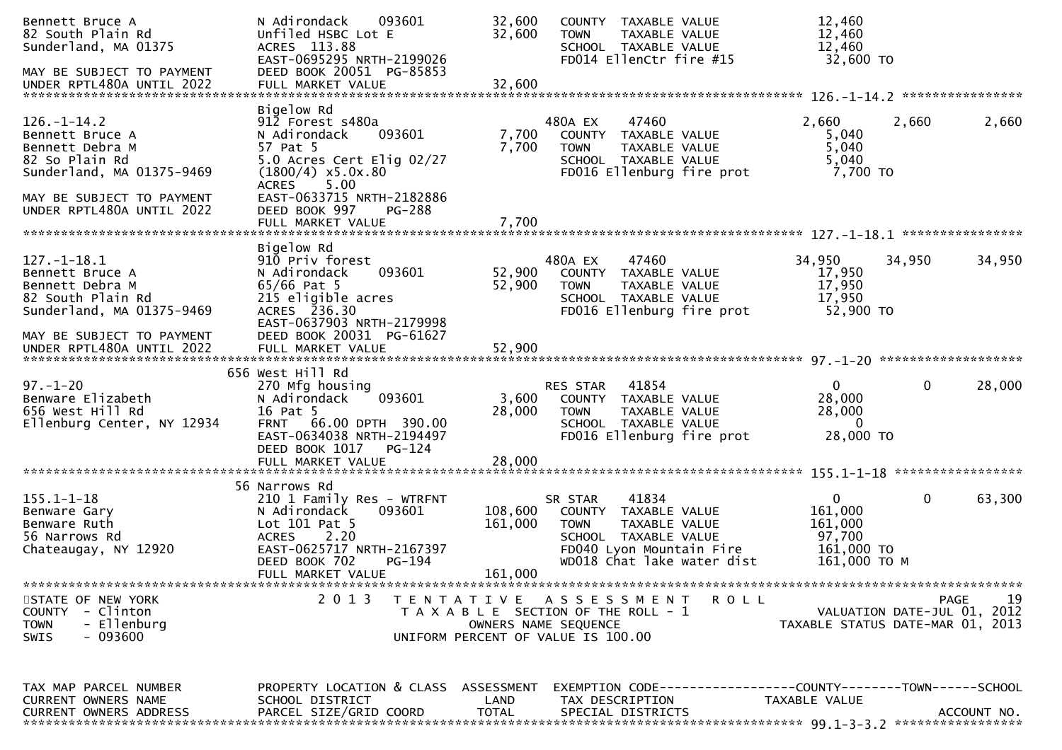| Bennett Bruce A<br>82 South Plain Rd<br>Sunderland, MA 01375                                                                                                     | N Adirondack<br>093601<br>Unfiled HSBC Lot E<br>ACRES 113.88<br>EAST-0695295 NRTH-2199026                                                                                                                | 32,600<br>32,600     | COUNTY TAXABLE VALUE<br><b>TOWN</b><br>TAXABLE VALUE<br>SCHOOL TAXABLE VALUE<br>FD014 EllenCtr fire #15                                                    | 12,460<br>12,460<br>12,460<br>32,600 TO                                |        |             |
|------------------------------------------------------------------------------------------------------------------------------------------------------------------|----------------------------------------------------------------------------------------------------------------------------------------------------------------------------------------------------------|----------------------|------------------------------------------------------------------------------------------------------------------------------------------------------------|------------------------------------------------------------------------|--------|-------------|
| MAY BE SUBJECT TO PAYMENT                                                                                                                                        | DEED BOOK 20051 PG-85853                                                                                                                                                                                 |                      |                                                                                                                                                            |                                                                        |        |             |
| $126. - 1 - 14.2$<br>Bennett Bruce A<br>Bennett Debra M<br>82 So Plain Rd<br>Sunderland, MA 01375-9469<br>MAY BE SUBJECT TO PAYMENT<br>UNDER RPTL480A UNTIL 2022 | Bigelow Rd<br>912 Forest s480a<br>093601<br>N Adirondack<br>57 Pat 5<br>5.0 Acres Cert Elig 02/27<br>$(1800/4)$ x5.0x.80<br><b>ACRES</b><br>5.00<br>EAST-0633715 NRTH-2182886<br>DEED BOOK 997<br>PG-288 | 7,700<br>7,700       | 480A EX<br>47460<br>COUNTY TAXABLE VALUE<br>TAXABLE VALUE<br><b>TOWN</b><br>SCHOOL TAXABLE VALUE<br>FD016 Ellenburg fire prot                              | 2,660<br>5,040<br>5,040<br>5,040<br>7,700 TO                           | 2,660  | 2,660       |
|                                                                                                                                                                  | Bigelow Rd                                                                                                                                                                                               |                      |                                                                                                                                                            |                                                                        |        |             |
| $127. - 1 - 18.1$<br>Bennett Bruce A<br>Bennett Debra M<br>82 South Plain Rd<br>Sunderland, MA 01375-9469                                                        | 910 Priv forest<br>093601<br>N Adirondack<br>$65/66$ Pat 5<br>215 eligible acres<br>ACRES 236.30<br>EAST-0637903 NRTH-2179998                                                                            | 52,900<br>52,900     | 480A EX<br>47460<br>COUNTY TAXABLE VALUE<br>TAXABLE VALUE<br><b>TOWN</b><br>SCHOOL TAXABLE VALUE<br>FD016 Ellenburg fire prot                              | 34,950<br>17,950<br>17,950<br>17,950<br>52,900 TO                      | 34,950 | 34,950      |
| MAY BE SUBJECT TO PAYMENT                                                                                                                                        | DEED BOOK 20031 PG-61627                                                                                                                                                                                 |                      |                                                                                                                                                            |                                                                        |        |             |
| $97. - 1 - 20$<br>Benware Elizabeth<br>656 West Hill Rd<br>Ellenburg Center, NY 12934                                                                            | 656 West Hill Rd<br>270 Mfg housing<br>093601<br>N Adirondack<br>16 Pat 5<br>FRNT 66.00 DPTH 390.00<br>EAST-0634038 NRTH-2194497<br>DEED BOOK 1017<br>PG-124                                             | 3,600<br>28,000      | <b>RES STAR 41854</b><br>COUNTY TAXABLE VALUE<br>TAXABLE VALUE<br><b>TOWN</b><br>SCHOOL TAXABLE VALUE<br>FD016 Ellenburg fire prot                         | $\Omega$<br>28,000<br>28,000<br>$\overline{0}$<br>28,000 TO            | 0      | 28,000      |
|                                                                                                                                                                  |                                                                                                                                                                                                          |                      |                                                                                                                                                            |                                                                        |        |             |
| $155.1 - 1 - 18$<br>Benware Gary<br>Benware Ruth<br>56 Narrows Rd<br>Chateaugay, NY 12920                                                                        | 56 Narrows Rd<br>210 1 Family Res - WTRFNT<br>093601<br>N Adirondack<br>Lot 101 Pat 5<br>2.20<br><b>ACRES</b><br>EAST-0625717 NRTH-2167397<br>DEED BOOK 702<br>PG-194                                    | 108,600<br>161,000   | 41834<br>SR STAR<br>COUNTY TAXABLE VALUE<br><b>TOWN</b><br>TAXABLE VALUE<br>SCHOOL TAXABLE VALUE<br>FD040 Lyon Mountain Fire<br>WD018 Chat lake water dist | $\Omega$<br>161,000<br>161,000<br>97,700<br>161,000 TO<br>161,000 ТО М | 0      | 63,300      |
|                                                                                                                                                                  | FULL MARKET VALUE                                                                                                                                                                                        | 161,000              |                                                                                                                                                            |                                                                        |        |             |
| STATE OF NEW YORK<br>COUNTY - Clinton<br>- Ellenburg<br><b>TOWN</b><br>- 093600<br><b>SWIS</b>                                                                   | 2 0 1 3                                                                                                                                                                                                  | T E N T A T I V E    | <b>ROLL</b><br>A S S E S S M E N T<br>T A X A B L E SECTION OF THE ROLL - 1<br>OWNERS NAME SEQUENCE<br>UNIFORM PERCENT OF VALUE IS 100.00                  | VALUATION DATE-JUL 01, 2012<br>TAXABLE STATUS DATE-MAR 01, 2013        |        | 19<br>PAGE  |
| TAX MAP PARCEL NUMBER<br>CURRENT OWNERS NAME<br><b>CURRENT OWNERS ADDRESS</b>                                                                                    | PROPERTY LOCATION & CLASS ASSESSMENT<br>SCHOOL DISTRICT<br>PARCEL SIZE/GRID COORD                                                                                                                        | LAND<br><b>TOTAL</b> | EXEMPTION CODE-----------------COUNTY--------TOWN------SCHOOL<br>TAX DESCRIPTION<br>SPECIAL DISTRICTS                                                      | TAXABLE VALUE                                                          |        | ACCOUNT NO. |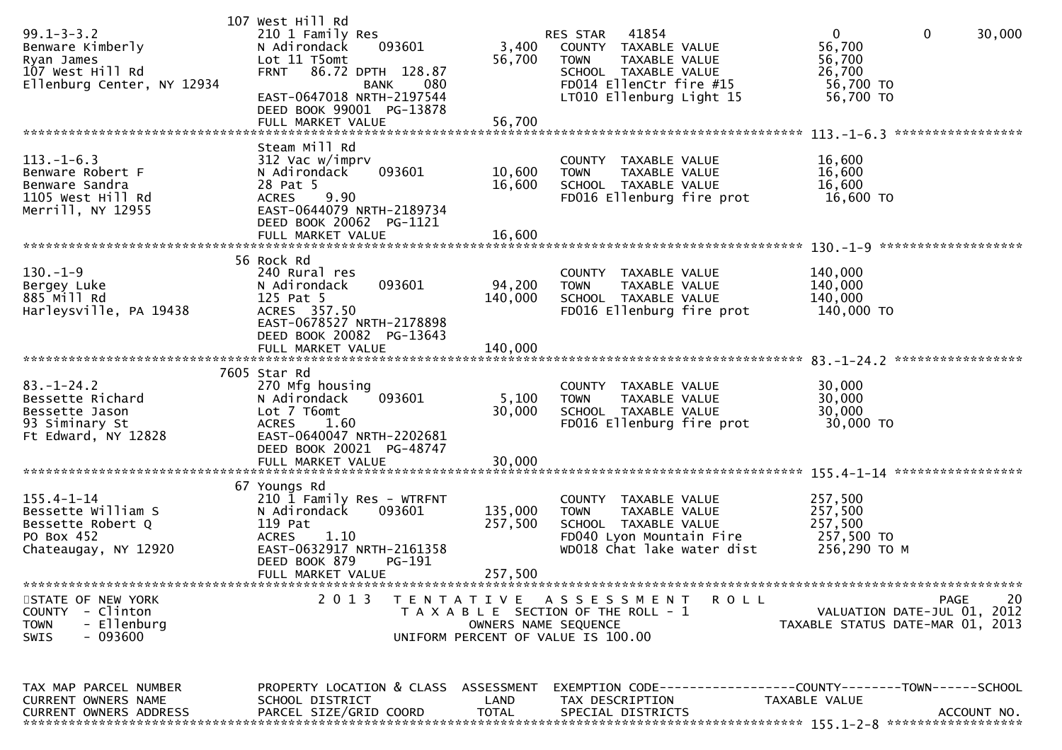| $99.1 - 3 - 3.2$<br>Benware Kimberly<br>Ryan James<br>107 West Hill Rd<br>Ellenburg Center, NY 12934 | 107 West Hill Rd<br>210 1 Family Res<br>N Adirondack<br>093601<br>Lot 11 T5omt<br>86.72 DPTH 128.87<br><b>FRNT</b><br><b>BANK</b><br>080<br>EAST-0647018 NRTH-2197544<br>DEED BOOK 99001 PG-13878<br>FULL MARKET VALUE | 3,400<br>56,700<br>56,700     | RES STAR 41854<br>COUNTY TAXABLE VALUE<br><b>TOWN</b><br>TAXABLE VALUE<br>SCHOOL TAXABLE VALUE<br>FD014 EllenCtr fire #15<br>LT010 Ellenburg Light 15 | $\mathbf{0}$<br>$\mathbf 0$<br>56,700<br>56,700<br>26,700<br>56,700 TO<br>56,700 TO | 30,000      |
|------------------------------------------------------------------------------------------------------|------------------------------------------------------------------------------------------------------------------------------------------------------------------------------------------------------------------------|-------------------------------|-------------------------------------------------------------------------------------------------------------------------------------------------------|-------------------------------------------------------------------------------------|-------------|
| $113. - 1 - 6.3$<br>Benware Robert F<br>Benware Sandra<br>1105 West Hill Rd<br>Merrill, NY 12955     | Steam Mill Rd<br>312 Vac w/imprv<br>093601<br>N Adirondack<br>28 Pat 5<br>9.90<br><b>ACRES</b><br>EAST-0644079 NRTH-2189734<br>DEED BOOK 20062 PG-1121<br>FULL MARKET VALUE                                            | 10,600<br>16,600<br>16,600    | COUNTY TAXABLE VALUE<br><b>TOWN</b><br>TAXABLE VALUE<br>SCHOOL TAXABLE VALUE<br>FD016 Ellenburg fire prot                                             | 16,600<br>16,600<br>16,600<br>16,600 TO                                             |             |
| $130. - 1 - 9$<br>Bergey Luke<br>885 Mill Rd<br>Harleysville, PA 19438                               | 56 Rock Rd<br>240 Rural res<br>093601<br>N Adirondack<br>125 Pat 5<br>ACRES 357.50<br>EAST-0678527 NRTH-2178898<br>DEED BOOK 20082 PG-13643<br>FULL MARKET VALUE                                                       | 94,200<br>140,000<br>140,000  | COUNTY TAXABLE VALUE<br><b>TOWN</b><br>TAXABLE VALUE<br>SCHOOL TAXABLE VALUE<br>FD016 Ellenburg fire prot                                             | 140,000<br>140,000<br>140,000<br>140,000 TO                                         |             |
| $83. - 1 - 24.2$<br>Bessette Richard<br>Bessette Jason<br>93 Siminary St<br>Ft Edward, NY 12828      | 7605 Star Rd<br>270 Mfg housing<br>093601<br>N Adirondack<br>Lot 7 T6omt<br>1.60<br><b>ACRES</b><br>EAST-0640047 NRTH-2202681<br>DEED BOOK 20021 PG-48747<br>FULL MARKET VALUE                                         | 5,100<br>30,000<br>30,000     | COUNTY TAXABLE VALUE<br>TAXABLE VALUE<br><b>TOWN</b><br>SCHOOL TAXABLE VALUE<br>FD016 Ellenburg fire prot                                             | 30,000<br>30,000<br>30,000<br>30,000 TO                                             |             |
| $155.4 - 1 - 14$<br>Bessette William S<br>Bessette Robert Q<br>PO Box 452<br>Chateaugay, NY 12920    | 67 Youngs Rd<br>210 1 Family Res - WTRFNT<br>093601<br>N Adirondack<br>119 Pat<br>1.10<br><b>ACRES</b><br>EAST-0632917 NRTH-2161358<br>DEED BOOK 879<br>$PG-191$<br>FULL MARKET VALUE                                  | 135,000<br>257,500<br>257,500 | COUNTY TAXABLE VALUE<br><b>TOWN</b><br>TAXABLE VALUE<br>SCHOOL TAXABLE VALUE<br>FD040 Lyon Mountain Fire<br>WD018 Chat lake water dist                | 257,500<br>257,500<br>257,500<br>257,500 TO<br>256,290 ТО М                         |             |
| STATE OF NEW YORK<br>COUNTY - Clinton<br>- Ellenburg<br><b>TOWN</b><br>- 093600<br><b>SWIS</b>       | 2 0 1 3                                                                                                                                                                                                                |                               | TENTATIVE ASSESSMENT<br><b>ROLL</b><br>T A X A B L E SECTION OF THE ROLL - 1<br>OWNERS NAME SEQUENCE<br>UNIFORM PERCENT OF VALUE IS 100.00            | VALUATION DATE-JUL 01, 2012<br>TAXABLE STATUS DATE-MAR 01, 2013                     | 20<br>PAGE  |
| TAX MAP PARCEL NUMBER<br>CURRENT OWNERS NAME<br><b>CURRENT OWNERS ADDRESS</b>                        | PROPERTY LOCATION & CLASS ASSESSMENT<br>SCHOOL DISTRICT<br>PARCEL SIZE/GRID COORD                                                                                                                                      | LAND<br><b>TOTAL</b>          | EXEMPTION        CODE-----------------COUNTY-------TOWN------SCHOOL<br>TAX DESCRIPTION<br>SPECIAL DISTRICTS                                           | TAXABLE VALUE                                                                       | ACCOUNT NO. |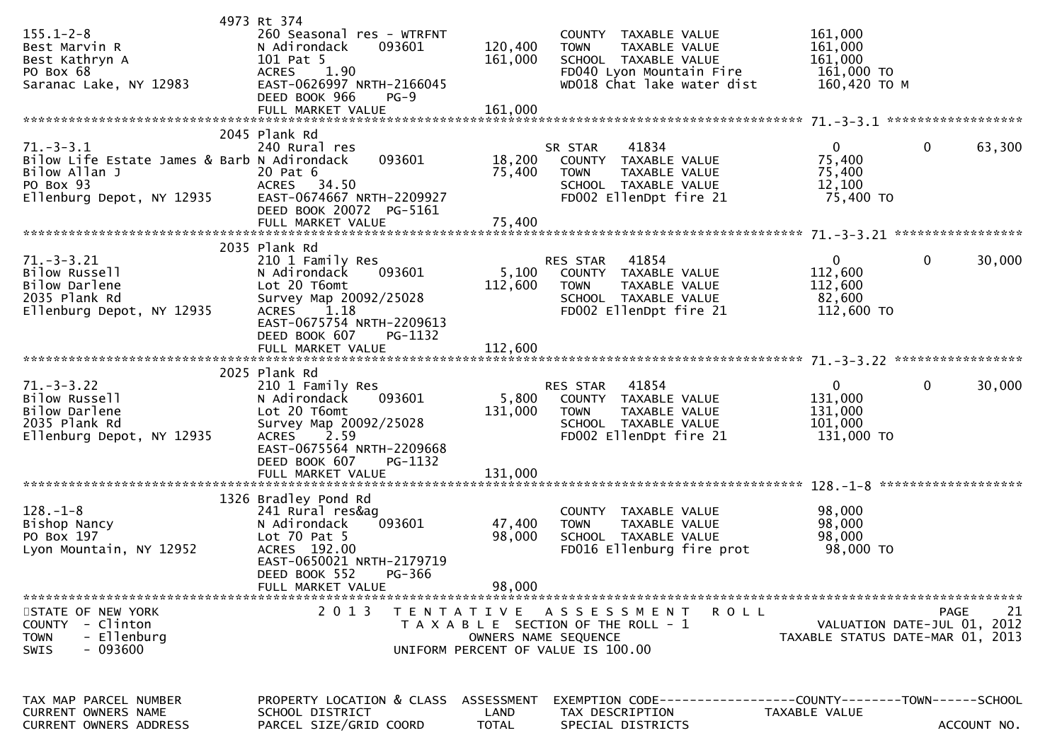| $155.1 - 2 - 8$<br>Best Marvin R<br>Best Kathryn A<br>PO Box 68<br>Saranac Lake, NY 12983                                 | 4973 Rt 374<br>260 Seasonal res - WTRFNT<br>N Adirondack<br>093601<br>101 Pat 5<br><b>ACRES</b><br>1.90<br>EAST-0626997 NRTH-2166045<br>DEED BOOK 966<br>$PG-9$<br>FULL MARKET VALUE                        | 120,400<br>161,000<br>161,000      | COUNTY TAXABLE VALUE<br><b>TOWN</b><br>TAXABLE VALUE<br>SCHOOL TAXABLE VALUE<br>FD040 Lyon Mountain Fire<br>WD018 Chat lake water dist | 161,000<br>161,000<br>161,000<br>161,000 TO<br>160,420 ТО М     |             |
|---------------------------------------------------------------------------------------------------------------------------|-------------------------------------------------------------------------------------------------------------------------------------------------------------------------------------------------------------|------------------------------------|----------------------------------------------------------------------------------------------------------------------------------------|-----------------------------------------------------------------|-------------|
|                                                                                                                           | 2045 Plank Rd                                                                                                                                                                                               |                                    |                                                                                                                                        |                                                                 |             |
| $71. - 3 - 3.1$<br>Bilow Life Estate James & Barb N Adirondack<br>Bilow Allan J<br>PO Box 93<br>Ellenburg Depot, NY 12935 | 240 Rural res<br>093601<br>20 Pat 6<br>ACRES 34.50<br>EAST-0674667 NRTH-2209927<br>DEED BOOK 20072 PG-5161                                                                                                  | 18,200<br>75,400                   | 41834<br>SR STAR<br>COUNTY TAXABLE VALUE<br><b>TOWN</b><br>TAXABLE VALUE<br>SCHOOL TAXABLE VALUE<br>FD002 EllenDpt fire 21             | $\Omega$<br>75,400<br>75,400<br>12,100<br>75,400 TO             | 0<br>63,300 |
|                                                                                                                           |                                                                                                                                                                                                             |                                    |                                                                                                                                        |                                                                 |             |
| $71. - 3 - 3.21$<br>Bilow Russell<br>Bilow Darlene<br>2035 Plank Rd<br>Ellenburg Depot, NY 12935                          | 2035 Plank Rd<br>210 1 Family Res<br>093601<br>N Adirondack<br>Lot 20 T6omt<br>Survey Map 20092/25028<br>1.18<br><b>ACRES</b><br>EAST-0675754 NRTH-2209613                                                  | 5,100<br>112,600                   | 41854<br><b>RES STAR</b><br>COUNTY TAXABLE VALUE<br>TAXABLE VALUE<br><b>TOWN</b><br>SCHOOL TAXABLE VALUE<br>FD002 EllenDpt fire 21     | $\mathbf{0}$<br>112,600<br>112,600<br>82,600<br>112,600 TO      | 30,000<br>0 |
|                                                                                                                           | DEED BOOK 607<br>PG-1132                                                                                                                                                                                    |                                    |                                                                                                                                        |                                                                 |             |
|                                                                                                                           |                                                                                                                                                                                                             |                                    |                                                                                                                                        |                                                                 |             |
| $71.-3-3.22$<br>Bilow Russell<br>Bilow Darlene<br>2035 Plank Rd<br>Ellenburg Depot, NY 12935                              | 2025 Plank Rd<br>210 1 Family Res<br>N Adirondack<br>093601<br>Lot 20 T6omt<br>Survey Map 20092/25028<br>2.59<br><b>ACRES</b><br>EAST-0675564 NRTH-2209668<br>DEED BOOK 607<br>PG-1132<br>FULL MARKET VALUE | 5,800<br>131,000<br>131,000        | RES STAR 41854<br>COUNTY TAXABLE VALUE<br>TAXABLE VALUE<br><b>TOWN</b><br>SCHOOL TAXABLE VALUE<br>FD002 EllenDpt fire 21               | $\mathbf{0}$<br>131,000<br>131,000<br>101,000<br>131,000 TO     | 0<br>30,000 |
|                                                                                                                           |                                                                                                                                                                                                             |                                    |                                                                                                                                        |                                                                 |             |
| $128. - 1 - 8$<br>Bishop Nancy<br>PO Box 197<br>Lyon Mountain, NY 12952                                                   | 1326 Bradley Pond Rd<br>241 Rural res&ag<br>093601<br>N Adirondack<br>Lot $70$ Pat $5$<br>ACRES 192.00<br>EAST-0650021 NRTH-2179719<br>DEED BOOK 552<br>PG-366                                              | 47,400<br>98,000                   | COUNTY TAXABLE VALUE<br>TAXABLE VALUE<br><b>TOWN</b><br>SCHOOL TAXABLE VALUE<br>FD016 Ellenburg fire prot                              | 98,000<br>98,000<br>98,000<br>98,000 TO                         |             |
|                                                                                                                           | FULL MARKET VALUE                                                                                                                                                                                           | 98,000                             |                                                                                                                                        |                                                                 |             |
| STATE OF NEW YORK<br>COUNTY - Clinton<br>- Ellenburg<br><b>TOWN</b><br>$-093600$<br><b>SWIS</b>                           | 2 0 1 3                                                                                                                                                                                                     |                                    | TENTATIVE ASSESSMENT<br>R O L L<br>T A X A B L E SECTION OF THE ROLL - 1<br>OWNERS NAME SEQUENCE<br>UNIFORM PERCENT OF VALUE IS 100.00 | VALUATION DATE-JUL 01, 2012<br>TAXABLE STATUS DATE-MAR 01, 2013 | 21<br>PAGE  |
| TAX MAP PARCEL NUMBER<br>CURRENT OWNERS NAME<br>CURRENT OWNERS ADDRESS                                                    | PROPERTY LOCATION & CLASS<br>SCHOOL DISTRICT<br>PARCEL SIZE/GRID COORD                                                                                                                                      | ASSESSMENT<br>LAND<br><b>TOTAL</b> | EXEMPTION CODE------------------COUNTY--------TOWN------SCHOOL<br>TAX DESCRIPTION<br>SPECIAL DISTRICTS                                 | TAXABLE VALUE                                                   | ACCOUNT NO. |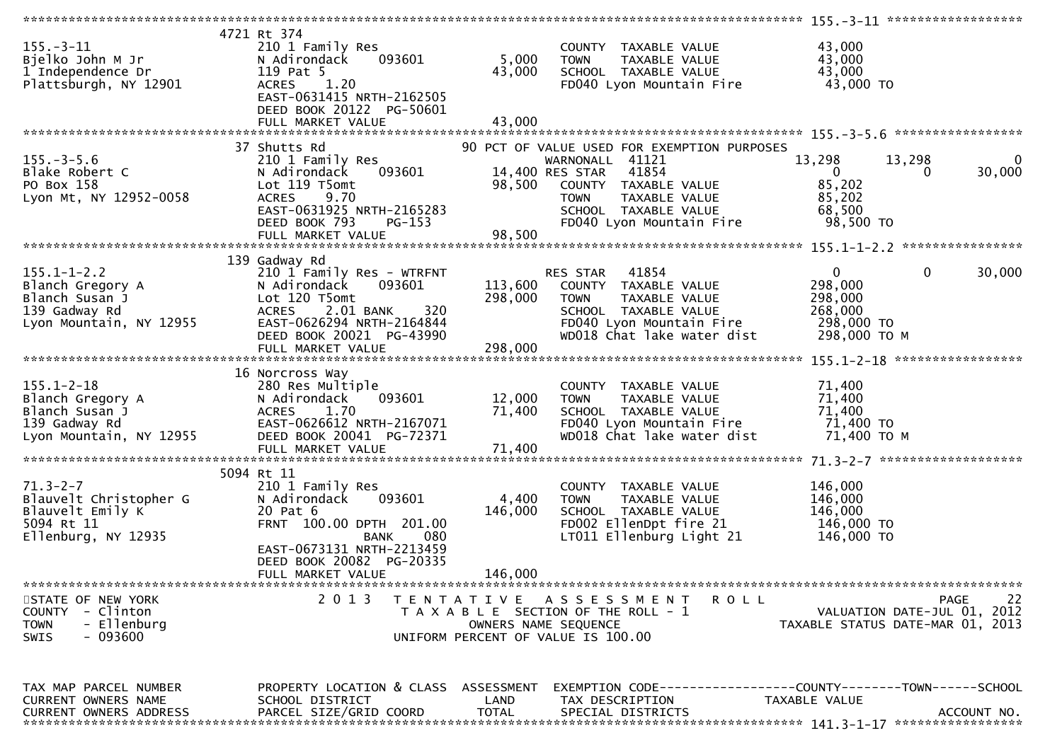|                                                                                                     |                                                                                                                                                                                                         |                               |                                                                                                                                                                                                     | 155.-3-11 *******************                                                                |                    |
|-----------------------------------------------------------------------------------------------------|---------------------------------------------------------------------------------------------------------------------------------------------------------------------------------------------------------|-------------------------------|-----------------------------------------------------------------------------------------------------------------------------------------------------------------------------------------------------|----------------------------------------------------------------------------------------------|--------------------|
| $155. - 3 - 11$<br>Bjelko John M Jr<br>1 Independence Dr<br>Plattsburgh, NY 12901                   | 4721 Rt 374<br>210 1 Family Res<br>N Adirondack<br>093601<br>119 Pat 5<br>1.20<br><b>ACRES</b><br>EAST-0631415 NRTH-2162505<br>DEED BOOK 20122 PG-50601                                                 | 5,000<br>43,000               | COUNTY TAXABLE VALUE<br><b>TOWN</b><br>TAXABLE VALUE<br>SCHOOL TAXABLE VALUE<br>FD040 Lyon Mountain Fire                                                                                            | 43,000<br>43,000<br>43,000<br>43,000 TO                                                      |                    |
|                                                                                                     |                                                                                                                                                                                                         |                               |                                                                                                                                                                                                     |                                                                                              |                    |
| $155. - 3 - 5.6$<br>Blake Robert C<br>PO Box 158<br>Lyon Mt, NY 12952-0058                          | 37 Shutts Rd<br>210 1 Family Res<br>093601<br>N Adirondack<br>Lot 119 T5omt<br>9.70<br><b>ACRES</b><br>EAST-0631925 NRTH-2165283<br>PG-153<br>DEED BOOK 793                                             | 98,500                        | 90 PCT OF VALUE USED FOR EXEMPTION PURPOSES<br>WARNONALL 41121<br>14,400 RES STAR 41854<br>COUNTY TAXABLE VALUE<br><b>TOWN</b><br>TAXABLE VALUE<br>SCHOOL TAXABLE VALUE<br>FD040 Lyon Mountain Fire | 13,298<br>13,298<br>$\overline{0}$<br>0<br>85,202<br>85,202<br>68,500<br>98,500 TO           | $\bf{0}$<br>30,000 |
|                                                                                                     |                                                                                                                                                                                                         |                               |                                                                                                                                                                                                     |                                                                                              |                    |
| $155.1 - 1 - 2.2$<br>Blanch Gregory A<br>Blanch Susan J<br>139 Gadway Rd<br>Lyon Mountain, NY 12955 | 139 Gadway Rd<br>210 1 Family Res - WTRFNT<br>093601<br>N Adirondack<br>Lot 120 T5omt<br>320<br><b>ACRES</b><br>2.01 BANK<br>EAST-0626294 NRTH-2164844<br>DEED BOOK 20021 PG-43990<br>FULL MARKET VALUE | 113,600<br>298,000<br>298,000 | RES STAR 41854<br>COUNTY TAXABLE VALUE<br>TAXABLE VALUE<br><b>TOWN</b><br>SCHOOL TAXABLE VALUE<br>FD040 Lyon Mountain Fire<br>WD018 Chat lake water dist                                            | $\overline{0}$<br>0<br>30,000<br>298,000<br>298,000<br>268,000<br>298,000 TO<br>298,000 ТО М |                    |
|                                                                                                     |                                                                                                                                                                                                         |                               |                                                                                                                                                                                                     |                                                                                              |                    |
| $155.1 - 2 - 18$<br>Blanch Gregory A<br>Blanch Susan J<br>139 Gadway Rd<br>Lyon Mountain, NY 12955  | 16 Norcross Way<br>280 Res Multiple<br>N Adirondack<br>093601<br>ACRES<br>1.70<br>EAST-0626612 NRTH-2167071<br>DEED BOOK 20041 PG-72371                                                                 | 12,000<br>71,400              | COUNTY TAXABLE VALUE<br><b>TOWN</b><br>TAXABLE VALUE<br>SCHOOL TAXABLE VALUE<br>FD040 Lyon Mountain Fire<br>WD018 Chat lake water dist                                                              | 71,400<br>71,400<br>71,400<br>71,400 TO<br>71,400 TO M                                       |                    |
|                                                                                                     | 5094 Rt 11                                                                                                                                                                                              |                               |                                                                                                                                                                                                     |                                                                                              |                    |
| $71.3 - 2 - 7$<br>Blauvelt Christopher G<br>Blauvelt Emily K<br>5094 Rt 11<br>Ellenburg, NY 12935   | 210 1 Family Res<br>N Adirondack<br>093601<br>20 Pat 6<br>FRNT 100.00 DPTH 201.00<br>080<br>BANK<br>EAST-0673131 NRTH-2213459                                                                           | 4,400<br>146,000              | COUNTY TAXABLE VALUE<br>TAXABLE VALUE<br><b>TOWN</b><br>SCHOOL TAXABLE VALUE<br>FD002 EllenDpt fire 21<br>LT011 Ellenburg Light 21                                                                  | 146,000<br>146,000<br>146,000<br>146,000 TO<br>146,000 TO                                    |                    |
|                                                                                                     | DEED BOOK 20082 PG-20335                                                                                                                                                                                |                               |                                                                                                                                                                                                     |                                                                                              |                    |
|                                                                                                     | FULL MARKET VALUE                                                                                                                                                                                       | 146,000                       |                                                                                                                                                                                                     |                                                                                              |                    |
|                                                                                                     |                                                                                                                                                                                                         |                               |                                                                                                                                                                                                     |                                                                                              |                    |
| STATE OF NEW YORK<br>COUNTY - Clinton<br>- Ellenburg<br><b>TOWN</b><br>- 093600<br>SWIS             | 2 0 1 3                                                                                                                                                                                                 | T E N T A T I V E             | A S S E S S M E N T<br>R O L L<br>T A X A B L E SECTION OF THE ROLL - 1<br>OWNERS NAME SEOUENCE<br>UNIFORM PERCENT OF VALUE IS 100.00                                                               | PAGE<br>VALUATION DATE-JUL 01, 2012<br>TAXABLE STATUS DATE-MAR 01, 2013                      | 22                 |
|                                                                                                     |                                                                                                                                                                                                         |                               |                                                                                                                                                                                                     |                                                                                              |                    |
| TAX MAP PARCEL NUMBER<br><b>CURRENT OWNERS NAME</b><br><b>CURRENT OWNERS ADDRESS</b>                | PROPERTY LOCATION & CLASS ASSESSMENT<br>SCHOOL DISTRICT<br>PARCEL SIZE/GRID COORD                                                                                                                       | LAND<br><b>TOTAL</b>          | TAX DESCRIPTION<br>SPECIAL DISTRICTS                                                                                                                                                                | EXEMPTION CODE-----------------COUNTY-------TOWN------SCHOOL<br>TAXABLE VALUE<br>ACCOUNT NO. |                    |
|                                                                                                     |                                                                                                                                                                                                         |                               |                                                                                                                                                                                                     |                                                                                              |                    |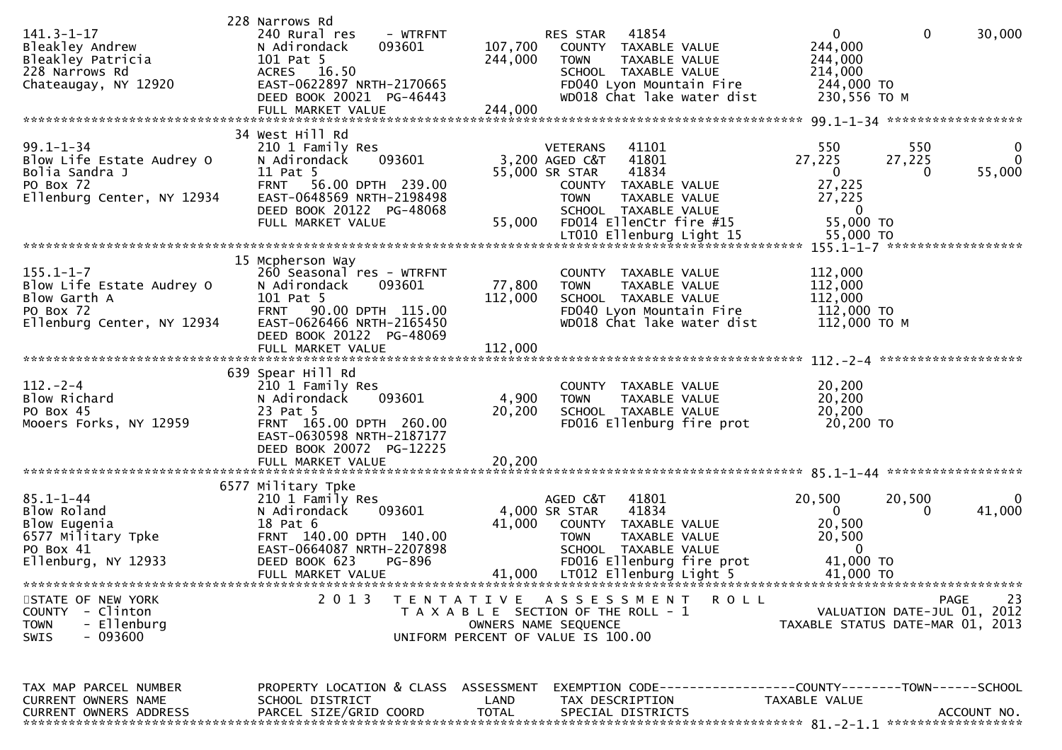| $141.3 - 1 - 17$<br>Bleakley Andrew<br>Bleakley Patricia<br>228 Narrows Rd<br>Chateaugay, NY 12920        | 228 Narrows Rd<br>- WTRFNT<br>240 Rural res<br>N Adirondack<br>093601<br>101 Pat 5<br>ACRES 16.50<br>EAST-0622897 NRTH-2170665<br>DEED BOOK 20021 PG-46443                                   | 41854<br>RES STAR<br>107,700<br>COUNTY TAXABLE VALUE<br>244,000<br><b>TOWN</b><br>TAXABLE VALUE<br>SCHOOL TAXABLE VALUE<br>FD040 Lyon Mountain Fire<br>WD018 Chat lake water dist                   | $\mathbf 0$<br>$\mathbf{0}$<br>30,000<br>244,000<br>244,000<br>214,000<br>244,000 TO<br>230,556 ТО М                                   |
|-----------------------------------------------------------------------------------------------------------|----------------------------------------------------------------------------------------------------------------------------------------------------------------------------------------------|-----------------------------------------------------------------------------------------------------------------------------------------------------------------------------------------------------|----------------------------------------------------------------------------------------------------------------------------------------|
| $99.1 - 1 - 34$<br>Blow Life Estate Audrey O<br>Bolia Sandra J<br>PO Box 72<br>Ellenburg Center, NY 12934 | 34 West Hill Rd<br>210 1 Family Res<br>093601<br>N Adirondack<br>11 Pat 5<br><b>FRNT</b><br>56.00 DPTH 239.00<br>EAST-0648569 NRTH-2198498<br>DEED BOOK 20122 PG-48068<br>FULL MARKET VALUE  | 41101<br><b>VETERANS</b><br>3,200 AGED C&T<br>41801<br>41834<br>55,000 SR STAR<br>COUNTY TAXABLE VALUE<br><b>TOWN</b><br>TAXABLE VALUE<br>SCHOOL TAXABLE VALUE<br>FD014 EllenCtr fire #15<br>55,000 | 550<br>550<br>0<br>27,225<br>27,225<br>$\Omega$<br>55,000<br>$\mathbf{0}$<br>$\Omega$<br>27,225<br>27,225<br>$\mathbf{0}$<br>55,000 TO |
| $155.1 - 1 - 7$<br>Blow Life Estate Audrey O<br>Blow Garth A<br>PO Box 72<br>Ellenburg Center, NY 12934   | 15 Mcpherson Way<br>260 Seasonal res - WTRFNT<br>N Adirondack<br>093601<br>101 Pat 5<br>FRNT 90.00 DPTH 115.00<br>EAST-0626466 NRTH-2165450<br>DEED BOOK 20122 PG-48069<br>FULL MARKET VALUE | COUNTY TAXABLE VALUE<br>77,800<br><b>TOWN</b><br><b>TAXABLE VALUE</b><br>112,000<br>SCHOOL TAXABLE VALUE<br>FD040 Lyon Mountain Fire<br>WD018 Chat lake water dist<br>112,000                       | 112,000<br>112,000<br>112,000<br>112,000 TO<br>112,000 ТО М                                                                            |
| $112. - 2 - 4$<br>Blow Richard<br>PO Box 45<br>Mooers Forks, NY 12959                                     | 639 Spear Hill Rd<br>210 1 Family Res<br>N Adirondack<br>093601<br>23 Pat 5<br>FRNT 165.00 DPTH 260.00<br>EAST-0630598 NRTH-2187177<br>DEED BOOK 20072 PG-12225<br>FULL MARKET VALUE         | COUNTY TAXABLE VALUE<br>4,900<br>TAXABLE VALUE<br><b>TOWN</b><br>20,200<br>SCHOOL TAXABLE VALUE<br>FD016 Ellenburg fire prot<br>20,200                                                              | 20,200<br>20,200<br>20,200<br>20,200 TO                                                                                                |
| $85.1 - 1 - 44$<br>Blow Roland<br>Blow Eugenia<br>6577 Military Tpke<br>PO Box 41<br>Ellenburg, NY 12933  | 6577 Military Tpke<br>210 1 Family Res<br>093601<br>N Adirondack<br>18 Pat 6<br>FRNT 140.00 DPTH 140.00<br>EAST-0664087 NRTH-2207898<br>DEED BOOK 623<br>PG-896                              | AGED C&T<br>41801<br>4,000 SR STAR<br>41834<br>41,000<br>COUNTY TAXABLE VALUE<br><b>TOWN</b><br>TAXABLE VALUE<br>SCHOOL TAXABLE VALUE<br>FD016 Ellenburg fire prot                                  | 20,500<br>20,500<br>0<br>41,000<br>$\overline{0}$<br>$\Omega$<br>20,500<br>20,500<br>41,000 TO                                         |
| STATE OF NEW YORK<br>COUNTY - Clinton<br><b>TOWN</b><br>- Ellenburg<br>$-093600$<br><b>SWIS</b>           | 2 0 1 3                                                                                                                                                                                      | TENTATIVE ASSESSMENT ROLL<br>T A X A B L E SECTION OF THE ROLL - 1<br>OWNERS NAME SEQUENCE<br>UNIFORM PERCENT OF VALUE IS 100.00                                                                    | 23<br>PAGE<br>VALUATION DATE-JUL 01, 2012<br>TAXABLE STATUS DATE-MAR 01, 2013                                                          |
| TAX MAP PARCEL NUMBER<br>CURRENT OWNERS NAME<br><b>CURRENT OWNERS ADDRESS</b>                             | PROPERTY LOCATION & CLASS ASSESSMENT<br>SCHOOL DISTRICT<br>PARCEL SIZE/GRID COORD                                                                                                            | LAND<br>TAX DESCRIPTION<br><b>TOTAL</b><br>SPECIAL DISTRICTS                                                                                                                                        | EXEMPTION CODE-----------------COUNTY-------TOWN------SCHOOL<br>TAXABLE VALUE<br>ACCOUNT NO.                                           |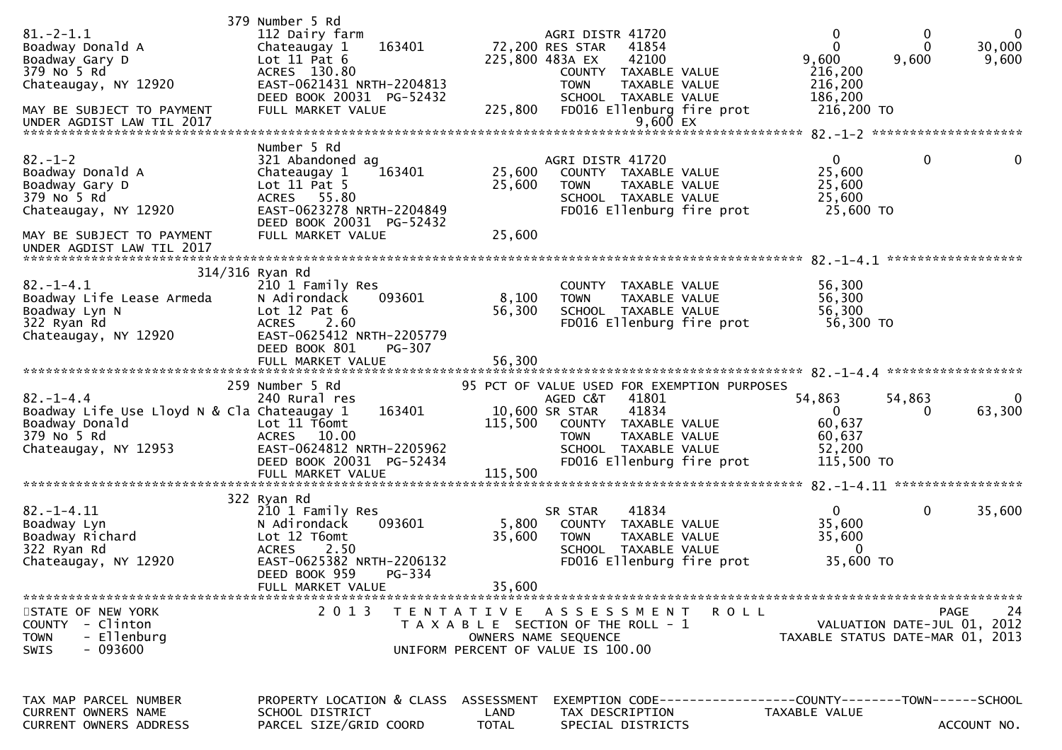| $81.-2-1.1$<br>Boadway Donald A<br>Boadway Gary D<br>379 No 5 Rd<br>Chateaugay, NY 12920<br>MAY BE SUBJECT TO PAYMENT<br>UNDER AGDIST LAW TIL 2017  | 379 Number 5 Rd<br>112 Dairy farm<br>163401<br>Chateaugay 1<br>Lot $11$ Pat $6$<br>ACRES 130.80<br>EAST-0621431 NRTH-2204813<br>DEED BOOK 20031 PG-52432<br>FULL MARKET VALUE          | 225,800                            | AGRI DISTR 41720<br>72,200 RES STAR<br>41854<br>42100<br>225,800 483A EX<br>COUNTY TAXABLE VALUE<br><b>TOWN</b><br>TAXABLE VALUE<br>SCHOOL TAXABLE VALUE<br>FD016 Ellenburg fire prot<br>9,600 EX        | 0<br>$\Omega$<br>9,600<br>216,200<br>216,200<br>186,200<br>216,200 TO | $\mathbf{0}$<br>$\bf{0}$<br>30,000<br>$\Omega$<br>9,600<br>9,600              |
|-----------------------------------------------------------------------------------------------------------------------------------------------------|----------------------------------------------------------------------------------------------------------------------------------------------------------------------------------------|------------------------------------|----------------------------------------------------------------------------------------------------------------------------------------------------------------------------------------------------------|-----------------------------------------------------------------------|-------------------------------------------------------------------------------|
| $82 - 1 - 2$<br>Boadway Donald A<br>Boadway Gary D<br>379 No 5 Rd<br>Chateaugay, NY 12920<br>MAY BE SUBJECT TO PAYMENT<br>UNDER AGDIST LAW TIL 2017 | Number 5 Rd<br>321 Abandoned ag<br>163401<br>Chateaugay 1<br>Lot $11$ Pat 5<br>ACRES 55.80<br>EAST-0623278 NRTH-2204849<br>DEED BOOK 20031 PG-52432<br>FULL MARKET VALUE               | 25,600<br>25,600<br>25,600         | AGRI DISTR 41720<br>COUNTY TAXABLE VALUE<br><b>TAXABLE VALUE</b><br><b>TOWN</b><br>SCHOOL TAXABLE VALUE<br>FD016 Ellenburg fire prot                                                                     | $\mathbf{0}$<br>25,600<br>25,600<br>25,600<br>25,600 TO               | $\mathbf 0$<br>0                                                              |
| $82. - 1 - 4.1$<br>Boadway Life Lease Armeda<br>Boadway Lyn N<br>322 Ryan Rd<br>Chateaugay, NY 12920                                                | 314/316 Ryan Rd<br>210 1 Family Res<br>093601<br>N Adirondack<br>Lot $12$ Pat $6$<br>2.60<br><b>ACRES</b><br>EAST-0625412 NRTH-2205779<br>DEED BOOK 801<br>PG-307<br>FULL MARKET VALUE | 8,100<br>56,300<br>56,300          | COUNTY<br>TAXABLE VALUE<br>TAXABLE VALUE<br><b>TOWN</b><br>SCHOOL TAXABLE VALUE<br>FD016 Ellenburg fire prot                                                                                             | 56,300<br>56,300<br>56,300<br>56,300 TO                               |                                                                               |
| $82. - 1 - 4.4$<br>Boadway Life Use Lloyd N & Cla Chateaugay 1<br>Boadway Donald<br>379 No 5 Rd<br>Chateaugay, NY 12953                             | 259 Number 5 Rd<br>240 Rural res<br>163401<br>Lot 11 T6omt<br>10.00<br><b>ACRES</b><br>EAST-0624812 NRTH-2205962<br>DEED BOOK 20031 PG-52434<br>FULL MARKET VALUE                      | 115,500<br>115,500                 | 95 PCT OF VALUE USED FOR EXEMPTION PURPOSES<br>41801<br>AGED C&T<br>41834<br>10,600 SR STAR<br>COUNTY TAXABLE VALUE<br>TAXABLE VALUE<br><b>TOWN</b><br>SCHOOL TAXABLE VALUE<br>FD016 Ellenburg fire prot | 54,863<br>0<br>60,637<br>60,637<br>52,200<br>115,500 TO               | 54,863<br>0<br>63,300<br>0                                                    |
| $82. - 1 - 4.11$<br>Boadway Lyn<br>Boadway Richard<br>322 Ryan Rd<br>Chateaugay, NY 12920                                                           | 322 Ryan Rd<br>210 1 Family Res<br>N Adirondack<br>093601<br>Lot 12 T6omt<br><b>ACRES</b><br>2.50<br>EAST-0625382 NRTH-2206132<br>DEED BOOK 959 PG-334<br>FULL MARKET VALUE            | 5,800<br>35,600<br>35,600          | SR STAR<br>41834<br>COUNTY<br><b>TAXABLE VALUE</b><br><b>TOWN</b><br>TAXABLE VALUE<br>SCHOOL TAXABLE VALUE<br>FD016 Ellenburg fire prot                                                                  | $\mathbf{0}$<br>35,600<br>35,600<br>0<br>35,600 TO                    | $\mathbf 0$<br>35,600                                                         |
| STATE OF NEW YORK<br>- Clinton<br><b>COUNTY</b><br>- Ellenburg<br><b>TOWN</b><br>$-093600$<br><b>SWIS</b>                                           | 2 0 1 3                                                                                                                                                                                |                                    | R O L L<br>TENTATIVE ASSESSMENT<br>T A X A B L E SECTION OF THE ROLL - 1<br>OWNERS NAME SEQUENCE<br>UNIFORM PERCENT OF VALUE IS 100.00                                                                   |                                                                       | 24<br>PAGE<br>VALUATION DATE-JUL 01, 2012<br>TAXABLE STATUS DATE-MAR 01, 2013 |
| TAX MAP PARCEL NUMBER<br>CURRENT OWNERS NAME<br><b>CURRENT OWNERS ADDRESS</b>                                                                       | PROPERTY LOCATION & CLASS<br>SCHOOL DISTRICT<br>PARCEL SIZE/GRID COORD                                                                                                                 | ASSESSMENT<br>LAND<br><b>TOTAL</b> | EXEMPTION CODE------------------COUNTY--------TOWN------SCHOOL<br>TAX DESCRIPTION<br>SPECIAL DISTRICTS                                                                                                   | TAXABLE VALUE                                                         | ACCOUNT NO.                                                                   |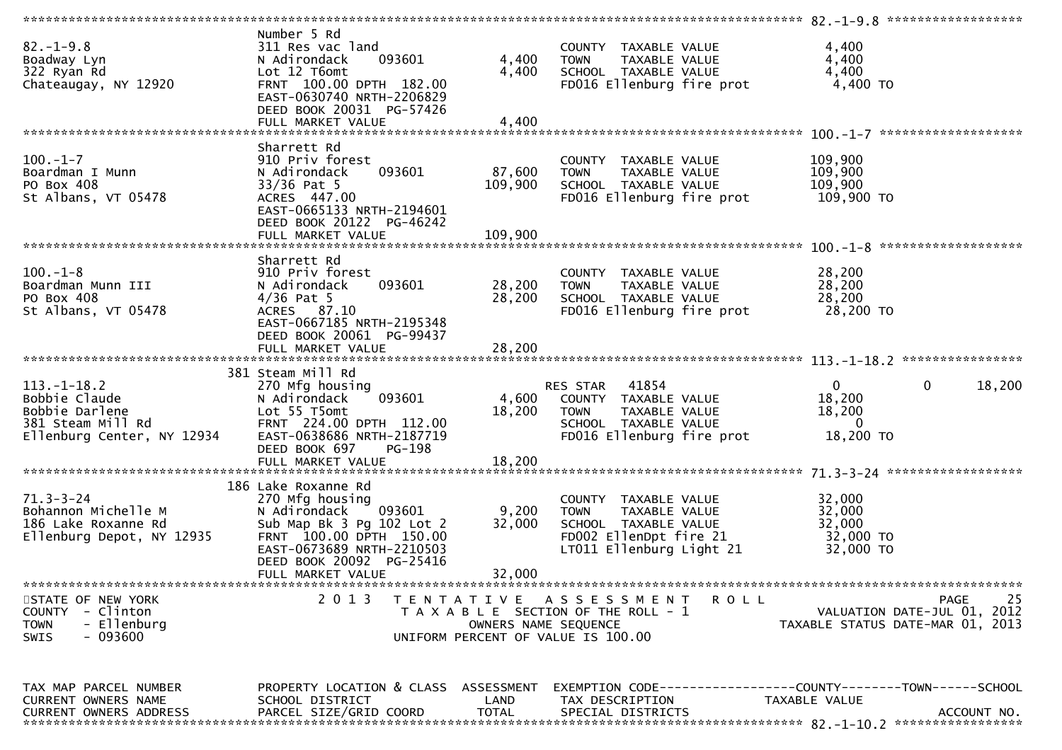| $82. - 1 - 9.8$<br>Boadway Lyn<br>322 Ryan Rd<br>Chateaugay, NY 12920                                    | Number 5 Rd<br>311 Res vac land<br>093601<br>N Adirondack<br>Lot 12 T6omt<br>FRNT 100.00 DPTH 182.00<br>EAST-0630740 NRTH-2206829<br>DEED BOOK 20031 PG-57426<br>FULL MARKET VALUE | 4,400<br>4,400<br>4,400                   | COUNTY TAXABLE VALUE<br>TAXABLE VALUE<br><b>TOWN</b><br>SCHOOL TAXABLE VALUE<br>FD016 Ellenburg fire prot                          | 4,400<br>4,400<br>4,400<br>4,400 TO                                                          |
|----------------------------------------------------------------------------------------------------------|------------------------------------------------------------------------------------------------------------------------------------------------------------------------------------|-------------------------------------------|------------------------------------------------------------------------------------------------------------------------------------|----------------------------------------------------------------------------------------------|
|                                                                                                          |                                                                                                                                                                                    |                                           |                                                                                                                                    |                                                                                              |
| $100. -1 - 7$<br>Boardman I Munn<br>PO Box 408<br>St Albans, VT 05478                                    | Sharrett Rd<br>910 Priv forest<br>093601<br>N Adirondack<br>$33/36$ Pat 5<br>ACRES 447.00<br>EAST-0665133 NRTH-2194601<br>DEED BOOK 20122 PG-46242                                 | 87,600<br>109,900                         | COUNTY TAXABLE VALUE<br>TAXABLE VALUE<br><b>TOWN</b><br>SCHOOL TAXABLE VALUE<br>FD016 Ellenburg fire prot                          | 109,900<br>109,900<br>109,900<br>109,900 TO                                                  |
|                                                                                                          |                                                                                                                                                                                    |                                           |                                                                                                                                    |                                                                                              |
| $100. -1 - 8$<br>Boardman Munn III<br>PO Box 408<br>St Albans, VT 05478                                  | Sharrett Rd<br>910 Priv forest<br>093601<br>N Adirondack<br>$4/36$ Pat 5<br>ACRES 87.10<br>EAST-0667185 NRTH-2195348                                                               | 28,200<br>28,200                          | COUNTY TAXABLE VALUE<br><b>TOWN</b><br>TAXABLE VALUE<br>SCHOOL TAXABLE VALUE<br>FD016 Ellenburg fire prot                          | 28,200<br>28,200<br>28,200<br>28,200 TO                                                      |
|                                                                                                          | DEED BOOK 20061 PG-99437<br>FULL MARKET VALUE                                                                                                                                      | 28,200                                    |                                                                                                                                    |                                                                                              |
| $113.-1-18.2$<br>Bobbie Claude<br>Bobbie Darlene<br>381 Steam Mill Rd<br>Ellenburg Center, NY 12934      | 381 Steam Mill Rd<br>270 Mfg housing<br>093601<br>N Adirondack<br>Lot 55 T5omt<br>FRNT 224.00 DPTH 112.00<br>EAST-0638686 NRTH-2187719<br>DEED BOOK 697<br>PG-198                  | 18,200                                    | RES STAR 41854<br>4,600 COUNTY TAXABLE VALUE<br>TAXABLE VALUE<br><b>TOWN</b><br>SCHOOL TAXABLE VALUE<br>FD016 Ellenburg fire prot  | $\overline{0}$<br>$\mathbf 0$<br>18,200<br>18,200<br>18,200<br>$\Omega$<br>18,200 TO         |
|                                                                                                          |                                                                                                                                                                                    |                                           |                                                                                                                                    |                                                                                              |
|                                                                                                          | 186 Lake Roxanne Rd                                                                                                                                                                |                                           |                                                                                                                                    |                                                                                              |
| $71.3 - 3 - 24$<br>Bohannon Michelle M<br>186 Lake Roxanne Rd<br>Ellenburg Depot, NY 12935               | 270 Mfg housing<br>093601<br>N Adirondack<br>Sub Map Bk 3 Pg 102 Lot 2<br>FRNT 100.00 DPTH 150.00<br>EAST-0673689 NRTH-2210503<br>DEED BOOK 20092 PG-25416<br>FULL MARKET VALUE    | 9,200<br>32,000<br>32,000                 | COUNTY TAXABLE VALUE<br>TAXABLE VALUE<br><b>TOWN</b><br>SCHOOL TAXABLE VALUE<br>FD002 EllenDpt fire 21<br>LT011 Ellenburg Light 21 | 32,000<br>32,000<br>32,000<br>32,000 TO<br>32,000 TO                                         |
|                                                                                                          | ***********************                                                                                                                                                            |                                           |                                                                                                                                    |                                                                                              |
| STATE OF NEW YORK<br>- Clinton<br><b>COUNTY</b><br>- Ellenburg<br><b>TOWN</b><br>- 093600<br><b>SWIS</b> | 2 0 1 3                                                                                                                                                                            | T E N T A T I V E<br>OWNERS NAME SEOUENCE | A S S E S S M E N T<br>R O L L<br>T A X A B L E SECTION OF THE ROLL - 1<br>UNIFORM PERCENT OF VALUE IS 100.00                      | 25<br>PAGE<br>VALUATION DATE-JUL 01, 2012<br>TAXABLE STATUS DATE-MAR 01, 2013                |
| TAX MAP PARCEL NUMBER<br>CURRENT OWNERS NAME<br>CURRENT OWNERS ADDRESS                                   | PROPERTY LOCATION & CLASS ASSESSMENT<br>SCHOOL DISTRICT<br>PARCEL SIZE/GRID COORD                                                                                                  | LAND<br><b>TOTAL</b>                      | TAX DESCRIPTION<br>SPECIAL DISTRICTS                                                                                               | EXEMPTION CODE-----------------COUNTY-------TOWN------SCHOOL<br>TAXABLE VALUE<br>ACCOUNT NO. |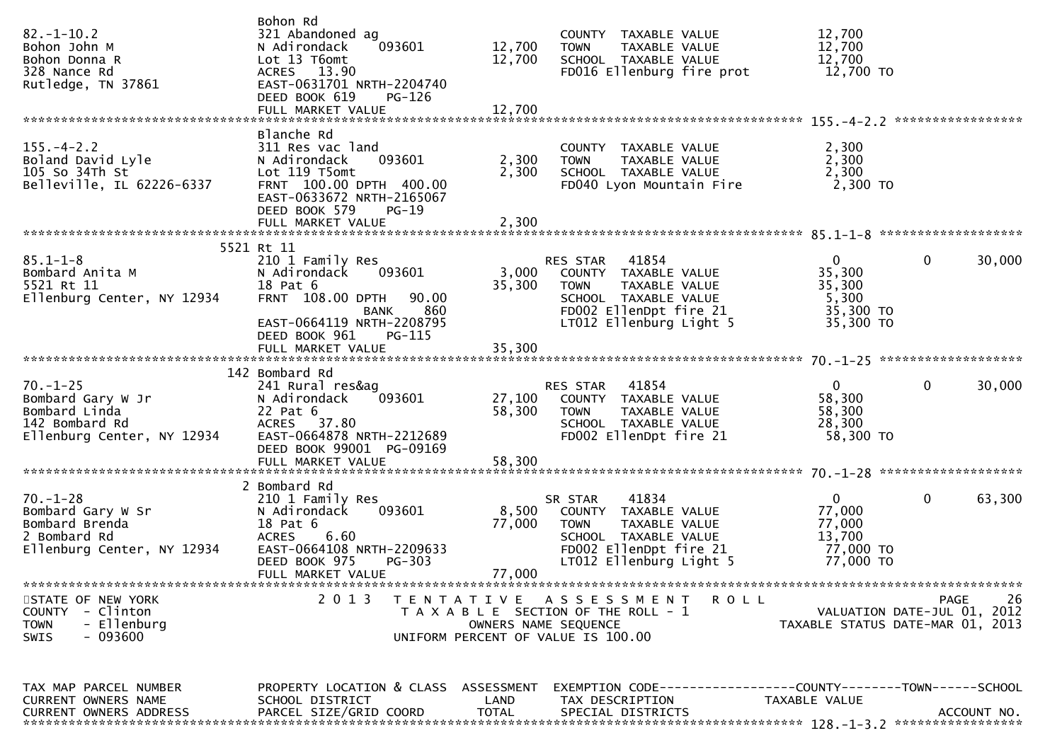| $82. - 1 - 10.2$<br>Bohon John M<br>Bohon Donna R<br>328 Nance Rd<br>Rutledge, TN 37861                          | Bohon Rd<br>321 Abandoned ag<br>093601<br>N Adirondack<br>Lot 13 T6omt<br>ACRES 13.90<br>EAST-0631701 NRTH-2204740<br>DEED BOOK 619<br>PG-126                                    | 12,700<br>12,700        | COUNTY TAXABLE VALUE<br>TAXABLE VALUE<br><b>TOWN</b><br>SCHOOL TAXABLE VALUE<br>FD016 Ellenburg fire prot                                                    | 12,700<br>12,700<br>12,700<br>12,700 TO                              |                                           |
|------------------------------------------------------------------------------------------------------------------|----------------------------------------------------------------------------------------------------------------------------------------------------------------------------------|-------------------------|--------------------------------------------------------------------------------------------------------------------------------------------------------------|----------------------------------------------------------------------|-------------------------------------------|
| $155. - 4 - 2.2$<br>Boland David Lyle<br>105 So 34Th St<br>105 So 34Th St<br>Belleville, IL 62226-6337           | Blanche Rd<br>311 Res vac land<br>093601<br>N Adirondack<br>Lot 119 T5omt<br>FRNT 100.00 DPTH 400.00<br>EAST-0633672 NRTH-2165067<br>DEED BOOK 579<br>PG-19<br>FULL MARKET VALUE | 2,300<br>2,300<br>2,300 | COUNTY TAXABLE VALUE<br><b>TOWN</b><br>TAXABLE VALUE<br>SCHOOL TAXABLE VALUE<br>FD040 Lyon Mountain Fire                                                     | 2,300<br>2,300<br>2,300<br>2,300 TO                                  |                                           |
|                                                                                                                  | 5521 Rt 11                                                                                                                                                                       |                         |                                                                                                                                                              |                                                                      |                                           |
| $85.1 - 1 - 8$<br>85.1-1-8<br>Bombard Anita M<br>5521 Rt 11<br>Ellenburg Center, NY 12934                        | 210 1 Family Res<br>N Adirondack<br>093601<br>18 Pat 6<br>FRNT 108.00 DPTH<br>90.00<br>860<br>BANK<br>EAST-0664119 NRTH-2208795                                                  | 35,300                  | RES STAR<br>41854<br>3,000 COUNTY TAXABLE VALUE<br><b>TOWN</b><br>TAXABLE VALUE<br>SCHOOL TAXABLE VALUE<br>FD002 EllenDpt fire 21<br>LT012 Ellenburg Light 5 | $\mathbf{0}$<br>35,300<br>35,300<br>5,300<br>35,300 TO<br>35,300 TO  | $\mathbf{0}$<br>30,000                    |
|                                                                                                                  | DEED BOOK 961<br>PG-115                                                                                                                                                          |                         |                                                                                                                                                              |                                                                      |                                           |
| $70. - 1 - 25$<br>Bombard Gary W Jr<br>Bombard Linda<br>142 Bombard Rd<br>Ellenburg Center, NY 12934             | 142 Bombard Rd<br>241 Rural res&ag<br>093601<br>N Adirondack<br>22 Pat 6<br>ACRES 37.80<br>EAST-0664878 NRTH-2212689<br>DEED BOOK 99001 PG-09169                                 | 27,100<br>58,300        | RES STAR 41854<br>COUNTY TAXABLE VALUE<br><b>TOWN</b><br>TAXABLE VALUE<br>SCHOOL TAXABLE VALUE<br>FD002 EllenDpt fire 21                                     | $\mathbf 0$<br>58,300<br>58,300<br>28,300<br>58,300 TO               | $\mathbf{0}$<br>30,000                    |
|                                                                                                                  | 2 Bombard Rd                                                                                                                                                                     |                         |                                                                                                                                                              |                                                                      |                                           |
| $70. - 1 - 28$<br>Bombard Gary W Sr N Adirondack<br>Bombard Brenda<br>2 Bombard Rd<br>Ellenburg Center, NY 12934 | 210 1 Family Res<br>093601<br>18 Pat 6<br>ACRES 6.60<br>EAST-0664108 NRTH-2209633<br>DEED BOOK 975<br>PG-303                                                                     | 77,000                  | 41834<br>SR STAR<br>8,500 COUNTY TAXABLE VALUE<br><b>TOWN</b><br>TAXABLE VALUE<br>SCHOOL TAXABLE VALUE<br>FD002 EllenDpt fire 21<br>LT012 Ellenburg Light 5  | $\mathbf{0}$<br>77,000<br>77,000<br>13,700<br>77,000 TO<br>77,000 TO | $\mathbf{0}$<br>63,300                    |
|                                                                                                                  | FULL MARKET VALUE                                                                                                                                                                | 77,000                  |                                                                                                                                                              |                                                                      |                                           |
| STATE OF NEW YORK<br>COUNTY - Clinton<br>- Ellenburg<br><b>TOWN</b><br>- 093600<br>SWIS                          | 2 0 1 3                                                                                                                                                                          |                         | TENTATIVE ASSESSMENT ROLL<br>T A X A B L E SECTION OF THE ROLL - 1<br>OWNERS NAME SEQUENCE<br>UNIFORM PERCENT OF VALUE IS 100.00                             | TAXABLE STATUS DATE-MAR 01, 2013                                     | 26<br>PAGE<br>VALUATION DATE-JUL 01, 2012 |
| TAX MAP PARCEL NUMBER<br><b>CURRENT OWNERS NAME</b>                                                              | PROPERTY LOCATION & CLASS ASSESSMENT<br>SCHOOL DISTRICT                                                                                                                          | LAND                    | EXEMPTION CODE-----------------COUNTY-------TOWN------SCHOOL<br>TAX DESCRIPTION                                                                              | TAXABLE VALUE                                                        |                                           |
| <b>CURRENT OWNERS ADDRESS</b>                                                                                    | PARCEL SIZE/GRID COORD                                                                                                                                                           | <b>TOTAL</b>            | SPECIAL DISTRICTS                                                                                                                                            |                                                                      | ACCOUNT NO.                               |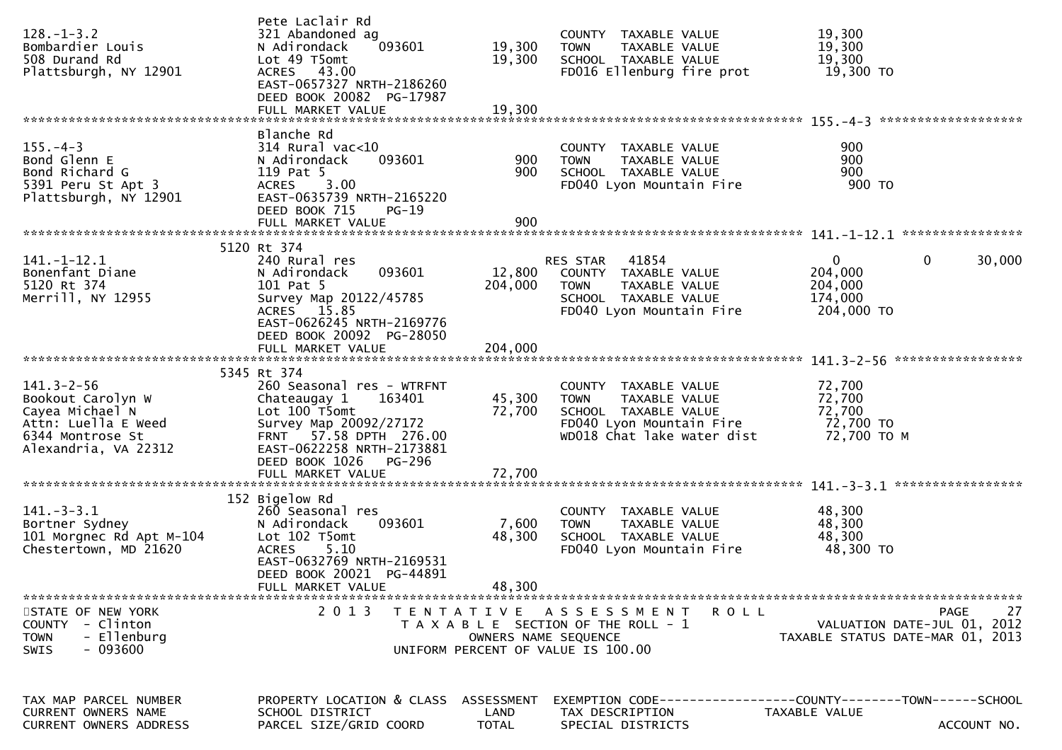| $128. - 1 - 3.2$<br>Bombardier Louis<br>508 Durand Rd<br>Plattsburgh, NY 12901                                              | Pete Laclair Rd<br>321 Abandoned ag<br>093601<br>N Adirondack<br>Lot 49 T5omt<br>ACRES 43.00<br>EAST-0657327 NRTH-2186260<br>DEED BOOK 20082 PG-17987<br>FULL MARKET VALUE     | 19,300<br>19,300<br>19,300                | COUNTY TAXABLE VALUE<br><b>TOWN</b><br>TAXABLE VALUE<br>SCHOOL TAXABLE VALUE<br>FD016 Ellenburg fire prot                              | 19,300<br>19,300<br>19,300<br>19,300 TO                                        |        |
|-----------------------------------------------------------------------------------------------------------------------------|--------------------------------------------------------------------------------------------------------------------------------------------------------------------------------|-------------------------------------------|----------------------------------------------------------------------------------------------------------------------------------------|--------------------------------------------------------------------------------|--------|
|                                                                                                                             |                                                                                                                                                                                |                                           |                                                                                                                                        |                                                                                |        |
| $155. - 4 - 3$<br>Bond Glenn E<br>Bond Richard G<br>5391 Peru St Apt 3<br>Plattsburgh, NY 12901                             | Blanche Rd<br>$314$ Rural vac<10<br>N Adirondack<br>093601<br>119 Pat 5<br>3.00<br><b>ACRES</b><br>EAST-0635739 NRTH-2165220<br>DEED BOOK 715<br>$PG-19$<br>FULL MARKET VALUE  | 900<br>900<br>900                         | COUNTY TAXABLE VALUE<br><b>TOWN</b><br>TAXABLE VALUE<br>SCHOOL TAXABLE VALUE<br>FD040 Lyon Mountain Fire                               | 900<br>900<br>900<br>900 TO                                                    |        |
|                                                                                                                             |                                                                                                                                                                                |                                           |                                                                                                                                        |                                                                                |        |
| $141.-1-12.1$<br>Bonenfant Diane<br>5120 Rt 374<br>Merrill, NY 12955                                                        | 5120 Rt 374<br>240 Rural res<br>093601<br>N Adirondack<br>101 Pat 5<br>Survey Map 20122/45785<br>ACRES 15.85<br>EAST-0626245 NRTH-2169776                                      | 12,800<br>204,000                         | 41854<br>RES STAR<br>COUNTY TAXABLE VALUE<br><b>TOWN</b><br>TAXABLE VALUE<br>SCHOOL TAXABLE VALUE<br>FD040 Lyon Mountain Fire          | $\mathbf 0$<br>$\mathbf{0}$<br>204,000<br>204,000<br>174,000<br>204,000 TO     | 30,000 |
|                                                                                                                             | DEED BOOK 20092 PG-28050<br>FULL MARKET VALUE                                                                                                                                  | 204,000                                   |                                                                                                                                        |                                                                                |        |
|                                                                                                                             | 5345 Rt 374                                                                                                                                                                    |                                           |                                                                                                                                        |                                                                                |        |
| $141.3 - 2 - 56$<br>Bookout Carolyn W<br>Cayea Michael N<br>Attn: Luella E Weed<br>6344 Montrose St<br>Alexandria, VA 22312 | 260 Seasonal res - WTRFNT<br>Chateaugay 1<br>163401<br>Lot 100 T5omt<br>Survey Map 20092/27172<br>FRNT 57.58 DPTH 276.00<br>EAST-0622258 NRTH-2173881<br>DEED BOOK 1026 PG-296 | 45,300<br>72,700                          | COUNTY TAXABLE VALUE<br>TAXABLE VALUE<br><b>TOWN</b><br>SCHOOL TAXABLE VALUE<br>FD040 Lyon Mountain Fire<br>WD018 Chat lake water dist | 72,700<br>72,700<br>72,700<br>72,700 TO<br>72,700 TO M                         |        |
|                                                                                                                             | FULL MARKET VALUE                                                                                                                                                              | 72,700                                    |                                                                                                                                        |                                                                                |        |
|                                                                                                                             |                                                                                                                                                                                |                                           |                                                                                                                                        |                                                                                |        |
| $141. - 3 - 3.1$<br>Bortner Sydney<br>101 Morgnec Rd Apt M-104<br>Chestertown, MD 21620                                     | 152 Bigelow Rd<br>260 Seasonal res<br>093601<br>N Adirondack<br>Lot 102 T5omt<br>5.10<br><b>ACRES</b><br>EAST-0632769 NRTH-2169531<br>DEED BOOK 20021 PG-44891                 | 7,600<br>48,300                           | COUNTY TAXABLE VALUE<br><b>TOWN</b><br>TAXABLE VALUE<br>SCHOOL TAXABLE VALUE<br>FD040 Lyon Mountain Fire                               | 48,300<br>48,300<br>48,300<br>48,300 TO                                        |        |
|                                                                                                                             | FULL MARKET VALUE                                                                                                                                                              | 48,300                                    |                                                                                                                                        |                                                                                |        |
|                                                                                                                             |                                                                                                                                                                                |                                           |                                                                                                                                        |                                                                                |        |
| STATE OF NEW YORK<br><b>COUNTY</b><br>- Clinton<br>- Ellenburg<br><b>TOWN</b><br>- 093600<br>SWIS                           | 2 0 1 3                                                                                                                                                                        |                                           | TENTATIVE ASSESSMENT<br>ROLL<br>T A X A B L E SECTION OF THE ROLL - 1<br>OWNERS NAME SEQUENCE<br>UNIFORM PERCENT OF VALUE IS 100.00    | <b>PAGE</b><br>VALUATION DATE-JUL 01, 2012<br>TAXABLE STATUS DATE-MAR 01, 2013 | 27     |
|                                                                                                                             |                                                                                                                                                                                |                                           |                                                                                                                                        |                                                                                |        |
| TAX MAP PARCEL NUMBER<br>CURRENT OWNERS NAME<br>CURRENT OWNERS ADDRESS                                                      | PROPERTY LOCATION & CLASS<br>SCHOOL DISTRICT<br>PARCEL SIZE/GRID COORD                                                                                                         | <b>ASSESSMENT</b><br>LAND<br><b>TOTAL</b> | TAX DESCRIPTION<br>SPECIAL DISTRICTS                                                                                                   | TAXABLE VALUE<br>ACCOUNT NO.                                                   |        |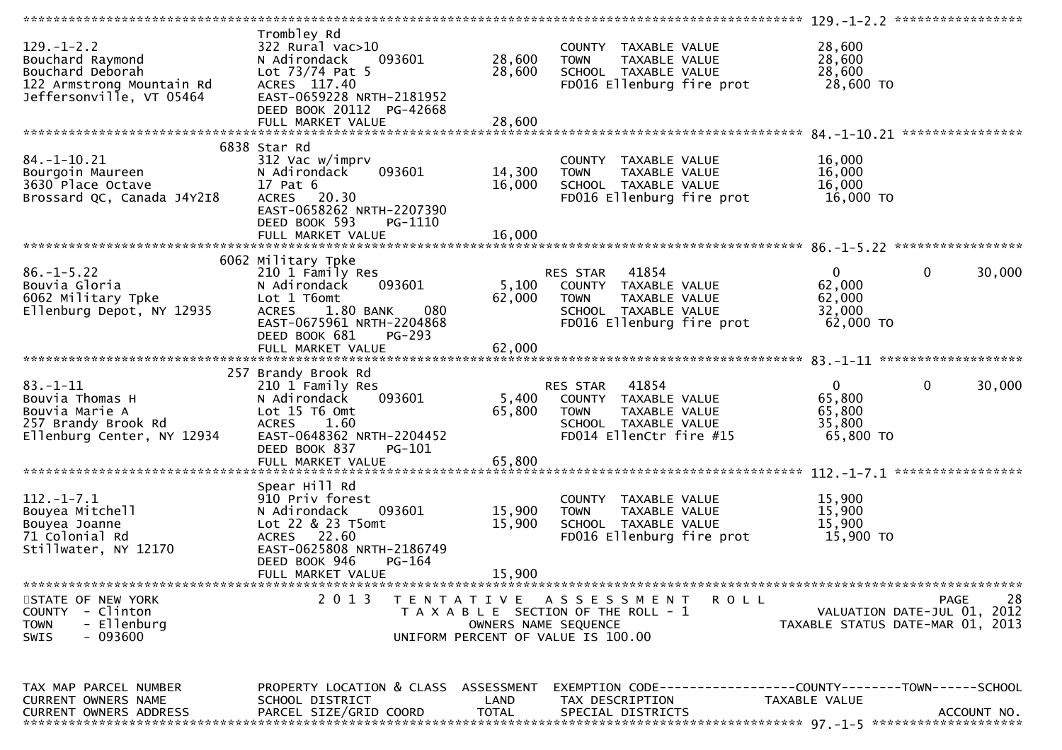| $129. - 1 - 2.2$<br>Bouchard Raymond<br>Bouchard Deborah<br>122 Armstrong Mountain Rd<br>Jeffersonville, VT 05464 | Trombley Rd<br>322 Rural vac>10<br>N Adirondack<br>093601<br>Lot $73/74$ Pat 5<br>ACRES 117.40<br>EAST-0659228 NRTH-2181952<br>DEED BOOK 20112 PG-42668                                                 | 28,600<br>28,600          | COUNTY TAXABLE VALUE<br>TAXABLE VALUE<br><b>TOWN</b><br>SCHOOL TAXABLE VALUE<br>FD016 Ellenburg fire prot                                  | 28,600<br>28,600<br>28,600<br>28,600 TO                   |                                                  |
|-------------------------------------------------------------------------------------------------------------------|---------------------------------------------------------------------------------------------------------------------------------------------------------------------------------------------------------|---------------------------|--------------------------------------------------------------------------------------------------------------------------------------------|-----------------------------------------------------------|--------------------------------------------------|
|                                                                                                                   |                                                                                                                                                                                                         |                           |                                                                                                                                            |                                                           |                                                  |
| $84. - 1 - 10.21$<br>Bourgoin Maureen<br>3630 Place Octave<br>Brossard QC, Canada J4Y2I8                          | 6838 Star Rd<br>312 Vac w/imprv<br>093601<br>N Adirondack<br>17 Pat 6<br>ACRES 20.30<br>EAST-0658262 NRTH-2207390<br>DEED BOOK 593<br>PG-1110                                                           | 14,300<br>16,000          | COUNTY TAXABLE VALUE<br>TAXABLE VALUE<br><b>TOWN</b><br>SCHOOL TAXABLE VALUE<br>FD016 Ellenburg fire prot                                  | 16,000<br>16,000<br>16,000<br>16,000 TO                   |                                                  |
|                                                                                                                   | FULL MARKET VALUE                                                                                                                                                                                       | 16,000                    |                                                                                                                                            |                                                           |                                                  |
| $86. - 1 - 5.22$<br>Bouvia Gloria<br>6062 Military Tpke<br>Ellenburg Depot, NY 12935                              | 6062 Military Tpke<br>210 1 Family Res<br>093601<br>N Adirondack<br>Lot 1 T6omt<br>1.80 BANK<br>080<br><b>ACRES</b><br>EAST-0675961 NRTH-2204868<br>DEED BOOK 681<br><b>PG-293</b><br>FULL MARKET VALUE | 5,100<br>62,000<br>62,000 | <b>RES STAR 41854</b><br>COUNTY TAXABLE VALUE<br><b>TOWN</b><br>TAXABLE VALUE<br>SCHOOL TAXABLE VALUE<br>FD016 Ellenburg fire prot         | $\overline{0}$<br>62,000<br>62,000<br>32,000<br>62,000 TO | $\mathbf 0$<br>30,000                            |
|                                                                                                                   |                                                                                                                                                                                                         |                           |                                                                                                                                            |                                                           |                                                  |
| $83 - 1 - 11$<br>Bouvia Thomas H<br>Bouvia Marie A<br>257 Brandy Brook Rd<br>Ellenburg Center, NY 12934           | 257 Brandy Brook Rd<br>210 1 Family Res<br>093601<br>N Adirondack<br>Lot 15 T6 Omt<br>ACRES 1.60<br>EAST-0648362 NRTH-2204452<br>DEED BOOK 837<br>PG-101<br>FULL MARKET VALUE                           | 5,400<br>65,800<br>65,800 | RES STAR 41854<br>COUNTY TAXABLE VALUE<br><b>TOWN</b><br>TAXABLE VALUE<br>SCHOOL TAXABLE VALUE<br>FD014 EllenCtr fire #15                  | $\overline{0}$<br>65,800<br>65,800<br>35,800<br>65,800 TO | $\overline{0}$<br>30,000                         |
|                                                                                                                   |                                                                                                                                                                                                         |                           |                                                                                                                                            |                                                           |                                                  |
| $112.-1-7.1$<br>Bouyea Mitchell<br>Bouyea Joanne<br>71 Colonial Rd<br>Stillwater, NY 12170                        | Spear Hill Rd<br>910 Priv forest<br>093601<br>N Adirondack<br>Lot 22 & 23 T5omt<br>ACRES 22.60<br>EAST-0625808 NRTH-2186749<br>DEED BOOK 946<br>PG-164                                                  | 15,900<br>15,900          | COUNTY TAXABLE VALUE<br><b>TOWN</b><br>TAXABLE VALUE<br>SCHOOL TAXABLE VALUE<br>FD016 Ellenburg fire prot                                  | 15,900<br>15,900<br>15,900<br>15,900 TO                   |                                                  |
|                                                                                                                   | FULL MARKET VALUE                                                                                                                                                                                       | 15,900                    |                                                                                                                                            |                                                           |                                                  |
| STATE OF NEW YORK<br>- Clinton<br><b>COUNTY</b><br>- Ellenburg<br><b>TOWN</b><br>- 093600<br><b>SWIS</b>          | 2 0 1 3                                                                                                                                                                                                 |                           | TENTATIVE ASSESSMENT<br><b>ROLL</b><br>T A X A B L E SECTION OF THE ROLL - 1<br>OWNERS NAME SEQUENCE<br>UNIFORM PERCENT OF VALUE IS 100.00 | TAXABLE STATUS DATE-MAR 01, 2013                          | 28<br><b>PAGE</b><br>VALUATION DATE-JUL 01, 2012 |
| TAX MAP PARCEL NUMBER<br>CURRENT OWNERS NAME<br><b>CURRENT OWNERS ADDRESS</b>                                     | PROPERTY LOCATION & CLASS ASSESSMENT<br>SCHOOL DISTRICT<br>PARCEL SIZE/GRID COORD                                                                                                                       | LAND<br><b>TOTAL</b>      | EXEMPTION CODE-----------------COUNTY-------TOWN------SCHOOL<br>TAX DESCRIPTION<br>SPECIAL DISTRICTS                                       | TAXABLE VALUE                                             | ACCOUNT NO.                                      |
|                                                                                                                   |                                                                                                                                                                                                         |                           |                                                                                                                                            |                                                           |                                                  |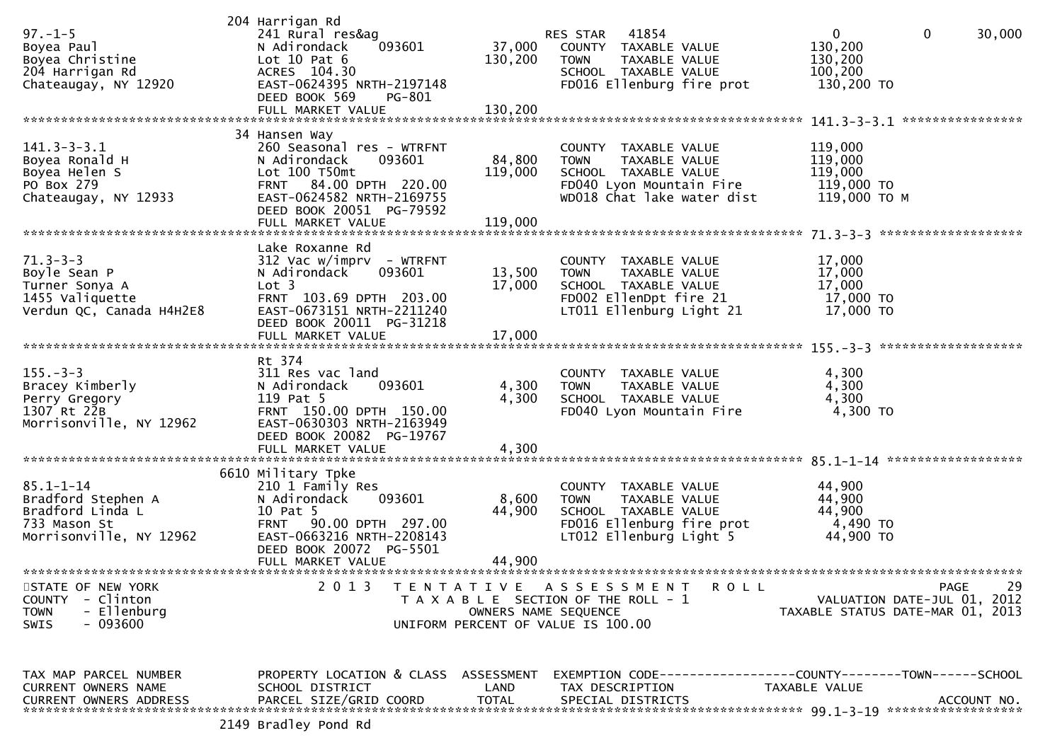| $97. - 1 - 5$<br>Boyea Paul<br>Boyea Christine<br>204 Harrigan Rd<br>Chateaugay, NY 12920                | 204 Harrigan Rd<br>241 Rural res&ag<br>093601<br>N Adirondack<br>Lot $10$ Pat $6$<br>ACRES 104.30<br>EAST-0624395 NRTH-2197148<br>DEED BOOK 569<br>PG-801<br>FULL MARKET VALUE                | 37,000<br>130,200<br>130,200 | RES STAR 41854<br>COUNTY TAXABLE VALUE<br>TAXABLE VALUE<br><b>TOWN</b><br>SCHOOL TAXABLE VALUE<br>FD016 Ellenburg fire prot            | 0<br>$\mathbf 0$<br>130,200<br>130,200<br>100,200<br>130,200 TO         | 30,000      |
|----------------------------------------------------------------------------------------------------------|-----------------------------------------------------------------------------------------------------------------------------------------------------------------------------------------------|------------------------------|----------------------------------------------------------------------------------------------------------------------------------------|-------------------------------------------------------------------------|-------------|
| $141.3 - 3 - 3.1$<br>Boyea Ronald H<br>Boyea Helen S<br>PO Box 279<br>Chateaugay, NY 12933               | 34 Hansen Way<br>260 Seasonal res - WTRFNT<br>N Adirondack<br>093601<br>Lot 100 T50mt<br>FRNT 84.00 DPTH 220.00<br>EAST-0624582 NRTH-2169755<br>DEED BOOK 20051 PG-79592<br>FULL MARKET VALUE | 84,800<br>119,000<br>119,000 | COUNTY TAXABLE VALUE<br><b>TOWN</b><br>TAXABLE VALUE<br>SCHOOL TAXABLE VALUE<br>FD040 Lyon Mountain Fire<br>WD018 Chat lake water dist | 119,000<br>119,000<br>119,000<br>119,000 TO<br>119,000 ТО М             |             |
| $71.3 - 3 - 3$<br>Boyle Sean P<br>Turner Sonya A<br>1455 Valiquette<br>Verdun QC, Canada H4H2E8          | Lake Roxanne Rd<br>$312$ Vac w/imprv - WTRFNT<br>N Adirondack<br>093601<br>Lot <sub>3</sub><br>FRNT 103.69 DPTH 203.00<br>EAST-0673151 NRTH-2211240<br>DEED BOOK 20011 PG-31218               | 13,500<br>17,000             | COUNTY TAXABLE VALUE<br>TAXABLE VALUE<br><b>TOWN</b><br>SCHOOL TAXABLE VALUE<br>FD002 EllenDpt fire 21<br>LT011 Ellenburg Light 21     | 17,000<br>17,000<br>17,000<br>17,000 TO<br>17,000 TO                    |             |
| $155. - 3 - 3$<br>Bracey Kimberly<br>Perry Gregory<br>1307 Rt 22B<br>Morrisonville, NY 12962             | Rt 374<br>311 Res vac land<br>093601<br>N Adirondack<br>119 Pat 5<br>FRNT 150.00 DPTH 150.00<br>EAST-0630303 NRTH-2163949<br>DEED BOOK 20082 PG-19767<br>FULL MARKET VALUE                    | 4,300<br>4,300<br>4,300      | COUNTY TAXABLE VALUE<br><b>TOWN</b><br>TAXABLE VALUE<br>SCHOOL TAXABLE VALUE<br>FD040 Lyon Mountain Fire                               | 4,300<br>4,300<br>4,300<br>4,300 TO                                     |             |
| $85.1 - 1 - 14$<br>Bradford Stephen A<br>Bradford Linda L<br>733 Mason St<br>Morrisonville, NY 12962     | 6610 Military Tpke<br>210 1 Family Res<br>N Adirondack<br>093601<br>10 Pat 5<br>FRNT 90.00 DPTH 297.00<br>EAST-0663216 NRTH-2208143<br>DEED BOOK 20072 PG-5501<br>FULL MARKET VALUE           | 8,600<br>44,900<br>44,900    | COUNTY TAXABLE VALUE<br>TAXABLE VALUE<br><b>TOWN</b><br>SCHOOL TAXABLE VALUE<br>FD016 Ellenburg fire prot<br>LT012 Ellenburg Light 5   | 44,900<br>44,900<br>44,900<br>4,490 TO<br>44,900 TO                     |             |
| STATE OF NEW YORK<br>- Clinton<br><b>COUNTY</b><br>- Ellenburg<br><b>TOWN</b><br>- 093600<br><b>SWIS</b> | 2 0 1 3                                                                                                                                                                                       | OWNERS NAME SEQUENCE         | TENTATIVE ASSESSMENT<br>ROLL<br>T A X A B L E SECTION OF THE ROLL - 1<br>UNIFORM PERCENT OF VALUE IS 100.00                            | PAGE<br>VALUATION DATE-JUL 01, 2012<br>TAXABLE STATUS DATE-MAR 01, 2013 | 29          |
| TAX MAP PARCEL NUMBER<br><b>CURRENT OWNERS NAME</b><br><b>CURRENT OWNERS ADDRESS</b>                     | PROPERTY LOCATION & CLASS ASSESSMENT<br>SCHOOL DISTRICT<br>PARCEL SIZE/GRID COORD<br>2149 Bradley Pond Rd                                                                                     | LAND<br><b>TOTAL</b>         | EXEMPTION CODE-----------------COUNTY-------TOWN-----SCHOOL<br>TAX DESCRIPTION<br>SPECIAL DISTRICTS                                    | TAXABLE VALUE                                                           | ACCOUNT NO. |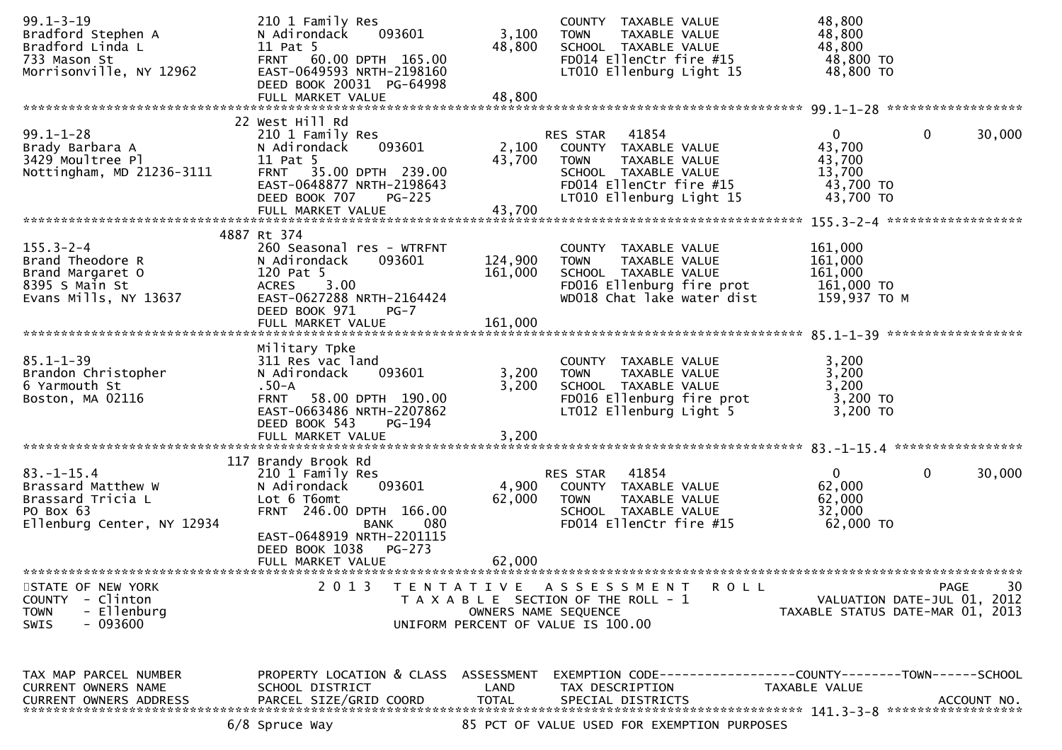| $99.1 - 3 - 19$<br>Bradford Stephen A<br>Bradford Linda L<br>733 Mason St<br>Morrisonville, NY 12962     | 210 1 Family Res<br>093601<br>N Adirondack<br>11 Pat 5<br>FRNT 60.00 DPTH 165.00<br>EAST-0649593 NRTH-2198160<br>DEED BOOK 20031 PG-64998                                                         | 3,100<br>48,800           | COUNTY TAXABLE VALUE<br>TAXABLE VALUE<br><b>TOWN</b><br>SCHOOL TAXABLE VALUE<br>FD014 EllenCtr fire #15<br>LT010 Ellenburg Light 15                             | 48,800<br>48,800<br>48,800<br>48,800 TO<br>48,800 TO                 |                        |
|----------------------------------------------------------------------------------------------------------|---------------------------------------------------------------------------------------------------------------------------------------------------------------------------------------------------|---------------------------|-----------------------------------------------------------------------------------------------------------------------------------------------------------------|----------------------------------------------------------------------|------------------------|
|                                                                                                          | FULL MARKET VALUE                                                                                                                                                                                 | 48,800                    |                                                                                                                                                                 |                                                                      |                        |
| $99.1 - 1 - 28$<br>Brady Barbara A<br>3429 Moultree Pl<br>Nottingham, MD 21236-3111                      | 22 West Hill Rd<br>210 1 Family Res<br>093601<br>N Adirondack<br>11 Pat 5<br><b>FRNT</b><br>35.00 DPTH 239.00<br>EAST-0648877 NRTH-2198643<br>DEED BOOK 707<br><b>PG-225</b><br>FULL MARKET VALUE | 2,100<br>43,700<br>43,700 | 41854<br><b>RES STAR</b><br>COUNTY TAXABLE VALUE<br><b>TOWN</b><br>TAXABLE VALUE<br>SCHOOL TAXABLE VALUE<br>FD014 EllenCtr fire #15<br>LT010 Ellenburg Light 15 | $\mathbf{0}$<br>43,700<br>43,700<br>13,700<br>43,700 TO<br>43,700 TO | $\mathbf{0}$<br>30,000 |
|                                                                                                          | 4887 Rt 374                                                                                                                                                                                       |                           |                                                                                                                                                                 |                                                                      |                        |
| $155.3 - 2 - 4$<br>Brand Theodore R<br>Brand Margaret O<br>8395 S Main St<br>Evans Mills, NY 13637       | 260 Seasonal res - WTRFNT<br>N Adirondack<br>093601<br>120 Pat 5<br>ACRES 3.00<br>EAST-0627288 NRTH-2164424<br>DEED BOOK 971<br>$PG-7$                                                            | 124,900<br>161,000        | COUNTY TAXABLE VALUE<br>TAXABLE VALUE<br><b>TOWN</b><br>SCHOOL TAXABLE VALUE<br>FD016 Ellenburg fire prot<br>WD018 Chat lake water dist                         | 161,000<br>161,000<br>161,000<br>161,000 TO<br>159,937 ТО М          |                        |
|                                                                                                          | FULL MARKET VALUE                                                                                                                                                                                 | 161,000                   |                                                                                                                                                                 |                                                                      |                        |
| $85.1 - 1 - 39$<br>Brandon Christopher<br>6 Yarmouth St<br>Boston, MA 02116                              | Military Tpke<br>311 Res vac land<br>093601<br>N Adirondack<br>$.50 - A$<br><b>FRNT</b><br>58.00 DPTH 190.00<br>EAST-0663486 NRTH-2207862<br>DEED BOOK 543<br>PG-194<br>FULL MARKET VALUE         | 3,200<br>3,200<br>3,200   | COUNTY TAXABLE VALUE<br>TAXABLE VALUE<br><b>TOWN</b><br>SCHOOL TAXABLE VALUE<br>FD016 Ellenburg fire prot<br>LT012 Ellenburg Light 5                            | 3,200<br>3,200<br>3,200<br>3,200 TO<br>3,200 TO                      |                        |
|                                                                                                          | 117 Brandy Brook Rd                                                                                                                                                                               |                           |                                                                                                                                                                 |                                                                      |                        |
| $83. - 1 - 15.4$<br>Brassard Matthew W<br>Brassard Tricia L<br>PO Box 63<br>Ellenburg Center, NY 12934   | 210 1 Family Res<br>093601<br>N Adirondack<br>Lot 6 T6omt<br>FRNT 246.00 DPTH 166.00<br>080<br><b>BANK</b><br>EAST-0648919 NRTH-2201115<br>DEED BOOK 1038<br>PG-273<br>FULL MARKET VALUE          | 4,900<br>62,000<br>62,000 | 41854<br>RES STAR<br>COUNTY TAXABLE VALUE<br><b>TOWN</b><br>TAXABLE VALUE<br>SCHOOL TAXABLE VALUE<br>FD014 EllenCtr fire #15                                    | $\overline{0}$<br>62,000<br>62,000<br>32,000<br>62,000 TO            | $\mathbf 0$<br>30,000  |
|                                                                                                          |                                                                                                                                                                                                   |                           |                                                                                                                                                                 |                                                                      |                        |
| STATE OF NEW YORK<br><b>COUNTY</b><br>- Clinton<br><b>TOWN</b><br>- Ellenburg<br>- 093600<br><b>SWIS</b> | 2013                                                                                                                                                                                              | OWNERS NAME SEQUENCE      | TENTATIVE ASSESSMENT<br>R O L L<br>T A X A B L E SECTION OF THE ROLL - 1<br>UNIFORM PERCENT OF VALUE IS 100.00                                                  | VALUATION DATE-JUL 01, 2012<br>TAXABLE STATUS DATE-MAR 01, 2013      | 30<br>PAGE             |
| TAX MAP PARCEL NUMBER<br>CURRENT OWNERS NAME<br><b>CURRENT OWNERS ADDRESS</b>                            | PROPERTY LOCATION & CLASS ASSESSMENT<br>SCHOOL DISTRICT<br>PARCEL SIZE/GRID COORD<br>6/8 Spruce Way                                                                                               | LAND<br><b>TOTAL</b>      | EXEMPTION CODE-----------------COUNTY-------TOWN------SCHOOL<br>TAX DESCRIPTION<br>SPECIAL DISTRICTS<br>85 PCT OF VALUE USED FOR EXEMPTION PURPOSES             | TAXABLE VALUE                                                        | ACCOUNT NO.            |
|                                                                                                          |                                                                                                                                                                                                   |                           |                                                                                                                                                                 |                                                                      |                        |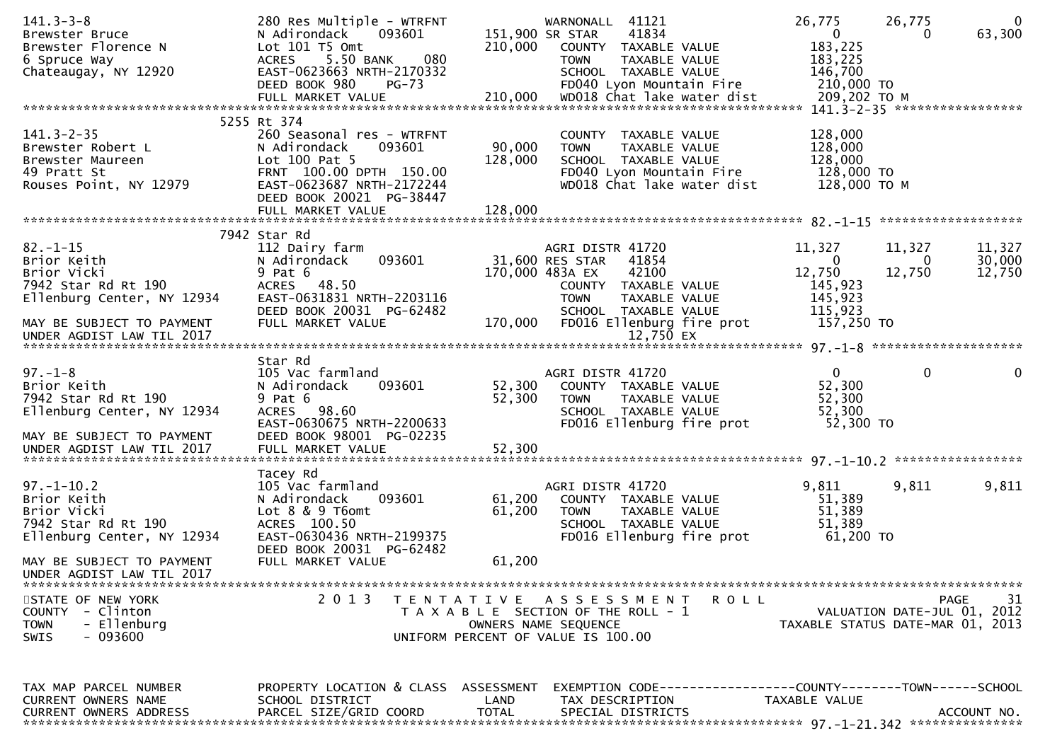| $141.3 - 3 - 8$<br>Brewster Bruce<br>Brewster Florence N<br>6 Spruce Way<br>Chateaugay, NY 12920           | 280 Res Multiple - WTRFNT<br>093601<br>N Adirondack<br>Lot 101 T5 Omt<br>ACRES 5.50 BANK<br>080<br>EAST-0623663 NRTH-2170332<br>DEED BOOK 980<br>PG-73                  | 210,000              | WARNONALL 41121<br>41834<br>151,900 SR STAR<br>COUNTY TAXABLE VALUE<br>TAXABLE VALUE<br><b>TOWN</b><br>SCHOOL TAXABLE VALUE<br>FD040 Lyon Mountain Fire | 26,775<br>$\overline{0}$<br>183,225<br>183,225<br>146,700<br>210,000 TO | 26,775<br>$\Omega$<br>63,300<br>0                                             |
|------------------------------------------------------------------------------------------------------------|-------------------------------------------------------------------------------------------------------------------------------------------------------------------------|----------------------|---------------------------------------------------------------------------------------------------------------------------------------------------------|-------------------------------------------------------------------------|-------------------------------------------------------------------------------|
|                                                                                                            |                                                                                                                                                                         |                      |                                                                                                                                                         |                                                                         |                                                                               |
| $141.3 - 2 - 35$<br>Brewster Robert L<br>Brewster Maureen<br>49 Pratt St<br>Rouses Point, NY 12979         | 5255 Rt 374<br>260 Seasonal res - WTRFNT<br>N Adirondack<br>093601<br>Lot 100 Pat 5<br>FRNT 100.00 DPTH 150.00<br>EAST-0623687 NRTH-2172244<br>DEED BOOK 20021 PG-38447 | 90,000<br>128,000    | COUNTY TAXABLE VALUE<br><b>TOWN</b><br>TAXABLE VALUE<br>SCHOOL TAXABLE VALUE<br>FD040 Lyon Mountain Fire<br>WD018 Chat lake water dist                  | 128,000<br>128,000<br>128,000<br>128,000 TO<br>128,000 ТО М             |                                                                               |
|                                                                                                            | 7942 Star Rd                                                                                                                                                            |                      |                                                                                                                                                         |                                                                         |                                                                               |
| $82 - 1 - 15$<br>Brior Keith<br>Brior Vicki<br>7942 Star Rd Rt 190<br>Ellenburg Center, NY 12934           | 112 Dairy farm<br>093601<br>N Adirondack<br>$9$ Pat $6$<br>ACRES 48.50<br>EAST-0631831 NRTH-2203116                                                                     |                      | AGRI DISTR 41720<br>31,600 RES STAR<br>41854<br>170,000 483A EX<br>42100<br>COUNTY TAXABLE VALUE<br><b>TOWN</b><br>TAXABLE VALUE                        | 11,327<br>$\bf{0}$<br>12,750<br>145,923<br>145,923                      | 11,327<br>11,327<br>30,000<br>$\bf{0}$<br>12,750<br>12,750                    |
| MAY BE SUBJECT TO PAYMENT<br>UNDER AGDIST LAW TIL 2017                                                     | DEED BOOK 20031 PG-62482<br>FULL MARKET VALUE                                                                                                                           | 170,000              | SCHOOL TAXABLE VALUE<br>FD016 Ellenburg fire prot<br>12,750 EX                                                                                          | 115,923<br>157,250 TO                                                   |                                                                               |
| $97. - 1 - 8$<br>Brior Keith<br>7942 Star Rd Rt 190<br>Ellenburg Center, NY 12934                          | Star Rd<br>105 Vac farmland<br>N Adirondack<br>093601<br>$9$ Pat $6$<br>ACRES 98.60<br>EAST-0630675 NRTH-2200633                                                        | 52,300<br>52,300     | AGRI DISTR 41720<br>COUNTY TAXABLE VALUE<br><b>TOWN</b><br>TAXABLE VALUE<br>SCHOOL TAXABLE VALUE<br>FD016 Ellenburg fire prot                           | $\mathbf{0}$<br>52,300<br>52,300<br>52,300<br>52,300 TO                 | $\mathbf 0$<br>$\overline{0}$                                                 |
| MAY BE SUBJECT TO PAYMENT                                                                                  | DEED BOOK 98001 PG-02235                                                                                                                                                |                      |                                                                                                                                                         |                                                                         |                                                                               |
| $97. - 1 - 10.2$<br>Brior Keith<br>Brior Vicki<br>7942 Star Rd Rt 190<br>Ellenburg Center, NY 12934        | Tacey Rd<br>105 Vac farmland<br>N Adirondack<br>093601<br>Lot $8 \& 9 \t{T6}$<br>ACRES 100.50<br>EAST-0630436 NRTH-2199375<br>DEED BOOK 20031 PG-62482                  | 61,200<br>61,200     | AGRI DISTR 41720<br>COUNTY TAXABLE VALUE<br><b>TOWN</b><br>TAXABLE VALUE<br>SCHOOL TAXABLE VALUE<br>FD016 Ellenburg fire prot                           | 9,811<br>51,389<br>51,389<br>51,389<br>61,200 TO                        | 9,811<br>9,811                                                                |
| MAY BE SUBJECT TO PAYMENT<br>UNDER AGDIST LAW TIL 2017                                                     | FULL MARKET VALUE                                                                                                                                                       | 61,200               |                                                                                                                                                         |                                                                         |                                                                               |
| STATE OF NEW YORK<br>- Clinton<br><b>COUNTY</b><br><b>TOWN</b><br>- Ellenburg<br>$-093600$<br><b>SWIS</b>  | 2 0 1 3<br>T E N T A T I V E                                                                                                                                            |                      | A S S E S S M E N T<br>ROLL<br>T A X A B L E SECTION OF THE ROLL - 1<br>OWNERS NAME SEQUENCE<br>UNIFORM PERCENT OF VALUE IS 100.00                      |                                                                         | 31<br>PAGE<br>VALUATION DATE-JUL 01, 2012<br>TAXABLE STATUS DATE-MAR 01, 2013 |
| TAX MAP PARCEL NUMBER<br>CURRENT OWNERS NAME<br><b>CURRENT OWNERS ADDRESS</b><br>************************* | PROPERTY LOCATION & CLASS ASSESSMENT<br>SCHOOL DISTRICT<br>PARCEL SIZE/GRID COORD                                                                                       | LAND<br><b>TOTAL</b> | EXEMPTION CODE----<br>TAX DESCRIPTION<br>SPECIAL DISTRICTS                                                                                              | -------------COUNTY--------TOWN------SCHOOL<br>TAXABLE VALUE            | ACCOUNT NO.                                                                   |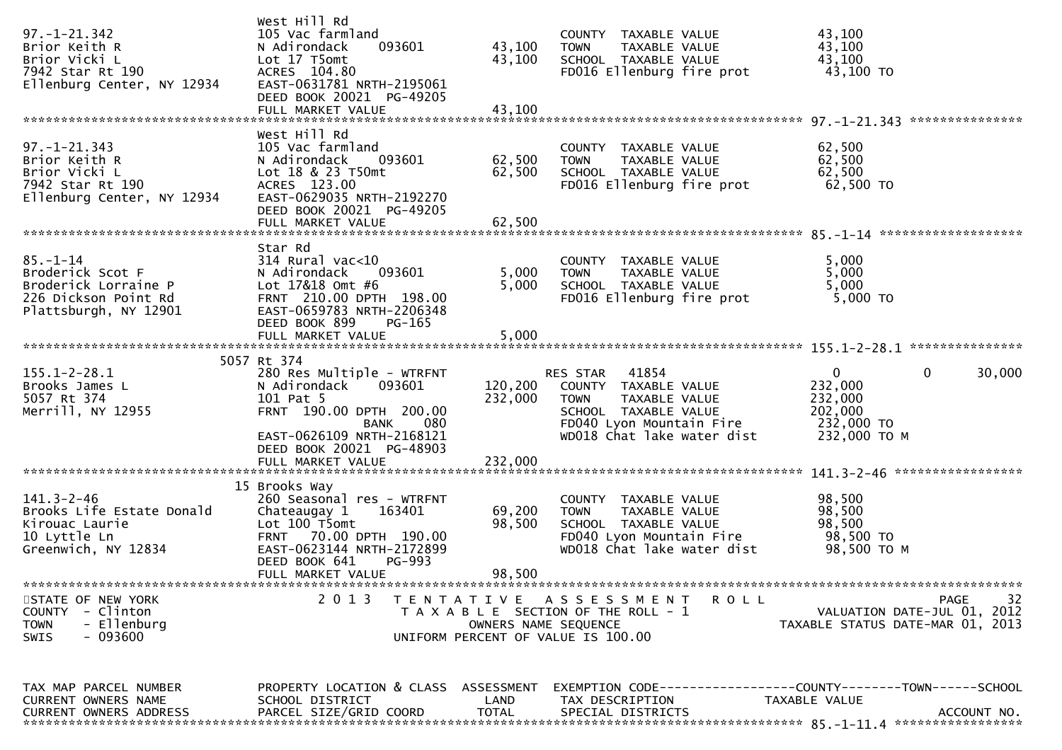| $97. - 1 - 21.342$<br>Brior Keith R<br>Brior Vicki L<br>7942 Star Rt 190<br>Ellenburg Center, NY 12934      | West Hill Rd<br>105 Vac farmland<br>093601<br>N Adirondack<br>Lot 17 T5omt<br>ACRES 104.80<br>EAST-0631781 NRTH-2195061<br>DEED BOOK 20021 PG-49205<br>FULL MARKET VALUE | 43,100<br>43,100<br>43,100 | COUNTY TAXABLE VALUE<br><b>TOWN</b><br>TAXABLE VALUE<br>SCHOOL TAXABLE VALUE<br>FD016 Ellenburg fire prot                                                   | 43,100<br>43,100<br>43,100<br>43,100 TO                                                      |
|-------------------------------------------------------------------------------------------------------------|--------------------------------------------------------------------------------------------------------------------------------------------------------------------------|----------------------------|-------------------------------------------------------------------------------------------------------------------------------------------------------------|----------------------------------------------------------------------------------------------|
|                                                                                                             |                                                                                                                                                                          |                            |                                                                                                                                                             |                                                                                              |
| $97. - 1 - 21.343$<br>Brior Keith R<br>Brior Vicki L<br>7942 Star Rt 190<br>Ellenburg Center, NY 12934      | West Hill Rd<br>105 Vac farmland<br>N Adirondack<br>093601<br>Lot 18 & 23 T50mt<br>ACRES 123.00<br>EAST-0629035 NRTH-2192270<br>DEED BOOK 20021 PG-49205                 | 62,500<br>62,500           | COUNTY TAXABLE VALUE<br><b>TOWN</b><br>TAXABLE VALUE<br>SCHOOL TAXABLE VALUE<br>FD016 Ellenburg fire prot                                                   | 62,500<br>62,500<br>62,500<br>62,500 TO                                                      |
|                                                                                                             | FULL MARKET VALUE                                                                                                                                                        | 62,500                     |                                                                                                                                                             |                                                                                              |
| $85. - 1 - 14$<br>Broderick Scot F<br>Broderick Lorraine P<br>226 Dickson Point Rd<br>Plattsburgh, NY 12901 | Star Rd<br>$314$ Rural vac<10<br>N Adirondack<br>093601<br>Lot 17&18 Omt #6<br>FRNT 210.00 DPTH 198.00<br>EAST-0659783 NRTH-2206348<br>DEED BOOK 899<br>PG-165           | 5,000<br>5,000             | COUNTY TAXABLE VALUE<br>TAXABLE VALUE<br><b>TOWN</b><br>SCHOOL TAXABLE VALUE<br>FD016 Ellenburg fire prot                                                   | 5,000<br>5,000<br>5,000<br>5,000 TO                                                          |
|                                                                                                             | FULL MARKET VALUE                                                                                                                                                        | 5,000                      |                                                                                                                                                             |                                                                                              |
|                                                                                                             |                                                                                                                                                                          |                            |                                                                                                                                                             |                                                                                              |
| $155.1 - 2 - 28.1$<br>Brooks James L<br>5057 Rt 374<br>Merrill, NY 12955                                    | 5057 Rt 374<br>280 Res Multiple - WTRFNT<br>N Adirondack<br>093601<br>101 Pat 5<br>FRNT 190.00 DPTH 200.00<br>080<br>BANK<br>EAST-0626109 NRTH-2168121                   | 120,200<br>232,000         | 41854<br>RES STAR<br>COUNTY TAXABLE VALUE<br><b>TOWN</b><br>TAXABLE VALUE<br>SCHOOL TAXABLE VALUE<br>FD040 Lyon Mountain Fire<br>WD018 Chat lake water dist | 0<br>$\mathbf{0}$<br>30,000<br>232,000<br>232,000<br>202,000<br>232,000 TO<br>232,000 TO M   |
|                                                                                                             | DEED BOOK 20021 PG-48903                                                                                                                                                 |                            |                                                                                                                                                             |                                                                                              |
|                                                                                                             |                                                                                                                                                                          |                            |                                                                                                                                                             |                                                                                              |
| $141.3 - 2 - 46$<br>Brooks Life Estate Donald<br>Kirouac Laurie<br>10 Lyttle Ln<br>Greenwich, NY 12834      | 15 Brooks Way<br>260 Seasonal res - WTRFNT<br>Chateaugay 1<br>163401<br>Lot 100 T5omt<br>FRNT 70.00 DPTH 190.00<br>EAST-0623144 NRTH-2172899<br>DEED BOOK 641<br>PG-993  | 69,200<br>98,500           | COUNTY TAXABLE VALUE<br><b>TOWN</b><br>TAXABLE VALUE<br>SCHOOL TAXABLE VALUE<br>FD040 Lyon Mountain Fire<br>WD018 Chat lake water dist                      | 98,500<br>98,500<br>98,500<br>98,500 TO<br>98,500 TO M                                       |
|                                                                                                             | FULL MARKET VALUE                                                                                                                                                        | 98,500                     |                                                                                                                                                             |                                                                                              |
| STATE OF NEW YORK<br>COUNTY<br>- Clinton<br>- Ellenburg<br><b>TOWN</b><br>$-093600$<br>SWIS                 | 2 0 1 3                                                                                                                                                                  | OWNERS NAME SEQUENCE       | TENTATIVE ASSESSMENT<br>R O L L<br>T A X A B L E SECTION OF THE ROLL - 1<br>UNIFORM PERCENT OF VALUE IS 100.00                                              | 32<br><b>PAGE</b><br>VALUATION DATE-JUL 01, 2012<br>TAXABLE STATUS DATE-MAR 01, 2013         |
| TAX MAP PARCEL NUMBER<br>CURRENT OWNERS NAME<br><b>CURRENT OWNERS ADDRESS</b>                               | PROPERTY LOCATION & CLASS ASSESSMENT<br>SCHOOL DISTRICT<br>PARCEL SIZE/GRID COORD                                                                                        | LAND<br><b>TOTAL</b>       | TAX DESCRIPTION<br>SPECIAL DISTRICTS                                                                                                                        | EXEMPTION CODE-----------------COUNTY-------TOWN------SCHOOL<br>TAXABLE VALUE<br>ACCOUNT NO. |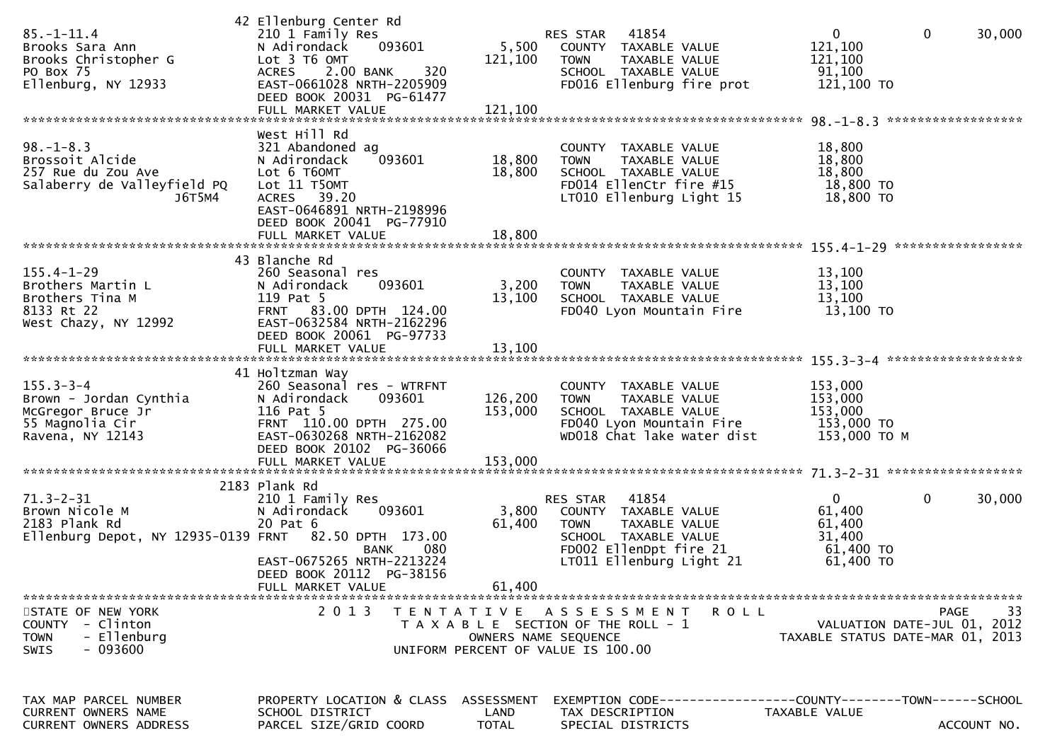| $85. - 1 - 11.4$<br>Brooks Sara Ann<br>Brooks Christopher G<br>PO Box 75<br>Ellenburg, NY 12933             | 42 Ellenburg Center Rd<br>210 1 Family Res<br>N Adirondack<br>093601<br>Lot 3 T6 OMT<br>2.00 BANK<br>320<br><b>ACRES</b><br>EAST-0661028 NRTH-2205909<br>DEED BOOK 20031 PG-61477<br>FULL MARKET VALUE | 5,500<br>121,100<br>121,100        | 41854<br>RES STAR<br>COUNTY TAXABLE VALUE<br>TAXABLE VALUE<br><b>TOWN</b><br>SCHOOL TAXABLE VALUE<br>FD016 Ellenburg fire prot                          | $\mathbf 0$<br>121,100<br>121,100<br>91,100<br>121,100 TO            | $\mathbf 0$<br>30,000                                                         |
|-------------------------------------------------------------------------------------------------------------|--------------------------------------------------------------------------------------------------------------------------------------------------------------------------------------------------------|------------------------------------|---------------------------------------------------------------------------------------------------------------------------------------------------------|----------------------------------------------------------------------|-------------------------------------------------------------------------------|
| $98. - 1 - 8.3$<br>Brossoit Alcide<br>257 Rue du Zou Ave<br>Salaberry de Valleyfield PQ<br>J6T5M4           | West Hill Rd<br>321 Abandoned ag<br>093601<br>N Adirondack<br>Lot 6 T6OMT<br>Lot 11 T5OMT<br>ACRES 39.20<br>EAST-0646891 NRTH-2198996<br>DEED BOOK 20041 PG-77910<br>FULL MARKET VALUE                 | 18,800<br>18,800<br>18,800         | COUNTY TAXABLE VALUE<br>TAXABLE VALUE<br><b>TOWN</b><br>SCHOOL TAXABLE VALUE<br>FD014 EllenCtr fire #15<br>LT010 Ellenburg Light 15                     | 18,800<br>18,800<br>18,800<br>18,800 TO<br>18,800 TO                 |                                                                               |
| $155.4 - 1 - 29$<br>Brothers Martin L<br>Brothers Tina M<br>8133 Rt 22<br>West Chazy, NY 12992              | 43 Blanche Rd<br>260 Seasonal res<br>N Adirondack<br>093601<br>119 Pat 5<br>FRNT 83.00 DPTH 124.00<br>EAST-0632584 NRTH-2162296<br>DEED BOOK 20061 PG-97733<br>FULL MARKET VALUE                       | 3,200<br>13,100<br>13,100          | COUNTY TAXABLE VALUE<br>TAXABLE VALUE<br><b>TOWN</b><br>SCHOOL TAXABLE VALUE<br>FD040 Lyon Mountain Fire                                                | 13,100<br>13,100<br>13,100<br>$13,100$ TO                            |                                                                               |
| $155.3 - 3 - 4$<br>Brown - Jordan Cynthia<br>McGregor Bruce Jr<br>55 Magnolia Cir<br>Ravena, NY 12143       | 41 Holtzman Way<br>260 Seasonal res - WTRFNT<br>N Adirondack<br>093601<br>116 Pat 5<br>FRNT 110.00 DPTH 275.00<br>EAST-0630268 NRTH-2162082<br>DEED BOOK 20102 PG-36066<br>FULL MARKET VALUE           | 126,200<br>153,000<br>153,000      | COUNTY TAXABLE VALUE<br>TAXABLE VALUE<br><b>TOWN</b><br>SCHOOL TAXABLE VALUE<br>FD040 Lyon Mountain Fire<br>WD018 Chat lake water dist                  | 153,000<br>153,000<br>153,000<br>153,000 TO<br>153,000 ТО М          |                                                                               |
| $71.3 - 2 - 31$<br>Brown Nicole M<br>2183 Plank Rd<br>Ellenburg Depot, NY 12935-0139 FRNT 82.50 DPTH 173.00 | 2183 Plank Rd<br>210 1 Family Res<br>N Adirondack<br>093601<br>20 Pat 6<br>080<br><b>BANK</b><br>EAST-0675265 NRTH-2213224<br>DEED BOOK 20112 PG-38156<br>FULL MARKET VALUE                            | 3,800<br>61,400<br>61,400          | 41854<br>RES STAR<br>COUNTY TAXABLE VALUE<br><b>TOWN</b><br>TAXABLE VALUE<br>SCHOOL TAXABLE VALUE<br>FD002 EllenDpt fire 21<br>LT011 Ellenburg Light 21 | $\mathbf{0}$<br>61,400<br>61,400<br>31,400<br>61,400 TO<br>61,400 TO | 0<br>30,000                                                                   |
| STATE OF NEW YORK<br>COUNTY - Clinton<br>- Ellenburg<br><b>TOWN</b><br>- 093600<br>SWIS                     |                                                                                                                                                                                                        |                                    | 2013 TENTATIVE ASSESSMENT<br><b>ROLL</b><br>T A X A B L E SECTION OF THE ROLL - 1<br>OWNERS NAME SEQUENCE<br>UNIFORM PERCENT OF VALUE IS 100.00         |                                                                      | 33<br>PAGE<br>VALUATION DATE-JUL 01, 2012<br>TAXABLE STATUS DATE-MAR 01, 2013 |
| TAX MAP PARCEL NUMBER<br>CURRENT OWNERS NAME<br>CURRENT OWNERS ADDRESS                                      | PROPERTY LOCATION & CLASS<br>SCHOOL DISTRICT<br>PARCEL SIZE/GRID COORD                                                                                                                                 | ASSESSMENT<br>LAND<br><b>TOTAL</b> | EXEMPTION CODE-----------------COUNTY-------TOWN------SCHOOL<br>TAX DESCRIPTION<br>SPECIAL DISTRICTS                                                    | TAXABLE VALUE                                                        | ACCOUNT NO.                                                                   |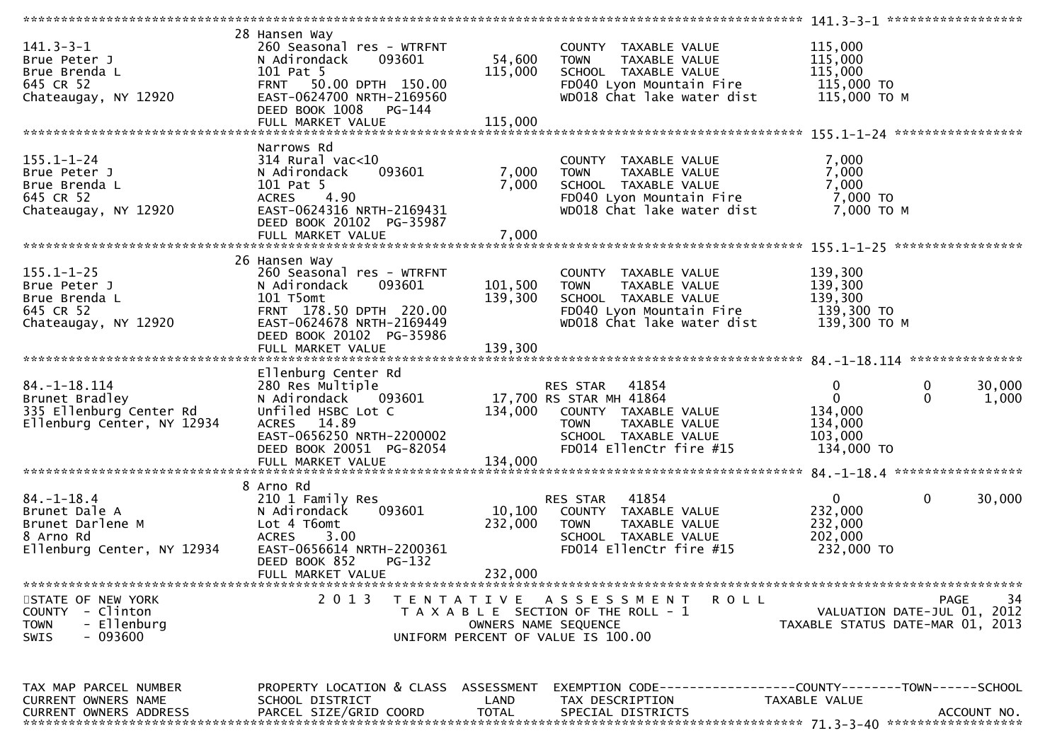| $141.3 - 3 - 1$<br>Brue Peter J<br>Brue Brenda L<br>645 CR 52<br>Chateaugay, NY 12920            | 28 Hansen Way<br>260 Seasonal res - WTRFNT<br>N Adirondack<br>093601<br>101 Pat 5<br>FRNT 50.00 DPTH 150.00<br>EAST-0624700 NRTH-2169560<br>DEED BOOK 1008<br>PG-144                       | 54,600<br>115,000             | COUNTY TAXABLE VALUE<br><b>TOWN</b><br>TAXABLE VALUE<br>SCHOOL TAXABLE VALUE<br>FD040 Lyon Mountain Fire<br>WD018 Chat lake water dist                      | 115,000<br>115,000<br>115,000<br>115,000 TO<br>115,000 ТО М     |                                                  |
|--------------------------------------------------------------------------------------------------|--------------------------------------------------------------------------------------------------------------------------------------------------------------------------------------------|-------------------------------|-------------------------------------------------------------------------------------------------------------------------------------------------------------|-----------------------------------------------------------------|--------------------------------------------------|
| $155.1 - 1 - 24$<br>Brue Peter J<br>Brue Brenda L<br>645 CR 52<br>Chateaugay, NY 12920           | Narrows Rd<br>$314$ Rural vac<10<br>093601<br>N Adirondack<br>101 Pat 5<br>ACRES 4.90<br>EAST-0624316 NRTH-2169431<br>DEED BOOK 20102 PG-35987<br>FULL MARKET VALUE                        | 7,000<br>7,000<br>7,000       | COUNTY TAXABLE VALUE<br><b>TOWN</b><br>TAXABLE VALUE<br>SCHOOL TAXABLE VALUE<br>FD040 Lyon Mountain Fire<br>WD018 Chat lake water dist                      | 7,000<br>7,000<br>7,000<br>$7,000$ TO<br>7,000 ТО М             |                                                  |
| $155.1 - 1 - 25$<br>Brue Peter J<br>Brue Brenda L<br>645 CR 52<br>Chateaugay, NY 12920           | 26 Hansen Way<br>260 Seasonal res - WTRFNT<br>N Adirondack<br>093601<br>101 T5omt<br>FRNT 178.50 DPTH 220.00<br>EAST-0624678 NRTH-2169449<br>DEED BOOK 20102 PG-35986<br>FULL MARKET VALUE | 101,500<br>139,300<br>139,300 | COUNTY TAXABLE VALUE<br>TAXABLE VALUE<br><b>TOWN</b><br>SCHOOL TAXABLE VALUE<br>FD040 Lyon Mountain Fire<br>WD018 Chat lake water dist                      | 139,300<br>139,300<br>139,300<br>139,300 TO<br>139,300 ТО М     |                                                  |
| $84. - 1 - 18.114$<br>Brunet Bradley<br>335 Ellenburg Center Rd<br>Ellenburg Center, NY 12934    | Ellenburg Center Rd<br>280 Res Multiple<br>N Adirondack<br>093601<br>Unfiled HSBC Lot C<br>ACRES 14.89<br>EAST-0656250 NRTH-2200002<br>DEED BOOK 20051 PG-82054<br>FULL MARKET VALUE       | 134,000<br>134,000            | <b>RES STAR 41854</b><br>17,700 RS STAR MH 41864<br>COUNTY TAXABLE VALUE<br><b>TOWN</b><br>TAXABLE VALUE<br>SCHOOL TAXABLE VALUE<br>FD014 EllenCtr fire #15 | 0<br>$\mathbf 0$<br>134,000<br>134,000<br>103,000<br>134,000 TO | $\mathbf{0}$<br>30,000<br>$\Omega$<br>1,000      |
| $84. - 1 - 18.4$<br>Brunet Dale A<br>Brunet Darlene M<br>8 Arno Rd<br>Ellenburg Center, NY 12934 | 8 Arno Rd<br>210 1 Family Res<br>093601<br>N Adirondack<br>Lot 4 T6omt<br><b>ACRES</b><br>3.00<br>EAST-0656614 NRTH-2200361<br>PG-132<br>DEED BOOK 852<br>FULL MARKET VALUE                | 10,100<br>232,000<br>232,000  | RES STAR<br>41854<br>COUNTY TAXABLE VALUE<br><b>TOWN</b><br>TAXABLE VALUE<br>SCHOOL TAXABLE VALUE<br>FD014 EllenCtr fire #15                                | $\mathbf{0}$<br>232,000<br>232,000<br>202,000<br>232,000 TO     | $\mathbf{0}$<br>30,000                           |
| STATE OF NEW YORK<br>COUNTY - Clinton<br>- Ellenburg<br><b>TOWN</b><br>- 093600<br><b>SWIS</b>   | 2 0 1 3                                                                                                                                                                                    |                               | TENTATIVE ASSESSMENT<br><b>ROLL</b><br>T A X A B L E SECTION OF THE ROLL - 1<br>OWNERS NAME SEQUENCE<br>UNIFORM PERCENT OF VALUE IS 100.00                  | TAXABLE STATUS DATE-MAR 01, 2013                                | 34<br><b>PAGE</b><br>VALUATION DATE-JUL 01, 2012 |
| TAX MAP PARCEL NUMBER<br>CURRENT OWNERS NAME<br><b>CURRENT OWNERS ADDRESS</b>                    | PROPERTY LOCATION & CLASS ASSESSMENT<br>SCHOOL DISTRICT<br>PARCEL SIZE/GRID COORD                                                                                                          | LAND<br>TOTAL                 | EXEMPTION CODE-----------------COUNTY-------TOWN------SCHOOL<br>TAX DESCRIPTION<br>SPECIAL DISTRICTS                                                        | TAXABLE VALUE                                                   | ACCOUNT NO.                                      |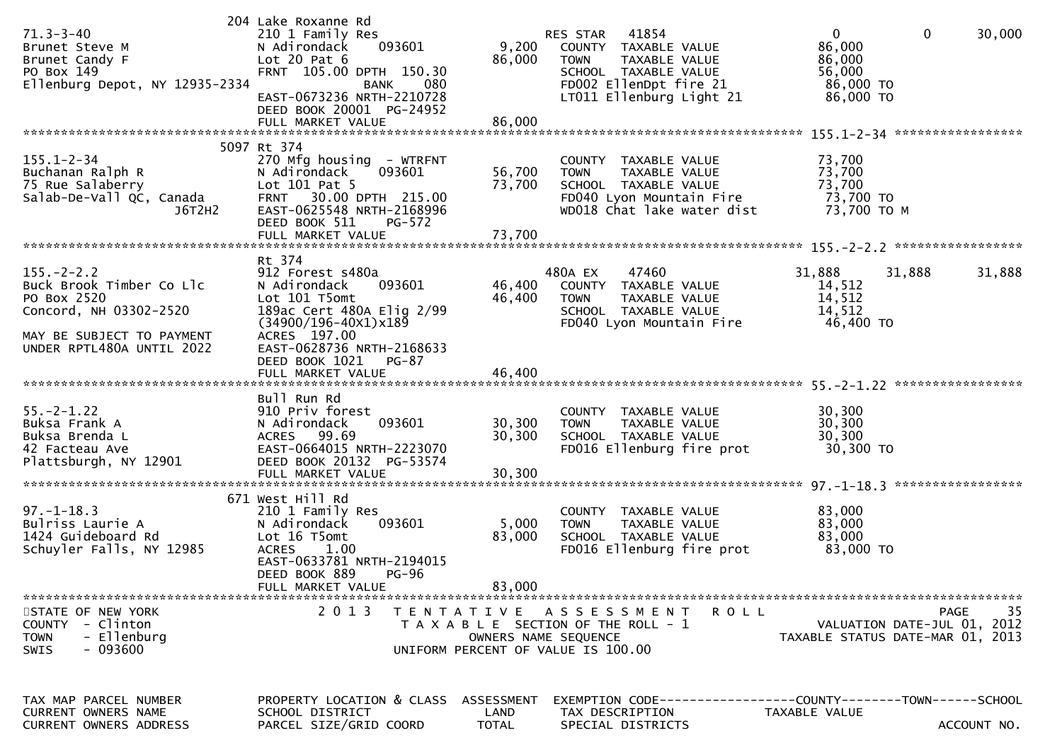| $71.3 - 3 - 40$<br>Brunet Steve M<br>Brunet Candy F<br>PO Box 149<br>Ellenburg Depot, NY 12935-2334                                             | 204 Lake Roxanne Rd<br>210 1 Family Res<br>093601<br>N Adirondack<br>Lot $20$ Pat $6$<br>FRNT 105.00 DPTH 150.30<br>080<br><b>BANK</b><br>EAST-0673236 NRTH-2210728<br>DEED BOOK 20001 PG-24952                                    | 9,200<br>86,000                           | RES STAR<br>41854<br>COUNTY TAXABLE VALUE<br><b>TOWN</b><br>TAXABLE VALUE<br>SCHOOL TAXABLE VALUE<br>FD002 EllenDpt fire 21<br>LT011 Ellenburg Light 21 | $\mathbf{0}$<br>86,000<br>86,000<br>56,000<br>86,000 TO<br>86,000 TO | 0<br>30,000                                                                   |
|-------------------------------------------------------------------------------------------------------------------------------------------------|------------------------------------------------------------------------------------------------------------------------------------------------------------------------------------------------------------------------------------|-------------------------------------------|---------------------------------------------------------------------------------------------------------------------------------------------------------|----------------------------------------------------------------------|-------------------------------------------------------------------------------|
| $155.1 - 2 - 34$<br>Buchanan Ralph R<br>75 Rue Salaberry<br>Salab-De-Vall QC, Canada<br>J6T2H2                                                  | 5097 Rt 374<br>270 Mfg housing - WTRFNT<br>N Adirondack<br>093601<br>Lot 101 Pat 5<br>30.00 DPTH 215.00<br><b>FRNT</b><br>EAST-0625548 NRTH-2168996<br>DEED BOOK 511<br>PG-572<br>FULL MARKET VALUE                                | 56,700<br>73,700<br>73,700                | COUNTY TAXABLE VALUE<br><b>TOWN</b><br>TAXABLE VALUE<br>SCHOOL TAXABLE VALUE<br>FD040 Lyon Mountain Fire<br>WD018 Chat lake water dist                  | 73,700<br>73,700<br>73,700<br>73,700 TO<br>73,700 TO M               |                                                                               |
| $155. - 2 - 2.2$<br>Buck Brook Timber Co Llc<br>PO Box 2520<br>Concord, NH 03302-2520<br>MAY BE SUBJECT TO PAYMENT<br>UNDER RPTL480A UNTIL 2022 | Rt 374<br>912 Forest s480a<br>N Adirondack<br>093601<br>Lot 101 T5omt<br>189ac Cert 480A Elig 2/99<br>$(34900/196 - 40x1)x189$<br>ACRES 197.00<br>EAST-0628736 NRTH-2168633<br>DEED BOOK 1021<br><b>PG-87</b><br>FULL MARKET VALUE | 46,400<br>46,400<br>46,400                | 480A EX<br>47460<br>COUNTY TAXABLE VALUE<br><b>TOWN</b><br>TAXABLE VALUE<br>SCHOOL TAXABLE VALUE<br>FD040 Lyon Mountain Fire                            | 31,888<br>14,512<br>14,512<br>14,512<br>46,400 TO                    | 31,888<br>31,888                                                              |
| $55. - 2 - 1.22$<br>Buksa Frank A<br>Buksa Brenda L<br>42 Facteau Ave<br>Plattsburgh, NY 12901                                                  | Bull Run Rd<br>910 Priv forest<br>093601<br>N Adirondack<br>99.69<br><b>ACRES</b><br>EAST-0664015 NRTH-2223070<br>DEED BOOK 20132 PG-53574<br>FULL MARKET VALUE                                                                    | 30,300<br>30,300<br>30,300                | COUNTY TAXABLE VALUE<br><b>TOWN</b><br>TAXABLE VALUE<br>SCHOOL TAXABLE VALUE<br>FD016 Ellenburg fire prot                                               | 30,300<br>30,300<br>30,300<br>30,300 TO                              |                                                                               |
| $97. - 1 - 18.3$<br>Bulriss Laurie A<br>1424 Guideboard Rd<br>Schuyler Falls, NY 12985                                                          | 671 West Hill Rd<br>210 1 Family Res<br>N Adirondack<br>093601<br>Lot 16 T5omt<br><b>ACRES</b><br>1.00<br>EAST-0633781 NRTH-2194015<br>DEED BOOK 889 PG-96<br>FULL MARKET VALUE                                                    | 5,000<br>83,000<br>83,000                 | COUNTY TAXABLE VALUE<br>TAXABLE VALUE<br><b>TOWN</b><br>SCHOOL TAXABLE VALUE<br>FD016 Ellenburg fire prot                                               | 83,000<br>83,000<br>83,000<br>83,000 TO                              |                                                                               |
| STATE OF NEW YORK<br>- Clinton<br><b>COUNTY</b><br>- Ellenburg<br><b>TOWN</b><br>$-093600$<br><b>SWIS</b>                                       | 2 0 1 3                                                                                                                                                                                                                            |                                           | ROLL<br>TENTATIVE ASSESSMENT<br>T A X A B L E SECTION OF THE ROLL - 1<br>OWNERS NAME SEQUENCE<br>UNIFORM PERCENT OF VALUE IS 100.00                     |                                                                      | 35<br>PAGE<br>VALUATION DATE-JUL 01, 2012<br>TAXABLE STATUS DATE-MAR 01, 2013 |
| TAX MAP PARCEL NUMBER<br>CURRENT OWNERS NAME<br><b>CURRENT OWNERS ADDRESS</b>                                                                   | PROPERTY LOCATION & CLASS<br>SCHOOL DISTRICT<br>PARCEL SIZE/GRID COORD                                                                                                                                                             | <b>ASSESSMENT</b><br>LAND<br><b>TOTAL</b> | EXEMPTION        CODE-----------------COUNTY-------TOWN------SCHOOL<br>TAX DESCRIPTION<br>SPECIAL DISTRICTS                                             | TAXABLE VALUE                                                        | ACCOUNT NO.                                                                   |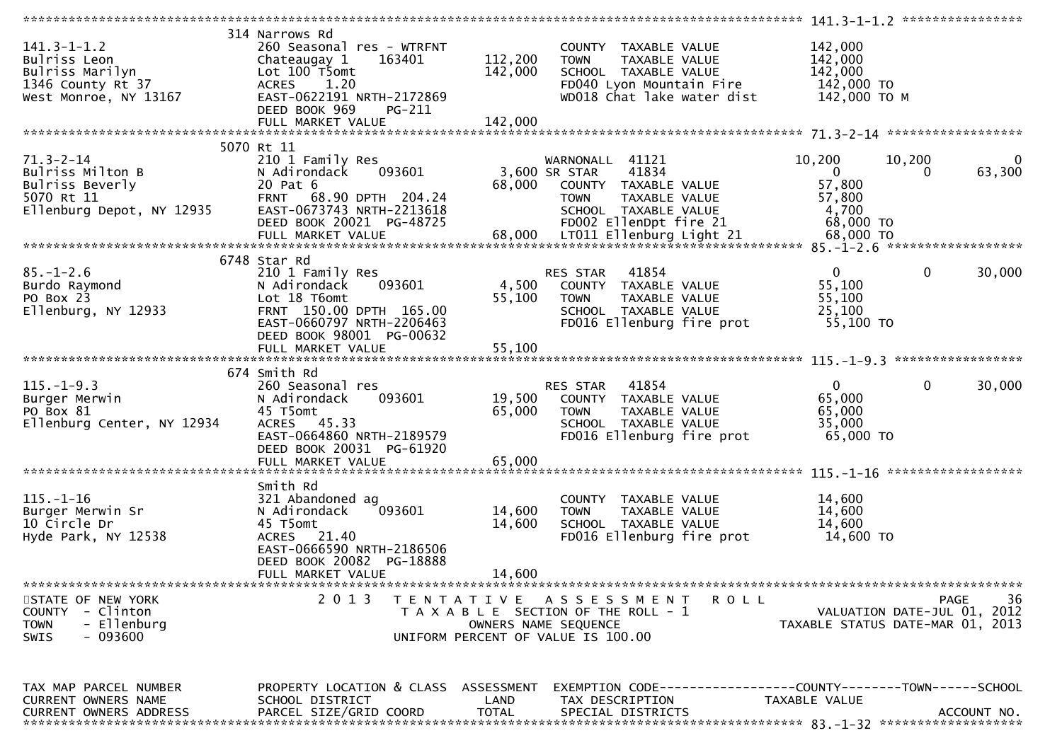|                                                                                                    |                                                                                                                                                                |                      |                                                                                                                                                     | ****************** 141.3-1-1.2 *****************                             |                                |
|----------------------------------------------------------------------------------------------------|----------------------------------------------------------------------------------------------------------------------------------------------------------------|----------------------|-----------------------------------------------------------------------------------------------------------------------------------------------------|------------------------------------------------------------------------------|--------------------------------|
| $141.3 - 1 - 1.2$<br>Bulriss Leon<br>Bulriss Marilyn<br>1346 County Rt 37<br>West Monroe, NY 13167 | 314 Narrows Rd<br>260 Seasonal res - WTRFNT<br>163401<br>Chateaugay 1<br>Lot 100 T5omt<br>ACRES 1.20<br>EAST-0622191 NRTH-2172869<br>DEED BOOK 969<br>$PG-211$ | 112,200<br>142,000   | COUNTY TAXABLE VALUE<br><b>TOWN</b><br>TAXABLE VALUE<br>SCHOOL TAXABLE VALUE<br>FD040 Lyon Mountain Fire<br>WD018 Chat lake water dist              | 142,000<br>142,000<br>142,000<br>142,000 TO<br>142,000 то м                  |                                |
|                                                                                                    | 5070 Rt 11                                                                                                                                                     |                      |                                                                                                                                                     |                                                                              |                                |
| $71.3 - 2 - 14$<br>Bulriss Milton B<br>Bulriss Beverly<br>5070 Rt 11<br>Ellenburg Depot, NY 12935  | 210 1 Family Res<br>093601<br>N Adirondack<br>20 Pat 6<br>FRNT 68.90 DPTH 204.24<br>EAST-0673743 NRTH-2213618<br>DEED BOOK 20021 PG-48725                      | 68,000               | WARNONALL 41121<br>41834<br>3,600 SR STAR<br>COUNTY TAXABLE VALUE<br><b>TOWN</b><br>TAXABLE VALUE<br>SCHOOL TAXABLE VALUE<br>FD002 EllenDpt fire 21 | 10,200<br>10,200<br>$\overline{0}$<br>57,800<br>57,800<br>4,700<br>68,000 TO | $\bf{0}$<br>63,300<br>$\Omega$ |
|                                                                                                    |                                                                                                                                                                |                      |                                                                                                                                                     |                                                                              |                                |
| $85. - 1 - 2.6$<br>Burdo Raymond<br>PO Box 23<br>Ellenburg, NY 12933                               | 6748 Star Rd<br>210 1 Family Res<br>093601<br>N Adirondack<br>Lot 18 T6omt<br>FRNT 150.00 DPTH 165.00<br>EAST-0660797 NRTH-2206463<br>DEED BOOK 98001 PG-00632 | 4,500<br>55,100      | RES STAR 41854<br>COUNTY TAXABLE VALUE<br><b>TOWN</b><br>TAXABLE VALUE<br>SCHOOL TAXABLE VALUE<br>FD016 Ellenburg fire prot                         | $\mathbf{0}$<br>55,100<br>55,100<br>25,100<br>55,100 TO                      | $\mathbf 0$<br>30,000          |
|                                                                                                    |                                                                                                                                                                |                      |                                                                                                                                                     |                                                                              |                                |
|                                                                                                    | 674 Smith Rd                                                                                                                                                   |                      |                                                                                                                                                     |                                                                              |                                |
| $115. - 1 - 9.3$<br>Burger Merwin<br>PO Box 81<br>Ellenburg Center, NY 12934                       | 260 Seasonal res<br>093601<br>N Adirondack<br>45 T5omt<br>ACRES 45.33<br>EAST-0664860 NRTH-2189579<br>DEED BOOK 20031 PG-61920                                 | 65,000               | <b>RES STAR 41854</b><br>19,500 COUNTY TAXABLE VALUE<br><b>TOWN</b><br>TAXABLE VALUE<br>SCHOOL TAXABLE VALUE<br>FD016 Ellenburg fire prot           | $\mathbf{0}$<br>65,000<br>65,000<br>35,000<br>65,000 TO                      | $\mathbf{0}$<br>30,000         |
|                                                                                                    |                                                                                                                                                                |                      |                                                                                                                                                     |                                                                              |                                |
| $115. - 1 - 16$<br>Burger Merwin Sr<br>10 Circle Dr<br>Hyde Park, NY 12538                         | Smith Rd<br>321 Abandoned ag<br>093601<br>N Adirondack<br>45 T5omt<br>ACRES 21.40<br>EAST-0666590 NRTH-2186506<br>DEED BOOK 20082 PG-18888                     | 14,600<br>14,600     | COUNTY TAXABLE VALUE<br><b>TOWN</b><br>TAXABLE VALUE<br>SCHOOL TAXABLE VALUE<br>FD016 Ellenburg fire prot                                           | 14,600<br>14,600<br>14,600<br>14,600 TO                                      |                                |
|                                                                                                    | FULL MARKET VALUE                                                                                                                                              | 14,600               |                                                                                                                                                     |                                                                              |                                |
|                                                                                                    |                                                                                                                                                                |                      |                                                                                                                                                     |                                                                              |                                |
| STATE OF NEW YORK<br>COUNTY - Clinton<br>- Ellenburg<br><b>TOWN</b><br>- 093600<br><b>SWIS</b>     | 2 0 1 3                                                                                                                                                        | T E N T A T I V E    | A S S E S S M E N T<br><b>ROLL</b><br>T A X A B L E SECTION OF THE ROLL - 1<br>OWNERS NAME SEQUENCE<br>UNIFORM PERCENT OF VALUE IS 100.00           | VALUATION DATE-JUL 01, 2012<br>TAXABLE STATUS DATE-MAR 01, 2013              | 36<br>PAGE                     |
| TAX MAP PARCEL NUMBER                                                                              | PROPERTY LOCATION & CLASS ASSESSMENT                                                                                                                           |                      | EXEMPTION CODE-----------------COUNTY-------TOWN------SCHOOL                                                                                        |                                                                              |                                |
| CURRENT OWNERS NAME<br>CURRENT OWNERS ADDRESS                                                      | SCHOOL DISTRICT<br>PARCEL SIZE/GRID COORD                                                                                                                      | LAND<br><b>TOTAL</b> | TAX DESCRIPTION<br>SPECIAL DISTRICTS                                                                                                                | TAXABLE VALUE                                                                | ACCOUNT NO.                    |
|                                                                                                    |                                                                                                                                                                |                      |                                                                                                                                                     |                                                                              |                                |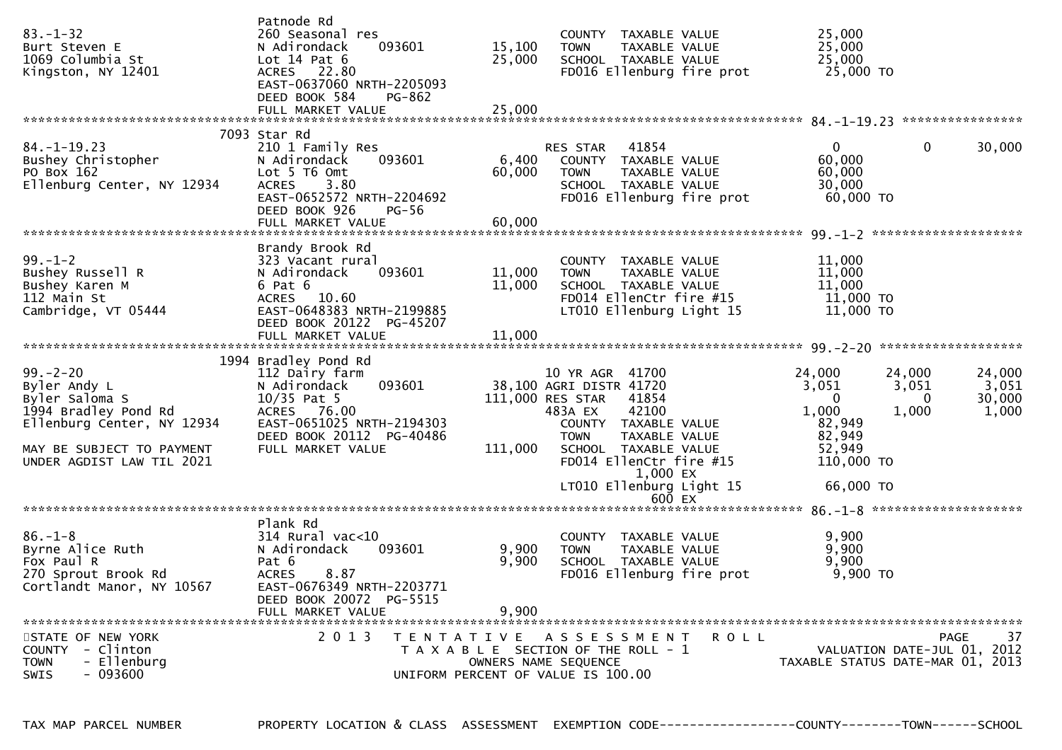| $83. - 1 - 32$<br>Burt Steven E<br>1069 Columbia St<br>Kingston, NY 12401                                                                                       | Patnode Rd<br>260 Seasonal res<br>093601<br>N Adirondack<br>Lot $14$ Pat $6$<br>ACRES 22.80<br>EAST-0637060 NRTH-2205093<br>DEED BOOK 584<br>PG-862                            | 15,100<br>25,000          | COUNTY TAXABLE VALUE<br><b>TOWN</b><br>TAXABLE VALUE<br>SCHOOL TAXABLE VALUE<br>FD016 Ellenburg fire prot                                                                                                          | 25,000<br>25,000<br>25,000<br>25,000 TO                                                                                   |                                    |
|-----------------------------------------------------------------------------------------------------------------------------------------------------------------|--------------------------------------------------------------------------------------------------------------------------------------------------------------------------------|---------------------------|--------------------------------------------------------------------------------------------------------------------------------------------------------------------------------------------------------------------|---------------------------------------------------------------------------------------------------------------------------|------------------------------------|
|                                                                                                                                                                 |                                                                                                                                                                                |                           |                                                                                                                                                                                                                    |                                                                                                                           |                                    |
| $84. - 1 - 19.23$<br>Bushey Christopher<br>PO Box 162<br>Ellenburg Center, NY 12934                                                                             | 7093 Star Rd<br>210 1 Family Res<br>N Adirondack<br>093601<br>Lot 5 T6 Omt<br><b>ACRES</b><br>3.80<br>EAST-0652572 NRTH-2204692<br>DEED BOOK 926<br>PG-56<br>FULL MARKET VALUE | 6,400<br>60,000<br>60,000 | 41854<br>RES STAR<br>COUNTY TAXABLE VALUE<br>TAXABLE VALUE<br><b>TOWN</b><br>SCHOOL TAXABLE VALUE<br>FD016 Ellenburg fire prot                                                                                     | $\overline{0}$<br>$\mathbf 0$<br>60,000<br>60,000<br>30,000<br>$60,000$ TO                                                | 30,000                             |
|                                                                                                                                                                 |                                                                                                                                                                                |                           |                                                                                                                                                                                                                    |                                                                                                                           |                                    |
| $99. - 1 - 2$<br>Bushey Russell R<br>Bushey Karen M<br>112 Main St<br>Cambridge, VT 05444                                                                       | Brandy Brook Rd<br>323 Vacant rural<br>093601<br>N Adirondack<br>6 Pat 6<br>ACRES 10.60<br>EAST-0648383 NRTH-2199885<br>DEED BOOK 20122 PG-45207                               | 11,000<br>11,000          | COUNTY TAXABLE VALUE<br>TAXABLE VALUE<br><b>TOWN</b><br>SCHOOL TAXABLE VALUE<br>FD014 EllenCtr fire #15<br>LT010 Ellenburg Light 15                                                                                | 11,000<br>11,000<br>11,000<br>11,000 TO<br>11,000 TO                                                                      |                                    |
|                                                                                                                                                                 |                                                                                                                                                                                |                           |                                                                                                                                                                                                                    |                                                                                                                           |                                    |
| $99 - 2 - 20$<br>Byler Andy L<br>Byler Saloma S<br>1994 Bradley Pond Rd<br>Ellenburg Center, NY 12934<br>MAY BE SUBJECT TO PAYMENT<br>UNDER AGDIST LAW TIL 2021 | 1994 Bradley Pond Rd<br>112 Dairy farm<br>093601<br>N Adirondack<br>$10/35$ Pat 5<br>ACRES 76.00<br>EAST-0651025 NRTH-2194303<br>DEED BOOK 20112 PG-40486<br>FULL MARKET VALUE | 111,000                   | 10 YR AGR 41700<br>38,100 AGRI DISTR 41720<br>111,000 RES STAR<br>41854<br>42100<br>483A EX<br>COUNTY TAXABLE VALUE<br><b>TOWN</b><br>TAXABLE VALUE<br>SCHOOL TAXABLE VALUE<br>FD014 EllenCtr fire #15<br>1,000 EX | 24,000<br>24,000<br>3,051<br>3,051<br>$\overline{0}$<br>- 0<br>1,000<br>1,000<br>82,949<br>82,949<br>52,949<br>110,000 TO | 24,000<br>3,051<br>30,000<br>1,000 |
|                                                                                                                                                                 |                                                                                                                                                                                |                           | LT010 Ellenburg Light 15                                                                                                                                                                                           | 66,000 TO                                                                                                                 |                                    |
|                                                                                                                                                                 |                                                                                                                                                                                |                           | 600 EX                                                                                                                                                                                                             |                                                                                                                           |                                    |
| $86. - 1 - 8$<br>Byrne Alice Ruth<br>Fox Paul R<br>270 Sprout Brook Rd<br>Cortlandt Manor, NY 10567                                                             | Plank Rd<br>$314$ Rural vac< $10$<br>093601<br>N Adirondack<br>Pat 6<br>8.87<br><b>ACRES</b><br>EAST-0676349 NRTH-2203771<br>DEED BOOK 20072 PG-5515<br>FULL MARKET VALUE      | 9,900<br>9,900<br>9,900   | COUNTY TAXABLE VALUE<br>TAXABLE VALUE<br><b>TOWN</b><br>SCHOOL TAXABLE VALUE<br>FD016 Ellenburg fire prot                                                                                                          | 9,900<br>9,900<br>9,900<br>$9,900$ TO                                                                                     |                                    |
| STATE OF NEW YORK<br><b>COUNTY</b><br>- Clinton<br>- Ellenburg<br><b>TOWN</b><br>$-093600$<br>SWIS                                                              | 2 0 1 3                                                                                                                                                                        |                           | TENTATIVE ASSESSMENT<br>R O L L<br>T A X A B L E SECTION OF THE ROLL - 1<br>OWNERS NAME SEQUENCE<br>UNIFORM PERCENT OF VALUE IS 100.00                                                                             | VALUATION DATE-JUL 01, 2012<br>TAXABLE STATUS DATE-MAR 01, 2013                                                           | 37<br>PAGE                         |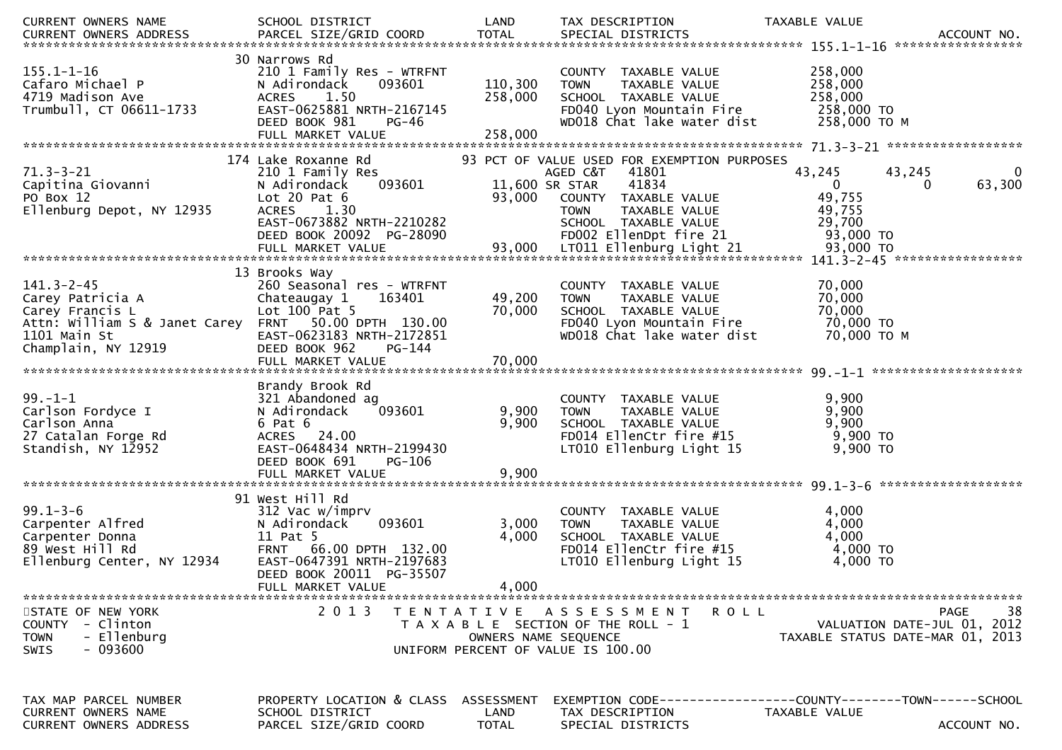| CURRENT OWNERS NAME                                                                                                                                    | SCHOOL DISTRICT                                                                                                                                     | LAND                               | TAX DESCRIPTION                                                                                                                                     | TAXABLE VALUE                                                                                          |
|--------------------------------------------------------------------------------------------------------------------------------------------------------|-----------------------------------------------------------------------------------------------------------------------------------------------------|------------------------------------|-----------------------------------------------------------------------------------------------------------------------------------------------------|--------------------------------------------------------------------------------------------------------|
| $155.1 - 1 - 16$<br>Cafaro Michael P<br>4719 Madison Ave<br>Trumbull, CT 06611-1733                                                                    | 30 Narrows Rd<br>210 1 Family Res - WTRFNT<br>093601<br>N Adirondack<br>1.50<br><b>ACRES</b><br>EAST-0625881 NRTH-2167145<br>DEED BOOK 981<br>PG-46 | 110,300<br>258,000                 | COUNTY TAXABLE VALUE<br><b>TOWN</b><br>TAXABLE VALUE<br>SCHOOL TAXABLE VALUE<br>FD040 Lyon Mountain Fire<br>WD018 Chat lake water dist              | 258,000<br>258,000<br>258,000<br>258,000 TO<br>258,000 ТО М                                            |
|                                                                                                                                                        | 174 Lake Roxanne Rd                                                                                                                                 |                                    | 93 PCT OF VALUE USED FOR EXEMPTION PURPOSES                                                                                                         |                                                                                                        |
| $71.3 - 3 - 21$<br>Capitina Giovanni<br>PO Box 12<br>Ellenburg Depot, NY 12935                                                                         | 210 1 Family Res<br>N Adirondack<br>093601<br>Lot $20$ Pat $6$<br>1.30<br><b>ACRES</b><br>EAST-0673882 NRTH-2210282<br>DEED BOOK 20092 PG-28090     | 93,000                             | AGED C&T 41801<br>41834<br>11,600 SR STAR<br>COUNTY TAXABLE VALUE<br><b>TOWN</b><br>TAXABLE VALUE<br>SCHOOL TAXABLE VALUE<br>FD002 EllenDpt fire 21 | 43,245<br>43,245<br>$\bf{0}$<br>63,300<br>$\mathbf{0}$<br>0<br>49,755<br>49,755<br>29,700<br>93,000 TO |
|                                                                                                                                                        |                                                                                                                                                     |                                    |                                                                                                                                                     |                                                                                                        |
| $141.3 - 2 - 45$<br>Carey Patricia A<br>Carey Francis L<br>Attn: William S & Janet Carey FRNT 50.00 DPTH 130.00<br>1101 Main St<br>Champlain, NY 12919 | 13 Brooks Way<br>260 Seasonal res - WTRFNT<br>Chateaugay 1<br>163401<br>Lot $100$ Pat 5<br>EAST-0623183 NRTH-2172851<br>DEED BOOK 962<br>PG-144     | 49,200<br>70,000                   | COUNTY TAXABLE VALUE<br>TAXABLE VALUE<br><b>TOWN</b><br>SCHOOL TAXABLE VALUE<br>FD040 Lyon Mountain Fire<br>WD018 Chat lake water dist              | 70,000<br>70,000<br>70,000<br>70,000 TO<br>70,000 ТО М                                                 |
| $99. - 1 - 1$<br>Carlson Fordyce I<br>Carlson Anna<br>27 Catalan Forge Rd<br>Standish, NY 12952                                                        | Brandy Brook Rd<br>321 Abandoned ag<br>N Adirondack<br>093601<br>6 Pat 6<br>ACRES 24.00<br>EAST-0648434 NRTH-2199430<br>DEED BOOK 691<br>PG-106     | 9,900<br>9,900                     | COUNTY TAXABLE VALUE<br>TAXABLE VALUE<br><b>TOWN</b><br>SCHOOL TAXABLE VALUE<br>FD014 EllenCtr fire #15<br>LT010 Ellenburg Light 15                 | 9,900<br>9,900<br>9,900<br>9,900 TO<br>9,900 TO                                                        |
|                                                                                                                                                        | 91 West Hill Rd                                                                                                                                     |                                    |                                                                                                                                                     |                                                                                                        |
| $99.1 - 3 - 6$<br>Carpenter Alfred<br>Carpenter Donna<br>89 West Hill Rd<br>Ellenburg Center, NY 12934                                                 | 312 Vac w/imprv<br>093601<br>N Adirondack<br>11 Pat 5<br>FRNT 66.00 DPTH 132.00<br>EAST-0647391 NRTH-2197683<br>DEED BOOK 20011 PG-35507            | 3,000<br>4,000                     | COUNTY TAXABLE VALUE<br>TAXABLE VALUE<br><b>TOWN</b><br>SCHOOL TAXABLE VALUE<br>FD014 EllenCtr fire #15<br>LT010 Ellenburg Light 15                 | 4,000<br>4,000<br>4,000<br>4,000 TO<br>4,000 TO                                                        |
|                                                                                                                                                        | FULL MARKET VALUE                                                                                                                                   | 4,000                              |                                                                                                                                                     |                                                                                                        |
| STATE OF NEW YORK<br>COUNTY - Clinton<br>- Ellenburg<br><b>TOWN</b><br>- 093600<br><b>SWIS</b>                                                         | 2 0 1 3                                                                                                                                             |                                    | TENTATIVE ASSESSMENT<br>R O L L<br>T A X A B L E SECTION OF THE ROLL - 1<br>OWNERS NAME SEQUENCE<br>UNIFORM PERCENT OF VALUE IS 100.00              | 38<br><b>PAGE</b><br>VALUATION DATE-JUL 01, 2012<br>TAXABLE STATUS DATE-MAR 01, 2013                   |
| TAX MAP PARCEL NUMBER<br>CURRENT OWNERS NAME<br><b>CURRENT OWNERS ADDRESS</b>                                                                          | PROPERTY LOCATION & CLASS<br>SCHOOL DISTRICT<br>PARCEL SIZE/GRID COORD                                                                              | ASSESSMENT<br>LAND<br><b>TOTAL</b> | TAX DESCRIPTION<br>SPECIAL DISTRICTS                                                                                                                | EXEMPTION        CODE------------------COUNTY-------TOWN------SCHOOL<br>TAXABLE VALUE<br>ACCOUNT NO.   |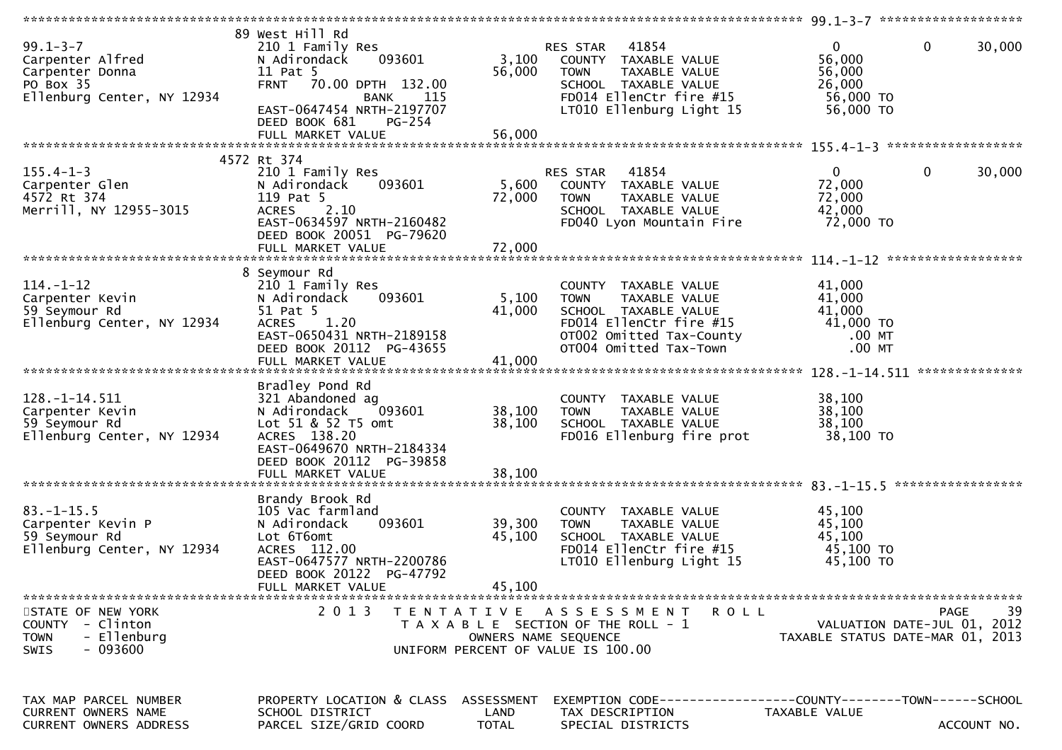| $99.1 - 3 - 7$<br>Carpenter Alfred<br>Carpenter Donna<br>PO Box 35<br>Ellenburg Center, NY 12934 | 89 West Hill Rd<br>210 1 Family Res<br>093601<br>N Adirondack<br>11 Pat 5<br>FRNT 70.00 DPTH 132.00<br>115<br><b>BANK</b><br>EAST-0647454 NRTH-2197707<br>DEED BOOK 681<br><b>PG-254</b> | 3,100<br>56,000           | RES STAR<br>41854<br>COUNTY TAXABLE VALUE<br>TAXABLE VALUE<br><b>TOWN</b><br>SCHOOL TAXABLE VALUE<br>FD014 EllenCtr fire #15<br>LT010 Ellenburg Light 15      | $\mathbf{0}$<br>56,000<br>56,000<br>26,000<br>56,000 TO<br>56,000 TO | 30,000<br>0                                      |
|--------------------------------------------------------------------------------------------------|------------------------------------------------------------------------------------------------------------------------------------------------------------------------------------------|---------------------------|---------------------------------------------------------------------------------------------------------------------------------------------------------------|----------------------------------------------------------------------|--------------------------------------------------|
|                                                                                                  | FULL MARKET VALUE                                                                                                                                                                        | 56,000                    |                                                                                                                                                               |                                                                      |                                                  |
|                                                                                                  | 4572 Rt 374                                                                                                                                                                              |                           |                                                                                                                                                               |                                                                      |                                                  |
| $155.4 - 1 - 3$<br>Carpenter Glen<br>4572 Rt 374<br>Merrill, NY 12955-3015                       | 210 1 Family Res<br>N Adirondack<br>093601<br>119 Pat 5<br>2.10<br><b>ACRES</b><br>EAST-0634597 NRTH-2160482<br>DEED BOOK 20051 PG-79620                                                 | 5,600<br>72,000           | RES STAR<br>41854<br>COUNTY TAXABLE VALUE<br><b>TOWN</b><br>TAXABLE VALUE<br>SCHOOL TAXABLE VALUE<br>FD040 Lyon Mountain Fire                                 | $\Omega$<br>72,000<br>72,000<br>42,000<br>72,000 TO                  | $\mathbf{0}$<br>30,000                           |
|                                                                                                  |                                                                                                                                                                                          |                           |                                                                                                                                                               |                                                                      |                                                  |
| $114. - 1 - 12$<br>Carpenter Kevin<br>59 Seymour Rd<br>Ellenburg Center, NY 12934                | 8 Seymour Rd<br>210 1 Family Res<br>N Adirondack<br>093601<br>51 Pat 5<br><b>ACRES</b><br>1.20<br>EAST-0650431 NRTH-2189158<br>DEED BOOK 20112 PG-43655<br>FULL MARKET VALUE             | 5,100<br>41,000<br>41,000 | COUNTY TAXABLE VALUE<br>TAXABLE VALUE<br><b>TOWN</b><br>SCHOOL TAXABLE VALUE<br>FD014 EllenCtr fire #15<br>OTO02 Omitted Tax-County<br>OT004 Omitted Tax-Town | 41,000<br>41,000<br>41,000<br>41,000 TO<br>$.00$ MT<br>$.00$ MT      | **************                                   |
| $128. - 1 - 14.511$<br>Carpenter Kevin<br>59 Seymour Rd<br>Ellenburg Center, NY 12934            | Bradley Pond Rd<br>321 Abandoned ag<br>N Adirondack<br>093601<br>Lot 51 & 52 T5 omt<br>ACRES 138.20<br>EAST-0649670 NRTH-2184334<br>DEED BOOK 20112 PG-39858                             | 38,100<br>38,100          | COUNTY TAXABLE VALUE<br>TAXABLE VALUE<br><b>TOWN</b><br>SCHOOL TAXABLE VALUE<br>FD016 Ellenburg fire prot                                                     | 38,100<br>38,100<br>38,100<br>38,100 TO                              | *****************                                |
|                                                                                                  | Brandy Brook Rd                                                                                                                                                                          |                           |                                                                                                                                                               |                                                                      |                                                  |
| $83. - 1 - 15.5$<br>Carpenter Kevin P<br>59 Seymour Rd<br>Ellenburg Center, NY 12934             | 105 Vac farmland<br>093601<br>N Adirondack<br>Lot 6T6omt<br>ACRES 112.00<br>EAST-0647577 NRTH-2200786<br>DEED BOOK 20122 PG-47792                                                        | 39,300<br>45,100          | COUNTY TAXABLE VALUE<br><b>TOWN</b><br>TAXABLE VALUE<br>SCHOOL TAXABLE VALUE<br>FD014 EllenCtr fire #15<br>LT010 Ellenburg Light 15                           | 45,100<br>45,100<br>45,100<br>45,100 TO<br>45,100 TO                 |                                                  |
|                                                                                                  | FULL MARKET VALUE                                                                                                                                                                        | 45,100                    |                                                                                                                                                               |                                                                      |                                                  |
| STATE OF NEW YORK<br>COUNTY - Clinton<br>- Ellenburg<br><b>TOWN</b><br>- 093600<br><b>SWIS</b>   | 2 0 1 3                                                                                                                                                                                  | OWNERS NAME SEQUENCE      | TENTATIVE ASSESSMENT<br>ROLL<br>T A X A B L E SECTION OF THE ROLL - 1<br>UNIFORM PERCENT OF VALUE IS 100.00                                                   | TAXABLE STATUS DATE-MAR 01, 2013                                     | 39<br><b>PAGE</b><br>VALUATION DATE-JUL 01, 2012 |
| TAX MAP PARCEL NUMBER<br>CURRENT OWNERS NAME<br><b>CURRENT OWNERS ADDRESS</b>                    | PROPERTY LOCATION & CLASS ASSESSMENT<br>SCHOOL DISTRICT<br>PARCEL SIZE/GRID COORD                                                                                                        | LAND<br>TOTAL             | EXEMPTION CODE------------------COUNTY--------TOWN------SCHOOL<br>TAX DESCRIPTION<br>SPECIAL DISTRICTS                                                        | TAXABLE VALUE                                                        | ACCOUNT NO.                                      |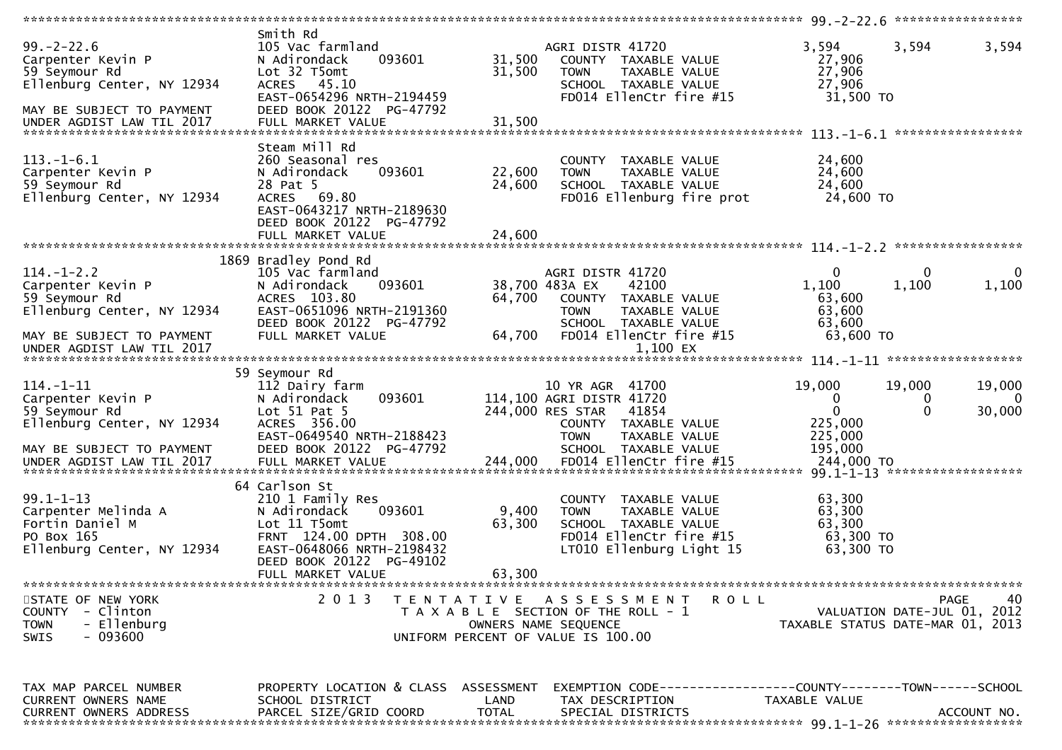|                                                                                                                                                |                                                                                                                                                                      |                            |                                                                                                                                     | ************* 99.-2-22.6 *****************                      |                         |                              |
|------------------------------------------------------------------------------------------------------------------------------------------------|----------------------------------------------------------------------------------------------------------------------------------------------------------------------|----------------------------|-------------------------------------------------------------------------------------------------------------------------------------|-----------------------------------------------------------------|-------------------------|------------------------------|
| $99. - 2 - 22.6$<br>Carpenter Kevin P<br>59 Seymour Rd<br>Ellenburg Center, NY 12934<br>MAY BE SUBJECT TO PAYMENT<br>UNDER AGDIST LAW TIL 2017 | Smith Rd<br>105 Vac farmland<br>093601<br>N Adirondack<br>Lot 32 T5omt<br>ACRES 45.10<br>EAST-0654296 NRTH-2194459<br>DEED BOOK 20122 PG-47792<br>FULL MARKET VALUE  | 31,500<br>31,500<br>31,500 | AGRI DISTR 41720<br>COUNTY TAXABLE VALUE<br>TAXABLE VALUE<br><b>TOWN</b><br>SCHOOL TAXABLE VALUE<br>FD014 EllenCtr fire #15         | 3,594<br>27,906<br>27,906<br>27,906<br>31,500 TO                | 3,594                   | 3,594                        |
| $113.-1-6.1$<br>Carpenter Kevin P<br>59 Seymour Rd<br>Ellenburg Center, NY 12934                                                               | Steam Mill Rd<br>260 Seasonal res<br>093601<br>N Adirondack<br>28 Pat 5<br>ACRES 69.80<br>EAST-0643217 NRTH-2189630<br>DEED BOOK 20122 PG-47792<br>FULL MARKET VALUE | 22,600<br>24,600<br>24,600 | COUNTY TAXABLE VALUE<br>TAXABLE VALUE<br><b>TOWN</b><br>SCHOOL TAXABLE VALUE<br>FD016 Ellenburg fire prot                           | 24,600<br>24,600<br>24,600<br>24,600 TO                         |                         |                              |
|                                                                                                                                                |                                                                                                                                                                      |                            |                                                                                                                                     |                                                                 |                         |                              |
| $114. - 1 - 2.2$<br>Carpenter Kevin P<br>59 Seymour Rd<br>Ellenburg Center, NY 12934                                                           | 1869 Bradley Pond Rd<br>105 Vac farmland<br>093601<br>N Adirondack<br>ACRES 103.80<br>EAST-0651096 NRTH-2191360<br>DEED BOOK 20122 PG-47792                          | 64,700                     | AGRI DISTR 41720<br>38,700 483A EX<br>42100<br>COUNTY TAXABLE VALUE<br><b>TOWN</b><br>TAXABLE VALUE<br>SCHOOL TAXABLE VALUE         | $\mathbf 0$<br>1,100<br>63,600<br>63,600<br>63,600              | 0<br>1,100              | 0<br>1,100                   |
| MAY BE SUBJECT TO PAYMENT                                                                                                                      | FULL MARKET VALUE                                                                                                                                                    | 64,700                     | FD014 EllenCtr fire #15                                                                                                             | 63,600 TO                                                       |                         |                              |
| UNDER AGDIST LAW TIL 2017                                                                                                                      |                                                                                                                                                                      |                            | 1,100 EX                                                                                                                            |                                                                 |                         |                              |
|                                                                                                                                                | 59 Seymour Rd                                                                                                                                                        |                            |                                                                                                                                     |                                                                 |                         |                              |
| $114. - 1 - 11$<br>Carpenter Kevin P<br>59 Seymour Rd                                                                                          | 112 Dairy farm<br>093601<br>N Adirondack<br>Lot $51$ Pat $5$                                                                                                         |                            | 10 YR AGR 41700<br>114,100 AGRI DISTR 41720<br>244,000 RES STAR<br>41854                                                            | 19,000<br>$\Omega$<br>$\Omega$                                  | 19,000<br>0<br>$\Omega$ | 19,000<br>$\Omega$<br>30,000 |
| Ellenburg Center, NY 12934<br>MAY BE SUBJECT TO PAYMENT<br>UNDER AGDIST LAW TIL 2017                                                           | ACRES 356.00<br>EAST-0649540 NRTH-2188423<br>DEED BOOK 20122 PG-47792<br>FULL MARKET VALUE                                                                           | 244,000                    | COUNTY TAXABLE VALUE<br>TAXABLE VALUE<br><b>TOWN</b><br>SCHOOL TAXABLE VALUE<br>FD014 EllenCtr fire #15                             | 225,000<br>225,000<br>195,000<br>244,000 TO                     |                         |                              |
|                                                                                                                                                |                                                                                                                                                                      |                            |                                                                                                                                     |                                                                 |                         |                              |
| $99.1 - 1 - 13$<br>Carpenter Melinda A<br>Fortin Daniel M<br>PO Box 165<br>Ellenburg Center, NY 12934                                          | 64 Carlson St<br>210 1 Family Res<br>093601<br>N Adirondack<br>Lot 11 T5omt<br>FRNT 124.00 DPTH 308.00<br>EAST-0648066 NRTH-2198432<br>DEED BOOK 20122 PG-49102      | 9,400<br>63,300            | COUNTY TAXABLE VALUE<br><b>TOWN</b><br>TAXABLE VALUE<br>SCHOOL TAXABLE VALUE<br>FD014 EllenCtr fire #15<br>LT010 Ellenburg Light 15 | 63,300<br>63,300<br>63,300<br>63,300 TO<br>63,300 TO            |                         |                              |
|                                                                                                                                                | FULL MARKET VALUE                                                                                                                                                    | 63,300                     |                                                                                                                                     |                                                                 |                         |                              |
|                                                                                                                                                |                                                                                                                                                                      |                            |                                                                                                                                     |                                                                 |                         |                              |
| STATE OF NEW YORK<br>COUNTY - Clinton<br>- Ellenburg<br><b>TOWN</b><br>$-093600$<br><b>SWIS</b>                                                | 2 0 1 3                                                                                                                                                              |                            | TENTATIVE ASSESSMENT<br>ROLL<br>T A X A B L E SECTION OF THE ROLL - 1<br>OWNERS NAME SEQUENCE<br>UNIFORM PERCENT OF VALUE IS 100.00 | VALUATION DATE-JUL 01, 2012<br>TAXABLE STATUS DATE-MAR 01, 2013 |                         | 40<br>PAGE                   |
|                                                                                                                                                |                                                                                                                                                                      |                            |                                                                                                                                     |                                                                 |                         |                              |
| TAX MAP PARCEL NUMBER                                                                                                                          | PROPERTY LOCATION & CLASS ASSESSMENT                                                                                                                                 |                            | EXEMPTION CODE------------------COUNTY--------TOWN------SCHOOL                                                                      |                                                                 |                         |                              |
| CURRENT OWNERS NAME<br><b>CURRENT OWNERS ADDRESS</b>                                                                                           | SCHOOL DISTRICT<br>PARCEL SIZE/GRID COORD                                                                                                                            | LAND<br><b>TOTAL</b>       | TAX DESCRIPTION<br>SPECIAL DISTRICTS                                                                                                | TAXABLE VALUE                                                   |                         | ACCOUNT NO.                  |
|                                                                                                                                                |                                                                                                                                                                      |                            |                                                                                                                                     |                                                                 |                         |                              |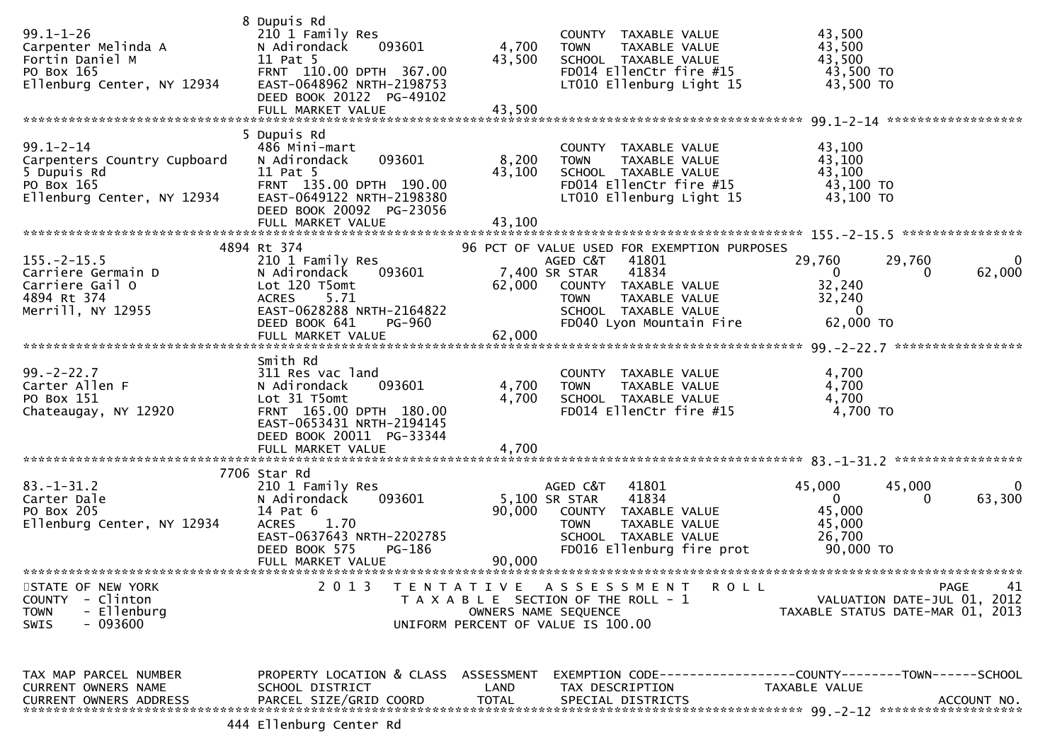| $99.1 - 1 - 26$<br>Carpenter Melinda A<br>Fortin Daniel M<br>PO Box 165<br>Ellenburg Center, NY 12934     | 8 Dupuis Rd<br>210 1 Family Res<br>N Adirondack<br>093601<br>11 Pat 5<br>FRNT 110.00 DPTH 367.00<br>EAST-0648962 NRTH-2198753<br>DEED BOOK 20122 PG-49102<br>FULL MARKET VALUE  | 4,700<br>43,500<br>43,500 | COUNTY TAXABLE VALUE<br>TAXABLE VALUE<br><b>TOWN</b><br>SCHOOL TAXABLE VALUE<br>FD014 EllenCtr fire #15<br>LT010 Ellenburg Light 15                                                                    | 43,500<br>43,500<br>43,500<br>43,500 TO<br>43,500 TO                         |                    |
|-----------------------------------------------------------------------------------------------------------|---------------------------------------------------------------------------------------------------------------------------------------------------------------------------------|---------------------------|--------------------------------------------------------------------------------------------------------------------------------------------------------------------------------------------------------|------------------------------------------------------------------------------|--------------------|
| $99.1 - 2 - 14$<br>Carpenters Country Cupboard<br>5 Dupuis Rd<br>PO Box 165<br>Ellenburg Center, NY 12934 | 5 Dupuis Rd<br>486 Mini-mart<br>093601<br>N Adirondack<br>11 Pat 5<br>FRNT 135.00 DPTH 190.00<br>EAST-0649122 NRTH-2198380<br>DEED BOOK 20092 PG-23056<br>FULL MARKET VALUE     | 8,200<br>43,100<br>43,100 | COUNTY TAXABLE VALUE<br><b>TOWN</b><br>TAXABLE VALUE<br>SCHOOL TAXABLE VALUE<br>FD014 EllenCtr fire #15<br>LT010 Ellenburg Light 15                                                                    | 43,100<br>43,100<br>43,100<br>43,100 TO<br>43,100 TO                         |                    |
| $155. - 2 - 15.5$<br>Carriere Germain D<br>Carriere Gail O<br>4894 Rt 374<br>Merrill, NY 12955            | 4894 Rt 374<br>210 1 Family Res<br>N Adirondack<br>093601<br>Lot 120 T5omt<br>5.71<br><b>ACRES</b><br>EAST-0628288 NRTH-2164822<br>DEED BOOK 641<br><b>PG-960</b>               | 62,000                    | 96 PCT OF VALUE USED FOR EXEMPTION PURPOSES<br>AGED C&T<br>41801<br>41834<br>7,400 SR STAR<br>COUNTY TAXABLE VALUE<br><b>TOWN</b><br>TAXABLE VALUE<br>SCHOOL TAXABLE VALUE<br>FD040 Lyon Mountain Fire | 29,760<br>29,760<br>$\mathbf{0}$<br>0<br>32,240<br>32,240<br>0<br>62,000 TO  | $\Omega$<br>62,000 |
| $99. - 2 - 22.7$<br>Carter Allen F<br>PO Box 151<br>Chateaugay, NY 12920                                  | Smith Rd<br>311 Res vac land<br>093601<br>N Adirondack<br>Lot 31 T5omt<br>FRNT 165.00 DPTH 180.00<br>EAST-0653431 NRTH-2194145<br>DEED BOOK 20011 PG-33344<br>FULL MARKET VALUE | 4,700<br>4,700<br>4,700   | COUNTY TAXABLE VALUE<br><b>TOWN</b><br>TAXABLE VALUE<br>SCHOOL TAXABLE VALUE<br>FD014 EllenCtr fire #15                                                                                                | 4,700<br>4,700<br>4,700<br>4,700 TO                                          |                    |
| $83.-1-31.2$<br>Carter Dale<br>PO Box 205<br>Ellenburg Center, NY 12934                                   | 7706 Star Rd<br>210 1 Family Res<br>N Adirondack<br>093601<br>14 Pat 6<br><b>ACRES</b><br>1.70<br>EAST-0637643 NRTH-2202785<br>DEED BOOK 575<br>PG-186<br>FULL MARKET VALUE     | 90,000<br>90,000          | AGED C&T<br>41801<br>41834<br>5,100 SR STAR<br>COUNTY TAXABLE VALUE<br><b>TOWN</b><br>TAXABLE VALUE<br>SCHOOL TAXABLE VALUE<br>FD016 Ellenburg fire prot                                               | 45,000<br>45,000<br>$\Omega$<br>0<br>45,000<br>45,000<br>26,700<br>90,000 TO | $\Omega$<br>63,300 |
| STATE OF NEW YORK<br>- Clinton<br><b>COUNTY</b><br>- Ellenburg<br><b>TOWN</b><br>- 093600<br><b>SWIS</b>  | 2 0 1 3                                                                                                                                                                         |                           | TENTATIVE ASSESSMENT<br><b>ROLL</b><br>T A X A B L E SECTION OF THE ROLL - 1<br>OWNERS NAME SEQUENCE<br>UNIFORM PERCENT OF VALUE IS 100.00                                                             | VALUATION DATE-JUL 01,<br>TAXABLE STATUS DATE-MAR 01, 2013                   | 41<br>PAGE<br>2012 |
| TAX MAP PARCEL NUMBER<br><b>CURRENT OWNERS NAME</b><br><b>CURRENT OWNERS ADDRESS</b>                      | PROPERTY LOCATION & CLASS ASSESSMENT<br>SCHOOL DISTRICT<br>PARCEL SIZE/GRID COORD<br>$111$ $F11$ onburg Contor $R$                                                              | LAND<br><b>TOTAL</b>      | EXEMPTION CODE-----------------COUNTY-------TOWN------SCHOOL<br>TAX DESCRIPTION<br>SPECIAL DISTRICTS                                                                                                   | TAXABLE VALUE                                                                | ACCOUNT NO.        |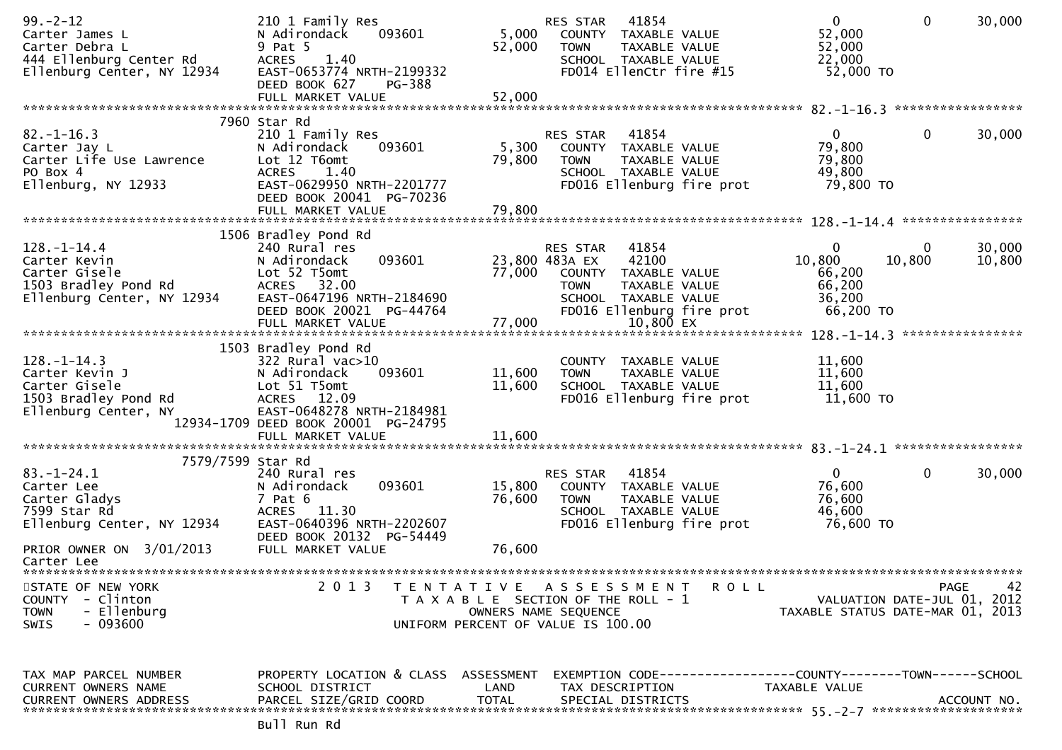| $99. - 2 - 12$<br>Carter James L<br>Carter Debra L<br>444 Ellenburg Center Rd<br>Ellenburg Center, NY 12934        | 210 1 Family Res<br>093601<br>N Adirondack<br>9 Pat 5<br><b>ACRES</b><br>1.40<br>EAST-0653774 NRTH-2199332<br>DEED BOOK 627<br>PG-388<br>FULL MARKET VALUE                       | 5,000<br>52,000<br>52,000 | 41854<br>RES STAR<br>COUNTY TAXABLE VALUE<br><b>TOWN</b><br>TAXABLE VALUE<br>SCHOOL TAXABLE VALUE<br>FD014 EllenCtr fire #15                                                  | $\mathbf{0}$<br>52,000<br>52,000<br>22,000<br>52,000 TO         | $\mathbf{0}$ | 30,000           |
|--------------------------------------------------------------------------------------------------------------------|----------------------------------------------------------------------------------------------------------------------------------------------------------------------------------|---------------------------|-------------------------------------------------------------------------------------------------------------------------------------------------------------------------------|-----------------------------------------------------------------|--------------|------------------|
|                                                                                                                    |                                                                                                                                                                                  |                           |                                                                                                                                                                               |                                                                 |              |                  |
| $82. - 1 - 16.3$<br>Carter Jay L<br>Carter Life Use Lawrence<br>PO Box 4<br>Ellenburg, NY 12933                    | 7960 Star Rd<br>210 1 Family Res<br>093601<br>N Adirondack<br>Lot 12 T6omt<br><b>ACRES</b><br>1.40<br>EAST-0629950 NRTH-2201777<br>DEED BOOK 20041 PG-70236<br>FULL MARKET VALUE | 5,300<br>79,800<br>79,800 | RES STAR<br>41854<br>COUNTY TAXABLE VALUE<br>TAXABLE VALUE<br><b>TOWN</b><br>SCHOOL TAXABLE VALUE<br>FD016 Ellenburg fire prot                                                | $\overline{0}$<br>79,800<br>79,800<br>49,800<br>79,800 TO       | $\mathbf{0}$ | 30,000           |
|                                                                                                                    |                                                                                                                                                                                  |                           |                                                                                                                                                                               |                                                                 |              |                  |
| $128. - 1 - 14.4$<br>Carter Kevin<br>Carter Gisele<br>1503 Bradley Pond Rd<br>Ellenburg Center, NY 12934           | 1506 Bradley Pond Rd<br>240 Rural res<br>093601<br>N Adirondack<br>Lot 52 T5omt<br>ACRES 32.00<br>EAST-0647196 NRTH-2184690<br>DEED BOOK 20021 PG-44764<br>FULL MARKET VALUE     | 77,000<br>77,000          | 41854<br><b>RES STAR</b><br>23,800 483A EX<br>42100<br>COUNTY TAXABLE VALUE<br>TAXABLE VALUE<br><b>TOWN</b><br>SCHOOL TAXABLE VALUE<br>FD016 Ellenburg fire prot<br>10,800 EX | 0<br>10,800<br>66,200<br>66,200<br>36,200<br>66,200 TO          | 0<br>10,800  | 30,000<br>10,800 |
| $128. - 1 - 14.3$<br>Carter Kevin J<br>Carter Gisele                                                               | 1503 Bradley Pond Rd<br>322 Rural vac>10<br>093601<br>N Adirondack<br>Lot 51 T5omt                                                                                               | 11,600<br>11,600          | COUNTY TAXABLE VALUE<br>TAXABLE VALUE<br><b>TOWN</b><br>SCHOOL TAXABLE VALUE                                                                                                  | 11,600<br>11,600<br>11,600                                      |              |                  |
| 1503 Bradley Pond Rd<br>Ellenburg Center, NY                                                                       | ACRES 12.09<br>EAST-0648278 NRTH-2184981<br>12934-1709 DEED BOOK 20001 PG-24795<br>FULL MARKET VALUE                                                                             | 11,600                    | FD016 Ellenburg fire prot                                                                                                                                                     | 11,600 TO                                                       |              |                  |
| 7579/7599 Star Rd<br>$83. - 1 - 24.1$<br>Carter Lee<br>Carter Gladys<br>7599 Star Rd<br>Ellenburg Center, NY 12934 | 240 Rural res<br>093601<br>N Adirondack<br>$7$ Pat $6$<br>ACRES 11.30<br>EAST-0640396 NRTH-2202607<br>DEED BOOK 20132 PG-54449                                                   | 15,800<br>76,600          | 41854<br>RES STAR<br>COUNTY TAXABLE VALUE<br>TAXABLE VALUE<br><b>TOWN</b><br>SCHOOL TAXABLE VALUE<br>FD016 Ellenburg fire prot                                                | $\overline{0}$<br>76,600<br>76,600<br>46,600<br>76,600 TO       | $\mathbf{0}$ | 30,000           |
| PRIOR OWNER ON 3/01/2013<br>Carter Lee                                                                             | FULL MARKET VALUE                                                                                                                                                                | 76,600                    |                                                                                                                                                                               |                                                                 |              |                  |
| STATE OF NEW YORK<br>COUNTY - Clinton<br>- Ellenburg<br><b>TOWN</b><br>- 093600<br><b>SWIS</b>                     | 2 0 1 3                                                                                                                                                                          |                           | TENTATIVE ASSESSMENT<br><b>ROLL</b><br>T A X A B L E SECTION OF THE ROLL - 1<br>OWNERS NAME SEQUENCE<br>UNIFORM PERCENT OF VALUE IS 100.00                                    | VALUATION DATE-JUL 01, 2012<br>TAXABLE STATUS DATE-MAR 01, 2013 |              | PAGE<br>42       |
| TAX MAP PARCEL NUMBER<br>CURRENT OWNERS NAME<br>CURRENT OWNERS ADDRESS                                             | PROPERTY LOCATION & CLASS ASSESSMENT<br>SCHOOL DISTRICT<br>PARCEL SIZE/GRID COORD                                                                                                | LAND<br><b>TOTAL</b>      | TAX DESCRIPTION<br>SPECIAL DISTRICTS                                                                                                                                          | TAXABLE VALUE                                                   |              | ACCOUNT NO.      |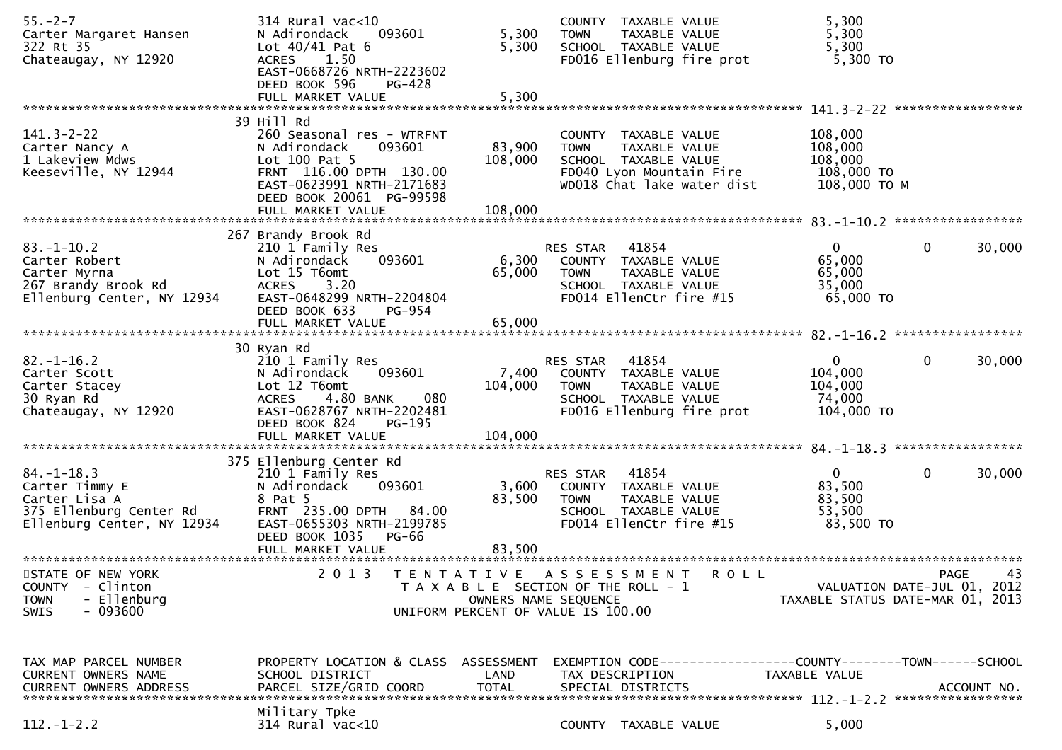| $55. - 2 - 7$<br>Carter Margaret Hansen<br>322 Rt 35  | 314 Rural vac<10<br>N Adirondack<br>093601<br>Lot $40/41$ Pat 6              | 5,300<br>5,300     | COUNTY TAXABLE VALUE<br><b>TOWN</b><br>TAXABLE VALUE<br>SCHOOL TAXABLE VALUE           | 5,300<br>5,300<br>5,300 |                                     |    |
|-------------------------------------------------------|------------------------------------------------------------------------------|--------------------|----------------------------------------------------------------------------------------|-------------------------|-------------------------------------|----|
| Chateaugay, NY 12920                                  | 1.50<br><b>ACRES</b><br>EAST-0668726 NRTH-2223602<br>DEED BOOK 596<br>PG-428 |                    | FD016 Ellenburg fire prot                                                              | $5,300$ TO              |                                     |    |
|                                                       | FULL MARKET VALUE                                                            | 5,300              |                                                                                        |                         |                                     |    |
| $141.3 - 2 - 22$                                      | 39 Hill Rd<br>260 Seasonal res - WTRFNT                                      |                    | COUNTY TAXABLE VALUE                                                                   | 108,000                 |                                     |    |
| Carter Nancy A                                        | 093601<br>N Adirondack                                                       | 83,900             | TAXABLE VALUE<br><b>TOWN</b>                                                           | 108,000                 |                                     |    |
| 1 Lakeview Mdws<br>Keeseville, NY 12944               | Lot 100 Pat 5<br>FRNT 116.00 DPTH 130.00                                     | 108,000            | SCHOOL TAXABLE VALUE<br>FD040 Lyon Mountain Fire                                       | 108,000<br>108,000 TO   |                                     |    |
|                                                       | EAST-0623991 NRTH-2171683<br>DEED BOOK 20061 PG-99598                        | 108,000            | WD018 Chat lake water dist                                                             | 108,000 ТО М            |                                     |    |
|                                                       | FULL MARKET VALUE                                                            |                    |                                                                                        |                         |                                     |    |
| $83. - 1 - 10.2$                                      | 267 Brandy Brook Rd<br>210 1 Family Res                                      |                    | 41854<br>RES STAR                                                                      | $\mathbf{0}$            | 0<br>30,000                         |    |
| Carter Robert<br>Carter Myrna                         | N Adirondack<br>093601<br>Lot 15 T6omt                                       | 6,300<br>65,000    | COUNTY TAXABLE VALUE<br>TAXABLE VALUE<br><b>TOWN</b>                                   | 65,000<br>65,000        |                                     |    |
| 267 Brandy Brook Rd                                   | 3.20<br><b>ACRES</b>                                                         |                    | SCHOOL TAXABLE VALUE                                                                   | 35,000                  |                                     |    |
| Ellenburg Center, NY 12934                            | EAST-0648299 NRTH-2204804<br>DEED BOOK 633<br>PG-954                         |                    | FD014 EllenCtr fire #15                                                                | 65,000 TO               |                                     |    |
|                                                       | FULL MARKET VALUE                                                            | 65,000             |                                                                                        |                         |                                     |    |
|                                                       | 30 Ryan Rd                                                                   |                    |                                                                                        |                         |                                     |    |
| $82. - 1 - 16.2$<br>Carter Scott                      | 210 1 Family Res<br>093601<br>N Adirondack                                   | 7,400              | RES STAR<br>41854<br>COUNTY TAXABLE VALUE                                              | $\Omega$<br>104,000     | 0<br>30,000                         |    |
| Carter Stacey<br>30 Ryan Rd                           | Lot 12 T6omt<br>4.80 BANK<br>080<br><b>ACRES</b>                             | 104,000            | <b>TOWN</b><br>TAXABLE VALUE<br>SCHOOL TAXABLE VALUE                                   | 104,000<br>74,000       |                                     |    |
| Chateaugay, NY 12920                                  | EAST-0628767 NRTH-2202481                                                    |                    | FD016 Ellenburg fire prot                                                              | 104,000 TO              |                                     |    |
|                                                       | DEED BOOK 824<br>PG-195<br>FULL MARKET VALUE                                 | 104,000            |                                                                                        |                         |                                     |    |
|                                                       | 375 Ellenburg Center Rd                                                      |                    |                                                                                        |                         |                                     |    |
| $84. - 1 - 18.3$                                      | 210 1 Family Res                                                             |                    | 41854<br>RES STAR                                                                      | $\mathbf{0}$            | 30,000<br>0                         |    |
| Carter Timmy E<br>Carter Lisa A                       | 093601<br>N Adirondack<br>8 Pat 5                                            | 3,600<br>83,500    | COUNTY TAXABLE VALUE<br><b>TOWN</b><br>TAXABLE VALUE                                   | 83,500<br>83,500        |                                     |    |
| 375 Ellenburg Center Rd<br>Ellenburg Center, NY 12934 | FRNT 235.00 DPTH 84.00<br>EAST-0655303 NRTH-2199785                          |                    | SCHOOL TAXABLE VALUE<br>FD014 EllenCtr fire #15                                        | 53,500<br>83,500 TO     |                                     |    |
|                                                       | DEED BOOK 1035 PG-66                                                         |                    |                                                                                        |                         |                                     |    |
|                                                       | FULL MARKET VALUE                                                            | 83,500             |                                                                                        |                         |                                     |    |
| STATE OF NEW YORK<br>- Clinton<br><b>COUNTY</b>       | 2 0 1 3<br>T E N T A T I V E                                                 |                    | A S S E S S M E N T<br>R O L L<br>T A X A B L E SECTION OF THE ROLL - 1                |                         | PAGE<br>VALUATION DATE-JUL 01, 2012 | 43 |
| - Ellenburg<br><b>TOWN</b><br>$-093600$<br>SWIS       |                                                                              |                    | OWNERS NAME SEQUENCE<br>UNIFORM PERCENT OF VALUE IS 100.00                             |                         | TAXABLE STATUS DATE-MAR 01, 2013    |    |
|                                                       |                                                                              |                    |                                                                                        |                         |                                     |    |
|                                                       |                                                                              |                    |                                                                                        |                         |                                     |    |
| TAX MAP PARCEL NUMBER<br>CURRENT OWNERS NAME          | PROPERTY LOCATION & CLASS<br>SCHOOL DISTRICT                                 | ASSESSMENT<br>LAND | EXEMPTION        CODE-----------------COUNTY-------TOWN------SCHOOL<br>TAX DESCRIPTION | TAXABLE VALUE           |                                     |    |
| <b>CURRENT OWNERS ADDRESS</b>                         | PARCEL SIZE/GRID COORD                                                       | <b>TOTAL</b>       | SPECIAL DISTRICTS                                                                      |                         | ACCOUNT NO.                         |    |
|                                                       | Military Tpke                                                                |                    |                                                                                        |                         |                                     |    |
| $112. - 1 - 2.2$                                      | 314 Rural vac<10                                                             |                    | COUNTY TAXABLE VALUE                                                                   | 5,000                   |                                     |    |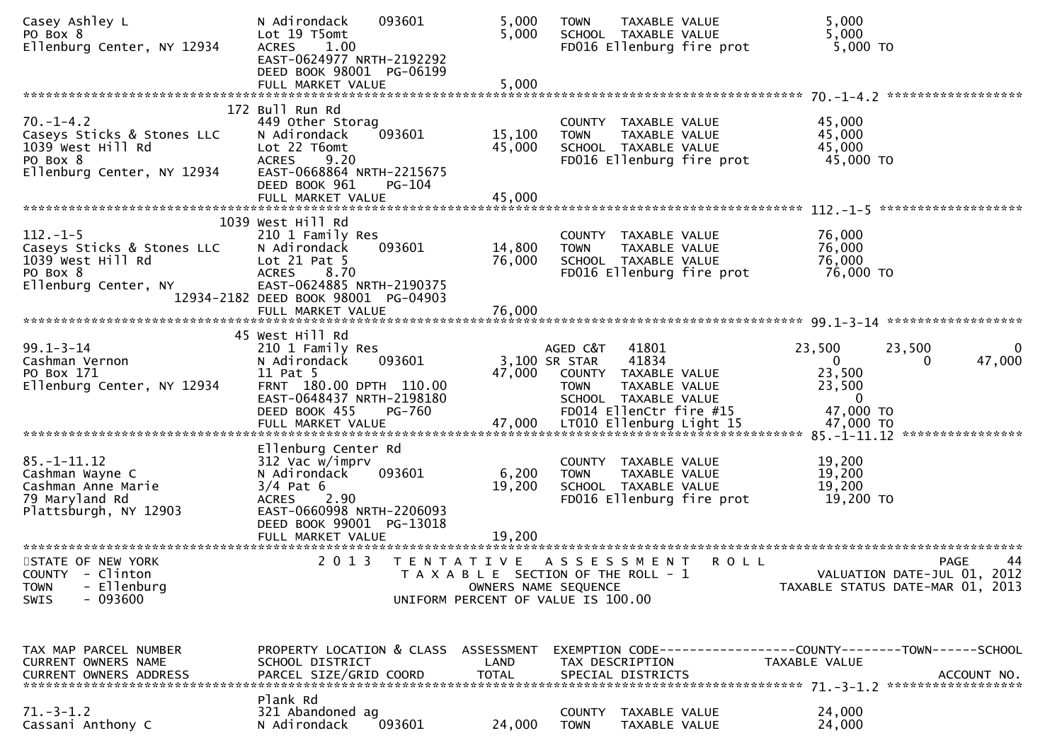| Casey Ashley L<br>PO Box 8<br>Ellenburg Center, NY 12934                                                     | 093601<br>N Adirondack<br>Lot 19 T5omt<br>1.00<br><b>ACRES</b><br>EAST-0624977 NRTH-2192292<br>DEED BOOK 98001 PG-06199<br>FULL MARKET VALUE                                       | 5,000<br>5,000<br>5,000                                                                             | <b>TOWN</b>                              | TAXABLE VALUE<br>SCHOOL TAXABLE VALUE                                                                      | FD016 Ellenburg fire prot | 5,000<br>5,000<br>5,000 TO                                                       |                                                                               |
|--------------------------------------------------------------------------------------------------------------|------------------------------------------------------------------------------------------------------------------------------------------------------------------------------------|-----------------------------------------------------------------------------------------------------|------------------------------------------|------------------------------------------------------------------------------------------------------------|---------------------------|----------------------------------------------------------------------------------|-------------------------------------------------------------------------------|
|                                                                                                              |                                                                                                                                                                                    |                                                                                                     |                                          |                                                                                                            |                           |                                                                                  |                                                                               |
| $70. - 1 - 4.2$<br>Caseys Sticks & Stones LLC<br>1039 West Hill Rd<br>PO Box 8<br>Ellenburg Center, NY 12934 | 172 Bull Run Rd<br>449 Other Storag<br>093601<br>N Adirondack<br>Lot 22 T6omt<br>9.20<br><b>ACRES</b><br>EAST-0668864 NRTH-2215675<br>DEED BOOK 961<br>PG-104<br>FULL MARKET VALUE | 15,100<br>45,000<br>45,000                                                                          | <b>TOWN</b>                              | COUNTY TAXABLE VALUE<br>TAXABLE VALUE<br>SCHOOL TAXABLE VALUE                                              | FD016 Ellenburg fire prot | 45,000<br>45,000<br>45,000<br>45,000 TO                                          |                                                                               |
|                                                                                                              | 1039 West Hill Rd                                                                                                                                                                  |                                                                                                     |                                          |                                                                                                            |                           |                                                                                  |                                                                               |
| $112. - 1 - 5$<br>Caseys Sticks & Stones LLC<br>1039 West Hill Rd<br>PO Box 8<br>Ellenburg Center, NY        | 210 1 Family Res<br>N Adirondack<br>093601<br>Lot $21$ Pat 5<br><b>ACRES</b><br>8.70<br>EAST-0624885 NRTH-2190375<br>12934-2182 DEED BOOK 98001 PG-04903                           | 14,800<br>76,000                                                                                    | <b>TOWN</b>                              | COUNTY TAXABLE VALUE<br>TAXABLE VALUE<br>SCHOOL TAXABLE VALUE                                              | FD016 Ellenburg fire prot | 76,000<br>76,000<br>76,000<br>76,000 TO                                          |                                                                               |
|                                                                                                              | FULL MARKET VALUE                                                                                                                                                                  | 76,000                                                                                              |                                          |                                                                                                            |                           |                                                                                  |                                                                               |
| $99.1 - 3 - 14$<br>Cashman Vernon<br>PO Box 171<br>Ellenburg Center, NY 12934                                | 45 West Hill Rd<br>210 1 Family Res<br>N Adirondack<br>093601<br>11 Pat 5<br>FRNT 180.00 DPTH 110.00<br>EAST-0648437 NRTH-2198180<br>DEED BOOK 455<br>PG-760<br>FULL MARKET VALUE  | 47,000<br>47,000                                                                                    | AGED C&T<br>3,100 SR STAR<br><b>TOWN</b> | 41801<br>41834<br>COUNTY TAXABLE VALUE<br>TAXABLE VALUE<br>SCHOOL TAXABLE VALUE<br>FD014 EllenCtr fire #15 | LT010 Ellenburg Light 15  | 23,500<br>$\mathbf{0}$<br>23,500<br>23,500<br>$\bf{0}$<br>47,000 TO<br>47,000 TO | 23,500<br>0<br>47,000<br>0                                                    |
|                                                                                                              |                                                                                                                                                                                    |                                                                                                     |                                          |                                                                                                            |                           |                                                                                  |                                                                               |
| $85. - 1 - 11.12$<br>Cashman Wayne C<br>Cashman Anne Marie<br>79 Maryland Rd<br>Plattsburgh, NY 12903        | Ellenburg Center Rd<br>312 Vac w/imprv<br>N Adirondack<br>093601<br>$3/4$ Pat 6<br><b>ACRES</b><br>2.90<br>EAST-0660998 NRTH-2206093<br>DEED BOOK 99001 PG-13018                   | 6,200<br>19,200                                                                                     | COUNTY<br><b>TOWN</b>                    | TAXABLE VALUE<br>TAXABLE VALUE<br>SCHOOL TAXABLE VALUE                                                     | FD016 Ellenburg fire prot | 19,200<br>19,200<br>19,200<br>19,200 TO                                          |                                                                               |
|                                                                                                              | FULL MARKET VALUE                                                                                                                                                                  | 19,200                                                                                              |                                          |                                                                                                            |                           |                                                                                  |                                                                               |
| STATE OF NEW YORK<br>COUNTY - Clinton<br>- Ellenburg<br><b>TOWN</b><br>$-093600$<br><b>SWIS</b>              | 2 0 1 3                                                                                                                                                                            | TENTATIVE ASSESSMENT<br>T A X A B L E SECTION OF THE ROLL - 1<br>UNIFORM PERCENT OF VALUE IS 100.00 | OWNERS NAME SEQUENCE                     |                                                                                                            | <b>ROLL</b>               |                                                                                  | 44<br>PAGE<br>VALUATION DATE-JUL 01, 2012<br>TAXABLE STATUS DATE-MAR 01, 2013 |
| TAX MAP PARCEL NUMBER<br><b>CURRENT OWNERS NAME</b><br><b>CURRENT OWNERS ADDRESS</b>                         | PROPERTY LOCATION & CLASS ASSESSMENT<br>SCHOOL DISTRICT<br>PARCEL SIZE/GRID COORD                                                                                                  | LAND<br><b>TOTAL</b>                                                                                |                                          | TAX DESCRIPTION<br>SPECIAL DISTRICTS                                                                       |                           | TAXABLE VALUE                                                                    | EXEMPTION CODE-----------------COUNTY-------TOWN------SCHOOL<br>ACCOUNT NO.   |
| $71.-3-1.2$<br>Cassani Anthony C                                                                             | Plank Rd<br>321 Abandoned ag<br>N Adirondack<br>093601                                                                                                                             | 24,000                                                                                              | <b>TOWN</b>                              | COUNTY TAXABLE VALUE<br>TAXABLE VALUE                                                                      |                           | 24,000<br>24,000                                                                 |                                                                               |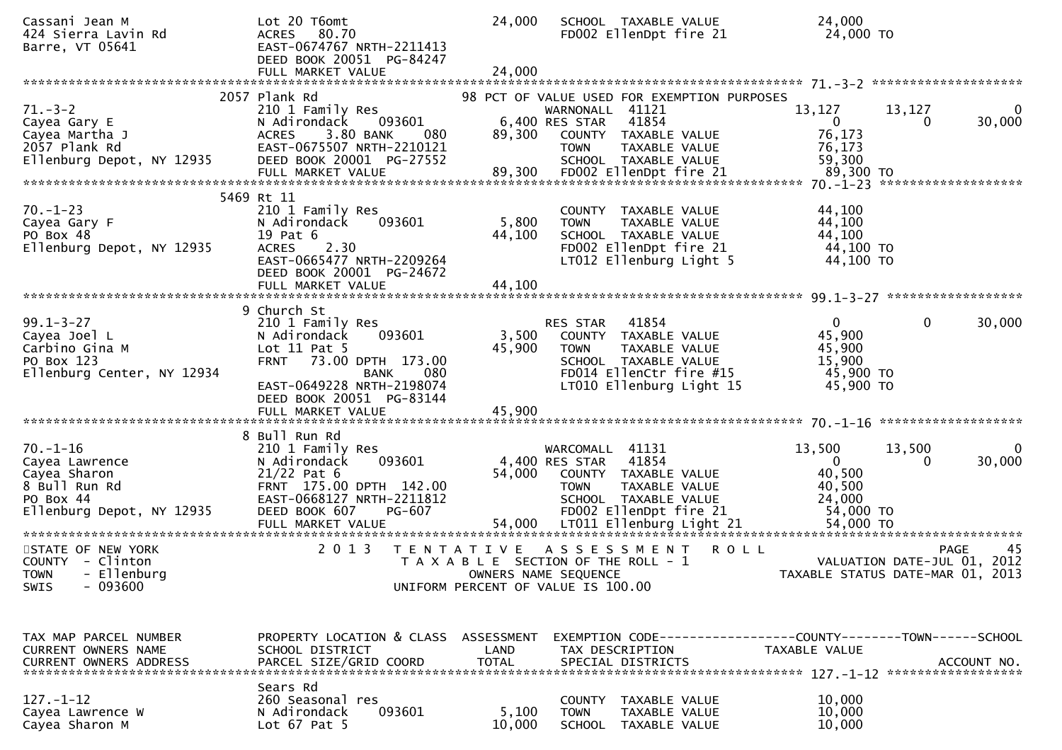| Cassani Jean M<br>424 Sierra Lavin Rd<br>Barre, VT 05641                                                    | Lot 20 T6omt<br>80.70<br><b>ACRES</b><br>EAST-0674767 NRTH-2211413<br>DEED BOOK 20051 PG-84247<br>FULL MARKET VALUE                                                                            | 24,000<br>24,000     | SCHOOL TAXABLE VALUE<br>FD002 EllenDpt fire 21                                                                                                           |                                                 | 24,000<br>24,000 TO                                                             |                             |                   |
|-------------------------------------------------------------------------------------------------------------|------------------------------------------------------------------------------------------------------------------------------------------------------------------------------------------------|----------------------|----------------------------------------------------------------------------------------------------------------------------------------------------------|-------------------------------------------------|---------------------------------------------------------------------------------|-----------------------------|-------------------|
|                                                                                                             | 2057 Plank Rd                                                                                                                                                                                  |                      |                                                                                                                                                          |                                                 |                                                                                 |                             |                   |
| $71. - 3 - 2$<br>Cayea Gary E<br>Cayea Martha J<br>2057 Plank Rd<br>Ellenburg Depot, NY 12935               | 210 1 Family Res<br>093601<br>N Adirondack<br>3.80 BANK<br><b>ACRES</b><br>- 080<br>EAST-0675507 NRTH-2210121<br>DEED BOOK 20001 PG-27552                                                      | 89,300               | 98 PCT OF VALUE USED FOR EXEMPTION PURPOSES<br>WARNONALL 41121<br>6,400 RES STAR<br>41854<br>COUNTY TAXABLE VALUE<br><b>TOWN</b><br>SCHOOL TAXABLE VALUE | TAXABLE VALUE                                   | 13,127<br>$\overline{0}$<br>76,173<br>76,173<br>59,300<br>89,300 TO             | 13,127<br>0                 | 0<br>30,000       |
|                                                                                                             |                                                                                                                                                                                                |                      |                                                                                                                                                          |                                                 |                                                                                 | *******************         |                   |
| $70. - 1 - 23$<br>Cayea Gary F<br>PO Box 48<br>Ellenburg Depot, NY 12935                                    | 5469 Rt 11<br>210 1 Family Res<br>N Adirondack<br>093601<br>19 Pat 6<br><b>ACRES</b><br>2.30<br>EAST-0665477 NRTH-2209264<br>DEED BOOK 20001 PG-24672                                          | 5,800<br>44,100      | COUNTY TAXABLE VALUE<br><b>TOWN</b><br>SCHOOL TAXABLE VALUE<br>FD002 EllenDpt fire 21<br>LT012 Ellenburg Light 5                                         | TAXABLE VALUE                                   | 44,100<br>44,100<br>44,100<br>44,100 TO<br>44,100 TO                            |                             |                   |
|                                                                                                             |                                                                                                                                                                                                |                      |                                                                                                                                                          |                                                 |                                                                                 |                             |                   |
| $99.1 - 3 - 27$<br>Cayea Joel L<br>Carbino Gina M<br>PO Box 123<br>Ellenburg Center, NY 12934               | 9 Church St<br>210 1 Family Res<br>N Adirondack<br>093601<br>Lot $11$ Pat 5<br><b>FRNT</b><br>73.00 DPTH 173.00<br>080<br><b>BANK</b><br>EAST-0649228 NRTH-2198074<br>DEED BOOK 20051 PG-83144 | 3,500<br>45,900      | 41854<br>RES STAR<br>COUNTY TAXABLE VALUE<br><b>TOWN</b><br>SCHOOL TAXABLE VALUE<br>FD014 EllenCtr fire #15<br>LT010 Ellenburg Light 15                  | TAXABLE VALUE                                   | $\mathbf{0}$<br>45,900<br>45,900<br>15,900<br>45,900 TO<br>45,900 TO            | $\mathbf{0}$                | 30,000            |
|                                                                                                             | 8 Bull Run Rd                                                                                                                                                                                  |                      |                                                                                                                                                          |                                                 |                                                                                 |                             |                   |
| $70. - 1 - 16$<br>Cayea Lawrence<br>Cayea Sharon<br>8 Bull Run Rd<br>PO Box 44<br>Ellenburg Depot, NY 12935 | 210 1 Family Res<br>N Adirondack<br>093601<br>$21/22$ Pat 6<br>FRNT 175.00 DPTH 142.00<br>EAST-0668127 NRTH-2211812<br>PG-607<br>DEED BOOK 607                                                 | 54,000               | WARCOMALL 41131<br>4,400 RES STAR<br>41854<br>COUNTY TAXABLE VALUE<br>TOWN<br>SCHOOL TAXABLE VALUE<br>FD002 EllenDpt fire 21                             | TAXABLE VALUE                                   | 13,500<br>$\overline{0}$<br>40,500<br>40,500<br>24,000<br>54,000 TO             | 13,500<br>$\Omega$          | 0<br>30,000       |
| STATE OF NEW YORK<br>COUNTY - Clinton<br>- Ellenburg<br><b>TOWN</b><br>$-093600$<br>SWIS                    | 2 0 1 3                                                                                                                                                                                        | T E N T A T I V E    | A S S E S S M E N T<br>T A X A B L E SECTION OF THE ROLL - 1<br>OWNERS NAME SEQUENCE<br>UNIFORM PERCENT OF VALUE IS 100.00                               | ROLL                                            | TAXABLE STATUS DATE-MAR 01, 2013                                                | VALUATION DATE-JUL 01, 2012 | 45<br><b>PAGE</b> |
| TAX MAP PARCEL NUMBER<br>CURRENT OWNERS NAME<br><b>CURRENT OWNERS ADDRESS</b>                               | PROPERTY LOCATION & CLASS ASSESSMENT<br>SCHOOL DISTRICT<br>PARCEL SIZE/GRID COORD                                                                                                              | LAND<br><b>TOTAL</b> | TAX DESCRIPTION<br>SPECIAL DISTRICTS                                                                                                                     |                                                 | EXEMPTION CODE------------------COUNTY--------TOWN------SCHOOL<br>TAXABLE VALUE |                             | ACCOUNT NO.       |
| $127. - 1 - 12$<br>Cayea Lawrence W<br>Cayea Sharon M                                                       | Sears Rd<br>260 Seasonal res<br>093601<br>N Adirondack<br>Lot $67$ Pat $5$                                                                                                                     | 5,100<br>10,000      | <b>COUNTY</b><br><b>TOWN</b><br><b>SCHOOL</b>                                                                                                            | TAXABLE VALUE<br>TAXABLE VALUE<br>TAXABLE VALUE | 10,000<br>10,000<br>10,000                                                      |                             |                   |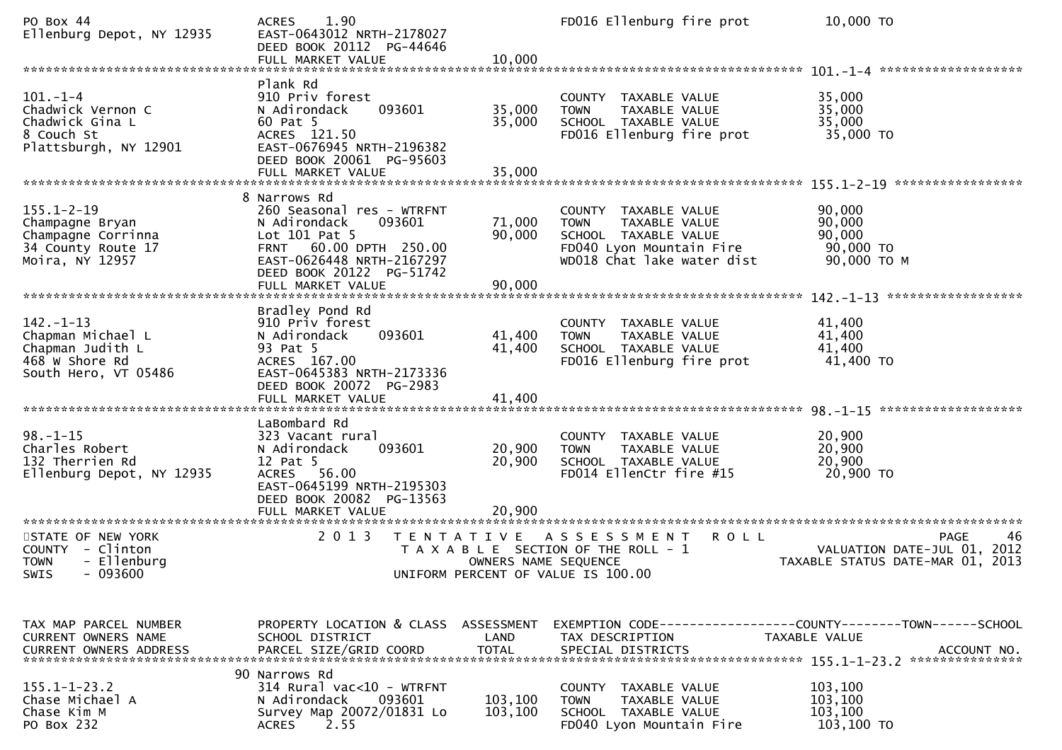| PO Box 44<br>Ellenburg Depot, NY 12935                                                             | 1.90<br><b>ACRES</b><br>EAST-0643012 NRTH-2178027<br>DEED BOOK 20112 PG-44646<br>FULL MARKET VALUE                                                                                           | 10,000                     | FD016 Ellenburg fire prot                                                                                                              | 10,000 TO                                                          |
|----------------------------------------------------------------------------------------------------|----------------------------------------------------------------------------------------------------------------------------------------------------------------------------------------------|----------------------------|----------------------------------------------------------------------------------------------------------------------------------------|--------------------------------------------------------------------|
|                                                                                                    |                                                                                                                                                                                              |                            |                                                                                                                                        |                                                                    |
| $101. - 1 - 4$<br>Chadwick Vernon C<br>Chadwick Gina L<br>8 Couch St<br>Plattsburgh, NY 12901      | Plank Rd<br>910 Priv forest<br>093601<br>N Adirondack<br>60 Pat 5<br>ACRES 121.50<br>EAST-0676945 NRTH-2196382<br>DEED BOOK 20061 PG-95603                                                   | 35,000<br>35,000           | COUNTY TAXABLE VALUE<br>TAXABLE VALUE<br><b>TOWN</b><br>SCHOOL TAXABLE VALUE<br>FD016 Ellenburg fire prot                              | 35,000<br>35,000<br>35,000<br>35,000 TO                            |
|                                                                                                    |                                                                                                                                                                                              |                            |                                                                                                                                        |                                                                    |
| $155.1 - 2 - 19$<br>Champagne Bryan<br>Champagne Corrinna<br>34 County Route 17<br>Moira, NY 12957 | 8 Narrows Rd<br>260 Seasonal res - WTRFNT<br>093601<br>N Adirondack<br>Lot 101 Pat 5<br>FRNT 60.00 DPTH 250.00<br>EAST-0626448 NRTH-2167297<br>DEED BOOK 20122 PG-51742<br>FULL MARKET VALUE | 71,000<br>90,000<br>90,000 | COUNTY TAXABLE VALUE<br>TAXABLE VALUE<br><b>TOWN</b><br>SCHOOL TAXABLE VALUE<br>FD040 Lyon Mountain Fire<br>WD018 Chat lake water dist | 90,000<br>90,000<br>90,000<br>90,000 TO<br>90,000 ТО М             |
|                                                                                                    | Bradley Pond Rd                                                                                                                                                                              |                            |                                                                                                                                        |                                                                    |
| $142. - 1 - 13$<br>Chapman Michael L<br>Chapman Judith L<br>468 W Shore Rd<br>South Hero, VT 05486 | 910 Priv forest<br>093601<br>N Adirondack<br>93 Pat 5<br>ACRES 167.00<br>EAST-0645383 NRTH-2173336<br>DEED BOOK 20072 PG-2983                                                                | 41,400<br>41,400           | COUNTY TAXABLE VALUE<br>TAXABLE VALUE<br><b>TOWN</b><br>SCHOOL TAXABLE VALUE<br>FD016 Ellenburg fire prot                              | 41,400<br>41,400<br>41,400<br>41,400 TO                            |
|                                                                                                    |                                                                                                                                                                                              |                            |                                                                                                                                        |                                                                    |
| $98. - 1 - 15$<br>Charles Robert<br>132 Therrien Rd<br>Ellenburg Depot, NY 12935                   | LaBombard Rd<br>323 Vacant rural<br>093601<br>N Adirondack<br>12 Pat 5<br>ACRES 56.00<br>EAST-0645199 NRTH-2195303<br>DEED BOOK 20082 PG-13563<br>FULL MARKET VALUE                          | 20,900<br>20,900<br>20,900 | COUNTY TAXABLE VALUE<br><b>TOWN</b><br>TAXABLE VALUE<br>SCHOOL TAXABLE VALUE<br>FD014 EllenCtr fire #15                                | 20,900<br>20,900<br>20,900<br>20,900 TO                            |
| STATE OF NEW YORK                                                                                  | 2 0 1 3                                                                                                                                                                                      | T E N T A T I V E          | <b>ROLL</b><br>A S S E S S M E N T                                                                                                     | 46<br>PAGE                                                         |
| COUNTY - Clinton<br><b>TOWN</b><br>- Ellenburg<br>$-093600$<br>SWIS                                |                                                                                                                                                                                              | OWNERS NAME SEQUENCE       | T A X A B L E SECTION OF THE ROLL - 1<br>UNIFORM PERCENT OF VALUE IS 100.00                                                            | VALUATION DATE-JUL 01,<br>2012<br>TAXABLE STATUS DATE-MAR 01, 2013 |
| TAX MAP PARCEL NUMBER<br><b>CURRENT OWNERS NAME</b><br><b>CURRENT OWNERS ADDRESS</b>               | PROPERTY LOCATION & CLASS ASSESSMENT<br>SCHOOL DISTRICT<br>PARCEL SIZE/GRID COORD                                                                                                            | LAND<br><b>TOTAL</b>       | TAX DESCRIPTION<br>SPECIAL DISTRICTS                                                                                                   | TAXABLE VALUE<br>ACCOUNT NO.                                       |
|                                                                                                    | 90 Narrows Rd                                                                                                                                                                                |                            |                                                                                                                                        |                                                                    |
| $155.1 - 1 - 23.2$<br>Chase Michael A<br>Chase Kim M<br>PO Box 232                                 | 314 Rural vac<10 - WTRFNT<br>N Adirondack<br>093601<br>Survey Map 20072/01831 Lo<br>2.55<br><b>ACRES</b>                                                                                     | 103,100<br>103,100         | COUNTY TAXABLE VALUE<br>TAXABLE VALUE<br><b>TOWN</b><br>SCHOOL TAXABLE VALUE<br>FD040 Lyon Mountain Fire                               | 103,100<br>103,100<br>103,100<br>103,100 TO                        |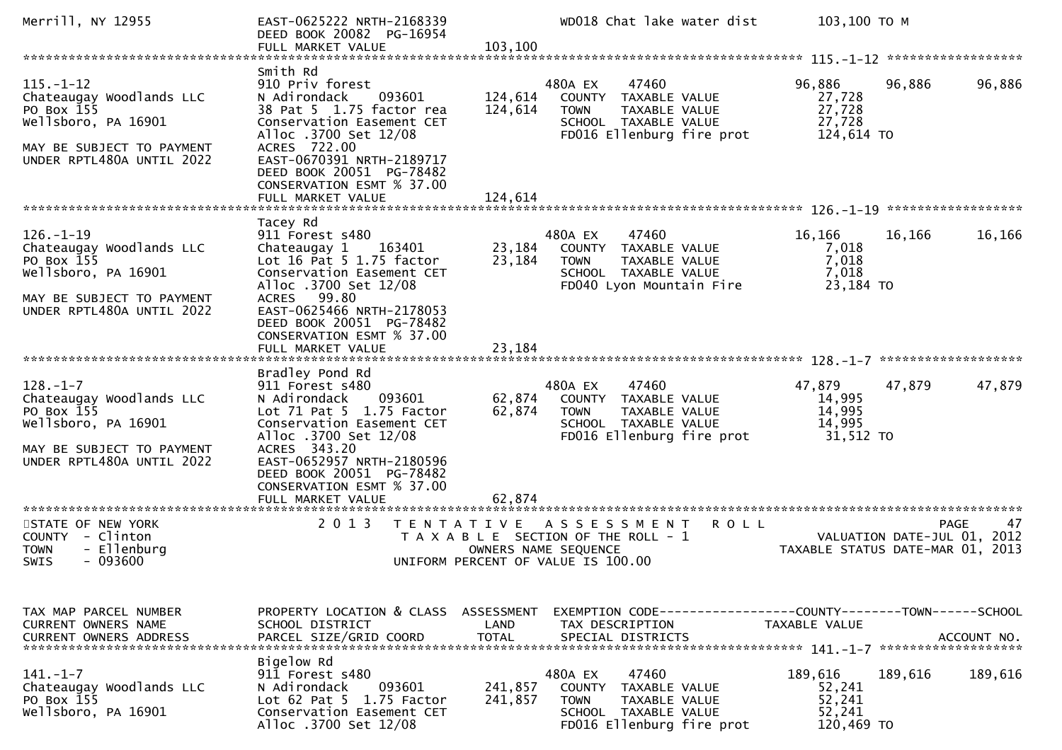| Merrill, NY 12955                                                                                                                          | EAST-0625222 NRTH-2168339<br>DEED BOOK 20082 PG-16954                                                                                                                                                                                                      |                                    | WD018 Chat lake water dist                                                                                                         | 103,100 ТО М                                        |                                                                                      |
|--------------------------------------------------------------------------------------------------------------------------------------------|------------------------------------------------------------------------------------------------------------------------------------------------------------------------------------------------------------------------------------------------------------|------------------------------------|------------------------------------------------------------------------------------------------------------------------------------|-----------------------------------------------------|--------------------------------------------------------------------------------------|
|                                                                                                                                            | FULL MARKET VALUE                                                                                                                                                                                                                                          | 103,100                            |                                                                                                                                    |                                                     |                                                                                      |
| $115. - 1 - 12$<br>Chateaugay Woodlands LLC<br>PO Box 155<br>Wellsboro, PA 16901<br>MAY BE SUBJECT TO PAYMENT<br>UNDER RPTL480A UNTIL 2022 | Smith Rd<br>910 Priv forest<br>N Adirondack<br>093601<br>38 Pat 5 1.75 factor rea<br>Conservation Easement CET<br>Alloc .3700 Set 12/08<br>ACRES 722.00<br>EAST-0670391 NRTH-2189717<br>DEED BOOK 20051 PG-78482<br>CONSERVATION ESMT % 37.00              | 124,614<br>124,614                 | 480A EX<br>47460<br>COUNTY<br>TAXABLE VALUE<br><b>TOWN</b><br>TAXABLE VALUE<br>SCHOOL TAXABLE VALUE<br>FD016 Ellenburg fire prot   | 96,886<br>27,728<br>27,728<br>27,728<br>124,614 TO  | 96,886<br>96,886                                                                     |
|                                                                                                                                            | FULL MARKET VALUE                                                                                                                                                                                                                                          | 124,614                            |                                                                                                                                    |                                                     |                                                                                      |
| $126. - 1 - 19$<br>Chateaugay Woodlands LLC<br>PO Box 155<br>Wellsboro, PA 16901<br>MAY BE SUBJECT TO PAYMENT<br>UNDER RPTL480A UNTIL 2022 | Tacey Rd<br>911 Forest s480<br>Chateaugay 1<br>163401<br>Lot 16 Pat 5 1.75 factor<br>Conservation Easement CET<br>Alloc .3700 Set 12/08<br>99.80<br><b>ACRES</b><br>EAST-0625466 NRTH-2178053                                                              | 23,184<br>23,184                   | 480A EX<br>47460<br>COUNTY TAXABLE VALUE<br><b>TOWN</b><br>TAXABLE VALUE<br>SCHOOL TAXABLE VALUE<br>FD040 Lyon Mountain Fire       | 16,166<br>7,018<br>7,018<br>7,018<br>23,184 TO      | 16,166<br>16,166                                                                     |
|                                                                                                                                            | DEED BOOK 20051 PG-78482<br>CONSERVATION ESMT % 37.00<br>FULL MARKET VALUE                                                                                                                                                                                 | 23,184                             |                                                                                                                                    |                                                     |                                                                                      |
| $128. - 1 - 7$<br>Chateaugay Woodlands LLC<br>PO Box 155<br>Wellsboro, PA 16901<br>MAY BE SUBJECT TO PAYMENT<br>UNDER RPTL480A UNTIL 2022  | Bradley Pond Rd<br>911 Forest s480<br>093601<br>N Adirondack<br>Lot $71$ Pat $5$ $1.75$ Factor<br>Conservation Easement CET<br>Alloc .3700 Set 12/08<br>ACRES 343.20<br>EAST-0652957 NRTH-2180596<br>DEED BOOK 20051 PG-78482<br>CONSERVATION ESMT % 37.00 | 62,874<br>62,874                   | 480A EX<br>47460<br>COUNTY TAXABLE VALUE<br>TAXABLE VALUE<br><b>TOWN</b><br>SCHOOL TAXABLE VALUE<br>FD016 Ellenburg fire prot      | 47,879<br>14,995<br>14,995<br>14,995<br>31,512 TO   | 47,879<br>47,879                                                                     |
| ************************                                                                                                                   | FULL MARKET VALUE<br>***********************                                                                                                                                                                                                               | 62,874                             |                                                                                                                                    |                                                     |                                                                                      |
| STATE OF NEW YORK<br>COUNTY - Clinton<br>- Ellenburg<br><b>TOWN</b><br>- 093600<br><b>SWIS</b>                                             | 2 0 1 3<br>T E N T A T I V E                                                                                                                                                                                                                               |                                    | A S S E S S M E N T R O L L<br>T A X A B L E SECTION OF THE ROLL - 1<br>OWNERS NAME SEQUENCE<br>UNIFORM PERCENT OF VALUE IS 100.00 |                                                     | 47<br><b>PAGE</b><br>VALUATION DATE-JUL 01, 2012<br>TAXABLE STATUS DATE-MAR 01, 2013 |
| TAX MAP PARCEL NUMBER<br>CURRENT OWNERS NAME<br><b>CURRENT OWNERS ADDRESS</b>                                                              | PROPERTY LOCATION & CLASS<br>SCHOOL DISTRICT<br>PARCEL SIZE/GRID COORD                                                                                                                                                                                     | ASSESSMENT<br>LAND<br><b>TOTAL</b> | EXEMPTION CODE-----------------COUNTY--------TOWN------SCHOOL<br>TAX DESCRIPTION<br>SPECIAL DISTRICTS                              | TAXABLE VALUE                                       | ACCOUNT NO.<br>*******************                                                   |
| $141. - 1 - 7$<br>Chateaugay Woodlands LLC<br>PO Box 155<br>Wellsboro, PA 16901                                                            | Bigelow Rd<br>911 Forest s480<br>N Adirondack<br>093601<br>Lot 62 Pat 5 1.75 Factor<br>Conservation Easement CET<br>Alloc .3700 Set 12/08                                                                                                                  | 241,857<br>241,857                 | 480A EX<br>47460<br>COUNTY<br>TAXABLE VALUE<br><b>TOWN</b><br>TAXABLE VALUE<br>SCHOOL TAXABLE VALUE<br>FD016 Ellenburg fire prot   | 189,616<br>52,241<br>52,241<br>52,241<br>120,469 TO | 189,616<br>189,616                                                                   |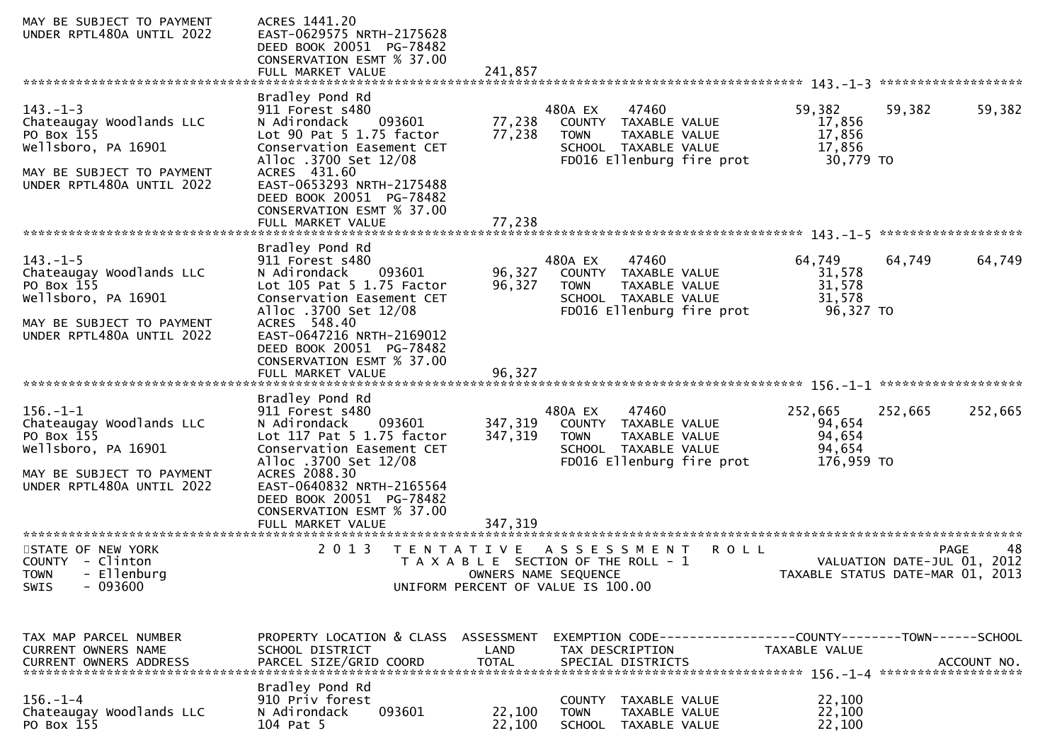| MAY BE SUBJECT TO PAYMENT<br>UNDER RPTL480A UNTIL 2022                                                                                    | ACRES 1441.20<br>EAST-0629575 NRTH-2175628<br>DEED BOOK 20051 PG-78482<br>CONSERVATION ESMT % 37.00                                                                                                                                                    |                      |                                                                                                                                     |                                                                 |                   |
|-------------------------------------------------------------------------------------------------------------------------------------------|--------------------------------------------------------------------------------------------------------------------------------------------------------------------------------------------------------------------------------------------------------|----------------------|-------------------------------------------------------------------------------------------------------------------------------------|-----------------------------------------------------------------|-------------------|
| $143. - 1 - 3$<br>Chateaugay Woodlands LLC<br>PO Box 155<br>Wellsboro, PA 16901<br>MAY BE SUBJECT TO PAYMENT<br>UNDER RPTL480A UNTIL 2022 | Bradley Pond Rd<br>911 Forest s480<br>N Adirondack<br>093601<br>Lot 90 Pat 5 1.75 factor<br>Conservation Easement CET<br>Alloc .3700 Set 12/08<br>ACRES 431.60<br>EAST-0653293 NRTH-2175488<br>DEED BOOK 20051 PG-78482<br>CONSERVATION ESMT % 37.00   | 77,238<br>77,238     | 47460<br>480A EX<br>COUNTY TAXABLE VALUE<br><b>TOWN</b><br>TAXABLE VALUE<br>SCHOOL TAXABLE VALUE<br>FD016 Ellenburg fire prot       | 59,382<br>59,382<br>17,856<br>17,856<br>17,856<br>30,779 TO     | 59,382            |
| $143. - 1 - 5$<br>Chateaugay Woodlands LLC<br>PO Box 155<br>Wellsboro, PA 16901<br>MAY BE SUBJECT TO PAYMENT<br>UNDER RPTL480A UNTIL 2022 | Bradley Pond Rd<br>911 Forest s480<br>N Adirondack<br>093601<br>Lot 105 Pat 5 1.75 Factor<br>Conservation Easement CET<br>Alloc .3700 Set 12/08<br>ACRES 548.40<br>EAST-0647216 NRTH-2169012<br>DEED BOOK 20051 PG-78482<br>CONSERVATION ESMT % 37.00  | 96,327<br>96,327     | 480A EX<br>47460<br>COUNTY TAXABLE VALUE<br><b>TOWN</b><br>TAXABLE VALUE<br>SCHOOL TAXABLE VALUE<br>FD016 Ellenburg fire prot       | 64,749<br>64,749<br>31,578<br>31,578<br>31,578<br>96,327 TO     | 64,749            |
| $156. - 1 - 1$<br>Chateaugay Woodlands LLC<br>PO Box 155<br>Wellsboro, PA 16901<br>MAY BE SUBJECT TO PAYMENT<br>UNDER RPTL480A UNTIL 2022 | Bradley Pond Rd<br>911 Forest s480<br>N Adirondack<br>093601<br>Lot 117 Pat 5 1.75 factor<br>Conservation Easement CET<br>Alloc .3700 Set 12/08<br>ACRES 2088.30<br>EAST-0640832 NRTH-2165564<br>DEED BOOK 20051 PG-78482<br>CONSERVATION ESMT % 37.00 | 347,319<br>347,319   | 47460<br>480A EX<br>COUNTY TAXABLE VALUE<br>TAXABLE VALUE<br>TOWN<br>SCHOOL TAXABLE VALUE<br>FD016 Ellenburg fire prot              | 252,665<br>252,665<br>94,654<br>94,654<br>94,654<br>176,959 TO  | 252,665           |
| STATE OF NEW YORK<br><b>COUNTY</b><br>- Clinton<br>- Ellenburg<br><b>TOWN</b><br>$-093600$<br>SWIS                                        | 2 0 1 3                                                                                                                                                                                                                                                |                      | TENTATIVE ASSESSMENT<br>ROLL<br>T A X A B L E SECTION OF THE ROLL - 1<br>OWNERS NAME SEQUENCE<br>UNIFORM PERCENT OF VALUE IS 100.00 | VALUATION DATE-JUL 01, 2012<br>TAXABLE STATUS DATE-MAR 01, 2013 | 48<br><b>PAGE</b> |
| TAX MAP PARCEL NUMBER<br>CURRENT OWNERS NAME<br>CURRENT OWNERS ADDRESS                                                                    | PROPERTY LOCATION & CLASS ASSESSMENT<br>SCHOOL DISTRICT<br>PARCEL SIZE/GRID COORD<br>Bradley Pond Rd                                                                                                                                                   | LAND<br><b>TOTAL</b> | EXEMPTION CODE------------------COUNTY--------TOWN------SCHOOL<br>TAX DESCRIPTION<br>SPECIAL DISTRICTS                              | TAXABLE VALUE                                                   | ACCOUNT NO.       |
| $156. - 1 - 4$<br>Chateaugay Woodlands LLC<br>PO Box 155                                                                                  | 910 Priv forest<br>093601<br>N Adirondack<br>104 Pat 5                                                                                                                                                                                                 | 22,100<br>22,100     | COUNTY<br>TAXABLE VALUE<br><b>TOWN</b><br>TAXABLE VALUE<br><b>SCHOOL</b><br>TAXABLE VALUE                                           | 22,100<br>22,100<br>22,100                                      |                   |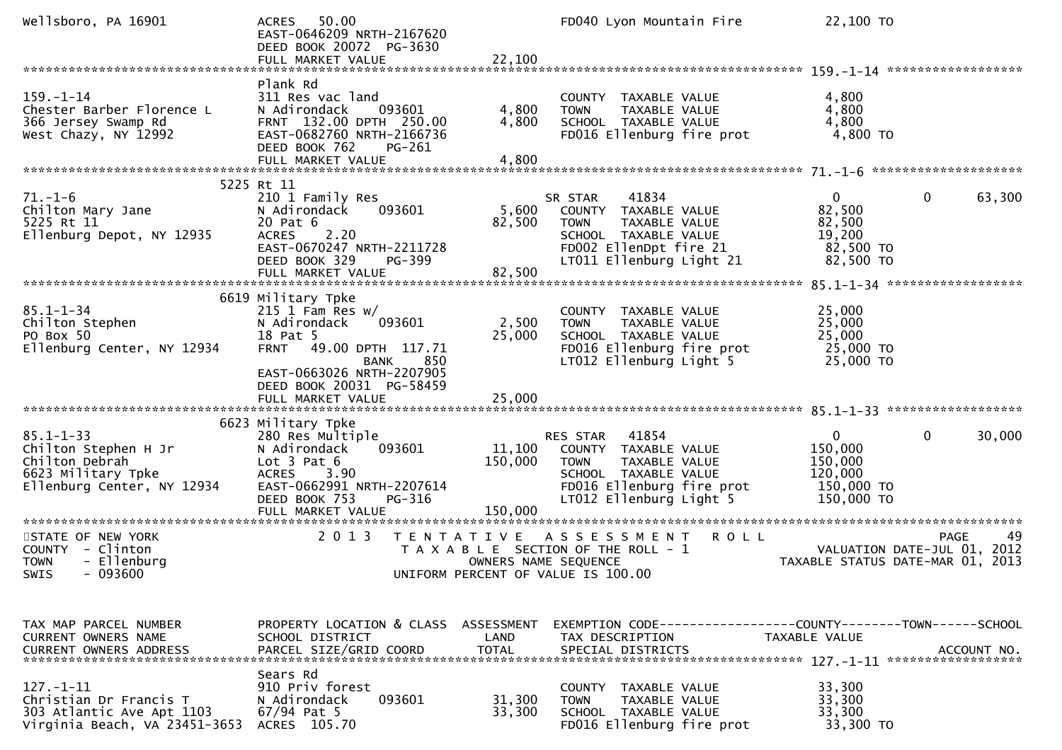| Wellsboro, PA 16901                                                                                           | 50.00<br><b>ACRES</b><br>EAST-0646209 NRTH-2167620<br>DEED BOOK 20072 PG-3630<br>FULL MARKET VALUE                                                                                              | 22,100                       | FD040 Lyon Mountain Fire                                                                                                                                  | 22,100 TO                                                                 |                                                  |
|---------------------------------------------------------------------------------------------------------------|-------------------------------------------------------------------------------------------------------------------------------------------------------------------------------------------------|------------------------------|-----------------------------------------------------------------------------------------------------------------------------------------------------------|---------------------------------------------------------------------------|--------------------------------------------------|
| $159. - 1 - 14$<br>Chester Barber Florence L<br>366 Jersey Swamp Rd<br>West Chazy, NY 12992                   | Plank Rd<br>311 Res vac land<br>N Adirondack<br>093601<br>FRNT 132.00 DPTH 250.00<br>EAST-0682760 NRTH-2166736<br>DEED BOOK 762<br>PG-261<br>FULL MARKET VALUE                                  | 4,800<br>4,800<br>4,800      | COUNTY TAXABLE VALUE<br><b>TOWN</b><br>TAXABLE VALUE<br>SCHOOL TAXABLE VALUE<br>FD016 Ellenburg fire prot                                                 | 4,800<br>4,800<br>4,800<br>4,800 TO                                       |                                                  |
|                                                                                                               |                                                                                                                                                                                                 |                              |                                                                                                                                                           |                                                                           |                                                  |
| $71. - 1 - 6$<br>Chilton Mary Jane<br>5225 Rt 11<br>Ellenburg Depot, NY 12935                                 | 5225 Rt 11<br>210 1 Family Res<br>093601<br>N Adirondack<br>20 Pat 6<br><b>ACRES</b><br>2.20<br>EAST-0670247 NRTH-2211728<br>DEED BOOK 329<br>PG-399<br>FULL MARKET VALUE                       | 5,600<br>82,500<br>82,500    | 41834<br>SR STAR<br>COUNTY TAXABLE VALUE<br>TAXABLE VALUE<br>TOWN<br>SCHOOL TAXABLE VALUE<br>FD002 EllenDpt fire 21<br>LT011 Ellenburg Light 21           | 0<br>82,500<br>82,500<br>19,200<br>82,500 TO<br>82,500 TO                 | $\mathbf 0$<br>63,300                            |
|                                                                                                               | 6619 Military Tpke                                                                                                                                                                              |                              |                                                                                                                                                           |                                                                           |                                                  |
| $85.1 - 1 - 34$<br>Chilton Stephen<br>PO Box 50<br>Ellenburg Center, NY 12934                                 | $215$ 1 Fam Res w/<br>093601<br>N Adirondack<br>18 Pat 5<br>49.00 DPTH 117.71<br><b>FRNT</b><br>850<br>BANK<br>EAST-0663026 NRTH-2207905<br>DEED BOOK 20031 PG-58459                            | 2,500<br>25,000              | COUNTY<br>TAXABLE VALUE<br>TAXABLE VALUE<br><b>TOWN</b><br>SCHOOL TAXABLE VALUE<br>FD016 Ellenburg fire prot<br>LT012 Ellenburg Light 5                   | 25,000<br>25,000<br>25,000<br>25,000 TO<br>25,000 TO                      |                                                  |
|                                                                                                               |                                                                                                                                                                                                 |                              |                                                                                                                                                           |                                                                           |                                                  |
|                                                                                                               |                                                                                                                                                                                                 |                              |                                                                                                                                                           |                                                                           |                                                  |
| $85.1 - 1 - 33$<br>Chilton Stephen H Jr<br>Chilton Debrah<br>6623 Military Tpke<br>Ellenburg Center, NY 12934 | 6623 Military Tpke<br>280 Res Multiple<br>093601<br>N Adirondack<br>Lot $3$ Pat $6$<br><b>ACRES</b><br>3.90<br>EAST-0662991 NRTH-2207614<br>DEED BOOK 753<br><b>PG-316</b><br>FULL MARKET VALUE | 11,100<br>150,000<br>150,000 | RES STAR<br>41854<br>COUNTY TAXABLE VALUE<br>TAXABLE VALUE<br><b>TOWN</b><br>SCHOOL TAXABLE VALUE<br>FD016 Ellenburg fire prot<br>LT012 Ellenburg Light 5 | $\mathbf{0}$<br>150,000<br>150,000<br>120,000<br>150,000 TO<br>150,000 TO | 0<br>30,000                                      |
|                                                                                                               |                                                                                                                                                                                                 |                              |                                                                                                                                                           |                                                                           |                                                  |
| STATE OF NEW YORK<br>COUNTY - Clinton<br>- Ellenburg<br><b>TOWN</b><br>SWIS<br>$-093600$                      | 2 0 1 3                                                                                                                                                                                         | T E N T A T I V E            | <b>ROLL</b><br>A S S E S S M E N T<br>T A X A B L E SECTION OF THE ROLL - 1<br>OWNERS NAME SEQUENCE<br>UNIFORM PERCENT OF VALUE IS 100.00                 | TAXABLE STATUS DATE-MAR 01, 2013                                          | <b>PAGE</b><br>49<br>VALUATION DATE-JUL 01, 2012 |
|                                                                                                               |                                                                                                                                                                                                 |                              |                                                                                                                                                           |                                                                           |                                                  |
| TAX MAP PARCEL NUMBER<br>CURRENT OWNERS NAME<br><b>CURRENT OWNERS ADDRESS</b>                                 | PROPERTY LOCATION & CLASS ASSESSMENT<br>SCHOOL DISTRICT<br>PARCEL SIZE/GRID COORD                                                                                                               | LAND<br><b>TOTAL</b>         | EXEMPTION CODE-----------------COUNTY-------TOWN------SCHOOL<br>TAX DESCRIPTION<br>SPECIAL DISTRICTS                                                      | TAXABLE VALUE                                                             | ACCOUNT NO.                                      |
| $127. - 1 - 11$<br>Christian Dr Francis T<br>303 Atlantic Ave Apt 1103<br>Virginia Beach, VA 23451-3653       | Sears Rd<br>910 Priv forest<br>N Adirondack<br>093601<br>$67/94$ Pat 5<br>ACRES 105.70                                                                                                          | 31,300<br>33,300             | COUNTY TAXABLE VALUE<br><b>TOWN</b><br><b>TAXABLE VALUE</b><br>SCHOOL TAXABLE VALUE<br>FD016 Ellenburg fire prot                                          | 33,300<br>33,300<br>33,300<br>33,300 TO                                   |                                                  |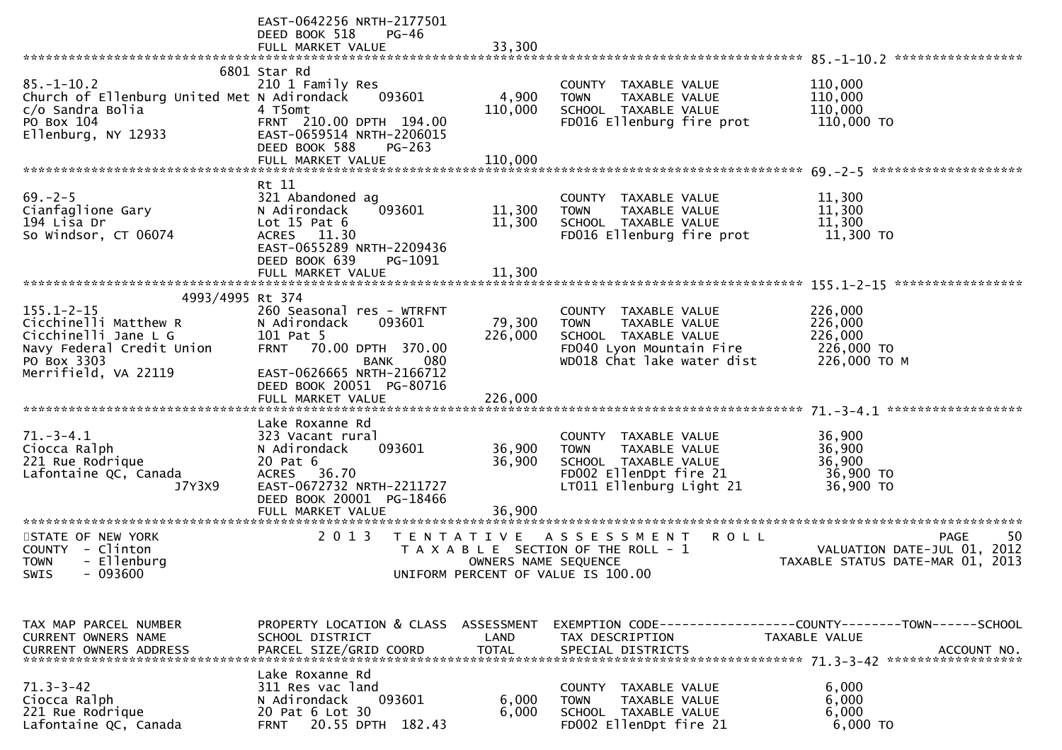|                                                                                                                                                           | EAST-0642256 NRTH-2177501<br>DEED BOOK 518<br>PG-46<br>FULL MARKET VALUE                                                                                                     | 33,300                     |                                                                                                                                        |                                                                               |
|-----------------------------------------------------------------------------------------------------------------------------------------------------------|------------------------------------------------------------------------------------------------------------------------------------------------------------------------------|----------------------------|----------------------------------------------------------------------------------------------------------------------------------------|-------------------------------------------------------------------------------|
| $85. - 1 - 10.2$<br>Church of Ellenburg United Met N Adirondack<br>c/o Sandra Bolia<br>PO Box 104<br>Ellenburg, NY 12933                                  | 6801 Star Rd<br>210 1 Family Res<br>093601<br>4 T5omt<br>FRNT 210.00 DPTH 194.00<br>EAST-0659514 NRTH-2206015<br>DEED BOOK 588<br>$PG-263$                                   | 4,900<br>110,000           | COUNTY TAXABLE VALUE<br>TAXABLE VALUE<br><b>TOWN</b><br>SCHOOL TAXABLE VALUE<br>FD016 Ellenburg fire prot                              | 110,000<br>110,000<br>110,000<br>110,000 TO                                   |
|                                                                                                                                                           | FULL MARKET VALUE                                                                                                                                                            | 110,000                    |                                                                                                                                        |                                                                               |
| $69. - 2 - 5$<br>Cianfaglione Gary<br>194 Lisa Dr<br>So Windsor, CT 06074                                                                                 | Rt 11<br>321 Abandoned ag<br>093601<br>N Adirondack<br>Lot $15$ Pat $6$<br>ACRES 11.30<br>EAST-0655289 NRTH-2209436<br>DEED BOOK 639<br>PG-1091<br>FULL MARKET VALUE         | 11,300<br>11,300<br>11,300 | COUNTY TAXABLE VALUE<br>TAXABLE VALUE<br><b>TOWN</b><br>SCHOOL TAXABLE VALUE<br>FD016 Ellenburg fire prot                              | 11,300<br>11,300<br>11,300<br>11,300 TO                                       |
|                                                                                                                                                           |                                                                                                                                                                              |                            |                                                                                                                                        |                                                                               |
| 4993/4995 Rt 374<br>$155.1 - 2 - 15$<br>Cicchinelli Matthew R<br>Cicchinelli Jane L G<br>Navy Federal Credit Union<br>PO Box 3303<br>Merrifield, VA 22119 | 260 Seasonal res - WTRFNT<br>093601<br>N Adirondack<br>101 Pat 5<br>70.00 DPTH 370.00<br><b>FRNT</b><br>080<br>BANK<br>EAST-0626665 NRTH-2166712<br>DEED BOOK 20051 PG-80716 | 79,300<br>226,000          | COUNTY TAXABLE VALUE<br>TAXABLE VALUE<br><b>TOWN</b><br>SCHOOL TAXABLE VALUE<br>FD040 Lyon Mountain Fire<br>WD018 Chat lake water dist | 226,000<br>226,000<br>226,000<br>226,000 TO<br>226,000 ТО М                   |
|                                                                                                                                                           |                                                                                                                                                                              |                            |                                                                                                                                        |                                                                               |
| $71. - 3 - 4.1$<br>Ciocca Ralph<br>221 Rue Rodrique<br>Lafontaine QC, Canada<br>J7Y3X9                                                                    | Lake Roxanne Rd<br>323 Vacant rural<br>093601<br>N Adirondack<br>20 Pat 6<br>ACRES 36.70<br>EAST-0672732 NRTH-2211727<br>DEED BOOK 20001 PG-18466<br>FULL MARKET VALUE       | 36,900<br>36,900<br>36,900 | COUNTY TAXABLE VALUE<br>TAXABLE VALUE<br><b>TOWN</b><br>SCHOOL TAXABLE VALUE<br>FD002 EllenDpt fire 21<br>LT011 Ellenburg Light 21     | 36,900<br>36,900<br>36,900<br>36,900 TO<br>36,900 TO                          |
| STATE OF NEW YORK                                                                                                                                         | 2 0 1 3                                                                                                                                                                      | T E N T A T I V E          | A S S E S S M E N T<br><b>ROLL</b>                                                                                                     | <b>PAGE</b><br>50                                                             |
| COUNTY - Clinton<br>- Ellenburg<br><b>TOWN</b><br>$-093600$<br>SWIS                                                                                       |                                                                                                                                                                              | OWNERS NAME SEQUENCE       | T A X A B L E SECTION OF THE ROLL - 1<br>UNIFORM PERCENT OF VALUE IS 100.00                                                            | VALUATION DATE-JUL 01, 2012<br>TAXABLE STATUS DATE-MAR 01, 2013               |
| TAX MAP PARCEL NUMBER<br><b>CURRENT OWNERS NAME</b>                                                                                                       | PROPERTY LOCATION & CLASS ASSESSMENT<br>SCHOOL DISTRICT                                                                                                                      | LAND                       | TAX DESCRIPTION                                                                                                                        | EXEMPTION CODE-----------------COUNTY-------TOWN------SCHOOL<br>TAXABLE VALUE |
| $71.3 - 3 - 42$<br>Ciocca Ralph<br>221 Rue Rodrique<br>Lafontaine QC, Canada                                                                              | Lake Roxanne Rd<br>311 Res vac land<br>N Adirondack<br>093601<br>20 Pat 6 Lot 30<br>20.55 DPTH 182.43<br><b>FRNT</b>                                                         | 6,000<br>6,000             | COUNTY TAXABLE VALUE<br>TAXABLE VALUE<br><b>TOWN</b><br>SCHOOL TAXABLE VALUE<br>FD002 EllenDpt fire 21                                 | 6,000<br>6,000<br>6,000<br>6,000 TO                                           |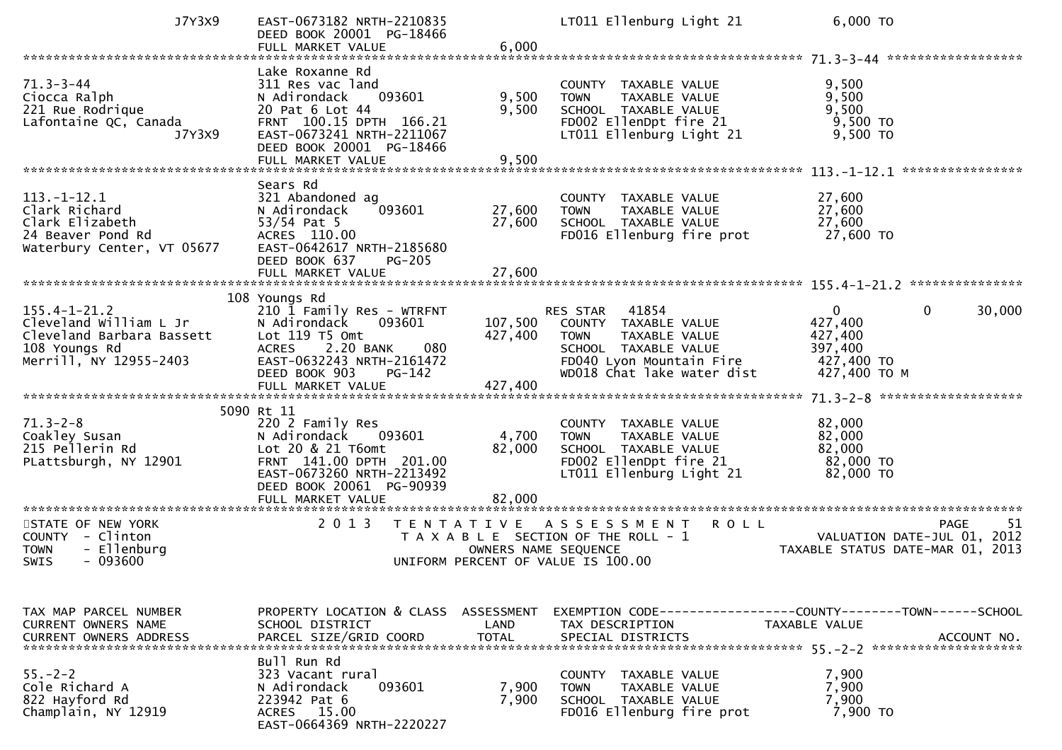| J7Y3X9                                                                                                               | EAST-0673182 NRTH-2210835<br>DEED BOOK 20001 PG-18466<br>FULL MARKET VALUE                                                                                                                                       | 6,000                              | LT011 Ellenburg Light 21                                                                                                                                              | 6,000 TO                                                                                    |
|----------------------------------------------------------------------------------------------------------------------|------------------------------------------------------------------------------------------------------------------------------------------------------------------------------------------------------------------|------------------------------------|-----------------------------------------------------------------------------------------------------------------------------------------------------------------------|---------------------------------------------------------------------------------------------|
| $71.3 - 3 - 44$<br>Ciocca Ralph<br>221 Rue Rodrique<br>Lafontaine QC, Canada<br>J7Y3X9                               | Lake Roxanne Rd<br>311 Res vac land<br>093601<br>N Adirondack<br>20 Pat 6 Lot 44<br>FRNT 100.15 DPTH 166.21<br>EAST-0673241 NRTH-2211067<br>DEED BOOK 20001 PG-18466<br>FULL MARKET VALUE                        | 9,500<br>9,500<br>9,500            | COUNTY TAXABLE VALUE<br>TAXABLE VALUE<br><b>TOWN</b><br>SCHOOL TAXABLE VALUE<br>FD002 EllenDpt fire 21<br>LT011 Ellenburg Light 21                                    | 9,500<br>9,500<br>9,500<br>9,500 TO<br>9,500 TO<br>****************                         |
| $113.-1-12.1$<br>Clark Richard<br>Clark Elizabeth<br>24 Beaver Pond Rd<br>Waterbury Center, VT 05677                 | Sears Rd<br>321 Abandoned ag<br>N Adirondack<br>093601<br>$53/54$ Pat 5<br>ACRES 110.00<br>EAST-0642617 NRTH-2185680<br>DEED BOOK 637<br><b>PG-205</b><br>FULL MARKET VALUE                                      | 27,600<br>27,600<br>27,600         | COUNTY TAXABLE VALUE<br><b>TOWN</b><br>TAXABLE VALUE<br>SCHOOL TAXABLE VALUE<br>FD016 Ellenburg fire prot                                                             | 27,600<br>27,600<br>27,600<br>27,600 TO                                                     |
| $155.4 - 1 - 21.2$<br>Cleveland William L Jr<br>Cleveland Barbara Bassett<br>108 Youngs Rd<br>Merrill, NY 12955-2403 | 108 Youngs Rd<br>210 1 Family Res - WTRFNT<br>N Adirondack<br>093601<br>Lot $119$ T5 Omt<br>2.20 BANK<br><b>ACRES</b><br>080<br>EAST-0632243 NRTH-2161472<br>DEED BOOK 903<br>PG-142                             | 107,500<br>427,400                 | 41854<br><b>RES STAR</b><br>TAXABLE VALUE<br>COUNTY<br><b>TOWN</b><br>TAXABLE VALUE<br>SCHOOL TAXABLE VALUE<br>FD040 Lyon Mountain Fire<br>WD018 Chat lake water dist | 0<br>30,000<br>$\mathbf{0}$<br>427,400<br>427,400<br>397,400<br>427,400 TO<br>427,400 ТО М  |
| $71.3 - 2 - 8$<br>Coakley Susan<br>215 Pellerin Rd<br>PLattsburgh, NY 12901<br>************************              | 5090 Rt 11<br>220 2 Family Res<br>N Adirondack<br>093601<br>Lot 20 & 21 T6omt<br>FRNT 141.00 DPTH 201.00<br>EAST-0673260 NRTH-2213492<br>DEED BOOK 20061 PG-90939<br>FULL MARKET VALUE<br>********************** | 4,700<br>82,000<br>82,000          | COUNTY TAXABLE VALUE<br><b>TOWN</b><br>TAXABLE VALUE<br>SCHOOL TAXABLE VALUE<br>FD002 EllenDpt fire 21<br>LT011 Ellenburg Light 21                                    | 82,000<br>82,000<br>82,000<br>82,000 TO<br>82,000 TO                                        |
| STATE OF NEW YORK<br>COUNTY - Clinton<br>- Ellenburg<br><b>TOWN</b><br>$-093600$<br>SWIS                             | 2 0 1 3                                                                                                                                                                                                          | T E N T A T I V E                  | <b>ROLL</b><br>A S S E S S M E N T<br>T A X A B L E SECTION OF THE ROLL - 1<br>OWNERS NAME SEQUENCE<br>UNIFORM PERCENT OF VALUE IS 100.00                             | -51<br><b>PAGE</b><br>VALUATION DATE-JUL 01, 2012<br>TAXABLE STATUS DATE-MAR 01, 2013       |
| TAX MAP PARCEL NUMBER<br>CURRENT OWNERS NAME<br><b>CURRENT OWNERS ADDRESS</b>                                        | PROPERTY LOCATION & CLASS<br>SCHOOL DISTRICT<br>PARCEL SIZE/GRID COORD                                                                                                                                           | ASSESSMENT<br>LAND<br><b>TOTAL</b> | TAX DESCRIPTION<br>SPECIAL DISTRICTS                                                                                                                                  | EXEMPTION CODE-----------------COUNTY-------TOWN-----SCHOOL<br>TAXABLE VALUE<br>ACCOUNT NO. |
| $55. - 2 - 2$<br>Cole Richard A<br>822 Hayford Rd<br>Champlain, NY 12919                                             | Bull Run Rd<br>323 Vacant rural<br>093601<br>N Adirondack<br>223942 Pat 6<br>ACRES 15.00<br>EAST-0664369 NRTH-2220227                                                                                            | 7,900<br>7,900                     | COUNTY TAXABLE VALUE<br><b>TOWN</b><br>TAXABLE VALUE<br>SCHOOL TAXABLE VALUE<br>FD016 Ellenburg fire prot                                                             | 7,900<br>7,900<br>7,900<br>7,900 TO                                                         |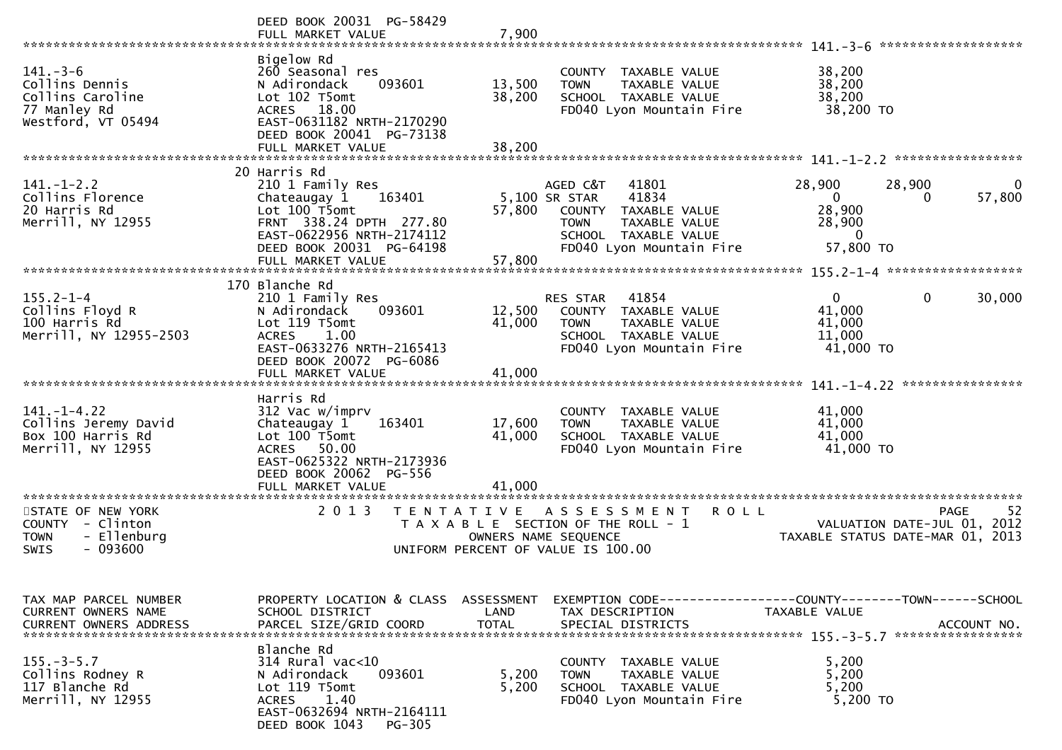| *************************                                                               | DEED BOOK 20031 PG-58429<br>FULL MARKET VALUE                                                                                                                                    | 7,900                              |                                                                                                                                                         | *******************                                                                           |          |
|-----------------------------------------------------------------------------------------|----------------------------------------------------------------------------------------------------------------------------------------------------------------------------------|------------------------------------|---------------------------------------------------------------------------------------------------------------------------------------------------------|-----------------------------------------------------------------------------------------------|----------|
| $141.-3-6$<br>Collins Dennis<br>Collins Caroline<br>77 Manley Rd<br>Westford, VT 05494  | Bigelow Rd<br>260 Seasonal res<br>093601<br>N Adirondack<br>Lot 102 T5omt<br>18.00<br><b>ACRES</b><br>EAST-0631182 NRTH-2170290<br>DEED BOOK 20041 PG-73138<br>FULL MARKET VALUE | 13,500<br>38,200<br>38,200         | COUNTY TAXABLE VALUE<br>TAXABLE VALUE<br><b>TOWN</b><br>SCHOOL TAXABLE VALUE<br>FD040 Lyon Mountain Fire                                                | 38,200<br>38,200<br>38,200<br>38,200 TO                                                       |          |
|                                                                                         |                                                                                                                                                                                  |                                    |                                                                                                                                                         |                                                                                               |          |
| $141. - 1 - 2.2$<br>Collins Florence<br>20 Harris Rd<br>Merrill, NY 12955               | 20 Harris Rd<br>210 1 Family Res<br>163401<br>Chateaugay 1<br>Lot 100 T5omt<br>FRNT 338.24 DPTH 277.80<br>EAST-0622956 NRTH-2174112<br>DEED BOOK 20031 PG-64198                  | 57,800                             | AGED C&T<br>41801<br>41834<br>5,100 SR STAR<br>COUNTY TAXABLE VALUE<br><b>TOWN</b><br>TAXABLE VALUE<br>SCHOOL TAXABLE VALUE<br>FD040 Lyon Mountain Fire | 28,900<br>28,900<br>57,800<br>$\mathbf{0}$<br>$\Omega$<br>28,900<br>28,900<br>0<br>57,800 TO  | $\Omega$ |
|                                                                                         | FULL MARKET VALUE                                                                                                                                                                | 57,800                             |                                                                                                                                                         |                                                                                               |          |
| $155.2 - 1 - 4$<br>Collins Floyd R                                                      | 170 Blanche Rd<br>210 1 Family Res<br>N Adirondack<br>093601                                                                                                                     | 12,500                             | RES STAR<br>41854<br>COUNTY TAXABLE VALUE                                                                                                               | $\mathbf{0}$<br>0<br>30,000<br>41,000                                                         |          |
| 100 Harris Rd<br>Merrill, NY 12955-2503                                                 | Lot 119 T5omt<br>1.00<br><b>ACRES</b><br>EAST-0633276 NRTH-2165413<br>DEED BOOK 20072 PG-6086<br>FULL MARKET VALUE                                                               | 41,000<br>41,000                   | <b>TOWN</b><br><b>TAXABLE VALUE</b><br>SCHOOL TAXABLE VALUE<br>FD040 Lyon Mountain Fire                                                                 | 41,000<br>11,000<br>41,000 TO                                                                 |          |
|                                                                                         |                                                                                                                                                                                  |                                    |                                                                                                                                                         |                                                                                               |          |
| $141. - 1 - 4.22$<br>Collins Jeremy David<br>Box 100 Harris Rd<br>Merrill, NY 12955     | Harris Rd<br>312 Vac w/imprv<br>163401<br>Chateaugay 1<br>Lot 100 T5omt<br>50.00<br>ACRES<br>EAST-0625322 NRTH-2173936<br>DEED BOOK 20062 PG-556                                 | 17,600<br>41,000                   | COUNTY TAXABLE VALUE<br><b>TOWN</b><br>TAXABLE VALUE<br>SCHOOL TAXABLE VALUE<br>FD040 Lyon Mountain Fire                                                | 41,000<br>41,000<br>41,000<br>41,000 TO                                                       |          |
|                                                                                         | FULL MARKET VALUE                                                                                                                                                                | 41.000                             |                                                                                                                                                         |                                                                                               |          |
| STATE OF NEW YORK<br>COUNTY - Clinton<br>- Ellenburg<br><b>TOWN</b><br>- 093600<br>SWIS | 2013<br>T E N T A T I V E                                                                                                                                                        | OWNERS NAME SEQUENCE               | A S S E S S M E N T<br><b>ROLL</b><br>T A X A B L E SECTION OF THE ROLL - 1<br>UNIFORM PERCENT OF VALUE IS 100.00                                       | PAGE<br>VALUATION DATE-JUL 01,<br>2012<br>TAXABLE STATUS DATE-MAR 01,<br>2013                 | 52       |
| TAX MAP PARCEL NUMBER<br>CURRENT OWNERS NAME<br><b>CURRENT OWNERS ADDRESS</b>           | PROPERTY LOCATION & CLASS<br>SCHOOL DISTRICT<br>PARCEL SIZE/GRID COORD                                                                                                           | ASSESSMENT<br>LAND<br><b>TOTAL</b> | TAX DESCRIPTION<br>SPECIAL DISTRICTS                                                                                                                    | EXEMPTION CODE-----------------COUNTY--------TOWN------SCHOOL<br>TAXABLE VALUE<br>ACCOUNT NO. |          |
| $155. - 3 - 5.7$<br>Collins Rodney R<br>117 Blanche Rd<br>Merrill, NY 12955             | Blanche Rd<br>314 Rural vac<10<br>093601<br>N Adirondack<br>Lot 119 T5omt<br>1.40<br>ACRES<br>EAST-0632694 NRTH-2164111<br>DEED BOOK 1043<br>PG-305                              | 5,200<br>5,200                     | COUNTY TAXABLE VALUE<br><b>TOWN</b><br>TAXABLE VALUE<br>SCHOOL TAXABLE VALUE<br>FD040 Lyon Mountain Fire                                                | 5,200<br>5,200<br>5,200<br>5,200 TO                                                           |          |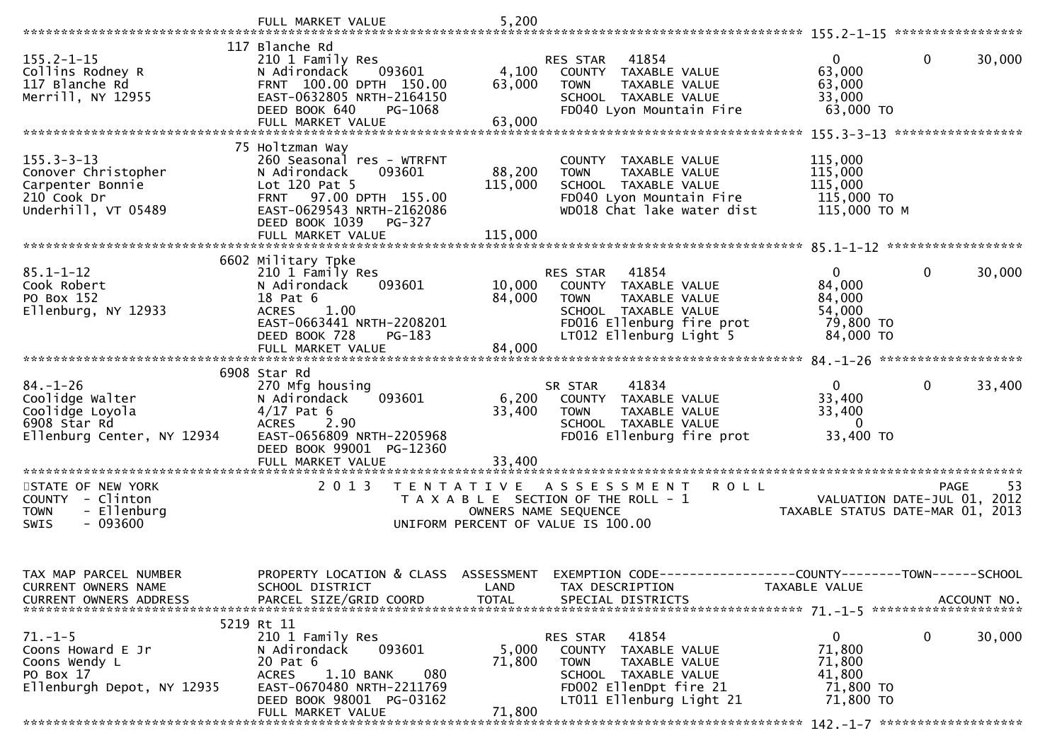|                                                                                                    | FULL MARKET VALUE                                                                                                                                                                                                | 5,200                        |                                                                                                                                                         |                                                                                              |
|----------------------------------------------------------------------------------------------------|------------------------------------------------------------------------------------------------------------------------------------------------------------------------------------------------------------------|------------------------------|---------------------------------------------------------------------------------------------------------------------------------------------------------|----------------------------------------------------------------------------------------------|
|                                                                                                    |                                                                                                                                                                                                                  |                              |                                                                                                                                                         |                                                                                              |
| $155.2 - 1 - 15$<br>Collins Rodney R<br>117 Blanche Rd<br>Merrill, NY 12955                        | 117 Blanche Rd<br>210 1 Family Res<br>093601<br>N Adirondack<br>FRNT 100.00 DPTH 150.00<br>EAST-0632805 NRTH-2164150<br>DEED BOOK 640<br>PG-1068<br>FULL MARKET VALUE                                            | 4,100<br>63,000<br>63,000    | RES STAR 41854<br>COUNTY TAXABLE VALUE<br>TAXABLE VALUE<br><b>TOWN</b><br>SCHOOL TAXABLE VALUE<br>FD040 Lyon Mountain Fire                              | $\mathbf{0}$<br>0<br>30,000<br>63,000<br>63,000<br>33,000<br>63,000 TO                       |
|                                                                                                    |                                                                                                                                                                                                                  |                              |                                                                                                                                                         |                                                                                              |
| $155.3 - 3 - 13$<br>Conover Christopher<br>Carpenter Bonnie<br>210 Cook Dr<br>Underhill, VT 05489  | 75 Holtzman Way<br>260 Seasonal res - WTRFNT<br>N Adirondack<br>093601<br>Lot 120 Pat 5<br>97.00 DPTH 155.00<br><b>FRNT</b><br>EAST-0629543 NRTH-2162086<br>DEED BOOK 1039<br><b>PG-327</b><br>FULL MARKET VALUE | 88,200<br>115,000<br>115,000 | COUNTY TAXABLE VALUE<br><b>TOWN</b><br>TAXABLE VALUE<br>SCHOOL TAXABLE VALUE<br>FD040 Lyon Mountain Fire<br>WD018 Chat lake water dist                  | 115,000<br>115,000<br>115,000<br>115,000 TO<br>115,000 TO M                                  |
|                                                                                                    | 6602 Military Tpke                                                                                                                                                                                               |                              |                                                                                                                                                         |                                                                                              |
| $85.1 - 1 - 12$<br>Cook Robert<br>PO Box 152<br>Ellenburg, NY 12933                                | 210 1 Family Res<br>093601<br>N Adirondack<br>18 Pat 6<br><b>ACRES</b><br>1.00<br>EAST-0663441 NRTH-2208201                                                                                                      | 10,000<br>84,000             | 41854<br>RES STAR<br>COUNTY TAXABLE VALUE<br>TAXABLE VALUE<br><b>TOWN</b><br>SCHOOL TAXABLE VALUE<br>FD016 Ellenburg fire prot                          | $\Omega$<br>$\mathbf{0}$<br>30,000<br>84,000<br>84,000<br>54,000<br>79,800 TO                |
|                                                                                                    | DEED BOOK 728<br>PG-183<br>FULL MARKET VALUE                                                                                                                                                                     | 84,000                       | LT012 Ellenburg Light 5                                                                                                                                 | 84,000 TO                                                                                    |
|                                                                                                    |                                                                                                                                                                                                                  |                              |                                                                                                                                                         |                                                                                              |
| $84. - 1 - 26$<br>Coolidge Walter<br>Coolidge Loyola<br>6908 Star Rd<br>Ellenburg Center, NY 12934 | 6908 Star Rd<br>270 Mfg housing<br>N Adirondack<br>093601<br>$4/17$ Pat 6<br>ACRES 2.90<br>EAST-0656809 NRTH-2205968                                                                                             | 6,200<br>33,400              | 41834<br>SR STAR<br>COUNTY TAXABLE VALUE<br>TAXABLE VALUE<br><b>TOWN</b><br>SCHOOL TAXABLE VALUE<br>FD016 Ellenburg fire prot                           | $\mathbf{0}$<br>$\mathbf 0$<br>33,400<br>33,400<br>33,400<br>$\overline{0}$<br>33,400 TO     |
|                                                                                                    | DEED BOOK 99001 PG-12360                                                                                                                                                                                         |                              |                                                                                                                                                         |                                                                                              |
|                                                                                                    |                                                                                                                                                                                                                  |                              |                                                                                                                                                         |                                                                                              |
| STATE OF NEW YORK<br>COUNTY - Clinton<br>- Ellenburg<br><b>TOWN</b><br>$-093600$<br>SWIS           | 2 0 1 3                                                                                                                                                                                                          | OWNERS NAME SEQUENCE         | TENTATIVE ASSESSMENT<br><b>ROLL</b><br>T A X A B L E SECTION OF THE ROLL - 1<br>UNIFORM PERCENT OF VALUE IS 100.00                                      | 53<br>PAGE<br>VALUATION DATE-JUL 01, 2012<br>TAXABLE STATUS DATE-MAR 01, 2013                |
| TAX MAP PARCEL NUMBER<br>CURRENT OWNERS NAME<br><b>CURRENT OWNERS ADDRESS</b>                      | PROPERTY LOCATION & CLASS ASSESSMENT<br>SCHOOL DISTRICT<br>PARCEL SIZE/GRID COORD                                                                                                                                | LAND<br><b>TOTAL</b>         | TAX DESCRIPTION<br>SPECIAL DISTRICTS                                                                                                                    | EXEMPTION CODE-----------------COUNTY-------TOWN------SCHOOL<br>TAXABLE VALUE<br>ACCOUNT NO. |
| $71.-1-5$<br>Coons Howard E Jr<br>Coons Wendy L<br>PO Box 17<br>Ellenburgh Depot, NY 12935         | 5219 Rt 11<br>210 1 Family Res<br>093601<br>N Adirondack<br>20 Pat 6<br>1.10 BANK<br>080<br><b>ACRES</b><br>EAST-0670480 NRTH-2211769<br>DEED BOOK 98001 PG-03162<br>FULL MARKET VALUE                           | 5,000<br>71,800<br>71,800    | 41854<br>RES STAR<br>COUNTY TAXABLE VALUE<br><b>TOWN</b><br>TAXABLE VALUE<br>SCHOOL TAXABLE VALUE<br>FD002 EllenDpt fire 21<br>LT011 Ellenburg Light 21 | 0<br>0<br>30,000<br>71,800<br>71,800<br>41,800<br>71,800 TO<br>71,800 TO                     |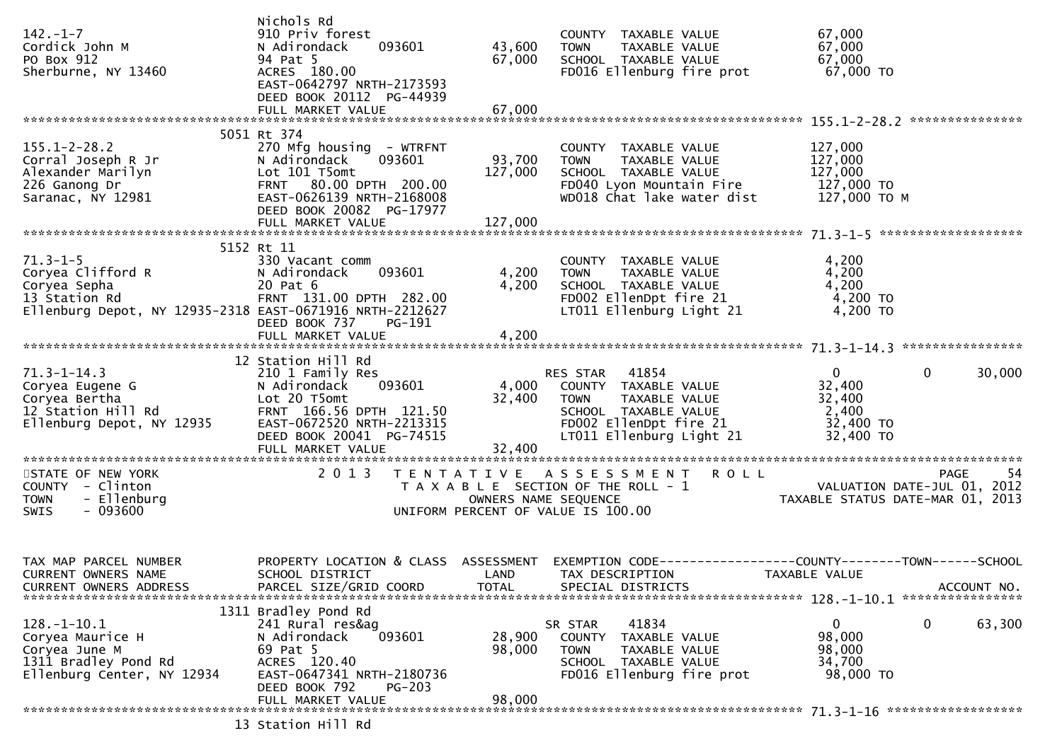| $142. - 1 - 7$<br>Cordick John M<br>PO Box 912<br>Sherburne, NY 13460                                                                | Nichols Rd<br>910 Priv forest<br>N Adirondack<br>093601<br>94 Pat 5<br>ACRES 180.00<br>EAST-0642797 NRTH-2173593<br>DEED BOOK 20112 PG-44939<br>FULL MARKET VALUE     | 43,600<br>67,000<br>67,000 | COUNTY TAXABLE VALUE<br>TAXABLE VALUE<br><b>TOWN</b><br>SCHOOL TAXABLE VALUE<br>FD016 Ellenburg fire prot                                                  | 67,000<br>67,000<br>67,000<br>67,000 TO                                       |                                                 |
|--------------------------------------------------------------------------------------------------------------------------------------|-----------------------------------------------------------------------------------------------------------------------------------------------------------------------|----------------------------|------------------------------------------------------------------------------------------------------------------------------------------------------------|-------------------------------------------------------------------------------|-------------------------------------------------|
|                                                                                                                                      |                                                                                                                                                                       |                            |                                                                                                                                                            |                                                                               |                                                 |
| $155.1 - 2 - 28.2$<br>Corral Joseph R Jr<br>Alexander Marilyn<br>226 Ganong Dr<br>Saranac, NY 12981                                  | 5051 Rt 374<br>270 Mfg housing - WTRFNT<br>093601<br>N Adirondack<br>Lot 101 T5omt<br>FRNT 80.00 DPTH 200.00<br>EAST-0626139 NRTH-2168008<br>DEED BOOK 20082 PG-17977 | 93,700<br>127,000          | COUNTY TAXABLE VALUE<br><b>TOWN</b><br>TAXABLE VALUE<br>SCHOOL TAXABLE VALUE<br>FD040 Lyon Mountain Fire<br>WD018 Chat lake water dist                     | 127,000<br>127,000<br>127,000<br>127,000 TO<br>127,000 TO M                   |                                                 |
|                                                                                                                                      |                                                                                                                                                                       |                            |                                                                                                                                                            |                                                                               |                                                 |
| $71.3 - 1 - 5$<br><br>Coryea Clifford R<br>Corvea Sepha<br>13 Station Rd<br>Ellenburg Depot, NY 12935-2318 EAST-0671916 NRTH-2212627 | 5152 Rt 11<br>330 Vacant comm<br>093601<br>N Adirondack<br>20 Pat 6<br>FRNT 131.00 DPTH 282.00<br>DEED BOOK 737<br>PG-191                                             | 4,200<br>4,200             | COUNTY TAXABLE VALUE<br><b>TOWN</b><br>TAXABLE VALUE<br>SCHOOL TAXABLE VALUE<br>FD002 EllenDpt fire 21<br>LT011 Ellenburg Light 21                         | 4,200<br>4,200<br>4,200<br>4,200 TO<br>4,200 TO                               |                                                 |
|                                                                                                                                      | FULL MARKET VALUE                                                                                                                                                     | 4,200                      |                                                                                                                                                            |                                                                               |                                                 |
|                                                                                                                                      | 12 Station Hill Rd                                                                                                                                                    |                            |                                                                                                                                                            |                                                                               |                                                 |
| $71.3 - 1 - 14.3$<br>Coryea Eugene G<br>Coryea Bertha<br>12 Station Hill Rd<br>Ellenburg Depot, NY 12935                             | 210 1 Family Res<br>N Adirondack<br>093601<br>Lot 20 T5omt<br>FRNT 166.56 DPTH 121.50<br>EAST-0672520 NRTH-2213315<br>DEED BOOK 20041 PG-74515                        | 32,400                     | RES STAR 41854<br>4,000 COUNTY TAXABLE VALUE<br>TAXABLE VALUE<br><b>TOWN</b><br>SCHOOL TAXABLE VALUE<br>FD002 EllenDpt fire 21<br>LT011 Ellenburg Light 21 | $\overline{0}$<br>32,400<br>32,400<br>2,400<br>32,400 TO<br>32,400 TO         | $\mathbf{0}$<br>30,000                          |
| STATE OF NEW YORK<br>COUNTY - Clinton<br>- Ellenburg<br><b>TOWN</b><br>SWIS<br>- 093600                                              | 2 0 1 3                                                                                                                                                               | OWNERS NAME SEQUENCE       | TENTATIVE ASSESSMENT<br>T A X A B L E SECTION OF THE ROLL - 1<br>UNIFORM PERCENT OF VALUE IS 100.00                                                        | <b>ROLL</b><br>VALUATION DATE-JUL 01, 2012                                    | -54<br>PAGE<br>TAXABLE STATUS DATE-MAR 01, 2013 |
| TAX MAP PARCEL NUMBER<br><b>CURRENT OWNERS NAME</b><br>CURRENT OWNERS ADDRESS                                                        | PROPERTY LOCATION & CLASS ASSESSMENT<br>SCHOOL DISTRICT<br>PARCEL SIZE/GRID COORD                                                                                     | LAND<br><b>TOTAL</b>       | TAX DESCRIPTION<br>SPECIAL DISTRICTS                                                                                                                       | EXEMPTION CODE-----------------COUNTY-------TOWN------SCHOOL<br>TAXABLE VALUE | ACCOUNT NO.                                     |
| $128. - 1 - 10.1$<br>Coryea Maurice H<br>Coryea June M<br>1311 Bradley Pond Rd<br>Ellenburg Center, NY 12934                         | 1311 Bradley Pond Rd<br>241 Rural res&ag<br>093601<br>N Adirondack<br>69 Pat 5<br>ACRES 120.40<br>EAST-0647341 NRTH-2180736<br>DEED BOOK 792<br>$PG-203$              | 28,900<br>98,000           | 41834<br>SR STAR<br>COUNTY TAXABLE VALUE<br><b>TOWN</b><br>TAXABLE VALUE<br>SCHOOL TAXABLE VALUE<br>FD016 Ellenburg fire prot                              | 0<br>98,000<br>98,000<br>34,700<br>98,000 TO                                  | 0<br>63,300                                     |
|                                                                                                                                      |                                                                                                                                                                       |                            |                                                                                                                                                            |                                                                               |                                                 |
|                                                                                                                                      | 13 Station Hill Rd                                                                                                                                                    |                            |                                                                                                                                                            |                                                                               |                                                 |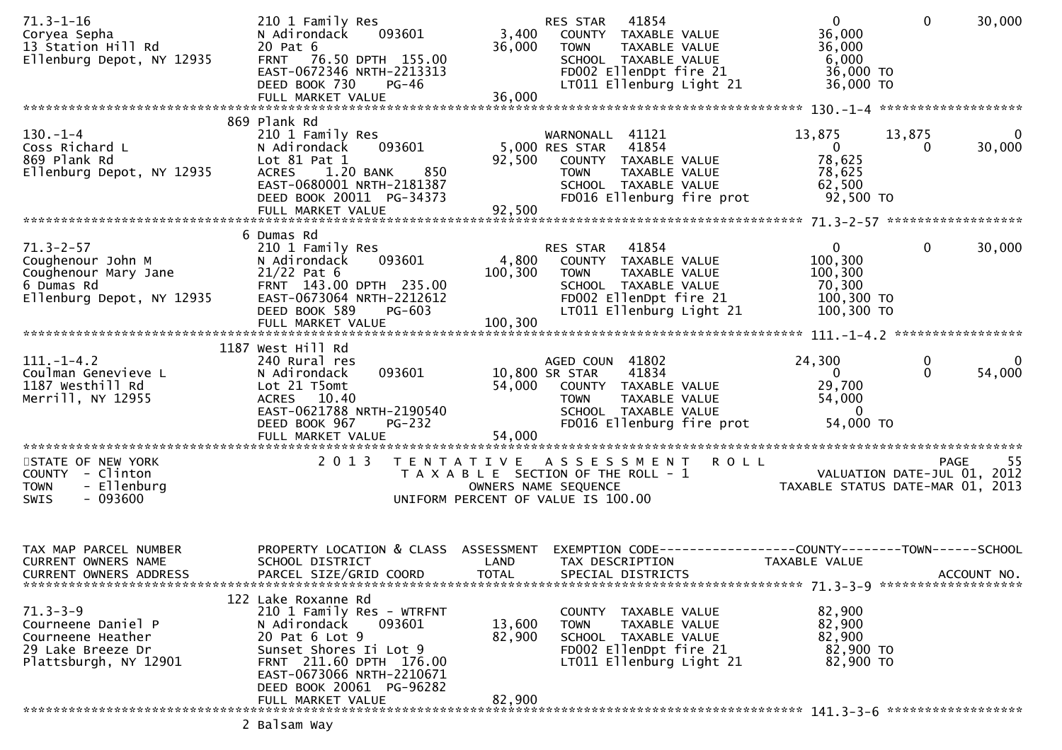| $71.3 - 1 - 16$<br>Coryea Sepha<br>13 Station Hill Rd<br>Ellenburg Depot, NY 12935                      | 210 1 Family Res<br>093601<br>N Adirondack<br>20 Pat 6<br>FRNT 76.50 DPTH 155.00<br>EAST-0672346 NRTH-2213313<br>DEED BOOK 730<br><b>PG-46</b><br>FULL MARKET VALUE                                                             | 3,400<br>36,000<br>36,000          | 41854<br>RES STAR<br>COUNTY TAXABLE VALUE<br><b>TOWN</b><br>TAXABLE VALUE<br>SCHOOL TAXABLE VALUE<br>FD002 EllenDpt fire 21<br>LT011 Ellenburg Light 21 | 0<br>36,000<br>36,000<br>6,000<br>36,000 TO<br>36,000 TO                 | $\Omega$           | 30,000             |
|---------------------------------------------------------------------------------------------------------|---------------------------------------------------------------------------------------------------------------------------------------------------------------------------------------------------------------------------------|------------------------------------|---------------------------------------------------------------------------------------------------------------------------------------------------------|--------------------------------------------------------------------------|--------------------|--------------------|
|                                                                                                         | 869 Plank Rd                                                                                                                                                                                                                    |                                    |                                                                                                                                                         |                                                                          |                    |                    |
| $130 - 1 - 4$<br>Coss Richard L<br>869 Plank Rd<br>Ellenburg Depot, NY 12935                            | 210 1 Family Res<br>093601<br>N Adirondack<br>Lot 81 Pat 1<br>ACRES 1.20 BANK<br>850<br>EAST-0680001 NRTH-2181387<br>DEED BOOK 20011 PG-34373<br>FULL MARKET VALUE                                                              | 92,500<br>92,500                   | WARNONALL 41121<br>5,000 RES STAR<br>41854<br>COUNTY TAXABLE VALUE<br>TAXABLE VALUE<br><b>TOWN</b><br>SCHOOL TAXABLE VALUE<br>FD016 Ellenburg fire prot | 13,875<br>$\mathbf{0}$<br>78,625<br>78,625<br>62,500<br>92,500 TO        | 13,875<br>$\Omega$ | 0<br>30,000        |
|                                                                                                         |                                                                                                                                                                                                                                 |                                    |                                                                                                                                                         |                                                                          |                    |                    |
| $71.3 - 2 - 57$<br>Coughenour John M<br>Coughenour Mary Jane<br>6 Dumas Rd<br>Ellenburg Depot, NY 12935 | 6 Dumas Rd<br>210 1 Family Res<br>093601<br>N Adirondack<br>$21/22$ Pat 6<br>FRNT 143.00 DPTH 235.00<br>EAST-0673064 NRTH-2212612<br>DEED BOOK 589<br><b>PG-603</b><br>FULL MARKET VALUE                                        | 4,800<br>100,300<br>100,300        | 41854<br>RES STAR<br>COUNTY TAXABLE VALUE<br><b>TOWN</b><br>TAXABLE VALUE<br>SCHOOL TAXABLE VALUE<br>FD002 EllenDpt fire 21<br>LT011 Ellenburg Light 21 | $\mathbf{0}$<br>100,300<br>100,300<br>70,300<br>100,300 TO<br>100,300 TO | $\mathbf{0}$       | 30,000             |
|                                                                                                         |                                                                                                                                                                                                                                 |                                    |                                                                                                                                                         |                                                                          |                    |                    |
| $111. - 1 - 4.2$<br>Coulman Genevieve L<br>1187 westhill Rd<br>Merrill, NY 12955                        | 1187 West Hill Rd<br>240 Rural res<br>093601<br>N Adirondack<br>Lot 21 T5omt<br>ACRES 10.40<br>EAST-0621788 NRTH-2190540<br><b>PG-232</b><br>DEED BOOK 967<br>FULL MARKET VALUE                                                 | 10,800 SR STAR<br>54,000<br>54,000 | AGED COUN 41802<br>41834<br>COUNTY TAXABLE VALUE<br>TAXABLE VALUE<br>TOWN<br>SCHOOL TAXABLE VALUE<br>FD016 Ellenburg fire prot                          | 24,300<br>$\Omega$<br>29,700<br>54,000<br>$\Omega$<br>54,000 TO          | 0<br>$\Omega$      | $\Omega$<br>54,000 |
| STATE OF NEW YORK<br>COUNTY - Clinton<br>- Ellenburg<br><b>TOWN</b><br>$-093600$<br><b>SWIS</b>         | 2 0 1 3                                                                                                                                                                                                                         | OWNERS NAME SEQUENCE               | TENTATIVE ASSESSMENT ROLL<br>T A X A B L E SECTION OF THE ROLL - 1<br>UNIFORM PERCENT OF VALUE IS 100.00                                                | VALUATION DATE-JUL 01, 2012<br>TAXABLE STATUS DATE-MAR 01, 2013          | <b>PAGE</b>        | -55                |
| TAX MAP PARCEL NUMBER<br><b>CURRENT OWNERS NAME</b><br><b>CURRENT OWNERS ADDRESS</b>                    | PROPERTY LOCATION & CLASS ASSESSMENT<br>SCHOOL DISTRICT<br>PARCEL SIZE/GRID COORD                                                                                                                                               | LAND<br><b>TOTAL</b>               | EXEMPTION CODE------------------COUNTY--------TOWN------SCHOOL<br>TAX DESCRIPTION<br>SPECIAL DISTRICTS                                                  | TAXABLE VALUE                                                            |                    | ACCOUNT NO.        |
| $71.3 - 3 - 9$<br>Courneene Daniel P<br>Courneene Heather<br>29 Lake Breeze Dr<br>Plattsburgh, NY 12901 | 122 Lake Roxanne Rd<br>210 1 Family Res - WTRFNT<br>093601<br>N Adirondack<br>20 Pat 6 Lot 9<br>Sunset Shores Ii Lot 9<br>FRNT 211.60 DPTH 176.00<br>EAST-0673066 NRTH-2210671<br>DEED BOOK 20061 PG-96282<br>FULL MARKET VALUE | 13,600<br>82,900<br>82,900         | COUNTY TAXABLE VALUE<br><b>TOWN</b><br>TAXABLE VALUE<br>SCHOOL TAXABLE VALUE<br>FD002 EllenDpt fire 21<br>LT011 Ellenburg Light 21                      | 82,900<br>82,900<br>82,900<br>82,900 TO<br>82,900 TO                     |                    |                    |
|                                                                                                         | $2.027cm$ $1.021$                                                                                                                                                                                                               |                                    |                                                                                                                                                         |                                                                          |                    |                    |

2 Balsam Way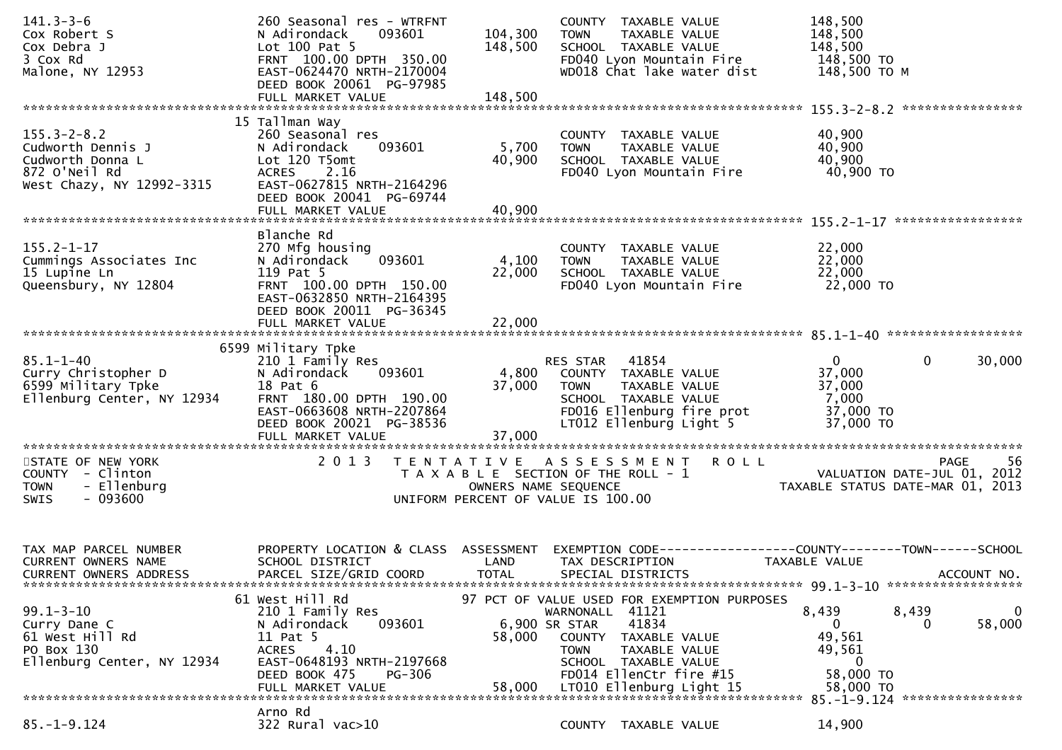| $141.3 - 3 - 6$<br>Cox Robert S<br>Cox Debra J<br>3 Cox Rd<br>Malone, NY 12953                           | 260 Seasonal res - WTRFNT<br>093601<br>N Adirondack<br>Lot 100 Pat 5<br>FRNT 100.00 DPTH 350.00<br>EAST-0624470 NRTH-2170004<br>DEED BOOK 20061 PG-97985                              | 104,300<br>148,500        | COUNTY TAXABLE VALUE<br>TAXABLE VALUE<br><b>TOWN</b><br>SCHOOL TAXABLE VALUE<br>FD040 Lyon Mountain Fire<br>WD018 Chat lake water dist                                                              | 148,500<br>148,500<br>148,500<br>148,500 TO<br>148,500 ТО М                                    |
|----------------------------------------------------------------------------------------------------------|---------------------------------------------------------------------------------------------------------------------------------------------------------------------------------------|---------------------------|-----------------------------------------------------------------------------------------------------------------------------------------------------------------------------------------------------|------------------------------------------------------------------------------------------------|
| $155.3 - 2 - 8.2$<br>Cudworth Dennis J<br>Cudworth Donna L<br>872 O'Neil Rd<br>West Chazy, NY 12992-3315 | 15 Tallman Way<br>260 Seasonal res<br>N Adirondack<br>093601<br>Lot 120 T5omt<br>ACRES 2.16<br>EAST-0627815 NRTH-2164296<br>DEED BOOK 20041 PG-69744                                  | 5,700<br>40,900           | COUNTY TAXABLE VALUE<br><b>TOWN</b><br>TAXABLE VALUE<br>SCHOOL TAXABLE VALUE<br>FD040 Lyon Mountain Fire                                                                                            | 40,900<br>40,900<br>40,900<br>40,900 TO                                                        |
| $155.2 - 1 - 17$<br>Cummings Associates Inc<br>15 Lupine Ln<br>Queensbury, NY 12804                      | Blanche Rd<br>270 Mfg housing<br>093601<br>N Adirondack<br>119 Pat 5<br>FRNT 100.00 DPTH 150.00<br>EAST-0632850 NRTH-2164395<br>DEED BOOK 20011 PG-36345<br>FULL MARKET VALUE         | 4,100<br>22,000<br>22,000 | COUNTY TAXABLE VALUE<br>TAXABLE VALUE<br><b>TOWN</b><br>SCHOOL TAXABLE VALUE<br>FD040 Lyon Mountain Fire                                                                                            | 22,000<br>22,000<br>22,000<br>22,000 TO                                                        |
| $85.1 - 1 - 40$<br>Curry Christopher D<br>6599 Military Tpke<br>Ellenburg Center, NY 12934               | 6599 Military Tpke<br>210 1 Family Res<br>093601<br>N Adirondack<br>18 Pat 6<br>FRNT 180.00 DPTH 190.00<br>EAST-0663608 NRTH-2207864<br>DEED BOOK 20021 PG-38536<br>FULL MARKET VALUE | 4,800<br>37,000<br>37,000 | RES STAR 41854<br>COUNTY TAXABLE VALUE<br>TAXABLE VALUE<br><b>TOWN</b><br>SCHOOL TAXABLE VALUE<br>FD016 Ellenburg fire prot<br>LT012 Ellenburg Light 5                                              | $\overline{0}$<br>$\mathbf 0$<br>30,000<br>37,000<br>37,000<br>7,000<br>37,000 TO<br>37,000 TO |
| STATE OF NEW YORK<br>COUNTY - Clinton<br>- Ellenburg<br><b>TOWN</b><br>$-093600$<br><b>SWIS</b>          | 2 0 1 3                                                                                                                                                                               |                           | TENTATIVE ASSESSMENT ROLL<br>T A X A B L E SECTION OF THE ROLL - 1<br>OWNERS NAME SEQUENCE<br>UNIFORM PERCENT OF VALUE IS 100.00                                                                    | PAGE 56<br>VALUATION DATE-JUL 01, 2012<br>TAXARIF STATILE DATE USE 21, 2012                    |
| TAX MAP PARCEL NUMBER<br>CURRENT OWNERS NAME<br>CURRENT OWNERS ADDRESS                                   | PROPERTY LOCATION & CLASS ASSESSMENT<br>SCHOOL DISTRICT<br>PARCEL SIZE/GRID COORD                                                                                                     | LAND<br><b>TOTAL</b>      | TAX DESCRIPTION<br>SPECIAL DISTRICTS                                                                                                                                                                | EXEMPTION CODE-----------------COUNTY-------TOWN------SCHOOL<br>TAXABLE VALUE<br>ACCOUNT NO.   |
| $99.1 - 3 - 10$<br>Curry Dane C<br>61 West Hill Rd<br>PO Box 130<br>Ellenburg Center, NY 12934           | 61 West Hill Rd<br>210 1 Family Res<br>N Adirondack<br>093601<br>11 Pat 5<br>4.10<br><b>ACRES</b><br>EAST-0648193 NRTH-2197668<br>DEED BOOK 475<br>PG-306                             | 58,000                    | 97 PCT OF VALUE USED FOR EXEMPTION PURPOSES<br>WARNONALL 41121<br>41834<br>6,900 SR STAR<br>COUNTY TAXABLE VALUE<br><b>TOWN</b><br>TAXABLE VALUE<br>SCHOOL TAXABLE VALUE<br>FD014 EllenCtr fire #15 | 8,439<br>8,439<br>0<br>58,000<br>$\Omega$<br>0<br>49,561<br>49,561<br>$\mathbf 0$<br>58,000 TO |
|                                                                                                          | FULL MARKET VALUE                                                                                                                                                                     | 58,000                    | LT010 Ellenburg Light 15                                                                                                                                                                            | 58,000 TO<br>85. -1-9.124 *****************                                                    |
| $85. - 1 - 9.124$                                                                                        | Arno Rd<br>322 Rural vac>10                                                                                                                                                           |                           | COUNTY TAXABLE VALUE                                                                                                                                                                                | 14,900                                                                                         |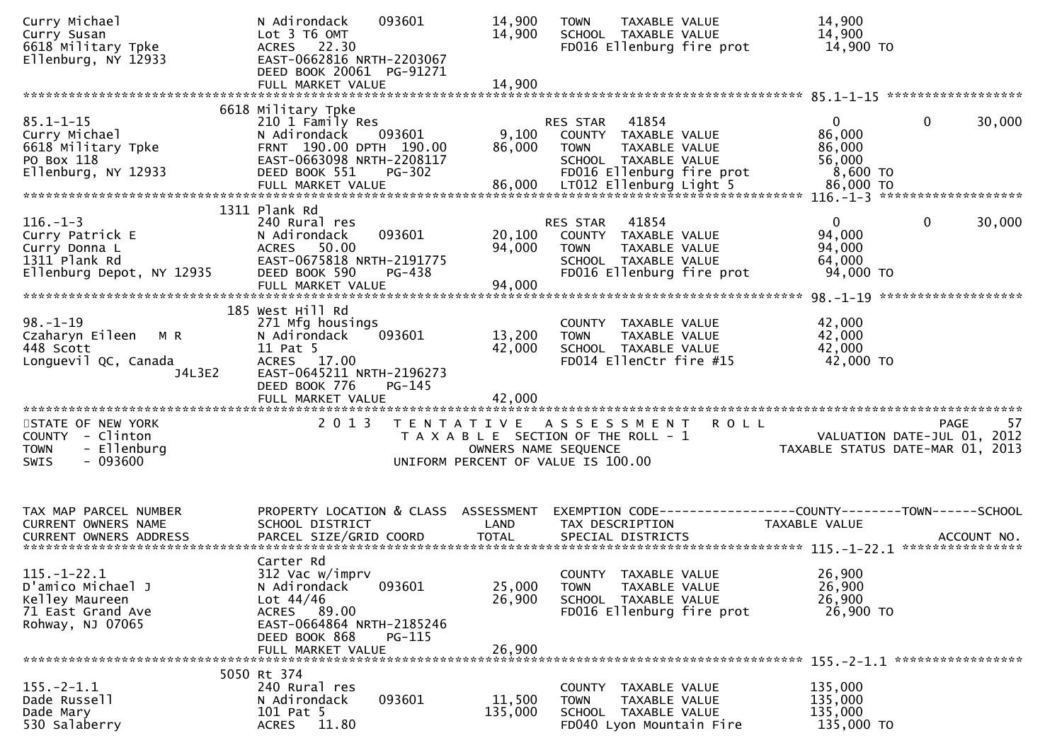| Curry Michael<br>Curry Susan<br>6618 Military Tpke<br>Ellenburg, NY 12933                         | 093601<br>N Adirondack<br>Lot 3 T6 OMT<br>ACRES 22.30<br>EAST-0662816 NRTH-2203067<br>DEED BOOK 20061 PG-91271<br>FULL MARKET VALUE                               | 14,900<br>14,900<br>14,900 | TAXABLE VALUE<br><b>TOWN</b><br>SCHOOL TAXABLE VALUE<br>FD016 Ellenburg fire prot                                              | 14,900<br>14,900<br>14,900 TO                                                 |
|---------------------------------------------------------------------------------------------------|-------------------------------------------------------------------------------------------------------------------------------------------------------------------|----------------------------|--------------------------------------------------------------------------------------------------------------------------------|-------------------------------------------------------------------------------|
|                                                                                                   |                                                                                                                                                                   |                            |                                                                                                                                |                                                                               |
| $85.1 - 1 - 15$<br>Curry Michael<br>6618 Military Tpke<br>PO Box 118<br>Ellenburg, NY 12933       | 6618 Military Tpke<br>210 1 Family Res<br>N Adirondack<br>093601<br>FRNT 190.00 DPTH 190.00<br>EAST-0663098 NRTH-2208117<br>DEED BOOK 551<br>PG-302               | 9,100<br>86,000            | 41854<br>RES STAR<br>COUNTY TAXABLE VALUE<br><b>TOWN</b><br>TAXABLE VALUE<br>SCHOOL TAXABLE VALUE<br>FD016 Ellenburg fire prot | 0<br>30,000<br>0<br>86,000<br>86,000<br>56,000<br>8,600 TO                    |
|                                                                                                   | 1311 Plank Rd                                                                                                                                                     |                            |                                                                                                                                |                                                                               |
| $116. - 1 - 3$<br>Curry Patrick E<br>Curry Donna L<br>1311 Plank Rd<br>Ellenburg Depot, NY 12935  | 240 Rural res<br>093601<br>N Adirondack<br>ACRES 50.00<br>EAST-0675818 NRTH-2191775<br>DEED BOOK 590<br>PG-438<br>FULL MARKET VALUE                               | 20,100<br>94,000<br>94,000 | 41854<br>RES STAR<br>COUNTY TAXABLE VALUE<br><b>TOWN</b><br>TAXABLE VALUE<br>SCHOOL TAXABLE VALUE<br>FD016 Ellenburg fire prot | $\Omega$<br>$\mathbf{0}$<br>30,000<br>94,000<br>94,000<br>64,000<br>94,000 TO |
|                                                                                                   | 185 West Hill Rd                                                                                                                                                  |                            |                                                                                                                                |                                                                               |
| $98. - 1 - 19$<br>Czaharyn Eileen M R<br>448 Scott<br>Longuevil QC, Canada<br>J4L3E2              | 271 Mfg housings<br>N Adirondack<br>093601<br>11 Pat 5<br>ACRES 17.00<br>EAST-0645211 NRTH-2196273<br>DEED BOOK 776<br>PG-145                                     | 13,200<br>42,000           | COUNTY TAXABLE VALUE<br><b>TOWN</b><br>TAXABLE VALUE<br>SCHOOL TAXABLE VALUE<br>FD014 EllenCtr fire #15                        | 42,000<br>42,000<br>42,000<br>42,000 TO                                       |
|                                                                                                   |                                                                                                                                                                   |                            |                                                                                                                                |                                                                               |
| STATE OF NEW YORK<br>COUNTY - Clinton<br>- Ellenburg<br><b>TOWN</b><br>$-093600$<br>SWIS          | 2 0 1 3                                                                                                                                                           | OWNERS NAME SEQUENCE       | TENTATIVE ASSESSMENT<br><b>ROLL</b><br>T A X A B L E SECTION OF THE ROLL - 1<br>UNIFORM PERCENT OF VALUE IS 100.00             | 57<br>PAGE<br>VALUATION DATE-JUL 01, 2012<br>TAXABLE STATUS DATE-MAR 01, 2013 |
| TAX MAP PARCEL NUMBER<br>CURRENT OWNERS NAME                                                      | PROPERTY LOCATION & CLASS ASSESSMENT<br>SCHOOL DISTRICT                                                                                                           | LAND                       | EXEMPTION CODE-----------------COUNTY-------TOWN------SCHOOL<br>TAX DESCRIPTION                                                | TAXABLE VALUE                                                                 |
| $115. - 1 - 22.1$<br>D'amico Michael J<br>Kelley Maureen<br>71 East Grand Ave<br>Rohway, NJ 07065 | Carter Rd<br>312 Vac w/imprv<br>093601<br>N Adirondack<br>Lot $44/46$<br>ACRES 89.00<br>EAST-0664864 NRTH-2185246<br>DEED BOOK 868<br>PG-115<br>FULL MARKET VALUE | 25,000<br>26,900<br>26,900 | COUNTY TAXABLE VALUE<br>TAXABLE VALUE<br><b>TOWN</b><br>SCHOOL TAXABLE VALUE<br>FD016 Ellenburg fire prot                      | 26,900<br>26,900<br>26,900<br>26,900 TO                                       |
|                                                                                                   | 5050 Rt 374                                                                                                                                                       |                            |                                                                                                                                |                                                                               |
| $155. - 2 - 1.1$<br>Dade Russell<br>Dade Mary<br>530 Salaberry                                    | 240 Rural res<br>093601<br>N Adirondack<br>101 Pat 5<br><b>ACRES</b><br>11.80                                                                                     | 11,500<br>135,000          | COUNTY TAXABLE VALUE<br>TAXABLE VALUE<br><b>TOWN</b><br>SCHOOL TAXABLE VALUE<br>FD040 Lyon Mountain Fire                       | 135,000<br>135,000<br>135,000<br>135,000 TO                                   |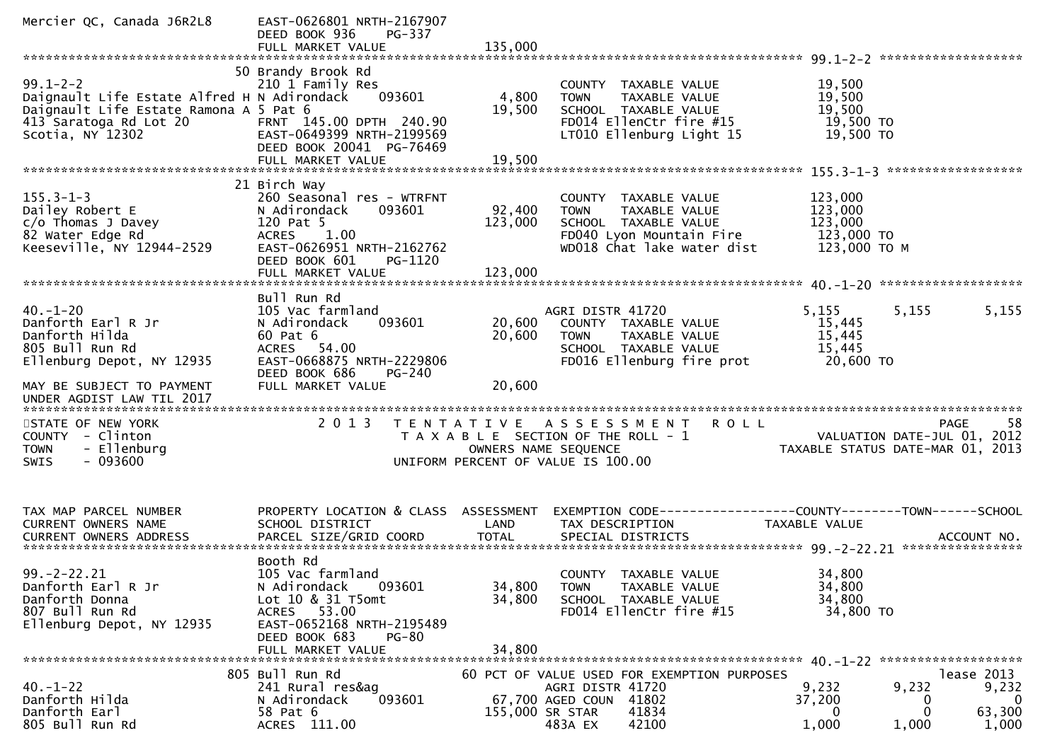| Mercier QC, Canada J6R2L8                                                                                                                                        | EAST-0626801 NRTH-2167907<br>DEED BOOK 936<br>PG-337                                                                                                                          |                            |                                                                                                                                        |                                                                                                     |                                            |
|------------------------------------------------------------------------------------------------------------------------------------------------------------------|-------------------------------------------------------------------------------------------------------------------------------------------------------------------------------|----------------------------|----------------------------------------------------------------------------------------------------------------------------------------|-----------------------------------------------------------------------------------------------------|--------------------------------------------|
| $99.1 - 2 - 2$<br>Daignault Life Estate Alfred H N Adirondack<br>Daignault Life Estate Ramona A 5 Pat 6<br>413 Saratoga Rd Lot 20<br>Scotia, NY 12302            | 50 Brandy Brook Rd<br>210 1 Family Res<br>093601<br>FRNT 145.00 DPTH 240.90<br>EAST-0649399 NRTH-2199569<br>DEED BOOK 20041 PG-76469                                          | 4,800<br>19,500            | COUNTY TAXABLE VALUE<br>TAXABLE VALUE<br><b>TOWN</b><br>SCHOOL TAXABLE VALUE<br>FD014 EllenCtr fire #15<br>LT010 Ellenburg Light 15    | 19,500<br>19,500<br>19,500<br>19,500 TO<br>$19,500$ TO                                              |                                            |
| $155.3 - 1 - 3$<br>Dailey Robert E<br>$c/o$ Thomas J Davey<br>82 Water Edge Rd<br>Keeseville, NY 12944-2529                                                      | 21 Birch Way<br>260 Seasonal res - WTRFNT<br>N Adirondack<br>093601<br>120 Pat 5<br>1.00<br><b>ACRES</b><br>EAST-0626951 NRTH-2162762<br>DEED BOOK 601<br>PG-1120             | 92,400<br>123,000          | COUNTY TAXABLE VALUE<br>TAXABLE VALUE<br><b>TOWN</b><br>SCHOOL TAXABLE VALUE<br>FD040 Lyon Mountain Fire<br>WD018 Chat lake water dist | 123,000<br>123,000<br>123,000<br>123,000 TO<br>123,000 ТО М                                         |                                            |
| $40. - 1 - 20$<br>Danforth Earl R Jr<br>Danforth Hilda<br>805 Bull Run Rd<br>Ellenburg Depot, NY 12935<br>MAY BE SUBJECT TO PAYMENT<br>UNDER AGDIST LAW TIL 2017 | Bull Run Rd<br>105 Vac farmland<br>N Adirondack<br>093601<br>60 Pat 6<br>ACRES 54.00<br>EAST-0668875 NRTH-2229806<br>DEED BOOK 686<br>PG-240<br>FULL MARKET VALUE             | 20,600<br>20,600<br>20,600 | AGRI DISTR 41720<br>COUNTY TAXABLE VALUE<br><b>TOWN</b><br>TAXABLE VALUE<br>SCHOOL TAXABLE VALUE<br>FD016 Ellenburg fire prot          | 5,155<br>5,155<br>15,445<br>15,445<br>15,445<br>20,600 TO                                           | 5,155                                      |
| STATE OF NEW YORK<br>COUNTY - Clinton<br>- Ellenburg<br><b>TOWN</b><br>$-093600$<br><b>SWIS</b>                                                                  | 2 0 1 3                                                                                                                                                                       |                            | TENTATIVE ASSESSMENT<br>R O L L<br>T A X A B L E SECTION OF THE ROLL - 1<br>OWNERS NAME SEQUENCE<br>UNIFORM PERCENT OF VALUE IS 100.00 | PAGE<br>VALUATION DATE-JUL 01, 2012<br>TAXABLE STATUS DATE-MAR 01, 2013                             | 58                                         |
| TAX MAP PARCEL NUMBER<br>CURRENT OWNERS NAME<br><b>CURRENT OWNERS ADDRESS</b>                                                                                    | PROPERTY LOCATION & CLASS ASSESSMENT<br>SCHOOL DISTRICT<br>PARCEL SIZE/GRID COORD                                                                                             | LAND<br><b>TOTAL</b>       | TAX DESCRIPTION<br>SPECIAL DISTRICTS                                                                                                   | EXEMPTION CODE-----------------COUNTY-------TOWN------SCHOOL<br><b>TAXABLE VALUE</b><br>ACCOUNT NO. |                                            |
| $99. -2 - 22.21$<br>Danforth Earl R Jr<br>Danforth Donna<br>807 Bull Run Rd<br>Ellenburg Depot, NY 12935                                                         | Booth Rd<br>105 Vac farmland<br>093601<br>N Adirondack<br>Lot 10 & 31 T5omt<br>ACRES 53.00<br>EAST-0652168 NRTH-2195489<br>DEED BOOK 683<br><b>PG-80</b><br>FULL MARKET VALUE | 34,800<br>34,800<br>34,800 | COUNTY TAXABLE VALUE<br>TAXABLE VALUE<br>TOWN<br>SCHOOL TAXABLE VALUE<br>FD014 EllenCtr fire #15                                       | 34,800<br>34,800<br>34,800<br>34,800 TO                                                             |                                            |
| $40. - 1 - 22$<br>Danforth Hilda<br>Danforth Earl<br>805 Bull Run Rd                                                                                             | 805 Bull Run Rd<br>241 Rural res&ag<br>093601<br>N Adirondack<br>58 Pat 6<br>ACRES 111.00                                                                                     | 155,000 SR STAR            | 60 PCT OF VALUE USED FOR EXEMPTION PURPOSES<br>AGRI DISTR 41720<br>67,700 AGED COUN 41802<br>41834<br>483A EX<br>42100                 | lease 2013<br>9,232<br>9,232<br>37,200<br>0<br>0<br>0<br>1,000<br>1,000                             | 9,232<br>$\overline{0}$<br>63,300<br>1,000 |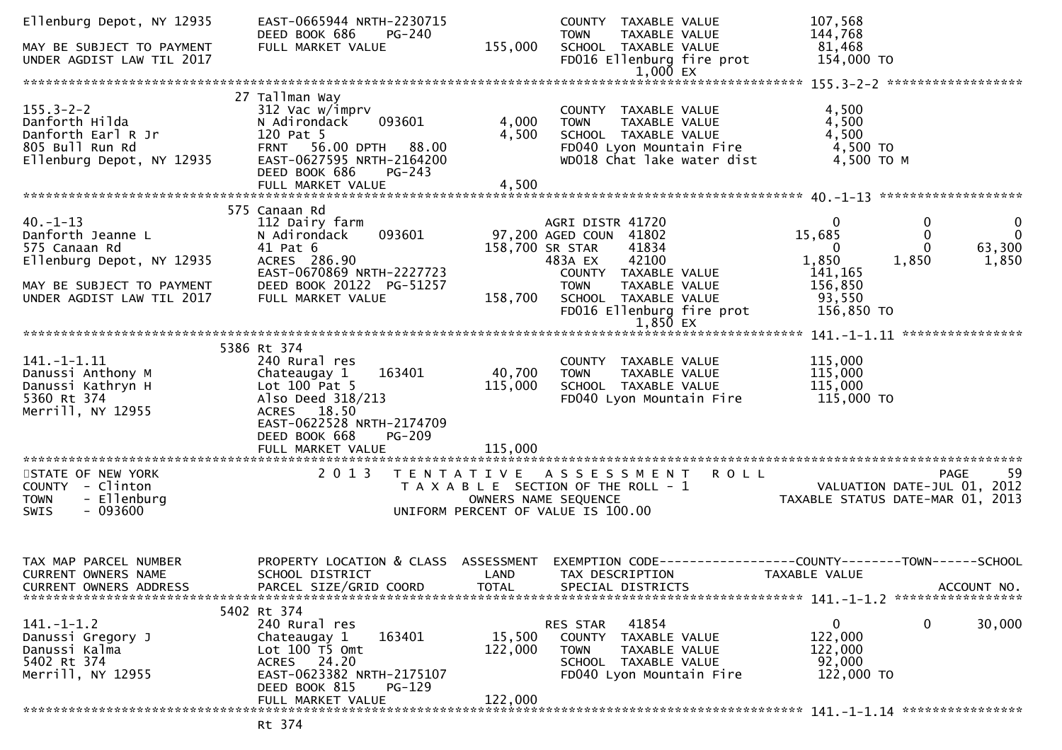| Ellenburg Depot, NY 12935<br>MAY BE SUBJECT TO PAYMENT<br>UNDER AGDIST LAW TIL 2017                                                        | EAST-0665944 NRTH-2230715<br>DEED BOOK 686<br>PG-240<br>FULL MARKET VALUE                                                                                                        | 155,000                      | COUNTY TAXABLE VALUE<br><b>TOWN</b><br>TAXABLE VALUE<br>SCHOOL TAXABLE VALUE<br>FD016 Ellenburg fire prot<br>1,000 EX                                                                                   | 107,568<br>144,768<br>81,468<br>154,000 TO                                                                                                                                     |
|--------------------------------------------------------------------------------------------------------------------------------------------|----------------------------------------------------------------------------------------------------------------------------------------------------------------------------------|------------------------------|---------------------------------------------------------------------------------------------------------------------------------------------------------------------------------------------------------|--------------------------------------------------------------------------------------------------------------------------------------------------------------------------------|
|                                                                                                                                            |                                                                                                                                                                                  |                              |                                                                                                                                                                                                         |                                                                                                                                                                                |
| $155.3 - 2 - 2$<br>Danforth Hilda<br>Danforth Earl R Jr<br>805 Bull Run Rd<br>Ellenburg Depot, NY 12935                                    | 27 Tallman Way<br>312 Vac w/imprv<br>093601<br>N Adirondack<br>120 Pat 5<br>FRNT 56.00 DPTH 88.00<br>EAST-0627595 NRTH-2164200<br>DEED BOOK 686<br>$PG-243$<br>FULL MARKET VALUE | 4,000<br>4,500<br>4,500      | COUNTY TAXABLE VALUE<br>TAXABLE VALUE<br><b>TOWN</b><br>SCHOOL TAXABLE VALUE<br>FD040 Lyon Mountain Fire<br>WD018 Chat lake water dist                                                                  | 4,500<br>4,500<br>4,500<br>4,500 TO<br>4,500 ТО М                                                                                                                              |
|                                                                                                                                            |                                                                                                                                                                                  |                              |                                                                                                                                                                                                         |                                                                                                                                                                                |
| $40. -1 - 13$<br>Danforth Jeanne L<br>575 Canaan Rd<br>Ellenburg Depot, NY 12935<br>MAY BE SUBJECT TO PAYMENT<br>UNDER AGDIST LAW TIL 2017 | 575 Canaan Rd<br>112 Dairy farm<br>093601<br>N Adirondack<br>41 Pat 6<br>ACRES 286.90<br>EAST-0670869 NRTH-2227723<br>DEED BOOK 20122 PG-51257<br>FULL MARKET VALUE              | 158,700                      | AGRI DISTR 41720<br>97,200 AGED COUN 41802<br>158,700 SR STAR<br>41834<br>483A EX<br>42100<br>COUNTY TAXABLE VALUE<br><b>TOWN</b><br>TAXABLE VALUE<br>SCHOOL TAXABLE VALUE<br>FD016 Ellenburg fire prot | $\mathbf{0}$<br>0<br>$\mathbf{0}$<br>15,685<br>$\overline{0}$<br>0<br>63,300<br>$\Omega$<br>$\Omega$<br>1,850<br>1,850<br>1,850<br>141, 165<br>156,850<br>93,550<br>156,850 TO |
|                                                                                                                                            |                                                                                                                                                                                  |                              | 1,850 EX                                                                                                                                                                                                |                                                                                                                                                                                |
|                                                                                                                                            | 5386 Rt 374                                                                                                                                                                      |                              |                                                                                                                                                                                                         |                                                                                                                                                                                |
| $141. - 1 - 1.11$<br>Danussi Anthony M<br>Danussi Kathryn H<br>5360 Rt 374<br>Merrill, NY 12955                                            | 240 Rural res<br>163401<br>Chateaugay 1<br>Lot $100$ Pat 5<br>Also Deed 318/213<br>ACRES 18.50<br>EAST-0622528 NRTH-2174709<br>DEED BOOK 668<br><b>PG-209</b>                    | 40,700<br>115,000<br>115,000 | COUNTY TAXABLE VALUE<br><b>TOWN</b><br>TAXABLE VALUE<br>SCHOOL TAXABLE VALUE<br>FD040 Lyon Mountain Fire                                                                                                | 115,000<br>115,000<br>115,000<br>115,000 TO                                                                                                                                    |
|                                                                                                                                            | FULL MARKET VALUE                                                                                                                                                                |                              |                                                                                                                                                                                                         |                                                                                                                                                                                |
| STATE OF NEW YORK<br>COUNTY - Clinton<br>- Ellenburg<br><b>TOWN</b><br>$-093600$<br><b>SWIS</b>                                            | 2 0 1 3                                                                                                                                                                          |                              | <b>ROLL</b><br>TENTATIVE ASSESSMENT<br>T A X A B L E SECTION OF THE ROLL - 1<br>OWNERS NAME SEQUENCE<br>UNIFORM PERCENT OF VALUE IS 100.00                                                              | 59<br><b>PAGE</b><br>VALUATION DATE-JUL 01, 2012<br>TAXABLE STATUS DATE-MAR 01, 2013                                                                                           |
| TAX MAP PARCEL NUMBER<br><b>CURRENT OWNERS NAME</b><br><b>CURRENT OWNERS ADDRESS</b>                                                       | PROPERTY LOCATION & CLASS ASSESSMENT<br>SCHOOL DISTRICT<br>PARCEL SIZE/GRID COORD                                                                                                | LAND<br><b>TOTAL</b>         | TAX DESCRIPTION<br>SPECIAL DISTRICTS                                                                                                                                                                    | EXEMPTION CODE-----------------COUNTY-------TOWN------SCHOOL<br>TAXABLE VALUE<br>ACCOUNT NO.                                                                                   |
| $141. - 1 - 1.2$<br>Danussi Gregory J<br>Danussi Kalma<br>5402 Rt 374<br>Merrill, NY 12955                                                 | 5402 Rt 374<br>240 Rural res<br>163401<br>Chateaugay 1<br>Lot $100$ T5 Omt<br>ACRES 24.20<br>EAST-0623382 NRTH-2175107<br>DEED BOOK 815<br>PG-129<br>FULL MARKET VALUE           | 15,500<br>122,000<br>122,000 | 41854<br>RES STAR<br>COUNTY TAXABLE VALUE<br>TAXABLE VALUE<br><b>TOWN</b><br>SCHOOL TAXABLE VALUE<br>FD040 Lyon Mountain Fire                                                                           | 0<br>0<br>30,000<br>122,000<br>122,000<br>92,000<br>122,000 TO                                                                                                                 |
|                                                                                                                                            |                                                                                                                                                                                  |                              |                                                                                                                                                                                                         |                                                                                                                                                                                |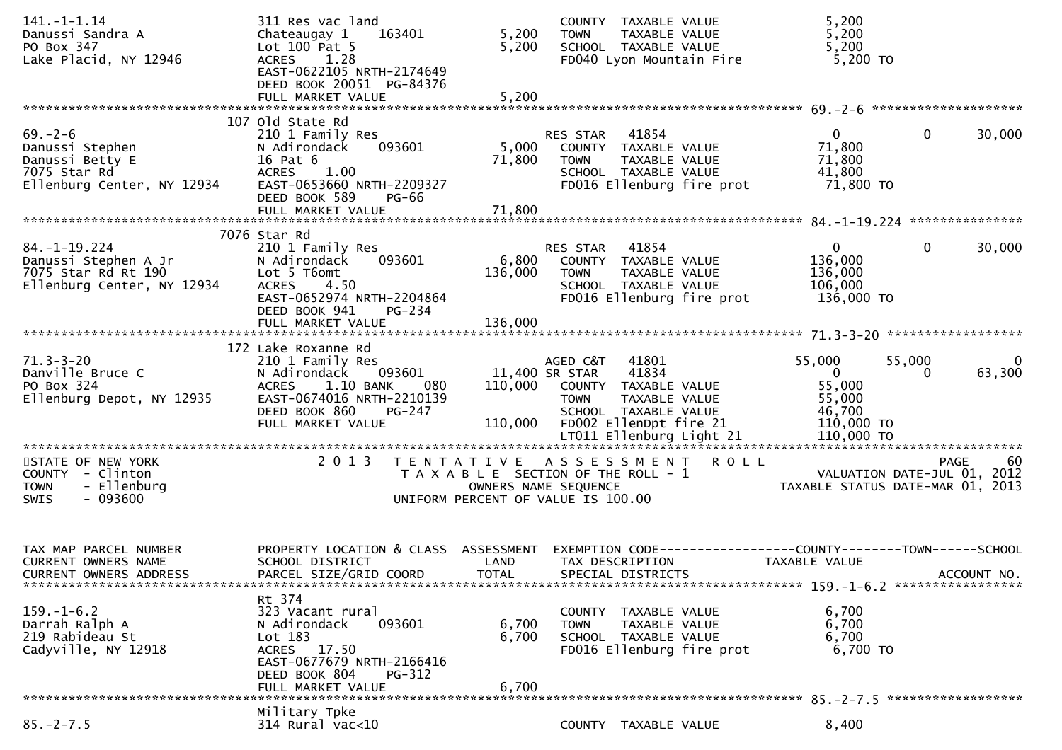| $141. - 1 - 1.14$<br>Danussi Sandra A<br>PO Box 347<br>Lake Placid, NY 12946                                            | 311 Res vac land<br>Chateaugay 1<br>163401<br>Lot 100 Pat 5<br><b>ACRES</b><br>1.28                                                                                                | 5,200<br>5,200                                                                                      | <b>TOWN</b>                               | COUNTY TAXABLE VALUE<br>TAXABLE VALUE<br>SCHOOL TAXABLE VALUE<br>FD040 Lyon Mountain Fire                         |                                                                                                    | 5,200<br>5,200<br>5,200<br>5,200 TO                                  |              |                          |
|-------------------------------------------------------------------------------------------------------------------------|------------------------------------------------------------------------------------------------------------------------------------------------------------------------------------|-----------------------------------------------------------------------------------------------------|-------------------------------------------|-------------------------------------------------------------------------------------------------------------------|----------------------------------------------------------------------------------------------------|----------------------------------------------------------------------|--------------|--------------------------|
|                                                                                                                         | EAST-0622105 NRTH-2174649<br>DEED BOOK 20051 PG-84376<br>FULL MARKET VALUE                                                                                                         | 5,200                                                                                               |                                           |                                                                                                                   |                                                                                                    |                                                                      |              |                          |
| $69 - 2 - 6$<br>Danussi Stephen<br>Danussi Betty E<br>7075 Star Rd<br>Ellenburg Center, NY 12934                        | 107 old State Rd<br>210 1 Family Res<br>N Adirondack<br>093601<br>16 Pat 6<br>1.00<br><b>ACRES</b><br>EAST-0653660 NRTH-2209327<br>DEED BOOK 589<br><b>PG-66</b>                   | 5,000<br>71,800                                                                                     | RES STAR<br><b>TOWN</b>                   | 41854<br>COUNTY TAXABLE VALUE<br>TAXABLE VALUE<br>SCHOOL TAXABLE VALUE<br>FD016 Ellenburg fire prot               |                                                                                                    | $\overline{0}$<br>71,800<br>71,800<br>41,800<br>71,800 TO            | $\mathbf 0$  | 30,000                   |
|                                                                                                                         |                                                                                                                                                                                    |                                                                                                     |                                           |                                                                                                                   |                                                                                                    |                                                                      |              |                          |
| $84. - 1 - 19.224$<br>Danussi Stephen A Jr<br>Danussi Stephen A J.<br>7075 Star Rd Rt 190<br>Ellenburg Center, NY 12934 | 7076 Star Rd<br>210 1 Family Res<br>N Adirondack<br>093601<br>Lot 5 T6omt<br>ACRES 4.50<br>EAST-0652974 NRTH-2204864<br>DEED BOOK 941<br>PG-234                                    | 6,800<br>136,000                                                                                    | RES STAR 41854<br><b>TOWN</b>             | COUNTY TAXABLE VALUE<br>TAXABLE VALUE<br>SCHOOL TAXABLE VALUE<br>FD016 Ellenburg fire prot                        |                                                                                                    | $\overline{0}$<br>136,000<br>136,000<br>106,000<br>136,000 TO        | $\mathbf{0}$ | 30,000                   |
|                                                                                                                         | FULL MARKET VALUE                                                                                                                                                                  | 136,000                                                                                             |                                           |                                                                                                                   |                                                                                                    |                                                                      |              |                          |
| $71.3 - 3 - 20$<br>Danville Bruce C<br>PO Box 324<br>Ellenburg Depot, NY 12935                                          | 172 Lake Roxanne Rd<br>210 1 Family Res<br>N Adirondack<br>093601<br><b>ACRES</b><br>1.10 BANK<br>080<br>EAST-0674016 NRTH-2210139<br>DEED BOOK 860<br>PG-247<br>FULL MARKET VALUE | 110,000                                                                                             | AGED C&T<br>11,400 SR STAR<br><b>TOWN</b> | 41801<br>41834<br>110,000 COUNTY TAXABLE VALUE<br>TAXABLE VALUE<br>SCHOOL TAXABLE VALUE<br>FD002 EllenDpt fire 21 |                                                                                                    | 55,000<br>$\overline{0}$<br>55,000<br>55,000<br>46,700<br>110,000 TO | 55,000<br>0  | $\overline{0}$<br>63,300 |
| STATE OF NEW YORK<br>COUNTY - Clinton<br>- Ellenburg<br><b>TOWN</b><br>$-093600$<br><b>SWIS</b>                         | 2 0 1 3                                                                                                                                                                            | T A X A B L E SECTION OF THE ROLL - 1<br>OWNERS NAME SEQUENCE<br>UNIFORM PERCENT OF VALUE IS 100.00 |                                           |                                                                                                                   | TENTATIVE ASSESSMENT ROLL<br>PAGE 60<br>VALUATION DATE-JUL 01, 2012<br>TAXABLE STATUS DATE 11:5 24 |                                                                      |              |                          |
| TAX MAP PARCEL NUMBER<br><b>CURRENT OWNERS NAME</b><br><b>CURRENT OWNERS ADDRESS</b>                                    | PROPERTY LOCATION & CLASS ASSESSMENT<br>SCHOOL DISTRICT<br>PARCEL SIZE/GRID COORD                                                                                                  | LAND<br><b>TOTAL</b>                                                                                |                                           | TAX DESCRIPTION<br>SPECIAL DISTRICTS                                                                              | EXEMPTION CODE------------------COUNTY--------TOWN------SCHOOL                                     | <b>TAXABLE VALUE</b>                                                 |              | ACCOUNT NO.              |
| $159. - 1 - 6.2$<br>Darrah Ralph A<br>219 Rabideau St<br>Cadyville, NY 12918                                            | Rt 374<br>323 Vacant rural<br>093601<br>N Adirondack<br>$Lot$ 183<br>ACRES 17.50<br>EAST-0677679 NRTH-2166416<br>DEED BOOK 804<br>$PG-312$<br>FULL MARKET VALUE                    | 6,700<br>6,700<br>6,700                                                                             | <b>TOWN</b>                               | COUNTY TAXABLE VALUE<br>TAXABLE VALUE<br>SCHOOL TAXABLE VALUE<br>FD016 Ellenburg fire prot                        |                                                                                                    | 6,700<br>6,700<br>6,700<br>6,700 TO                                  |              |                          |
|                                                                                                                         | Military Tpke                                                                                                                                                                      |                                                                                                     |                                           |                                                                                                                   |                                                                                                    |                                                                      |              |                          |
| $85. - 2 - 7.5$                                                                                                         | 314 Rural vac<10                                                                                                                                                                   |                                                                                                     |                                           | COUNTY TAXABLE VALUE                                                                                              |                                                                                                    | 8,400                                                                |              |                          |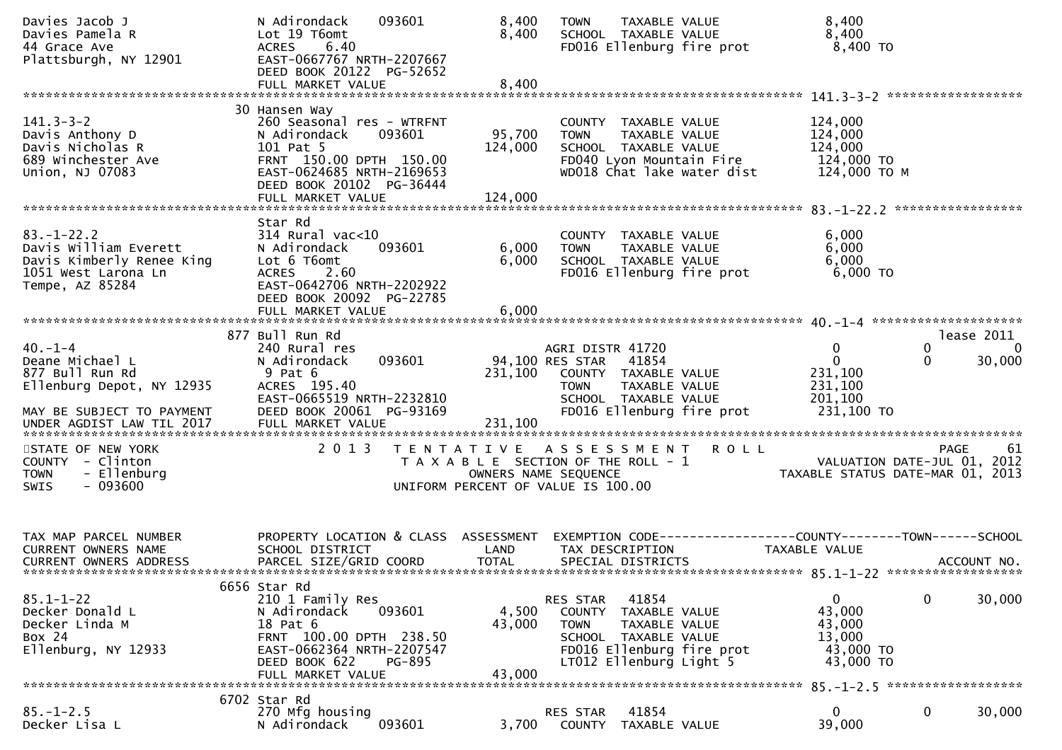| Davies Jacob J<br>Davies Pamela R<br>44 Grace Ave<br>Plattsburgh, NY 12901                                                                | N Adirondack<br>093601<br>Lot 19 T6omt<br>ACRES 6.40<br>EAST-0667767 NRTH-2207667<br>DEED BOOK 20122 PG-52652<br>FULL MARKET VALUE                                                         | 8,400<br>8,400<br>8,400                                                                                  | <b>TOWN</b><br>SCHOOL TAXABLE VALUE                                                                      | TAXABLE VALUE                                                                              | FD016 Ellenburg fire prot                              | 8,400<br>8,400<br>8,400 TO                                                                     |                                            |
|-------------------------------------------------------------------------------------------------------------------------------------------|--------------------------------------------------------------------------------------------------------------------------------------------------------------------------------------------|----------------------------------------------------------------------------------------------------------|----------------------------------------------------------------------------------------------------------|--------------------------------------------------------------------------------------------|--------------------------------------------------------|------------------------------------------------------------------------------------------------|--------------------------------------------|
|                                                                                                                                           |                                                                                                                                                                                            |                                                                                                          |                                                                                                          |                                                                                            |                                                        |                                                                                                |                                            |
| $141.3 - 3 - 2$<br>Davis Anthony D<br>Davis Nicholas R<br>689 Winchester Ave<br>Union, NJ 07083                                           | 30 Hansen Way<br>260 Seasonal res - WTRFNT<br>N Adirondack<br>093601<br>101 Pat 5<br>FRNT 150.00 DPTH 150.00<br>EAST-0624685 NRTH-2169653<br>DEED BOOK 20102 PG-36444<br>FULL MARKET VALUE | 95,700<br>124,000<br>124,000                                                                             | <b>TOWN</b><br>SCHOOL TAXABLE VALUE                                                                      | COUNTY TAXABLE VALUE<br>TAXABLE VALUE                                                      | FD040 Lyon Mountain Fire<br>WD018 Chat lake water dist | 124,000<br>124,000<br>124,000<br>124,000 TO<br>124,000 ТО М                                    |                                            |
|                                                                                                                                           |                                                                                                                                                                                            |                                                                                                          |                                                                                                          |                                                                                            |                                                        |                                                                                                |                                            |
| $83. - 1 - 22.2$<br>Davis William Everett<br>Davis William Everett<br>Davis Kimberly Renee King<br>1051 West Larona Ln<br>Tempe, AZ 85284 | Star Rd<br>$314$ Rural vac<10<br>N Adirondack<br>093601<br>Lot 6 T6omt<br><b>ACRES</b><br>2.60<br>EAST-0642706 NRTH-2202922<br>DEED BOOK 20092 PG-22785                                    | 6,000<br>6,000                                                                                           | COUNTY TAXABLE VALUE<br><b>TOWN</b>                                                                      | TAXABLE VALUE<br>SCHOOL TAXABLE VALUE                                                      | FD016 Ellenburg fire prot                              | 6,000<br>6,000<br>6,000<br>$6,000$ TO                                                          |                                            |
|                                                                                                                                           | FULL MARKET VALUE                                                                                                                                                                          | 6,000                                                                                                    |                                                                                                          |                                                                                            |                                                        |                                                                                                |                                            |
| $40. -1 -4$<br>Deane Michael L<br>877 Bull Run Rd<br>Ellenburg Depot, NY 12935<br>MAY BE SUBJECT TO PAYMENT<br>UNDER AGDIST LAW TIL 2017  | 877 Bull Run Rd<br>240 Rural res<br>N Adirondack<br>093601<br>9 Pat 6<br>ACRES 195.40<br>EAST-0665519 NRTH-2232810<br>DEED BOOK 20061 PG-93169<br>FULL MARKET VALUE                        | 231,100<br>231,100                                                                                       | AGRI DISTR 41720<br>94,100 RES STAR 41854<br>COUNTY TAXABLE VALUE<br><b>TOWN</b><br>SCHOOL TAXABLE VALUE | TAXABLE VALUE                                                                              | FD016 Ellenburg fire prot                              | 0<br>$\mathbf{0}$<br>231,100<br>231,100<br>201,100<br>231,100 TO                               | lease 2011<br>0<br>$\Omega$<br>30,000<br>0 |
| STATE OF NEW YORK<br>COUNTY - Clinton<br>- Ellenburg<br><b>TOWN</b><br>$-093600$<br><b>SWIS</b>                                           | 2 0 1 3                                                                                                                                                                                    | TENTATIVE ASSESSMENT ROLL<br>T A X A B L E SECTION OF THE ROLL - 1<br>UNIFORM PERCENT OF VALUE IS 100.00 | OWNERS NAME SEQUENCE                                                                                     |                                                                                            |                                                        | 61<br>102 VALUATION DATE-JUL 01, 2012<br>103 TAXABLE STATUS DATE-MAR<br>1, 2013 TAXABLE STATUS | PAGE<br>61                                 |
| TAX MAP PARCEL NUMBER<br>CURRENT OWNERS NAME<br><b>CURRENT OWNERS ADDRESS</b>                                                             | PROPERTY LOCATION & CLASS ASSESSMENT<br>SCHOOL DISTRICT<br>PARCEL SIZE/GRID COORD                                                                                                          | LAND<br><b>TOTAL</b>                                                                                     | TAX DESCRIPTION<br>SPECIAL DISTRICTS                                                                     |                                                                                            |                                                        | EXEMPTION CODE-----------------COUNTY-------TOWN------SCHOOL<br>TAXABLE VALUE                  | ACCOUNT NO.                                |
| $85.1 - 1 - 22$<br>Decker Donald L<br>Decker Linda M<br>Box 24<br>Ellenburg, NY 12933                                                     | 6656 Star Rd<br>210 1 Family Res<br>N Adirondack<br>093601<br>18 Pat 6<br>FRNT 100.00 DPTH 238.50<br>EAST-0662364 NRTH-2207547<br>DEED BOOK 622<br>PG-895<br>FULL MARKET VALUE             | 4,500<br>43,000<br>43,000                                                                                | RES STAR<br><b>COUNTY</b><br><b>TOWN</b>                                                                 | 41854<br>TAXABLE VALUE<br>TAXABLE VALUE<br>SCHOOL TAXABLE VALUE<br>LT012 Ellenburg Light 5 | FD016 Ellenburg fire prot                              | 0<br>43,000<br>43,000<br>13,000<br>43,000 TO<br>43,000 TO                                      | $\mathbf{0}$<br>30,000                     |
|                                                                                                                                           | 6702 Star Rd                                                                                                                                                                               |                                                                                                          |                                                                                                          |                                                                                            |                                                        |                                                                                                |                                            |
| $85 - 1 - 2.5$<br>Decker Lisa L                                                                                                           | 270 Mfg housing<br>093601<br>N Adirondack                                                                                                                                                  | 3,700                                                                                                    | <b>RES STAR</b><br>COUNTY                                                                                | 41854<br>TAXABLE VALUE                                                                     |                                                        | 0<br>39,000                                                                                    | $\mathbf{0}$<br>30,000                     |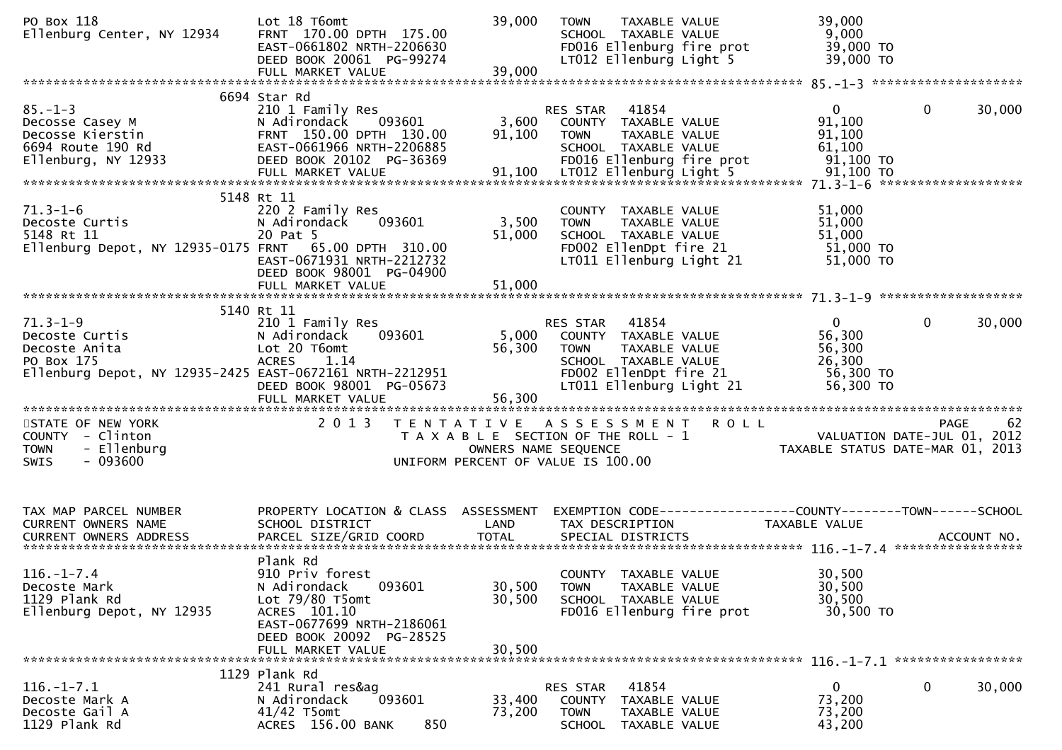| PO Box 118<br>Ellenburg Center, NY 12934                                                                                    | Lot 18 T6omt<br>FRNT 170.00 DPTH 175.00<br>EAST-0661802 NRTH-2206630<br>DEED BOOK 20061 PG-99274                                                                       | 39,000                                                                                              | <b>TOWN</b>                   | TAXABLE VALUE<br>SCHOOL TAXABLE VALUE                                  | FD016 Ellenburg fire prot<br>LT012 Ellenburg Light 5 | 39,000<br>9,000<br>39,000 TO<br>39,000 TO                                       |              |        |
|-----------------------------------------------------------------------------------------------------------------------------|------------------------------------------------------------------------------------------------------------------------------------------------------------------------|-----------------------------------------------------------------------------------------------------|-------------------------------|------------------------------------------------------------------------|------------------------------------------------------|---------------------------------------------------------------------------------|--------------|--------|
|                                                                                                                             |                                                                                                                                                                        |                                                                                                     |                               |                                                                        |                                                      |                                                                                 |              |        |
| $85. - 1 - 3$<br>Decosse Casey M<br>Decosse Kierstin<br>6694 Route 190 Rd<br>Ellenburg, NY 12933                            | 6694 Star Rd<br>210 1 Family Res<br>093601<br>N Adirondack<br>FRNT 150.00 DPTH 130.00<br>EAST-0661966 NRTH-2206885<br>DEED BOOK 20102 PG-36369                         | 3,600<br>91,100                                                                                     | RES STAR 41854<br><b>TOWN</b> | COUNTY TAXABLE VALUE<br>TAXABLE VALUE<br>SCHOOL TAXABLE VALUE          | FD016 Ellenburg fire prot                            | $\mathbf{0}$<br>91,100<br>91,100<br>61,100<br>91,100 TO                         | $\mathbf 0$  | 30,000 |
|                                                                                                                             | 5148 Rt 11                                                                                                                                                             |                                                                                                     |                               |                                                                        |                                                      |                                                                                 |              |        |
| $71.3 - 1 - 6$<br>Decoste Curtis<br>5148 Rt 11<br>Ellenburg Depot, NY 12935-0175 FRNT 65.00 DPTH 310.00                     | 220 2 Family Res<br>N Adirondack<br>093601<br>20 Pat 5<br>EAST-0671931 NRTH-2212732<br>DEED BOOK 98001 PG-04900<br>FULL MARKET VALUE                                   | 3,500<br>51,000<br>51,000                                                                           | <b>TOWN</b>                   | COUNTY TAXABLE VALUE<br>TAXABLE VALUE<br>SCHOOL TAXABLE VALUE          | FD002 EllenDpt fire 21<br>LT011 Ellenburg Light 21   | 51,000<br>51,000<br>51,000<br>51,000 TO<br>51,000 TO                            |              |        |
|                                                                                                                             |                                                                                                                                                                        |                                                                                                     |                               |                                                                        |                                                      |                                                                                 |              |        |
|                                                                                                                             | 5140 Rt 11                                                                                                                                                             |                                                                                                     |                               |                                                                        |                                                      |                                                                                 |              |        |
| $71.3 - 1 - 9$<br>Decoste Curtis<br>Decoste Anita<br>PO Box 175<br>Ellenburg Depot, NY 12935-2425 EAST-0672161 NRTH-2212951 | 210 1 Family Res<br>N Adirondack<br>093601<br>Lot 20 T6omt<br>1.14<br><b>ACRES</b><br>DEED BOOK 98001 PG-05673                                                         | 5,000<br>56,300                                                                                     | RES STAR<br><b>TOWN</b>       | 41854<br>COUNTY TAXABLE VALUE<br>TAXABLE VALUE<br>SCHOOL TAXABLE VALUE | FD002 EllenDpt fire 21<br>LT011 Ellenburg Light 21   | $\Omega$<br>56,300<br>56,300<br>26,300<br>56,300 TO<br>56,300 TO                | $\mathbf{0}$ | 30,000 |
|                                                                                                                             |                                                                                                                                                                        |                                                                                                     |                               |                                                                        |                                                      |                                                                                 |              |        |
| STATE OF NEW YORK<br>COUNTY - Clinton<br>- Ellenburg<br><b>TOWN</b><br>$-093600$<br><b>SWIS</b>                             | 2 0 1 3                                                                                                                                                                | T A X A B L E SECTION OF THE ROLL - 1<br>OWNERS NAME SEQUENCE<br>UNIFORM PERCENT OF VALUE IS 100.00 |                               |                                                                        | TENTATIVE ASSESSMENT ROLL                            | VALUATION DATE-JUL 01, 2012<br>TAXABLE STATUS DATE-MAR 01, 2013                 | PAGE         | 62     |
| TAX MAP PARCEL NUMBER<br><b>CURRENT OWNERS NAME</b>                                                                         | PROPERTY LOCATION & CLASS ASSESSMENT<br>SCHOOL DISTRICT                                                                                                                | LAND                                                                                                |                               | TAX DESCRIPTION                                                        |                                                      | EXEMPTION CODE------------------COUNTY--------TOWN------SCHOOL<br>TAXABLE VALUE |              |        |
| $116. - 1 - 7.4$<br>Decoste Mark<br>1129 Plank Rd<br>Ellenburg Depot, NY 12935                                              | Plank Rd<br>910 Priv forest<br>N Adirondack<br>093601<br>Lot 79/80 T5omt<br>ACRES 101.10<br>EAST-0677699 NRTH-2186061<br>DEED BOOK 20092 PG-28525<br>FULL MARKET VALUE | 30,500<br>30,500<br>30,500                                                                          | <b>TOWN</b>                   | COUNTY TAXABLE VALUE<br>TAXABLE VALUE<br>SCHOOL TAXABLE VALUE          | FD016 Ellenburg fire prot                            | 30,500<br>30,500<br>30,500<br>30,500 TO                                         |              |        |
|                                                                                                                             | 1129 Plank Rd                                                                                                                                                          |                                                                                                     |                               |                                                                        |                                                      |                                                                                 |              |        |
| $116. - 1 - 7.1$<br>Decoste Mark A<br>Decoste Gail A<br>1129 Plank Rd                                                       | 241 Rural res&ag<br>N Adirondack<br>093601<br>$41/42$ T5omt<br>850<br>ACRES 156.00 BANK                                                                                | 33,400<br>73,200                                                                                    | RES STAR<br><b>TOWN</b>       | 41854<br>COUNTY TAXABLE VALUE<br>TAXABLE VALUE<br>SCHOOL TAXABLE VALUE |                                                      | 0<br>73,200<br>73,200<br>43,200                                                 | 0            | 30,000 |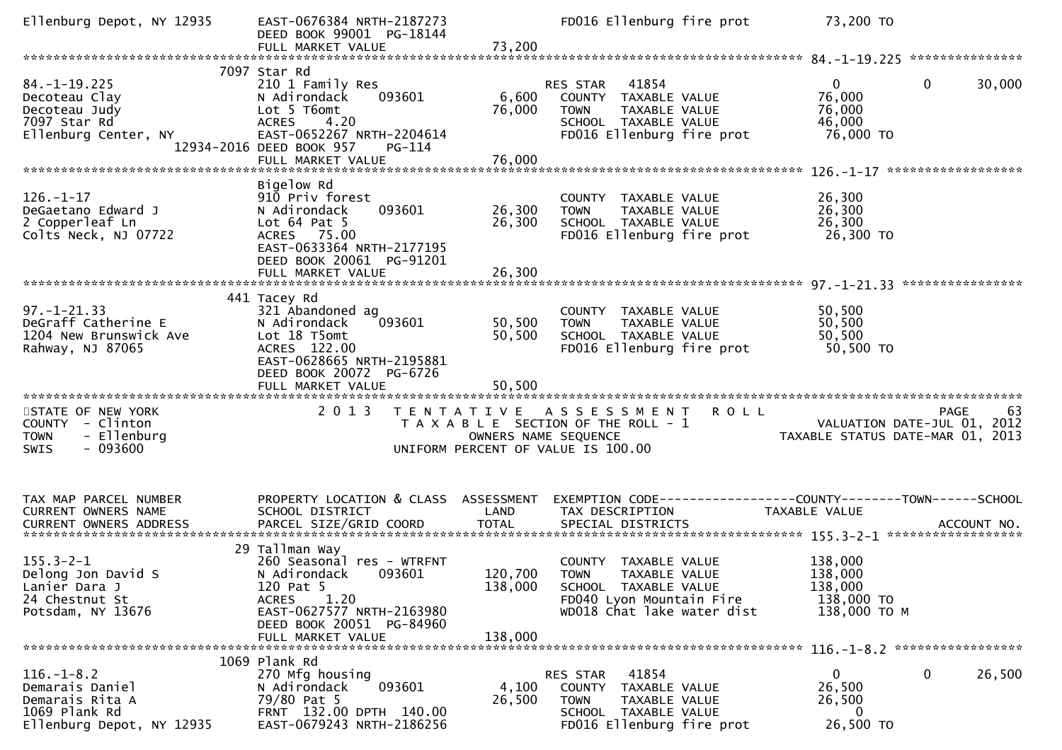| Ellenburg Depot, NY 12935                                                                            | EAST-0676384 NRTH-2187273<br>DEED BOOK 99001 PG-18144                                                                                                                                     |                            | FD016 Ellenburg fire prot                                                                                                             | 73,200 TO                                                   |                                           |
|------------------------------------------------------------------------------------------------------|-------------------------------------------------------------------------------------------------------------------------------------------------------------------------------------------|----------------------------|---------------------------------------------------------------------------------------------------------------------------------------|-------------------------------------------------------------|-------------------------------------------|
|                                                                                                      |                                                                                                                                                                                           |                            |                                                                                                                                       |                                                             |                                           |
| $84. -1 - 19.225$<br>Decoteau Clay<br>Decoteau Judy<br>7097 Star Rd<br>Ellenburg Center, NY          | 7097 Star Rd<br>210 1 Family Res<br>N Adirondack<br>093601<br>Lot 5 T6omt<br><b>ACRES</b><br>4.20<br>EAST-0652267 NRTH-2204614<br>12934-2016 DEED BOOK 957<br>PG-114<br>FULL MARKET VALUE | 6,600<br>76,000<br>76,000  | 41854<br><b>RES STAR</b><br>COUNTY TAXABLE VALUE<br>TAXABLE VALUE<br><b>TOWN</b><br>SCHOOL TAXABLE VALUE<br>FD016 Ellenburg fire prot | $\mathbf{0}$<br>76,000<br>76,000<br>46,000<br>76,000 TO     | $\mathbf 0$<br>30,000                     |
|                                                                                                      |                                                                                                                                                                                           |                            |                                                                                                                                       |                                                             |                                           |
| $126. - 1 - 17$<br>DeGaetano Edward J<br>2 Copperleaf Ln<br>Colts Neck, NJ 07722                     | Bigelow Rd<br>910 Priv forest<br>093601<br>N Adirondack<br>Lot $64$ Pat $5$<br>ACRES 75.00<br>EAST-0633364 NRTH-2177195<br>DEED BOOK 20061 PG-91201                                       | 26,300<br>26,300           | COUNTY TAXABLE VALUE<br>TAXABLE VALUE<br><b>TOWN</b><br>SCHOOL TAXABLE VALUE<br>FD016 Ellenburg fire prot                             | 26,300<br>26,300<br>26,300<br>26,300 TO                     |                                           |
|                                                                                                      |                                                                                                                                                                                           |                            |                                                                                                                                       |                                                             | ****************                          |
| $97. - 1 - 21.33$<br>DeGraff Catherine E<br>1204 New Brunswick Ave<br>Rahway, NJ 87065               | 441 Tacey Rd<br>321 Abandoned ag<br>093601<br>N Adirondack<br>Lot 18 T5omt<br>ACRES 122.00<br>EAST-0628665 NRTH-2195881<br>DEED BOOK 20072 PG-6726<br>FULL MARKET VALUE                   | 50,500<br>50,500<br>50,500 | COUNTY TAXABLE VALUE<br><b>TOWN</b><br>TAXABLE VALUE<br>SCHOOL TAXABLE VALUE<br>FD016 Ellenburg fire prot                             | 50,500<br>50,500<br>50,500<br>50,500 TO                     |                                           |
| STATE OF NEW YORK<br>COUNTY - Clinton<br>- Ellenburg<br><b>TOWN</b><br>$-093600$<br><b>SWIS</b>      | 2 0 1 3                                                                                                                                                                                   | OWNERS NAME SEQUENCE       | TENTATIVE ASSESSMENT<br>T A X A B L E SECTION OF THE ROLL - 1<br>UNIFORM PERCENT OF VALUE IS 100.00                                   | <b>ROLL</b><br>TAXABLE STATUS DATE-MAR 01, 2013             | 63<br>PAGE<br>VALUATION DATE-JUL 01, 2012 |
| TAX MAP PARCEL NUMBER<br>CURRENT OWNERS NAME                                                         | PROPERTY LOCATION & CLASS ASSESSMENT<br>SCHOOL DISTRICT                                                                                                                                   | LAND                       | TAX DESCRIPTION                                                                                                                       | TAXABLE VALUE                                               |                                           |
| $155.3 - 2 - 1$<br>Delong Jon David S<br>Lanier Dara J<br>24 Chestnut St<br>Potsdam, NY 13676        | 29 Tallman Way<br>260 Seasonal res - WTRFNT<br>N Adirondack<br>093601<br>120 Pat 5<br>1.20<br><b>ACRES</b><br>EAST-0627577 NRTH-2163980<br>DEED BOOK 20051 PG-84960<br>FULL MARKET VALUE  | 138,000<br>138,000         | COUNTY TAXABLE VALUE<br>120,700 TOWN TAXABLE VALUE<br>SCHOOL TAXABLE VALUE<br>FD040 Lyon Mountain Fire<br>WD018 Chat lake water dist  | 138,000<br>138,000<br>138,000<br>138,000 TO<br>138,000 TO M |                                           |
|                                                                                                      |                                                                                                                                                                                           |                            |                                                                                                                                       |                                                             |                                           |
| $116. - 1 - 8.2$<br>Demarais Daniel<br>Demarais Rita A<br>1069 Plank Rd<br>Ellenburg Depot, NY 12935 | 1069 Plank Rd<br>270 Mfg housing<br>093601<br>N Adirondack<br>79/80 Pat 5<br>FRNT 132.00 DPTH 140.00<br>EAST-0679243 NRTH-2186256                                                         | 4,100<br>26,500            | 41854<br><b>RES STAR</b><br>COUNTY TAXABLE VALUE<br>TAXABLE VALUE<br><b>TOWN</b><br>SCHOOL TAXABLE VALUE<br>FD016 Ellenburg fire prot | $\overline{0}$<br>26,500<br>26,500<br>0<br>26,500 TO        | $\mathbf 0$<br>26,500                     |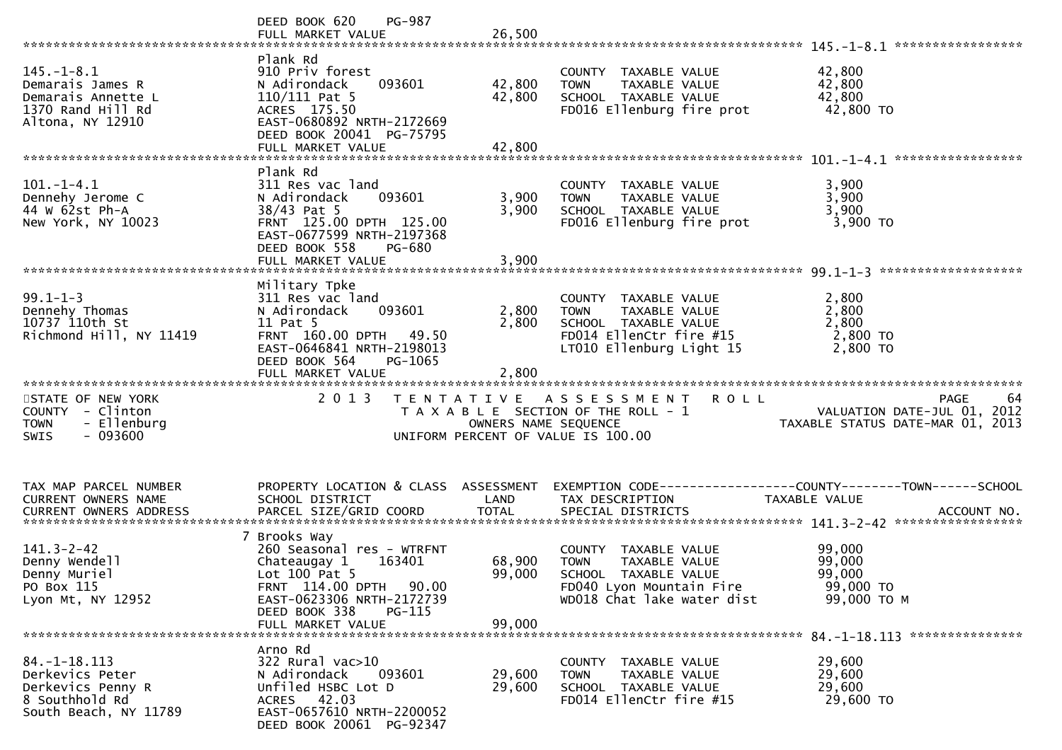|                                                                                                     | DEED BOOK 620<br><b>PG-987</b><br>FULL MARKET VALUE                                                                                                                                           | 26,500                     |                                                                                                                                        | *****************                                                                         |
|-----------------------------------------------------------------------------------------------------|-----------------------------------------------------------------------------------------------------------------------------------------------------------------------------------------------|----------------------------|----------------------------------------------------------------------------------------------------------------------------------------|-------------------------------------------------------------------------------------------|
| $145. - 1 - 8.1$<br>Demarais James R<br>Demarais Annette L<br>1370 Rand Hill Rd<br>Altona, NY 12910 | Plank Rd<br>910 Priv forest<br>093601<br>N Adirondack<br>110/111 Pat 5<br>ACRES 175.50<br>EAST-0680892 NRTH-2172669<br>DEED BOOK 20041 PG-75795<br>FULL MARKET VALUE                          | 42,800<br>42,800<br>42,800 | COUNTY TAXABLE VALUE<br>TAXABLE VALUE<br><b>TOWN</b><br>SCHOOL TAXABLE VALUE<br>FD016 Ellenburg fire prot                              | 42,800<br>42,800<br>42,800<br>42,800 TO                                                   |
| $101. -1 - 4.1$<br>Dennehy Jerome C<br>44 W 62st Ph-A<br>New York, NY 10023                         | Plank Rd<br>311 Res vac land<br>093601<br>N Adirondack<br>38/43 Pat 5<br>FRNT 125.00 DPTH 125.00<br>EAST-0677599 NRTH-2197368<br>DEED BOOK 558<br>PG-680<br>FULL MARKET VALUE                 | 3,900<br>3,900<br>3,900    | COUNTY TAXABLE VALUE<br>TAXABLE VALUE<br><b>TOWN</b><br>SCHOOL TAXABLE VALUE<br>FD016 Ellenburg fire prot                              | 3,900<br>3,900<br>3,900<br>3,900 TO                                                       |
| $99.1 - 1 - 3$<br>Dennehy Thomas<br>10737 110th St<br>Richmond Hill, NY 11419                       | Military Tpke<br>311 Res vac land<br>093601<br>N Adirondack<br>11 Pat 5<br>FRNT 160.00 DPTH 49.50<br>EAST-0646841 NRTH-2198013<br>DEED BOOK 564<br>PG-1065<br>FULL MARKET VALUE               | 2,800<br>2,800<br>2,800    | COUNTY TAXABLE VALUE<br>TAXABLE VALUE<br><b>TOWN</b><br>SCHOOL TAXABLE VALUE<br>FD014 EllenCtr fire #15<br>LT010 Ellenburg Light 15    | 2,800<br>2,800<br>2,800<br>2,800 TO<br>2,800 TO                                           |
| STATE OF NEW YORK<br>COUNTY - Clinton<br>- Ellenburg<br><b>TOWN</b><br>$-093600$<br><b>SWIS</b>     | 2 0 1 3                                                                                                                                                                                       | OWNERS NAME SEQUENCE       | <b>ROLL</b><br>TENTATIVE ASSESSMENT<br>T A X A B L E SECTION OF THE ROLL - 1<br>UNIFORM PERCENT OF VALUE IS 100.00                     | 64<br>PAGE<br>VALUATION DATE-JUL 01, 2012<br>TAXABLE STATUS DATE-MAR 01, 2013             |
| TAX MAP PARCEL NUMBER<br>CURRENT OWNERS NAME                                                        | PROPERTY LOCATION & CLASS ASSESSMENT<br>SCHOOL DISTRICT                                                                                                                                       | LAND                       | TAX DESCRIPTION                                                                                                                        | EXEMPTION CODE------------------COUNTY--------TOWN------SCHOOL<br>TAXABLE VALUE           |
| $141.3 - 2 - 42$<br>Denny Wendell<br>Denny Muriel<br>PO Box 115<br>Lyon Mt, NY 12952                | 7 Brooks Way<br>260 Seasonal res - WTRFNT<br>Chateaugay 1<br>163401<br>Lot $100$ Pat 5<br>FRNT 114.00 DPTH 90.00<br>EAST-0623306 NRTH-2172739<br>DEED BOOK 338<br>PG-115<br>FULL MARKET VALUE | 68,900<br>99,000<br>99,000 | COUNTY TAXABLE VALUE<br>TAXABLE VALUE<br><b>TOWN</b><br>SCHOOL TAXABLE VALUE<br>FD040 Lyon Mountain Fire<br>WD018 Chat lake water dist | 99,000<br>99,000<br>99,000<br>99,000 TO<br>99,000 ТО М<br>84. -1-18. 113 **************** |
| $84. -1 - 18.113$<br>Derkevics Peter<br>Derkevics Penny R                                           | Arno Rd<br>322 Rural vac>10                                                                                                                                                                   | 29,600                     | COUNTY TAXABLE VALUE                                                                                                                   | 29,600<br>29,600                                                                          |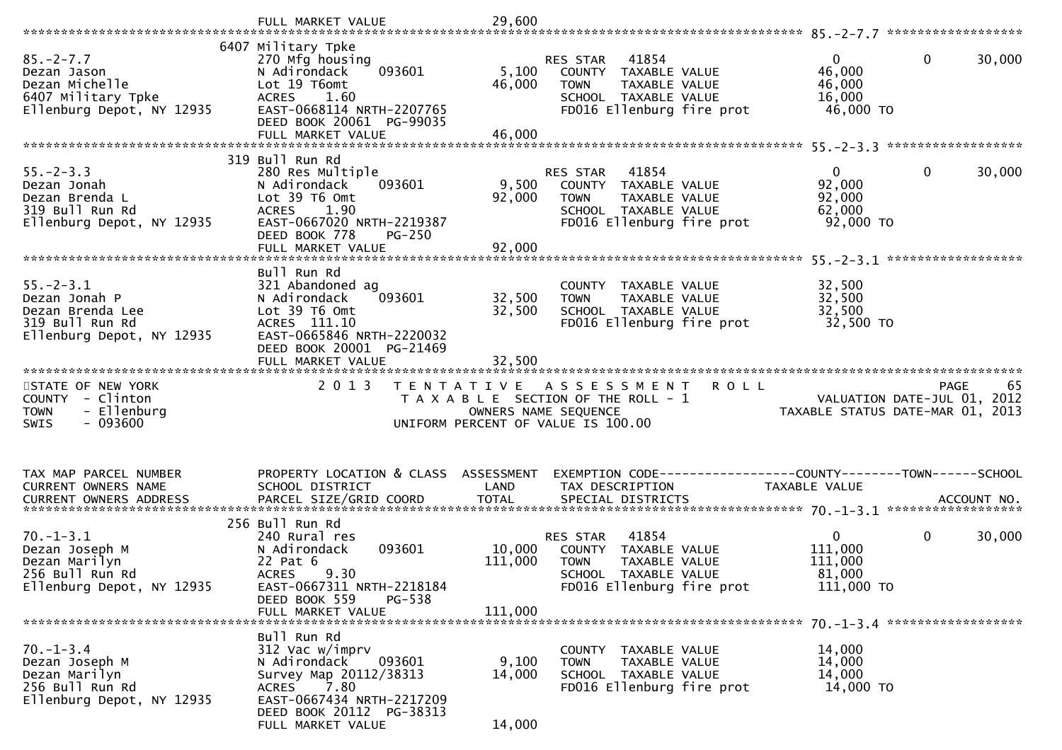|                                                                                                      | FULL MARKET VALUE                                                                                                                                                                 | 29,600                    |                                                                                                                                       |                                                              |                                                  |
|------------------------------------------------------------------------------------------------------|-----------------------------------------------------------------------------------------------------------------------------------------------------------------------------------|---------------------------|---------------------------------------------------------------------------------------------------------------------------------------|--------------------------------------------------------------|--------------------------------------------------|
|                                                                                                      |                                                                                                                                                                                   |                           |                                                                                                                                       |                                                              |                                                  |
| $85. - 2 - 7.7$<br>Dezan Jason<br>Dezan Michelle<br>6407 Military Tpke<br>Ellenburg Depot, NY 12935  | 6407 Military Tpke<br>270 Mfg housing<br>093601<br>N Adirondack<br>Lot 19 T6omt<br><b>ACRES</b><br>1.60<br>EAST-0668114 NRTH-2207765                                              | 5,100<br>46,000           | 41854<br><b>RES STAR</b><br>COUNTY TAXABLE VALUE<br>TAXABLE VALUE<br><b>TOWN</b><br>SCHOOL TAXABLE VALUE<br>FD016 Ellenburg fire prot | $\Omega$<br>46,000<br>46,000<br>16,000<br>46,000 TO          | $\mathbf 0$<br>30,000                            |
|                                                                                                      | DEED BOOK 20061 PG-99035<br>FULL MARKET VALUE                                                                                                                                     | 46,000                    |                                                                                                                                       |                                                              |                                                  |
|                                                                                                      |                                                                                                                                                                                   |                           |                                                                                                                                       |                                                              |                                                  |
| $55. - 2 - 3.3$<br>Dezan Jonah<br>Dezan Brenda L<br>319 Bull Run Rd<br>Ellenburg Depot, NY 12935     | 319 Bull Run Rd<br>280 Res Multiple<br>N Adirondack<br>093601<br>Lot 39 T6 Omt<br>1.90<br><b>ACRES</b><br>EAST-0667020 NRTH-2219387<br>DEED BOOK 778<br>$PG-250$                  | 9,500<br>92,000           | 41854<br>RES STAR<br>COUNTY TAXABLE VALUE<br><b>TOWN</b><br><b>TAXABLE VALUE</b><br>SCHOOL TAXABLE VALUE<br>FD016 Ellenburg fire prot | $\mathbf{0}$<br>92,000<br>92,000<br>62,000<br>92,000 TO      | $\mathbf 0$<br>30,000                            |
|                                                                                                      |                                                                                                                                                                                   |                           |                                                                                                                                       |                                                              |                                                  |
|                                                                                                      |                                                                                                                                                                                   |                           |                                                                                                                                       |                                                              | ******************                               |
| $55. - 2 - 3.1$<br>Dezan Jonah P<br>Dezan Brenda Lee<br>319 Bull Run Rd<br>Ellenburg Depot, NY 12935 | Bull Run Rd<br>321 Abandoned ag<br>N Adirondack<br>093601<br>Lot 39 T6 Omt<br>ACRES 111.10<br>EAST-0665846 NRTH-2220032<br>DEED BOOK 20001 PG-21469                               | 32,500<br>32,500          | COUNTY TAXABLE VALUE<br>TAXABLE VALUE<br><b>TOWN</b><br>SCHOOL TAXABLE VALUE<br>FD016 Ellenburg fire prot                             | 32,500<br>32,500<br>32,500<br>32,500 TO                      |                                                  |
|                                                                                                      | FULL MARKET VALUE                                                                                                                                                                 | 32,500                    |                                                                                                                                       |                                                              |                                                  |
|                                                                                                      |                                                                                                                                                                                   |                           |                                                                                                                                       |                                                              |                                                  |
|                                                                                                      |                                                                                                                                                                                   |                           |                                                                                                                                       |                                                              |                                                  |
| STATE OF NEW YORK<br>COUNTY - Clinton<br>- Ellenburg<br><b>TOWN</b><br>$-093600$<br><b>SWIS</b>      | 2 0 1 3<br>T E N T A T I V E                                                                                                                                                      | OWNERS NAME SEQUENCE      | <b>ROLL</b><br>A S S E S S M E N T<br>T A X A B L E SECTION OF THE ROLL - 1<br>UNIFORM PERCENT OF VALUE IS 100.00                     | TAXABLE STATUS DATE-MAR 01, 2013                             | 65<br><b>PAGE</b><br>VALUATION DATE-JUL 01, 2012 |
| TAX MAP PARCEL NUMBER<br>CURRENT OWNERS NAME                                                         | PROPERTY LOCATION & CLASS<br>SCHOOL DISTRICT                                                                                                                                      | ASSESSMENT<br>LAND        | TAX DESCRIPTION                                                                                                                       | TAXABLE VALUE                                                |                                                  |
|                                                                                                      |                                                                                                                                                                                   |                           |                                                                                                                                       |                                                              | ACCOUNT NO.                                      |
|                                                                                                      |                                                                                                                                                                                   |                           |                                                                                                                                       |                                                              | ******************                               |
| $70. - 1 - 3.1$<br>Dezan Joseph M<br>Dezan Marilyn<br>256 Bull Run Rd<br>Ellenburg Depot, NY 12935   | 256 Bull Run Rd<br>240 Rural res<br>093601<br>N Adirondack<br>22 Pat 6<br>9.30<br><b>ACRES</b><br>EAST-0667311 NRTH-2218184                                                       | 10,000<br>111,000         | 41854<br>RES STAR<br>COUNTY TAXABLE VALUE<br>TAXABLE VALUE<br><b>TOWN</b><br>SCHOOL TAXABLE VALUE<br>FD016 Ellenburg fire prot        | $\overline{0}$<br>111,000<br>111,000<br>81,000<br>111,000 TO | $\mathbf 0$<br>30,000                            |
|                                                                                                      | DEED BOOK 559<br>PG-538                                                                                                                                                           |                           |                                                                                                                                       |                                                              |                                                  |
|                                                                                                      | FULL MARKET VALUE                                                                                                                                                                 | 111,000                   |                                                                                                                                       |                                                              |                                                  |
| $70. - 1 - 3.4$<br>Dezan Joseph M<br>Dezan Marilyn<br>256 Bull Run Rd<br>Ellenburg Depot, NY 12935   | Bull Run Rd<br>312 Vac w/imprv<br>093601<br>N Adirondack<br>Survey Map 20112/38313<br>7.80<br>ACRES<br>EAST-0667434 NRTH-2217209<br>DEED BOOK 20112 PG-38313<br>FULL MARKET VALUE | 9,100<br>14,000<br>14,000 | COUNTY TAXABLE VALUE<br>TAXABLE VALUE<br><b>TOWN</b><br>SCHOOL TAXABLE VALUE<br>FD016 Ellenburg fire prot                             | 14,000<br>14,000<br>14,000<br>14,000 TO                      | 70. -1-3. 4 ********************                 |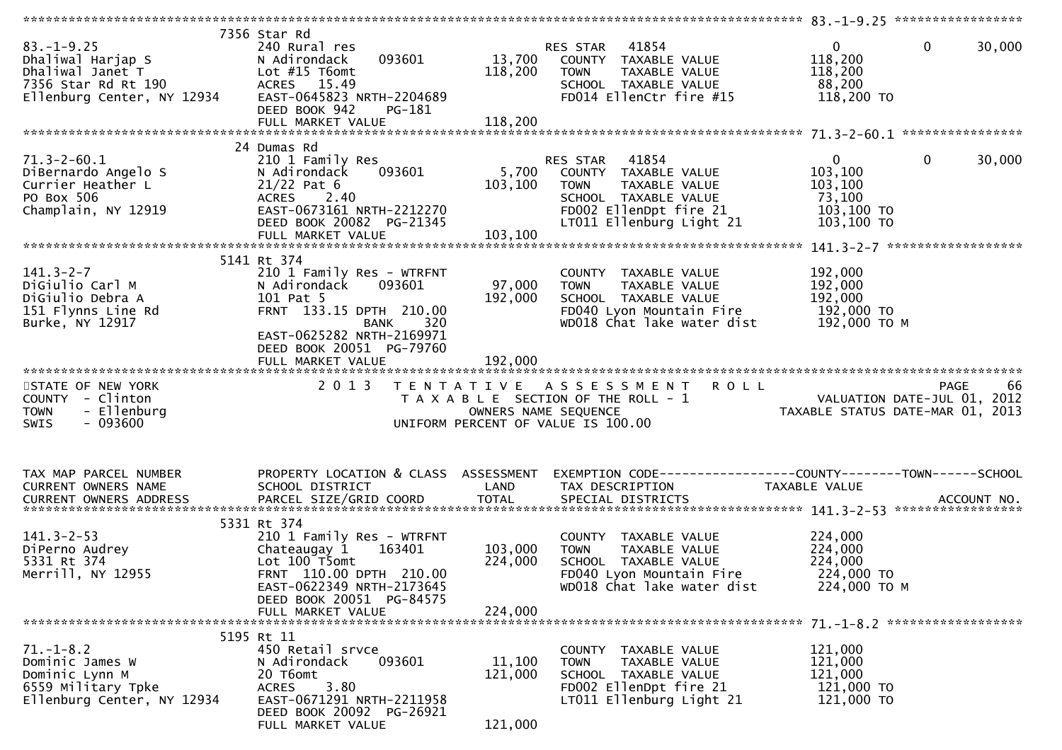| $83. - 1 - 9.25$<br>Dhaliwal Harjap S<br>Dhaliwal Janet T<br>7356 Star Rd Rt 190 | 7356 Star Rd<br>240 Rural res<br>093601<br>N Adirondack<br>Lot $#15$ T $6$ omt<br>ACRES 15.49 | 13,700<br>118,200    | 41854<br>RES STAR<br>COUNTY TAXABLE VALUE<br>TAXABLE VALUE<br><b>TOWN</b><br>SCHOOL TAXABLE VALUE | $\mathbf{0}$<br>$\mathbf 0$<br>118,200<br>118,200<br>88,200 | 30,000            |
|----------------------------------------------------------------------------------|-----------------------------------------------------------------------------------------------|----------------------|---------------------------------------------------------------------------------------------------|-------------------------------------------------------------|-------------------|
| Ellenburg Center, NY 12934                                                       | EAST-0645823 NRTH-2204689<br>DEED BOOK 942<br>PG-181                                          |                      | FD014 EllenCtr fire #15                                                                           | 118,200 TO                                                  |                   |
|                                                                                  |                                                                                               |                      |                                                                                                   |                                                             |                   |
|                                                                                  | 24 Dumas Rd                                                                                   |                      |                                                                                                   |                                                             |                   |
| $71.3 - 2 - 60.1$<br>DiBernardo Angelo S                                         | 210 1 Family Res                                                                              |                      | RES STAR 41854                                                                                    | $\mathbf{0}$<br>$\mathbf{0}$                                | 30,000            |
| Currier Heather L                                                                | N Adirondack<br>093601<br>$21/22$ Pat 6                                                       | 5,700<br>103,100     | COUNTY TAXABLE VALUE<br>TAXABLE VALUE<br><b>TOWN</b>                                              | 103,100<br>103,100                                          |                   |
| PO Box 506                                                                       | <b>ACRES</b><br>2.40                                                                          |                      | SCHOOL TAXABLE VALUE                                                                              | 73,100                                                      |                   |
| Champlain, NY 12919                                                              | EAST-0673161 NRTH-2212270                                                                     |                      | FD002 EllenDpt fire 21                                                                            | 103,100 TO                                                  |                   |
|                                                                                  | DEED BOOK 20082 PG-21345<br>FULL MARKET VALUE                                                 | 103,100              | LT011 Ellenburg Light 21                                                                          | 103,100 TO                                                  |                   |
|                                                                                  |                                                                                               |                      |                                                                                                   |                                                             |                   |
|                                                                                  | 5141 Rt 374                                                                                   |                      |                                                                                                   |                                                             |                   |
| $141.3 - 2 - 7$<br>DiGiulio Carl M                                               | 210 1 Family Res - WTRFNT                                                                     |                      | COUNTY TAXABLE VALUE                                                                              | 192,000                                                     |                   |
| DiGiulio Debra A                                                                 | N Adirondack<br>093601<br>101 Pat 5                                                           | 97,000<br>192,000    | TAXABLE VALUE<br><b>TOWN</b><br>SCHOOL TAXABLE VALUE                                              | 192,000<br>192,000                                          |                   |
| 151 Flynns Line Rd                                                               | FRNT 133.15 DPTH 210.00                                                                       |                      | FD040 Lyon Mountain Fire                                                                          | 192,000 TO                                                  |                   |
| Burke, NY 12917                                                                  | 320<br>BANK                                                                                   |                      | WD018 Chat lake water dist                                                                        | 192,000 ТО М                                                |                   |
|                                                                                  | EAST-0625282 NRTH-2169971<br>DEED BOOK 20051 PG-79760                                         |                      |                                                                                                   |                                                             |                   |
|                                                                                  |                                                                                               |                      |                                                                                                   |                                                             |                   |
|                                                                                  |                                                                                               |                      |                                                                                                   |                                                             |                   |
|                                                                                  |                                                                                               |                      |                                                                                                   |                                                             |                   |
| STATE OF NEW YORK                                                                | 2 0 1 3                                                                                       |                      | TENTATIVE ASSESSMENT ROLL                                                                         |                                                             | 66<br><b>PAGE</b> |
| COUNTY - Clinton                                                                 |                                                                                               |                      | T A X A B L E SECTION OF THE ROLL - 1                                                             | VALUATION DATE-JUL 01, 2012                                 |                   |
| - Ellenburg<br><b>TOWN</b><br>$-093600$<br><b>SWIS</b>                           |                                                                                               | OWNERS NAME SEQUENCE | UNIFORM PERCENT OF VALUE IS 100.00                                                                | TAXABLE STATUS DATE-MAR 01, 2013                            |                   |
|                                                                                  |                                                                                               |                      |                                                                                                   |                                                             |                   |
|                                                                                  |                                                                                               |                      |                                                                                                   |                                                             |                   |
| TAX MAP PARCEL NUMBER                                                            | PROPERTY LOCATION & CLASS ASSESSMENT                                                          |                      | EXEMPTION CODE------------------COUNTY--------TOWN------SCHOOL                                    |                                                             |                   |
| CURRENT OWNERS NAME                                                              | SCHOOL DISTRICT                                                                               | LAND                 | TAX DESCRIPTION                                                                                   | TAXABLE VALUE                                               |                   |
|                                                                                  |                                                                                               |                      |                                                                                                   |                                                             |                   |
|                                                                                  | 5331 Rt 374                                                                                   |                      |                                                                                                   |                                                             |                   |
| $141.3 - 2 - 53$                                                                 | 210 1 Family Res - WTRFNT                                                                     |                      | COUNTY TAXABLE VALUE                                                                              | 224,000                                                     |                   |
| DiPerno Audrey                                                                   | 163401<br>Chateaugay 1                                                                        | 103,000              | TAXABLE VALUE<br><b>TOWN</b>                                                                      | 224,000                                                     |                   |
| 5331 Rt 374<br>Merrill, NY 12955                                                 | Lot 100 T5omt<br>FRNT 110.00 DPTH 210.00                                                      | 224,000              | SCHOOL TAXABLE VALUE<br>FD040 Lyon Mountain Fire                                                  | 224,000<br>224,000 TO                                       |                   |
|                                                                                  | EAST-0622349 NRTH-2173645                                                                     |                      | WD018 Chat lake water dist                                                                        | 224,000 TO M                                                |                   |
|                                                                                  | DEED BOOK 20051 PG-84575                                                                      |                      |                                                                                                   |                                                             |                   |
|                                                                                  | FULL MARKET VALUE                                                                             | 224,000              |                                                                                                   |                                                             |                   |
|                                                                                  | 5195 Rt 11                                                                                    |                      |                                                                                                   |                                                             |                   |
| $71. - 1 - 8.2$                                                                  | 450 Retail srvce                                                                              |                      | COUNTY TAXABLE VALUE                                                                              | 121,000                                                     |                   |
| Dominic James W                                                                  | 093601<br>N Adirondack                                                                        | 11,100               | TAXABLE VALUE<br><b>TOWN</b>                                                                      | 121,000                                                     |                   |
| Dominic Lynn M<br>6559 Military Tpke                                             | 20 T6omt<br>3.80<br><b>ACRES</b>                                                              | 121,000              | SCHOOL TAXABLE VALUE<br>FD002 EllenDpt fire 21                                                    | 121,000<br>121,000 TO                                       |                   |
| Ellenburg Center, NY 12934                                                       | EAST-0671291 NRTH-2211958                                                                     |                      | LT011 Ellenburg Light 21                                                                          | 121,000 TO                                                  |                   |
|                                                                                  | DEED BOOK 20092 PG-26921<br>FULL MARKET VALUE                                                 | 121,000              |                                                                                                   |                                                             |                   |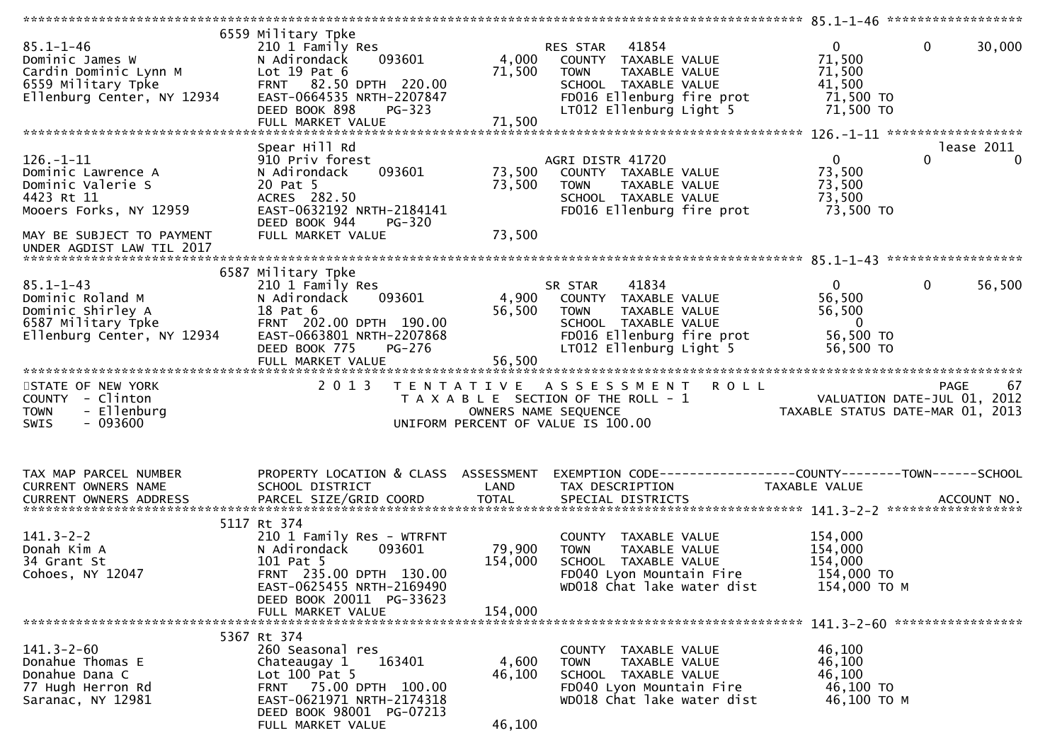| $85.1 - 1 - 46$<br>Dominic James W<br>Cardin Dominic Lynn M<br>6559 Military Tpke<br>Ellenburg Center, NY 12934                                              | 6559 Military Tpke<br>210 1 Family Res<br>093601<br>N Adirondack<br>Lot $19$ Pat $6$<br>FRNT 82.50 DPTH 220.00<br>EAST-0664535 NRTH-2207847<br>DEED BOOK 898<br>PG-323<br>FULL MARKET VALUE | 4,000<br>71,500<br>71,500    | 41854<br>RES STAR<br>COUNTY TAXABLE VALUE<br>TAXABLE VALUE<br><b>TOWN</b><br>SCHOOL TAXABLE VALUE<br>FD016 Ellenburg fire prot<br>LT012 Ellenburg Light 5 | $\mathbf{0}$<br>$\mathbf 0$<br>30,000<br>71,500<br>71,500<br>41,500<br>71,500 TO<br>71,500 TO            |
|--------------------------------------------------------------------------------------------------------------------------------------------------------------|---------------------------------------------------------------------------------------------------------------------------------------------------------------------------------------------|------------------------------|-----------------------------------------------------------------------------------------------------------------------------------------------------------|----------------------------------------------------------------------------------------------------------|
|                                                                                                                                                              |                                                                                                                                                                                             |                              |                                                                                                                                                           |                                                                                                          |
| $126. - 1 - 11$<br>Dominic Lawrence A<br>Dominic Valerie S<br>4423 Rt 11<br>Mooers Forks, NY 12959<br>MAY BE SUBJECT TO PAYMENT<br>UNDER AGDIST LAW TIL 2017 | Spear Hill Rd<br>910 Priv forest<br>093601<br>N Adirondack<br>20 Pat 5<br>ACRES 282.50<br>EAST-0632192 NRTH-2184141<br>DEED BOOK 944<br><b>PG-320</b><br>FULL MARKET VALUE                  | 73,500<br>73,500<br>73,500   | AGRI DISTR 41720<br>COUNTY TAXABLE VALUE<br>TAXABLE VALUE<br><b>TOWN</b><br>SCHOOL TAXABLE VALUE<br>FD016 Ellenburg fire prot                             | lease 2011<br>$\mathbf{0}$<br>$\mathbf{0}$<br>$\Omega$<br>73,500<br>73,500<br>73,500<br>73,500 TO        |
|                                                                                                                                                              |                                                                                                                                                                                             |                              |                                                                                                                                                           |                                                                                                          |
| $85.1 - 1 - 43$<br>Dominic Roland M<br>Dominic Shirley A<br>6587 Military Tpke<br>Ellenburg Center, NY 12934                                                 | 6587 Military Tpke<br>210 1 Family Res<br>N Adirondack<br>093601<br>18 Pat 6<br>FRNT 202.00 DPTH 190.00<br>EAST-0663801 NRTH-2207868<br>DEED BOOK 775<br>PG-276<br>FULL MARKET VALUE        | 4,900<br>56,500<br>56,500    | 41834<br>SR STAR<br>COUNTY TAXABLE VALUE<br><b>TOWN</b><br>TAXABLE VALUE<br>SCHOOL TAXABLE VALUE<br>FD016 Ellenburg fire prot<br>LT012 Ellenburg Light 5  | $\mathbf{0}$<br>56,500<br>$\overline{0}$<br>56,500<br>56,500<br>$\overline{0}$<br>56,500 TO<br>56,500 TO |
|                                                                                                                                                              |                                                                                                                                                                                             |                              |                                                                                                                                                           |                                                                                                          |
| STATE OF NEW YORK<br>COUNTY - Clinton<br>- Ellenburg<br><b>TOWN</b><br>$-093600$<br><b>SWIS</b>                                                              | 2 0 1 3                                                                                                                                                                                     | OWNERS NAME SEQUENCE         | TENTATIVE ASSESSMENT ROLL<br>T A X A B L E SECTION OF THE ROLL - 1<br>UNIFORM PERCENT OF VALUE IS 100.00                                                  | 67<br>PAGE<br>VALUATION DATE-JUL 01, 2012<br>TAXABLE STATUS DATE-MAR 01, 2013                            |
| TAX MAP PARCEL NUMBER<br>CURRENT OWNERS NAME                                                                                                                 | PROPERTY LOCATION & CLASS ASSESSMENT<br>SCHOOL DISTRICT                                                                                                                                     | LAND                         | TAX DESCRIPTION                                                                                                                                           | EXEMPTION CODE------------------COUNTY--------TOWN------SCHOOL<br>TAXABLE VALUE                          |
| $141.3 - 2 - 2$<br>Donah Kim A<br>34 Grant St<br>Cohoes, NY 12047                                                                                            | 5117 Rt 374<br>210 1 Family Res - WTRFNT<br>093601<br>N Adirondack<br>101 Pat 5<br>FRNT 235.00 DPTH 130.00<br>EAST-0625455 NRTH-2169490<br>DEED BOOK 20011 PG-33623<br>FULL MARKET VALUE    | 79,900<br>154,000<br>154,000 | COUNTY TAXABLE VALUE<br><b>TOWN</b><br>TAXABLE VALUE<br>SCHOOL TAXABLE VALUE<br>FD040 Lyon Mountain Fire<br>WD018 Chat lake water dist                    | 154,000<br>154,000<br>154,000<br>154,000 TO<br>154,000 ТО М                                              |
|                                                                                                                                                              |                                                                                                                                                                                             |                              |                                                                                                                                                           |                                                                                                          |
| $141.3 - 2 - 60$<br>Donahue Thomas E<br>Donahue Dana C<br>77 Hugh Herron Rd<br>Saranac, NY 12981                                                             | 5367 Rt 374<br>260 Seasonal res<br>163401<br>Chateaugay 1<br>Lot $100$ Pat 5<br>FRNT 75.00 DPTH 100.00<br>EAST-0621971 NRTH-2174318<br>DEED BOOK 98001 PG-07213<br>FULL MARKET VALUE        | 4,600<br>46,100<br>46,100    | COUNTY TAXABLE VALUE<br>TAXABLE VALUE<br><b>TOWN</b><br>SCHOOL TAXABLE VALUE<br>FD040 Lyon Mountain Fire<br>WD018 Chat lake water dist                    | 46,100<br>46,100<br>46,100<br>46,100 TO<br>46,100 TO M                                                   |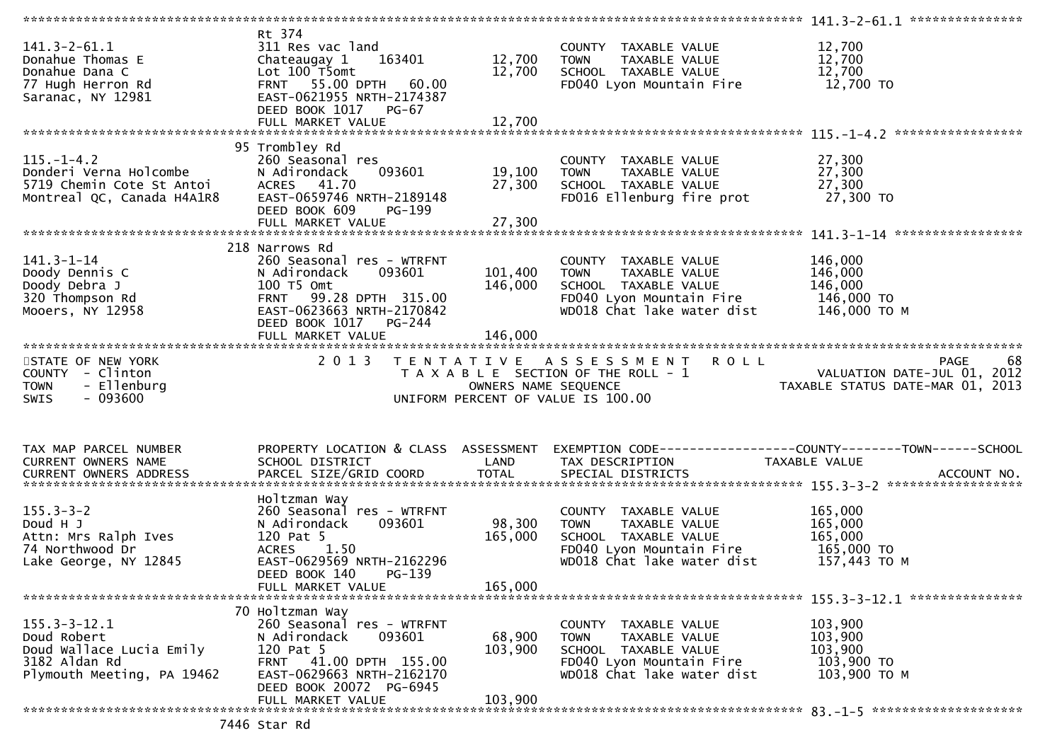| $141.3 - 2 - 61.1$<br>Donahue Thomas E<br>Donahue Dana C<br>77 Hugh Herron Rd<br>Saranac, NY 12981           | Rt 374<br>311 Res vac land<br>163401<br>Chateaugay 1<br>Lot 100 T5omt<br>FRNT 55.00 DPTH<br>60.00<br>EAST-0621955 NRTH-2174387<br>DEED BOOK 1017 PG-67<br>FULL MARKET VALUE | 12,700<br>12,700<br>12,700   | COUNTY TAXABLE VALUE<br><b>TOWN</b><br>TAXABLE VALUE<br>SCHOOL TAXABLE VALUE<br>FD040 Lyon Mountain Fire                                          | 12,700<br>12,700<br>12,700<br>12,700 TO                                                                             |
|--------------------------------------------------------------------------------------------------------------|-----------------------------------------------------------------------------------------------------------------------------------------------------------------------------|------------------------------|---------------------------------------------------------------------------------------------------------------------------------------------------|---------------------------------------------------------------------------------------------------------------------|
|                                                                                                              |                                                                                                                                                                             |                              |                                                                                                                                                   |                                                                                                                     |
| $115. - 1 - 4.2$<br>Donderi Verna Holcombe<br>5719 Chemin Cote St Antoi<br>Montreal QC, Canada H4A1R8        | 95 Trombley Rd<br>260 Seasonal res<br>N Adirondack<br>093601<br>ACRES 41.70<br>EAST-0659746 NRTH-2189148<br>DEED BOOK 609<br>PG-199                                         | 19,100<br>27,300             | COUNTY TAXABLE VALUE<br>TAXABLE VALUE<br><b>TOWN</b><br>SCHOOL TAXABLE VALUE<br>FD016 Ellenburg fire prot                                         | 27,300<br>27,300<br>27,300<br>27,300 TO                                                                             |
|                                                                                                              |                                                                                                                                                                             |                              |                                                                                                                                                   |                                                                                                                     |
| $141.3 - 1 - 14$<br>Doody Dennis C<br>Doody Debra J<br>320 Thompson Rd<br>Mooers, NY 12958                   | 218 Narrows Rd<br>260 Seasonal res - WTRFNT<br>N Adirondack<br>093601<br>100 T5 Omt<br>FRNT 99.28 DPTH 315.00<br>EAST-0623663 NRTH-2170842<br>DEED BOOK 1017 PG-244         | 101,400<br>146,000           | COUNTY TAXABLE VALUE<br><b>TOWN</b><br>TAXABLE VALUE<br>SCHOOL TAXABLE VALUE<br>FD040 Lyon Mountain Fire 146,000 TO<br>WD018 Chat lake water dist | 146,000<br>146,000<br>146,000<br>146,000 то м                                                                       |
|                                                                                                              | FULL MARKET VALUE                                                                                                                                                           | 146,000                      |                                                                                                                                                   |                                                                                                                     |
|                                                                                                              |                                                                                                                                                                             |                              |                                                                                                                                                   |                                                                                                                     |
| STATE OF NEW YORK<br>COUNTY - Clinton<br>- Ellenburg<br><b>TOWN</b><br>$-093600$<br>SWIS                     | 2 0 1 3                                                                                                                                                                     | OWNERS NAME SEQUENCE         | TENTATIVE ASSESSMENT ROLL<br>T A X A B L E SECTION OF THE ROLL - 1<br>UNIFORM PERCENT OF VALUE IS 100.00                                          | <b>PAGE</b><br>68<br>VALUATION DATE-JUL 01, 2012<br>VALUATION DATE-JUL 01, 2012<br>TAXABLE STATUS DATE-MAR 01, 2013 |
| TAX MAP PARCEL NUMBER<br>CURRENT OWNERS NAME                                                                 | PROPERTY LOCATION & CLASS ASSESSMENT<br>SCHOOL DISTRICT                                                                                                                     | LAND                         | TAX DESCRIPTION                                                                                                                                   | EXEMPTION CODE-----------------COUNTY--------TOWN------SCHOOL<br>TAXABLE VALUE                                      |
| $155.3 - 3 - 2$<br>Doud H J<br>Attn: Mrs Ralph Ives<br>74 Northwood Dr<br>Lake George, NY 12845              | Holtzman Way<br>260 Seasonal res - WTRFNT<br>N Adirondack<br>093601<br>120 Pat 5<br>ACRES 1.50<br>EAST-0629569 NRTH-2162296<br>PG-139<br>DEED BOOK 140                      | 98,300<br>165,000<br>165,000 | COUNTY TAXABLE VALUE<br>TAXABLE VALUE<br><b>TOWN</b><br>SCHOOL TAXABLE VALUE<br>FD040 Lyon Mountain Fire<br>WD018 Chat lake water dist            | 165,000<br>165,000<br>165,000<br>165,000 TO<br>157,443 ТО М                                                         |
|                                                                                                              | FULL MARKET VALUE                                                                                                                                                           |                              |                                                                                                                                                   |                                                                                                                     |
| $155.3 - 3 - 12.1$<br>Doud Robert<br>Doud Wallace Lucia Emily<br>3182 Aldan Rd<br>Plymouth Meeting, PA 19462 | 70 Holtzman Way<br>260 Seasonal res - WTRFNT<br>N Adirondack<br>093601<br>120 Pat 5<br>FRNT 41.00 DPTH 155.00<br>EAST-0629663 NRTH-2162170<br>DEED BOOK 20072 PG-6945       | 68,900<br>103,900            | COUNTY TAXABLE VALUE<br>TOWN<br>TAXABLE VALUE<br>SCHOOL TAXABLE VALUE<br>FD040 Lyon Mountain Fire<br>WD018 Chat lake water dist                   | 103,900<br>103,900<br>103,900<br>103,900 TO<br>103,900 ТО М                                                         |
|                                                                                                              | FULL MARKET VALUE                                                                                                                                                           | 103,900                      |                                                                                                                                                   |                                                                                                                     |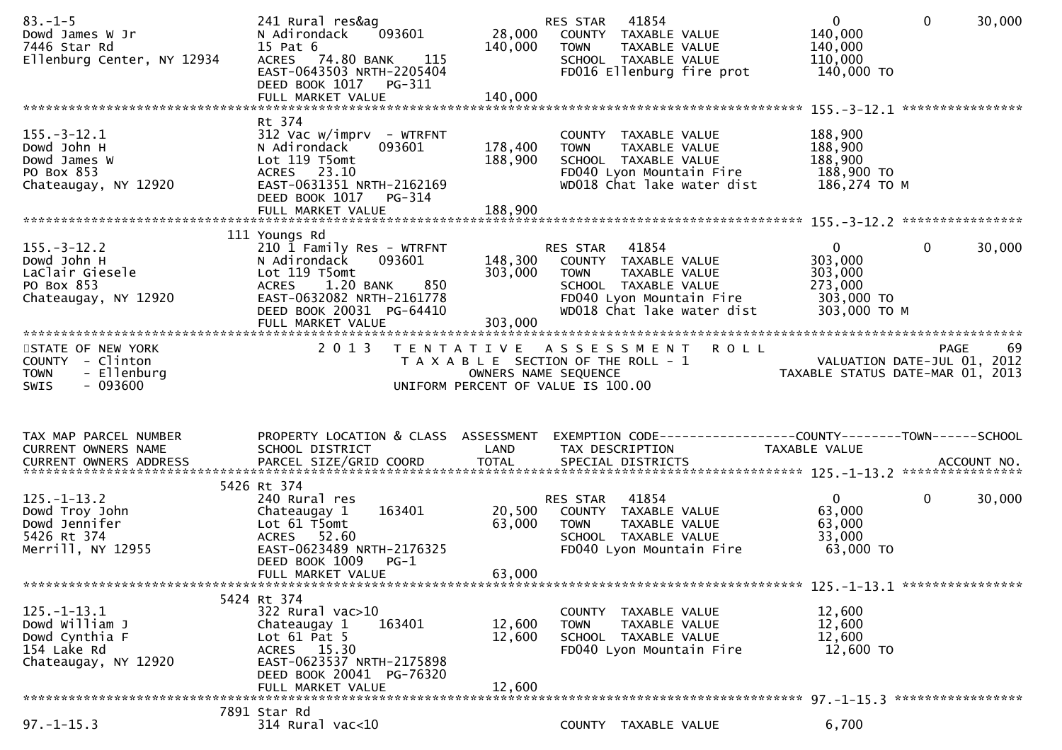| $83. - 1 - 5$<br>Dowd James W Jr<br>7446 Star Rd<br>Ellenburg Center, NY 12934                          | 241 Rural res&ag<br>N Adirondack<br>093601<br>15 Pat 6<br>ACRES 74.80 BANK 115<br>EAST-0643503 NRTH-2205404<br>DEED BOOK 1017 PG-311                                                          | 28,000<br>140,000          | RES STAR<br>41854<br>COUNTY TAXABLE VALUE<br><b>TOWN</b><br>TAXABLE VALUE<br>SCHOOL TAXABLE VALUE<br>FD016 Ellenburg fire prot                                   | $\mathbf{0}$<br>140,000<br>140,000<br>110,000<br>140,000 TO                   | $\mathbf 0$  | 30,000 |
|---------------------------------------------------------------------------------------------------------|-----------------------------------------------------------------------------------------------------------------------------------------------------------------------------------------------|----------------------------|------------------------------------------------------------------------------------------------------------------------------------------------------------------|-------------------------------------------------------------------------------|--------------|--------|
|                                                                                                         |                                                                                                                                                                                               |                            |                                                                                                                                                                  |                                                                               |              |        |
| $155. - 3 - 12.1$<br>Dowd John H<br>Dowd James W<br>PO Box 853<br>Chateaugay, NY 12920                  | Rt 374<br>$312$ Vac w/imprv - WTRFNT<br>N Adirondack<br>093601<br>Lot 119 T5omt<br>ACRES 23.10<br>EAST-0631351 NRTH-2162169<br>DEED BOOK 1017<br>PG-314                                       | 178,400<br>188,900         | COUNTY TAXABLE VALUE<br>TAXABLE VALUE<br>TOWN<br>SCHOOL TAXABLE VALUE<br>FD040 Lyon Mountain Fire<br>WD018 Chat lake water dist                                  | 188,900<br>188,900<br>188,900<br>188,900 TO<br>186,274 ТО М                   |              |        |
|                                                                                                         |                                                                                                                                                                                               |                            |                                                                                                                                                                  |                                                                               |              |        |
| $155. - 3 - 12.2$<br>Dowd John H<br>LaClair Giesele<br>PO Box 853<br>Chateaugay, NY 12920               | 111 Youngs Rd<br>210 1 Family Res - WTRFNT<br>093601<br>N Adirondack<br>Lot 119 T5omt<br>850<br>ACRES 1.20 BANK<br>EAST-0632082 NRTH-2161778<br>DEED BOOK 20031 PG-64410<br>FULL MARKET VALUE | 303,000<br>303,000         | RES STAR 41854<br>148,300 COUNTY TAXABLE VALUE<br><b>TOWN</b><br>TAXABLE VALUE<br>SCHOOL TAXABLE VALUE<br>FD040 Lyon Mountain Fire<br>WD018 Chat lake water dist | $\overline{0}$<br>303,000<br>303,000<br>273,000<br>303,000 TO<br>303,000 TO M | $\mathbf{0}$ | 30,000 |
| STATE OF NEW YORK<br>COUNTY - Clinton                                                                   | 2 0 1 3                                                                                                                                                                                       |                            | TENTATIVE ASSESSMENT ROLL<br>T A X A B L E SECTION OF THE ROLL - 1<br>OWNERS NAME SEQUENCE TAXAB                                                                 | VALUATION DATE-JUL 01, 2012                                                   | PAGE         | 69     |
|                                                                                                         |                                                                                                                                                                                               |                            |                                                                                                                                                                  |                                                                               |              |        |
| - Ellenburg<br><b>TOWN</b><br>$-093600$<br>SWIS                                                         |                                                                                                                                                                                               |                            | UNIFORM PERCENT OF VALUE IS 100.00                                                                                                                               | TAXABLE STATUS DATE-MAR 01, 2013                                              |              |        |
|                                                                                                         |                                                                                                                                                                                               |                            |                                                                                                                                                                  |                                                                               |              |        |
| TAX MAP PARCEL NUMBER<br>CURRENT OWNERS NAME                                                            | SCHOOL DISTRICT                                                                                                                                                                               | LAND                       | PROPERTY LOCATION & CLASS ASSESSMENT EXEMPTION CODE----------------COUNTY-------TOWN------SCHOOL<br>TAX DESCRIPTION                                              | TAXABLE VALUE                                                                 |              |        |
|                                                                                                         |                                                                                                                                                                                               |                            |                                                                                                                                                                  |                                                                               |              |        |
| $125. - 1 - 13.2$<br>125.-1-13.2<br>Dowd Troy John<br>Dowd Jennifer<br>5426 Rt 374<br>Merrill, NY 12955 | 5426 Rt 374<br>240 Rural res<br>163401<br>Chateaugay 1<br>Lot $61$ T5omt<br>ACRES 52.60<br>EAST-0623489 NRTH-2176325<br>DEED BOOK 1009<br>$PG-1$                                              | 20,500<br>63,000           | RES STAR<br>41854<br>COUNTY TAXABLE VALUE<br><b>TOWN</b><br>TAXABLE VALUE<br>SCHOOL TAXABLE VALUE<br>FD040 Lyon Mountain Fire                                    | $\mathbf{0}$<br>63,000<br>63,000<br>33,000<br>63,000 TO                       | $\mathbf 0$  | 30,000 |
|                                                                                                         | FULL MARKET VALUE                                                                                                                                                                             | 63,000                     |                                                                                                                                                                  |                                                                               |              |        |
| $125. - 1 - 13.1$<br>Dowd William J<br>Dowd Cynthia F<br>154 Lake Rd<br>Chateaugay, NY 12920            | 5424 Rt 374<br>322 Rural vac>10<br>Chateaugay 1<br>163401<br>Lot $61$ Pat $5$<br>ACRES 15.30<br>EAST-0623537 NRTH-2175898<br>DEED BOOK 20041 PG-76320<br>FULL MARKET VALUE                    | 12,600<br>12,600<br>12,600 | COUNTY TAXABLE VALUE<br>TAXABLE VALUE<br><b>TOWN</b><br>SCHOOL TAXABLE VALUE<br>FD040 Lyon Mountain Fire                                                         | 12,600<br>12,600<br>12,600<br>12,600 TO                                       |              |        |
|                                                                                                         | 7891 Star Rd                                                                                                                                                                                  |                            |                                                                                                                                                                  |                                                                               |              |        |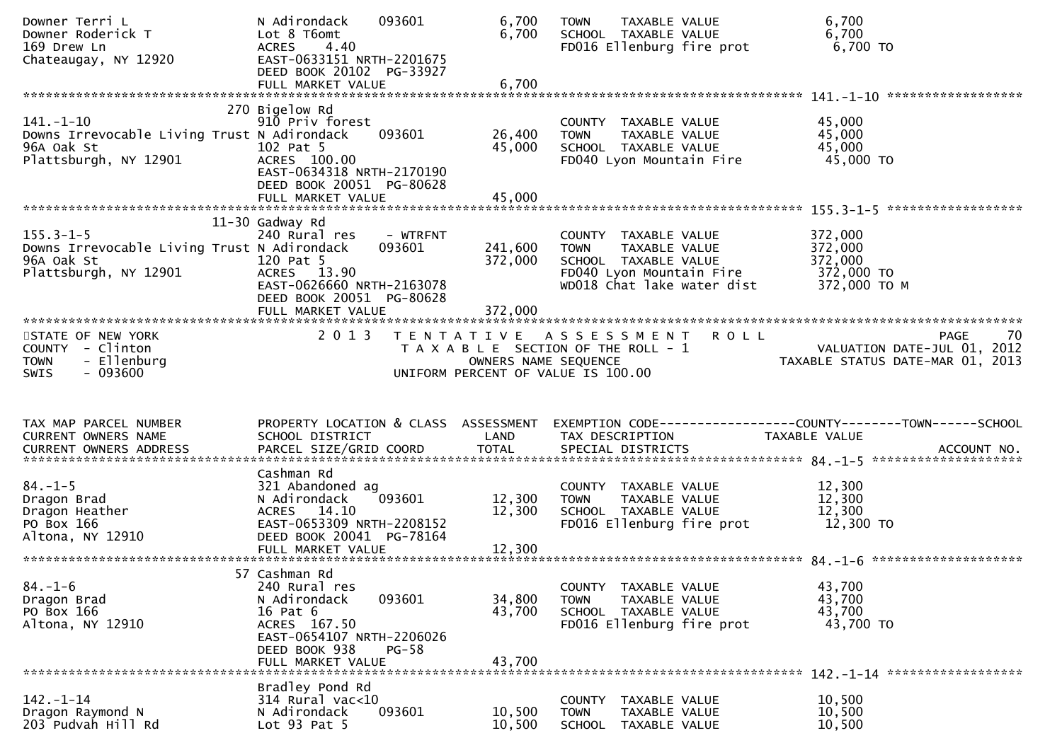| Downer Roderick T<br>169 Drew Ln<br>Chateaugay, NY 12920                                              | N Adirondack<br>093601<br>Lot 8 T6omt<br><b>ACRES</b><br>4.40<br>EAST-0633151 NRTH-2201675<br>DEED BOOK 20102 PG-33927<br>FULL MARKET VALUE                        | 6,700<br>6,700<br>6,700    | TAXABLE VALUE<br><b>TOWN</b><br>SCHOOL TAXABLE VALUE<br>FD016 Ellenburg fire prot                                                      | 6,700<br>6,700<br>6,700 TO                                                      |
|-------------------------------------------------------------------------------------------------------|--------------------------------------------------------------------------------------------------------------------------------------------------------------------|----------------------------|----------------------------------------------------------------------------------------------------------------------------------------|---------------------------------------------------------------------------------|
|                                                                                                       |                                                                                                                                                                    |                            |                                                                                                                                        |                                                                                 |
|                                                                                                       | 270 Bigelow Rd                                                                                                                                                     |                            |                                                                                                                                        |                                                                                 |
| $141. - 1 - 10$<br>Downs Irrevocable Living Trust N Adirondack<br>96A Oak St<br>Plattsburgh, NY 12901 | 910 Priv forest<br>093601<br>102 Pat 5<br>ACRES 100.00<br>EAST-0634318 NRTH-2170190<br>DEED BOOK 20051 PG-80628<br>FULL MARKET VALUE                               | 26,400<br>45,000<br>45,000 | COUNTY TAXABLE VALUE<br><b>TOWN</b><br>TAXABLE VALUE<br>SCHOOL TAXABLE VALUE<br>FD040 Lyon Mountain Fire                               | 45,000<br>45,000<br>45,000<br>45,000 TO                                         |
|                                                                                                       |                                                                                                                                                                    |                            |                                                                                                                                        |                                                                                 |
| $155.3 - 1 - 5$<br>Downs Irrevocable Living Trust N Adirondack<br>96A Oak St<br>Plattsburgh, NY 12901 | 11-30 Gadway Rd<br>240 Rural res<br>- WTRFNT<br>093601<br>120 Pat 5<br>ACRES 13.90<br>EAST-0626660 NRTH-2163078<br>DEED BOOK 20051 PG-80628                        | 241,600<br>372,000         | COUNTY TAXABLE VALUE<br><b>TOWN</b><br>TAXABLE VALUE<br>SCHOOL TAXABLE VALUE<br>FD040 Lyon Mountain Fire<br>WD018 Chat lake water dist | 372,000<br>372,000<br>372,000<br>372,000 TO<br>372,000 TO M                     |
|                                                                                                       |                                                                                                                                                                    |                            |                                                                                                                                        |                                                                                 |
|                                                                                                       |                                                                                                                                                                    |                            |                                                                                                                                        |                                                                                 |
| STATE OF NEW YORK<br>COUNTY - Clinton<br>- Ellenburg<br><b>TOWN</b><br>$-093600$<br><b>SWIS</b>       | 2 0 1 3                                                                                                                                                            | OWNERS NAME SEQUENCE       | TENTATIVE ASSESSMENT ROLL<br>T A X A B L E SECTION OF THE ROLL - 1<br>UNIFORM PERCENT OF VALUE IS 100.00                               | PAGE<br>70<br>VALUATION DATE-JUL 01, 2012<br>TAXABLE STATUS DATE-MAR 01, 2013   |
|                                                                                                       |                                                                                                                                                                    |                            |                                                                                                                                        |                                                                                 |
| TAX MAP PARCEL NUMBER<br>CURRENT OWNERS NAME                                                          | PROPERTY LOCATION & CLASS ASSESSMENT<br>SCHOOL DISTRICT                                                                                                            | LAND                       | TAX DESCRIPTION                                                                                                                        | EXEMPTION CODE------------------COUNTY--------TOWN------SCHOOL<br>TAXABLE VALUE |
|                                                                                                       |                                                                                                                                                                    |                            |                                                                                                                                        |                                                                                 |
| $84. - 1 - 5$<br>Dragon Brad<br>Dragon Heather<br>PO Box 166<br>Altona, NY 12910                      | Cashman Rd<br>321 Abandoned ag<br>093601<br>N Adirondack<br>ACRES 14.10<br>EAST-0653309 NRTH-2208152<br>DEED BOOK 20041 PG-78164                                   | 12,300<br>12,300           | COUNTY TAXABLE VALUE<br>TAXABLE VALUE<br><b>TOWN</b><br>SCHOOL TAXABLE VALUE<br>FD016 Ellenburg fire prot                              | 12,300<br>12,300<br>12,300<br>12,300 TO                                         |
|                                                                                                       |                                                                                                                                                                    |                            |                                                                                                                                        |                                                                                 |
| $84. - 1 - 6$<br>Dragon Brad<br>PO Box 166<br>Altona, NY 12910                                        | 57 Cashman Rd<br>240 Rural res<br>093601<br>N Adirondack<br>16 Pat 6<br>ACRES 167.50<br>EAST-0654107 NRTH-2206026<br>DEED BOOK 938<br>$PG-58$<br>FULL MARKET VALUE | 34,800<br>43,700<br>43,700 | COUNTY TAXABLE VALUE<br><b>TOWN</b><br>TAXABLE VALUE<br>SCHOOL TAXABLE VALUE<br>FD016 Ellenburg fire prot                              | 43,700<br>43,700<br>43,700<br>43,700 TO                                         |
|                                                                                                       | Bradley Pond Rd                                                                                                                                                    |                            |                                                                                                                                        |                                                                                 |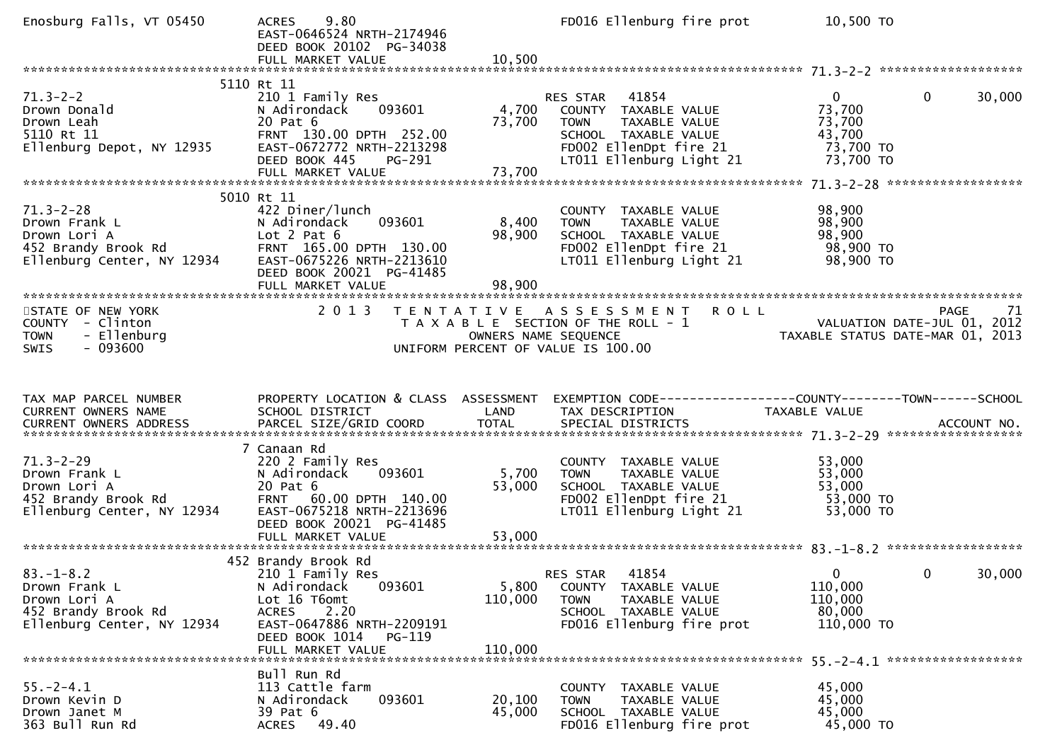| Enosburg Falls, VT 05450                                                                                                   | 9.80<br><b>ACRES</b><br>EAST-0646524 NRTH-2174946<br>DEED BOOK 20102 PG-34038<br>FULL MARKET VALUE                                                                               | 10,500                      | FD016 Ellenburg fire prot                                                                                                                     | 10,500 TO                                                                   |                       |
|----------------------------------------------------------------------------------------------------------------------------|----------------------------------------------------------------------------------------------------------------------------------------------------------------------------------|-----------------------------|-----------------------------------------------------------------------------------------------------------------------------------------------|-----------------------------------------------------------------------------|-----------------------|
|                                                                                                                            |                                                                                                                                                                                  |                             |                                                                                                                                               |                                                                             |                       |
| $71.3 - 2 - 2$<br>Drown Donald<br>Drown Leah<br>5110 Rt 11<br>Ellenburg Depot, NY 12935                                    | 5110 Rt 11<br>210 1 Family Res<br>093601<br>N Adirondack<br>20 Pat 6<br>FRNT 130.00 DPTH 252.00<br>EAST-0672772 NRTH-2213298<br>DEED BOOK 445<br><b>PG-291</b>                   | 4,700<br>73,700             | RES STAR 41854<br>COUNTY TAXABLE VALUE<br>TAXABLE VALUE<br>TOWN<br>SCHOOL TAXABLE VALUE<br>FD002 EllenDpt fire 21<br>LT011 Ellenburg Light 21 | 0<br>73,700<br>73,700<br>43,700<br>73,700 TO<br>73,700 TO                   | $\mathbf 0$<br>30,000 |
|                                                                                                                            | 5010 Rt 11                                                                                                                                                                       |                             |                                                                                                                                               |                                                                             |                       |
| $71.3 - 2 - 28$<br>Drown Frank L<br>Drown Lori A<br>452 Brandy Brook Rd<br>Ellenburg Center, NY 12934                      | 422 Diner/lunch<br>093601<br>N Adirondack<br>Lot $2$ Pat $6$<br>FRNT 165.00 DPTH 130.00<br>EAST-0675226 NRTH-2213610<br>DEED BOOK 20021 PG-41485<br>FULL MARKET VALUE            | 8,400<br>98,900<br>98,900   | COUNTY TAXABLE VALUE<br>TOWN<br>TAXABLE VALUE<br>SCHOOL TAXABLE VALUE<br>FD002 EllenDpt fire 21<br>LT011 Ellenburg Light 21                   | 98,900<br>98,900<br>98,900<br>98,900 TO<br>98,900 TO                        |                       |
| STATE OF NEW YORK                                                                                                          | 2 0 1 3                                                                                                                                                                          |                             | TENTATIVE ASSESSMENT ROLL                                                                                                                     |                                                                             | PAGE<br>71            |
| COUNTY - Clinton<br>- Ellenburg<br><b>TOWN</b><br>$-093600$<br><b>SWIS</b>                                                 |                                                                                                                                                                                  | OWNERS NAME SEQUENCE        | T A X A B L E SECTION OF THE ROLL - 1<br>UNIFORM PERCENT OF VALUE IS 100.00                                                                   | ROLL - 1<br>VALUATION DATE-JUL 01, 2012<br>TAXABLE STATUS DATE-MAR 01, 2013 |                       |
|                                                                                                                            |                                                                                                                                                                                  |                             |                                                                                                                                               |                                                                             |                       |
| TAX MAP PARCEL NUMBER<br>CURRENT OWNERS NAME                                                                               | SCHOOL DISTRICT                                                                                                                                                                  | LAND                        | PROPERTY LOCATION & CLASS ASSESSMENT EXEMPTION CODE----------------COUNTY-------TOWN------SCHOOL<br>TAX DESCRIPTION                           | TAXABLE VALUE                                                               |                       |
| $71.3 - 2 - 29$<br>Drown Frank L<br>Drown Lori A<br>452 Brandy Brook Rd<br>2011ar - NY 12934<br>Ellenburg Center, NY 12934 | 7 Canaan Rd<br>220 2 Family Res<br>093601<br>N Adirondack<br>20 Pat 6<br>FRNT 60.00 DPTH 140.00<br>EAST-0675218 NRTH-2213696<br>DEED BOOK 20021 PG-41485                         | 5,700<br>53,000             | COUNTY TAXABLE VALUE<br>TAXABLE VALUE<br>TOWN<br>SCHOOL TAXABLE VALUE<br>FD002 EllenDpt fire 21<br>LT011 Ellenburg Light 21                   | 53,000<br>53,000<br>53,000<br>53,000 TO<br>53,000 TO                        |                       |
| $83. - 1 - 8.2$<br>Drown Frank L<br>Drown Lori A<br>452 Brandy Brook Rd<br>Ellenburg Center, NY 12934                      | 452 Brandy Brook Rd<br>210 1 Family Res<br>N Adirondack<br>093601<br>Lot 16 T6omt<br>ACRES<br>2.20<br>EAST-0647886 NRTH-2209191<br>DEED BOOK 1014<br>PG-119<br>FULL MARKET VALUE | 5,800<br>110,000<br>110,000 | 41854<br>RES STAR<br>COUNTY TAXABLE VALUE<br><b>TOWN</b><br>TAXABLE VALUE<br>SCHOOL TAXABLE VALUE<br>FD016 Ellenburg fire prot                | $\Omega$<br>110,000<br>110,000<br>80,000<br>110,000 TO                      | 30,000<br>0           |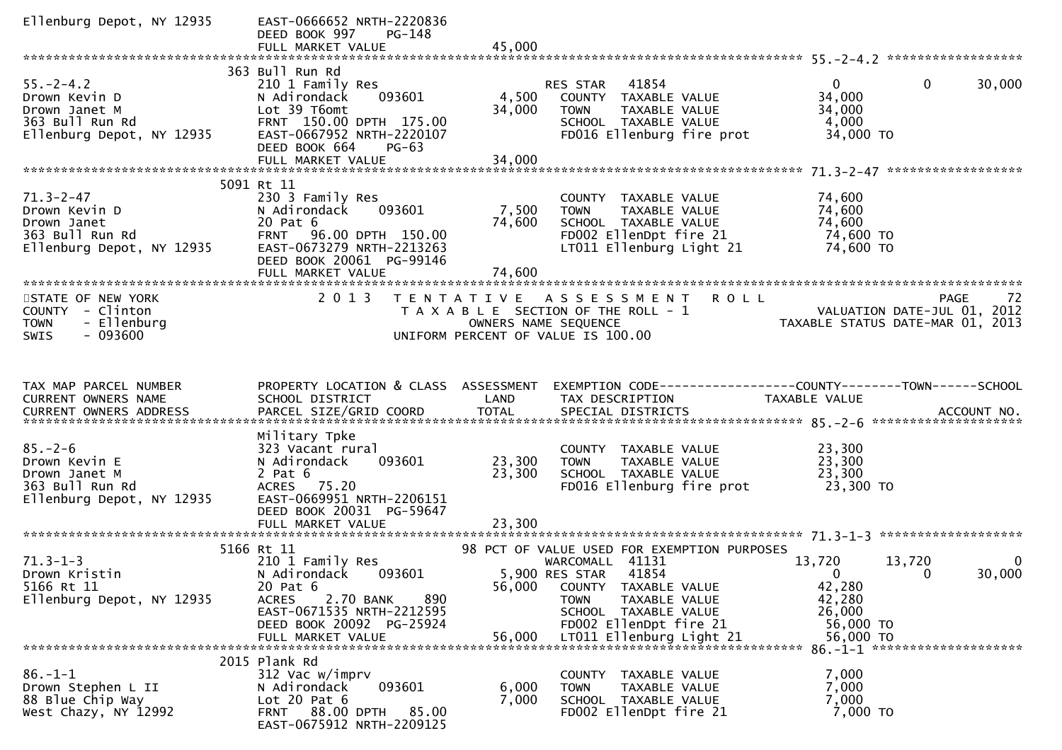| Ellenburg Depot, NY 12935                                                                             | EAST-0666652 NRTH-2220836<br>DEED BOOK 997<br>PG-148                                                                                                              |                           |                                                                                                                                                                                                     |                                                                                                                     |
|-------------------------------------------------------------------------------------------------------|-------------------------------------------------------------------------------------------------------------------------------------------------------------------|---------------------------|-----------------------------------------------------------------------------------------------------------------------------------------------------------------------------------------------------|---------------------------------------------------------------------------------------------------------------------|
|                                                                                                       |                                                                                                                                                                   |                           |                                                                                                                                                                                                     |                                                                                                                     |
| $55. - 2 - 4.2$<br>Drown Kevin D<br>Drown Janet M<br>363 Bull Run Rd<br>Ellenburg Depot, NY 12935     | 363 Bull Run Rd<br>210 1 Family Res<br>093601<br>N Adirondack<br>Lot 39 T6omt<br>FRNT 150.00 DPTH 175.00<br>EAST-0667952 NRTH-2220107<br>DEED BOOK 664<br>$PG-63$ | 4,500<br>34,000           | 41854<br>RES STAR<br>COUNTY TAXABLE VALUE<br>TAXABLE VALUE<br><b>TOWN</b><br>SCHOOL TAXABLE VALUE<br>FD016 Ellenburg fire prot                                                                      | $\mathbf{0}$<br>$\mathbf{0}$<br>30,000<br>34,000<br>34,000<br>4,000<br>34,000 TO                                    |
|                                                                                                       | 5091 Rt 11                                                                                                                                                        |                           |                                                                                                                                                                                                     |                                                                                                                     |
| 71.3-2-47<br><i>I</i><br>Drown Kevin D<br>Drown Janet<br>363 Bull Run Rd<br>Ellenburg Depot, NY 12935 | 230 3 Family Res<br>093601<br>N Adirondack<br>20 Pat 6<br>FRNT 96.00 DPTH 150.00<br>EAST-0673279 NRTH-2213263<br>DEED BOOK 20061 PG-99146<br>FULL MARKET VALUE    | 7,500<br>74,600<br>74,600 | COUNTY TAXABLE VALUE<br>TAXABLE VALUE<br><b>TOWN</b><br>SCHOOL TAXABLE VALUE<br>FD002 EllenDpt fire 21<br>LT011 Ellenburg Light 21                                                                  | 74,600<br>74,600<br>74,600<br>74,600 TO<br>74,600 TO                                                                |
|                                                                                                       |                                                                                                                                                                   |                           |                                                                                                                                                                                                     |                                                                                                                     |
| STATE OF NEW YORK<br>COUNTY - Clinton<br>- Ellenburg<br><b>TOWN</b><br>$-093600$<br><b>SWIS</b>       | 2 0 1 3                                                                                                                                                           |                           | TENTATIVE ASSESSMENT ROLL<br>UNIFORM PERCENT OF VALUE IS 100.00                                                                                                                                     | PAGE<br>72<br>T A X A B L E SECTION OF THE ROLL - 1<br>OWNERS NAME SEQUENCE<br>OWNERS NAME STATUS DATE-MAR 01, 2013 |
| TAX MAP PARCEL NUMBER<br>CURRENT OWNERS NAME                                                          | PROPERTY LOCATION & CLASS ASSESSMENT<br>SCHOOL DISTRICT                                                                                                           | LAND                      | TAX DESCRIPTION                                                                                                                                                                                     | EXEMPTION CODE------------------COUNTY--------TOWN------SCHOOL<br>TAXABLE VALUE                                     |
| $85. - 2 - 6$<br>Drown Kevin E<br>Drown Janet M<br>363 Bull Run Rd<br>Ellenburg Depot, NY 12935       | Military Tpke<br>323 Vacant rural<br>N Adirondack<br>093601<br>$2$ Pat $6$<br>ACRES 75.20<br>EAST-0669951 NRTH-2206151<br>DEED BOOK 20031 PG-59647                | 23,300<br>23,300          | COUNTY TAXABLE VALUE<br>TAXABLE VALUE<br><b>TOWN</b><br>SCHOOL TAXABLE VALUE<br>FD016 Ellenburg fire prot                                                                                           | 23,300<br>23,300<br>23,300<br>23,300 TO                                                                             |
|                                                                                                       |                                                                                                                                                                   |                           |                                                                                                                                                                                                     |                                                                                                                     |
| $71.3 - 1 - 3$<br>Drown Kristin<br>5166 Rt 11<br>Ellenburg Depot, NY 12935                            | 5166 Rt 11<br>210 1 Family Res<br>N Adirondack<br>093601<br>20 Pat 6<br><b>ACRES</b><br>2.70 BANK<br>890<br>EAST-0671535 NRTH-2212595<br>DEED BOOK 20092 PG-25924 | 56,000                    | 98 PCT OF VALUE USED FOR EXEMPTION PURPOSES<br>WARCOMALL 41131<br>5,900 RES STAR<br>41854<br>COUNTY TAXABLE VALUE<br>TAXABLE VALUE<br><b>TOWN</b><br>SCHOOL TAXABLE VALUE<br>FD002 EllenDpt fire 21 | 13,720<br>13,720<br>0<br>30,000<br>$\Omega$<br>0<br>42,280<br>42,280<br>26,000<br>56,000 TO                         |
|                                                                                                       | FULL MARKET VALUE                                                                                                                                                 | 56,000                    | LT011 Ellenburg Light 21                                                                                                                                                                            | 56,000 TO                                                                                                           |
| $86. - 1 - 1$<br>Drown Stephen L II<br>88 Blue Chip Way<br>West Chazy, NY 12992                       | 2015 Plank Rd<br>312 Vac w/imprv<br>093601<br>N Adirondack<br>Lot $20$ Pat $6$<br><b>FRNT 88.00 DPTH</b><br>85.00<br>EAST-0675912 NRTH-2209125                    | 6,000<br>7,000            | COUNTY TAXABLE VALUE<br>TAXABLE VALUE<br><b>TOWN</b><br>SCHOOL TAXABLE VALUE<br>FD002 EllenDpt fire 21                                                                                              | 7,000<br>7,000<br>7,000<br>7,000 TO                                                                                 |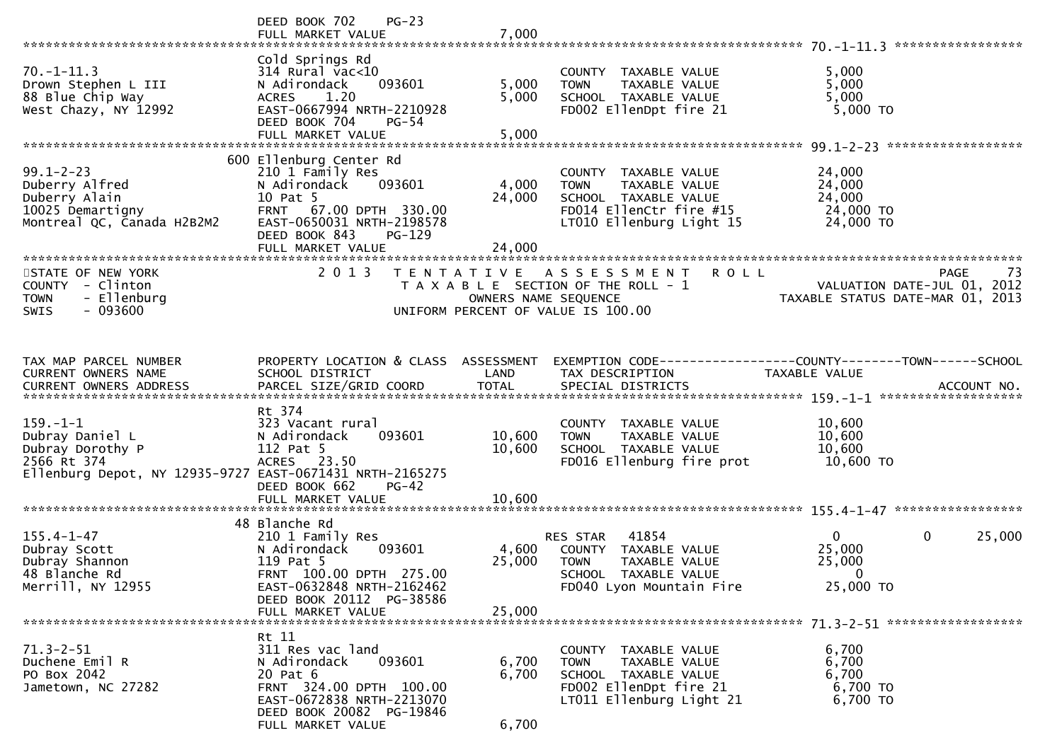|                                                                                                                                  | $PG-23$<br>DEED BOOK 702<br>FULL MARKET VALUE                                                                                                                            | 7,000                      |                                                                                                                                            |                                                                 |                       |
|----------------------------------------------------------------------------------------------------------------------------------|--------------------------------------------------------------------------------------------------------------------------------------------------------------------------|----------------------------|--------------------------------------------------------------------------------------------------------------------------------------------|-----------------------------------------------------------------|-----------------------|
| $70. - 1 - 11.3$<br>Drown Stephen L III<br>88 Blue Chip Way<br>West Chazy, NY 12992                                              | Cold Springs Rd<br>$314$ Rural vac<10<br>093601<br>N Adirondack<br>1.20<br><b>ACRES</b><br>EAST-0667994 NRTH-2210928<br>DEED BOOK 704<br>$PG-54$<br>FULL MARKET VALUE    | 5,000<br>5,000<br>5,000    | TAXABLE VALUE<br>COUNTY<br>TAXABLE VALUE<br><b>TOWN</b><br>SCHOOL TAXABLE VALUE<br>FD002 EllenDpt fire 21                                  | 5,000<br>5,000<br>5,000<br>$5,000$ TO                           |                       |
|                                                                                                                                  | 600 Ellenburg Center Rd                                                                                                                                                  |                            |                                                                                                                                            |                                                                 |                       |
| $99.1 - 2 - 23$<br>Duberry Alfred<br>Duberry Alain<br>10025 Demartigny<br>Montreal QC, Canada H2B2M2                             | 210 1 Family Res<br>093601<br>N Adirondack<br>10 Pat 5<br>FRNT 67.00 DPTH 330.00<br>EAST-0650031 NRTH-2198578<br>DEED BOOK 843<br>$PG-129$                               | 4,000<br>24,000            | COUNTY TAXABLE VALUE<br><b>TAXABLE VALUE</b><br><b>TOWN</b><br>SCHOOL TAXABLE VALUE<br>FD014 EllenCtr fire #15<br>LT010 Ellenburg Light 15 | 24,000<br>24,000<br>24,000<br>24,000 TO<br>24,000 TO            |                       |
|                                                                                                                                  | FULL MARKET VALUE                                                                                                                                                        | 24,000                     |                                                                                                                                            |                                                                 |                       |
| STATE OF NEW YORK<br>COUNTY - Clinton<br>- Ellenburg<br><b>TOWN</b><br>$-093600$<br><b>SWIS</b>                                  | 2 0 1 3                                                                                                                                                                  | OWNERS NAME SEQUENCE       | TENTATIVE ASSESSMENT<br><b>ROLL</b><br>T A X A B L E SECTION OF THE ROLL - 1<br>UNIFORM PERCENT OF VALUE IS 100.00                         | VALUATION DATE-JUL 01, 2012<br>TAXABLE STATUS DATE-MAR 01, 2013 | <b>PAGE</b><br>73     |
| TAX MAP PARCEL NUMBER<br><b>CURRENT OWNERS NAME</b>                                                                              | PROPERTY LOCATION & CLASS ASSESSMENT<br>SCHOOL DISTRICT                                                                                                                  | LAND                       | EXEMPTION CODE-----------------COUNTY-------TOWN------SCHOOL<br>TAX DESCRIPTION                                                            | TAXABLE VALUE                                                   |                       |
| $159. - 1 - 1$<br>Dubray Daniel L<br>Dubray Dorothy P<br>2566 Rt 374<br>Ellenburg Depot, NY 12935-9727 EAST-0671431 NRTH-2165275 | Rt 374<br>323 Vacant rural<br>093601<br>N Adirondack<br>112 Pat 5<br>ACRES 23.50<br>DEED BOOK 662<br>$PG-42$<br>FULL MARKET VALUE                                        | 10,600<br>10,600<br>10.600 | COUNTY TAXABLE VALUE<br><b>TOWN</b><br>TAXABLE VALUE<br>SCHOOL TAXABLE VALUE<br>FD016 Ellenburg fire prot                                  | 10,600<br>10,600<br>10,600<br>10,600 TO                         |                       |
|                                                                                                                                  | 48 Blanche Rd                                                                                                                                                            |                            |                                                                                                                                            |                                                                 |                       |
| $155.4 - 1 - 47$<br>Dubray Scott<br>Dubray Shannon<br>48 Blanche Rd<br>Merrill, NY 12955                                         | 210 1 Family Res<br>N Adirondack<br>093601<br>119 Pat 5<br>FRNT 100.00 DPTH 275.00<br>EAST-0632848 NRTH-2162462<br>DEED BOOK 20112 PG-38586                              | 4,600<br>25,000            | 41854<br>RES STAR<br>COUNTY TAXABLE VALUE<br><b>TOWN</b><br>TAXABLE VALUE<br>SCHOOL TAXABLE VALUE<br>FD040 Lyon Mountain Fire              | $\mathbf{0}$<br>25,000<br>25,000<br>$\mathbf 0$<br>25,000 TO    | $\mathbf 0$<br>25,000 |
|                                                                                                                                  | FULL MARKET VALUE                                                                                                                                                        | 25,000                     |                                                                                                                                            |                                                                 |                       |
| $71.3 - 2 - 51$<br>Duchene Emil R<br>PO Box 2042<br>Jametown, NC 27282                                                           | Rt 11<br>311 Res vac land<br>093601<br>N Adirondack<br>20 Pat 6<br>FRNT 324.00 DPTH 100.00<br>EAST-0672838 NRTH-2213070<br>DEED BOOK 20082 PG-19846<br>FULL MARKET VALUE | 6,700<br>6,700<br>6,700    | COUNTY TAXABLE VALUE<br><b>TOWN</b><br>TAXABLE VALUE<br>SCHOOL TAXABLE VALUE<br>FD002 EllenDpt fire 21<br>LT011 Ellenburg Light 21         | 6,700<br>6,700<br>6,700<br>6,700 TO<br>6,700 TO                 |                       |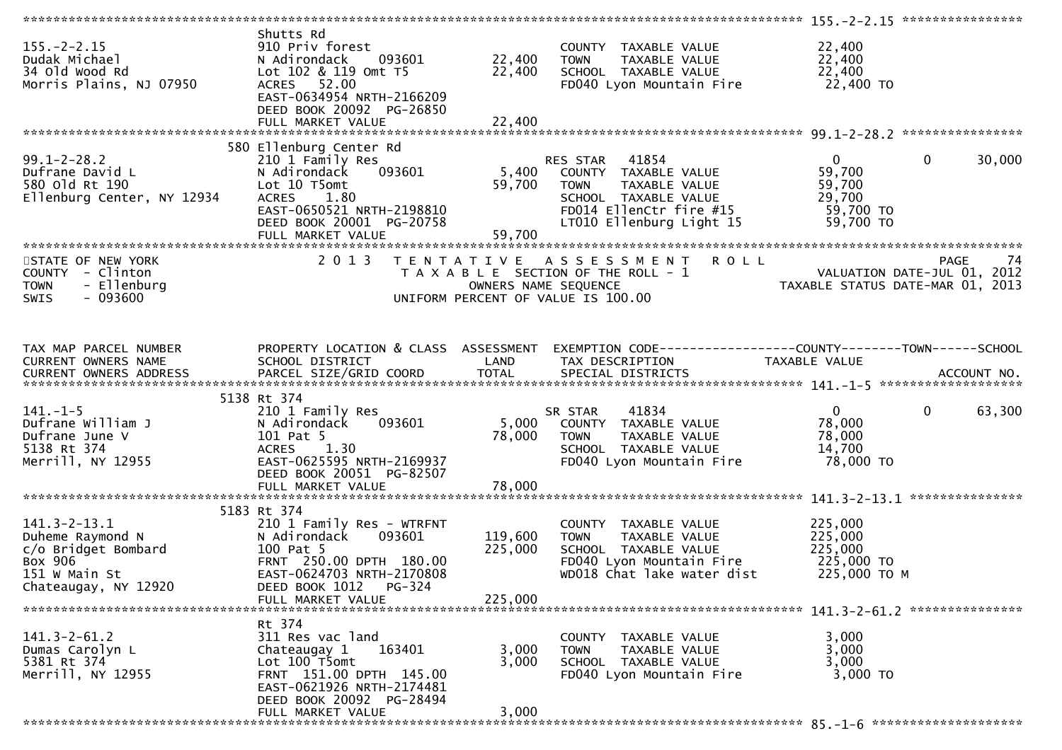|                                                                                                                                              |                                                                                                                                                                                                                  |                               |                                                                                                                                                       | ******************* 155.-2-2.15 *****************                         |                        |
|----------------------------------------------------------------------------------------------------------------------------------------------|------------------------------------------------------------------------------------------------------------------------------------------------------------------------------------------------------------------|-------------------------------|-------------------------------------------------------------------------------------------------------------------------------------------------------|---------------------------------------------------------------------------|------------------------|
| $155. - 2 - 2.15$<br>Dudak Michael<br>34 old wood Rd<br>Morris Plains, NJ 07950                                                              | Shutts Rd<br>910 Priv forest<br>093601<br>N Adirondack<br>Lot 102 & 119 Omt T5<br>ACRES 52.00<br>EAST-0634954 NRTH-2166209<br>DEED BOOK 20092 PG-26850                                                           | 22,400<br>22,400              | COUNTY TAXABLE VALUE<br><b>TOWN</b><br>TAXABLE VALUE<br>SCHOOL TAXABLE VALUE<br>FD040 Lyon Mountain Fire                                              | 22,400<br>22,400<br>22,400<br>22,400 TO                                   |                        |
|                                                                                                                                              |                                                                                                                                                                                                                  |                               |                                                                                                                                                       |                                                                           |                        |
| $99.1 - 2 - 28.2$<br>Dufrane David L<br>$\begin{array}{c}\n\cdot & 1 \\ \hline\n\end{array}$<br>580 old Rt 190<br>Ellenburg Center, NY 12934 | 580 Ellenburg Center Rd<br>210 1 Family Res<br>093601<br>N Adirondack<br>Lot 10 T5omt<br>1.80<br><b>ACRES</b><br>ACRES 1.80<br>EAST-0650521 NRTH-2198810<br>DEED ROOK 20001 PG-20758<br>DEED BOOK 20001 PG-20758 | 5,400<br>59,700<br>59,700     | RES STAR 41854<br>COUNTY TAXABLE VALUE<br>TAXABLE VALUE<br><b>TOWN</b><br>SCHOOL TAXABLE VALUE<br>FD014 EllenCtr fire #15<br>LT010 Ellenburg Light 15 | $0 \qquad \qquad$<br>59,700<br>59,700<br>29,700<br>59,700 TO<br>59,700 TO | $\mathbf{0}$<br>30,000 |
| STATE OF NEW YORK                                                                                                                            | 2 0 1 3                                                                                                                                                                                                          |                               | TENTATIVE ASSESSMENT ROLL                                                                                                                             |                                                                           | PAGE<br>74             |
| COUNTY - Clinton<br>- Ellenburg<br><b>TOWN</b><br>$-093600$<br><b>SWIS</b>                                                                   |                                                                                                                                                                                                                  | OWNERS NAME SEQUENCE          | T A X A B L E SECTION OF THE ROLL - 1<br>UNIFORM PERCENT OF VALUE IS 100.00                                                                           | - 1 VALUATION DATE-JUL 01, 2012<br>TAXABLE STATUS DATE-MAR 01, 2013       |                        |
| TAX MAP PARCEL NUMBER                                                                                                                        | PROPERTY LOCATION & CLASS ASSESSMENT                                                                                                                                                                             |                               | EXEMPTION CODE-----------------COUNTY-------TOWN------SCHOOL                                                                                          |                                                                           |                        |
| CURRENT OWNERS NAME                                                                                                                          | SCHOOL DISTRICT                                                                                                                                                                                                  | <b>Example 12 DE LAND</b>     | TAX DESCRIPTION                                                                                                                                       | TAXABLE VALUE                                                             |                        |
|                                                                                                                                              | 5138 Rt 374                                                                                                                                                                                                      |                               |                                                                                                                                                       |                                                                           |                        |
| $141. - 1 - 5$                                                                                                                               | 210 1 Family Res                                                                                                                                                                                                 |                               | SR STAR                                                                                                                                               | $\mathbf{0}$                                                              | $\mathbf 0$<br>63,300  |
| Dufrane William J<br>Dufrane June V<br>5138 Rt 374<br>Merrill, NY 12955                                                                      | 093601<br>N Adirondack<br>101 Pat 5<br>ACRES 1.30<br>EAST-0625595 NRTH-2169937<br>DEED BOOK 20051 PG-82507                                                                                                       | 5,000<br>78,000               | R STAR      41834<br>COUNTY   TAXABLE  VALUE<br><b>TOWN</b><br>TAXABLE VALUE<br>SCHOOL TAXABLE VALUE<br>FD040 Lyon Mountain Fire                      | 78,000<br>78,000<br>14,700<br>78,000 TO                                   |                        |
|                                                                                                                                              | FULL MARKET VALUE                                                                                                                                                                                                | 78,000                        |                                                                                                                                                       |                                                                           |                        |
|                                                                                                                                              |                                                                                                                                                                                                                  |                               |                                                                                                                                                       |                                                                           |                        |
| $141.3 - 2 - 13.1$<br>Duheme Raymond N<br>C/O Bridget Bombard<br>Box 906<br>151 W Main St<br>Chateaugay, NY 12920                            | 5183 Rt 374<br>210 1 Family Res - WTRFNT<br>093601<br>N Adirondack<br>100 Pat 5<br>FRNT 250.00 DPTH 180.00<br>EAST-0624703 NRTH-2170808<br>DEED BOOK 1012<br>PG-324                                              | 119,600<br>225,000<br>225,000 | COUNTY TAXABLE VALUE<br>TAXABLE VALUE<br><b>TOWN</b><br>SCHOOL TAXABLE VALUE<br>FD040 Lyon Mountain Fire<br>WD018 Chat lake water dist                | 225,000<br>225,000<br>225,000<br>225,000 TO<br>225,000 TO M               |                        |
|                                                                                                                                              | FULL MARKET VALUE                                                                                                                                                                                                |                               |                                                                                                                                                       |                                                                           |                        |
| $141.3 - 2 - 61.2$<br>Dumas Carolyn L<br>5381 Rt 374<br>Merrill, NY 12955                                                                    | Rt 374<br>311 Res vac land<br>Chateaugay 1<br>163401<br>Lot 100 T5omt<br>FRNT 151.00 DPTH 145.00<br>EAST-0621926 NRTH-2174481<br>DEED BOOK 20092 PG-28494                                                        | 3,000<br>3,000                | COUNTY TAXABLE VALUE<br>TAXABLE VALUE<br><b>TOWN</b><br>SCHOOL TAXABLE VALUE<br>FD040 Lyon Mountain Fire                                              | 3,000<br>3,000<br>3,000<br>3,000 TO                                       |                        |
|                                                                                                                                              | FULL MARKET VALUE                                                                                                                                                                                                | 3,000                         |                                                                                                                                                       |                                                                           |                        |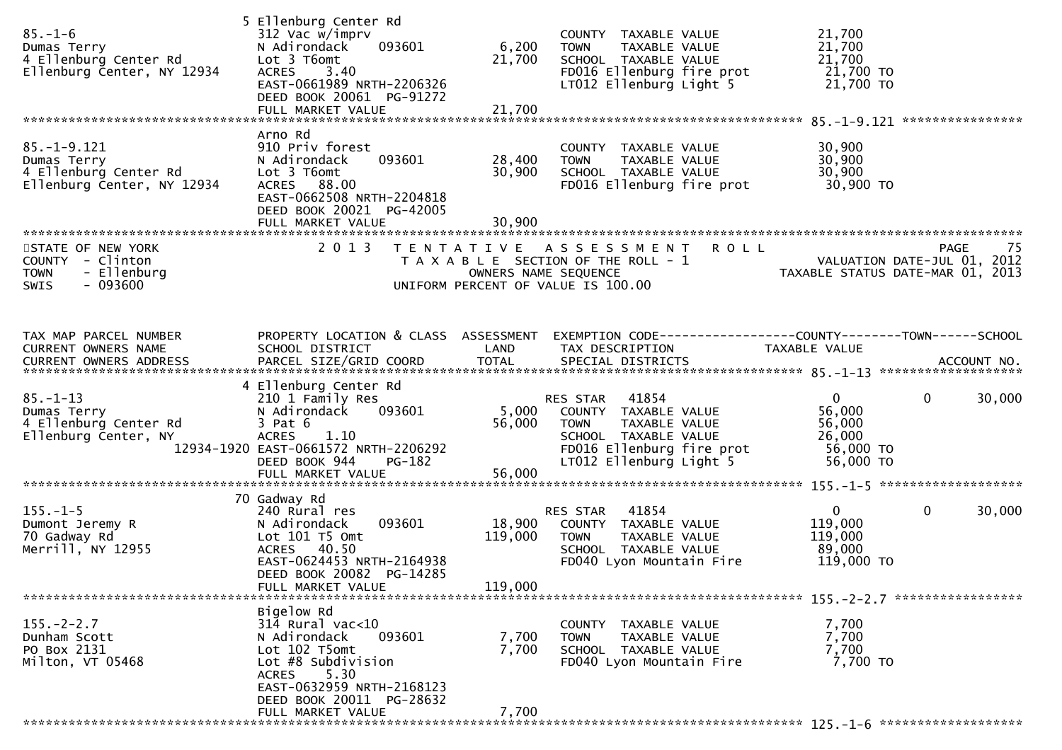| $85. - 1 - 6$<br>Dumas Terry<br>4 Ellenburg Center Rd<br>Ellenburg Center, NY 12934             | 5 Ellenburg Center Rd<br>312 Vac w/imprv<br>093601<br>N Adirondack<br>Lot 3 T6omt<br>3.40<br><b>ACRES</b><br>EAST-0661989 NRTH-2206326<br>DEED BOOK 20061 PG-91272<br>FULL MARKET VALUE            | 6,200<br>21,700<br>21,700                 | COUNTY TAXABLE VALUE<br>TAXABLE VALUE<br><b>TOWN</b><br>SCHOOL TAXABLE VALUE<br>FD016 Ellenburg fire prot<br>LT012 Ellenburg Light 5                      | 21,700<br>21,700<br>21,700<br>21,700 TO<br>21,700 TO                 |                       |
|-------------------------------------------------------------------------------------------------|----------------------------------------------------------------------------------------------------------------------------------------------------------------------------------------------------|-------------------------------------------|-----------------------------------------------------------------------------------------------------------------------------------------------------------|----------------------------------------------------------------------|-----------------------|
|                                                                                                 | Arno Rd                                                                                                                                                                                            |                                           |                                                                                                                                                           |                                                                      |                       |
| $85. - 1 - 9.121$<br>Dumas Terry<br>4 Ellenburg Center Rd<br>Ellenburg Center, NY 12934         | 910 Priv forest<br>093601<br>N Adirondack<br>Lot 3 T6omt<br>ACRES 88.00<br>EAST-0662508 NRTH-2204818<br>DEED BOOK 20021 PG-42005<br>FULL MARKET VALUE                                              | 28,400<br>30,900<br>30,900                | COUNTY TAXABLE VALUE<br><b>TOWN</b><br>TAXABLE VALUE<br>SCHOOL TAXABLE VALUE<br>FD016 Ellenburg fire prot                                                 | 30,900<br>30,900<br>30,900<br>30,900 TO                              |                       |
|                                                                                                 |                                                                                                                                                                                                    |                                           |                                                                                                                                                           |                                                                      |                       |
| STATE OF NEW YORK<br>COUNTY - Clinton<br>- Ellenburg<br><b>TOWN</b><br>$-093600$<br><b>SWIS</b> | 2 0 1 3                                                                                                                                                                                            | T E N T A T I V E<br>OWNERS NAME SEQUENCE | <b>ROLL</b><br>A S S E S S M E N T<br>T A X A B L E SECTION OF THE ROLL - 1<br>UNIFORM PERCENT OF VALUE IS 100.00                                         | VALUATION DATE-JUL 01, 2012<br>TAXABLE STATUS DATE-MAR 01, 2013      | -75<br>PAGE           |
| TAX MAP PARCEL NUMBER<br>CURRENT OWNERS NAME                                                    | PROPERTY LOCATION & CLASS ASSESSMENT<br>SCHOOL DISTRICT                                                                                                                                            | LAND                                      | EXEMPTION CODE-----------------COUNTY-------TOWN------SCHOOL<br>TAX DESCRIPTION                                                                           | TAXABLE VALUE                                                        |                       |
|                                                                                                 |                                                                                                                                                                                                    |                                           |                                                                                                                                                           |                                                                      |                       |
|                                                                                                 |                                                                                                                                                                                                    |                                           |                                                                                                                                                           |                                                                      |                       |
| $85. - 1 - 13$<br>Dumas Terry<br>4 Ellenburg Center Rd<br>Ellenburg Center, NY                  | 4 Ellenburg Center Rd<br>210 1 Family Res<br>093601<br>N Adirondack<br>$3$ Pat $6$<br><b>ACRES</b><br>1.10<br>12934-1920 EAST-0661572 NRTH-2206292<br>DEED BOOK 944<br>PG-182<br>FULL MARKET VALUE | 5,000<br>56,000<br>56,000                 | 41854<br>RES STAR<br>COUNTY TAXABLE VALUE<br>TAXABLE VALUE<br><b>TOWN</b><br>SCHOOL TAXABLE VALUE<br>FD016 Ellenburg fire prot<br>LT012 Ellenburg Light 5 | $\mathbf{0}$<br>56,000<br>56,000<br>26,000<br>56,000 TO<br>56,000 TO | $\mathbf 0$<br>30,000 |
|                                                                                                 |                                                                                                                                                                                                    |                                           |                                                                                                                                                           |                                                                      |                       |
| $155. - 1 - 5$<br>Dumont Jeremy R<br>70 Gadway Rd<br>Merrill, NY 12955                          | 70 Gadway Rd<br>240 Rural res<br>N Adirondack<br>093601<br>Lot 101 T5 Omt<br>ACRES 40.50<br>EAST-0624453 NRTH-2164938<br>DEED BOOK 20082 PG-14285<br>FULL MARKET VALUE                             | 18,900<br>119,000<br>119,000              | 41854<br>RES STAR<br>COUNTY TAXABLE VALUE<br>TAXABLE VALUE<br><b>TOWN</b><br>SCHOOL TAXABLE VALUE<br>FD040 Lyon Mountain Fire                             | $\mathbf{0}$<br>119,000<br>119,000<br>89,000<br>119,000 TO           | $\mathbf 0$<br>30,000 |
|                                                                                                 | Bigelow Rd                                                                                                                                                                                         |                                           |                                                                                                                                                           |                                                                      |                       |
| $155. - 2 - 2.7$<br>Dunham Scott<br>PO Box 2131<br>Milton, VT 05468                             | $314$ Rural vac<10<br>093601<br>N Adirondack<br>Lot 102 T5omt<br>Lot #8 Subdivision<br>5.30<br>ACRES<br>EAST-0632959 NRTH-2168123<br>DEED BOOK 20011 PG-28632                                      | 7,700<br>7,700                            | COUNTY TAXABLE VALUE<br><b>TOWN</b><br>TAXABLE VALUE<br>SCHOOL TAXABLE VALUE<br>FD040 Lyon Mountain Fire                                                  | 7,700<br>7,700<br>7,700<br>7,700 TO                                  |                       |
|                                                                                                 | FULL MARKET VALUE                                                                                                                                                                                  | 7,700                                     |                                                                                                                                                           |                                                                      |                       |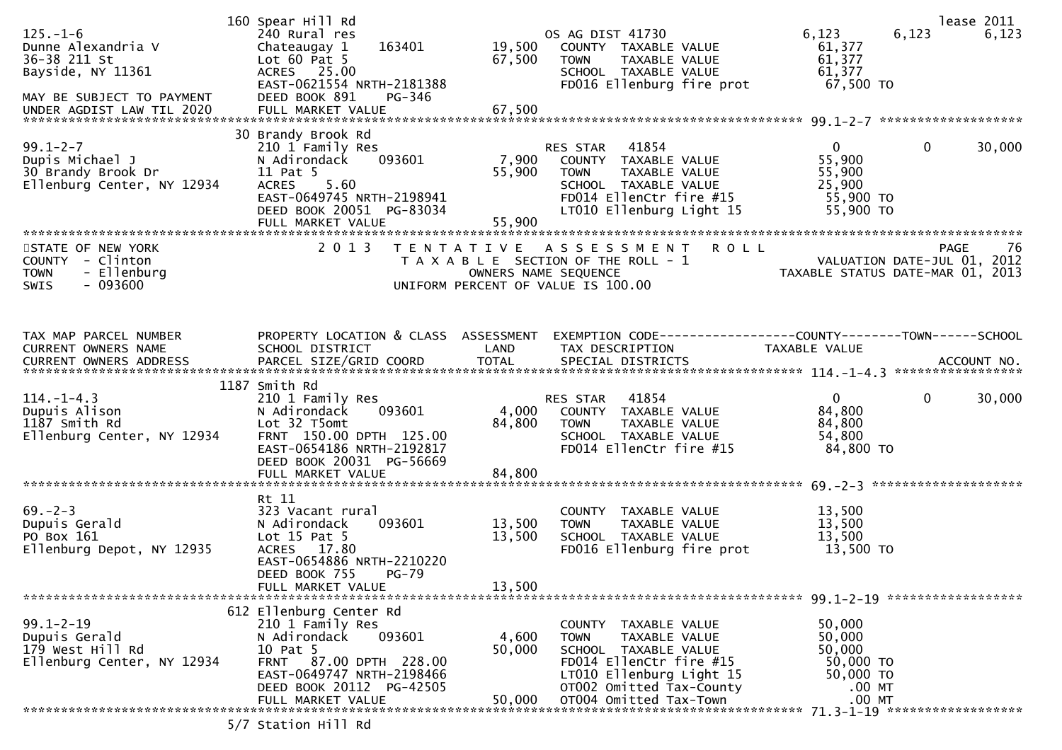|                            | 160 Spear Hill Rd                    |                      |                                                             |                             | lease 2011                       |
|----------------------------|--------------------------------------|----------------------|-------------------------------------------------------------|-----------------------------|----------------------------------|
| $125. - 1 - 6$             | 240 Rural res                        |                      | OS AG DIST 41730                                            | 6,123                       | 6,123<br>6,123                   |
| Dunne Alexandria V         | Chateaugay 1<br>163401               | 19,500               | COUNTY TAXABLE VALUE                                        | 61,377                      |                                  |
| 36-38 211 St               | Lot $60$ Pat $5$                     | 67,500               | TAXABLE VALUE<br><b>TOWN</b>                                | 61,377                      |                                  |
| Bayside, NY 11361          | ACRES 25.00                          |                      |                                                             | 61,377                      |                                  |
|                            |                                      |                      | SCHOOL TAXABLE VALUE                                        |                             |                                  |
|                            | EAST-0621554 NRTH-2181388            |                      | FD016 Ellenburg fire prot                                   | 67,500 TO                   |                                  |
| MAY BE SUBJECT TO PAYMENT  | DEED BOOK 891<br>PG-346              |                      |                                                             |                             |                                  |
| UNDER AGDIST LAW TIL 2020  | FULL MARKET VALUE                    | 67,500               |                                                             |                             |                                  |
|                            |                                      |                      |                                                             |                             |                                  |
|                            | 30 Brandy Brook Rd                   |                      |                                                             |                             |                                  |
| $99.1 - 2 - 7$             | 210 1 Family Res                     |                      | 41854<br>RES STAR                                           | $\mathbf{0}$                | $\Omega$<br>30,000               |
| Dupis Michael J            | N Adirondack<br>093601               | 7,900                | COUNTY TAXABLE VALUE                                        | 55,900                      |                                  |
|                            |                                      |                      |                                                             |                             |                                  |
| 30 Brandy Brook Dr         | 11 Pat 5                             | 55,900               | TAXABLE VALUE<br><b>TOWN</b>                                | 55,900                      |                                  |
| Ellenburg Center, NY 12934 | 5.60<br><b>ACRES</b>                 |                      | SCHOOL TAXABLE VALUE                                        | 25,900                      |                                  |
|                            | EAST-0649745 NRTH-2198941            |                      | FD014 EllenCtr fire #15                                     | 55,900 TO                   |                                  |
|                            | DEED BOOK 20051 PG-83034             |                      | LT010 Ellenburg Light 15                                    | 55,900 TO                   |                                  |
|                            | FULL MARKET VALUE                    | 55,900               |                                                             |                             |                                  |
|                            |                                      |                      |                                                             |                             |                                  |
|                            | 2 0 1 3                              |                      |                                                             |                             |                                  |
| STATE OF NEW YORK          |                                      |                      | TENTATIVE ASSESSMENT<br><b>ROLL</b>                         |                             | PAGE<br>76                       |
| - Clinton<br>COUNTY        |                                      |                      | T A X A B L E SECTION OF THE ROLL - 1                       | VALUATION DATE-JUL 01, 2012 |                                  |
| - Ellenburg<br><b>TOWN</b> |                                      | OWNERS NAME SEQUENCE |                                                             |                             | TAXABLE STATUS DATE-MAR 01, 2013 |
| <b>SWIS</b><br>- 093600    |                                      |                      | UNIFORM PERCENT OF VALUE IS 100.00                          |                             |                                  |
|                            |                                      |                      |                                                             |                             |                                  |
|                            |                                      |                      |                                                             |                             |                                  |
|                            |                                      |                      |                                                             |                             |                                  |
|                            |                                      |                      |                                                             |                             |                                  |
| TAX MAP PARCEL NUMBER      | PROPERTY LOCATION & CLASS ASSESSMENT |                      | EXEMPTION CODE-----------------COUNTY-------TOWN-----SCHOOL |                             |                                  |
| <b>CURRENT OWNERS NAME</b> | SCHOOL DISTRICT                      | LAND                 | TAX DESCRIPTION                                             | TAXABLE VALUE               |                                  |
|                            |                                      |                      |                                                             |                             |                                  |
|                            |                                      |                      |                                                             |                             |                                  |
|                            |                                      |                      |                                                             |                             |                                  |
|                            |                                      |                      |                                                             |                             |                                  |
|                            | 1187 Smith Rd                        |                      |                                                             |                             |                                  |
| $114. - 1 - 4.3$           | 210 1 Family Res                     |                      | 41854<br>RES STAR                                           | $\mathbf{0}$                | $\Omega$<br>30,000               |
| Dupuis Alison              | 093601<br>N Adirondack               | 4,000                | COUNTY TAXABLE VALUE                                        | 84,800                      |                                  |
| 1187 Smith Rd              | Lot 32 T5omt                         | 84,800               | <b>TOWN</b><br>TAXABLE VALUE                                | 84,800                      |                                  |
| Ellenburg Center, NY 12934 | FRNT 150.00 DPTH 125.00              |                      | SCHOOL TAXABLE VALUE                                        | 54,800                      |                                  |
|                            | EAST-0654186 NRTH-2192817            |                      | FD014 EllenCtr fire #15                                     | 84,800 TO                   |                                  |
|                            |                                      |                      |                                                             |                             |                                  |
|                            | DEED BOOK 20031 PG-56669             |                      |                                                             |                             |                                  |
|                            | FULL MARKET VALUE                    | 84,800               |                                                             |                             |                                  |
|                            |                                      |                      |                                                             |                             |                                  |
|                            | Rt 11                                |                      |                                                             |                             |                                  |
| $69. - 2 - 3$              | 323 Vacant rural                     |                      | COUNTY TAXABLE VALUE                                        | 13,500                      |                                  |
| Dupuis Gerald              | N Adirondack<br>093601               | 13,500               | TAXABLE VALUE<br><b>TOWN</b>                                | 13,500                      |                                  |
| PO Box 161                 | Lot $15$ Pat $5$                     |                      | SCHOOL TAXABLE VALUE                                        | 13,500                      |                                  |
|                            |                                      | 13,500               |                                                             |                             |                                  |
| Ellenburg Depot, NY 12935  | ACRES 17.80                          |                      | FD016 Ellenburg fire prot                                   | 13,500 TO                   |                                  |
|                            | EAST-0654886 NRTH-2210220            |                      |                                                             |                             |                                  |
|                            | DEED BOOK 755<br><b>PG-79</b>        |                      |                                                             |                             |                                  |
|                            | FULL MARKET VALUE                    | 13,500               |                                                             |                             |                                  |
|                            |                                      |                      |                                                             |                             |                                  |
|                            | 612 Ellenburg Center Rd              |                      |                                                             |                             |                                  |
| $99.1 - 2 - 19$            |                                      |                      | COUNTY TAXABLE VALUE                                        | 50,000                      |                                  |
|                            | 210 1 Family Res                     |                      |                                                             |                             |                                  |
| Dupuis Gerald              | 093601<br>N Adirondack               | 4,600                | TAXABLE VALUE<br><b>TOWN</b>                                | 50,000                      |                                  |
| 179 West Hill Rd           | 10 Pat 5                             | 50,000               | SCHOOL TAXABLE VALUE                                        | 50,000                      |                                  |
| Ellenburg Center, NY 12934 | 87.00 DPTH 228.00<br><b>FRNT</b>     |                      | FD014 EllenCtr fire #15                                     | 50,000 TO                   |                                  |
|                            | EAST-0649747 NRTH-2198466            |                      | LT010 Ellenburg Light 15                                    | 50,000 TO                   |                                  |
|                            | DEED BOOK 20112 PG-42505             |                      | OT002 Omitted Tax-County                                    | $.00$ MT                    |                                  |
|                            | FULL MARKET VALUE                    | 50,000               | OT004 Omitted Tax-Town                                      | .00 MT                      |                                  |
|                            |                                      |                      |                                                             |                             | 71.3-1-19 *******************    |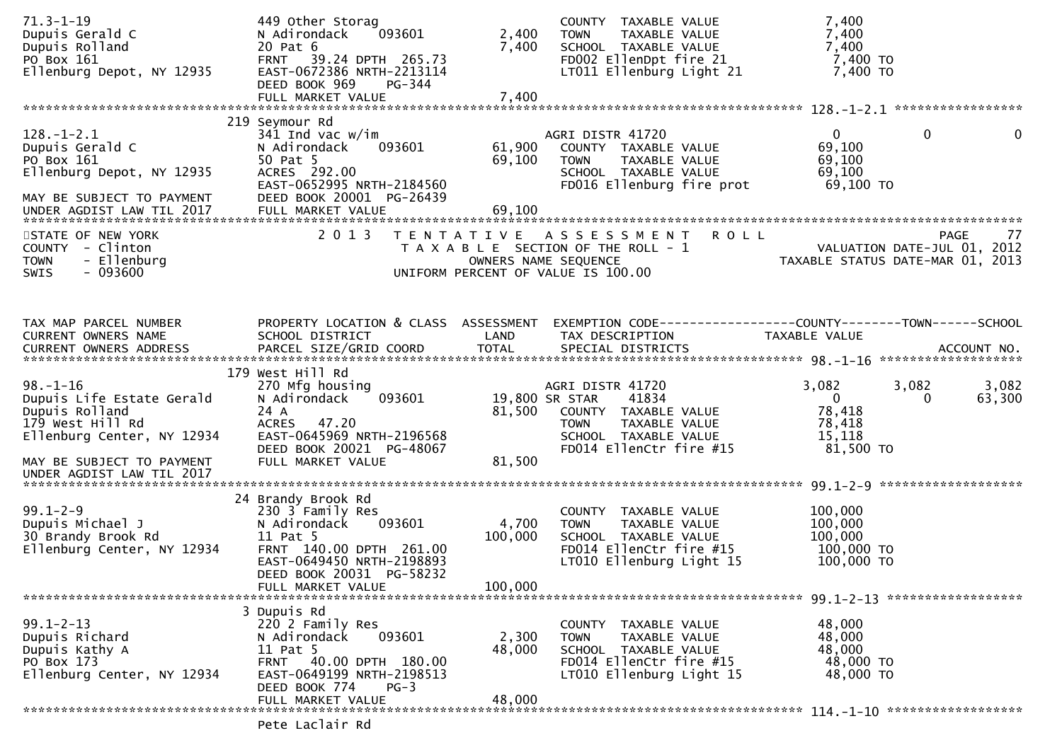| $71.3 - 1 - 19$<br>Dupuis Gerald C<br>Dupuis Rolland<br>PO Box 161<br>Ellenburg Depot, NY 12935                                              | 449 Other Storag<br>093601<br>N Adirondack<br>20 Pat 6<br>FRNT 39.24 DPTH 265.73<br>EAST-0672386 NRTH-2213114<br>DEED BOOK 969<br>PG-344                                              | 2,400<br>7,400              | COUNTY TAXABLE VALUE<br>TAXABLE VALUE<br><b>TOWN</b><br>SCHOOL TAXABLE VALUE<br>FD002 EllenDpt fire 21<br>LT011 Ellenburg Light 21                     | 7,400<br>7,400<br>7,400<br>7,400 TO<br>7,400 TO                                  |                 |
|----------------------------------------------------------------------------------------------------------------------------------------------|---------------------------------------------------------------------------------------------------------------------------------------------------------------------------------------|-----------------------------|--------------------------------------------------------------------------------------------------------------------------------------------------------|----------------------------------------------------------------------------------|-----------------|
| $128.-1-2.1$<br>Dupuis Gerald C<br>PO Box 161<br>Ellenburg Depot, NY 12935<br>MAY BE SUBJECT TO PAYMENT<br>UNDER AGDIST LAW TIL 2017         | 219 Seymour Rd<br>341 Ind vac $w/\text{im}$<br>N Adirondack<br>093601<br>50 Pat 5<br>ACRES 292.00<br>EAST-0652995 NRTH-2184560<br>DEED BOOK 20001 PG-26439<br>FULL MARKET VALUE       | 61,900<br>69,100<br>69,100  | AGRI DISTR 41720<br>COUNTY TAXABLE VALUE<br><b>TOWN</b><br>TAXABLE VALUE<br>SCHOOL TAXABLE VALUE<br>FD016 Ellenburg fire prot                          | $\mathbf{0}$<br>$\overline{0}$<br>69,100<br>69,100<br>69,100<br>69,100 TO        | $\mathbf 0$     |
| STATE OF NEW YORK<br>COUNTY - Clinton<br>- Ellenburg<br><b>TOWN</b><br>$-093600$<br><b>SWIS</b>                                              | 2 0 1 3                                                                                                                                                                               |                             | <b>ROLL</b><br>TENTATIVE ASSESSMENT<br>T A X A B L E SECTION OF THE ROLL - 1<br>OWNERS NAME SEQUENCE<br>UNIFORM PERCENT OF VALUE IS 100.00             | VALUATION DATE-JUL 01, 2012<br>TAXABLE STATUS DATE-MAR 01, 2013                  | 77<br>PAGE      |
| TAX MAP PARCEL NUMBER<br>CURRENT OWNERS NAME                                                                                                 | PROPERTY LOCATION & CLASS ASSESSMENT<br>SCHOOL DISTRICT<br>179 West Hill Rd                                                                                                           | LAND                        | EXEMPTION CODE-----------------COUNTY--------TOWN------SCHOOL<br>TAX DESCRIPTION                                                                       | TAXABLE VALUE                                                                    |                 |
| $98. - 1 - 16$<br>Dupuis Life Estate Gerald<br>Dupuis Rolland<br>179 West Hill Rd<br>Ellenburg Center, NY 12934<br>MAY BE SUBJECT TO PAYMENT | 270 Mfg housing<br>093601<br>N Adirondack<br>24 A<br>ACRES 47.20<br>EAST-0645969 NRTH-2196568<br>DEED BOOK 20021 PG-48067<br>FULL MARKET VALUE                                        | 81,500<br>81,500            | AGRI DISTR 41720<br>41834<br>19,800 SR STAR<br>COUNTY TAXABLE VALUE<br>TAXABLE VALUE<br><b>TOWN</b><br>SCHOOL TAXABLE VALUE<br>FD014 EllenCtr fire #15 | 3,082<br>3,082<br>$\overline{0}$<br>0<br>78,418<br>78,418<br>15,118<br>81,500 TO | 3,082<br>63,300 |
| UNDER AGDIST LAW TIL 2017<br>$99.1 - 2 - 9$<br>Dupuis Michael J<br>30 Brandy Brook Rd<br>Ellenburg Center, NY 12934                          | 24 Brandy Brook Rd<br>230 3 Family Res<br>N Adirondack<br>093601<br>11 Pat 5<br>FRNT 140.00 DPTH 261.00<br>EAST-0649450 NRTH-2198893<br>DEED BOOK 20031 PG-58232<br>FULL MARKET VALUE | 4,700<br>100,000<br>100,000 | COUNTY TAXABLE VALUE<br>TAXABLE VALUE<br><b>TOWN</b><br>SCHOOL TAXABLE VALUE<br>FD014 EllenCtr fire #15<br>LT010 Ellenburg Light 15                    | 100,000<br>100,000<br>100,000<br>100,000 TO<br>100,000 TO                        |                 |
| $99.1 - 2 - 13$<br>Dupuis Richard<br>Dupuis Kathy A<br>PO Box 173<br>Ellenburg Center, NY 12934                                              | 3 Dupuis Rd<br>220 2 Family Res<br>093601<br>N Adirondack<br>11 Pat 5<br>FRNT 40.00 DPTH 180.00<br>EAST-0649199 NRTH-2198513<br>DEED BOOK 774<br>$PG-3$<br>FULL MARKET VALUE          | 2,300<br>48,000<br>48,000   | COUNTY TAXABLE VALUE<br><b>TOWN</b><br>TAXABLE VALUE<br>SCHOOL TAXABLE VALUE<br>FD014 EllenCtr fire #15<br>LT010 Ellenburg Light 15                    | 48,000<br>48,000<br>48,000<br>48,000 TO<br>48,000 TO                             |                 |
|                                                                                                                                              |                                                                                                                                                                                       |                             |                                                                                                                                                        |                                                                                  |                 |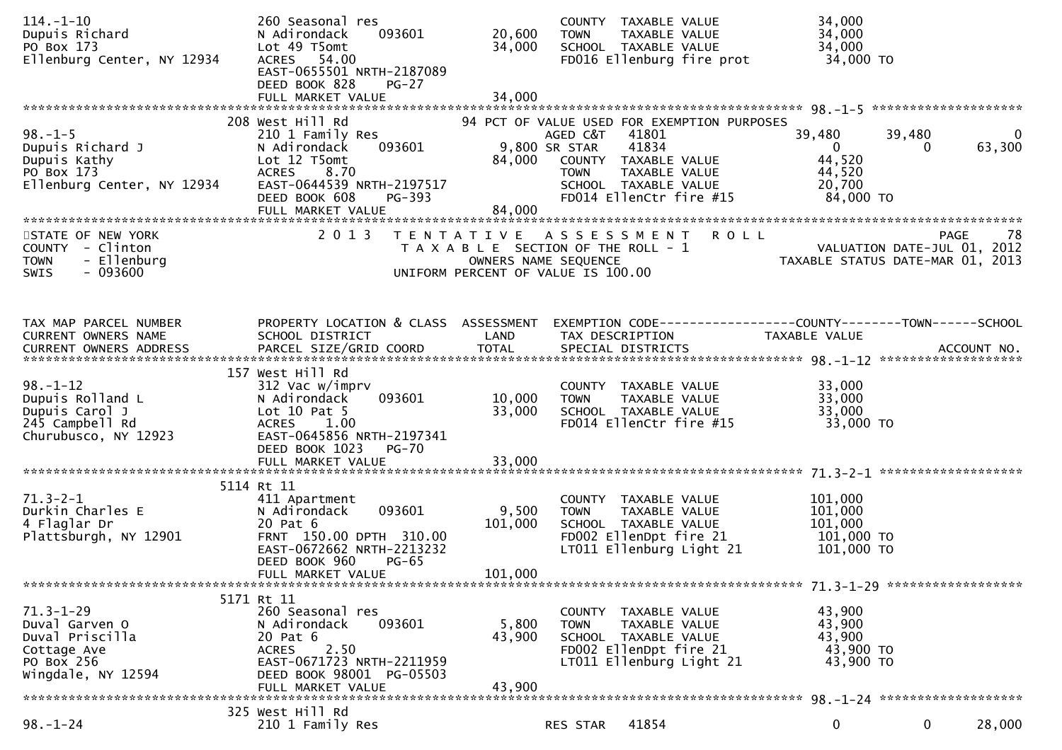| $114. - 1 - 10$<br>Dupuis Richard<br>PO Box 173                                         | 260 Seasonal res<br>093601<br>N Adirondack<br>Lot 49 T5omt                                            | 20,600<br>34,000     | COUNTY TAXABLE VALUE<br><b>TOWN</b><br>TAXABLE VALUE<br>SCHOOL TAXABLE VALUE                             | 34,000<br>34,000<br>34,000                                                                                        |
|-----------------------------------------------------------------------------------------|-------------------------------------------------------------------------------------------------------|----------------------|----------------------------------------------------------------------------------------------------------|-------------------------------------------------------------------------------------------------------------------|
| Ellenburg Center, NY 12934                                                              | ACRES 54.00<br>EAST-0655501 NRTH-2187089<br>DEED BOOK 828<br>$PG-27$                                  |                      | FD016 Ellenburg fire prot                                                                                | 34,000 TO                                                                                                         |
|                                                                                         | FULL MARKET VALUE                                                                                     | 34,000               |                                                                                                          |                                                                                                                   |
| $98. - 1 - 5$<br>Dupuis Richard J                                                       | 208 West Hill Rd<br>210 1 Family Res<br>N Adirondack<br>093601<br>Lot 12 T5omt                        |                      | 94 PCT OF VALUE USED FOR EXEMPTION PURPOSES<br>AGED C&T 41801<br>41834<br>9,800 SR STAR                  | 39,480<br>39,480<br>$\mathbf{0}$<br>63,300<br>$\mathbf{0}$<br>0                                                   |
| Dupuis Kathy<br>PO Box 173<br>Ellenburg Center, NY 12934                                | ACRES 8.70<br>EAST-0644539 NRTH-2197517<br>PG-393<br>DEED BOOK 608                                    | 84,000               | COUNTY TAXABLE VALUE<br>TAXABLE VALUE<br><b>TOWN</b><br>SCHOOL TAXABLE VALUE<br>FD014 EllenCtr fire #15  | 44,520<br>44,520<br>20,700<br>84,000 TO                                                                           |
|                                                                                         | FULL MARKET VALUE                                                                                     | 84,000               |                                                                                                          |                                                                                                                   |
| STATE OF NEW YORK<br>COUNTY - Clinton<br>- Ellenburg<br><b>TOWN</b><br>- 093600<br>SWIS | 2 0 1 3                                                                                               | OWNERS NAME SEQUENCE | TENTATIVE ASSESSMENT ROLL<br>T A X A B L E SECTION OF THE ROLL - 1<br>UNIFORM PERCENT OF VALUE IS 100.00 | -78<br>PAGE<br>VALUATION DATE-JUL 01, 2012<br>TAXABLE STATUS DATE-MAR 01, 2013                                    |
|                                                                                         |                                                                                                       |                      |                                                                                                          |                                                                                                                   |
|                                                                                         |                                                                                                       |                      |                                                                                                          |                                                                                                                   |
| TAX MAP PARCEL NUMBER<br>CURRENT OWNERS NAME                                            | SCHOOL DISTRICT                                                                                       | LAND                 | TAX DESCRIPTION                                                                                          | PROPERTY LOCATION & CLASS ASSESSMENT EXEMPTION CODE----------------COUNTY-------TOWN------SCHOOL<br>TAXABLE VALUE |
|                                                                                         | 157 West Hill Rd                                                                                      |                      |                                                                                                          |                                                                                                                   |
| $98. - 1 - 12$<br>Dupuis Rolland L<br>Dupuis Carol J                                    | 312 Vac w/imprv<br>093601<br>N Adirondack<br>Lot $10$ Pat 5                                           | 10,000<br>33,000     | COUNTY TAXABLE VALUE<br>TAXABLE VALUE<br><b>TOWN</b><br>SCHOOL TAXABLE VALUE                             | 33,000<br>33,000<br>33,000                                                                                        |
| 245 Campbell Rd<br>Churubusco, NY 12923                                                 | 1.00<br><b>ACRES</b><br>EAST-0645856 NRTH-2197341<br>DEED BOOK 1023<br>PG-70<br>FULL MARKET VALUE     | 33,000               | FD014 EllenCtr fire #15                                                                                  | 33,000 TO                                                                                                         |
|                                                                                         |                                                                                                       |                      |                                                                                                          |                                                                                                                   |
| $71.3 - 2 - 1$<br>Durkin Charles E<br>4 Flaglar Dr                                      | 5114 Rt 11<br>411 Apartment<br>093601<br>N Adirondack<br>20 Pat 6                                     | 9,500<br>101,000     | COUNTY TAXABLE VALUE<br><b>TOWN</b><br>TAXABLE VALUE<br>SCHOOL TAXABLE VALUE                             | 101,000<br>101,000<br>101,000                                                                                     |
| Plattsburgh, NY 12901                                                                   | FRNT 150.00 DPTH 310.00<br>EAST-0672662 NRTH-2213232<br>DEED BOOK 960<br>$PG-65$<br>FULL MARKET VALUE | 101,000              | FD002 EllenDpt fire 21<br>LT011 Ellenburg Light 21                                                       | 101,000 TO<br>101,000 TO                                                                                          |
|                                                                                         |                                                                                                       |                      |                                                                                                          |                                                                                                                   |
| $71.3 - 1 - 29$<br>Duval Garven O<br>Duval Priscilla<br>Cottage Ave                     | 5171 Rt 11<br>260 Seasonal res<br>093601<br>N Adirondack<br>20 Pat 6<br>2.50<br><b>ACRES</b>          | 5,800<br>43,900      | COUNTY TAXABLE VALUE<br><b>TOWN</b><br>TAXABLE VALUE<br>SCHOOL TAXABLE VALUE<br>FD002 EllenDpt fire 21   | 43,900<br>43,900<br>43,900<br>43,900 TO                                                                           |
| PO Box 256<br>Wingdale, NY 12594                                                        | EAST-0671723 NRTH-2211959<br>DEED BOOK 98001 PG-05503<br>FULL MARKET VALUE                            | 43,900               | LT011 Ellenburg Light 21                                                                                 | 43,900 TO                                                                                                         |
|                                                                                         | 325 West Hill Rd                                                                                      |                      |                                                                                                          |                                                                                                                   |
| $98. - 1 - 24$                                                                          | 210 1 Family Res                                                                                      |                      | 41854<br>RES STAR                                                                                        | $\mathbf 0$<br>$\mathbf 0$<br>28,000                                                                              |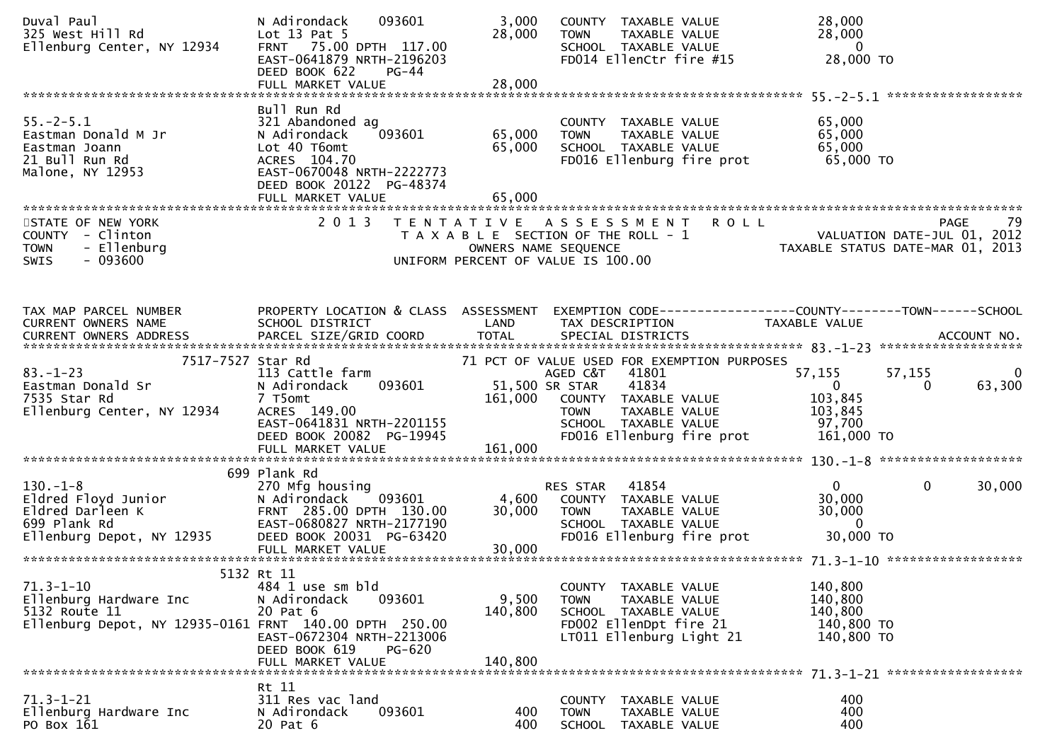| Duval Paul<br>325 West Hill Rd<br>Ellenburg Center, NY 12934                                                         | 093601<br>N Adirondack<br>Lot $13$ Pat $5$<br>FRNT 75.00 DPTH 117.00<br>EAST-0641879 NRTH-2196203<br>DEED BOOK 622<br>PG-44                                             | 3,000<br>28,000            | COUNTY TAXABLE VALUE<br>TAXABLE VALUE<br><b>TOWN</b><br>SCHOOL TAXABLE VALUE<br>FD014 EllenCtr fire #15                          | 28,000<br>28,000<br>$\overline{\mathbf{0}}$<br>28,000 TO                                         |
|----------------------------------------------------------------------------------------------------------------------|-------------------------------------------------------------------------------------------------------------------------------------------------------------------------|----------------------------|----------------------------------------------------------------------------------------------------------------------------------|--------------------------------------------------------------------------------------------------|
|                                                                                                                      |                                                                                                                                                                         |                            |                                                                                                                                  |                                                                                                  |
| $55. - 2 - 5.1$<br>Eastman Donald M Jr<br>Eastman Joann<br>21 Bull Run Rd<br>Malone, NY 12953                        | Bull Run Rd<br>321 Abandoned ag<br>093601<br>N Adirondack<br>Lot 40 T6omt<br>ACRES 104.70<br>EAST-0670048 NRTH-2222773<br>DEED BOOK 20122 PG-48374<br>FULL MARKET VALUE | 65,000<br>65,000<br>65,000 | COUNTY TAXABLE VALUE<br>TAXABLE VALUE<br><b>TOWN</b><br>SCHOOL TAXABLE VALUE<br>FD016 Ellenburg fire prot                        | 65,000<br>65,000<br>65,000<br>65,000 TO                                                          |
|                                                                                                                      |                                                                                                                                                                         |                            |                                                                                                                                  |                                                                                                  |
| STATE OF NEW YORK<br>COUNTY - Clinton<br>- Ellenburg<br><b>TOWN</b><br>$-093600$<br>SWIS                             | 2 0 1 3                                                                                                                                                                 |                            | TENTATIVE ASSESSMENT ROLL<br>T A X A B L E SECTION OF THE ROLL - 1<br>OWNERS NAME SEQUENCE<br>UNIFORM PERCENT OF VALUE IS 100.00 | <b>PAGE</b><br>79<br>ROLL - 1<br>VALUATION DATE-JUL 01, 2012<br>TAXABLE STATUS DATE-MAR 01, 2013 |
| TAX MAP PARCEL NUMBER                                                                                                | PROPERTY LOCATION & CLASS ASSESSMENT                                                                                                                                    |                            |                                                                                                                                  | EXEMPTION CODE------------------COUNTY--------TOWN------SCHOOL                                   |
| CURRENT OWNERS NAME<br>CURRENT OWNERS ADDRESS                                                                        | SCHOOL DISTRICT                                                                                                                                                         | <b>Example 12 DE LAND</b>  | TAX DESCRIPTION                                                                                                                  | TAXABLE VALUE                                                                                    |
| 7517-7527 Star Rd<br>$83 - 1 - 23$                                                                                   | 113 Cattle farm                                                                                                                                                         |                            | 71 PCT OF VALUE USED FOR EXEMPTION PURPOSES<br>AGED C&T<br>41801                                                                 | 57,155<br>57,155<br>0                                                                            |
| Eastman Donald Sr<br>7535 Star Rd<br>Ellenburg Center, NY 12934                                                      | N Adirondack<br>093601<br>7 T5omt<br>ACRES 149.00<br>EAST-0641831 NRTH-2201155<br>DEED BOOK 20082 PG-19945                                                              | 51,500 SR STAR<br>161,000  | 41834<br>COUNTY TAXABLE VALUE<br>TAXABLE VALUE<br><b>TOWN</b><br>SCHOOL TAXABLE VALUE<br>FD016 Ellenburg fire prot               | $\mathbf{0}$<br>63,300<br>0<br>103,845<br>103,845<br>97,700<br>161,000 TO                        |
|                                                                                                                      |                                                                                                                                                                         |                            |                                                                                                                                  |                                                                                                  |
| $130. - 1 - 8$<br>130.-1-8<br>Eldred Floyd Junior<br>Eldred Darleen K<br>699 Plank Rd<br>rlanburg Denot, NY 12935    | 699 Plank Rd<br>270 Mfg housing<br>093601<br>N Adirondack<br>FRNT 285.00 DPTH 130.00<br>EAST-0680827 NRTH-2177190                                                       | 4,600<br>30,000            | 41854<br>RES STAR<br>COUNTY TAXABLE VALUE<br>TAXABLE VALUE<br><b>TOWN</b><br>SCHOOL TAXABLE VALUE                                | 0<br>$\mathbf{0}$<br>30,000<br>30,000<br>30,000<br>$\overline{0}$                                |
|                                                                                                                      | DEED BOOK 20031 PG-63420<br>FULL MARKET VALUE                                                                                                                           | 30,000                     | FD016 Ellenburg fire prot                                                                                                        | 30,000 TO                                                                                        |
| $71.3 - 1 - 10$<br>Ellenburg Hardware Inc<br>5132 Route 11<br>Ellenburg Depot, NY 12935-0161 FRNT 140.00 DPTH 250.00 | 5132 Rt 11<br>484 1 use sm bld<br>093601<br>N Adirondack<br>20 Pat 6                                                                                                    | 9,500<br>140,800           | COUNTY TAXABLE VALUE<br>TAXABLE VALUE<br><b>TOWN</b><br>SCHOOL TAXABLE VALUE<br>FD002 EllenDpt fire 21                           | 140,800<br>140,800<br>140,800<br>140,800 TO                                                      |
|                                                                                                                      | EAST-0672304 NRTH-2213006<br>DEED BOOK 619<br>PG-620<br>FULL MARKET VALUE                                                                                               | 140.800                    | LT011 Ellenburg Light 21                                                                                                         | 140,800 TO                                                                                       |
|                                                                                                                      |                                                                                                                                                                         |                            |                                                                                                                                  |                                                                                                  |
| $71.3 - 1 - 21$<br>Ellenburg Hardware Inc<br>PO Box 161                                                              | Rt 11<br>311 Res vac land<br>093601<br>N Adirondack<br>20 Pat 6                                                                                                         | 400<br>400                 | COUNTY<br>TAXABLE VALUE<br><b>TOWN</b><br>TAXABLE VALUE<br>SCHOOL TAXABLE VALUE                                                  | 400<br>400<br>400                                                                                |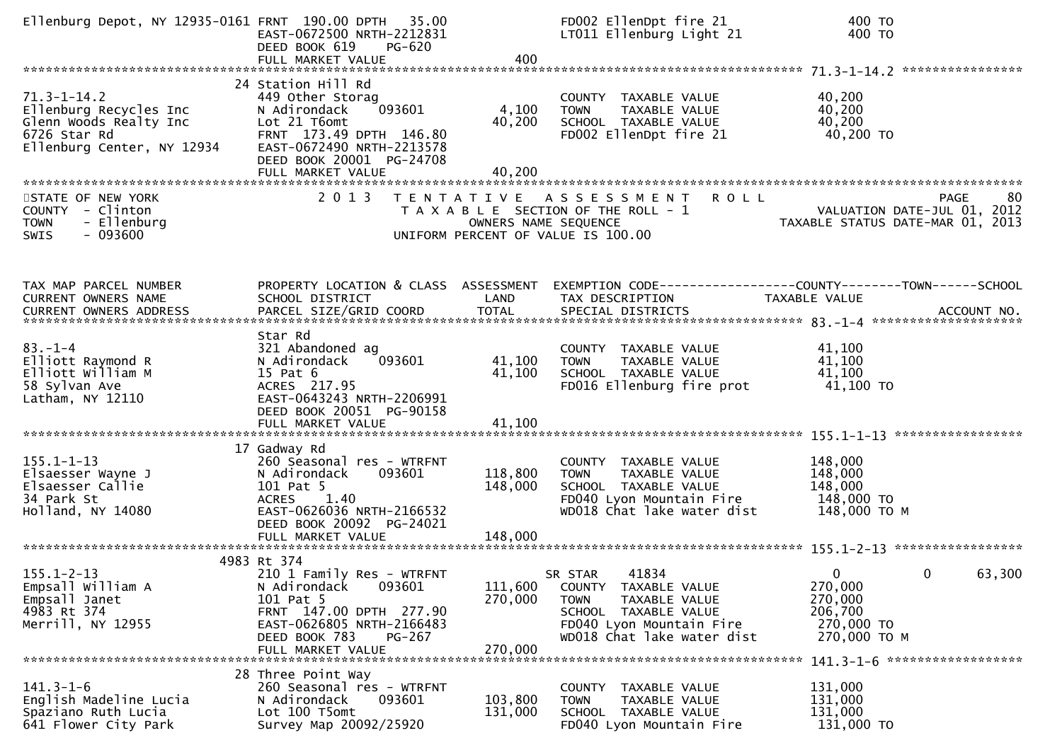| Ellenburg Depot, NY 12935-0161 FRNT 190.00 DPTH 35.00                                                               | EAST-0672500 NRTH-2212831<br>DEED BOOK 619<br>PG-620<br>FULL MARKET VALUE                                                                                                               | 400                           | FD002 EllenDpt fire 21<br>LT011 Ellenburg Light 21                                                                                                  | 400 TO<br>400 TO                                                                |
|---------------------------------------------------------------------------------------------------------------------|-----------------------------------------------------------------------------------------------------------------------------------------------------------------------------------------|-------------------------------|-----------------------------------------------------------------------------------------------------------------------------------------------------|---------------------------------------------------------------------------------|
| $71.3 - 1 - 14.2$<br>Ellenburg Recycles Inc<br>Glenn Woods Realty Inc<br>6726 Star Rd<br>Ellenburg Center, NY 12934 | 24 Station Hill Rd<br>449 Other Storag<br>093601<br>N Adirondack<br>Lot 21 T6omt<br>FRNT 173.49 DPTH 146.80<br>EAST-0672490 NRTH-2213578<br>DEED BOOK 20001 PG-24708                    | 4,100<br>40,200               | COUNTY TAXABLE VALUE<br>TAXABLE VALUE<br><b>TOWN</b><br>SCHOOL TAXABLE VALUE<br>FD002 EllenDpt fire 21                                              | 40,200<br>40,200<br>40,200<br>40,200 TO                                         |
| STATE OF NEW YORK<br>COUNTY - Clinton<br>- Ellenburg<br><b>TOWN</b><br>$-093600$<br><b>SWIS</b>                     | 2 0 1 3                                                                                                                                                                                 |                               | TENTATIVE ASSESSMENT<br><b>ROLL</b><br>T A X A B L E SECTION OF THE ROLL - 1<br>OWNERS NAME SEQUENCE<br>UNIFORM PERCENT OF VALUE IS 100.00          | 80<br>PAGE<br>VALUATION DATE-JUL 01, 2012<br>TAXABLE STATUS DATE-MAR 01, 2013   |
| TAX MAP PARCEL NUMBER<br>CURRENT OWNERS NAME                                                                        | PROPERTY LOCATION & CLASS ASSESSMENT<br>SCHOOL DISTRICT                                                                                                                                 | LAND                          | TAX DESCRIPTION                                                                                                                                     | EXEMPTION CODE-----------------COUNTY--------TOWN------SCHOOL<br>TAXABLE VALUE  |
| $83. - 1 - 4$<br>Elliott Raymond R<br>Elliott William M<br>58 Sylvan Ave<br>Latham, NY 12110                        | Star Rd<br>321 Abandoned ag<br>093601<br>N Adirondack<br>15 Pat 6<br>ACRES 217.95<br>EAST-0643243 NRTH-2206991<br>DEED BOOK 20051 PG-90158<br>FULL MARKET VALUE                         | 41,100<br>41,100<br>41,100    | COUNTY TAXABLE VALUE<br><b>TOWN</b><br>TAXABLE VALUE<br>SCHOOL TAXABLE VALUE<br>FD016 Ellenburg fire prot                                           | 41,100<br>41,100<br>41,100<br>41,100 TO                                         |
| $155.1 - 1 - 13$<br>Elsaesser Wayne J<br>Elsaesser Callie<br>34 Park St<br>Holland, NY 14080                        | 17 Gadway Rd<br>260 Seasonal res - WTRFNT<br>N Adirondack<br>093601<br>101 Pat 5<br>1.40<br><b>ACRES</b><br>EAST-0626036 NRTH-2166532<br>DEED BOOK 20092 PG-24021                       | 118,800<br>148,000            | COUNTY TAXABLE VALUE<br>TAXABLE VALUE<br><b>TOWN</b><br>SCHOOL TAXABLE VALUE<br>FD040 Lyon Mountain Fire<br>WD018 Chat lake water dist              | 148,000<br>148,000<br>148,000<br>148,000 TO<br>148,000 ТО М                     |
| $155.1 - 2 - 13$<br>Empsall William A<br>Empsall Janet<br>4983 Rt 374<br>Merrill, NY 12955                          | 4983 Rt 374<br>210 1 Family Res - WTRFNT<br>093601<br>N Adirondack<br>101 Pat 5<br>FRNT 147.00 DPTH 277.90<br>EAST-0626805 NRTH-2166483<br>DEED BOOK 783<br>PG-267<br>FULL MARKET VALUE | 111,600<br>270,000<br>270,000 | 41834<br>SR STAR<br>COUNTY TAXABLE VALUE<br>TAXABLE VALUE<br>TOWN<br>SCHOOL TAXABLE VALUE<br>FD040 Lyon Mountain Fire<br>WD018 Chat lake water dist | 0<br>63,300<br>0<br>270,000<br>270,000<br>206,700<br>270,000 TO<br>270,000 TO M |
| $141.3 - 1 - 6$<br>English Madeline Lucia<br>Spaziano Ruth Lucia<br>641 Flower City Park                            | 28 Three Point Way<br>260 Seasonal res - WTRFNT<br>N Adirondack<br>093601<br>Lot 100 T5omt<br>Survey Map 20092/25920                                                                    | 103,800<br>131,000            | COUNTY TAXABLE VALUE<br>TAXABLE VALUE<br><b>TOWN</b><br>SCHOOL TAXABLE VALUE<br>FD040 Lyon Mountain Fire                                            | 131,000<br>131,000<br>131,000<br>131,000 TO                                     |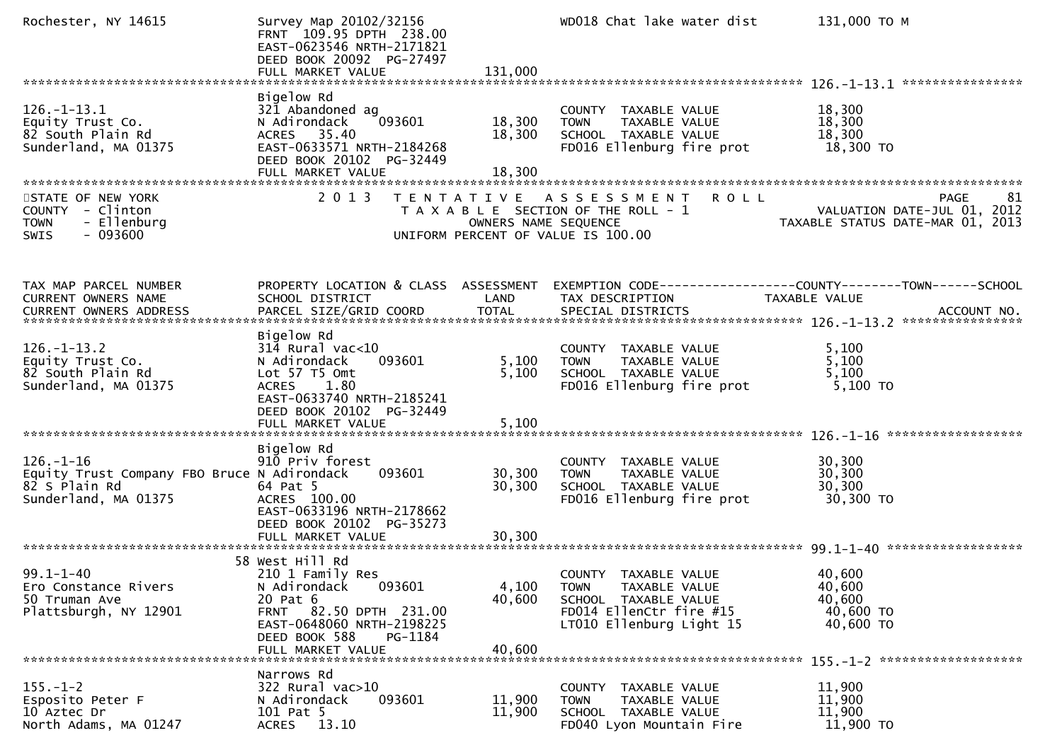| Rochester, NY 14615                                                                                     | Survey Map 20102/32156<br>FRNT 109.95 DPTH 238.00<br>EAST-0623546 NRTH-2171821<br>DEED BOOK 20092 PG-27497                                                                        |                           | WD018 Chat lake water dist                                                                                                                    | 131,000 ТО М                                                                         |
|---------------------------------------------------------------------------------------------------------|-----------------------------------------------------------------------------------------------------------------------------------------------------------------------------------|---------------------------|-----------------------------------------------------------------------------------------------------------------------------------------------|--------------------------------------------------------------------------------------|
|                                                                                                         |                                                                                                                                                                                   |                           |                                                                                                                                               |                                                                                      |
| $126. - 1 - 13.1$<br>Equity Trust Co.<br>82 South Plain Rd<br>Sunderland, MA 01375                      | Bigelow Rd<br>321 Abandoned ag<br>093601<br>N Adirondack<br>ACRES 35.40<br>EAST-0633571 NRTH-2184268<br>DEED BOOK 20102 PG-32449                                                  | 18,300<br>18,300          | COUNTY TAXABLE VALUE<br><b>TOWN</b><br>TAXABLE VALUE<br>SCHOOL TAXABLE VALUE<br>FD016 Ellenburg fire prot                                     | 18,300<br>18,300<br>18,300<br>18,300 TO                                              |
| STATE OF NEW YORK<br>COUNTY - Clinton<br>- Ellenburg<br><b>TOWN</b>                                     | 2 0 1 3                                                                                                                                                                           | OWNERS NAME SEQUENCE      | TENTATIVE ASSESSMENT<br><b>ROLL</b><br>T A X A B L E SECTION OF THE ROLL - 1                                                                  | 81<br><b>PAGE</b><br>VALUATION DATE-JUL 01, 2012<br>TAXABLE STATUS DATE-MAR 01, 2013 |
| $-093600$<br><b>SWIS</b>                                                                                |                                                                                                                                                                                   |                           | UNIFORM PERCENT OF VALUE IS 100.00                                                                                                            |                                                                                      |
| TAX MAP PARCEL NUMBER<br>CURRENT OWNERS NAME                                                            | PROPERTY LOCATION & CLASS ASSESSMENT<br>SCHOOL DISTRICT                                                                                                                           | LAND                      | TAX DESCRIPTION                                                                                                                               | EXEMPTION CODE-----------------COUNTY-------TOWN------SCHOOL<br><b>TAXABLE VALUE</b> |
| $126. - 1 - 13.2$<br>Equity Trust Co.<br>82 South Plain Rd<br>Sunderland, MA 01375                      | Bigelow Rd<br>$314$ Rural vac<10<br>N Adirondack<br>093601<br>Lot 57 T5 Omt<br>ACRES 1.80<br>EAST-0633740 NRTH-2185241<br>DEED BOOK 20102 PG-32449<br>FULL MARKET VALUE           | 5,100<br>5,100<br>5,100   | COUNTY TAXABLE VALUE<br>TAXABLE VALUE<br><b>TOWN</b><br>SCHOOL TAXABLE VALUE<br>FD016 Ellenburg fire prot                                     | 5,100<br>5,100<br>5,100<br>5,100 TO                                                  |
|                                                                                                         |                                                                                                                                                                                   |                           |                                                                                                                                               |                                                                                      |
| $126. - 1 - 16$<br>Equity Trust Company FBO Bruce N Adirondack<br>82 S Plain Rd<br>Sunderland, MA 01375 | Bigelow Rd<br>910 Priv forest<br>093601<br>64 Pat 5<br>ACRES 100.00<br>EAST-0633196 NRTH-2178662<br>DEED BOOK 20102 PG-35273                                                      | 30,300<br>30,300          | COUNTY<br>TAXABLE VALUE<br><b>TAXABLE VALUE</b><br><b>TOWN</b><br>SCHOOL TAXABLE VALUE<br>FD016 Ellenburg fire prot                           | 30,300<br>30,300<br>30,300<br>30,300 TO                                              |
|                                                                                                         |                                                                                                                                                                                   |                           |                                                                                                                                               |                                                                                      |
| $99.1 - 1 - 40$<br>Ero Constance Rivers<br>50 Truman Ave<br>Plattsburgh, NY 12901                       | 58 West Hill Rd<br>210 1 Family Res<br>093601<br>N Adirondack<br>20 Pat 6<br>FRNT 82.50 DPTH 231.00<br>EAST-0648060 NRTH-2198225<br>DEED BOOK 588<br>PG-1184<br>FULL MARKET VALUE | 4,100<br>40,600<br>40,600 | <b>COUNTY</b><br>TAXABLE VALUE<br>TAXABLE VALUE<br><b>TOWN</b><br>SCHOOL TAXABLE VALUE<br>FD014 EllenCtr fire #15<br>LT010 Ellenburg Light 15 | 40,600<br>40,600<br>40,600<br>40,600 TO<br>40,600 TO                                 |
|                                                                                                         | Narrows Rd                                                                                                                                                                        |                           |                                                                                                                                               |                                                                                      |
| $155. - 1 - 2$<br>Esposito Peter F<br>10 Aztec Dr<br>North Adams, MA 01247                              | 322 Rural vac>10<br>093601<br>N Adirondack<br>101 Pat 5<br>ACRES 13.10                                                                                                            | 11,900<br>11,900          | COUNTY TAXABLE VALUE<br><b>TOWN</b><br>TAXABLE VALUE<br>SCHOOL TAXABLE VALUE<br>FD040 Lyon Mountain Fire                                      | 11,900<br>11,900<br>11,900<br>11,900 TO                                              |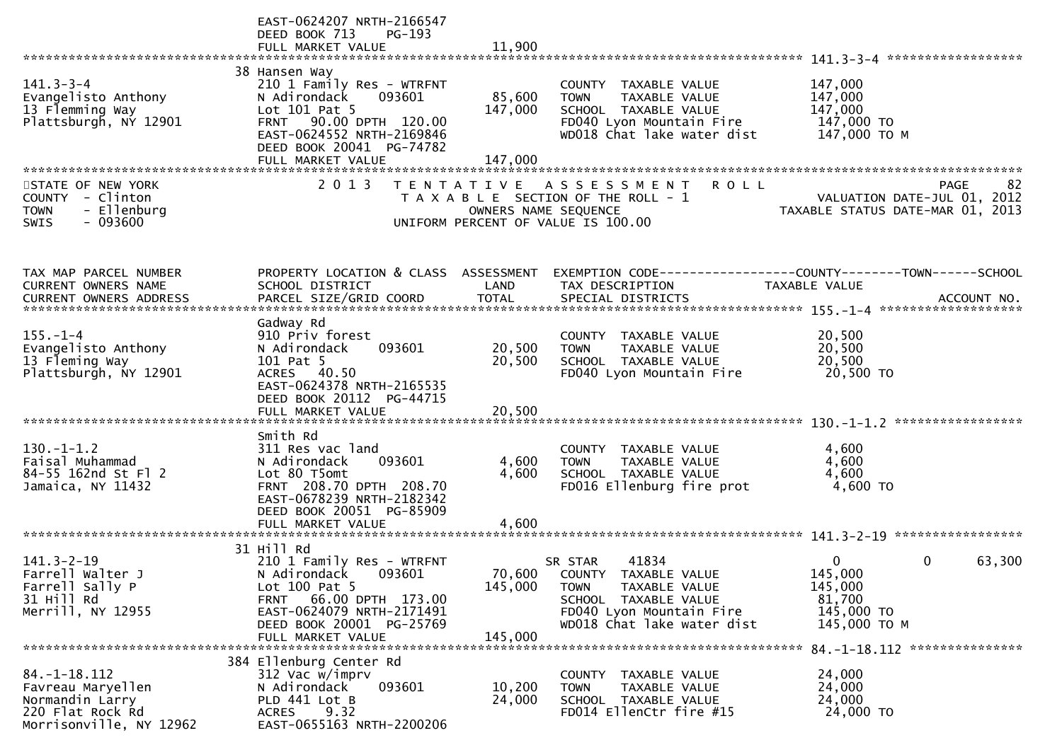|                                                                                                           | EAST-0624207 NRTH-2166547<br>DEED BOOK 713<br>PG-193<br>FULL MARKET VALUE                                                                                                                               | 11,900                       |                                                                                                                                                            |                                                                                      |    |
|-----------------------------------------------------------------------------------------------------------|---------------------------------------------------------------------------------------------------------------------------------------------------------------------------------------------------------|------------------------------|------------------------------------------------------------------------------------------------------------------------------------------------------------|--------------------------------------------------------------------------------------|----|
|                                                                                                           |                                                                                                                                                                                                         |                              |                                                                                                                                                            |                                                                                      |    |
| $141.3 - 3 - 4$<br>Evangelisto Anthony<br>13 Flemming Way<br>Plattsburgh, NY 12901                        | 38 Hansen Way<br>210 1 Family Res - WTRFNT<br>093601<br>N Adirondack<br>Lot 101 Pat 5<br>90.00 DPTH 120.00<br><b>FRNT</b><br>EAST-0624552 NRTH-2169846<br>DEED BOOK 20041 PG-74782<br>FULL MARKET VALUE | 85,600<br>147,000<br>147,000 | COUNTY TAXABLE VALUE<br>TAXABLE VALUE<br><b>TOWN</b><br>SCHOOL TAXABLE VALUE<br>FD040 Lyon Mountain Fire<br>WD018 Chat lake water dist                     | 147,000<br>147,000<br>147,000<br>147,000 TO<br>147,000 TO M                          |    |
|                                                                                                           |                                                                                                                                                                                                         |                              |                                                                                                                                                            |                                                                                      |    |
| STATE OF NEW YORK<br><b>COUNTY</b><br>- Clinton<br>- Ellenburg<br><b>TOWN</b><br>$-093600$<br><b>SWIS</b> | 2 0 1 3                                                                                                                                                                                                 | OWNERS NAME SEQUENCE         | <b>ROLL</b><br>TENTATIVE ASSESSMENT<br>T A X A B L E SECTION OF THE ROLL - 1<br>UNIFORM PERCENT OF VALUE IS 100.00                                         | <b>PAGE</b><br>VALUATION DATE-JUL 01, 2012<br>TAXABLE STATUS DATE-MAR 01, 2013       | 82 |
| TAX MAP PARCEL NUMBER<br>CURRENT OWNERS NAME                                                              | PROPERTY LOCATION & CLASS ASSESSMENT<br>SCHOOL DISTRICT                                                                                                                                                 | LAND                         | TAX DESCRIPTION                                                                                                                                            | EXEMPTION CODE-----------------COUNTY-------TOWN------SCHOOL<br><b>TAXABLE VALUE</b> |    |
|                                                                                                           | Gadway Rd                                                                                                                                                                                               |                              |                                                                                                                                                            |                                                                                      |    |
| $155. - 1 - 4$<br>Evangelisto Anthony<br>13 Fleming Way<br>Plattsburgh, NY 12901                          | 910 Priv forest<br>093601<br>N Adirondack<br>101 Pat 5<br>ACRES 40.50<br>EAST-0624378 NRTH-2165535<br>DEED BOOK 20112 PG-44715<br>FULL MARKET VALUE                                                     | 20,500<br>20,500<br>20,500   | COUNTY TAXABLE VALUE<br><b>TOWN</b><br>TAXABLE VALUE<br>SCHOOL TAXABLE VALUE<br>FD040 Lyon Mountain Fire                                                   | 20,500<br>20,500<br>20,500<br>20,500 TO                                              |    |
|                                                                                                           |                                                                                                                                                                                                         |                              |                                                                                                                                                            |                                                                                      |    |
| $130.-1-1.2$<br>Faisal Muhammad<br>84-55 162nd St Fl 2<br>Jamaica, NY 11432                               | Smith Rd<br>311 Res vac land<br>093601<br>N Adirondack<br>Lot 80 T5omt<br>FRNT 208.70 DPTH 208.70<br>EAST-0678239 NRTH-2182342<br>DEED BOOK 20051 PG-85909                                              | 4,600<br>4,600               | COUNTY TAXABLE VALUE<br><b>TOWN</b><br>TAXABLE VALUE<br>SCHOOL TAXABLE VALUE<br>FD016 Ellenburg fire prot                                                  | 4,600<br>4,600<br>4,600<br>4,600 TO                                                  |    |
|                                                                                                           | FULL MARKET VALUE                                                                                                                                                                                       | 4,600                        |                                                                                                                                                            |                                                                                      |    |
|                                                                                                           |                                                                                                                                                                                                         |                              |                                                                                                                                                            |                                                                                      |    |
| $141.3 - 2 - 19$<br>Farrell Walter J<br>Farrell Sally P<br>31 Hill Rd<br>Merrill, NY 12955                | 31 Hill Rd<br>210 1 Family Res - WTRFNT<br>N Adirondack<br>093601<br>Lot 100 Pat 5<br>66.00 DPTH 173.00<br><b>FRNT</b><br>EAST-0624079 NRTH-2171491<br>DEED BOOK 20001 PG-25769                         | 70,600<br>145,000            | 41834<br>SR STAR<br>COUNTY TAXABLE VALUE<br>TAXABLE VALUE<br><b>TOWN</b><br>SCHOOL TAXABLE VALUE<br>FD040 Lyon Mountain Fire<br>WD018 Chat lake water dist | 0<br>0<br>63,300<br>145,000<br>145,000<br>81,700<br>145,000 TO<br>145,000 TO M       |    |
|                                                                                                           | FULL MARKET VALUE                                                                                                                                                                                       | 145,000                      |                                                                                                                                                            |                                                                                      |    |
|                                                                                                           |                                                                                                                                                                                                         |                              |                                                                                                                                                            | 84. -1-18. 112 ****************                                                      |    |
| $84. - 1 - 18.112$<br>Favreau Maryellen<br>Normandin Larry<br>220 Flat Rock Rd<br>Morrisonville, NY 12962 | 384 Ellenburg Center Rd<br>312 Vac w/imprv<br>093601<br>N Adirondack<br>PLD 441 Lot B<br>9.32<br>ACRES<br>EAST-0655163 NRTH-2200206                                                                     | 10,200<br>24,000             | COUNTY TAXABLE VALUE<br><b>TOWN</b><br>TAXABLE VALUE<br>SCHOOL TAXABLE VALUE<br>FD014 EllenCtr fire #15                                                    | 24,000<br>24,000<br>24,000<br>24,000 TO                                              |    |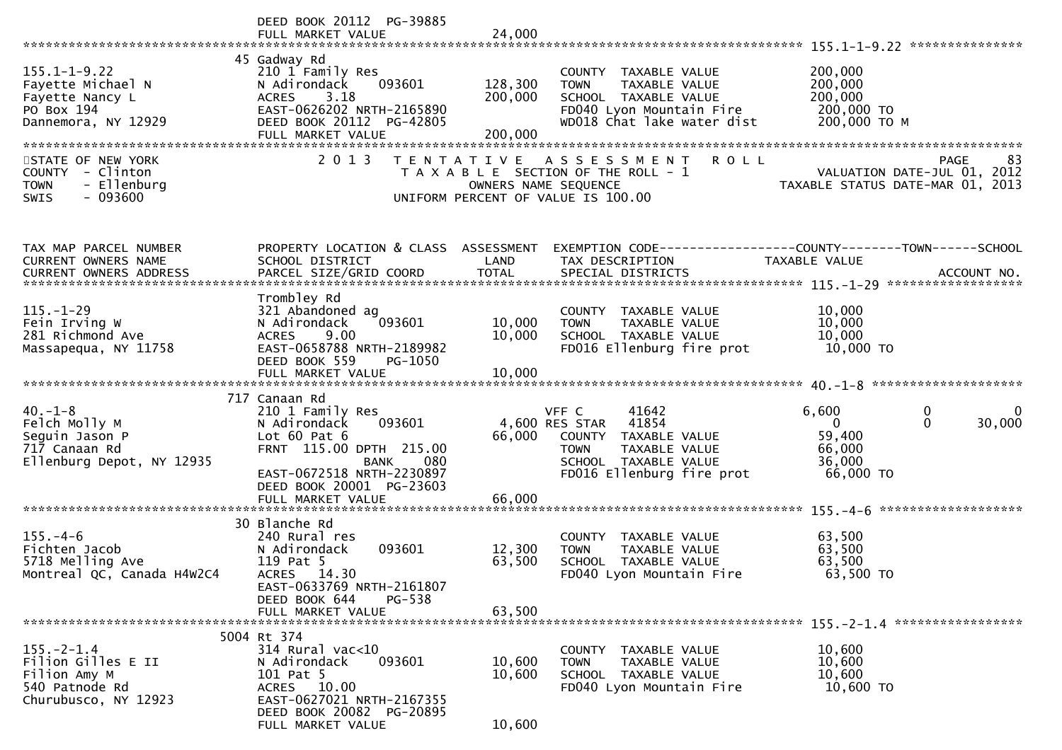| DEED BOOK 20112 PG-39885<br>FULL MARKET VALUE                                                                                                                                             | 24,000                                                            |                                                                                                                                        |                                                                                                                                              |
|-------------------------------------------------------------------------------------------------------------------------------------------------------------------------------------------|-------------------------------------------------------------------|----------------------------------------------------------------------------------------------------------------------------------------|----------------------------------------------------------------------------------------------------------------------------------------------|
| 45 Gadway Rd<br>210 1 Family Res<br>093601<br>N Adirondack<br>3.18<br><b>ACRES</b><br>EAST-0626202 NRTH-2165890<br>DEED BOOK 20112 PG-42805<br>FULL MARKET VALUE                          | 128,300<br>200,000<br>200,000                                     | COUNTY TAXABLE VALUE<br>TAXABLE VALUE<br><b>TOWN</b><br>SCHOOL TAXABLE VALUE<br>FD040 Lyon Mountain Fire<br>WD018 Chat lake water dist | 200,000<br>200,000<br>200,000<br>200,000 TO<br>200,000 ТО М                                                                                  |
| 2 0 1 3                                                                                                                                                                                   |                                                                   | <b>ROLL</b>                                                                                                                            | PAGE<br>83<br>VALUATION DATE-JUL 01, 2012<br>TAXABLE STATUS DATE-MAR 01, 2013                                                                |
| SCHOOL DISTRICT<br>PARCEL SIZE/GRID COORD                                                                                                                                                 | LAND<br><b>TOTAL</b>                                              | TAX DESCRIPTION<br>SPECIAL DISTRICTS                                                                                                   | EXEMPTION CODE-----------------COUNTY-------TOWN------SCHOOL<br>TAXABLE VALUE<br>ACCOUNT NO.                                                 |
| Trombley Rd<br>321 Abandoned ag<br>093601<br>N Adirondack<br>9.00<br><b>ACRES</b><br>EAST-0658788 NRTH-2189982<br>DEED BOOK 559<br>PG-1050<br>FULL MARKET VALUE                           | 10,000<br>10,000<br>10,000                                        | COUNTY TAXABLE VALUE<br>TAXABLE VALUE<br><b>TOWN</b><br>SCHOOL TAXABLE VALUE<br>FD016 Ellenburg fire prot                              | 10,000<br>10,000<br>10,000<br>10,000 TO                                                                                                      |
| 717 Canaan Rd<br>210 1 Family Res<br>093601<br>N Adirondack<br>Lot $60$ Pat $6$<br>FRNT 115.00 DPTH 215.00<br>080<br><b>BANK</b><br>EAST-0672518 NRTH-2230897<br>DEED BOOK 20001 PG-23603 | 66,000                                                            | 41642<br>41854<br>COUNTY TAXABLE VALUE<br><b>TOWN</b><br>TAXABLE VALUE<br>SCHOOL TAXABLE VALUE<br>FD016 Ellenburg fire prot            | 6,600<br>0<br>0<br>30,000<br>$\Omega$<br>$\Omega$<br>59,400<br>66,000<br>36,000<br>66,000 TO                                                 |
|                                                                                                                                                                                           |                                                                   |                                                                                                                                        |                                                                                                                                              |
| 30 Blanche Rd<br>240 Rural res<br>093601<br>N Adirondack<br>119 Pat 5<br>ACRES 14.30<br>EAST-0633769 NRTH-2161807                                                                         | 12,300<br>63,500                                                  | TAXABLE VALUE<br>COUNTY<br>TAXABLE VALUE<br><b>TOWN</b><br>SCHOOL TAXABLE VALUE<br>FD040 Lyon Mountain Fire                            | 63,500<br>63,500<br>63,500<br>63,500 TO                                                                                                      |
| FULL MARKET VALUE                                                                                                                                                                         | 63,500                                                            |                                                                                                                                        |                                                                                                                                              |
| 5004 Rt 374<br>$314$ Rural vac<10<br>N Adirondack<br>093601<br>101 Pat 5<br>ACRES 10.00<br>EAST-0627021 NRTH-2167355<br>DEED BOOK 20082 PG-20895                                          | 10,600<br>10,600                                                  | COUNTY TAXABLE VALUE<br><b>TOWN</b><br>TAXABLE VALUE<br>SCHOOL TAXABLE VALUE<br>FD040 Lyon Mountain Fire                               | 10,600<br>10,600<br>10,600<br>10,600 TO                                                                                                      |
|                                                                                                                                                                                           | FULL MARKET VALUE<br>DEED BOOK 644<br>PG-538<br>FULL MARKET VALUE | T E N T A T I V E<br>PROPERTY LOCATION & CLASS ASSESSMENT<br>66,000<br>10,600                                                          | ASSESSMENT<br>T A X A B L E SECTION OF THE ROLL - 1<br>OWNERS NAME SEQUENCE<br>UNIFORM PERCENT OF VALUE IS 100.00<br>VFF C<br>4,600 RES STAR |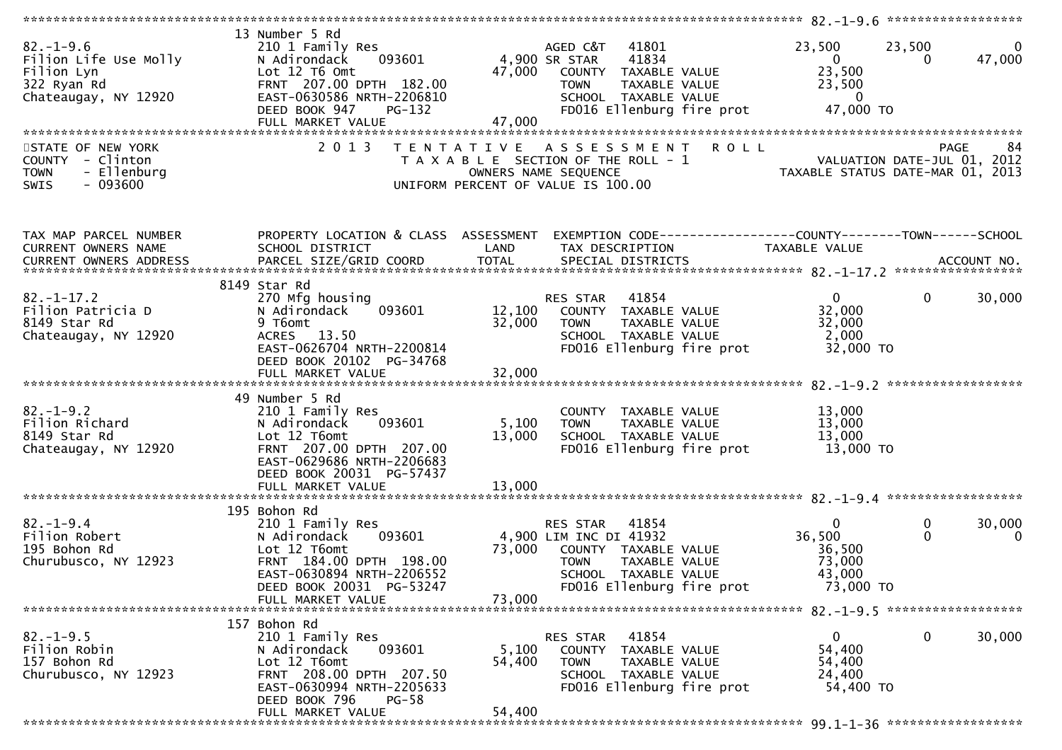| $82. - 1 - 9.6$<br>Filion Life Use Molly<br>Filion Lyn<br>322 Ryan Rd<br>Chateaugay, NY 12920   | 13 Number 5 Rd<br>210 1 Family Res<br>093601<br>N Adirondack<br>Lot 12 T6 Omt<br>FRNT 207.00 DPTH 182.00<br>EAST-0630586 NRTH-2206810<br>DEED BOOK 947<br><b>PG-132</b><br>FULL MARKET VALUE | 4,900 SR STAR<br>47,000<br>47,000 | 41801<br>AGED C&T<br>41834<br>COUNTY TAXABLE VALUE<br><b>TOWN</b><br>TAXABLE VALUE<br>SCHOOL TAXABLE VALUE<br>FD016 Ellenburg fire prot                  | 23,500<br>$\overline{0}$<br>23,500<br>23,500<br>$\overline{\mathbf{0}}$<br>47,000 TO | 23,500<br>$\mathbf{0}$<br>47,000<br>$\Omega$ |
|-------------------------------------------------------------------------------------------------|----------------------------------------------------------------------------------------------------------------------------------------------------------------------------------------------|-----------------------------------|----------------------------------------------------------------------------------------------------------------------------------------------------------|--------------------------------------------------------------------------------------|----------------------------------------------|
| STATE OF NEW YORK<br>COUNTY - Clinton<br>- Ellenburg<br><b>TOWN</b><br>$-093600$<br><b>SWIS</b> | 2 0 1 3                                                                                                                                                                                      | T E N T A T I V E                 | <b>ROLL</b><br>A S S E S S M E N T<br>T A X A B L E SECTION OF THE ROLL - 1<br>OWNERS NAME SEQUENCE<br>UNIFORM PERCENT OF VALUE IS 100.00                | VALUATION DATE-JUL 01, 2012<br>TAXABLE STATUS DATE-MAR 01, 2013                      | 84<br><b>PAGE</b>                            |
| TAX MAP PARCEL NUMBER<br>CURRENT OWNERS NAME                                                    | PROPERTY LOCATION & CLASS ASSESSMENT<br>SCHOOL DISTRICT                                                                                                                                      | LAND                              | EXEMPTION CODE------------------COUNTY--------TOWN------SCHOOL<br>TAX DESCRIPTION                                                                        | TAXABLE VALUE                                                                        |                                              |
| $82. - 1 - 17.2$<br>Filion Patricia D<br>8149 Star Rd<br>Chateaugay, NY 12920                   | 8149 Star Rd<br>270 Mfg housing<br>093601<br>N Adirondack<br>9 T6omt<br>ACRES 13.50<br>EAST-0626704 NRTH-2200814<br>DEED BOOK 20102 PG-34768                                                 | 12,100<br>32,000                  | 41854<br>RES STAR<br>COUNTY TAXABLE VALUE<br><b>TOWN</b><br>TAXABLE VALUE<br>SCHOOL TAXABLE VALUE<br>FD016 Ellenburg fire prot                           | $\mathbf{0}$<br>32,000<br>32,000<br>2,000<br>32,000 TO                               | $\mathbf 0$<br>30,000                        |
| $82. - 1 - 9.2$<br>Filion Richard<br>8149 Star Rd<br>Chateaugay, NY 12920                       | 49 Number 5 Rd<br>210 1 Family Res<br>093601<br>N Adirondack<br>Lot 12 T6omt<br>FRNT 207.00 DPTH 207.00<br>EAST-0629686 NRTH-2206683<br>DEED BOOK 20031 PG-57437<br>FULL MARKET VALUE        | 5,100<br>13,000<br>13,000         | COUNTY TAXABLE VALUE<br><b>TOWN</b><br>TAXABLE VALUE<br>SCHOOL TAXABLE VALUE<br>FD016 Ellenburg fire prot                                                | 13,000<br>13,000<br>13,000<br>13,000 TO                                              |                                              |
| $82. - 1 - 9.4$<br>Filion Robert<br>195 Bohon Rd<br>Churubusco, NY 12923                        | 195 Bohon Rd<br>210 1 Family Res<br>N Adirondack<br>093601<br>Lot 12 T6omt<br>FRNT 184.00 DPTH 198.00<br>EAST-0630894 NRTH-2206552<br>DEED BOOK 20031 PG-53247<br>FULL MARKET VALUE          | 73,000<br>73,000                  | 41854<br>RES STAR<br>4,900 LIM INC DI 41932<br>COUNTY TAXABLE VALUE<br><b>TOWN</b><br>TAXABLE VALUE<br>SCHOOL TAXABLE VALUE<br>FD016 Ellenburg fire prot | $\mathbf{0}$<br>36,500<br>36,500<br>73,000<br>43,000<br>73,000 TO                    | $\bf{0}$<br>30,000<br>$\Omega$<br>$\Omega$   |
| $82. - 1 - 9.5$<br>Filion Robin<br>157 Bohon Rd<br>Churubusco, NY 12923                         | 157 Bohon Rd<br>210 1 Family Res<br>N Adirondack<br>093601<br>Lot 12 T6omt<br>FRNT 208.00 DPTH 207.50<br>EAST-0630994 NRTH-2205633<br>DEED BOOK 796<br>$PG-58$<br>FULL MARKET VALUE          | 5,100<br>54,400<br>54,400         | RES STAR<br>41854<br>COUNTY TAXABLE VALUE<br>TAXABLE VALUE<br><b>TOWN</b><br>SCHOOL TAXABLE VALUE<br>FD016 Ellenburg fire prot                           | 0<br>54,400<br>54,400<br>24,400<br>54,400 TO                                         | 0<br>30,000                                  |
|                                                                                                 |                                                                                                                                                                                              |                                   |                                                                                                                                                          |                                                                                      |                                              |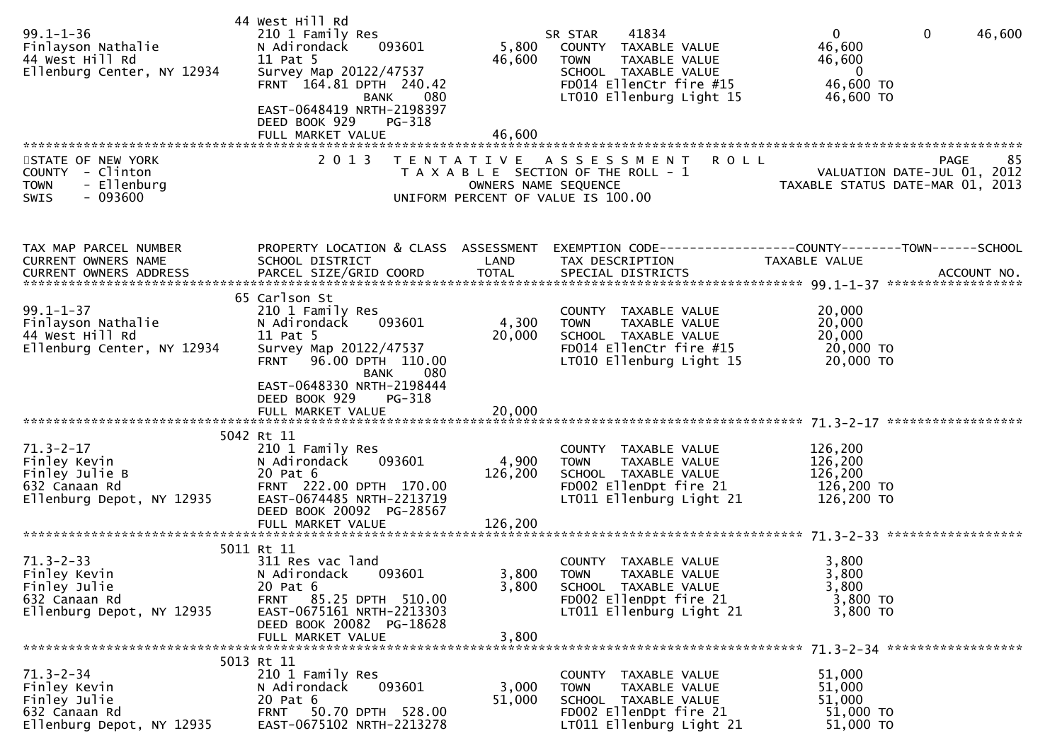| $99.1 - 1 - 36$<br>Finlayson Nathalie<br>44 West Hill Rd<br>Ellenburg Center, NY 12934          | 44 West Hill Rd<br>210 1 Family Res<br>093601<br>N Adirondack<br>11 Pat 5<br>Survey Map 20122/47537<br>FRNT 164.81 DPTH 240.42<br><b>BANK</b><br>080<br>EAST-0648419 NRTH-2198397                  | 5,800<br>46,600                | 41834<br>SR STAR<br>COUNTY TAXABLE VALUE<br>TAXABLE VALUE<br><b>TOWN</b><br>SCHOOL TAXABLE VALUE<br>FD014 EllenCtr fire #15<br>LT010 Ellenburg Light 15 | $\mathbf{0}$<br>$\mathbf{0}$<br>46,600<br>46,600<br>46,600<br>$\overline{0}$<br>46,600 TO<br>46,600 TO |
|-------------------------------------------------------------------------------------------------|----------------------------------------------------------------------------------------------------------------------------------------------------------------------------------------------------|--------------------------------|---------------------------------------------------------------------------------------------------------------------------------------------------------|--------------------------------------------------------------------------------------------------------|
| STATE OF NEW YORK<br>COUNTY - Clinton<br><b>TOWN</b><br>- Ellenburg<br>$-093600$<br><b>SWIS</b> | DEED BOOK 929<br>PG-318<br>FULL MARKET VALUE<br>2 0 1 3                                                                                                                                            | 46,600<br>OWNERS NAME SEQUENCE | <b>ROLL</b><br>TENTATIVE ASSESSMENT<br>T A X A B L E SECTION OF THE ROLL - 1<br>UNIFORM PERCENT OF VALUE IS 100.00                                      | 85<br><b>PAGE</b><br>VALUATION DATE-JUL 01, 2012<br>TAXABLE STATUS DATE-MAR 01, 2013                   |
| TAX MAP PARCEL NUMBER<br>CURRENT OWNERS NAME                                                    | PROPERTY LOCATION & CLASS ASSESSMENT<br>SCHOOL DISTRICT                                                                                                                                            | LAND                           | TAX DESCRIPTION                                                                                                                                         | EXEMPTION CODE-----------------COUNTY-------TOWN------SCHOOL<br>TAXABLE VALUE                          |
| $99.1 - 1 - 37$<br>Finlayson Nathalie<br>44 West Hill Rd<br>Ellenburg Center, NY 12934          | 65 Carlson St<br>210 1 Family Res<br>N Adirondack<br>093601<br>11 Pat 5<br>Survey Map 20122/47537<br>FRNT 96.00 DPTH 110.00<br>080<br>BANK<br>EAST-0648330 NRTH-2198444<br>DEED BOOK 929<br>PG-318 | 4,300<br>20,000                | COUNTY TAXABLE VALUE<br>TAXABLE VALUE<br><b>TOWN</b><br>SCHOOL TAXABLE VALUE<br>FD014 EllenCtr fire #15<br>LT010 Ellenburg Light 15                     | 20,000<br>20,000<br>20,000<br>20,000 TO<br>20,000 TO                                                   |
|                                                                                                 |                                                                                                                                                                                                    |                                |                                                                                                                                                         |                                                                                                        |
| $71.3 - 2 - 17$<br>Finley Kevin<br>Finley Julie B<br>632 Canaan Rd<br>Ellenburg Depot, NY 12935 | 5042 Rt 11<br>210 1 Family Res<br>093601<br>N Adirondack<br>20 Pat 6<br>FRNT 222.00 DPTH 170.00<br>EAST-0674485 NRTH-2213719<br>DEED BOOK 20092 PG-28567<br>FULL MARKET VALUE                      | 4,900<br>126,200<br>126,200    | COUNTY TAXABLE VALUE<br><b>TOWN</b><br>TAXABLE VALUE<br>SCHOOL TAXABLE VALUE<br>FD002 EllenDpt fire 21<br>LT011 Ellenburg Light 21                      | 126,200<br>126,200<br>126,200<br>126,200 TO<br>126,200 TO                                              |
|                                                                                                 | 5011 Rt 11                                                                                                                                                                                         |                                |                                                                                                                                                         |                                                                                                        |
| $71.3 - 2 - 33$<br>Finley Kevin<br>Finley Julie<br>632 Canaan Rd<br>Ellenburg Depot, NY 12935   | 311 Res vac land<br>N Adirondack 093601<br>20 Pat 6<br>FRNT 85.25 DPTH 510.00<br>EAST-0675161 NRTH-2213303<br>DEED BOOK 20082 PG-18628                                                             | 3,800                          | COUNTY TAXABLE VALUE<br>3,800 TOWN TAXABLE VALUE<br>SCHOOL TAXABLE VALUE<br>FD002 EllenDpt fire 21<br>LT011 Ellenburg Light 21                          | 3,800<br>3,800<br>3,800<br>3,800 TO<br>3,800 TO                                                        |
|                                                                                                 | FULL MARKET VALUE                                                                                                                                                                                  | 3,800                          |                                                                                                                                                         |                                                                                                        |
| $71.3 - 2 - 34$<br>Finley Kevin<br>Finley Julie<br>632 Canaan Rd<br>Ellenburg Depot, NY 12935   | 5013 Rt 11<br>210 1 Family Res<br>093601<br>N Adirondack<br>20 Pat 6<br>FRNT 50.70 DPTH 528.00<br>EAST-0675102 NRTH-2213278                                                                        | 3,000<br>51,000                | COUNTY TAXABLE VALUE<br>TAXABLE VALUE<br><b>TOWN</b><br>SCHOOL TAXABLE VALUE<br>FD002 EllenDpt fire 21<br>LT011 Ellenburg Light 21                      | 51,000<br>51,000<br>51,000<br>51,000 TO<br>51,000 TO                                                   |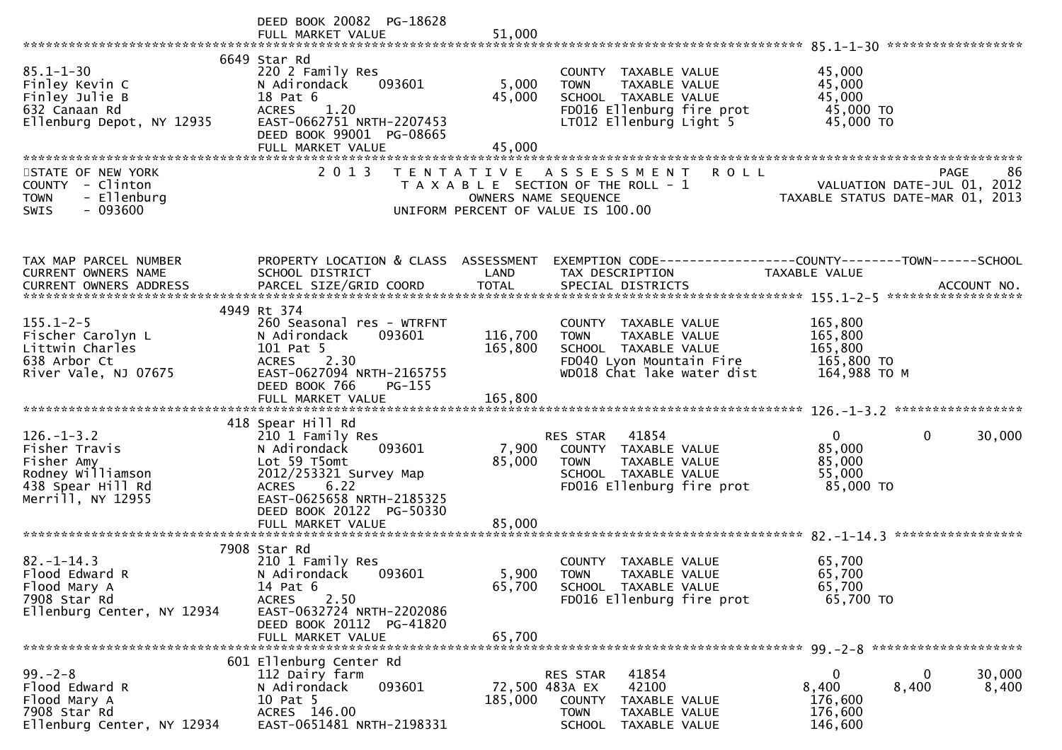|                                                                                                                | DEED BOOK 20082 PG-18628                                                                                                                                                                              |                           |                                                                                                                                                   |                                                                                                                   |
|----------------------------------------------------------------------------------------------------------------|-------------------------------------------------------------------------------------------------------------------------------------------------------------------------------------------------------|---------------------------|---------------------------------------------------------------------------------------------------------------------------------------------------|-------------------------------------------------------------------------------------------------------------------|
| $85.1 - 1 - 30$<br>Finley Kevin C<br>Finley Julie B<br>632 Canaan Rd<br>Ellenburg Depot, NY 12935              | 6649 Star Rd<br>220 2 Family Res<br>N Adirondack<br>093601<br>18 Pat 6<br>ACRES 1.20<br>EAST-0662751 NRTH-2207453<br>DEED BOOK 99001 PG-08665<br>FULL MARKET VALUE                                    | 5,000<br>45,000<br>45,000 | COUNTY TAXABLE VALUE<br><b>TOWN</b><br>TAXABLE VALUE<br>SCHOOL TAXABLE VALUE<br>FD016 Ellenburg fire prot<br>LT012 Ellenburg Light 5              | 45,000<br>45,000<br>45,000<br>45,000 TO<br>45,000 TO                                                              |
| STATE OF NEW YORK<br>COUNTY - Clinton<br><b>TOWN</b><br>- Ellenburg<br>$-093600$<br><b>SWIS</b>                | 2 0 1 3                                                                                                                                                                                               | OWNERS NAME SEQUENCE      | <b>ROLL</b><br>TENTATIVE ASSESSMENT<br>T A X A B L E SECTION OF THE ROLL - 1<br>UNIFORM PERCENT OF VALUE IS 100.00                                | 86<br>PAGE<br>VALUATION DATE-JUL 01, 2012<br>TAXABLE STATUS DATE-MAR 01, 2013                                     |
| TAX MAP PARCEL NUMBER<br>CURRENT OWNERS NAME                                                                   | SCHOOL DISTRICT                                                                                                                                                                                       | LAND                      | TAX DESCRIPTION                                                                                                                                   | PROPERTY LOCATION & CLASS ASSESSMENT EXEMPTION CODE----------------COUNTY-------TOWN------SCHOOL<br>TAXABLE VALUE |
| $155.1 - 2 - 5$<br>Fischer Carolyn L<br>Littwin Charles<br>638 Arbor Ct<br>River Vale, NJ 07675                | 4949 Rt 374<br>260 Seasonal res - WTRFNT<br>093601<br>N Adirondack<br>101 Pat 5<br>2.30<br><b>ACRES</b><br>EAST-0627094 NRTH-2165755<br>DEED BOOK 766<br><b>PG-155</b>                                | 116,700<br>165,800        | COUNTY TAXABLE VALUE<br><b>TOWN</b><br>TAXABLE VALUE<br>SCHOOL TAXABLE VALUE<br>FD040 Lyon Mountain Fire 165,800 TO<br>WD018 Chat lake water dist | 165,800<br>165,800<br>165,800<br>164,988 то м                                                                     |
| $126. - 1 - 3.2$<br>Fisher Travis<br>Fisher Amy<br>Rodney Williamson<br>438 Spear Hill Rd<br>Merrill, NY 12955 | 418 Spear Hill Rd<br>210 1 Family Res<br>093601<br>N Adirondack<br>Lot 59 T5omt<br>2012/253321 Survey Map<br>ACRES 6.22<br>EAST-0625658 NRTH-2185325<br>DEED BOOK 20122 PG-50330<br>FULL MARKET VALUE | 7,900<br>85,000<br>85,000 | 41854<br>RES STAR<br>COUNTY TAXABLE VALUE<br>TAXABLE VALUE<br><b>TOWN</b><br>SCHOOL TAXABLE VALUE<br>FD016 Ellenburg fire prot                    | $\mathbf{0}$<br>$\mathbf{0}$<br>30,000<br>85,000<br>85,000<br>55,000<br>85,000 TO                                 |
| $82 - 1 - 14.3$<br>Flood Edward R<br>Flood Mary A<br>7908 Star Rd<br>Ellenburg Center, NY 12934                | 7908 Star Rd<br>210 1 Family Res<br>N Adirondack<br>093601<br>14 Pat 6<br>2.50<br><b>ACRES</b><br>EAST-0632724 NRTH-2202086<br>DEED BOOK 20112 PG-41820<br>FULL MARKET VALUE                          | 65,700<br>65,700          | COUNTY TAXABLE VALUE<br>5,900 TOWN TAXABLE VALUE<br>SCHOOL TAXABLE VALUE<br>FD016 Ellenburg fire prot                                             | 65,700<br>65,700<br>65,700<br>65,700 TO                                                                           |
| $99 - 2 - 8$<br>Flood Edward R<br>Flood Mary A<br>7908 Star Rd<br>Ellenburg Center, NY 12934                   | 601 Ellenburg Center Rd<br>112 Dairy farm<br>093601<br>N Adirondack<br>10 Pat 5<br>ACRES 146.00<br>EAST-0651481 NRTH-2198331                                                                          | 72,500 483A EX<br>185,000 | 41854<br>RES STAR<br>42100<br>COUNTY<br>TAXABLE VALUE<br><b>TOWN</b><br>TAXABLE VALUE<br>SCHOOL<br>TAXABLE VALUE                                  | 0<br>30,000<br>0<br>8,400<br>8,400<br>8,400<br>176,600<br>176,600<br>146,600                                      |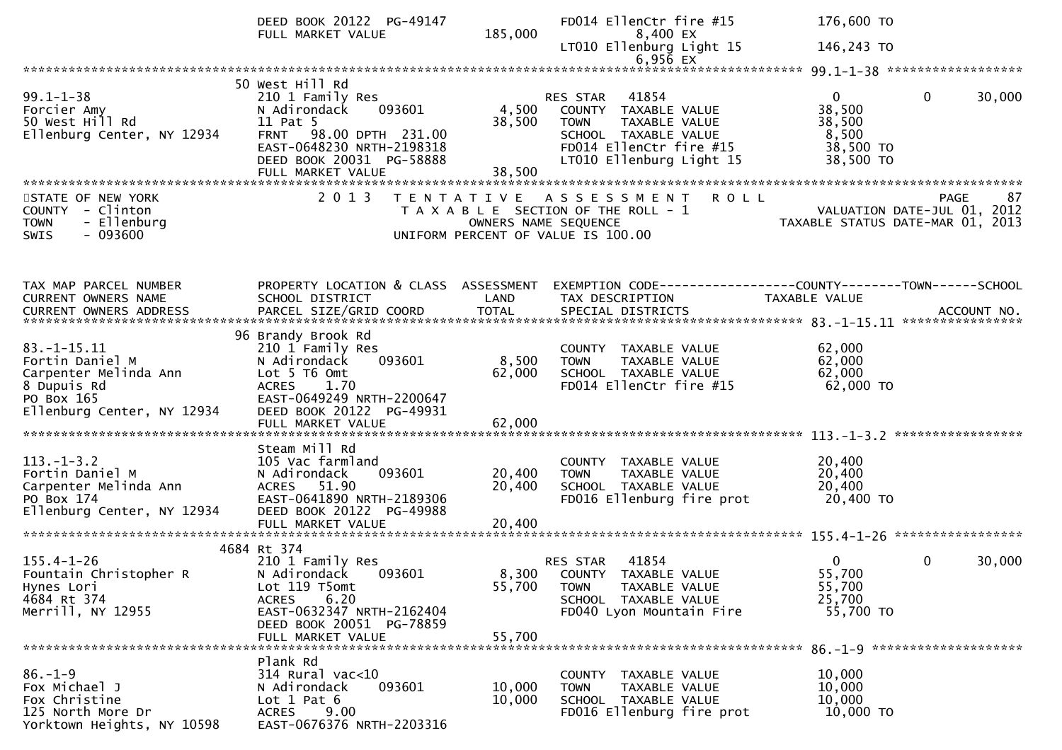|                                                                                                      | DEED BOOK 20122 PG-49147<br>FULL MARKET VALUE                                                                                                                                     | 185,000                   | FD014 EllenCtr fire #15<br>8,400 EX                                                                                                                   | 176,600 TO                                                                                                     |                        |
|------------------------------------------------------------------------------------------------------|-----------------------------------------------------------------------------------------------------------------------------------------------------------------------------------|---------------------------|-------------------------------------------------------------------------------------------------------------------------------------------------------|----------------------------------------------------------------------------------------------------------------|------------------------|
|                                                                                                      |                                                                                                                                                                                   |                           | LT010 Ellenburg Light 15<br>$6,956$ EX                                                                                                                | 146,243 TO                                                                                                     |                        |
|                                                                                                      |                                                                                                                                                                                   |                           |                                                                                                                                                       |                                                                                                                |                        |
| $99.1 - 1 - 38$<br>Forcier Amy<br>50 West Hill Rd<br>Ellenburg Center, NY 12934                      | 50 West Hill Rd<br>210 1 Family Res<br>093601<br>N Adirondack<br>11 Pat 5<br>FRNT 98.00 DPTH 231.00<br>EAST-0648230 NRTH-2198318<br>DEED BOOK 20031 PG-58888<br>FULL MARKET VALUE | 4,500<br>38,500<br>38,500 | RES STAR 41854<br>COUNTY TAXABLE VALUE<br>TAXABLE VALUE<br><b>TOWN</b><br>SCHOOL TAXABLE VALUE<br>FD014 EllenCtr fire #15<br>LT010 Ellenburg Light 15 | $\overline{0}$<br>38,500<br>38,500<br>8,500<br>38,500 TO<br>38,500 TO                                          | $\Omega$<br>30,000     |
|                                                                                                      | 2 0 1 3                                                                                                                                                                           |                           |                                                                                                                                                       |                                                                                                                | 87                     |
| STATE OF NEW YORK<br>COUNTY - Clinton<br>- Ellenburg<br><b>TOWN</b><br>$-093600$<br><b>SWIS</b>      |                                                                                                                                                                                   | OWNERS NAME SEQUENCE      | TENTATIVE ASSESSMENT ROLL<br>T A X A B L E SECTION OF THE ROLL - 1<br>UNIFORM PERCENT OF VALUE IS 100.00                                              | PAGE 87<br>VALUATION DATE-JUL 01, 2012<br>TAXARLE STATUS DATE USE 01, 2012<br>TAXABLE STATUS DATE-MAR 01, 2013 |                        |
|                                                                                                      |                                                                                                                                                                                   |                           |                                                                                                                                                       |                                                                                                                |                        |
| TAX MAP PARCEL NUMBER<br>CURRENT OWNERS NAME                                                         | PROPERTY LOCATION & CLASS ASSESSMENT<br>SCHOOL DISTRICT                                                                                                                           | LAND                      | EXEMPTION CODE-----------------COUNTY--------TOWN------SCHOOL<br>TAX DESCRIPTION                                                                      | <b>TAXABLE VALUE</b>                                                                                           |                        |
|                                                                                                      |                                                                                                                                                                                   |                           |                                                                                                                                                       |                                                                                                                |                        |
| $83. - 1 - 15.11$<br>Fortin Daniel M<br>Carpenter Melinda Ann<br>8 Dupuis Rd<br>PO Box 165           | 96 Brandy Brook Rd<br>210 1 Family Res<br>093601<br>N Adirondack<br>Lot 5 T6 Omt<br>ACRES 1.70<br>EAST-0649249 NRTH-2200647                                                       | 8,500<br>62,000           | COUNTY TAXABLE VALUE<br>TAXABLE VALUE<br><b>TOWN</b><br>SCHOOL TAXABLE VALUE<br>FD014 EllenCtr fire #15                                               | 62,000<br>62,000<br>62,000<br>62,000 TO                                                                        |                        |
| Ellenburg Center, NY 12934                                                                           | DEED BOOK 20122 PG-49931<br>FULL MARKET VALUE                                                                                                                                     | 62,000                    |                                                                                                                                                       |                                                                                                                |                        |
|                                                                                                      | Steam Mill Rd                                                                                                                                                                     |                           |                                                                                                                                                       |                                                                                                                |                        |
| $113.-1-3.2$<br>Fortin Daniel M<br>Carpenter Melinda Ann<br>PO Box 174<br>Ellenburg Center, NY 12934 | 105 Vac farmland<br>093601<br>N Adirondack<br>ACRES 51.90<br>EAST-0641890 NRTH-2189306<br>DEED BOOK 20122 PG-49988                                                                | 20,400<br>20,400          | COUNTY TAXABLE VALUE<br><b>TOWN</b><br>TAXABLE VALUE<br>SCHOOL TAXABLE VALUE<br>FD016 Ellenburg fire prot                                             | 20,400<br>20,400<br>20,400<br>20,400 TO                                                                        |                        |
|                                                                                                      | FULL MARKET VALUE                                                                                                                                                                 | 20,400                    |                                                                                                                                                       |                                                                                                                |                        |
|                                                                                                      | 4684 Rt 374                                                                                                                                                                       |                           |                                                                                                                                                       |                                                                                                                |                        |
| $155.4 - 1 - 26$<br>Fountain Christopher R<br>Hynes Lori<br>4684 Rt 374<br>Merrill, NY 12955         | 210 1 Family Res<br>N Adirondack<br>093601<br>Lot 119 T5omt<br>6.20<br><b>ACRES</b><br>EAST-0632347 NRTH-2162404                                                                  | 55,700                    | 41854<br>RES STAR<br>8,300 COUNTY TAXABLE VALUE<br>TAXABLE VALUE<br><b>TOWN</b><br>SCHOOL TAXABLE VALUE<br>FD040 Lyon Mountain Fire                   | $\overline{0}$<br>55,700<br>55,700<br>25,700<br>55,700 TO                                                      | $\mathbf{0}$<br>30,000 |
|                                                                                                      | DEED BOOK 20051 PG-78859<br>FULL MARKET VALUE                                                                                                                                     | 55,700                    |                                                                                                                                                       |                                                                                                                |                        |
|                                                                                                      |                                                                                                                                                                                   |                           |                                                                                                                                                       |                                                                                                                |                        |
| $86. - 1 - 9$<br>Fox Michael J<br>Fox Christine<br>125 North More Dr<br>Yorktown Heights, NY 10598   | Plank Rd<br>$314$ Rural vac<10<br>093601<br>N Adirondack<br>Lot $1$ Pat $6$<br>9.00<br>ACRES<br>EAST-0676376 NRTH-2203316                                                         | 10,000<br>10,000          | COUNTY TAXABLE VALUE<br>TAXABLE VALUE<br>TOWN<br>SCHOOL TAXABLE VALUE<br>FD016 Ellenburg fire prot                                                    | 10,000<br>10,000<br>10,000<br>10,000 TO                                                                        |                        |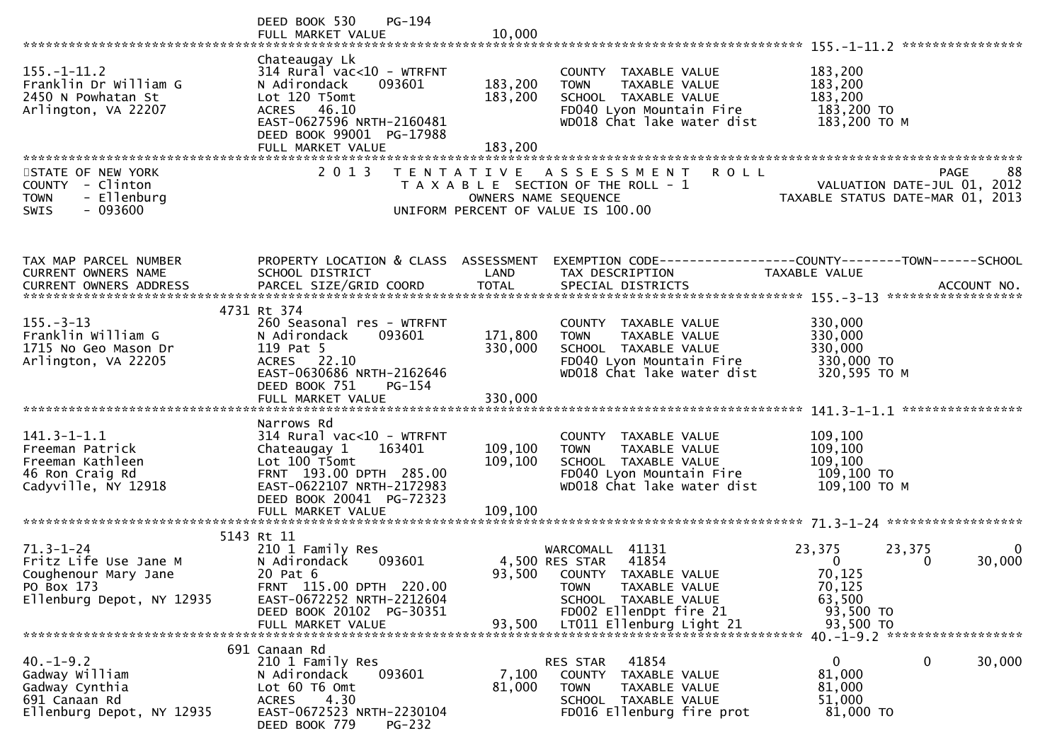|                                                                                                             | $PG-194$<br>DEED BOOK 530                                                                                                                                                                   |                                |                                                                                                                                                          |                                                                                                                                                           |
|-------------------------------------------------------------------------------------------------------------|---------------------------------------------------------------------------------------------------------------------------------------------------------------------------------------------|--------------------------------|----------------------------------------------------------------------------------------------------------------------------------------------------------|-----------------------------------------------------------------------------------------------------------------------------------------------------------|
| $155. - 1 - 11.2$<br>Franklin Dr William G<br>2450 N Powhatan St<br>Arlington, VA 22207                     | Chateaugay Lk<br>314 Rural vac<10 - WTRFNT<br>093601<br>N Adirondack<br>Lot 120 T5omt<br>ACRES 46.10<br>EAST-0627596 NRTH-2160481<br>DEED BOOK 99001 PG-17988<br>FULL MARKET VALUE          | 183,200<br>183,200<br>183,200  | COUNTY TAXABLE VALUE<br><b>TOWN</b><br>TAXABLE VALUE<br>SCHOOL TAXABLE VALUE<br>FD040 Lyon Mountain Fire<br>WD018 Chat lake water dist                   | 183,200<br>183,200<br>183,200<br>183,200 TO<br>183,200 ТО М                                                                                               |
| STATE OF NEW YORK<br>COUNTY - Clinton<br><b>TOWN</b><br>- Ellenburg<br>$-093600$<br><b>SWIS</b>             | 2 0 1 3                                                                                                                                                                                     | OWNERS NAME SEQUENCE           | <b>ROLL</b><br>TENTATIVE ASSESSMENT<br>T A X A B L E SECTION OF THE ROLL - 1<br>UNIFORM PERCENT OF VALUE IS 100.00                                       | 88<br>PAGE<br>VALUATION DATE-JUL 01, 2012<br>TAXABLE STATUS DATE-MAR 01, 2013                                                                             |
| TAX MAP PARCEL NUMBER<br>CURRENT OWNERS NAME                                                                | PROPERTY LOCATION & CLASS ASSESSMENT<br>SCHOOL DISTRICT                                                                                                                                     | LAND                           | TAX DESCRIPTION                                                                                                                                          | TAXABLE VALUE                                                                                                                                             |
| $155. - 3 - 13$<br>Franklin William G<br>1715 No Geo Mason Dr<br>Arlington, VA 22205                        | 4731 Rt 374<br>260 Seasonal res - WTRFNT<br>093601<br>N Adirondack<br>119 Pat 5<br>ACRES 22.10<br>EAST-0630686 NRTH-2162646<br>DEED BOOK 751<br>PG-154                                      | 171,800<br>330,000             | COUNTY TAXABLE VALUE<br><b>TOWN</b><br>TAXABLE VALUE<br>SCHOOL TAXABLE VALUE<br>FD040 Lyon Mountain Fire<br>WD018 Chat lake water dist                   | 330,000<br>330,000<br>330,000<br>330,000 TO<br>320,595 TO M                                                                                               |
| $141.3 - 1 - 1.1$<br>Freeman Patrick<br>Freeman Kathleen<br>46 Ron Craig Rd<br>Cadyville, NY 12918          | Narrows Rd<br>314 Rural vac<10 - WTRFNT<br>163401<br>Chateaugay 1<br>Lot 100 T5omt<br>FRNT 193.00 DPTH 285.00<br>EAST-0622107 NRTH-2172983<br>DEED BOOK 20041 PG-72323<br>FULL MARKET VALUE | 109,100<br>109, 100<br>109,100 | COUNTY TAXABLE VALUE<br><b>TOWN</b><br>TAXABLE VALUE<br>SCHOOL TAXABLE VALUE<br>FD040 Lyon Mountain Fire<br>WD018 Chat lake water dist                   | 109,100<br>109,100<br>109,100<br>109,100 то<br>109,100 ТО М                                                                                               |
| $71.3 - 1 - 24$<br>Fritz Life Use Jane M<br>Coughenour Mary Jane<br>PO Box 173<br>Ellenburg Depot, NY 12935 | 5143 Rt 11<br>210 1 Family Res<br>N Adirondack<br>093601<br>20 Pat 6<br>FRNT 115.00 DPTH 220.00<br>EAST-0672252 NRTH-2212604<br>DEED BOOK 20102 PG-30351                                    |                                | WARCOMALL 41131<br>4,500 RES STAR 41854<br>93,500 COUNTY TAXABLE VALUE<br>TAXABLE VALUE<br><b>TOWN</b><br>SCHOOL TAXABLE VALUE<br>FD002 EllenDpt fire 21 | 23,375<br>23,375<br>$\mathbf{0}$<br>$\mathbf{0}$<br>30,000<br>0<br>70,125<br>70,125<br>63,500<br>93,500 TO<br>93,500 TO<br>40. -1-9.2 ******************* |
| $40. -1 - 9.2$<br>Gadway William<br>Gadway Cynthia<br>691 Canaan Rd<br>Ellenburg Depot, NY 12935            | 691 Canaan Rd<br>210 1 Family Res<br>093601<br>N Adirondack<br>Lot 60 T6 Omt<br>4.30<br><b>ACRES</b><br>EAST-0672523 NRTH-2230104<br>DEED BOOK 779<br><b>PG-232</b>                         | 7,100<br>81,000                | 41854<br>RES STAR<br>COUNTY TAXABLE VALUE<br><b>TOWN</b><br>TAXABLE VALUE<br>SCHOOL TAXABLE VALUE<br>FD016 Ellenburg fire prot                           | 0<br>0<br>30,000<br>81,000<br>81,000<br>51,000<br>81,000 TO                                                                                               |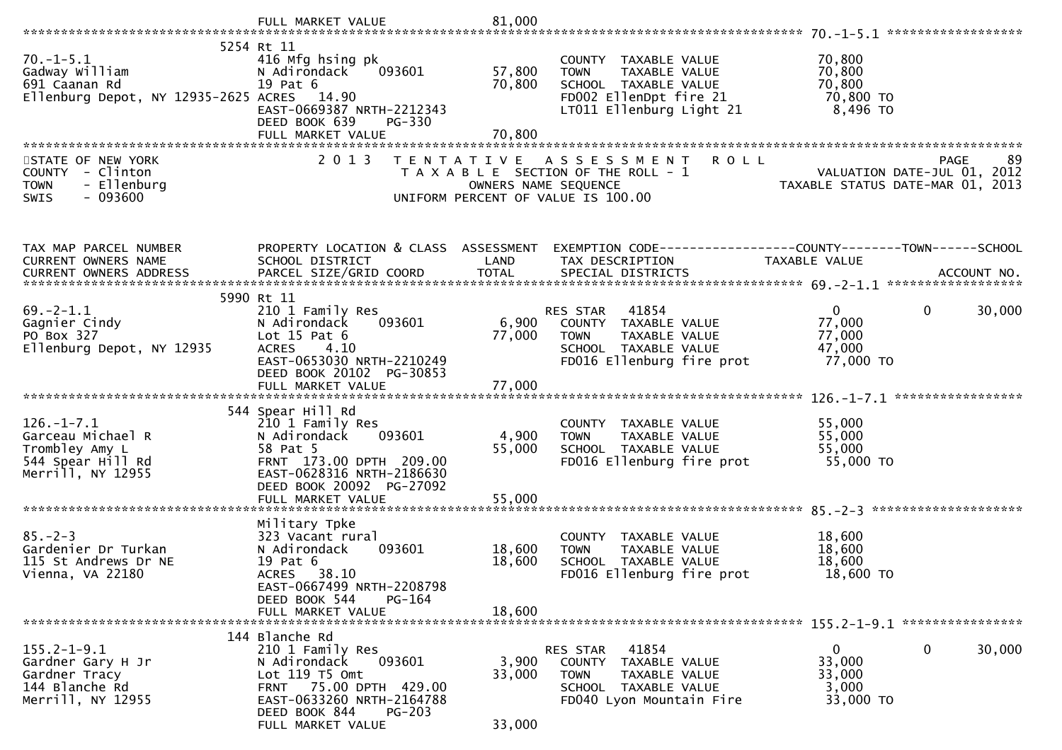|                                                                                                   | FULL MARKET VALUE                                                                                                                                                                    | 81,000                    |                                                                                                                                    |                                                                                      |
|---------------------------------------------------------------------------------------------------|--------------------------------------------------------------------------------------------------------------------------------------------------------------------------------------|---------------------------|------------------------------------------------------------------------------------------------------------------------------------|--------------------------------------------------------------------------------------|
|                                                                                                   |                                                                                                                                                                                      |                           |                                                                                                                                    |                                                                                      |
| $70.-1-5.1$<br>Gadway William<br>691 Caanan Rd<br>Ellenburg Depot, NY 12935-2625 ACRES 14.90      | 5254 Rt 11<br>416 Mfg hsing pk<br>N Adirondack<br>093601<br>19 Pat 6<br>EAST-0669387 NRTH-2212343<br>DEED BOOK 639<br><b>PG-330</b>                                                  | 57,800<br>70,800          | COUNTY TAXABLE VALUE<br>TAXABLE VALUE<br><b>TOWN</b><br>SCHOOL TAXABLE VALUE<br>FD002 EllenDpt fire 21<br>LT011 Ellenburg Light 21 | 70,800<br>70,800<br>70,800<br>70,800 TO<br>8,496 то                                  |
|                                                                                                   | FULL MARKET VALUE                                                                                                                                                                    | 70,800                    |                                                                                                                                    |                                                                                      |
| STATE OF NEW YORK<br>COUNTY - Clinton<br><b>TOWN</b><br>- Ellenburg<br><b>SWIS</b><br>- 093600    | 2 0 1 3<br>T E N T A T I V E                                                                                                                                                         | OWNERS NAME SEQUENCE      | <b>ROLL</b><br>A S S E S S M E N T<br>T A X A B L E SECTION OF THE ROLL - 1<br>UNIFORM PERCENT OF VALUE IS 100.00                  | <b>PAGE</b><br>89<br>VALUATION DATE-JUL 01, 2012<br>TAXABLE STATUS DATE-MAR 01, 2013 |
| TAX MAP PARCEL NUMBER                                                                             | PROPERTY LOCATION & CLASS ASSESSMENT                                                                                                                                                 |                           |                                                                                                                                    | EXEMPTION CODE------------------COUNTY--------TOWN------SCHOOL                       |
| CURRENT OWNERS NAME                                                                               | SCHOOL DISTRICT                                                                                                                                                                      | LAND                      | TAX DESCRIPTION                                                                                                                    | TAXABLE VALUE                                                                        |
|                                                                                                   |                                                                                                                                                                                      |                           |                                                                                                                                    |                                                                                      |
|                                                                                                   | 5990 Rt 11                                                                                                                                                                           |                           |                                                                                                                                    |                                                                                      |
| $69. -2 - 1.1$<br>Gagnier Cindy<br>PO Box 327<br>Ellenburg Depot, NY 12935                        | 210 1 Family Res<br>N Adirondack<br>093601<br>Lot $15$ Pat $6$<br><b>ACRES</b><br>4.10<br>EAST-0653030 NRTH-2210249<br>DEED BOOK 20102 PG-30853                                      | 6,900<br>77,000           | 41854<br>RES STAR<br>COUNTY TAXABLE VALUE<br>TAXABLE VALUE<br><b>TOWN</b><br>SCHOOL TAXABLE VALUE<br>FD016 Ellenburg fire prot     | 30,000<br>$\mathbf{0}$<br>$\mathbf{0}$<br>77,000<br>77,000<br>47,000<br>77,000 TO    |
|                                                                                                   |                                                                                                                                                                                      |                           |                                                                                                                                    |                                                                                      |
| $126. - 1 - 7.1$<br>Garceau Michael R<br>Trombley Amy L<br>544 Spear Hill Rd<br>Merrill, NY 12955 | 544 Spear Hill Rd<br>210 1 Family Res<br>093601<br>N Adirondack<br>58 Pat 5<br>FRNT 173.00 DPTH 209.00<br>EAST-0628316 NRTH-2186630<br>DEED BOOK 20092 PG-27092<br>FULL MARKET VALUE | 4,900<br>55,000<br>55,000 | COUNTY TAXABLE VALUE<br>TAXABLE VALUE<br><b>TOWN</b><br>SCHOOL TAXABLE VALUE<br>FD016 Ellenburg fire prot                          | 55,000<br>55,000<br>55,000<br>55,000 TO                                              |
|                                                                                                   |                                                                                                                                                                                      |                           |                                                                                                                                    |                                                                                      |
| $85. - 2 - 3$<br>Gardenier Dr Turkan<br>115 St Andrews Dr NE<br>Vienna, VA 22180                  | Military Tpke<br>323 Vacant rural<br>093601<br>N Adirondack<br>19 Pat 6<br>38.10<br><b>ACRES</b><br>EAST-0667499 NRTH-2208798                                                        | 18,600<br>18,600          | COUNTY TAXABLE VALUE<br>TAXABLE VALUE<br><b>TOWN</b><br>SCHOOL TAXABLE VALUE<br>FD016 Ellenburg fire prot                          | 18,600<br>18,600<br>18,600<br>18,600 TO                                              |
|                                                                                                   | DEED BOOK 544<br>PG-164<br>FULL MARKET VALUE                                                                                                                                         | 18,600                    |                                                                                                                                    |                                                                                      |
|                                                                                                   |                                                                                                                                                                                      |                           |                                                                                                                                    |                                                                                      |
| $155.2 - 1 - 9.1$<br>Gardner Gary H Jr<br>Gardner Tracy<br>144 Blanche Rd<br>Merrill, NY 12955    | 144 Blanche Rd<br>210 1 Family Res<br>093601<br>N Adirondack<br>Lot 119 T5 Omt<br>FRNT 75.00 DPTH 429.00<br>EAST-0633260 NRTH-2164788<br>DEED BOOK 844<br>$PG-203$                   | 3,900<br>33,000           | RES STAR<br>41854<br>COUNTY TAXABLE VALUE<br><b>TOWN</b><br>TAXABLE VALUE<br>SCHOOL TAXABLE VALUE<br>FD040 Lyon Mountain Fire      | 0<br>30,000<br>0<br>33,000<br>33,000<br>3,000<br>33,000 TO                           |
|                                                                                                   | FULL MARKET VALUE                                                                                                                                                                    | 33,000                    |                                                                                                                                    |                                                                                      |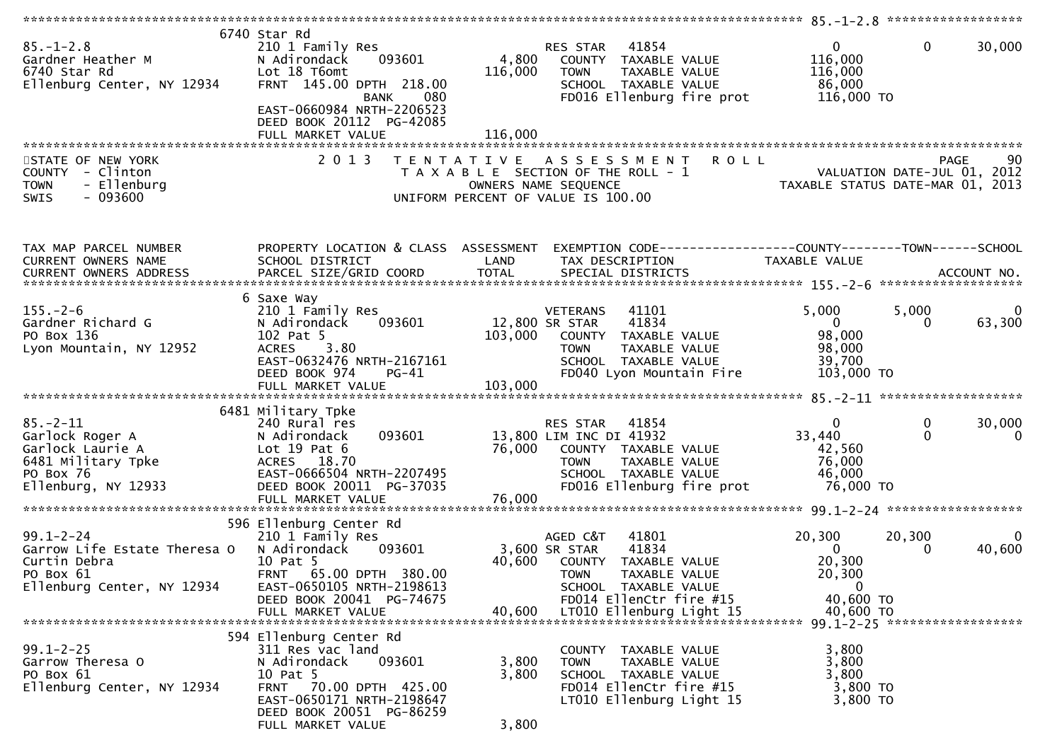| $85. - 1 - 2.8$<br>Gardner Heather M<br>6740 Star Rd<br>Ellenburg Center, NY 12934                              | 6740 Star Rd<br>210 1 Family Res<br>N Adirondack<br>093601<br>Lot 18 T6omt<br>FRNT 145.00 DPTH 218.00<br><b>BANK</b><br>080<br>EAST-0660984 NRTH-2206523<br>DEED BOOK 20112 PG-42085      | 4,800<br>116,000        | 41854<br><b>RES STAR</b><br>COUNTY TAXABLE VALUE<br><b>TOWN</b><br>TAXABLE VALUE<br>SCHOOL TAXABLE VALUE<br>FD016 Ellenburg fire prot                           | $\overline{0}$<br>116,000<br>116,000<br>86,000<br>116,000 TO      | $\mathbf 0$<br>30,000                                                                |
|-----------------------------------------------------------------------------------------------------------------|-------------------------------------------------------------------------------------------------------------------------------------------------------------------------------------------|-------------------------|-----------------------------------------------------------------------------------------------------------------------------------------------------------------|-------------------------------------------------------------------|--------------------------------------------------------------------------------------|
|                                                                                                                 | FULL MARKET VALUE                                                                                                                                                                         | 116,000                 |                                                                                                                                                                 |                                                                   |                                                                                      |
| STATE OF NEW YORK<br><b>COUNTY</b><br>- Clinton<br><b>TOWN</b><br>- Ellenburg<br>$-093600$<br>SWIS              | 2 0 1 3                                                                                                                                                                                   | T E N T A T I V E       | <b>ROLL</b><br>A S S E S S M E N T<br>T A X A B L E SECTION OF THE ROLL - 1<br>OWNERS NAME SEQUENCE<br>UNIFORM PERCENT OF VALUE IS 100.00                       |                                                                   | <b>PAGE</b><br>90<br>VALUATION DATE-JUL 01, 2012<br>TAXABLE STATUS DATE-MAR 01, 2013 |
| TAX MAP PARCEL NUMBER<br>CURRENT OWNERS NAME                                                                    | PROPERTY LOCATION & CLASS ASSESSMENT<br>SCHOOL DISTRICT                                                                                                                                   | LAND                    | EXEMPTION CODE------------------COUNTY--------TOWN------SCHOOL<br>TAX DESCRIPTION                                                                               | TAXABLE VALUE                                                     |                                                                                      |
|                                                                                                                 |                                                                                                                                                                                           |                         |                                                                                                                                                                 |                                                                   |                                                                                      |
|                                                                                                                 |                                                                                                                                                                                           |                         |                                                                                                                                                                 |                                                                   |                                                                                      |
| $155. - 2 - 6$<br>Gardner Richard G<br>PO Box 136<br>Lyon Mountain, NY 12952                                    | 6 Saxe Way<br>210 1 Family Res<br>N Adirondack<br>093601<br>102 Pat 5<br>3.80<br><b>ACRES</b><br>EAST-0632476 NRTH-2167161<br>DEED BOOK 974<br>$PG-41$                                    | 103,000                 | 41101<br><b>VETERANS</b><br>41834<br>12,800 SR STAR<br>COUNTY TAXABLE VALUE<br><b>TOWN</b><br>TAXABLE VALUE<br>SCHOOL TAXABLE VALUE<br>FD040 Lyon Mountain Fire | 5,000<br>$\mathbf{0}$<br>98,000<br>98,000<br>39,700<br>103,000 TO | 5,000<br>$\overline{0}$<br>63,300<br>0                                               |
|                                                                                                                 | FULL MARKET VALUE                                                                                                                                                                         | 103,000                 |                                                                                                                                                                 |                                                                   |                                                                                      |
|                                                                                                                 |                                                                                                                                                                                           |                         |                                                                                                                                                                 |                                                                   |                                                                                      |
| $85. - 2 - 11$<br>Garlock Roger A<br>Garlock Laurie A<br>6481 Military Tpke<br>PO Box 76<br>Ellenburg, NY 12933 | 6481 Military Tpke<br>240 Rural res<br>093601<br>N Adirondack<br>Lot $19$ Pat $6$<br>ACRES 18.70<br>EAST-0666504 NRTH-2207495<br>DEED BOOK 20011 PG-37035<br>FULL MARKET VALUE            | 76,000<br>76,000        | RES STAR<br>41854<br>13,800 LIM INC DI 41932<br>COUNTY TAXABLE VALUE<br>TAXABLE VALUE<br><b>TOWN</b><br>SCHOOL TAXABLE VALUE<br>FD016 Ellenburg fire prot       | 0<br>33,440<br>42,560<br>76,000<br>46,000<br>76,000 TO            | 0<br>30,000<br>$\Omega$<br>0                                                         |
|                                                                                                                 |                                                                                                                                                                                           |                         |                                                                                                                                                                 |                                                                   |                                                                                      |
| $99.1 - 2 - 24$<br>Garrow Life Estate Theresa O<br>Curtin Debra<br>PO Box 61<br>Ellenburg Center, NY 12934      | 596 Ellenburg Center Rd<br>210 1 Family Res<br>N Adirondack<br>093601<br>10 Pat 5<br>FRNT 65.00 DPTH 380.00<br>EAST-0650105 NRTH-2198613                                                  | 40,600                  | 41801<br>AGED C&T<br>41834<br>3,600 SR STAR<br>TAXABLE VALUE<br>COUNTY<br><b>TOWN</b><br>TAXABLE VALUE<br>SCHOOL TAXABLE VALUE                                  | 20,300<br>$\mathbf{0}$<br>20,300<br>20,300<br>$\bf{0}$            | 20,300<br>$\bf{0}$<br>40,600<br>0                                                    |
|                                                                                                                 | DEED BOOK 20041 PG-74675<br>FULL MARKET VALUE                                                                                                                                             | 40,600                  | FD014 EllenCtr fire #15<br>LT010 Ellenburg Light 15                                                                                                             | 40,600 TO<br>40,600 TO                                            |                                                                                      |
| $99.1 - 2 - 25$<br>Garrow Theresa O<br>PO Box 61<br>Ellenburg Center, NY 12934                                  | 594 Ellenburg Center Rd<br>311 Res vac land<br>093601<br>N Adirondack<br>10 Pat 5<br>FRNT 70.00 DPTH 425.00<br>EAST-0650171 NRTH-2198647<br>DEED BOOK 20051 PG-86259<br>FULL MARKET VALUE | 3,800<br>3,800<br>3,800 | COUNTY TAXABLE VALUE<br>TAXABLE VALUE<br><b>TOWN</b><br>SCHOOL TAXABLE VALUE<br>FD014 EllenCtr fire #15<br>LT010 Ellenburg Light 15                             | 3,800<br>3,800<br>3,800<br>3,800 TO<br>3,800 TO                   |                                                                                      |
|                                                                                                                 |                                                                                                                                                                                           |                         |                                                                                                                                                                 |                                                                   |                                                                                      |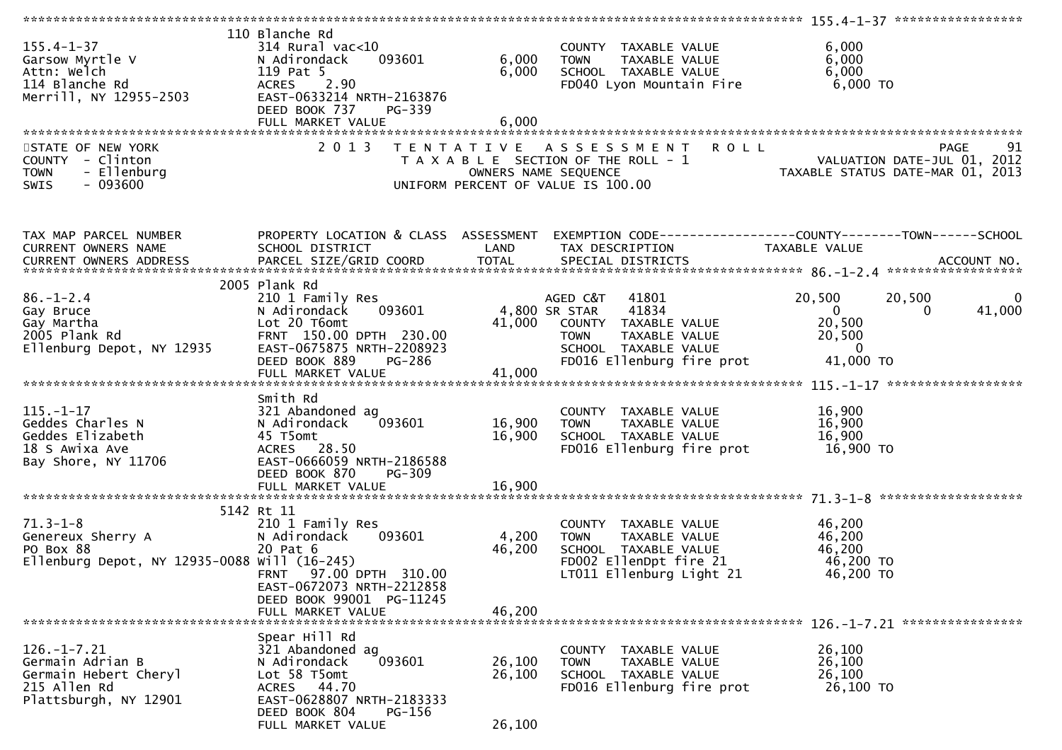| 155.4-1-37<br>Garsow Myrtle V<br>Attn: Welch<br>114 Blanche Rd<br>Merrill, NY 12955-2503                | 110 Blanche Rd<br>$314$ Rural vac< $10$<br>093601<br>N Adirondack<br>119 Pat 5<br>2.90<br>ACRES<br>EAST-0633214 NRTH-2163876<br>DEED BOOK 737<br>PG-339                 | 6,000<br>6,000             | COUNTY TAXABLE VALUE<br>COUNTY TAXABLE VALUE<br>TOWN - TAXABLE VALUE<br>SCHOOL - TAXABLE VALUE<br>FD040 Lyon Mountain Fire 6,000 TO                          | 6,000<br>6,000<br>6,000                                                                                                                          |
|---------------------------------------------------------------------------------------------------------|-------------------------------------------------------------------------------------------------------------------------------------------------------------------------|----------------------------|--------------------------------------------------------------------------------------------------------------------------------------------------------------|--------------------------------------------------------------------------------------------------------------------------------------------------|
| STATE OF NEW YORK<br>COUNTY - Clinton<br>- Ellenburg<br><b>TOWN</b><br>$-093600$<br><b>SWIS</b>         | 2 0 1 3                                                                                                                                                                 |                            | TENTATIVE ASSESSMENT<br><b>ROLL</b>                                                                                                                          | T A X A B L E SECTION OF THE ROLL - 1<br>OWNERS NAME SEQUENCE<br>UNIFORM PERCENT OF VALUE IS 100.00<br>UNIFORM PERCENT OF VALUE IS 100.00        |
| TAX MAP PARCEL NUMBER<br>CURRENT OWNERS NAME                                                            | SCHOOL DISTRICT                                                                                                                                                         | LAND                       | TAX DESCRIPTION                                                                                                                                              | PROPERTY LOCATION & CLASS ASSESSMENT EXEMPTION CODE----------------COUNTY-------TOWN------SCHOOL<br>TAXABLE VALUE                                |
| 86.-1-2.4<br>Gay Bruce<br>Gay Martha<br>2005 Plank Rd<br>Ellenburg Depot, NY 12935                      | 2005 Plank Rd<br>210 1 Family Res<br>093601<br>N Adirondack<br>Lot 20 T6omt<br>FRNT 150.00 DPTH 230.00<br>EAST-0675875 NRTH-2208923<br>DEED BOOK 889<br>PG-286          |                            | AGED C&T 41801<br>4,800 SR STAR<br>41834<br>41,000 COUNTY TAXABLE VALUE<br>TAXABLE VALUE<br><b>TOWN</b><br>SCHOOL TAXABLE VALUE<br>FD016 Ellenburg fire prot | 20,500<br>20,500<br>$\overline{0}$<br>$\overline{\mathbf{0}}$<br>41,000<br>$\Omega$<br>20,500<br>20,500<br>$\overline{\phantom{0}}$<br>41,000 TO |
| $115. - 1 - 17$<br>Geddes Charles N<br>Geddes Elizabeth<br>18 S Awixa Ave<br>Bay Shore, NY 11706        | Smith Rd<br>321 Abandoned ag<br>$^{'}093601$<br>N Adirondack<br>45 T5omt<br>ACRES 28.50<br>EAST-0666059 NRTH-2186588<br>DEED BOOK 870<br>PG-309<br>FULL MARKET VALUE    | 16,900<br>16,900<br>16,900 | COUNTY TAXABLE VALUE 16,900<br>TAXABLE VALUE<br>TAXABLE VALUE<br><b>TOWN</b><br>SCHOOL TAXABLE VALUE<br>FD016 Ellenburg fire prot 16,900 TO                  | 16,900<br>16,900                                                                                                                                 |
| $71.3 - 1 - 8$<br>Genereux Sherry A<br>zu Pat 6<br>Ellenburg Depot, NY 12935-0088 will (16-245)         | 5142 Rt 11<br>210 1 Family Res<br>093601<br>N Adirondack<br>FRNT 97.00 DPTH 310.00<br>EAST-0672073 NRTH-2212858<br>DEED BOOK 99001 PG-11245<br>FULL MARKET VALUE        | 4,200<br>46,200<br>46,200  | COUNTY TAXABLE VALUE<br>TAXABLE VALUE<br>TOWN<br>SCHOOL TAXABLE VALUE<br>FD002 EllenDpt fire 21<br>LT011 Ellenburg Light 21                                  | 46,200<br>46,200<br>46,200<br>46,200 TO<br>46,200 TO                                                                                             |
| $126. - 1 - 7.21$<br>Germain Adrian B<br>Germain Hebert Cheryl<br>215 Allen Rd<br>Plattsburgh, NY 12901 | Spear Hill Rd<br>321 Abandoned ag<br>093601<br>N Adirondack<br>Lot 58 T5omt<br>ACRES 44.70<br>EAST-0628807 NRTH-2183333<br>DEED BOOK 804<br>PG-156<br>FULL MARKET VALUE | 26,100<br>26,100<br>26,100 | COUNTY TAXABLE VALUE<br>TAXABLE VALUE<br><b>TOWN</b><br>SCHOOL TAXABLE VALUE<br>FD016 Ellenburg fire prot                                                    | 26,100<br>26,100<br>26,100<br>26,100 TO                                                                                                          |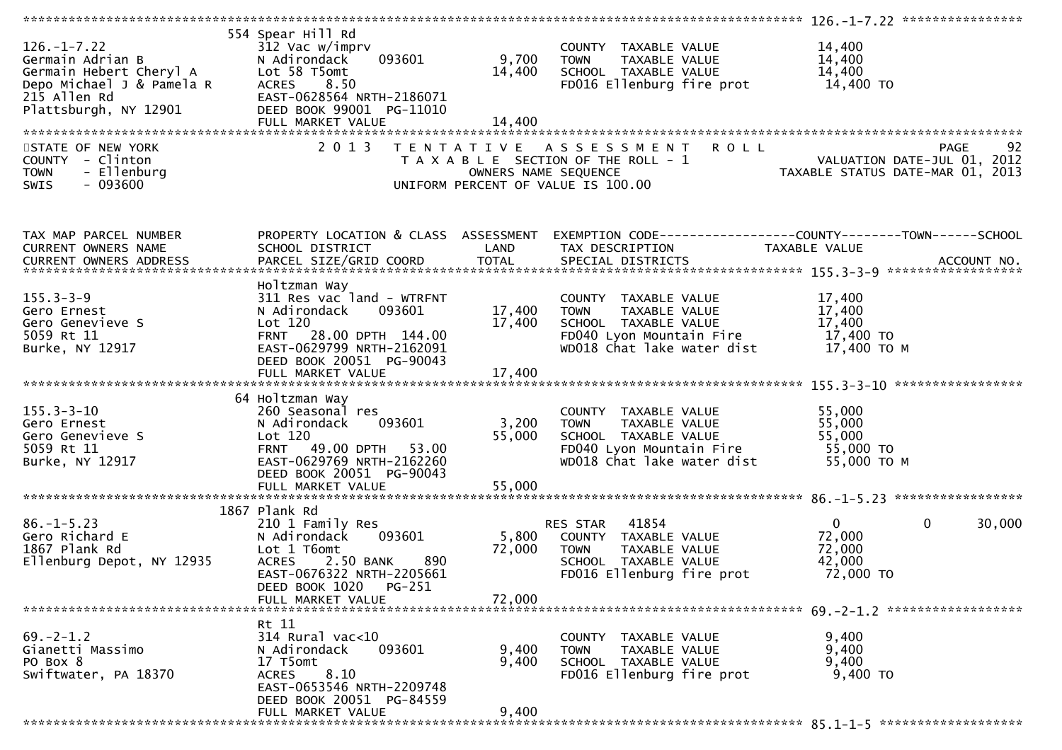| Germain Adrian B<br>Germain Hebert Cheryl A Madirondack<br>Depo Michael J & Pamela R MACRES 8.50<br>215 Allen Rd EAST-0628564 N<br>Plattsburgh, NY 12901 DEED BOOK 9900 | 554 Spear Hill Rd<br>312 Vac w/imprv<br>093601<br>EAST-0628564 NRTH-2186071<br>DEED BOOK 99001 PG-11010<br>FULL MARKET VALUE                                            | 9,700<br>14,400<br>14,400 | COUNTY TAXABLE VALUE<br>TOWN TAXABLE VALUE<br>SCHOOL TAXABLE VALUE<br>FDO16 Fllanburg fi<br>FD016 Ellenburg fire prot 14,400 TO                           | 14,400<br>14,400<br>14,400                                                                                       |
|-------------------------------------------------------------------------------------------------------------------------------------------------------------------------|-------------------------------------------------------------------------------------------------------------------------------------------------------------------------|---------------------------|-----------------------------------------------------------------------------------------------------------------------------------------------------------|------------------------------------------------------------------------------------------------------------------|
| STATE OF NEW YORK<br>COUNTY - Clinton                                                                                                                                   | 2 0 1 3                                                                                                                                                                 |                           | TENTATIVE ASSESSMENT ROLL                                                                                                                                 | 92<br>PAGE                                                                                                       |
| - Ellenburg<br><b>TOWN</b><br>SWIS<br>$-093600$                                                                                                                         |                                                                                                                                                                         |                           | UNIFORM PERCENT OF VALUE IS 100.00                                                                                                                        | T A X A B L E SECTION OF THE ROLL - 1<br>OWNERS NAME SEQUENCE<br>JNIFORM PERCENT OF VALUE IS 100.00              |
| TAX MAP PARCEL NUMBER<br>CURRENT OWNERS NAME                                                                                                                            | SCHOOL DISTRICT<br><b>Example 12 District LAND</b>                                                                                                                      |                           | TAX DESCRIPTION                                                                                                                                           | PROPERTY LOCATION & CLASS ASSESSMENT EXEMPTION CODE---------------COUNTY-------TOWN------SCHOOL<br>TAXABLE VALUE |
|                                                                                                                                                                         |                                                                                                                                                                         |                           |                                                                                                                                                           |                                                                                                                  |
| $155.3 - 3 - 9$<br>Gero Ernest<br>Gero Genevieve S<br>5059 Rt 11<br>Burke, NY 12917                                                                                     | Holtzman Way<br>311 Res vac land - WTRFNT<br>N Adirondack<br>093601<br>Lot 120<br>FRNT 28.00 DPTH 144.00<br>EAST-0629799 NRTH-2162091<br>DEED BOOK 20051 PG-90043       | 17,400<br>17,400          | COUNTY TAXABLE VALUE<br>TAXABLE VALUE<br>TOWN<br>SCHOOL TAXABLE VALUE<br>FD040 Lyon Mountain Fire 17,400 TO<br>$WD018$ Chat lake water dist $17,400$ TO M | 17,400<br>17,400<br>17,400                                                                                       |
|                                                                                                                                                                         |                                                                                                                                                                         |                           |                                                                                                                                                           |                                                                                                                  |
| 155.3-3-10<br>Gero Ernest<br>Gero Genevieve S<br>5059 Rt 11<br>Turke, NY 12917                                                                                          | 64 Holtzman Way<br>260 Seasonal res<br>093601<br>N Adirondack<br>Lot 120<br>FRNT 49.00 DPTH 53.00<br>EAST-0629769 NRTH-2162260<br>DEED BOOK 20051 PG-90043              | 3,200<br>55,000           | COUNTY TAXABLE VALUE<br>TOWN     TAXABLE VALUE<br>SCHOOL   TAXABLE VALUE<br>FD040 Lyon Mountain Fire 55,000 TO<br>WD018 Chat lake water dist              | 55,000<br>55,000<br>55,000<br>55,000 ТО М                                                                        |
|                                                                                                                                                                         | FULL MARKET VALUE                                                                                                                                                       | 55,000                    |                                                                                                                                                           |                                                                                                                  |
| 1007<br>Gero Richard E<br>1867 Plank Rd<br>Ellenburg Depot, NY 12935                                                                                                    | 1867 Plank Rd<br>210 1 Family Res<br>093601<br>N Adirondack<br>Lot 1 T6omt<br><b>ACRES</b><br>2.50 BANK<br>890<br>EAST-0676322 NRTH-2205661<br>PG-251<br>DEED BOOK 1020 | 72,000                    | 41854<br>RES STAR<br>5,800 COUNTY TAXABLE VALUE<br>TAXABLE VALUE<br>TOWN<br>SCHOOL TAXABLE VALUE<br>FD016 Ellenburg fire prot                             | $\overline{0}$<br>$\mathbf 0$<br>30,000<br>72,000<br>72,000<br>42,000<br>72,000 TO                               |
|                                                                                                                                                                         | FULL MARKET VALUE                                                                                                                                                       | 72,000                    |                                                                                                                                                           |                                                                                                                  |
| $69. -2 - 1.2$<br>Gianetti Massimo<br>PO Box 8<br>Swiftwater, PA 18370                                                                                                  | Rt 11<br>314 Rural vac<10<br>N Adirondack<br>093601<br>17 T5omt<br>8.10<br><b>ACRES</b><br>EAST-0653546 NRTH-2209748<br>DEED BOOK 20051 PG-84559                        | 9,400<br>9,400            | COUNTY TAXABLE VALUE<br><b>TOWN</b><br>TAXABLE VALUE<br>SCHOOL TAXABLE VALUE<br>FD016 Ellenburg fire prot                                                 | 9,400<br>9,400<br>9,400<br>9,400 TO                                                                              |
|                                                                                                                                                                         | FULL MARKET VALUE                                                                                                                                                       | 9,400                     |                                                                                                                                                           |                                                                                                                  |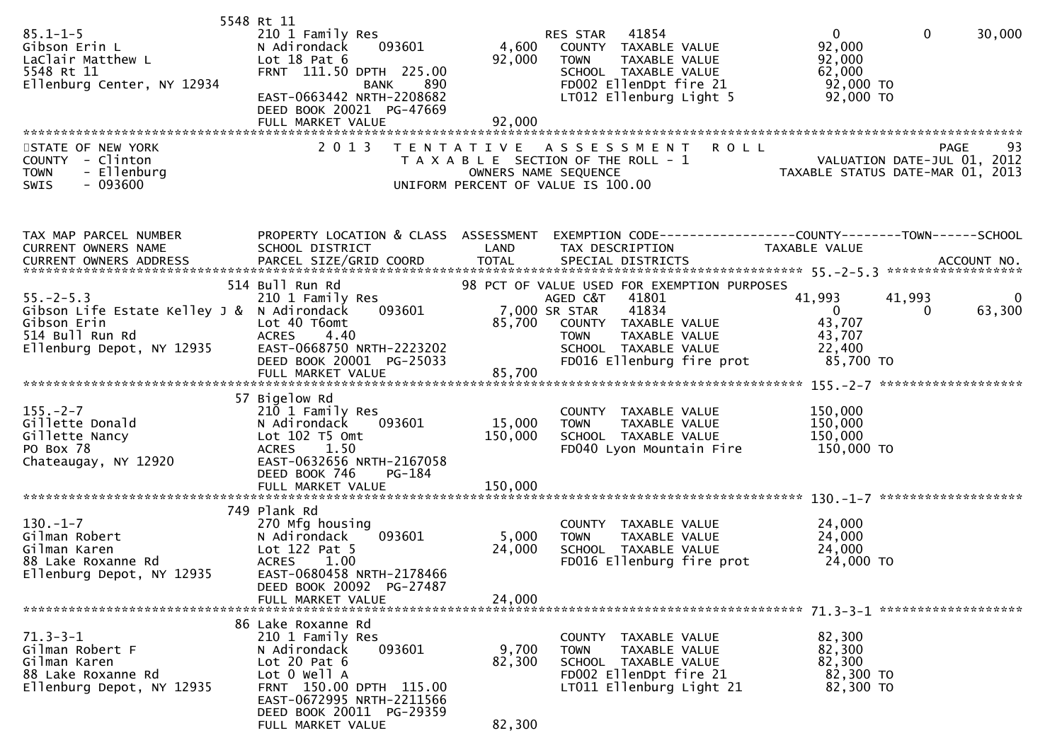| $85.1 - 1 - 5$<br>UU.1-1-J<br>Gibson Erin L<br>LaClair Matthew L<br>5548 Rt 11<br>Flichburg<br>Ellenburg Center, NY 12934<br>STATE OF NEW YORK | 5548 Rt 11<br>210 1 Family Res<br>N Adirondack<br>093601<br>Lot $18$ Pat $6$<br>FRNT 111.50 DPTH 225.00<br>BANK 890<br>EAST-0663442 NRTH-2208682<br>DEED BOOK 20021 PG-47669<br>FULL MARKET VALUE<br>2 0 1 3  | 4,600<br>92,000<br>92,000 | 41854<br>RES STAR<br>COUNTY TAXABLE VALUE<br>TAXABLE VALUE<br><b>TOWN</b><br>SCHOOL TAXABLE VALUE<br>FD002 EllenDpt fire 21<br>LT012 Ellenburg Light 5<br>TENTATIVE ASSESSMENT ROLL                      | $\overline{0}$<br>$\mathbf{0}$<br>30,000<br>92,000<br>92,000<br>62,000<br>92,000 TO<br>- - - - - - - - - το<br>92,000 TO<br>93<br><b>PAGE</b> |
|------------------------------------------------------------------------------------------------------------------------------------------------|---------------------------------------------------------------------------------------------------------------------------------------------------------------------------------------------------------------|---------------------------|----------------------------------------------------------------------------------------------------------------------------------------------------------------------------------------------------------|-----------------------------------------------------------------------------------------------------------------------------------------------|
| COUNTY - Clinton<br>- Ellenburg<br><b>TOWN</b><br>$-093600$<br>SWIS                                                                            |                                                                                                                                                                                                               |                           | UNIFORM PERCENT OF VALUE IS 100.00                                                                                                                                                                       | T A X A B L E SECTION OF THE ROLL - 1<br>OWNERS NAME SEQUENCE - 1<br>NATE-PUL 01, 2012<br>TAXABLE STATUS DATE-MAR 01, 2013                    |
| TAX MAP PARCEL NUMBER<br>CURRENT OWNERS NAME                                                                                                   | PROPERTY LOCATION & CLASS ASSESSMENT<br>SCHOOL DISTRICT                                                                                                                                                       | LAND                      | TAX DESCRIPTION                                                                                                                                                                                          | EXEMPTION CODE------------------COUNTY--------TOWN------SCHOOL<br>TAXABLE VALUE                                                               |
| $55. - 2 - 5.3$<br>Gibson Life Estate Kelley J & N Adirondack<br>Gibson Erin<br>514 Bull Run Rd<br>Ellenburg Depot, NY 12935                   | 514 Bull Run Rd<br>210 1 Family Res<br>093601<br>Lot 40 T6omt<br>DEED BOOK 20001 PG-25033                                                                                                                     | 85,700                    | 98 PCT OF VALUE USED FOR EXEMPTION PURPOSES<br>AGED C&T<br>41801<br>7,000 SR STAR<br>41834<br>COUNTY TAXABLE VALUE<br>TOWN       TAXABLE  VALUE<br>SCHOOL    TAXABLE  VALUE<br>FD016 Ellenburg fire prot | 41,993<br>41,993<br>$\bf{0}$<br>$\overline{0}$<br>63,300<br>$\Omega$<br>43,707<br>43,707<br>22,400<br>85,700 TO                               |
|                                                                                                                                                | FULL MARKET VALUE                                                                                                                                                                                             | 85,700                    |                                                                                                                                                                                                          |                                                                                                                                               |
| $155. - 2 - 7$<br>Gillette Donald<br>Gillette Nancy<br>PO Box 78<br>Chateaugay, NY 12920                                                       | 57 Bigelow Rd<br>210 1 Family Res<br>093601<br>N Adirondack<br>Lot 102 T5 Omt<br>1.50<br><b>ACRES</b><br>EAST-0632656 NRTH-2167058<br>DEED BOOK 746<br>PG-184                                                 | 15,000<br>150,000         | COUNTY TAXABLE VALUE<br><b>TOWN</b><br>TAXABLE VALUE<br>SCHOOL TAXABLE VALUE<br>FD040 Lyon Mountain Fire                                                                                                 | 150,000<br>150,000<br>150,000<br>150,000 TO                                                                                                   |
|                                                                                                                                                |                                                                                                                                                                                                               |                           |                                                                                                                                                                                                          |                                                                                                                                               |
| $130.-1-7$<br>Gilman Robert<br>Gilman Karen<br>88 Lake Roxanne Rd<br>Ellenburg Depot, NY 12935                                                 | 749 Plank Rd<br>270 Mfg housing<br>093601<br>N Adirondack<br>Lot 122 Pat 5<br><b>ACRES</b><br>1.00<br>EAST-0680458 NRTH-2178466<br>DEED BOOK 20092 PG-27487<br>FULL MARKET VALUE                              | 5,000<br>24,000<br>24,000 | COUNTY TAXABLE VALUE<br><b>TOWN</b><br>TAXABLE VALUE<br>SCHOOL TAXABLE VALUE<br>FD016 Ellenburg fire prot                                                                                                | 24,000<br>24,000<br>24,000<br>24,000 TO                                                                                                       |
| $71.3 - 3 - 1$<br>Gilman Robert F<br>Gilman Karen<br>88 Lake Roxanne Rd<br>Ellenburg Depot, NY 12935                                           | 86 Lake Roxanne Rd<br>210 1 Family Res<br>N Adirondack<br>093601<br>Lot $20$ Pat $6$<br>Lot 0 Well A<br>FRNT 150.00 DPTH 115.00<br>EAST-0672995 NRTH-2211566<br>DEED BOOK 20011 PG-29359<br>FULL MARKET VALUE | 9,700<br>82,300<br>82,300 | COUNTY TAXABLE VALUE<br><b>TOWN</b><br>TAXABLE VALUE<br>SCHOOL TAXABLE VALUE<br>FD002 EllenDpt fire 21<br>LT011 Ellenburg Light 21                                                                       | 82,300<br>82,300<br>82,300<br>82,300 TO<br>82,300 TO                                                                                          |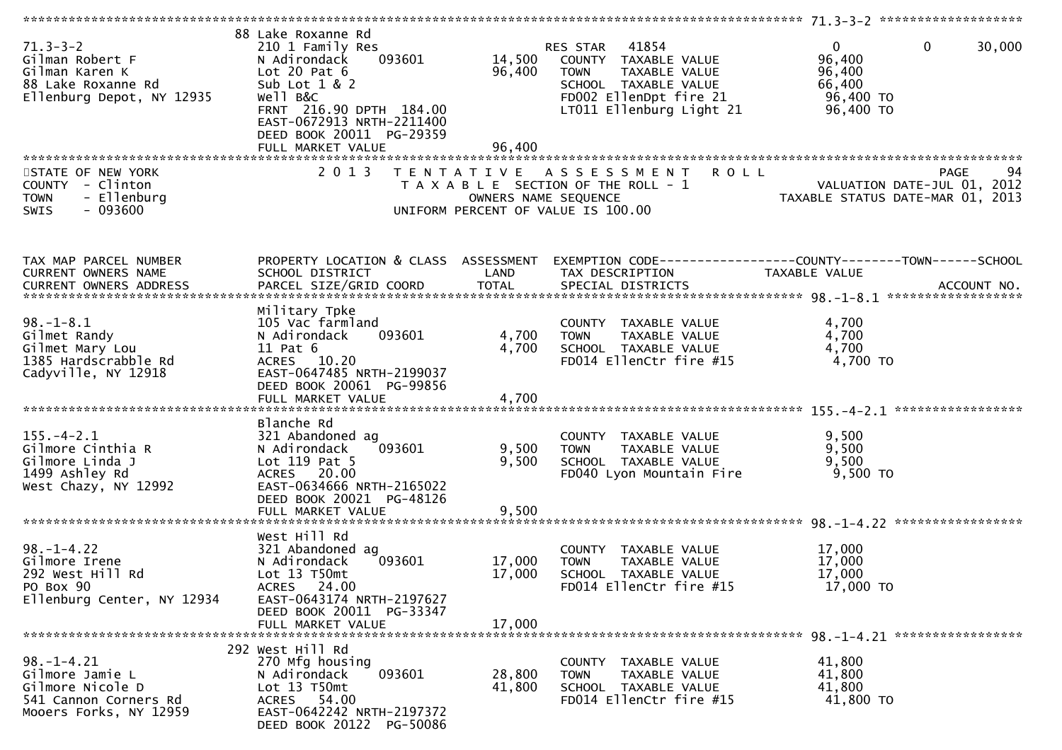| $71.3 - 3 - 2$<br>Gilman Robert F<br>Gilman Karen K<br>88 Lake Roxanne Rd<br>Ellenburg Depot, NY 12935     | 88 Lake Roxanne Rd<br>210 1 Family Res<br>093601<br>N Adirondack<br>Lot 20 Pat $6$<br>Sub Lot 1 & 2<br>Well B&C<br>FRNT 216.90 DPTH 184.00<br>EAST-0672913 NRTH-2211400<br>DEED BOOK 20011 PG-29359 | 96,400                     | 41854<br>RES STAR<br>14,500 COUNTY TAXABLE VALUE<br><b>TOWN</b><br>TAXABLE VALUE<br>SCHOOL TAXABLE VALUE<br>FD002 EllenDpt fire 21<br>LT011 Ellenburg Light 21 | $\mathbf{0}$<br>30,000<br>$\mathbf{0}$<br>96,400<br>96,400<br>66,400<br>96,400 TO<br>96,400 TO                                                                                |
|------------------------------------------------------------------------------------------------------------|-----------------------------------------------------------------------------------------------------------------------------------------------------------------------------------------------------|----------------------------|----------------------------------------------------------------------------------------------------------------------------------------------------------------|-------------------------------------------------------------------------------------------------------------------------------------------------------------------------------|
|                                                                                                            |                                                                                                                                                                                                     |                            |                                                                                                                                                                |                                                                                                                                                                               |
| STATE OF NEW YORK<br>COUNTY - Clinton<br>- Ellenburg<br><b>TOWN</b><br>$-093600$<br><b>SWIS</b>            | 2 0 1 3                                                                                                                                                                                             | OWNERS NAME SEQUENCE       | TENTATIVE ASSESSMENT<br><b>ROLL</b><br>T A X A B L E SECTION OF THE ROLL - 1<br>UNIFORM PERCENT OF VALUE IS 100.00                                             | 94<br><b>PAGE</b><br>94<br>VALUATION DATE-JUL 01, 2012<br>TAXABLE STATUS DATE-MAR 01, 2013                                                                                    |
| TAX MAP PARCEL NUMBER<br>CURRENT OWNERS NAME                                                               | PROPERTY LOCATION & CLASS ASSESSMENT<br>SCHOOL DISTRICT                                                                                                                                             | LAND                       | TAX DESCRIPTION                                                                                                                                                | EXEMPTION CODE-----------------COUNTY--------TOWN------SCHOOL<br>TAXABLE VALUE<br>CURRENT OWNERS ADDRESS PARCEL SIZE/GRID COORD TOTAL SPECIAL DISTRICTS 78.1 2014 ACCOUNT NO. |
| $98. - 1 - 8.1$<br>Gilmet Randy<br>Gilmet Mary Lou<br>1385 Hardscrabble Rd<br>Cadyville, NY 12918          | Military Tpke<br>105 Vac farmland<br>093601<br>N Adirondack<br>$11$ Pat $6$<br>ACRES 10.20<br>EAST-0647485 NRTH-2199037<br>DEED BOOK 20061 PG-99856<br>FULL MARKET VALUE                            | 4,700<br>4,700<br>4,700    | COUNTY TAXABLE VALUE<br>TAXABLE VALUE<br><b>TOWN</b><br>SCHOOL TAXABLE VALUE<br>FD014 EllenCtr fire #15                                                        | 4,700<br>4,700<br>4,700<br>4,700 TO                                                                                                                                           |
| $155. - 4 - 2.1$<br>Gilmore Cinthia R<br>Gilmore Linda J<br>1499 Ashley Rd<br>West Chazy, NY 12992         | Blanche Rd<br>321 Abandoned ag<br>093601<br>N Adirondack<br>Lot $119$ Pat 5<br>ACRES 20.00<br>EAST-0634666 NRTH-2165022<br>DEED BOOK 20021 PG-48126<br>FULL MARKET VALUE                            | 9,500<br>9,500<br>9,500    | COUNTY TAXABLE VALUE<br>TAXABLE VALUE<br><b>TOWN</b><br>SCHOOL TAXABLE VALUE<br>FD040 Lyon Mountain Fire                                                       | 9,500<br>9,500<br>9,500<br>9,500 TO                                                                                                                                           |
| $98. - 1 - 4.22$<br>Gilmore Irene<br>292 West Hill Rd<br>PO Box 90<br>Ellenburg Center, NY 12934           | West Hill Rd<br>321 Abandoned ag<br>093601<br>N Adirondack<br>Lot 13 T50mt<br>ACRES 24.00<br>EAST-0643174 NRTH-2197627<br>DEED BOOK 20011 PG-33347<br>FULL MARKET VALUE                             | 17,000<br>17,000<br>17,000 | COUNTY TAXABLE VALUE<br><b>TOWN</b><br>TAXABLE VALUE<br>SCHOOL TAXABLE VALUE<br>FD014 EllenCtr fire #15                                                        | 17,000<br>17,000<br>17,000<br>17,000 TO                                                                                                                                       |
| $98. - 1 - 4.21$<br>Gilmore Jamie L<br>Gilmore Nicole D<br>541 Cannon Corners Rd<br>Mooers Forks, NY 12959 | 292 West Hill Rd<br>270 Mfg housing<br>093601<br>N Adirondack<br>Lot 13 T50mt<br>ACRES 54.00<br>EAST-0642242 NRTH-2197372<br>DEED BOOK 20122 PG-50086                                               | 28,800<br>41,800           | COUNTY TAXABLE VALUE<br>TAXABLE VALUE<br><b>TOWN</b><br>SCHOOL TAXABLE VALUE<br>FD014 EllenCtr fire #15                                                        | 41,800<br>41,800<br>41,800<br>41,800 TO                                                                                                                                       |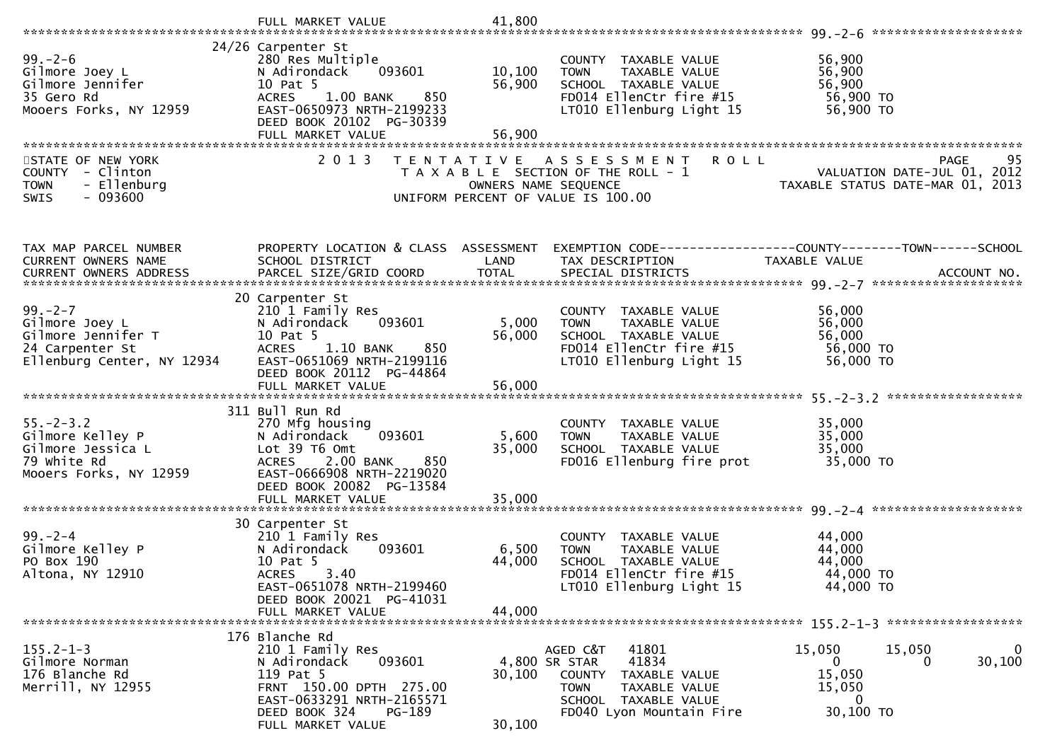|                                                                                                        | FULL MARKET VALUE                                                                                                                                                                                | 41,800                      |                                                                                                                                                            |                                                                                            |
|--------------------------------------------------------------------------------------------------------|--------------------------------------------------------------------------------------------------------------------------------------------------------------------------------------------------|-----------------------------|------------------------------------------------------------------------------------------------------------------------------------------------------------|--------------------------------------------------------------------------------------------|
| $99. - 2 - 6$<br>Gilmore Joey L<br>Gilmore Jennifer<br>35 Gero Rd<br>Mooers Forks, NY 12959            | 24/26 Carpenter St<br>280 Res Multiple<br>093601<br>N Adirondack<br>10 Pat 5<br><b>ACRES</b><br>$1.00$ BANK<br>850<br>EAST-0650973 NRTH-2199233<br>DEED BOOK 20102 PG-30339<br>FULL MARKET VALUE | 10, 100<br>56,900<br>56,900 | COUNTY TAXABLE VALUE<br>TAXABLE VALUE<br><b>TOWN</b><br>SCHOOL TAXABLE VALUE<br>FD014 EllenCtr fire #15<br>LT010 Ellenburg Light 15                        | 56,900<br>56,900<br>56,900<br>56,900 TO<br>56,900 TO                                       |
| STATE OF NEW YORK<br>COUNTY - Clinton<br>- Ellenburg<br><b>TOWN</b><br>SWIS<br>- 093600                | 2 0 1 3                                                                                                                                                                                          | OWNERS NAME SEQUENCE        | <b>ROLL</b><br>TENTATIVE ASSESSMENT<br>T A X A B L E SECTION OF THE ROLL - 1<br>UNIFORM PERCENT OF VALUE IS 100.00                                         | 95<br>PAGE<br>VALUATION DATE-JUL 01, 2012<br>TAXABLE STATUS DATE-MAR 01, 2013              |
| TAX MAP PARCEL NUMBER<br>CURRENT OWNERS NAME                                                           | PROPERTY LOCATION & CLASS ASSESSMENT<br>SCHOOL DISTRICT                                                                                                                                          | LAND                        | TAX DESCRIPTION                                                                                                                                            | EXEMPTION CODE------------------COUNTY--------TOWN------SCHOOL<br><b>TAXABLE VALUE</b>     |
| $99. - 2 - 7$<br>Gilmore Joey L<br>Gilmore Jennifer T<br>24 Carpenter St<br>Ellenburg Center, NY 12934 | 20 Carpenter St<br>210 1 Family Res<br>093601<br>N Adirondack<br>10 Pat 5<br>1.10 BANK<br>850<br><b>ACRES</b><br>EAST-0651069 NRTH-2199116<br>DEED BOOK 20112 PG-44864                           | 5,000<br>56,000             | COUNTY TAXABLE VALUE<br>TAXABLE VALUE<br><b>TOWN</b><br>SCHOOL TAXABLE VALUE<br>FD014 EllenCtr fire #15<br>LT010 Ellenburg Light 15                        | 56,000<br>56,000<br>56,000<br>56,000 TO<br>56,000 TO                                       |
| $55. - 2 - 3.2$<br>Gilmore Kelley P<br>Gilmore Jessica L<br>79 white Rd<br>Mooers Forks, NY 12959      | 311 Bull Run Rd<br>270 Mfg housing<br>093601<br>N Adirondack<br>Lot 39 T6 Omt<br>2.00 BANK<br>850<br><b>ACRES</b><br>EAST-0666908 NRTH-2219020<br>DEED BOOK 20082 PG-13584<br>FULL MARKET VALUE  | 5,600<br>35,000<br>35,000   | COUNTY TAXABLE VALUE<br><b>TOWN</b><br>TAXABLE VALUE<br>SCHOOL TAXABLE VALUE<br>FD016 Ellenburg fire prot                                                  | 35,000<br>35,000<br>35,000<br>35,000 TO                                                    |
| $99 - 2 - 4$<br>Gilmore Kelley P<br>PO Box 190<br>Altona, NY 12910                                     | 30 Carpenter St<br>210 1 Family Res<br>093601<br>N Adirondack<br>10 Pat 5<br>3.40<br><b>ACRES</b><br>EAST-0651078 NRTH-2199460<br>DEED BOOK 20021 PG-41031<br>FULL MARKET VALUE                  | 6,500<br>44,000<br>44,000   | COUNTY TAXABLE VALUE<br>TAXABLE VALUE<br><b>TOWN</b><br>SCHOOL TAXABLE VALUE<br>FD014 EllenCtr fire #15<br>LT010 Ellenburg Light 15                        | 44,000<br>44,000<br>44,000<br>44,000 TO<br>44,000 TO                                       |
| $155.2 - 1 - 3$<br>Gilmore Norman<br>176 Blanche Rd<br>Merrill, NY 12955                               | 176 Blanche Rd<br>210 1 Family Res<br>093601<br>N Adirondack<br>119 Pat 5<br>FRNT 150.00 DPTH 275.00<br>EAST-0633291 NRTH-2165571<br>DEED BOOK 324<br>PG-189<br>FULL MARKET VALUE                | 30,100<br>30,100            | AGED C&T<br>41801<br>41834<br>4,800 SR STAR<br>COUNTY<br>TAXABLE VALUE<br><b>TOWN</b><br>TAXABLE VALUE<br>SCHOOL TAXABLE VALUE<br>FD040 Lyon Mountain Fire | 15,050<br>15,050<br>0<br>30,100<br>$\mathbf{0}$<br>0<br>15,050<br>15,050<br>0<br>30,100 TO |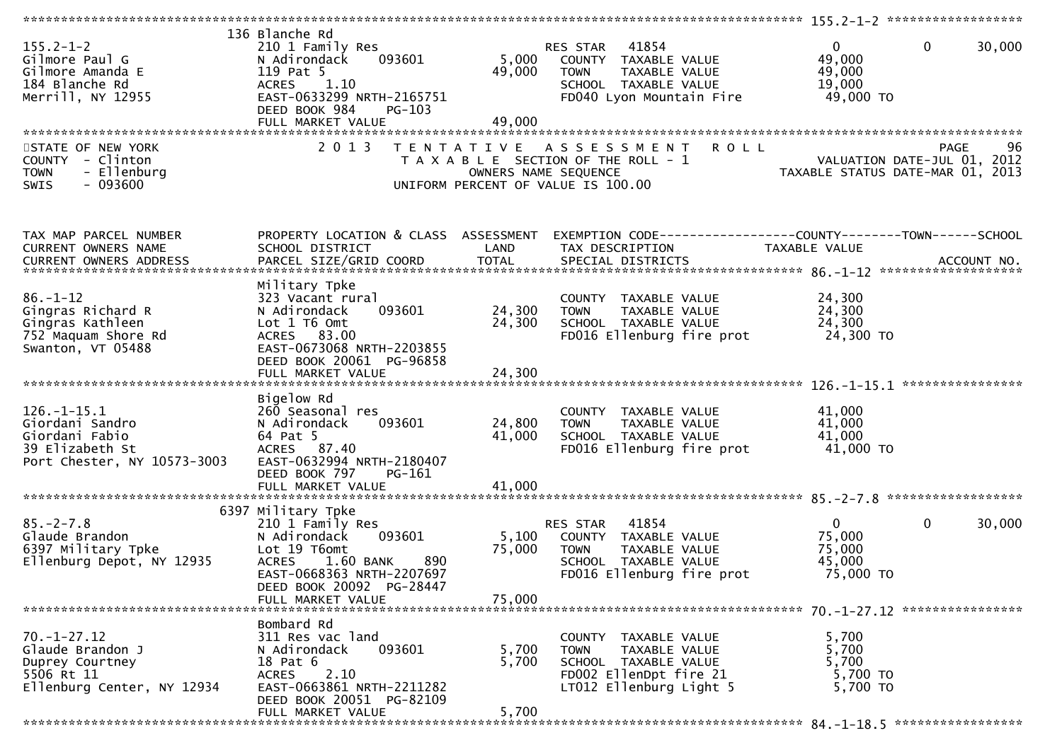| $155.2 - 1 - 2$<br>Gilmore Paul G<br>Gilmore Amanda E<br>184 Blanche Rd<br>Merrill, NY 12955             | 136 Blanche Rd<br>210 1 Family Res<br>093601<br>N Adirondack<br>119 Pat 5<br><b>ACRES</b><br>1.10<br>EAST-0633299 NRTH-2165751<br>DEED BOOK 984<br>$PG-103$<br>FULL MARKET VALUE | 5,000<br>49,000<br>49,000 | 41854<br>RES STAR<br>COUNTY TAXABLE VALUE<br>TAXABLE VALUE<br><b>TOWN</b><br>SCHOOL TAXABLE VALUE<br>FD040 Lyon Mountain Fire     | $\mathbf 0$<br>$\overline{0}$<br>49,000<br>49,000<br>19,000<br>49,000 TO | 30,000      |
|----------------------------------------------------------------------------------------------------------|----------------------------------------------------------------------------------------------------------------------------------------------------------------------------------|---------------------------|-----------------------------------------------------------------------------------------------------------------------------------|--------------------------------------------------------------------------|-------------|
|                                                                                                          |                                                                                                                                                                                  |                           |                                                                                                                                   |                                                                          |             |
| STATE OF NEW YORK<br>COUNTY - Clinton<br>- Ellenburg<br><b>TOWN</b><br>$-093600$<br>SWIS                 | 2 0 1 3                                                                                                                                                                          | OWNERS NAME SEQUENCE      | <b>ROLL</b><br>TENTATIVE ASSESSMENT<br>T A X A B L E SECTION OF THE ROLL - 1<br>UNIFORM PERCENT OF VALUE IS 100.00                | VALUATION DATE-JUL 01, 2012<br>TAXABLE STATUS DATE-MAR 01, 2013          | PAGE<br>96  |
| TAX MAP PARCEL NUMBER<br>CURRENT OWNERS NAME                                                             | PROPERTY LOCATION & CLASS ASSESSMENT<br>SCHOOL DISTRICT                                                                                                                          | LAND                      | EXEMPTION CODE------------------COUNTY--------TOWN------SCHOOL<br>TAX DESCRIPTION                                                 | TAXABLE VALUE                                                            |             |
| CURRENT OWNERS ADDRESS                                                                                   | PARCEL SIZE/GRID COORD                                                                                                                                                           | <b>TOTAL</b>              | SPECIAL DISTRICTS                                                                                                                 |                                                                          | ACCOUNT NO. |
| $86. - 1 - 12$<br>Gingras Richard R<br>Gingras Kathleen<br>752 Maquam Shore Rd<br>Swanton, VT 05488      | Military Tpke<br>323 Vacant rural<br>093601<br>N Adirondack<br>Lot 1 T6 Omt<br>ACRES 83.00<br>EAST-0673068 NRTH-2203855<br>DEED BOOK 20061 PG-96858                              | 24,300<br>24,300          | COUNTY TAXABLE VALUE<br><b>TOWN</b><br>TAXABLE VALUE<br>SCHOOL TAXABLE VALUE<br>FD016 Ellenburg fire prot                         | 24,300<br>24,300<br>24,300<br>24,300 TO                                  |             |
|                                                                                                          | Bigelow Rd                                                                                                                                                                       |                           |                                                                                                                                   |                                                                          |             |
| $126. - 1 - 15.1$<br>Giordani Sandro<br>Giordani Fabio<br>39 Elizabeth St<br>Port Chester, NY 10573-3003 | 260 Seasonal res<br>093601<br>N Adirondack<br>64 Pat 5<br>ACRES 87.40<br>EAST-0632994 NRTH-2180407<br>DEED BOOK 797<br>PG-161                                                    | 24,800<br>41,000          | COUNTY TAXABLE VALUE<br><b>TOWN</b><br>TAXABLE VALUE<br>SCHOOL TAXABLE VALUE<br>FD016 Ellenburg fire prot                         | 41,000<br>41,000<br>41,000<br>41,000 TO                                  |             |
|                                                                                                          | FULL MARKET VALUE                                                                                                                                                                | 41,000                    |                                                                                                                                   |                                                                          |             |
|                                                                                                          |                                                                                                                                                                                  |                           |                                                                                                                                   |                                                                          |             |
| $85. - 2 - 7.8$<br>Glaude Brandon<br>6397 Military Tpke<br>Ellenburg Depot, NY 12935                     | 6397 Military Tpke<br>210 1 Family Res<br>N Adirondack<br>093601<br>Lot 19 T6omt<br>1.60 BANK<br><b>ACRES</b><br>890<br>EAST-0668363 NRTH-2207697<br>DEED BOOK 20092 PG-28447    | 5,100<br>75,000           | 41854<br>RES STAR<br>COUNTY TAXABLE VALUE<br>TAXABLE VALUE<br><b>TOWN</b><br>SCHOOL TAXABLE VALUE<br>FD016 Ellenburg fire prot    | $\mathbf{0}$<br>$\mathbf{0}$<br>75,000<br>75,000<br>45,000<br>75,000 TO  | 30,000      |
|                                                                                                          | FULL MARKET VALUE                                                                                                                                                                | 75,000                    |                                                                                                                                   |                                                                          |             |
|                                                                                                          |                                                                                                                                                                                  |                           |                                                                                                                                   |                                                                          |             |
| $70. - 1 - 27.12$<br>Glaude Brandon J<br>Duprey Courtney<br>5506 Rt 11<br>Ellenburg Center, NY 12934     | Bombard Rd<br>311 Res vac land<br>N Adirondack<br>093601<br>18 Pat 6<br>2.10<br><b>ACRES</b><br>EAST-0663861 NRTH-2211282<br>DEED BOOK 20051 PG-82109                            | 5,700<br>5,700            | COUNTY TAXABLE VALUE<br><b>TOWN</b><br>TAXABLE VALUE<br>SCHOOL TAXABLE VALUE<br>FD002 EllenDpt fire 21<br>LT012 Ellenburg Light 5 | 5,700<br>5,700<br>5,700<br>5,700 TO<br>5,700 TO                          |             |
|                                                                                                          | FULL MARKET VALUE                                                                                                                                                                | 5,700                     |                                                                                                                                   |                                                                          |             |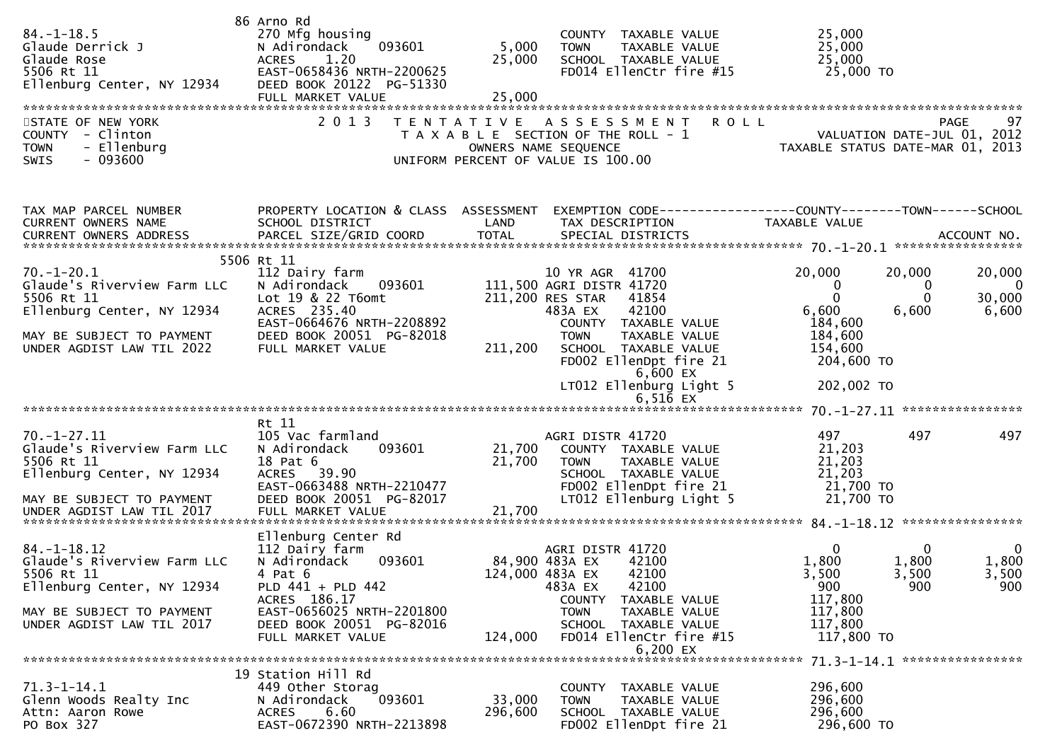| $84. - 1 - 18.5$<br>Glaude Derrick J<br>Glaude Rose<br>5506 Rt 11<br>Ellenburg Center, NY 12934                                                        | 86 Arno Rd<br>270 Mfg housing<br>093601<br>N Adirondack<br><b>ACRES</b><br>1.20<br>EAST-0658436 NRTH-2200625<br>DEED BOOK 20122 PG-51330<br>FULL MARKET VALUE             | 5,000<br>25,000<br>25,000  | COUNTY TAXABLE VALUE<br>TAXABLE VALUE<br><b>TOWN</b><br>SCHOOL TAXABLE VALUE<br>FD014 EllenCtr fire #15                                                                                                                                       | 25,000<br>25,000<br>25,000<br>25,000 TO                                                                                         |                                  |
|--------------------------------------------------------------------------------------------------------------------------------------------------------|---------------------------------------------------------------------------------------------------------------------------------------------------------------------------|----------------------------|-----------------------------------------------------------------------------------------------------------------------------------------------------------------------------------------------------------------------------------------------|---------------------------------------------------------------------------------------------------------------------------------|----------------------------------|
| STATE OF NEW YORK<br>COUNTY - Clinton<br>- Ellenburg<br><b>TOWN</b><br>$-093600$<br>SWIS                                                               | 2 0 1 3                                                                                                                                                                   | T E N T A T I V E          | A S S E S S M E N T<br>T A X A B L E SECTION OF THE ROLL - 1<br>OWNERS NAME SEQUENCE<br>UNIFORM PERCENT OF VALUE IS 100.00                                                                                                                    | <b>ROLL</b><br>VALUATION DATE-JUL 01, 2012<br>TAXABLE STATUS DATE-MAR 01, 2013                                                  | PAGE<br>97                       |
| TAX MAP PARCEL NUMBER<br>CURRENT OWNERS NAME                                                                                                           | PROPERTY LOCATION & CLASS ASSESSMENT<br>SCHOOL DISTRICT                                                                                                                   | LAND                       | TAX DESCRIPTION                                                                                                                                                                                                                               | EXEMPTION CODE------------------COUNTY--------TOWN------SCHOOL<br>TAXABLE VALUE                                                 |                                  |
| $70.-1-20.1$<br>Glaude's Riverview Farm LLC<br>5506 Rt 11<br>Ellenburg Center, NY 12934<br>MAY BE SUBJECT TO PAYMENT<br>UNDER AGDIST LAW TIL 2022      | 5506 Rt 11<br>112 Dairy farm<br>N Adirondack<br>093601<br>Lot 19 & 22 T6omt<br>ACRES 235.40<br>EAST-0664676 NRTH-2208892<br>DEED BOOK 20051 PG-82018<br>FULL MARKET VALUE | 211,200                    | 10 YR AGR 41700<br>111,500 AGRI DISTR 41720<br>211,200 RES STAR<br>41854<br>483A EX<br>42100<br>COUNTY TAXABLE VALUE<br><b>TOWN</b><br>TAXABLE VALUE<br>SCHOOL TAXABLE VALUE<br>FD002 EllenDpt fire 21<br>6,600 EX<br>LT012 Ellenburg Light 5 | 20,000<br>20,000<br>0<br>$\mathbf 0$<br>$\Omega$<br>6,600<br>6,600<br>184,600<br>184,600<br>154,600<br>204,600 TO<br>202,002 TO | 20,000<br>- 0<br>30,000<br>6,600 |
|                                                                                                                                                        |                                                                                                                                                                           |                            | $6,516$ EX                                                                                                                                                                                                                                    |                                                                                                                                 |                                  |
| $70. - 1 - 27.11$<br>Glaude's Riverview Farm LLC<br>5506 Rt 11<br>Ellenburg Center, NY 12934<br>MAY BE SUBJECT TO PAYMENT<br>UNDER AGDIST LAW TIL 2017 | Rt 11<br>105 Vac farmland<br>093601<br>N Adirondack<br>18 Pat 6<br>ACRES 39.90<br>EAST-0663488 NRTH-2210477<br>DEED BOOK 20051 PG-82017<br>FULL MARKET VALUE              | 21,700<br>21,700<br>21,700 | AGRI DISTR 41720<br>COUNTY TAXABLE VALUE<br>TAXABLE VALUE<br><b>TOWN</b><br>SCHOOL TAXABLE VALUE<br>FD002 EllenDpt fire 21<br>LT012 Ellenburg Light 5                                                                                         | 497<br>497<br>21,203<br>21,203<br>21,203<br>21,700 TO<br>21,700 TO                                                              | 497                              |
|                                                                                                                                                        |                                                                                                                                                                           |                            |                                                                                                                                                                                                                                               |                                                                                                                                 |                                  |
| $84. - 1 - 18.12$<br>Glaude's Riverview Farm LLC<br>5506 Rt 11<br>Ellenburg Center, NY 12934<br>MAY BE SUBJECT TO PAYMENT                              | Ellenburg Center Rd<br>112 Dairy farm<br>N Adirondack<br>093601<br>4 Pat 6<br>PLD 441 + PLD 442<br>ACRES 186.17<br>EAST-0656025 NRTH-2201800                              | 124,000 483A EX            | AGRI DISTR 41720<br>84,900 483A EX<br>42100<br>42100<br>483A EX<br>42100<br>COUNTY TAXABLE VALUE<br><b>TOWN</b><br>TAXABLE VALUE                                                                                                              | $\mathbf{0}$<br>0<br>1,800<br>1,800<br>3,500<br>3,500<br>900<br>900<br>117,800<br>117,800                                       | 0<br>1,800<br>3,500<br>900       |
| UNDER AGDIST LAW TIL 2017                                                                                                                              | DEED BOOK 20051 PG-82016<br>FULL MARKET VALUE                                                                                                                             | 124,000                    | SCHOOL TAXABLE VALUE<br>FD014 EllenCtr fire #15<br>6,200 EX                                                                                                                                                                                   | 117,800<br>117,800 TO                                                                                                           |                                  |
|                                                                                                                                                        |                                                                                                                                                                           |                            |                                                                                                                                                                                                                                               |                                                                                                                                 |                                  |
| $71.3 - 1 - 14.1$<br>Glenn Woods Realty Inc<br>Attn: Aaron Rowe<br>PO Box 327                                                                          | 19 Station Hill Rd<br>449 Other Storag<br>093601<br>N Adirondack<br><b>ACRES</b><br>6.60<br>EAST-0672390 NRTH-2213898                                                     | 33,000<br>296,600          | <b>COUNTY</b><br>TAXABLE VALUE<br><b>TOWN</b><br><b>TAXABLE VALUE</b><br>SCHOOL TAXABLE VALUE<br>FD002 EllenDpt fire 21                                                                                                                       | 296,600<br>296,600<br>296,600<br>296,600 TO                                                                                     |                                  |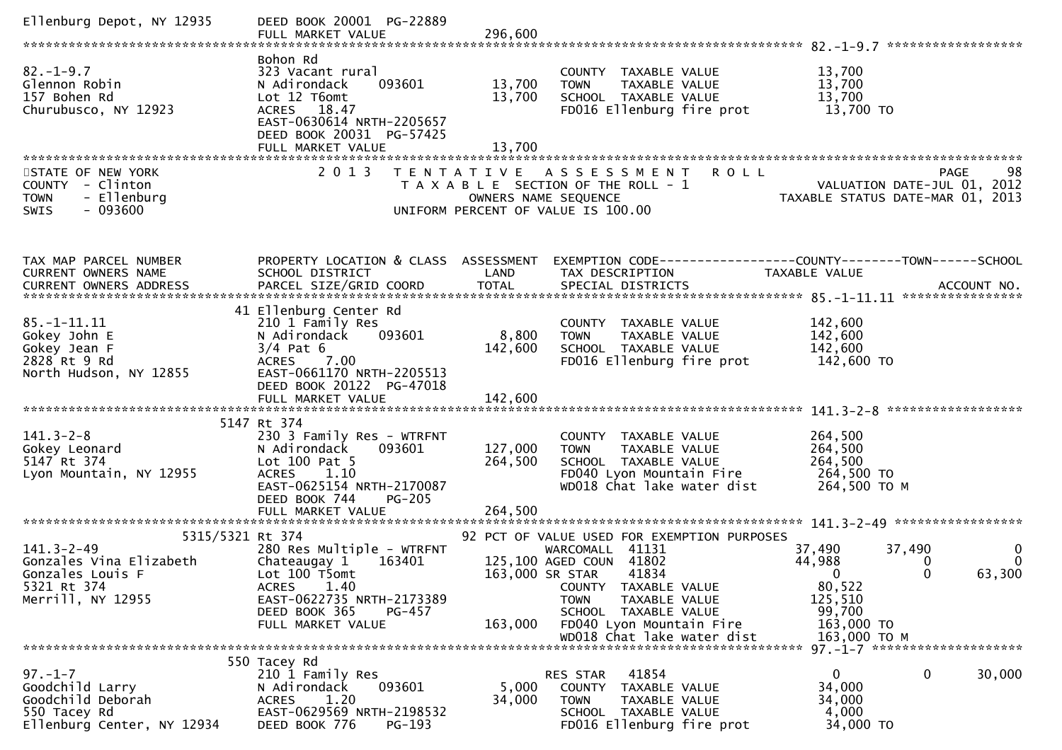| Ellenburg Depot, NY 12935                                                                                               | DEED BOOK 20001 PG-22889<br>FULL MARKET VALUE                                                                                                                                                       | 296,600                       |                                                                                                                                                                                                                                                              |                                                                                                                                                                     |
|-------------------------------------------------------------------------------------------------------------------------|-----------------------------------------------------------------------------------------------------------------------------------------------------------------------------------------------------|-------------------------------|--------------------------------------------------------------------------------------------------------------------------------------------------------------------------------------------------------------------------------------------------------------|---------------------------------------------------------------------------------------------------------------------------------------------------------------------|
| $82. - 1 - 9.7$<br>Glennon Robin<br>157 Bohen Rd<br>Churubusco, NY 12923                                                | Bohon Rd<br>323 Vacant rural<br>N Adirondack<br>093601<br>Lot 12 T6omt<br>ACRES 18.47<br>EAST-0630614 NRTH-2205657<br>DEED BOOK 20031 PG-57425<br>FULL MARKET VALUE                                 | 13,700<br>13,700<br>13,700    | COUNTY TAXABLE VALUE<br><b>TOWN</b><br>TAXABLE VALUE<br>SCHOOL TAXABLE VALUE<br>FD016 Ellenburg fire prot                                                                                                                                                    | 13,700<br>13,700<br>13,700<br>13,700 TO                                                                                                                             |
| STATE OF NEW YORK<br>COUNTY - Clinton<br>- Ellenburg<br><b>TOWN</b><br>$-093600$<br><b>SWIS</b>                         | 2 0 1 3                                                                                                                                                                                             |                               | TENTATIVE ASSESSMENT<br><b>ROLL</b><br>T A X A B L E SECTION OF THE ROLL - 1<br>OWNERS NAME SEQUENCE<br>UNIFORM PERCENT OF VALUE IS 100.00                                                                                                                   | PAGE<br>98<br>VALUATION DATE-JUL 01, 2012<br>VALUATIUN DATE-JUL UI, 2012<br>TAXABLE STATUS DATE-MAR 01, 2013                                                        |
| TAX MAP PARCEL NUMBER<br>CURRENT OWNERS NAME<br>CURRENT OWNERS ADDRESS                                                  | PROPERTY LOCATION & CLASS ASSESSMENT<br>SCHOOL DISTRICT<br>PARCEL SIZE/GRID COORD                                                                                                                   | LAND<br><b>TOTAL</b>          | TAX DESCRIPTION<br>SPECIAL DISTRICTS                                                                                                                                                                                                                         | EXEMPTION CODE-----------------COUNTY-------TOWN------SCHOOL<br><b>TAXABLE VALUE</b><br>ACCOUNT NO.                                                                 |
| $85. - 1 - 11.11$<br>Gokey John E<br>Gokey Jean F<br>2828 Rt 9 Rd<br>North Hudson, NY 12855                             | 41 Ellenburg Center Rd<br>210 1 Family Res<br>N Adirondack<br>093601<br>$3/4$ Pat 6<br>ACRES 7.00<br>EAST-0661170 NRTH-2205513<br>DEED BOOK 20122 PG-47018<br>FULL MARKET VALUE                     | 8,800<br>142,600<br>142,600   | COUNTY TAXABLE VALUE<br>TAXABLE VALUE<br><b>TOWN</b><br>SCHOOL TAXABLE VALUE<br>FD016 Ellenburg fire prot                                                                                                                                                    | 142,600<br>142,600<br>142,600<br>142,600 TO                                                                                                                         |
| $141.3 - 2 - 8$<br>Gokey Leonard<br>5147 Rt 374<br>Lyon Mountain, NY 12955                                              | 5147 Rt 374<br>230 3 Family Res - WTRFNT<br>N Adirondack<br>093601<br>Lot $100$ Pat $5$<br>1.10<br><b>ACRES</b><br>EAST-0625154 NRTH-2170087<br>DEED BOOK 744<br><b>PG-205</b><br>FULL MARKET VALUE | 127,000<br>264,500<br>264,500 | COUNTY TAXABLE VALUE<br>TAXABLE VALUE<br><b>TOWN</b><br>SCHOOL TAXABLE VALUE<br>FD040 Lyon Mountain Fire<br>WD018 Chat lake water dist                                                                                                                       | 264,500<br>264,500<br>264,500<br>264,500 TO<br>264,500 ТО М                                                                                                         |
| 5315/5321 Rt 374<br>$141.3 - 2 - 49$<br>Gonzales Vina Elizabeth<br>Gonzales Louis F<br>5321 Rt 374<br>Merrill, NY 12955 | 280 Res Multiple - WTRFNT<br>Chateaugay 1<br>163401<br>Lot 100 T5omt<br>1.40<br><b>ACRES</b><br>EAST-0622735 NRTH-2173389<br>DEED BOOK 365<br>PG-457<br>FULL MARKET VALUE                           | 163,000                       | 92 PCT OF VALUE USED FOR EXEMPTION PURPOSES<br>WARCOMALL 41131<br>125,100 AGED COUN 41802<br>163,000 SR STAR 41834<br>COUNTY TAXABLE VALUE<br><b>TOWN</b><br>TAXABLE VALUE<br>SCHOOL TAXABLE VALUE<br>FD040 Lyon Mountain Fire<br>WD018 Chat lake water dist | 37,490<br>37,490<br>0<br>44,988<br>$\bf{0}$<br>0<br>63,300<br>$\overline{\phantom{0}}$<br><sup>n</sup><br>80,522<br>125,510<br>99,700<br>163,000 TO<br>163,000 ТО М |
| $97. - 1 - 7$<br>Goodchild Larry<br>Goodchild Deborah<br>550 Tacey Rd<br>Ellenburg Center, NY 12934                     | 550 Tacey Rd<br>210 1 Family Res<br>093601<br>N Adirondack<br>ACRES<br>1.20<br>EAST-0629569 NRTH-2198532<br>DEED BOOK 776<br>$PG-193$                                                               | 5,000<br>34,000               | 41854<br>RES STAR<br>COUNTY TAXABLE VALUE<br>TAXABLE VALUE<br><b>TOWN</b><br>SCHOOL TAXABLE VALUE<br>FD016 Ellenburg fire prot                                                                                                                               | $\Omega$<br>0<br>30,000<br>34,000<br>34,000<br>4,000<br>34,000 TO                                                                                                   |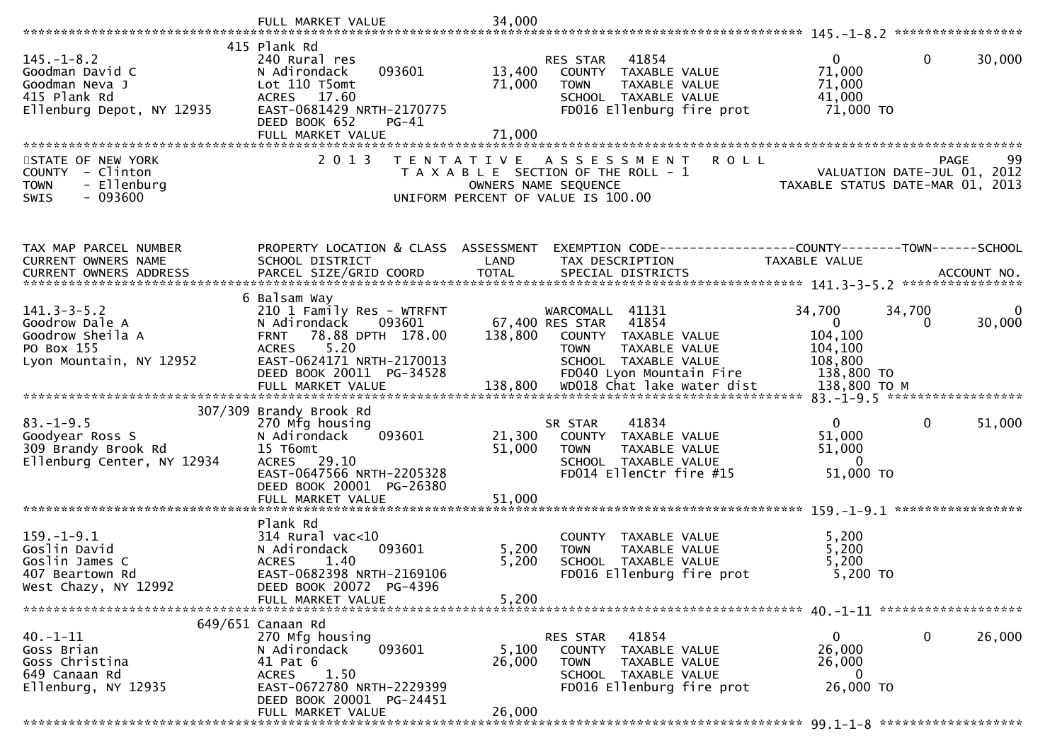| 415 Plank Rd<br>$\mathbf 0$<br>$145. - 1 - 8.2$<br>$\mathbf{0}$<br>30,000<br>240 Rural res<br>RES STAR<br>41854<br>71,000<br>Goodman David C<br>093601<br>13,400<br>N Adirondack<br>COUNTY TAXABLE VALUE<br>71,000<br>71,000<br>Goodman Neva J<br>Lot 110 T5omt<br>TAXABLE VALUE<br><b>TOWN</b><br>415 Plank Rd<br>ACRES 17.60<br>SCHOOL TAXABLE VALUE<br>41,000<br>Ellenburg Depot, NY 12935<br>EAST-0681429 NRTH-2170775<br>FD016 Ellenburg fire prot<br>71,000 TO<br>DEED BOOK 652<br>$PG-41$<br>71,000<br>FULL MARKET VALUE<br>2 0 1 3<br><b>ROLL</b><br>99<br>STATE OF NEW YORK<br><b>PAGE</b><br>T E N T A T I V E<br>A S S E S S M E N T<br>COUNTY - Clinton<br>T A X A B L E SECTION OF THE ROLL - 1<br>VALUATION DATE-JUL 01, 2012<br>TAXABLE STATUS DATE-MAR 01, 2013<br>- Ellenburg<br><b>TOWN</b><br>OWNERS NAME SEQUENCE<br>$-093600$<br>SWIS<br>UNIFORM PERCENT OF VALUE IS 100.00<br>PROPERTY LOCATION & CLASS ASSESSMENT<br>TAX MAP PARCEL NUMBER<br>EXEMPTION CODE-----------------COUNTY-------TOWN------SCHOOL<br>CURRENT OWNERS NAME<br>SCHOOL DISTRICT<br>LAND<br>TAX DESCRIPTION<br>TAXABLE VALUE<br>CURRENT OWNERS ADDRESS<br>6 Balsam Way<br>$141.3 - 3 - 5.2$<br>34,700<br>34,700<br>210 1 Family Res - WTRFNT<br>WARCOMALL 41131<br>0<br>41854<br>$\mathbf{0}$<br>Goodrow Dale A<br>67,400 RES STAR<br>30,000<br>N Adirondack<br>093601<br>$\Omega$<br>Goodrow Sheila A<br>78.88 DPTH 178.00<br>138,800<br>104,100<br><b>FRNT</b><br>COUNTY TAXABLE VALUE<br>PO Box 155<br>5.20<br><b>ACRES</b><br><b>TOWN</b><br>TAXABLE VALUE<br>104,100<br>EAST-0624171 NRTH-2170013<br>108,800<br>Lyon Mountain, NY 12952<br>SCHOOL TAXABLE VALUE<br>DEED BOOK 20011 PG-34528<br>FD040 Lyon Mountain Fire<br>138,800 TO<br>307/309 Brandy Brook Rd<br>$\mathbf{0}$<br>$\mathbf 0$<br>$83. - 1 - 9.5$<br>41834<br>51,000<br>270 Mfg housing<br>SR STAR<br>51,000<br>Goodyear Ross S<br>093601<br>21,300<br>N Adirondack<br>COUNTY TAXABLE VALUE<br>309 Brandy Brook Rd<br>15 T6omt<br>51,000<br>51,000<br>TAXABLE VALUE<br><b>TOWN</b><br>Ellenburg Center, NY 12934<br>ACRES 29.10<br>$\Omega$<br>SCHOOL TAXABLE VALUE<br>EAST-0647566 NRTH-2205328<br>FD014 EllenCtr fire #15<br>51,000 TO<br>DEED BOOK 20001 PG-26380 |
|---------------------------------------------------------------------------------------------------------------------------------------------------------------------------------------------------------------------------------------------------------------------------------------------------------------------------------------------------------------------------------------------------------------------------------------------------------------------------------------------------------------------------------------------------------------------------------------------------------------------------------------------------------------------------------------------------------------------------------------------------------------------------------------------------------------------------------------------------------------------------------------------------------------------------------------------------------------------------------------------------------------------------------------------------------------------------------------------------------------------------------------------------------------------------------------------------------------------------------------------------------------------------------------------------------------------------------------------------------------------------------------------------------------------------------------------------------------------------------------------------------------------------------------------------------------------------------------------------------------------------------------------------------------------------------------------------------------------------------------------------------------------------------------------------------------------------------------------------------------------------------------------------------------------------------------------------------------------------------------------------------------------------------------------------------------------------------------------------------------------------------------------------------------------------------------------------------------------------------------|
|                                                                                                                                                                                                                                                                                                                                                                                                                                                                                                                                                                                                                                                                                                                                                                                                                                                                                                                                                                                                                                                                                                                                                                                                                                                                                                                                                                                                                                                                                                                                                                                                                                                                                                                                                                                                                                                                                                                                                                                                                                                                                                                                                                                                                                       |
|                                                                                                                                                                                                                                                                                                                                                                                                                                                                                                                                                                                                                                                                                                                                                                                                                                                                                                                                                                                                                                                                                                                                                                                                                                                                                                                                                                                                                                                                                                                                                                                                                                                                                                                                                                                                                                                                                                                                                                                                                                                                                                                                                                                                                                       |
|                                                                                                                                                                                                                                                                                                                                                                                                                                                                                                                                                                                                                                                                                                                                                                                                                                                                                                                                                                                                                                                                                                                                                                                                                                                                                                                                                                                                                                                                                                                                                                                                                                                                                                                                                                                                                                                                                                                                                                                                                                                                                                                                                                                                                                       |
|                                                                                                                                                                                                                                                                                                                                                                                                                                                                                                                                                                                                                                                                                                                                                                                                                                                                                                                                                                                                                                                                                                                                                                                                                                                                                                                                                                                                                                                                                                                                                                                                                                                                                                                                                                                                                                                                                                                                                                                                                                                                                                                                                                                                                                       |
|                                                                                                                                                                                                                                                                                                                                                                                                                                                                                                                                                                                                                                                                                                                                                                                                                                                                                                                                                                                                                                                                                                                                                                                                                                                                                                                                                                                                                                                                                                                                                                                                                                                                                                                                                                                                                                                                                                                                                                                                                                                                                                                                                                                                                                       |
|                                                                                                                                                                                                                                                                                                                                                                                                                                                                                                                                                                                                                                                                                                                                                                                                                                                                                                                                                                                                                                                                                                                                                                                                                                                                                                                                                                                                                                                                                                                                                                                                                                                                                                                                                                                                                                                                                                                                                                                                                                                                                                                                                                                                                                       |
|                                                                                                                                                                                                                                                                                                                                                                                                                                                                                                                                                                                                                                                                                                                                                                                                                                                                                                                                                                                                                                                                                                                                                                                                                                                                                                                                                                                                                                                                                                                                                                                                                                                                                                                                                                                                                                                                                                                                                                                                                                                                                                                                                                                                                                       |
|                                                                                                                                                                                                                                                                                                                                                                                                                                                                                                                                                                                                                                                                                                                                                                                                                                                                                                                                                                                                                                                                                                                                                                                                                                                                                                                                                                                                                                                                                                                                                                                                                                                                                                                                                                                                                                                                                                                                                                                                                                                                                                                                                                                                                                       |
|                                                                                                                                                                                                                                                                                                                                                                                                                                                                                                                                                                                                                                                                                                                                                                                                                                                                                                                                                                                                                                                                                                                                                                                                                                                                                                                                                                                                                                                                                                                                                                                                                                                                                                                                                                                                                                                                                                                                                                                                                                                                                                                                                                                                                                       |
|                                                                                                                                                                                                                                                                                                                                                                                                                                                                                                                                                                                                                                                                                                                                                                                                                                                                                                                                                                                                                                                                                                                                                                                                                                                                                                                                                                                                                                                                                                                                                                                                                                                                                                                                                                                                                                                                                                                                                                                                                                                                                                                                                                                                                                       |
|                                                                                                                                                                                                                                                                                                                                                                                                                                                                                                                                                                                                                                                                                                                                                                                                                                                                                                                                                                                                                                                                                                                                                                                                                                                                                                                                                                                                                                                                                                                                                                                                                                                                                                                                                                                                                                                                                                                                                                                                                                                                                                                                                                                                                                       |
|                                                                                                                                                                                                                                                                                                                                                                                                                                                                                                                                                                                                                                                                                                                                                                                                                                                                                                                                                                                                                                                                                                                                                                                                                                                                                                                                                                                                                                                                                                                                                                                                                                                                                                                                                                                                                                                                                                                                                                                                                                                                                                                                                                                                                                       |
|                                                                                                                                                                                                                                                                                                                                                                                                                                                                                                                                                                                                                                                                                                                                                                                                                                                                                                                                                                                                                                                                                                                                                                                                                                                                                                                                                                                                                                                                                                                                                                                                                                                                                                                                                                                                                                                                                                                                                                                                                                                                                                                                                                                                                                       |
|                                                                                                                                                                                                                                                                                                                                                                                                                                                                                                                                                                                                                                                                                                                                                                                                                                                                                                                                                                                                                                                                                                                                                                                                                                                                                                                                                                                                                                                                                                                                                                                                                                                                                                                                                                                                                                                                                                                                                                                                                                                                                                                                                                                                                                       |
|                                                                                                                                                                                                                                                                                                                                                                                                                                                                                                                                                                                                                                                                                                                                                                                                                                                                                                                                                                                                                                                                                                                                                                                                                                                                                                                                                                                                                                                                                                                                                                                                                                                                                                                                                                                                                                                                                                                                                                                                                                                                                                                                                                                                                                       |
|                                                                                                                                                                                                                                                                                                                                                                                                                                                                                                                                                                                                                                                                                                                                                                                                                                                                                                                                                                                                                                                                                                                                                                                                                                                                                                                                                                                                                                                                                                                                                                                                                                                                                                                                                                                                                                                                                                                                                                                                                                                                                                                                                                                                                                       |
|                                                                                                                                                                                                                                                                                                                                                                                                                                                                                                                                                                                                                                                                                                                                                                                                                                                                                                                                                                                                                                                                                                                                                                                                                                                                                                                                                                                                                                                                                                                                                                                                                                                                                                                                                                                                                                                                                                                                                                                                                                                                                                                                                                                                                                       |
|                                                                                                                                                                                                                                                                                                                                                                                                                                                                                                                                                                                                                                                                                                                                                                                                                                                                                                                                                                                                                                                                                                                                                                                                                                                                                                                                                                                                                                                                                                                                                                                                                                                                                                                                                                                                                                                                                                                                                                                                                                                                                                                                                                                                                                       |
|                                                                                                                                                                                                                                                                                                                                                                                                                                                                                                                                                                                                                                                                                                                                                                                                                                                                                                                                                                                                                                                                                                                                                                                                                                                                                                                                                                                                                                                                                                                                                                                                                                                                                                                                                                                                                                                                                                                                                                                                                                                                                                                                                                                                                                       |
|                                                                                                                                                                                                                                                                                                                                                                                                                                                                                                                                                                                                                                                                                                                                                                                                                                                                                                                                                                                                                                                                                                                                                                                                                                                                                                                                                                                                                                                                                                                                                                                                                                                                                                                                                                                                                                                                                                                                                                                                                                                                                                                                                                                                                                       |
|                                                                                                                                                                                                                                                                                                                                                                                                                                                                                                                                                                                                                                                                                                                                                                                                                                                                                                                                                                                                                                                                                                                                                                                                                                                                                                                                                                                                                                                                                                                                                                                                                                                                                                                                                                                                                                                                                                                                                                                                                                                                                                                                                                                                                                       |
|                                                                                                                                                                                                                                                                                                                                                                                                                                                                                                                                                                                                                                                                                                                                                                                                                                                                                                                                                                                                                                                                                                                                                                                                                                                                                                                                                                                                                                                                                                                                                                                                                                                                                                                                                                                                                                                                                                                                                                                                                                                                                                                                                                                                                                       |
| Plank Rd                                                                                                                                                                                                                                                                                                                                                                                                                                                                                                                                                                                                                                                                                                                                                                                                                                                                                                                                                                                                                                                                                                                                                                                                                                                                                                                                                                                                                                                                                                                                                                                                                                                                                                                                                                                                                                                                                                                                                                                                                                                                                                                                                                                                                              |
| $159. - 1 - 9.1$<br>$314$ Rural vac<10<br>5,200<br>COUNTY TAXABLE VALUE<br>5,200<br>Goslin David<br>N Adirondack<br>093601<br>5,200<br>TAXABLE VALUE<br><b>TOWN</b>                                                                                                                                                                                                                                                                                                                                                                                                                                                                                                                                                                                                                                                                                                                                                                                                                                                                                                                                                                                                                                                                                                                                                                                                                                                                                                                                                                                                                                                                                                                                                                                                                                                                                                                                                                                                                                                                                                                                                                                                                                                                   |
| 5,200<br>5,200<br>Goslin James C<br><b>ACRES</b><br>1.40<br>SCHOOL TAXABLE VALUE                                                                                                                                                                                                                                                                                                                                                                                                                                                                                                                                                                                                                                                                                                                                                                                                                                                                                                                                                                                                                                                                                                                                                                                                                                                                                                                                                                                                                                                                                                                                                                                                                                                                                                                                                                                                                                                                                                                                                                                                                                                                                                                                                      |
| EAST-0682398 NRTH-2169106<br>$5,200$ TO<br>FD016 Ellenburg fire prot<br>407 Beartown Rd                                                                                                                                                                                                                                                                                                                                                                                                                                                                                                                                                                                                                                                                                                                                                                                                                                                                                                                                                                                                                                                                                                                                                                                                                                                                                                                                                                                                                                                                                                                                                                                                                                                                                                                                                                                                                                                                                                                                                                                                                                                                                                                                               |
| West Chazy, NY 12992<br>DEED BOOK 20072 PG-4396                                                                                                                                                                                                                                                                                                                                                                                                                                                                                                                                                                                                                                                                                                                                                                                                                                                                                                                                                                                                                                                                                                                                                                                                                                                                                                                                                                                                                                                                                                                                                                                                                                                                                                                                                                                                                                                                                                                                                                                                                                                                                                                                                                                       |
| 5,200<br>FULL MARKET VALUE                                                                                                                                                                                                                                                                                                                                                                                                                                                                                                                                                                                                                                                                                                                                                                                                                                                                                                                                                                                                                                                                                                                                                                                                                                                                                                                                                                                                                                                                                                                                                                                                                                                                                                                                                                                                                                                                                                                                                                                                                                                                                                                                                                                                            |
| 649/651 Canaan Rd                                                                                                                                                                                                                                                                                                                                                                                                                                                                                                                                                                                                                                                                                                                                                                                                                                                                                                                                                                                                                                                                                                                                                                                                                                                                                                                                                                                                                                                                                                                                                                                                                                                                                                                                                                                                                                                                                                                                                                                                                                                                                                                                                                                                                     |
| 26,000<br>$\mathbf 0$<br>$40. -1 - 11$<br>41854<br>0<br>270 Mfg housing<br>RES STAR                                                                                                                                                                                                                                                                                                                                                                                                                                                                                                                                                                                                                                                                                                                                                                                                                                                                                                                                                                                                                                                                                                                                                                                                                                                                                                                                                                                                                                                                                                                                                                                                                                                                                                                                                                                                                                                                                                                                                                                                                                                                                                                                                   |
| 26,000<br>093601<br>5,100<br>Goss Brian<br>COUNTY TAXABLE VALUE<br>N Adirondack                                                                                                                                                                                                                                                                                                                                                                                                                                                                                                                                                                                                                                                                                                                                                                                                                                                                                                                                                                                                                                                                                                                                                                                                                                                                                                                                                                                                                                                                                                                                                                                                                                                                                                                                                                                                                                                                                                                                                                                                                                                                                                                                                       |
| 41 Pat 6<br>26,000<br>26,000<br>Goss Christina<br><b>TOWN</b><br>TAXABLE VALUE<br>$\Omega$                                                                                                                                                                                                                                                                                                                                                                                                                                                                                                                                                                                                                                                                                                                                                                                                                                                                                                                                                                                                                                                                                                                                                                                                                                                                                                                                                                                                                                                                                                                                                                                                                                                                                                                                                                                                                                                                                                                                                                                                                                                                                                                                            |
| 1.50<br>649 Canaan Rd<br>ACRES<br>SCHOOL TAXABLE VALUE<br>26,000 TO<br>Ellenburg, NY 12935<br>EAST-0672780 NRTH-2229399<br>FD016 Ellenburg fire prot                                                                                                                                                                                                                                                                                                                                                                                                                                                                                                                                                                                                                                                                                                                                                                                                                                                                                                                                                                                                                                                                                                                                                                                                                                                                                                                                                                                                                                                                                                                                                                                                                                                                                                                                                                                                                                                                                                                                                                                                                                                                                  |
| DEED BOOK 20001 PG-24451                                                                                                                                                                                                                                                                                                                                                                                                                                                                                                                                                                                                                                                                                                                                                                                                                                                                                                                                                                                                                                                                                                                                                                                                                                                                                                                                                                                                                                                                                                                                                                                                                                                                                                                                                                                                                                                                                                                                                                                                                                                                                                                                                                                                              |
| 26,000<br>FULL MARKET VALUE                                                                                                                                                                                                                                                                                                                                                                                                                                                                                                                                                                                                                                                                                                                                                                                                                                                                                                                                                                                                                                                                                                                                                                                                                                                                                                                                                                                                                                                                                                                                                                                                                                                                                                                                                                                                                                                                                                                                                                                                                                                                                                                                                                                                           |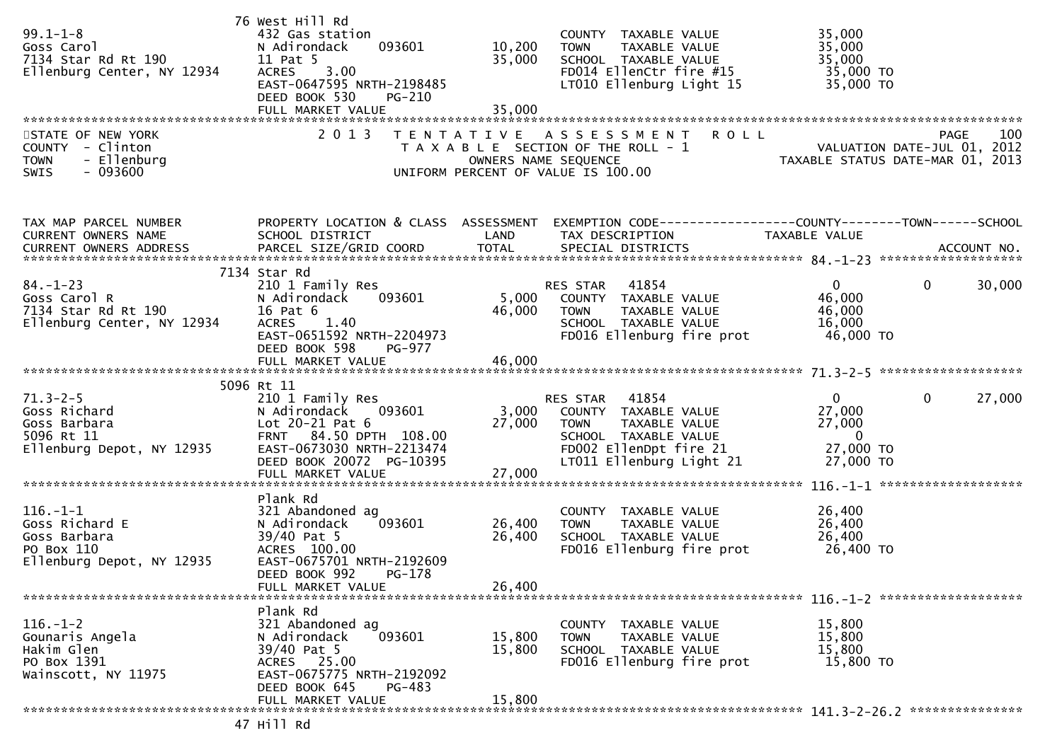| $99.1 - 1 - 8$<br>Goss Carol<br>7134 Star Rd Rt 190<br>Ellenburg Center, NY 12934           | 76 West Hill Rd<br>432 Gas station<br>N Adirondack<br>11 Pat 5<br>3.00<br><b>ACRES</b><br>EAST-0647595 NRTH-2198485<br>DEED BOOK 530<br>PG-210<br>FULL MARKET VALUE                 | 093601 10,200<br>35,000<br>TH-2198485<br>35,000 | COUNTY TAXABLE VALUE<br>TOWN       TAXABLE  VALUE<br>SCHOOL    TAXABLE  VALUE<br>FD014 Ellenctr fire #15 35,000 TO<br>LT010 Ellenburg Light 15             | 35,000<br>35,000<br>35,000<br>35,000 TO                                                                                                                                                                                                                                              |
|---------------------------------------------------------------------------------------------|-------------------------------------------------------------------------------------------------------------------------------------------------------------------------------------|-------------------------------------------------|------------------------------------------------------------------------------------------------------------------------------------------------------------|--------------------------------------------------------------------------------------------------------------------------------------------------------------------------------------------------------------------------------------------------------------------------------------|
| STATE OF NEW YORK<br>COUNTY - Clinton<br>- Ellenburg<br><b>TOWN</b><br>- 093600<br>SWIS     | 2 0 1 3                                                                                                                                                                             |                                                 |                                                                                                                                                            | T E N T A T I V E A S S E S S M E N T R O L L<br>T A X A B L E SECTION OF THE ROLL - 1 WALUATION DATE-JUL 01, 2012<br>OWNERS NAME SEQUENCE TAXABLE STATUS DATE-MAR 01, 2013<br>UNIFORM PERCENT OF VALUE IS 100.00                                                                    |
| TAX MAP PARCEL NUMBER<br>CURRENT OWNERS NAME<br>CURRENT OWNERS ADDRESS                      | SCHOOL DISTRICT                                                                                                                                                                     | LAND                                            | TAX DESCRIPTION                                                                                                                                            | PROPERTY LOCATION & CLASS ASSESSMENT EXEMPTION CODE-----------------COUNTY-------TOWN------SCHOOL<br>TAXABLE VALUE<br>CONNERS AND DESCRIPTION OF THE SECTION OF THE CONNERS AND ACCOUNT NO.<br>CURRENT OWNERS ADDRESS PARCEL SIZE/GRID COORD TOTAL SPECIAL DISTRICTS AND ACCOUNT NO. |
| /134<br>Goss Carol R<br>7134 Star Rd Rt 190<br>Ellenburg Center, NY 12934                   | 7134 Star Rd<br>210 1 Family Res<br>093601<br>N Adirondack<br>16 Pat 6<br>ACRES 1.40<br>EAST-0651592 NRTH-2204973<br>DEED BOOK 598<br>PG-977                                        | 5,000<br>$4\bar{6}$ ,000                        | RES STAR 41854<br>ES STAR - 41854<br>COUNTY - TAXABLE VALUE<br><b>TOWN</b><br>TAXABLE VALUE<br>SCHOOL TAXABLE VALUE<br>FD016 Ellenburg fire prot 46,000 TO | 0<br>$\mathbf{0}$<br>30,000<br>46,000<br>46,000<br>16,000                                                                                                                                                                                                                            |
|                                                                                             |                                                                                                                                                                                     |                                                 |                                                                                                                                                            |                                                                                                                                                                                                                                                                                      |
| 71.3-2-5<br>Goss Richard<br>Goss Barbara<br>5096 Rt 11<br>Tlophurg Depot, NY 12935          | 5096 Rt 11<br>210 1 Family Res<br>093601<br>N Adirondack<br>Lot 20-21 Pat 6<br>FRNT 84.50 DPTH 108.00<br>EAST-0673030 NRTH-2213474<br>DEED BOOK 20072 PG-10395<br>FULL MARKET VALUE | 27,000<br>27,000                                | RES STAR 41854<br>3,000 COUNTY TAXABLE VALUE<br>27,000 TOWN TAXABLE VALUE<br>SCHOOL TAXABLE VALUE<br>FD002 EllenDpt fire 21<br>LT011 Ellenburg Light 21    | 27,000<br>$\mathbf{0}$<br>$\mathbf{0}$<br>27,000<br>27,000<br>$\overline{\phantom{0}}$<br>27,000 TO<br>27,000 TO                                                                                                                                                                     |
| $116. - 1 - 1$<br>Goss Richard E<br>Goss Barbara<br>PO Box 110<br>Ellenburg Depot, NY 12935 | Plank Rd<br>321 Abandoned ag<br>093601<br>N Adirondack<br>39/40 Pat 5<br>ACRES 100.00<br>EAST-0675701 NRTH-2192609<br>DEED BOOK 992<br>PG-178<br>FULL MARKET VALUE                  | 26,400<br>26,400<br>26,400                      | COUNTY TAXABLE VALUE<br>TAXABLE VALUE<br><b>TOWN</b><br>SCHOOL TAXABLE VALUE<br>FD016 Ellenburg fire prot                                                  | 26,400<br>26,400<br>26,400<br>26,400 TO                                                                                                                                                                                                                                              |
| $116. - 1 - 2$<br>Gounaris Angela<br>Hakim Glen<br>PO Box 1391<br>Wainscott, NY 11975       | Plank Rd<br>321 Abandoned ag<br>093601<br>N Adirondack<br>39/40 Pat 5<br>ACRES 25.00<br>EAST-0675775 NRTH-2192092<br>DEED BOOK 645<br>PG-483<br>FULL MARKET VALUE                   | 15,800<br>15,800<br>15,800                      | COUNTY TAXABLE VALUE<br><b>TOWN</b><br>TAXABLE VALUE<br>SCHOOL TAXABLE VALUE<br>FD016 Ellenburg fire prot                                                  | 15,800<br>15,800<br>15,800<br>15,800 TO                                                                                                                                                                                                                                              |
|                                                                                             |                                                                                                                                                                                     |                                                 |                                                                                                                                                            |                                                                                                                                                                                                                                                                                      |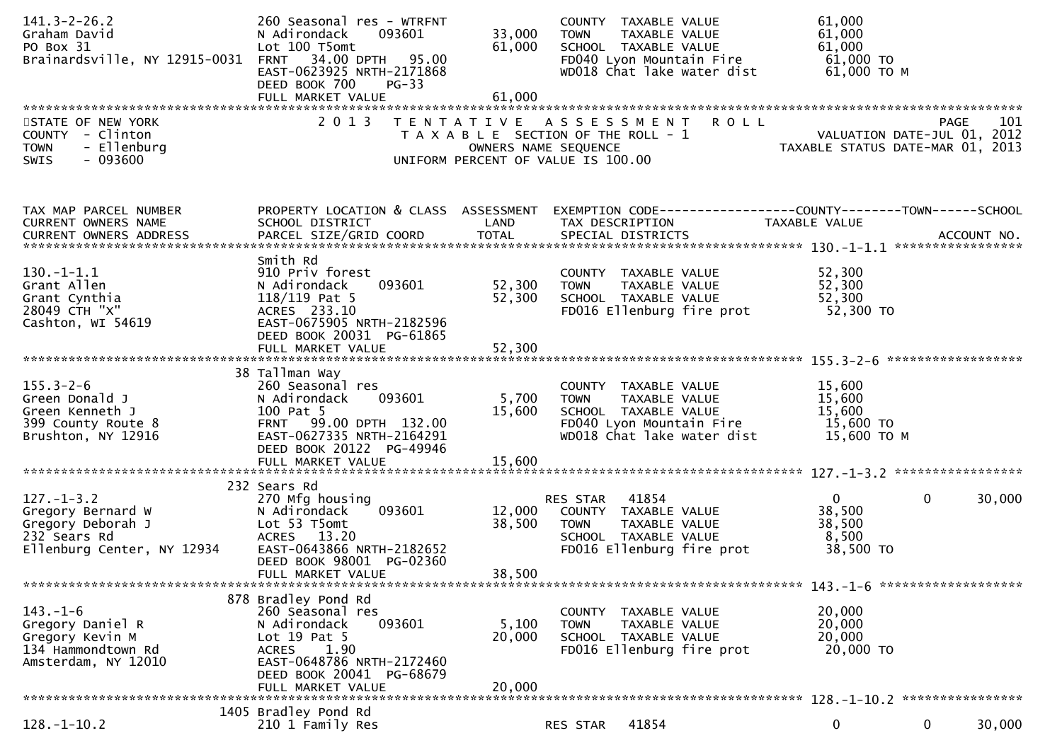| $141.3 - 2 - 26.2$<br>Graham David<br>PO Box 31<br>Brainardsville, NY 12915-0031 FRNT 34.00 DPTH 95.00   | 260 Seasonal res - WTRFNT<br>093601<br>N Adirondack<br>Lot 100 T5omt<br>EAST-0623925 NRTH-2171868<br>DEED BOOK 700<br>$PG-33$                                                               | 33,000<br>61,000           | COUNTY TAXABLE VALUE<br>TAXABLE VALUE<br><b>TOWN</b><br>SCHOOL TAXABLE VALUE<br>FD040 Lyon Mountain Fire<br>WD018 Chat lake water dist | 61,000<br>61,000<br>61,000<br>61,000 TO<br>61,000 ТО М                                                           |
|----------------------------------------------------------------------------------------------------------|---------------------------------------------------------------------------------------------------------------------------------------------------------------------------------------------|----------------------------|----------------------------------------------------------------------------------------------------------------------------------------|------------------------------------------------------------------------------------------------------------------|
| STATE OF NEW YORK<br>COUNTY - Clinton<br>- Ellenburg<br><b>TOWN</b><br>$-093600$<br><b>SWIS</b>          | 2013                                                                                                                                                                                        | OWNERS NAME SEQUENCE       | <b>ROLL</b><br>TENTATIVE ASSESSMENT<br>T A X A B L E SECTION OF THE ROLL - 1<br>UNIFORM PERCENT OF VALUE IS 100.00                     | 101<br>201 - PAGE<br>2012 - VALUATION DATE-JUL<br>2012 - TAXARLE STATUS DATE<br>TAXABLE STATUS DATE-MAR 01, 2013 |
| TAX MAP PARCEL NUMBER<br>CURRENT OWNERS NAME                                                             | SCHOOL DISTRICT                                                                                                                                                                             | LAND                       | PROPERTY LOCATION & CLASS ASSESSMENT EXEMPTION CODE----------------COUNTY-------TOWN------SCHOOL<br>TAX DESCRIPTION                    | TAXABLE VALUE                                                                                                    |
| $130.-1-1.1$<br>Grant Allen<br>Grant Cynthia<br>28049 CTH "X"<br>Cashton, WI 54619                       | Smith Rd<br>910 Priv forest<br>093601<br>N Adirondack<br>118/119 Pat 5<br>ACRES 233.10<br>EAST-0675905 NRTH-2182596<br>DEED BOOK 20031 PG-61865<br>FULL MARKET VALUE                        | 52,300<br>52,300<br>52,300 | COUNTY TAXABLE VALUE<br>TAXABLE VALUE<br><b>TOWN</b><br>SCHOOL TAXABLE VALUE<br>FD016 Ellenburg fire prot                              | 52,300<br>52,300<br>52,300<br>52,300 TO                                                                          |
| $155.3 - 2 - 6$<br>Green Donald J<br>Green Kenneth J<br>399 County Route 8<br>Brushton, NY 12916         | 38 Tallman Way<br>260 Seasonal res<br>093601<br>N Adirondack<br>100 Pat 5<br>FRNT 99.00 DPTH 132.00<br>EAST-0627335 NRTH-2164291<br>DEED BOOK 20122 PG-49946                                | 5,700<br>15,600            | COUNTY TAXABLE VALUE<br><b>TOWN</b><br>TAXABLE VALUE<br>SCHOOL TAXABLE VALUE<br>FD040 Lyon Mountain Fire<br>WD018 Chat lake water dist | 15,600<br>15,600<br>15,600<br>15,600 TO<br>15,600 ТО М                                                           |
|                                                                                                          |                                                                                                                                                                                             |                            |                                                                                                                                        |                                                                                                                  |
| $127. - 1 - 3.2$<br>Gregory Bernard W<br>Gregory Deborah J<br>232 Sears Rd<br>Ellenburg Center, NY 12934 | 232 Sears Rd<br>270 Mfg housing<br>093601<br>N Adirondack<br>Lot 53 T5omt<br>ACRES 13.20<br>EAST-0643866 NRTH-2182652<br>DEED BOOK 98001 PG-02360<br>FULL MARKET VALUE                      | 12,000<br>38,500<br>38,500 | 41854<br>RES STAR<br>COUNTY TAXABLE VALUE<br>TAXABLE VALUE<br><b>TOWN</b><br>SCHOOL TAXABLE VALUE<br>FD016 Ellenburg fire prot         | $\overline{0}$<br>$\mathbf{0}$<br>30,000<br>38,500<br>38,500<br>8,500<br>38,500 TO                               |
|                                                                                                          |                                                                                                                                                                                             |                            |                                                                                                                                        |                                                                                                                  |
| $143. - 1 - 6$<br>Gregory Daniel R<br>Gregory Kevin M<br>134 Hammondtown Rd<br>Amsterdam, NY 12010       | 878 Bradley Pond Rd<br>260 Seasonal res<br>N Adirondack<br>093601<br>Lot $19$ Pat $5$<br>1.90<br><b>ACRES</b><br>EAST-0648786 NRTH-2172460<br>DEED BOOK 20041 PG-68679<br>FULL MARKET VALUE | 5,100<br>20,000<br>20,000  | COUNTY TAXABLE VALUE<br><b>TOWN</b><br>TAXABLE VALUE<br>SCHOOL TAXABLE VALUE<br>FD016 Ellenburg fire prot                              | 20,000<br>20,000<br>20,000<br>20,000 TO                                                                          |
|                                                                                                          | 1405 Bradley Pond Rd                                                                                                                                                                        |                            |                                                                                                                                        |                                                                                                                  |
| $128. - 1 - 10.2$                                                                                        | 210 1 Family Res                                                                                                                                                                            |                            | 41854<br>RES STAR                                                                                                                      | $\mathbf 0$<br>0<br>30,000                                                                                       |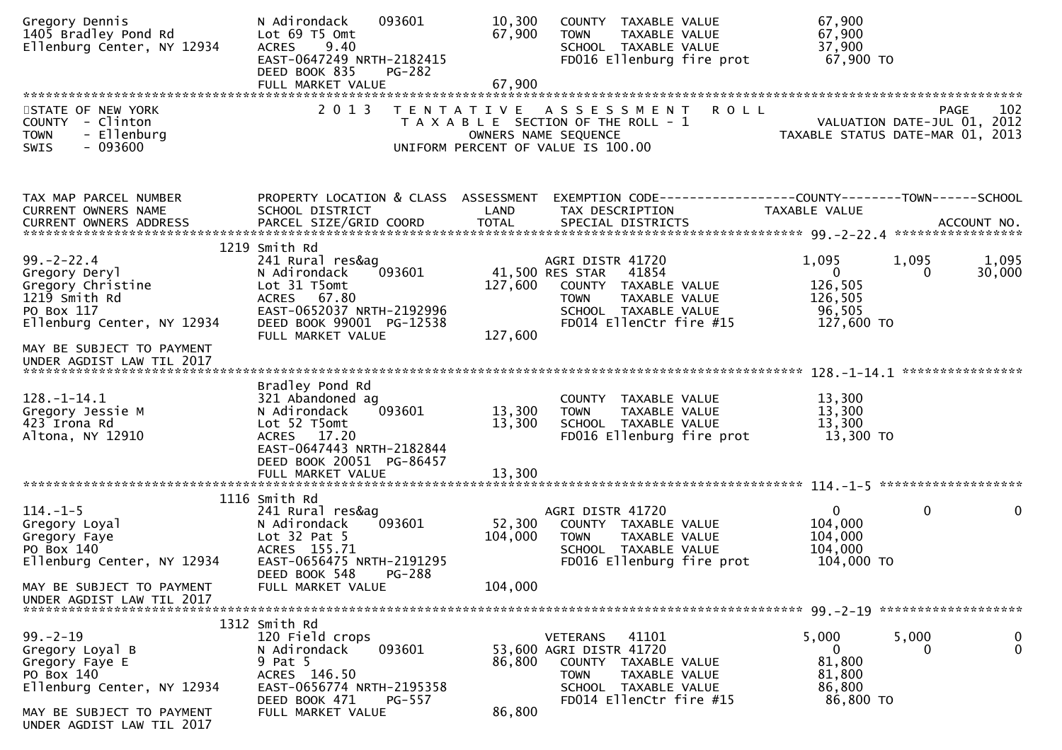| Gregory Dennis<br>1405 Bradley Pond Rd<br>Ellenburg Center, NY 12934                                                         | 093601<br>N Adirondack<br>Lot 69 T5 Omt<br>9.40<br><b>ACRES</b><br>EAST-0647249 NRTH-2182415<br>DEED BOOK 835<br>PG-282                                                             | 10,300<br>67,900             | COUNTY TAXABLE VALUE<br>TAXABLE VALUE<br><b>TOWN</b><br>SCHOOL TAXABLE VALUE<br>FD016 Ellenburg fire prot                                                                | 67,900<br>67,900<br>37,900<br>67,900 TO                                        |                            |
|------------------------------------------------------------------------------------------------------------------------------|-------------------------------------------------------------------------------------------------------------------------------------------------------------------------------------|------------------------------|--------------------------------------------------------------------------------------------------------------------------------------------------------------------------|--------------------------------------------------------------------------------|----------------------------|
|                                                                                                                              |                                                                                                                                                                                     |                              |                                                                                                                                                                          |                                                                                |                            |
| STATE OF NEW YORK<br>COUNTY - Clinton<br>- Ellenburg<br><b>TOWN</b><br>$-093600$<br>SWIS                                     | 2 0 1 3                                                                                                                                                                             |                              | <b>ROLL</b><br>TENTATIVE ASSESSMENT<br>T A X A B L E SECTION OF THE ROLL - 1<br>OWNERS NAME SEQUENCE<br>UNIFORM PERCENT OF VALUE IS 100.00                               | <b>PAGE</b><br>VALUATION DATE-JUL 01, 2012<br>TAXABLE STATUS DATE-MAR 01, 2013 | 102                        |
| TAX MAP PARCEL NUMBER<br>CURRENT OWNERS NAME                                                                                 | PROPERTY LOCATION & CLASS ASSESSMENT<br>SCHOOL DISTRICT                                                                                                                             | LAND                         | TAX DESCRIPTION                                                                                                                                                          | EXEMPTION CODE-----------------COUNTY-------TOWN------SCHOOL<br>TAXABLE VALUE  |                            |
| $99. - 2 - 22.4$<br>Gregory Deryl<br>Gregory Christine<br>1219 Smith Rd<br>PO Box 117                                        | 1219 Smith Rd<br>241 Rural res&ag<br>093601<br>N Adirondack<br>Lot 31 T5omt<br>ACRES 67.80<br>EAST-0652037 NRTH-2192996                                                             | 127,600                      | AGRI DISTR 41720<br>41,500 RES STAR<br>41854<br>COUNTY TAXABLE VALUE<br>TAXABLE VALUE<br><b>TOWN</b><br>SCHOOL TAXABLE VALUE                                             | 1,095<br>1,095<br>$\mathbf{0}$<br>0<br>126,505<br>126,505<br>96,505            | 1,095<br>30,000            |
| Ellenburg Center, NY 12934<br>MAY BE SUBJECT TO PAYMENT<br>UNDER AGDIST LAW TIL 2017                                         | DEED BOOK 99001 PG-12538<br>FULL MARKET VALUE                                                                                                                                       | 127,600                      | FD014 EllenCtr fire #15                                                                                                                                                  | 127,600 TO                                                                     |                            |
| $128. - 1 - 14.1$<br>Gregory Jessie M<br>423 Irona Rd<br>Altona, NY 12910                                                    | Bradley Pond Rd<br>321 Abandoned ag<br>093601<br>N Adirondack<br>Lot 52 T5omt<br>ACRES 17.20<br>EAST-0647443 NRTH-2182844<br>DEED BOOK 20051 PG-86457                               | 13,300<br>13,300             | COUNTY TAXABLE VALUE<br>TAXABLE VALUE<br><b>TOWN</b><br>SCHOOL TAXABLE VALUE<br>FD016 Ellenburg fire prot                                                                | 13,300<br>13,300<br>13,300<br>13,300 TO                                        |                            |
|                                                                                                                              |                                                                                                                                                                                     |                              |                                                                                                                                                                          |                                                                                |                            |
| $114. - 1 - 5$<br>Gregory Loyal<br>Gregory Faye<br>PO Box 140<br>Ellenburg Center, NY 12934<br>MAY BE SUBJECT TO PAYMENT     | 1116 Smith Rd<br>241 Rural res&ag<br>093601<br>N Adirondack<br>Lot $32$ Pat $5$<br>ACRES 155.71<br>EAST-0656475 NRTH-2191295<br>DEED BOOK 548<br><b>PG-288</b><br>FULL MARKET VALUE | 52,300<br>104,000<br>104,000 | AGRI DISTR 41720<br>COUNTY TAXABLE VALUE<br><b>TOWN</b><br>TAXABLE VALUE<br>SCHOOL TAXABLE VALUE<br>FD016 Ellenburg fire prot                                            | $\mathbf 0$<br>$\mathbf{0}$<br>104,000<br>104,000<br>104,000<br>104,000 TO     | $\mathbf 0$                |
| UNDER AGDIST LAW TIL 2017                                                                                                    |                                                                                                                                                                                     |                              |                                                                                                                                                                          |                                                                                |                            |
| $99. - 2 - 19$<br>Gregory Loyal B<br>Gregory Faye E<br>PO Box 140<br>Ellenburg Center, NY 12934<br>MAY BE SUBJECT TO PAYMENT | 1312 Smith Rd<br>120 Field crops<br>N Adirondack<br>093601<br>9 Pat 5<br>ACRES 146.50<br>EAST-0656774 NRTH-2195358<br>DEED BOOK 471<br>PG-557<br>FULL MARKET VALUE                  | 86,800<br>86,800             | 41101<br><b>VETERANS</b><br>53,600 AGRI DISTR 41720<br><b>COUNTY</b><br>TAXABLE VALUE<br><b>TOWN</b><br>TAXABLE VALUE<br>SCHOOL TAXABLE VALUE<br>FD014 EllenCtr fire #15 | 5,000<br>5,000<br>0<br>0<br>81,800<br>81,800<br>86,800<br>86,800 TO            | $\mathbf 0$<br>$\mathbf 0$ |
| UNDER AGDIST LAW TIL 2017                                                                                                    |                                                                                                                                                                                     |                              |                                                                                                                                                                          |                                                                                |                            |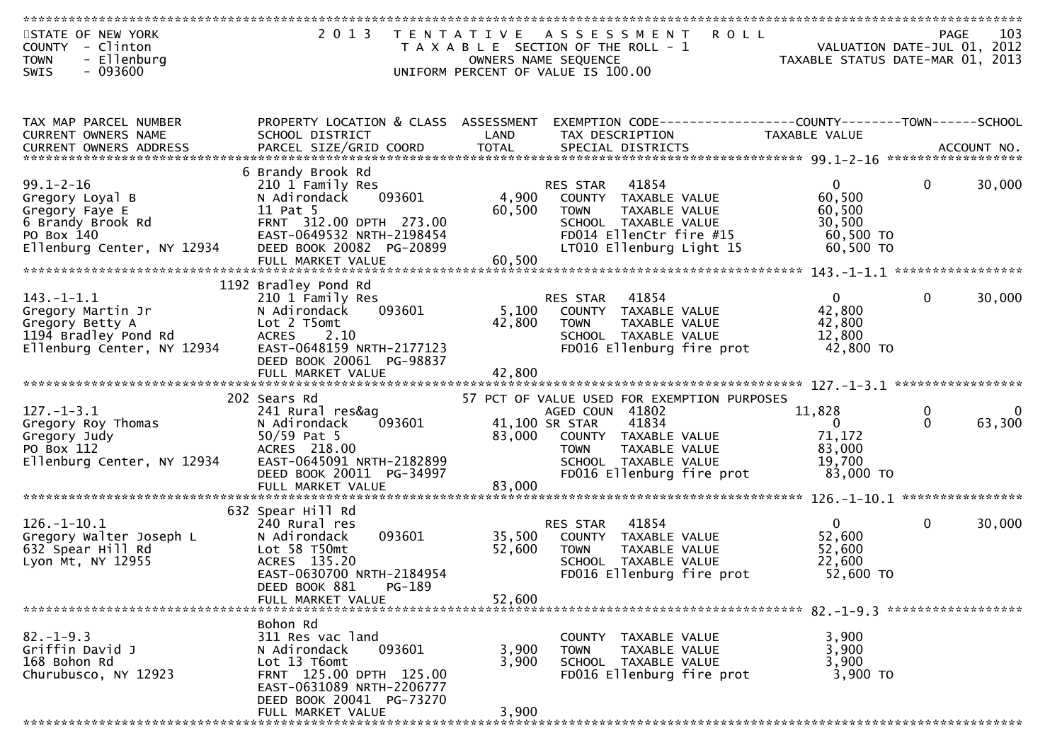| STATE OF NEW YORK             | 2 0 1 3                              | T E N T A T I V E | <b>ROLL</b><br>A S S E S S M E N T                             |                                  |              | 103<br><b>PAGE</b> |
|-------------------------------|--------------------------------------|-------------------|----------------------------------------------------------------|----------------------------------|--------------|--------------------|
| COUNTY - Clinton              |                                      |                   | T A X A B L E SECTION OF THE ROLL - 1                          | VALUATION DATE-JUL 01, 2012      |              |                    |
|                               |                                      |                   |                                                                |                                  |              |                    |
| - Ellenburg<br><b>TOWN</b>    |                                      |                   | OWNERS NAME SEQUENCE                                           | TAXABLE STATUS DATE-MAR 01, 2013 |              |                    |
| $-093600$<br><b>SWIS</b>      |                                      |                   | UNIFORM PERCENT OF VALUE IS 100.00                             |                                  |              |                    |
|                               |                                      |                   |                                                                |                                  |              |                    |
|                               |                                      |                   |                                                                |                                  |              |                    |
|                               |                                      |                   |                                                                |                                  |              |                    |
| TAX MAP PARCEL NUMBER         | PROPERTY LOCATION & CLASS ASSESSMENT |                   | EXEMPTION CODE------------------COUNTY--------TOWN------SCHOOL |                                  |              |                    |
| <b>CURRENT OWNERS NAME</b>    | SCHOOL DISTRICT                      | LAND              | TAX DESCRIPTION                                                | TAXABLE VALUE                    |              |                    |
| <b>CURRENT OWNERS ADDRESS</b> |                                      |                   |                                                                |                                  |              |                    |
|                               |                                      |                   |                                                                |                                  |              |                    |
|                               | 6 Brandy Brook Rd                    |                   |                                                                |                                  |              |                    |
|                               |                                      |                   |                                                                |                                  |              |                    |
| $99.1 - 2 - 16$               | 210 1 Family Res                     |                   | 41854<br>RES STAR                                              | $\overline{0}$                   | $\mathbf{0}$ | 30,000             |
| Gregory Loyal B               | 093601<br>N Adirondack               | 4,900             | COUNTY TAXABLE VALUE                                           | 60,500                           |              |                    |
| Gregory Faye E                | 11 Pat 5                             | 60,500            | TAXABLE VALUE<br><b>TOWN</b>                                   | 60,500                           |              |                    |
| 6 Brandy Brook Rd             | FRNT 312.00 DPTH 273.00              |                   | SCHOOL TAXABLE VALUE                                           | 30,500                           |              |                    |
| PO Box 140                    | EAST-0649532 NRTH-2198454            |                   | FD014 EllenCtr fire #15                                        | 60,500 TO                        |              |                    |
| Ellenburg Center, NY 12934    | DEED BOOK 20082 PG-20899             |                   | LT010 Ellenburg Light 15                                       | 60,500 TO                        |              |                    |
|                               | FULL MARKET VALUE                    | 60,500            |                                                                |                                  |              |                    |
|                               |                                      |                   |                                                                |                                  |              |                    |
|                               |                                      |                   |                                                                |                                  |              |                    |
|                               | 1192 Bradley Pond Rd                 |                   |                                                                |                                  |              |                    |
| $143.-1-1.1$                  | 210 1 Family Res                     |                   | 41854<br><b>RES STAR</b>                                       | $\mathbf{0}$                     | $\mathbf{0}$ | 30,000             |
| Gregory Martin Jr             | 093601<br>N Adirondack               | 5,100             | COUNTY TAXABLE VALUE                                           | 42,800                           |              |                    |
| Gregory Betty A               | Lot 2 T5omt                          | 42,800            | <b>TOWN</b><br>TAXABLE VALUE                                   | 42,800                           |              |                    |
| 1194 Bradley Pond Rd          | 2.10<br><b>ACRES</b>                 |                   | SCHOOL TAXABLE VALUE                                           | 12,800                           |              |                    |
| Ellenburg Center, NY 12934    | EAST-0648159 NRTH-2177123            |                   | FD016 Ellenburg fire prot                                      | 42,800 TO                        |              |                    |
|                               | DEED BOOK 20061 PG-98837             |                   |                                                                |                                  |              |                    |
|                               |                                      |                   |                                                                |                                  |              |                    |
|                               |                                      |                   |                                                                |                                  |              |                    |
|                               |                                      |                   |                                                                |                                  |              |                    |
|                               | 202 Sears Rd                         |                   | 57 PCT OF VALUE USED FOR EXEMPTION PURPOSES                    |                                  |              |                    |
| $127. - 1 - 3.1$              | 241 Rural res&ag                     |                   | AGED COUN 41802                                                | 11,828                           | 0            |                    |
| Gregory Roy Thomas            | 093601<br>N Adirondack               |                   | 41,100 SR STAR<br>41834                                        | $\mathbf{0}$                     | $\Omega$     | 63,300             |
| Gregory Judy                  | $50/59$ Pat 5                        | 83,000            | COUNTY TAXABLE VALUE                                           | 71,172                           |              |                    |
| PO Box 112                    | ACRES 218.00                         |                   | TAXABLE VALUE<br><b>TOWN</b>                                   | 83,000                           |              |                    |
| Ellenburg Center, NY 12934    | EAST-0645091 NRTH-2182899            |                   | SCHOOL TAXABLE VALUE                                           | 19,700                           |              |                    |
|                               | DEED BOOK 20011 PG-34997             |                   | FD016 Ellenburg fire prot                                      | 83,000 TO                        |              |                    |
|                               |                                      |                   |                                                                |                                  |              |                    |
|                               | FULL MARKET VALUE                    | 83,000            |                                                                |                                  |              |                    |
|                               |                                      |                   |                                                                |                                  |              |                    |
|                               | 632 Spear Hill Rd                    |                   |                                                                |                                  |              |                    |
| $126. - 1 - 10.1$             | 240 Rural res                        |                   | 41854<br>RES STAR                                              | $\mathbf{0}$                     | $\mathbf{0}$ | 30,000             |
| Gregory Walter Joseph L       | 093601<br>N Adirondack               | 35,500            | COUNTY TAXABLE VALUE                                           | 52,600                           |              |                    |
| 632 Spear Hill Rd             | Lot 58 T50mt                         | 52,600            | TOWN<br><b>TAXABLE VALUE</b>                                   | 52,600                           |              |                    |
| Lyon Mt, NY 12955             | ACRES 135.20                         |                   | SCHOOL TAXABLE VALUE                                           | 22,600                           |              |                    |
|                               | EAST-0630700 NRTH-2184954            |                   | FD016 Ellenburg fire prot                                      | 52,600 TO                        |              |                    |
|                               |                                      |                   |                                                                |                                  |              |                    |
|                               | PG-189<br>DEED BOOK 881              |                   |                                                                |                                  |              |                    |
|                               | FULL MARKET VALUE                    | 52,600            |                                                                |                                  |              |                    |
|                               |                                      |                   |                                                                |                                  |              |                    |
|                               | Bohon Rd                             |                   |                                                                |                                  |              |                    |
| $82. - 1 - 9.3$               | 311 Res vac land                     |                   | COUNTY TAXABLE VALUE                                           | 3,900                            |              |                    |
| Griffin David J               | N Adirondack<br>093601               | 3,900             | TAXABLE VALUE<br><b>TOWN</b>                                   | 3,900                            |              |                    |
| 168 Bohon Rd                  | Lot 13 T6omt                         | 3,900             | SCHOOL TAXABLE VALUE                                           | 3,900                            |              |                    |
|                               |                                      |                   |                                                                |                                  |              |                    |
| Churubusco, NY 12923          | FRNT 125.00 DPTH 125.00              |                   | FD016 Ellenburg fire prot                                      | 3,900 TO                         |              |                    |
|                               | EAST-0631089 NRTH-2206777            |                   |                                                                |                                  |              |                    |
|                               | DEED BOOK 20041 PG-73270             |                   |                                                                |                                  |              |                    |
|                               | FULL MARKET VALUE                    | 3,900             |                                                                |                                  |              |                    |
|                               | ********************************     |                   |                                                                |                                  |              |                    |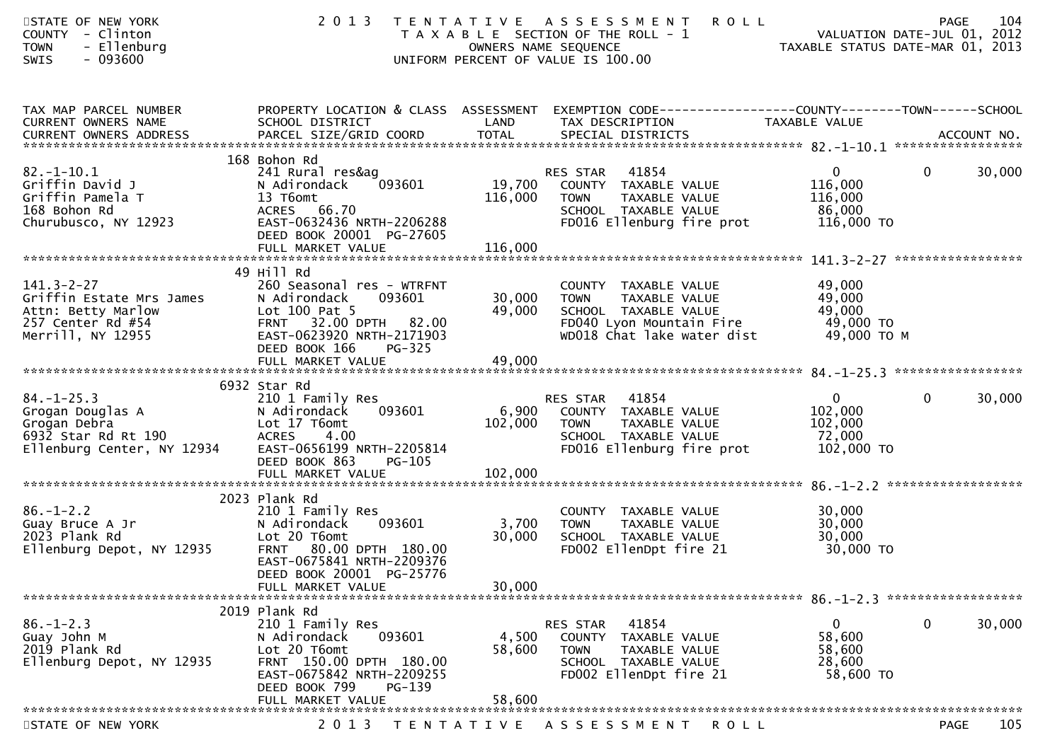| STATE OF NEW YORK<br>COUNTY - Clinton<br>- Ellenburg<br><b>TOWN</b><br>SWIS<br>- 093600                         | 2 0 1 3                                                                                                                                                                             |                           | TENTATIVE ASSESSMENT<br><b>ROLL</b><br>T A X A B L E SECTION OF THE ROLL - 1<br>OWNERS NAME SEQUENCE<br>UNIFORM PERCENT OF VALUE IS 100.00 | VALUATION DATE-JUL 01, 2012<br>TAXABLE STATUS DATE-MAR 01, 2013 | 104<br>PAGE<br>VALUATION DATE-JUL 01, 2012 |
|-----------------------------------------------------------------------------------------------------------------|-------------------------------------------------------------------------------------------------------------------------------------------------------------------------------------|---------------------------|--------------------------------------------------------------------------------------------------------------------------------------------|-----------------------------------------------------------------|--------------------------------------------|
| TAX MAP PARCEL NUMBER<br>CURRENT OWNERS NAME                                                                    | SCHOOL DISTRICT                                                                                                                                                                     | LAND                      | PROPERTY LOCATION & CLASS ASSESSMENT EXEMPTION CODE----------------COUNTY-------TOWN------SCHOOL<br>TAX DESCRIPTION                        | TAXABLE VALUE                                                   |                                            |
| $82.-1-10.1$<br>Griffin David J<br>Griffin Pamela T<br>168 Bohon Rd<br>Churubusco, NY 12923                     | 168 Bohon Rd<br>241 Rural res&ag<br>093601<br>N Adirondack<br>13 T6omt<br>ACRES 66.70<br>EAST-0632436 NRTH-2206288<br>DEED BOOK 20001 PG-27605                                      | 116,000                   | RES STAR 41854<br>19,700 COUNTY TAXABLE VALUE<br><b>TOWN</b><br>TAXABLE VALUE<br>SCHOOL TAXABLE VALUE<br>FD016 Ellenburg fire prot         | $\overline{0}$<br>116,000<br>116,000<br>86,000<br>116,000 TO    | 30,000<br>$\mathbf{0}$                     |
| $141.3 - 2 - 27$<br>Griffin Estate Mrs James<br>Attn: Betty Marlow<br>257 Center Rd #54<br>Merrill, NY 12955    | 49 Hill Rd<br>260 Seasonal res - WTRFNT<br>093601<br>N Adirondack<br>Lot 100 Pat 5<br>FRNT 32.00 DPTH 82.00<br>EAST-0623920 NRTH-2171903<br>DEED BOOK 166<br>PG-325                 | 30,000<br>49,000          | COUNTY TAXABLE VALUE<br><b>TOWN</b><br>TAXABLE VALUE<br>SCHOOL TAXABLE VALUE<br>FD040 Lyon Mountain Fire<br>WD018 Chat lake water dist     | 49,000<br>49,000<br>49,000<br>49,000 TO<br>49,000 ТО М          |                                            |
| $84. - 1 - 25.3$<br>Grogan Douglas A<br>Grogan Debra<br>6932 Star Rd Rt 190<br>Ellenburg Center, NY 12934       | 6932 Star Rd<br>210 1 Family Res<br>093601<br>N Adirondack<br>Lot 17 T6omt<br><b>ACRES</b><br>4.00<br>EAST-0656199 NRTH-2205814<br>DEED BOOK 863<br><b>PG-105</b>                   | 6,900<br>102,000          | RES STAR 41854<br>COUNTY TAXABLE VALUE<br>TAXABLE VALUE<br><b>TOWN</b><br>SCHOOL TAXABLE VALUE<br>FD016 Ellenburg fire prot                | $\overline{0}$<br>102,000<br>102,000<br>72,000<br>102,000 TO    | $\mathbf 0$<br>30,000                      |
| $86. - 1 - 2.2$<br>Guay Bruce A Jr<br>2023 Plank Rd<br>Ellenburg Depot, NY 12935                                | 2023 Plank Rd<br>210 1 Family Res<br>N Adirondack<br>093601<br>Lot 20 T6omt<br>FRNT 80.00 DPTH 180.00<br>EAST-0675841 NRTH-2209376<br>DEED BOOK 20001 PG-25776<br>FULL MARKET VALUE | 3,700<br>30,000<br>30,000 | COUNTY TAXABLE VALUE<br><b>TOWN</b><br>TAXABLE VALUE<br>SCHOOL TAXABLE VALUE<br>FD002 EllenDpt fire 21                                     | 30,000<br>30,000<br>30,000<br>30,000 TO                         |                                            |
| *******************************<br>$86. - 1 - 2.3$<br>Guay John M<br>2019 Plank Rd<br>Ellenburg Depot, NY 12935 | 2019 Plank Rd<br>210 1 Family Res<br>093601<br>N Adirondack<br>Lot 20 T6omt<br>FRNT 150.00 DPTH 180.00<br>EAST-0675842 NRTH-2209255<br>DEED BOOK 799<br>PG-139<br>FULL MARKET VALUE | 4,500<br>58,600<br>58,600 | 41854<br>RES STAR<br>COUNTY<br>TAXABLE VALUE<br>TAXABLE VALUE<br><b>TOWN</b><br>SCHOOL TAXABLE VALUE<br>FD002 EllenDpt fire 21             | $\mathbf{0}$<br>58,600<br>58,600<br>28,600<br>58,600 TO         | 0<br>30,000                                |
| STATE OF NEW YORK                                                                                               | 2 0 1 3                                                                                                                                                                             | T E N T A T I V E         | A S S E S S M E N T<br>R O L L                                                                                                             |                                                                 | 105<br><b>PAGE</b>                         |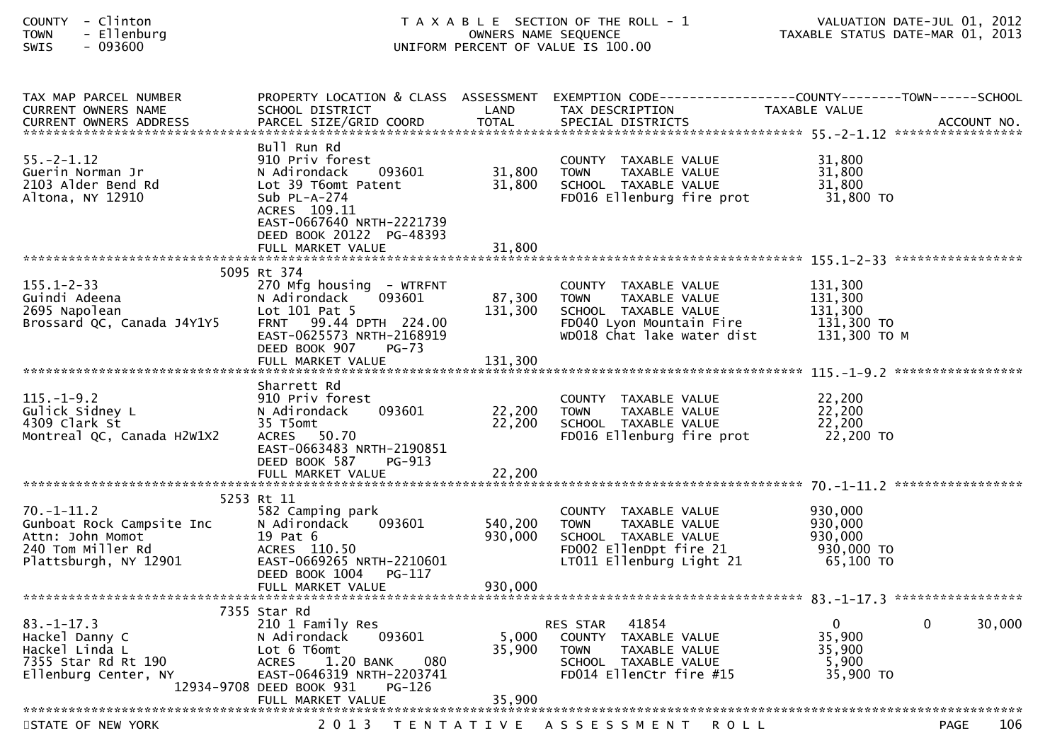| - Clinton<br><b>COUNTY</b><br>- Ellenburg<br><b>TOWN</b><br>$-093600$<br>SWIS                                   |                                                                                                                                                                                                 |                            | T A X A B L E SECTION OF THE ROLL - 1<br>OWNERS NAME SEQUENCE<br>UNIFORM PERCENT OF VALUE IS 100.00                                    | VALUATION DATE-JUL 01, 2012<br>TAXABLE STATUS DATE-MAR 01, 2013 | VALUATION DATE-JUL 01, 2012 |
|-----------------------------------------------------------------------------------------------------------------|-------------------------------------------------------------------------------------------------------------------------------------------------------------------------------------------------|----------------------------|----------------------------------------------------------------------------------------------------------------------------------------|-----------------------------------------------------------------|-----------------------------|
| TAX MAP PARCEL NUMBER<br>CURRENT OWNERS NAME                                                                    | SCHOOL DISTRICT                                                                                                                                                                                 | LAND                       | PROPERTY LOCATION & CLASS ASSESSMENT EXEMPTION CODE----------------COUNTY-------TOWN------SCHOOL<br>TAX DESCRIPTION                    | TAXABLE VALUE                                                   |                             |
| $55. -2 - 1.12$<br>Guerin Norman Jr<br>2103 Alder Bend Rd<br>Altona, NY 12910                                   | Bull Run Rd<br>910 Priv forest<br>093601<br>N Adirondack<br>Lot 39 T6omt Patent<br>Sub $PL-A-274$<br>ACRES 109.11<br>EAST-0667640 NRTH-2221739<br>DEED BOOK 20122 PG-48393<br>FULL MARKET VALUE | 31,800<br>31,800<br>31,800 | COUNTY TAXABLE VALUE<br>TAXABLE VALUE<br><b>TOWN</b><br>SCHOOL TAXABLE VALUE<br>FD016 Ellenburg fire prot                              | 31,800<br>31,800<br>31,800<br>31,800 TO                         |                             |
|                                                                                                                 |                                                                                                                                                                                                 |                            |                                                                                                                                        |                                                                 |                             |
| $155.1 - 2 - 33$<br>Guindi Adeena<br>2695 Napolean<br>Brossard QC, Canada J4Y1Y5                                | 5095 Rt 374<br>270 Mfg housing - WTRFNT<br>093601<br>N Adirondack<br>Lot 101 Pat 5<br>FRNT 99.44 DPTH 224.00<br>EAST-0625573 NRTH-2168919<br>DEED BOOK 907<br>PG-73                             | 87,300<br>131,300          | COUNTY TAXABLE VALUE<br><b>TOWN</b><br>TAXABLE VALUE<br>SCHOOL TAXABLE VALUE<br>FD040 Lyon Mountain Fire<br>WD018 Chat lake water dist | 131,300<br>131,300<br>131,300<br>131,300 TO<br>131,300 ТО М     |                             |
|                                                                                                                 | FULL MARKET VALUE                                                                                                                                                                               | 131,300                    |                                                                                                                                        |                                                                 |                             |
| $115. - 1 - 9.2$<br>Gulick Sidney L<br>4309 Clark St<br>Montreal QC, Canada H2W1X2                              | Sharrett Rd<br>910 Priv forest<br>N Adirondack<br>093601<br>35 T5omt<br><b>ACRES</b><br>50.70<br>EAST-0663483 NRTH-2190851<br>DEED BOOK 587<br>PG-913                                           | 22,200<br>22,200           | COUNTY TAXABLE VALUE<br>TAXABLE VALUE<br><b>TOWN</b><br>SCHOOL TAXABLE VALUE<br>FD016 Ellenburg fire prot                              | 22,200<br>22,200<br>22,200<br>22,200 TO                         |                             |
|                                                                                                                 | 5253 Rt 11                                                                                                                                                                                      |                            |                                                                                                                                        |                                                                 |                             |
| $70. - 1 - 11.2$<br>Gunboat Rock Campsite Inc<br>Attn: John Momot<br>240 Tom Miller Rd<br>Plattsburgh, NY 12901 | 582 Camping park<br>N Adirondack<br>093601<br>19 Pat 6<br>ACRES 110.50<br>EAST-0669265 NRTH-2210601<br>DEED BOOK 1004 PG-117                                                                    | 540,200<br>930,000         | COUNTY TAXABLE VALUE<br>TAXABLE VALUE<br><b>TOWN</b><br>SCHOOL TAXABLE VALUE<br>FD002 EllenDpt fire 21<br>LT011 Ellenburg Light 21     | 930,000<br>930,000<br>930,000<br>930,000 TO<br>65,100 TO        |                             |
|                                                                                                                 | FULL MARKET VALUE                                                                                                                                                                               | 930,000                    |                                                                                                                                        |                                                                 |                             |
| $83. - 1 - 17.3$<br>Hackel Danny C<br>Hackel Linda L<br>7355 Star Rd Rt 190<br>Ellenburg Center, NY             | 7355 Star Rd<br>210 1 Family Res<br>093601<br>N Adirondack<br>Lot 6 T6omt<br>080<br>1.20 BANK<br><b>ACRES</b><br>EAST-0646319 NRTH-2203741<br>12934-9708 DEED BOOK 931<br>PG-126                | 5,000<br>35,900            | 41854<br><b>RES STAR</b><br>COUNTY<br>TAXABLE VALUE<br>TAXABLE VALUE<br>TOWN<br>SCHOOL TAXABLE VALUE<br>FD014 EllenCtr fire #15        | 0<br>35,900<br>35,900<br>5,900<br>35,900 TO                     | 0<br>30,000                 |
|                                                                                                                 | FULL MARKET VALUE                                                                                                                                                                               | 35,900                     |                                                                                                                                        |                                                                 |                             |
| STATE OF NEW YORK                                                                                               |                                                                                                                                                                                                 |                            | 2013 TENTATIVE ASSESSMENT ROLL                                                                                                         |                                                                 | 106<br><b>PAGE</b>          |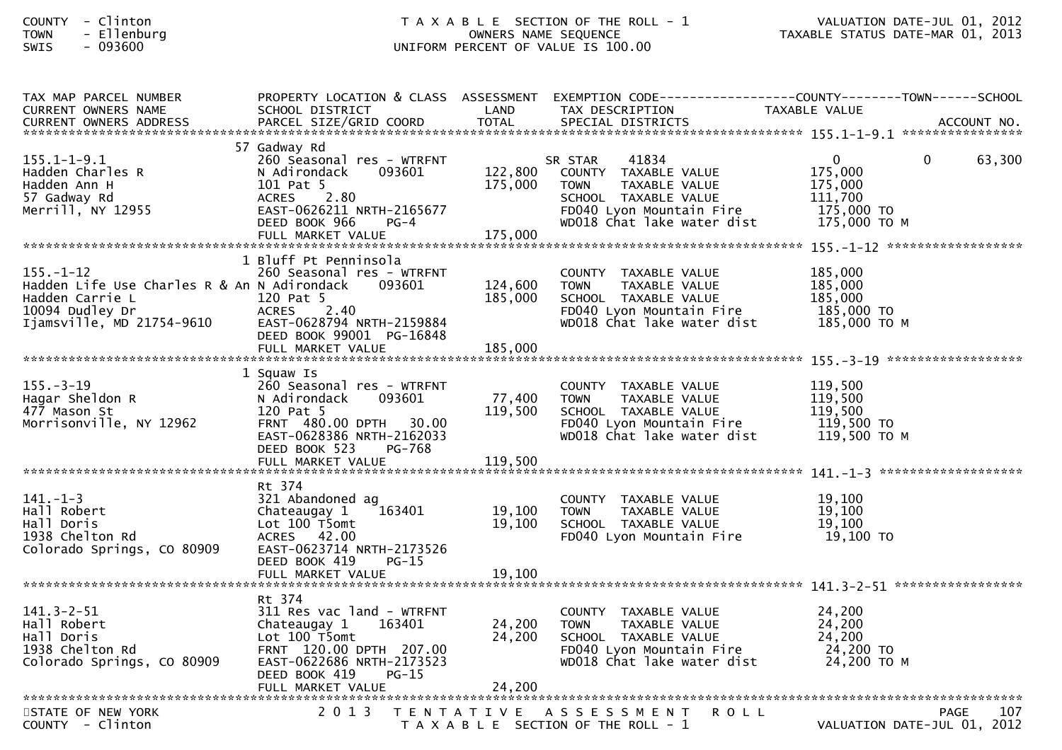## COUNTY - Clinton T A X A B L E SECTION OF THE ROLL - 1 VALUATION DATE-JUL 01, 2012TOWN - Ellenburg OWNERS NAME SEQUENCE TAXABLE STATUS DATE-MAR 01, 2013SWIS - 093600 UNIFORM PERCENT OF VALUE IS 100.00

| TAX MAP PARCEL NUMBER                       | PROPERTY LOCATION & CLASS ASSESSMENT       |         |                                                        | EXEMPTION CODE------------------COUNTY--------TOWN------SCHOOL |        |
|---------------------------------------------|--------------------------------------------|---------|--------------------------------------------------------|----------------------------------------------------------------|--------|
| CURRENT OWNERS NAME                         | SCHOOL DISTRICT                            | LAND    | TAX DESCRIPTION                                        | TAXABLE VALUE                                                  |        |
|                                             |                                            |         |                                                        |                                                                |        |
|                                             | 57 Gadway Rd                               |         |                                                        |                                                                |        |
| $155.1 - 1 - 9.1$                           | 260 Seasonal res - WTRFNT                  |         | SR STAR<br>41834                                       | $\mathbf{0}$<br>$\Omega$                                       | 63,300 |
| Hadden Charles R                            | N Adirondack<br>093601                     | 122,800 | COUNTY TAXABLE VALUE                                   | 175,000                                                        |        |
| Hadden Ann H                                | 101 Pat 5                                  | 175,000 | <b>TOWN</b><br>TAXABLE VALUE                           | 175,000                                                        |        |
| 57 Gadway Rd                                | 2.80<br><b>ACRES</b>                       |         | SCHOOL TAXABLE VALUE                                   | 111,700                                                        |        |
| Merrill, NY 12955                           | EAST-0626211 NRTH-2165677                  |         | FD040 Lyon Mountain Fire                               | 175,000 TO                                                     |        |
|                                             | DEED BOOK 966<br>$PG-4$                    |         | wD018 Chat lake water dist                             | 175,000 то м                                                   |        |
|                                             | FULL MARKET VALUE                          | 175,000 |                                                        |                                                                |        |
|                                             |                                            |         |                                                        |                                                                |        |
|                                             | 1 Bluff Pt Penninsola                      |         |                                                        |                                                                |        |
| $155. - 1 - 12$                             | 260 Seasonal res - WTRFNT                  |         | COUNTY TAXABLE VALUE                                   | 185,000                                                        |        |
| Hadden Life Use Charles R & An N Adirondack | 093601                                     | 124,600 | TAXABLE VALUE<br>TOWN                                  | 185,000                                                        |        |
| Hadden Carrie L<br>10094 Dudley Dr          | 120 Pat 5<br><b>ACRES</b><br>2.40          | 185,000 | SCHOOL TAXABLE VALUE                                   | 185,000<br>185,000 TO                                          |        |
| Ijamsville, MD 21754-9610                   | EAST-0628794 NRTH-2159884                  |         | FD040 Lyon Mountain Fire<br>WD018 Chat lake water dist | 185,000 то м                                                   |        |
|                                             | DEED BOOK 99001 PG-16848                   |         |                                                        |                                                                |        |
|                                             | FULL MARKET VALUE                          | 185,000 |                                                        |                                                                |        |
|                                             |                                            |         |                                                        |                                                                |        |
|                                             | 1 Squaw Is                                 |         |                                                        |                                                                |        |
| $155. - 3 - 19$                             | 260 Seasonal res - WTRFNT                  |         | COUNTY TAXABLE VALUE                                   | 119,500                                                        |        |
| Hagar Sheldon R                             | N Adirondack<br>093601                     | 77,400  | TAXABLE VALUE<br><b>TOWN</b>                           | 119,500                                                        |        |
| 477 Mason St                                | 120 Pat 5                                  | 119,500 | SCHOOL TAXABLE VALUE                                   | 119,500                                                        |        |
| Morrisonville, NY 12962                     | FRNT 480.00 DPTH 30.00                     |         | FD040 Lyon Mountain Fire                               | 119,500 TO                                                     |        |
|                                             | EAST-0628386 NRTH-2162033                  |         | WD018 Chat lake water dist                             | 119,500 то м                                                   |        |
|                                             | DEED BOOK 523<br>PG-768                    |         |                                                        |                                                                |        |
|                                             |                                            |         |                                                        |                                                                |        |
|                                             |                                            |         |                                                        |                                                                |        |
| $141. - 1 - 3$                              | Rt 374                                     |         |                                                        |                                                                |        |
| Hall Robert                                 | 321 Abandoned ag<br>163401<br>Chateaugay 1 | 19,100  | COUNTY TAXABLE VALUE<br><b>TOWN</b><br>TAXABLE VALUE   | 19,100<br>19,100                                               |        |
| Hall Doris                                  | Lot 100 T5omt                              | 19,100  | SCHOOL TAXABLE VALUE                                   | 19.100                                                         |        |
| 1938 Chelton Rd                             | ACRES 42.00                                |         | FD040 Lyon Mountain Fire                               | 19,100 TO                                                      |        |
| Colorado Springs, CO 80909                  | EAST-0623714 NRTH-2173526                  |         |                                                        |                                                                |        |
|                                             | DEED BOOK 419<br>$PG-15$                   |         |                                                        |                                                                |        |
|                                             | FULL MARKET VALUE                          | 19,100  |                                                        |                                                                |        |
|                                             |                                            |         |                                                        |                                                                |        |
|                                             | Rt 374                                     |         |                                                        |                                                                |        |
| $141.3 - 2 - 51$                            | 311 Res vac land - WTRFNT                  |         | COUNTY TAXABLE VALUE                                   | 24,200                                                         |        |
| Hall Robert                                 | 163401<br>Chateaugay 1                     | 24,200  | <b>TOWN</b><br>TAXABLE VALUE                           | 24,200                                                         |        |
| Hall Doris                                  | Lot 100 T5omt                              | 24,200  | SCHOOL TAXABLE VALUE                                   | 24,200                                                         |        |
| 1938 Chelton Rd                             | FRNT 120.00 DPTH 207.00                    |         | FD040 Lyon Mountain Fire                               | 24,200 TO                                                      |        |
| Colorado Springs, CO 80909                  | EAST-0622686 NRTH-2173523                  |         | wD018 Chat lake water dist                             | 24,200 то м                                                    |        |
|                                             | DEED BOOK 419<br>$PG-15$                   |         |                                                        |                                                                |        |
|                                             |                                            |         |                                                        |                                                                |        |
| STATE OF NEW YORK                           | 2 0 1 3                                    |         | TENTATIVE ASSESSMENT<br><b>ROLL</b>                    | PAGE                                                           | 107    |
| COUNTY - Clinton                            |                                            |         | T A X A B L E SECTION OF THE ROLL - 1                  | VALUATION DATE-JUL 01, 2012                                    |        |
|                                             |                                            |         |                                                        |                                                                |        |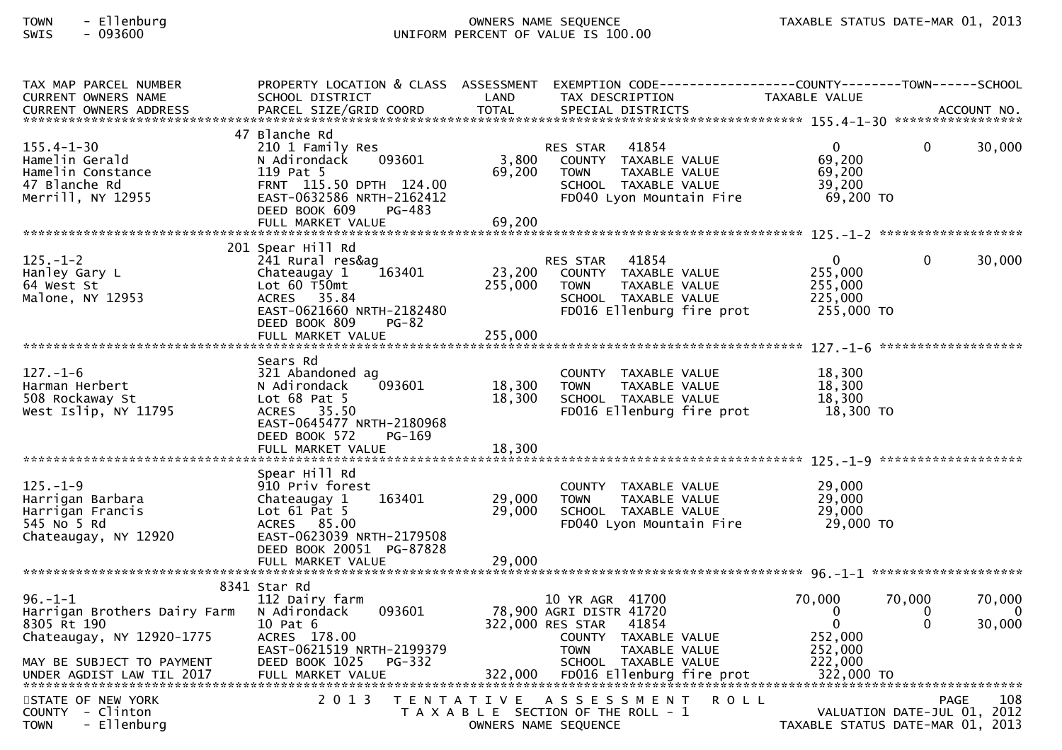## TOWN - Ellenburg OWNERS NAME SEQUENCE TAXABLE STATUS DATE-MAR 01, 2013SWIS - 093600 UNIFORM PERCENT OF VALUE IS 100.00

| TAX MAP PARCEL NUMBER        | PROPERTY LOCATION & CLASS ASSESSMENT |                   | EXEMPTION CODE------------------COUNTY-------TOWN------SCHOOL |                                  |                     |
|------------------------------|--------------------------------------|-------------------|---------------------------------------------------------------|----------------------------------|---------------------|
| <b>CURRENT OWNERS NAME</b>   | SCHOOL DISTRICT                      | LAND              | TAX DESCRIPTION                                               | TAXABLE VALUE                    |                     |
|                              |                                      |                   |                                                               |                                  |                     |
|                              | 47 Blanche Rd                        |                   |                                                               |                                  |                     |
| $155.4 - 1 - 30$             | 210 1 Family Res                     |                   | 41854<br>RES STAR                                             | 0<br>$\Omega$                    | 30,000              |
| Hamelin Gerald               | 093601<br>N Adirondack               | 3,800             | COUNTY TAXABLE VALUE                                          | 69,200                           |                     |
| Hamelin Constance            | 119 Pat 5                            | 69,200            | TAXABLE VALUE<br><b>TOWN</b>                                  | 69,200                           |                     |
| 47 Blanche Rd                | FRNT 115.50 DPTH 124.00              |                   | SCHOOL TAXABLE VALUE                                          | 39,200                           |                     |
| Merrill, NY 12955            | EAST-0632586 NRTH-2162412            |                   | FD040 Lyon Mountain Fire                                      | 69,200 TO                        |                     |
|                              | DEED BOOK 609<br>PG-483              |                   |                                                               |                                  |                     |
|                              | FULL MARKET VALUE                    | 69,200            |                                                               |                                  |                     |
|                              |                                      |                   |                                                               |                                  |                     |
|                              | 201 Spear Hill Rd                    |                   |                                                               |                                  |                     |
| $125. - 1 - 2$               | 241 Rural res&ag                     |                   | 41854<br>RES STAR                                             | $\mathbf{0}$<br>0                | 30,000              |
| Hanley Gary L                | Chateaugay 1<br>163401               | 23,200            | COUNTY TAXABLE VALUE                                          | 255,000                          |                     |
| 64 West St                   | Lot $60$ T50 $m$ t                   | 255,000           | TAXABLE VALUE<br><b>TOWN</b>                                  | 255,000                          |                     |
| Malone, NY 12953             | ACRES 35.84                          |                   | SCHOOL TAXABLE VALUE                                          | 225,000                          |                     |
|                              | EAST-0621660 NRTH-2182480            |                   | FD016 Ellenburg fire prot                                     | 255,000 TO                       |                     |
|                              | DEED BOOK 809<br><b>PG-82</b>        |                   |                                                               |                                  |                     |
|                              |                                      |                   |                                                               |                                  |                     |
|                              |                                      |                   |                                                               |                                  | ******************* |
|                              | Sears Rd                             |                   |                                                               |                                  |                     |
| $127. - 1 - 6$               | 321 Abandoned ag                     |                   | COUNTY TAXABLE VALUE                                          | 18,300                           |                     |
| Harman Herbert               | 093601<br>N Adirondack               | 18,300            | TAXABLE VALUE<br><b>TOWN</b>                                  | 18,300                           |                     |
| 508 Rockaway St              | Lot $68$ Pat $5$                     | 18,300            | SCHOOL TAXABLE VALUE                                          | 18,300                           |                     |
| West Islip, NY 11795         | ACRES 35.50                          |                   | FD016 Ellenburg fire prot                                     | 18,300 TO                        |                     |
|                              | EAST-0645477 NRTH-2180968            |                   |                                                               |                                  |                     |
|                              | DEED BOOK 572<br>PG-169              |                   |                                                               |                                  |                     |
|                              |                                      |                   |                                                               |                                  |                     |
|                              |                                      |                   |                                                               |                                  |                     |
|                              | Spear Hill Rd                        |                   |                                                               |                                  |                     |
| $125. - 1 - 9$               | 910 Priv forest                      |                   | COUNTY TAXABLE VALUE                                          | 29,000                           |                     |
| Harrigan Barbara             | 163401<br>Chateaugay 1               | 29,000            | <b>TOWN</b><br>TAXABLE VALUE                                  | 29,000                           |                     |
| Harrigan Francis             | Lot $61$ Pat 5                       | 29,000            | SCHOOL TAXABLE VALUE                                          | 29,000                           |                     |
| 545 No 5 Rd                  | ACRES 85.00                          |                   | FD040 Lyon Mountain Fire                                      | 29,000 TO                        |                     |
| Chateaugay, NY 12920         | EAST-0623039 NRTH-2179508            |                   |                                                               |                                  |                     |
|                              | DEED BOOK 20051 PG-87828             |                   |                                                               |                                  |                     |
|                              |                                      |                   |                                                               |                                  |                     |
|                              |                                      |                   |                                                               |                                  |                     |
|                              | 8341 Star Rd                         |                   |                                                               |                                  |                     |
| $96. - 1 - 1$                | 112 Dairy farm                       |                   | 10 YR AGR 41700                                               | 70,000<br>70,000                 | 70,000              |
| Harrigan Brothers Dairy Farm | N Adirondack<br>093601               |                   | 78,900 AGRI DISTR 41720                                       | $\mathbf{0}$<br>0                | $\Omega$            |
| 8305 Rt 190                  | 10 Pat 6                             |                   | 322,000 RES STAR<br>41854                                     | $\Omega$<br>$\Omega$             | 30,000              |
| Chateaugay, NY 12920-1775    | ACRES 178.00                         |                   | COUNTY TAXABLE VALUE                                          | 252,000                          |                     |
|                              | EAST-0621519 NRTH-2199379            |                   | <b>TOWN</b><br>TAXABLE VALUE                                  | 252,000                          |                     |
| MAY BE SUBJECT TO PAYMENT    | DEED BOOK 1025<br>PG-332             |                   | SCHOOL TAXABLE VALUE                                          | 222,000                          |                     |
|                              |                                      |                   |                                                               |                                  |                     |
|                              |                                      |                   |                                                               |                                  |                     |
| STATE OF NEW YORK            | 2 0 1 3                              | T E N T A T I V E | A S S E S S M E N T<br><b>ROLL</b>                            |                                  | 108<br>PAGE         |
| $COUNTY - Clinton$           |                                      |                   | T A X A B L E SECTION OF THE ROLL - 1                         | VALUATION DATE-JUL 01, 2012      |                     |
| - Ellenburg<br><b>TOWN</b>   |                                      |                   | OWNERS NAME SEQUENCE                                          | TAXABLE STATUS DATE-MAR 01, 2013 |                     |
|                              |                                      |                   |                                                               |                                  |                     |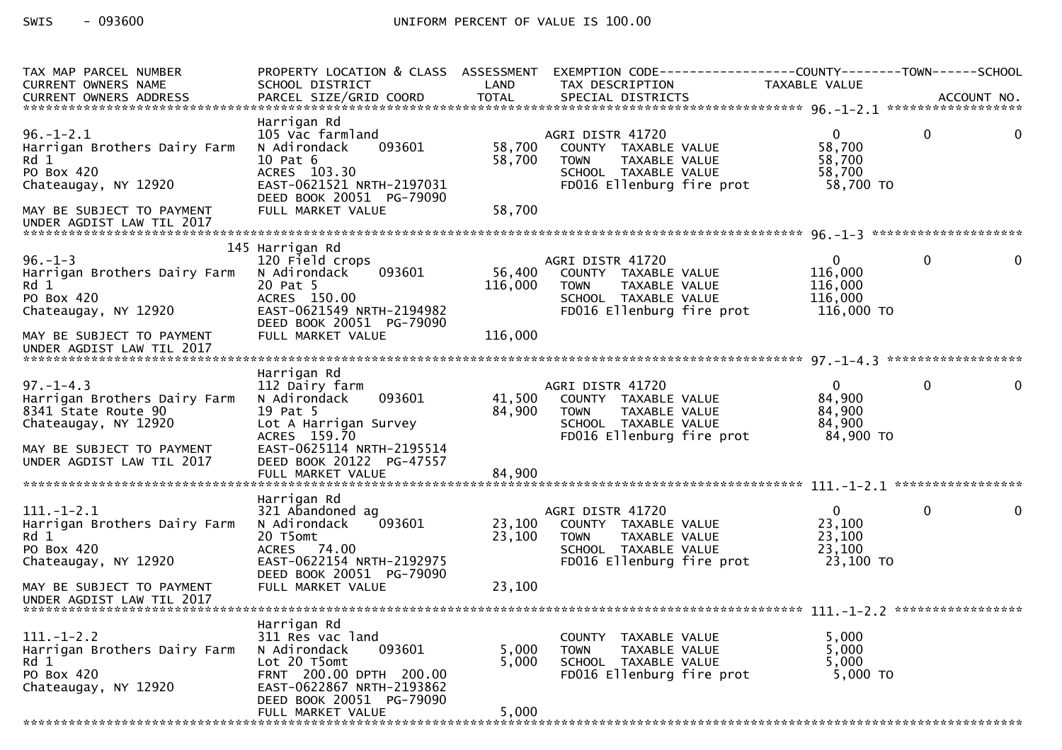| TAX MAP PARCEL NUMBER<br>CURRENT OWNERS NAME<br>.CURRENT OWNERS ADDRESS PARCEL SIZE/GRID COORD TOTAL SPECIAL DISTRICTS ACCOUNT NO ACCOUNT NO ACCOUNT NO ACCOUNT NO | PROPERTY LOCATION & CLASS ASSESSMENT EXEMPTION CODE----------------COUNTY-------TOWN------SCHOOL<br>SCHOOL DISTRICT                                                                | LAND                       | TAX DESCRIPTION                                                                                                               | TAXABLE VALUE                                           |              |   |
|--------------------------------------------------------------------------------------------------------------------------------------------------------------------|------------------------------------------------------------------------------------------------------------------------------------------------------------------------------------|----------------------------|-------------------------------------------------------------------------------------------------------------------------------|---------------------------------------------------------|--------------|---|
| 96. – 1–2.1<br>Harrigan Brothers Dairy Farm<br>Rd 1<br>PO Box 420<br>Chateaugay, NY 12920<br>MAY BE SUBJECT TO PAYMENT                                             | Harrigan Rd<br>105 Vac farmland<br>093601<br>N Adirondack<br>10 Pat 6<br>ACRES 103.30<br>EAST-0621521 NRTH-2197031<br>DEED BOOK 20051 PG-79090<br>FULL MARKET VALUE                | 58,700<br>58,700<br>58,700 | AGRI DISTR 41720<br>COUNTY TAXABLE VALUE<br>TAXABLE VALUE<br><b>TOWN</b><br>SCHOOL TAXABLE VALUE<br>FD016 Ellenburg fire prot | $\Omega$<br>58.700<br>58,700<br>58,700<br>58,700 TO     | $\Omega$     | 0 |
| UNDER AGDIST LAW TIL 2017                                                                                                                                          |                                                                                                                                                                                    |                            |                                                                                                                               |                                                         |              |   |
| $96. - 1 - 3$<br>Harrigan Brothers Dairy Farm<br>Rd 1<br>PO Box 420<br>Chateaugay, NY 12920                                                                        | 145 Harrigan Rd<br>120 Field crops<br>N Adirondack<br>093601<br>20 Pat 5<br>ACRES 150.00<br>EAST-0621549 NRTH-2194982<br>DEED BOOK 20051 PG-79090                                  | 56,400<br>116,000          | AGRI DISTR 41720<br>COUNTY TAXABLE VALUE<br>TAXABLE VALUE<br><b>TOWN</b><br>SCHOOL TAXABLE VALUE<br>FD016 Ellenburg fire prot | $\Omega$<br>116,000<br>116,000<br>116,000<br>116,000 TO | $\mathbf{0}$ |   |
| MAY BE SUBJECT TO PAYMENT<br>UNDER AGDIST LAW TIL 2017                                                                                                             | FULL MARKET VALUE                                                                                                                                                                  | 116,000                    |                                                                                                                               |                                                         |              |   |
| $97. - 1 - 4.3$<br>Harrigan Brothers Dairy Farm<br>8341 State Route 90<br>Chateaugay, NY 12920<br>MAY BE SUBJECT TO PAYMENT<br>UNDER AGDIST LAW TIL 2017           | Harrigan Rd<br>112 Dairy farm<br>093601<br>N Adirondack<br>19 Pat 5<br>Lot A Harrigan Survey<br>ACRES 159.70<br>EAST-0625114 NRTH-2195514<br>DEED BOOK 20122 PG-47557              | 41,500<br>84,900           | AGRI DISTR 41720<br>COUNTY TAXABLE VALUE<br>TAXABLE VALUE<br><b>TOWN</b><br>SCHOOL TAXABLE VALUE<br>FD016 Ellenburg fire prot | $\Omega$<br>84,900<br>84,900<br>84,900<br>84,900 TO     | $\Omega$     |   |
|                                                                                                                                                                    | FULL MARKET VALUE                                                                                                                                                                  | 84,900                     |                                                                                                                               |                                                         |              |   |
| $111. - 1 - 2.1$<br>Harrigan Brothers Dairy Farm<br>Rd 1<br>PO Box 420<br>Chateaugay, NY 12920                                                                     | Harrigan Rd<br>321 Abandoned ag<br>093601<br>N Adirondack<br>20 T5omt<br>ACRES 74.00<br>EAST-0622154 NRTH-2192975<br>DEED BOOK 20051 PG-79090                                      | 23,100<br>23,100           | AGRI DISTR 41720<br>COUNTY TAXABLE VALUE<br>TAXABLE VALUE<br><b>TOWN</b><br>SCHOOL TAXABLE VALUE<br>FD016 Ellenburg fire prot | $\mathbf{0}$<br>23,100<br>23,100<br>23,100<br>23,100 TO | $\mathbf{0}$ | 0 |
| MAY BE SUBJECT TO PAYMENT<br>UNDER AGDIST LAW TIL 2017                                                                                                             | FULL MARKET VALUE                                                                                                                                                                  | 23,100                     |                                                                                                                               |                                                         |              |   |
| $111.-1-2.2$<br>Harrigan Brothers Dairy Farm<br>Rd 1<br>PO Box 420<br>Chateaugay, NY 12920                                                                         | Harrigan Rd<br>311 Res vac land<br>093601<br>N Adirondack<br>Lot 20 T5omt<br>FRNT 200.00 DPTH 200.00<br>EAST-0622867 NRTH-2193862<br>DEED BOOK 20051 PG-79090<br>FULL MARKET VALUE | 5,000<br>5,000<br>5,000    | COUNTY TAXABLE VALUE<br>TAXABLE VALUE<br><b>TOWN</b><br>SCHOOL TAXABLE VALUE<br>FD016 Ellenburg fire prot                     | 5,000<br>5.000<br>5,000<br>5,000 TO                     |              |   |
|                                                                                                                                                                    |                                                                                                                                                                                    |                            |                                                                                                                               |                                                         |              |   |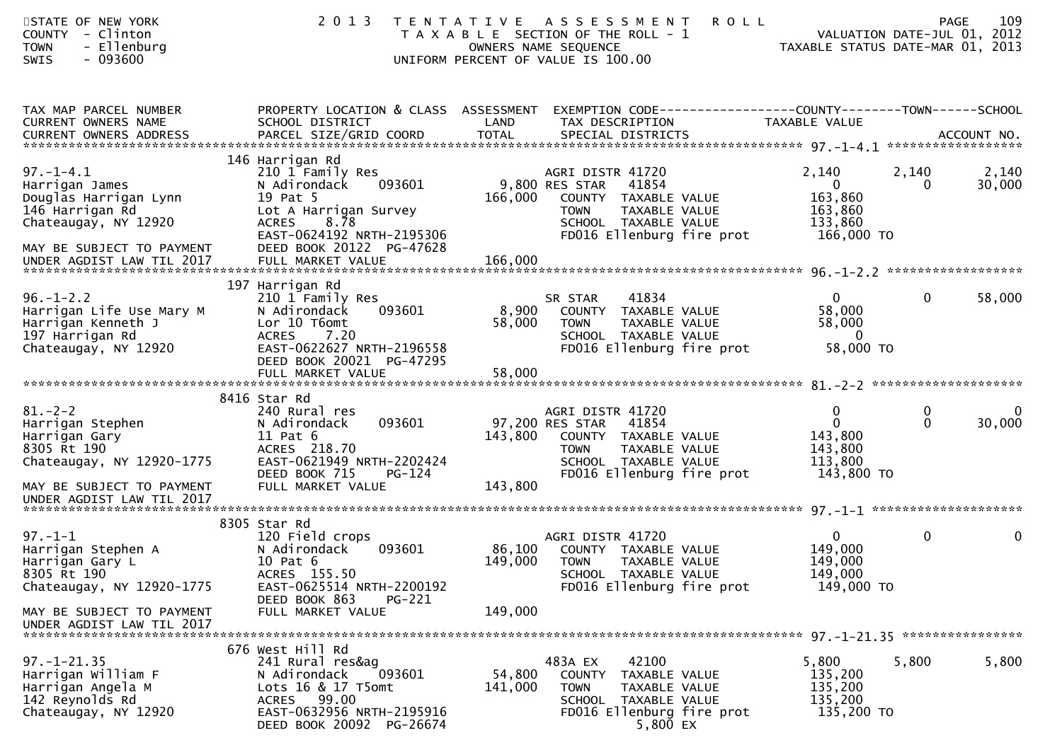| STATE OF NEW YORK<br>COUNTY - Clinton<br>- Ellenburg<br><b>TOWN</b><br>$-093600$<br>SWIS                                           | 2 0 1 3                                                                                                                                                                             |                    | TENTATIVE ASSESSMENT<br>T A X A B L E SECTION OF THE ROLL - 1<br>OWNERS NAME SEQUENCE<br>UNIFORM PERCENT OF VALUE IS 100.00                               | <b>ROLL</b>                                                                     | 109<br><b>PAGE</b><br>VALUATION DATE-JUL 01, 2012<br>TAXABLE STATUS DATE-MAR 01, 2013 |
|------------------------------------------------------------------------------------------------------------------------------------|-------------------------------------------------------------------------------------------------------------------------------------------------------------------------------------|--------------------|-----------------------------------------------------------------------------------------------------------------------------------------------------------|---------------------------------------------------------------------------------|---------------------------------------------------------------------------------------|
| TAX MAP PARCEL NUMBER<br>CURRENT OWNERS NAME                                                                                       | PROPERTY LOCATION & CLASS ASSESSMENT<br>SCHOOL DISTRICT                                                                                                                             | LAND               | TAX DESCRIPTION                                                                                                                                           | EXEMPTION CODE------------------COUNTY--------TOWN------SCHOOL<br>TAXABLE VALUE |                                                                                       |
| $97. - 1 - 4.1$<br>Harrigan James<br>Douglas Harrigan Lynn<br>146 Harrigan Rd<br>Chateaugay, NY 12920<br>MAY BE SUBJECT TO PAYMENT | 146 Harrigan Rd<br>210 1 Family Res<br>093601<br>N Adirondack<br>19 Pat 5<br>Lot A Harrigan Survey<br><b>ACRES</b><br>8.78<br>EAST-0624192 NRTH-2195306<br>DEED BOOK 20122 PG-47628 | 166,000            | AGRI DISTR 41720<br>9,800 RES STAR<br>41854<br>COUNTY TAXABLE VALUE<br>TAXABLE VALUE<br><b>TOWN</b><br>SCHOOL TAXABLE VALUE<br>FD016 Ellenburg fire prot  | 2,140<br>$\overline{0}$<br>163,860<br>163,860<br>133,860<br>166,000 TO          | 2,140<br>2,140<br>30,000<br>$\Omega$                                                  |
|                                                                                                                                    |                                                                                                                                                                                     |                    |                                                                                                                                                           |                                                                                 |                                                                                       |
| $96. - 1 - 2.2$<br>Harrigan Life Use Mary M<br>Harrigan Kenneth J<br>197 Harrigan Rd<br>Chateaugay, NY 12920                       | 197 Harrigan Rd<br>210 1 Family Res<br>093601<br>N Adirondack<br>Lor 10 T6omt<br>ACRES 7.20<br>EAST-0622627 NRTH-2196558<br>DEED BOOK 20021 PG-47295                                | 8,900<br>58,000    | SR STAR<br>41834<br>COUNTY TAXABLE VALUE<br><b>TOWN</b><br>TAXABLE VALUE<br>SCHOOL TAXABLE VALUE<br>FD016 Ellenburg fire prot                             | $\mathbf{0}$<br>58,000<br>58,000<br>$\overline{0}$<br>58,000 TO                 | $\mathbf{0}$<br>58,000                                                                |
|                                                                                                                                    |                                                                                                                                                                                     |                    |                                                                                                                                                           |                                                                                 |                                                                                       |
|                                                                                                                                    | 8416 Star Rd                                                                                                                                                                        |                    |                                                                                                                                                           |                                                                                 |                                                                                       |
| $81 - 2 - 2$<br>Harrigan Stephen<br>Harrigan Gary<br>8305 Rt 190<br>Chateaugay, NY 12920-1775<br>MAY BE SUBJECT TO PAYMENT         | 240 Rural res<br>093601<br>N Adirondack<br>$11$ Pat $6$<br>ACRES 218.70<br>EAST-0621949 NRTH-2202424<br>DEED BOOK 715<br>PG-124<br>FULL MARKET VALUE                                | 143,800<br>143,800 | AGRI DISTR 41720<br>97,200 RES STAR<br>41854<br>COUNTY TAXABLE VALUE<br><b>TOWN</b><br>TAXABLE VALUE<br>SCHOOL TAXABLE VALUE<br>FD016 Ellenburg fire prot | $\mathbf{0}$<br>$\overline{0}$<br>143,800<br>143,800<br>113,800<br>143,800 TO   | $\bf{0}$<br>$\mathbf{0}$<br>30,000<br>$\mathbf{0}$                                    |
| UNDER AGDIST LAW TIL 2017                                                                                                          |                                                                                                                                                                                     |                    |                                                                                                                                                           |                                                                                 |                                                                                       |
| $97. - 1 - 1$<br>Harrigan Stephen A<br>Harrigan Gary L<br>8305 Rt 190<br>Chateaugay, NY 12920-1775                                 | 8305 Star Rd<br>120 Field crops<br>093601<br>N Adirondack<br>10 Pat 6<br>ACRES 155.50<br>EAST-0625514 NRTH-2200192                                                                  | 86,100<br>149,000  | AGRI DISTR 41720<br>COUNTY TAXABLE VALUE<br>TOWN<br>TAXABLE VALUE<br>SCHOOL TAXABLE VALUE<br>FD016 Ellenburg fire prot                                    | $\mathbf{0}$<br>149,000<br>149,000<br>149,000<br>149,000 TO                     | $\mathbf 0$<br>$\mathbf 0$                                                            |
| MAY BE SUBJECT TO PAYMENT<br>UNDER AGDIST LAW TIL 2017                                                                             | DEED BOOK 863<br>PG-221<br>FULL MARKET VALUE                                                                                                                                        | 149,000            |                                                                                                                                                           |                                                                                 |                                                                                       |
| $97. - 1 - 21.35$<br>Harrigan William F<br>Harrigan Angela M<br>142 Reynolds Rd<br>Chateaugay, NY 12920                            | 676 West Hill Rd<br>241 Rural res&ag<br>093601<br>N Adirondack<br>Lots 16 & 17 T5omt<br>ACRES 99.00<br>EAST-0632956 NRTH-2195916<br>DEED BOOK 20092 PG-26674                        | 54,800<br>141,000  | 483A EX<br>42100<br><b>COUNTY</b><br>TAXABLE VALUE<br><b>TOWN</b><br>TAXABLE VALUE<br>SCHOOL TAXABLE VALUE<br>FD016 Ellenburg fire prot<br>5,800 EX       | 5,800<br>135,200<br>135,200<br>135,200<br>135,200 TO                            | 5,800<br>5,800                                                                        |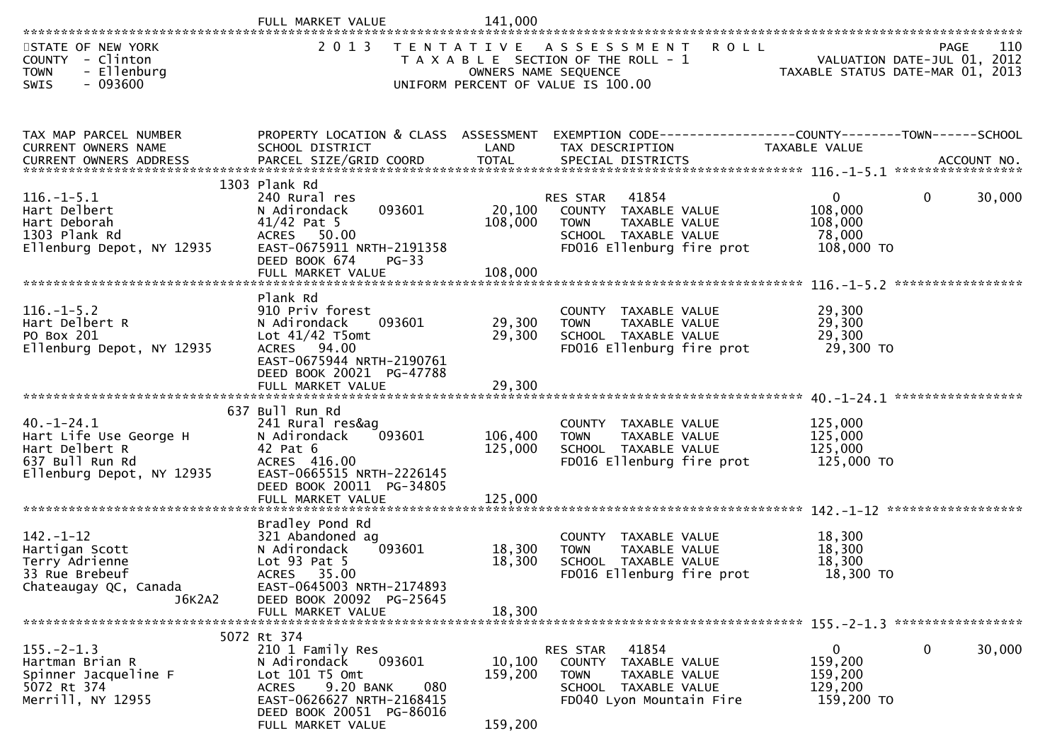|                                                                                                             | FULL MARKET VALUE                                                                                                                                                                             | 141,000                       |                                                                                                                                       |                                                  |                                            |
|-------------------------------------------------------------------------------------------------------------|-----------------------------------------------------------------------------------------------------------------------------------------------------------------------------------------------|-------------------------------|---------------------------------------------------------------------------------------------------------------------------------------|--------------------------------------------------|--------------------------------------------|
| STATE OF NEW YORK<br>COUNTY - Clinton<br>- Ellenburg<br><b>TOWN</b><br>$-093600$<br><b>SWIS</b>             | 2 0 1 3                                                                                                                                                                                       | OWNERS NAME SEQUENCE          | TENTATIVE ASSESSMENT<br><b>ROLL</b><br>T A X A B L E SECTION OF THE ROLL - 1<br>UNIFORM PERCENT OF VALUE IS 100.00                    | TAXABLE STATUS DATE-MAR 01, 2013                 | 110<br>PAGE<br>VALUATION DATE-JUL 01, 2012 |
| TAX MAP PARCEL NUMBER<br>CURRENT OWNERS NAME<br>CURRENT OWNERS ADDRESS                                      | PROPERTY LOCATION & CLASS ASSESSMENT<br>SCHOOL DISTRICT                                                                                                                                       | LAND                          | EXEMPTION CODE------------------COUNTY--------TOWN------SCHOOL<br>TAX DESCRIPTION                                                     | TAXABLE VALUE                                    |                                            |
| $116.-1-5.1$<br>Hart Delbert<br>Hart Deborah<br>1303 Plank Rd<br>Ellenburg Depot, NY 12935                  | 1303 Plank Rd<br>240 Rural res<br>093601<br>N Adirondack<br>$41/42$ Pat 5<br>ACRES 50.00<br>EAST-0675911 NRTH-2191358<br>DEED BOOK 674<br>$PG-33$                                             | 20,100<br>108,000<br>108,000  | 41854<br><b>RES STAR</b><br>COUNTY TAXABLE VALUE<br><b>TOWN</b><br>TAXABLE VALUE<br>SCHOOL TAXABLE VALUE<br>FD016 Ellenburg fire prot | 0<br>108,000<br>108,000<br>78,000<br>108,000 TO  | $\mathbf{0}$<br>30,000                     |
| $116. - 1 - 5.2$<br>Hart Delbert R<br>PO Box 201<br>Ellenburg Depot, NY 12935                               | Plank Rd<br>910 Priv forest<br>093601<br>N Adirondack<br>Lot $41/42$ T5omt<br>ACRES 94.00<br>EAST-0675944 NRTH-2190761<br>DEED BOOK 20021 PG-47788                                            | 29,300<br>29,300              | COUNTY TAXABLE VALUE<br>TAXABLE VALUE<br>TOWN<br>SCHOOL TAXABLE VALUE<br>FD016 Ellenburg fire prot                                    | 29,300<br>29,300<br>29,300<br>29,300 TO          |                                            |
| $40. -1 - 24.1$<br>Hart Life Use George H<br>Hart Delbert R<br>637 Bull Run Rd<br>Ellenburg Depot, NY 12935 | 637 Bull Run Rd<br>241 Rural res&ag<br>093601<br>N Adirondack<br>42 Pat 6<br>ACRES 416.00<br>EAST-0665515 NRTH-2226145<br>DEED BOOK 20011 PG-34805<br>FULL MARKET VALUE                       | 106,400<br>125,000<br>125,000 | COUNTY TAXABLE VALUE<br><b>TOWN</b><br>TAXABLE VALUE<br>SCHOOL TAXABLE VALUE<br>FD016 Ellenburg fire prot                             | 125,000<br>125,000<br>125,000<br>125,000 TO      |                                            |
| $142. - 1 - 12$<br>Hartigan Scott<br>Terry Adrienne<br>33 Rue Brebeuf<br>Chateaugay QC, Canada<br>J6K2A2    | Bradley Pond Rd<br>321 Abandoned ag<br>093601<br>N Adirondack<br>Lot $93$ Pat $5$<br>ACRES 35.00<br>EAST-0645003 NRTH-2174893<br>DEED BOOK 20092 PG-25645<br>FULL MARKET VALUE                | 18,300<br>18,300<br>18,300    | COUNTY TAXABLE VALUE<br><b>TOWN</b><br>TAXABLE VALUE<br>SCHOOL TAXABLE VALUE<br>FD016 Ellenburg fire prot                             | 18,300<br>18,300<br>18,300<br>18,300 TO          |                                            |
| $155. - 2 - 1.3$<br>Hartman Brian R<br>Spinner Jacqueline F<br>5072 Rt 374<br>Merrill, NY 12955             | 5072 Rt 374<br>210 1 Family Res<br>093601<br>N Adirondack<br>Lot 101 T5 Omt<br>9.20 BANK<br>080<br><b>ACRES</b><br>EAST-0626627 NRTH-2168415<br>DEED BOOK 20051 PG-86016<br>FULL MARKET VALUE | 10,100<br>159,200<br>159,200  | 41854<br>RES STAR<br>COUNTY<br>TAXABLE VALUE<br><b>TOWN</b><br>TAXABLE VALUE<br>SCHOOL TAXABLE VALUE<br>FD040 Lyon Mountain Fire      | 0<br>159,200<br>159,200<br>129,200<br>159,200 TO | 30,000<br>0                                |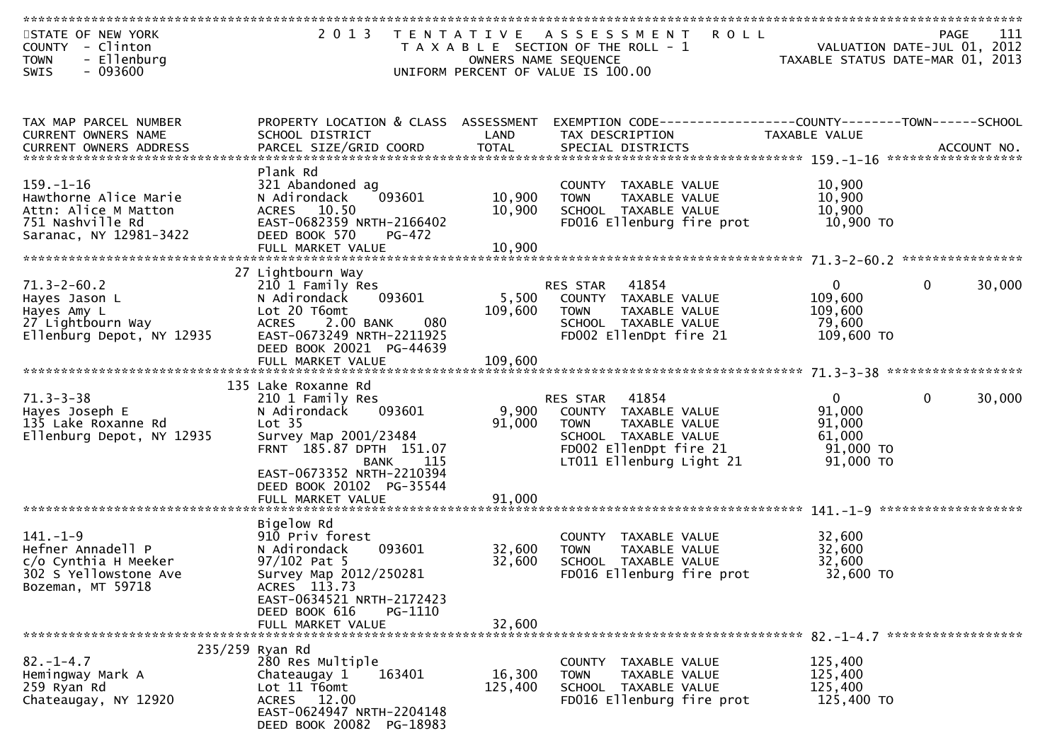| STATE OF NEW YORK<br>COUNTY - Clinton<br>- Ellenburg<br><b>TOWN</b><br>$-093600$<br><b>SWIS</b>                | 2 0 1 3                                                                                                                                                                                           | T E N T A T I V E<br>OWNERS NAME SEQUENCE | A S S E S S M E N T<br><b>ROLL</b><br>T A X A B L E SECTION OF THE ROLL - 1<br>UNIFORM PERCENT OF VALUE IS 100.00                                       | VALUATION DATE-JUL 01, 2012<br>TAXABLE STATUS DATE-MAR 01, 2013              | 111<br><b>PAGE</b> |
|----------------------------------------------------------------------------------------------------------------|---------------------------------------------------------------------------------------------------------------------------------------------------------------------------------------------------|-------------------------------------------|---------------------------------------------------------------------------------------------------------------------------------------------------------|------------------------------------------------------------------------------|--------------------|
| TAX MAP PARCEL NUMBER<br>CURRENT OWNERS NAME<br><b>CURRENT OWNERS ADDRESS</b>                                  | PROPERTY LOCATION & CLASS ASSESSMENT<br>SCHOOL DISTRICT<br>PARCEL SIZE/GRID COORD                                                                                                                 | LAND<br><b>TOTAL</b>                      | EXEMPTION CODE------------------COUNTY--------TOWN------SCHOOL<br>TAX DESCRIPTION<br>SPECIAL DISTRICTS                                                  | TAXABLE VALUE                                                                | ACCOUNT NO.        |
| $159. - 1 - 16$<br>Hawthorne Alice Marie<br>Attn: Alice M Matton<br>751 Nashville Rd<br>Saranac, NY 12981-3422 | Plank Rd<br>321 Abandoned ag<br>093601<br>N Adirondack<br>ACRES 10.50<br>EAST-0682359 NRTH-2166402<br>DEED BOOK 570<br>PG-472<br>FULL MARKET VALUE                                                | 10,900<br>10,900<br>10,900                | COUNTY TAXABLE VALUE<br><b>TOWN</b><br>TAXABLE VALUE<br>SCHOOL TAXABLE VALUE<br>FD016 Ellenburg fire prot                                               | 10,900<br>10,900<br>10,900<br>10,900 TO                                      |                    |
|                                                                                                                |                                                                                                                                                                                                   |                                           |                                                                                                                                                         |                                                                              |                    |
| $71.3 - 2 - 60.2$<br>Hayes Jason L<br>Hayes Amy L<br>27 Lightbourn Way<br>Ellenburg Depot, NY 12935            | 27 Lightbourn Way<br>210 1 Family Res<br>093601<br>N Adirondack<br>Lot 20 T6omt<br><b>ACRES</b><br>2.00 BANK<br>080<br>EAST-0673249 NRTH-2211925<br>DEED BOOK 20021 PG-44639<br>FULL MARKET VALUE | 5,500<br>109,600<br>109,600               | RES STAR<br>41854<br>COUNTY TAXABLE VALUE<br><b>TOWN</b><br>TAXABLE VALUE<br>SCHOOL TAXABLE VALUE<br>FD002 EllenDpt fire 21                             | 0<br>0<br>109,600<br>109,600<br>79,600<br>109,600 TO                         | 30,000             |
|                                                                                                                | 135 Lake Roxanne Rd                                                                                                                                                                               |                                           |                                                                                                                                                         |                                                                              |                    |
| $71.3 - 3 - 38$<br>Hayes Joseph E<br>135 Lake Roxanne Rd<br>Ellenburg Depot, NY 12935                          | 210 1 Family Res<br>093601<br>N Adirondack<br>Lot <sub>35</sub><br>Survey Map 2001/23484<br>FRNT 185.87 DPTH 151.07<br><b>BANK</b><br>115<br>EAST-0673352 NRTH-2210394                            | 9,900<br>91,000                           | 41854<br>RES STAR<br>COUNTY TAXABLE VALUE<br><b>TOWN</b><br>TAXABLE VALUE<br>SCHOOL TAXABLE VALUE<br>FD002 EllenDpt fire 21<br>LT011 Ellenburg Light 21 | $\Omega$<br>$\Omega$<br>91,000<br>91,000<br>61,000<br>91,000 TO<br>91,000 TO | 30,000             |
|                                                                                                                | DEED BOOK 20102 PG-35544<br>FULL MARKET VALUE                                                                                                                                                     | 91,000                                    |                                                                                                                                                         |                                                                              |                    |
| $141. - 1 - 9$<br>Hefner Annadell P<br>c/o Cynthia H Meeker<br>302 S Yellowstone Ave<br>Bozeman, MT 59718      | Bigelow Rd<br>910 Priv forest<br>093601<br>N Adirondack<br>$97/102$ Pat 5<br>Survey Map 2012/250281<br>ACRES 113.73<br>EAST-0634521 NRTH-2172423<br>DEED BOOK 616<br>PG-1110                      | 32,600<br>32,600                          | COUNTY TAXABLE VALUE<br>TAXABLE VALUE<br><b>TOWN</b><br>SCHOOL TAXABLE VALUE<br>FD016 Ellenburg fire prot                                               | 32,600<br>32,600<br>32,600<br>32,600 TO                                      |                    |
|                                                                                                                | FULL MARKET VALUE                                                                                                                                                                                 | 32,600                                    |                                                                                                                                                         |                                                                              |                    |
| $82. - 1 - 4.7$<br>Hemingway Mark A<br>259 Ryan Rd<br>Chateaugay, NY 12920                                     | 235/259 Ryan Rd<br>280 Res Multiple<br>Chateaugay 1<br>163401<br>Lot 11 T6omt<br>ACRES 12.00<br>EAST-0624947 NRTH-2204148<br>DEED BOOK 20082 PG-18983                                             | 16,300<br>125,400                         | COUNTY TAXABLE VALUE<br><b>TOWN</b><br>TAXABLE VALUE<br>SCHOOL TAXABLE VALUE<br>FD016 Ellenburg fire prot                                               | 125,400<br>125,400<br>125,400<br>125,400 TO                                  |                    |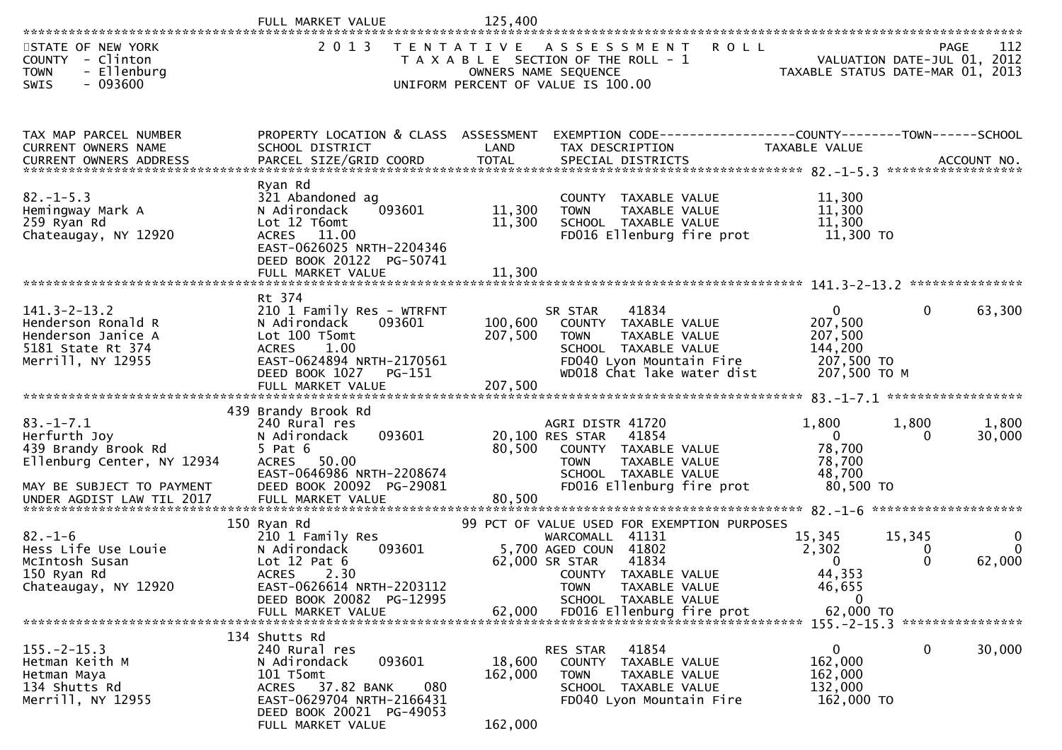|                                                                                                                                                | FULL MARKET VALUE                                                                                                                                                              | 125,400                      |                                                                                                                                                            |                                                                             |                                            |                  |
|------------------------------------------------------------------------------------------------------------------------------------------------|--------------------------------------------------------------------------------------------------------------------------------------------------------------------------------|------------------------------|------------------------------------------------------------------------------------------------------------------------------------------------------------|-----------------------------------------------------------------------------|--------------------------------------------|------------------|
| STATE OF NEW YORK<br>COUNTY - Clinton<br>- Ellenburg<br><b>TOWN</b><br>$-093600$<br>SWIS                                                       | 2 0 1 3                                                                                                                                                                        | T E N T A T I V E            | A S S E S S M E N T<br><b>ROLL</b><br>T A X A B L E SECTION OF THE ROLL - 1<br>OWNERS NAME SEQUENCE<br>UNIFORM PERCENT OF VALUE IS 100.00                  | TAXABLE STATUS DATE-MAR 01, 2013                                            | <b>PAGE</b><br>VALUATION DATE-JUL 01, 2012 | 112              |
| TAX MAP PARCEL NUMBER<br>CURRENT OWNERS NAME                                                                                                   | PROPERTY LOCATION & CLASS ASSESSMENT<br>SCHOOL DISTRICT                                                                                                                        | LAND                         | EXEMPTION CODE------------------COUNTY--------TOWN------SCHOOL<br>TAX DESCRIPTION                                                                          | TAXABLE VALUE                                                               |                                            |                  |
| $82. - 1 - 5.3$<br>Hemingway Mark A<br>259 Ryan Rd<br>Chateaugay, NY 12920                                                                     | Ryan Rd<br>321 Abandoned ag<br>N Adirondack<br>093601<br>Lot 12 T6omt<br>ACRES 11.00<br>EAST-0626025 NRTH-2204346<br>DEED BOOK 20122 PG-50741<br>FULL MARKET VALUE             | 11,300<br>11,300<br>11,300   | COUNTY TAXABLE VALUE<br>TAXABLE VALUE<br><b>TOWN</b><br>SCHOOL TAXABLE VALUE<br>FD016 Ellenburg fire prot                                                  | 11,300<br>11,300<br>11,300<br>11,300 TO                                     |                                            |                  |
| $141.3 - 2 - 13.2$<br>Henderson Ronald R<br>Henderson Janice A<br>5181 State Rt 374<br>Merrill, NY 12955                                       | Rt 374<br>210 1 Family Res - WTRFNT<br>N Adirondack<br>093601<br>Lot 100 T5omt<br>1.00<br><b>ACRES</b><br>EAST-0624894 NRTH-2170561<br>DEED BOOK 1027<br>PG-151                | 100,600<br>207,500           | 41834<br>SR STAR<br>COUNTY TAXABLE VALUE<br><b>TOWN</b><br>TAXABLE VALUE<br>SCHOOL TAXABLE VALUE<br>FD040 Lyon Mountain Fire<br>WD018 Chat lake water dist | $\mathbf{0}$<br>207,500<br>207,500<br>144,200<br>207,500 TO<br>207,500 ТО М | $\mathbf{0}$                               | 63,300           |
|                                                                                                                                                | FULL MARKET VALUE<br>439 Brandy Brook Rd                                                                                                                                       | 207,500                      |                                                                                                                                                            |                                                                             |                                            |                  |
| $83. - 1 - 7.1$<br>Herfurth Joy<br>439 Brandy Brook Rd<br>Ellenburg Center, NY 12934<br>MAY BE SUBJECT TO PAYMENT<br>UNDER AGDIST LAW TIL 2017 | 240 Rural res<br>093601<br>N Adirondack<br>$5$ Pat $6$<br>ACRES 50.00<br>EAST-0646986 NRTH-2208674<br>DEED BOOK 20092 PG-29081<br>FULL MARKET VALUE                            | 80,500<br>80,500             | AGRI DISTR 41720<br>20,100 RES STAR<br>41854<br>COUNTY TAXABLE VALUE<br>TAXABLE VALUE<br><b>TOWN</b><br>SCHOOL TAXABLE VALUE<br>FD016 Ellenburg fire prot  | 1,800<br>$\overline{0}$<br>78,700<br>78,700<br>48,700<br>80,500 TO          | 1,800<br>0                                 | 1,800<br>30,000  |
|                                                                                                                                                | 150 Ryan Rd                                                                                                                                                                    |                              | 99 PCT OF VALUE USED FOR EXEMPTION PURPOSES                                                                                                                |                                                                             |                                            |                  |
| $82. - 1 - 6$<br>Hess Life Use Louie<br>McIntosh Susan<br>150 Ryan Rd<br>Chateaugay, NY 12920                                                  | 210 1 Family Res<br>093601<br>N Adirondack<br>Lot $12$ Pat $6$<br><b>ACRES</b><br>2.30<br>EAST-0626614 NRTH-2203112<br>DEED BOOK 20082 PG-12995                                |                              | WARCOMALL 41131<br>5,700 AGED COUN 41802<br>41834<br>62,000 SR STAR<br>COUNTY TAXABLE VALUE<br>TOWN<br>TAXABLE VALUE<br>SCHOOL TAXABLE VALUE               | 15,345<br>2,302<br>$\mathbf{0}$<br>44,353<br>46,655<br>$\mathbf{0}$         | 15,345<br>0<br>$\mathbf 0$                 | 0<br>0<br>62,000 |
|                                                                                                                                                | FULL MARKET VALUE                                                                                                                                                              | 62,000                       | FD016 Ellenburg fire prot                                                                                                                                  | 62,000 TO<br>$155. - 2 - 15.3$                                              |                                            | **************** |
| $155. - 2 - 15.3$<br>Hetman Keith M<br>Hetman Maya<br>134 Shutts Rd<br>Merrill, NY 12955                                                       | 134 Shutts Rd<br>240 Rural res<br>093601<br>N Adirondack<br>101 T5omt<br>ACRES 37.82 BANK<br>080<br>EAST-0629704 NRTH-2166431<br>DEED BOOK 20021 PG-49053<br>FULL MARKET VALUE | 18,600<br>162,000<br>162,000 | 41854<br>RES STAR<br><b>COUNTY</b><br>TAXABLE VALUE<br><b>TOWN</b><br>TAXABLE VALUE<br>SCHOOL TAXABLE VALUE<br>FD040 Lyon Mountain Fire                    | 0<br>162,000<br>162,000<br>132,000<br>162,000 TO                            | $\mathbf 0$                                | 30,000           |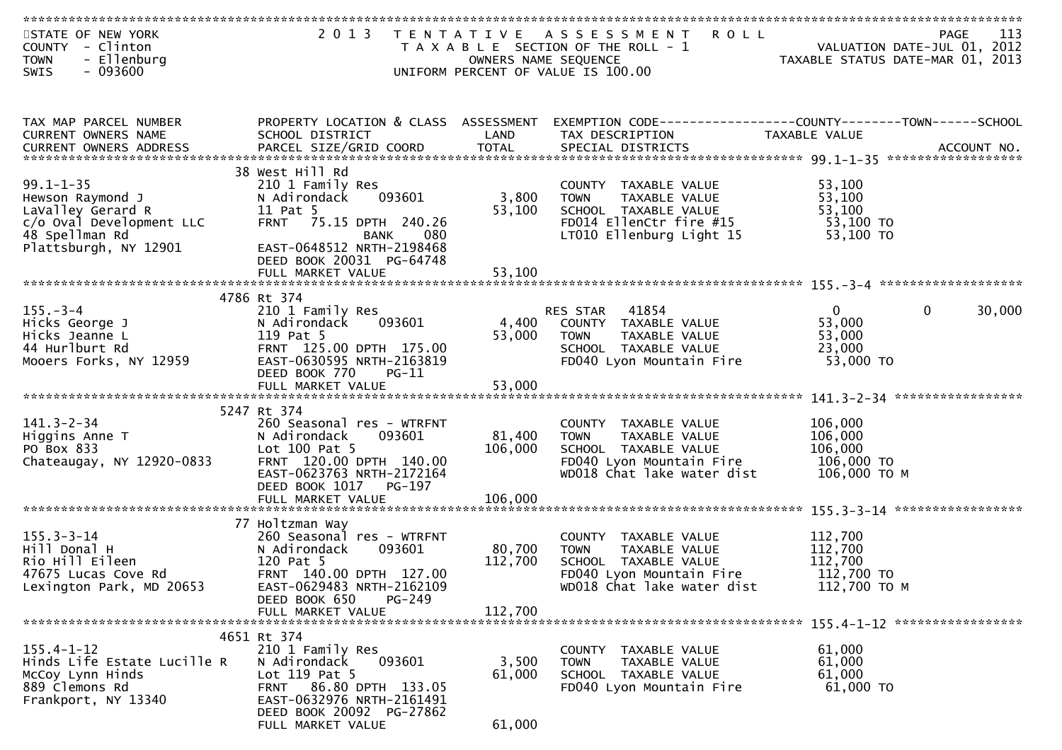| STATE OF NEW YORK                                                                                                  | 2 0 1 3                                               | T E N T A T I V E    | <b>ROLL</b><br>A S S E S S M E N T                             | 213 - VALUATION DATE-JUL<br>2012 ,2012 - TAXARLE STATUS DATE | 113<br><b>PAGE</b>    |
|--------------------------------------------------------------------------------------------------------------------|-------------------------------------------------------|----------------------|----------------------------------------------------------------|--------------------------------------------------------------|-----------------------|
| COUNTY - Clinton                                                                                                   |                                                       |                      | T A X A B L E SECTION OF THE ROLL - 1                          |                                                              |                       |
| - Ellenburg<br><b>TOWN</b><br>$-093600$<br>SWIS                                                                    |                                                       | OWNERS NAME SEQUENCE | UNIFORM PERCENT OF VALUE IS 100.00                             |                                                              |                       |
|                                                                                                                    |                                                       |                      |                                                                |                                                              |                       |
|                                                                                                                    |                                                       |                      |                                                                |                                                              |                       |
|                                                                                                                    |                                                       |                      |                                                                |                                                              |                       |
| TAX MAP PARCEL NUMBER                                                                                              | PROPERTY LOCATION & CLASS ASSESSMENT                  |                      | EXEMPTION CODE------------------COUNTY--------TOWN------SCHOOL |                                                              |                       |
| CURRENT OWNERS NAME                                                                                                | SCHOOL DISTRICT                                       | LAND                 | TAX DESCRIPTION                                                | TAXABLE VALUE                                                |                       |
| .0URRENT OWNERS ADDRESS PARCEL SIZE/GRID COORD TOTAL SPECIAL DISTRICTS ACCOUNT NO ACCOUNT NO ACCOUNT NO ACCOUNT NO |                                                       |                      |                                                                |                                                              |                       |
|                                                                                                                    | 38 West Hill Rd                                       |                      |                                                                |                                                              |                       |
| $99.1 - 1 - 35$                                                                                                    | 210 1 Family Res                                      |                      | COUNTY TAXABLE VALUE                                           | 53,100                                                       |                       |
| Hewson Raymond J                                                                                                   | 093601<br>N Adirondack                                | 3,800                | TAXABLE VALUE<br><b>TOWN</b>                                   | 53,100                                                       |                       |
| LaValley Gerard R                                                                                                  | 11 Pat 5                                              | 53,100               | SCHOOL TAXABLE VALUE                                           | 53,100                                                       |                       |
| c/o Oval Development LLC                                                                                           | FRNT 75.15 DPTH 240.26                                |                      | FD014 EllenCtr fire #15                                        | 53,100 TO                                                    |                       |
| 48 Spellman Rd                                                                                                     | 080<br>BANK                                           |                      | LT010 Ellenburg Light 15                                       | 53,100 TO                                                    |                       |
| Plattsburgh, NY 12901                                                                                              | EAST-0648512 NRTH-2198468<br>DEED BOOK 20031 PG-64748 |                      |                                                                |                                                              |                       |
|                                                                                                                    |                                                       |                      |                                                                |                                                              |                       |
|                                                                                                                    |                                                       |                      |                                                                |                                                              |                       |
|                                                                                                                    | 4786 Rt 374                                           |                      |                                                                |                                                              |                       |
| $155. - 3 - 4$                                                                                                     | 210 1 Family Res                                      |                      | RES STAR 41854                                                 | $\overline{0}$                                               | $\mathbf 0$<br>30,000 |
| Hicks George J                                                                                                     | 093601<br>N Adirondack                                | 4,400                | COUNTY TAXABLE VALUE                                           | 53,000                                                       |                       |
| Hicks Jeanne L<br>44 Hurlburt Rd                                                                                   | 119 Pat 5<br>FRNT 125.00 DPTH 175.00                  | 53,000               | <b>TOWN</b><br>TAXABLE VALUE                                   | 53,000                                                       |                       |
| Mooers Forks, NY 12959                                                                                             | EAST-0630595 NRTH-2163819                             |                      | SCHOOL TAXABLE VALUE<br>FD040 Lyon Mountain Fire               | 23,000<br>53,000 TO                                          |                       |
|                                                                                                                    | DEED BOOK 770<br>$PG-11$                              |                      |                                                                |                                                              |                       |
|                                                                                                                    |                                                       |                      |                                                                |                                                              |                       |
|                                                                                                                    |                                                       |                      |                                                                |                                                              |                       |
|                                                                                                                    | 5247 Rt 374                                           |                      |                                                                |                                                              |                       |
| $141.3 - 2 - 34$                                                                                                   | 260 Seasonal res - WTRFNT                             |                      | COUNTY TAXABLE VALUE                                           | 106,000                                                      |                       |
| Higgins Anne T                                                                                                     | N Adirondack<br>093601                                | 81,400               | <b>TOWN</b><br>TAXABLE VALUE                                   | 106,000                                                      |                       |
| PO Box 833<br>Chateaugay, NY 12920-0833                                                                            | Lot $100$ Pat 5<br>FRNT 120.00 DPTH 140.00            | 106,000              | SCHOOL TAXABLE VALUE<br>FD040 Lyon Mountain Fire               | 106,000<br>106,000 TO                                        |                       |
|                                                                                                                    | EAST-0623763 NRTH-2172164                             |                      | WD018 Chat lake water dist                                     | 106,000 ТО М                                                 |                       |
|                                                                                                                    | DEED BOOK 1017<br>PG-197                              |                      |                                                                |                                                              |                       |
|                                                                                                                    |                                                       |                      |                                                                |                                                              |                       |
|                                                                                                                    |                                                       |                      |                                                                |                                                              |                       |
|                                                                                                                    | 77 Holtzman Way                                       |                      |                                                                |                                                              |                       |
| $155.3 - 3 - 14$                                                                                                   | 260 Seasonal res - WTRFNT                             |                      | COUNTY TAXABLE VALUE                                           | 112,700                                                      |                       |
| Hill Donal H<br>Rio Hill Eileen                                                                                    | 093601<br>N Adirondack<br>120 Pat 5                   | 80,700<br>112,700    | TAXABLE VALUE<br>TOWN<br>SCHOOL TAXABLE VALUE                  | 112,700<br>112,700                                           |                       |
| 47675 Lucas Cove Rd                                                                                                | FRNT 140.00 DPTH 127.00                               |                      | FD040 Lyon Mountain Fire                                       | 112,700 TO                                                   |                       |
| Lexington Park, MD 20653                                                                                           | EAST-0629483 NRTH-2162109                             |                      | WD018 Chat lake water dist                                     | 112,700 ТО М                                                 |                       |
|                                                                                                                    | DEED BOOK 650<br>PG-249                               |                      |                                                                |                                                              |                       |
|                                                                                                                    | FULL MARKET VALUE                                     | 112,700              |                                                                |                                                              |                       |
|                                                                                                                    |                                                       |                      |                                                                |                                                              |                       |
|                                                                                                                    | 4651 Rt 374                                           |                      |                                                                |                                                              |                       |
| $155.4 - 1 - 12$<br>Hinds Life Estate Lucille R                                                                    | 210 1 Family Res<br>N Adirondack<br>093601            | 3,500                | COUNTY TAXABLE VALUE<br>TAXABLE VALUE<br><b>TOWN</b>           | 61,000<br>61,000                                             |                       |
| McCoy Lynn Hinds                                                                                                   | Lot 119 Pat 5                                         | 61,000               | SCHOOL TAXABLE VALUE                                           | 61,000                                                       |                       |
| 889 Clemons Rd                                                                                                     | FRNT 86.80 DPTH 133.05                                |                      | FD040 Lyon Mountain Fire                                       | 61,000 TO                                                    |                       |
| Frankport, NY 13340                                                                                                | EAST-0632976 NRTH-2161491                             |                      |                                                                |                                                              |                       |
|                                                                                                                    | DEED BOOK 20092 PG-27862                              |                      |                                                                |                                                              |                       |
|                                                                                                                    | FULL MARKET VALUE                                     | 61,000               |                                                                |                                                              |                       |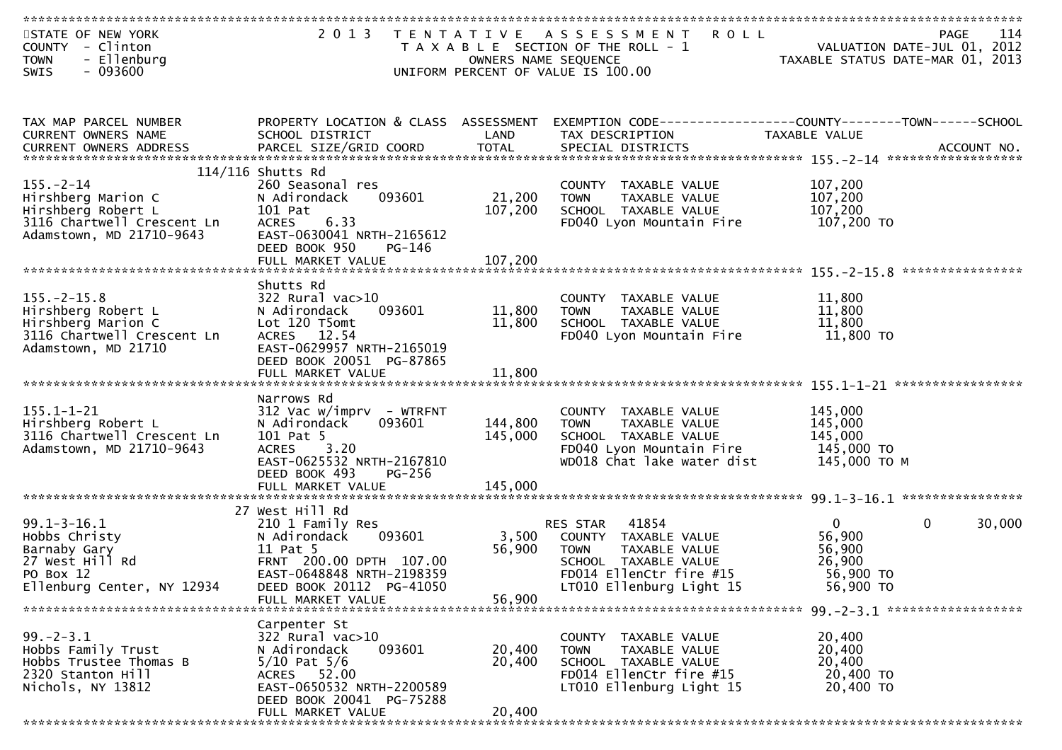| STATE OF NEW YORK<br>COUNTY - Clinton                  | 2 0 1 3<br>T E N T A T I V E                      |                      | <b>ROLL</b><br>ASSESSMENT<br>T A X A B L E SECTION OF THE ROLL - 1 | VALUATION DATE-JUL 01, 2012      | <b>PAGE</b>  | 114    |
|--------------------------------------------------------|---------------------------------------------------|----------------------|--------------------------------------------------------------------|----------------------------------|--------------|--------|
| <b>TOWN</b><br>- Ellenburg                             |                                                   | OWNERS NAME SEQUENCE |                                                                    | TAXABLE STATUS DATE-MAR 01, 2013 |              |        |
| $-093600$<br><b>SWIS</b>                               |                                                   |                      | UNIFORM PERCENT OF VALUE IS 100.00                                 |                                  |              |        |
|                                                        |                                                   |                      |                                                                    |                                  |              |        |
| TAX MAP PARCEL NUMBER                                  | PROPERTY LOCATION & CLASS ASSESSMENT              |                      |                                                                    |                                  |              |        |
| CURRENT OWNERS NAME                                    | SCHOOL DISTRICT                                   | LAND                 | TAX DESCRIPTION                                                    | TAXABLE VALUE                    |              |        |
|                                                        |                                                   |                      |                                                                    |                                  |              |        |
| $155. - 2 - 14$                                        | $114/116$ Shutts Rd<br>260 Seasonal res           |                      | COUNTY TAXABLE VALUE                                               | 107,200                          |              |        |
| Hirshberg Marion C                                     | 093601<br>N Adirondack                            | 21,200               | <b>TOWN</b><br>TAXABLE VALUE                                       | 107,200                          |              |        |
| Hirshberg Robert L                                     | 101 Pat                                           | 107,200              | SCHOOL TAXABLE VALUE                                               | 107,200                          |              |        |
| 3116 Chartwell Crescent Ln                             | 6.33<br><b>ACRES</b><br>EAST-0630041 NRTH-2165612 |                      | FD040 Lyon Mountain Fire                                           | 107,200 TO                       |              |        |
| Adamstown, MD 21710-9643                               | DEED BOOK 950<br>PG-146                           |                      |                                                                    |                                  |              |        |
|                                                        | FULL MARKET VALUE                                 | 107,200              |                                                                    |                                  |              |        |
|                                                        | Shutts Rd                                         |                      |                                                                    |                                  |              |        |
| $155. - 2 - 15.8$                                      | $322$ Rural vac $>10$                             |                      | COUNTY TAXABLE VALUE                                               | 11,800                           |              |        |
| Hirshberg Robert L                                     | 093601<br>N Adirondack                            | 11,800               | TAXABLE VALUE<br><b>TOWN</b>                                       | 11,800                           |              |        |
| Hirshberg Marion C                                     | Lot 120 T5omt                                     | 11,800               | SCHOOL TAXABLE VALUE                                               | 11,800                           |              |        |
| 3116 Chartwell Crescent Ln<br>Adamstown, MD 21710      | ACRES 12.54<br>EAST-0629957 NRTH-2165019          |                      | FD040 Lyon Mountain Fire                                           | 11,800 TO                        |              |        |
|                                                        | DEED BOOK 20051 PG-87865                          |                      |                                                                    |                                  |              |        |
|                                                        |                                                   |                      |                                                                    |                                  |              |        |
|                                                        | Narrows Rd                                        |                      |                                                                    |                                  |              |        |
| $155.1 - 1 - 21$                                       | 312 Vac w/imprv - WTRFNT                          |                      | COUNTY TAXABLE VALUE                                               | 145,000                          |              |        |
| Hirshberg Robert L                                     | 093601<br>N Adirondack                            | 144,800              | TAXABLE VALUE<br><b>TOWN</b>                                       | 145,000                          |              |        |
| 3116 Chartwell Crescent Ln<br>Adamstown, MD 21710-9643 | 101 Pat 5<br><b>ACRES</b><br>3.20                 | 145,000              | SCHOOL TAXABLE VALUE<br>FD040 Lyon Mountain Fire                   | 145,000<br>145,000 TO            |              |        |
|                                                        | EAST-0625532 NRTH-2167810                         |                      | WD018 Chat lake water dist                                         | 145,000 ТО М                     |              |        |
|                                                        | DEED BOOK 493<br>$PG-256$                         |                      |                                                                    |                                  |              |        |
|                                                        | FULL MARKET VALUE                                 | 145,000              |                                                                    |                                  |              |        |
|                                                        | 27 West Hill Rd                                   |                      |                                                                    |                                  |              |        |
| $99.1 - 3 - 16.1$                                      | 210 1 Family Res                                  |                      | 41854<br>RES STAR                                                  | $\overline{0}$                   | $\mathbf{0}$ | 30,000 |
| Hobbs Christy<br>Barnaby Gary                          | N Adirondack<br>093601<br>11 Pat 5                | 3,500<br>56,900      | COUNTY TAXABLE VALUE<br><b>TOWN</b>                                | 56,900<br>56,900                 |              |        |
| 27 West Hill Rd                                        | FRNT 200.00 DPTH 107.00                           |                      | TAXABLE VALUE<br>SCHOOL TAXABLE VALUE                              | 26,900                           |              |        |
| PO Box 12                                              | EAST-0648848 NRTH-2198359                         |                      | FD014 EllenCtr fire #15                                            | 56,900 TO                        |              |        |
| Ellenburg Center, NY 12934                             | DEED BOOK 20112 PG-41050                          |                      | LT010 Ellenburg Light 15                                           | 56,900 TO                        |              |        |
|                                                        | FULL MARKET VALUE                                 | 56,900               |                                                                    |                                  |              |        |
|                                                        | Carpenter St                                      |                      |                                                                    |                                  |              |        |
| $99. - 2 - 3.1$                                        | 322 Rural vac>10                                  |                      | COUNTY TAXABLE VALUE                                               | 20,400                           |              |        |
| Hobbs Family Trust<br>Hobbs Trustee Thomas B           | N Adirondack<br>093601<br>$5/10$ Pat $5/6$        | 20,400<br>20,400     | <b>TOWN</b><br>TAXABLE VALUE<br>SCHOOL TAXABLE VALUE               | 20,400<br>20,400                 |              |        |
| 2320 Stanton Hill                                      | ACRES 52.00                                       |                      | FD014 EllenCtr fire #15                                            | 20,400 TO                        |              |        |
| Nichols, NY 13812                                      | EAST-0650532 NRTH-2200589                         |                      | LT010 Ellenburg Light 15                                           | 20,400 TO                        |              |        |
|                                                        | DEED BOOK 20041 PG-75288                          | 20,400               |                                                                    |                                  |              |        |
|                                                        | FULL MARKET VALUE                                 |                      |                                                                    |                                  |              |        |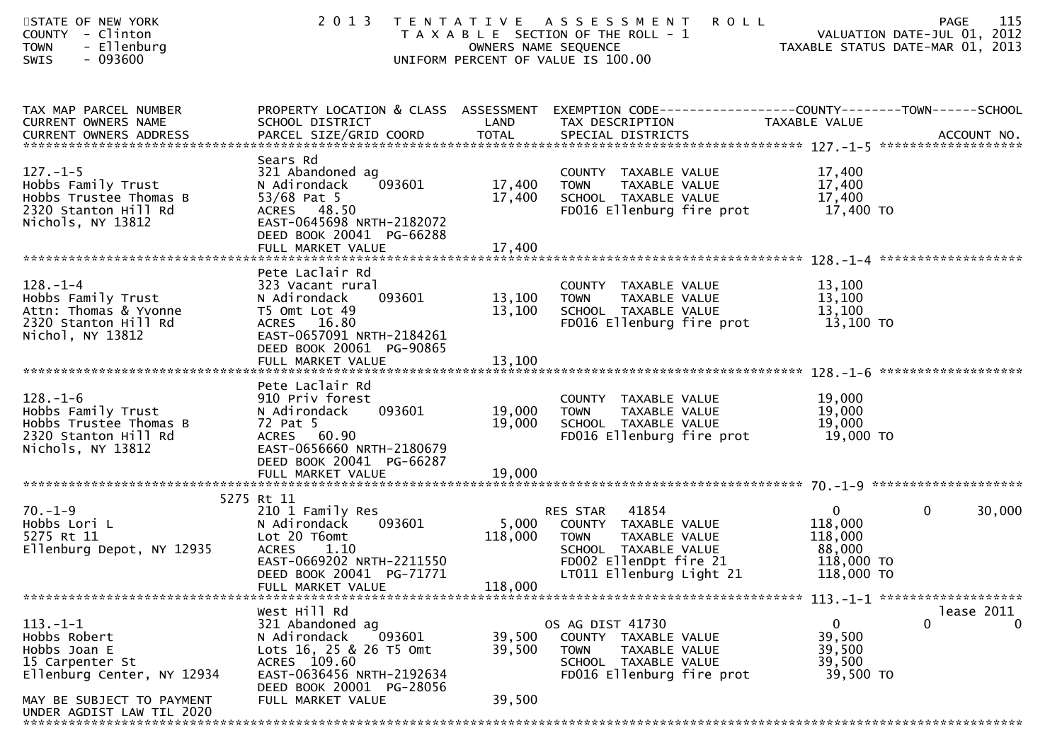| STATE OF NEW YORK<br>COUNTY - Clinton<br>- Ellenburg<br><b>TOWN</b><br>$-093600$<br><b>SWIS</b>                              | 2 0 1 3                                                                                                                                                                             | OWNERS NAME SEQUENCE       | <b>ROLL</b><br>TENTATIVE ASSESSMENT<br>T A X A B L E SECTION OF THE ROLL - 1<br>UNIFORM PERCENT OF VALUE IS 100.00                                      | <b>PAGE</b><br>VALUATION DATE-JUL 01, 2012<br>TAXABLE STATUS DATE-MAR 01, 2013            | 115                        |
|------------------------------------------------------------------------------------------------------------------------------|-------------------------------------------------------------------------------------------------------------------------------------------------------------------------------------|----------------------------|---------------------------------------------------------------------------------------------------------------------------------------------------------|-------------------------------------------------------------------------------------------|----------------------------|
| TAX MAP PARCEL NUMBER<br>CURRENT OWNERS NAME                                                                                 | PROPERTY LOCATION & CLASS ASSESSMENT<br>SCHOOL DISTRICT                                                                                                                             | LAND                       | EXEMPTION CODE------------------COUNTY--------TOWN------SCHOOL<br>TAX DESCRIPTION                                                                       | TAXABLE VALUE                                                                             |                            |
| $127. - 1 - 5$<br>Hobbs Family Trust<br>Hobbs Trustee Thomas B<br>2320 Stanton Hill Rd<br>Nichols, NY 13812                  | Sears Rd<br>321 Abandoned ag<br>N Adirondack<br>093601<br>53/68 Pat 5<br>ACRES 48.50<br>EAST-0645698 NRTH-2182072<br>DEED BOOK 20041 PG-66288                                       | 17,400<br>17,400           | COUNTY TAXABLE VALUE<br>TAXABLE VALUE<br><b>TOWN</b><br>SCHOOL TAXABLE VALUE<br>FD016 Ellenburg fire prot                                               | 17,400<br>17,400<br>17,400<br>17,400 TO                                                   |                            |
|                                                                                                                              |                                                                                                                                                                                     |                            |                                                                                                                                                         |                                                                                           |                            |
| $128. - 1 - 4$<br>Hobbs Family Trust<br>Attn: Thomas & Yvonne<br>2320 Stanton Hill Rd<br>Nichol, NY 13812                    | Pete Laclair Rd<br>323 Vacant rural<br>093601<br>N Adirondack<br>T5 Omt Lot 49<br>ACRES 16.80<br>EAST-0657091 NRTH-2184261<br>DEED BOOK 20061 PG-90865                              | 13,100<br>13,100           | COUNTY TAXABLE VALUE<br>TAXABLE VALUE<br><b>TOWN</b><br>SCHOOL TAXABLE VALUE<br>FD016 Ellenburg fire prot                                               | 13,100<br>13,100<br>13,100<br>13,100 TO                                                   |                            |
|                                                                                                                              |                                                                                                                                                                                     |                            |                                                                                                                                                         |                                                                                           |                            |
| $128. - 1 - 6$<br>Hobbs Family Trust<br>Hobbs Trustee Thomas B                                                               | Pete Laclair Rd<br>910 Priv forest<br>093601<br>N Adirondack<br>72 Pat 5                                                                                                            | 19,000<br>19,000           | COUNTY TAXABLE VALUE<br>TAXABLE VALUE<br><b>TOWN</b><br>SCHOOL TAXABLE VALUE                                                                            | 19,000<br>19,000<br>19,000                                                                |                            |
| 2320 Stanton Hill Rd<br>Nichols, NY 13812                                                                                    | ACRES 60.90<br>EAST-0656660 NRTH-2180679<br>DEED BOOK 20041 PG-66287                                                                                                                |                            | FD016 Ellenburg fire prot                                                                                                                               | 19,000 TO                                                                                 |                            |
|                                                                                                                              |                                                                                                                                                                                     |                            |                                                                                                                                                         |                                                                                           |                            |
| $70. - 1 - 9$<br>Hobbs Lori L<br>5275 Rt 11<br>Ellenburg Depot, NY 12935                                                     | 5275 Rt 11<br>210 1 Family Res<br>093601<br>N Adirondack<br>Lot 20 T6omt<br><b>ACRES</b><br>1.10<br>EAST-0669202 NRTH-2211550<br>DEED BOOK 20041 PG-71771                           | 5,000<br>118,000           | 41854<br>RES STAR<br>COUNTY TAXABLE VALUE<br>TAXABLE VALUE<br><b>TOWN</b><br>SCHOOL TAXABLE VALUE<br>FD002 EllenDpt fire 21<br>LT011 Ellenburg Light 21 | $\overline{0}$<br>$\mathbf 0$<br>118,000<br>118,000<br>88,000<br>118,000 TO<br>118,000 TO | 30,000                     |
|                                                                                                                              | FULL MARKET VALUE                                                                                                                                                                   | 118,000                    |                                                                                                                                                         |                                                                                           |                            |
| $113. - 1 - 1$<br>Hobbs Robert<br>Hobbs Joan E<br>15 Carpenter St<br>Ellenburg Center, NY 12934<br>MAY BE SUBJECT TO PAYMENT | West Hill Rd<br>321 Abandoned ag<br>N Adirondack<br>093601<br>Lots 16, 25 & 26 T5 Omt<br>ACRES 109.60<br>EAST-0636456 NRTH-2192634<br>DEED BOOK 20001 PG-28056<br>FULL MARKET VALUE | 39,500<br>39,500<br>39,500 | OS AG DIST 41730<br>COUNTY TAXABLE VALUE<br>TAXABLE VALUE<br><b>TOWN</b><br>SCHOOL TAXABLE VALUE<br>FD016 Ellenburg fire prot                           | $\Omega$<br>0<br>39,500<br>39,500<br>39,500<br>39,500 TO                                  | lease 2011<br>$\mathbf{0}$ |
| UNDER AGDIST LAW TIL 2020                                                                                                    |                                                                                                                                                                                     |                            |                                                                                                                                                         |                                                                                           |                            |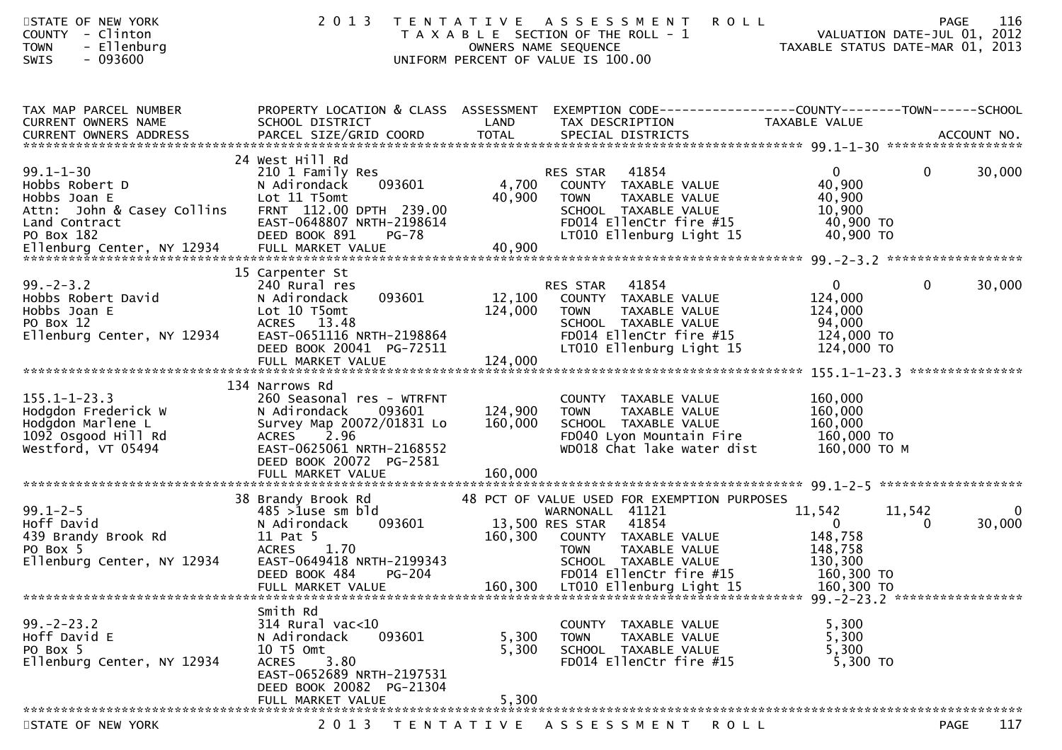| STATE OF NEW YORK<br>COUNTY - Clinton<br>- Ellenburg<br><b>TOWN</b><br><b>SWIS</b><br>- 093600                 | 2 0 1 3                                                                                                                                                                   |                              | <b>ROLL</b><br>TENTATIVE ASSESSMENT<br>T A X A B L E SECTION OF THE ROLL - 1<br>OWNERS NAME SEQUENCE<br>UNIFORM PERCENT OF VALUE IS 100.00                                                            | <b>PAGE</b><br>VALUATION DATE-JUL 01, 2012<br>VALUATION DATE-JUL 01, 2012<br>TAXABLE STATUS DATE-MAR 01, 2013 | 116                |
|----------------------------------------------------------------------------------------------------------------|---------------------------------------------------------------------------------------------------------------------------------------------------------------------------|------------------------------|-------------------------------------------------------------------------------------------------------------------------------------------------------------------------------------------------------|---------------------------------------------------------------------------------------------------------------|--------------------|
| TAX MAP PARCEL NUMBER<br>CURRENT OWNERS NAME<br>CURRENT OWNERS ADDRESS                                         | SCHOOL DISTRICT                                                                                                                                                           | LAND                         | PROPERTY LOCATION & CLASS ASSESSMENT EXEMPTION CODE----------------COUNTY-------TOWN------SCHOOL<br>TAX DESCRIPTION                                                                                   | TAXABLE VALUE                                                                                                 |                    |
| $99.1 - 1 - 30$<br>Hobbs Robert D<br>Hobbs Joan E<br>Attn: John & Casey Collins<br>Land Contract<br>PO Box 182 | 24 West Hill Rd<br>210 1 Family Res<br>093601<br>N Adirondack<br>Lot 11 T5omt<br>FRNT 112.00 DPTH 239.00<br>EAST-0648807 NRTH-2198614<br>DEED BOOK 891<br><b>PG-78</b>    | 4,700<br>40,900              | 41854<br>RES STAR<br>COUNTY TAXABLE VALUE<br>TAXABLE VALUE<br><b>TOWN</b><br>SCHOOL TAXABLE VALUE<br>FD014 EllenCtr fire #15<br>LT010 Ellenburg Light 15                                              | $\mathbf{0}$<br>$\mathbf{0}$<br>40,900<br>40,900<br>10,900<br>40,900 TO<br>40,900 TO                          | 30,000             |
| $99. - 2 - 3.2$<br>Hobbs Robert David<br>Hobbs Joan E<br>PO Box 12<br>Ellenburg Center, NY 12934               | 15 Carpenter St<br>240 Rural res<br>093601<br>N Adirondack<br>Lot 10 T5omt<br>ACRES 13.48<br>EAST-0651116 NRTH-2198864<br>DEED BOOK 20041 PG-72511<br>FULL MARKET VALUE   | 12,100<br>124,000<br>124,000 | 41854<br>RES STAR<br>COUNTY TAXABLE VALUE<br>TAXABLE VALUE<br><b>TOWN</b><br>SCHOOL TAXABLE VALUE<br>FD014 EllenCtr fire #15<br>LT010 Ellenburg Light 15                                              | $\mathbf{0}$<br>$\mathbf 0$<br>124,000<br>124,000<br>94,000<br>124,000 TO<br>124,000 TO                       | 30,000             |
| $155.1 - 1 - 23.3$<br>Hodgdon Frederick W<br>Hodgdon Marlene L<br>1092 Osgood Hill Rd<br>Westford, VT 05494    | 134 Narrows Rd<br>260 Seasonal res - WTRFNT<br>N Adirondack<br>093601<br>Survey Map 20072/01831 Lo<br>ACRES 2.96<br>EAST-0625061 NRTH-2168552<br>DEED BOOK 20072 PG-2581  | 124,900<br>160,000           | COUNTY TAXABLE VALUE<br>TAXABLE VALUE<br><b>TOWN</b><br>SCHOOL TAXABLE VALUE<br>FD040 Lyon Mountain Fire<br>WD018 Chat lake water dist                                                                | 160,000<br>160,000<br>160,000<br>160,000 TO<br>160,000 ТО М                                                   |                    |
| $99.1 - 2 - 5$<br>Hoff David<br>439 Brandy Brook Rd<br>PO Box 5<br>Ellenburg Center, NY 12934                  | 38 Brandy Brook Rd<br>$485$ >1use sm bld<br>093601<br>N Adirondack<br>11 Pat 5<br>1.70<br><b>ACRES</b><br>EAST-0649418 NRTH-2199343<br>PG-204<br>DEED BOOK 484            | 160,300                      | 48 PCT OF VALUE USED FOR EXEMPTION PURPOSES<br>WARNONALL 41121<br>13,500 RES STAR<br>41854<br>COUNTY TAXABLE VALUE<br>TAXABLE VALUE<br><b>TOWN</b><br>SCHOOL TAXABLE VALUE<br>FD014 EllenCtr fire #15 | 11,542<br>11,542<br>$\overline{0}$<br>0<br>148,758<br>148,758<br>130,300<br>160,300 TO                        | $\bf{0}$<br>30,000 |
| $99. - 2 - 23.2$<br>Hoff David E<br>PO Box 5<br>Ellenburg Center, NY 12934                                     | Smith Rd<br>314 Rural vac<10<br>093601<br>N Adirondack<br>10 T5 Omt<br>3.80<br><b>ACRES</b><br>EAST-0652689 NRTH-2197531<br>DEED BOOK 20082 PG-21304<br>FULL MARKET VALUE | 5,300<br>5,300<br>5,300      | COUNTY TAXABLE VALUE<br>TAXABLE VALUE<br><b>TOWN</b><br>SCHOOL TAXABLE VALUE<br>FD014 EllenCtr fire #15                                                                                               | 5,300<br>5,300<br>5,300<br>5,300 TO                                                                           |                    |
| STATE OF NEW YORK                                                                                              | 2 0 1 3                                                                                                                                                                   |                              | TENTATIVE ASSESSMENT<br>ROLL                                                                                                                                                                          | <b>PAGE</b>                                                                                                   | 117                |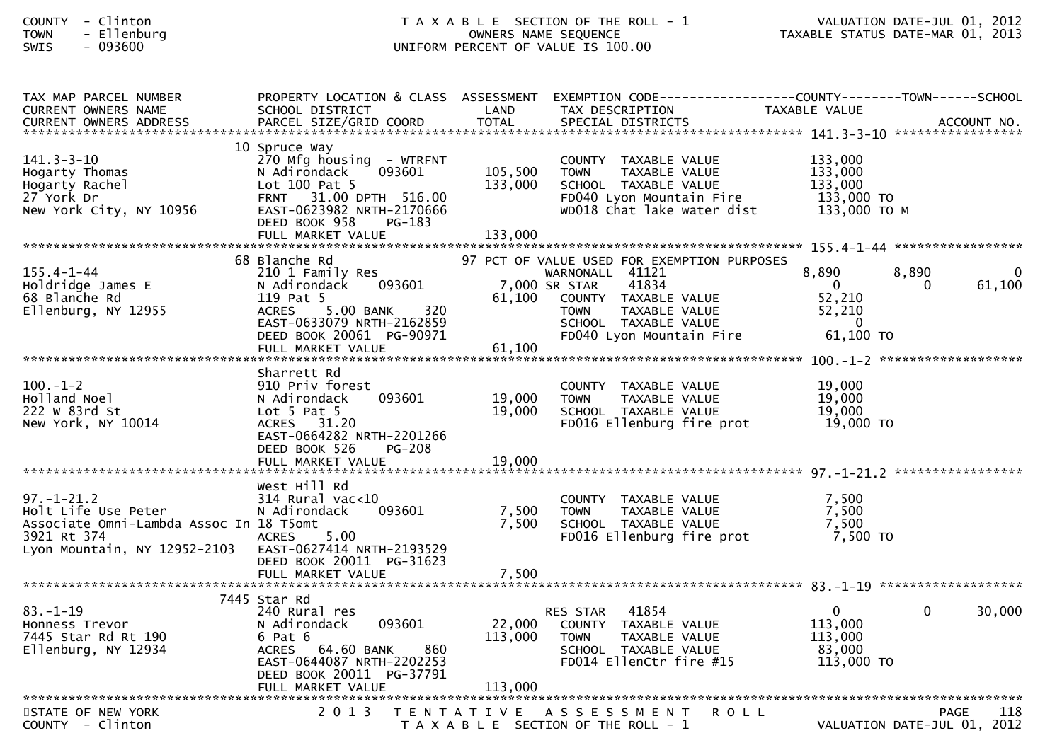| COUNTY - Clinton<br>TOWN<br>- Ellenburg<br>$-093600$<br>SWIS                                                                                                                                         |                                                                                                                                                                                                                          |                               | T A X A B L E SECTION OF THE ROLL - 1 VALUATION DATE-JUL 01, 2012<br>OWNERS NAME SEQUENCE TAXABLE STATUS DATE-MAR 01, 2013<br>UNIFORM PERCENT OF VALUE IS 100.00                                     |                                                                                   |                                            |
|------------------------------------------------------------------------------------------------------------------------------------------------------------------------------------------------------|--------------------------------------------------------------------------------------------------------------------------------------------------------------------------------------------------------------------------|-------------------------------|------------------------------------------------------------------------------------------------------------------------------------------------------------------------------------------------------|-----------------------------------------------------------------------------------|--------------------------------------------|
| TAX MAP PARCEL NUMBER<br>CURRENT OWNERS NAME                                                                                                                                                         | SCHOOL DISTRICT                                                                                                                                                                                                          | LAND                          | PROPERTY LOCATION & CLASS ASSESSMENT EXEMPTION CODE---------------COUNTY-------TOWN------SCHOOL<br>TAX DESCRIPTION                                                                                   | TAXABLE VALUE                                                                     |                                            |
| 141.3-3-10<br>Hogarty Thomas<br>Hogarty Rachel<br>27 <sup>-</sup> York Dr<br>New York City, NY 10956                                                                                                 | 10 Spruce Way<br>270 Mfg housing - WTRFNT<br>N Adirondack 093601<br>N Adirondack 093601<br>Lot 100 Pat 5<br>FRNT 31.00 DPTH 516.00<br>IY 10956 EAST-0623982 NPTH 2170666<br>DEED BOOK 958<br>PG-183<br>FULL MARKET VALUE | 105,500<br>133,000<br>133,000 | COUNTY TAXABLE VALUE<br><b>TOWN</b><br>TAXABLE VALUE<br>SCHOOL TAXABLE VALUE<br>FD040 Lyon Mountain Fire 133,000 TO<br>WD018 Chat lake water dist                                                    | 133,000<br>133,000<br>133,000<br>133,000 ТО М                                     |                                            |
| 155.4-1-44<br>Holdridge James E<br>68 Blanche Rd<br>68 Blanche Rd<br>Ellenburg, NY 12955                                                                                                             | 210 1 Family Res<br>Januare Rd<br>210 1 Family Res<br>N Adirondack<br>119 Pat <sup>E</sup><br>093601<br>5.00 BANK<br>320<br>ACRES<br>EAST-0633079 NRTH-2162859<br>DEED BOOK 20061 PG-90971<br>FULL MARKET VALUE          | 61,100                        | 97 PCT OF VALUE USED FOR EXEMPTION PURPOSES<br>WARNONALL 41121<br>7,000 SR STAR<br>41834<br>61,100 COUNTY TAXABLE VALUE<br>TAXABLE VALUE<br>TOWN<br>SCHOOL TAXABLE VALUE<br>FD040 Lyon Mountain Fire | 8,890<br>$\mathbf{0}$<br>52,210<br>52,210<br>$\overline{\mathbf{0}}$<br>61,100 TO | 8,890<br>$\mathbf 0$<br>61,100<br>$\Omega$ |
| 100.-1-2<br>Holland Noel<br>222 W 83rd St<br>New York, NY 10014                                                                                                                                      | Sharrett Rd<br>910 Priv forest<br>N Adirondack<br>Lot 5 Pat 5<br>093601<br>ACRES 31.20<br>EAST-0664282 NRTH-2201266<br>DEED BOOK 526<br><b>PG-208</b>                                                                    | 19,000<br>19,000              | COUNTY TAXABLE VALUE<br>TAXABLE VALUE<br><b>TOWN</b><br>SCHOOL _ TAXABLE VALUE<br>FD016 Ellenburg fire prot                                                                                          | 19,000<br>19,000<br>19,000<br>19,000 TO                                           |                                            |
| 97.-1-21.2<br>Holt Life Use Peter<br>Assassi<br>Associate Omni-Lambda Assoc In 18 T5omt<br>3921 Rt 374<br>Lyon Mountain, NY 12952-2103    EAST-0627414                                  NRTH-2193529 | West Hill Rd<br>314 Rural vac<10<br>093601<br>N Adirondack<br>5.00<br><b>ACRES</b><br>DEED BOOK 20011 PG-31623<br>FULL MARKET VALUE                                                                                      | 7,500<br>7,500<br>7,500       | COUNTY TAXABLE VALUE 7,500<br>TOWN TAXABLE VALUE 7,500<br>SCHOOL TAXABLE VALUE 7,500<br>FD016 Ellenburg fire prot                                                                                    | 7,500 то                                                                          |                                            |
| $83. - 1 - 19$<br>Honness Trevor<br>7445 Star Rd Rt 190<br>Ellenburg, NY 12934<br>*************                                                                                                      | 7445 Star Rd<br>240 Rural res<br>093601<br>N Adirondack<br>6 Pat 6<br>ACRES 64.60 BANK<br>860<br>EAST-0644087 NRTH-2202253<br>DEED BOOK 20011 PG-37791<br>FULL MARKET VALUE<br>*******************************           | 22,000<br>113,000<br>113,000  | 41854<br>RES STAR<br>COUNTY TAXABLE VALUE<br>TAXABLE VALUE<br><b>TOWN</b><br>SCHOOL TAXABLE VALUE<br>FD014 EllenCtr fire #15                                                                         | $\mathbf{0}$<br>113,000<br>113,000<br>83,000<br>113,000 TO                        | $\mathbf 0$<br>30,000                      |

118 STATE OF NEW YORK 2 0 1 3 T E N T A T I V E A S S E S S M E N T R O L L PAGE <sup>118</sup>VALUATION DATE-JUL 01, 2012 T A X A B L E SECTION OF THE ROLL - 1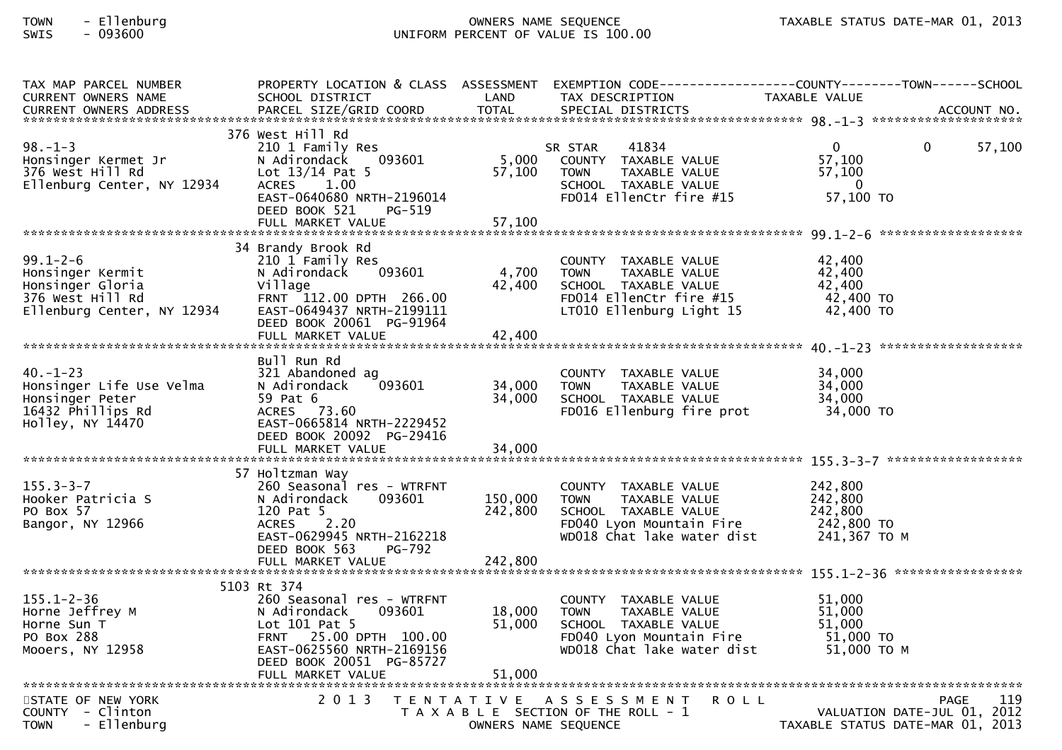# TOWN - Ellenburg OWNERS NAME SEQUENCE TAXABLE STATUS DATE-MAR 01, 2013SWIS - 093600 UNIFORM PERCENT OF VALUE IS 100.00

| TAX MAP PARCEL NUMBER<br><b>CURRENT OWNERS NAME</b><br><b>CURRENT OWNERS ADDRESS</b>                     | SCHOOL DISTRICT<br>PARCEL SIZE/GRID COORD                                                                                                                                                   | LAND<br><b>TOTAL</b>       | TAX DESCRIPTION<br>SPECIAL DISTRICTS                                                                                                   | PROPERTY LOCATION & CLASS ASSESSMENT EXEMPTION CODE----------------COUNTY-------TOWN------SCHOOL<br>TAXABLE VALUE<br>ACCOUNT NO. |
|----------------------------------------------------------------------------------------------------------|---------------------------------------------------------------------------------------------------------------------------------------------------------------------------------------------|----------------------------|----------------------------------------------------------------------------------------------------------------------------------------|----------------------------------------------------------------------------------------------------------------------------------|
| $98. - 1 - 3$<br>Honsinger Kermet Jr<br>376 West Hill Rd<br>Ellenburg Center, NY 12934                   | 376 West Hill Rd<br>210 1 Family Res<br>093601<br>N Adirondack<br>Lot $13/14$ Pat 5<br>1.00<br><b>ACRES</b><br>EAST-0640680 NRTH-2196014<br>DEED BOOK 521<br>PG-519<br>FULL MARKET VALUE    | 5,000<br>57,100<br>57,100  | 41834<br>SR STAR<br>COUNTY TAXABLE VALUE<br><b>TOWN</b><br>TAXABLE VALUE<br>SCHOOL TAXABLE VALUE<br>FD014 EllenCtr fire #15            | $\mathbf{0}$<br>$\Omega$<br>57,100<br>57,100<br>57,100<br>$\overline{\phantom{0}}$<br>57,100 TO                                  |
| $99.1 - 2 - 6$<br>Honsinger Kermit<br>Honsinger Gloria<br>376 West Hill Rd<br>Ellenburg Center, NY 12934 | 34 Brandy Brook Rd<br>210 1 Family Res<br>N Adirondack<br>093601<br>Village<br>FRNT 112.00 DPTH 266.00<br>EAST-0649437 NRTH-2199111<br>DEED BOOK 20061 PG-91964                             | 4,700<br>42,400            | COUNTY TAXABLE VALUE<br><b>TOWN</b><br>TAXABLE VALUE<br>SCHOOL TAXABLE VALUE<br>FD014 EllenCtr fire #15<br>LT010 Ellenburg Light 15    | 42,400<br>42.400<br>42,400<br>42,400 TO<br>42,400 TO                                                                             |
| $40. - 1 - 23$<br>Honsinger Life Use Velma<br>Honsinger Peter<br>16432 Phillips Rd<br>Holley, NY 14470   | Bull Run Rd<br>321 Abandoned ag<br>093601<br>N Adirondack<br>59 Pat 6<br>ACRES 73.60<br>EAST-0665814 NRTH-2229452<br>DEED BOOK 20092 PG-29416<br>FULL MARKET VALUE                          | 34,000<br>34,000<br>34,000 | COUNTY TAXABLE VALUE<br>TAXABLE VALUE<br><b>TOWN</b><br>SCHOOL TAXABLE VALUE<br>FD016 Ellenburg fire prot                              | 34,000<br>34,000<br>34,000<br>34,000 TO                                                                                          |
| $155.3 - 3 - 7$<br>Hooker Patricia S<br>PO Box 57<br>Bangor, NY 12966                                    | 57 Holtzman Way<br>260 Seasonal res - WTRFNT<br>093601<br>N Adirondack<br>120 Pat 5<br>2.20<br><b>ACRES</b><br>EAST-0629945 NRTH-2162218<br>DEED BOOK 563<br>PG-792                         | 150,000<br>242,800         | COUNTY TAXABLE VALUE<br>TAXABLE VALUE<br><b>TOWN</b><br>SCHOOL TAXABLE VALUE<br>FD040 Lyon Mountain Fire<br>WD018 Chat lake water dist | 242,800<br>242,800<br>242,800<br>242,800 TO<br>241,367 ТО М                                                                      |
| $155.1 - 2 - 36$<br>Horne Jeffrey M<br>Horne Sun T<br>PO Box 288<br>Mooers, NY 12958                     | 5103 Rt 374<br>260 Seasonal res - WTRFNT<br>N Adirondack<br>093601<br>Lot 101 Pat 5<br>FRNT 25.00 DPTH 100.00<br>EAST-0625560 NRTH-2169156<br>DEED BOOK 20051 PG-85727<br>FULL MARKET VALUE | 18,000<br>51,000<br>51,000 | COUNTY TAXABLE VALUE<br><b>TOWN</b><br>TAXABLE VALUE<br>SCHOOL TAXABLE VALUE<br>FD040 Lyon Mountain Fire<br>WD018 Chat lake water dist | 51,000<br>51,000<br>51,000<br>51,000 TO<br>51,000 TO M                                                                           |
| STATE OF NEW YORK<br>COUNTY - Clinton<br>- Ellenburg<br><b>TOWN</b>                                      | 2 0 1 3                                                                                                                                                                                     | OWNERS NAME SEQUENCE       | TENTATIVE ASSESSMENT<br><b>ROLL</b><br>T A X A B L E SECTION OF THE ROLL - 1                                                           | 119<br><b>PAGE</b><br>VALUATION DATE-JUL 01, 2012<br>TAXABLE STATUS DATE-MAR 01, 2013                                            |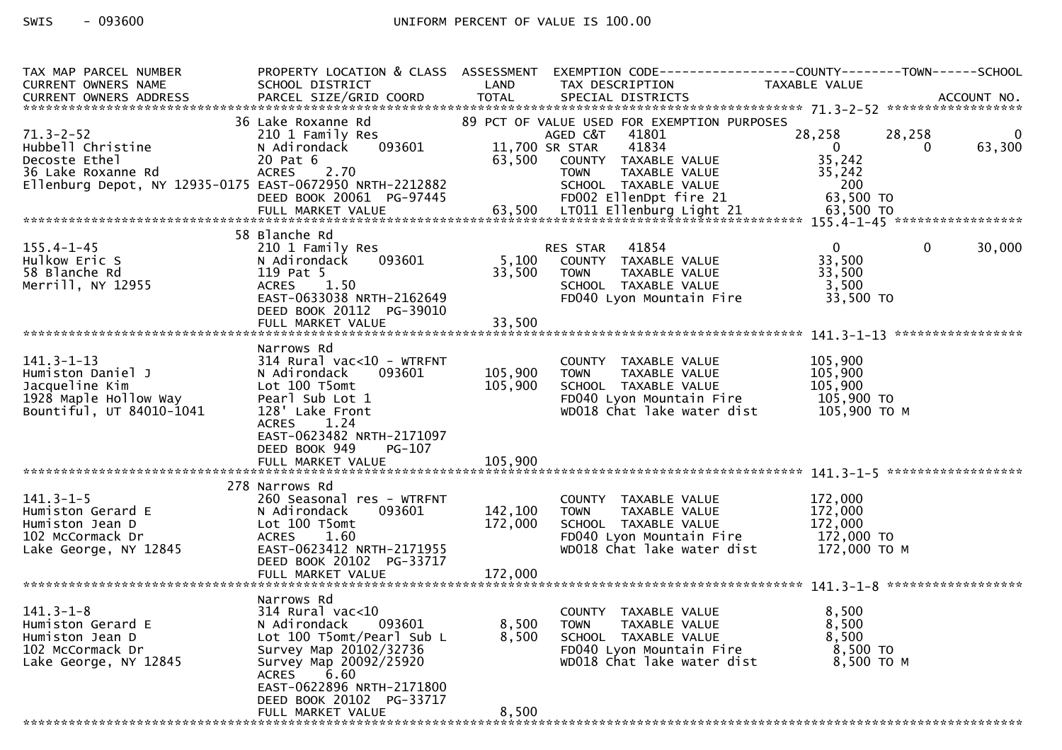| TAX MAP PARCEL NUMBER<br>CURRENT OWNERS NAME             | SCHOOL DISTRICT                                     | LAND                     | PROPERTY LOCATION & CLASS ASSESSMENT EXEMPTION CODE----------------COUNTY-------TOWN------SCHOOL<br>TAX DESCRIPTION | TAXABLE VALUE              |              |        |
|----------------------------------------------------------|-----------------------------------------------------|--------------------------|---------------------------------------------------------------------------------------------------------------------|----------------------------|--------------|--------|
|                                                          |                                                     |                          |                                                                                                                     |                            |              |        |
|                                                          | 36 Lake Roxanne Rd                                  |                          | 89 PCT OF VALUE USED FOR EXEMPTION PURPOSES                                                                         |                            |              |        |
| $71.3 - 2 - 52$                                          | 210 1 Family Res                                    |                          | AGED C&T<br>41801                                                                                                   | 28,258                     | 28,258       | 0      |
| Hubbell Christine<br>Decoste Ethel                       | 093601<br>N Adirondack<br>20 Pat 6                  | 11,700 SR STAR<br>63,500 | 41834<br>COUNTY TAXABLE VALUE                                                                                       | $\overline{0}$<br>35,242   | $\Omega$     | 63,300 |
| 36 Lake Roxanne Rd                                       | <b>ACRES</b><br>2.70                                |                          | <b>TOWN</b><br>TAXABLE VALUE                                                                                        | 35,242                     |              |        |
| Ellenburg Depot, NY 12935-0175 EAST-0672950 NRTH-2212882 | DEED BOOK 20061 PG-97445                            |                          | SCHOOL TAXABLE VALUE<br>FD002 EllenDpt fire 21                                                                      | 200<br>63,500 TO           |              |        |
|                                                          |                                                     |                          |                                                                                                                     |                            |              |        |
|                                                          | 58 Blanche Rd                                       |                          |                                                                                                                     |                            |              |        |
| $155.4 - 1 - 45$                                         | 210 1 Family Res                                    |                          | 41854<br><b>RES STAR</b>                                                                                            | $\overline{0}$             | $\mathbf{0}$ | 30,000 |
| Hulkow Eric S                                            | 093601<br>N Adirondack                              | 5,100                    | COUNTY TAXABLE VALUE                                                                                                | 33,500                     |              |        |
| 58 Blanche Rd<br>Merrill, NY 12955                       | 119 Pat 5<br><b>ACRES</b><br>1.50                   | 33,500                   | TAXABLE VALUE<br><b>TOWN</b><br>SCHOOL TAXABLE VALUE                                                                | 33,500<br>3,500            |              |        |
|                                                          | EAST-0633038 NRTH-2162649                           |                          | FD040 Lyon Mountain Fire                                                                                            | 33,500 TO                  |              |        |
|                                                          | DEED BOOK 20112 PG-39010                            |                          |                                                                                                                     |                            |              |        |
|                                                          |                                                     |                          |                                                                                                                     |                            |              |        |
|                                                          | Narrows Rd                                          |                          |                                                                                                                     |                            |              |        |
| $141.3 - 1 - 13$<br>Humiston Daniel J                    | 314 Rural vac<10 - WTRFNT<br>N Adirondack<br>093601 | 105,900                  | COUNTY TAXABLE VALUE<br><b>TOWN</b><br>TAXABLE VALUE                                                                | 105,900<br>105,900         |              |        |
| Jacqueline Kim                                           | Lot 100 T5omt                                       | 105,900                  | SCHOOL TAXABLE VALUE                                                                                                | 105,900                    |              |        |
| 1928 Maple Hollow Way<br>Bountiful, UT 84010-1041        | Pearl Sub Lot 1<br>128' Lake Front                  |                          | FD040 Lyon Mountain Fire<br>WD018 Chat lake water dist                                                              | 105,900 TO<br>105,900 ТО М |              |        |
|                                                          | <b>ACRES</b><br>1.24                                |                          |                                                                                                                     |                            |              |        |
|                                                          | EAST-0623482 NRTH-2171097                           |                          |                                                                                                                     |                            |              |        |
|                                                          | DEED BOOK 949<br>PG-107<br>FULL MARKET VALUE        | 105,900                  |                                                                                                                     |                            |              |        |
|                                                          |                                                     |                          |                                                                                                                     |                            |              |        |
| $141.3 - 1 - 5$                                          | 278 Narrows Rd<br>260 Seasonal res - WTRFNT         |                          | COUNTY TAXABLE VALUE                                                                                                | 172,000                    |              |        |
| Humiston Gerard E                                        | 093601<br>N Adirondack                              | 142,100                  | TAXABLE VALUE<br><b>TOWN</b>                                                                                        | 172,000                    |              |        |
| Humiston Jean D                                          | Lot 100 T5omt                                       | 172,000                  | SCHOOL TAXABLE VALUE                                                                                                | 172,000                    |              |        |
| 102 McCormack Dr<br>Lake George, NY 12845                | 1.60<br><b>ACRES</b><br>EAST-0623412 NRTH-2171955   |                          | FD040 Lyon Mountain Fire<br>WD018 Chat lake water dist                                                              | 172,000 TO<br>172,000 TO M |              |        |
|                                                          | DEED BOOK 20102 PG-33717                            |                          |                                                                                                                     |                            |              |        |
|                                                          | FULL MARKET VALUE                                   | 172,000                  |                                                                                                                     |                            |              |        |
|                                                          | Narrows Rd                                          |                          |                                                                                                                     |                            |              |        |
| $141.3 - 1 - 8$<br>Humiston Gerard E                     | $314$ Rural vac< $10$<br>N Adirondack<br>093601     | 8,500                    | COUNTY TAXABLE VALUE<br>TAXABLE VALUE<br><b>TOWN</b>                                                                | 8,500<br>8,500             |              |        |
| Humiston Jean D                                          | Lot 100 T5omt/Pearl Sub L                           | 8,500                    | SCHOOL TAXABLE VALUE                                                                                                | 8,500                      |              |        |
| 102 McCormack Dr                                         | Survey Map 20102/32736                              |                          | FD040 Lyon Mountain Fire                                                                                            | 8,500 TO                   |              |        |
| Lake George, NY 12845                                    | Survey Map 20092/25920<br>6.60<br><b>ACRES</b>      |                          | WD018 Chat lake water dist                                                                                          | 8,500 ТО М                 |              |        |
|                                                          | EAST-0622896 NRTH-2171800                           |                          |                                                                                                                     |                            |              |        |
|                                                          | DEED BOOK 20102 PG-33717<br>FULL MARKET VALUE       | 8,500                    |                                                                                                                     |                            |              |        |
|                                                          |                                                     |                          |                                                                                                                     |                            |              |        |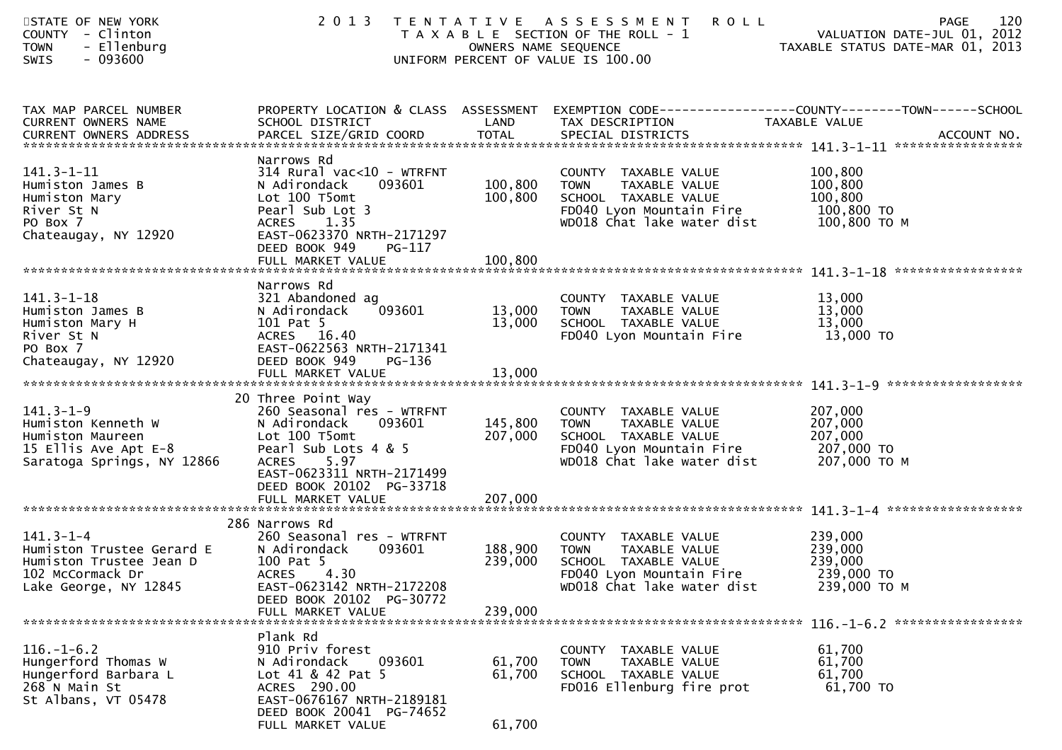| STATE OF NEW YORK<br>COUNTY - Clinton<br>- Ellenburg<br><b>TOWN</b><br>SWIS<br>$-093600$                             | 2 0 1 3                                                                                                                                                                                                                  | OWNERS NAME SEQUENCE          | <b>ROLL</b><br>TENTATIVE ASSESSMENT<br>T A X A B L E SECTION OF THE ROLL - 1<br>UNIFORM PERCENT OF VALUE IS 100.00              | 120<br>PAGE<br>VALUATION DATE-JUL 01, 2012<br>TAXABLE STATUS DATE-MAR 01, 2013                                    |
|----------------------------------------------------------------------------------------------------------------------|--------------------------------------------------------------------------------------------------------------------------------------------------------------------------------------------------------------------------|-------------------------------|---------------------------------------------------------------------------------------------------------------------------------|-------------------------------------------------------------------------------------------------------------------|
| TAX MAP PARCEL NUMBER<br>CURRENT OWNERS NAME<br>CURRENT OWNERS ADDRESS                                               | SCHOOL DISTRICT                                                                                                                                                                                                          | LAND                          | TAX DESCRIPTION                                                                                                                 | PROPERTY LOCATION & CLASS ASSESSMENT EXEMPTION CODE----------------COUNTY-------TOWN------SCHOOL<br>TAXABLE VALUE |
| $141.3 - 1 - 11$<br>Humiston James B<br>Humiston Mary<br>River St N<br>PO Box 7<br>Chateaugay, NY 12920              | Narrows Rd<br>$314$ Rural vac<10 - WTRFNT<br>093601<br>N Adirondack<br>Lot 100 T5omt<br>Pearl Sub Lot 3<br>ACRES 1.35<br>EAST-0623370 NRTH-2171297<br>DEED BOOK 949<br>PG-117<br>FULL MARKET VALUE                       | 100,800<br>100,800<br>100,800 | COUNTY TAXABLE VALUE<br>TAXABLE VALUE<br>TOWN<br>SCHOOL TAXABLE VALUE                                                           | $100, 800$<br>$100, 800$<br>100,800<br>100,800 то м                                                               |
|                                                                                                                      |                                                                                                                                                                                                                          |                               |                                                                                                                                 |                                                                                                                   |
| $141.3 - 1 - 18$<br>Humiston James B<br>Humiston Mary H<br>River St N<br>PO Box 7<br>Chateaugay, NY 12920            | Narrows Rd<br>321 Abandoned ag<br>093601<br>N Adirondack<br>101 Pat 5<br>ACRES 16.40<br>EAST-0622563 NRTH-2171341<br>DEED BOOK 949<br>PG-136                                                                             | 13,000<br>13,000              | COUNTY TAXABLE VALUE<br><b>TOWN</b><br>TAXABLE VALUE<br>SCHOOL TAXABLE VALUE<br>FD040 Lyon Mountain Fire                        | 13,000<br>13,000<br>13,000<br>$13,000$ TO                                                                         |
|                                                                                                                      | FULL MARKET VALUE                                                                                                                                                                                                        | 13,000                        |                                                                                                                                 |                                                                                                                   |
| $141.3 - 1 - 9$<br>Humiston Kenneth W<br>Humiston Maureen<br>15 Ellis Ave Apt E-8<br>Saratoga Springs, NY 12866      | 20 Three Point Way<br>260 Seasonal res - WTRFNT<br>N Adirondack<br>093601<br>Lot 100 T5omt<br>Pearl Sub Lots 4 & 5<br><b>ACRES</b><br>5.97<br>EAST-0623311 NRTH-2171499<br>DEED BOOK 20102 PG-33718<br>FULL MARKET VALUE | 145,800<br>207,000<br>207,000 | COUNTY TAXABLE VALUE<br>TOWN<br>TAXABLE VALUE<br>SCHOOL TAXABLE VALUE<br>FD040 Lyon Mountain Fire<br>WD018 Chat lake water dist | 207,000<br>207,000<br>207,000<br>207,000 TO<br>207,000 ТО М                                                       |
|                                                                                                                      |                                                                                                                                                                                                                          |                               |                                                                                                                                 |                                                                                                                   |
| $141.3 - 1 - 4$<br>Humiston Trustee Gerard E<br>Humiston Trustee Jean D<br>102 McCormack Dr<br>Lake George, NY 12845 | 286 Narrows Rd<br>260 Seasonal res - WTRFNT<br>N Adirondack<br>093601<br>100 Pat 5<br>4.30<br><b>ACRES</b><br>EAST-0623142 NRTH-2172208<br>DEED BOOK 20102 PG-30772                                                      | 188,900<br>239,000            | COUNTY TAXABLE VALUE<br>TAXABLE VALUE<br>TOWN<br>SCHOOL TAXABLE VALUE<br>FD040 Lyon Mountain Fire<br>WD018 Chat lake water dist | 239,000<br>239,000<br>239,000<br>239,000 TO<br>239,000 ТО М                                                       |
|                                                                                                                      | FULL MARKET VALUE                                                                                                                                                                                                        | 239,000                       |                                                                                                                                 |                                                                                                                   |
| $116. - 1 - 6.2$<br>Hungerford Thomas W<br>Hungerford Barbara L<br>268 N Main St<br>St Albans, VT 05478              | Plank Rd<br>910 Priv forest<br>N Adirondack<br>093601<br>Lot 41 & 42 Pat 5<br>ACRES 290.00<br>EAST-0676167 NRTH-2189181<br>DEED BOOK 20041 PG-74652<br>FULL MARKET VALUE                                                 | 61,700<br>61,700<br>61,700    | COUNTY TAXABLE VALUE<br><b>TOWN</b><br>TAXABLE VALUE<br>SCHOOL TAXABLE VALUE<br>FD016 Ellenburg fire prot                       | 61,700<br>61,700<br>61,700<br>61,700 TO                                                                           |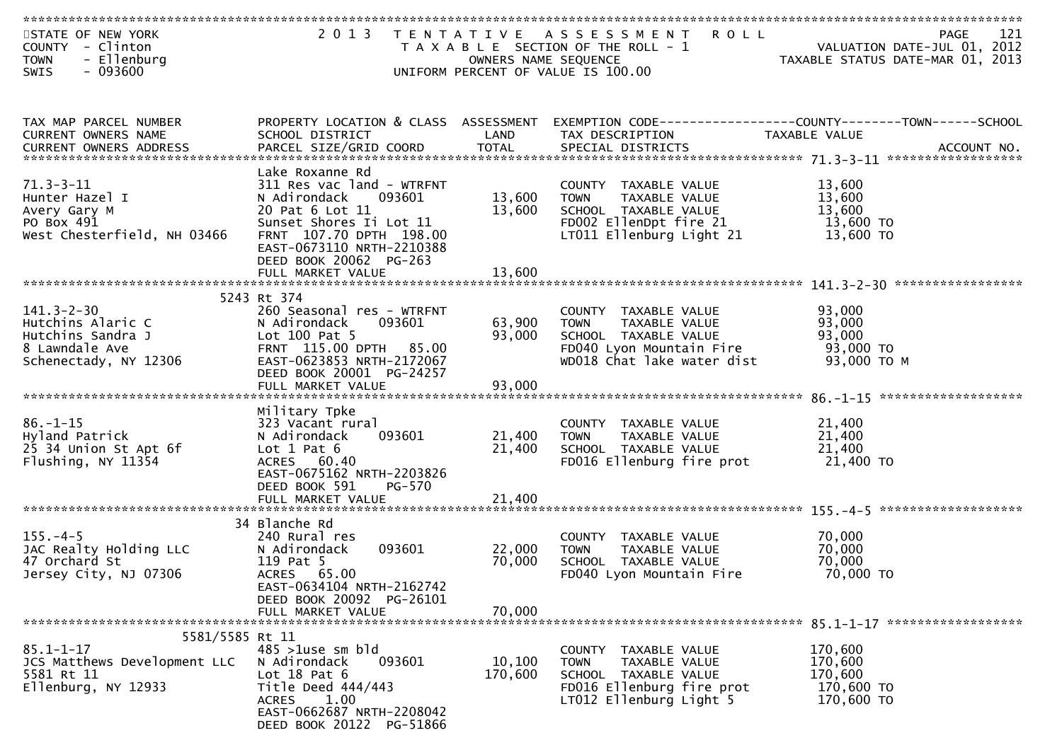| STATE OF NEW YORK<br>COUNTY - Clinton<br>- Ellenburg<br><b>TOWN</b><br>$-093600$<br><b>SWIS</b>                                                           | 2 0 1 3                                             | OWNERS NAME SEQUENCE | TENTATIVE ASSESSMENT ROLL<br>T A X A B L E SECTION OF THE ROLL - 1<br>UNIFORM PERCENT OF VALUE IS 100.00 | PAGE 121<br>VALUATION DATE-JUL 01, 2012<br>TAXARLE STATUS DATE USE 21, 2012 | 121<br>PAGE |
|-----------------------------------------------------------------------------------------------------------------------------------------------------------|-----------------------------------------------------|----------------------|----------------------------------------------------------------------------------------------------------|-----------------------------------------------------------------------------|-------------|
|                                                                                                                                                           |                                                     |                      |                                                                                                          |                                                                             |             |
| TAX MAP PARCEL NUMBER                                                                                                                                     | PROPERTY LOCATION & CLASS ASSESSMENT                |                      |                                                                                                          |                                                                             |             |
| CURRENT OWNERS NAME                                                                                                                                       | SCHOOL DISTRICT                                     | LAND                 | EXEMPTION CODE-----------------COUNTY-------TOWN-----SCHOOL<br>TAX DESCRIPTION                           | TAXABLE VALUE                                                               |             |
| .CURRENT OWNERS ADDRESS PARCEL SIZE/GRID COORD TOTAL SPECIAL DISTRICTS ACCOUNT NO ACCOUNT NO ACCOUNT NO AND ARCEL SIZE/GRID COORD TOTAL SPECIAL DISTRICTS |                                                     |                      |                                                                                                          |                                                                             |             |
| $71.3 - 3 - 11$                                                                                                                                           | Lake Roxanne Rd<br>311 Res vac land - WTRFNT        |                      | COUNTY TAXABLE VALUE                                                                                     | 13,600                                                                      |             |
| Hunter Hazel I                                                                                                                                            | N Adirondack<br>093601                              | 13,600               | <b>TOWN</b><br>TAXABLE VALUE                                                                             | 13,600                                                                      |             |
| Avery Gary M                                                                                                                                              | 20 Pat 6 Lot 11                                     | 13,600               | SCHOOL TAXABLE VALUE                                                                                     | 13,600                                                                      |             |
| PO Box 491<br>West Chesterfield, NH 03466                                                                                                                 | Sunset Shores Ii Lot 11<br>FRNT 107.70 DPTH 198.00  |                      | FD002 EllenDpt fire 21<br>LT011 Ellenburg Light 21                                                       | 13,600 TO<br>13,600 TO                                                      |             |
|                                                                                                                                                           | EAST-0673110 NRTH-2210388                           |                      |                                                                                                          |                                                                             |             |
|                                                                                                                                                           | DEED BOOK 20062 PG-263                              |                      |                                                                                                          |                                                                             |             |
|                                                                                                                                                           |                                                     |                      |                                                                                                          |                                                                             |             |
|                                                                                                                                                           | 5243 Rt 374                                         |                      |                                                                                                          |                                                                             |             |
| $141.3 - 2 - 30$                                                                                                                                          | 260 Seasonal res - WTRFNT                           |                      | COUNTY TAXABLE VALUE                                                                                     | 93,000                                                                      |             |
| Hutchins Alaric C                                                                                                                                         | 093601<br>N Adirondack                              | 63,900               | TAXABLE VALUE<br><b>TOWN</b>                                                                             | 93,000                                                                      |             |
| Hutchins Sandra J                                                                                                                                         | Lot 100 Pat 5                                       | 93,000               | SCHOOL TAXABLE VALUE                                                                                     | 93,000                                                                      |             |
| 8 Lawndale Ave<br>Schenectady, NY 12306                                                                                                                   | FRNT 115.00 DPTH 85.00<br>EAST-0623853 NRTH-2172067 |                      | FD040 Lyon Mountain Fire<br>WD018 Chat lake water dist                                                   | 93,000 TO<br>93,000 TO M                                                    |             |
|                                                                                                                                                           | DEED BOOK 20001 PG-24257                            |                      |                                                                                                          |                                                                             |             |
|                                                                                                                                                           |                                                     |                      |                                                                                                          |                                                                             |             |
|                                                                                                                                                           |                                                     |                      |                                                                                                          |                                                                             |             |
| $86. - 1 - 15$                                                                                                                                            | Military Tpke<br>323 Vacant rural                   |                      | COUNTY TAXABLE VALUE                                                                                     | 21,400                                                                      |             |
| Hyland Patrick                                                                                                                                            | 093601<br>N Adirondack                              | 21,400               | <b>TOWN</b><br>TAXABLE VALUE                                                                             | 21,400                                                                      |             |
| 25 34 Union St Apt 6f                                                                                                                                     | Lot $1$ Pat $6$                                     | 21,400               | SCHOOL TAXABLE VALUE                                                                                     | 21,400                                                                      |             |
| Flushing, NY 11354                                                                                                                                        | ACRES 60.40                                         |                      | FD016 Ellenburg fire prot                                                                                | 21,400 TO                                                                   |             |
|                                                                                                                                                           | EAST-0675162 NRTH-2203826                           |                      |                                                                                                          |                                                                             |             |
|                                                                                                                                                           | DEED BOOK 591<br>PG-570                             |                      |                                                                                                          |                                                                             |             |
|                                                                                                                                                           |                                                     |                      |                                                                                                          |                                                                             |             |
|                                                                                                                                                           | 34 Blanche Rd                                       |                      |                                                                                                          |                                                                             |             |
| $155. - 4 - 5$                                                                                                                                            | 240 Rural res                                       |                      | COUNTY TAXABLE VALUE                                                                                     | 70,000                                                                      |             |
| JAC Realty Holding LLC<br>47 Orchard St                                                                                                                   | 093601<br>N Adirondack<br>119 Pat 5                 | 22,000<br>70,000     | <b>TOWN</b><br>TAXABLE VALUE<br>SCHOOL TAXABLE VALUE                                                     | 70,000<br>70,000                                                            |             |
| Jersey City, NJ 07306                                                                                                                                     | ACRES 65.00                                         |                      | FD040 Lyon Mountain Fire                                                                                 | 70,000 TO                                                                   |             |
|                                                                                                                                                           | EAST-0634104 NRTH-2162742                           |                      |                                                                                                          |                                                                             |             |
|                                                                                                                                                           | DEED BOOK 20092 PG-26101                            |                      |                                                                                                          |                                                                             |             |
|                                                                                                                                                           | FULL MARKET VALUE                                   | 70,000               |                                                                                                          |                                                                             |             |
| 5581/5585 Rt 11                                                                                                                                           |                                                     |                      |                                                                                                          |                                                                             |             |
| $85.1 - 1 - 17$                                                                                                                                           | $485 > 1$ use sm bld                                |                      | COUNTY TAXABLE VALUE                                                                                     | 170,600                                                                     |             |
| JCS Matthews Development LLC                                                                                                                              | N Adirondack<br>093601                              | 10,100               | TAXABLE VALUE<br><b>TOWN</b>                                                                             | 170,600                                                                     |             |
| 5581 Rt 11                                                                                                                                                | Lot $18$ Pat $6$                                    | 170,600              | SCHOOL TAXABLE VALUE                                                                                     | 170,600                                                                     |             |
| Ellenburg, NY 12933                                                                                                                                       | Title Deed 444/443<br>1.00<br><b>ACRES</b>          |                      | FD016 Ellenburg fire prot<br>LT012 Ellenburg Light 5                                                     | 170,600 TO<br>170,600 TO                                                    |             |
|                                                                                                                                                           | EAST-0662687 NRTH-2208042                           |                      |                                                                                                          |                                                                             |             |
|                                                                                                                                                           | DEED BOOK 20122 PG-51866                            |                      |                                                                                                          |                                                                             |             |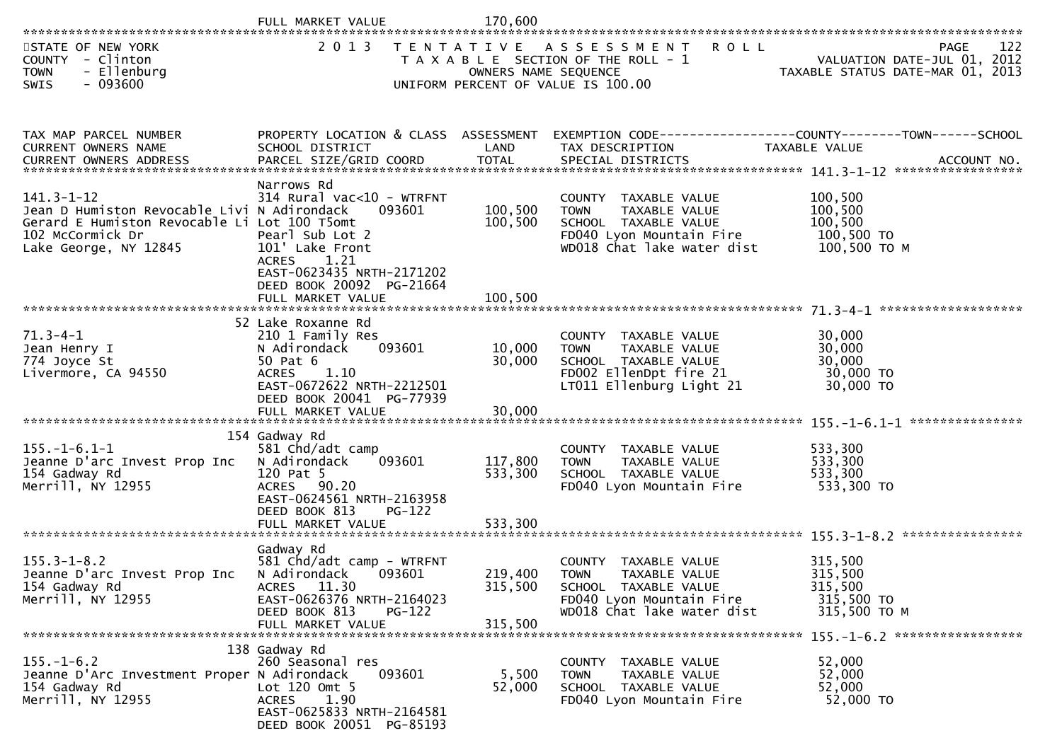|                                                                                                                                                              | FULL MARKET VALUE                                                                                                                                                        | 170,600                       |                                                                                                                                           |                                                                                 |
|--------------------------------------------------------------------------------------------------------------------------------------------------------------|--------------------------------------------------------------------------------------------------------------------------------------------------------------------------|-------------------------------|-------------------------------------------------------------------------------------------------------------------------------------------|---------------------------------------------------------------------------------|
| STATE OF NEW YORK<br>COUNTY - Clinton<br>- Ellenburg<br><b>TOWN</b><br>$-093600$<br><b>SWIS</b>                                                              | 2 0 1 3                                                                                                                                                                  | OWNERS NAME SEQUENCE          | TENTATIVE ASSESSMENT<br><b>ROLL</b><br>T A X A B L E SECTION OF THE ROLL - 1<br>UNIFORM PERCENT OF VALUE IS 100.00                        | 122<br>PAGE<br>VALUATION DATE-JUL 01, 2012<br>TAXABLE STATUS DATE-MAR 01, 2013  |
| TAX MAP PARCEL NUMBER<br>CURRENT OWNERS NAME                                                                                                                 | PROPERTY LOCATION & CLASS ASSESSMENT<br>SCHOOL DISTRICT                                                                                                                  | LAND                          | TAX DESCRIPTION                                                                                                                           | EXEMPTION CODE------------------COUNTY--------TOWN------SCHOOL<br>TAXABLE VALUE |
| $141.3 - 1 - 12$<br>Jean D Humiston Revocable Livi N Adirondack<br>Gerard E Humiston Revocable Li Lot 100 T5omt<br>102 McCormick Dr<br>Lake George, NY 12845 | Narrows Rd<br>314 Rural vac<10 - WTRFNT<br>093601<br>Pearl Sub Lot 2<br>101' Lake Front<br><b>ACRES</b><br>1.21<br>EAST-0623435 NRTH-2171202<br>DEED BOOK 20092 PG-21664 | 100,500<br>100,500            | COUNTY TAXABLE VALUE<br>TAXABLE VALUE<br><b>TOWN</b><br>SCHOOL TAXABLE VALUE<br>FD040 Lyon Mountain Fire<br>WD018 Chat lake water dist    | 100,500<br>100,500<br>100,500<br>100,500 TO<br>100,500 ТО М                     |
| $71.3 - 4 - 1$<br>Jean Henry I<br>774 Joyce St<br>Livermore, CA 94550                                                                                        | 52 Lake Roxanne Rd<br>210 1 Family Res<br>093601<br>N Adirondack<br>50 Pat 6<br><b>ACRES</b><br>1.10<br>EAST-0672622 NRTH-2212501<br>DEED BOOK 20041 PG-77939            | 10,000<br>30,000              | COUNTY TAXABLE VALUE<br>TAXABLE VALUE<br><b>TOWN</b><br>SCHOOL TAXABLE VALUE<br>FD002 EllenDpt fire 21<br>LT011 Ellenburg Light 21        | 30,000<br>30,000<br>30,000<br>30,000 TO<br>30,000 TO                            |
| $155. - 1 - 6.1 - 1$<br>Jeanne D'arc Invest Prop Inc<br>154 Gadway Rd<br>Merrill, NY 12955                                                                   | 154 Gadway Rd<br>581 Chd/adt camp<br>N Adirondack<br>093601<br>120 Pat 5<br>ACRES 90.20<br>EAST-0624561 NRTH-2163958<br>DEED BOOK 813<br>$PG-122$<br>FULL MARKET VALUE   | 117,800<br>533,300<br>533,300 | COUNTY TAXABLE VALUE<br>TAXABLE VALUE<br><b>TOWN</b><br>SCHOOL TAXABLE VALUE<br>FD040 Lyon Mountain Fire                                  | ***************<br>533,300<br>533,300<br>533,300<br>533,300 TO                  |
| $155.3 - 1 - 8.2$<br>Jeanne D'arc Invest Prop Inc<br>154 Gadway Rd<br>Merrill, NY 12955                                                                      | Gadway Rd<br>581 Chd/adt camp - WTRFNT<br>N Adirondack<br>093601<br>ACRES 11.30<br>EAST-0626376 NRTH-2164023<br>DEED BOOK 813<br>$PG-122$<br>FULL MARKET VALUE           | 219,400<br>315,500<br>315,500 | COUNTY<br>TAXABLE VALUE<br><b>TOWN</b><br>TAXABLE VALUE<br>SCHOOL TAXABLE VALUE<br>FD040 Lyon Mountain Fire<br>WD018 Chat lake water dist | 315,500<br>315,500<br>315,500<br>315,500 TO<br>315,500 TO M                     |
| $155. - 1 - 6.2$<br>Jeanne D'Arc Investment Proper N Adirondack<br>154 Gadway Rd<br>Merrill, NY 12955                                                        | 138 Gadway Rd<br>260 Seasonal res<br>093601<br>Lot 120 Omt 5<br>1.90<br><b>ACRES</b><br>EAST-0625833 NRTH-2164581<br>DEED BOOK 20051 PG-85193                            | 5,500<br>52,000               | COUNTY TAXABLE VALUE<br>TAXABLE VALUE<br>TOWN<br>SCHOOL TAXABLE VALUE<br>FD040 Lyon Mountain Fire                                         | 52,000<br>52,000<br>52,000<br>52,000 TO                                         |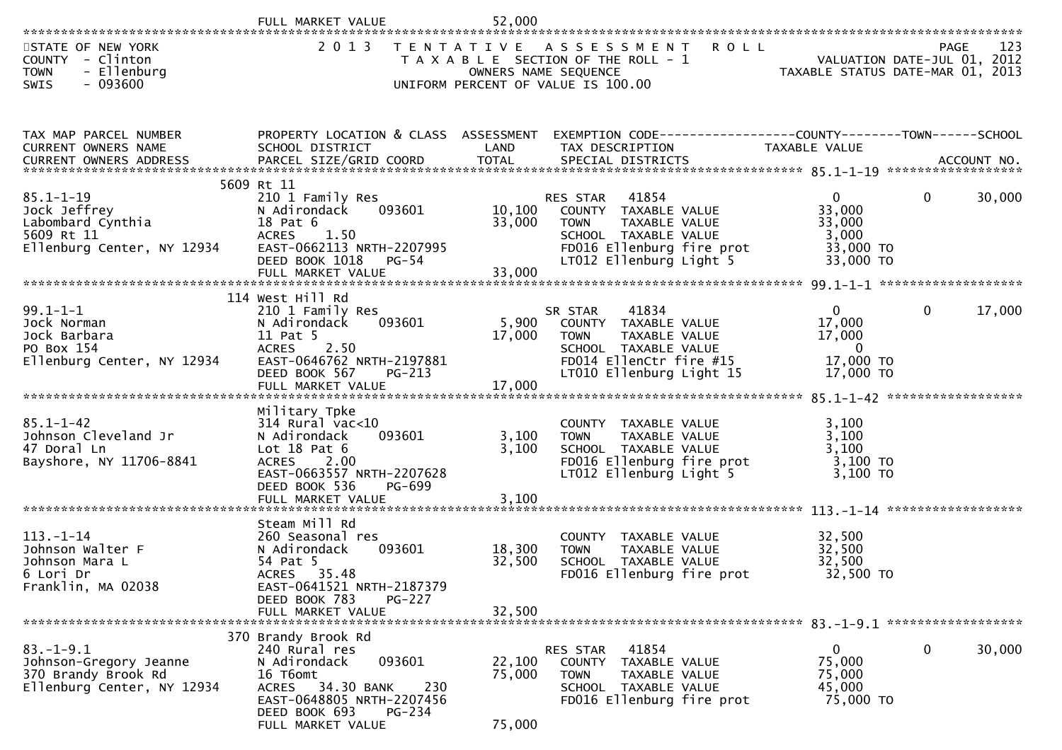|                                                                                                  | FULL MARKET VALUE                                                                                                                                                                  | 52,000                     |                                                                                                                                                           |                                                                          |              |        |
|--------------------------------------------------------------------------------------------------|------------------------------------------------------------------------------------------------------------------------------------------------------------------------------------|----------------------------|-----------------------------------------------------------------------------------------------------------------------------------------------------------|--------------------------------------------------------------------------|--------------|--------|
| STATE OF NEW YORK<br>COUNTY - Clinton<br>- Ellenburg<br><b>TOWN</b><br>$-093600$<br>SWIS         | 2 0 1 3                                                                                                                                                                            |                            | TENTATIVE ASSESSMENT<br><b>ROLL</b><br>T A X A B L E SECTION OF THE ROLL - 1<br>OWNERS NAME SEQUENCE<br>UNIFORM PERCENT OF VALUE IS 100.00                | - 1<br>VALUATION DATE-JUL 01, 2012<br>TAXABLE STATUS DATE-MAR 01, 2013   | PAGE         | 123    |
| TAX MAP PARCEL NUMBER<br>CURRENT OWNERS NAME                                                     | PROPERTY LOCATION & CLASS ASSESSMENT<br>SCHOOL DISTRICT                                                                                                                            | LAND                       | EXEMPTION CODE-----------------COUNTY--------TOWN-----SCHOOL<br>TAX DESCRIPTION                                                                           | TAXABLE VALUE                                                            |              |        |
| $85.1 - 1 - 19$<br>Jock Jeffrey<br>Labombard Cynthia<br>5609 Rt 11<br>Ellenburg Center, NY 12934 | 5609 Rt 11<br>210 1 Family Res<br>N Adirondack<br>093601<br>18 Pat 6<br><b>ACRES</b><br>1.50<br>EAST-0662113 NRTH-2207995<br>DEED BOOK 1018<br>PG-54<br>FULL MARKET VALUE          | 10,100<br>33,000<br>33,000 | RES STAR<br>41854<br>COUNTY TAXABLE VALUE<br><b>TOWN</b><br>TAXABLE VALUE<br>SCHOOL TAXABLE VALUE<br>FD016 Ellenburg fire prot<br>LT012 Ellenburg Light 5 | $\Omega$<br>33,000<br>33,000<br>3,000<br>33,000 TO<br>33,000 TO          | $\mathbf{0}$ | 30,000 |
|                                                                                                  | 114 West Hill Rd                                                                                                                                                                   |                            |                                                                                                                                                           |                                                                          |              |        |
| $99.1 - 1 - 1$<br>Jock Norman<br>Jock Barbara<br>PO Box 154<br>Ellenburg Center, NY 12934        | 210 1 Family Res<br>093601<br>N Adirondack<br>11 Pat 5<br><b>ACRES</b><br>2.50<br>EAST-0646762 NRTH-2197881<br>DEED BOOK 567<br><b>PG-213</b>                                      | 5,900<br>17,000            | 41834<br>SR STAR<br>COUNTY TAXABLE VALUE<br><b>TOWN</b><br>TAXABLE VALUE<br>SCHOOL TAXABLE VALUE<br>FD014 EllenCtr fire #15<br>LT010 Ellenburg Light 15   | $\overline{0}$<br>17,000<br>17,000<br>$\Omega$<br>17,000 TO<br>17,000 TO | $\mathbf{0}$ | 17,000 |
|                                                                                                  |                                                                                                                                                                                    |                            |                                                                                                                                                           |                                                                          |              |        |
| $85.1 - 1 - 42$<br>Johnson Cleveland Jr<br>47 Doral Ln<br>Bayshore, NY 11706-8841                | Military Tpke<br>314 Rural vac<10<br>093601<br>N Adirondack<br>Lot $18$ Pat $6$<br>ACRES 2.00<br>EAST-0663557 NRTH-2207628<br>DEED BOOK 536<br>PG-699<br>FULL MARKET VALUE         | 3,100<br>3,100<br>3,100    | COUNTY TAXABLE VALUE<br><b>TOWN</b><br>TAXABLE VALUE<br>SCHOOL TAXABLE VALUE<br>FD016 Ellenburg fire prot<br>LT012 Ellenburg Light 5                      | 3,100<br>3,100<br>3,100<br>3,100 TO<br>3,100 TO                          |              |        |
|                                                                                                  | Steam Mill Rd                                                                                                                                                                      |                            |                                                                                                                                                           |                                                                          |              |        |
| $113. - 1 - 14$<br>Johnson Walter F<br>Johnson Mara L<br>6 Lori Dr<br>Franklin, MA 02038         | 260 Seasonal res<br>093601<br>N Adirondack<br>54 Pat 5<br>ACRES 35.48<br>EAST-0641521 NRTH-2187379                                                                                 | 18,300<br>32,500           | COUNTY TAXABLE VALUE<br>TAXABLE VALUE<br><b>TOWN</b><br>SCHOOL TAXABLE VALUE<br>FD016 Ellenburg fire prot                                                 | 32,500<br>32,500<br>32,500<br>32,500 TO                                  |              |        |
|                                                                                                  | DEED BOOK 783<br><b>PG-227</b><br>FULL MARKET VALUE                                                                                                                                | 32,500                     |                                                                                                                                                           |                                                                          |              |        |
|                                                                                                  |                                                                                                                                                                                    |                            |                                                                                                                                                           |                                                                          |              |        |
| $83. - 1 - 9.1$<br>Johnson-Gregory Jeanne<br>370 Brandy Brook Rd<br>Ellenburg Center, NY 12934   | 370 Brandy Brook Rd<br>240 Rural res<br>093601<br>N Adirondack<br>16 T6omt<br>ACRES 34.30 BANK<br>230<br>EAST-0648805 NRTH-2207456<br>DEED BOOK 693<br>PG-234<br>FULL MARKET VALUE | 22,100<br>75,000<br>75,000 | 41854<br>RES STAR<br>TAXABLE VALUE<br>COUNTY<br><b>TOWN</b><br>TAXABLE VALUE<br>SCHOOL TAXABLE VALUE<br>FD016 Ellenburg fire prot                         | $\overline{0}$<br>75,000<br>75,000<br>45,000<br>75,000 TO                | 0            | 30,000 |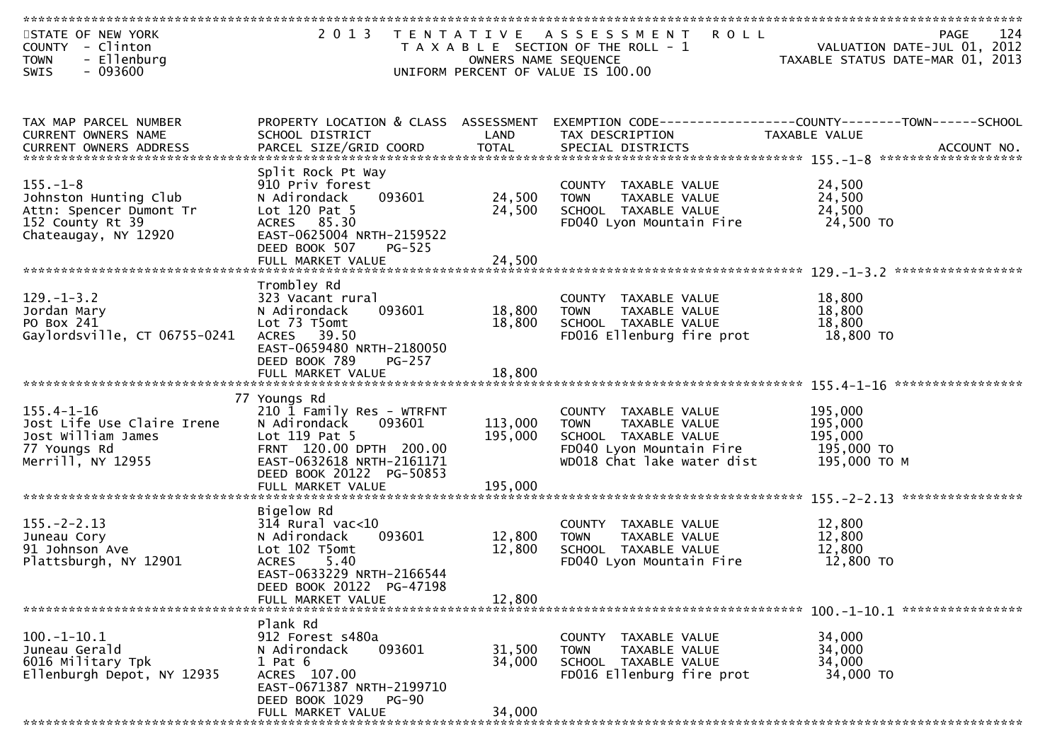| STATE OF NEW YORK<br>- Clinton<br><b>COUNTY</b><br><b>TOWN</b><br>- Ellenburg<br>$-093600$<br><b>SWIS</b>      | 2 0 1 3                                                                                                                                                                                              | T E N T A T I V E<br>OWNERS NAME SEQUENCE | A S S E S S M E N T<br><b>ROLL</b><br>T A X A B L E SECTION OF THE ROLL - 1<br>UNIFORM PERCENT OF VALUE IS 100.00                      | PAGE<br>VALUATION DATE-JUL 01, 2012<br>TAXABLE STATUS DATE-MAR 01, 2013 | 124 |
|----------------------------------------------------------------------------------------------------------------|------------------------------------------------------------------------------------------------------------------------------------------------------------------------------------------------------|-------------------------------------------|----------------------------------------------------------------------------------------------------------------------------------------|-------------------------------------------------------------------------|-----|
| TAX MAP PARCEL NUMBER<br><b>CURRENT OWNERS NAME</b>                                                            | PROPERTY LOCATION & CLASS ASSESSMENT<br>SCHOOL DISTRICT                                                                                                                                              | LAND                                      | EXEMPTION CODE-----------------COUNTY-------TOWN------SCHOOL<br>TAX DESCRIPTION                                                        | TAXABLE VALUE                                                           |     |
| $155. - 1 - 8$<br>Johnston Hunting Club<br>Attn: Spencer Dumont Tr<br>152 County Rt 39<br>Chateaugay, NY 12920 | Split Rock Pt Way<br>910 Priv forest<br>093601<br>N Adirondack<br>Lot 120 Pat 5<br>ACRES 85.30<br>EAST-0625004 NRTH-2159522<br>DEED BOOK 507<br>$PG-525$<br>FULL MARKET VALUE                        | 24,500<br>24,500<br>24,500                | COUNTY TAXABLE VALUE<br><b>TOWN</b><br>TAXABLE VALUE<br>SCHOOL TAXABLE VALUE<br>FD040 Lyon Mountain Fire                               | 24,500<br>24,500<br>24,500<br>24,500 TO                                 |     |
| $129. - 1 - 3.2$<br>Jordan Mary<br>PO Box 241<br>Gaylordsville, CT 06755-0241                                  | Trombley Rd<br>323 Vacant rural<br>N Adirondack<br>093601<br>Lot 73 T5omt<br>39.50<br><b>ACRES</b><br>EAST-0659480 NRTH-2180050<br>DEED BOOK 789<br>PG-257<br>FULL MARKET VALUE                      | 18,800<br>18,800<br>18,800                | COUNTY TAXABLE VALUE<br>TAXABLE VALUE<br><b>TOWN</b><br>SCHOOL TAXABLE VALUE<br>FD016 Ellenburg fire prot                              | 18,800<br>18,800<br>18,800<br>18,800 TO                                 |     |
| $155.4 - 1 - 16$<br>Jost Life Use Claire Irene<br>Jost William James<br>77 Youngs Rd<br>Merrill, NY 12955      | 77 Youngs Rd<br>210 1 Family Res - WTRFNT<br>N Adirondack<br>093601<br>Lot 119 Pat 5<br>FRNT 120.00 DPTH 200.00<br>EAST-0632618 NRTH-2161171<br>DEED BOOK 20122 PG-50853<br>FULL MARKET VALUE        | 113,000<br>195,000<br>195,000             | COUNTY TAXABLE VALUE<br><b>TOWN</b><br>TAXABLE VALUE<br>SCHOOL TAXABLE VALUE<br>FD040 Lyon Mountain Fire<br>WD018 Chat lake water dist | 195,000<br>195,000<br>195,000<br>195,000 TO<br>195,000 ТО М             |     |
| $155. - 2 - 2.13$<br>Juneau Cory<br>91 Johnson Ave<br>Plattsburgh, NY 12901                                    | Bigelow Rd<br>$314$ Rural vac<10<br>N Adirondack<br>093601<br>Lot 102 T5omt<br><b>ACRES</b><br>5.40<br>EAST-0633229 NRTH-2166544<br>DEED BOOK 20122 PG-47198<br>FULL MARKET VALUE                    | 12,800<br>12,800<br>12,800                | COUNTY TAXABLE VALUE<br>TAXABLE VALUE<br><b>TOWN</b><br>SCHOOL TAXABLE VALUE<br>FD040 Lyon Mountain Fire                               | 12,800<br>12,800<br>12,800<br>12,800 TO                                 |     |
| $100. -1 - 10.1$<br>Juneau Gerald<br>6016 Military Tpk<br>Ellenburgh Depot, NY 12935                           | Plank Rd<br>912 Forest s480a<br>N Adirondack<br>093601<br>$1$ Pat $6$<br>ACRES 107.00<br>EAST-0671387 NRTH-2199710<br>DEED BOOK 1029<br>$PG-90$<br>FULL MARKET VALUE<br>**************************** | 31,500<br>34,000<br>34,000                | COUNTY TAXABLE VALUE<br><b>TOWN</b><br>TAXABLE VALUE<br>SCHOOL TAXABLE VALUE<br>FD016 Ellenburg fire prot                              | 34,000<br>34,000<br>34,000<br>34,000 TO                                 |     |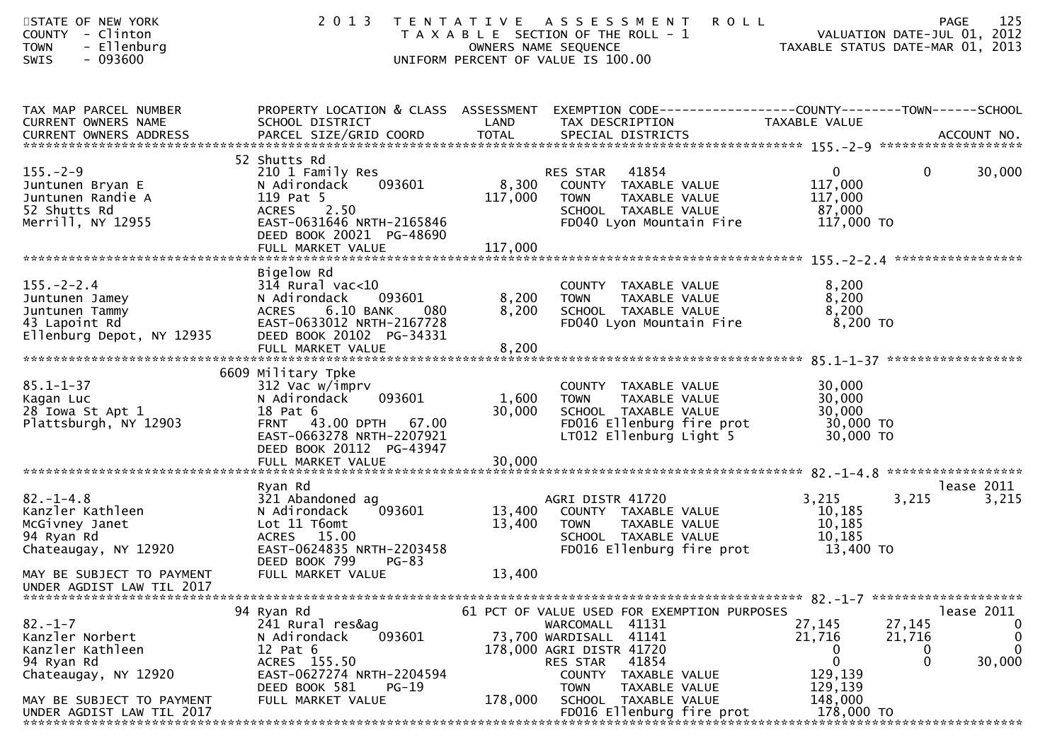| STATE OF NEW YORK<br>COUNTY - Clinton<br>- Ellenburg<br><b>TOWN</b><br>SWIS<br>$-093600$                                                            | 2 0 1 3                                                                                                                                                                            |                           | <b>ROLL</b><br>TENTATIVE ASSESSMENT<br>T A X A B L E SECTION OF THE ROLL - 1<br>OWNERS NAME SEQUENCE<br>UNIFORM PERCENT OF VALUE IS 100.00   | VALUATION DATE-JUL 01, 2012<br>TAXABLE STATUS DATE-MAR 01, 2013               | 125<br>PAGE                         |
|-----------------------------------------------------------------------------------------------------------------------------------------------------|------------------------------------------------------------------------------------------------------------------------------------------------------------------------------------|---------------------------|----------------------------------------------------------------------------------------------------------------------------------------------|-------------------------------------------------------------------------------|-------------------------------------|
| TAX MAP PARCEL NUMBER<br>CURRENT OWNERS NAME                                                                                                        | SCHOOL DISTRICT                                                                                                                                                                    | LAND                      | PROPERTY LOCATION & CLASS ASSESSMENT EXEMPTION CODE----------------COUNTY-------TOWN------SCHOOL<br>TAX DESCRIPTION                          | TAXABLE VALUE                                                                 |                                     |
| $155. - 2 - 9$<br>Juntunen Bryan E<br>Juntunen Randie A<br>52 Shutts Rd<br>Merrill, NY 12955                                                        | 52 Shutts Rd<br>210 1 Family Res<br>093601<br>N Adirondack<br>119 Pat 5<br>2.50<br><b>ACRES</b><br>EAST-0631646 NRTH-2165846<br>DEED BOOK 20021 PG-48690                           | 8,300<br>117,000          | RES STAR<br>41854<br>COUNTY TAXABLE VALUE<br><b>TOWN</b><br>TAXABLE VALUE<br>SCHOOL TAXABLE VALUE<br>FD040 Lyon Mountain Fire                | $\mathbf{0}$<br>$\mathbf{0}$<br>117,000<br>117,000<br>87,000<br>117,000 TO    | 30,000                              |
| $155. - 2 - 2.4$<br>Juntunen Jamey<br>Juntunen Tammy<br>43 Lapoint Rd<br>Ellenburg Depot, NY 12935                                                  | Bigelow Rd<br>$31\overline{4}$ Rural vac<10<br>093601<br>N Adirondack<br>6.10 BANK<br>080<br>ACRES<br>EAST-0633012 NRTH-2167728<br>DEED BOOK 20102 PG-34331<br>FULL MARKET VALUE   | 8,200<br>8,200<br>8,200   | COUNTY TAXABLE VALUE<br><b>TOWN</b><br>TAXABLE VALUE<br>SCHOOL TAXABLE VALUE<br>FD040 Lyon Mountain Fire                                     | 8,200<br>8,200<br>8,200<br>8,200 TO                                           |                                     |
| $85.1 - 1 - 37$<br>Kagan Luc<br>28 Iowa St Apt 1<br>Plattsburgh, NY 12903                                                                           | 6609 Military Tpke<br>312 Vac w/imprv<br>093601<br>N Adirondack<br>18 Pat 6<br>FRNT 43.00 DPTH 67.00<br>EAST-0663278 NRTH-2207921<br>DEED BOOK 20112 PG-43947<br>FULL MARKET VALUE | 1,600<br>30,000<br>30,000 | COUNTY TAXABLE VALUE<br>TAXABLE VALUE<br><b>TOWN</b><br>SCHOOL TAXABLE VALUE<br>FD016 Ellenburg fire prot<br>LT012 Ellenburg Light 5         | 30,000<br>30,000<br>30,000<br>30,000 TO<br>30,000 TO                          |                                     |
| $82. - 1 - 4.8$<br>Kanzler Kathleen<br>McGivney Janet<br>94 Ryan Rd<br>Chateaugay, NY 12920                                                         | Ryan Rd<br>321 Abandoned ag<br>093601<br>N Adirondack<br>Lot 11 T6omt<br>ACRES 15.00<br>EAST-0624835 NRTH-2203458<br>DEED BOOK 799<br>$PG-83$                                      | 13,400<br>13,400          | AGRI DISTR 41720<br>COUNTY TAXABLE VALUE<br>TAXABLE VALUE<br><b>TOWN</b><br>SCHOOL TAXABLE VALUE<br>FD016 Ellenburg fire prot                | 3,215<br>3,215<br>10,185<br>10,185<br>10,185<br>13,400 TO                     | lease 2011<br>3,215                 |
| MAY BE SUBJECT TO PAYMENT<br>UNDER AGDIST LAW TIL 2017<br>$82 - 1 - 7$<br>Kanzler Norbert<br>Kanzler Kathleen<br>94 Ryan Rd<br>Chateaugay, NY 12920 | FULL MARKET VALUE<br>94 Ryan Rd<br>241 Rural res&ag<br>093601<br>N Adirondack<br>12 Pat 6<br>ACRES 155.50<br>EAST-0627274 NRTH-2204594                                             | 13,400                    | 61 PCT OF VALUE USED FOR EXEMPTION PURPOSES<br>WARCOMALL 41131<br>41141<br>73,700 WARDISALL<br>178,000 AGRI DISTR 41720<br>41854<br>RES STAR | 27,145<br>27,145<br>21,716<br>21,716<br>0<br>0<br>$\mathbf 0$<br>0<br>129,139 | lease 2011<br>0<br>0<br>0<br>30,000 |
| MAY BE SUBJECT TO PAYMENT<br>UNDER AGDIST LAW TIL 2017                                                                                              | DEED BOOK 581<br>$PG-19$<br>FULL MARKET VALUE                                                                                                                                      | 178,000                   | COUNTY TAXABLE VALUE<br><b>TOWN</b><br>TAXABLE VALUE<br>SCHOOL TAXABLE VALUE<br>FD016 Ellenburg fire prot                                    | 129,139<br>148,000<br>178,000 TO                                              |                                     |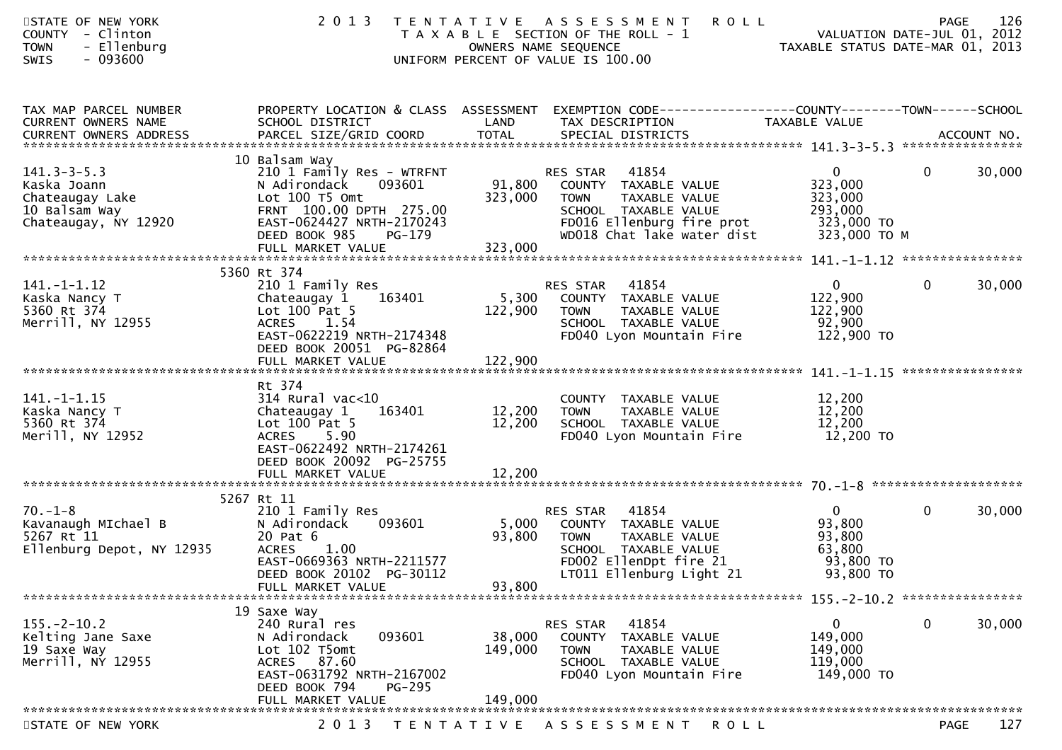| STATE OF NEW YORK<br>COUNTY - Clinton<br>- Ellenburg<br><b>TOWN</b><br><b>SWIS</b><br>- 093600 | 2 0 1 3                                                                                                                                                                    |                           | <b>ROLL</b><br>TENTATIVE ASSESSMENT<br>T A X A B L E SECTION OF THE ROLL - 1<br>OWNERS NAME SEQUENCE<br>UNIFORM PERCENT OF VALUE IS 100.00              | VALUATION DATE-JUL 01, 2012<br>VALUATION DATE-JUL 01, 2012<br>TAXABLE STATUS DATE-MAR 01, 2013 | <b>PAGE</b>  | 126    |
|------------------------------------------------------------------------------------------------|----------------------------------------------------------------------------------------------------------------------------------------------------------------------------|---------------------------|---------------------------------------------------------------------------------------------------------------------------------------------------------|------------------------------------------------------------------------------------------------|--------------|--------|
| TAX MAP PARCEL NUMBER<br>CURRENT OWNERS NAME                                                   | SCHOOL DISTRICT                                                                                                                                                            | LAND                      | PROPERTY LOCATION & CLASS ASSESSMENT EXEMPTION CODE----------------COUNTY--------TOWN------SCHOOL<br>TAX DESCRIPTION                                    | TAXABLE VALUE                                                                                  |              |        |
|                                                                                                | 10 Balsam Way                                                                                                                                                              |                           |                                                                                                                                                         |                                                                                                |              |        |
| $141.3 - 3 - 5.3$<br>Kaska Joann<br>Chateaugay Lake<br>10 Balsam Way<br>Chateaugay, NY 12920   | 210 1 Family Res - WTRFNT<br>N Adirondack<br>093601<br>Lot 100 T5 Omt<br>FRNT 100.00 DPTH 275.00<br>EAST-0624427 NRTH-2170243<br>DEED BOOK 985<br>PG-179                   | 91,800<br>323,000         | 41854<br>RES STAR<br>COUNTY TAXABLE VALUE<br>TAXABLE VALUE<br>TOWN<br>SCHOOL TAXABLE VALUE<br>FD016 Ellenburg fire prot<br>WD018 Chat lake water dist   | $\mathbf{0}$<br>323,000<br>323,000<br>293,000<br>323,000 TO<br>323,000 ТО М                    | $\mathbf{0}$ | 30,000 |
|                                                                                                |                                                                                                                                                                            |                           |                                                                                                                                                         |                                                                                                |              |        |
| $141. - 1 - 1.12$<br>Kaska Nancy T<br>5360 Rt 374<br>Merrill, NY 12955                         | 5360 Rt 374<br>210 1 Family Res<br>163401<br>Chateaugay 1<br>Lot $100$ Pat 5<br><b>ACRES</b><br>1.54<br>EAST-0622219 NRTH-2174348<br>DEED BOOK 20051 PG-82864              | 5,300<br>122,900          | RES STAR<br>41854<br>COUNTY TAXABLE VALUE<br>TAXABLE VALUE<br>TOWN<br>SCHOOL TAXABLE VALUE<br>FD040 Lyon Mountain Fire                                  | $\mathbf{0}$<br>122,900<br>122,900<br>92,900<br>122,900 TO                                     | $\mathbf 0$  | 30,000 |
|                                                                                                | Rt 374                                                                                                                                                                     |                           |                                                                                                                                                         |                                                                                                |              |        |
| $141. - 1 - 1.15$<br>Kaska Nancy T<br>5360 Rt 374<br>Merill, NY 12952                          | $314$ Rural vac<10<br>Chateaugay 1<br>163401<br>Lot $100$ Pat 5<br><b>ACRES</b><br>5.90<br>EAST-0622492 NRTH-2174261<br>DEED BOOK 20092 PG-25755                           | 12,200<br>12,200          | COUNTY TAXABLE VALUE<br>TAXABLE VALUE<br>TOWN<br>SCHOOL TAXABLE VALUE<br>FD040 Lyon Mountain Fire                                                       | 12,200<br>12,200<br>12,200<br>12,200 TO                                                        |              |        |
|                                                                                                |                                                                                                                                                                            |                           |                                                                                                                                                         |                                                                                                |              |        |
| $70. - 1 - 8$<br>Kavanaugh MIchael B<br>5267 Rt 11<br>Ellenburg Depot, NY 12935                | 5267 Rt 11<br>210 1 Family Res<br>N Adirondack<br>093601<br>20 Pat 6<br>1.00<br><b>ACRES</b><br>EAST-0669363 NRTH-2211577<br>DEED BOOK 20102 PG-30112<br>FULL MARKET VALUE | 5,000<br>93,800<br>93,800 | RES STAR<br>41854<br>COUNTY TAXABLE VALUE<br>TAXABLE VALUE<br><b>TOWN</b><br>SCHOOL TAXABLE VALUE<br>FD002 EllenDpt fire 21<br>LT011 Ellenburg Light 21 | $\mathbf{0}$<br>93,800<br>93,800<br>63,800<br>93,800 TO<br>93,800 TO                           | $\mathbf 0$  | 30,000 |
|                                                                                                | 19 Saxe Way                                                                                                                                                                |                           |                                                                                                                                                         |                                                                                                |              |        |
| $155. - 2 - 10.2$<br>Kelting Jane Saxe<br>19 Saxe Way<br>Merrill, NY 12955                     | 240 Rural res<br>093601<br>N Adirondack<br>Lot 102 T5omt<br>ACRES 87.60<br>EAST-0631792 NRTH-2167002<br>DEED BOOK 794<br><b>PG-295</b>                                     | 38,000<br>149,000         | 41854<br>RES STAR<br>COUNTY TAXABLE VALUE<br><b>TOWN</b><br>TAXABLE VALUE<br>SCHOOL TAXABLE VALUE<br>FD040 Lyon Mountain Fire                           | $\overline{0}$<br>149,000<br>149,000<br>119,000<br>149,000 TO                                  | $\mathbf 0$  | 30,000 |
|                                                                                                | FULL MARKET VALUE                                                                                                                                                          | 149,000                   |                                                                                                                                                         |                                                                                                |              |        |
| STATE OF NEW YORK                                                                              | 2 0 1 3<br>T E N T A T I V E                                                                                                                                               |                           | A S S E S S M E N T<br>R O L L                                                                                                                          |                                                                                                | <b>PAGE</b>  | 127    |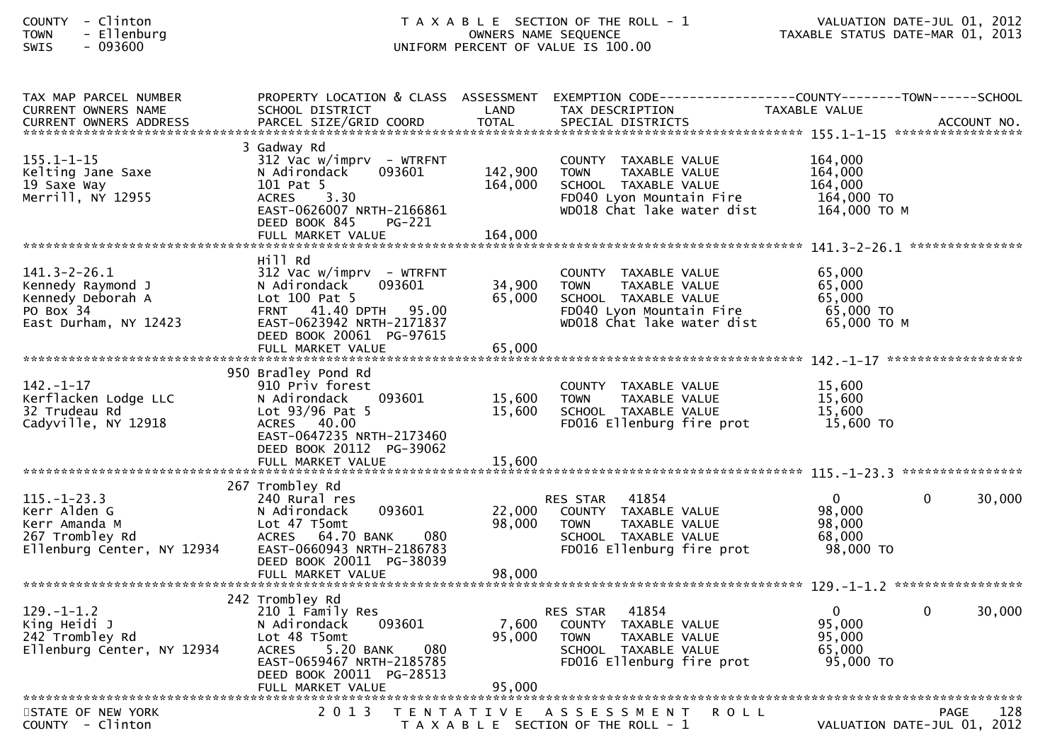| - Clinton<br><b>COUNTY</b><br>- Ellenburg<br><b>TOWN</b><br>$-093600$<br>SWIS                       |                                                                                                                                                                                                 |                               | T A X A B L E SECTION OF THE ROLL - 1<br>OWNERS NAME SEQUENCE<br>UNIFORM PERCENT OF VALUE IS 100.00                                    | TAXABLE STATUS DATE-MAR 01, 2013                            | VALUATION DATE-JUL 01, 2012                  |
|-----------------------------------------------------------------------------------------------------|-------------------------------------------------------------------------------------------------------------------------------------------------------------------------------------------------|-------------------------------|----------------------------------------------------------------------------------------------------------------------------------------|-------------------------------------------------------------|----------------------------------------------|
| TAX MAP PARCEL NUMBER<br>CURRENT OWNERS NAME                                                        | PROPERTY LOCATION & CLASS ASSESSMENT<br>SCHOOL DISTRICT                                                                                                                                         | LAND                          | EXEMPTION CODE-----------------COUNTY-------TOWN------SCHOOL<br>TAX DESCRIPTION                                                        | TAXABLE VALUE                                               |                                              |
| $155.1 - 1 - 15$<br>Kelting Jane Saxe<br>19 Saxe Way<br>Merrill, NY 12955                           | 3 Gadway Rd<br>$312$ Vac w/imprv - WTRFNT<br>N Adirondack<br>093601<br>101 Pat 5<br>ACRES 3.30<br>EAST-0626007 NRTH-2166861<br>DEED BOOK 845<br>PG-221<br>FULL MARKET VALUE                     | 142,900<br>164,000<br>164,000 | COUNTY TAXABLE VALUE<br><b>TOWN</b><br>TAXABLE VALUE<br>SCHOOL TAXABLE VALUE<br>FD040 Lyon Mountain Fire<br>WD018 Chat lake water dist | 164,000<br>164,000<br>164,000<br>164,000 TO<br>164,000 TO M | ***************                              |
| $141.3 - 2 - 26.1$<br>Kennedy Raymond J<br>Kennedy Deborah A<br>PO Box 34<br>East Durham, NY 12423  | Hill Rd<br>$312$ Vac w/imprv - WTRFNT<br>093601<br>N Adirondack<br>Lot $100$ Pat 5<br>FRNT 41.40 DPTH 95.00<br>EAST-0623942 NRTH-2171837<br>DEED BOOK 20061 PG-97615<br>FULL MARKET VALUE       | 34,900<br>65,000<br>65,000    | COUNTY TAXABLE VALUE<br><b>TOWN</b><br>TAXABLE VALUE<br>SCHOOL TAXABLE VALUE<br>FD040 Lyon Mountain Fire<br>WD018 Chat lake water dist | 65,000<br>65,000<br>65,000<br>65,000 TO<br>65,000 TO M      |                                              |
| $142. - 1 - 17$<br>Kerflacken Lodge LLC<br>32 Trudeau Rd<br>Cadyville, NY 12918                     | 950 Bradley Pond Rd<br>910 Priv forest<br>N Adirondack<br>093601<br>Lot $93/96$ Pat 5<br>ACRES 40.00<br>EAST-0647235 NRTH-2173460<br>DEED BOOK 20112 PG-39062<br>FULL MARKET VALUE              | 15,600<br>15,600<br>15,600    | COUNTY TAXABLE VALUE<br>TAXABLE VALUE<br><b>TOWN</b><br>SCHOOL TAXABLE VALUE<br>FD016 Ellenburg fire prot                              | 15,600<br>15,600<br>15,600<br>15,600 TO                     |                                              |
| $115. - 1 - 23.3$<br>Kerr Alden G<br>Kerr Amanda M<br>267 Trombley Rd<br>Ellenburg Center, NY 12934 | 267 Trombley Rd<br>240 Rural res<br>093601<br>N Adirondack<br>Lot 47 T5omt<br>080<br>ACRES 64.70 BANK<br>EAST-0660943 NRTH-2186783<br>DEED BOOK 20011 PG-38039<br>FULL MARKET VALUE             | 22,000<br>98,000<br>98,000    | 41854<br>RES STAR<br>COUNTY TAXABLE VALUE<br>TAXABLE VALUE<br><b>TOWN</b><br>SCHOOL TAXABLE VALUE<br>FD016 Ellenburg fire prot         | $\mathbf{0}$<br>98,000<br>98,000<br>68,000<br>98,000 TO     | $\mathbf 0$<br>30,000                        |
| $129. - 1 - 1.2$<br>King Heidi J<br>242 Trombley Rd<br>Ellenburg Center, NY 12934                   | 242 Trombley Rd<br>210 1 Family Res<br>N Adirondack<br>093601<br>Lot 48 T5omt<br>5.20 BANK<br>080<br><b>ACRES</b><br>EAST-0659467 NRTH-2185785<br>DEED BOOK 20011 PG-28513<br>FULL MARKET VALUE | 7,600<br>95,000<br>95,000     | 41854<br>RES STAR<br>COUNTY TAXABLE VALUE<br>TAXABLE VALUE<br><b>TOWN</b><br>SCHOOL TAXABLE VALUE<br>FD016 Ellenburg fire prot         | $\mathbf{0}$<br>95,000<br>95,000<br>65,000<br>95,000 TO     | 0<br>30,000                                  |
| STATE OF NEW YORK<br>$C$ $N$ $N$ $T$ $V$ $C$ $\frac{1}{2}$ $n+\alpha n$                             | 2 0 1 3                                                                                                                                                                                         | T E N T A T I V E             | A S S E S S M E N T<br>R O L L<br>E CECTION OF THE BOLL                                                                                |                                                             | 128<br>PAGE<br>$VAI HATTON RATE-THI 01 2012$ |

COUNTY - Clinton COUNTY - Clinton COUNTY - Clinton COUNTY - Clinton COUNTY - Clinton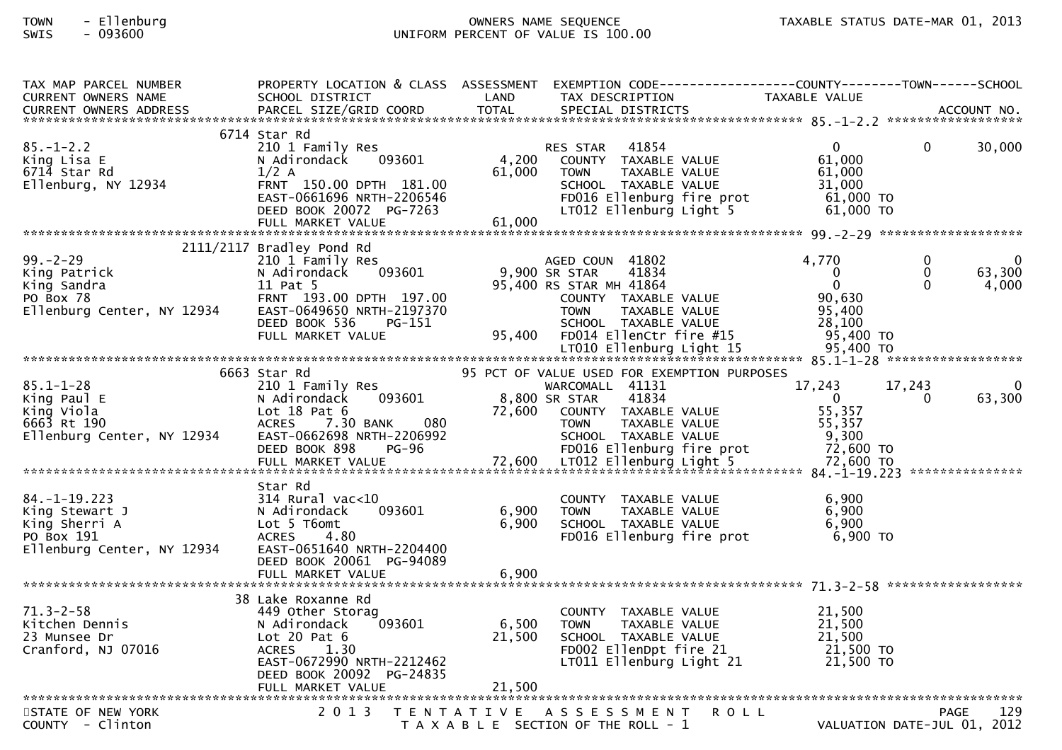# TOWN - Ellenburg OWNERS NAME SEQUENCE TAXABLE STATUS DATE-MAR 01, 2013SWIS - 093600 UNIFORM PERCENT OF VALUE IS 100.00

| TAX MAP PARCEL NUMBER                                                                                                                                                                   |                                                   |                 | PROPERTY LOCATION & CLASS ASSESSMENT EXEMPTION CODE----------------COUNTY-------TOWN------SCHOOL |                          |                             |              |
|-----------------------------------------------------------------------------------------------------------------------------------------------------------------------------------------|---------------------------------------------------|-----------------|--------------------------------------------------------------------------------------------------|--------------------------|-----------------------------|--------------|
| <b>CURRENT OWNERS NAME</b>                                                                                                                                                              | SCHOOL DISTRICT                                   | LAND            | TAX DESCRIPTION                                                                                  | TAXABLE VALUE            |                             |              |
|                                                                                                                                                                                         |                                                   |                 |                                                                                                  |                          |                             |              |
|                                                                                                                                                                                         |                                                   |                 |                                                                                                  |                          |                             |              |
|                                                                                                                                                                                         | 6714 Star Rd                                      |                 |                                                                                                  |                          |                             |              |
| $85. - 1 - 2.2$                                                                                                                                                                         | 210 1 Family Res                                  |                 | 41854<br>RES STAR                                                                                | $\overline{0}$<br>61,000 | $\mathbf{0}$                | 30,000       |
| King Lisa E<br>6714 Star Rd                                                                                                                                                             | 093601<br>N Adirondack                            | 4,200<br>61,000 | COUNTY TAXABLE VALUE<br>TAXABLE VALUE                                                            |                          |                             |              |
| Ellenburg, NY 12934                                                                                                                                                                     | $1/2$ A<br>FRNT 150.00 DPTH 181.00                |                 | <b>TOWN</b><br>SCHOOL TAXABLE VALUE                                                              | 61,000<br>31,000         |                             |              |
|                                                                                                                                                                                         | EAST-0661696 NRTH-2206546                         |                 | FD016 Ellenburg fire prot                                                                        | 61,000 TO                |                             |              |
|                                                                                                                                                                                         | DEED BOOK 20072 PG-7263                           |                 | LT012 Ellenburg Light 5                                                                          | 61,000 TO                |                             |              |
|                                                                                                                                                                                         | FULL MARKET VALUE                                 | 61,000          |                                                                                                  |                          |                             |              |
|                                                                                                                                                                                         |                                                   |                 |                                                                                                  |                          |                             |              |
|                                                                                                                                                                                         | 2111/2117 Bradley Pond Rd                         |                 |                                                                                                  |                          |                             |              |
| $99. - 2 - 29$                                                                                                                                                                          | 210 1 Family Res                                  |                 | AGED COUN 41802                                                                                  | 4,770                    | $\mathbf{0}$                | $\mathbf{0}$ |
| King Patrick                                                                                                                                                                            | 093601<br>N Adirondack                            |                 | 9,900 SR STAR<br>41834                                                                           | $\overline{0}$           | $\mathbf{0}$                | 63,300       |
| King Sandra                                                                                                                                                                             | 11 Pat 5                                          |                 | 95,400 RS STAR MH 41864                                                                          | $\Omega$                 | $\Omega$                    | 4,000        |
| PO Box 78                                                                                                                                                                               | FRNT 193.00 DPTH 197.00                           |                 | COUNTY TAXABLE VALUE                                                                             | 90,630                   |                             |              |
| Ellenburg Center, NY 12934                                                                                                                                                              | EAST-0649650 NRTH-2197370                         |                 | TAXABLE VALUE<br><b>TOWN</b>                                                                     | 95,400                   |                             |              |
|                                                                                                                                                                                         | DEED BOOK 536<br>PG-151                           |                 | SCHOOL TAXABLE VALUE                                                                             | 28,100                   |                             |              |
|                                                                                                                                                                                         |                                                   |                 |                                                                                                  |                          |                             |              |
|                                                                                                                                                                                         |                                                   |                 |                                                                                                  |                          |                             |              |
|                                                                                                                                                                                         |                                                   |                 |                                                                                                  |                          |                             |              |
|                                                                                                                                                                                         | 6663 Star Rd                                      |                 | 95 PCT OF VALUE USED FOR EXEMPTION PURPOSES                                                      |                          |                             |              |
| $85.1 - 1 - 28$                                                                                                                                                                         | 210 1 Family Res                                  |                 | WARCOMALL 41131                                                                                  | 17,243                   | 17,243                      |              |
| King Paul E                                                                                                                                                                             | 093601<br>N Adirondack                            |                 | 8,800 SR STAR<br>41834                                                                           | $\mathbf{0}$             | 0                           | 63,300       |
| King Viola                                                                                                                                                                              | Lot 18 Pat 6                                      |                 | 72,600 COUNTY TAXABLE VALUE                                                                      | 55,357                   |                             |              |
| 6663 Rt 190                                                                                                                                                                             | 080<br><b>ACRES</b><br>7.30 BANK                  |                 | TAXABLE VALUE<br>TOWN                                                                            | 55,357                   |                             |              |
| Ellenburg Center, NY 12934                                                                                                                                                              | EAST-0662698 NRTH-2206992                         |                 | SCHOOL TAXABLE VALUE                                                                             | 9,300                    |                             |              |
|                                                                                                                                                                                         | DEED BOOK 898<br>PG-96                            |                 | FD016 Ellenburg fire prot                                                                        | 72,600 TO                |                             |              |
| DELD BOOK 070 - PUTP OF FORMALLY AND ETTERIOUT STILL NARKET VALUE<br>FULL MARKET VALUE 72,600 LTO12 Ellenburg Light 5 72,600 TO FUNARKET VALUE 72,600 TO FORMALLY ARKET VALUE 72,600 TO |                                                   |                 |                                                                                                  |                          |                             |              |
|                                                                                                                                                                                         |                                                   |                 |                                                                                                  |                          |                             |              |
|                                                                                                                                                                                         | Star Rd                                           |                 |                                                                                                  |                          |                             |              |
| $84. - 1 - 19.223$                                                                                                                                                                      | 314 Rural vac<10                                  |                 | COUNTY TAXABLE VALUE                                                                             | 6,900                    |                             |              |
| King Stewart J                                                                                                                                                                          | 093601<br>N Adirondack                            | 6,900           | <b>TOWN</b><br>TAXABLE VALUE                                                                     | 6,900                    |                             |              |
| King Sherri A                                                                                                                                                                           | Lot 5 T6omt                                       | 6,900           | SCHOOL TAXABLE VALUE                                                                             | 6,900<br>6,900 TO        |                             |              |
| PO Box 191<br>Ellenburg Center, NY 12934                                                                                                                                                | <b>ACRES</b><br>4.80<br>EAST-0651640 NRTH-2204400 |                 | FD016 Ellenburg fire prot                                                                        |                          |                             |              |
|                                                                                                                                                                                         | DEED BOOK 20061 PG-94089                          |                 |                                                                                                  |                          |                             |              |
|                                                                                                                                                                                         | FULL MARKET VALUE                                 | 6,900           |                                                                                                  |                          |                             |              |
|                                                                                                                                                                                         |                                                   |                 |                                                                                                  |                          |                             |              |
|                                                                                                                                                                                         | 38 Lake Roxanne Rd                                |                 |                                                                                                  |                          |                             |              |
| $71.3 - 2 - 58$                                                                                                                                                                         | 449 Other Storag                                  |                 | COUNTY TAXABLE VALUE                                                                             | 21.500                   |                             |              |
| Kitchen Dennis                                                                                                                                                                          | 093601<br>N Adirondack                            | 6,500           | TAXABLE VALUE<br>TOWN                                                                            | 21,500                   |                             |              |
| 23 Munsee Dr                                                                                                                                                                            | Lot 20 Pat $6$                                    | 21,500          | SCHOOL TAXABLE VALUE                                                                             | $21,500$<br>$21,500$     |                             |              |
| Cranford, NJ 07016                                                                                                                                                                      | <b>ACRES</b><br>1.30                              |                 |                                                                                                  |                          |                             |              |
|                                                                                                                                                                                         | EAST-0672990 NRTH-2212462                         |                 | FD002 EllenDpt fire 21 21,500 TO<br>LT011 Ellenburg Light 21 21,500 TO                           |                          |                             |              |
|                                                                                                                                                                                         | DEED BOOK 20092 PG-24835                          |                 |                                                                                                  |                          |                             |              |
|                                                                                                                                                                                         |                                                   |                 |                                                                                                  |                          |                             |              |
|                                                                                                                                                                                         |                                                   |                 |                                                                                                  |                          |                             |              |
| STATE OF NEW YORK                                                                                                                                                                       | 2 0 1 3                                           |                 | <b>ROLL</b><br>TENTATIVE ASSESSMENT                                                              |                          | <b>PAGE</b>                 | 129          |
| COUNTY - Clinton                                                                                                                                                                        |                                                   |                 | T A X A B L E SECTION OF THE ROLL - 1                                                            |                          | VALUATION DATE-JUL 01, 2012 |              |
|                                                                                                                                                                                         |                                                   |                 |                                                                                                  |                          |                             |              |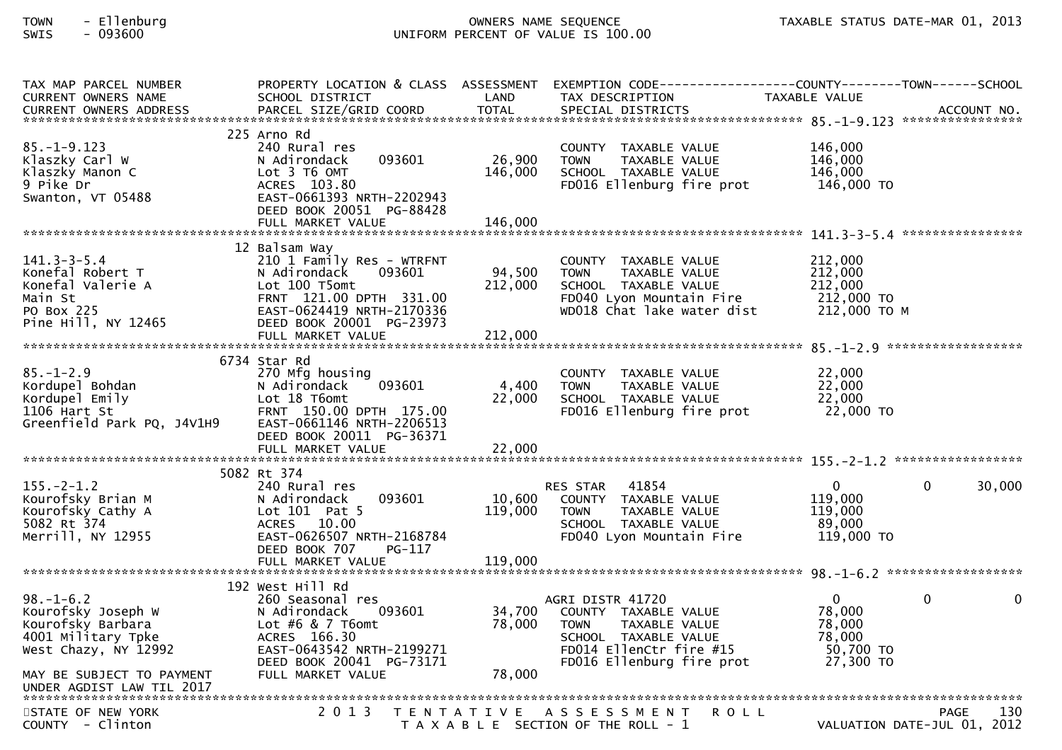# TOWN - Ellenburg OWNERS NAME SEQUENCE TAXABLE STATUS DATE-MAR 01, 2013SWIS - 093600 UNIFORM PERCENT OF VALUE IS 100.00

| TAX MAP PARCEL NUMBER                                                                                                                                                                                                          |                               |         | PROPERTY LOCATION & CLASS ASSESSMENT EXEMPTION CODE----------------COUNTY--------TOWN------SCHOOL |                |                              |
|--------------------------------------------------------------------------------------------------------------------------------------------------------------------------------------------------------------------------------|-------------------------------|---------|---------------------------------------------------------------------------------------------------|----------------|------------------------------|
| CURRENT OWNERS NAME                                                                                                                                                                                                            | SCHOOL DISTRICT               | LAND    | TAX DESCRIPTION                                                                                   | TAXABLE VALUE  |                              |
| .4CCOUNT NO . PARCEL SIZE/GRID COORD TOTAL SPECIAL DISTRICTS . ACCOUNT NO . ACCOUNT NO . ACCOUNT NO . يتمكن بن المكتشر بن المكتشر بن المكتشر بن المكتشر بن المكتشر بن المكتشر بن المكتشر بن المكتشر بن المكتشر بن المكتشر بن ا |                               |         |                                                                                                   |                |                              |
|                                                                                                                                                                                                                                | 225 Arno Rd                   |         |                                                                                                   |                |                              |
| $85. - 1 - 9.123$                                                                                                                                                                                                              | 240 Rural res                 |         | COUNTY TAXABLE VALUE                                                                              | 146,000        |                              |
| Klaszky Carl W                                                                                                                                                                                                                 | 093601<br>N Adirondack        | 26,900  | TAXABLE VALUE<br><b>TOWN</b>                                                                      | 146,000        |                              |
| Klaszky Manon C                                                                                                                                                                                                                | Lot 3 T6 OMT                  | 146,000 | SCHOOL TAXABLE VALUE                                                                              | 146,000        |                              |
| 9 Pike Dr                                                                                                                                                                                                                      | ACRES 103.80                  |         | FD016 Ellenburg fire prot                                                                         | 146,000 TO     |                              |
| Swanton, VT 05488                                                                                                                                                                                                              | EAST-0661393 NRTH-2202943     |         |                                                                                                   |                |                              |
|                                                                                                                                                                                                                                | DEED BOOK 20051 PG-88428      |         |                                                                                                   |                |                              |
|                                                                                                                                                                                                                                |                               |         |                                                                                                   |                |                              |
|                                                                                                                                                                                                                                |                               |         |                                                                                                   |                |                              |
|                                                                                                                                                                                                                                | 12 Balsam Way                 |         |                                                                                                   |                |                              |
| $141.3 - 3 - 5.4$                                                                                                                                                                                                              | 210 1 Family Res - WTRFNT     |         |                                                                                                   | 212,000        |                              |
| Konefal Robert T                                                                                                                                                                                                               | 093601                        | 94,500  | COUNTY TAXABLE VALUE                                                                              | 212,000        |                              |
| Konefal Valerie A                                                                                                                                                                                                              | N Adirondack<br>Lot 100 T5omt | 212,000 | TAXABLE VALUE<br><b>TOWN</b><br>SCHOOL TAXABLE VALUE                                              | 212,000        |                              |
| Main St                                                                                                                                                                                                                        | FRNT 121.00 DPTH 331.00       |         | FD040 Lyon Mountain Fire                                                                          | 212,000 TO     |                              |
| PO Box 225                                                                                                                                                                                                                     | EAST-0624419 NRTH-2170336     |         | WD018 Chat lake water dist                                                                        | 212,000 то м   |                              |
| Pine Hill, NY 12465                                                                                                                                                                                                            | DEED BOOK 20001 PG-23973      |         |                                                                                                   |                |                              |
|                                                                                                                                                                                                                                |                               |         |                                                                                                   |                |                              |
|                                                                                                                                                                                                                                |                               |         |                                                                                                   |                | ******************           |
|                                                                                                                                                                                                                                |                               |         |                                                                                                   |                |                              |
|                                                                                                                                                                                                                                | 6734 Star Rd                  |         |                                                                                                   |                |                              |
| $85. - 1 - 2.9$                                                                                                                                                                                                                | 270 Mfg housing               |         | COUNTY TAXABLE VALUE                                                                              | 22,000         |                              |
| Kordupel Bohdan                                                                                                                                                                                                                | 093601<br>N Adirondack        | 4,400   | <b>TOWN</b><br>TAXABLE VALUE                                                                      | 22,000         |                              |
| Kordupel Emily                                                                                                                                                                                                                 | Lot 18 T6omt                  | 22,000  | SCHOOL TAXABLE VALUE                                                                              | 22,000         |                              |
| 1106 Hart St                                                                                                                                                                                                                   | FRNT 150.00 DPTH 175.00       |         | FD016 Ellenburg fire prot                                                                         | 22,000 TO      |                              |
| Greenfield Park PQ, J4V1H9                                                                                                                                                                                                     | EAST-0661146 NRTH-2206513     |         |                                                                                                   |                |                              |
|                                                                                                                                                                                                                                | DEED BOOK 20011 PG-36371      |         |                                                                                                   |                |                              |
|                                                                                                                                                                                                                                |                               |         |                                                                                                   |                |                              |
|                                                                                                                                                                                                                                |                               |         |                                                                                                   |                |                              |
|                                                                                                                                                                                                                                | 5082 Rt 374                   |         |                                                                                                   |                |                              |
| $155. - 2 - 1.2$                                                                                                                                                                                                               | 240 Rural res                 |         | RES STAR 41854                                                                                    | $\overline{0}$ | 30,000<br>$\Omega$           |
| Kourofsky Brian M                                                                                                                                                                                                              | 093601<br>N Adirondack        | 10,600  | COUNTY TAXABLE VALUE                                                                              | 119,000        |                              |
| Kourofsky Cathy A                                                                                                                                                                                                              | Lot $101$ Pat 5               | 119,000 | TAXABLE VALUE<br><b>TOWN</b>                                                                      | 119,000        |                              |
| 5082 Rt 374                                                                                                                                                                                                                    | ACRES 10.00                   |         | SCHOOL TAXABLE VALUE                                                                              | 89,000         |                              |
| Merrill, NY 12955                                                                                                                                                                                                              | EAST-0626507 NRTH-2168784     |         | FD040 Lyon Mountain Fire                                                                          | 119,000 TO     |                              |
|                                                                                                                                                                                                                                | DEED BOOK 707<br>PG-117       |         |                                                                                                   |                |                              |
|                                                                                                                                                                                                                                |                               |         |                                                                                                   |                |                              |
|                                                                                                                                                                                                                                |                               |         |                                                                                                   |                |                              |
|                                                                                                                                                                                                                                | 192 West Hill Rd              |         |                                                                                                   |                |                              |
| $98. - 1 - 6.2$                                                                                                                                                                                                                | 260 Seasonal res              |         | AGRI DISTR 41720                                                                                  | $\overline{0}$ | $\mathbf{0}$<br>$\mathbf{0}$ |
| Kourofsky Joseph W                                                                                                                                                                                                             | 093601<br>N Adirondack        | 34,700  | COUNTY TAXABLE VALUE                                                                              | 78,000         |                              |
| Kourofsky Barbara                                                                                                                                                                                                              | Lot #6 & 7 T6omt              | 78,000  | <b>TOWN</b><br>TAXABLE VALUE                                                                      | 78,000         |                              |
| 4001 Military Tpke                                                                                                                                                                                                             | ACRES 166.30                  |         | SCHOOL TAXABLE VALUE                                                                              | 78,000         |                              |
| West Chazy, NY 12992                                                                                                                                                                                                           | EAST-0643542 NRTH-2199271     |         | FD014 EllenCtr fire #15                                                                           | 50,700 TO      |                              |
|                                                                                                                                                                                                                                | DEED BOOK 20041 PG-73171      |         | FD016 Ellenburg fire prot                                                                         | 27,300 TO      |                              |
| MAY BE SUBJECT TO PAYMENT                                                                                                                                                                                                      | FULL MARKET VALUE             | 78,000  |                                                                                                   |                |                              |
|                                                                                                                                                                                                                                |                               |         |                                                                                                   |                |                              |
|                                                                                                                                                                                                                                |                               |         |                                                                                                   |                |                              |
| STATE OF NEW YORK                                                                                                                                                                                                              | 2 0 1 3                       |         | TENTATIVE ASSESSMENT<br><b>ROLL</b>                                                               |                | 130<br><b>PAGE</b>           |
| COUNTY - Clinton                                                                                                                                                                                                               |                               |         | T A X A B L E SECTION OF THE ROLL - 1                                                             |                | VALUATION DATE-JUL 01, 2012  |
|                                                                                                                                                                                                                                |                               |         |                                                                                                   |                |                              |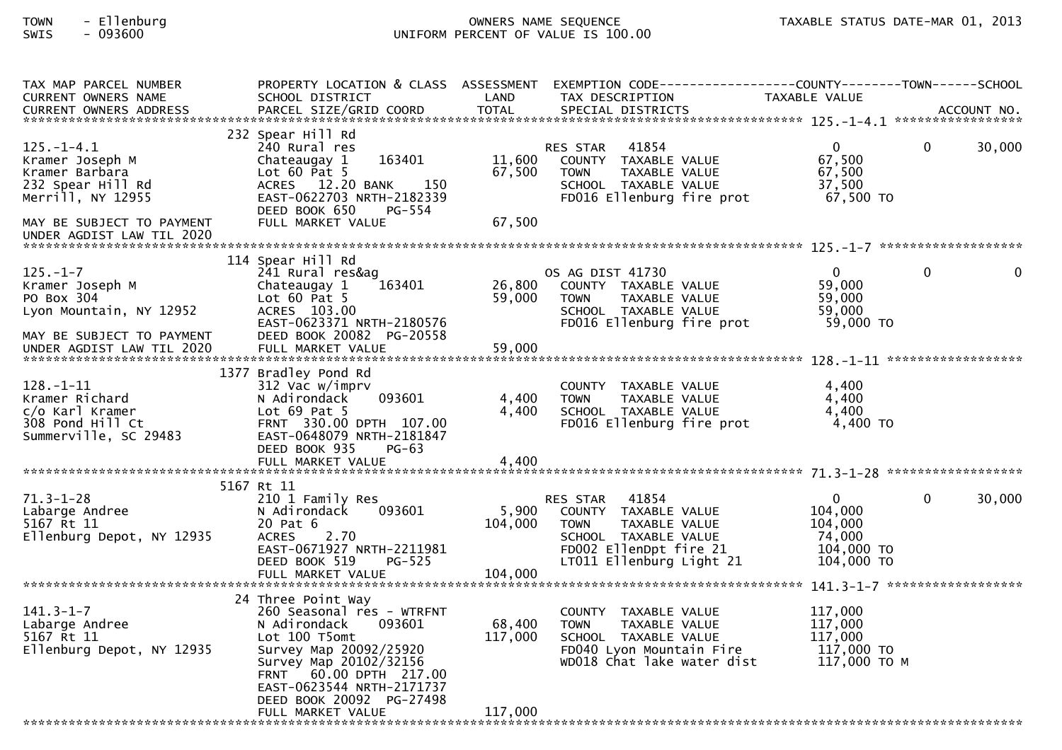# TOWN - Ellenburg OWNERS NAME SEQUENCE TAXABLE STATUS DATE-MAR 01, 2013

SWIS - 093600 UNIFORM PERCENT OF VALUE IS 100.00

| TAX MAP PARCEL NUMBER                                  | PROPERTY LOCATION & CLASS ASSESSMENT          |         | EXEMPTION CODE------------------COUNTY-------TOWN------SCHOOL |                              |              |
|--------------------------------------------------------|-----------------------------------------------|---------|---------------------------------------------------------------|------------------------------|--------------|
| <b>CURRENT OWNERS NAME</b>                             | SCHOOL DISTRICT                               | LAND    | TAX DESCRIPTION                                               | TAXABLE VALUE                |              |
|                                                        |                                               |         |                                                               |                              |              |
|                                                        | 232 Spear Hill Rd                             |         |                                                               |                              |              |
| $125. - 1 - 4.1$                                       | 240 Rural res                                 |         | RES STAR<br>41854                                             | $\mathbf{0}$<br>$\mathbf{0}$ | 30,000       |
| Kramer Joseph M                                        | 163401<br>Chateaugay 1                        | 11,600  | COUNTY TAXABLE VALUE                                          | 67,500                       |              |
| Kramer Barbara                                         | Lot $60$ Pat $5$                              | 67,500  | TAXABLE VALUE<br><b>TOWN</b>                                  | 67,500                       |              |
| 232 Spear Hill Rd                                      | ACRES 12.20 BANK<br>150                       |         | SCHOOL TAXABLE VALUE                                          | 37,500                       |              |
| Merrill, NY 12955                                      | EAST-0622703 NRTH-2182339                     |         | FD016 Ellenburg fire prot                                     | 67,500 TO                    |              |
|                                                        | DEED BOOK 650<br>PG-554                       |         |                                                               |                              |              |
| MAY BE SUBJECT TO PAYMENT<br>UNDER AGDIST LAW TIL 2020 | FULL MARKET VALUE                             | 67,500  |                                                               |                              |              |
|                                                        |                                               |         |                                                               |                              |              |
|                                                        | 114 Spear Hill Rd                             |         |                                                               |                              |              |
| $125. - 1 - 7$                                         | 241 Rural res&ag                              |         | OS AG DIST 41730                                              | $\mathbf{0}$<br>$\mathbf{0}$ | $\mathbf{0}$ |
| Kramer Joseph M                                        | 163401<br>Chateaugay 1                        | 26,800  | COUNTY TAXABLE VALUE                                          | 59,000                       |              |
| PO Box 304                                             | Lot $60$ Pat $5$                              | 59,000  | TAXABLE VALUE<br><b>TOWN</b>                                  | 59.000                       |              |
| Lyon Mountain, NY 12952                                | ACRES 103.00                                  |         | SCHOOL TAXABLE VALUE                                          | 59,000                       |              |
|                                                        | EAST-0623371 NRTH-2180576                     |         | FD016 Ellenburg fire prot                                     | 59,000 TO                    |              |
| MAY BE SUBJECT TO PAYMENT                              | DEED BOOK 20082 PG-20558                      |         |                                                               |                              |              |
|                                                        |                                               |         |                                                               |                              |              |
|                                                        | 1377 Bradley Pond Rd                          |         |                                                               |                              |              |
| $128. - 1 - 11$                                        | 312 Vac w/imprv                               |         | COUNTY TAXABLE VALUE                                          | 4,400                        |              |
| Kramer Richard                                         | 093601<br>N Adirondack                        | 4,400   | <b>TOWN</b><br>TAXABLE VALUE                                  | 4,400                        |              |
| c/o Karl Kramer                                        | Lot 69 Pat 5                                  | 4,400   | SCHOOL TAXABLE VALUE                                          | 4,400                        |              |
| 308 Pond Hill Ct                                       | FRNT 330.00 DPTH 107.00                       |         | FD016 Ellenburg fire prot                                     | 4,400 TO                     |              |
| Summerville, SC 29483                                  | EAST-0648079 NRTH-2181847                     |         |                                                               |                              |              |
|                                                        | DEED BOOK 935<br>$PG-63$                      |         |                                                               |                              |              |
|                                                        | FULL MARKET VALUE                             | 4,400   |                                                               |                              |              |
|                                                        |                                               |         |                                                               |                              |              |
|                                                        | 5167 Rt 11                                    |         |                                                               |                              |              |
| $71.3 - 1 - 28$                                        | 210 1 Family Res                              |         | RES STAR 41854                                                | $\mathbf{0}$<br>$\Omega$     | 30,000       |
| Labarge Andree                                         | 093601<br>N Adirondack                        | 5,900   | COUNTY TAXABLE VALUE                                          | 104,000                      |              |
| 5167 Rt 11                                             | 20 Pat 6                                      | 104,000 | TAXABLE VALUE<br><b>TOWN</b>                                  | 104,000                      |              |
| Ellenburg Depot, NY 12935                              | ACRES 2.70                                    |         | SCHOOL TAXABLE VALUE                                          | 74,000                       |              |
|                                                        | EAST-0671927 NRTH-2211981                     |         | FD002 EllenDpt fire 21                                        | 104,000 TO                   |              |
|                                                        | DEED BOOK 519<br><b>PG-525</b>                |         | LT011 Ellenburg Light 21                                      | 104,000 TO                   |              |
|                                                        |                                               |         |                                                               |                              |              |
|                                                        |                                               |         |                                                               |                              |              |
|                                                        | 24 Three Point Way                            |         |                                                               |                              |              |
| $141.3 - 1 - 7$                                        | 260 Seasonal res - WTRFNT                     |         | COUNTY TAXABLE VALUE                                          | 117,000                      |              |
| Labarge Andree                                         | 093601<br>N Adirondack                        | 68,400  | <b>TOWN</b><br>TAXABLE VALUE                                  | 117,000                      |              |
| 5167 Rt 11                                             | Lot 100 T5omt                                 | 117,000 | SCHOOL TAXABLE VALUE                                          | 117,000                      |              |
| Ellenburg Depot, NY 12935                              | Survey Map 20092/25920                        |         | FD040 Lyon Mountain Fire                                      | 117,000 TO                   |              |
|                                                        | Survey Map 20102/32156                        |         | WD018 Chat lake water dist                                    | 117,000 TO M                 |              |
|                                                        | FRNT 60.00 DPTH 217.00                        |         |                                                               |                              |              |
|                                                        | EAST-0623544 NRTH-2171737                     |         |                                                               |                              |              |
|                                                        | DEED BOOK 20092 PG-27498<br>FULL MARKET VALUE | 117,000 |                                                               |                              |              |
|                                                        |                                               |         |                                                               |                              |              |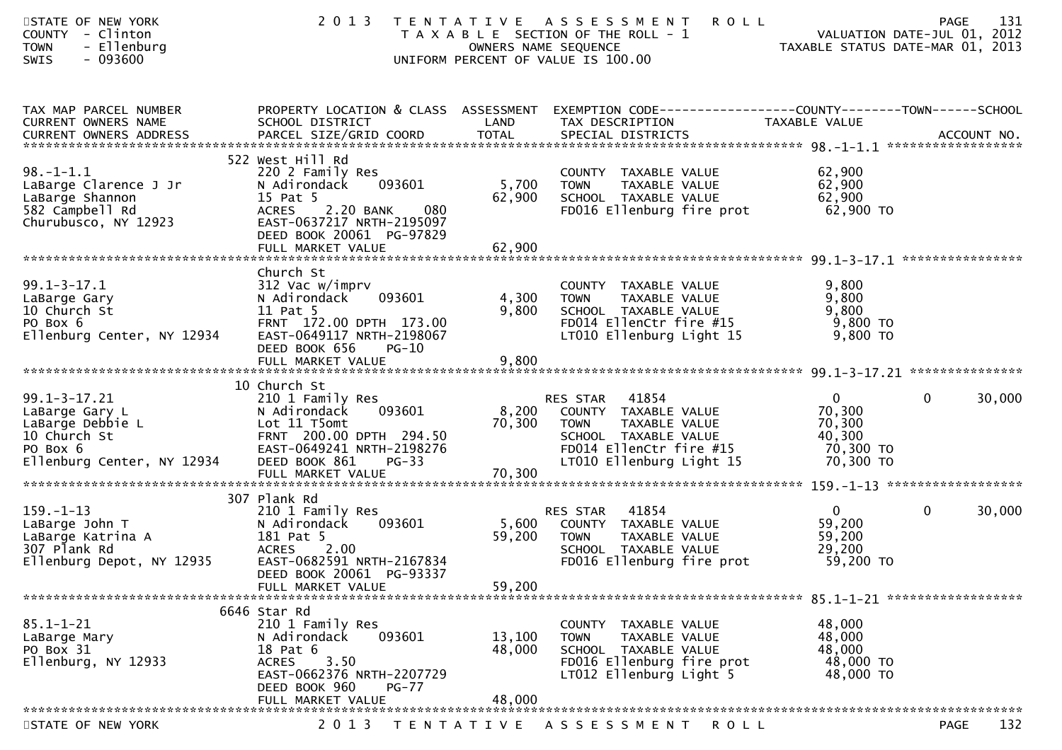| STATE OF NEW YORK<br>COUNTY - Clinton<br><b>TOWN</b><br>- Ellenburg<br>SWIS<br>$-093600$                                               | 2 0 1 3                                                                                                                                                                       | OWNERS NAME SEQUENCE       | <b>ROLL</b><br>TENTATIVE ASSESSMENT<br>T A X A B L E SECTION OF THE ROLL - 1<br>UNIFORM PERCENT OF VALUE IS 100.00                                       | TAXABLE STATUS DATE-MAR 01, 2013                                       | 131<br><b>PAGE</b><br>VALUATION DATE-JUL 01, 2012 |
|----------------------------------------------------------------------------------------------------------------------------------------|-------------------------------------------------------------------------------------------------------------------------------------------------------------------------------|----------------------------|----------------------------------------------------------------------------------------------------------------------------------------------------------|------------------------------------------------------------------------|---------------------------------------------------|
| TAX MAP PARCEL NUMBER<br>CURRENT OWNERS NAME                                                                                           | PROPERTY LOCATION & CLASS ASSESSMENT<br>SCHOOL DISTRICT                                                                                                                       | LAND                       | EXEMPTION CODE-----------------COUNTY--------TOWN------SCHOOL<br>TAX DESCRIPTION                                                                         | TAXABLE VALUE                                                          |                                                   |
| $98. - 1 - 1.1$<br>LaBarge Clarence J Jr<br>LaBarge Shannon<br>582 Campbell Rd<br>Churubusco, NY 12923                                 | 522 West Hill Rd<br>220 2 Family Res<br>093601<br>N Adirondack<br>15 Pat 5<br>2.20 BANK<br>080<br><b>ACRES</b><br>EAST-0637217 NRTH-2195097<br>DEED BOOK 20061 PG-97829       | 5,700<br>62,900            | COUNTY TAXABLE VALUE<br><b>TOWN</b><br>TAXABLE VALUE<br>SCHOOL TAXABLE VALUE<br>FD016 Ellenburg fire prot                                                | 62,900<br>62,900<br>62,900<br>62,900 TO                                |                                                   |
| $99.1 - 3 - 17.1$<br>LaBarge Gary<br>10 Church St<br>PO Box 6<br>Ellenburg Center, NY 12934                                            | Church St<br>312 Vac w/imprv<br>093601<br>N Adirondack<br>11 Pat 5<br>FRNT 172.00 DPTH 173.00<br>EAST-0649117 NRTH-2198067<br>DEED BOOK 656<br>$PG-10$<br>FULL MARKET VALUE   | 4,300<br>9,800<br>9,800    | COUNTY TAXABLE VALUE<br><b>TOWN</b><br>TAXABLE VALUE<br>SCHOOL TAXABLE VALUE<br>FD014 EllenCtr fire #15<br>LT010 Ellenburg Light 15                      | 9,800<br>9,800<br>9,800<br>9,800 TO<br>9,800 TO                        |                                                   |
| $99.1 - 3 - 17.21$<br>LaBarge Gary L<br>LaBarge Debbie L<br>10 Church St<br>PO Box 6<br>Ellenburg Center, NY 12934                     | 10 Church St<br>210 1 Family Res<br>093601<br>N Adirondack<br>Lot 11 T5omt<br>FRNT 200.00 DPTH 294.50<br>EAST-0649241 NRTH-2198276<br>DEED BOOK 861<br>$PG-33$                | 8,200<br>70,300            | 41854<br>RES STAR<br>COUNTY TAXABLE VALUE<br>TAXABLE VALUE<br><b>TOWN</b><br>SCHOOL TAXABLE VALUE<br>FD014 EllenCtr fire #15<br>LT010 Ellenburg Light 15 | $\overline{0}$<br>70,300<br>70,300<br>40,300<br>70,300 TO<br>70,300 TO | $\mathbf{0}$<br>30,000                            |
| $159. - 1 - 13$<br>LaBarge John T<br>LaBarge Katrina A<br>307 Plank Rd<br>Ellenburg Depot, NY 12935<br>******************************* | 307 Plank Rd<br>210 1 Family Res<br>093601<br>N Adirondack<br>181 Pat 5<br>2.00<br><b>ACRES</b><br>EAST-0682591 NRTH-2167834<br>DEED BOOK 20061 PG-93337<br>FULL MARKET VALUE | 5,600<br>59,200<br>59,200  | 41854<br>RES STAR<br>COUNTY TAXABLE VALUE<br>TAXABLE VALUE<br><b>TOWN</b><br>SCHOOL TAXABLE VALUE<br>FD016 Ellenburg fire prot                           | $\overline{0}$<br>59,200<br>59,200<br>29,200<br>59,200 TO              | $\mathbf 0$<br>30,000                             |
| $85.1 - 1 - 21$<br>LaBarge Mary<br>PO Box 31<br>Ellenburg, NY 12933                                                                    | 6646 Star Rd<br>210 1 Family Res<br>N Adirondack<br>093601<br>18 Pat 6<br>3.50<br><b>ACRES</b><br>EAST-0662376 NRTH-2207729<br>DEED BOOK 960<br>$PG-77$<br>FULL MARKET VALUE  | 13,100<br>48,000<br>48,000 | COUNTY TAXABLE VALUE<br><b>TOWN</b><br>TAXABLE VALUE<br>SCHOOL TAXABLE VALUE<br>FD016 Ellenburg fire prot<br>LT012 Ellenburg Light 5                     | 48,000<br>48,000<br>48,000<br>48,000 TO<br>48,000 TO                   |                                                   |
| STATE OF NEW YORK                                                                                                                      | 2 0 1 3                                                                                                                                                                       | T E N T A T I V E          | A S S E S S M E N T<br>R O L L                                                                                                                           |                                                                        | 132<br><b>PAGE</b>                                |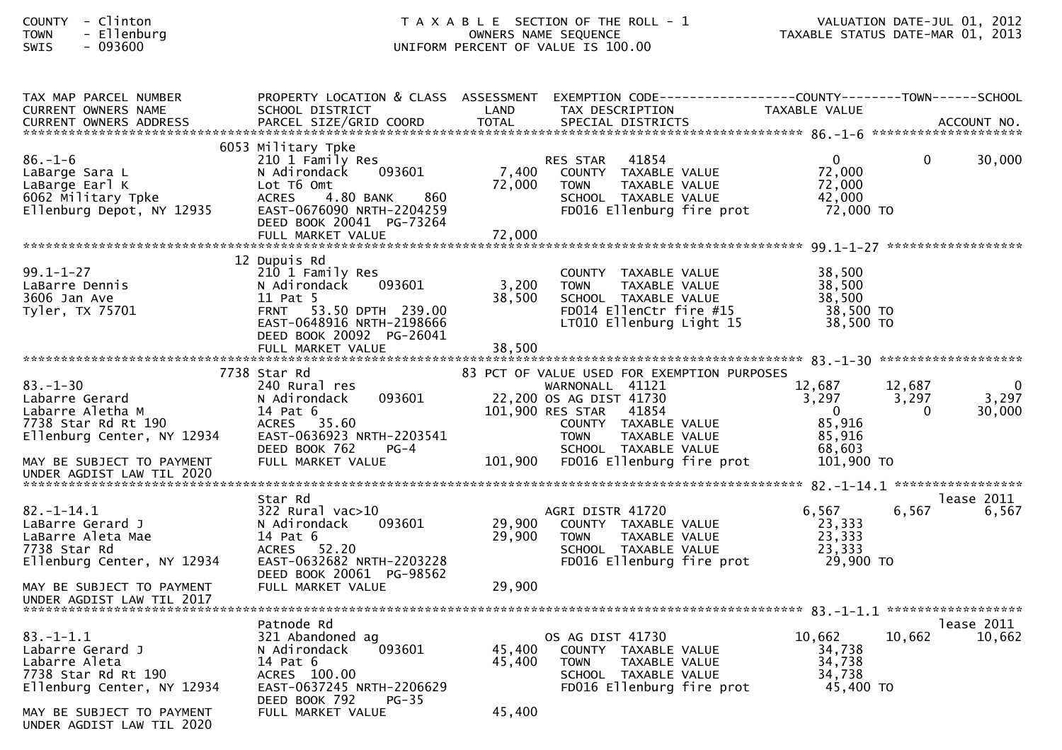## COUNTY - Clinton T A X A B L E SECTION OF THE ROLL - 1 VALUATION DATE-JUL 01, 2012 TOWN - Ellenburg OWNERS NAME SEQUENCE TAXABLE STATUS DATE-MAR 01, 2013SWIS - 093600 UNIFORM PERCENT OF VALUE IS 100.00

| TAX MAP PARCEL NUMBER      | PROPERTY LOCATION & CLASS ASSESSMENT                  |         | EXEMPTION CODE-----------------COUNTY-------TOWN------SCHOOL |                     |        |            |
|----------------------------|-------------------------------------------------------|---------|--------------------------------------------------------------|---------------------|--------|------------|
| <b>CURRENT OWNERS NAME</b> | SCHOOL DISTRICT                                       | LAND    | TAX DESCRIPTION                                              | TAXABLE VALUE       |        |            |
|                            |                                                       |         |                                                              |                     |        |            |
|                            | 6053 Military Tpke                                    |         |                                                              |                     |        |            |
| $86. - 1 - 6$              | 210 1 Family Res                                      |         | 41854<br>RES STAR                                            | $\mathbf 0$         | 0      | 30,000     |
| LaBarge Sara L             | 093601<br>N Adirondack                                | 7,400   | COUNTY TAXABLE VALUE                                         | 72,000              |        |            |
| LaBarge Earl K             | Lot T6 Omt                                            | 72,000  | <b>TOWN</b><br><b>TAXABLE VALUE</b>                          | 72,000              |        |            |
| 6062 Military Tpke         | 4.80 BANK<br>860<br><b>ACRES</b>                      |         | SCHOOL TAXABLE VALUE                                         | 42,000              |        |            |
| Ellenburg Depot, NY 12935  | EAST-0676090 NRTH-2204259                             |         | FD016 Ellenburg fire prot                                    | 72,000 TO           |        |            |
|                            | DEED BOOK 20041 PG-73264                              |         |                                                              |                     |        |            |
|                            | FULL MARKET VALUE                                     | 72,000  |                                                              |                     |        |            |
|                            |                                                       |         |                                                              |                     |        |            |
|                            | 12 Dupuis Rd                                          |         |                                                              |                     |        |            |
| $99.1 - 1 - 27$            | 210 1 Family Res                                      |         | COUNTY TAXABLE VALUE                                         | 38,500              |        |            |
| LaBarre Dennis             | 093601<br>N Adirondack                                | 3,200   | <b>TOWN</b><br>TAXABLE VALUE                                 | 38,500              |        |            |
| 3606 Jan Ave               | 11 Pat 5<br>FRNT 53.50 DPTH 239.00                    | 38,500  | SCHOOL TAXABLE VALUE                                         | 38,500<br>38,500 TO |        |            |
| Tyler, TX 75701            |                                                       |         | FD014 EllenCtr fire #15                                      | 38,500 TO           |        |            |
|                            | EAST-0648916 NRTH-2198666<br>DEED BOOK 20092 PG-26041 |         | LT010 Ellenburg Light 15                                     |                     |        |            |
|                            | FULL MARKET VALUE                                     | 38,500  |                                                              |                     |        |            |
|                            |                                                       |         |                                                              |                     |        |            |
|                            | 7738 Star Rd                                          |         | 83 PCT OF VALUE USED FOR EXEMPTION PURPOSES                  |                     |        |            |
| $83 - 1 - 30$              | 240 Rural res                                         |         | WARNONALL 41121                                              | 12,687              | 12,687 | $\Omega$   |
| Labarre Gerard             | 093601<br>N Adirondack                                |         | 22,200 OS AG DIST 41730                                      | 3,297               | 3,297  | 3,297      |
| Labarre Aletha M           | 14 Pat 6                                              |         | 101,900 RES STAR 41854                                       | $\overline{0}$      | 0      | 30,000     |
| 7738 Star Rd Rt 190        | ACRES 35.60                                           |         | COUNTY TAXABLE VALUE                                         | 85,916              |        |            |
| Ellenburg Center, NY 12934 | EAST-0636923 NRTH-2203541                             |         | TAXABLE VALUE<br><b>TOWN</b>                                 | 85,916              |        |            |
|                            | DEED BOOK 762<br>$PG-4$                               |         | SCHOOL TAXABLE VALUE                                         | 68,603              |        |            |
| MAY BE SUBJECT TO PAYMENT  | FULL MARKET VALUE                                     | 101,900 | FD016 Ellenburg fire prot                                    | 101,900 TO          |        |            |
| UNDER AGDIST LAW TIL 2020  |                                                       |         |                                                              |                     |        |            |
|                            |                                                       |         |                                                              |                     |        |            |
|                            | Star Rd                                               |         |                                                              |                     |        | lease 2011 |
| $82. - 1 - 14.1$           | $322$ Rural vac $>10$                                 |         | AGRI DISTR 41720                                             | 6,567               | 6,567  | 6,567      |
| LaBarre Gerard J           | N Adirondack<br>093601                                | 29,900  | COUNTY TAXABLE VALUE                                         | 23,333              |        |            |
| LaBarre Aleta Mae          | 14 Pat 6                                              | 29,900  | TAXABLE VALUE<br><b>TOWN</b>                                 | 23,333              |        |            |
| 7738 Star Rd               | 52.20<br><b>ACRES</b>                                 |         | SCHOOL TAXABLE VALUE                                         | 23,333              |        |            |
| Ellenburg Center, NY 12934 | EAST-0632682 NRTH-2203228                             |         | FD016 Ellenburg fire prot                                    | 29,900 TO           |        |            |
|                            | DEED BOOK 20061 PG-98562                              |         |                                                              |                     |        |            |
| MAY BE SUBJECT TO PAYMENT  | FULL MARKET VALUE                                     | 29,900  |                                                              |                     |        |            |
| UNDER AGDIST LAW TIL 2017  |                                                       |         |                                                              |                     |        |            |
|                            | Patnode Rd                                            |         |                                                              |                     |        | lease 2011 |
| $83. - 1 - 1.1$            | 321 Abandoned ag                                      |         | OS AG DIST 41730                                             | 10,662              | 10,662 | 10,662     |
| Labarre Gerard J           | N Adirondack<br>093601                                | 45.400  | COUNTY TAXABLE VALUE                                         | 34,738              |        |            |
| Labarre Aleta              | 14 Pat 6                                              | 45,400  | <b>TOWN</b><br>TAXABLE VALUE                                 | 34,738              |        |            |
| 7738 Star Rd Rt 190        | ACRES 100.00                                          |         | SCHOOL TAXABLE VALUE                                         | 34,738              |        |            |
| Ellenburg Center, NY 12934 | EAST-0637245 NRTH-2206629                             |         | FD016 Ellenburg fire prot                                    | 45,400 TO           |        |            |
|                            | DEED BOOK 792<br>PG-35                                |         |                                                              |                     |        |            |
| MAY BE SUBJECT TO PAYMENT  | FULL MARKET VALUE                                     | 45,400  |                                                              |                     |        |            |
| UNDER AGDIST LAW TIL 2020  |                                                       |         |                                                              |                     |        |            |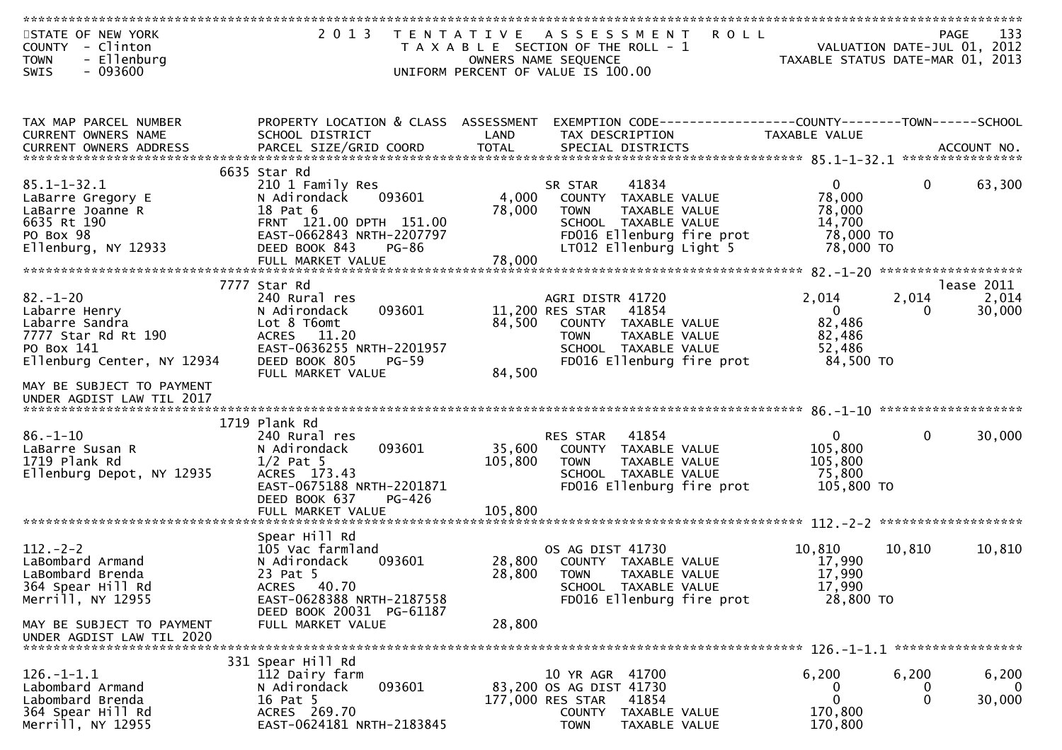| STATE OF NEW YORK                                                                                                   | 2 0 1 3                                                                                                                                                   | T E N T A T I V E            | A S S E S S M E N T                                                                                                                                             | <b>ROLL</b>                                                                    | 133<br><b>PAGE</b>                                              |
|---------------------------------------------------------------------------------------------------------------------|-----------------------------------------------------------------------------------------------------------------------------------------------------------|------------------------------|-----------------------------------------------------------------------------------------------------------------------------------------------------------------|--------------------------------------------------------------------------------|-----------------------------------------------------------------|
| <b>COUNTY</b><br>- Clinton<br><b>TOWN</b><br>- Ellenburg<br>SWIS<br>- 093600                                        |                                                                                                                                                           |                              | T A X A B L E SECTION OF THE ROLL - 1<br>OWNERS NAME SEQUENCE<br>UNIFORM PERCENT OF VALUE IS 100.00                                                             |                                                                                | VALUATION DATE-JUL 01, 2012<br>TAXABLE STATUS DATE-MAR 01, 2013 |
|                                                                                                                     |                                                                                                                                                           |                              |                                                                                                                                                                 |                                                                                |                                                                 |
| TAX MAP PARCEL NUMBER<br>CURRENT OWNERS NAME                                                                        | PROPERTY LOCATION & CLASS ASSESSMENT<br>SCHOOL DISTRICT                                                                                                   | LAND                         | TAX DESCRIPTION                                                                                                                                                 | EXEMPTION CODE------------------COUNTY-------TOWN------SCHOOL<br>TAXABLE VALUE |                                                                 |
|                                                                                                                     |                                                                                                                                                           |                              |                                                                                                                                                                 |                                                                                |                                                                 |
|                                                                                                                     | 6635 Star Rd                                                                                                                                              |                              |                                                                                                                                                                 |                                                                                |                                                                 |
| $85.1 - 1 - 32.1$<br>LaBarre Gregory E<br>LaBarre Joanne R<br>6635 Rt 190<br>PO Box 98<br>Ellenburg, NY 12933       | 210 1 Family Res<br>093601<br>N Adirondack<br>18 Pat 6<br>FRNT 121.00 DPTH 151.00<br>EAST-0662843 NRTH-2207797<br>DEED BOOK 843<br><b>PG-86</b>           | 4,000<br>78,000              | 41834<br>SR STAR<br>COUNTY TAXABLE VALUE<br><b>TAXABLE VALUE</b><br><b>TOWN</b><br>SCHOOL TAXABLE VALUE<br>FD016 Ellenburg fire prot<br>LT012 Ellenburg Light 5 | $\mathbf{0}$<br>78,000<br>78,000<br>14,700<br>78,000 TO<br>78,000 TO           | $\mathbf{0}$<br>63,300                                          |
|                                                                                                                     | FULL MARKET VALUE                                                                                                                                         | 78,000                       |                                                                                                                                                                 |                                                                                |                                                                 |
|                                                                                                                     | 7777 Star Rd                                                                                                                                              |                              |                                                                                                                                                                 |                                                                                | lease 2011                                                      |
| $82 - 1 - 20$<br>Labarre Henry<br>Labarre Sandra<br>7777 Star Rd Rt 190<br>PO Box 141<br>Ellenburg Center, NY 12934 | 240 Rural res<br>093601<br>N Adirondack<br>Lot 8 T6omt<br>ACRES 11.20<br>EAST-0636255 NRTH-2201957<br>DEED BOOK 805<br>$PG-59$                            | 84,500                       | AGRI DISTR 41720<br>41854<br>11,200 RES STAR<br>COUNTY TAXABLE VALUE<br><b>TOWN</b><br>TAXABLE VALUE<br>SCHOOL TAXABLE VALUE<br>FD016 Ellenburg fire prot       | 2,014<br>$\overline{0}$<br>82,486<br>82,486<br>52,486<br>84,500 TO             | 2,014<br>2,014<br>30,000<br>0                                   |
| MAY BE SUBJECT TO PAYMENT<br>UNDER AGDIST LAW TIL 2017                                                              | FULL MARKET VALUE                                                                                                                                         | 84,500                       |                                                                                                                                                                 |                                                                                |                                                                 |
|                                                                                                                     | 1719 Plank Rd                                                                                                                                             |                              |                                                                                                                                                                 |                                                                                |                                                                 |
| $86. - 1 - 10$<br>LaBarre Susan R<br>1719 Plank Rd<br>Ellenburg Depot, NY 12935                                     | 240 Rural res<br>N Adirondack<br>093601<br>$1/2$ Pat 5<br>ACRES 173.43<br>EAST-0675188 NRTH-2201871<br>DEED BOOK 637<br>PG-426<br>FULL MARKET VALUE       | 35,600<br>105,800<br>105,800 | 41854<br>RES STAR<br>COUNTY TAXABLE VALUE<br>TAXABLE VALUE<br><b>TOWN</b><br>SCHOOL TAXABLE VALUE<br>FD016 Ellenburg fire prot                                  | $\mathbf{0}$<br>105,800<br>105,800<br>75,800<br>105,800 TO                     | $\mathbf{0}$<br>30,000                                          |
|                                                                                                                     |                                                                                                                                                           |                              |                                                                                                                                                                 |                                                                                |                                                                 |
| $112 - 2 - 2$<br>LaBombard Armand<br>LaBombard Brenda<br>364 Spear Hill Rd<br>Merrill, NY 12955                     | Spear Hill Rd<br>105 Vac farmland<br>N Adirondack<br>093601<br>23 Pat 5<br>40.70<br><b>ACRES</b><br>EAST-0628388 NRTH-2187558<br>DEED BOOK 20031 PG-61187 | 28,800<br>28,800             | OS AG DIST 41730<br>COUNTY TAXABLE VALUE<br><b>TOWN</b><br>TAXABLE VALUE<br>SCHOOL TAXABLE VALUE<br>FD016 Ellenburg fire prot                                   | 10,810<br>17,990<br>17,990<br>17,990<br>28,800 TO                              | 10,810<br>10,810                                                |
| MAY BE SUBJECT TO PAYMENT<br>UNDER AGDIST LAW TIL 2020                                                              | FULL MARKET VALUE                                                                                                                                         | 28,800                       |                                                                                                                                                                 |                                                                                |                                                                 |
|                                                                                                                     | 331 Spear Hill Rd                                                                                                                                         |                              |                                                                                                                                                                 |                                                                                |                                                                 |
| $126. - 1 - 1.1$<br>Labombard Armand<br>Labombard Brenda<br>364 Spear Hill Rd<br>Merrill, NY 12955                  | 112 Dairy farm<br>093601<br>N Adirondack<br>16 Pat 5<br>ACRES 269.70<br>EAST-0624181 NRTH-2183845                                                         |                              | 10 YR AGR 41700<br>83,200 OS AG DIST 41730<br>177,000 RES STAR<br>41854<br>COUNTY<br>TAXABLE VALUE<br><b>TOWN</b><br>TAXABLE VALUE                              | 6,200<br>0<br>$\mathbf{0}$<br>170,800<br>170,800                               | 6,200<br>6,200<br>$\Omega$<br>$\mathbf 0$<br>$\Omega$<br>30,000 |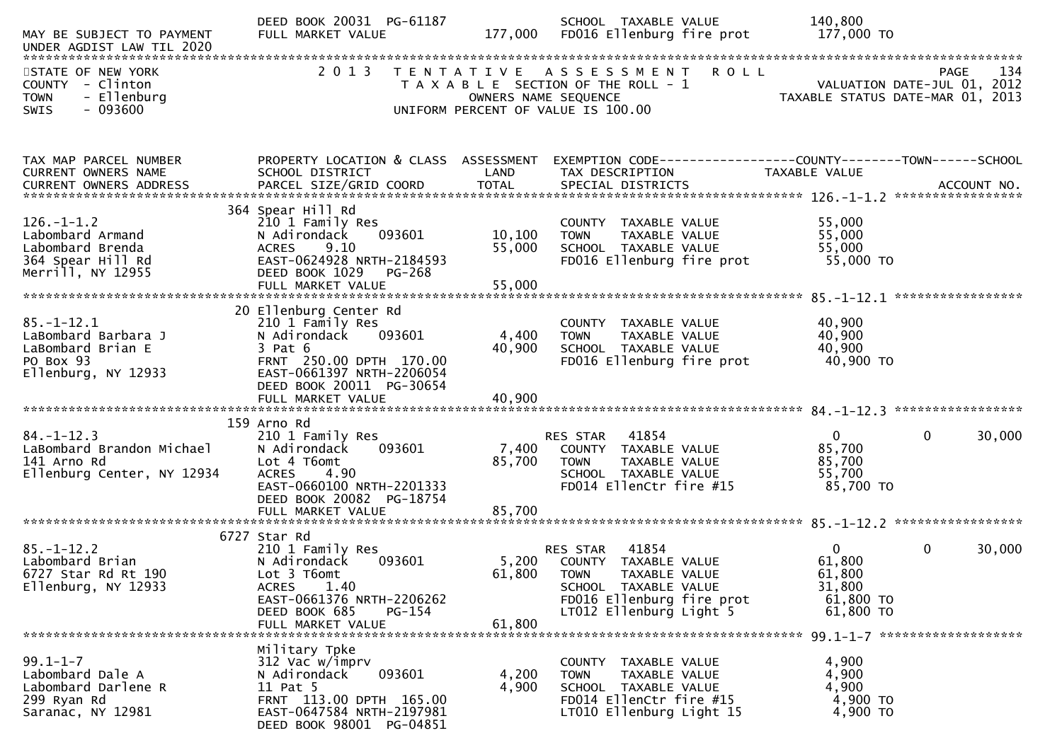| MAY BE SUBJECT TO PAYMENT                                                                          | DEED BOOK 20031 PG-61187<br>FULL MARKET VALUE                                                                                                                                    | 177,000                     | SCHOOL TAXABLE VALUE<br>FD016 Ellenburg fire prot                                                                                                         | 140,800<br>177,000 TO                                                            |                    |
|----------------------------------------------------------------------------------------------------|----------------------------------------------------------------------------------------------------------------------------------------------------------------------------------|-----------------------------|-----------------------------------------------------------------------------------------------------------------------------------------------------------|----------------------------------------------------------------------------------|--------------------|
| STATE OF NEW YORK<br>COUNTY - Clinton<br>- Ellenburg<br><b>TOWN</b><br>$-093600$<br>SWIS           | 2 0 1 3                                                                                                                                                                          | OWNERS NAME SEQUENCE        | TENTATIVE ASSESSMENT ROLL<br>T A X A B L E SECTION OF THE ROLL - 1<br>UNIFORM PERCENT OF VALUE IS 100.00                                                  | 134 PAGE<br>VALUATION DATE-JUL 01, 2012<br>TAXABLE STATUS DATE-MAR 01, 2013      | 134<br><b>PAGE</b> |
| TAX MAP PARCEL NUMBER<br>CURRENT OWNERS NAME                                                       | SCHOOL DISTRICT                                                                                                                                                                  | LAND                        | PROPERTY LOCATION & CLASS ASSESSMENT EXEMPTION CODE---------------COUNTY-------TOWN------SCHOOL<br>TAX DESCRIPTION                                        | TAXABLE VALUE                                                                    |                    |
| $126. - 1 - 1.2$<br>Labombard Armand<br>Labombard Brenda<br>364 Spear Hill Rd<br>Merrill, NY 12955 | 364 Spear Hill Rd<br>210 1 Family Res<br>093601<br>N Adirondack<br>ACRES 9.10<br>EAST-0624928 NRTH-2184593<br>DEED BOOK 1029<br>PG-268<br>FULL MARKET VALUE                      | 10, 100<br>55,000<br>55,000 | COUNTY TAXABLE VALUE<br><b>TOWN</b><br>TAXABLE VALUE<br>SCHOOL TAXABLE VALUE<br>FD016 Ellenburg fire prot 55,000 TO                                       | 55,000<br>55,000<br>55,000                                                       |                    |
| $85. - 1 - 12.1$<br>LaBombard Barbara J<br>LaBombard Brian E<br>PO Box 93<br>Ellenburg, NY 12933   | 20 Ellenburg Center Rd<br>210 1 Family Res<br>N Adirondack<br>093601<br>$3$ Pat $6$<br>FRNT 250.00 DPTH 170.00<br>EAST-0661397 NRTH-2206054<br>DEED BOOK 20011 PG-30654          | 4,400<br>40,900             | COUNTY TAXABLE VALUE<br><b>TOWN</b><br>TAXABLE VALUE<br>SCHOOL TAXABLE VALUE<br>FD016 Ellenburg fire prot                                                 | 40,900<br>40,900<br>40,900<br>40,900 TO                                          |                    |
| $84. - 1 - 12.3$<br>LaBombard Brandon Michael<br>141 Arno Rd<br>Ellenburg Center, NY 12934         | 159 Arno Rd<br>210 1 Family Res<br>N Adirondack<br>093601<br>Lot 4 T6omt<br><b>ACRES</b><br>4.90<br>EAST-0660100 NRTH-2201333<br>DEED BOOK 20082 PG-18754<br>FULL MARKET VALUE   | 7,400<br>85,700<br>85,700   | RES STAR<br>41854<br>COUNTY TAXABLE VALUE<br><b>TOWN</b><br>TAXABLE VALUE<br>SCHOOL TAXABLE VALUE<br>FD014 EllenCtr fire #15                              | $\mathbf{0}$<br>$\mathbf{0}$<br>85,700<br>85,700<br>55,700<br>85,700 TO          | 30,000             |
| $85. - 1 - 12.2$<br>Labombard Brian<br>6727 Star Rd Rt 190<br>Ellenburg, NY 12933                  | 6727 Star Rd<br>210 1 Family Res<br>093601<br>N Adirondack<br>Lot 3 T6omt<br>1.40<br><b>ACRES</b><br>EAST-0661376 NRTH-2206262<br>DEED BOOK 685<br>$PG-154$<br>FULL MARKET VALUE | 5,200<br>61,800<br>61,800   | 41854<br>RES STAR<br>COUNTY TAXABLE VALUE<br><b>TOWN</b><br>TAXABLE VALUE<br>SCHOOL TAXABLE VALUE<br>FD016 Ellenburg fire prot<br>LT012 Ellenburg Light 5 | $\Omega$<br>$\mathbf{0}$<br>61,800<br>61,800<br>31,800<br>61,800 TO<br>61,800 TO | 30,000             |
| $99.1 - 1 - 7$<br>Labombard Dale A<br>Labombard Darlene R<br>299 Ryan Rd<br>Saranac, NY 12981      | Military Tpke<br>312 Vac w/imprv<br>N Adirondack<br>093601<br>11 Pat 5<br>FRNT 113.00 DPTH 165.00<br>EAST-0647584 NRTH-2197981<br>DEED BOOK 98001 PG-04851                       | 4,200<br>4,900              | COUNTY TAXABLE VALUE<br>TAXABLE VALUE<br><b>TOWN</b><br>SCHOOL TAXABLE VALUE<br>FD014 EllenCtr fire #15<br>LT010 Ellenburg Light 15                       | 4,900<br>4,900<br>4,900<br>4,900 TO<br>4,900 TO                                  |                    |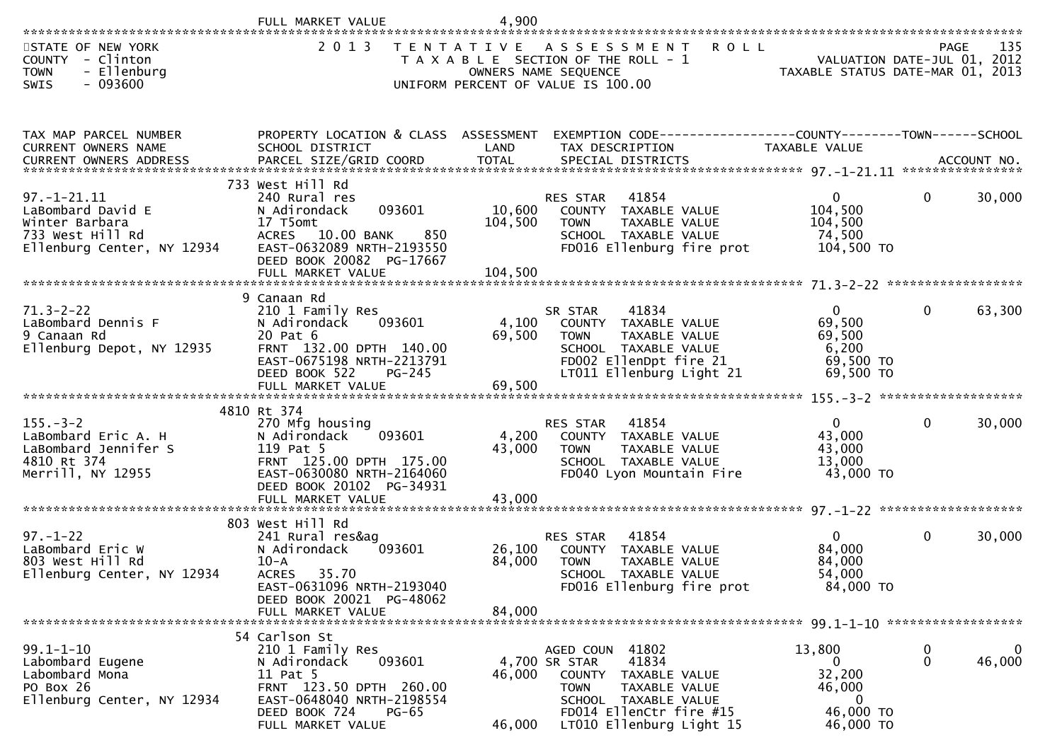|                                                                                                            | FULL MARKET VALUE                                                                                                                                                    | 4,900                     |                                                                                                                                                                                     |                                                                             |                  |             |
|------------------------------------------------------------------------------------------------------------|----------------------------------------------------------------------------------------------------------------------------------------------------------------------|---------------------------|-------------------------------------------------------------------------------------------------------------------------------------------------------------------------------------|-----------------------------------------------------------------------------|------------------|-------------|
| STATE OF NEW YORK<br><b>COUNTY</b><br>- Clinton<br>- Ellenburg<br><b>TOWN</b><br>SWIS<br>$-093600$         | 2 0 1 3                                                                                                                                                              |                           | TENTATIVE ASSESSMENT<br><b>ROLL</b><br>T A X A B L E SECTION OF THE ROLL - 1<br>OWNERS NAME SEQUENCE<br>UNIFORM PERCENT OF VALUE IS 100.00                                          | VALUATION DATE-JUL 01, 2012<br>TAXABLE STATUS DATE-MAR 01, 2013             | PAGE             | 135         |
| TAX MAP PARCEL NUMBER<br>CURRENT OWNERS NAME                                                               | PROPERTY LOCATION & CLASS ASSESSMENT<br>SCHOOL DISTRICT                                                                                                              | LAND                      | EXEMPTION CODE------------------COUNTY--------TOWN------SCHOOL<br>TAX DESCRIPTION                                                                                                   | TAXABLE VALUE                                                               |                  |             |
| $97. - 1 - 21.11$<br>LaBombard David E<br>Winter Barbara<br>733 West Hill Rd<br>Ellenburg Center, NY 12934 | 733 West Hill Rd<br>240 Rural res<br>093601<br>N Adirondack<br>17 T5omt<br>850<br>ACRES 10.00 BANK<br>EAST-0632089 NRTH-2193550<br>DEED BOOK 20082 PG-17667          | 10,600<br>104,500         | 41854<br><b>RES STAR</b><br>COUNTY TAXABLE VALUE<br>TAXABLE VALUE<br><b>TOWN</b><br>SCHOOL TAXABLE VALUE<br>FD016 Ellenburg fire prot                                               | $\overline{0}$<br>104,500<br>104,500<br>74,500<br>104,500 TO                | $\mathbf{0}$     | 30,000      |
|                                                                                                            | 9 Canaan Rd                                                                                                                                                          |                           |                                                                                                                                                                                     |                                                                             |                  |             |
| $71.3 - 2 - 22$<br>LaBombard Dennis F<br>9 Canaan Rd<br>Ellenburg Depot, NY 12935                          | 210 1 Family Res<br>093601<br>N Adirondack<br>20 Pat 6<br>FRNT 132.00 DPTH 140.00<br>EAST-0675198 NRTH-2213791<br>DEED BOOK 522<br>$PG-245$<br>FULL MARKET VALUE     | 4,100<br>69,500<br>69,500 | 41834<br>SR STAR<br>COUNTY TAXABLE VALUE<br>TAXABLE VALUE<br><b>TOWN</b><br>SCHOOL TAXABLE VALUE<br>FD002 EllenDpt fire 21<br>LT011 Ellenburg Light 21                              | $\overline{0}$<br>69,500<br>69,500<br>6,200<br>69,500 TO<br>69,500 TO       | 0                | 63,300      |
|                                                                                                            | 4810 Rt 374                                                                                                                                                          |                           |                                                                                                                                                                                     |                                                                             |                  |             |
| $155. - 3 - 2$<br>LaBombard Eric A. H<br>LaBombard Jennifer S<br>4810 Rt 374<br>Merrill, NY 12955          | 270 Mfg housing<br>093601<br>N Adirondack<br>119 Pat 5<br>FRNT 125.00 DPTH 175.00<br>EAST-0630080 NRTH-2164060<br>DEED BOOK 20102 PG-34931<br>FULL MARKET VALUE      | 4,200<br>43,000<br>43,000 | 41854<br>RES STAR<br>COUNTY TAXABLE VALUE<br>TAXABLE VALUE<br><b>TOWN</b><br>SCHOOL TAXABLE VALUE<br>FD040 Lyon Mountain Fire                                                       | $\overline{0}$<br>43,000<br>43,000<br>13,000<br>43,000 TO                   | $\mathbf{0}$     | 30,000      |
|                                                                                                            |                                                                                                                                                                      |                           |                                                                                                                                                                                     |                                                                             |                  |             |
| $97. - 1 - 22$<br>LaBombard Eric W<br>803 West Hill Rd<br>Ellenburg Center, NY 12934                       | 803 West Hill Rd<br>241 Rural res&ag<br>093601<br>N Adirondack<br>$10-A$<br>ACRES 35.70<br>EAST-0631096 NRTH-2193040                                                 | 26,100<br>84,000          | 41854<br>RES STAR<br>TAXABLE VALUE<br>COUNTY<br><b>TOWN</b><br><b>TAXABLE VALUE</b><br>SCHOOL TAXABLE VALUE<br>FD016 Ellenburg fire prot                                            | $\mathbf{0}$<br>84,000<br>84,000<br>54,000<br>84,000 TO                     | 0                | 30,000      |
|                                                                                                            | DEED BOOK 20021 PG-48062<br>FULL MARKET VALUE                                                                                                                        | 84,000                    |                                                                                                                                                                                     |                                                                             |                  |             |
|                                                                                                            | 54 Carlson St                                                                                                                                                        |                           |                                                                                                                                                                                     |                                                                             |                  |             |
| $99.1 - 1 - 10$<br>Labombard Eugene<br>Labombard Mona<br>PO Box 26<br>Ellenburg Center, NY 12934           | 210 1 Family Res<br>093601<br>N Adirondack<br>11 Pat 5<br>FRNT 123.50 DPTH 260.00<br>EAST-0648040 NRTH-2198554<br>DEED BOOK 724<br><b>PG-65</b><br>FULL MARKET VALUE | 46,000<br>46,000          | 41802<br>AGED COUN<br>41834<br>4,700 SR STAR<br>COUNTY TAXABLE VALUE<br>TAXABLE VALUE<br><b>TOWN</b><br>SCHOOL TAXABLE VALUE<br>FD014 EllenCtr fire #15<br>LT010 Ellenburg Light 15 | 13,800<br>$\overline{0}$<br>32,200<br>46,000<br>0<br>46,000 TO<br>46,000 TO | 0<br>$\mathbf 0$ | 0<br>46,000 |
|                                                                                                            |                                                                                                                                                                      |                           |                                                                                                                                                                                     |                                                                             |                  |             |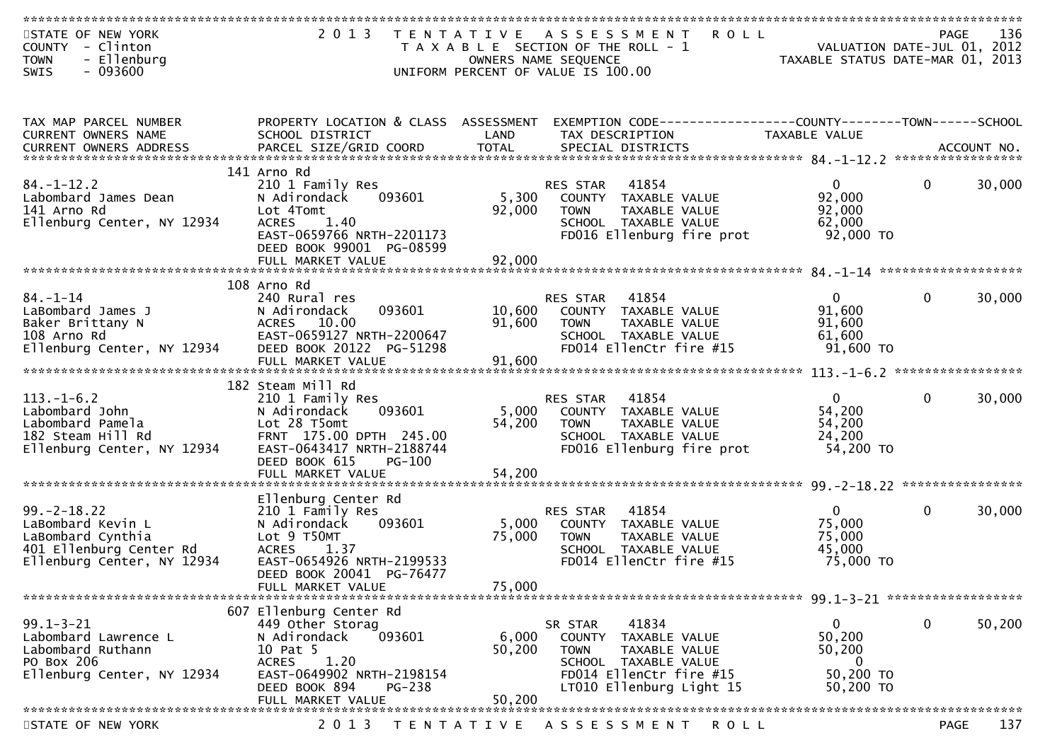| STATE OF NEW YORK               | 2 0 1 3<br>T E N T A T I V E                                                                                    |        | R O L L<br>A S S E S S M E N T                                 |                                  | PAGE         | 136    |
|---------------------------------|-----------------------------------------------------------------------------------------------------------------|--------|----------------------------------------------------------------|----------------------------------|--------------|--------|
| COUNTY - Clinton                |                                                                                                                 |        | T A X A B L E SECTION OF THE ROLL - 1                          | VALUATION DATE-JUL 01, 2012      |              |        |
| - Ellenburg<br><b>TOWN</b>      |                                                                                                                 |        | OWNERS NAME SEQUENCE                                           | TAXABLE STATUS DATE-MAR 01, 2013 |              |        |
| $-093600$<br>SWIS               |                                                                                                                 |        | UNIFORM PERCENT OF VALUE IS 100.00                             |                                  |              |        |
|                                 |                                                                                                                 |        |                                                                |                                  |              |        |
|                                 |                                                                                                                 |        |                                                                |                                  |              |        |
|                                 |                                                                                                                 |        |                                                                |                                  |              |        |
| TAX MAP PARCEL NUMBER           | PROPERTY LOCATION & CLASS ASSESSMENT                                                                            |        | EXEMPTION CODE------------------COUNTY--------TOWN------SCHOOL |                                  |              |        |
| CURRENT OWNERS NAME             | SCHOOL DISTRICT                                                                                                 | LAND   | TAX DESCRIPTION                                                | TAXABLE VALUE                    |              |        |
| <b>CURRENT OWNERS ADDRESS</b>   | .4CCOUNT NO . PARCEL SIZE/GRID COORD TOTAL SPECIAL DISTRICTS SPERE BALL ACCOUNT NO . ACCOUNT NO . AND A AND RES |        |                                                                |                                  |              |        |
|                                 |                                                                                                                 |        |                                                                |                                  |              |        |
|                                 | 141 Arno Rd                                                                                                     |        |                                                                |                                  |              |        |
| $84. - 1 - 12.2$                | 210 1 Family Res                                                                                                |        | 41854<br><b>RES STAR</b>                                       | $\mathbf{0}$                     | $\mathbf{0}$ | 30,000 |
| Labombard James Dean            | 093601<br>N Adirondack                                                                                          | 5,300  | COUNTY TAXABLE VALUE                                           | 92,000                           |              |        |
| 141 Arno Rd                     | Lot 4Tomt                                                                                                       | 92,000 | TAXABLE VALUE<br><b>TOWN</b>                                   | 92,000                           |              |        |
| Ellenburg Center, NY 12934      | 1.40<br><b>ACRES</b>                                                                                            |        | SCHOOL TAXABLE VALUE                                           | 62,000                           |              |        |
|                                 | EAST-0659766 NRTH-2201173                                                                                       |        | FD016 Ellenburg fire prot                                      | 92,000 TO                        |              |        |
|                                 | DEED BOOK 99001 PG-08599                                                                                        |        |                                                                |                                  |              |        |
|                                 | FULL MARKET VALUE                                                                                               | 92,000 |                                                                |                                  |              |        |
|                                 |                                                                                                                 |        |                                                                |                                  |              |        |
|                                 | 108 Arno Rd                                                                                                     |        |                                                                |                                  |              |        |
| $84. - 1 - 14$                  | 240 Rural res                                                                                                   |        | 41854<br><b>RES STAR</b>                                       | $\overline{0}$                   | $\mathbf{0}$ | 30,000 |
| LaBombard James J               | 093601<br>N Adirondack                                                                                          | 10,600 | COUNTY TAXABLE VALUE                                           | 91,600                           |              |        |
| Baker Brittany N                | ACRES 10.00                                                                                                     | 91,600 | TAXABLE VALUE<br><b>TOWN</b>                                   | 91,600                           |              |        |
| 108 Arno Rd                     | EAST-0659127 NRTH-2200647                                                                                       |        | SCHOOL TAXABLE VALUE                                           | 61,600                           |              |        |
| Ellenburg Center, NY 12934      | DEED BOOK 20122 PG-51298                                                                                        |        | FD014 EllenCtr fire #15                                        | $91,600$ TO                      |              |        |
|                                 | FULL MARKET VALUE                                                                                               | 91,600 |                                                                |                                  |              |        |
|                                 |                                                                                                                 |        |                                                                |                                  |              |        |
|                                 | 182 Steam Mill Rd                                                                                               |        |                                                                |                                  |              |        |
| $113. - 1 - 6.2$                | 210 1 Family Res                                                                                                |        | 41854<br>RES STAR                                              | $\overline{0}$                   | $\mathbf{0}$ | 30,000 |
| Labombard John                  | 093601<br>N Adirondack                                                                                          | 5,000  | COUNTY TAXABLE VALUE                                           | 54,200                           |              |        |
| Labombard Pamela                | Lot 28 T5omt                                                                                                    | 54,200 | <b>TOWN</b><br>TAXABLE VALUE                                   | 54,200                           |              |        |
| 182 Steam Hill Rd               | FRNT 175.00 DPTH 245.00                                                                                         |        | SCHOOL TAXABLE VALUE                                           | 24,200                           |              |        |
| Ellenburg Center, NY 12934      | EAST-0643417 NRTH-2188744                                                                                       |        | FD016 Ellenburg fire prot                                      | 54,200 TO                        |              |        |
|                                 | DEED BOOK 615<br><b>PG-100</b>                                                                                  |        |                                                                |                                  |              |        |
|                                 | FULL MARKET VALUE                                                                                               | 54,200 |                                                                |                                  |              |        |
| ******************************* |                                                                                                                 |        |                                                                |                                  |              |        |
|                                 | Ellenburg Center Rd                                                                                             |        |                                                                |                                  |              |        |
| $99. - 2 - 18.22$               | 210 1 Family Res                                                                                                |        | 41854<br><b>RES STAR</b>                                       | $\mathbf{0}$                     | $\mathbf{0}$ | 30,000 |
| LaBombard Kevin L               | 093601<br>N Adirondack                                                                                          | 5,000  | COUNTY TAXABLE VALUE                                           | 75,000                           |              |        |
| LaBombard Cynthia               | Lot 9 T50MT                                                                                                     | 75,000 | <b>TOWN</b><br>TAXABLE VALUE                                   | 75,000                           |              |        |
| 401 Ellenburg Center Rd         | <b>ACRES</b><br>1.37                                                                                            |        | SCHOOL TAXABLE VALUE                                           | 45,000                           |              |        |
| Ellenburg Center, NY 12934      | EAST-0654926 NRTH-2199533                                                                                       |        | FD014 EllenCtr fire #15                                        | 75,000 TO                        |              |        |
|                                 | DEED BOOK 20041 PG-76477                                                                                        |        |                                                                |                                  |              |        |
|                                 | FULL MARKET VALUE                                                                                               | 75,000 |                                                                |                                  |              |        |
|                                 |                                                                                                                 |        |                                                                |                                  |              |        |
|                                 | 607 Ellenburg Center Rd                                                                                         |        |                                                                |                                  |              |        |
| $99.1 - 3 - 21$                 | 449 Other Storag                                                                                                |        | 41834<br>SR STAR                                               | 0                                | 0            | 50,200 |
| Labombard Lawrence L            | N Adirondack<br>093601                                                                                          | 6,000  | TAXABLE VALUE<br>COUNTY                                        | 50,200                           |              |        |
| Labombard Ruthann               | 10 Pat 5                                                                                                        | 50,200 | TAXABLE VALUE<br><b>TOWN</b>                                   | 50,200                           |              |        |
| PO Box 206                      | 1.20<br><b>ACRES</b>                                                                                            |        | SCHOOL TAXABLE VALUE                                           | 0                                |              |        |
| Ellenburg Center, NY 12934      | EAST-0649902 NRTH-2198154                                                                                       |        | FD014 EllenCtr fire #15                                        | 50,200 TO                        |              |        |
|                                 | DEED BOOK 894<br>PG-238                                                                                         |        | LT010 Ellenburg Light 15                                       | 50,200 TO                        |              |        |
|                                 | FULL MARKET VALUE                                                                                               | 50,200 |                                                                |                                  |              |        |
|                                 |                                                                                                                 |        |                                                                |                                  |              |        |
| STATE OF NEW YORK               | 2 0 1 3                                                                                                         |        | TENTATIVE ASSESSMENT<br>R O L L                                |                                  | PAGE         | 137    |
|                                 |                                                                                                                 |        |                                                                |                                  |              |        |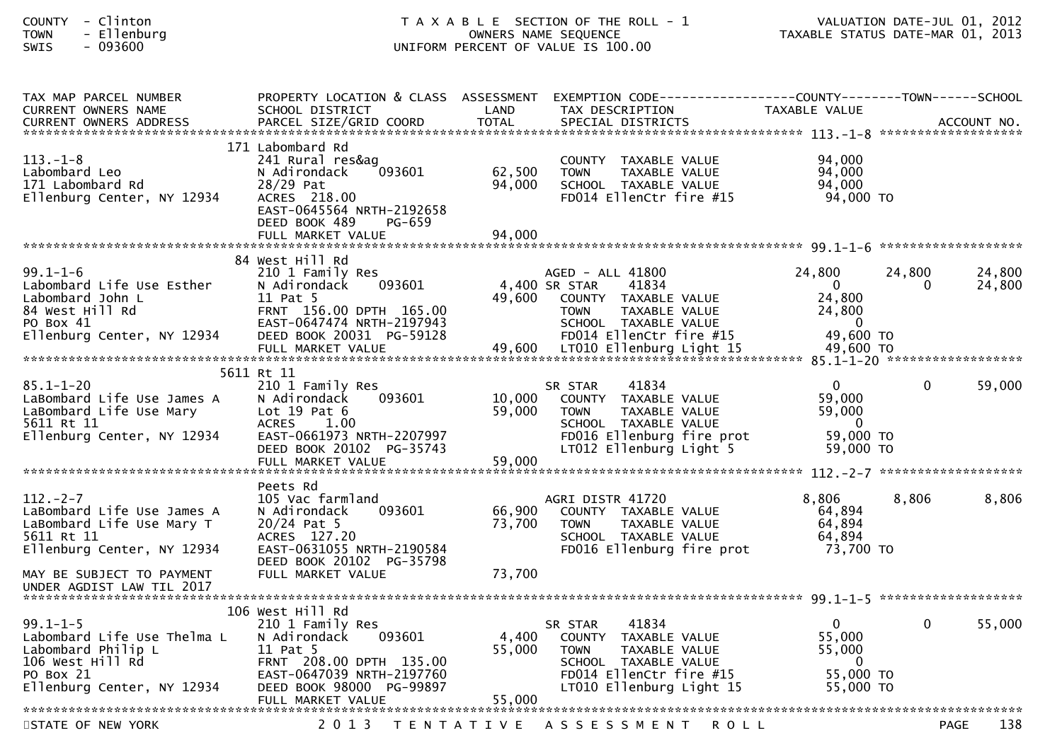| - Clinton<br><b>COUNTY</b><br>- Ellenburg<br><b>TOWN</b><br>$-093600$<br>SWIS                                                      |                                                                                                                                                     |                  | T A X A B L E SECTION OF THE ROLL - 1<br>OWNERS NAME SEQUENCE<br>UNIFORM PERCENT OF VALUE IS 100.00                                                        | VALUATION DATE-JUL 01, 2012<br>TAXABLE STATUS DATE-MAR 01, 2013                        |              | VALUATION DATE-JUL 01, 2012 |
|------------------------------------------------------------------------------------------------------------------------------------|-----------------------------------------------------------------------------------------------------------------------------------------------------|------------------|------------------------------------------------------------------------------------------------------------------------------------------------------------|----------------------------------------------------------------------------------------|--------------|-----------------------------|
| TAX MAP PARCEL NUMBER<br>CURRENT OWNERS NAME                                                                                       | PROPERTY LOCATION & CLASS ASSESSMENT<br>SCHOOL DISTRICT                                                                                             | LAND             | EXEMPTION CODE-----------------COUNTY-------TOWN------SCHOOL<br>TAX DESCRIPTION                                                                            | TAXABLE VALUE                                                                          |              |                             |
| $113.-1-8$<br>Labombard Leo<br>171 Labombard Rd<br>Ellenburg Center, NY 12934                                                      | 171 Labombard Rd<br>241 Rural res&ag<br>093601<br>N Adirondack<br>28/29 Pat<br>ACRES 218.00<br>EAST-0645564 NRTH-2192658<br>DEED BOOK 489<br>PG-659 | 62,500<br>94,000 | COUNTY TAXABLE VALUE<br><b>TOWN</b><br>TAXABLE VALUE<br>SCHOOL TAXABLE VALUE<br>FD014 EllenCtr fire #15                                                    | 94,000<br>94,000<br>94,000<br>94,000 TO                                                |              |                             |
|                                                                                                                                    | FULL MARKET VALUE                                                                                                                                   | 94,000           |                                                                                                                                                            |                                                                                        |              |                             |
| $99.1 - 1 - 6$<br>Labombard Life Use Esther<br>Labombard John L<br>84 West Hill Rd<br>PO Box 41                                    | 84 West Hill Rd<br>210 1 Family Res<br>093601<br>N Adirondack<br>11 Pat 5<br>FRNT 156.00 DPTH 165.00<br>EAST-0647474 NRTH-2197943                   |                  | AGED - ALL 41800<br>4,400 SR STAR<br>41834<br>49,600 COUNTY TAXABLE VALUE<br>TAXABLE VALUE<br><b>TOWN</b><br>SCHOOL TAXABLE VALUE                          | 24,800<br>$\overline{0}$<br>24,800<br>24,800<br>$\overline{\phantom{0}}$               | 24,800<br>0  | 24,800<br>24,800            |
| Ellenburg Center, NY 12934                                                                                                         | DEED BOOK 20031 PG-59128                                                                                                                            |                  | FD014 EllenCtr fire #15                                                                                                                                    | 49,600 TO                                                                              |              |                             |
|                                                                                                                                    | 5611 Rt 11                                                                                                                                          |                  |                                                                                                                                                            |                                                                                        |              |                             |
| $85.1 - 1 - 20$<br>LaBombard Life Use James A<br>LaBombard Life Use Mary<br>5611 Rt 11<br>5611 Rt 11<br>Ellenburg Center, NY 12934 | 210 1 Family Res<br>093601<br>N Adirondack<br>Lot $19$ Pat $6$<br><b>ACRES</b><br>1.00<br>EAST-0661973 NRTH-2207997<br>DEED BOOK 20102 PG-35743     | 10,000<br>59,000 | 41834<br>SR STAR<br>COUNTY TAXABLE VALUE<br>TAXABLE VALUE<br><b>TOWN</b><br>SCHOOL TAXABLE VALUE<br>FD016 Ellenburg fire prot<br>LT012 Ellenburg Light 5   | $\mathbf{0}$<br>59,000<br>59,000<br>$\overline{\phantom{0}}$<br>59,000 TO<br>59,000 TO | $\mathbf{0}$ | 59,000                      |
|                                                                                                                                    | FULL MARKET VALUE                                                                                                                                   | 59,000           |                                                                                                                                                            |                                                                                        |              |                             |
| $112. - 2 - 7$<br>LaBombard Life Use James A<br>LaBombard Life Use Mary T<br>5611 Rt 11<br>Ellenburg Center, NY 12934              | Peets Rd<br>105 Vac farmland<br>093601<br>N Adirondack<br>$20/24$ Pat 5<br>ACRES 127.20<br>EAST-0631055 NRTH-2190584                                | 66,900<br>73,700 | AGRI DISTR 41720<br>COUNTY TAXABLE VALUE<br>TAXABLE VALUE<br><b>TOWN</b><br>SCHOOL TAXABLE VALUE<br>FD016 Ellenburg fire prot                              | 8,806<br>64,894<br>64,894<br>64,894<br>73,700 TO                                       | 8,806        | 8,806                       |
| MAY BE SUBJECT TO PAYMENT<br>UNDER AGDIST LAW TIL 2017                                                                             | DEED BOOK 20102 PG-35798<br>FULL MARKET VALUE                                                                                                       | 73,700           |                                                                                                                                                            |                                                                                        |              |                             |
|                                                                                                                                    | 106 West Hill Rd                                                                                                                                    |                  |                                                                                                                                                            |                                                                                        |              |                             |
| $99.1 - 1 - 5$<br>Labombard Life Use Thelma L<br>Labombard Philip L<br>106 West Hill Rd<br>PO Box 21<br>Ellenburg Center, NY 12934 | 210 1 Family Res<br>093601<br>N Adirondack<br>11 Pat 5<br>FRNT 208.00 DPTH 135.00<br>EAST-0647039 NRTH-2197760<br>DEED BOOK 98000 PG-99897          | 4,400<br>55,000  | 41834<br>SR STAR<br>COUNTY<br>TAXABLE VALUE<br><b>TOWN</b><br>TAXABLE VALUE<br>SCHOOL TAXABLE VALUE<br>FD014 EllenCtr fire #15<br>LT010 Ellenburg Light 15 | $\overline{0}$<br>55,000<br>55,000<br>0<br>55,000 TO<br>55,000 TO                      | 0            | 55,000                      |
|                                                                                                                                    | FULL MARKET VALUE                                                                                                                                   | 55,000           |                                                                                                                                                            |                                                                                        |              |                             |

STATE OF NEW YORK 2013 TENTATIVE ASSESSMENT ROLL PAGE

FULL MARKET VALUE 55,000 \*\*\*\*\*\*\*\*\*\*\*\*\*\*\*\*\*\*\*\*\*\*\*\*\*\*\*\*\*\*\*\*\*\*\*\*\*\*\*\*\*\*\*\*\*\*\*\*\*\*\*\*\*\*\*\*\*\*\*\*\*\*\*\*\*\*\*\*\*\*\*\*\*\*\*\*\*\*\*\*\*\*\*\*\*\*\*\*\*\*\*\*\*\*\*\*\*\*\*\*\*\*\*\*\*\*\*\*\*\*\*\*\*\*\*\*\*\*\*\*\*\*\*\*\*\*\*\*\*\*\*\*

138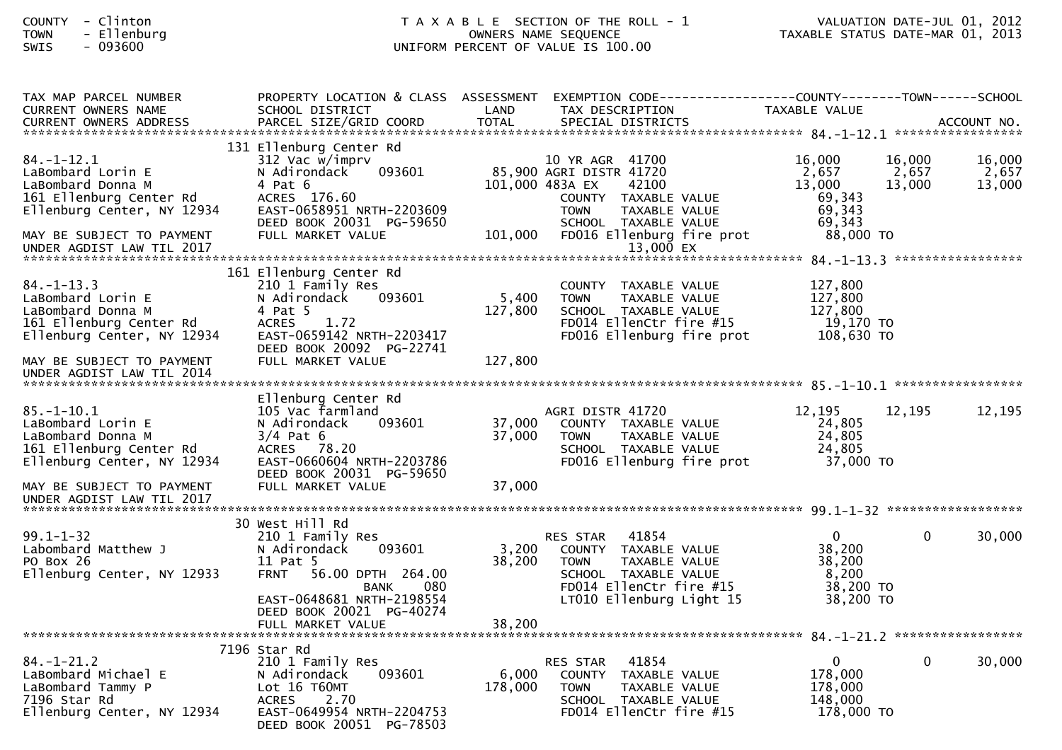### COUNTY - Clinton T A X A B L E SECTION OF THE ROLL - 1 VALUATION DATE-JUL 01, 2012TOWN - Ellenburg OWNERS NAME SEQUENCE TAXABLE STATUS DATE-MAR 01, 2013SWIS - 093600 UNIFORM PERCENT OF VALUE IS 100.00

| TAX MAP PARCEL NUMBER<br><b>CURRENT OWNERS NAME</b>                                                                                                                           | PROPERTY LOCATION & CLASS ASSESSMENT EXEMPTION CODE----------------COUNTY-------TOWN------SCHOOL<br>SCHOOL DISTRICT                                                               | LAND             | TAX DESCRIPTION                                                                                                                                                                                         | TAXABLE VALUE                                                        |                           |                           |
|-------------------------------------------------------------------------------------------------------------------------------------------------------------------------------|-----------------------------------------------------------------------------------------------------------------------------------------------------------------------------------|------------------|---------------------------------------------------------------------------------------------------------------------------------------------------------------------------------------------------------|----------------------------------------------------------------------|---------------------------|---------------------------|
| .CURRENT OWNERS ADDRESS PARCEL SIZE/GRID COORD TOTAL SPECIAL DISTRICTS ACCOUNT NO ACCOUNT NO ACCOUNT NO ACCOUNT NO                                                            |                                                                                                                                                                                   |                  |                                                                                                                                                                                                         |                                                                      |                           |                           |
| $84. - 1 - 12.1$<br>LaBombard Lorin E<br>LaBombard Donna M<br>161 Ellenburg Center Rd<br>Ellenburg Center, NY 12934<br>MAY BE SUBJECT TO PAYMENT<br>UNDER AGDIST LAW TIL 2017 | 131 Ellenburg Center Rd<br>312 Vac w/imprv<br>093601<br>N Adirondack<br>$4$ Pat $6$<br>ACRES 176.60<br>EAST-0658951 NRTH-2203609<br>DEED BOOK 20031 PG-59650<br>FULL MARKET VALUE | 101,000          | 10 YR AGR 41700<br>85,900 AGRI DISTR 41720<br>42100<br>101,000 483A EX<br>COUNTY TAXABLE VALUE<br><b>TOWN</b><br><b>TAXABLE VALUE</b><br>SCHOOL TAXABLE VALUE<br>FD016 Ellenburg fire prot<br>13,000 EX | 16,000<br>2,657<br>13,000<br>69,343<br>69,343<br>69,343<br>88,000 TO | 16,000<br>2,657<br>13,000 | 16,000<br>2,657<br>13,000 |
|                                                                                                                                                                               |                                                                                                                                                                                   |                  |                                                                                                                                                                                                         |                                                                      |                           |                           |
| $84. - 1 - 13.3$<br>LaBombard Lorin E<br>LaBombard Donna M<br>161 Ellenburg Center Rd<br>Ellenburg Center, NY 12934                                                           | 161 Ellenburg Center Rd<br>210 1 Family Res<br>093601<br>N Adirondack<br>4 Pat 5<br>1.72<br><b>ACRES</b><br>EAST-0659142 NRTH-2203417<br>DEED BOOK 20092 PG-22741                 | 5,400<br>127,800 | COUNTY TAXABLE VALUE<br>TAXABLE VALUE<br><b>TOWN</b><br>SCHOOL TAXABLE VALUE<br>FD014 EllenCtr fire #15<br>FD016 Ellenburg fire prot                                                                    | 127,800<br>127,800<br>127,800<br>19,170 TO<br>108,630 TO             |                           |                           |
| MAY BE SUBJECT TO PAYMENT<br>UNDER AGDIST LAW TIL 2014                                                                                                                        | FULL MARKET VALUE                                                                                                                                                                 | 127,800          |                                                                                                                                                                                                         |                                                                      |                           |                           |
|                                                                                                                                                                               |                                                                                                                                                                                   |                  |                                                                                                                                                                                                         |                                                                      |                           |                           |
| $85. - 1 - 10.1$<br>LaBombard Lorin E<br>LaBombard Donna M<br>161 Ellenburg Center Rd<br>Ellenburg Center, NY 12934                                                           | Ellenburg Center Rd<br>105 Vac farmland<br>N Adirondack<br>093601<br>$3/4$ Pat 6<br>ACRES 78.20<br>EAST-0660604 NRTH-2203786<br>DEED BOOK 20031 PG-59650                          | 37,000<br>37,000 | AGRI DISTR 41720<br>COUNTY TAXABLE VALUE<br>TAXABLE VALUE<br><b>TOWN</b><br>SCHOOL TAXABLE VALUE<br>FD016 Ellenburg fire prot                                                                           | 12,195<br>24,805<br>24,805<br>24,805<br>37,000 TO                    | 12,195                    | 12,195                    |
| MAY BE SUBJECT TO PAYMENT<br>UNDER AGDIST LAW TIL 2017                                                                                                                        | FULL MARKET VALUE                                                                                                                                                                 | 37,000           |                                                                                                                                                                                                         |                                                                      |                           |                           |
|                                                                                                                                                                               | 30 West Hill Rd                                                                                                                                                                   |                  |                                                                                                                                                                                                         |                                                                      |                           |                           |
| $99.1 - 1 - 32$<br>Labombard Matthew J<br>PO Box 26<br>Ellenburg Center, NY 12933                                                                                             | 210 1 Family Res<br>N Adirondack<br>093601<br>11 Pat 5<br>56.00 DPTH 264.00<br><b>FRNT</b><br><b>BANK</b><br>080<br>EAST-0648681 NRTH-2198554                                     | 3,200<br>38,200  | 41854<br><b>RES STAR</b><br>COUNTY TAXABLE VALUE<br><b>TAXABLE VALUE</b><br><b>TOWN</b><br>SCHOOL TAXABLE VALUE<br>FD014 EllenCtr fire #15<br>LT010 Ellenburg Light 15                                  | $\Omega$<br>38,200<br>38,200<br>8,200<br>38,200 TO<br>38,200 TO      | $\mathbf{0}$              | 30,000                    |
|                                                                                                                                                                               | DEED BOOK 20021 PG-40274<br>FULL MARKET VALUE                                                                                                                                     | 38,200           |                                                                                                                                                                                                         |                                                                      |                           |                           |
|                                                                                                                                                                               |                                                                                                                                                                                   |                  |                                                                                                                                                                                                         |                                                                      |                           |                           |
| $84. - 1 - 21.2$<br>LaBombard Michael E<br>LaBombard Tammy P<br>7196 Star Rd<br>Ellenburg Center, NY 12934                                                                    | 7196 Star Rd<br>210 1 Family Res<br>093601<br>N Adirondack<br>Lot 16 T60MT<br><b>ACRES</b><br>2.70<br>EAST-0649954 NRTH-2204753<br>DEED BOOK 20051 PG-78503                       | 6,000<br>178,000 | 41854<br>RES STAR<br>COUNTY TAXABLE VALUE<br>TAXABLE VALUE<br><b>TOWN</b><br>SCHOOL TAXABLE VALUE<br>FD014 EllenCtr fire #15                                                                            | $\Omega$<br>178,000<br>178,000<br>148,000<br>178,000 TO              | $\Omega$                  | 30,000                    |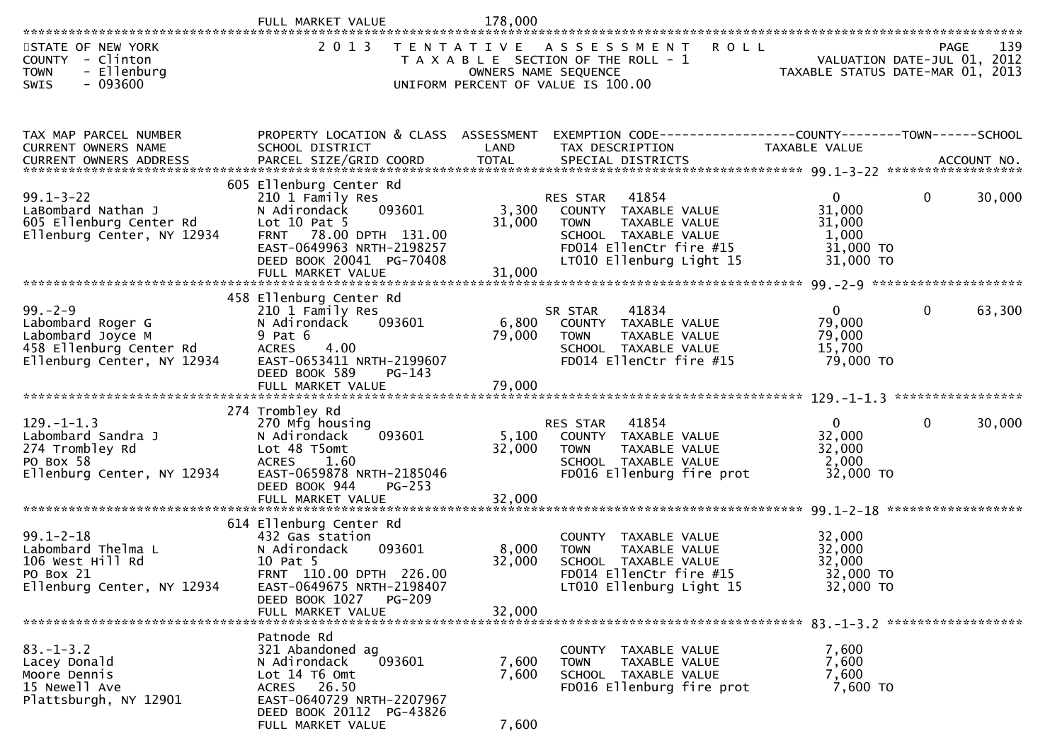| 2 0 1 3<br>STATE OF NEW YORK<br>T E N T A T I V E<br>A S S E S S M E N T<br><b>ROLL</b><br>PAGE<br>COUNTY - Clinton<br>T A X A B L E SECTION OF THE ROLL - 1<br>VALUATION DATE-JUL 01, 2012<br>VALUATION DATE-JUL 01, 2012<br>TAXABLE STATUS DATE-MAR 01, 2013<br><b>TOWN</b><br>- Ellenburg<br>OWNERS NAME SEQUENCE<br>SWIS<br>- 093600<br>UNIFORM PERCENT OF VALUE IS 100.00<br>PROPERTY LOCATION & CLASS ASSESSMENT<br>EXEMPTION CODE-----------------COUNTY--------TOWN------SCHOOL<br>TAX MAP PARCEL NUMBER<br>CURRENT OWNERS NAME<br>SCHOOL DISTRICT<br>LAND<br>TAX DESCRIPTION<br>TAXABLE VALUE<br>605 Ellenburg Center Rd<br>$99.1 - 3 - 22$<br>$\Omega$<br>$\mathbf 0$<br>210 1 Family Res<br>41854<br><b>RES STAR</b><br>31,000<br>093601<br>3,300<br>LaBombard Nathan J<br>N Adirondack<br>COUNTY TAXABLE VALUE<br>Lot $10$ Pat $5$<br>605 Ellenburg Center Rd<br>31,000<br>TAXABLE VALUE<br>31,000<br><b>TOWN</b><br>1,000<br>Ellenburg Center, NY 12934<br>78.00 DPTH 131.00<br>SCHOOL TAXABLE VALUE<br><b>FRNT</b><br>31,000 TO<br>EAST-0649963 NRTH-2198257<br>FD014 EllenCtr fire #15<br>DEED BOOK 20041 PG-70408<br>LT010 Ellenburg Light 15<br>31,000 TO<br>31,000<br>FULL MARKET VALUE<br>458 Ellenburg Center Rd<br>$99. - 2 - 9$<br>41834<br>$\overline{0}$<br>$\mathbf{0}$<br>210 1 Family Res<br>SR STAR<br>79,000<br>093601<br>6,800<br>Labombard Roger G<br>N Adirondack<br>COUNTY TAXABLE VALUE<br>79,000<br>$9$ Pat $6$<br>79,000<br>Labombard Joyce M<br>TAXABLE VALUE<br><b>TOWN</b><br>458 Ellenburg Center Rd<br>4.00<br>15,700<br><b>ACRES</b><br>SCHOOL TAXABLE VALUE<br>Ellenburg Center, NY 12934<br>EAST-0653411 NRTH-2199607<br>FD014 EllenCtr fire #15<br>79,000 TO<br>DEED BOOK 589<br>$PG-143$<br>79,000<br>FULL MARKET VALUE<br>*****************<br>274 Trombley Rd<br>$129. - 1 - 1.3$<br>$\mathbf{0}$<br>$\mathbf 0$<br>270 Mfg housing<br>RES STAR<br>41854<br>Labombard Sandra J<br>093601<br>5,100<br>32,000<br>N Adirondack<br>TAXABLE VALUE<br>COUNTY<br>32,000<br>32,000<br>274 Trombley Rd<br>Lot 48 T5omt<br>TAXABLE VALUE<br><b>TOWN</b><br><b>ACRES</b><br>2,000<br>PO Box 58<br>1.60<br>SCHOOL TAXABLE VALUE<br>Ellenburg Center, NY 12934<br>EAST-0659878 NRTH-2185046<br>FD016 Ellenburg fire prot<br>32,000 TO<br>DEED BOOK 944<br>$PG-253$<br>32,000<br>FULL MARKET VALUE<br>614 Ellenburg Center Rd<br>$99.1 - 2 - 18$<br>432 Gas station<br>TAXABLE VALUE<br>32,000<br><b>COUNTY</b><br>093601<br>8,000<br>32,000<br>Labombard Thelma L<br>N Adirondack<br>TAXABLE VALUE<br><b>TOWN</b><br>10 Pat 5<br>32,000<br>32,000<br>106 West Hill Rd<br>SCHOOL TAXABLE VALUE<br>FRNT 110.00 DPTH 226.00<br>PO Box 21<br>FD014 EllenCtr fire #15<br>32,000 TO<br>Ellenburg Center, NY 12934<br>LT010 Ellenburg Light 15<br>32,000 TO<br>EAST-0649675 NRTH-2198407<br>DEED BOOK 1027 PG-209<br>FULL MARKET VALUE<br>32,000<br>Patnode Rd<br>$83. - 1 - 3.2$<br>321 Abandoned ag<br>7,600<br>COUNTY TAXABLE VALUE<br>093601<br>7,600<br>Lacey Donald<br>N Adirondack<br>7,600<br>TAXABLE VALUE<br><b>TOWN</b><br>7,600<br>Moore Dennis<br>Lot 14 76 0mt<br>SCHOOL TAXABLE VALUE<br>7,600<br>15 Newell Ave<br>FD016 Ellenburg fire prot<br>7,600 TO<br>ACRES 26.50<br>EAST-0640729 NRTH-2207967<br>Plattsburgh, NY 12901<br>DEED BOOK 20112 PG-43826 | FULL MARKET VALUE | 178,000 |  |        |
|------------------------------------------------------------------------------------------------------------------------------------------------------------------------------------------------------------------------------------------------------------------------------------------------------------------------------------------------------------------------------------------------------------------------------------------------------------------------------------------------------------------------------------------------------------------------------------------------------------------------------------------------------------------------------------------------------------------------------------------------------------------------------------------------------------------------------------------------------------------------------------------------------------------------------------------------------------------------------------------------------------------------------------------------------------------------------------------------------------------------------------------------------------------------------------------------------------------------------------------------------------------------------------------------------------------------------------------------------------------------------------------------------------------------------------------------------------------------------------------------------------------------------------------------------------------------------------------------------------------------------------------------------------------------------------------------------------------------------------------------------------------------------------------------------------------------------------------------------------------------------------------------------------------------------------------------------------------------------------------------------------------------------------------------------------------------------------------------------------------------------------------------------------------------------------------------------------------------------------------------------------------------------------------------------------------------------------------------------------------------------------------------------------------------------------------------------------------------------------------------------------------------------------------------------------------------------------------------------------------------------------------------------------------------------------------------------------------------------------------------------------------------------------------------------------------------------------------------------------------------------------------------------------------------------------------------------------------------------------------------------------------------------------------------------------------------------------------------------------------------------------------------------------------------------------------------------------------------------------------------------------------------------------------------------|-------------------|---------|--|--------|
|                                                                                                                                                                                                                                                                                                                                                                                                                                                                                                                                                                                                                                                                                                                                                                                                                                                                                                                                                                                                                                                                                                                                                                                                                                                                                                                                                                                                                                                                                                                                                                                                                                                                                                                                                                                                                                                                                                                                                                                                                                                                                                                                                                                                                                                                                                                                                                                                                                                                                                                                                                                                                                                                                                                                                                                                                                                                                                                                                                                                                                                                                                                                                                                                                                                                                                      |                   |         |  | 139    |
|                                                                                                                                                                                                                                                                                                                                                                                                                                                                                                                                                                                                                                                                                                                                                                                                                                                                                                                                                                                                                                                                                                                                                                                                                                                                                                                                                                                                                                                                                                                                                                                                                                                                                                                                                                                                                                                                                                                                                                                                                                                                                                                                                                                                                                                                                                                                                                                                                                                                                                                                                                                                                                                                                                                                                                                                                                                                                                                                                                                                                                                                                                                                                                                                                                                                                                      |                   |         |  |        |
|                                                                                                                                                                                                                                                                                                                                                                                                                                                                                                                                                                                                                                                                                                                                                                                                                                                                                                                                                                                                                                                                                                                                                                                                                                                                                                                                                                                                                                                                                                                                                                                                                                                                                                                                                                                                                                                                                                                                                                                                                                                                                                                                                                                                                                                                                                                                                                                                                                                                                                                                                                                                                                                                                                                                                                                                                                                                                                                                                                                                                                                                                                                                                                                                                                                                                                      |                   |         |  | 30,000 |
|                                                                                                                                                                                                                                                                                                                                                                                                                                                                                                                                                                                                                                                                                                                                                                                                                                                                                                                                                                                                                                                                                                                                                                                                                                                                                                                                                                                                                                                                                                                                                                                                                                                                                                                                                                                                                                                                                                                                                                                                                                                                                                                                                                                                                                                                                                                                                                                                                                                                                                                                                                                                                                                                                                                                                                                                                                                                                                                                                                                                                                                                                                                                                                                                                                                                                                      |                   |         |  |        |
|                                                                                                                                                                                                                                                                                                                                                                                                                                                                                                                                                                                                                                                                                                                                                                                                                                                                                                                                                                                                                                                                                                                                                                                                                                                                                                                                                                                                                                                                                                                                                                                                                                                                                                                                                                                                                                                                                                                                                                                                                                                                                                                                                                                                                                                                                                                                                                                                                                                                                                                                                                                                                                                                                                                                                                                                                                                                                                                                                                                                                                                                                                                                                                                                                                                                                                      |                   |         |  | 63,300 |
|                                                                                                                                                                                                                                                                                                                                                                                                                                                                                                                                                                                                                                                                                                                                                                                                                                                                                                                                                                                                                                                                                                                                                                                                                                                                                                                                                                                                                                                                                                                                                                                                                                                                                                                                                                                                                                                                                                                                                                                                                                                                                                                                                                                                                                                                                                                                                                                                                                                                                                                                                                                                                                                                                                                                                                                                                                                                                                                                                                                                                                                                                                                                                                                                                                                                                                      |                   |         |  |        |
|                                                                                                                                                                                                                                                                                                                                                                                                                                                                                                                                                                                                                                                                                                                                                                                                                                                                                                                                                                                                                                                                                                                                                                                                                                                                                                                                                                                                                                                                                                                                                                                                                                                                                                                                                                                                                                                                                                                                                                                                                                                                                                                                                                                                                                                                                                                                                                                                                                                                                                                                                                                                                                                                                                                                                                                                                                                                                                                                                                                                                                                                                                                                                                                                                                                                                                      |                   |         |  | 30,000 |
|                                                                                                                                                                                                                                                                                                                                                                                                                                                                                                                                                                                                                                                                                                                                                                                                                                                                                                                                                                                                                                                                                                                                                                                                                                                                                                                                                                                                                                                                                                                                                                                                                                                                                                                                                                                                                                                                                                                                                                                                                                                                                                                                                                                                                                                                                                                                                                                                                                                                                                                                                                                                                                                                                                                                                                                                                                                                                                                                                                                                                                                                                                                                                                                                                                                                                                      |                   |         |  |        |
|                                                                                                                                                                                                                                                                                                                                                                                                                                                                                                                                                                                                                                                                                                                                                                                                                                                                                                                                                                                                                                                                                                                                                                                                                                                                                                                                                                                                                                                                                                                                                                                                                                                                                                                                                                                                                                                                                                                                                                                                                                                                                                                                                                                                                                                                                                                                                                                                                                                                                                                                                                                                                                                                                                                                                                                                                                                                                                                                                                                                                                                                                                                                                                                                                                                                                                      |                   |         |  |        |
|                                                                                                                                                                                                                                                                                                                                                                                                                                                                                                                                                                                                                                                                                                                                                                                                                                                                                                                                                                                                                                                                                                                                                                                                                                                                                                                                                                                                                                                                                                                                                                                                                                                                                                                                                                                                                                                                                                                                                                                                                                                                                                                                                                                                                                                                                                                                                                                                                                                                                                                                                                                                                                                                                                                                                                                                                                                                                                                                                                                                                                                                                                                                                                                                                                                                                                      |                   |         |  |        |
|                                                                                                                                                                                                                                                                                                                                                                                                                                                                                                                                                                                                                                                                                                                                                                                                                                                                                                                                                                                                                                                                                                                                                                                                                                                                                                                                                                                                                                                                                                                                                                                                                                                                                                                                                                                                                                                                                                                                                                                                                                                                                                                                                                                                                                                                                                                                                                                                                                                                                                                                                                                                                                                                                                                                                                                                                                                                                                                                                                                                                                                                                                                                                                                                                                                                                                      | FULL MARKET VALUE | 7,600   |  |        |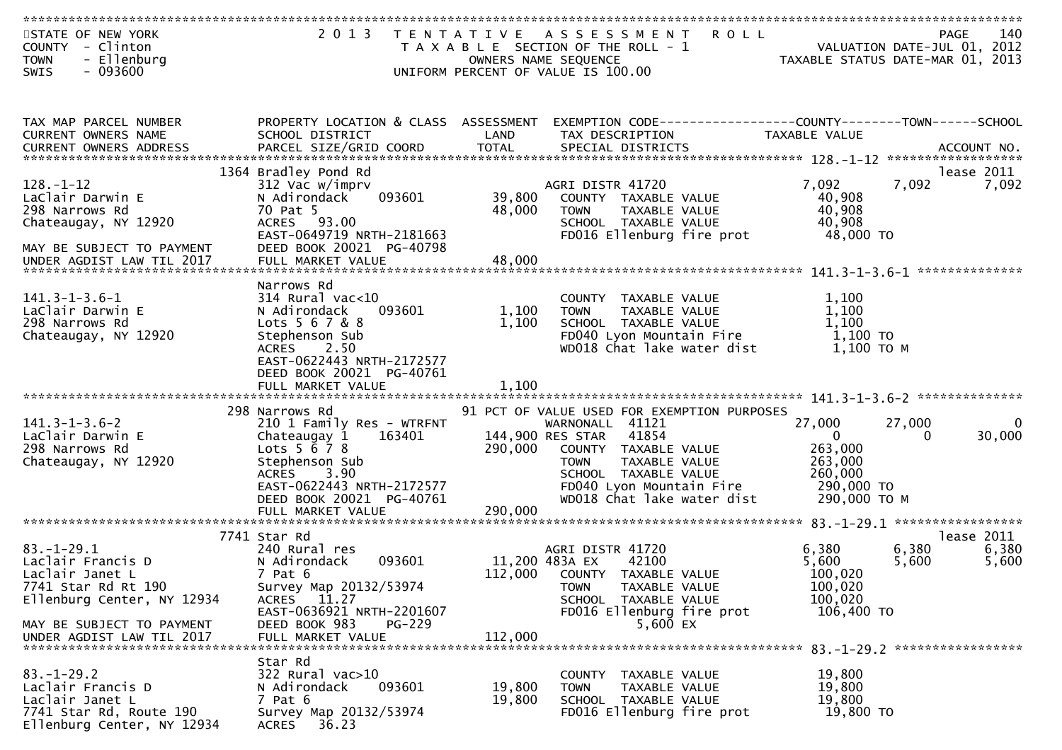| STATE OF NEW YORK<br>COUNTY - Clinton<br>- Ellenburg<br><b>TOWN</b><br>SWIS<br>$-093600$                          | 2 0 1 3                                                                                                                                                                                                            | T E N T A T I V E  | <b>ROLL</b><br>A S S E S S M E N T<br>T A X A B L E SECTION OF THE ROLL - 1<br>OWNERS NAME SEQUENCE<br>UNIFORM PERCENT OF VALUE IS 100.00                                                                                             | TAXABLE STATUS DATE-MAR 01, 2013                                                      | 140<br>PAGE<br>VALUATION DATE-JUL 01, 2012     |
|-------------------------------------------------------------------------------------------------------------------|--------------------------------------------------------------------------------------------------------------------------------------------------------------------------------------------------------------------|--------------------|---------------------------------------------------------------------------------------------------------------------------------------------------------------------------------------------------------------------------------------|---------------------------------------------------------------------------------------|------------------------------------------------|
|                                                                                                                   |                                                                                                                                                                                                                    |                    |                                                                                                                                                                                                                                       |                                                                                       |                                                |
| TAX MAP PARCEL NUMBER<br>CURRENT OWNERS NAME<br><b>CURRENT OWNERS ADDRESS</b>                                     | PROPERTY LOCATION & CLASS ASSESSMENT<br>SCHOOL DISTRICT                                                                                                                                                            | LAND               | EXEMPTION CODE-----------------COUNTY--------TOWN------SCHOOL<br>TAX DESCRIPTION                                                                                                                                                      | TAXABLE VALUE                                                                         |                                                |
|                                                                                                                   | 1364 Bradley Pond Rd                                                                                                                                                                                               |                    |                                                                                                                                                                                                                                       |                                                                                       | lease 2011                                     |
| $128. - 1 - 12$<br>LaClair Darwin E<br>298 Narrows Rd<br>Chateaugay, NY 12920<br>MAY BE SUBJECT TO PAYMENT        | 312 Vac w/imprv<br>093601<br>N Adirondack<br>70 Pat 5<br>ACRES 93.00<br>EAST-0649719 NRTH-2181663<br>DEED BOOK 20021 PG-40798                                                                                      | 39,800<br>48,000   | AGRI DISTR 41720<br>COUNTY TAXABLE VALUE<br>TAXABLE VALUE<br><b>TOWN</b><br>SCHOOL TAXABLE VALUE<br>FD016 Ellenburg fire prot                                                                                                         | 7,092<br>40,908<br>40,908<br>40,908<br>48,000 TO                                      | 7,092<br>7,092                                 |
| UNDER AGDIST LAW TIL 2017                                                                                         | FULL MARKET VALUE                                                                                                                                                                                                  | 48,000             |                                                                                                                                                                                                                                       |                                                                                       |                                                |
| $141.3 - 1 - 3.6 - 1$<br>LaClair Darwin E<br>298 Narrows Rd<br>Chateaugay, NY 12920                               | Narrows Rd<br>$314$ Rural vac<10<br>093601<br>N Adirondack<br>Lots 5 6 7 & 8<br>Stephenson Sub<br>2.50<br><b>ACRES</b><br>EAST-0622443 NRTH-2172577<br>DEED BOOK 20021 PG-40761                                    | 1,100<br>1,100     | COUNTY TAXABLE VALUE<br>TAXABLE VALUE<br><b>TOWN</b><br>SCHOOL TAXABLE VALUE<br>FD040 Lyon Mountain Fire<br>WD018 Chat lake water dist                                                                                                | 1,100<br>1,100<br>1,100<br>1,100 TO<br>$1,100$ TO M                                   |                                                |
|                                                                                                                   |                                                                                                                                                                                                                    |                    |                                                                                                                                                                                                                                       |                                                                                       |                                                |
| $141.3 - 1 - 3.6 - 2$<br>LaClair Darwin E<br>298 Narrows Rd<br>Chateaugay, NY 12920                               | 298 Narrows Rd<br>210 1 Family Res - WTRFNT<br>163401<br>Chateaugay 1<br>Lots $5\,6\,7\,8$<br>Stephenson Sub<br>3.90<br><b>ACRES</b><br>EAST-0622443 NRTH-2172577<br>DEED BOOK 20021 PG-40761<br>FULL MARKET VALUE | 290,000<br>290,000 | 91 PCT OF VALUE USED FOR EXEMPTION PURPOSES<br>WARNONALL 41121<br>144,900 RES STAR<br>41854<br>COUNTY TAXABLE VALUE<br><b>TOWN</b><br>TAXABLE VALUE<br>SCHOOL TAXABLE VALUE<br>FD040 Lyon Mountain Fire<br>WD018 Chat lake water dist | 27,000<br>$\mathbf{0}$<br>263,000<br>263,000<br>260,000<br>290,000 то<br>290,000 ТО М | 27,000<br>$\mathbf{0}$<br>30,000<br>0          |
|                                                                                                                   |                                                                                                                                                                                                                    |                    |                                                                                                                                                                                                                                       |                                                                                       |                                                |
| $83. - 1 - 29.1$<br>Laclair Francis D<br>Laclair Janet L<br>7741 Star Rd Rt 190<br>Ellenburg Center, NY 12934     | 7741 Star Rd<br>240 Rural res<br>093601<br>N Adirondack<br>7 Pat 6<br>Survey Map 20132/53974<br>ACRES 11.27<br>EAST-0636921 NRTH-2201607                                                                           |                    | AGRI DISTR 41720<br>11,200 483A EX<br>42100<br>112,000 COUNTY TAXABLE VALUE<br>TAXABLE VALUE<br><b>TOWN</b><br>SCHOOL TAXABLE VALUE<br>FD016 Ellenburg fire prot                                                                      | 6,380<br>5,600<br>100,020<br>100,020<br>100,020<br>106,400 TO                         | lease 2011<br>6,380<br>6,380<br>5,600<br>5,600 |
| MAY BE SUBJECT TO PAYMENT<br>UNDER AGDIST LAW TIL 2017                                                            | DEED BOOK 983<br>$PG-229$<br>FULL MARKET VALUE                                                                                                                                                                     | 112,000            | 5,600 EX                                                                                                                                                                                                                              |                                                                                       |                                                |
| $83. - 1 - 29.2$<br>Laclair Francis D<br>Laclair Janet L<br>7741 Star Rd, Route 190<br>Ellenburg Center, NY 12934 | Star Rd<br>322 Rural vac>10<br>093601<br>N Adirondack<br>7 Pat 6<br>Survey Map 20132/53974<br>ACRES 36.23                                                                                                          | 19,800<br>19,800   | COUNTY TAXABLE VALUE<br>TAXABLE VALUE<br><b>TOWN</b><br>SCHOOL TAXABLE VALUE<br>FD016 Ellenburg fire prot                                                                                                                             | 19,800<br>19,800<br>19,800<br>19,800 TO                                               |                                                |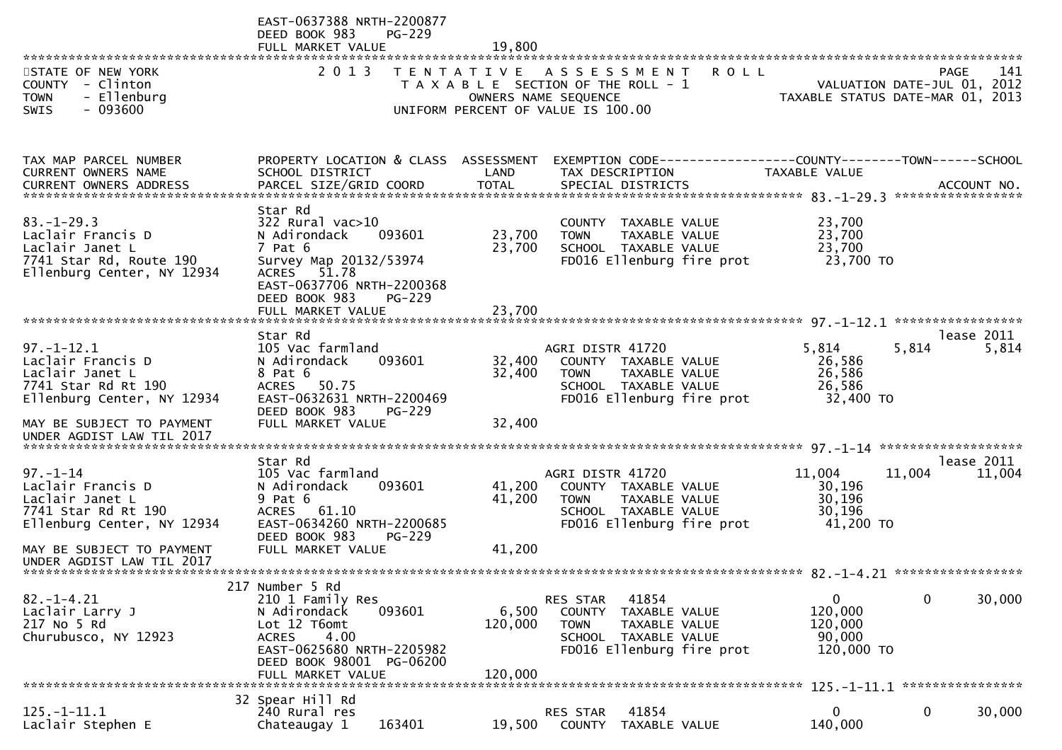|                                                                                                                   | EAST-0637388 NRTH-2200877<br>DEED BOOK 983<br>$PG-229$<br>FULL MARKET VALUE                                                                                                                   | 19,800                     |                                                                                                                                          |                                                            |                                                                                |
|-------------------------------------------------------------------------------------------------------------------|-----------------------------------------------------------------------------------------------------------------------------------------------------------------------------------------------|----------------------------|------------------------------------------------------------------------------------------------------------------------------------------|------------------------------------------------------------|--------------------------------------------------------------------------------|
| STATE OF NEW YORK<br>COUNTY - Clinton<br><b>TOWN</b><br>- Ellenburg                                               | 2 0 1 3                                                                                                                                                                                       |                            | <b>ROLL</b><br>TENTATIVE ASSESSMENT<br>T A X A B L E SECTION OF THE ROLL - 1<br>OWNERS NAME SEQUENCE                                     |                                                            | PAGE<br>141<br>VALUATION DATE-JUL 01, 2012<br>TAXABLE STATUS DATE-MAR 01, 2013 |
| $-093600$<br><b>SWIS</b>                                                                                          |                                                                                                                                                                                               |                            | UNIFORM PERCENT OF VALUE IS 100.00                                                                                                       |                                                            |                                                                                |
| TAX MAP PARCEL NUMBER<br><b>CURRENT OWNERS NAME</b>                                                               | PROPERTY LOCATION & CLASS ASSESSMENT<br>SCHOOL DISTRICT                                                                                                                                       | LAND                       | EXEMPTION CODE-----------------COUNTY-------TOWN------SCHOOL<br>TAX DESCRIPTION                                                          | TAXABLE VALUE                                              | ACCOUNT NO.<br>*****************                                               |
| $83. - 1 - 29.3$<br>Laclair Francis D<br>Laclair Janet L<br>7741 Star Rd, Route 190<br>Ellenburg Center, NY 12934 | Star Rd<br>$322$ Rural vac $>10$<br>N Adirondack<br>093601<br>7 Pat 6<br>Survey Map 20132/53974<br>ACRES 51.78<br>EAST-0637706 NRTH-2200368<br>DEED BOOK 983<br>$PG-229$<br>FULL MARKET VALUE | 23,700<br>23,700<br>23,700 | COUNTY TAXABLE VALUE<br>TAXABLE VALUE<br><b>TOWN</b><br>SCHOOL TAXABLE VALUE<br>FD016 Ellenburg fire prot                                | 23,700<br>23,700<br>23,700<br>23,700 TO                    |                                                                                |
| $97. - 1 - 12.1$                                                                                                  | Star Rd<br>105 Vac farmland                                                                                                                                                                   |                            | AGRI DISTR 41720                                                                                                                         | 5,814                                                      | lease 2011<br>5,814<br>5,814                                                   |
| Laclair Francis D<br>Laclair Janet L<br>7741 Star Rd Rt 190<br>Ellenburg Center, NY 12934                         | 093601<br>N Adirondack<br>8 Pat 6<br>50.75<br><b>ACRES</b><br>EAST-0632631 NRTH-2200469<br>DEED BOOK 983<br>$PG-229$                                                                          | 32,400<br>32,400           | COUNTY TAXABLE VALUE<br><b>TOWN</b><br>TAXABLE VALUE<br>SCHOOL TAXABLE VALUE<br>FD016 Ellenburg fire prot                                | 26,586<br>26,586<br>26,586<br>32,400 TO                    |                                                                                |
| MAY BE SUBJECT TO PAYMENT<br>UNDER AGDIST LAW TIL 2017                                                            | FULL MARKET VALUE                                                                                                                                                                             | 32,400                     |                                                                                                                                          |                                                            |                                                                                |
|                                                                                                                   | Star Rd                                                                                                                                                                                       |                            |                                                                                                                                          |                                                            | lease 2011                                                                     |
| $97. - 1 - 14$<br>Laclair Francis D<br>Laclair Janet L<br>7741 Star Rd Rt 190<br>Ellenburg Center, NY 12934       | 105 Vac farmland<br>N Adirondack<br>093601<br>9 Pat 6<br><b>ACRES</b><br>61.10<br>EAST-0634260 NRTH-2200685<br>DEED BOOK 983<br>$PG-229$                                                      | 41,200<br>41,200           | AGRI DISTR 41720<br>COUNTY TAXABLE VALUE<br><b>TOWN</b><br>TAXABLE VALUE<br>SCHOOL TAXABLE VALUE<br>FD016 Ellenburg fire prot            | 11,004<br>30,196<br>30,196<br>30,196<br>41,200 TO          | 11,004<br>11,004                                                               |
| MAY BE SUBJECT TO PAYMENT<br>UNDER AGDIST LAW TIL 2017                                                            | FULL MARKET VALUE                                                                                                                                                                             | 41,200                     |                                                                                                                                          |                                                            |                                                                                |
|                                                                                                                   | 217 Number 5 Rd                                                                                                                                                                               |                            |                                                                                                                                          |                                                            |                                                                                |
| $82. - 1 - 4.21$<br>Laclair Larry J<br>217 No 5 Rd<br>Churubusco, NY 12923                                        | 210 1 Family Res<br>093601<br>N Adirondack<br>Lot 12 T6omt<br><b>ACRES</b><br>4.00<br>EAST-0625680 NRTH-2205982<br>DEED BOOK 98001 PG-06200                                                   | 6,500<br>120,000           | RES STAR<br>41854<br><b>COUNTY</b><br>TAXABLE VALUE<br><b>TOWN</b><br>TAXABLE VALUE<br>SCHOOL TAXABLE VALUE<br>FD016 Ellenburg fire prot | $\mathbf{0}$<br>120,000<br>120,000<br>90,000<br>120,000 TO | 0<br>30,000                                                                    |
|                                                                                                                   | FULL MARKET VALUE                                                                                                                                                                             | 120,000                    |                                                                                                                                          |                                                            | 125. -1-11.1 *****************                                                 |
| $125. - 1 - 11.1$<br>Laclair Stephen E                                                                            | 32 Spear Hill Rd<br>240 Rural res<br>163401<br>Chateaugay 1                                                                                                                                   | 19,500                     | 41854<br>RES STAR<br><b>COUNTY</b><br>TAXABLE VALUE                                                                                      | 0<br>140,000                                               | 0<br>30,000                                                                    |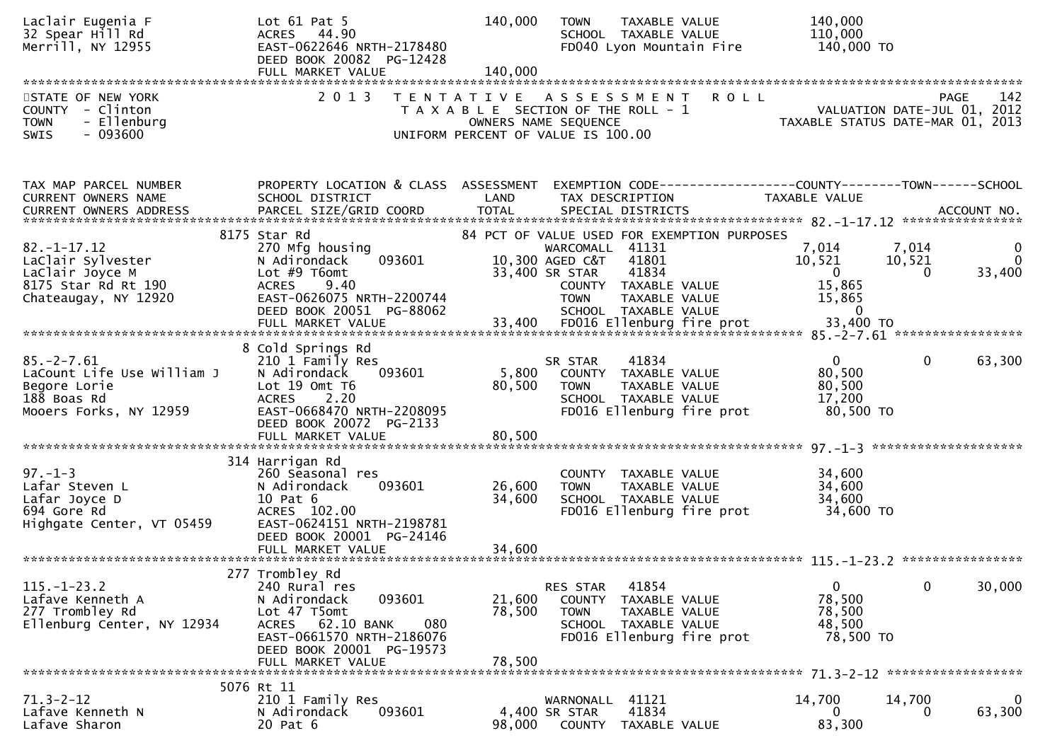| Laclair Eugenia F<br>32 Spear Hill Rd<br>Merrill, NY 12955                                               | Lot $61$ Pat $5$<br>44.90<br><b>ACRES</b><br>EAST-0622646 NRTH-2178480<br>DEED BOOK 20082 PG-12428<br>FULL MARKET VALUE                                                               | 140,000<br>140,000         | <b>TOWN</b><br>TAXABLE VALUE<br>SCHOOL TAXABLE VALUE<br>FD040 Lyon Mountain Fire                                                                                                                      |                                                                                      | 140,000<br>110,000<br>140,000 TO                                                 |                         |
|----------------------------------------------------------------------------------------------------------|---------------------------------------------------------------------------------------------------------------------------------------------------------------------------------------|----------------------------|-------------------------------------------------------------------------------------------------------------------------------------------------------------------------------------------------------|--------------------------------------------------------------------------------------|----------------------------------------------------------------------------------|-------------------------|
| STATE OF NEW YORK<br>COUNTY - Clinton<br><b>TOWN</b><br>- Ellenburg<br>$-093600$<br><b>SWIS</b>          | 2 0 1 3                                                                                                                                                                               |                            | TENTATIVE ASSESSMENT<br>T A X A B L E SECTION OF THE ROLL - 1<br>OWNERS NAME SEQUENCE<br>UNIFORM PERCENT OF VALUE IS 100.00                                                                           | <b>ROLL</b>                                                                          | VALUATION DATE-JUL 01, 2012<br>TAXABLE STATUS DATE-MAR 01, 2013                  | 142<br>PAGE             |
| TAX MAP PARCEL NUMBER<br>CURRENT OWNERS NAME                                                             | PROPERTY LOCATION & CLASS ASSESSMENT<br>SCHOOL DISTRICT                                                                                                                               | LAND                       | TAX DESCRIPTION                                                                                                                                                                                       | EXEMPTION CODE-----------------COUNTY-------TOWN------SCHOOL<br><b>TAXABLE VALUE</b> |                                                                                  |                         |
| $82. - 1 - 17.12$<br>LaClair Sylvester<br>LaClair Joyce M<br>8175 Star Rd Rt 190<br>Chateaugay, NY 12920 | 8175 Star Rd<br>270 Mfg housing<br>093601<br>N Adirondack<br>Lot #9 T6omt<br>9.40<br><b>ACRES</b><br>EAST-0626075 NRTH-2200744<br>DEED BOOK 20051 PG-88062                            |                            | 84 PCT OF VALUE USED FOR EXEMPTION PURPOSES<br>WARCOMALL 41131<br>41801<br>10,300 AGED C&T<br>41834<br>33,400 SR STAR<br>COUNTY TAXABLE VALUE<br>TAXABLE VALUE<br><b>TOWN</b><br>SCHOOL TAXABLE VALUE | 7,014<br>10,521                                                                      | 7,014<br>10,521<br>$\mathbf 0$<br>$\Omega$<br>15,865<br>15,865<br>$\overline{0}$ | 0<br>$\Omega$<br>33,400 |
| $85. - 2 - 7.61$<br>LaCount Life Use William J<br>Begore Lorie<br>188 Boas Rd<br>Mooers Forks, NY 12959  | 8 Cold Springs Rd<br>210 1 Family Res<br>093601<br>N Adirondack<br>Lot 19 Omt T6<br><b>ACRES</b><br>2.20<br>EAST-0668470 NRTH-2208095<br>DEED BOOK 20072 PG-2133<br>FULL MARKET VALUE | 5,800<br>80,500<br>80,500  | 41834<br>SR STAR<br>COUNTY TAXABLE VALUE<br><b>TOWN</b><br>TAXABLE VALUE<br>SCHOOL TAXABLE VALUE<br>FD016 Ellenburg fire prot                                                                         |                                                                                      | $\overline{0}$<br>$\mathbf{0}$<br>80,500<br>80,500<br>17,200<br>80,500 TO        | 63,300                  |
| $97. - 1 - 3$<br>Lafar Steven L<br>Lafar Joyce D<br>694 Gore Rd<br>Highgate Center, VT 05459             | 314 Harrigan Rd<br>260 Seasonal res<br>093601<br>N Adirondack<br>10 Pat 6<br>ACRES 102.00<br>EAST-0624151 NRTH-2198781<br>DEED BOOK 20001 PG-24146<br>FULL MARKET VALUE               | 26,600<br>34,600<br>34,600 | COUNTY TAXABLE VALUE<br>TAXABLE VALUE<br><b>TOWN</b><br>SCHOOL TAXABLE VALUE<br>FD016 Ellenburg fire prot                                                                                             |                                                                                      | 34,600<br>34,600<br>34,600<br>34,600 TO                                          |                         |
| $115. - 1 - 23.2$<br>Lafave Kenneth A<br>277 Trombley Rd<br>Ellenburg Center, NY 12934                   | 277 Trombley Rd<br>240 Rural res<br>N Adirondack<br>093601<br>Lot 47 T5omt<br>ACRES 62.10 BANK<br>080<br>EAST-0661570 NRTH-2186076<br>DEED BOOK 20001 PG-19573<br>FULL MARKET VALUE   | 21,600<br>78,500<br>78,500 | 41854<br>RES STAR<br>COUNTY TAXABLE VALUE<br><b>TOWN</b><br>TAXABLE VALUE<br>SCHOOL TAXABLE VALUE<br>FD016 Ellenburg fire prot                                                                        |                                                                                      | $\mathbf 0$<br>0<br>78,500<br>78,500<br>48,500<br>78,500 TO                      | 30,000                  |
| $71.3 - 2 - 12$<br>Lafave Kenneth N<br>Lafave Sharon                                                     | 5076 Rt 11<br>210 1 Family Res<br>093601<br>N Adirondack<br>20 Pat 6                                                                                                                  | 98,000                     | 41121<br>WARNONALL<br>41834<br>4,400 SR STAR<br>COUNTY TAXABLE VALUE                                                                                                                                  | 14,700                                                                               | 14,700<br>$\Omega$<br>$\Omega$<br>83,300                                         | 0<br>63,300             |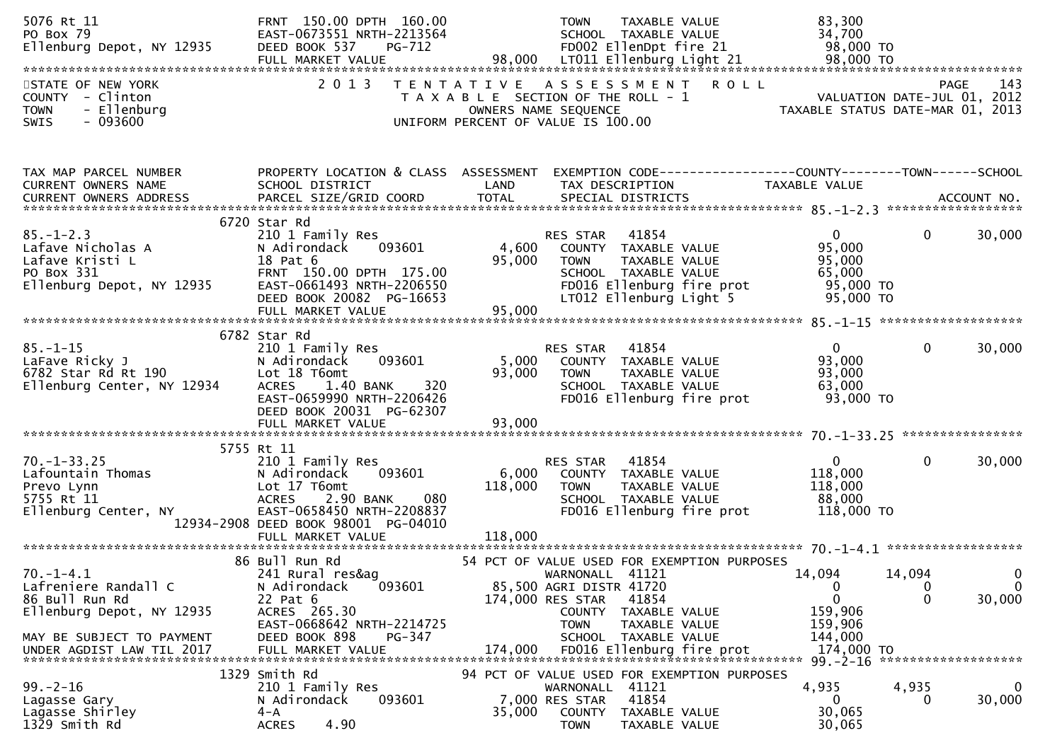| 5076 Rt 11<br>PO Box 79<br>Ellenburg Depot, NY 12935                                                                  | FRNT 150.00 DPTH 160.00<br>EAST-0673551 NRTH-2213564<br>DEED BOOK 537<br>PG-712                                                                                         |                   | <b>TOWN</b><br>TAXABLE VALUE<br>SCHOOL TAXABLE VALUE<br>FD002 EllenDpt fire 21                                                                                                                                             | 83,300<br>34,700<br>98,000 TO                                                  |                                                                        |
|-----------------------------------------------------------------------------------------------------------------------|-------------------------------------------------------------------------------------------------------------------------------------------------------------------------|-------------------|----------------------------------------------------------------------------------------------------------------------------------------------------------------------------------------------------------------------------|--------------------------------------------------------------------------------|------------------------------------------------------------------------|
| STATE OF NEW YORK<br>COUNTY - Clinton<br>- Ellenburg<br><b>TOWN</b><br><b>SWIS</b><br>- 093600                        | 2 0 1 3                                                                                                                                                                 | T E N T A T I V E | A S S E S S M E N T<br>T A X A B L E SECTION OF THE ROLL - 1<br>OWNERS NAME SEQUENCE<br>UNIFORM PERCENT OF VALUE IS 100.00                                                                                                 | <b>ROLL</b><br>VALUATION DATE-JUL 01, 2012<br>TAXABLE STATIIS DATE-MAP 01 2012 | 143<br><b>PAGE</b><br>TAXABLE STATUS DATE-MAR 01, 2013                 |
| TAX MAP PARCEL NUMBER                                                                                                 |                                                                                                                                                                         |                   |                                                                                                                                                                                                                            |                                                                                |                                                                        |
| CURRENT OWNERS NAME                                                                                                   | PROPERTY LOCATION & CLASS ASSESSMENT EXEMPTION CODE----------------COUNTY-------TOWN------SCHOOL<br>SCHOOL DISTRICT                                                     | LAND              | TAX DESCRIPTION                                                                                                                                                                                                            | TAXABLE VALUE                                                                  |                                                                        |
|                                                                                                                       | 6720 Star Rd                                                                                                                                                            |                   |                                                                                                                                                                                                                            |                                                                                |                                                                        |
| $85. - 1 - 2.3$<br>Lafave Nicholas A<br>Lafave Kristi L<br>Lafave Kristi L<br>PO Box 331<br>Ellenburg Depot, NY 12935 | 210 1 Family Res<br>N Adirondack<br>093601<br>18 Pat 6<br>FRNT 150.00 DPTH 175.00<br>EAST-0661493 NRTH-2206550<br>DEED BOOK 20082 PG-16653                              | 4,600<br>95,000   | 41854<br>RES STAR<br>COUNTY TAXABLE VALUE<br>TAXABLE VALUE<br><b>TOWN</b><br>SCHOOL TAXABLE VALUE<br>FD016 Ellenburg fire prot<br>LT012 Ellenburg Light 5                                                                  | $\mathbf{0}$<br>95,000<br>95,000<br>65,000<br>95,000 TO<br>95,000 TO           | 30,000<br>$\mathbf{0}$                                                 |
|                                                                                                                       | FULL MARKET VALUE                                                                                                                                                       | 95,000            |                                                                                                                                                                                                                            |                                                                                |                                                                        |
| $85. - 1 - 15$<br>LaFave Ricky J<br>6782 Star Rd Rt 190<br>Ellenburg Center, NY 12934                                 | 6782 Star Rd<br>210 1 Family Res<br>093601<br>N Adirondack<br>Lot 18 T6omt<br>1.40 BANK<br>320<br><b>ACRES</b><br>EAST-0659990 NRTH-2206426<br>DEED BOOK 20031 PG-62307 | 5,000<br>93,000   | 41854<br>RES STAR<br>COUNTY TAXABLE VALUE<br>TAXABLE VALUE<br><b>TOWN</b><br>SCHOOL TAXABLE VALUE<br>FD016 Ellenburg fire prot                                                                                             | $\mathbf{0}$<br>93,000<br>93,000<br>63,000<br>93,000 TO                        | 30,000<br>$\mathbf{0}$                                                 |
|                                                                                                                       | FULL MARKET VALUE                                                                                                                                                       | 93,000            |                                                                                                                                                                                                                            |                                                                                |                                                                        |
|                                                                                                                       | 5755 Rt 11                                                                                                                                                              |                   |                                                                                                                                                                                                                            |                                                                                |                                                                        |
| $70. -1 - 33.25$<br>Lafountain Thomas<br>Prevo Lynn<br>5755 Rt 11<br>Ellenburg Center, NY                             | 210 1 Family Res<br>N Adirondack<br>093601<br>Lot 17 T6omt<br><b>ACRES</b><br>2.90 BANK<br>080<br>EAST-0658450 NRTH-2208837<br>12934-2908 DEED BOOK 98001 PG-04010      | 6,000<br>118,000  | 41854<br>RES STAR<br>COUNTY TAXABLE VALUE<br>TAXABLE VALUE<br><b>TOWN</b><br>SCHOOL TAXABLE VALUE<br>FD016 Ellenburg fire prot                                                                                             | $\overline{0}$<br>118,000<br>118,000<br>88,000<br>118,000 TO                   | $\mathbf{0}$<br>30,000                                                 |
|                                                                                                                       |                                                                                                                                                                         |                   |                                                                                                                                                                                                                            |                                                                                |                                                                        |
| $70. - 1 - 4.1$<br>Lafreniere Randall C<br>86 Bull Run Rd<br>Ellenburg Depot, NY 12935<br>MAY BE SUBJECT TO PAYMENT   | 86 Bull Run Rd<br>241 Rural res&ag<br>093601<br>N Adirondack<br>22 Pat 6<br>ACRES 265.30<br>EAST-0668642 NRTH-2214725<br>DEED BOOK 898<br>PG-347                        |                   | 54 PCT OF VALUE USED FOR EXEMPTION PURPOSES<br>WARNONALL 41121<br>85,500 AGRI DISTR 41720<br>174,000 RES STAR<br>41854<br><b>COUNTY</b><br>TAXABLE VALUE<br><b>TOWN</b><br>TAXABLE VALUE<br>TAXABLE VALUE<br><b>SCHOOL</b> | 14,094<br>0<br>$\mathbf 0$<br>159,906<br>159,906<br>144,000<br>174,000 TO      | 14,094<br>$\mathbf 0$<br>0<br>$\overline{0}$<br>30,000<br>$\mathbf{0}$ |
|                                                                                                                       | 1329 Smith Rd                                                                                                                                                           |                   | 94 PCT OF VALUE USED FOR EXEMPTION PURPOSES                                                                                                                                                                                |                                                                                | *******************                                                    |
| $99. - 2 - 16$<br>Lagasse Gary<br>Lagasse Shirley<br>1329 Smith Rd                                                    | 210 1 Family Res<br>N Adirondack<br>093601<br>$4 - A$<br>4.90<br><b>ACRES</b>                                                                                           | 35,000            | WARNONALL 41121<br>41854<br>7,000 RES STAR<br><b>COUNTY</b><br>TAXABLE VALUE<br><b>TOWN</b><br>TAXABLE VALUE                                                                                                               | 4,935<br>0<br>30,065<br>30,065                                                 | 4,935<br>0<br>30,000<br>0                                              |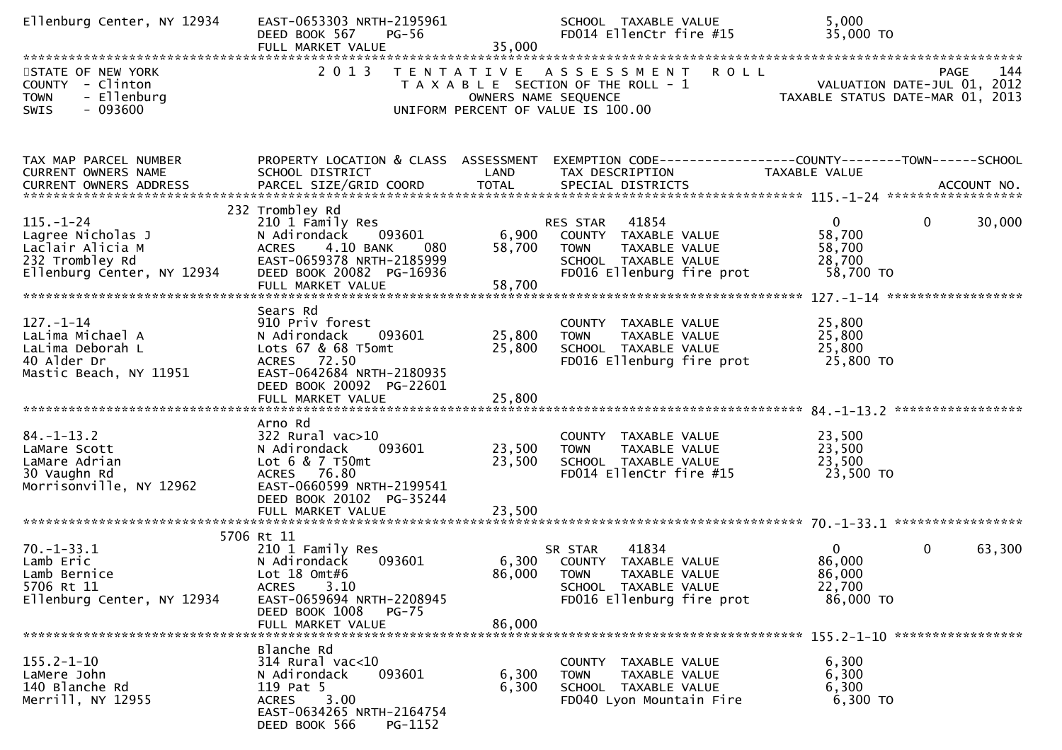| Ellenburg Center, NY 12934                                                                                | EAST-0653303 NRTH-2195961<br>$PG-56$<br>DEED BOOK 567                                                                                                                           |                            | SCHOOL TAXABLE VALUE<br>FD014 EllenCtr fire #15                                                                                       | 5,000<br>35,000 TO                                                                               |
|-----------------------------------------------------------------------------------------------------------|---------------------------------------------------------------------------------------------------------------------------------------------------------------------------------|----------------------------|---------------------------------------------------------------------------------------------------------------------------------------|--------------------------------------------------------------------------------------------------|
| STATE OF NEW YORK<br>COUNTY - Clinton<br>- Ellenburg<br><b>TOWN</b><br>$-093600$<br>SWIS                  |                                                                                                                                                                                 |                            | 2013 TENTATIVE ASSESSMENT ROLL<br>T A X A B L E SECTION OF THE ROLL - 1<br>OWNERS NAME SEQUENCE<br>UNIFORM PERCENT OF VALUE IS 100.00 | <b>PAGE</b><br>144<br>VALUATION DATE-JUL 01, 2012<br>TAXABLE STATUS DATE-MAR 01, 2013            |
| TAX MAP PARCEL NUMBER<br>CURRENT OWNERS NAME                                                              | SCHOOL DISTRICT                                                                                                                                                                 | LAND                       | TAX DESCRIPTION TAXABLE VALUE                                                                                                         | PROPERTY LOCATION & CLASS ASSESSMENT EXEMPTION CODE----------------COUNTY-------TOWN------SCHOOL |
| $115. - 1 - 24$<br>Lagree Nicholas J<br>Laclair Alicia M<br>232 Trombley Rd<br>Ellenburg Center, NY 12934 | 232 Trombley Rd<br>210 1 Family Res<br>093601<br>N Adirondack<br>4.10 BANK<br>080<br><b>ACRES</b><br>EAST-0659378 NRTH-2185999<br>DEED BOOK 20082 PG-16936<br>FULL MARKET VALUE | 6,900<br>58,700<br>58,700  | RES STAR 41854<br>COUNTY TAXABLE VALUE<br><b>TOWN</b><br>TAXABLE VALUE<br>SCHOOL TAXABLE VALUE<br>FD016 Ellenburg fire prot           | $\overline{0}$<br>$\mathbf{0}$<br>30,000<br>58,700<br>58,700<br>28,700<br>58,700 TO              |
| $127. - 1 - 14$<br>LaLima Michael A<br>LaLima Deborah L<br>40 Alder Dr<br>Mastic Beach, NY 11951          | Sears Rd<br>910 Priv forest<br>N Adirondack<br>093601<br>Lots 67 & 68 T5omt<br>ACRES 72.50<br>EAST-0642684 NRTH-2180935<br>DEED BOOK 20092 PG-22601                             | 25,800<br>25,800           | COUNTY TAXABLE VALUE<br>TAXABLE VALUE<br><b>TOWN</b><br>SCHOOL TAXABLE VALUE<br>FD016 Ellenburg fire prot                             | 25,800<br>25,800<br>25,800<br>25,800 TO                                                          |
| $84. - 1 - 13.2$<br>LaMare Scott<br>LaMare Adrian<br>30 Vaughn Rd<br>Morrisonville, NY 12962              | Arno Rd<br>322 Rural vac>10<br>093601<br>N Adirondack<br>Lot 6 & 7 T50mt<br>ACRES 76.80<br>EAST-0660599 NRTH-2199541<br>DEED BOOK 20102 PG-35244<br>FULL MARKET VALUE           | 23,500<br>23,500<br>23,500 | COUNTY TAXABLE VALUE<br><b>TOWN</b><br>TAXABLE VALUE<br>SCHOOL TAXABLE VALUE<br>FD014 EllenCtr fire #15                               | 23,500<br>23,500<br>23,500<br>23,500 TO                                                          |
| $70. - 1 - 33.1$<br>Lamb Eric<br>Lamb Bernice<br>5706 Rt 11<br>Ellenburg Center, NY 12934                 | 5706 Rt 11<br>210 1 Family Res<br>N Adirondack<br>093601<br>Lot 18 Omt#6<br>3.10<br>ACRES<br>EAST-0659694 NRTH-2208945<br>DEED BOOK 1008<br><b>PG-75</b><br>FULL MARKET VALUE   | 86,000                     | 41834<br>SR STAR<br>6,300 COUNTY TAXABLE VALUE<br>86,000 TOWN<br>TAXABLE VALUE<br>SCHOOL TAXABLE VALUE<br>FD016 Ellenburg fire prot   | $\overline{0}$<br>$\mathbf{0}$<br>63,300<br>86,000<br>86,000<br>22,700<br>86,000 TO              |
| $155.2 - 1 - 10$<br>LaMere John<br>140 Blanche Rd<br>Merrill, NY 12955                                    | Blanche Rd<br>$314$ Rural vac<10<br>N Adirondack<br>093601<br>119 Pat 5<br>3.00<br><b>ACRES</b><br>EAST-0634265 NRTH-2164754<br>DEED BOOK 566<br>PG-1152                        | 6,300<br>6,300             | COUNTY TAXABLE VALUE<br><b>TOWN</b><br>TAXABLE VALUE<br>SCHOOL TAXABLE VALUE<br>FD040 Lyon Mountain Fire                              | 6,300<br>6,300<br>6,300<br>6,300 TO                                                              |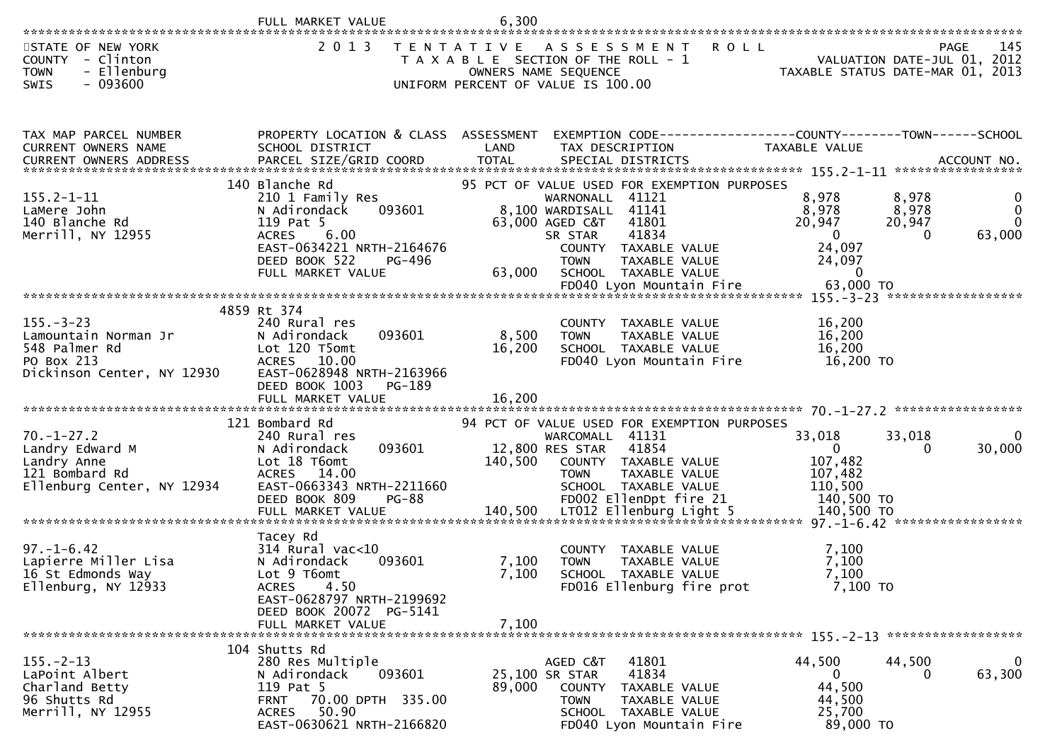|                                                                                                          | FULL MARKET VALUE                                                                                                                                                              | 6,300                   |                                                                                                                                                                                                                                                        |                                                                                               |                                                                                 |
|----------------------------------------------------------------------------------------------------------|--------------------------------------------------------------------------------------------------------------------------------------------------------------------------------|-------------------------|--------------------------------------------------------------------------------------------------------------------------------------------------------------------------------------------------------------------------------------------------------|-----------------------------------------------------------------------------------------------|---------------------------------------------------------------------------------|
| STATE OF NEW YORK<br><b>COUNTY</b><br>- Clinton<br>- Ellenburg<br><b>TOWN</b><br><b>SWIS</b><br>- 093600 | 2 0 1 3                                                                                                                                                                        |                         | TENTATIVE ASSESSMENT<br><b>ROLL</b><br>T A X A B L E SECTION OF THE ROLL - 1<br>OWNERS NAME SEQUENCE<br>UNIFORM PERCENT OF VALUE IS 100.00                                                                                                             |                                                                                               | -145<br>PAGE<br>VALUATION DATE-JUL 01, 2012<br>TAXABLE STATUS DATE-MAR 01, 2013 |
| TAX MAP PARCEL NUMBER<br>CURRENT OWNERS NAME                                                             | PROPERTY LOCATION & CLASS ASSESSMENT<br>SCHOOL DISTRICT                                                                                                                        | LAND                    | EXEMPTION CODE------------------COUNTY--------TOWN------SCHOOL<br>TAX DESCRIPTION                                                                                                                                                                      | <b>TAXABLE VALUE</b>                                                                          |                                                                                 |
| $155.2 - 1 - 11$<br>LaMere John<br>140 Blanche Rd<br>Merrill, NY 12955                                   | 140 Blanche Rd<br>210 1 Family Res<br>093601<br>N Adirondack<br>119 Pat 5<br>6.00<br><b>ACRES</b><br>EAST-0634221 NRTH-2164676<br>DEED BOOK 522<br>PG-496<br>FULL MARKET VALUE | 63,000                  | 95 PCT OF VALUE USED FOR EXEMPTION PURPOSES<br>WARNONALL 41121<br>41141<br>8,100 WARDISALL<br>63,000 AGED C&T<br>41801<br>41834<br>SR STAR<br>COUNTY TAXABLE VALUE<br><b>TOWN</b><br>TAXABLE VALUE<br>SCHOOL TAXABLE VALUE<br>FD040 Lyon Mountain Fire | 8,978<br>8,978<br>20,947<br>$\overline{0}$<br>24,097<br>24,097<br>$\overline{0}$<br>63,000 TO | 8,978<br>0<br>8,978<br>$\mathbf{0}$<br>20,947<br>$\Omega$<br>63,000<br>0        |
|                                                                                                          | 4859 Rt 374                                                                                                                                                                    |                         |                                                                                                                                                                                                                                                        |                                                                                               |                                                                                 |
| $155. - 3 - 23$<br>Lamountain Norman Jr<br>548 Palmer Rd<br>PO Box 213<br>Dickinson Center, NY 12930     | 240 Rural res<br>093601<br>N Adirondack<br>Lot 120 T5omt<br>ACRES 10.00<br>EAST-0628948 NRTH-2163966<br>DEED BOOK 1003<br>PG-189                                               | 8,500<br>16,200         | COUNTY TAXABLE VALUE<br><b>TOWN</b><br>TAXABLE VALUE<br>SCHOOL TAXABLE VALUE<br>FD040 Lyon Mountain Fire                                                                                                                                               | 16,200<br>16,200<br>16,200<br>16,200 TO                                                       |                                                                                 |
|                                                                                                          | FULL MARKET VALUE                                                                                                                                                              | 16,200                  |                                                                                                                                                                                                                                                        |                                                                                               |                                                                                 |
| $70. - 1 - 27.2$<br>Landry Edward M<br>Landry Anne<br>121 Bombard Rd<br>Ellenburg Center, NY 12934       | 121 Bombard Rd<br>240 Rural res<br>093601<br>N Adirondack<br>Lot 18 T6omt<br>ACRES 14.00<br>EAST-0663343 NRTH-2211660<br>DEED BOOK 809<br><b>PG-88</b>                         | 140,500                 | 94 PCT OF VALUE USED FOR EXEMPTION PURPOSES<br>WARCOMALL 41131<br>12,800 RES STAR<br>41854<br>COUNTY TAXABLE VALUE<br>TAXABLE VALUE<br><b>TOWN</b><br>SCHOOL TAXABLE VALUE<br>FD002 EllenDpt fire 21                                                   | 33,018<br>$\overline{0}$<br>107,482<br>107,482<br>110,500<br>140,500 TO                       | $\Omega$<br>33,018<br>30,000<br>$\Omega$                                        |
|                                                                                                          | Tacey Rd                                                                                                                                                                       |                         |                                                                                                                                                                                                                                                        |                                                                                               |                                                                                 |
| $97. - 1 - 6.42$<br>Lapierre Miller Lisa<br>16 St Edmonds Way<br>Ellenburg, NY 12933                     | $314$ Rural vac<10<br>N Adirondack<br>093601<br>Lot 9 T6omt<br>4.50<br><b>ACRES</b><br>EAST-0628797 NRTH-2199692<br>DEED BOOK 20072 PG-5141                                    | 7,100<br>7,100<br>7,100 | COUNTY TAXABLE VALUE<br><b>TOWN</b><br><b>TAXABLE VALUE</b><br>SCHOOL TAXABLE VALUE<br>FD016 Ellenburg fire prot                                                                                                                                       | 7,100<br>7,100<br>7,100<br>7,100 TO                                                           |                                                                                 |
|                                                                                                          | FULL MARKET VALUE                                                                                                                                                              |                         |                                                                                                                                                                                                                                                        |                                                                                               |                                                                                 |
| $155. - 2 - 13$<br>LaPoint Albert<br>Charland Betty<br>96 Shutts Rd<br>Merrill, NY 12955                 | 104 Shutts Rd<br>280 Res Multiple<br>N Adirondack<br>093601<br>119 Pat 5<br>70.00 DPTH 335.00<br>FRNT<br>ACRES 50.90<br>EAST-0630621 NRTH-2166820                              | 89,000                  | AGED C&T<br>41801<br>41834<br>25,100 SR STAR<br><b>COUNTY</b><br>TAXABLE VALUE<br>TAXABLE VALUE<br>TOWN<br>SCHOOL TAXABLE VALUE<br>FD040 Lyon Mountain Fire                                                                                            | 44,500<br>0<br>44,500<br>44,500<br>25,700<br>89,000 TO                                        | $\mathbf 0$<br>44,500<br>63,300<br>$\Omega$                                     |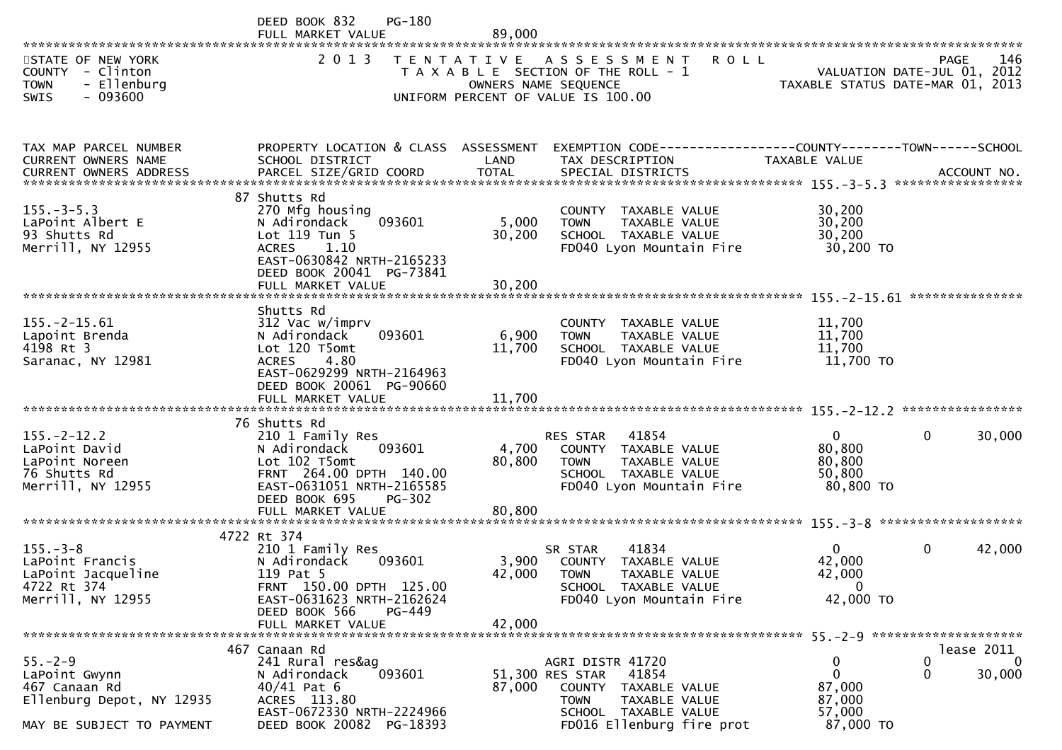|                                                                                                           | DEED BOOK 832<br>PG-180<br>FULL MARKET VALUE                                                                                                                                          | 89,000                    |                                                                                                                                                              |                                                              |                                                   |
|-----------------------------------------------------------------------------------------------------------|---------------------------------------------------------------------------------------------------------------------------------------------------------------------------------------|---------------------------|--------------------------------------------------------------------------------------------------------------------------------------------------------------|--------------------------------------------------------------|---------------------------------------------------|
| STATE OF NEW YORK<br>COUNTY - Clinton<br><b>TOWN</b><br>- Ellenburg<br>$-093600$<br>SWIS                  | 2 0 1 3                                                                                                                                                                               | OWNERS NAME SEQUENCE      | TENTATIVE ASSESSMENT<br><b>ROLL</b><br>T A X A B L E SECTION OF THE ROLL - 1<br>UNIFORM PERCENT OF VALUE IS 100.00                                           | TAXABLE STATUS DATE-MAR 01, 2013                             | 146<br><b>PAGE</b><br>VALUATION DATE-JUL 01, 2012 |
| TAX MAP PARCEL NUMBER<br>CURRENT OWNERS NAME                                                              | PROPERTY LOCATION & CLASS ASSESSMENT<br>SCHOOL DISTRICT                                                                                                                               | LAND                      | EXEMPTION CODE------------------COUNTY--------TOWN------SCHOOL<br>TAX DESCRIPTION                                                                            | TAXABLE VALUE                                                |                                                   |
| $155. - 3 - 5.3$<br>LaPoint Albert E<br>93 Shutts Rd<br>Merrill, NY 12955                                 | 87 Shutts Rd<br>270 Mfg housing<br>093601<br>N Adirondack<br>Lot 119 Tun 5<br><b>ACRES</b><br>1.10<br>EAST-0630842 NRTH-2165233<br>DEED BOOK 20041 PG-73841<br>FULL MARKET VALUE      | 5,000<br>30,200<br>30,200 | COUNTY TAXABLE VALUE<br>TAXABLE VALUE<br><b>TOWN</b><br>SCHOOL TAXABLE VALUE<br>FD040 Lyon Mountain Fire                                                     | 30,200<br>30,200<br>30,200<br>30,200 TO                      |                                                   |
|                                                                                                           | Shutts Rd                                                                                                                                                                             |                           |                                                                                                                                                              |                                                              | ***************                                   |
| $155. -2 - 15.61$<br>Lapoint Brenda<br>4198 Rt 3<br>Saranac, NY 12981                                     | 312 Vac w/imprv<br>093601<br>N Adirondack<br>Lot 120 T5omt<br>4.80<br><b>ACRES</b><br>EAST-0629299 NRTH-2164963<br>DEED BOOK 20061 PG-90660                                           | 6,900<br>11,700           | COUNTY TAXABLE VALUE<br>TAXABLE VALUE<br><b>TOWN</b><br>SCHOOL TAXABLE VALUE<br>FD040 Lyon Mountain Fire                                                     | 11,700<br>11,700<br>11,700<br>11,700 TO                      |                                                   |
|                                                                                                           |                                                                                                                                                                                       |                           |                                                                                                                                                              |                                                              |                                                   |
| $155. - 2 - 12.2$<br>LaPoint David<br>LaPoint Noreen<br>76 Shutts Rd<br>Merrill, NY 12955                 | 76 Shutts Rd<br>210 1 Family Res<br>N Adirondack<br>093601<br>Lot 102 T5omt<br>FRNT 264.00 DPTH 140.00<br>EAST-0631051 NRTH-2165585<br>DEED BOOK 695<br>$PG-302$<br>FULL MARKET VALUE | 4,700<br>80,800<br>80,800 | 41854<br><b>RES STAR</b><br>COUNTY TAXABLE VALUE<br>TAXABLE VALUE<br><b>TOWN</b><br>SCHOOL TAXABLE VALUE<br>FD040 Lyon Mountain Fire                         | $\Omega$<br>80,800<br>80,800<br>50,800<br>80,800 TO          | 30,000<br>$\mathbf{0}$                            |
|                                                                                                           |                                                                                                                                                                                       |                           |                                                                                                                                                              |                                                              |                                                   |
| $155. - 3 - 8$<br>LaPoint Francis<br>LaPoint Jacqueline<br>4722 Rt 374<br>Merrill, NY 12955               | 4722 Rt 374<br>210 1 Family Res<br>N Adirondack<br>093601<br>119 Pat 5<br>FRNT 150.00 DPTH 125.00<br>EAST-0631623 NRTH-2162624<br>DEED BOOK 566<br>PG-449                             | 3,900<br>42,000           | 41834<br>SR STAR<br>COUNTY TAXABLE VALUE<br><b>TOWN</b><br>TAXABLE VALUE<br>SCHOOL TAXABLE VALUE<br>FD040 Lyon Mountain Fire                                 | $\Omega$<br>42,000<br>42,000<br>$\mathbf 0$<br>42,000 TO     | 42,000<br>$\mathbf{0}$                            |
|                                                                                                           | FULL MARKET VALUE                                                                                                                                                                     | 42,000                    |                                                                                                                                                              |                                                              |                                                   |
| $55. - 2 - 9$<br>LaPoint Gwynn<br>467 Canaan Rd<br>Ellenburg Depot, NY 12935<br>MAY BE SUBJECT TO PAYMENT | 467 Canaan Rd<br>241 Rural res&ag<br>N Adirondack<br>093601<br>$40/41$ Pat 6<br>ACRES 113.80<br>EAST-0672330 NRTH-2224966<br>DEED BOOK 20082 PG-18393                                 | 87,000                    | AGRI DISTR 41720<br>51,300 RES STAR<br>41854<br><b>COUNTY</b><br>TAXABLE VALUE<br>TAXABLE VALUE<br>TOWN<br>SCHOOL TAXABLE VALUE<br>FD016 Ellenburg fire prot | 0<br>$\mathbf{0}$<br>87,000<br>87,000<br>57,000<br>87,000 TO | lease 2011<br>0<br>0<br>30,000<br>0               |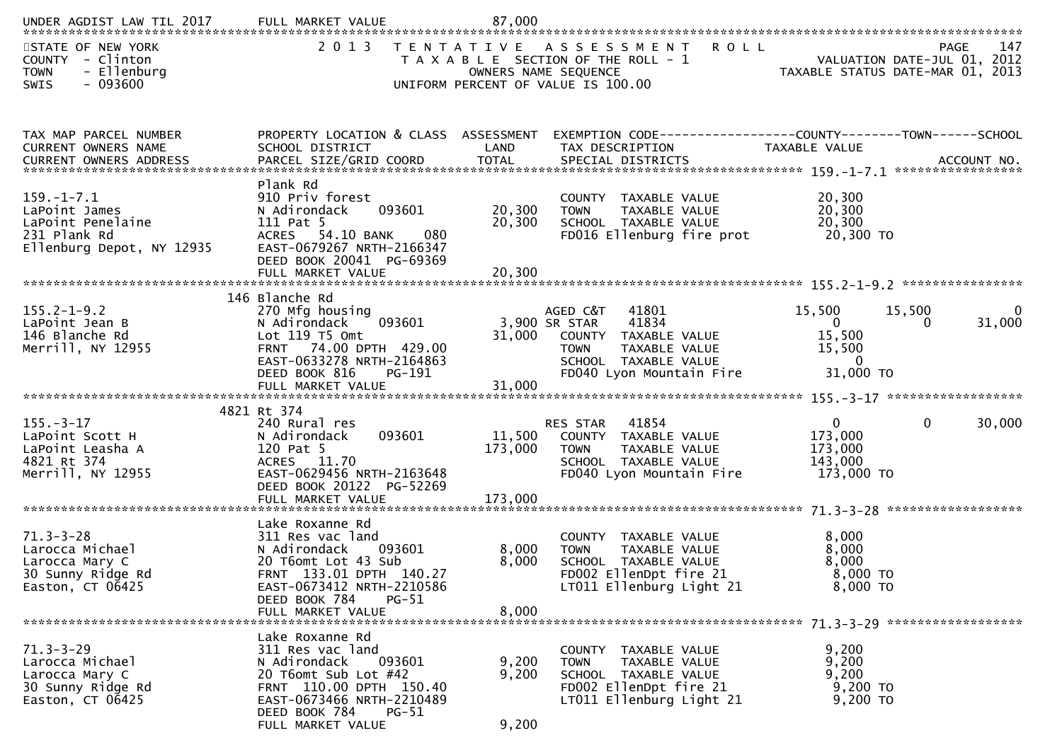| UNDER AGDIST LAW TIL 2017                                                                           | FULL MARKET VALUE                                                                                                                                                                                   | 87,000                       |                                                                                                                                                         |                                                                       |                             |                       |
|-----------------------------------------------------------------------------------------------------|-----------------------------------------------------------------------------------------------------------------------------------------------------------------------------------------------------|------------------------------|---------------------------------------------------------------------------------------------------------------------------------------------------------|-----------------------------------------------------------------------|-----------------------------|-----------------------|
| STATE OF NEW YORK<br>COUNTY - Clinton<br><b>TOWN</b><br>- Ellenburg<br>SWIS<br>- 093600             | 2 0 1 3                                                                                                                                                                                             | T E N T A T I V E            | <b>ROLL</b><br>A S S E S S M E N T<br>T A X A B L E SECTION OF THE ROLL - 1<br>OWNERS NAME SEQUENCE<br>UNIFORM PERCENT OF VALUE IS 100.00               | TAXABLE STATUS DATE-MAR 01, 2013                                      | VALUATION DATE-JUL 01, 2012 | 147<br><b>PAGE</b>    |
| TAX MAP PARCEL NUMBER<br>CURRENT OWNERS NAME                                                        | PROPERTY LOCATION & CLASS ASSESSMENT<br>SCHOOL DISTRICT                                                                                                                                             | LAND                         | EXEMPTION CODE-----------------COUNTY-------TOWN------SCHOOL<br>TAX DESCRIPTION                                                                         | TAXABLE VALUE                                                         |                             |                       |
| $159. - 1 - 7.1$<br>LaPoint James<br>LaPoint Penelaine<br>231 Plank Rd<br>Ellenburg Depot, NY 12935 | Plank Rd<br>910 Priv forest<br>093601<br>N Adirondack<br>111 Pat 5<br>ACRES 54.10 BANK<br>080<br>EAST-0679267 NRTH-2166347<br>DEED BOOK 20041 PG-69369                                              | 20,300<br>20,300             | COUNTY TAXABLE VALUE<br><b>TOWN</b><br>TAXABLE VALUE<br>SCHOOL TAXABLE VALUE<br>FD016 Ellenburg fire prot                                               | 20,300<br>20,300<br>20,300<br>20,300 TO                               |                             |                       |
| $155.2 - 1 - 9.2$<br>LaPoint Jean B<br>146 Blanche Rd<br>Merrill, NY 12955                          | 146 Blanche Rd<br>270 Mfg housing<br>N Adirondack<br>093601<br>Lot $119$ T5 Omt<br>FRNT 74.00 DPTH 429.00<br>EAST-0633278 NRTH-2164863<br>DEED BOOK 816<br>PG-191<br>FULL MARKET VALUE              | 31,000<br>31,000             | AGED C&T<br>41801<br>41834<br>3,900 SR STAR<br>COUNTY TAXABLE VALUE<br>TAXABLE VALUE<br><b>TOWN</b><br>SCHOOL TAXABLE VALUE<br>FD040 Lyon Mountain Fire | 15,500<br>$\overline{0}$<br>15,500<br>15,500<br>$\Omega$<br>31,000 TO | 15,500<br>$\Omega$          | $\mathbf 0$<br>31,000 |
| $155. - 3 - 17$<br>LaPoint Scott H<br>LaPoint Leasha A<br>4821 Rt 374<br>Merrill, NY 12955          | 4821 Rt 374<br>240 Rural res<br>093601<br>N Adirondack<br>120 Pat 5<br>ACRES 11.70<br>EAST-0629456 NRTH-2163648<br>DEED BOOK 20122 PG-52269<br>FULL MARKET VALUE                                    | 11,500<br>173,000<br>173,000 | 41854<br><b>RES STAR</b><br>COUNTY TAXABLE VALUE<br>TAXABLE VALUE<br><b>TOWN</b><br>SCHOOL TAXABLE VALUE<br>FD040 Lyon Mountain Fire                    | $\mathbf{0}$<br>173,000<br>173,000<br>143,000<br>173,000 TO           | $\mathbf{0}$                | 30,000                |
| $71.3 - 3 - 28$<br>Larocca Michael<br>Larocca Mary C<br>30 Sunny Ridge Rd<br>Easton, CT 06425       | Lake Roxanne Rd<br>311 Res vac land<br>N Adirondack<br>093601<br>20 T6omt Lot 43 Sub<br>FRNT 133.01 DPTH 140.27<br>EAST-0673412 NRTH-2210586<br>DEED BOOK 784<br><b>PG-51</b><br>FULL MARKET VALUE  | 8,000<br>8,000<br>8,000      | COUNTY TAXABLE VALUE<br>TAXABLE VALUE<br><b>TOWN</b><br>SCHOOL TAXABLE VALUE<br>FD002 EllenDpt fire 21<br>LT011 Ellenburg Light 21                      | 8,000<br>8,000<br>8,000<br>$8,000$ TO<br>8,000 TO                     |                             |                       |
| $71.3 - 3 - 29$<br>Larocca Michael<br>Larocca Mary C<br>30 Sunny Ridge Rd<br>Easton, CT 06425       | Lake Roxanne Rd<br>311 Res vac land<br>N Adirondack<br>093601<br>20 T6omt Sub Lot #42<br>FRNT 110.00 DPTH 150.40<br>EAST-0673466 NRTH-2210489<br>DEED BOOK 784<br><b>PG-51</b><br>FULL MARKET VALUE | 9,200<br>9,200<br>9,200      | COUNTY TAXABLE VALUE<br>TAXABLE VALUE<br><b>TOWN</b><br>SCHOOL TAXABLE VALUE<br>FD002 EllenDpt fire 21<br>LT011 Ellenburg Light 21                      | 9,200<br>9,200<br>9,200<br>9,200 TO<br>9,200 TO                       |                             |                       |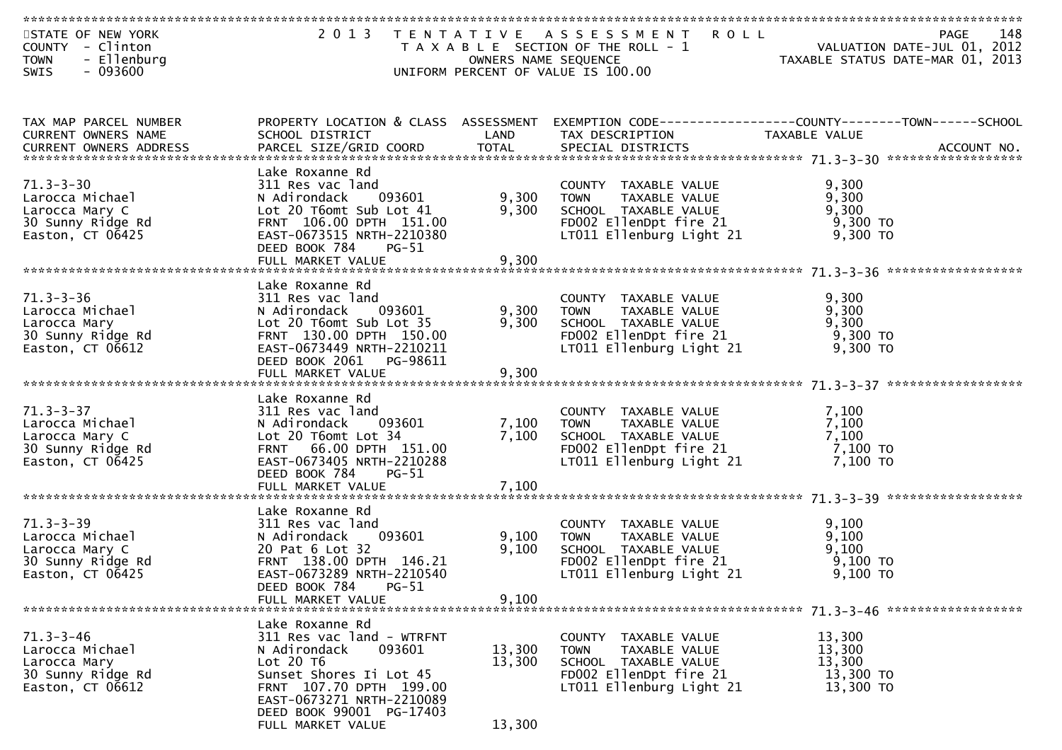| STATE OF NEW YORK<br>COUNTY - Clinton<br>- Ellenburg<br><b>TOWN</b><br>$-093600$<br><b>SWIS</b>                               |                                                                                                                                                                                                    |                         | 2013 TENTATIVE ASSESSMENT ROLL<br>T A X A B L E SECTION OF THE ROLL - 1<br>OWNERS NAME SEQUENCE<br>UNIFORM PERCENT OF VALUE IS 100.00                                           | 148                                                                                                              |
|-------------------------------------------------------------------------------------------------------------------------------|----------------------------------------------------------------------------------------------------------------------------------------------------------------------------------------------------|-------------------------|---------------------------------------------------------------------------------------------------------------------------------------------------------------------------------|------------------------------------------------------------------------------------------------------------------|
|                                                                                                                               |                                                                                                                                                                                                    |                         |                                                                                                                                                                                 |                                                                                                                  |
|                                                                                                                               |                                                                                                                                                                                                    |                         |                                                                                                                                                                                 |                                                                                                                  |
| TAX MAP PARCEL NUMBER<br>CURRENT OWNERS NAME                                                                                  | SCHOOL DISTRICT                                                                                                                                                                                    | LAND                    | TAX DESCRIPTION                                                                                                                                                                 | PROPERTY LOCATION & CLASS ASSESSMENT EXEMPTION CODE---------------COUNTY-------TOWN------SCHOOL<br>TAXABLE VALUE |
|                                                                                                                               | Lake Roxanne Rd                                                                                                                                                                                    |                         |                                                                                                                                                                                 |                                                                                                                  |
| $71.3 - 3 - 30$<br>Larocca Michael<br>Larocca Mary C<br>30 Sunny Ridge Rd<br>Easton, CT 06425                                 | 311 Res vac land<br>N Adirondack 093601<br>Lot 20 T6omt Sub Lot 41<br>FRNT 106.00 DPTH 151.00<br>EAST-0673515 NRTH-2210380<br>DEED BOOK 784<br>PG-51<br>FULL MARKET VALUE                          | 9,300<br>9,300<br>9,300 | COUNTY TAXABLE VALUE $9,300$<br>TOWN TAXABLE VALUE $9,300$<br>SCHOOL TAXABLE VALUE $9,300$<br>FDOO2 Ellenppt fire 21 $9,300$ TO<br>LT011 Ellenburg Light 21 9,300 TO            |                                                                                                                  |
|                                                                                                                               | Lake Roxanne Rd                                                                                                                                                                                    |                         |                                                                                                                                                                                 |                                                                                                                  |
| $71.3 - 3 - 36$<br>/1.3-3-30<br>Larocca Michael<br>Listers Mary<br>Larocca Mary<br>30 Sunny Ridge Rd<br>Easton, $CT$ 0 $6612$ | 311 Res vac land<br>N Adirondack<br>093601<br>Lot 20 T6omt Sub Lot 35<br>FRNT 130.00 DPTH 150.00<br>EAST-0673449 NRTH-2210211                                                                      | 9,300<br>9,300          | value<br>IOWN TAXABLE VALUE<br>SCHOOL TAXABLE VALUE<br>FDOO2 EllenDpt fire<br>FD002 EllenDpt fire $21$ 9,300 TO<br>LT011 Ellenburg Light 21                                     | 9,300<br>9,300<br>9,300<br>$9,300$ TO                                                                            |
|                                                                                                                               | DEED BOOK 2061 PG-98611                                                                                                                                                                            |                         |                                                                                                                                                                                 |                                                                                                                  |
|                                                                                                                               |                                                                                                                                                                                                    |                         |                                                                                                                                                                                 |                                                                                                                  |
| $71.3 - 3 - 37$<br>Larocca Michael<br>Larocca Mary C<br>30 Sunny Ridge Rd<br>Easton, CT 06425                                 | Lake Roxanne Rd<br>311 Res vac land<br>N Adirondack 093601<br>Lot 20 T6omt Lot 34<br>FRNT 66.00 DPTH 151.00<br>EAST-0673405 NRTH-2210288<br>DEED BOOK 784<br>$PG-51$<br>FULL MARKET VALUE          | 7,100<br>7,100          | COUNTY TAXABLE VALUE 7,100<br>TOWN TAXABLE VALUE 7,100<br>SCHOOL TAXABLE VALUE 7,100<br>7,100 TOWN<br>FD002 EllenDpt fire 21 $\frac{1}{2}$ , 100 TO<br>LT011 Ellenburg Light 21 | 7,100 TO                                                                                                         |
|                                                                                                                               |                                                                                                                                                                                                    |                         |                                                                                                                                                                                 |                                                                                                                  |
| $71.3 - 3 - 39$<br>Larocca Michael<br>Larocca Mary C<br>30 Sunny Ridge Rd<br>Easton, $CT$ 06425                               | Lake Roxanne Rd<br>311 Res vac land<br>N Adirondack 093601<br>20 Pat 6 Lot 32<br>FRNT 138.00 DPTH 146.21<br>EAST-0673289 NRTH-2210540<br>$PG-51$<br>DEED BOOK 784                                  | 9,100<br>9,100          | COUNTY TAXABLE VALUE<br>TAXABLE VALUE<br>TOWN<br>SCHOOL TAXABLE VALUE<br>FD002 EllenDpt fire 21 9,100 TO<br>LT011 Ellenburg Light 21 9,100 TO                                   | 9,100<br>9,100<br>9,100                                                                                          |
|                                                                                                                               | FULL MARKET VALUE                                                                                                                                                                                  | 9,100                   |                                                                                                                                                                                 |                                                                                                                  |
| $71.3 - 3 - 46$<br>Larocca Michael<br>Larocca Mary<br>30 Sunny Ridge Rd<br>Easton, CT 06612                                   | Lake Roxanne Rd<br>311 Res vac land - WTRFNT<br>N Adirondack<br>093601<br>Lot 20 T6<br>Sunset Shores Ii Lot 45<br>FRNT 107.70 DPTH 199.00<br>EAST-0673271 NRTH-2210089<br>DEED BOOK 99001 PG-17403 | 13,300<br>13,300        | COUNTY<br>TAXABLE VALUE<br>TAXABLE VALUE<br><b>TOWN</b><br>SCHOOL TAXABLE VALUE<br>FD002 EllenDpt fire 21<br>LT011 Ellenburg Light 21                                           | 13,300<br>13,300<br>13,300<br>13,300 TO<br>13,300 TO                                                             |
|                                                                                                                               | FULL MARKET VALUE                                                                                                                                                                                  | 13,300                  |                                                                                                                                                                                 |                                                                                                                  |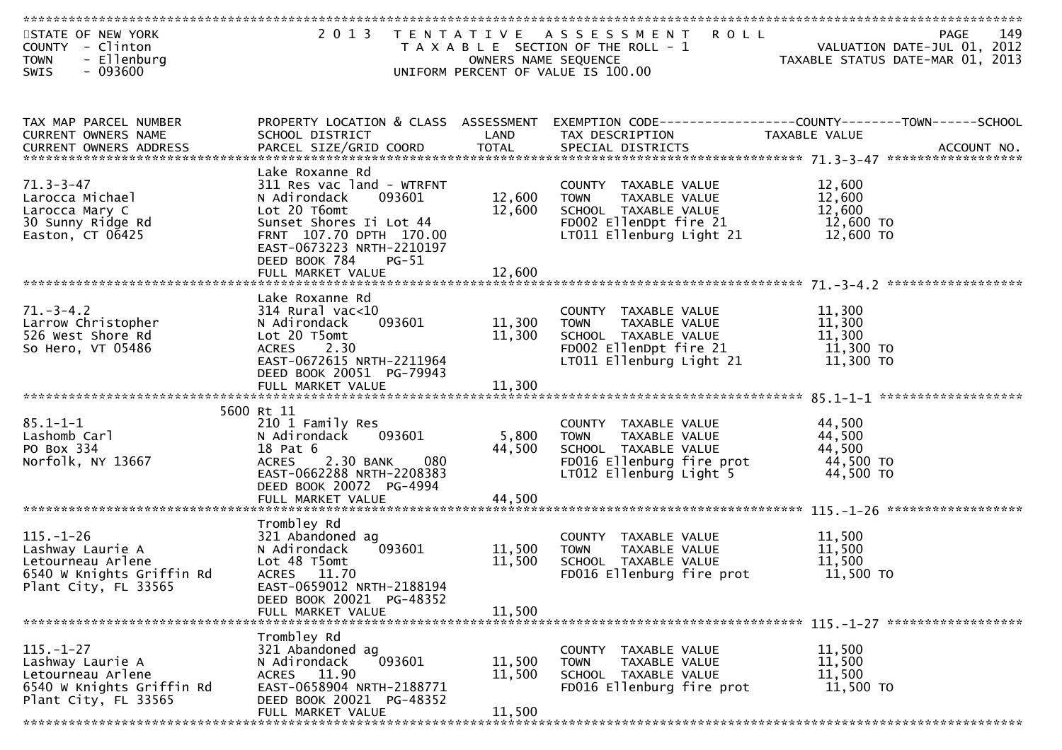| STATE OF NEW YORK<br>COUNTY - Clinton<br>- Ellenburg<br><b>TOWN</b><br>$-093600$<br>SWIS                      | 2 0 1 3                                                                                                                                                                                               | OWNERS NAME SEQUENCE       | <b>ROLL</b><br>TENTATIVE ASSESSMENT<br>T A X A B L E SECTION OF THE ROLL - 1<br>UNIFORM PERCENT OF VALUE IS 100.00                   | 149<br><b>PAGE</b><br>149 - VALUATION DATE<br>2012 - VALUATION DATE<br>2005 - TAXARIF STATUS DATE MARICO |
|---------------------------------------------------------------------------------------------------------------|-------------------------------------------------------------------------------------------------------------------------------------------------------------------------------------------------------|----------------------------|--------------------------------------------------------------------------------------------------------------------------------------|----------------------------------------------------------------------------------------------------------|
| TAX MAP PARCEL NUMBER<br>CURRENT OWNERS NAME                                                                  | PROPERTY LOCATION & CLASS ASSESSMENT<br>SCHOOL DISTRICT                                                                                                                                               | LAND                       | TAX DESCRIPTION                                                                                                                      | TAXABLE VALUE                                                                                            |
| $71.3 - 3 - 47$<br>Larocca Michael<br>Larocca Mary C<br>30 Sunny Ridge Rd<br>Easton, CT 06425                 | Lake Roxanne Rd<br>311 Res vac land - WTRFNT<br>093601<br>N Adirondack<br>Lot 20 T6omt<br>Sunset Shores Ii Lot 44<br>FRNT 107.70 DPTH 170.00<br>EAST-0673223 NRTH-2210197<br>DEED BOOK 784<br>$PG-51$ | 12,600<br>12,600           | COUNTY TAXABLE VALUE<br>TAXABLE VALUE<br>TOWN<br>SCHOOL TAXABLE VALUE<br>FD002 EllenDpt fire 21<br>LT011 Ellenburg Light 21          | 12,600<br>12,600<br>12,600<br>12,600 TO<br>12,600 TO                                                     |
| $71. - 3 - 4.2$<br>Larrow Christopher<br>526 West Shore Rd<br>So Hero, VT 05486                               | Lake Roxanne Rd<br>$314$ Rural vac<10<br>093601<br>N Adirondack<br>Lot 20 T5omt<br><b>ACRES</b><br>2.30<br>EAST-0672615 NRTH-2211964<br>DEED BOOK 20051 PG-79943                                      | 11,300<br>11,300           | COUNTY TAXABLE VALUE<br><b>TOWN</b><br>TAXABLE VALUE<br>SCHOOL TAXABLE VALUE<br>FD002 EllenDpt fire 21<br>LT011 Ellenburg Light 21   | 11,300<br>11,300<br>11,300<br>11,300 TO<br>11,300 TO                                                     |
| $85.1 - 1 - 1$<br>Lashomb Carl<br>PO Box 334<br>Norfolk, NY 13667                                             | 5600 Rt 11<br>210 1 Family Res<br>N Adirondack<br>093601<br>18 Pat 6<br>2.30 BANK<br>080<br><b>ACRES</b><br>EAST-0662288 NRTH-2208383<br>DEED BOOK 20072 PG-4994                                      | 5,800<br>44,500            | COUNTY TAXABLE VALUE<br><b>TOWN</b><br>TAXABLE VALUE<br>SCHOOL TAXABLE VALUE<br>FD016 Ellenburg fire prot<br>LT012 Ellenburg Light 5 | 44,500<br>44,500<br>44,500<br>44,500 TO<br>44,500 TO                                                     |
| $115. - 1 - 26$<br>Lashway Laurie A<br>Letourneau Arlene<br>6540 W Knights Griffin Rd<br>Plant City, FL 33565 | Trombley Rd<br>321 Abandoned ag<br>N Adirondack<br>093601<br>Lot 48 T5omt<br>ACRES 11.70<br>EAST-0659012 NRTH-2188194<br>DEED BOOK 20021 PG-48352<br>FULL MARKET VALUE                                | 11,500<br>11,500<br>11,500 | COUNTY TAXABLE VALUE<br>TAXABLE VALUE<br><b>TOWN</b><br>SCHOOL TAXABLE VALUE<br>FD016 Ellenburg fire prot                            | 11,500<br>11,500<br>11,500<br>11,500 TO                                                                  |
| $115. - 1 - 27$<br>Lashway Laurie A<br>Letourneau Arlene<br>6540 W Knights Griffin Rd<br>Plant City, FL 33565 | Trombley Rd<br>321 Abandoned ag<br>093601<br>N Adirondack<br>ACRES 11.90<br>EAST-0658904 NRTH-2188771<br>DEED BOOK 20021 PG-48352<br>FULL MARKET VALUE<br>************************                    | 11,500<br>11,500<br>11,500 | COUNTY TAXABLE VALUE<br>TAXABLE VALUE<br><b>TOWN</b><br>SCHOOL TAXABLE VALUE<br>FD016 Ellenburg fire prot                            | 11,500<br>11,500<br>11,500<br>11,500 TO                                                                  |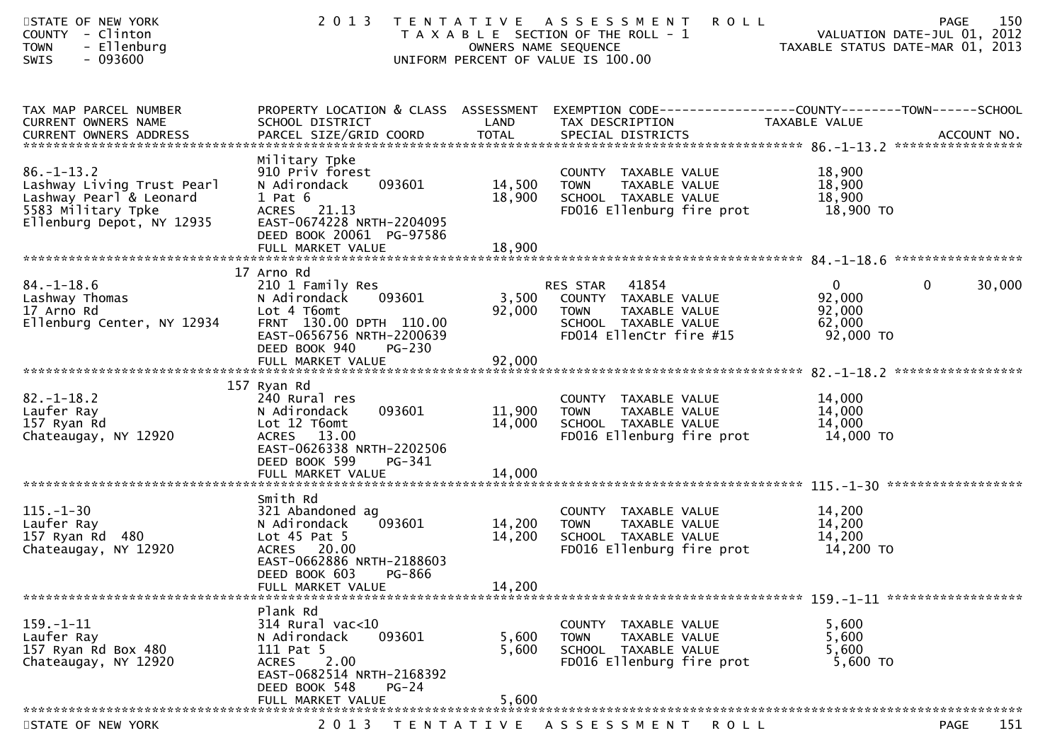| STATE OF NEW YORK<br>COUNTY - Clinton<br>- Ellenburg<br><b>TOWN</b><br>SWIS<br>$-093600$                                     | 2 0 1 3                                                                                                                                                                | OWNERS NAME SEQUENCE       | TENTATIVE ASSESSMENT<br><b>ROLL</b><br>T A X A B L E SECTION OF THE ROLL - 1<br>UNIFORM PERCENT OF VALUE IS 100.00        | PAGE<br>VALUATION DATE-JUL 01, 2012<br>VALUATION DATE-JUL UI, ZUIZ<br>TAXABLE STATUS DATE-MAR 01, 2013            | 150    |
|------------------------------------------------------------------------------------------------------------------------------|------------------------------------------------------------------------------------------------------------------------------------------------------------------------|----------------------------|---------------------------------------------------------------------------------------------------------------------------|-------------------------------------------------------------------------------------------------------------------|--------|
| TAX MAP PARCEL NUMBER<br>CURRENT OWNERS NAME                                                                                 | SCHOOL DISTRICT                                                                                                                                                        | LAND                       | TAX DESCRIPTION                                                                                                           | PROPERTY LOCATION & CLASS ASSESSMENT EXEMPTION CODE----------------COUNTY-------TOWN------SCHOOL<br>TAXABLE VALUE |        |
| $86. - 1 - 13.2$<br>Lashway Living Trust Pearl<br>Lashway Pearl & Leonard<br>5583 Military Tpke<br>Ellenburg Depot, NY 12935 | Military Tpke<br>910 Priv forest<br>093601<br>N Adirondack<br>$1$ Pat $6$<br>ACRES 21.13<br>EAST-0674228 NRTH-2204095<br>DEED BOOK 20061 PG-97586                      | 14,500<br>18,900           | COUNTY TAXABLE VALUE<br>TAXABLE VALUE<br><b>TOWN</b><br>SCHOOL TAXABLE VALUE<br>FD016 Ellenburg fire prot                 | 18,900<br>18,900<br>18,900<br>18,900 TO                                                                           |        |
|                                                                                                                              |                                                                                                                                                                        |                            |                                                                                                                           |                                                                                                                   |        |
| $84. - 1 - 18.6$<br>Lashway Thomas<br>17 Arno Rd<br>Ellenburg Center, NY 12934                                               | 17 Arno Rd<br>210 1 Family Res<br>N Adirondack<br>093601<br>Lot 4 T6omt<br>FRNT 130.00 DPTH 110.00<br>EAST-0656756 NRTH-2200639<br>DEED BOOK 940<br><b>PG-230</b>      | 3,500<br>92,000            | RES STAR 41854<br>COUNTY TAXABLE VALUE<br><b>TOWN</b><br>TAXABLE VALUE<br>SCHOOL TAXABLE VALUE<br>FD014 EllenCtr fire #15 | $\overline{0}$<br>$\mathbf 0$<br>92,000<br>92,000<br>62,000<br>92,000 TO                                          | 30,000 |
|                                                                                                                              |                                                                                                                                                                        |                            |                                                                                                                           |                                                                                                                   |        |
| $82. - 1 - 18.2$<br>Laufer Ray<br>157 Ryan Rd<br>Chateaugay, NY 12920                                                        | 157 Ryan Rd<br>240 Rural res<br>N Adirondack<br>093601<br>Lot 12 T6omt<br>ACRES 13.00<br>EAST-0626338 NRTH-2202506<br>DEED BOOK 599<br>PG-341                          | 11,900<br>14,000           | COUNTY TAXABLE VALUE<br>TAXABLE VALUE<br><b>TOWN</b><br>SCHOOL TAXABLE VALUE<br>FD016 Ellenburg fire prot                 | 14,000<br>14,000<br>14,000<br>14,000 TO                                                                           |        |
|                                                                                                                              |                                                                                                                                                                        |                            |                                                                                                                           |                                                                                                                   |        |
| $115. - 1 - 30$<br>Laufer Ray<br>157 Ryan Rd 480<br>Chateaugay, NY 12920                                                     | Smith Rd<br>321 Abandoned ag<br>093601<br>N Adirondack<br>Lot $45$ Pat $5$<br>ACRES 20.00<br>EAST-0662886 NRTH-2188603<br>DEED BOOK 603<br>PG-866<br>FULL MARKET VALUE | 14,200<br>14,200<br>14,200 | COUNTY TAXABLE VALUE<br><b>TOWN</b><br>TAXABLE VALUE<br>SCHOOL TAXABLE VALUE<br>FD016 Ellenburg fire prot                 | 14,200<br>14,200<br>14,200<br>14,200 TO                                                                           |        |
| *******************************                                                                                              |                                                                                                                                                                        |                            |                                                                                                                           |                                                                                                                   |        |
| $159. - 1 - 11$<br>Laufer Ray<br>157 Ryan Rd Box 480<br>Chateaugay, NY 12920                                                 | Plank Rd<br>314 Rural vac<10<br>N Adirondack<br>093601<br>111 Pat 5<br>2.00<br><b>ACRES</b><br>EAST-0682514 NRTH-2168392<br>DEED BOOK 548<br>$PG-24$                   | 5,600<br>5,600             | COUNTY TAXABLE VALUE<br><b>TOWN</b><br>TAXABLE VALUE<br>SCHOOL TAXABLE VALUE<br>FD016 Ellenburg fire prot                 | 5,600<br>5,600<br>5,600<br>5,600 TO                                                                               |        |
|                                                                                                                              | FULL MARKET VALUE                                                                                                                                                      | 5,600                      |                                                                                                                           |                                                                                                                   |        |
| STATE OF NEW YORK                                                                                                            | 2 0 1 3                                                                                                                                                                |                            | TENTATIVE ASSESSMENT<br>R O L L                                                                                           | <b>PAGE</b>                                                                                                       | 151    |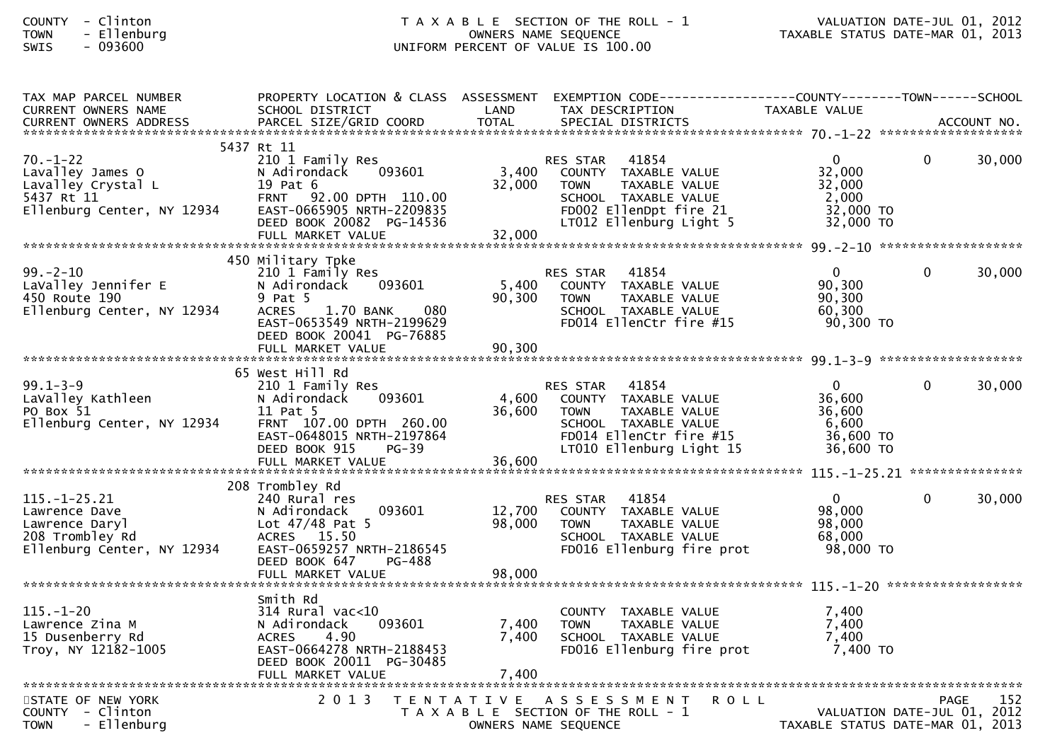## COUNTY - Clinton T A X A B L E SECTION OF THE ROLL - 1 VALUATION DATE-JUL 01, 2012TOWN - Ellenburg OWNERS NAME SEQUENCE TAXABLE STATUS DATE-MAR 01, 2013SWIS - 093600 UNIFORM PERCENT OF VALUE IS 100.00

| TAX MAP PARCEL NUMBER<br>CURRENT OWNERS NAME<br>CURRENT OWNERS ADDRESS                                 | PROPERTY LOCATION & CLASS ASSESSMENT<br>SCHOOL DISTRICT<br>PARCEL SIZE/GRID COORD                                                                                            | LAND<br><b>TOTAL</b>       | TAX DESCRIPTION<br>SPECIAL DISTRICTS                                                                                                                          | TAXABLE VALUE                                                       |          | ACCOUNT NO. |
|--------------------------------------------------------------------------------------------------------|------------------------------------------------------------------------------------------------------------------------------------------------------------------------------|----------------------------|---------------------------------------------------------------------------------------------------------------------------------------------------------------|---------------------------------------------------------------------|----------|-------------|
|                                                                                                        |                                                                                                                                                                              |                            |                                                                                                                                                               |                                                                     |          |             |
| $70. - 1 - 22$<br>Lavalley James O<br>Lavalley Crystal L<br>5437 Rt 11<br>Ellenburg Center, NY 12934   | 5437 Rt 11<br>210 1 Family Res<br>093601<br>N Adirondack<br>19 Pat 6<br>FRNT 92.00 DPTH 110.00<br>EAST-0665905 NRTH-2209835<br>DEED BOOK 20082 PG-14536<br>FULL MARKET VALUE | 3,400<br>32,000<br>32,000  | 41854<br><b>RES STAR</b><br>COUNTY TAXABLE VALUE<br><b>TOWN</b><br>TAXABLE VALUE<br>SCHOOL TAXABLE VALUE<br>FD002 EllenDpt fire 21<br>LT012 Ellenburg Light 5 | $\mathbf{0}$<br>32,000<br>32,000<br>2,000<br>32,000 TO<br>32,000 TO | $\Omega$ | 30,000      |
|                                                                                                        | 450 Military Tpke                                                                                                                                                            |                            |                                                                                                                                                               |                                                                     |          |             |
| $99 - 2 - 10$<br>LaValley Jennifer E<br>450 Route 190<br>Ellenburg Center, NY 12934                    | 210 1 Family Res<br>N Adirondack<br>093601<br>9 Pat 5<br>080<br>1.70 BANK<br><b>ACRES</b><br>EAST-0653549 NRTH-2199629<br>DEED BOOK 20041 PG-76885                           | 5,400<br>90,300            | 41854<br><b>RES STAR</b><br>COUNTY TAXABLE VALUE<br><b>TOWN</b><br>TAXABLE VALUE<br>SCHOOL TAXABLE VALUE<br>FD014 EllenCtr fire #15                           | $\overline{0}$<br>90,300<br>90,300<br>60, 300<br>90,300 TO          | $\Omega$ | 30,000      |
|                                                                                                        | FULL MARKET VALUE                                                                                                                                                            | 90,300                     |                                                                                                                                                               |                                                                     |          |             |
| $99.1 - 3 - 9$<br>LaValley Kathleen<br>PO Box 51<br>Ellenburg Center, NY 12934                         | 65 West Hill Rd<br>210 1 Family Res<br>093601<br>N Adirondack<br>11 Pat 5<br>FRNT 107.00 DPTH 260.00<br>EAST-0648015 NRTH-2197864<br>DEED BOOK 915<br>$PG-39$                | 4,600<br>36,600            | 41854<br>RES STAR<br>COUNTY TAXABLE VALUE<br>TAXABLE VALUE<br><b>TOWN</b><br>SCHOOL TAXABLE VALUE<br>FD014 EllenCtr fire #15<br>LT010 Ellenburg Light 15      | 0<br>36,600<br>36,600<br>6.600<br>36,600 TO<br>36,600 TO            | $\Omega$ | 30,000      |
|                                                                                                        |                                                                                                                                                                              |                            |                                                                                                                                                               |                                                                     |          |             |
| $115. - 1 - 25.21$<br>Lawrence Dave<br>Lawrence Daryl<br>208 Trombley Rd<br>Ellenburg Center, NY 12934 | 208 Trombley Rd<br>240 Rural res<br>093601<br>N Adirondack<br>Lot 47/48 Pat 5<br>ACRES 15.50<br>EAST-0659257 NRTH-2186545<br>DEED BOOK 647<br>PG-488<br>FULL MARKET VALUE    | 12,700<br>98,000<br>98,000 | 41854<br><b>RES STAR</b><br>COUNTY TAXABLE VALUE<br>TAXABLE VALUE<br><b>TOWN</b><br>SCHOOL TAXABLE VALUE<br>FD016 Ellenburg fire prot                         | $\mathbf{0}$<br>98,000<br>98,000<br>68,000<br>98,000 TO             | $\Omega$ | 30,000      |
|                                                                                                        |                                                                                                                                                                              |                            |                                                                                                                                                               |                                                                     |          |             |
| $115. - 1 - 20$<br>Lawrence Zina M<br>15 Dusenberry Rd<br>Troy, NY 12182-1005                          | Smith Rd<br>$314$ Rural vac< $10$<br>N Adirondack<br>093601<br>4.90<br>ACRES<br>EAST-0664278 NRTH-2188453<br>DEED BOOK 20011 PG-30485                                        | 7,400<br>7,400             | COUNTY TAXABLE VALUE<br><b>TOWN</b><br>TAXABLE VALUE<br>SCHOOL TAXABLE VALUE<br>FD016 Ellenburg fire prot                                                     | 7,400<br>7,400<br>7,400<br>7,400 TO                                 |          |             |
| STATE OF NEW YORK<br>COUNTY - Clinton<br><b>TOWN</b><br>- Ellenburg                                    | 2 0 1 3                                                                                                                                                                      | OWNERS NAME SEQUENCE       | TENTATIVE ASSESSMENT<br><b>ROLL</b><br>T A X A B L E SECTION OF THE ROLL - 1                                                                                  | VALUATION DATE-JUL 01, 2012<br>TAXABLE STATUS DATE-MAR 01, 2013     | PAGE     | 152         |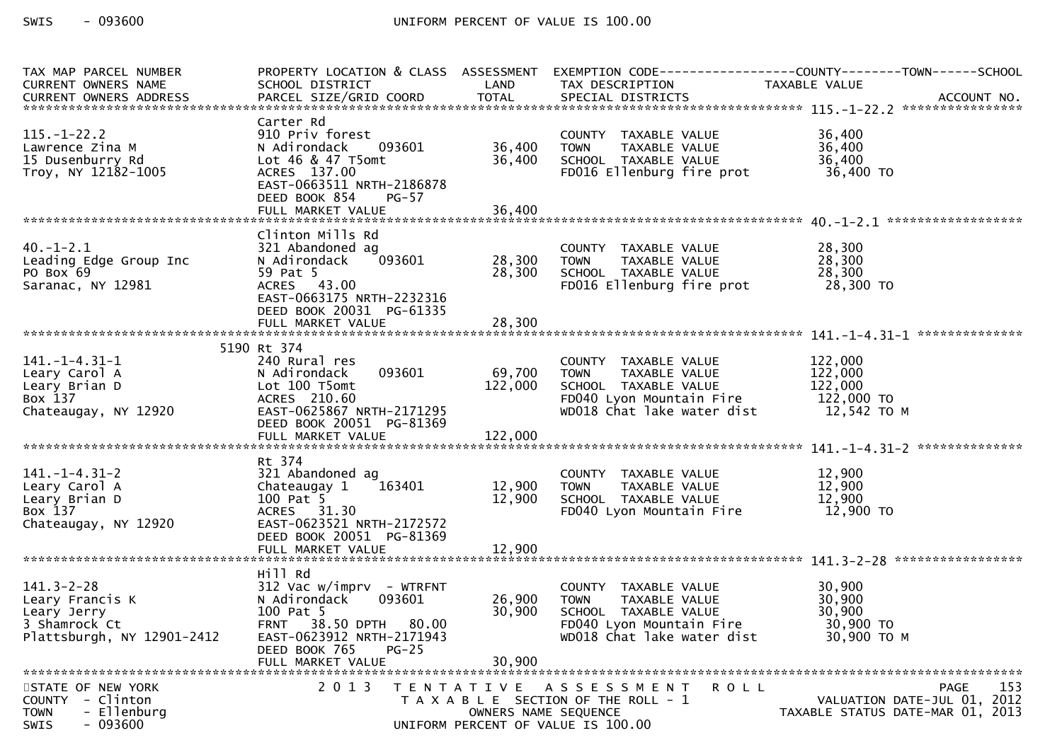| TAX MAP PARCEL NUMBER<br>CURRENT OWNERS NAME<br>CURRENT OWNERS ADDRESS                            | PROPERTY LOCATION & CLASS ASSESSMENT<br>SCHOOL DISTRICT LAND                                                                                                                        |                            | TAX DESCRIPTION                                                                                                                   | EXEMPTION CODE-----------------COUNTY-------TOWN------SCHOOL<br>TAXABLE VALUE         |
|---------------------------------------------------------------------------------------------------|-------------------------------------------------------------------------------------------------------------------------------------------------------------------------------------|----------------------------|-----------------------------------------------------------------------------------------------------------------------------------|---------------------------------------------------------------------------------------|
| $115. - 1 - 22.2$<br>Lawrence Zina M<br>15 Dusenburry Rd<br>Troy, NY 12182-1005                   | Carter Rd<br>910 Priv forest<br>093601<br>N Adirondack<br>Lot 46 & 47 T5omt<br>ACRES 137.00<br>EAST-0663511 NRTH-2186878                                                            | 36,400<br>36,400           | COUNTY TAXABLE VALUE<br>TOWN TAXABLE VALUE<br>COUON TAXARLE VALUE<br>SCHOOL TAXABLE VALUE<br>FD016 Ellenburg fire prot 36,400 TO  | 36,400<br>36,400<br>36,400                                                            |
|                                                                                                   | DEED BOOK 854<br>$PG-57$                                                                                                                                                            |                            |                                                                                                                                   |                                                                                       |
| $40. - 1 - 2.1$<br>Leading Edge Group Inc<br>PO Box 69<br>Saranac, NY 12981                       | Clinton Mills Rd<br>$\frac{1}{28.300}$<br>321 Abandoned ag<br>N Adirondack<br>59 Pat 5<br>ACRES 43.00<br>EAST-0663175 NRTH-2232316<br>DEED BOOK 20031 PG-61335                      | 28,300                     | COUNTY TAXABLE VALUE<br>28,300 TOWN TAXABLE VALUE<br>SCHOOL TAXABLE VALUE<br>FD016 Ellenburg fire prot 28,300 TO                  | $\frac{28}{28}, \frac{300}{300}$<br>28,300                                            |
|                                                                                                   |                                                                                                                                                                                     |                            |                                                                                                                                   |                                                                                       |
| $141. - 1 - 4.31 - 1$<br>Leary Carol A<br>Leary Brian D<br>Box 137<br>Chateaugay, NY 12920        | 5190 Rt 374<br>240 Rural res<br>093601<br>N Adirondack<br>Lot 100 T5omt<br>ACRES 210.60<br>EAST-0625867 NRTH-2171295<br>DEED BOOK 20051 PG-81369                                    | 69,700<br>122,000          | COUNTY TAXABLE VALUE 122,000<br>TOWN TAXABLE VALUE 122,000<br><b>TOWN</b>                                                         |                                                                                       |
|                                                                                                   | Rt 374                                                                                                                                                                              |                            |                                                                                                                                   |                                                                                       |
| $141. - 1 - 4.31 - 2$<br>Leary Carol A<br>Leary Brian D<br>Box 137<br>Chateaugay, NY 12920        | 100 Pat 5<br>ACRES 31.30<br>EAST-0623521 NRTH-2172572<br>DEED BOOK 20051 PG-81369                                                                                                   | 12,900                     | SCHOOL TAXABLE VALUE<br>FD040 Lyon Mountain Fire                                                                                  | 12,900<br>12,900<br>12,900<br>12,900 TO                                               |
|                                                                                                   |                                                                                                                                                                                     |                            |                                                                                                                                   |                                                                                       |
| $141.3 - 2 - 28$<br>Leary Francis K<br>Leary Jerry<br>3 Shamrock Ct<br>Plattsburgh, NY 12901-2412 | Hill Rd<br>$312$ Vac w/imprv - WTRFNT<br>093601<br>N Adirondack<br>100 Pat 5<br>FRNT 38.50 DPTH 80.00<br>EAST-0623912 NRTH-2171943<br>DEED BOOK 765<br>$PG-25$<br>FULL MARKET VALUE | 26,900<br>30,900<br>30,900 | COUNTY TAXABLE VALUE<br>TOWN      TAXABLE VALUE<br>SCHOOL TAXABLE VALUE<br>FD040 Lyon Mountain Fire<br>WD018 Chat lake water dist | 30,900<br>30,900<br>30,900<br>30,900 TO<br>30,900 ТО М                                |
| STATE OF NEW YORK<br>COUNTY - Clinton<br>- Ellenburg<br><b>TOWN</b><br>$-093600$<br>SWIS          | 2 0 1 3                                                                                                                                                                             | OWNERS NAME SEQUENCE       | R O L L<br>TENTATIVE ASSESSMENT<br>T A X A B L E SECTION OF THE ROLL - 1<br>UNIFORM PERCENT OF VALUE IS 100.00                    | 153<br><b>PAGE</b><br>VALUATION DATE-JUL 01, 2012<br>TAXABLE STATUS DATE-MAR 01, 2013 |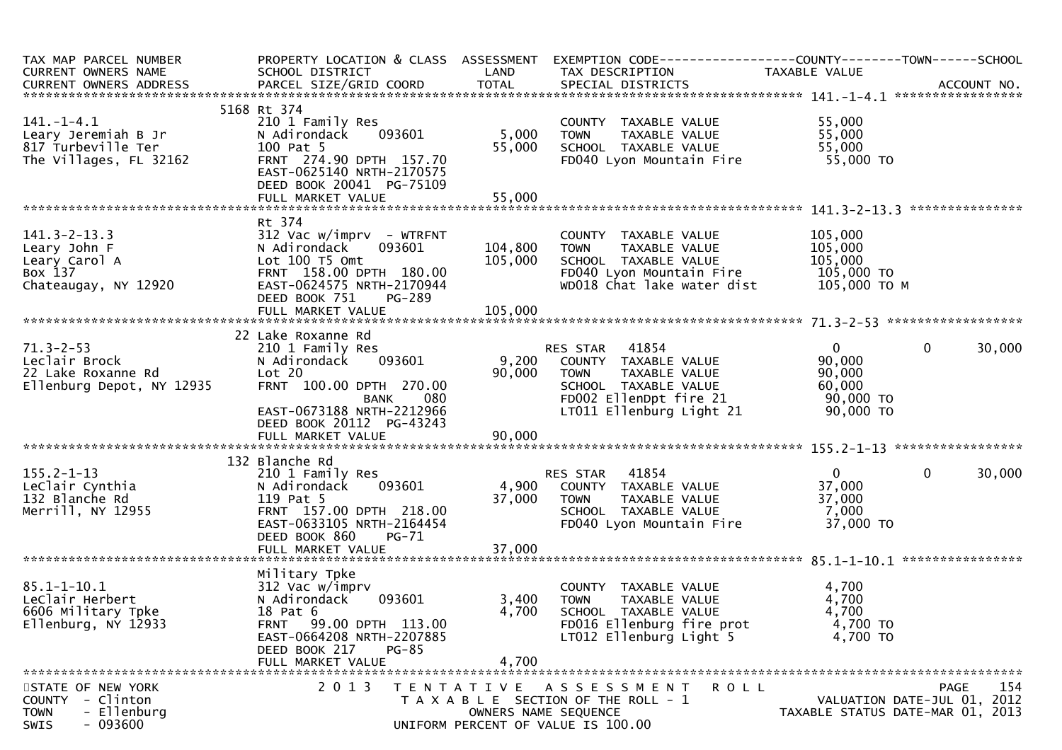| TAX MAP PARCEL NUMBER<br>CURRENT OWNERS NAME<br>CURRENT OWNERS ADDRESS                             | PROPERTY LOCATION & CLASS ASSESSMENT<br>SCHOOL DISTRICT                                                                                                                                         | LAND                          | EXEMPTION CODE-----------------COUNTY-------TOWN------SCHOOL<br>TAX DESCRIPTION                                                        | TAXABLE VALUE                                               |                                                                                |
|----------------------------------------------------------------------------------------------------|-------------------------------------------------------------------------------------------------------------------------------------------------------------------------------------------------|-------------------------------|----------------------------------------------------------------------------------------------------------------------------------------|-------------------------------------------------------------|--------------------------------------------------------------------------------|
|                                                                                                    |                                                                                                                                                                                                 |                               |                                                                                                                                        |                                                             |                                                                                |
| $141. - 1 - 4.1$<br>Leary Jeremiah B Jr<br>817 Turbeville Ter<br>The Villages, FL 32162            | 5168 Rt 374<br>210 1 Family Res<br>093601<br>N Adirondack<br>100 Pat 5<br>FRNT 274.90 DPTH 157.70<br>EAST-0625140 NRTH-2170575<br>DEED BOOK 20041 PG-75109                                      | 5,000<br>55,000               | COUNTY TAXABLE VALUE<br>TAXABLE VALUE<br><b>TOWN</b><br>SCHOOL TAXABLE VALUE<br>FD040 Lyon Mountain Fire                               | 55,000<br>55,000<br>55,000<br>55,000 TO                     |                                                                                |
|                                                                                                    |                                                                                                                                                                                                 |                               |                                                                                                                                        |                                                             |                                                                                |
|                                                                                                    |                                                                                                                                                                                                 |                               |                                                                                                                                        |                                                             |                                                                                |
| $141.3 - 2 - 13.3$<br>Leary John F<br>Leary Carol A<br>Box 137<br>Chateaugay, NY 12920             | Rt 374<br>$312$ Vac w/imprv - WTRFNT<br>N Adirondack<br>093601<br>Lot 100 T5 Omt<br>FRNT 158.00 DPTH 180.00<br>EAST-0624575 NRTH-2170944<br>DEED BOOK 751<br><b>PG-289</b><br>FULL MARKET VALUE | 104,800<br>105,000<br>105,000 | COUNTY TAXABLE VALUE<br><b>TOWN</b><br>TAXABLE VALUE<br>SCHOOL TAXABLE VALUE<br>FD040 Lyon Mountain Fire<br>WD018 Chat lake water dist | 105,000<br>105,000<br>105,000<br>105,000 TO<br>105,000 ТО М |                                                                                |
|                                                                                                    |                                                                                                                                                                                                 |                               |                                                                                                                                        |                                                             |                                                                                |
| $71.3 - 2 - 53$<br>Leclair Brock<br>22 Lake Roxanne Rd<br>Ellenburg Depot, NY 12935                | 22 Lake Roxanne Rd<br>210 1 Family Res<br>093601<br>N Adirondack<br>Lot 20<br>FRNT 100.00 DPTH 270.00<br>080<br><b>BANK</b>                                                                     | 9,200<br>90,000               | 41854<br>RES STAR<br>COUNTY TAXABLE VALUE<br><b>TOWN</b><br><b>TAXABLE VALUE</b><br>SCHOOL TAXABLE VALUE<br>FD002 EllenDpt fire 21     | $\overline{0}$<br>90,000<br>90,000<br>60,000<br>90,000 TO   | $\mathbf 0$<br>30,000                                                          |
|                                                                                                    | EAST-0673188 NRTH-2212966<br>DEED BOOK 20112 PG-43243                                                                                                                                           |                               | LT011 Ellenburg Light 21                                                                                                               | 90,000 TO                                                   |                                                                                |
|                                                                                                    | 132 Blanche Rd                                                                                                                                                                                  |                               |                                                                                                                                        |                                                             |                                                                                |
| $155.2 - 1 - 13$<br>LeClair Cynthia<br>132 Blanche Rd<br>Merrill, NY 12955                         | 210 1 Family Res<br>093601<br>N Adirondack<br>119 Pat 5<br>FRNT 157.00 DPTH 218.00<br>EAST-0633105 NRTH-2164454<br>DEED BOOK 860<br><b>PG-71</b><br>FULL MARKET VALUE                           | 4,900<br>37,000<br>37,000     | 41854<br>RES STAR<br>COUNTY TAXABLE VALUE<br><b>TOWN</b><br>TAXABLE VALUE<br>SCHOOL TAXABLE VALUE<br>FD040 Lyon Mountain Fire          | $\mathbf{0}$<br>37,000<br>37,000<br>7,000<br>37,000 TO      | $\mathbf 0$<br>30,000                                                          |
|                                                                                                    |                                                                                                                                                                                                 |                               |                                                                                                                                        |                                                             |                                                                                |
| $85.1 - 1 - 10.1$<br>LeClair Herbert<br>6606 Military Tpke<br>Ellenburg, NY 12933                  | Military Tpke<br>312 Vac w/imprv<br>093601<br>N Adirondack<br>18 Pat 6<br>FRNT 99.00 DPTH 113.00<br>EAST-0664208 NRTH-2207885<br>DEED BOOK 217<br>PG-85<br>FULL MARKET VALUE                    | 3,400<br>4,700<br>4,700       | COUNTY TAXABLE VALUE<br><b>TOWN</b><br>TAXABLE VALUE<br>SCHOOL TAXABLE VALUE<br>FD016 Ellenburg fire prot<br>LT012 Ellenburg Light 5   | 4,700<br>4,700<br>4,700<br>4,700 TO<br>4,700 TO             |                                                                                |
|                                                                                                    |                                                                                                                                                                                                 |                               |                                                                                                                                        |                                                             |                                                                                |
| STATE OF NEW YORK<br>- Clinton<br><b>COUNTY</b><br>- Ellenburg<br><b>TOWN</b><br>$-093600$<br>SWIS | 2 0 1 3                                                                                                                                                                                         |                               | TENTATIVE ASSESSMENT<br>R O L L<br>T A X A B L E SECTION OF THE ROLL - 1<br>OWNERS NAME SEQUENCE<br>UNIFORM PERCENT OF VALUE IS 100.00 |                                                             | 154<br>PAGE<br>VALUATION DATE-JUL 01, 2012<br>TAXABLE STATUS DATE-MAR 01, 2013 |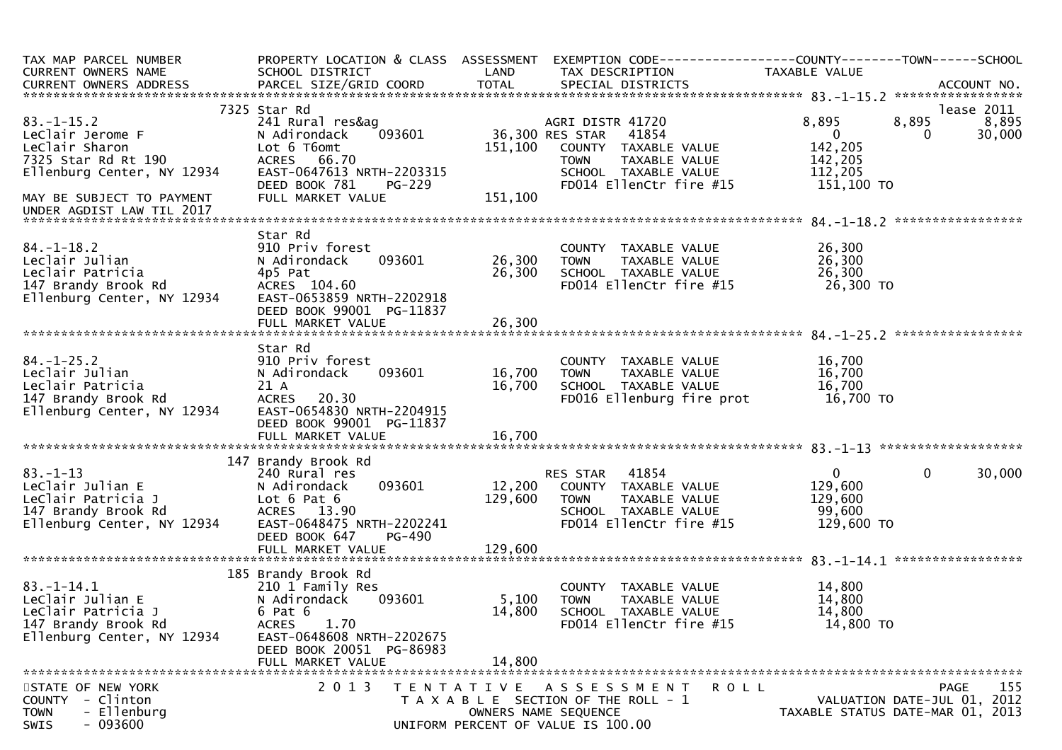| TAX MAP PARCEL NUMBER<br>CURRENT OWNERS NAME<br>CURRENT OWNERS ADDRESS                                          | PROPERTY LOCATION & CLASS ASSESSMENT<br>SCHOOL DISTRICT<br>PARCEL SIZE/GRID COORD                                                                                             | LAND<br>TOTAL                | TAX DESCRIPTION<br>SPECIAL DISTRICTS                                                                                                       | TAXABLE VALUE                                              | ACCOUNT NO.                                                                           |
|-----------------------------------------------------------------------------------------------------------------|-------------------------------------------------------------------------------------------------------------------------------------------------------------------------------|------------------------------|--------------------------------------------------------------------------------------------------------------------------------------------|------------------------------------------------------------|---------------------------------------------------------------------------------------|
|                                                                                                                 |                                                                                                                                                                               |                              |                                                                                                                                            |                                                            |                                                                                       |
| $83.-1-15.2$<br>LeClair Jerome F<br>LeClair Sharon<br>7325 Star Rd Rt 190                                       | 7325 Star Rd<br>241 Rural res&ag<br>093601<br>N Adirondack<br>Lot 6 T6omt<br>ACRES 66.70                                                                                      | 151,100                      | AGRI DISTR 41720<br>36,300 RES STAR<br>41854<br>COUNTY TAXABLE VALUE<br>TAXABLE VALUE<br><b>TOWN</b>                                       | 8,895<br>$\mathbf{0}$<br>142,205<br>142,205                | lease 2011<br>8,895<br>8,895<br>30,000<br>0                                           |
| Ellenburg Center, NY 12934<br>MAY BE SUBJECT TO PAYMENT<br>UNDER AGDIST LAW TIL 2017                            | EAST-0647613 NRTH-2203315<br>DEED BOOK 781<br><b>PG-229</b><br>FULL MARKET VALUE                                                                                              | 151,100                      | SCHOOL TAXABLE VALUE<br>FD014 EllenCtr fire #15                                                                                            | 112,205<br>151,100 TO                                      |                                                                                       |
|                                                                                                                 |                                                                                                                                                                               |                              |                                                                                                                                            |                                                            | *****************                                                                     |
| $84. - 1 - 18.2$<br>Leclair Julian<br>Leclair Patricia<br>147 Brandy Brook Rd<br>Ellenburg Center, NY 12934     | Star Rd<br>910 Priv forest<br>093601<br>N Adirondack<br>4p5 Pat<br>ACRES 104.60<br>EAST-0653859 NRTH-2202918<br>DEED BOOK 99001 PG-11837                                      | 26,300<br>26,300             | COUNTY TAXABLE VALUE<br><b>TOWN</b><br>TAXABLE VALUE<br>SCHOOL TAXABLE VALUE<br>FD014 EllenCtr fire #15                                    | 26,300<br>26,300<br>26,300<br>26,300 TO                    |                                                                                       |
|                                                                                                                 | FULL MARKET VALUE                                                                                                                                                             | 26,300                       |                                                                                                                                            |                                                            |                                                                                       |
|                                                                                                                 |                                                                                                                                                                               |                              |                                                                                                                                            |                                                            |                                                                                       |
| $84. - 1 - 25.2$<br>Leclair Julian<br>Leclair Patricia<br>147 Brandy Brook Rd<br>Ellenburg Center, NY 12934     | Star Rd<br>910 Priv forest<br>093601<br>N Adirondack<br>21 A<br>ACRES 20.30<br>EAST-0654830 NRTH-2204915<br>DEED BOOK 99001 PG-11837                                          | 16,700<br>16,700             | COUNTY TAXABLE VALUE<br><b>TOWN</b><br>TAXABLE VALUE<br>SCHOOL TAXABLE VALUE<br>FD016 Ellenburg fire prot                                  | 16,700<br>16,700<br>16,700<br>16,700 TO                    |                                                                                       |
|                                                                                                                 |                                                                                                                                                                               |                              |                                                                                                                                            |                                                            |                                                                                       |
| $83. - 1 - 13$<br>LeClair Julian E<br>LeClair Patricia J<br>147 Brandy Brook Rd<br>Ellenburg Center, NY 12934   | 147 Brandy Brook Rd<br>240 Rural res<br>093601<br>N Adirondack<br>Lot $6$ Pat $6$<br>ACRES 13.90<br>EAST-0648475 NRTH-2202241<br>DEED BOOK 647<br>PG-490<br>FULL MARKET VALUE | 12,200<br>129,600<br>129,600 | 41854<br>RES STAR<br>COUNTY TAXABLE VALUE<br>TAXABLE VALUE<br><b>TOWN</b><br>SCHOOL TAXABLE VALUE<br>FD014 EllenCtr fire #15               | $\mathbf{0}$<br>129,600<br>129,600<br>99,600<br>129,600 TO | $\mathbf 0$<br>30,000                                                                 |
|                                                                                                                 | 185 Brandy Brook Rd                                                                                                                                                           |                              |                                                                                                                                            |                                                            |                                                                                       |
| $83. - 1 - 14.1$<br>LeClair Julian E<br>LeClair Patricia J<br>147 Brandy Brook Rd<br>Ellenburg Center, NY 12934 | 210 1 Family Res<br>N Adirondack<br>093601<br>$6$ Pat $6$<br>1.70<br><b>ACRES</b><br>EAST-0648608 NRTH-2202675<br>DEED BOOK 20051 PG-86983                                    | 5,100<br>14,800              | COUNTY TAXABLE VALUE<br><b>TOWN</b><br>TAXABLE VALUE<br>SCHOOL TAXABLE VALUE<br>FD014 EllenCtr fire #15                                    | 14,800<br>14,800<br>14,800<br>14,800 TO                    |                                                                                       |
|                                                                                                                 | FULL MARKET VALUE                                                                                                                                                             | 14,800                       |                                                                                                                                            |                                                            |                                                                                       |
| STATE OF NEW YORK<br>- Clinton<br><b>COUNTY</b><br><b>TOWN</b><br>- Ellenburg<br>$-093600$<br>SWIS              | 2 0 1 3                                                                                                                                                                       |                              | <b>ROLL</b><br>TENTATIVE ASSESSMENT<br>T A X A B L E SECTION OF THE ROLL - 1<br>OWNERS NAME SEQUENCE<br>UNIFORM PERCENT OF VALUE IS 100.00 |                                                            | 155<br><b>PAGE</b><br>VALUATION DATE-JUL 01, 2012<br>TAXABLE STATUS DATE-MAR 01, 2013 |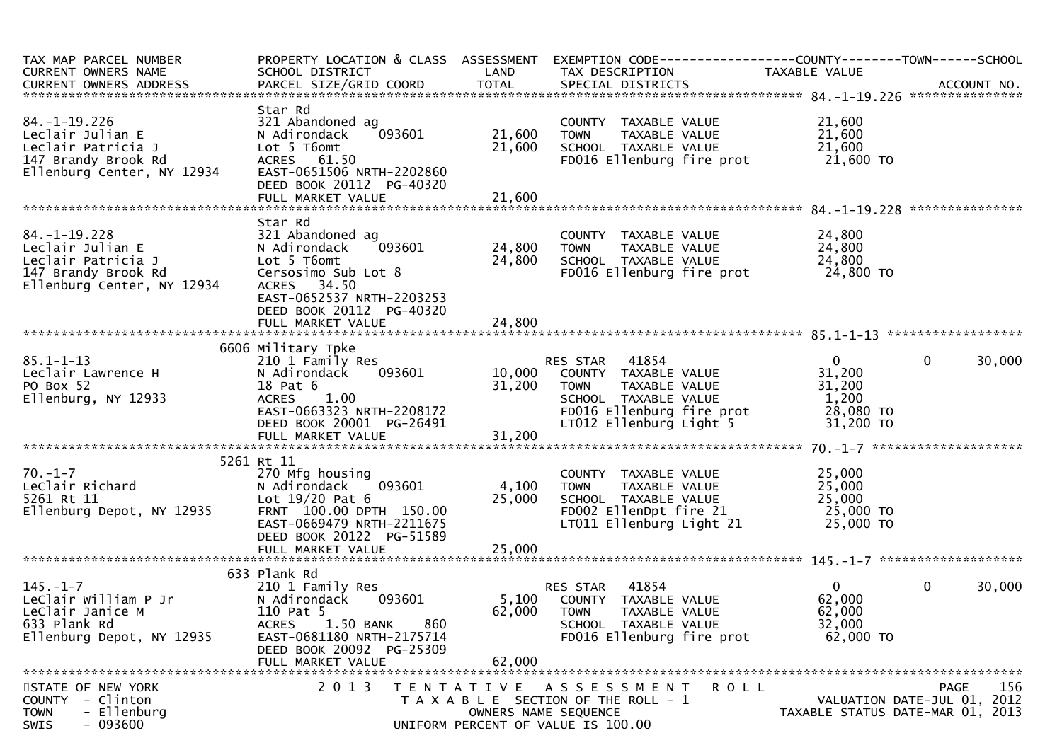| TAX MAP PARCEL NUMBER<br>CURRENT OWNERS NAME                                                                      | PROPERTY LOCATION & CLASS ASSESSMENT<br>SCHOOL DISTRICT                                                                                                                                 | LAND                      | TAX DESCRIPTION                                                                                                                                               | TAXABLE VALUE                                                       |                             |
|-------------------------------------------------------------------------------------------------------------------|-----------------------------------------------------------------------------------------------------------------------------------------------------------------------------------------|---------------------------|---------------------------------------------------------------------------------------------------------------------------------------------------------------|---------------------------------------------------------------------|-----------------------------|
| $84. - 1 - 19.226$<br>Leclair Julian E<br>Leclair Patricia J<br>147 Brandy Brook Rd<br>Ellenburg Center, NY 12934 | Star Rd<br>321 Abandoned ag<br>093601<br>N Adirondack<br>Lot 5 T6omt<br>ACRES 61.50<br>EAST-0651506 NRTH-2202860<br>DEED BOOK 20112 PG-40320                                            | 21,600<br>21,600          | COUNTY TAXABLE VALUE<br><b>TOWN</b><br>TAXABLE VALUE<br>SCHOOL TAXABLE VALUE                                                                                  | 21,600<br>21,600<br>21,600<br>FD016 Ellenburg fire prot 21,600 TO   |                             |
|                                                                                                                   |                                                                                                                                                                                         |                           |                                                                                                                                                               |                                                                     |                             |
| $84. - 1 - 19.228$<br>Leclair Julian E<br>Leclair Patricia J<br>147 Brandy Brook Rd<br>Ellenburg Center, NY 12934 | Star Rd<br>321 Abandoned ag<br>N Adirondack<br>093601<br>Lot 5 T6omt<br>Cersosimo Sub Lot 8<br>ACRES 34.50<br>EAST-0652537 NRTH-2203253<br>DEED BOOK 20112 PG-40320                     | 24,800 TOWN<br>24,800     | COUNTY TAXABLE VALUE<br>TOWN      TAXABLE VALUE<br>SCHOOL   TAXABLE VALUE                                                                                     | 24,800<br>24,800<br>24,800<br>FD016 Ellenburg fire prot 24,800 TO   |                             |
|                                                                                                                   |                                                                                                                                                                                         |                           |                                                                                                                                                               |                                                                     |                             |
|                                                                                                                   | 6606 Military Tpke                                                                                                                                                                      |                           |                                                                                                                                                               |                                                                     |                             |
| $85.1 - 1 - 13$<br>Leclair Lawrence H<br>PO Box 52<br>Ellenburg, NY 12933                                         | 210 1 Family Res<br>093601 200<br>N Adirondack<br>18 Pat 6<br>ACRES 1.00<br>EAST-0663323 NRTH-2208172<br>DEED BOOK 20001 PG-26491                                                       | 31,200                    | RES STAR 41854<br>10,000 COUNTY TAXABLE VALUE<br><b>TOWN</b><br>TAXABLE VALUE<br>SCHOOL TAXABLE VALUE<br>FD016 Ellenburg fire prot<br>LT012 Ellenburg Light 5 | $\mathbf{0}$<br>31,200<br>31,200<br>1,200<br>28,080 TO<br>31,200 TO | $\mathbf{0}$<br>30,000      |
|                                                                                                                   |                                                                                                                                                                                         |                           |                                                                                                                                                               |                                                                     |                             |
| $70. - 1 - 7$<br>LeClair Richard<br>5261 Rt 11<br>Ellenburg Depot, NY 12935                                       | 5261 Rt 11<br>270 Mfg housing<br>093601<br>N Adirondack<br>Lot $19/20$ Pat $6$<br>FRNT 100.00 DPTH 150.00<br>EAST-0669479 NRTH-2211675<br>DEED BOOK 20122 PG-51589<br>FULL MARKET VALUE | 4,100<br>25,000<br>25,000 | COUNTY TAXABLE VALUE<br><b>TOWN</b><br>TAXABLE VALUE<br>SCHOOL TAXABLE VALUE<br>SCHOOL TAXABLE VALUE<br>FD002 EllenDpt fire 21<br>LT011 Ellenburg Light 21    | 25,000<br>25,000<br>25,000<br>$25,000$ TO<br>25,000 TO              |                             |
|                                                                                                                   | 633 Plank Rd                                                                                                                                                                            |                           |                                                                                                                                                               |                                                                     |                             |
| $145. - 1 - 7$<br>LeClair William P Jr<br>LeClair Janice M<br>633 Plank Rd<br>Ellenburg Depot, NY 12935           | 210 1 Family Res<br>093601<br>N Adirondack<br>110 Pat 5<br>1.50 BANK<br>860<br><b>ACRES</b><br>EAST-0681180 NRTH-2175714<br>DEED BOOK 20092 PG-25309<br>FULL MARKET VALUE               | 62,000<br>62,000          | RES STAR 41854<br>5,100 COUNTY TAXABLE VALUE<br><b>TOWN</b><br>TAXABLE VALUE<br>SCHOOL TAXABLE VALUE<br>FD016 Ellenburg fire prot                             | $\overline{0}$<br>62,000<br>62,000<br>32,000<br>62,000 TO           | $\mathbf 0$<br>30,000       |
| STATE OF NEW YORK                                                                                                 | 2 0 1 3                                                                                                                                                                                 | T E N T A T I V E         | A S S E S S M E N T                                                                                                                                           | <b>ROLL</b>                                                         | 156<br>PAGE                 |
| - Clinton<br><b>COUNTY</b><br>- Ellenburg<br><b>TOWN</b><br>$-093600$<br><b>SWIS</b>                              |                                                                                                                                                                                         |                           | T A X A B L E SECTION OF THE ROLL - 1<br>OWNERS NAME SEQUENCE<br>UNIFORM PERCENT OF VALUE IS 100.00                                                           | TAXABLE STATUS DATE-MAR 01, 2013                                    | VALUATION DATE-JUL 01, 2012 |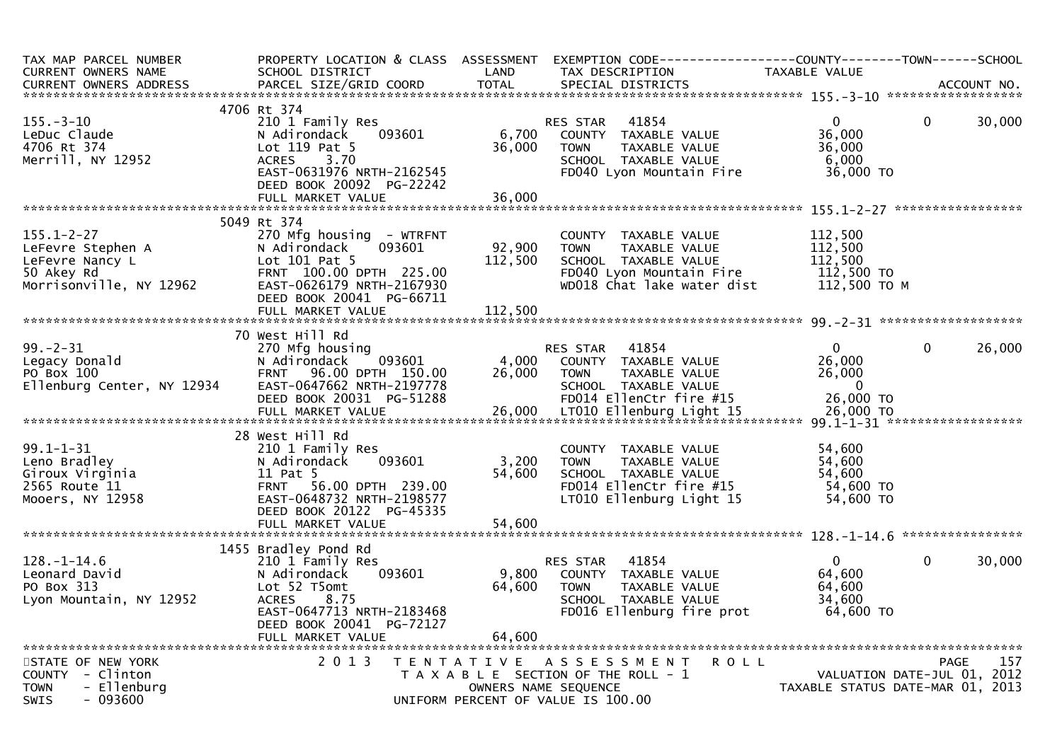| TAX MAP PARCEL NUMBER<br>CURRENT OWNERS NAME<br><b>CURRENT OWNERS ADDRESS</b>                     | PROPERTY LOCATION & CLASS ASSESSMENT<br>SCHOOL DISTRICT<br>PARCEL SIZE/GRID COORD                                                                                                        | LAND<br><b>TOTAL</b>      | EXEMPTION CODE------------------COUNTY--------TOWN------SCHOOL<br>TAX DESCRIPTION<br>SPECIAL DISTRICTS                                    | TAXABLE VALUE                                                 | ACCOUNT NO.                                                                    |
|---------------------------------------------------------------------------------------------------|------------------------------------------------------------------------------------------------------------------------------------------------------------------------------------------|---------------------------|-------------------------------------------------------------------------------------------------------------------------------------------|---------------------------------------------------------------|--------------------------------------------------------------------------------|
|                                                                                                   |                                                                                                                                                                                          |                           |                                                                                                                                           |                                                               |                                                                                |
|                                                                                                   | 4706 Rt 374                                                                                                                                                                              |                           |                                                                                                                                           |                                                               |                                                                                |
| $155. - 3 - 10$<br>LeDuc Claude<br>4706 Rt 374<br>Merrill, NY 12952                               | 210 1 Family Res<br>093601<br>N Adirondack<br>Lot $119$ Pat 5<br><b>ACRES</b><br>3.70<br>EAST-0631976 NRTH-2162545<br>DEED BOOK 20092 PG-22242                                           | 6,700<br>36,000           | 41854<br>RES STAR<br>COUNTY TAXABLE VALUE<br><b>TOWN</b><br>TAXABLE VALUE<br>SCHOOL TAXABLE VALUE<br>FD040 Lyon Mountain Fire             | $\Omega$<br>36,000<br>36,000<br>6,000<br>36,000 TO            | $\mathbf{0}$<br>30,000                                                         |
|                                                                                                   | FULL MARKET VALUE                                                                                                                                                                        | 36,000                    |                                                                                                                                           |                                                               |                                                                                |
|                                                                                                   |                                                                                                                                                                                          |                           |                                                                                                                                           |                                                               |                                                                                |
| $155.1 - 2 - 27$<br>LeFevre Stephen A<br>LeFevre Nancy L<br>50 Akey Rd<br>Morrisonville, NY 12962 | 5049 Rt 374<br>270 Mfg housing - WTRFNT<br>093601<br>N Adirondack<br>Lot $101$ Pat 5<br>FRNT 100.00 DPTH 225.00<br>EAST-0626179 NRTH-2167930<br>DEED BOOK 20041 PG-66711                 | 92,900<br>112,500         | COUNTY TAXABLE VALUE<br>TAXABLE VALUE<br><b>TOWN</b><br>SCHOOL TAXABLE VALUE<br>FD040 Lyon Mountain Fire<br>WD018 Chat lake water dist    | 112,500<br>112,500<br>112,500<br>112,500 TO<br>$112,500$ TO M |                                                                                |
|                                                                                                   | FULL MARKET VALUE                                                                                                                                                                        | 112,500                   |                                                                                                                                           |                                                               |                                                                                |
|                                                                                                   |                                                                                                                                                                                          |                           |                                                                                                                                           |                                                               |                                                                                |
| $99. - 2 - 31$<br>Legacy Donald<br>PO Box 100<br>Ellenburg Center, NY 12934                       | 70 West Hill Rd<br>270 Mfg housing<br>093601<br>N Adirondack<br>FRNT 96.00 DPTH 150.00<br>EAST-0647662 NRTH-2197778<br>DEED BOOK 20031 PG-51288                                          | 4,000<br>26,000           | 41854<br>RES STAR<br>COUNTY TAXABLE VALUE<br>TAXABLE VALUE<br>TOWN<br>SCHOOL TAXABLE VALUE<br>FD014 EllenCtr fire #15                     | $\Omega$<br>26,000<br>26,000<br>- 0<br>26,000 TO              | $\mathbf{0}$<br>26,000                                                         |
|                                                                                                   |                                                                                                                                                                                          |                           |                                                                                                                                           |                                                               |                                                                                |
| $99.1 - 1 - 31$<br>Leno Bradley<br>Giroux Virginia<br>2565 Route 11<br>Mooers, NY 12958           | 28 West Hill Rd<br>210 1 Family Res<br>093601<br>N Adirondack<br>11 Pat 5<br>FRNT 56.00 DPTH 239.00<br>EAST-0648732 NRTH-2198577<br>DEED BOOK 20122 PG-45335<br>FULL MARKET VALUE        | 3,200<br>54,600<br>54,600 | COUNTY TAXABLE VALUE<br>TAXABLE VALUE<br><b>TOWN</b><br>SCHOOL TAXABLE VALUE<br>FD014 EllenCtr fire #15<br>LT010 Ellenburg Light 15       | 54,600<br>54,600<br>54,600<br>54,600 TO<br>54,600 TO          |                                                                                |
|                                                                                                   |                                                                                                                                                                                          |                           |                                                                                                                                           |                                                               |                                                                                |
| $128. - 1 - 14.6$<br>Leonard David<br>PO Box 313<br>Lyon Mountain, NY 12952                       | 1455 Bradley Pond Rd<br>210 1 Family Res<br>N Adirondack<br>093601<br>Lot 52 T5omt<br><b>ACRES</b><br>8.75<br>EAST-0647713 NRTH-2183468<br>DEED BOOK 20041 PG-72127<br>FULL MARKET VALUE | 9,800<br>64,600<br>64,600 | 41854<br>RES STAR<br>COUNTY TAXABLE VALUE<br><b>TOWN</b><br>TAXABLE VALUE<br>SCHOOL TAXABLE VALUE<br>FD016 Ellenburg fire prot            | $\Omega$<br>64,600<br>64,600<br>34,600<br>64,600 TO           | $\Omega$<br>30,000                                                             |
|                                                                                                   |                                                                                                                                                                                          |                           |                                                                                                                                           |                                                               |                                                                                |
| STATE OF NEW YORK<br>COUNTY - Clinton<br><b>TOWN</b><br>- Ellenburg<br>- 093600<br><b>SWIS</b>    | 2 0 1 3                                                                                                                                                                                  | T E N T A T I V E         | A S S E S S M E N T<br><b>ROLL</b><br>T A X A B L E SECTION OF THE ROLL - 1<br>OWNERS NAME SEQUENCE<br>UNIFORM PERCENT OF VALUE IS 100.00 |                                                               | 157<br>PAGE<br>VALUATION DATE-JUL 01, 2012<br>TAXABLE STATUS DATE-MAR 01, 2013 |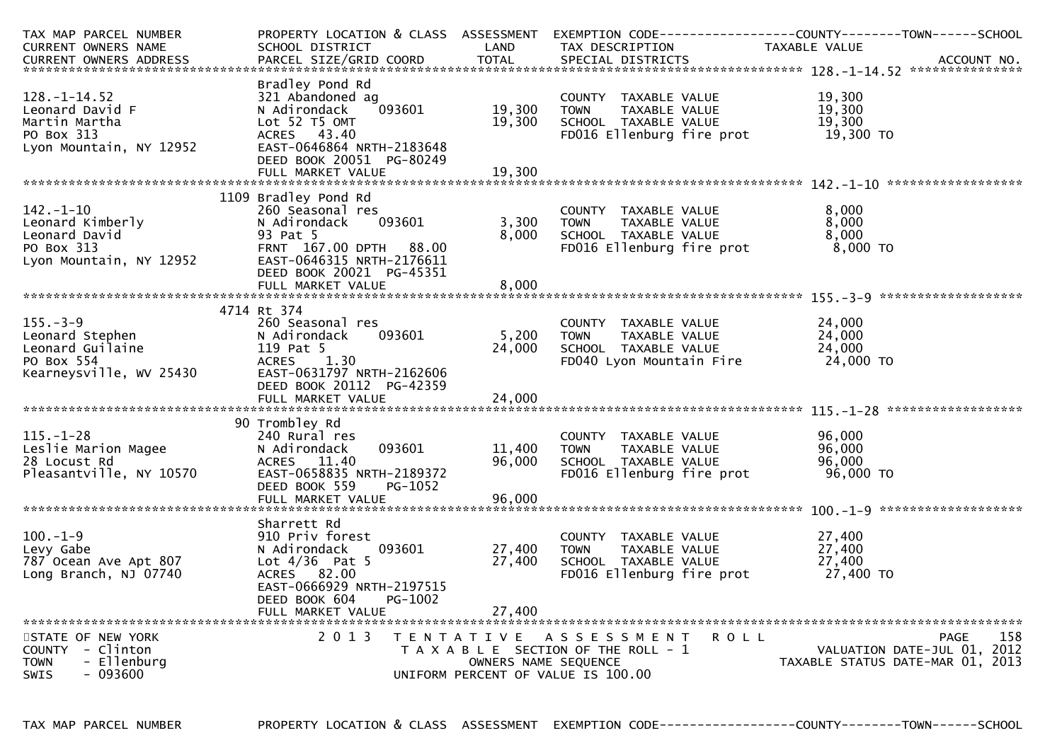| TAX MAP PARCEL NUMBER      | PROPERTY LOCATION & CLASS ASSESSMENT       |                      |                                                      | EXEMPTION CODE------------------COUNTY--------TOWN------SCHOOL  |
|----------------------------|--------------------------------------------|----------------------|------------------------------------------------------|-----------------------------------------------------------------|
| <b>CURRENT OWNERS NAME</b> | SCHOOL DISTRICT                            | LAND                 | TAX DESCRIPTION                                      | TAXABLE VALUE                                                   |
|                            |                                            |                      |                                                      |                                                                 |
|                            |                                            |                      |                                                      |                                                                 |
|                            | Bradley Pond Rd                            |                      |                                                      |                                                                 |
| $128. - 1 - 14.52$         | 321 Abandoned ag                           |                      | COUNTY TAXABLE VALUE                                 | 19,300                                                          |
| Leonard David F            | 093601<br>N Adirondack                     | 19,300               | TAXABLE VALUE<br><b>TOWN</b>                         | 19,300                                                          |
| Martin Martha              | Lot 52 T5 OMT                              | 19,300               | SCHOOL TAXABLE VALUE                                 | 19,300                                                          |
| PO Box 313                 | ACRES 43.40                                |                      | FD016 Ellenburg fire prot                            | 19,300 TO                                                       |
| Lyon Mountain, NY 12952    | EAST-0646864 NRTH-2183648                  |                      |                                                      |                                                                 |
|                            | DEED BOOK 20051 PG-80249                   |                      |                                                      |                                                                 |
|                            | FULL MARKET VALUE                          | 19,300               |                                                      |                                                                 |
|                            |                                            |                      |                                                      |                                                                 |
|                            | 1109 Bradley Pond Rd                       |                      |                                                      |                                                                 |
| $142. - 1 - 10$            | 260 Seasonal res                           |                      | COUNTY TAXABLE VALUE                                 | 8,000                                                           |
| Leonard Kimberly           | N Adirondack<br>093601                     | 3,300                | <b>TOWN</b><br>TAXABLE VALUE                         | 8,000                                                           |
| Leonard David              | 93 Pat 5                                   | 8.000                | SCHOOL TAXABLE VALUE                                 | 8.000                                                           |
| PO Box 313                 | FRNT 167.00 DPTH 88.00                     |                      | FD016 Ellenburg fire prot                            | 8,000 TO                                                        |
| Lyon Mountain, NY 12952    | EAST-0646315 NRTH-2176611                  |                      |                                                      |                                                                 |
|                            | DEED BOOK 20021 PG-45351                   |                      |                                                      |                                                                 |
|                            |                                            |                      |                                                      |                                                                 |
|                            |                                            |                      |                                                      |                                                                 |
|                            | 4714 Rt 374                                |                      |                                                      |                                                                 |
| $155. - 3 - 9$             | 260 Seasonal res                           |                      | COUNTY TAXABLE VALUE                                 | 24,000                                                          |
| Leonard Stephen            | 093601<br>N Adirondack                     | 5,200                | <b>TOWN</b><br>TAXABLE VALUE                         | 24,000                                                          |
| Leonard Guilaine           | 119 Pat 5                                  | 24,000               | SCHOOL TAXABLE VALUE                                 | 24,000                                                          |
| PO Box 554                 | 1.30<br><b>ACRES</b>                       |                      | FD040 Lyon Mountain Fire                             | 24,000 TO                                                       |
| Kearneysville, WV 25430    | EAST-0631797 NRTH-2162606                  |                      |                                                      |                                                                 |
|                            | DEED BOOK 20112 PG-42359                   |                      |                                                      |                                                                 |
|                            | FULL MARKET VALUE                          | 24,000               |                                                      |                                                                 |
|                            |                                            |                      |                                                      |                                                                 |
|                            | 90 Trombley Rd                             |                      |                                                      |                                                                 |
| $115. - 1 - 28$            | 240 Rural res                              |                      | COUNTY TAXABLE VALUE                                 | 96,000                                                          |
| Leslie Marion Magee        | N Adirondack<br>093601                     | 11,400               | TAXABLE VALUE<br><b>TOWN</b>                         | 96,000                                                          |
| 28 Locust Rd               | ACRES 11.40                                | 96,000               | SCHOOL TAXABLE VALUE                                 | 96,000                                                          |
| Pleasantville, NY 10570    | EAST-0658835 NRTH-2189372                  |                      | FD016 Ellenburg fire prot                            | 96,000 TO                                                       |
|                            | DEED BOOK 559<br>PG-1052                   |                      |                                                      |                                                                 |
|                            |                                            |                      |                                                      |                                                                 |
|                            |                                            |                      |                                                      |                                                                 |
|                            | Sharrett Rd                                |                      |                                                      |                                                                 |
| $100.-1-9$                 | 910 Priv forest                            |                      | COUNTY TAXABLE VALUE                                 | 27,400<br>27,400                                                |
| Levy Gabe                  | N Adirondack<br>093601<br>Lot $4/36$ Pat 5 | 27,400<br>27,400     | <b>TOWN</b><br>TAXABLE VALUE<br>SCHOOL TAXABLE VALUE | 27,400                                                          |
| 787 Ocean Ave Apt 807      |                                            |                      |                                                      | 27,400 TO                                                       |
| Long Branch, NJ 07740      | ACRES 82.00<br>EAST-0666929 NRTH-2197515   |                      | FD016 Ellenburg fire prot                            |                                                                 |
|                            | DEED BOOK 604<br>PG-1002                   |                      |                                                      |                                                                 |
|                            |                                            |                      |                                                      |                                                                 |
|                            | FULL MARKET VALUE                          | 27,400               |                                                      |                                                                 |
| STATE OF NEW YORK          | 2 0 1 3                                    |                      | <b>ROLL</b>                                          | 158<br>PAGE                                                     |
| COUNTY - Clinton           |                                            |                      | TENTATIVE ASSESSMENT                                 |                                                                 |
| - Ellenburg<br><b>TOWN</b> |                                            | OWNERS NAME SEQUENCE | T A X A B L E SECTION OF THE ROLL - 1                | VALUATION DATE-JUL 01, 2012<br>TAXABLE STATUS DATE-MAR 01, 2013 |
| $-093600$<br><b>SWIS</b>   |                                            |                      | UNIFORM PERCENT OF VALUE IS 100.00                   |                                                                 |
|                            |                                            |                      |                                                      |                                                                 |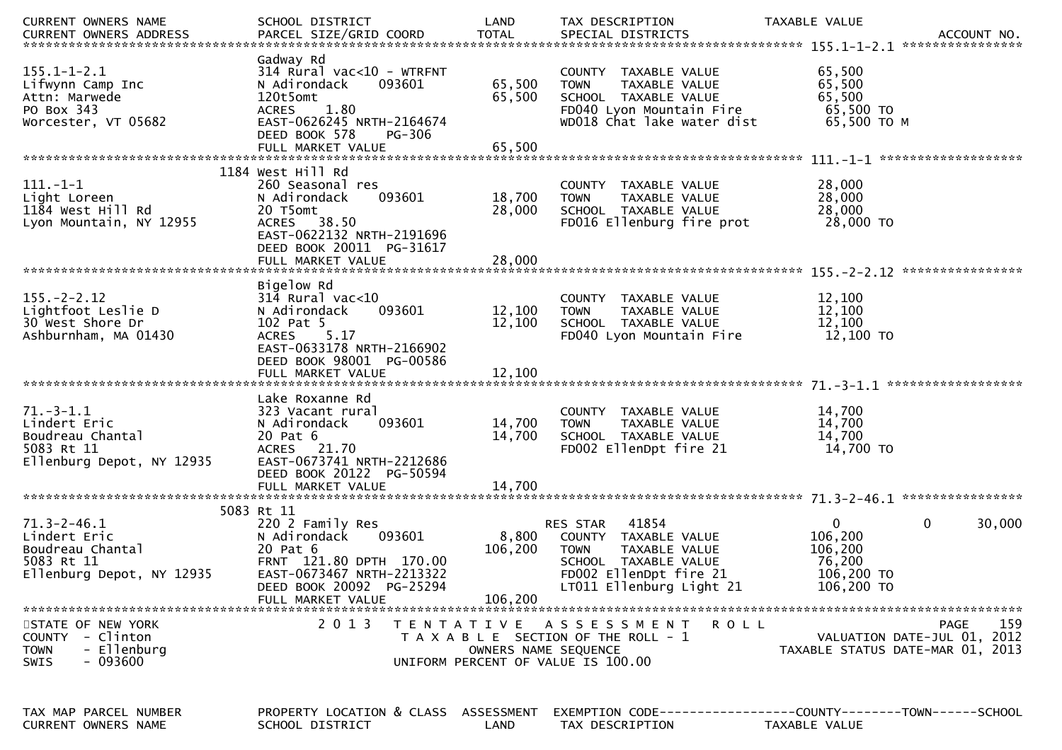| CURRENT OWNERS NAME                     | SCHOOL DISTRICT                               | LAND                 | TAX DESCRIPTION                                | TAXABLE VALUE                    |
|-----------------------------------------|-----------------------------------------------|----------------------|------------------------------------------------|----------------------------------|
|                                         |                                               |                      |                                                |                                  |
|                                         | Gadway Rd                                     |                      |                                                |                                  |
| $155.1 - 1 - 2.1$                       | $314$ Rural vac<10 - WTRFNT                   |                      | COUNTY TAXABLE VALUE                           | 65,500                           |
| Lifwynn Camp Inc                        | N Adirondack<br>093601                        | 65,500               | TAXABLE VALUE<br><b>TOWN</b>                   | 65,500                           |
| Attn: Marwede                           | 120t5omt                                      | 65,500               | SCHOOL TAXABLE VALUE                           | 65,500                           |
| PO Box 343                              | 1.80<br><b>ACRES</b>                          |                      | FD040 Lyon Mountain Fire                       | 65,500 TO                        |
| Worcester, VT 05682                     | EAST-0626245 NRTH-2164674                     |                      | WD018 Chat lake water dist                     | 65,500 ТО М                      |
|                                         | DEED BOOK 578<br>PG-306                       |                      |                                                |                                  |
|                                         | FULL MARKET VALUE                             | 65,500               |                                                |                                  |
|                                         | 1184 West Hill Rd                             |                      |                                                |                                  |
| $111. - 1 - 1$                          | 260 Seasonal res                              |                      | COUNTY TAXABLE VALUE                           | 28,000                           |
| Light Loreen                            | 093601<br>N Adirondack                        | 18,700               | <b>TOWN</b><br>TAXABLE VALUE                   | 28,000                           |
| 1184 West Hill Rd                       | 20 T5omt                                      | 28,000               | SCHOOL TAXABLE VALUE                           | 28,000                           |
| Lyon Mountain, NY 12955                 | ACRES 38.50                                   |                      | FD016 Ellenburg fire prot                      | 28,000 TO                        |
|                                         | EAST-0622132 NRTH-2191696                     |                      |                                                |                                  |
|                                         | DEED BOOK 20011 PG-31617                      |                      |                                                |                                  |
|                                         | FULL MARKET VALUE                             | 28,000               |                                                |                                  |
|                                         |                                               |                      |                                                |                                  |
|                                         | Bigelow Rd                                    |                      |                                                |                                  |
| $155. - 2 - 2.12$                       | $314$ Rural vac< $10$                         |                      | TAXABLE VALUE<br>COUNTY                        | 12,100                           |
| Lightfoot Leslie D                      | 093601<br>N Adirondack                        | 12,100               | <b>TOWN</b><br>TAXABLE VALUE                   | 12,100                           |
| 30 West Shore Dr                        | 102 Pat 5                                     | 12,100               | SCHOOL TAXABLE VALUE                           | 12,100                           |
| Ashburnham, MA 01430                    | 5.17<br><b>ACRES</b>                          |                      | FD040 Lyon Mountain Fire                       | 12,100 TO                        |
|                                         | EAST-0633178 NRTH-2166902                     |                      |                                                |                                  |
|                                         | DEED BOOK 98001 PG-00586                      |                      |                                                |                                  |
|                                         | FULL MARKET VALUE                             | 12,100               |                                                |                                  |
|                                         |                                               |                      |                                                |                                  |
|                                         | Lake Roxanne Rd                               |                      |                                                |                                  |
| $71.-3-1.1$                             | 323 Vacant rural                              |                      | COUNTY TAXABLE VALUE                           | 14,700                           |
| Lindert Eric                            | 093601<br>N Adirondack                        | 14,700               | <b>TOWN</b><br>TAXABLE VALUE                   | 14,700                           |
| Boudreau Chantal                        | 20 Pat 6                                      | 14,700               | SCHOOL TAXABLE VALUE                           | 14,700                           |
| 5083 Rt 11                              | ACRES 21.70                                   |                      | FD002 EllenDpt fire 21                         | 14,700 TO                        |
| Ellenburg Depot, NY 12935               | EAST-0673741 NRTH-2212686                     |                      |                                                |                                  |
|                                         | DEED BOOK 20122 PG-50594                      |                      |                                                |                                  |
|                                         | FULL MARKET VALUE                             | 14,700               |                                                |                                  |
|                                         |                                               |                      |                                                |                                  |
| $71.3 - 2 - 46.1$                       | 5083 Rt 11<br>220 2 Family Res                |                      | 41854<br><b>RES STAR</b>                       | 0<br>0<br>30,000                 |
|                                         |                                               |                      |                                                |                                  |
| Lindert Eric                            | N Adirondack<br>093601                        | 8,800                | COUNTY TAXABLE VALUE                           | 106,200                          |
| Boudreau Chantal                        | 20 Pat 6<br>FRNT 121.80 DPTH 170.00           | 106,200              | <b>TOWN</b><br>TAXABLE VALUE                   | 106,200                          |
| 5083 Rt 11<br>Ellenburg Depot, NY 12935 | EAST-0673467 NRTH-2213322                     |                      | SCHOOL TAXABLE VALUE<br>FD002 EllenDpt fire 21 | 76,200<br>106,200 TO             |
|                                         |                                               |                      | LT011 Ellenburg Light 21                       | 106,200 TO                       |
|                                         | DEED BOOK 20092 PG-25294<br>FULL MARKET VALUE | 106,200              |                                                |                                  |
|                                         |                                               |                      |                                                |                                  |
| STATE OF NEW YORK                       | 2 0 1 3                                       |                      | TENTATIVE ASSESSMENT<br>R O L L                | 159<br>PAGE                      |
| COUNTY - Clinton                        |                                               |                      | T A X A B L E SECTION OF THE ROLL - 1          | VALUATION DATE-JUL 01, 2012      |
| - Ellenburg<br><b>TOWN</b>              |                                               | OWNERS NAME SEQUENCE |                                                | TAXABLE STATUS DATE-MAR 01, 2013 |
| $-093600$<br><b>SWIS</b>                |                                               |                      | UNIFORM PERCENT OF VALUE IS 100.00             |                                  |
|                                         |                                               |                      |                                                |                                  |
|                                         |                                               |                      |                                                |                                  |
|                                         |                                               |                      |                                                |                                  |
| TAX MAP PARCEL NUMBER                   | PROPERTY LOCATION & CLASS ASSESSMENT          |                      |                                                |                                  |
| CURRENT OWNERS NAME                     | SCHOOL DISTRICT                               | LAND                 | TAX DESCRIPTION                                | TAXABLE VALUE                    |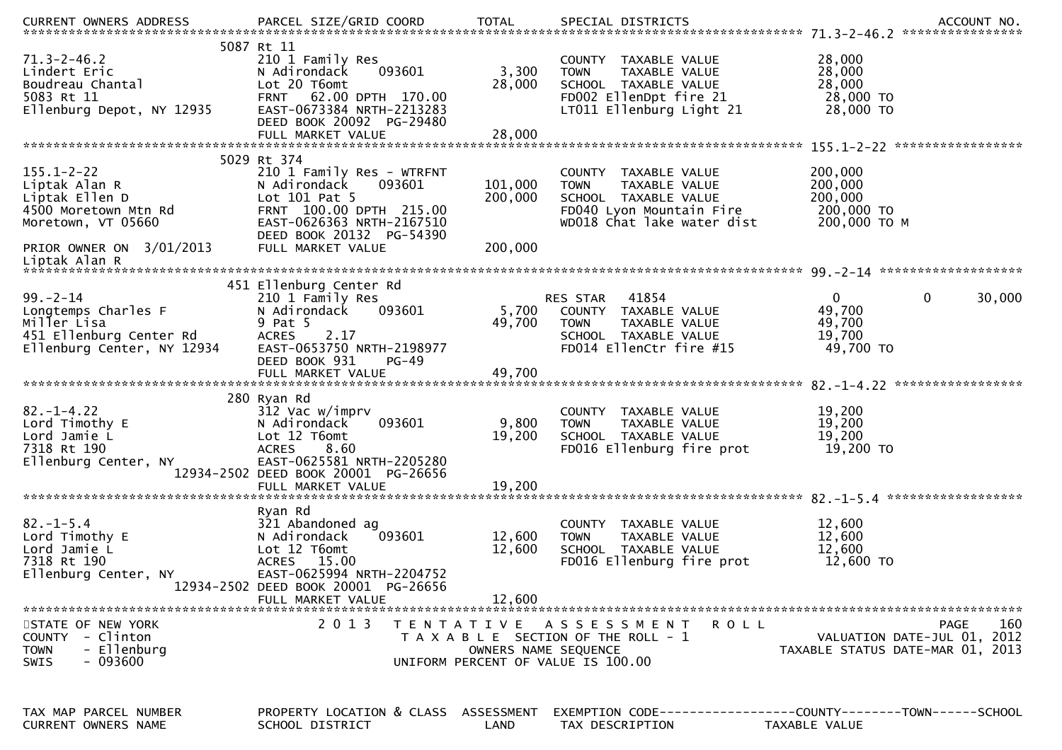| .CURRENT OWNERS ADDRESS PARCEL SIZE/GRID COORD TOTAL SPECIAL DISTRICTS ACCOUNT NO ACCOUNT NO ACCOUNT NO AND ART AND A SERVERS AND RESERVE TO A SERVERS AND RESERVE TO A SERVERS AND RESERVE TO A SERVERS AND RESERVE TO A SERV<br>5087 Rt 11<br>28,000<br>$71.3 - 2 - 46.2$<br>210 1 Family Res<br>COUNTY TAXABLE VALUE<br>3,300<br>28,000<br>Lindert Eric<br>N Adirondack<br>093601<br><b>TOWN</b><br>TAXABLE VALUE<br>28,000<br>Boudreau Chantal<br>5083 Rt 11<br>Ellenburg Depot, NY 12935<br>Lot 20 T6omt<br>28,000<br>SCHOOL TAXABLE VALUE<br>FD002 EllenDpt fire 21<br>28,000 TO<br>FRNT 62.00 DPTH 170.00<br>28,000 TO<br>EAST-0673384 NRTH-2213283<br>LT011 Ellenburg Light 21<br>DEED BOOK 20092 PG-29480<br>5029 Rt 374<br>$155.1 - 2 - 22$<br>200,000<br>210 1 Family Res - WTRFNT<br>COUNTY TAXABLE VALUE<br>200,000<br>093601<br>101,000<br>Liptak Alan R<br>N Adirondack<br>TAXABLE VALUE<br><b>TOWN</b><br>200,000<br>Liptak Ellen D<br>Lot 101 Pat 5<br>200,000<br>SCHOOL TAXABLE VALUE<br>200,000 TO<br>FRNT 100.00 DPTH 215.00<br>FD040 Lyon Mountain Fire<br>4500 Moretown Mtn Rd<br>EAST-0626363 NRTH-2167510<br>WD018 Chat lake water dist<br>200,000 ТО М<br>Moretown, VT 05660<br>DEED BOOK 20132 PG-54390<br>FULL MARKET VALUE<br>200,000<br>PRIOR OWNER ON 3/01/2013<br>Liptak Alan R<br>451 Ellenburg Center Rd<br>$99. - 2 - 14$<br>210 1 Family Res<br>41854<br>$\mathbf{0}$<br>0<br>30,000<br>RES STAR<br>49,700<br>093601<br>5,700<br>Longtemps Charles F<br>N Adirondack<br>COUNTY TAXABLE VALUE<br>Miller Lisa<br>9 Pat 5<br>49,700<br>49,700<br><b>TOWN</b><br>TAXABLE VALUE<br>451 Ellenburg Center Rd<br>Ellenburg Center, NY 12934<br><b>ACRES</b><br>2.17<br>19,700<br>SCHOOL TAXABLE VALUE<br>Ellenburg Center, NY 12934<br>EAST-0653750 NRTH-2198977<br>FD014 EllenCtr fire #15<br>49,700 TO<br>DEED BOOK 931<br>PG-49<br>280 Ryan Rd<br>$82. - 1 - 4.22$<br>312 Vac w/imprv<br>19,200<br>COUNTY TAXABLE VALUE<br>9,800<br>19,200<br>Lord Timothy E<br>093601<br><b>TOWN</b><br>N Adirondack<br>TAXABLE VALUE<br>19,200<br>Lord Jamie L<br>Lot 12 T6omt<br>19,200<br>SCHOOL TAXABLE VALUE<br>7318 Rt 190<br>19,200 TO<br>8.60<br>FD016 Ellenburg fire prot<br><b>ACRES</b><br>EAST-0625581 NRTH-2205280<br>Ellenburg Center, NY<br>12934-2502 DEED BOOK 20001 PG-26656<br>19,200<br>FULL MARKET VALUE<br>Ryan Rd<br>$82 - 1 - 5.4$<br>321 Abandoned ag<br>12,600<br>COUNTY TAXABLE VALUE<br>Lord Timothy E<br>093601<br>12,600<br>12,600<br>N Adirondack<br>TAXABLE VALUE<br><b>TOWN</b><br>Lot 12 T6omt<br>12,600<br>SCHOOL TAXABLE VALUE<br>12,600<br>Lord Jamie L<br>7318 Rt 190<br>FD016 Ellenburg fire prot<br>12,600 TO<br>ACRES 15.00<br>EAST-0625994 NRTH-2204752<br>Ellenburg Center, NY<br>12934-2502 DEED BOOK 20001 PG-26656<br>12,600<br>FULL MARKET VALUE<br>2 0 1 3<br>160<br>STATE OF NEW YORK<br>T E N T A T I V E<br>A S S E S S M E N T<br>PAGE<br>R O L L<br>COUNTY - Clinton<br>VALUATION DATE-JUL 01, 2012<br>T A X A B L E SECTION OF THE ROLL - 1<br>- Ellenburg<br>OWNERS NAME SEQUENCE<br><b>TOWN</b><br>TAXABLE STATUS DATE-MAR 01, 2013<br>$-093600$<br>UNIFORM PERCENT OF VALUE IS 100.00<br><b>SWIS</b><br>PROPERTY LOCATION & CLASS ASSESSMENT<br>EXEMPTION CODE-----------------COUNTY-------TOWN------SCHOOL<br>TAX MAP PARCEL NUMBER<br>CURRENT OWNERS NAME<br>SCHOOL DISTRICT<br>LAND<br>TAX DESCRIPTION<br>TAXABLE VALUE |  |  |  |
|-----------------------------------------------------------------------------------------------------------------------------------------------------------------------------------------------------------------------------------------------------------------------------------------------------------------------------------------------------------------------------------------------------------------------------------------------------------------------------------------------------------------------------------------------------------------------------------------------------------------------------------------------------------------------------------------------------------------------------------------------------------------------------------------------------------------------------------------------------------------------------------------------------------------------------------------------------------------------------------------------------------------------------------------------------------------------------------------------------------------------------------------------------------------------------------------------------------------------------------------------------------------------------------------------------------------------------------------------------------------------------------------------------------------------------------------------------------------------------------------------------------------------------------------------------------------------------------------------------------------------------------------------------------------------------------------------------------------------------------------------------------------------------------------------------------------------------------------------------------------------------------------------------------------------------------------------------------------------------------------------------------------------------------------------------------------------------------------------------------------------------------------------------------------------------------------------------------------------------------------------------------------------------------------------------------------------------------------------------------------------------------------------------------------------------------------------------------------------------------------------------------------------------------------------------------------------------------------------------------------------------------------------------------------------------------------------------------------------------------------------------------------------------------------------------------------------------------------------------------------------------------------------------------------------------------------------------------------------------------------------------------------------------------------------------------------------------------------------------------------------------------------------------------------------------------------------------------------------------------------------------------------------------------------------------------------------------------------------------------------------------------------------------|--|--|--|
|                                                                                                                                                                                                                                                                                                                                                                                                                                                                                                                                                                                                                                                                                                                                                                                                                                                                                                                                                                                                                                                                                                                                                                                                                                                                                                                                                                                                                                                                                                                                                                                                                                                                                                                                                                                                                                                                                                                                                                                                                                                                                                                                                                                                                                                                                                                                                                                                                                                                                                                                                                                                                                                                                                                                                                                                                                                                                                                                                                                                                                                                                                                                                                                                                                                                                                                                                                                                     |  |  |  |
|                                                                                                                                                                                                                                                                                                                                                                                                                                                                                                                                                                                                                                                                                                                                                                                                                                                                                                                                                                                                                                                                                                                                                                                                                                                                                                                                                                                                                                                                                                                                                                                                                                                                                                                                                                                                                                                                                                                                                                                                                                                                                                                                                                                                                                                                                                                                                                                                                                                                                                                                                                                                                                                                                                                                                                                                                                                                                                                                                                                                                                                                                                                                                                                                                                                                                                                                                                                                     |  |  |  |
|                                                                                                                                                                                                                                                                                                                                                                                                                                                                                                                                                                                                                                                                                                                                                                                                                                                                                                                                                                                                                                                                                                                                                                                                                                                                                                                                                                                                                                                                                                                                                                                                                                                                                                                                                                                                                                                                                                                                                                                                                                                                                                                                                                                                                                                                                                                                                                                                                                                                                                                                                                                                                                                                                                                                                                                                                                                                                                                                                                                                                                                                                                                                                                                                                                                                                                                                                                                                     |  |  |  |
|                                                                                                                                                                                                                                                                                                                                                                                                                                                                                                                                                                                                                                                                                                                                                                                                                                                                                                                                                                                                                                                                                                                                                                                                                                                                                                                                                                                                                                                                                                                                                                                                                                                                                                                                                                                                                                                                                                                                                                                                                                                                                                                                                                                                                                                                                                                                                                                                                                                                                                                                                                                                                                                                                                                                                                                                                                                                                                                                                                                                                                                                                                                                                                                                                                                                                                                                                                                                     |  |  |  |
|                                                                                                                                                                                                                                                                                                                                                                                                                                                                                                                                                                                                                                                                                                                                                                                                                                                                                                                                                                                                                                                                                                                                                                                                                                                                                                                                                                                                                                                                                                                                                                                                                                                                                                                                                                                                                                                                                                                                                                                                                                                                                                                                                                                                                                                                                                                                                                                                                                                                                                                                                                                                                                                                                                                                                                                                                                                                                                                                                                                                                                                                                                                                                                                                                                                                                                                                                                                                     |  |  |  |
|                                                                                                                                                                                                                                                                                                                                                                                                                                                                                                                                                                                                                                                                                                                                                                                                                                                                                                                                                                                                                                                                                                                                                                                                                                                                                                                                                                                                                                                                                                                                                                                                                                                                                                                                                                                                                                                                                                                                                                                                                                                                                                                                                                                                                                                                                                                                                                                                                                                                                                                                                                                                                                                                                                                                                                                                                                                                                                                                                                                                                                                                                                                                                                                                                                                                                                                                                                                                     |  |  |  |
|                                                                                                                                                                                                                                                                                                                                                                                                                                                                                                                                                                                                                                                                                                                                                                                                                                                                                                                                                                                                                                                                                                                                                                                                                                                                                                                                                                                                                                                                                                                                                                                                                                                                                                                                                                                                                                                                                                                                                                                                                                                                                                                                                                                                                                                                                                                                                                                                                                                                                                                                                                                                                                                                                                                                                                                                                                                                                                                                                                                                                                                                                                                                                                                                                                                                                                                                                                                                     |  |  |  |
|                                                                                                                                                                                                                                                                                                                                                                                                                                                                                                                                                                                                                                                                                                                                                                                                                                                                                                                                                                                                                                                                                                                                                                                                                                                                                                                                                                                                                                                                                                                                                                                                                                                                                                                                                                                                                                                                                                                                                                                                                                                                                                                                                                                                                                                                                                                                                                                                                                                                                                                                                                                                                                                                                                                                                                                                                                                                                                                                                                                                                                                                                                                                                                                                                                                                                                                                                                                                     |  |  |  |
|                                                                                                                                                                                                                                                                                                                                                                                                                                                                                                                                                                                                                                                                                                                                                                                                                                                                                                                                                                                                                                                                                                                                                                                                                                                                                                                                                                                                                                                                                                                                                                                                                                                                                                                                                                                                                                                                                                                                                                                                                                                                                                                                                                                                                                                                                                                                                                                                                                                                                                                                                                                                                                                                                                                                                                                                                                                                                                                                                                                                                                                                                                                                                                                                                                                                                                                                                                                                     |  |  |  |
|                                                                                                                                                                                                                                                                                                                                                                                                                                                                                                                                                                                                                                                                                                                                                                                                                                                                                                                                                                                                                                                                                                                                                                                                                                                                                                                                                                                                                                                                                                                                                                                                                                                                                                                                                                                                                                                                                                                                                                                                                                                                                                                                                                                                                                                                                                                                                                                                                                                                                                                                                                                                                                                                                                                                                                                                                                                                                                                                                                                                                                                                                                                                                                                                                                                                                                                                                                                                     |  |  |  |
|                                                                                                                                                                                                                                                                                                                                                                                                                                                                                                                                                                                                                                                                                                                                                                                                                                                                                                                                                                                                                                                                                                                                                                                                                                                                                                                                                                                                                                                                                                                                                                                                                                                                                                                                                                                                                                                                                                                                                                                                                                                                                                                                                                                                                                                                                                                                                                                                                                                                                                                                                                                                                                                                                                                                                                                                                                                                                                                                                                                                                                                                                                                                                                                                                                                                                                                                                                                                     |  |  |  |
|                                                                                                                                                                                                                                                                                                                                                                                                                                                                                                                                                                                                                                                                                                                                                                                                                                                                                                                                                                                                                                                                                                                                                                                                                                                                                                                                                                                                                                                                                                                                                                                                                                                                                                                                                                                                                                                                                                                                                                                                                                                                                                                                                                                                                                                                                                                                                                                                                                                                                                                                                                                                                                                                                                                                                                                                                                                                                                                                                                                                                                                                                                                                                                                                                                                                                                                                                                                                     |  |  |  |
|                                                                                                                                                                                                                                                                                                                                                                                                                                                                                                                                                                                                                                                                                                                                                                                                                                                                                                                                                                                                                                                                                                                                                                                                                                                                                                                                                                                                                                                                                                                                                                                                                                                                                                                                                                                                                                                                                                                                                                                                                                                                                                                                                                                                                                                                                                                                                                                                                                                                                                                                                                                                                                                                                                                                                                                                                                                                                                                                                                                                                                                                                                                                                                                                                                                                                                                                                                                                     |  |  |  |
|                                                                                                                                                                                                                                                                                                                                                                                                                                                                                                                                                                                                                                                                                                                                                                                                                                                                                                                                                                                                                                                                                                                                                                                                                                                                                                                                                                                                                                                                                                                                                                                                                                                                                                                                                                                                                                                                                                                                                                                                                                                                                                                                                                                                                                                                                                                                                                                                                                                                                                                                                                                                                                                                                                                                                                                                                                                                                                                                                                                                                                                                                                                                                                                                                                                                                                                                                                                                     |  |  |  |
|                                                                                                                                                                                                                                                                                                                                                                                                                                                                                                                                                                                                                                                                                                                                                                                                                                                                                                                                                                                                                                                                                                                                                                                                                                                                                                                                                                                                                                                                                                                                                                                                                                                                                                                                                                                                                                                                                                                                                                                                                                                                                                                                                                                                                                                                                                                                                                                                                                                                                                                                                                                                                                                                                                                                                                                                                                                                                                                                                                                                                                                                                                                                                                                                                                                                                                                                                                                                     |  |  |  |
|                                                                                                                                                                                                                                                                                                                                                                                                                                                                                                                                                                                                                                                                                                                                                                                                                                                                                                                                                                                                                                                                                                                                                                                                                                                                                                                                                                                                                                                                                                                                                                                                                                                                                                                                                                                                                                                                                                                                                                                                                                                                                                                                                                                                                                                                                                                                                                                                                                                                                                                                                                                                                                                                                                                                                                                                                                                                                                                                                                                                                                                                                                                                                                                                                                                                                                                                                                                                     |  |  |  |
|                                                                                                                                                                                                                                                                                                                                                                                                                                                                                                                                                                                                                                                                                                                                                                                                                                                                                                                                                                                                                                                                                                                                                                                                                                                                                                                                                                                                                                                                                                                                                                                                                                                                                                                                                                                                                                                                                                                                                                                                                                                                                                                                                                                                                                                                                                                                                                                                                                                                                                                                                                                                                                                                                                                                                                                                                                                                                                                                                                                                                                                                                                                                                                                                                                                                                                                                                                                                     |  |  |  |
|                                                                                                                                                                                                                                                                                                                                                                                                                                                                                                                                                                                                                                                                                                                                                                                                                                                                                                                                                                                                                                                                                                                                                                                                                                                                                                                                                                                                                                                                                                                                                                                                                                                                                                                                                                                                                                                                                                                                                                                                                                                                                                                                                                                                                                                                                                                                                                                                                                                                                                                                                                                                                                                                                                                                                                                                                                                                                                                                                                                                                                                                                                                                                                                                                                                                                                                                                                                                     |  |  |  |
|                                                                                                                                                                                                                                                                                                                                                                                                                                                                                                                                                                                                                                                                                                                                                                                                                                                                                                                                                                                                                                                                                                                                                                                                                                                                                                                                                                                                                                                                                                                                                                                                                                                                                                                                                                                                                                                                                                                                                                                                                                                                                                                                                                                                                                                                                                                                                                                                                                                                                                                                                                                                                                                                                                                                                                                                                                                                                                                                                                                                                                                                                                                                                                                                                                                                                                                                                                                                     |  |  |  |
|                                                                                                                                                                                                                                                                                                                                                                                                                                                                                                                                                                                                                                                                                                                                                                                                                                                                                                                                                                                                                                                                                                                                                                                                                                                                                                                                                                                                                                                                                                                                                                                                                                                                                                                                                                                                                                                                                                                                                                                                                                                                                                                                                                                                                                                                                                                                                                                                                                                                                                                                                                                                                                                                                                                                                                                                                                                                                                                                                                                                                                                                                                                                                                                                                                                                                                                                                                                                     |  |  |  |
|                                                                                                                                                                                                                                                                                                                                                                                                                                                                                                                                                                                                                                                                                                                                                                                                                                                                                                                                                                                                                                                                                                                                                                                                                                                                                                                                                                                                                                                                                                                                                                                                                                                                                                                                                                                                                                                                                                                                                                                                                                                                                                                                                                                                                                                                                                                                                                                                                                                                                                                                                                                                                                                                                                                                                                                                                                                                                                                                                                                                                                                                                                                                                                                                                                                                                                                                                                                                     |  |  |  |
|                                                                                                                                                                                                                                                                                                                                                                                                                                                                                                                                                                                                                                                                                                                                                                                                                                                                                                                                                                                                                                                                                                                                                                                                                                                                                                                                                                                                                                                                                                                                                                                                                                                                                                                                                                                                                                                                                                                                                                                                                                                                                                                                                                                                                                                                                                                                                                                                                                                                                                                                                                                                                                                                                                                                                                                                                                                                                                                                                                                                                                                                                                                                                                                                                                                                                                                                                                                                     |  |  |  |
|                                                                                                                                                                                                                                                                                                                                                                                                                                                                                                                                                                                                                                                                                                                                                                                                                                                                                                                                                                                                                                                                                                                                                                                                                                                                                                                                                                                                                                                                                                                                                                                                                                                                                                                                                                                                                                                                                                                                                                                                                                                                                                                                                                                                                                                                                                                                                                                                                                                                                                                                                                                                                                                                                                                                                                                                                                                                                                                                                                                                                                                                                                                                                                                                                                                                                                                                                                                                     |  |  |  |
|                                                                                                                                                                                                                                                                                                                                                                                                                                                                                                                                                                                                                                                                                                                                                                                                                                                                                                                                                                                                                                                                                                                                                                                                                                                                                                                                                                                                                                                                                                                                                                                                                                                                                                                                                                                                                                                                                                                                                                                                                                                                                                                                                                                                                                                                                                                                                                                                                                                                                                                                                                                                                                                                                                                                                                                                                                                                                                                                                                                                                                                                                                                                                                                                                                                                                                                                                                                                     |  |  |  |
|                                                                                                                                                                                                                                                                                                                                                                                                                                                                                                                                                                                                                                                                                                                                                                                                                                                                                                                                                                                                                                                                                                                                                                                                                                                                                                                                                                                                                                                                                                                                                                                                                                                                                                                                                                                                                                                                                                                                                                                                                                                                                                                                                                                                                                                                                                                                                                                                                                                                                                                                                                                                                                                                                                                                                                                                                                                                                                                                                                                                                                                                                                                                                                                                                                                                                                                                                                                                     |  |  |  |
|                                                                                                                                                                                                                                                                                                                                                                                                                                                                                                                                                                                                                                                                                                                                                                                                                                                                                                                                                                                                                                                                                                                                                                                                                                                                                                                                                                                                                                                                                                                                                                                                                                                                                                                                                                                                                                                                                                                                                                                                                                                                                                                                                                                                                                                                                                                                                                                                                                                                                                                                                                                                                                                                                                                                                                                                                                                                                                                                                                                                                                                                                                                                                                                                                                                                                                                                                                                                     |  |  |  |
|                                                                                                                                                                                                                                                                                                                                                                                                                                                                                                                                                                                                                                                                                                                                                                                                                                                                                                                                                                                                                                                                                                                                                                                                                                                                                                                                                                                                                                                                                                                                                                                                                                                                                                                                                                                                                                                                                                                                                                                                                                                                                                                                                                                                                                                                                                                                                                                                                                                                                                                                                                                                                                                                                                                                                                                                                                                                                                                                                                                                                                                                                                                                                                                                                                                                                                                                                                                                     |  |  |  |
|                                                                                                                                                                                                                                                                                                                                                                                                                                                                                                                                                                                                                                                                                                                                                                                                                                                                                                                                                                                                                                                                                                                                                                                                                                                                                                                                                                                                                                                                                                                                                                                                                                                                                                                                                                                                                                                                                                                                                                                                                                                                                                                                                                                                                                                                                                                                                                                                                                                                                                                                                                                                                                                                                                                                                                                                                                                                                                                                                                                                                                                                                                                                                                                                                                                                                                                                                                                                     |  |  |  |
|                                                                                                                                                                                                                                                                                                                                                                                                                                                                                                                                                                                                                                                                                                                                                                                                                                                                                                                                                                                                                                                                                                                                                                                                                                                                                                                                                                                                                                                                                                                                                                                                                                                                                                                                                                                                                                                                                                                                                                                                                                                                                                                                                                                                                                                                                                                                                                                                                                                                                                                                                                                                                                                                                                                                                                                                                                                                                                                                                                                                                                                                                                                                                                                                                                                                                                                                                                                                     |  |  |  |
|                                                                                                                                                                                                                                                                                                                                                                                                                                                                                                                                                                                                                                                                                                                                                                                                                                                                                                                                                                                                                                                                                                                                                                                                                                                                                                                                                                                                                                                                                                                                                                                                                                                                                                                                                                                                                                                                                                                                                                                                                                                                                                                                                                                                                                                                                                                                                                                                                                                                                                                                                                                                                                                                                                                                                                                                                                                                                                                                                                                                                                                                                                                                                                                                                                                                                                                                                                                                     |  |  |  |
|                                                                                                                                                                                                                                                                                                                                                                                                                                                                                                                                                                                                                                                                                                                                                                                                                                                                                                                                                                                                                                                                                                                                                                                                                                                                                                                                                                                                                                                                                                                                                                                                                                                                                                                                                                                                                                                                                                                                                                                                                                                                                                                                                                                                                                                                                                                                                                                                                                                                                                                                                                                                                                                                                                                                                                                                                                                                                                                                                                                                                                                                                                                                                                                                                                                                                                                                                                                                     |  |  |  |
|                                                                                                                                                                                                                                                                                                                                                                                                                                                                                                                                                                                                                                                                                                                                                                                                                                                                                                                                                                                                                                                                                                                                                                                                                                                                                                                                                                                                                                                                                                                                                                                                                                                                                                                                                                                                                                                                                                                                                                                                                                                                                                                                                                                                                                                                                                                                                                                                                                                                                                                                                                                                                                                                                                                                                                                                                                                                                                                                                                                                                                                                                                                                                                                                                                                                                                                                                                                                     |  |  |  |
|                                                                                                                                                                                                                                                                                                                                                                                                                                                                                                                                                                                                                                                                                                                                                                                                                                                                                                                                                                                                                                                                                                                                                                                                                                                                                                                                                                                                                                                                                                                                                                                                                                                                                                                                                                                                                                                                                                                                                                                                                                                                                                                                                                                                                                                                                                                                                                                                                                                                                                                                                                                                                                                                                                                                                                                                                                                                                                                                                                                                                                                                                                                                                                                                                                                                                                                                                                                                     |  |  |  |
|                                                                                                                                                                                                                                                                                                                                                                                                                                                                                                                                                                                                                                                                                                                                                                                                                                                                                                                                                                                                                                                                                                                                                                                                                                                                                                                                                                                                                                                                                                                                                                                                                                                                                                                                                                                                                                                                                                                                                                                                                                                                                                                                                                                                                                                                                                                                                                                                                                                                                                                                                                                                                                                                                                                                                                                                                                                                                                                                                                                                                                                                                                                                                                                                                                                                                                                                                                                                     |  |  |  |
|                                                                                                                                                                                                                                                                                                                                                                                                                                                                                                                                                                                                                                                                                                                                                                                                                                                                                                                                                                                                                                                                                                                                                                                                                                                                                                                                                                                                                                                                                                                                                                                                                                                                                                                                                                                                                                                                                                                                                                                                                                                                                                                                                                                                                                                                                                                                                                                                                                                                                                                                                                                                                                                                                                                                                                                                                                                                                                                                                                                                                                                                                                                                                                                                                                                                                                                                                                                                     |  |  |  |
|                                                                                                                                                                                                                                                                                                                                                                                                                                                                                                                                                                                                                                                                                                                                                                                                                                                                                                                                                                                                                                                                                                                                                                                                                                                                                                                                                                                                                                                                                                                                                                                                                                                                                                                                                                                                                                                                                                                                                                                                                                                                                                                                                                                                                                                                                                                                                                                                                                                                                                                                                                                                                                                                                                                                                                                                                                                                                                                                                                                                                                                                                                                                                                                                                                                                                                                                                                                                     |  |  |  |
|                                                                                                                                                                                                                                                                                                                                                                                                                                                                                                                                                                                                                                                                                                                                                                                                                                                                                                                                                                                                                                                                                                                                                                                                                                                                                                                                                                                                                                                                                                                                                                                                                                                                                                                                                                                                                                                                                                                                                                                                                                                                                                                                                                                                                                                                                                                                                                                                                                                                                                                                                                                                                                                                                                                                                                                                                                                                                                                                                                                                                                                                                                                                                                                                                                                                                                                                                                                                     |  |  |  |
|                                                                                                                                                                                                                                                                                                                                                                                                                                                                                                                                                                                                                                                                                                                                                                                                                                                                                                                                                                                                                                                                                                                                                                                                                                                                                                                                                                                                                                                                                                                                                                                                                                                                                                                                                                                                                                                                                                                                                                                                                                                                                                                                                                                                                                                                                                                                                                                                                                                                                                                                                                                                                                                                                                                                                                                                                                                                                                                                                                                                                                                                                                                                                                                                                                                                                                                                                                                                     |  |  |  |
|                                                                                                                                                                                                                                                                                                                                                                                                                                                                                                                                                                                                                                                                                                                                                                                                                                                                                                                                                                                                                                                                                                                                                                                                                                                                                                                                                                                                                                                                                                                                                                                                                                                                                                                                                                                                                                                                                                                                                                                                                                                                                                                                                                                                                                                                                                                                                                                                                                                                                                                                                                                                                                                                                                                                                                                                                                                                                                                                                                                                                                                                                                                                                                                                                                                                                                                                                                                                     |  |  |  |
|                                                                                                                                                                                                                                                                                                                                                                                                                                                                                                                                                                                                                                                                                                                                                                                                                                                                                                                                                                                                                                                                                                                                                                                                                                                                                                                                                                                                                                                                                                                                                                                                                                                                                                                                                                                                                                                                                                                                                                                                                                                                                                                                                                                                                                                                                                                                                                                                                                                                                                                                                                                                                                                                                                                                                                                                                                                                                                                                                                                                                                                                                                                                                                                                                                                                                                                                                                                                     |  |  |  |
|                                                                                                                                                                                                                                                                                                                                                                                                                                                                                                                                                                                                                                                                                                                                                                                                                                                                                                                                                                                                                                                                                                                                                                                                                                                                                                                                                                                                                                                                                                                                                                                                                                                                                                                                                                                                                                                                                                                                                                                                                                                                                                                                                                                                                                                                                                                                                                                                                                                                                                                                                                                                                                                                                                                                                                                                                                                                                                                                                                                                                                                                                                                                                                                                                                                                                                                                                                                                     |  |  |  |
|                                                                                                                                                                                                                                                                                                                                                                                                                                                                                                                                                                                                                                                                                                                                                                                                                                                                                                                                                                                                                                                                                                                                                                                                                                                                                                                                                                                                                                                                                                                                                                                                                                                                                                                                                                                                                                                                                                                                                                                                                                                                                                                                                                                                                                                                                                                                                                                                                                                                                                                                                                                                                                                                                                                                                                                                                                                                                                                                                                                                                                                                                                                                                                                                                                                                                                                                                                                                     |  |  |  |
|                                                                                                                                                                                                                                                                                                                                                                                                                                                                                                                                                                                                                                                                                                                                                                                                                                                                                                                                                                                                                                                                                                                                                                                                                                                                                                                                                                                                                                                                                                                                                                                                                                                                                                                                                                                                                                                                                                                                                                                                                                                                                                                                                                                                                                                                                                                                                                                                                                                                                                                                                                                                                                                                                                                                                                                                                                                                                                                                                                                                                                                                                                                                                                                                                                                                                                                                                                                                     |  |  |  |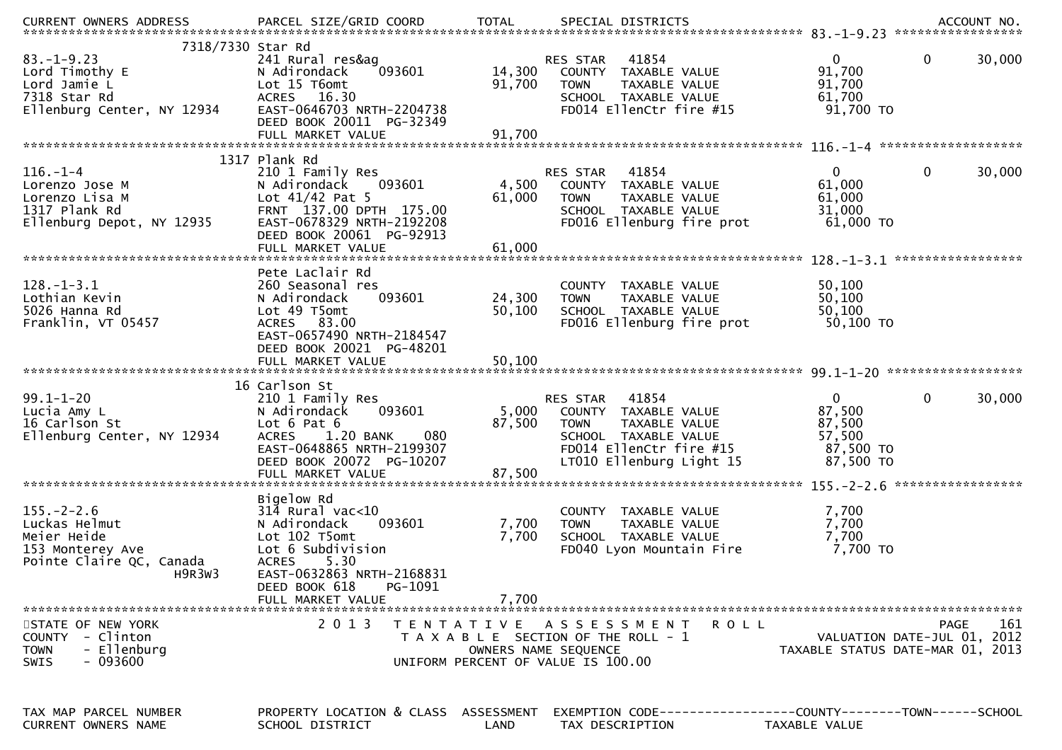|                                                                                                                       |                                                                                                                                                                                                                   |                         |                                                                                                                                                       | .CURRENT OWNERS ADDRESS PARCEL SIZE/GRID COORD TOTAL SPECIAL DISTRICTS ACCOUNT NO ACCOUNT NO ACCOUNT NO AND ART AND A SERVERS AND RESERVE TO A SERVERS AND RESERVE TO A SERVERS AND RESERVE TO A SERVERS AND TOTAL THE SPECIAL |
|-----------------------------------------------------------------------------------------------------------------------|-------------------------------------------------------------------------------------------------------------------------------------------------------------------------------------------------------------------|-------------------------|-------------------------------------------------------------------------------------------------------------------------------------------------------|--------------------------------------------------------------------------------------------------------------------------------------------------------------------------------------------------------------------------------|
| 7318/7330 Star Rd<br>$83. - 1 - 9.23$<br>Lord Timothy E<br>Lord Jamie L<br>7318 Star Rd<br>Ellenburg Center, NY 12934 | 241 Rural res&ag<br>093601<br>N Adirondack<br>Lot 15 T6omt<br>ACRES 16.30<br>EAST-0646703 NRTH-2204738<br>DEED BOOK 20011 PG-32349                                                                                | 14,300<br>91,700        | <b>RES STAR 41854</b><br>COUNTY TAXABLE VALUE<br><b>TOWN</b><br>TAXABLE VALUE<br>SCHOOL TAXABLE VALUE<br>FD014 EllenCtr fire #15                      | $\Omega$<br>$\mathbf{0}$<br>30,000<br>91,700<br>91,700<br>61,700<br>91,700 то                                                                                                                                                  |
|                                                                                                                       | 1317 Plank Rd                                                                                                                                                                                                     |                         |                                                                                                                                                       |                                                                                                                                                                                                                                |
| $116. - 1 - 4$<br>Lorenzo Jose M<br>Lorenzo Lisa M<br>1317 Plank Rd<br>Ellenburg Depot, NY 12935                      | 210 1 Family Res<br>093601<br>N Adirondack<br>Lot $41/42$ Pat 5<br>FRNT 137.00 DPTH 175.00<br>EAST-0678329 NRTH-2192208<br>DEED BOOK 20061 PG-92913                                                               | 4,500<br>61,000         | RES STAR 41854<br>COUNTY TAXABLE VALUE<br>TAXABLE VALUE<br><b>TOWN</b><br>SCHOOL TAXABLE VALUE<br>FD016 Ellenburg fire prot                           | $\mathbf 0$<br>$\mathbf{0}$<br>30,000<br>61,000<br>61,000<br>31,000<br>61,000 TO                                                                                                                                               |
|                                                                                                                       |                                                                                                                                                                                                                   |                         |                                                                                                                                                       | *****************                                                                                                                                                                                                              |
| $128. - 1 - 3.1$<br>Lothian Kevin<br>5026 Hanna Rd<br>Franklin, VT 05457                                              | Pete Laclair Rd<br>260 Seasonal res<br>093601<br>N Adirondack<br>Lot 49 T5omt<br>ACRES 83.00<br>EAST-0657490 NRTH-2184547<br>DEED BOOK 20021 PG-48201                                                             | 24,300<br>50,100        | COUNTY TAXABLE VALUE<br><b>TOWN</b><br>TAXABLE VALUE<br>SCHOOL TAXABLE VALUE<br>FD016 Ellenburg fire prot                                             | 50,100<br>50,100<br>50,100<br>50,100 TO                                                                                                                                                                                        |
|                                                                                                                       |                                                                                                                                                                                                                   |                         |                                                                                                                                                       |                                                                                                                                                                                                                                |
| $99.1 - 1 - 20$<br>Lucia Amy L<br>16 Carlson St<br>Ellenburg Center, NY 12934                                         | 16 Carlson St<br>210 1 Family Res<br>093601<br>N Adirondack<br>Lot 6 Pat 6<br>080<br>1.20 BANK<br><b>ACRES</b><br>EAST-0648865 NRTH-2199307<br>DEED BOOK 20072 PG-10207                                           | 5,000<br>87,500         | RES STAR 41854<br>COUNTY TAXABLE VALUE<br><b>TOWN</b><br>TAXABLE VALUE<br>SCHOOL TAXABLE VALUE<br>FD014 EllenCtr fire #15<br>LT010 Ellenburg Light 15 | $\mathbf 0$<br>$\Omega$<br>30,000<br>87,500<br>87,500<br>57,500<br>87,500 TO<br>87,500 TO<br>*****************                                                                                                                 |
| $155. - 2 - 2.6$<br>Luckas Helmut<br>Meier Heide<br>153 Monterey Ave<br>Pointe Claire QC, Canada<br>H9R3W3            | Bigelow Rd<br>$31\overline{4}$ Rural vac<10<br>093601<br>N Adirondack<br>Lot 102 T5omt<br>Lot 6 Subdivision<br><b>ACRES</b><br>5.30<br>EAST-0632863 NRTH-2168831<br>PG-1091<br>DEED BOOK 618<br>FULL MARKET VALUE | 7,700<br>7,700<br>7,700 | COUNTY TAXABLE VALUE<br>TAXABLE VALUE<br><b>TOWN</b><br>SCHOOL TAXABLE VALUE<br>FD040 Lyon Mountain Fire                                              | 7,700<br>7,700<br>7,700<br>7,700 TO                                                                                                                                                                                            |
| STATE OF NEW YORK<br>COUNTY - Clinton<br>- Ellenburg<br><b>TOWN</b><br>$-093600$<br>SWIS                              | 2 0 1 3                                                                                                                                                                                                           | T E N T A T I V E       | A S S E S S M E N T<br>R O L L<br>T A X A B L E SECTION OF THE ROLL - 1<br>OWNERS NAME SEQUENCE<br>UNIFORM PERCENT OF VALUE IS 100.00                 | PAGE<br>161<br>VALUATION DATE-JUL 01, 2012<br>TAXABLE STATUS DATE-MAR 01, 2013                                                                                                                                                 |
| TAX MAP PARCEL NUMBER<br>CURRENT OWNERS NAME                                                                          | PROPERTY LOCATION & CLASS ASSESSMENT<br>SCHOOL DISTRICT                                                                                                                                                           | LAND                    | TAX DESCRIPTION                                                                                                                                       | EXEMPTION CODE-----------------COUNTY-------TOWN------SCHOOL<br>TAXABLE VALUE                                                                                                                                                  |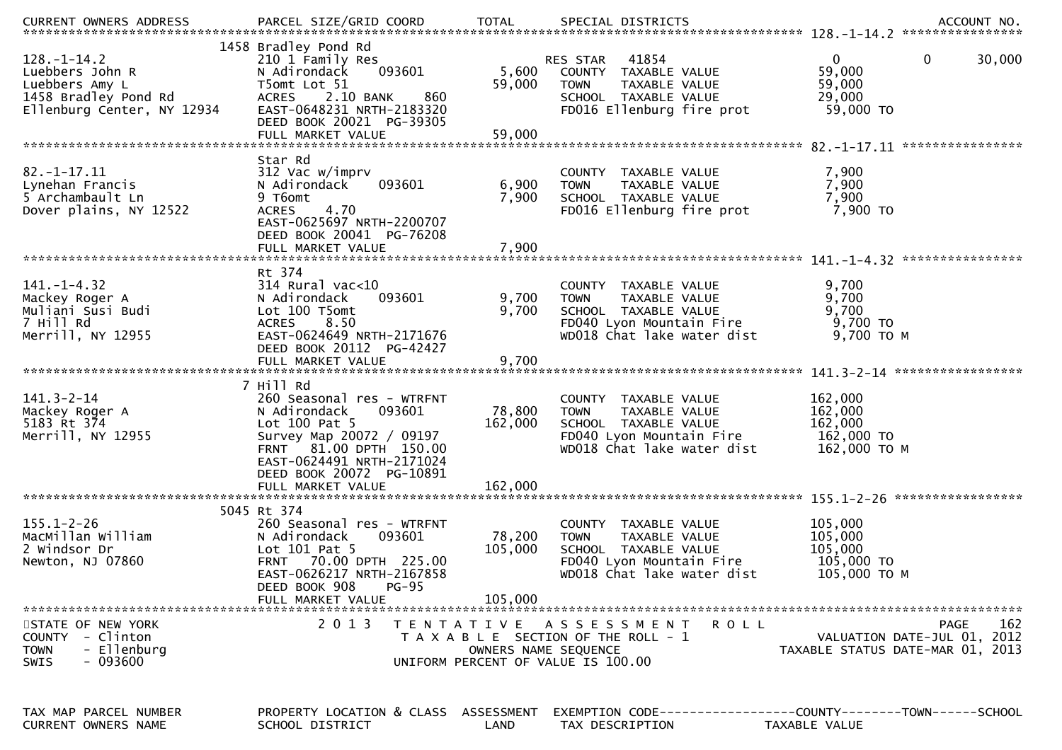| $128. - 1 - 14.2$<br>Luebbers John R<br>Luebbers Amy L<br>1458 Bradley Pond Rd<br>Ellenburg Center, NY 12934 | 1458 Bradley Pond Rd<br>210 1 Family Res<br>093601<br>N Adirondack<br>T5omt Lot 51<br>ACRES 2.10 BANK<br>860<br>EAST-0648231 NRTH-2183320<br>DEED BOOK 20021 PG-39305<br>FULL MARKET VALUE                   | 5,600<br>59,000<br>59,000    | RES STAR 41854<br>COUNTY TAXABLE VALUE<br><b>TOWN</b><br>TAXABLE VALUE<br>SCHOOL TAXABLE VALUE<br>FD016 Ellenburg fire prot            | 0<br>$\mathbf 0$<br>30,000<br>59,000<br>59,000<br>29,000<br>59,000 TO                 |
|--------------------------------------------------------------------------------------------------------------|--------------------------------------------------------------------------------------------------------------------------------------------------------------------------------------------------------------|------------------------------|----------------------------------------------------------------------------------------------------------------------------------------|---------------------------------------------------------------------------------------|
|                                                                                                              |                                                                                                                                                                                                              |                              |                                                                                                                                        |                                                                                       |
| $82. - 1 - 17.11$<br>Lynehan Francis<br>5 Archambault Ln<br>Dover plains, NY 12522                           | Star Rd<br>312 Vac w/imprv<br>N Adirondack<br>093601<br>9 T6omt<br>4.70<br><b>ACRES</b><br>EAST-0625697 NRTH-2200707<br>DEED BOOK 20041 PG-76208                                                             | 6,900<br>7,900               | COUNTY TAXABLE VALUE<br>TAXABLE VALUE<br><b>TOWN</b><br>SCHOOL TAXABLE VALUE<br>FD016 Ellenburg fire prot                              | 7,900<br>7,900<br>7,900<br>7,900 TO                                                   |
|                                                                                                              |                                                                                                                                                                                                              |                              |                                                                                                                                        |                                                                                       |
| $141. - 1 - 4.32$<br>Mackey Roger A<br>Muliani Susi Budi<br>7 Hill Rd<br>Merrill, NY 12955                   | Rt 374<br>$314$ Rural vac<10<br>093601<br>N Adirondack<br>Lot 100 T5omt<br>ACRES 8.50<br>EAST-0624649 NRTH-2171676<br>DEED BOOK 20112 PG-42427<br>FULL MARKET VALUE                                          | 9,700<br>9,700<br>9,700      | COUNTY TAXABLE VALUE<br>TAXABLE VALUE<br><b>TOWN</b><br>SCHOOL TAXABLE VALUE<br>FD040 Lyon Mountain Fire<br>WD018 Chat lake water dist | 9,700<br>9,700<br>9,700<br>9,700 TO<br>9,700 ТО М                                     |
|                                                                                                              | 7 Hill Rd                                                                                                                                                                                                    |                              |                                                                                                                                        |                                                                                       |
| $141.3 - 2 - 14$<br>Mackey Roger A<br>5183 Rt 374<br>Merrill, NY 12955                                       | 260 Seasonal res - WTRFNT<br>093601<br>N Adirondack<br>Lot $100$ Pat 5<br>Survey Map 20072 / 09197<br>FRNT 81.00 DPTH 150.00<br>EAST-0624491 NRTH-2171024<br>DEED BOOK 20072 PG-10891                        | 78,800<br>162,000            | COUNTY TAXABLE VALUE<br>TAXABLE VALUE<br><b>TOWN</b><br>SCHOOL TAXABLE VALUE<br>FD040 Lyon Mountain Fire<br>WD018 Chat lake water dist | 162,000<br>162,000<br>162,000<br>162,000 TO<br>162,000 ТО М                           |
|                                                                                                              | FULL MARKET VALUE                                                                                                                                                                                            | 162,000                      |                                                                                                                                        |                                                                                       |
| $155.1 - 2 - 26$<br>MacMillan William<br>2 Windsor Dr<br>Newton, NJ 07860                                    | 5045 Rt 374<br>260 Seasonal res - WTRFNT<br>N Adirondack<br>093601<br>Lot $101$ Pat 5<br>70.00 DPTH 225.00<br><b>FRNT</b><br>EAST-0626217 NRTH-2167858<br>DEED BOOK 908<br><b>PG-95</b><br>FULL MARKET VALUE | 78,200<br>105,000<br>105,000 | COUNTY TAXABLE VALUE<br><b>TOWN</b><br>TAXABLE VALUE<br>SCHOOL TAXABLE VALUE<br>FD040 Lyon Mountain Fire<br>WD018 Chat lake water dist | 105,000<br>105,000<br>105,000<br>105,000 TO<br>105,000 ТО М                           |
| STATE OF NEW YORK                                                                                            | 2 0 1 3                                                                                                                                                                                                      |                              | TENTATIVE ASSESSMENT<br>R O L L                                                                                                        | <b>PAGE</b><br>162                                                                    |
| COUNTY - Clinton<br>- Ellenburg<br><b>TOWN</b><br>- 093600<br><b>SWIS</b>                                    |                                                                                                                                                                                                              | OWNERS NAME SEQUENCE         | T A X A B L E SECTION OF THE ROLL - 1<br>UNIFORM PERCENT OF VALUE IS 100.00                                                            | VALUATION DATE-JUL 01, 2012<br>TAXABLE STATUS DATE-MAR 01, 2013                       |
| TAX MAP PARCEL NUMBER<br>CURRENT OWNERS NAME                                                                 | PROPERTY LOCATION & CLASS ASSESSMENT<br>SCHOOL DISTRICT                                                                                                                                                      | LAND                         | TAX DESCRIPTION                                                                                                                        | EXEMPTION        CODE------------------COUNTY-------TOWN------SCHOOL<br>TAXABLE VALUE |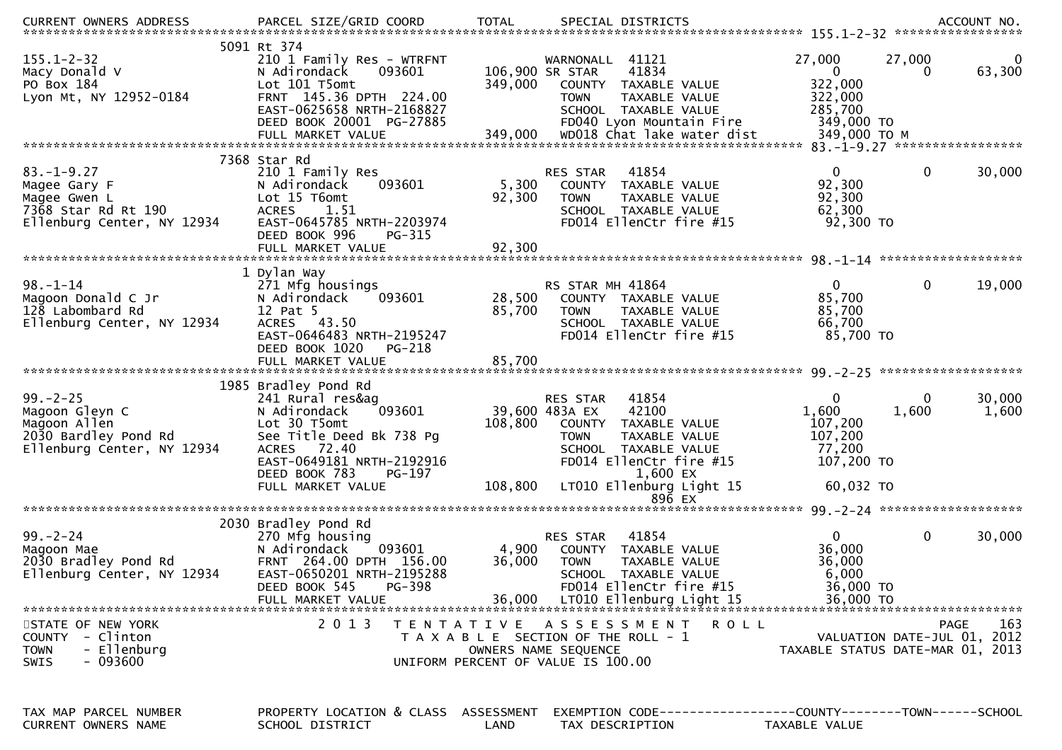| <b>CURRENT OWNERS ADDRESS</b>                                                                          | PARCEL SIZE/GRID COORD                                                                                                                                                                       | <b>TOTAL</b>                          | SPECIAL DISTRICTS                                                                                                                                                                               |                                                                                       |                                     | ACCOUNT NO.     |
|--------------------------------------------------------------------------------------------------------|----------------------------------------------------------------------------------------------------------------------------------------------------------------------------------------------|---------------------------------------|-------------------------------------------------------------------------------------------------------------------------------------------------------------------------------------------------|---------------------------------------------------------------------------------------|-------------------------------------|-----------------|
| $155.1 - 2 - 32$<br>Macy Donald V<br>PO Box 184<br>Lyon Mt, NY 12952-0184                              | 5091 Rt 374<br>210 1 Family Res - WTRFNT<br>N Adirondack<br>093601<br>Lot 101 T5omt<br>FRNT 145.36 DPTH 224.00<br>EAST-0625658 NRTH-2168827<br>DEED BOOK 20001 PG-27885<br>FULL MARKET VALUE | 106,900 SR STAR<br>349,000<br>349,000 | WARNONALL 41121<br>41834<br>COUNTY TAXABLE VALUE<br>TAXABLE VALUE<br><b>TOWN</b><br>SCHOOL TAXABLE VALUE<br>FD040 Lyon Mountain Fire<br>WD018 Chat lake water dist                              | 27,000<br>$\mathbf{0}$<br>322,000<br>322,000<br>285,700<br>349,000 TO<br>349,000 ТО М | 27,000<br>0                         | 0<br>63,300     |
|                                                                                                        |                                                                                                                                                                                              |                                       |                                                                                                                                                                                                 |                                                                                       |                                     |                 |
| $83. - 1 - 9.27$<br>Magee Gary F<br>Magee Gwen L<br>7368 Star Rd Rt 190<br>Ellenburg Center, NY 12934  | 7368 Star Rd<br>210 1 Family Res<br>N Adirondack<br>093601<br>Lot 15 T6omt<br><b>ACRES</b><br>1.51<br>EAST-0645785 NRTH-2203974<br>DEED BOOK 996<br>PG-315                                   | 5,300<br>92,300                       | 41854<br>RES STAR<br>COUNTY TAXABLE VALUE<br><b>TOWN</b><br>TAXABLE VALUE<br>SCHOOL TAXABLE VALUE<br>FD014 EllenCtr fire #15                                                                    | $\overline{0}$<br>92,300<br>92,300<br>62,300<br>92,300 TO                             | $\mathbf 0$                         | 30,000          |
|                                                                                                        | FULL MARKET VALUE                                                                                                                                                                            | 92,300                                |                                                                                                                                                                                                 |                                                                                       |                                     |                 |
| $98. - 1 - 14$<br>Magoon Donald C Jr<br>128 Labombard Rd<br>Ellenburg Center, NY 12934                 | 1 Dylan Way<br>271 Mfg housings<br>093601<br>N Adirondack<br>12 Pat 5<br>ACRES 43.50<br>EAST-0646483 NRTH-2195247<br>DEED BOOK 1020<br>PG-218<br>FULL MARKET VALUE                           | 28,500<br>85,700<br>85,700            | RS STAR MH 41864<br>COUNTY TAXABLE VALUE<br><b>TOWN</b><br><b>TAXABLE VALUE</b><br>SCHOOL TAXABLE VALUE<br>FD014 EllenCtr fire #15                                                              | $\overline{0}$<br>85,700<br>85,700<br>66,700<br>85,700 TO                             | $\mathbf{0}$                        | 19,000          |
|                                                                                                        | 1985 Bradley Pond Rd                                                                                                                                                                         |                                       |                                                                                                                                                                                                 |                                                                                       |                                     |                 |
| $99. - 2 - 25$<br>Magoon Gleyn C<br>Magoon Allen<br>2030 Bardley Pond Rd<br>Ellenburg Center, NY 12934 | 241 Rural res&ag<br>093601<br>N Adirondack<br>Lot 30 T5omt<br>See Title Deed Bk 738 Pg<br>ACRES 72.40<br>EAST-0649181 NRTH-2192916<br>DEED BOOK 783<br>PG-197<br>FULL MARKET VALUE           | 108,800<br>108,800                    | RES STAR<br>41854<br>39,600 483A EX<br>42100<br>COUNTY TAXABLE VALUE<br>TAXABLE VALUE<br><b>TOWN</b><br>SCHOOL TAXABLE VALUE<br>FD014 EllenCtr fire #15<br>1,600 EX<br>LT010 Ellenburg Light 15 | 0<br>1,600<br>107,200<br>107,200<br>77,200<br>107,200 TO<br>60,032 TO                 | 0<br>1,600                          | 30,000<br>1,600 |
|                                                                                                        |                                                                                                                                                                                              |                                       | 896 EX                                                                                                                                                                                          |                                                                                       |                                     |                 |
|                                                                                                        |                                                                                                                                                                                              |                                       |                                                                                                                                                                                                 |                                                                                       |                                     |                 |
| $99. - 2 - 24$<br>Magoon Mae<br>2030 Bradley Pond Rd<br>Ellenburg Center, NY 12934                     | 2030 Bradley Pond Rd<br>270 Mfg housing<br>N Adirondack<br>093601<br>FRNT 264.00 DPTH 156.00<br>EAST-0650201 NRTH-2195288<br>DEED BOOK 545<br>PG-398<br>FULL MARKET VALUE                    | 4,900<br>36,000<br>36,000             | 41854<br>RES STAR<br>COUNTY TAXABLE VALUE<br><b>TOWN</b><br>TAXABLE VALUE<br>SCHOOL TAXABLE VALUE<br>FD014 EllenCtr fire #15<br>LT010 Ellenburg Light 15                                        | $\mathbf{0}$<br>36,000<br>36,000<br>6,000<br>36,000 TO<br>36,000 TO                   | $\mathbf 0$                         | 30,000          |
| STATE OF NEW YORK<br>COUNTY - Clinton<br>- Ellenburg<br><b>TOWN</b><br>- 093600<br><b>SWIS</b>         | 2 0 1 3                                                                                                                                                                                      |                                       | TENTATIVE ASSESSMENT<br>R O L L<br>T A X A B L E SECTION OF THE ROLL - 1<br>OWNERS NAME SEQUENCE<br>UNIFORM PERCENT OF VALUE IS 100.00                                                          | TAXABLE STATUS DATE-MAR 01, 2013                                                      | PAGE<br>VALUATION DATE-JUL 01, 2012 | 163             |
| TAX MAP PARCEL NUMBER<br>CURRENT OWNERS NAME                                                           | PROPERTY LOCATION & CLASS ASSESSMENT<br>SCHOOL DISTRICT                                                                                                                                      | LAND                                  | EXEMPTION CODE------------------COUNTY--------TOWN------SCHOOL<br>TAX DESCRIPTION                                                                                                               | TAXABLE VALUE                                                                         |                                     |                 |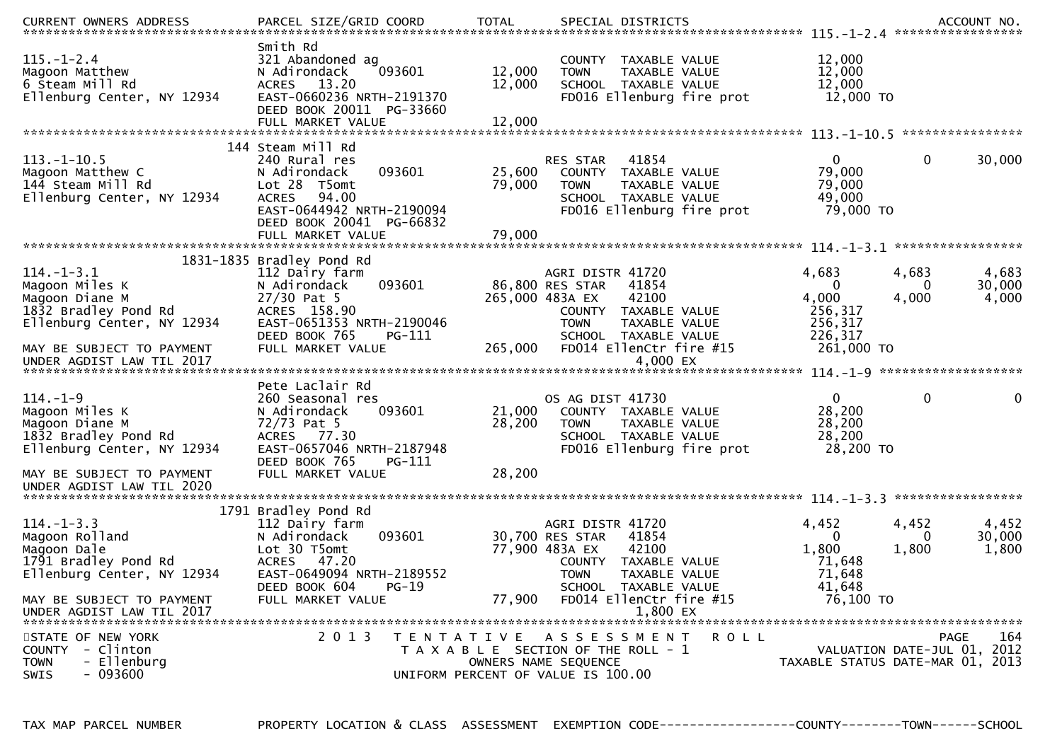| <b>CURRENT OWNERS ADDRESS</b>                                                                              | PARCEL SIZE/GRID COORD                                                                                                                                         | <b>TOTAL</b>               | SPECIAL DISTRICTS                                                                                                                                       |                                                                 |                            | ACCOUNT NO.              |
|------------------------------------------------------------------------------------------------------------|----------------------------------------------------------------------------------------------------------------------------------------------------------------|----------------------------|---------------------------------------------------------------------------------------------------------------------------------------------------------|-----------------------------------------------------------------|----------------------------|--------------------------|
| $115. - 1 - 2.4$<br>Magoon Matthew<br>6 Steam Mill Rd<br>Ellenburg Center, NY 12934                        | Smith Rd<br>321 Abandoned ag<br>093601<br>N Adirondack<br>ACRES 13.20<br>EAST-0660236 NRTH-2191370<br>DEED BOOK 20011 PG-33660<br>FULL MARKET VALUE            | 12,000<br>12,000<br>12,000 | TAXABLE VALUE<br>COUNTY<br>TAXABLE VALUE<br><b>TOWN</b><br>SCHOOL TAXABLE VALUE<br>FD016 Ellenburg fire prot                                            | 12,000<br>12,000<br>12,000<br>12,000 TO                         |                            |                          |
|                                                                                                            |                                                                                                                                                                |                            |                                                                                                                                                         |                                                                 |                            |                          |
| $113.-1-10.5$<br>Magoon Matthew C<br>144 Steam Mill Rd<br>Ellenburg Center, NY 12934                       | 144 Steam Mill Rd<br>240 Rural res<br>093601<br>N Adirondack<br>Lot 28 T5omt<br><b>ACRES</b><br>94.00<br>EAST-0644942 NRTH-2190094<br>DEED BOOK 20041 PG-66832 | 25,600<br>79,000           | 41854<br><b>RES STAR</b><br>COUNTY TAXABLE VALUE<br>TAXABLE VALUE<br><b>TOWN</b><br>SCHOOL TAXABLE VALUE<br>FD016 Ellenburg fire prot                   | $\overline{0}$<br>79,000<br>79,000<br>49,000<br>79,000 TO       | $\mathbf 0$                | 30,000                   |
|                                                                                                            | FULL MARKET VALUE                                                                                                                                              | 79,000                     |                                                                                                                                                         |                                                                 |                            |                          |
|                                                                                                            |                                                                                                                                                                |                            |                                                                                                                                                         |                                                                 |                            | *****************        |
| $114. - 1 - 3.1$<br>Magoon Miles K<br>Magoon Diane M<br>1832 Bradley Pond Rd<br>Ellenburg Center, NY 12934 | 1831-1835 Bradley Pond Rd<br>112 Dairy farm<br>093601<br>N Adirondack<br>$27/30$ Pat 5<br>ACRES 158.90<br>EAST-0651353 NRTH-2190046                            |                            | AGRI DISTR 41720<br>86,800 RES STAR<br>41854<br>42100<br>265,000 483A EX<br>COUNTY TAXABLE VALUE<br><b>TOWN</b><br>TAXABLE VALUE                        | 4,683<br>$\Omega$<br>4,000<br>256,317<br>256,317                | 4,683<br>$\Omega$<br>4,000 | 4,683<br>30,000<br>4,000 |
| MAY BE SUBJECT TO PAYMENT<br>UNDER AGDIST LAW TIL 2017                                                     | DEED BOOK 765<br>PG-111<br>FULL MARKET VALUE                                                                                                                   | 265,000                    | SCHOOL TAXABLE VALUE<br>FD014 EllenCtr fire #15<br>4,000 EX                                                                                             | 226,317<br>261,000 TO                                           |                            |                          |
|                                                                                                            | Pete Laclair Rd                                                                                                                                                |                            |                                                                                                                                                         |                                                                 |                            |                          |
| $114. - 1 - 9$<br>Magoon Miles K<br>Magoon Diane M<br>1832 Bradley Pond Rd<br>Ellenburg Center, NY 12934   | 260 Seasonal res<br>093601<br>N Adirondack<br>72/73 Pat 5<br>ACRES 77.30<br>EAST-0657046 NRTH-2187948<br>DEED BOOK 765<br>$PG-111$                             | 21,000<br>28,200           | OS AG DIST 41730<br>COUNTY TAXABLE VALUE<br><b>TOWN</b><br>TAXABLE VALUE<br>SCHOOL TAXABLE VALUE<br>FD016 Ellenburg fire prot                           | $\Omega$<br>28,200<br>28,200<br>28,200<br>28,200 TO             | $\mathbf 0$                | 0                        |
| MAY BE SUBJECT TO PAYMENT<br>UNDER AGDIST LAW TIL 2020                                                     | FULL MARKET VALUE                                                                                                                                              | 28,200                     |                                                                                                                                                         |                                                                 |                            |                          |
|                                                                                                            | 1791 Bradley Pond Rd                                                                                                                                           |                            |                                                                                                                                                         |                                                                 |                            |                          |
| $114. -1 - 3.3$<br>Magoon Rolland<br>Magoon Dale<br>1791 Bradley Pond Rd<br>Ellenburg Center, NY 12934     | 112 Dairy farm<br>093601<br>N Adirondack<br>Lot 30 T5omt<br>ACRES 47.20<br>EAST-0649094 NRTH-2189552<br>DEED BOOK 604<br>$PG-19$                               |                            | AGRI DISTR 41720<br>30,700 RES STAR<br>41854<br>77,900 483A EX<br>42100<br>COUNTY TAXABLE VALUE<br><b>TOWN</b><br>TAXABLE VALUE<br>SCHOOL TAXABLE VALUE | 4,452<br>$\Omega$<br>1,800<br>71,648<br>71,648<br>41,648        | 4,452<br>0<br>1,800        | 4,452<br>30,000<br>1,800 |
| MAY BE SUBJECT TO PAYMENT<br>UNDER AGDIST LAW TIL 2017                                                     | FULL MARKET VALUE                                                                                                                                              | 77,900                     | FD014 EllenCtr fire #15<br>1,800 EX                                                                                                                     | 76,100 TO                                                       |                            |                          |
| STATE OF NEW YORK<br>- Clinton<br><b>COUNTY</b><br>- Ellenburg<br><b>TOWN</b><br>$-093600$<br>SWIS         | 2 0 1 3                                                                                                                                                        |                            | <b>ROLL</b><br>TENTATIVE ASSESSMENT<br>T A X A B L E SECTION OF THE ROLL - 1<br>OWNERS NAME SEQUENCE<br>UNIFORM PERCENT OF VALUE IS 100.00              | VALUATION DATE-JUL 01, 2012<br>TAXABLE STATUS DATE-MAR 01, 2013 | PAGE                       | 164                      |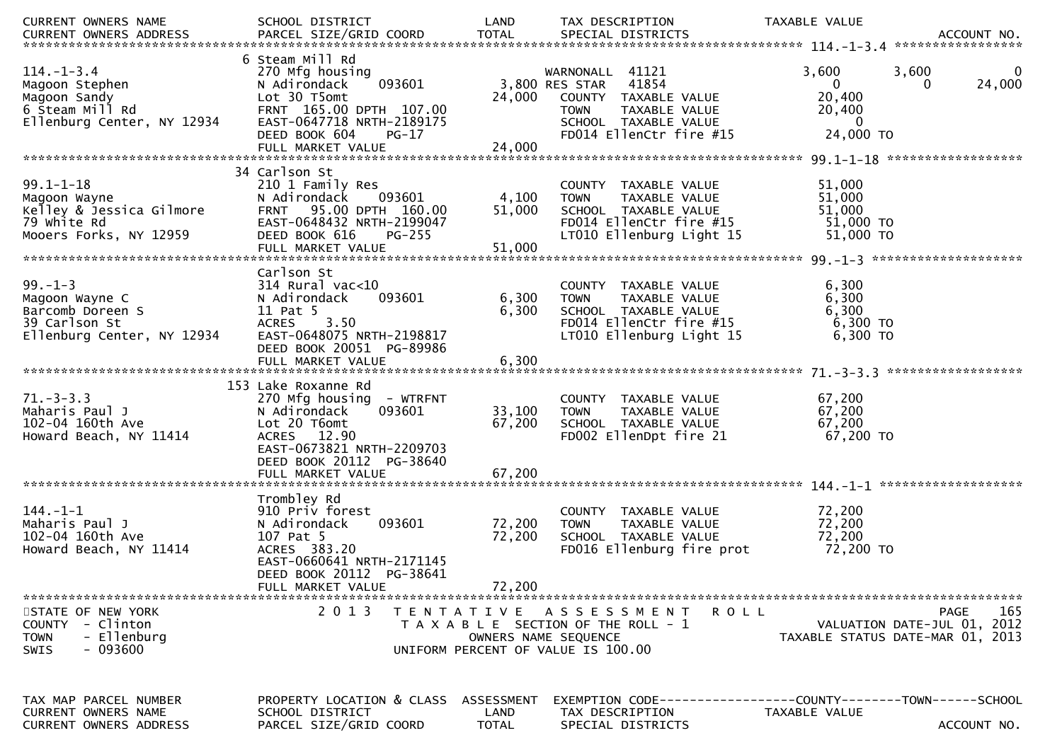| CURRENT OWNERS NAME                                              | SCHOOL DISTRICT                           | LAND                 | TAX DESCRIPTION                                      | TAXABLE VALUE                                                                                                                                                                                                                 |
|------------------------------------------------------------------|-------------------------------------------|----------------------|------------------------------------------------------|-------------------------------------------------------------------------------------------------------------------------------------------------------------------------------------------------------------------------------|
|                                                                  |                                           |                      |                                                      | .CURRENT OWNERS ADDRESS PARCEL SIZE/GRID COORD TOTAL SPECIAL DISTRICTS ACCOUNT NO ACCOUNT NO ACCOUNT NO AND A SERVERS AND RESERVE TO A TOTAL SPECIAL DISTRICTS AND MALL THAT A THE RESERVE TO A THAT AND A THAT AND THAT THAT |
| $114. - 1 - 3.4$                                                 | 6 Steam Mill Rd<br>270 Mfg housing        |                      | WARNONALL 41121                                      | 3,600<br>3,600<br>0                                                                                                                                                                                                           |
| Magoon Stephen                                                   | 093601<br>N Adirondack                    |                      | 3,800 RES STAR<br>41854                              | $\overline{0}$<br>24,000<br>$\Omega$                                                                                                                                                                                          |
| Magoon Sandy                                                     | Lot 30 T5omt                              | 24,000               | COUNTY TAXABLE VALUE                                 | 20,400                                                                                                                                                                                                                        |
|                                                                  | FRNT 165.00 DPTH 107.00                   |                      | <b>TOWN</b><br>TAXABLE VALUE                         | 20,400                                                                                                                                                                                                                        |
| 6 Steam Mill Rd<br>6 Steam Mill Rd<br>Ellenburg Center, NY 12934 | EAST-0647718 NRTH-2189175                 |                      | SCHOOL TAXABLE VALUE                                 | $\overline{0}$                                                                                                                                                                                                                |
|                                                                  | DEED BOOK 604<br>PG-17                    |                      | FD014 EllenCtr fire #15                              | 24,000 TO                                                                                                                                                                                                                     |
|                                                                  | FULL MARKET VALUE                         | 24,000               |                                                      |                                                                                                                                                                                                                               |
|                                                                  | 34 Carlson St                             |                      |                                                      |                                                                                                                                                                                                                               |
| $99.1 - 1 - 18$                                                  | 210 1 Family Res                          |                      | COUNTY TAXABLE VALUE                                 | 51,000                                                                                                                                                                                                                        |
| Magoon Wayne                                                     | N Adirondack<br>093601                    | 4,100                | <b>TOWN</b><br>TAXABLE VALUE                         | 51,000                                                                                                                                                                                                                        |
| Kelley & Jessica Gilmore                                         | FRNT 95.00 DPTH 160.00                    | 51,000               | SCHOOL TAXABLE VALUE                                 | 51,000                                                                                                                                                                                                                        |
| 79 white Rd                                                      | EAST-0648432 NRTH-2199047                 |                      | FD014 EllenCtr fire #15                              | $51,000$ TO                                                                                                                                                                                                                   |
| Mooers Forks, NY 12959                                           | DEED BOOK 616<br><b>PG-255</b>            |                      | LT010 Ellenburg Light 15                             | 51,000 TO                                                                                                                                                                                                                     |
|                                                                  |                                           |                      |                                                      |                                                                                                                                                                                                                               |
|                                                                  |                                           |                      |                                                      |                                                                                                                                                                                                                               |
|                                                                  | Carlson St                                |                      |                                                      |                                                                                                                                                                                                                               |
| $99. - 1 - 3$                                                    | $314$ Rural vac<10<br>093601              |                      | COUNTY TAXABLE VALUE                                 | 6,300                                                                                                                                                                                                                         |
| Magoon Wayne C<br>Barcomb Doreen S                               | N Adirondack<br>11 Pat 5                  | 6,300<br>6,300       | TAXABLE VALUE<br><b>TOWN</b><br>SCHOOL TAXABLE VALUE | 6,300<br>6,300                                                                                                                                                                                                                |
| 39 Carlson St                                                    | 3.50<br><b>ACRES</b>                      |                      | FD014 EllenCtr fire #15                              | $6,300$ TO                                                                                                                                                                                                                    |
| Ellenburg Center, NY 12934                                       | EAST-0648075 NRTH-2198817                 |                      | LT010 Ellenburg Light 15                             | 6,300 TO                                                                                                                                                                                                                      |
|                                                                  | DEED BOOK 20051 PG-89986                  |                      |                                                      |                                                                                                                                                                                                                               |
|                                                                  | FULL MARKET VALUE                         | 6,300                |                                                      |                                                                                                                                                                                                                               |
|                                                                  |                                           |                      |                                                      |                                                                                                                                                                                                                               |
|                                                                  | 153 Lake Roxanne Rd                       |                      |                                                      |                                                                                                                                                                                                                               |
| $71. - 3 - 3.3$                                                  | 270 Mfg housing - WTRFNT                  |                      | COUNTY TAXABLE VALUE                                 | 67,200                                                                                                                                                                                                                        |
| Maharis Paul J                                                   | 093601<br>N Adirondack                    | 33,100               | TAXABLE VALUE<br><b>TOWN</b>                         | 67,200                                                                                                                                                                                                                        |
| 102-04 160th Ave<br>Howard Beach, NY 11414                       | Lot 20 T6omt<br>ACRES 12.90               | 67,200               | SCHOOL TAXABLE VALUE<br>FD002 EllenDpt fire 21       | 67,200<br>67,200 TO                                                                                                                                                                                                           |
|                                                                  | EAST-0673821 NRTH-2209703                 |                      |                                                      |                                                                                                                                                                                                                               |
|                                                                  | DEED BOOK 20112 PG-38640                  |                      |                                                      |                                                                                                                                                                                                                               |
|                                                                  |                                           |                      |                                                      |                                                                                                                                                                                                                               |
|                                                                  |                                           |                      |                                                      |                                                                                                                                                                                                                               |
|                                                                  | Trombley Rd                               |                      |                                                      |                                                                                                                                                                                                                               |
| $144. - 1 - 1$                                                   | 910 Priv forest                           |                      | COUNTY TAXABLE VALUE                                 | 72,200                                                                                                                                                                                                                        |
| Maharis Paul J                                                   | 093601<br>N Adirondack                    | 72,200               | TAXABLE VALUE<br><b>TOWN</b>                         | 72,200                                                                                                                                                                                                                        |
| 102-04 160th Ave                                                 | 107 Pat 5                                 | 72,200               | SCHOOL TAXABLE VALUE                                 | 72,200                                                                                                                                                                                                                        |
| Howard Beach, NY 11414                                           | ACRES 383.20<br>EAST-0660641 NRTH-2171145 |                      | FD016 Ellenburg fire prot                            | 72,200 TO                                                                                                                                                                                                                     |
|                                                                  | DEED BOOK 20112 PG-38641                  |                      |                                                      |                                                                                                                                                                                                                               |
|                                                                  | FULL MARKET VALUE                         | 72,200               |                                                      |                                                                                                                                                                                                                               |
|                                                                  |                                           |                      |                                                      |                                                                                                                                                                                                                               |
| STATE OF NEW YORK                                                | 2 0 1 3                                   |                      | TENTATIVE ASSESSMENT<br>ROLL                         | 165<br>PAGE                                                                                                                                                                                                                   |
| COUNTY - Clinton                                                 |                                           |                      | T A X A B L E SECTION OF THE ROLL - 1                | VALUATION DATE-JUL 01, 2012                                                                                                                                                                                                   |
| - Ellenburg<br><b>TOWN</b>                                       |                                           | OWNERS NAME SEQUENCE |                                                      | TAXABLE STATUS DATE-MAR 01, 2013                                                                                                                                                                                              |
| $-093600$<br><b>SWIS</b>                                         |                                           |                      | UNIFORM PERCENT OF VALUE IS 100.00                   |                                                                                                                                                                                                                               |
|                                                                  |                                           |                      |                                                      |                                                                                                                                                                                                                               |
|                                                                  |                                           |                      |                                                      |                                                                                                                                                                                                                               |
| TAX MAP PARCEL NUMBER                                            | PROPERTY LOCATION & CLASS                 | ASSESSMENT           |                                                      | EXEMPTION        CODE------------------COUNTY-------TOWN------SCHOOL                                                                                                                                                          |
| CURRENT OWNERS NAME                                              | SCHOOL DISTRICT                           | LAND                 | TAX DESCRIPTION                                      | TAXABLE VALUE                                                                                                                                                                                                                 |
| CURRENT OWNERS ADDRESS                                           | PARCEL SIZE/GRID COORD                    | <b>TOTAL</b>         | SPECIAL DISTRICTS                                    | ACCOUNT NO.                                                                                                                                                                                                                   |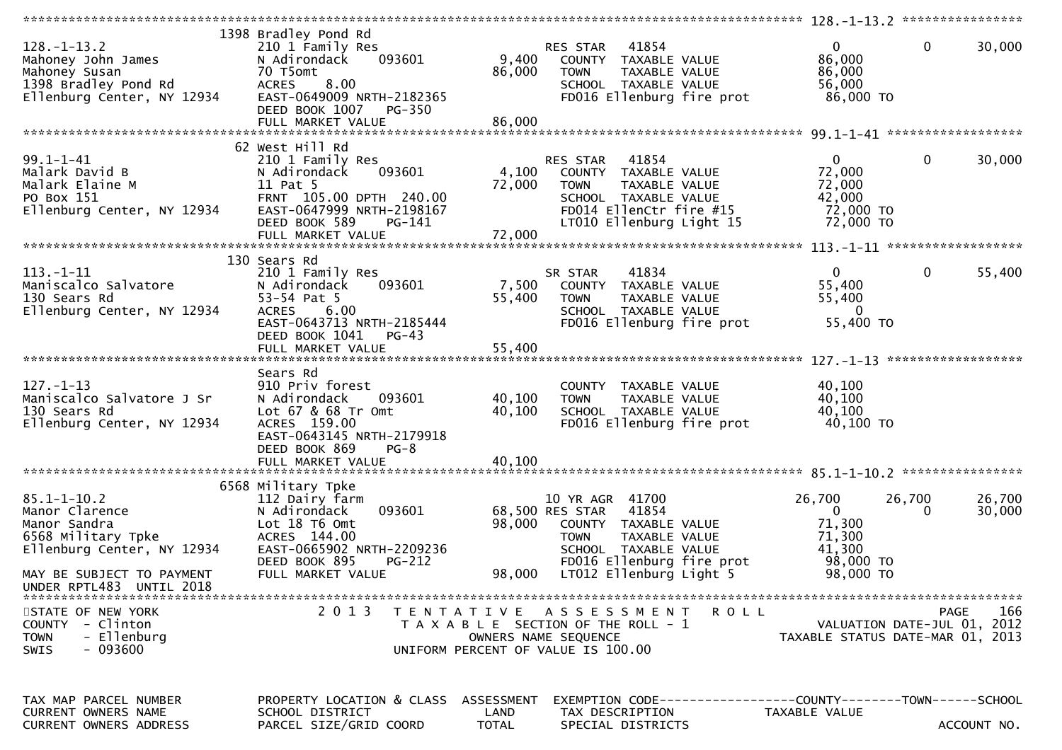| $128. - 1 - 13.2$<br>Mahoney John James<br>Mahoney Susan<br>בכבר שומש Pond Rd<br>Ellenburg Center, NY 12934 | 1398 Bradley Pond Rd<br>210 1 Family Res<br>093601<br>N Adirondack<br>70 T5omt<br>8.00<br><b>ACRES</b><br>EAST-0649009 NRTH-2182365<br>DEED BOOK 1007<br><b>PG-350</b>   | 9,400<br>86,000            | 41854<br>RES STAR<br>COUNTY TAXABLE VALUE<br><b>TOWN</b><br>TAXABLE VALUE<br>SCHOOL TAXABLE VALUE<br>FD016 Ellenburg fire prot                        | $\mathbf{0}$<br>86,000<br>86,000<br>56,000<br>86,000 TO              | $\mathbf 0$<br>30,000                                                          |
|-------------------------------------------------------------------------------------------------------------|--------------------------------------------------------------------------------------------------------------------------------------------------------------------------|----------------------------|-------------------------------------------------------------------------------------------------------------------------------------------------------|----------------------------------------------------------------------|--------------------------------------------------------------------------------|
|                                                                                                             |                                                                                                                                                                          |                            |                                                                                                                                                       |                                                                      |                                                                                |
| $99.1 - 1 - 41$<br>Malark David B<br>Malark Elaine M<br>PO Box 151<br>Ellenburg Center, NY 12934            | 62 West Hill Rd<br>210 1 Family Res<br>093601<br>N Adirondack<br>11 Pat 5<br>FRNT 105.00 DPTH 240.00<br>EAST-0647999 NRTH-2198167<br>DEED BOOK 589<br>PG-141             | 4,100<br>72,000            | RES STAR 41854<br>COUNTY TAXABLE VALUE<br>TAXABLE VALUE<br><b>TOWN</b><br>SCHOOL TAXABLE VALUE<br>FD014 EllenCtr fire #15<br>LT010 Ellenburg Light 15 | $\mathbf{0}$<br>72,000<br>72,000<br>42,000<br>72,000 TO<br>72,000 TO | $\mathbf 0$<br>30,000                                                          |
|                                                                                                             |                                                                                                                                                                          |                            |                                                                                                                                                       |                                                                      |                                                                                |
| $113. - 1 - 11$<br>Maniscalco Salvatore<br>130 Sears Rd<br>Ellenburg Center, NY 12934                       | 130 Sears Rd<br>210 1 Family Res<br>N Adirondack<br>093601<br>53-54 Pat 5<br>6.00<br><b>ACRES</b><br>EAST-0643713 NRTH-2185444                                           | 7,500<br>55,400            | 41834<br>SR STAR<br>COUNTY TAXABLE VALUE<br>TAXABLE VALUE<br><b>TOWN</b><br>SCHOOL TAXABLE VALUE<br>FD016 Ellenburg fire prot                         | $\overline{0}$<br>55,400<br>55,400<br>$\Omega$<br>55,400 TO          | $\mathbf 0$<br>55,400                                                          |
|                                                                                                             | DEED BOOK 1041<br>PG-43<br>FULL MARKET VALUE                                                                                                                             | 55,400                     |                                                                                                                                                       |                                                                      |                                                                                |
| $127. - 1 - 13$<br>Maniscalco Salvatore J Sr<br>130 Sears Rd<br>Ellenburg Center, NY 12934                  | Sears Rd<br>910 Priv forest<br>093601<br>N Adirondack<br>Lot 67 & 68 Tr Omt<br>ACRES 159.00<br>EAST-0643145 NRTH-2179918<br>DEED BOOK 869<br>$PG-8$<br>FULL MARKET VALUE | 40,100<br>40,100<br>40,100 | COUNTY TAXABLE VALUE<br>TAXABLE VALUE<br><b>TOWN</b><br>SCHOOL TAXABLE VALUE<br>FD016 Ellenburg fire prot                                             | 40,100<br>40,100<br>40,100<br>40,100 TO                              |                                                                                |
|                                                                                                             |                                                                                                                                                                          |                            |                                                                                                                                                       |                                                                      |                                                                                |
| $85.1 - 1 - 10.2$<br>Manor Clarence<br>Manor Sandra<br>6568 Military Tpke<br>Ellenburg Center, NY 12934     | 6568 Military Tpke<br>112 Dairy farm<br>093601<br>N Adirondack<br>Lot 18 T6 Omt<br>ACRES 144.00<br>EAST-0665902 NRTH-2209236                                             | 98,000                     | 10 YR AGR 41700<br>68,500 RES STAR<br>41854<br>COUNTY TAXABLE VALUE<br>TAXABLE VALUE<br><b>TOWN</b><br>SCHOOL TAXABLE VALUE                           | 26,700<br>$\mathbf{0}$<br>71,300<br>71,300<br>41,300                 | 26,700<br>26,700<br>30,000                                                     |
| MAY BE SUBJECT TO PAYMENT<br>UNDER RPTL483 UNTIL 2018                                                       | DEED BOOK 895<br><b>PG-212</b><br>FULL MARKET VALUE                                                                                                                      | 98,000                     | FD016 Ellenburg fire prot<br>LT012 Ellenburg Light 5                                                                                                  | 98,000 TO<br>98,000 TO                                               |                                                                                |
| STATE OF NEW YORK<br>COUNTY - Clinton<br>- Ellenburg<br><b>TOWN</b><br>$-093600$<br><b>SWIS</b>             | 2 0 1 3                                                                                                                                                                  |                            | TENTATIVE ASSESSMENT<br>R O L L<br>T A X A B L E SECTION OF THE ROLL - 1<br>OWNERS NAME SEQUENCE<br>UNIFORM PERCENT OF VALUE IS 100.00                |                                                                      | PAGE<br>166<br>VALUATION DATE-JUL 01, 2012<br>TAXABLE STATUS DATE-MAR 01, 2013 |
| TAX MAP PARCEL NUMBER<br><b>CURRENT OWNERS NAME</b><br><b>CURRENT OWNERS ADDRESS</b>                        | PROPERTY LOCATION & CLASS ASSESSMENT<br>SCHOOL DISTRICT<br>PARCEL SIZE/GRID COORD                                                                                        | LAND<br><b>TOTAL</b>       | EXEMPTION        CODE-----------------COUNTY-------TOWN------SCHOOL<br>TAX DESCRIPTION<br>SPECIAL DISTRICTS                                           | TAXABLE VALUE                                                        | ACCOUNT NO.                                                                    |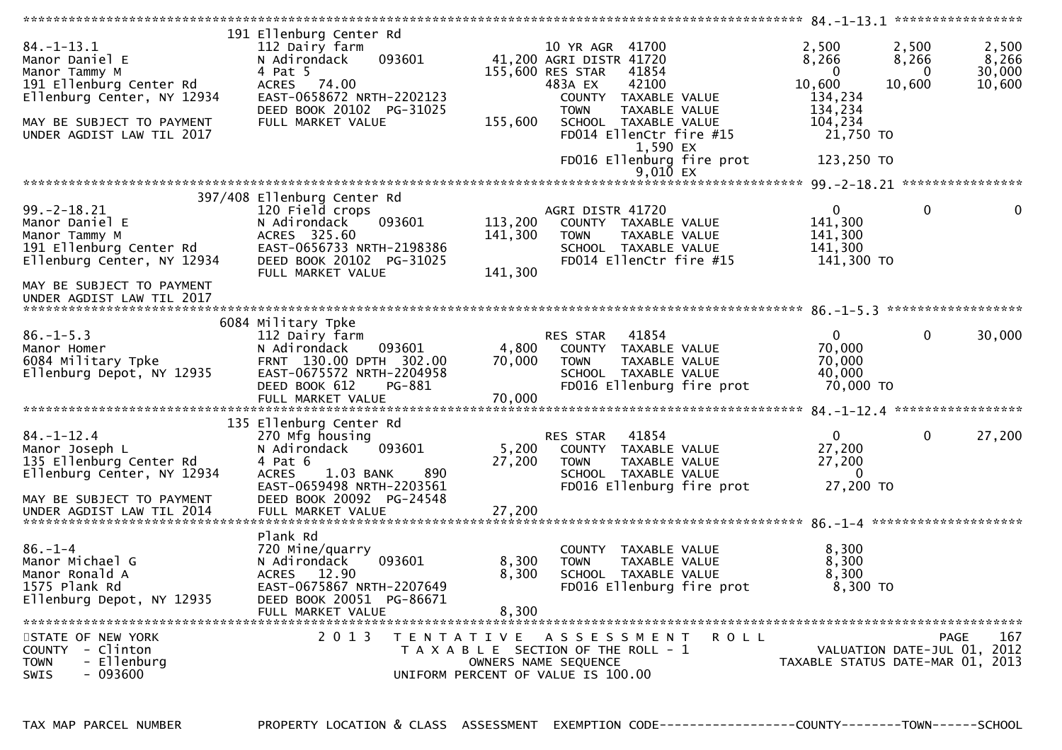| $84. - 1 - 13.1$<br>Manor Daniel E<br>Manor Tammy M<br>191 Ellenburg Center Rd<br>Ellenburg Center, NY 12934<br>MAY BE SUBJECT TO PAYMENT<br>UNDER AGDIST LAW TIL 2017 | 191 Ellenburg Center Rd<br>112 Dairy farm<br>093601<br>N Adirondack<br>4 Pat 5<br>ACRES 74.00<br>EAST-0658672 NRTH-2202123<br>DEED BOOK 20102 PG-31025<br>FULL MARKET VALUE | 155,600                       | 10 YR AGR 41700<br>41,200 AGRI DISTR 41720<br>155,600 RES STAR<br>483A EX<br>COUNTY TAXABLE VALUE<br><b>TOWN</b><br>SCHOOL TAXABLE VALUE | 41854<br>42100<br>TAXABLE VALUE<br>FD014 EllenCtr fire #15<br>1,590 EX<br>FD016 Ellenburg fire prot | 2,500<br>8,266<br>$\Omega$<br>10,600<br>134,234<br>134,234<br>104,234<br>21,750 TO<br>123,250 TO | 2,500<br>8,266<br>$\bf{0}$<br>10,600 | 2,500<br>8,266<br>30,000<br>10,600 |
|------------------------------------------------------------------------------------------------------------------------------------------------------------------------|-----------------------------------------------------------------------------------------------------------------------------------------------------------------------------|-------------------------------|------------------------------------------------------------------------------------------------------------------------------------------|-----------------------------------------------------------------------------------------------------|--------------------------------------------------------------------------------------------------|--------------------------------------|------------------------------------|
|                                                                                                                                                                        |                                                                                                                                                                             |                               |                                                                                                                                          | $9,010$ EX                                                                                          |                                                                                                  |                                      |                                    |
|                                                                                                                                                                        |                                                                                                                                                                             |                               |                                                                                                                                          |                                                                                                     |                                                                                                  |                                      |                                    |
| $99. - 2 - 18.21$<br>Manor Daniel E<br>Manor Tammy M<br>191 Ellenburg Center Rd<br>Ellenburg Center, NY 12934<br>MAY BE SUBJECT TO PAYMENT                             | 397/408 Ellenburg Center Rd<br>120 Field crops<br>N Adirondack<br>093601<br>ACRES 325.60<br>EAST-0656733 NRTH-2198386<br>DEED BOOK 20102 PG-31025<br>FULL MARKET VALUE      | 113,200<br>141,300<br>141,300 | AGRI DISTR 41720<br>COUNTY TAXABLE VALUE<br><b>TOWN</b><br>SCHOOL TAXABLE VALUE                                                          | TAXABLE VALUE<br>FD014 EllenCtr fire #15                                                            | $\mathbf{0}$<br>141,300<br>141,300<br>141,300<br>141,300 TO                                      | $\mathbf{0}$                         | $\mathbf{0}$                       |
|                                                                                                                                                                        |                                                                                                                                                                             |                               |                                                                                                                                          |                                                                                                     |                                                                                                  |                                      |                                    |
|                                                                                                                                                                        | 6084 Military Tpke                                                                                                                                                          |                               |                                                                                                                                          |                                                                                                     |                                                                                                  |                                      |                                    |
| $86. - 1 - 5.3$<br>Manor Homer<br>6084 Military Tpke<br>Ellenburg Depot, NY 12935                                                                                      | 112 Dairy farm<br>093601<br>N Adirondack<br>FRNT 130.00 DPTH 302.00<br>EAST-0675572 NRTH-2204958<br>DEED BOOK 612<br>PG-881<br>FULL MARKET VALUE                            | 4,800<br>70,000<br>70,000     | RES STAR<br>COUNTY TAXABLE VALUE<br><b>TOWN</b><br>SCHOOL TAXABLE VALUE                                                                  | 41854<br>TAXABLE VALUE<br>FD016 Ellenburg fire prot                                                 | $\mathbf{0}$<br>70,000<br>70,000<br>40,000<br>70,000 TO                                          | $\mathbf 0$                          | 30,000                             |
|                                                                                                                                                                        | 135 Ellenburg Center Rd                                                                                                                                                     |                               |                                                                                                                                          |                                                                                                     |                                                                                                  |                                      |                                    |
| $84. - 1 - 12.4$<br>Manor Joseph L<br>135 Ellenburg Center Rd<br>Ellenburg Center, NY 12934<br>MAY BE SUBJECT TO PAYMENT                                               | 270 Mfg housing<br>N Adirondack<br>093601<br>4 Pat 6<br>890<br><b>ACRES</b><br>1.03 BANK<br>EAST-0659498 NRTH-2203561<br>DEED BOOK 20092 PG-24548                           | 5,200<br>27,200               | RES STAR<br>COUNTY TAXABLE VALUE<br><b>TOWN</b><br>SCHOOL TAXABLE VALUE                                                                  | 41854<br>TAXABLE VALUE<br>FD016 Ellenburg fire prot                                                 | $\overline{0}$<br>27,200<br>27,200<br>$\Omega$<br>27,200 TO                                      | $\mathbf{0}$                         | 27,200                             |
|                                                                                                                                                                        |                                                                                                                                                                             |                               |                                                                                                                                          |                                                                                                     |                                                                                                  |                                      |                                    |
| $86. - 1 - 4$<br>Manor Michael G<br>Manor Ronald A<br>1575 Plank Rd<br>Ellenburg Depot, NY 12935                                                                       | Plank Rd<br>720 Mine/quarry<br>093601<br>N Adirondack<br><b>ACRES</b><br>12.90<br>EAST-0675867 NRTH-2207649<br>DEED BOOK 20051 PG-86671<br>FULL MARKET VALUE                | 8,300<br>8,300<br>8,300       | COUNTY<br><b>TOWN</b><br>SCHOOL TAXABLE VALUE                                                                                            | TAXABLE VALUE<br><b>TAXABLE VALUE</b><br>FD016 Ellenburg fire prot                                  | 8,300<br>8,300<br>8,300<br>8,300 TO                                                              |                                      |                                    |
| STATE OF NEW YORK<br>COUNTY - Clinton<br>- Ellenburg<br><b>TOWN</b><br>$-093600$<br>SWIS                                                                               | 2 0 1 3                                                                                                                                                                     |                               | TENTATIVE ASSESSMENT<br>T A X A B L E SECTION OF THE ROLL - 1<br>OWNERS NAME SEQUENCE<br>UNIFORM PERCENT OF VALUE IS 100.00              | ROLL                                                                                                | VALUATION DATE-JUL 01, 2012<br>TAXABLE STATUS DATE-MAR 01, 2013                                  | <b>PAGE</b>                          | 167                                |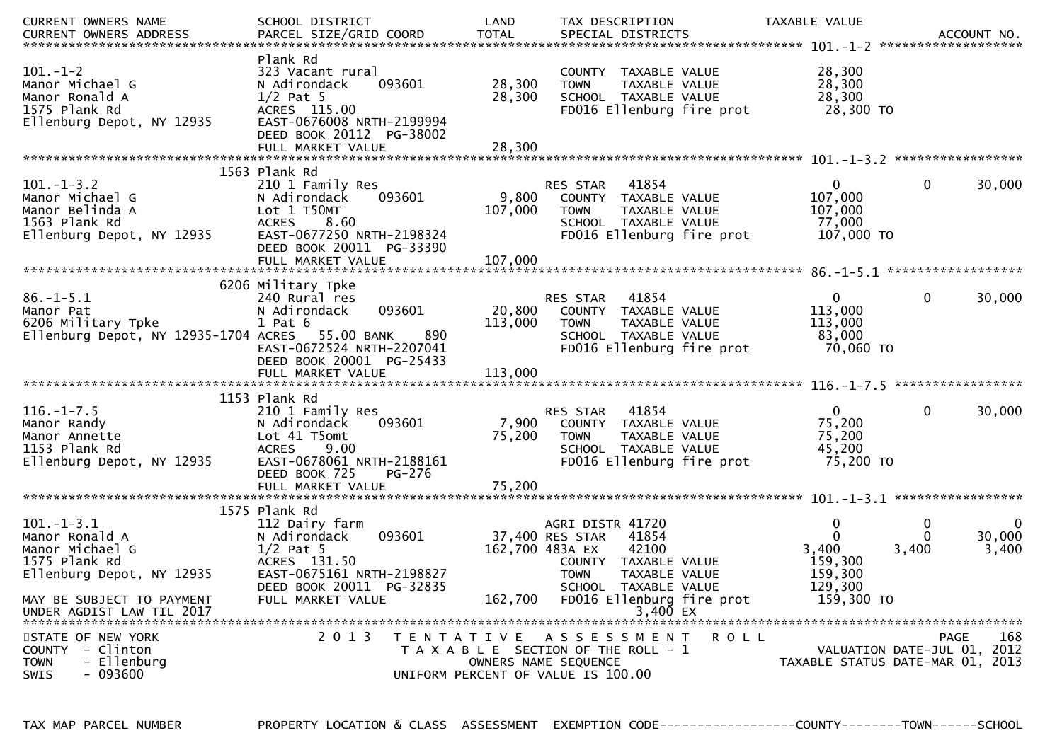| CURRENT OWNERS NAME                                                                                   | SCHOOL DISTRICT                                                                                                                                | LAND              | TAX DESCRIPTION                                                                                                                       | TAXABLE VALUE                                               |                                                                                       |
|-------------------------------------------------------------------------------------------------------|------------------------------------------------------------------------------------------------------------------------------------------------|-------------------|---------------------------------------------------------------------------------------------------------------------------------------|-------------------------------------------------------------|---------------------------------------------------------------------------------------|
| $101.-1-2$<br>Manor Michael G<br>Manor Ronald A<br>1575 Plank Rd<br>Ellenburg Depot, NY 12935         | Plank Rd<br>323 Vacant rural<br>N Adirondack<br>093601<br>$1/2$ Pat 5<br>ACRES 115.00<br>EAST-0676008 NRTH-2199994<br>DEED BOOK 20112 PG-38002 | 28,300<br>28,300  | COUNTY TAXABLE VALUE<br><b>TOWN</b><br>TAXABLE VALUE<br>SCHOOL TAXABLE VALUE<br>FD016 Ellenburg fire prot                             | 28,300<br>28,300<br>28,300<br>28,300 TO                     |                                                                                       |
|                                                                                                       | FULL MARKET VALUE                                                                                                                              | 28,300            |                                                                                                                                       |                                                             |                                                                                       |
|                                                                                                       | 1563 Plank Rd                                                                                                                                  |                   |                                                                                                                                       |                                                             |                                                                                       |
| $101.-1-3.2$<br>Manor Michael G<br>Manor Belinda A<br>1563 Plank Rd<br>Ellenburg Depot, NY 12935      | 210 1 Family Res<br>093601<br>N Adirondack<br>Lot 1 T50MT<br>8.60<br><b>ACRES</b><br>EAST-0677250 NRTH-2198324<br>DEED BOOK 20011 PG-33390     | 9,800<br>107,000  | RES STAR<br>41854<br>COUNTY TAXABLE VALUE<br><b>TOWN</b><br>TAXABLE VALUE<br>SCHOOL TAXABLE VALUE<br>FD016 Ellenburg fire prot        | $\mathbf{0}$<br>107,000<br>107,000<br>77,000<br>107,000 TO  | $\mathbf 0$<br>30,000                                                                 |
|                                                                                                       | FULL MARKET VALUE                                                                                                                              | 107,000           |                                                                                                                                       |                                                             |                                                                                       |
|                                                                                                       |                                                                                                                                                |                   |                                                                                                                                       |                                                             |                                                                                       |
| $86. - 1 - 5.1$<br>Manor Pat<br>6206 Military Tpke<br>Ellenburg Depot, NY 12935-1704 ACRES 55.00 BANK | 6206 Military Tpke<br>240 Rural res<br>093601<br>N Adirondack<br>$1$ Pat $6$<br>890<br>EAST-0672524 NRTH-2207041<br>DEED BOOK 20001 PG-25433   | 20,800<br>113,000 | RES STAR<br>41854<br>COUNTY TAXABLE VALUE<br>TAXABLE VALUE<br><b>TOWN</b><br>SCHOOL TAXABLE VALUE<br>FD016 Ellenburg fire prot        | 0 <sup>1</sup><br>113,000<br>113,000<br>83,000<br>70,060 TO | $\mathbf 0$<br>30,000                                                                 |
|                                                                                                       |                                                                                                                                                |                   |                                                                                                                                       |                                                             |                                                                                       |
|                                                                                                       | 1153 Plank Rd                                                                                                                                  |                   |                                                                                                                                       |                                                             |                                                                                       |
| $116. - 1 - 7.5$<br>Manor Randy<br>Manor Annette<br>1153 Plank Rd<br>Ellenburg Depot, NY 12935        | 210 1 Family Res<br>093601<br>N Adirondack<br>Lot 41 T5omt<br>9.00<br><b>ACRES</b><br>EAST-0678061 NRTH-2188161<br>DEED BOOK 725<br>PG-276     | 7,900<br>75,200   | 41854<br>RES STAR<br>COUNTY TAXABLE VALUE<br>TAXABLE VALUE<br><b>TOWN</b><br>SCHOOL TAXABLE VALUE<br>FD016 Ellenburg fire prot        | $\mathbf{0}$<br>75,200<br>75,200<br>45,200<br>75,200 TO     | $\mathbf{0}$<br>30,000                                                                |
|                                                                                                       | FULL MARKET VALUE                                                                                                                              | 75,200            |                                                                                                                                       |                                                             |                                                                                       |
|                                                                                                       | 1575 Plank Rd                                                                                                                                  |                   |                                                                                                                                       |                                                             |                                                                                       |
| $101. -1 - 3.1$<br>Manor Ronald A<br>Manor Michael G<br>1575 Plank Rd<br>Ellenburg Depot, NY 12935    | 112 Dairy farm<br>N Adirondack<br>093601<br>$1/2$ Pat 5<br>ACRES 131.50<br>EAST-0675161 NRTH-2198827<br>DEED BOOK 20011 PG-32835               | 162,700 483A EX   | AGRI DISTR 41720<br>37,400 RES STAR<br>41854<br>42100<br>COUNTY TAXABLE VALUE<br><b>TOWN</b><br>TAXABLE VALUE<br>SCHOOL TAXABLE VALUE | 0<br>$\Omega$<br>3,400<br>159,300<br>159,300<br>129,300     | 0<br>0<br>30,000<br>0<br>3,400<br>3,400                                               |
| MAY BE SUBJECT TO PAYMENT<br>UNDER AGDIST LAW TIL 2017                                                | FULL MARKET VALUE                                                                                                                              | 162,700           | FD016 Ellenburg fire prot<br>3,400 EX                                                                                                 | 159,300 TO                                                  |                                                                                       |
| STATE OF NEW YORK<br>COUNTY - Clinton<br>- Ellenburg<br><b>TOWN</b><br>- 093600<br><b>SWIS</b>        | 2 0 1 3<br>T E N T A T I V E                                                                                                                   |                   | A S S E S S M E N T<br>T A X A B L E SECTION OF THE ROLL - 1<br>OWNERS NAME SEQUENCE<br>UNIFORM PERCENT OF VALUE IS 100.00            | <b>ROLL</b>                                                 | 168<br><b>PAGE</b><br>VALUATION DATE-JUL 01, 2012<br>TAXABLE STATUS DATE-MAR 01, 2013 |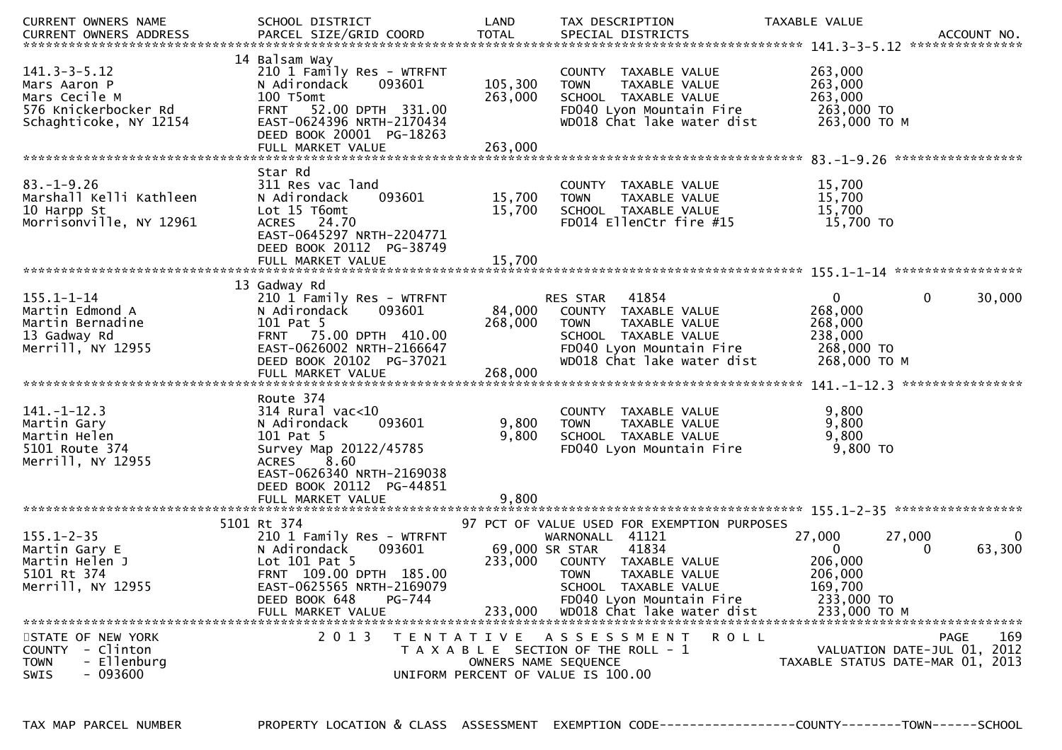| CURRENT OWNERS NAME                                                                                   | SCHOOL DISTRICT                                                                                                                                                                               | LAND                                 | TAX DESCRIPTION                                                                                                                                                                                                          | TAXABLE VALUE                                                                               |             |
|-------------------------------------------------------------------------------------------------------|-----------------------------------------------------------------------------------------------------------------------------------------------------------------------------------------------|--------------------------------------|--------------------------------------------------------------------------------------------------------------------------------------------------------------------------------------------------------------------------|---------------------------------------------------------------------------------------------|-------------|
| $141.3 - 3 - 5.12$<br>Mars Aaron P<br>Mars Cecile M<br>576 Knickerbocker Rd<br>Schaghticoke, NY 12154 | 14 Balsam Way<br>210 1 Family Res - WTRFNT<br>093601<br>N Adirondack<br>100 T5omt<br>FRNT 52.00 DPTH 331.00<br>EAST-0624396 NRTH-2170434<br>DEED BOOK 20001 PG-18263<br>FULL MARKET VALUE     | 105,300<br>263,000<br>263,000        | COUNTY TAXABLE VALUE<br><b>TOWN</b><br>TAXABLE VALUE<br>SCHOOL TAXABLE VALUE<br>FD040 Lyon Mountain Fire<br>WD018 Chat lake water dist                                                                                   | 263,000<br>263,000<br>263,000<br>263,000 TO<br>263,000 ТО М                                 |             |
|                                                                                                       |                                                                                                                                                                                               |                                      |                                                                                                                                                                                                                          |                                                                                             |             |
| $83 - 1 - 9.26$<br>Marshall Kelli Kathleen<br>10 Harpp St<br>Morrisonville, NY 12961                  | Star Rd<br>311 Res vac land<br>093601<br>N Adirondack<br>Lot 15 T6omt<br>ACRES 24.70<br>EAST-0645297 NRTH-2204771<br>DEED BOOK 20112 PG-38749<br>FULL MARKET VALUE                            | 15,700<br>15,700<br>15,700           | COUNTY TAXABLE VALUE<br><b>TOWN</b><br>TAXABLE VALUE<br>SCHOOL TAXABLE VALUE<br>FD014 EllenCtr fire #15                                                                                                                  | 15,700<br>15,700<br>15,700<br>15,700 TO                                                     |             |
|                                                                                                       |                                                                                                                                                                                               |                                      |                                                                                                                                                                                                                          |                                                                                             |             |
| $155.1 - 1 - 14$<br>Martin Edmond A<br>Martin Bernadine<br>13 Gadway Rd<br>Merrill, NY 12955          | 13 Gadway Rd<br>210 1 Family Res - WTRFNT<br>093601<br>N Adirondack<br>101 Pat 5<br>FRNT 75.00 DPTH 410.00<br>EAST-0626002 NRTH-2166647<br>DEED BOOK 20102 PG-37021                           | 84,000<br>268,000                    | 41854<br><b>RES STAR</b><br>COUNTY TAXABLE VALUE<br><b>TOWN</b><br><b>TAXABLE VALUE</b><br>SCHOOL TAXABLE VALUE<br>FD040 Lyon Mountain Fire<br>WD018 Chat lake water dist                                                | 0<br>0<br>268,000<br>268,000<br>238,000<br>268,000 TO<br>268,000 ТО М                       | 30,000      |
|                                                                                                       | FULL MARKET VALUE                                                                                                                                                                             | 268,000                              |                                                                                                                                                                                                                          |                                                                                             |             |
| $141. - 1 - 12.3$<br>Martin Gary<br>Martin Helen<br>5101 Route 374<br>Merrill, NY 12955               | Route 374<br>$314$ Rural vac<10<br>093601<br>N Adirondack<br>101 Pat 5<br>Survey Map 20122/45785<br>8.60<br><b>ACRES</b><br>EAST-0626340 NRTH-2169038<br>DEED BOOK 20112 PG-44851             | 9,800<br>9,800                       | COUNTY TAXABLE VALUE<br><b>TOWN</b><br>TAXABLE VALUE<br>SCHOOL TAXABLE VALUE<br>FD040 Lyon Mountain Fire                                                                                                                 | 9,800<br>9,800<br>9,800<br>9,800 TO                                                         |             |
|                                                                                                       | FULL MARKET VALUE                                                                                                                                                                             | 9,800                                |                                                                                                                                                                                                                          |                                                                                             |             |
|                                                                                                       |                                                                                                                                                                                               |                                      |                                                                                                                                                                                                                          |                                                                                             |             |
| $155.1 - 2 - 35$<br>Martin Gary E<br>Martin Helen J<br>5101 Rt 374<br>Merrill, NY 12955               | 5101 Rt 374<br>210 1 Family Res - WTRFNT<br>093601<br>N Adirondack<br>Lot $101$ Pat 5<br>FRNT 109.00 DPTH 185.00<br>EAST-0625565 NRTH-2169079<br>DEED BOOK 648<br>PG-744<br>FULL MARKET VALUE | 69,000 SR STAR<br>233,000<br>233,000 | 97 PCT OF VALUE USED FOR EXEMPTION PURPOSES<br>WARNONALL 41121<br>41834<br>COUNTY TAXABLE VALUE<br><b>TOWN</b><br><b>TAXABLE VALUE</b><br>SCHOOL TAXABLE VALUE<br>FD040 Lyon Mountain Fire<br>WD018 Chat lake water dist | 27,000<br>27,000<br>$\Omega$<br>206,000<br>206,000<br>169,700<br>233,000 TO<br>233,000 TO M | 0<br>63,300 |
| STATE OF NEW YORK<br>COUNTY - Clinton<br>- Ellenburg<br><b>TOWN</b><br>- 093600<br><b>SWIS</b>        | 2 0 1 3<br>T E N T A T I V E                                                                                                                                                                  | OWNERS NAME SEQUENCE                 | A S S E S S M E N T<br>ROLL<br>T A X A B L E SECTION OF THE ROLL - 1<br>UNIFORM PERCENT OF VALUE IS 100.00                                                                                                               | VALUATION DATE-JUL 01, 2012<br>TAXABLE STATUS DATE-MAR 01, 2013                             | 169<br>PAGE |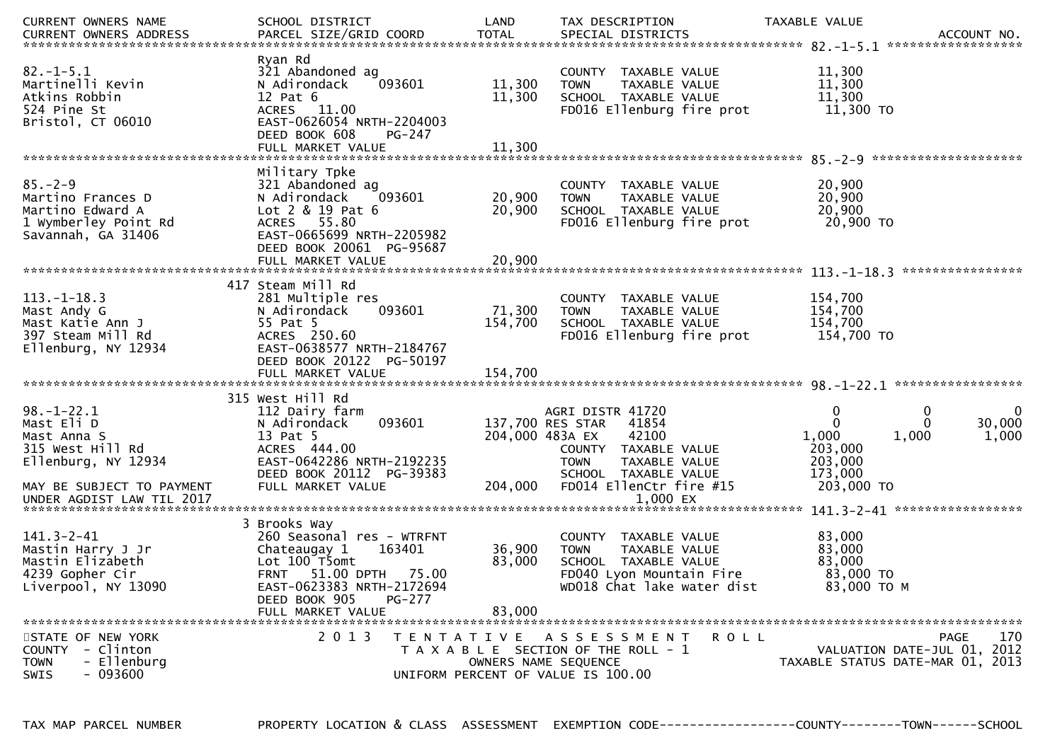| CURRENT OWNERS NAME                                                                                 | SCHOOL DISTRICT                                                                                                                                         | LAND              | TAX DESCRIPTION                                                                                                                                           | TAXABLE VALUE                                                              | ACCOUNT NO.<br>****************** |
|-----------------------------------------------------------------------------------------------------|---------------------------------------------------------------------------------------------------------------------------------------------------------|-------------------|-----------------------------------------------------------------------------------------------------------------------------------------------------------|----------------------------------------------------------------------------|-----------------------------------|
| $82. - 1 - 5.1$<br>Martinelli Kevin<br>Atkins Robbin<br>524 Pine St<br>Bristol, CT 06010            | Ryan Rd<br>321 Abandoned ag<br>N Adirondack<br>093601<br>$12$ Pat $6$<br>ACRES 11.00<br>EAST-0626054 NRTH-2204003<br>DEED BOOK 608<br><b>PG-247</b>     | 11,300<br>11,300  | COUNTY TAXABLE VALUE<br>TAXABLE VALUE<br><b>TOWN</b><br>SCHOOL TAXABLE VALUE<br>FD016 Ellenburg fire prot                                                 | 11,300<br>11,300<br>11,300<br>11,300 TO                                    |                                   |
|                                                                                                     | FULL MARKET VALUE                                                                                                                                       | 11,300            |                                                                                                                                                           |                                                                            |                                   |
| $85. - 2 - 9$<br>Martino Frances D<br>Martino Edward A<br>1 Wymberley Point Rd                      | Military Tpke<br>321 Abandoned ag<br>093601<br>N Adirondack<br>$Lot 2 & 19$ Pat 6<br>ACRES 55.80                                                        | 20,900<br>20,900  | COUNTY TAXABLE VALUE<br><b>TOWN</b><br>TAXABLE VALUE<br>SCHOOL TAXABLE VALUE<br>FD016 Ellenburg fire prot                                                 | 20,900<br>20,900<br>20,900<br>20,900 TO                                    |                                   |
| Savannah, GA 31406                                                                                  | EAST-0665699 NRTH-2205982<br>DEED BOOK 20061 PG-95687<br>FULL MARKET VALUE                                                                              | 20,900            |                                                                                                                                                           |                                                                            |                                   |
| $113.-1-18.3$<br>Mast Andy G<br>Mast Katie Ann J<br>397 Steam Mill Rd<br>Ellenburg, NY 12934        | 417 Steam Mill Rd<br>281 Multiple res<br>093601<br>N Adirondack<br>55 Pat 5<br>ACRES 250.60<br>EAST-0638577 NRTH-2184767<br>DEED BOOK 20122 PG-50197    | 71,300<br>154,700 | COUNTY TAXABLE VALUE<br>TAXABLE VALUE<br><b>TOWN</b><br>SCHOOL TAXABLE VALUE<br>FD016 Ellenburg fire prot                                                 | 154,700<br>154,700<br>154,700<br>154,700 TO                                |                                   |
|                                                                                                     | FULL MARKET VALUE                                                                                                                                       | 154,700           |                                                                                                                                                           |                                                                            |                                   |
| $98. - 1 - 22.1$<br>Mast Eli D<br>Mast Anna S<br>315 West Hill Rd<br>Ellenburg, NY 12934            | 315 West Hill Rd<br>112 Dairy farm<br>093601<br>N Adirondack<br>13 Pat 5<br>ACRES 444.00<br>EAST-0642286 NRTH-2192235<br>DEED BOOK 20112 PG-39383       |                   | AGRI DISTR 41720<br>137,700 RES STAR<br>41854<br>204,000 483A EX<br>42100<br>COUNTY TAXABLE VALUE<br><b>TOWN</b><br>TAXABLE VALUE<br>SCHOOL TAXABLE VALUE | 0<br>0<br>0<br>$\Omega$<br>1,000<br>1,000<br>203,000<br>203,000<br>173,000 | 0<br>30,000<br>1,000              |
| MAY BE SUBJECT TO PAYMENT<br>UNDER AGDIST LAW TIL 2017                                              | FULL MARKET VALUE                                                                                                                                       | 204,000           | FD014 EllenCtr fire #15<br>1,000 EX                                                                                                                       | 203,000 TO                                                                 |                                   |
|                                                                                                     |                                                                                                                                                         |                   |                                                                                                                                                           |                                                                            |                                   |
| $141.3 - 2 - 41$<br>Mastin Harry J Jr<br>Mastin Elizabeth<br>4239 Gopher Cir<br>Liverpool, NY 13090 | 3 Brooks Way<br>260 Seasonal res - WTRFNT<br>Chateaugay 1<br>163401<br>Lot 100 T5omt<br><b>FRNT</b><br>51.00 DPTH<br>75.00<br>EAST-0623383 NRTH-2172694 | 36,900<br>83,000  | COUNTY TAXABLE VALUE<br><b>TOWN</b><br>TAXABLE VALUE<br>SCHOOL TAXABLE VALUE<br>FD040 Lyon Mountain Fire<br>WD018 Chat lake water dist                    | 83,000<br>83,000<br>83,000<br>83,000 TO<br>83,000 TO M                     |                                   |
|                                                                                                     | DEED BOOK 905<br>PG-277<br>FULL MARKET VALUE                                                                                                            | 83,000            |                                                                                                                                                           |                                                                            |                                   |
| STATE OF NEW YORK<br>COUNTY - Clinton<br>- Ellenburg<br><b>TOWN</b><br>$-093600$<br>SWIS            | 2 0 1 3                                                                                                                                                 | T E N T A T I V E | R O L L<br>A S S E S S M E N T<br>T A X A B L E SECTION OF THE ROLL - 1<br>OWNERS NAME SEQUENCE<br>UNIFORM PERCENT OF VALUE IS 100.00                     | VALUATION DATE-JUL 01, 2012<br>TAXABLE STATUS DATE-MAR 01, 2013            | 170<br><b>PAGE</b>                |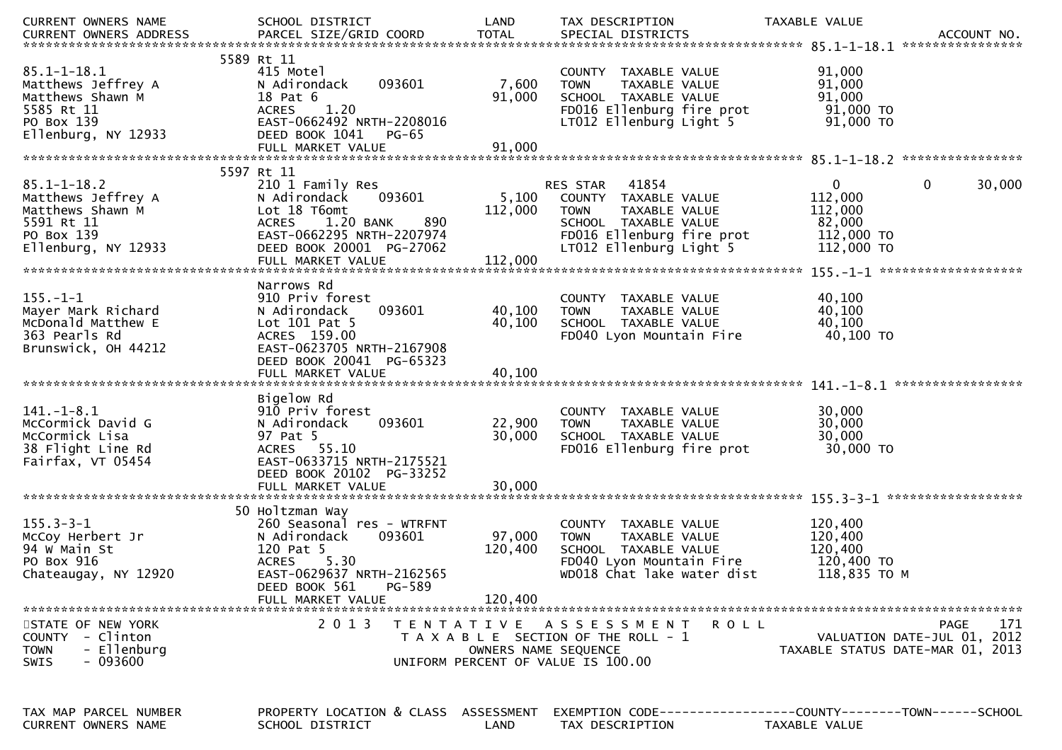| CURRENT OWNERS NAME                                                                                            | SCHOOL DISTRICT                                                                                                                                                                          | LAND                         | TAX DESCRIPTION                                                                                                                                        | TAXABLE VALUE<br>ACCOUNT NO.<br>****************                                                   |
|----------------------------------------------------------------------------------------------------------------|------------------------------------------------------------------------------------------------------------------------------------------------------------------------------------------|------------------------------|--------------------------------------------------------------------------------------------------------------------------------------------------------|----------------------------------------------------------------------------------------------------|
| $85.1 - 1 - 18.1$<br>Matthews Jeffrey A<br>Matthews Shawn M<br>5585 Rt 11<br>PO Box 139<br>Ellenburg, NY 12933 | 5589 Rt 11<br>415 Motel<br>N Adirondack<br>093601<br>18 Pat 6<br>1.20<br><b>ACRES</b><br>EAST-0662492 NRTH-2208016<br>DEED BOOK 1041<br>PG-65<br>FULL MARKET VALUE                       | 7,600<br>91,000<br>91,000    | COUNTY TAXABLE VALUE<br>TAXABLE VALUE<br><b>TOWN</b><br>SCHOOL TAXABLE VALUE<br>FD016 Ellenburg fire prot<br>LT012 Ellenburg Light 5                   | 91,000<br>91,000<br>91,000<br>$91,000$ TO<br>91,000 TO                                             |
|                                                                                                                | 5597 Rt 11                                                                                                                                                                               |                              |                                                                                                                                                        |                                                                                                    |
| $85.1 - 1 - 18.2$<br>Matthews Jeffrey A<br>Matthews Shawn M<br>5591 Rt 11<br>PO Box 139<br>Ellenburg, NY 12933 | 210 1 Family Res<br>093601<br>N Adirondack<br>Lot 18 T6omt<br>1.20 BANK<br>890<br><b>ACRES</b><br>EAST-0662295 NRTH-2207974<br>DEED BOOK 20001 PG-27062                                  | 5,100<br>112,000             | RES STAR 41854<br>COUNTY TAXABLE VALUE<br><b>TOWN</b><br>TAXABLE VALUE<br>SCHOOL TAXABLE VALUE<br>FD016 Ellenburg fire prot<br>LT012 Ellenburg Light 5 | $\mathbf{0}$<br>$\mathbf{0}$<br>30,000<br>112,000<br>112,000<br>82,000<br>112,000 TO<br>112,000 TO |
|                                                                                                                | FULL MARKET VALUE                                                                                                                                                                        | 112,000                      |                                                                                                                                                        |                                                                                                    |
|                                                                                                                |                                                                                                                                                                                          |                              |                                                                                                                                                        |                                                                                                    |
| $155. - 1 - 1$<br>Mayer Mark Richard<br>McDonald Matthew E<br>363 Pearls Rd<br>Brunswick, OH 44212             | Narrows Rd<br>910 Priv forest<br>093601<br>N Adirondack<br>Lot $101$ Pat 5<br>ACRES 159.00<br>EAST-0623705 NRTH-2167908                                                                  | 40,100<br>40,100             | COUNTY TAXABLE VALUE<br>TAXABLE VALUE<br><b>TOWN</b><br>SCHOOL TAXABLE VALUE<br>FD040 Lyon Mountain Fire                                               | 40,100<br>40,100<br>40,100<br>40,100 TO                                                            |
|                                                                                                                | DEED BOOK 20041 PG-65323<br>FULL MARKET VALUE                                                                                                                                            | 40,100                       |                                                                                                                                                        |                                                                                                    |
|                                                                                                                |                                                                                                                                                                                          |                              |                                                                                                                                                        |                                                                                                    |
| $141.-1-8.1$<br>McCormick David G<br>McCormick Lisa<br>38 Flight Line Rd<br>Fairfax, VT 05454                  | Bigelow Rd<br>910 Priv forest<br>093601<br>N Adirondack<br>97 Pat 5<br>ACRES 55.10<br>EAST-0633715 NRTH-2175521<br>DEED BOOK 20102 PG-33252                                              | 22,900<br>30,000             | COUNTY TAXABLE VALUE<br>TAXABLE VALUE<br><b>TOWN</b><br>SCHOOL TAXABLE VALUE<br>FD016 Ellenburg fire prot                                              | 30,000<br>30,000<br>30,000<br>30,000 TO                                                            |
|                                                                                                                |                                                                                                                                                                                          |                              |                                                                                                                                                        |                                                                                                    |
| $155.3 - 3 - 1$<br>McCoy Herbert Jr<br>94 w Main St<br>PO Box 916<br>Chateaugay, NY 12920                      | 50 Holtzman Way<br>260 Seasonal res - WTRFNT<br>093601<br>N Adirondack<br>120 Pat 5<br><b>ACRES</b><br>5.30<br>EAST-0629637 NRTH-2162565<br>DEED BOOK 561<br>PG-589<br>FULL MARKET VALUE | 97,000<br>120,400<br>120,400 | COUNTY TAXABLE VALUE<br><b>TOWN</b><br>TAXABLE VALUE<br>SCHOOL TAXABLE VALUE<br>FD040 Lyon Mountain Fire<br>WD018 Chat lake water dist                 | 120,400<br>120,400<br>120,400<br>120,400 TO<br>118,835 TO M                                        |
| STATE OF NEW YORK                                                                                              | 2013                                                                                                                                                                                     |                              | TENTATIVE ASSESSMENT<br>R O L L                                                                                                                        | <b>PAGE</b><br>171                                                                                 |
| COUNTY - Clinton<br>- Ellenburg<br><b>TOWN</b><br>- 093600<br><b>SWIS</b>                                      |                                                                                                                                                                                          | OWNERS NAME SEQUENCE         | T A X A B L E SECTION OF THE ROLL - 1<br>UNIFORM PERCENT OF VALUE IS 100.00                                                                            | VALUATION DATE-JUL 01, 2012<br>TAXABLE STATUS DATE-MAR 01, 2013                                    |
|                                                                                                                |                                                                                                                                                                                          |                              |                                                                                                                                                        |                                                                                                    |
| TAX MAP PARCEL NUMBER<br>CURRENT OWNERS NAME                                                                   | PROPERTY LOCATION & CLASS ASSESSMENT<br>SCHOOL DISTRICT                                                                                                                                  | LAND                         | TAX DESCRIPTION                                                                                                                                        | EXEMPTION CODE-----------------COUNTY-------TOWN------SCHOOL<br>TAXABLE VALUE                      |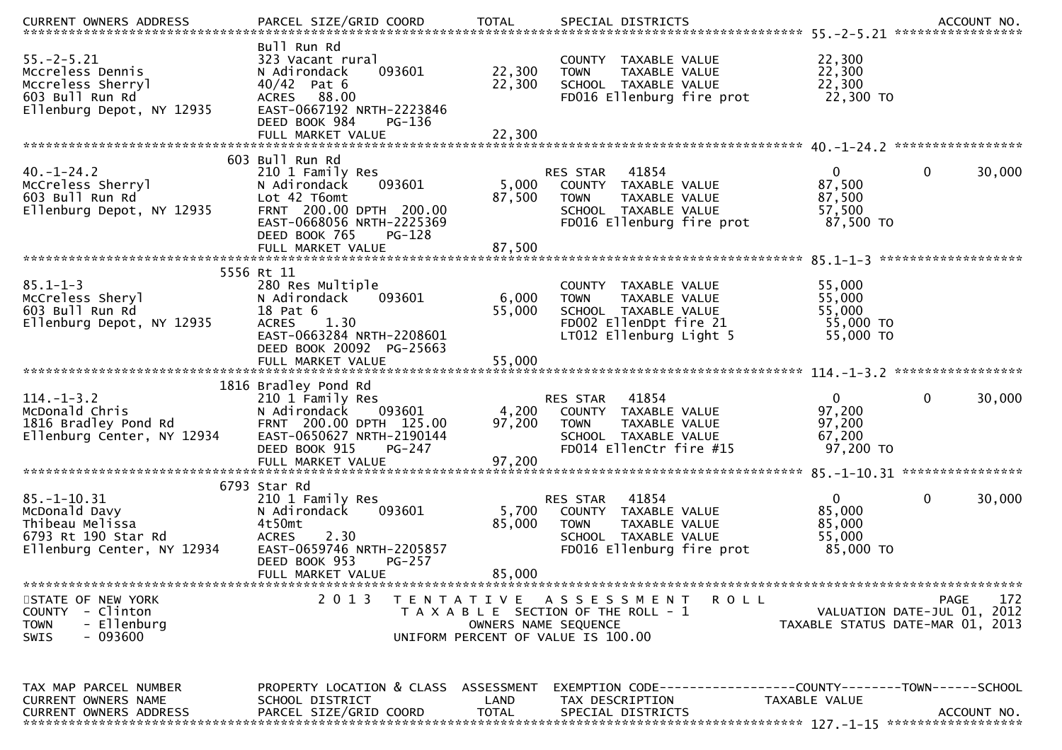| $55. -2 - 5.21$<br>Mccreless Dennis<br>Mccreless Sherryl<br>603 Bull Run Rd<br>Ellenburg Depot, NY 12935   | Bull Run Rd<br>323 Vacant rural<br>093601<br>N Adirondack<br>$40/42$ Pat 6<br>ACRES 88.00<br>EAST-0667192 NRTH-2223846<br>DEED BOOK 984<br>PG-136     | 22,300<br>22,300     | COUNTY TAXABLE VALUE<br>TAXABLE VALUE<br><b>TOWN</b><br>SCHOOL TAXABLE VALUE<br>FD016 Ellenburg fire prot                                 | 22,300<br>22,300<br>22,300<br>22,300 TO                 |                                                                                          |
|------------------------------------------------------------------------------------------------------------|-------------------------------------------------------------------------------------------------------------------------------------------------------|----------------------|-------------------------------------------------------------------------------------------------------------------------------------------|---------------------------------------------------------|------------------------------------------------------------------------------------------|
|                                                                                                            | 603 Bull Run Rd                                                                                                                                       |                      |                                                                                                                                           |                                                         |                                                                                          |
| $40. - 1 - 24.2$<br>McCreless Sherryl<br>603 Bull Run Rd<br>Ellenburg Depot, NY 12935                      | 210 1 Family Res<br>N Adirondack<br>093601<br>Lot 42 T6omt<br>FRNT 200.00 DPTH 200.00<br>EAST-0668056 NRTH-2225369<br>DEED BOOK 765<br>PG-128         | 5,000<br>87,500      | RES STAR<br>41854<br>COUNTY TAXABLE VALUE<br><b>TOWN</b><br>TAXABLE VALUE<br>SCHOOL TAXABLE VALUE<br>FD016 Ellenburg fire prot            | $\Omega$<br>87,500<br>87,500<br>57,500<br>87,500 TO     | 0<br>30,000                                                                              |
|                                                                                                            |                                                                                                                                                       |                      |                                                                                                                                           |                                                         | *******************                                                                      |
| $85.1 - 1 - 3$<br>McCreless Sheryl<br>603 Bull Run Rd<br>Ellenburg Depot, NY 12935                         | 5556 Rt 11<br>280 Res Multiple<br>N Adirondack<br>093601<br>18 Pat 6<br><b>ACRES</b><br>1.30<br>EAST-0663284 NRTH-2208601<br>DEED BOOK 20092 PG-25663 | 6,000<br>55,000      | COUNTY TAXABLE VALUE<br>TAXABLE VALUE<br><b>TOWN</b><br>SCHOOL TAXABLE VALUE<br>FD002 EllenDpt fire 21<br>LT012 Ellenburg Light 5         | 55,000<br>55,000<br>55,000<br>55,000 TO<br>55,000 TO    |                                                                                          |
|                                                                                                            |                                                                                                                                                       |                      |                                                                                                                                           |                                                         |                                                                                          |
| $114. - 1 - 3.2$<br>McDonald Chris<br>1816 Bradley Pond Rd<br>Ellenburg Center, NY 12934                   | 1816 Bradley Pond Rd<br>210 1 Family Res<br>N Adirondack<br>093601<br>FRNT 200.00 DPTH 125.00<br>EAST-0650627 NRTH-2190144<br>DEED BOOK 915<br>PG-247 | 4,200<br>97,200      | 41854<br>RES STAR<br>COUNTY TAXABLE VALUE<br><b>TOWN</b><br>TAXABLE VALUE<br>SCHOOL TAXABLE VALUE<br>FD014 EllenCtr fire #15              | $\mathbf{0}$<br>97,200<br>97,200<br>67,200<br>97,200 TO | $\mathbf{0}$<br>30,000                                                                   |
|                                                                                                            | 6793 Star Rd                                                                                                                                          |                      |                                                                                                                                           |                                                         |                                                                                          |
| $85. - 1 - 10.31$<br>McDonald Davy<br>Thibeau Melissa<br>6793 Rt 190 Star Rd<br>Ellenburg Center, NY 12934 | 210 1 Family Res<br>N Adirondack<br>093601<br>4t50mt<br>2.30<br><b>ACRES</b><br>EAST-0659746 NRTH-2205857<br>DEED BOOK 953<br>PG-257                  | 5,700<br>85,000      | 41854<br>RES STAR<br>COUNTY TAXABLE VALUE<br>TAXABLE VALUE<br><b>TOWN</b><br>SCHOOL TAXABLE VALUE<br>FD016 Ellenburg fire prot            | $\Omega$<br>85,000<br>85,000<br>55,000<br>85,000 TO     | 0<br>30,000                                                                              |
|                                                                                                            | FULL MARKET VALUE                                                                                                                                     | 85,000               |                                                                                                                                           |                                                         |                                                                                          |
| STATE OF NEW YORK<br>COUNTY - Clinton<br>- Ellenburg<br><b>TOWN</b><br>- 093600<br>SWIS                    | 2 0 1 3                                                                                                                                               | T E N T A T I V E    | A S S E S S M E N T<br><b>ROLL</b><br>T A X A B L E SECTION OF THE ROLL - 1<br>OWNERS NAME SEQUENCE<br>UNIFORM PERCENT OF VALUE IS 100.00 |                                                         | 172<br><b>PAGE</b><br>2012<br>VALUATION DATE-JUL 01,<br>TAXABLE STATUS DATE-MAR 01, 2013 |
| TAX MAP PARCEL NUMBER<br>CURRENT OWNERS NAME<br><b>CURRENT OWNERS ADDRESS</b>                              | PROPERTY LOCATION & CLASS ASSESSMENT<br>SCHOOL DISTRICT<br>PARCEL SIZE/GRID COORD                                                                     | LAND<br><b>TOTAL</b> | EXEMPTION CODE-----------------COUNTY-------TOWN------SCHOOL<br>TAX DESCRIPTION<br>SPECIAL DISTRICTS                                      | TAXABLE VALUE                                           | ACCOUNT NO.                                                                              |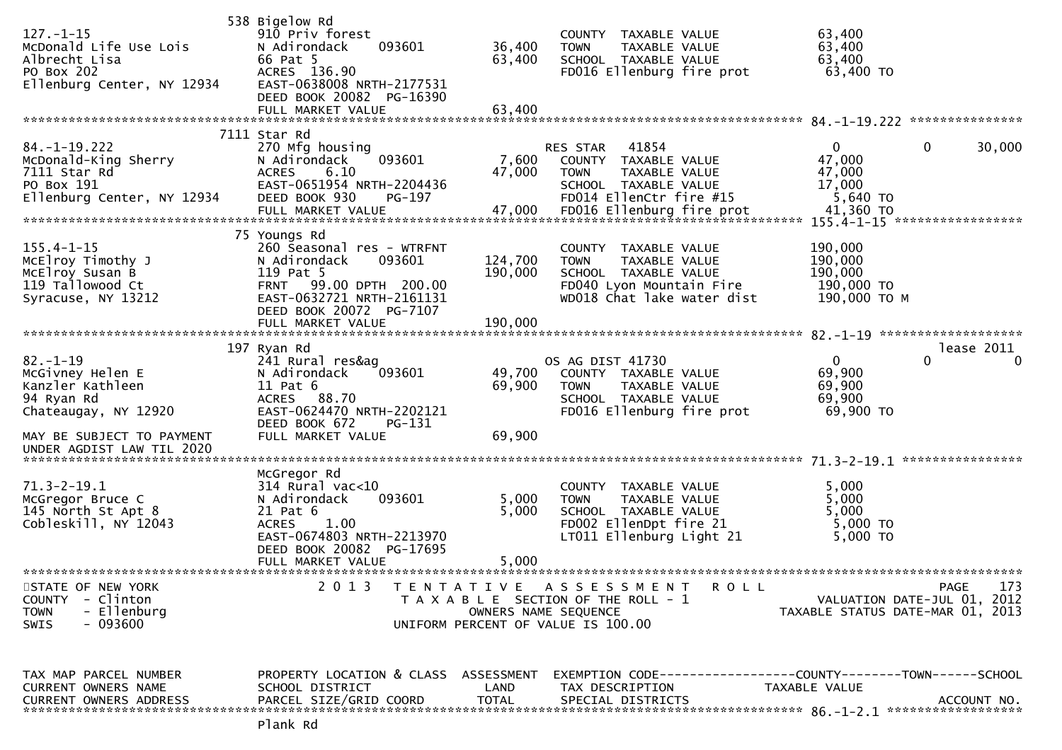| $127. - 1 - 15$<br>McDonald Life Use Lois<br>Albrecht Lisa<br>PO Box 202<br>Ellenburg Center, NY 12934                                                 | 538 Bigelow Rd<br>910 Priv forest<br>N Adirondack<br>093601<br>66 Pat 5<br>ACRES 136.90<br>EAST-0638008 NRTH-2177531<br>DEED BOOK 20082 PG-16390<br>FULL MARKET VALUE                   | 36,400<br>63,400<br>63,400    | COUNTY TAXABLE VALUE<br><b>TOWN</b><br>TAXABLE VALUE<br>SCHOOL TAXABLE VALUE<br>FD016 Ellenburg fire prot                              | 63,400<br>63,400<br>63,400<br>63,400 TO                                                      |          |
|--------------------------------------------------------------------------------------------------------------------------------------------------------|-----------------------------------------------------------------------------------------------------------------------------------------------------------------------------------------|-------------------------------|----------------------------------------------------------------------------------------------------------------------------------------|----------------------------------------------------------------------------------------------|----------|
| $84. - 1 - 19.222$<br>McDonald-King Sherry<br>7111 Star Rd<br>PO Box 191<br>Ellenburg Center, NY 12934                                                 | 7111 Star Rd<br>270 Mfg housing<br>093601<br>N Adirondack<br>6.10<br><b>ACRES</b><br>EAST-0651954 NRTH-2204436<br>DEED BOOK 930<br>PG-197                                               | 7,600<br>47,000               | 41854<br>RES STAR<br>COUNTY TAXABLE VALUE<br>TAXABLE VALUE<br>TOWN<br>SCHOOL TAXABLE VALUE<br>FD014 EllenCtr fire #15                  | 30,000<br>$\mathbf{0}$<br>0<br>47,000<br>47,000<br>17,000<br>5,640 TO                        |          |
| $155.4 - 1 - 15$<br>McElroy Timothy J<br>McElroy Susan B<br>119 Tallowood Ct<br>Syracuse, NY 13212                                                     | 75 Youngs Rd<br>260 Seasonal res - WTRFNT<br>N Adirondack<br>093601<br>119 Pat 5<br>FRNT 99.00 DPTH 200.00<br>EAST-0632721 NRTH-2161131<br>DEED BOOK 20072 PG-7107<br>FULL MARKET VALUE | 124,700<br>190,000<br>190,000 | COUNTY TAXABLE VALUE<br>TAXABLE VALUE<br><b>TOWN</b><br>SCHOOL TAXABLE VALUE<br>FD040 Lyon Mountain Fire<br>WD018 Chat lake water dist | 190,000<br>190,000<br>190,000<br>190,000 TO<br>190,000 ТО М                                  |          |
|                                                                                                                                                        | 197 Ryan Rd                                                                                                                                                                             |                               |                                                                                                                                        | lease 2011                                                                                   |          |
| $82. - 1 - 19$<br>McGivney Helen E<br>Kanzler Kathleen<br>94 Ryan Rd<br>Chateaugay, NY 12920<br>MAY BE SUBJECT TO PAYMENT<br>UNDER AGDIST LAW TIL 2020 | 241 Rural res&ag<br>093601<br>N Adirondack<br>$11$ Pat $6$<br>ACRES 88.70<br>EAST-0624470 NRTH-2202121<br>DEED BOOK 672<br>PG-131<br>FULL MARKET VALUE                                  | 49,700<br>69,900<br>69,900    | OS AG DIST 41730<br>COUNTY TAXABLE VALUE<br>TAXABLE VALUE<br><b>TOWN</b><br>SCHOOL TAXABLE VALUE<br>FD016 Ellenburg fire prot          | $\mathbf{0}$<br>0<br>69,900<br>69,900<br>69,900<br>69,900 TO                                 | $\Omega$ |
| $71.3 - 2 - 19.1$<br>McGregor Bruce C<br>145 North St Apt 8<br>Cobleskill, NY 12043                                                                    | McGregor Rd<br>$314$ Rural vac<10<br>N Adirondack<br>093601<br>21 Pat 6<br>1.00<br><b>ACRES</b><br>EAST-0674803 NRTH-2213970<br>DEED BOOK 20082 PG-17695<br>FULL MARKET VALUE           | 5,000<br>5,000<br>5,000       | COUNTY TAXABLE VALUE<br>TAXABLE VALUE<br><b>TOWN</b><br>SCHOOL TAXABLE VALUE<br>FD002 EllenDpt fire 21<br>LT011 Ellenburg Light 21     | 5,000<br>5,000<br>5,000<br>5,000 TO<br>5,000 TO                                              |          |
| STATE OF NEW YORK<br>- Clinton<br><b>COUNTY</b><br>- Ellenburg<br><b>TOWN</b><br>- 093600<br><b>SWIS</b>                                               | 2013                                                                                                                                                                                    | OWNERS NAME SEQUENCE          | TENTATIVE ASSESSMENT<br>ROLL<br>T A X A B L E SECTION OF THE ROLL - 1<br>UNIFORM PERCENT OF VALUE IS 100.00                            | PAGE<br>VALUATION DATE-JUL 01, 2012<br>TAXABLE STATUS DATE-MAR 01, 2013                      | 173      |
| TAX MAP PARCEL NUMBER<br><b>CURRENT OWNERS NAME</b><br><b>CURRENT OWNERS ADDRESS</b>                                                                   | PROPERTY LOCATION & CLASS ASSESSMENT<br>SCHOOL DISTRICT<br>PARCEL SIZE/GRID COORD                                                                                                       | LAND<br><b>TOTAL</b>          | TAX DESCRIPTION<br>SPECIAL DISTRICTS                                                                                                   | EXEMPTION CODE-----------------COUNTY-------TOWN------SCHOOL<br>TAXABLE VALUE<br>ACCOUNT NO. |          |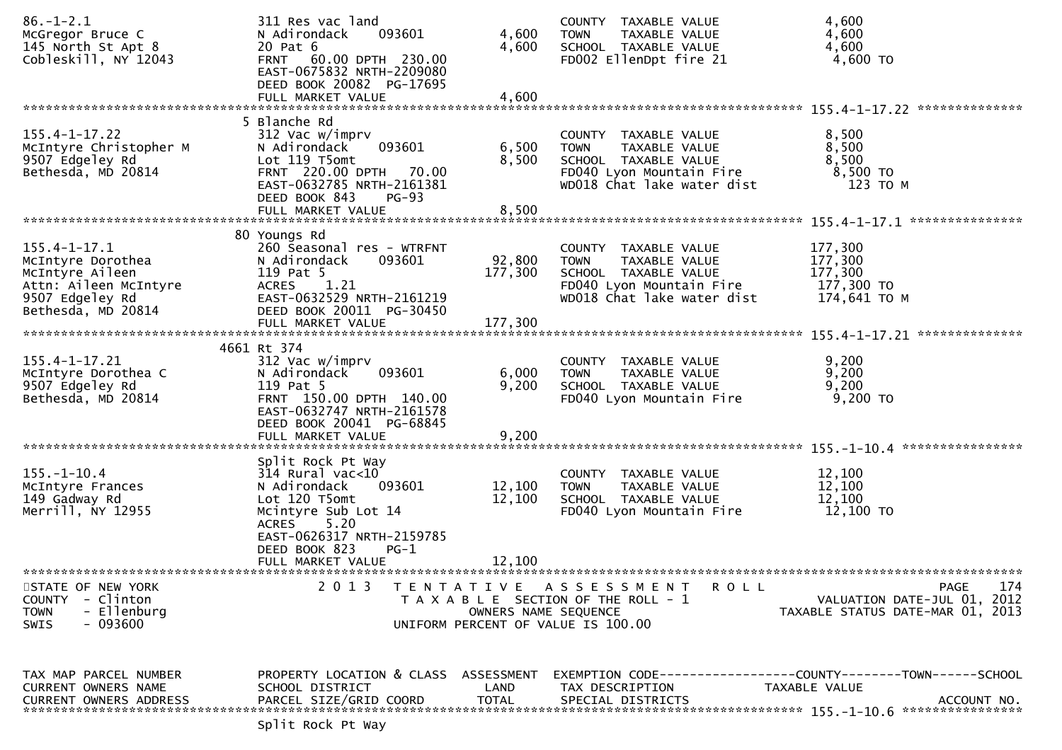| $86. - 1 - 2.1$<br>McGregor Bruce C<br>145 North St Apt 8<br>Cobleskill, NY 12043                                            | 311 Res vac land<br>093601<br>N Adirondack<br>20 Pat 6<br>FRNT 60.00 DPTH 230.00<br>EAST-0675832 NRTH-2209080<br>DEED BOOK 20082 PG-17695<br>FULL MARKET VALUE                                               | 4,600<br>4,600<br>4,600      | COUNTY TAXABLE VALUE<br><b>TOWN</b><br>TAXABLE VALUE<br>SCHOOL TAXABLE VALUE<br>FD002 EllenDpt fire 21                                 | 4,600<br>4,600<br>4,600<br>4,600 TO                             |
|------------------------------------------------------------------------------------------------------------------------------|--------------------------------------------------------------------------------------------------------------------------------------------------------------------------------------------------------------|------------------------------|----------------------------------------------------------------------------------------------------------------------------------------|-----------------------------------------------------------------|
|                                                                                                                              |                                                                                                                                                                                                              |                              |                                                                                                                                        | **************                                                  |
| $155.4 - 1 - 17.22$<br>McIntyre Christopher M<br>9507 Edgeley Rd<br>Bethesda, MD 20814                                       | 5 Blanche Rd<br>312 Vac w/imprv<br>093601<br>N Adirondack<br>Lot 119 T5omt<br>FRNT 220.00 DPTH 70.00<br>EAST-0632785 NRTH-2161381<br>DEED BOOK 843<br><b>PG-93</b><br>FULL MARKET VALUE                      | 6,500<br>8,500<br>8,500      | COUNTY TAXABLE VALUE<br><b>TOWN</b><br>TAXABLE VALUE<br>SCHOOL TAXABLE VALUE<br>FD040 Lyon Mountain Fire<br>WD018 Chat lake water dist | 8,500<br>8,500<br>8,500<br>$8,500$ TO<br>123 TO M               |
|                                                                                                                              |                                                                                                                                                                                                              |                              |                                                                                                                                        |                                                                 |
| $155.4 - 1 - 17.1$<br>McIntyre Dorothea<br>McIntyre Aileen<br>Attn: Aileen McIntyre<br>9507 Edgeley Rd<br>Bethesda, MD 20814 | 80 Youngs Rd<br>260 Seasonal res - WTRFNT<br>093601<br>N Adirondack<br>119 Pat 5<br>ACRES 1.21<br>EAST-0632529 NRTH-2161219<br>DEED BOOK 20011 PG-30450<br>FULL MARKET VALUE                                 | 92,800<br>177,300<br>177,300 | COUNTY TAXABLE VALUE<br><b>TOWN</b><br>TAXABLE VALUE<br>SCHOOL TAXABLE VALUE<br>FD040 Lyon Mountain Fire<br>WD018 Chat lake water dist | 177,300<br>177,300<br>177,300<br>177,300 TO<br>174,641 ТО М     |
|                                                                                                                              | 4661 Rt 374                                                                                                                                                                                                  |                              |                                                                                                                                        |                                                                 |
| $155.4 - 1 - 17.21$<br>McIntyre Dorothea C<br>9507 Edgeley Rd<br>Bethesda, MD 20814                                          | 312 Vac w/imprv<br>093601<br>N Adirondack<br>119 Pat 5<br>FRNT 150.00 DPTH 140.00<br>EAST-0632747 NRTH-2161578<br>DEED BOOK 20041 PG-68845<br>FULL MARKET VALUE                                              | 6,000<br>9,200<br>9,200      | COUNTY TAXABLE VALUE<br>TAXABLE VALUE<br><b>TOWN</b><br>SCHOOL TAXABLE VALUE<br>FD040 Lyon Mountain Fire                               | 9,200<br>9,200<br>9,200<br>$9,200$ TO                           |
|                                                                                                                              |                                                                                                                                                                                                              |                              |                                                                                                                                        |                                                                 |
| $155. - 1 - 10.4$<br>McIntyre Frances<br>149 Gadway Rd<br>Merrill, NY 12955                                                  | Split Rock Pt Way<br>$314$ Rural vac<10<br>093601<br>N Adirondack<br>Lot 120 T5omt<br>Mcintyre Sub Lot 14<br>5.20<br><b>ACRES</b><br>EAST-0626317 NRTH-2159785<br>DEED BOOK 823<br>PG-1<br>FULL MARKET VALUE | 12,100<br>12,100<br>12,100   | COUNTY TAXABLE VALUE<br><b>TOWN</b><br>TAXABLE VALUE<br>SCHOOL TAXABLE VALUE<br>FD040 Lyon Mountain Fire                               | 12,100<br>12,100<br>12,100<br>12,100 TO                         |
| STATE OF NEW YORK                                                                                                            | 2 0 1 3                                                                                                                                                                                                      |                              | TENTATIVE ASSESSMENT<br><b>ROLL</b>                                                                                                    | PAGE<br>174                                                     |
| COUNTY - Clinton<br>- Ellenburg<br><b>TOWN</b><br>- 093600<br><b>SWIS</b>                                                    |                                                                                                                                                                                                              | OWNERS NAME SEQUENCE         | T A X A B L E SECTION OF THE ROLL - 1<br>UNIFORM PERCENT OF VALUE IS 100.00                                                            | VALUATION DATE-JUL 01, 2012<br>TAXABLE STATUS DATE-MAR 01, 2013 |
| TAX MAP PARCEL NUMBER<br>CURRENT OWNERS NAME<br><b>CURRENT OWNERS ADDRESS</b>                                                | PROPERTY LOCATION & CLASS ASSESSMENT<br>SCHOOL DISTRICT<br>PARCEL SIZE/GRID COORD                                                                                                                            | LAND<br><b>TOTAL</b>         | TAX DESCRIPTION<br>SPECIAL DISTRICTS                                                                                                   | TAXABLE VALUE<br>ACCOUNT NO.                                    |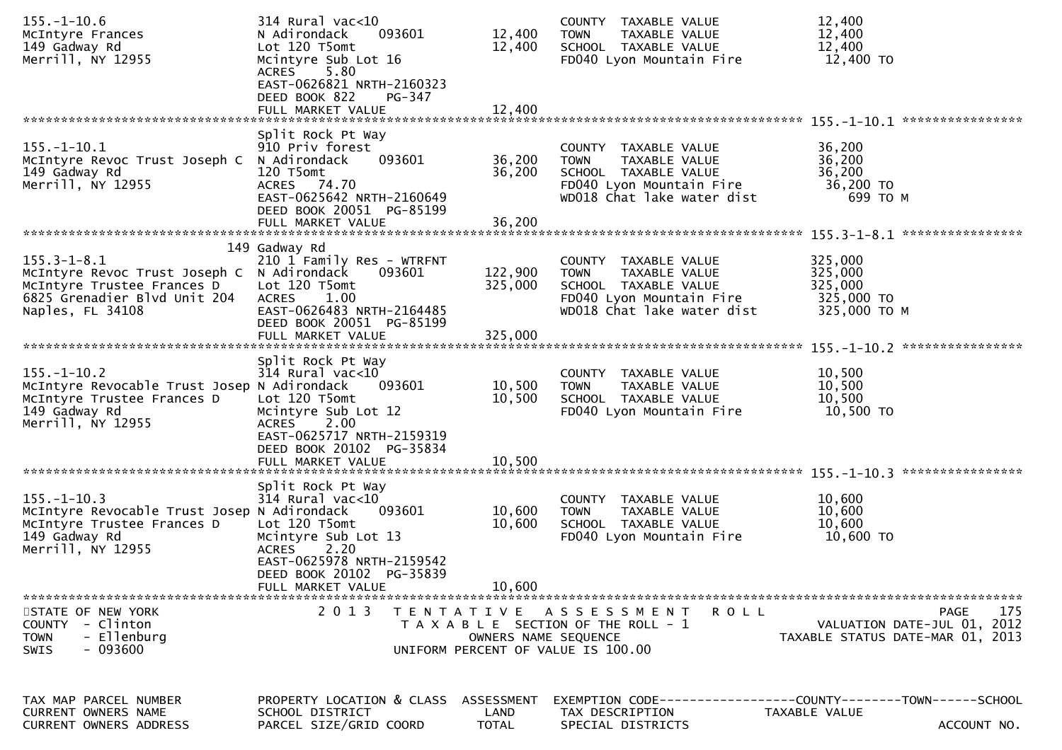| $155. - 1 - 10.6$<br>McIntyre Frances<br>149 Gadway Rd<br>Merrill, NY 12955                                                                       | $314$ Rural vac<10<br>093601<br>N Adirondack<br>Lot 120 T5omt<br>Mcintyre Sub Lot 16<br>5.80<br>ACRES<br>EAST-0626821 NRTH-2160323<br>DEED BOOK 822<br>PG-347<br>FULL MARKET VALUE              | 12,400<br>12,400<br>12,400  | COUNTY TAXABLE VALUE<br><b>TOWN</b><br>TAXABLE VALUE<br>SCHOOL TAXABLE VALUE<br>FD040 Lyon Mountain Fire                               | 12,400<br>12,400<br>12,400<br>12,400 TO                                                       |
|---------------------------------------------------------------------------------------------------------------------------------------------------|-------------------------------------------------------------------------------------------------------------------------------------------------------------------------------------------------|-----------------------------|----------------------------------------------------------------------------------------------------------------------------------------|-----------------------------------------------------------------------------------------------|
|                                                                                                                                                   |                                                                                                                                                                                                 |                             |                                                                                                                                        |                                                                                               |
| $155. - 1 - 10.1$<br>McIntyre Revoc Trust Joseph C N Adirondack<br>149 Gadway Rd<br>Merrill, NY 12955                                             | Split Rock Pt Way<br>910 Priv forest<br>093601<br>120 T5omt<br>ACRES 74.70<br>EAST-0625642 NRTH-2160649<br>DEED BOOK 20051 PG-85199<br>FULL MARKET VALUE                                        | 36,200<br>36,200<br>36,200  | COUNTY TAXABLE VALUE<br><b>TOWN</b><br>TAXABLE VALUE<br>SCHOOL TAXABLE VALUE<br>FD040 Lyon Mountain Fire<br>WD018 Chat lake water dist | 36,200<br>36,200<br>36,200<br>36,200 TO<br>699 ТО М                                           |
|                                                                                                                                                   | 149 Gadway Rd                                                                                                                                                                                   |                             |                                                                                                                                        |                                                                                               |
| $155.3 - 1 - 8.1$<br>McIntyre Revoc Trust Joseph C N Adirondack<br>McIntyre Trustee Frances D<br>6825 Grenadier Blvd Unit 204<br>Naples, FL 34108 | 210 1 Family Res - WTRFNT<br>093601<br>Lot 120 T5omt<br><b>ACRES</b><br>1.00<br>EAST-0626483 NRTH-2164485<br>DEED BOOK 20051 PG-85199                                                           | 122,900<br>325,000          | COUNTY TAXABLE VALUE<br><b>TOWN</b><br>TAXABLE VALUE<br>SCHOOL TAXABLE VALUE<br>FD040 Lyon Mountain Fire<br>WD018 Chat lake water dist | 325,000<br>325,000<br>325,000<br>325,000 TO<br>325,000 TO M                                   |
|                                                                                                                                                   | FULL MARKET VALUE                                                                                                                                                                               | 325,000                     |                                                                                                                                        |                                                                                               |
| $155. - 1 - 10.2$<br>McIntyre Revocable Trust Josep N Adirondack<br>McIntyre Trustee Frances D<br>149 Gadway Rd<br>Merrill, NY 12955              | Split Rock Pt Way<br>$314$ Rural vac<10<br>093601<br>Lot 120 T5omt<br>Mcintyre Sub Lot 12<br>2.00<br><b>ACRES</b><br>EAST-0625717 NRTH-2159319<br>DEED BOOK 20102 PG-35834<br>FULL MARKET VALUE | 10,500<br>10,500<br>10,500  | COUNTY TAXABLE VALUE<br>TAXABLE VALUE<br><b>TOWN</b><br>SCHOOL TAXABLE VALUE<br>FD040 Lyon Mountain Fire                               | 10,500<br>10,500<br>10,500<br>10,500 TO                                                       |
|                                                                                                                                                   | Split Rock Pt Way                                                                                                                                                                               |                             |                                                                                                                                        |                                                                                               |
| $155. - 1 - 10.3$<br>McIntyre Revocable Trust Josep N Adirondack<br>McIntyre Trustee Frances D<br>149 Gadway Rd<br>Merrill, NY 12955              | $314$ Rural vac<10<br>093601<br>Lot 120 T5omt<br>Mcintyre Sub Lot 13<br><b>ACRES</b><br>2.20<br>EAST-0625978 NRTH-2159542<br>DEED BOOK 20102 PG-35839                                           | 10,600<br>10,600            | COUNTY TAXABLE VALUE<br><b>TOWN</b><br>TAXABLE VALUE<br>SCHOOL TAXABLE VALUE<br>FD040 Lyon Mountain Fire                               | 10,600<br>10,600<br>10,600<br>10,600 TO                                                       |
|                                                                                                                                                   | FULL MARKET VALUE                                                                                                                                                                               | 10,600                      |                                                                                                                                        |                                                                                               |
| STATE OF NEW YORK<br>COUNTY - Clinton<br><b>TOWN</b><br>- Ellenburg<br>$-093600$<br>SWIS                                                          | 2 0 1 3                                                                                                                                                                                         | OWNERS NAME SEQUENCE        | TENTATIVE ASSESSMENT<br>ROLL<br>T A X A B L E SECTION OF THE ROLL - 1<br>UNIFORM PERCENT OF VALUE IS 100.00                            | 175<br><b>PAGE</b><br>VALUATION DATE-JUL 01, 2012<br>TAXABLE STATUS DATE-MAR 01, 2013         |
| TAX MAP PARCEL NUMBER<br>CURRENT OWNERS NAME<br>CURRENT OWNERS ADDRESS                                                                            | PROPERTY LOCATION & CLASS<br>SCHOOL DISTRICT<br>PARCEL SIZE/GRID COORD                                                                                                                          | ASSESSMENT<br>LAND<br>TOTAL | TAX DESCRIPTION<br>SPECIAL DISTRICTS                                                                                                   | EXEMPTION CODE-----------------COUNTY--------TOWN------SCHOOL<br>TAXABLE VALUE<br>ACCOUNT NO. |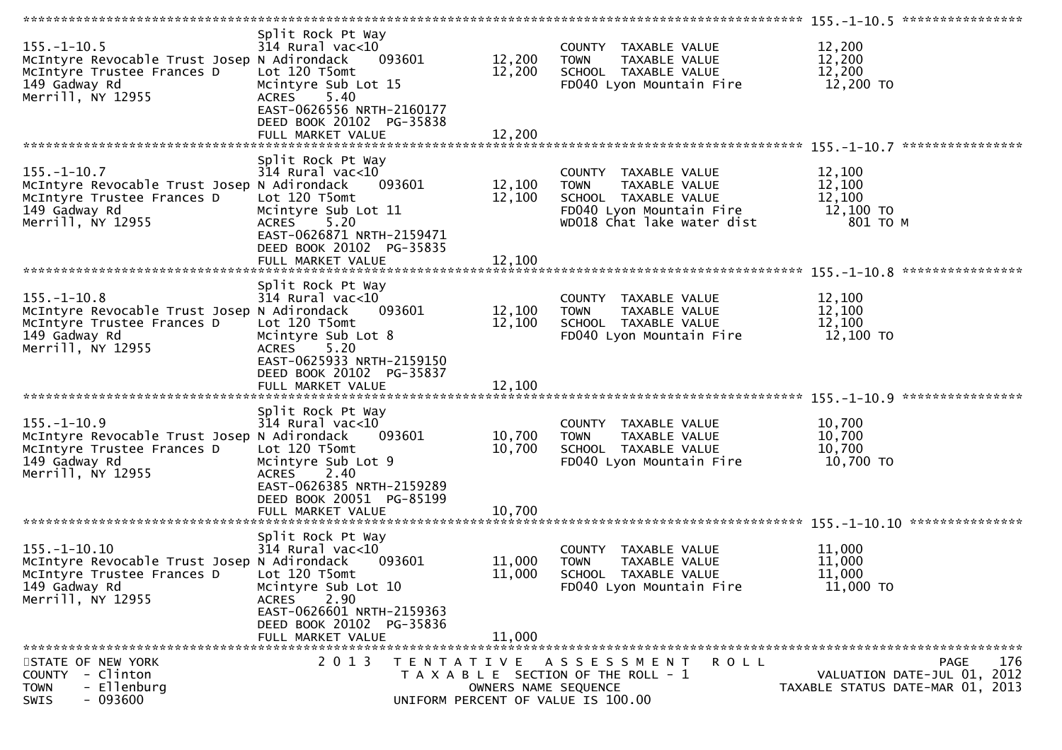| $155. - 1 - 10.5$<br>McIntyre Revocable Trust Josep N Adirondack<br>McIntyre Trustee Frances D<br>149 Gadway Rd<br>Merrill, NY 12955 | Split Rock Pt Way<br>314 Rural vac<10<br>093601<br>Lot 120 T5omt<br>Mcintyre Sub Lot 15<br>5.40<br><b>ACRES</b><br>EAST-0626556 NRTH-2160177<br>DEED BOOK 20102 PG-35838<br>FULL MARKET VALUE      | 12,200<br>12,200<br>12,200 | COUNTY TAXABLE VALUE<br><b>TOWN</b><br>TAXABLE VALUE<br>SCHOOL TAXABLE VALUE<br>FD040 Lyon Mountain Fire                               | 12,200<br>12,200<br>12,200<br>12,200 TO                                        | ****************                    |
|--------------------------------------------------------------------------------------------------------------------------------------|----------------------------------------------------------------------------------------------------------------------------------------------------------------------------------------------------|----------------------------|----------------------------------------------------------------------------------------------------------------------------------------|--------------------------------------------------------------------------------|-------------------------------------|
| $155. - 1 - 10.7$<br>McIntyre Revocable Trust Josep N Adirondack<br>McIntyre Trustee Frances D<br>149 Gadway Rd<br>Merrill, NY 12955 | Split Rock Pt Way<br>$314$ Rural vac< $10$<br>093601<br>Lot 120 T5omt<br>Mcintyre Sub Lot 11<br><b>ACRES</b><br>5.20                                                                               | 12,100<br>12,100           | COUNTY TAXABLE VALUE<br><b>TOWN</b><br>TAXABLE VALUE<br>SCHOOL TAXABLE VALUE<br>FD040 Lyon Mountain Fire<br>WD018 Chat lake water dist | 12,100<br>12,100<br>12,100<br>12,100 TO<br>801 TO M                            |                                     |
|                                                                                                                                      | EAST-0626871 NRTH-2159471<br>DEED BOOK 20102 PG-35835<br>FULL MARKET VALUE                                                                                                                         | 12,100                     |                                                                                                                                        |                                                                                |                                     |
| $155. - 1 - 10.8$<br>McIntyre Revocable Trust Josep N Adirondack<br>McIntyre Trustee Frances D<br>149 Gadway Rd<br>Merrill, NY 12955 | Split Rock Pt Way<br>$314$ Rural vac<10<br>093601<br>Lot 120 T5omt<br>Mcintyre Sub Lot 8<br>5.20<br><b>ACRES</b><br>EAST-0625933 NRTH-2159150<br>DEED BOOK 20102 PG-35837<br>FULL MARKET VALUE     | 12,100<br>12,100<br>12,100 | COUNTY TAXABLE VALUE<br>TAXABLE VALUE<br>TOWN<br>SCHOOL TAXABLE VALUE<br>FD040 Lyon Mountain Fire                                      | 12,100<br>12,100<br>12,100<br>12,100 TO                                        |                                     |
| $155. - 1 - 10.9$<br>McIntyre Revocable Trust Josep N Adirondack<br>McIntyre Trustee Frances D<br>149 Gadway Rd<br>Merrill, NY 12955 | Split Rock Pt Way<br>$314$ Rural vac< $10$<br>093601<br>Lot 120 T5omt<br>Mcintyre Sub Lot 9<br><b>ACRES</b><br>2.40<br>EAST-0626385 NRTH-2159289<br>DEED BOOK 20051 PG-85199<br>FULL MARKET VALUE  | 10,700<br>10,700<br>10,700 | COUNTY TAXABLE VALUE<br>TAXABLE VALUE<br><b>TOWN</b><br>SCHOOL TAXABLE VALUE<br>FD040 Lyon Mountain Fire                               | 10,700<br>10,700<br>10,700<br>10,700 TO                                        | ****************<br>*************** |
| 155.-1-10.10<br>McIntyre Revocable Trust Josep N Adirondack<br>McIntyre Trustee Frances D<br>149 Gadway Rd<br>Merrill, NY 12955      | Split Rock Pt Way<br>$314$ Rural vac< $10$<br>093601<br>Lot 120 T5omt<br>Mcintyre Sub Lot 10<br>2.90<br><b>ACRES</b><br>EAST-0626601 NRTH-2159363<br>DEED BOOK 20102 PG-35836<br>FULL MARKET VALUE | 11,000<br>11,000<br>11,000 | COUNTY TAXABLE VALUE<br><b>TOWN</b><br>TAXABLE VALUE<br>SCHOOL TAXABLE VALUE<br>FD040 Lyon Mountain Fire                               | 11,000<br>11,000<br>11,000<br>11,000 TO                                        |                                     |
| STATE OF NEW YORK<br>COUNTY - Clinton<br>- Ellenburg<br><b>TOWN</b><br>$-093600$<br>SWIS                                             | 2 0 1 3                                                                                                                                                                                            | OWNERS NAME SEQUENCE       | TENTATIVE ASSESSMENT<br><b>ROLL</b><br>T A X A B L E SECTION OF THE ROLL - 1<br>UNIFORM PERCENT OF VALUE IS 100.00                     | <b>PAGE</b><br>VALUATION DATE-JUL 01, 2012<br>TAXABLE STATUS DATE-MAR 01, 2013 | 176                                 |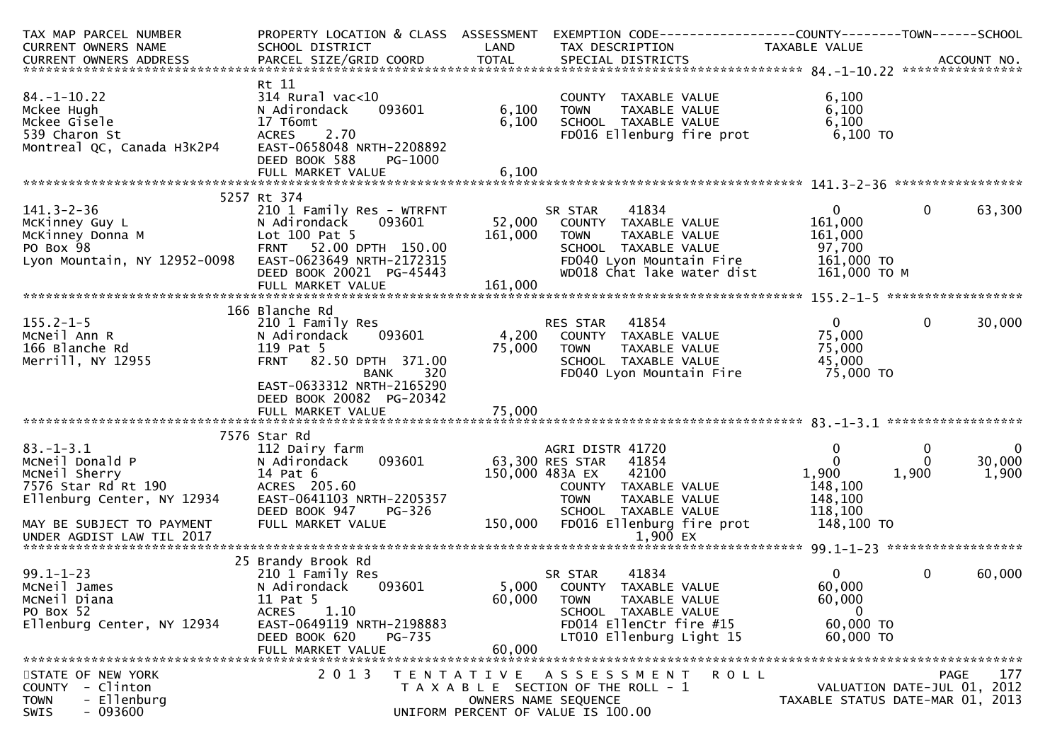| TAX MAP PARCEL NUMBER         | PROPERTY LOCATION & CLASS ASSESSMENT      |         | EXEMPTION CODE------------------COUNTY--------TOWN------SCHOOL |                   |                                  |
|-------------------------------|-------------------------------------------|---------|----------------------------------------------------------------|-------------------|----------------------------------|
| CURRENT OWNERS NAME           | SCHOOL DISTRICT                           | LAND    | TAX DESCRIPTION                                                | TAXABLE VALUE     |                                  |
|                               |                                           |         |                                                                |                   |                                  |
|                               |                                           |         |                                                                |                   |                                  |
|                               | Rt 11                                     |         |                                                                |                   |                                  |
| $84. - 1 - 10.22$             | $314$ Rural vac<10                        |         | COUNTY TAXABLE VALUE                                           | 6,100             |                                  |
| Mckee Hugh                    | 093601<br>N Adirondack                    | 6,100   | TAXABLE VALUE<br><b>TOWN</b>                                   | 6,100             |                                  |
| Mckee Gisele<br>539 Charon St | 17 T6omt<br>2.70                          | 6,100   | SCHOOL TAXABLE VALUE                                           | 6,100<br>6,100 TO |                                  |
| Montreal QC, Canada H3K2P4    | <b>ACRES</b><br>EAST-0658048 NRTH-2208892 |         | FD016 Ellenburg fire prot                                      |                   |                                  |
|                               | DEED BOOK 588<br>PG-1000                  |         |                                                                |                   |                                  |
|                               | FULL MARKET VALUE                         | 6,100   |                                                                |                   |                                  |
|                               |                                           |         |                                                                |                   |                                  |
|                               | 5257 Rt 374                               |         |                                                                |                   |                                  |
| $141.3 - 2 - 36$              | 210 1 Family Res - WTRFNT                 |         | 41834<br>SR STAR                                               | $\mathbf{0}$      | $\mathbf{0}$<br>63,300           |
| McKinney Guy L                | 093601<br>N Adirondack                    | 52,000  | COUNTY TAXABLE VALUE                                           | 161,000           |                                  |
| McKinney Donna M              | Lot 100 Pat 5                             | 161,000 | TAXABLE VALUE<br><b>TOWN</b>                                   | 161,000           |                                  |
| PO Box 98                     | FRNT 52.00 DPTH 150.00                    |         | SCHOOL TAXABLE VALUE                                           | 97,700            |                                  |
| Lyon Mountain, NY 12952-0098  | EAST-0623649 NRTH-2172315                 |         | FD040 Lyon Mountain Fire                                       | 161,000 TO        |                                  |
|                               | DEED BOOK 20021 PG-45443                  |         | WD018 Chat lake water dist                                     | 161,000 ТО М      |                                  |
|                               | FULL MARKET VALUE                         | 161,000 |                                                                |                   |                                  |
|                               |                                           |         |                                                                |                   |                                  |
|                               | 166 Blanche Rd                            |         |                                                                |                   |                                  |
| $155.2 - 1 - 5$               | 210 1 Family Res                          |         | RES STAR 41854                                                 | $0 \qquad \qquad$ | $\mathbf{0}$<br>30,000           |
| MCNeil Ann R                  | 093601<br>N Adirondack                    |         | 4,200 COUNTY TAXABLE VALUE                                     | 75,000            |                                  |
| 166 Blanche Rd                | 119 Pat 5                                 | 75,000  | <b>TOWN</b><br>TAXABLE VALUE                                   | 75,000            |                                  |
| Merrill, NY 12955             | FRNT 82.50 DPTH 371.00                    |         | SCHOOL TAXABLE VALUE                                           | 45,000            |                                  |
|                               | 320<br><b>BANK</b>                        |         | FD040 Lyon Mountain Fire                                       | 75,000 TO         |                                  |
|                               | EAST-0633312 NRTH-2165290                 |         |                                                                |                   |                                  |
|                               | DEED BOOK 20082 PG-20342                  |         |                                                                |                   |                                  |
|                               | FULL MARKET VALUE                         | 75,000  |                                                                |                   |                                  |
|                               |                                           |         |                                                                |                   |                                  |
| $83 - 1 - 3.1$                | 7576 Star Rd                              |         | AGRI DISTR 41720                                               |                   | $\mathbf{0}$                     |
| MCNeil Donald P               | 112 Dairy farm<br>093601<br>N Adirondack  |         | 63,300 RES STAR<br>41854                                       | 0<br>$\Omega$     | 0<br>30,000<br>0                 |
| McNeil Sherry                 | 14 Pat 6                                  |         | 150,000 483A EX<br>42100                                       | 1,900             | 1,900<br>1,900                   |
| 7576 Star Rd Rt 190           | ACRES 205.60                              |         | COUNTY TAXABLE VALUE                                           | 148,100           |                                  |
| Ellenburg Center, NY 12934    | EAST-0641103 NRTH-2205357                 |         | <b>TOWN</b><br>TAXABLE VALUE                                   | 148,100           |                                  |
|                               | DEED BOOK 947<br><b>PG-326</b>            |         | SCHOOL TAXABLE VALUE                                           | 118,100           |                                  |
| MAY BE SUBJECT TO PAYMENT     | FULL MARKET VALUE                         | 150,000 | FD016 Ellenburg fire prot                                      | 148,100 TO        |                                  |
|                               |                                           |         |                                                                |                   |                                  |
|                               |                                           |         |                                                                |                   |                                  |
|                               | 25 Brandy Brook Rd                        |         |                                                                |                   |                                  |
| $99.1 - 1 - 23$               | 210 1 Family Res                          |         | 41834<br>SR STAR                                               | 0                 | $\mathbf 0$<br>60,000            |
| McNeil James                  | N Adirondack<br>093601                    |         | 5,000 COUNTY TAXABLE VALUE                                     | 60,000            |                                  |
| McNeil Diana                  | 11 Pat 5                                  | 60,000  | <b>TOWN</b><br>TAXABLE VALUE                                   | 60,000            |                                  |
| PO Box 52                     | <b>ACRES</b><br>1.10                      |         | SCHOOL TAXABLE VALUE                                           | $\bf{0}$          |                                  |
| Ellenburg Center, NY 12934    | EAST-0649119 NRTH-2198883                 |         | FD014 EllenCtr fire #15                                        | 60,000 TO         |                                  |
|                               | DEED BOOK 620<br>PG-735                   |         | LT010 Ellenburg Light 15                                       | 60,000 TO         |                                  |
|                               | FULL MARKET VALUE                         | 60,000  |                                                                |                   |                                  |
|                               |                                           |         |                                                                |                   |                                  |
| STATE OF NEW YORK             | 2 0 1 3                                   |         | TENTATIVE ASSESSMENT<br>R O L L                                |                   | 177<br><b>PAGE</b>               |
| - Clinton<br><b>COUNTY</b>    |                                           |         | T A X A B L E SECTION OF THE ROLL - 1                          |                   | VALUATION DATE-JUL 01, 2012      |
| - Ellenburg<br><b>TOWN</b>    |                                           |         | OWNERS NAME SEQUENCE                                           |                   | TAXABLE STATUS DATE-MAR 01, 2013 |
| $-093600$<br><b>SWIS</b>      |                                           |         | UNIFORM PERCENT OF VALUE IS 100.00                             |                   |                                  |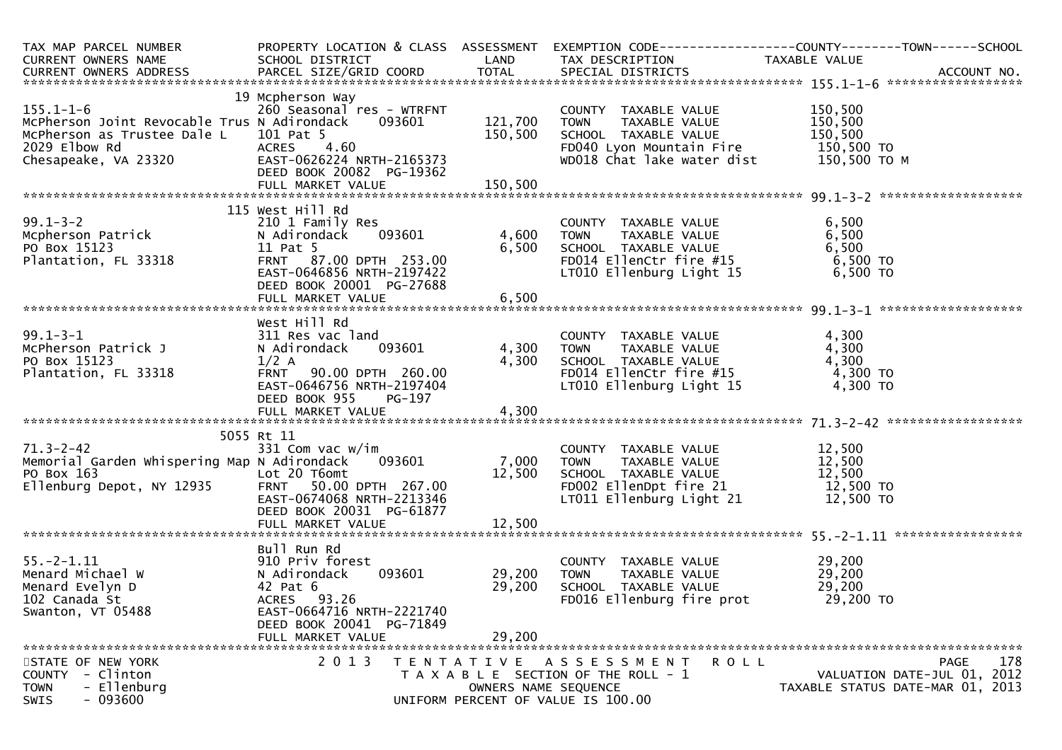| TAX MAP PARCEL NUMBER<br>CURRENT OWNERS NAME<br>CURRENT OWNERS ADDRESS BANCEL SIZE/GRID COORD TOTAL SPECIAL DISTRICTS ACCOUNT NO.<br>TOTAL SPECIAL DISTRICTS AND TOTAL SPECIAL DISTRICTS ACCOUNT NO. | PROPERTY LOCATION & CLASS ASSESSMENT                                                                                                                                          |                                   |                                                                                                                                                                                                                                          |                                                 |                                                                                       |
|------------------------------------------------------------------------------------------------------------------------------------------------------------------------------------------------------|-------------------------------------------------------------------------------------------------------------------------------------------------------------------------------|-----------------------------------|------------------------------------------------------------------------------------------------------------------------------------------------------------------------------------------------------------------------------------------|-------------------------------------------------|---------------------------------------------------------------------------------------|
|                                                                                                                                                                                                      |                                                                                                                                                                               |                                   |                                                                                                                                                                                                                                          |                                                 |                                                                                       |
| $155.1 - 1 - 6$<br>McPherson Joint Revocable Trus N Adirondack<br>McPherson as Trustee Dale L<br>2029 Elbow Rd<br>2029 Elbow Rd<br>Chesapeake, VA 23320                                              | 19 Mcpherson Way<br>260 Seasonal res - WTRFNT<br>093601<br>101 Pat 5<br>ACRES 4.60<br><br>EAST-0626224 NRTH-2165373<br>DEED BOOK 30083 --- 155373<br>DEED BOOK 20082 PG-19362 | 121,700<br>150,500                | COUNTY TAXABLE VALUE 150,500<br>TOWN TAXABLE VALUE 150,500<br>SCHOOL TAXABLE VALUE 150,500<br>TOWN<br>FD040 Lyon Mountain Fire 150,500 TO<br>WD018 Chat lake water dist 150,500 TO M                                                     |                                                 |                                                                                       |
|                                                                                                                                                                                                      |                                                                                                                                                                               |                                   |                                                                                                                                                                                                                                          |                                                 |                                                                                       |
| 99.1-3-2<br>Mcpherson Patrick<br>PO Box 15123<br>Plantation, FL 33318                                                                                                                                | 115 West Hill Rd<br>210 1 Family Res<br>093601<br>N Adirondack<br>11 Pat 5<br>FRNT 87.00 DPTH 253.00<br>EAST-0646856 NRTH-2197422<br>DEED BOOK 20001 PG-27688                 | 6,500                             | COUNTY TAXABLE VALUE<br>4,600 TOWN TAXABLE VALUE<br>SCHOOL TAXABLE VALUE<br>SCHOOL TAXABLE VALUE<br>FD014 EllenCtr fire #15 6,500 TO<br>LT010 Ellenburg Light 15 6,500 TO                                                                | 6,500<br>6,500                                  |                                                                                       |
|                                                                                                                                                                                                      |                                                                                                                                                                               |                                   |                                                                                                                                                                                                                                          |                                                 |                                                                                       |
| $99.1 - 3 - 1$<br>McPherson Patrick J<br>PO Box 15123<br>Planteti<br>Plantation, FL 33318                                                                                                            | West Hill Rd<br>311 Res vac land<br>093601<br>N Adirondack<br>$1/2$ A<br>FRNT 90.00 DPTH 260.00<br>EAST-0646756 NRTH-2197404<br>DEED BOOK 955<br><b>PG-197</b>                | 4,300                             | COUNTY TAXABLE VALUE<br>TOWN TAXABLE VALUE<br>SCHOOL TAXABLE VALUE<br>FDO14 EllenCtr fire #15<br>LTO10 Ellenburg Light 15<br>4,300 TOWN                                                                                                  | 4,300<br>4,300<br>4,300<br>4,300 TO<br>4,300 TO |                                                                                       |
|                                                                                                                                                                                                      |                                                                                                                                                                               |                                   |                                                                                                                                                                                                                                          |                                                 |                                                                                       |
| $71.3 - 2 - 42$<br>Memorial Garden Whispering Map N Adirondack<br>PO Box 163<br>Ellenburg Depot, NY 12935                                                                                            | 5055 Rt 11<br>331 Com vac w/im<br>Lot 20 T6omt<br>FRNT 50.00 DPTH 267.00<br>EAST-0674068 NRTH-2213346<br>DEED BOOK 20031 PG-61877<br>FULL MARKET VALUE                        | 12,500                            | m<br>093601 7,000 TOWN TAXABLE VALUE 12,500<br>TH 267.00 12,500 SCHOOL TAXABLE VALUE 12,500<br>TH 267.00 12,500 FD002 EllenDpt fire 21 12,500 TO<br>TH-2213346 LT011 Ellenburg Light 21 12,500 TO<br>DESCRIPTION LTO11 Ellenburg Light 2 |                                                 |                                                                                       |
|                                                                                                                                                                                                      |                                                                                                                                                                               |                                   |                                                                                                                                                                                                                                          |                                                 |                                                                                       |
| BUTTRUM RO<br>910 Priv fore<br>811 M Adirondack<br>82 Pat 6<br>ACRES 93.26<br>$55. - 2 - 1.11$<br>Menard Michael W<br>Menard Evelyn D<br>102 Canada St<br>Swanton, VT 05488                          | Bull Run Rd<br>910 Priv forest<br>ACRES 93.26<br>EAST-0664716 NRTH-2221740<br>DEED BOOK 20041 PG-71849<br>FULL MARKET VALUE                                                   | 093601 29,200<br>29,200<br>29,200 | COUNTY TAXABLE VALUE 29,200<br>TOWN TAXABLE VALUE 29,200<br>SCHOOL TAXABLE VALUE 29,200<br>FD016 Ellenburg fire prot                                                                                                                     | 29,200 TO                                       |                                                                                       |
|                                                                                                                                                                                                      |                                                                                                                                                                               |                                   |                                                                                                                                                                                                                                          |                                                 |                                                                                       |
| STATE OF NEW YORK<br>COUNTY - Clinton<br>- Ellenburg<br><b>TOWN</b><br>$-093600$<br><b>SWIS</b>                                                                                                      | 2 0 1 3                                                                                                                                                                       | OWNERS NAME SEQUENCE              | TENTATIVE ASSESSMENT<br>T A X A B L E SECTION OF THE ROLL - 1<br>UNIFORM PERCENT OF VALUE IS 100.00                                                                                                                                      | <b>ROLL</b>                                     | 178<br><b>PAGE</b><br>VALUATION DATE-JUL 01, 2012<br>TAXABLE STATUS DATE-MAR 01, 2013 |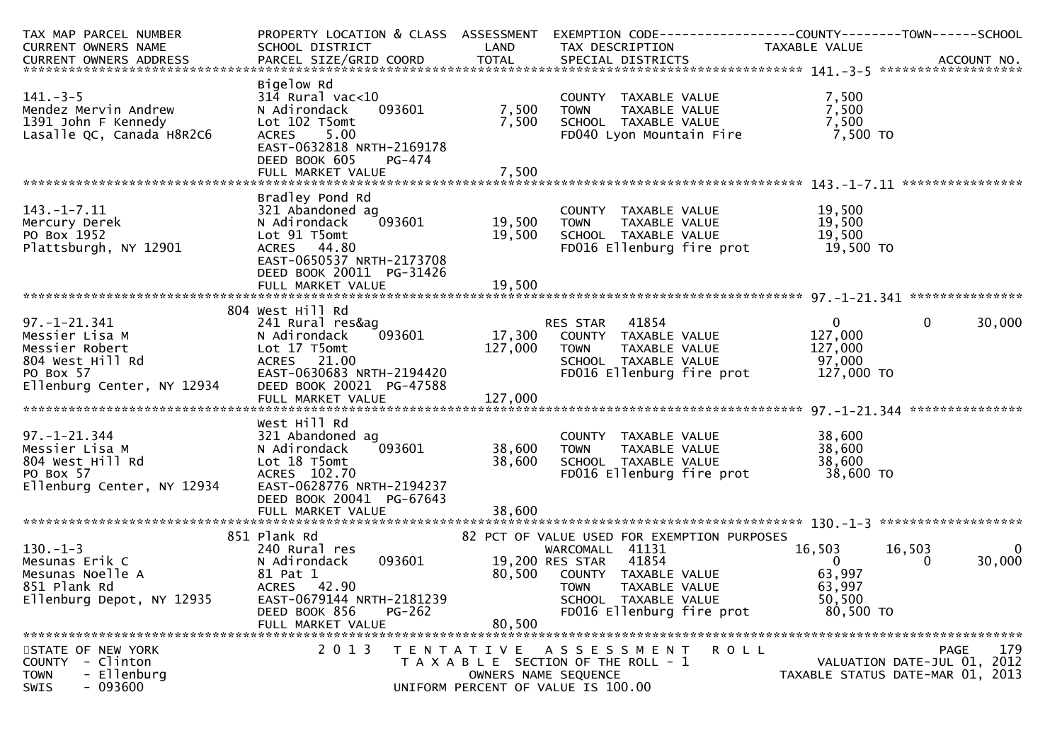| TAX MAP PARCEL NUMBER                                                                                                                                      | PROPERTY LOCATION & CLASS ASSESSMENT |                   | EXEMPTION CODE-----------------COUNTY-------TOWN------SCHOOL |                |                                  |
|------------------------------------------------------------------------------------------------------------------------------------------------------------|--------------------------------------|-------------------|--------------------------------------------------------------|----------------|----------------------------------|
| CURRENT OWNERS NAME                                                                                                                                        | SCHOOL DISTRICT                      | LAND              | TAX DESCRIPTION                                              | TAXABLE VALUE  |                                  |
| . CURRENT OWNERS ADDRESS PARCEL SIZE/GRID COORD TOTAL SPECIAL DISTRICTS ACCOUNT NO ACCOUNT NO ACCOUNT NO AND ARCEL SIZE/GRID COORD TOTAL SPECIAL DISTRICTS |                                      |                   |                                                              |                |                                  |
|                                                                                                                                                            |                                      |                   |                                                              |                |                                  |
|                                                                                                                                                            | Bigelow Rd                           |                   |                                                              |                |                                  |
| $141.-3-5$                                                                                                                                                 | $314$ Rural vac<10                   |                   | COUNTY TAXABLE VALUE                                         | 7,500          |                                  |
| Mendez Mervin Andrew                                                                                                                                       | 093601<br>N Adirondack               | 7,500             | TAXABLE VALUE<br><b>TOWN</b>                                 | 7,500          |                                  |
| 1391 John F Kennedy                                                                                                                                        | Lot 102 T5omt                        | 7,500             | SCHOOL TAXABLE VALUE                                         | 7,500          |                                  |
| Lasalle QC, Canada H8R2C6                                                                                                                                  | <b>ACRES</b><br>5.00                 |                   | FD040 Lyon Mountain Fire                                     | 7,500 TO       |                                  |
|                                                                                                                                                            | EAST-0632818 NRTH-2169178            |                   |                                                              |                |                                  |
|                                                                                                                                                            | DEED BOOK 605<br>PG-474              |                   |                                                              |                |                                  |
|                                                                                                                                                            | FULL MARKET VALUE                    | 7,500             |                                                              |                |                                  |
|                                                                                                                                                            |                                      |                   |                                                              |                | ****************                 |
|                                                                                                                                                            | Bradley Pond Rd                      |                   |                                                              |                |                                  |
| $143. - 1 - 7.11$                                                                                                                                          | 321 Abandoned ag                     |                   | COUNTY TAXABLE VALUE                                         | 19,500         |                                  |
| Mercury Derek                                                                                                                                              | 093601<br>N Adirondack               | 19,500            | TAXABLE VALUE<br><b>TOWN</b>                                 | 19,500         |                                  |
| PO Box 1952                                                                                                                                                | Lot 91 T5omt                         | 19,500            | SCHOOL TAXABLE VALUE                                         | 19,500         |                                  |
| Plattsburgh, NY 12901                                                                                                                                      | ACRES 44.80                          |                   | FD016 Ellenburg fire prot                                    | 19,500 TO      |                                  |
|                                                                                                                                                            | EAST-0650537 NRTH-2173708            |                   |                                                              |                |                                  |
|                                                                                                                                                            | DEED BOOK 20011 PG-31426             |                   |                                                              |                |                                  |
|                                                                                                                                                            | FULL MARKET VALUE                    | 19,500            |                                                              |                |                                  |
|                                                                                                                                                            |                                      |                   |                                                              |                |                                  |
|                                                                                                                                                            | 804 West Hill Rd                     |                   |                                                              |                |                                  |
| $97. - 1 - 21.341$                                                                                                                                         | 241 Rural res&ag                     |                   | RES STAR 41854                                               | $\mathbf{0}$   | 30,000<br>$\mathbf{0}$           |
| Messier Lisa M                                                                                                                                             | 093601<br>N Adirondack               | 17,300            | COUNTY TAXABLE VALUE                                         | 127,000        |                                  |
| Messier Robert                                                                                                                                             | Lot 17 T5omt                         | 127,000           | <b>TOWN</b><br>TAXABLE VALUE                                 | 127,000        |                                  |
| 804 West Hill Rd                                                                                                                                           | ACRES 21.00                          |                   | SCHOOL TAXABLE VALUE                                         | 97,000         |                                  |
| PO Box 57                                                                                                                                                  | EAST-0630683 NRTH-2194420            |                   | FD016 Ellenburg fire prot                                    | 127,000 TO     |                                  |
| Ellenburg Center, NY 12934                                                                                                                                 | DEED BOOK 20021 PG-47588             |                   |                                                              |                |                                  |
|                                                                                                                                                            | FULL MARKET VALUE                    | 127,000           |                                                              |                |                                  |
|                                                                                                                                                            |                                      |                   |                                                              |                |                                  |
|                                                                                                                                                            | West Hill Rd                         |                   |                                                              |                |                                  |
| $97. - 1 - 21.344$                                                                                                                                         | 321 Abandoned ag                     |                   | COUNTY TAXABLE VALUE                                         | 38,600         |                                  |
| Messier Lisa M                                                                                                                                             | 093601<br>N Adirondack               | 38,600            | <b>TOWN</b><br>TAXABLE VALUE                                 | 38,600         |                                  |
| 804 West Hill Rd                                                                                                                                           | Lot 18 T5omt                         | 38,600            | SCHOOL TAXABLE VALUE                                         | 38,600         |                                  |
| PO Box 57                                                                                                                                                  | ACRES 102.70                         |                   | FD016 Ellenburg fire prot                                    | 38,600 TO      |                                  |
| Ellenburg Center, NY 12934                                                                                                                                 | EAST-0628776 NRTH-2194237            |                   |                                                              |                |                                  |
|                                                                                                                                                            | DEED BOOK 20041 PG-67643             |                   |                                                              |                |                                  |
|                                                                                                                                                            | FULL MARKET VALUE                    | 38,600            |                                                              |                |                                  |
|                                                                                                                                                            |                                      |                   |                                                              |                |                                  |
|                                                                                                                                                            | 851 Plank Rd                         |                   | 82 PCT OF VALUE USED FOR EXEMPTION PURPOSES                  |                |                                  |
| $130. - 1 - 3$                                                                                                                                             | 240 Rural res                        |                   | WARCOMALL 41131                                              | 16,503         | 16,503<br>$\overline{0}$         |
| Mesunas Erik C                                                                                                                                             | 093601<br>N Adirondack               |                   | 41854<br>19,200 RES STAR                                     | $\overline{0}$ | 30,000<br>$\Omega$               |
| Mesunas Noelle A                                                                                                                                           | 81 Pat 1                             | 80,500            | COUNTY TAXABLE VALUE                                         | 63,997         |                                  |
| 851 Plank Rd                                                                                                                                               | ACRES 42.90                          |                   | <b>TOWN</b><br>TAXABLE VALUE                                 | 63,997         |                                  |
| Ellenburg Depot, NY 12935                                                                                                                                  | EAST-0679144 NRTH-2181239            |                   | SCHOOL TAXABLE VALUE                                         | 50,500         |                                  |
|                                                                                                                                                            | DEED BOOK 856<br>$PG-262$            |                   | FD016 Ellenburg fire prot                                    | 80,500 TO      |                                  |
|                                                                                                                                                            | FULL MARKET VALUE                    | 80,500            |                                                              |                |                                  |
|                                                                                                                                                            |                                      |                   |                                                              |                |                                  |
| STATE OF NEW YORK                                                                                                                                          | 2 0 1 3                              | T E N T A T I V E | <b>ROLL</b><br>A S S E S S M E N T                           |                | 179<br>PAGE                      |
| - Clinton<br><b>COUNTY</b>                                                                                                                                 |                                      |                   | T A X A B L E SECTION OF THE ROLL - 1                        |                | VALUATION DATE-JUL 01, 2012      |
| - Ellenburg<br><b>TOWN</b>                                                                                                                                 |                                      |                   | OWNERS NAME SEQUENCE                                         |                | TAXABLE STATUS DATE-MAR 01, 2013 |
| - 093600<br>SWIS                                                                                                                                           |                                      |                   | UNIFORM PERCENT OF VALUE IS 100.00                           |                |                                  |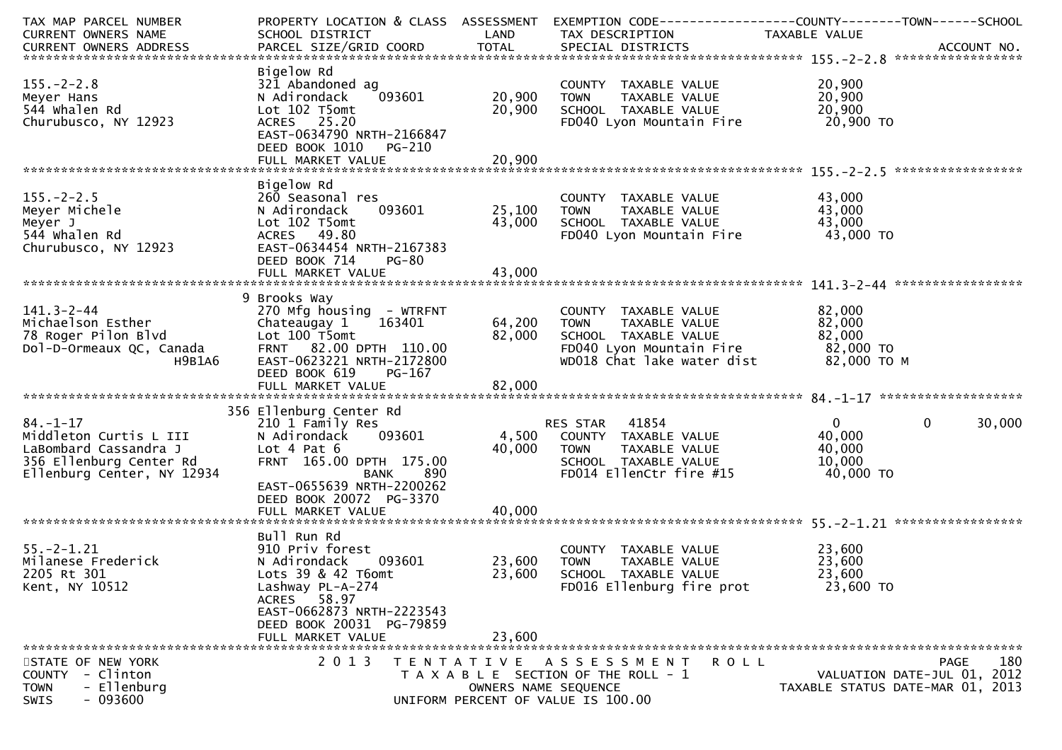| TAX MAP PARCEL NUMBER<br>CURRENT OWNERS NAME                                                                               | PROPERTY LOCATION & CLASS ASSESSMENT<br>SCHOOL DISTRICT                                                                                                                                                                | LAND                       | EXEMPTION CODE-----------------COUNTY-------TOWN------SCHOOL<br>TAX DESCRIPTION                                                        | TAXABLE VALUE                                                   |                    |
|----------------------------------------------------------------------------------------------------------------------------|------------------------------------------------------------------------------------------------------------------------------------------------------------------------------------------------------------------------|----------------------------|----------------------------------------------------------------------------------------------------------------------------------------|-----------------------------------------------------------------|--------------------|
| $155. - 2 - 2.8$<br>Meyer Hans<br>544 whalen Rd<br>Churubusco, NY 12923                                                    | Bigelow Rd<br>321 Abandoned ag<br>N Adirondack<br>093601<br>Lot 102 T5omt<br>ACRES 25.20<br>EAST-0634790 NRTH-2166847<br>DEED BOOK 1010<br><b>PG-210</b>                                                               | 20,900<br>20,900           | COUNTY TAXABLE VALUE<br><b>TOWN</b><br>TAXABLE VALUE<br>SCHOOL TAXABLE VALUE<br>FD040 Lyon Mountain Fire                               | 20,900<br>20,900<br>20,900<br>20,900 TO                         |                    |
| $155. - 2 - 2.5$<br>Meyer Michele<br>Meyer J<br>544 whalen Rd<br>Churubusco, NY 12923                                      | Bigelow Rd<br>260 Seasonal res<br>093601<br>N Adirondack<br>Lot 102 T5omt<br>ACRES 49.80<br>EAST-0634454 NRTH-2167383<br>DEED BOOK 714<br><b>PG-80</b>                                                                 | 25,100<br>43,000           | COUNTY TAXABLE VALUE<br>TAXABLE VALUE<br><b>TOWN</b><br>SCHOOL TAXABLE VALUE<br>FD040 Lyon Mountain Fire                               | 43,000<br>43,000<br>43,000<br>43,000 TO                         |                    |
| $141.3 - 2 - 44$<br>Michaelson Esther<br>78 Roger Pilon Blvd<br>Dol-D-Ormeaux QC, Canada<br>H9B1A6                         | 9 Brooks Way<br>270 Mfg housing - WTRFNT<br>163401<br>Chateaugay 1<br>Lot 100 T5omt<br>FRNT 82.00 DPTH 110.00<br>EAST-0623221 NRTH-2172800<br>DEED BOOK 619<br>PG-167                                                  | 64,200<br>82,000           | COUNTY TAXABLE VALUE<br>TAXABLE VALUE<br><b>TOWN</b><br>SCHOOL TAXABLE VALUE<br>FD040 Lyon Mountain Fire<br>WD018 Chat lake water dist | 82,000<br>82,000<br>82,000<br>82,000 TO<br>82,000 TO M          |                    |
| $84. - 1 - 17$<br>Middleton Curtis L III<br>LaBombard Cassandra J<br>356 Ellenburg Center Rd<br>Ellenburg Center, NY 12934 | 356 Ellenburg Center Rd<br>210 1 Family Res<br>093601<br>N Adirondack<br>Lot $4$ Pat $6$<br>FRNT 165.00 DPTH 175.00<br><b>BANK</b><br>890<br>EAST-0655639 NRTH-2200262<br>DEED BOOK 20072 PG-3370<br>FULL MARKET VALUE | 4,500<br>40,000<br>40,000  | RES STAR<br>41854<br>COUNTY TAXABLE VALUE<br><b>TOWN</b><br>TAXABLE VALUE<br>SCHOOL TAXABLE VALUE<br>FD014 EllenCtr fire #15           | $\mathbf{0}$<br>40,000<br>40,000<br>10,000<br>40,000 TO         | 30,000<br>$\Omega$ |
| $55. - 2 - 1.21$<br>Milanese Frederick<br>2205 Rt 301<br>Kent, NY 10512                                                    | Bull Run Rd<br>910 Priv forest<br>N Adirondack<br>093601<br>Lots 39 & 42 T6omt<br>Lashway PL-A-274<br>ACRES 58.97<br>EAST-0662873 NRTH-2223543<br>DEED BOOK 20031 PG-79859<br>FULL MARKET VALUE                        | 23,600<br>23,600<br>23,600 | COUNTY TAXABLE VALUE<br><b>TOWN</b><br>TAXABLE VALUE<br>SCHOOL TAXABLE VALUE<br>FD016 Ellenburg fire prot                              | 23,600<br>23,600<br>23,600<br>23,600 TO                         |                    |
| STATE OF NEW YORK<br>COUNTY - Clinton<br>- Ellenburg<br><b>TOWN</b><br>$-093600$<br>SWIS                                   | 2 0 1 3                                                                                                                                                                                                                | OWNERS NAME SEQUENCE       | TENTATIVE ASSESSMENT<br>R O L L<br>T A X A B L E SECTION OF THE ROLL - 1<br>UNIFORM PERCENT OF VALUE IS 100.00                         | VALUATION DATE-JUL 01, 2012<br>TAXABLE STATUS DATE-MAR 01, 2013 | 180<br><b>PAGE</b> |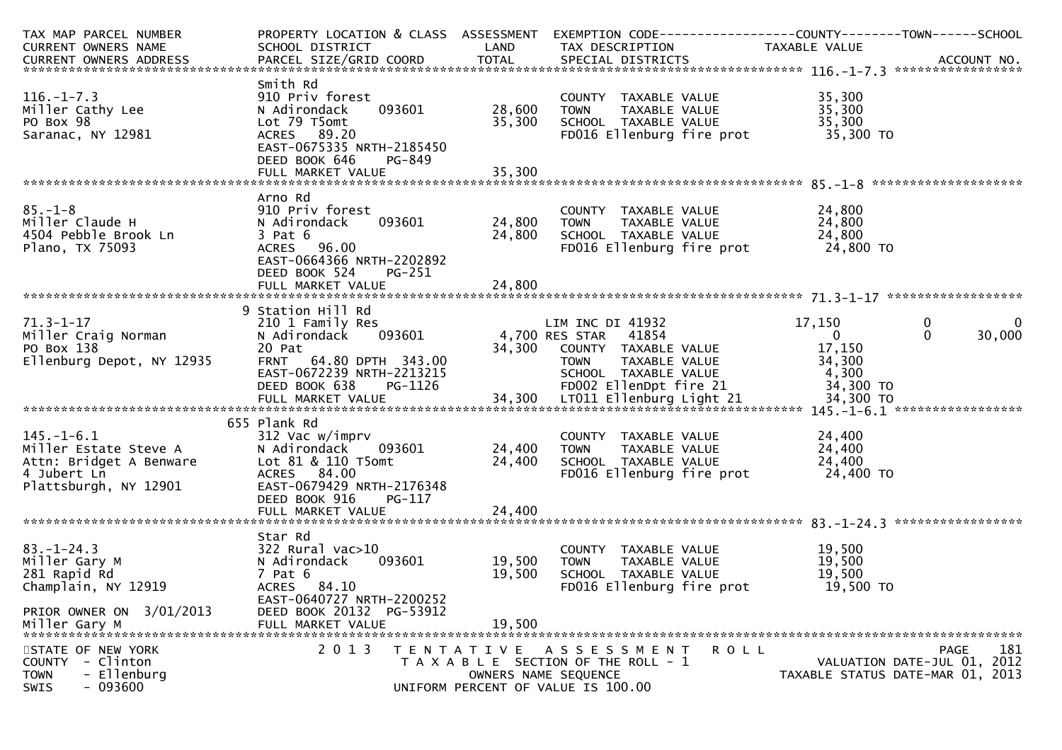| TAX MAP PARCEL NUMBER                                                                                                                                                                                                                            | PROPERTY LOCATION & CLASS ASSESSMENT EXEMPTION CODE----------------COUNTY-------TOWN------SCHOOL |               |                                                                          |                  |                                  |
|--------------------------------------------------------------------------------------------------------------------------------------------------------------------------------------------------------------------------------------------------|--------------------------------------------------------------------------------------------------|---------------|--------------------------------------------------------------------------|------------------|----------------------------------|
| CURRENT OWNERS NAME                                                                                                                                                                                                                              | SCHOOL DISTRICT<br><b>Example 12 District CAND</b>                                               |               | TAX DESCRIPTION                                                          | TAXABLE VALUE    |                                  |
| CURRENT OWNERS ADDRESS FARCEL SIZE/GRID COORD TOTAL SPECIAL DISTRICTS FARENT OWNERS ADDRESS FARCEL SIZE/GRID COORD TOTAL SPECIAL DISTRICTS FARENT OWNERS ADDRESS                                                                                 |                                                                                                  |               |                                                                          |                  |                                  |
|                                                                                                                                                                                                                                                  |                                                                                                  |               |                                                                          |                  |                                  |
|                                                                                                                                                                                                                                                  | Smith Rd                                                                                         |               |                                                                          |                  |                                  |
| $116. - 1 - 7.3$                                                                                                                                                                                                                                 | 910 Priv forest                                                                                  |               | COUNTY TAXABLE VALUE<br>TOWN     TAXABLE VALUE<br>SCHOOL   TAXABLE VALUE | 35,300<br>35,300 |                                  |
| Miller Cathy Lee                                                                                                                                                                                                                                 | 093601<br>N Adirondack                                                                           | 28,600        |                                                                          |                  |                                  |
| PO Box 98                                                                                                                                                                                                                                        | Lot 79 T5omt                                                                                     | 35,300        |                                                                          | 35,300           |                                  |
| Saranac, NY 12981                                                                                                                                                                                                                                | ACRES 89.20                                                                                      |               | FD016 Ellenburg fire prot                                                | 35,300 TO        |                                  |
|                                                                                                                                                                                                                                                  | EAST-0675335 NRTH-2185450                                                                        |               |                                                                          |                  |                                  |
|                                                                                                                                                                                                                                                  | DEED BOOK 646<br>PG-849                                                                          |               |                                                                          |                  |                                  |
|                                                                                                                                                                                                                                                  |                                                                                                  |               |                                                                          |                  |                                  |
|                                                                                                                                                                                                                                                  |                                                                                                  |               |                                                                          |                  |                                  |
|                                                                                                                                                                                                                                                  | Arno Rd                                                                                          |               |                                                                          |                  |                                  |
| $85. - 1 - 8$                                                                                                                                                                                                                                    | 910 Priv forest                                                                                  |               | COUNTY TAXABLE VALUE<br>TOWN      TAXABLE  VALUE                         | 24,800           |                                  |
| 85.-⊥-8<br>Miller Claude H<br>4504 Pebbl <u>e Bro</u> ok Ln                                                                                                                                                                                      | N Adirondack                                                                                     | 093601 24,800 |                                                                          | 24,800           |                                  |
|                                                                                                                                                                                                                                                  | $3$ Pat $6$                                                                                      | 24,800        |                                                                          |                  |                                  |
| Plano, TX 75093                                                                                                                                                                                                                                  | ACRES 96.00                                                                                      |               |                                                                          |                  |                                  |
|                                                                                                                                                                                                                                                  | EAST-0664366 NRTH-2202892                                                                        |               |                                                                          |                  |                                  |
|                                                                                                                                                                                                                                                  | DEED BOOK 524<br>PG-251                                                                          |               |                                                                          |                  |                                  |
|                                                                                                                                                                                                                                                  |                                                                                                  |               |                                                                          |                  |                                  |
|                                                                                                                                                                                                                                                  |                                                                                                  |               |                                                                          |                  |                                  |
|                                                                                                                                                                                                                                                  | 9 Station Hill Rd                                                                                |               |                                                                          |                  |                                  |
| $71.3 - 1 - 17$                                                                                                                                                                                                                                  | 210 1 Family Res                                                                                 |               | LIM INC DI 41932                                                         | 17,150           | $\mathbf 0$<br>$\mathbf 0$       |
|                                                                                                                                                                                                                                                  |                                                                                                  |               |                                                                          | $\mathbf{0}$     | $\Omega$<br>30,000               |
| LIM INC DI 41932<br>Miller Craig Norman Miller Craig Norman Madirondack 093601 4,700 RES STAR 41854<br>PO Box 138 20 Pat 34,300 COUNTY TAXABLE<br>Ellenburg Depot, NY 12935 FRNT 64.80 DPTH 343.00 70WN TAXABLE                                  |                                                                                                  |               | 4,700 RES STAR 41854<br>34,300 COUNTY TAXABLE VALUE                      |                  |                                  |
|                                                                                                                                                                                                                                                  |                                                                                                  |               |                                                                          |                  |                                  |
|                                                                                                                                                                                                                                                  |                                                                                                  |               |                                                                          |                  |                                  |
|                                                                                                                                                                                                                                                  |                                                                                                  |               |                                                                          |                  |                                  |
|                                                                                                                                                                                                                                                  |                                                                                                  |               |                                                                          |                  |                                  |
| PO BOX 138<br>PO BOX 138<br>Ellenburg Depot, NY 12935<br>ERNT 64.80 DPTH 343.00<br>EAST-0672239 NRTH-2213215<br>EED BOOK 638 PG-1126<br>FULL MARKET VALUE<br>TOLL S4,300 LTO11 Ellenburg Light 21<br>FULL MARKET VALUE<br>TOLL S4,300 LTO11 Elle |                                                                                                  |               |                                                                          |                  |                                  |
|                                                                                                                                                                                                                                                  | 655 Plank Rd                                                                                     |               |                                                                          |                  |                                  |
| 145.-1-6.1<br>Miller Estate Steve A 312 Vac w/imprv<br>Attn: Bridget A Benware 4 Jubert Ln<br>Plattsburgh, NY 12901 EAST-0679429 NRTH-2                                                                                                          |                                                                                                  |               | COUNTY TAXABLE VALUE                                                     | 24,400           |                                  |
|                                                                                                                                                                                                                                                  |                                                                                                  | 093601 24,400 | TAXABLE VALUE<br><b>TOWN</b>                                             | 24,400           |                                  |
|                                                                                                                                                                                                                                                  |                                                                                                  | 24,400        | SCHOOL TAXABLE VALUE                                                     | 24,400           |                                  |
|                                                                                                                                                                                                                                                  |                                                                                                  |               | FD016 Ellenburg fire prot                                                | $24,700$ TO      |                                  |
|                                                                                                                                                                                                                                                  | EAST-0679429 NRTH-2176348                                                                        |               |                                                                          |                  |                                  |
|                                                                                                                                                                                                                                                  | DEED BOOK 916<br>PG-117                                                                          |               |                                                                          |                  |                                  |
|                                                                                                                                                                                                                                                  |                                                                                                  |               |                                                                          |                  |                                  |
|                                                                                                                                                                                                                                                  |                                                                                                  |               |                                                                          |                  |                                  |
|                                                                                                                                                                                                                                                  | Star Rd                                                                                          |               |                                                                          |                  |                                  |
| $83. - 1 - 24.3$                                                                                                                                                                                                                                 | 322 Rural vac>10                                                                                 |               | COUNTY TAXABLE VALUE                                                     | 19,500           |                                  |
| Miller Gary M                                                                                                                                                                                                                                    | N Adirondack                                                                                     | 093601 19,500 | TAXABLE VALUE<br><b>TOWN</b>                                             | 19,500           |                                  |
| 281 Rapid Rd                                                                                                                                                                                                                                     | 7 Pat 6                                                                                          | 19,500        | SCHOOL TAXABLE VALUE                                                     | 19,500           |                                  |
| Champlain, NY 12919                                                                                                                                                                                                                              | ACRES 84.10                                                                                      |               | FD016 Ellenburg fire prot                                                | 19,500 TO        |                                  |
|                                                                                                                                                                                                                                                  | EAST-0640727 NRTH-2200252                                                                        |               |                                                                          |                  |                                  |
|                                                                                                                                                                                                                                                  |                                                                                                  |               |                                                                          |                  |                                  |
| PRIOR OWNER ON 3/01/2013                                                                                                                                                                                                                         | DEED BOOK 20132 PG-53912                                                                         |               |                                                                          |                  |                                  |
|                                                                                                                                                                                                                                                  |                                                                                                  |               |                                                                          |                  |                                  |
|                                                                                                                                                                                                                                                  |                                                                                                  |               |                                                                          |                  |                                  |
| STATE OF NEW YORK                                                                                                                                                                                                                                | 2 0 1 3                                                                                          |               | TENTATIVE ASSESSMENT                                                     | R O L L          | 181<br>PAGE                      |
| <b>COUNTY</b><br>- Clinton                                                                                                                                                                                                                       |                                                                                                  |               | T A X A B L E SECTION OF THE ROLL - 1                                    |                  | VALUATION DATE-JUL 01, 2012      |
| <b>TOWN</b><br>- Ellenburg                                                                                                                                                                                                                       |                                                                                                  |               | OWNERS NAME SEQUENCE                                                     |                  | TAXABLE STATUS DATE-MAR 01, 2013 |
| $-093600$<br><b>SWIS</b>                                                                                                                                                                                                                         |                                                                                                  |               | UNIFORM PERCENT OF VALUE IS 100.00                                       |                  |                                  |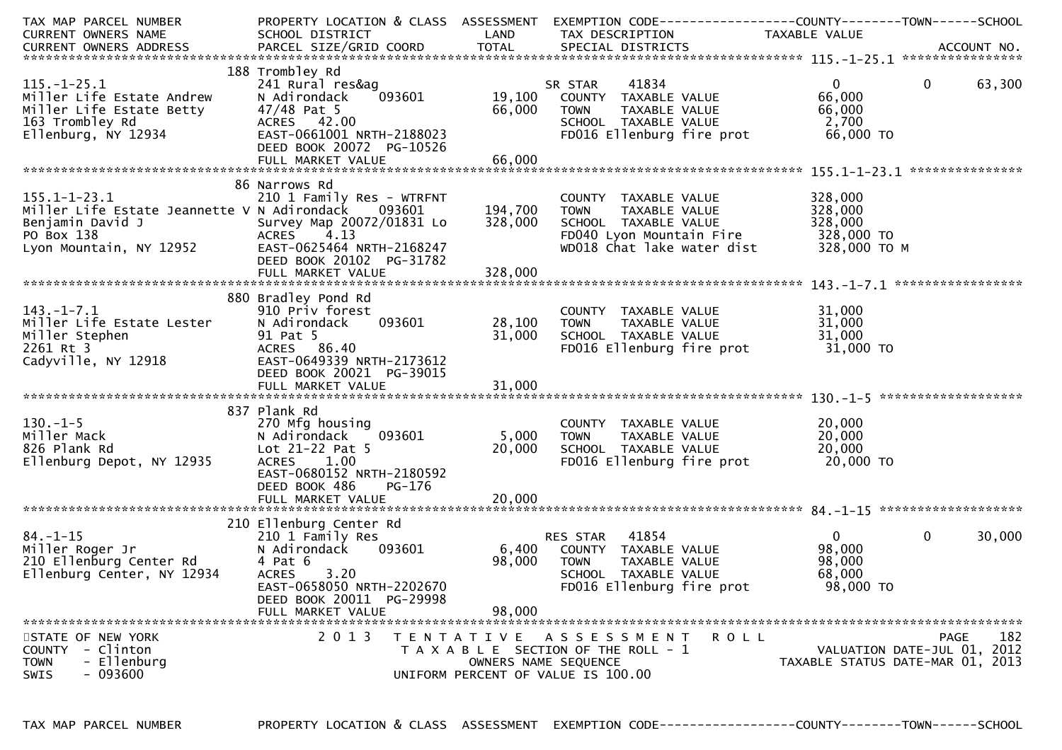| TAX MAP PARCEL NUMBER<br>CURRENT OWNERS NAME                                                                                                             | SCHOOL DISTRICT                                                                                                                                                                        | LAND                      | PROPERTY LOCATION & CLASS ASSESSMENT EXEMPTION CODE---------------COUNTY-------TOWN------SCHOOL<br>TAX DESCRIPTION                     | TAXABLE VALUE                                               |                                                                                |
|----------------------------------------------------------------------------------------------------------------------------------------------------------|----------------------------------------------------------------------------------------------------------------------------------------------------------------------------------------|---------------------------|----------------------------------------------------------------------------------------------------------------------------------------|-------------------------------------------------------------|--------------------------------------------------------------------------------|
|                                                                                                                                                          |                                                                                                                                                                                        |                           |                                                                                                                                        |                                                             |                                                                                |
| $115. - 1 - 25.1$<br>Miller Life Estate Andrew<br>Miller Life Estate Betty<br>163 Trombley Rd<br>Ellenburg, NY 12934                                     | 188 Trombley Rd<br>241 Rural res&ag<br>093601<br>N Adirondack<br>47/48 Pat 5<br>ACRES 42.00<br>EAST-0661001 NRTH-2188023<br>DEED BOOK 20072 PG-10526                                   | 19,100<br>66,000          | 41834<br>SR STAR<br>COUNTY TAXABLE VALUE<br><b>TOWN</b><br>TAXABLE VALUE<br>SCHOOL TAXABLE VALUE<br>FD016 Ellenburg fire prot          | $\mathbf{0}$<br>66,000<br>66,000<br>2,700<br>66,000 TO      | 63,300<br>$\overline{0}$                                                       |
| $155.1 - 1 - 23.1$<br>Miller Life Estate Jeannette V N Adirondack<br>Benjamin David J<br>PO Box 138<br>Lyon Mountain, NY 12952 EAST-0625464 NRTH-2168247 | 86 Narrows Rd<br>210 1 Family Res - WTRFNT<br>093601<br>Survey Map 20072/01831 Lo<br>4.13<br><b>ACRES</b><br>DEED BOOK 20102 PG-31782                                                  | 194,700<br>328,000        | COUNTY TAXABLE VALUE<br>TAXABLE VALUE<br><b>TOWN</b><br>SCHOOL TAXABLE VALUE<br>FD040 Lyon Mountain Fire<br>WD018 Chat lake water dist | 328,000<br>328,000<br>328,000<br>328,000 TO<br>328,000 ТО М |                                                                                |
| $143.-1-7.1$<br>Miller Life Estate Lester<br>Miller Stephen<br>2261 Rt 3<br>Cadyville, NY 12918                                                          | 880 Bradley Pond Rd<br>910 Priv forest<br>N Adirondack<br>093601<br>91 Pat 5<br>ACRES 86.40<br>EAST-0649339 NRTH-2173612<br>DEED BOOK 20021 PG-39015                                   | 28,100<br>31,000          | COUNTY TAXABLE VALUE<br>TAXABLE VALUE<br><b>TOWN</b><br>SCHOOL TAXABLE VALUE<br>FD016 Ellenburg fire prot                              | 31,000<br>31,000<br>31,000<br>31,000 TO                     |                                                                                |
| $130. - 1 - 5$<br>Miller Mack<br>826 Plank Rd<br>Ellenburg Depot, NY 12935                                                                               | 837 Plank Rd<br>270 Mfg housing<br>093601<br>N Adirondack<br>Lot 21-22 Pat 5<br>ACRES 1.00<br>EAST-0680152 NRTH-2180592<br>DEED BOOK 486<br>PG-176                                     | 5,000<br>20,000           | COUNTY TAXABLE VALUE<br><b>TOWN</b><br>TAXABLE VALUE<br>SCHOOL TAXABLE VALUE<br>FD016 Ellenburg fire prot                              | 20,000<br>20,000<br>20,000<br>20,000 TO                     |                                                                                |
| $84. - 1 - 15$<br>Miller Roger Jr<br>2 <u>1</u> 0 Ellenburg Center Rd<br>Ellenburg Center, NY 12934                                                      | 210 Ellenburg Center Rd<br>210 1 Family Res<br>N Adirondack<br>093601<br>4 Pat 6<br>3.20<br><b>ACRES</b><br>EAST-0658050 NRTH-2202670<br>DEED BOOK 20011 PG-29998<br>FULL MARKET VALUE | 6,400<br>98,000<br>98,000 | RES STAR 41854<br>COUNTY TAXABLE VALUE<br><b>TOWN</b><br>TAXABLE VALUE<br>SCHOOL TAXABLE VALUE<br>FD016 Ellenburg fire prot            | $\overline{0}$<br>98,000<br>98,000<br>68,000<br>98,000 TO   | 30,000<br>$\mathbf{0}$                                                         |
| STATE OF NEW YORK<br>COUNTY - Clinton<br>- Ellenburg<br><b>TOWN</b><br>$-093600$<br><b>SWIS</b>                                                          | 2 0 1 3                                                                                                                                                                                |                           | TENTATIVE ASSESSMENT<br>ROLL<br>T A X A B L E SECTION OF THE ROLL - 1<br>OWNERS NAME SEQUENCE<br>UNIFORM PERCENT OF VALUE IS 100.00    |                                                             | 182<br>PAGE<br>VALUATION DATE-JUL 01, 2012<br>TAXABLE STATUS DATE-MAR 01, 2013 |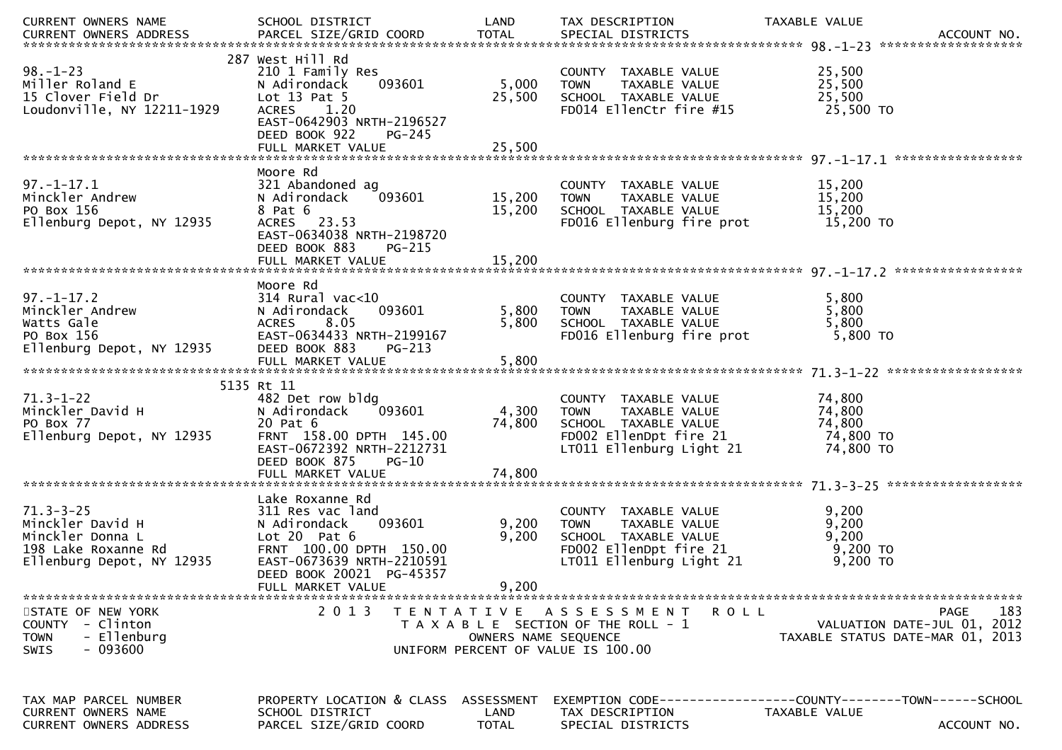| CURRENT OWNERS NAME<br>CURRENT OWNERS NAME<br>CURRENT OWNERS ADDRESS PARCEL SIZE/GRID COORD TOTAL SPECIAL DISTRICTS ACCOUNT NO. | SCHOOL DISTRICT                                                                                                                                                       | LAND                 | TAX DESCRIPTION                                                                                                                    | TAXABLE VALUE                                                                  |             |
|---------------------------------------------------------------------------------------------------------------------------------|-----------------------------------------------------------------------------------------------------------------------------------------------------------------------|----------------------|------------------------------------------------------------------------------------------------------------------------------------|--------------------------------------------------------------------------------|-------------|
| $98. - 1 - 23$<br>Miller Roland E<br>15 Clover Field Dr<br>Loudonville, NY 12211-1929                                           | 287 West Hill Rd<br>210 1 Family Res<br>093601<br>N Adirondack<br>Lot $13$ Pat $5$<br>ACRES 1.20<br>EAST-0642903 NRTH-2196527<br>DEED BOOK 922<br>PG-245              | 5,000<br>25,500      | COUNTY TAXABLE VALUE<br>TAXABLE VALUE<br><b>TOWN</b><br>SCHOOL TAXABLE VALUE<br>FD014 EllenCtr fire #15                            | 25,500<br>25,500<br>25,500<br>25,500 TO                                        |             |
|                                                                                                                                 |                                                                                                                                                                       |                      |                                                                                                                                    |                                                                                |             |
| $97. - 1 - 17.1$<br>Minckler Andrew<br>PO Box 156<br>Ellenburg Depot, NY 12935                                                  | Moore Rd<br>321 Abandoned ag<br>093601<br>N Adirondack<br>8 Pat 6<br>ACRES 23.53<br>EAST-0634038 NRTH-2198720<br>DEED BOOK 883<br>PG-215                              | 15,200<br>15,200     | COUNTY TAXABLE VALUE<br><b>TOWN</b><br>TAXABLE VALUE<br>SCHOOL TAXABLE VALUE<br>FD016 Ellenburg fire prot                          | 15,200<br>15,200<br>15,200<br>15,200 TO                                        |             |
|                                                                                                                                 |                                                                                                                                                                       |                      |                                                                                                                                    |                                                                                |             |
| $97. - 1 - 17.2$<br><i>Minckler Andrew<br/>Watts Gale<br/>PO Box 156<br/>Ellenburg Depot, NY 12935</i>                          | Moore Rd<br>314 Rural vac<10<br>093601<br>N Adirondack<br><b>ACRES</b><br>8.05<br>EAST-0634433 NRTH-2199167<br>DEED BOOK 883<br>$PG-213$                              | 5,800<br>5,800       | COUNTY TAXABLE VALUE<br>TAXABLE VALUE<br><b>TOWN</b><br>SCHOOL TAXABLE VALUE<br>FD016 Ellenburg fire prot                          | 5,800<br>5,800<br>5,800<br>5,800 TO                                            |             |
|                                                                                                                                 |                                                                                                                                                                       |                      |                                                                                                                                    |                                                                                |             |
|                                                                                                                                 | 5135 Rt 11                                                                                                                                                            |                      |                                                                                                                                    |                                                                                |             |
| <sup>5135</sup><br>Minckler David H<br>PO Box 77<br>Ellenburg Depot, NY 12935                                                   | 482 Det row bldg<br>093601<br>N Adirondack<br>20 Pat 6<br>FRNT 158.00 DPTH 145.00<br>EAST-0672392 NRTH-2212731<br>DEED BOOK 875<br>$PG-10$                            | 4,300<br>74,800      | COUNTY TAXABLE VALUE<br>TAXABLE VALUE<br><b>TOWN</b><br>SCHOOL TAXABLE VALUE<br>FD002 EllenDpt fire 21<br>LT011 Ellenburg Light 21 | 74,800<br>74,800<br>74,800<br>74,800 TO<br>74,800 TO                           |             |
|                                                                                                                                 |                                                                                                                                                                       |                      |                                                                                                                                    |                                                                                |             |
| $71.3 - 3 - 25$<br>Minckler David H<br>Minckler Donna L<br>198 Lake Roxanne Rd<br>Ellenburg Depot, NY 12935                     | Lake Roxanne Rd<br>311 Res vac land<br>093601<br>N Adirondack<br>Lot $20$ Pat $6$<br>FRNT 100.00 DPTH 150.00<br>EAST-0673639 NRTH-2210591<br>DEED BOOK 20021 PG-45357 | 9,200<br>9,200       | COUNTY TAXABLE VALUE<br>TAXABLE VALUE<br><b>TOWN</b><br>SCHOOL TAXABLE VALUE<br>FD002 EllenDpt fire 21<br>LT011 Ellenburg Light 21 | 9,200<br>9,200<br>9,200<br>$9,200$ TO<br>9,200 TO                              |             |
|                                                                                                                                 | FULL MARKET VALUE                                                                                                                                                     | 9,200                |                                                                                                                                    |                                                                                |             |
| STATE OF NEW YORK<br>COUNTY - Clinton<br>- Ellenburg<br><b>TOWN</b><br>- 093600<br>SWIS                                         | 2 0 1 3                                                                                                                                                               | OWNERS NAME SEQUENCE | TENTATIVE ASSESSMENT<br>ROLL<br>T A X A B L E SECTION OF THE ROLL - 1<br>UNIFORM PERCENT OF VALUE IS 100.00                        | <b>PAGE</b><br>VALUATION DATE-JUL 01, 2012<br>TAXABLE STATUS DATE-MAR 01, 2013 | 183         |
| TAX MAP PARCEL NUMBER<br>CURRENT OWNERS NAME<br><b>CURRENT OWNERS ADDRESS</b>                                                   | PROPERTY LOCATION & CLASS ASSESSMENT<br>SCHOOL DISTRICT<br>PARCEL SIZE/GRID COORD                                                                                     | LAND<br><b>TOTAL</b> | TAX DESCRIPTION<br>SPECIAL DISTRICTS                                                                                               | TAXABLE VALUE                                                                  | ACCOUNT NO. |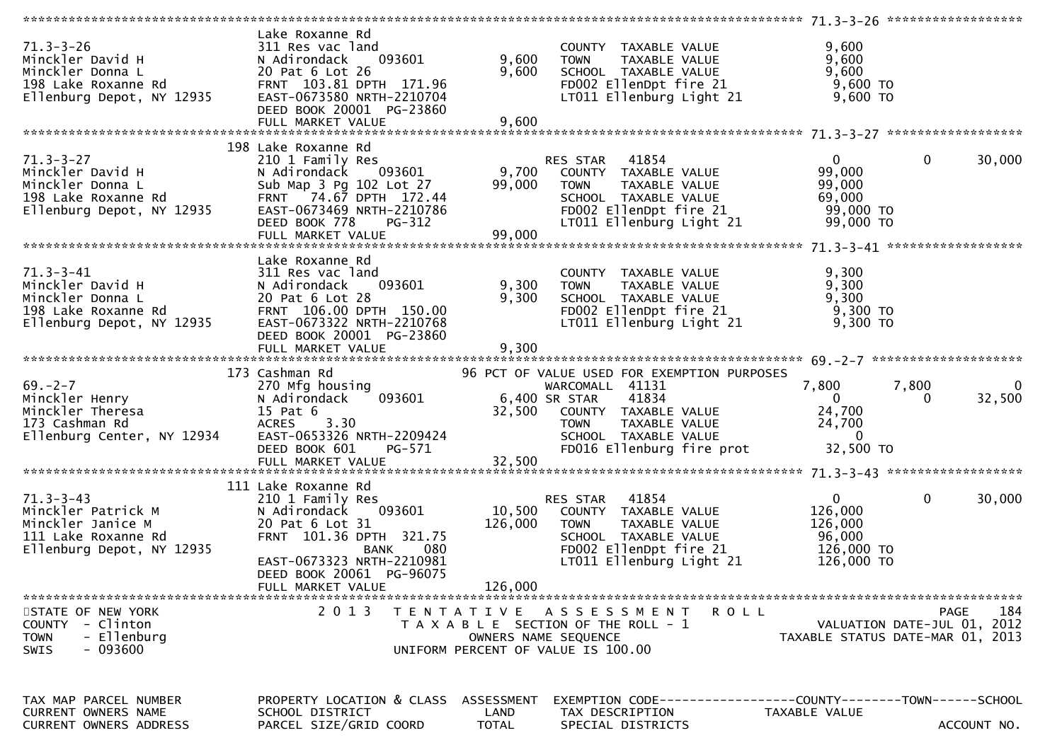|                                                                                                                                                   | Lake Roxanne Rd                                                                              |              |                                                                                                           |                                  |                             |                         |
|---------------------------------------------------------------------------------------------------------------------------------------------------|----------------------------------------------------------------------------------------------|--------------|-----------------------------------------------------------------------------------------------------------|----------------------------------|-----------------------------|-------------------------|
| $71.3 - 3 - 26$                                                                                                                                   | 311 Res vac land                                                                             |              | COUNTY TAXABLE VALUE                                                                                      | 9,600                            |                             |                         |
| 71.3-3-26<br>Minckler David H                                                                                                                     |                                                                                              |              | 311 Res vac land             COUNTY TAXABLE VALUE<br>N Adirondack  093601      9,600  TOWN  TAXABLE VALUE | 9,600                            |                             |                         |
| Minckler Donna L<br>Minckler Donna L<br>198 Lake Roxanne Rd<br>Ellenburg Depot, NY 12935<br>EAST-0673580 NRTH-2210704<br>DEED BOOK 20001 PG-23860 |                                                                                              |              | 9,600 SCHOOL TAXABLE VALUE<br>FDOO2 EllenDpt fire 21 9,600 TO<br>LTO11 Ellenburg Light 21 9,600 TO        |                                  |                             |                         |
|                                                                                                                                                   |                                                                                              |              |                                                                                                           |                                  |                             |                         |
|                                                                                                                                                   |                                                                                              |              |                                                                                                           |                                  |                             |                         |
|                                                                                                                                                   | DEED BOOK 20001 PG-23860                                                                     |              |                                                                                                           |                                  |                             |                         |
|                                                                                                                                                   |                                                                                              |              |                                                                                                           |                                  |                             |                         |
|                                                                                                                                                   |                                                                                              |              |                                                                                                           |                                  |                             |                         |
|                                                                                                                                                   | 198 Lake Roxanne Rd                                                                          |              |                                                                                                           |                                  |                             |                         |
|                                                                                                                                                   |                                                                                              |              | Lake Roxanne Rd<br>210 1 Family Res<br>N Adirondack __093601 ______________9,700 _COUNTY TAXABLE VALUE    |                                  |                             |                         |
|                                                                                                                                                   |                                                                                              |              |                                                                                                           |                                  |                             |                         |
|                                                                                                                                                   |                                                                                              |              |                                                                                                           |                                  |                             |                         |
|                                                                                                                                                   |                                                                                              |              |                                                                                                           |                                  |                             |                         |
|                                                                                                                                                   |                                                                                              |              |                                                                                                           |                                  |                             |                         |
|                                                                                                                                                   |                                                                                              |              |                                                                                                           |                                  |                             |                         |
|                                                                                                                                                   |                                                                                              |              |                                                                                                           |                                  |                             |                         |
|                                                                                                                                                   |                                                                                              |              |                                                                                                           |                                  |                             |                         |
|                                                                                                                                                   |                                                                                              |              |                                                                                                           |                                  |                             |                         |
|                                                                                                                                                   | Lake Roxanne Rd                                                                              |              |                                                                                                           |                                  |                             |                         |
| $71.3 - 3 - 41$                                                                                                                                   |                                                                                              |              | COUNTY TAXABLE VALUE                                                                                      | 9,300                            |                             |                         |
| Minckler David H                                                                                                                                  | 311 Res vac land<br>N Adirondack 093601 9,300 TOWN                                           |              | Y TAXABLE VALUE<br>TAXABLE VALUE                                                                          | 9,300                            |                             |                         |
| Minckler Donna L<br>198 Lake Roxanne Rd<br>Ellenburg Depot, NY 12935<br>EAST-0673322 NRTH-2210768                                                 |                                                                                              |              | 9,300 SCHOOL TAXABLE VALUE 9,300<br>FDOO2 EllenDpt fire 21 9,300 TO<br>LTO11 Ellenburg Light 21 9,300 TO  |                                  |                             |                         |
|                                                                                                                                                   |                                                                                              |              |                                                                                                           |                                  |                             |                         |
|                                                                                                                                                   |                                                                                              |              |                                                                                                           |                                  |                             |                         |
|                                                                                                                                                   | DEED BOOK 20001 PG-23860                                                                     |              |                                                                                                           |                                  |                             |                         |
|                                                                                                                                                   |                                                                                              | 9,300        |                                                                                                           |                                  |                             |                         |
|                                                                                                                                                   | FULL MARKET VALUE                                                                            |              |                                                                                                           |                                  |                             |                         |
|                                                                                                                                                   |                                                                                              |              |                                                                                                           |                                  |                             |                         |
|                                                                                                                                                   |                                                                                              |              |                                                                                                           |                                  |                             |                         |
|                                                                                                                                                   |                                                                                              |              |                                                                                                           |                                  |                             |                         |
|                                                                                                                                                   |                                                                                              |              |                                                                                                           | 7,800 7,800                      |                             | $\overline{\mathbf{0}}$ |
|                                                                                                                                                   |                                                                                              |              |                                                                                                           |                                  | $\Omega$                    | 32,500                  |
|                                                                                                                                                   |                                                                                              |              |                                                                                                           |                                  |                             |                         |
|                                                                                                                                                   |                                                                                              |              |                                                                                                           |                                  |                             |                         |
|                                                                                                                                                   |                                                                                              |              |                                                                                                           |                                  |                             |                         |
|                                                                                                                                                   |                                                                                              |              |                                                                                                           |                                  |                             |                         |
|                                                                                                                                                   |                                                                                              |              |                                                                                                           |                                  |                             |                         |
|                                                                                                                                                   |                                                                                              |              |                                                                                                           |                                  |                             |                         |
|                                                                                                                                                   |                                                                                              |              |                                                                                                           |                                  |                             |                         |
|                                                                                                                                                   | 111 Lake Roxanne Rd                                                                          |              |                                                                                                           |                                  |                             |                         |
|                                                                                                                                                   |                                                                                              |              |                                                                                                           | $\mathbf{0}$                     | $\mathbf{0}$                | 30,000                  |
|                                                                                                                                                   |                                                                                              |              | 210 1 Family Res<br>210 1 Family Res<br>N Adirondack 093601 10,500 COUNTY TAXABLE VALUE                   | 126,000                          |                             |                         |
|                                                                                                                                                   | 20 Pat 6 Lot 31                                                                              | 126,000      | <b>TOWN</b><br>TAXABLE VALUE                                                                              | 126,000                          |                             |                         |
|                                                                                                                                                   |                                                                                              |              | SCHOOL TAXABLE VALUE                                                                                      | 96,000                           |                             |                         |
| Ellenburg Depot, NY 12935                                                                                                                         |                                                                                              |              | FD002 EllenDpt fire 21 126,000 TO                                                                         |                                  |                             |                         |
|                                                                                                                                                   |                                                                                              |              | LT011 Ellenburg Light 21                                                                                  | 126,000 TO                       |                             |                         |
|                                                                                                                                                   | FRNT 101.36 DPTH 321.75<br>BANK 080<br>EAST-0673323 NRTH-2210981<br>DEED BOOK 20061 PG-96075 |              |                                                                                                           |                                  |                             |                         |
|                                                                                                                                                   | FULL MARKET VALUE                                                                            | 126,000      |                                                                                                           |                                  |                             |                         |
|                                                                                                                                                   |                                                                                              |              |                                                                                                           |                                  |                             |                         |
| STATE OF NEW YORK                                                                                                                                 | 2 0 1 3                                                                                      |              | TENTATIVE ASSESSMENT<br>R O L L                                                                           |                                  | PAGE                        | 184                     |
| COUNTY - Clinton                                                                                                                                  |                                                                                              |              | T A X A B L E SECTION OF THE ROLL - 1                                                                     |                                  | VALUATION DATE-JUL 01, 2012 |                         |
| - Ellenburg<br><b>TOWN</b>                                                                                                                        |                                                                                              |              | OWNERS NAME SEQUENCE                                                                                      | TAXABLE STATUS DATE-MAR 01, 2013 |                             |                         |
| $-093600$<br><b>SWIS</b>                                                                                                                          |                                                                                              |              | UNIFORM PERCENT OF VALUE IS 100.00                                                                        |                                  |                             |                         |
|                                                                                                                                                   |                                                                                              |              |                                                                                                           |                                  |                             |                         |
|                                                                                                                                                   |                                                                                              |              |                                                                                                           |                                  |                             |                         |
|                                                                                                                                                   |                                                                                              |              |                                                                                                           |                                  |                             |                         |
|                                                                                                                                                   |                                                                                              |              |                                                                                                           |                                  |                             |                         |
| TAX MAP PARCEL NUMBER<br><b>CURRENT OWNERS NAME</b>                                                                                               | PROPERTY LOCATION & CLASS ASSESSMENT<br>SCHOOL DISTRICT                                      | LAND         |                                                                                                           |                                  |                             |                         |
| CURRENT OWNERS ADDRESS                                                                                                                            | PARCEL SIZE/GRID COORD                                                                       | <b>TOTAL</b> | TAX DESCRIPTION<br>SPECIAL DISTRICTS                                                                      | TAXABLE VALUE                    |                             | ACCOUNT NO.             |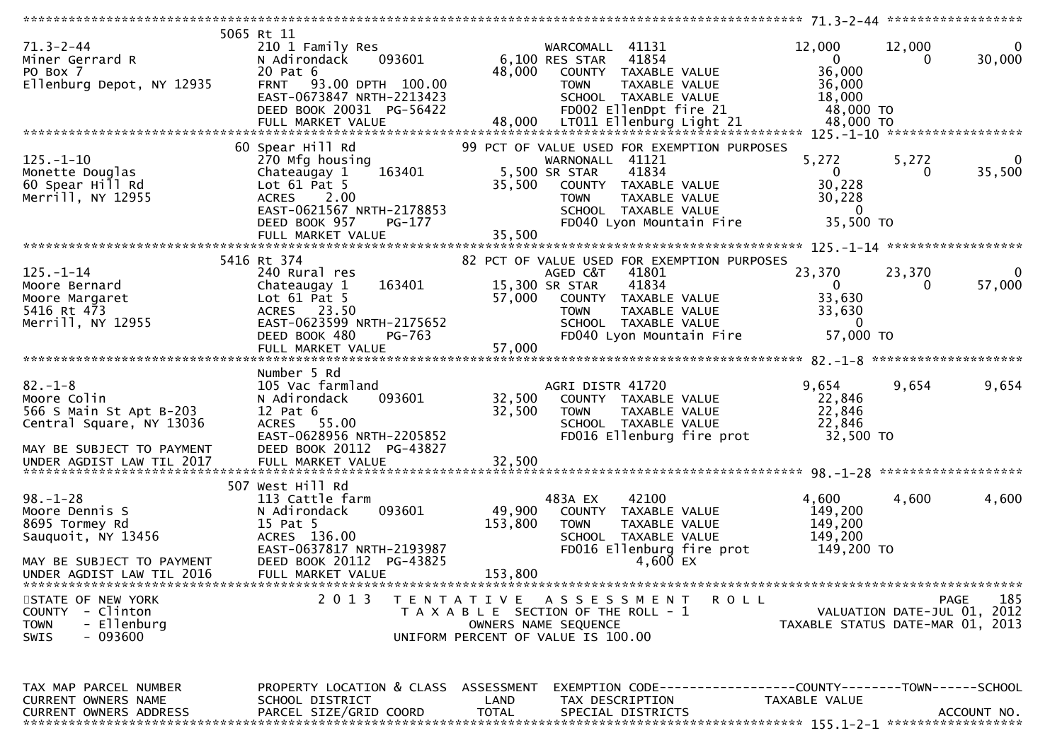| $71.3 - 2 - 44$<br>Miner Gerrard R<br>PO Box 7<br>Ellenburg Depot, NY 12935                                      | 5065 Rt 11<br>210 1 Family Res<br>093601<br>N Adirondack<br>20 Pat 6<br>FRNT 93.00 DPTH 100.00<br>EAST-0673847 NRTH-2213423<br>DEED BOOK 20031 PG-56422                    | 48,000            | WARCOMALL 41131<br>6,100 RES STAR<br>41854<br>COUNTY TAXABLE VALUE<br>TAXABLE VALUE<br><b>TOWN</b><br>SCHOOL TAXABLE VALUE<br>FD002 EllenDpt fire 21                                                 | 12,000<br>$\overline{0}$<br>36,000<br>36,000<br>18,000<br>48,000 TO      | 12,000<br>0<br>30,000<br>0                                                     |
|------------------------------------------------------------------------------------------------------------------|----------------------------------------------------------------------------------------------------------------------------------------------------------------------------|-------------------|------------------------------------------------------------------------------------------------------------------------------------------------------------------------------------------------------|--------------------------------------------------------------------------|--------------------------------------------------------------------------------|
| $125. - 1 - 10$<br>Monette Douglas<br>60 Spear Hill Rd<br>Merrill, NY 12955                                      | 60 Spear Hill Rd<br>270 Mfg housing<br>163401<br>Chateaugay 1<br>Lot $61$ Pat 5<br>ACRES 2.00<br>EAST-0621567 NRTH-2178853<br>DEED BOOK 957<br>PG-177<br>FULL MARKET VALUE | 35,500<br>35,500  | 99 PCT OF VALUE USED FOR EXEMPTION PURPOSES<br>WARNONALL 41121<br>5,500 SR STAR<br>41834<br>COUNTY TAXABLE VALUE<br><b>TOWN</b><br>TAXABLE VALUE<br>SCHOOL TAXABLE VALUE<br>FD040 Lyon Mountain Fire | 5,272<br>$\mathbf{0}$<br>30,228<br>30,228<br>$\overline{0}$<br>35,500 TO | 5,272<br>$\Omega$<br>35,500<br>$\Omega$                                        |
|                                                                                                                  | 5416 Rt 374                                                                                                                                                                |                   |                                                                                                                                                                                                      |                                                                          |                                                                                |
| $125. - 1 - 14$<br>Moore Bernard<br>Moore Margaret<br>5416 Rt 473<br>Merrill, NY 12955                           | 240 Rural res<br>163401<br>Chateaugay 1<br>Lot $61$ Pat $5$<br>ACRES 23.50<br>EAST-0623599 NRTH-2175652<br>DEED BOOK 480<br>PG-763                                         | 57,000            | 82 PCT OF VALUE USED FOR EXEMPTION PURPOSES<br>AGED C&T 41801<br>15,300 SR STAR<br>41834<br>COUNTY TAXABLE VALUE<br>TAXABLE VALUE<br><b>TOWN</b><br>SCHOOL TAXABLE VALUE<br>FD040 Lyon Mountain Fire | 23,370<br>$\mathbf{0}$<br>33,630<br>33,630<br>$\mathbf{0}$<br>57,000 TO  | 23,370<br>0<br>57,000<br>$\bf{0}$                                              |
|                                                                                                                  | FULL MARKET VALUE                                                                                                                                                          | 57,000            |                                                                                                                                                                                                      |                                                                          |                                                                                |
|                                                                                                                  |                                                                                                                                                                            |                   |                                                                                                                                                                                                      |                                                                          |                                                                                |
| $82. - 1 - 8$<br>Moore Colin<br>566 S Main St Apt B-203<br>Central Square, NY 13036<br>MAY BE SUBJECT TO PAYMENT | Number 5 Rd<br>105 Vac farmland<br>093601<br>N Adirondack<br>$12$ Pat $6$<br>ACRES 55.00<br>EAST-0628956 NRTH-2205852<br>DEED BOOK 20112 PG-43827                          | 32,500<br>32,500  | AGRI DISTR 41720<br>COUNTY TAXABLE VALUE<br>TAXABLE VALUE<br><b>TOWN</b><br>SCHOOL TAXABLE VALUE<br>FD016 Ellenburg fire prot                                                                        | 9,654<br>22,846<br>22,846<br>22,846<br>32,500 TO                         | 9,654<br>9,654                                                                 |
|                                                                                                                  |                                                                                                                                                                            |                   |                                                                                                                                                                                                      |                                                                          |                                                                                |
|                                                                                                                  | 507 West Hill Rd                                                                                                                                                           |                   |                                                                                                                                                                                                      |                                                                          |                                                                                |
| $98. - 1 - 28$<br>Moore Dennis S<br>8695 Tormey Rd<br>Sauguoit, NY 13456<br>MAY BE SUBJECT TO PAYMENT            | 113 Cattle farm<br>093601<br>N Adirondack<br>15 Pat 5<br>ACRES 136.00<br>EAST-0637817 NRTH-2193987<br>DEED BOOK 20112 PG-43825                                             | 49,900<br>153,800 | 42100<br>483A EX<br>COUNTY TAXABLE VALUE<br>TAXABLE VALUE<br><b>TOWN</b><br>SCHOOL TAXABLE VALUE<br>FD016 Ellenburg fire prot<br>4,600 EX                                                            | 4,600<br>149,200<br>149,200<br>149,200<br>149,200 TO                     | 4,600<br>4,600                                                                 |
| UNDER AGDIST LAW TIL 2016                                                                                        | FULL MARKET VALUE                                                                                                                                                          | 153,800           |                                                                                                                                                                                                      |                                                                          |                                                                                |
| STATE OF NEW YORK<br>COUNTY - Clinton<br>- Ellenburg<br><b>TOWN</b><br>$-093600$<br>SWIS                         | 2 0 1 3                                                                                                                                                                    |                   | TENTATIVE ASSESSMENT<br>T A X A B L E SECTION OF THE ROLL - 1<br>OWNERS NAME SEQUENCE<br>UNIFORM PERCENT OF VALUE IS 100.00                                                                          | R O L L                                                                  | 185<br>PAGE<br>VALUATION DATE-JUL 01, 2012<br>TAXABLE STATUS DATE-MAR 01, 2013 |
| TAX MAP PARCEL NUMBER<br>CURRENT OWNERS NAME<br><b>CURRENT OWNERS ADDRESS</b>                                    | PROPERTY LOCATION & CLASS ASSESSMENT<br>SCHOOL DISTRICT<br>PARCEL SIZE/GRID COORD                                                                                          | LAND<br>TOTAL     | EXEMPTION CODE-----------------COUNTY-------TOWN------SCHOOL<br>TAX DESCRIPTION<br>SPECIAL DISTRICTS                                                                                                 | TAXABLE VALUE                                                            | ACCOUNT NO.                                                                    |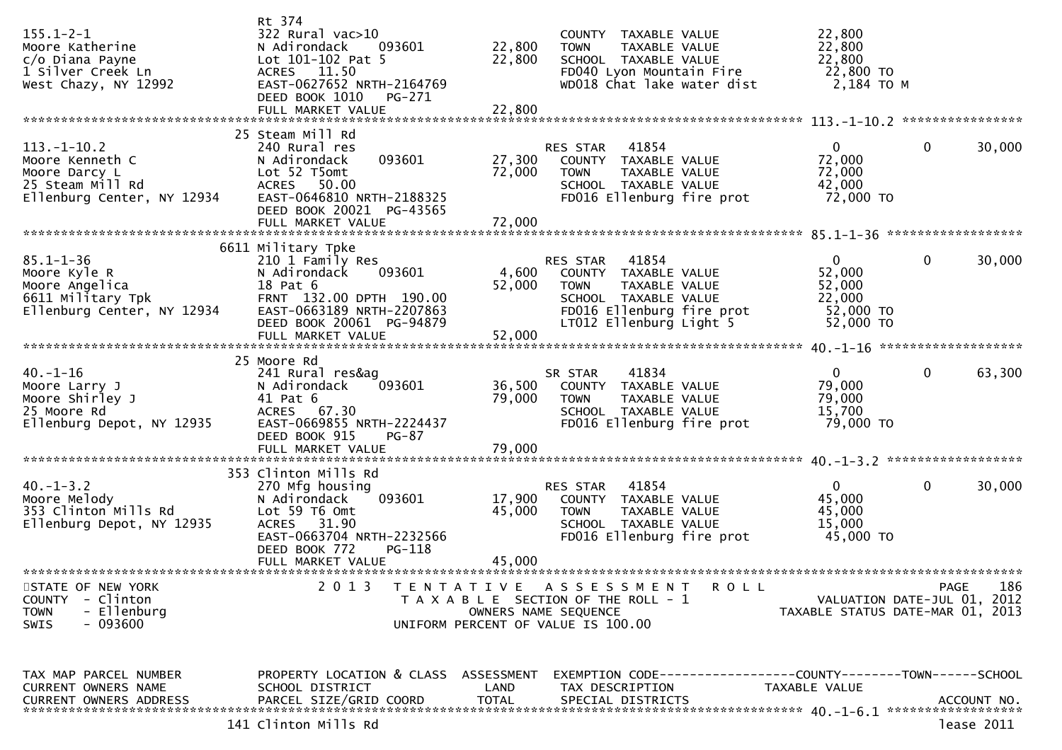| $155.1 - 2 - 1$<br>Moore Katherine<br>c/o Diana Payne<br>1 Silver Creek Ln<br>West Chazy, NY 12992                        | Rt 374<br>322 Rural vac>10<br>N Adirondack<br>093601<br>Lot 101-102 Pat 5<br>ACRES 11.50<br>EAST-0627652 NRTH-2164769<br>DEED BOOK 1010<br>PG-271<br>FULL MARKET VALUE         | 22,800<br>22,800<br>22,800 | COUNTY TAXABLE VALUE<br><b>TOWN</b><br>TAXABLE VALUE<br>SCHOOL TAXABLE VALUE<br>FD040 Lyon Mountain Fire<br>WD018 Chat lake water dist                    | 22,800<br>22,800<br>22,800<br>22,800 TO<br>2,184 то м                |                             |
|---------------------------------------------------------------------------------------------------------------------------|--------------------------------------------------------------------------------------------------------------------------------------------------------------------------------|----------------------------|-----------------------------------------------------------------------------------------------------------------------------------------------------------|----------------------------------------------------------------------|-----------------------------|
|                                                                                                                           | 25 Steam Mill Rd                                                                                                                                                               |                            |                                                                                                                                                           |                                                                      |                             |
| $113.-1-10.2$<br>Moore Kenneth C<br>Moore Darcy L<br>25 Steam Mill Rd<br>Ellenburg Center, NY 12934                       | 240 Rural res<br>093601<br>N Adirondack<br>Lot 52 T5omt<br>ACRES 50.00<br>EAST-0646810 NRTH-2188325<br>DEED BOOK 20021 PG-43565                                                | 27,300<br>72,000           | RES STAR 41854<br>COUNTY TAXABLE VALUE<br>TAXABLE VALUE<br><b>TOWN</b><br>SCHOOL TAXABLE VALUE<br>FD016 Ellenburg fire prot                               | $\mathbf{0}$<br>72,000<br>72,000<br>42,000<br>72,000 TO              | $\mathbf 0$<br>30,000       |
|                                                                                                                           |                                                                                                                                                                                |                            |                                                                                                                                                           |                                                                      |                             |
| $85.1 - 1 - 36$<br>Moore Kyle R<br>Moore Angelica<br>6611 Military Tpk<br>6611 Military Tpk<br>Ellenburg Center, NY 12934 | 6611 Military Tpke<br>210 1 Family Res<br>093601<br>N Adirondack<br>18 Pat 6<br>FRNT 132.00 DPTH 190.00<br>EAST-0663189 NRTH-2207863<br>DEED BOOK 20061 PG-94879               | 4,600<br>52,000            | RES STAR<br>41854<br>COUNTY TAXABLE VALUE<br>TAXABLE VALUE<br><b>TOWN</b><br>SCHOOL TAXABLE VALUE<br>FD016 Ellenburg fire prot<br>LT012 Ellenburg Light 5 | $\mathbf{0}$<br>52,000<br>52,000<br>22,000<br>52,000 TO<br>52,000 TO | 0<br>30,000                 |
|                                                                                                                           | FULL MARKET VALUE                                                                                                                                                              | 52,000                     |                                                                                                                                                           |                                                                      |                             |
|                                                                                                                           | 25 Moore Rd                                                                                                                                                                    |                            |                                                                                                                                                           |                                                                      |                             |
| $40. - 1 - 16$<br>Moore Larry J<br>Moore Shirley J<br>25 Moore Rd<br>Ellenburg Depot, NY 12935                            | 241 Rural res&ag<br>093601<br>N Adirondack<br>41 Pat 6<br>ACRES 67.30<br>EAST-0669855 NRTH-2224437<br>DEED BOOK 915<br>$PG-87$                                                 | 36,500<br>79,000           | 41834<br>SR STAR<br>COUNTY TAXABLE VALUE<br><b>TOWN</b><br>TAXABLE VALUE<br>SCHOOL TAXABLE VALUE<br>FD016 Ellenburg fire prot                             | $\overline{0}$<br>79,000<br>79,000<br>15,700<br>79,000 TO            | $\mathbf 0$<br>63,300       |
|                                                                                                                           |                                                                                                                                                                                |                            |                                                                                                                                                           |                                                                      |                             |
| $40. -1 - 3.2$<br>Moore Melody<br>353 Clinton Mills Rd<br>Ellenburg Depot, NY 12935                                       | 353 Clinton Mills Rd<br>270 Mfg housing<br>093601<br>N Adirondack<br>Lot 59 T6 Omt<br>ACRES 31.90<br>EAST-0663704 NRTH-2232566<br>DEED BOOK 772<br>PG-118<br>FULL MARKET VALUE | 17,900<br>45,000<br>45,000 | 41854<br>RES STAR<br>COUNTY TAXABLE VALUE<br>TAXABLE VALUE<br><b>TOWN</b><br>SCHOOL TAXABLE VALUE<br>FD016 Ellenburg fire prot                            | $\overline{0}$<br>45,000<br>45,000<br>15,000<br>45,000 TO            | $\mathbf 0$<br>30,000       |
| STATE OF NEW YORK                                                                                                         | 2013                                                                                                                                                                           |                            | TENTATIVE ASSESSMENT<br><b>ROLL</b>                                                                                                                       |                                                                      | PAGE<br>186                 |
| COUNTY - Clinton<br><b>TOWN</b><br>- Ellenburg<br>- 093600<br><b>SWIS</b>                                                 |                                                                                                                                                                                |                            | T A X A B L E SECTION OF THE ROLL - 1<br>OWNERS NAME SEQUENCE<br>UNIFORM PERCENT OF VALUE IS 100.00                                                       | TAXABLE STATUS DATE-MAR 01, 2013                                     | VALUATION DATE-JUL 01, 2012 |
| TAX MAP PARCEL NUMBER<br>CURRENT OWNERS NAME<br><b>CURRENT OWNERS ADDRESS</b>                                             | PROPERTY LOCATION & CLASS ASSESSMENT<br>SCHOOL DISTRICT<br>PARCEL SIZE/GRID COORD                                                                                              | LAND<br><b>TOTAL</b>       | EXEMPTION CODE-----------------COUNTY-------TOWN------SCHOOL<br>TAX DESCRIPTION<br>SPECIAL DISTRICTS                                                      | TAXABLE VALUE                                                        | ACCOUNT NO.                 |
|                                                                                                                           | 141 Clinton Mills Rd                                                                                                                                                           |                            |                                                                                                                                                           |                                                                      | lease 2011                  |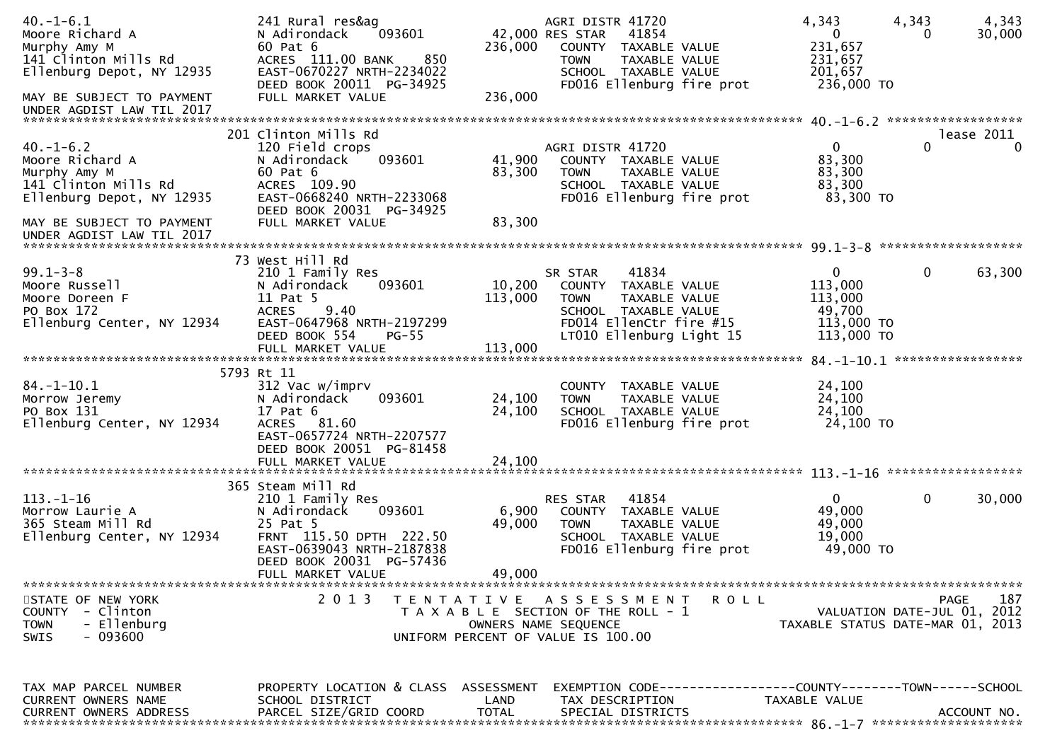| $40. - 1 - 6.1$<br>Moore Richard A                     | 241 Rural res&ag<br>093601<br>N Adirondack            |                   | AGRI DISTR 41720<br>42,000 RES STAR<br>41854                 | 4,343<br>$\mathbf{0}$ | 4,343<br>4,343<br>30,000<br>0    |
|--------------------------------------------------------|-------------------------------------------------------|-------------------|--------------------------------------------------------------|-----------------------|----------------------------------|
| Murphy Amy M                                           | 60 Pat 6                                              | 236,000           | COUNTY TAXABLE VALUE                                         | 231,657               |                                  |
| 141 Clinton Mills Rd<br>Ellenburg Depot, NY 12935      | 850<br>ACRES 111.00 BANK<br>EAST-0670227 NRTH-2234022 |                   | TAXABLE VALUE<br><b>TOWN</b><br>SCHOOL TAXABLE VALUE         | 231,657<br>201,657    |                                  |
|                                                        | DEED BOOK 20011 PG-34925                              |                   | FD016 Ellenburg fire prot                                    | 236,000 TO            |                                  |
| MAY BE SUBJECT TO PAYMENT                              | FULL MARKET VALUE                                     | 236,000           |                                                              |                       |                                  |
| UNDER AGDIST LAW TIL 2017                              |                                                       |                   |                                                              |                       |                                  |
|                                                        | 201 Clinton Mills Rd                                  |                   |                                                              |                       | lease 2011                       |
| $40. - 1 - 6.2$                                        | 120 Field crops                                       |                   | AGRI DISTR 41720                                             | $\overline{0}$        | 0<br>$\Omega$                    |
| Moore Richard A                                        | N Adirondack<br>093601                                | 41,900            | COUNTY TAXABLE VALUE                                         | 83,300                |                                  |
| Murphy Amy M                                           | 60 Pat 6                                              | 83,300            | TAXABLE VALUE<br><b>TOWN</b>                                 | 83,300                |                                  |
| 141 Clinton Mills Rd                                   | ACRES 109.90                                          |                   | SCHOOL TAXABLE VALUE                                         | 83,300                |                                  |
| Ellenburg Depot, NY 12935                              | EAST-0668240 NRTH-2233068                             |                   | FD016 Ellenburg fire prot                                    | 83,300 TO             |                                  |
|                                                        | DEED BOOK 20031 PG-34925                              |                   |                                                              |                       |                                  |
| MAY BE SUBJECT TO PAYMENT<br>UNDER AGDIST LAW TIL 2017 | FULL MARKET VALUE                                     | 83,300            |                                                              |                       |                                  |
|                                                        |                                                       |                   |                                                              |                       | *******************              |
|                                                        | 73 West Hill Rd                                       |                   |                                                              |                       |                                  |
| $99.1 - 3 - 8$                                         | 210 1 Family Res                                      |                   | 41834<br>SR STAR                                             | 0                     | 0<br>63,300                      |
| Moore Russell                                          | N Adirondack<br>093601                                | 10,200            | COUNTY TAXABLE VALUE                                         | 113,000               |                                  |
| Moore Doreen F                                         | 11 Pat 5                                              | 113,000           | <b>TOWN</b><br>TAXABLE VALUE                                 | 113,000               |                                  |
| PO Box 172                                             | 9.40<br><b>ACRES</b>                                  |                   | SCHOOL TAXABLE VALUE                                         | 49,700                |                                  |
| Ellenburg Center, NY 12934                             | EAST-0647968 NRTH-2197299                             |                   | FD014 EllenCtr fire #15                                      | 113,000 TO            |                                  |
|                                                        | DEED BOOK 554<br>$PG-55$                              |                   | LT010 Ellenburg Light 15                                     | 113,000 TO            |                                  |
|                                                        | FULL MARKET VALUE                                     | 113,000           |                                                              |                       | 84. -1-10.1 ******************   |
|                                                        | 5793 Rt 11                                            |                   |                                                              |                       |                                  |
| $84. - 1 - 10.1$                                       | 312 Vac w/imprv                                       |                   | COUNTY TAXABLE VALUE                                         | 24,100                |                                  |
| Morrow Jeremy                                          | 093601<br>N Adirondack                                | 24,100            | TAXABLE VALUE<br><b>TOWN</b>                                 | 24,100                |                                  |
| PO Box 131                                             | 17 Pat 6                                              | 24,100            | SCHOOL TAXABLE VALUE                                         | 24,100                |                                  |
| Ellenburg Center, NY 12934                             | ACRES 81.60                                           |                   | FD016 Ellenburg fire prot                                    | 24,100 TO             |                                  |
|                                                        | EAST-0657724 NRTH-2207577                             |                   |                                                              |                       |                                  |
|                                                        | DEED BOOK 20051 PG-81458                              |                   |                                                              |                       |                                  |
|                                                        | FULL MARKET VALUE                                     | 24,100            |                                                              |                       |                                  |
|                                                        | 365 Steam Mill Rd                                     |                   |                                                              |                       |                                  |
| $113. - 1 - 16$                                        | 210 1 Family Res                                      |                   | 41854<br><b>RES STAR</b>                                     | $\Omega$              | 0<br>30,000                      |
| Morrow Laurie A                                        | N Adirondack<br>093601                                | 6,900             | COUNTY TAXABLE VALUE                                         | 49,000                |                                  |
| 365 Steam Mill Rd                                      | 25 Pat 5                                              | 49,000            | <b>TOWN</b><br>TAXABLE VALUE                                 | 49,000                |                                  |
| Ellenburg Center, NY 12934                             | FRNT 115.50 DPTH 222.50                               |                   | SCHOOL TAXABLE VALUE                                         | 19,000                |                                  |
|                                                        | EAST-0639043 NRTH-2187838                             |                   | FD016 Ellenburg fire prot                                    | 49,000 TO             |                                  |
|                                                        | DEED BOOK 20031 PG-57436                              |                   |                                                              |                       |                                  |
|                                                        | FULL MARKET VALUE                                     | 49,000            |                                                              |                       | ****************                 |
| STATE OF NEW YORK                                      | 2 0 1 3                                               | T E N T A T I V E | A S S E S S M E N T<br>R O L L                               |                       | 187<br><b>PAGE</b>               |
| COUNTY - Clinton                                       |                                                       |                   | T A X A B L E SECTION OF THE ROLL - 1                        |                       | VALUATION DATE-JUL 01, 2012      |
| - Ellenburg<br><b>TOWN</b>                             |                                                       |                   | OWNERS NAME SEQUENCE                                         |                       | TAXABLE STATUS DATE-MAR 01, 2013 |
| - 093600<br><b>SWIS</b>                                |                                                       |                   | UNIFORM PERCENT OF VALUE IS 100.00                           |                       |                                  |
|                                                        |                                                       |                   |                                                              |                       |                                  |
|                                                        |                                                       |                   |                                                              |                       |                                  |
| TAX MAP PARCEL NUMBER                                  | PROPERTY LOCATION & CLASS ASSESSMENT                  |                   | EXEMPTION CODE-----------------COUNTY-------TOWN------SCHOOL |                       |                                  |
| CURRENT OWNERS NAME                                    | SCHOOL DISTRICT                                       | LAND              | TAX DESCRIPTION                                              | TAXABLE VALUE         |                                  |
| <b>CURRENT OWNERS ADDRESS</b>                          | PARCEL SIZE/GRID COORD                                | <b>TOTAL</b>      | SPECIAL DISTRICTS                                            |                       | ACCOUNT NO.                      |
|                                                        |                                                       |                   |                                                              |                       |                                  |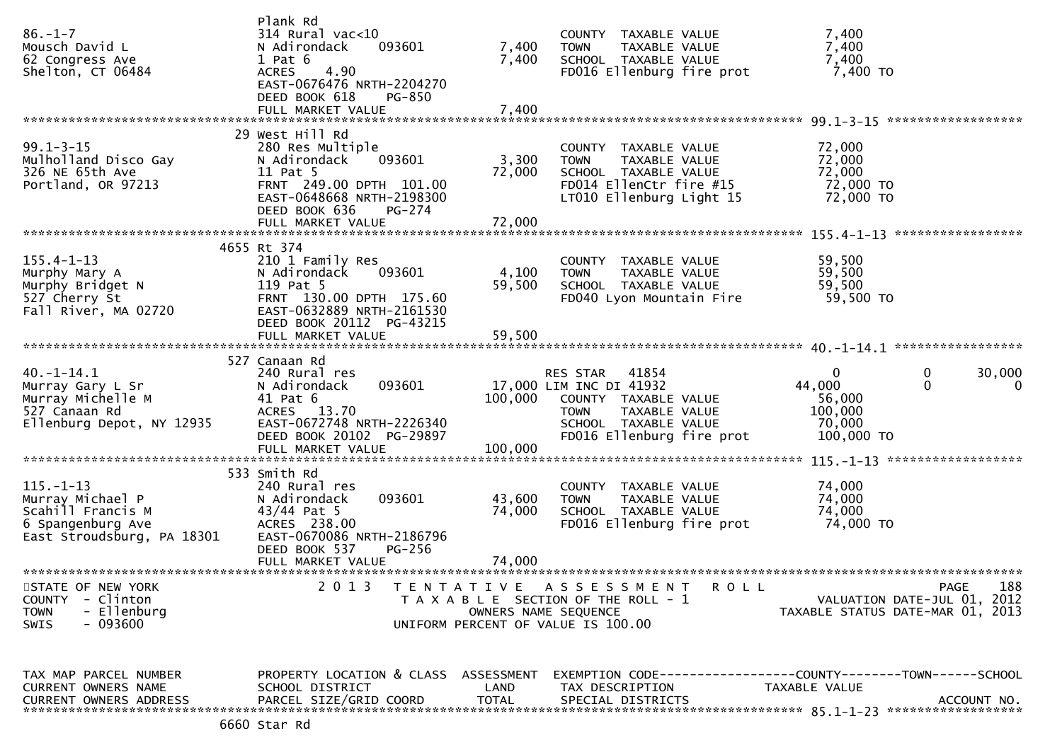| $86. - 1 - 7$<br>Mousch David L<br>62 Congress Ave<br>Shelton, CT 06484                                     | Plank Rd<br>$314$ Rural vac<10<br>N Adirondack<br>$1$ Pat $6$<br>4.90<br><b>ACRES</b><br>EAST-0676476 NRTH-2204270                       | 093601                                                                                              | 7,400<br>7,400                     | <b>TOWN</b>             | COUNTY TAXABLE VALUE<br>TAXABLE VALUE<br>SCHOOL TAXABLE VALUE                            | FD016 Ellenburg fire prot | 7,400<br>7,400<br>7,400<br>7,400 TO                             |                             |                    |
|-------------------------------------------------------------------------------------------------------------|------------------------------------------------------------------------------------------------------------------------------------------|-----------------------------------------------------------------------------------------------------|------------------------------------|-------------------------|------------------------------------------------------------------------------------------|---------------------------|-----------------------------------------------------------------|-----------------------------|--------------------|
|                                                                                                             | DEED BOOK 618<br>FULL MARKET VALUE                                                                                                       | <b>PG-850</b>                                                                                       | 7,400                              |                         |                                                                                          |                           |                                                                 |                             |                    |
| $99.1 - 3 - 15$<br>Mulholland Disco Gay<br>326 NE 65th Ave<br>Portland, OR 97213                            | 29 West Hill Rd<br>280 Res Multiple<br>N Adirondack<br>11 Pat 5<br>FRNT 249.00 DPTH 101.00<br>EAST-0648668 NRTH-2198300<br>DEED BOOK 636 | 093601<br>PG-274                                                                                    | 3,300<br>72,000                    | <b>TOWN</b>             | COUNTY TAXABLE VALUE<br>TAXABLE VALUE<br>SCHOOL TAXABLE VALUE<br>FD014 EllenCtr fire #15 | LT010 Ellenburg Light 15  | 72,000<br>72,000<br>72,000<br>72,000 TO<br>72,000 TO            |                             |                    |
|                                                                                                             |                                                                                                                                          |                                                                                                     |                                    |                         |                                                                                          |                           |                                                                 |                             |                    |
| $155.4 - 1 - 13$<br>Murphy Mary A<br>Murphy Bridget N<br>527 Cherry St<br>Fall River, MA 02720              | 4655 Rt 374<br>210 1 Family Res<br>N Adirondack<br>119 Pat 5<br>FRNT 130.00 DPTH 175.60<br>EAST-0632889 NRTH-2161530                     | 093601                                                                                              | 4,100<br>59,500                    | <b>TOWN</b>             | COUNTY TAXABLE VALUE<br>TAXABLE VALUE<br>SCHOOL TAXABLE VALUE                            | FD040 Lyon Mountain Fire  | 59,500<br>59,500<br>59,500<br>59,500 TO                         |                             |                    |
|                                                                                                             | DEED BOOK 20112 PG-43215                                                                                                                 |                                                                                                     |                                    |                         |                                                                                          |                           |                                                                 |                             |                    |
|                                                                                                             | 527 Canaan Rd                                                                                                                            |                                                                                                     |                                    |                         |                                                                                          |                           |                                                                 |                             |                    |
| $40. -1 - 14.1$<br>Murray Gary L Sr<br>Murray Michelle M<br>527 Canaan Rd<br>Ellenburg Depot, NY 12935      | 240 Rural res<br>N Adirondack<br>41 Pat 6<br>ACRES 13.70<br>EAST-0672748 NRTH-2226340<br>DEED BOOK 20102 PG-29897                        | 093601                                                                                              | 17,000 LIM INC DI 41932<br>100,000 | RES STAR<br><b>TOWN</b> | 41854<br>COUNTY TAXABLE VALUE<br>TAXABLE VALUE<br>SCHOOL TAXABLE VALUE                   | FD016 Ellenburg fire prot | $\Omega$<br>44,000<br>56,000<br>100,000<br>70,000<br>100,000 TO | $\mathbf 0$<br>$\mathbf{0}$ | 30,000<br>$\Omega$ |
|                                                                                                             | 533 Smith Rd                                                                                                                             |                                                                                                     |                                    |                         |                                                                                          |                           |                                                                 | ******************          |                    |
| $115. - 1 - 13$<br>Murray Michael P<br>Scahill Francis M<br>6 Spangenburg Ave<br>East Stroudsburg, PA 18301 | 240 Rural res<br>N Adirondack<br>$43/44$ Pat 5<br>ACRES 238.00<br>EAST-0670086 NRTH-2186796<br>DEED BOOK 537                             | 093601<br>PG-256                                                                                    | 43,600<br>74,000                   | <b>TOWN</b>             | COUNTY TAXABLE VALUE<br>TAXABLE VALUE<br>SCHOOL TAXABLE VALUE                            | FD016 Ellenburg fire prot | 74,000<br>74,000<br>74,000<br>74,000 TO                         |                             |                    |
|                                                                                                             | FULL MARKET VALUE                                                                                                                        |                                                                                                     | 74.000                             |                         |                                                                                          |                           |                                                                 |                             |                    |
| STATE OF NEW YORK<br>COUNTY - Clinton<br>- Ellenburg<br><b>TOWN</b><br>- 093600<br><b>SWIS</b>              | 2 0 1 3                                                                                                                                  | TENTATIVE ASSESSMENT<br>T A X A B L E SECTION OF THE ROLL - 1<br>UNIFORM PERCENT OF VALUE IS 100.00 | OWNERS NAME SEQUENCE               |                         |                                                                                          | <b>ROLL</b>               | VALUATION DATE-JUL 01, 2012<br>TAXABLE STATUS DATE-MAR 01, 2013 | PAGE                        | 188                |
| TAX MAP PARCEL NUMBER<br>CURRENT OWNERS NAME<br><b>CURRENT OWNERS ADDRESS</b>                               | PROPERTY LOCATION & CLASS ASSESSMENT<br>SCHOOL DISTRICT<br>PARCEL SIZE/GRID COORD                                                        |                                                                                                     | LAND<br>TOTAL                      | TAX DESCRIPTION         | SPECIAL DISTRICTS                                                                        |                           | TAXABLE VALUE                                                   |                             | ACCOUNT NO.        |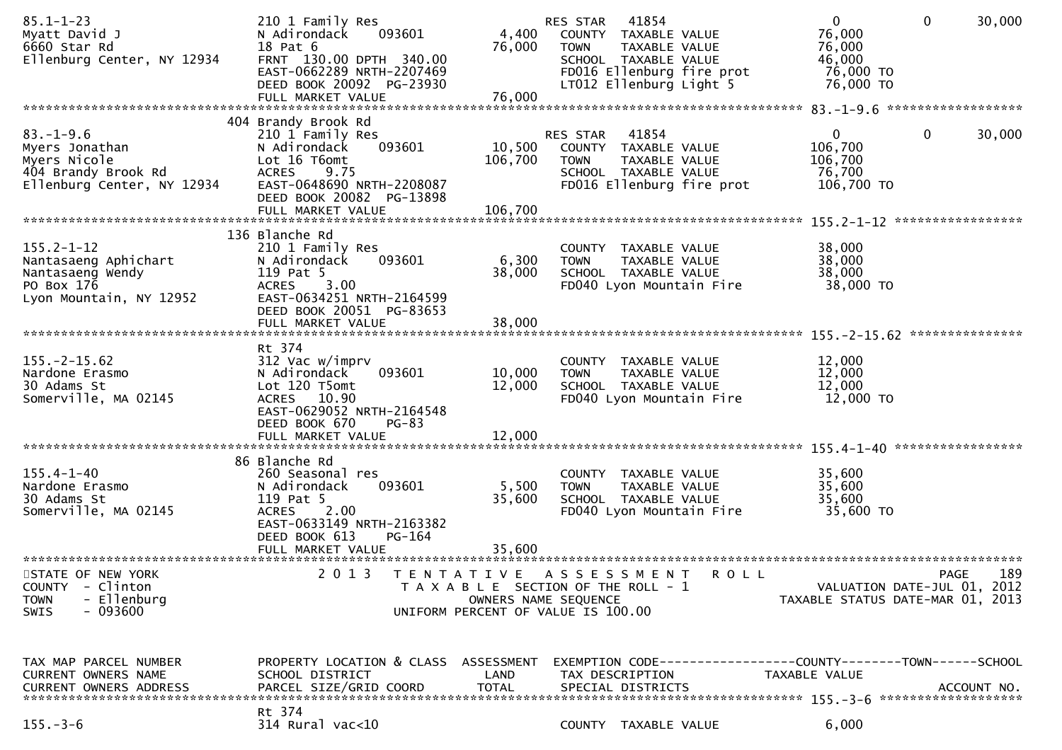| $85.1 - 1 - 23$<br>Myatt David J<br>6660 Star Rd<br>Ellenburg Center, NY 12934                                                  | 210 1 Family Res<br>N Adirondack<br>093601<br>18 Pat 6<br>FRNT 130.00 DPTH 340.00<br>EAST-0662289 NRTH-2207469<br>DEED BOOK 20092 PG-23930<br>FULL MARKET VALUE                         | 4,400<br>76,000<br>76,000                                                                                                | RES STAR<br><b>TOWN</b>      | 41854<br>COUNTY TAXABLE VALUE<br>TAXABLE VALUE<br>SCHOOL TAXABLE VALUE<br>FD016 Ellenburg fire prot<br>LT012 Ellenburg Light 5 | $\overline{0}$<br>76,000<br>76,000<br>46,000<br>76,000 TO<br>76,000 TO | 30,000<br>$\mathbf{0}$                     |
|---------------------------------------------------------------------------------------------------------------------------------|-----------------------------------------------------------------------------------------------------------------------------------------------------------------------------------------|--------------------------------------------------------------------------------------------------------------------------|------------------------------|--------------------------------------------------------------------------------------------------------------------------------|------------------------------------------------------------------------|--------------------------------------------|
|                                                                                                                                 |                                                                                                                                                                                         |                                                                                                                          |                              |                                                                                                                                |                                                                        |                                            |
| $83. - 1 - 9.6$<br>Myers Jonathan<br>Myers Nicole<br>404 Brandy Brook Rd<br>Ellenburg Center, NY 12934                          | 404 Brandy Brook Rd<br>210 1 Family Res<br>N Adirondack<br>093601<br>Lot 16 T6omt<br>9.75<br><b>ACRES</b><br>EAST-0648690 NRTH-2208087<br>DEED BOOK 20082 PG-13898<br>FULL MARKET VALUE | 10,500<br>106,700<br>106,700                                                                                             | RES STAR<br><b>TOWN</b>      | 41854<br>COUNTY TAXABLE VALUE<br>TAXABLE VALUE<br>SCHOOL TAXABLE VALUE<br>FD016 Ellenburg fire prot                            | $\mathbf{0}$<br>106,700<br>106,700<br>76,700<br>106,700 TO             | 0<br>30,000                                |
|                                                                                                                                 |                                                                                                                                                                                         |                                                                                                                          |                              |                                                                                                                                |                                                                        |                                            |
| $155.2 - 1 - 12$<br>Nantasaeng Aphichart<br>Nantasaeng Wendy<br>PO Box 176<br>Lyon Mountain, NY 12952                           | 136 Blanche Rd<br>210 1 Family Res<br>093601<br>N Adirondack<br>119 Pat 5<br><b>ACRES</b><br>3.00<br>EAST-0634251 NRTH-2164599<br>DEED BOOK 20051 PG-83653                              | 6,300<br>38,000                                                                                                          | <b>TOWN</b>                  | COUNTY TAXABLE VALUE<br>TAXABLE VALUE<br>SCHOOL TAXABLE VALUE<br>FD040 Lyon Mountain Fire                                      | 38,000<br>38,000<br>38,000<br>38,000 TO                                |                                            |
|                                                                                                                                 | FULL MARKET VALUE                                                                                                                                                                       | 38,000                                                                                                                   |                              |                                                                                                                                |                                                                        |                                            |
|                                                                                                                                 |                                                                                                                                                                                         |                                                                                                                          |                              |                                                                                                                                |                                                                        | ***************                            |
| $155. - 2 - 15.62$<br>Nardone Erasmo<br>30 Adams St<br>Somerville, MA 02145                                                     | Rt 374<br>312 Vac w/imprv<br>093601<br>N Adirondack<br>Lot 120 T5omt<br>ACRES 10.90<br>EAST-0629052 NRTH-2164548<br>DEED BOOK 670<br>$PG-83$<br>FULL MARKET VALUE                       | 10,000<br>12,000<br>12,000                                                                                               | <b>COUNTY</b><br><b>TOWN</b> | TAXABLE VALUE<br>TAXABLE VALUE<br>SCHOOL TAXABLE VALUE<br>FD040 Lyon Mountain Fire                                             | 12,000<br>12,000<br>12,000<br>12,000 TO                                |                                            |
|                                                                                                                                 |                                                                                                                                                                                         |                                                                                                                          |                              |                                                                                                                                |                                                                        |                                            |
| $155.4 - 1 - 40$<br>Nardone Erasmo<br>30 Adams St<br>Somerville, MA 02145                                                       | 86 Blanche Rd<br>260 Seasonal res<br>093601<br>N Adirondack<br>119 Pat 5<br>2.00<br><b>ACRES</b><br>EAST-0633149 NRTH-2163382<br>DEED BOOK 613<br>PG-164                                | 5,500<br>35,600                                                                                                          | <b>TOWN</b>                  | COUNTY TAXABLE VALUE<br>TAXABLE VALUE<br>SCHOOL TAXABLE VALUE<br>FD040 Lyon Mountain Fire                                      | 35,600<br>35,600<br>35,600<br>35,600 TO                                |                                            |
|                                                                                                                                 | FULL MARKET VALUE                                                                                                                                                                       | 35,600                                                                                                                   |                              |                                                                                                                                |                                                                        |                                            |
| **************************<br>STATE OF NEW YORK<br>COUNTY<br>- Clinton<br>- Ellenburg<br><b>TOWN</b><br>- 093600<br><b>SWIS</b> | ****************************<br>2 0 1 3                                                                                                                                                 | T E N T A T I V E<br>T A X A B L E SECTION OF THE ROLL - 1<br>OWNERS NAME SEQUENCE<br>UNIFORM PERCENT OF VALUE IS 100.00 |                              | A S S E S S M E N T<br>R O L L                                                                                                 | TAXABLE STATUS DATE-MAR 01, 2013                                       | 189<br>PAGE<br>VALUATION DATE-JUL 01, 2012 |
| TAX MAP PARCEL NUMBER<br>CURRENT OWNERS NAME<br>CURRENT OWNERS ADDRESS                                                          | PROPERTY LOCATION & CLASS ASSESSMENT<br>SCHOOL DISTRICT<br>PARCEL SIZE/GRID COORD                                                                                                       | LAND<br><b>TOTAL</b>                                                                                                     |                              | TAX DESCRIPTION<br>SPECIAL DISTRICTS                                                                                           | TAXABLE VALUE                                                          | ACCOUNT NO.                                |
| $155. - 3 - 6$                                                                                                                  | Rt 374<br>314 Rural vac<10                                                                                                                                                              |                                                                                                                          |                              | COUNTY TAXABLE VALUE                                                                                                           | 6,000                                                                  |                                            |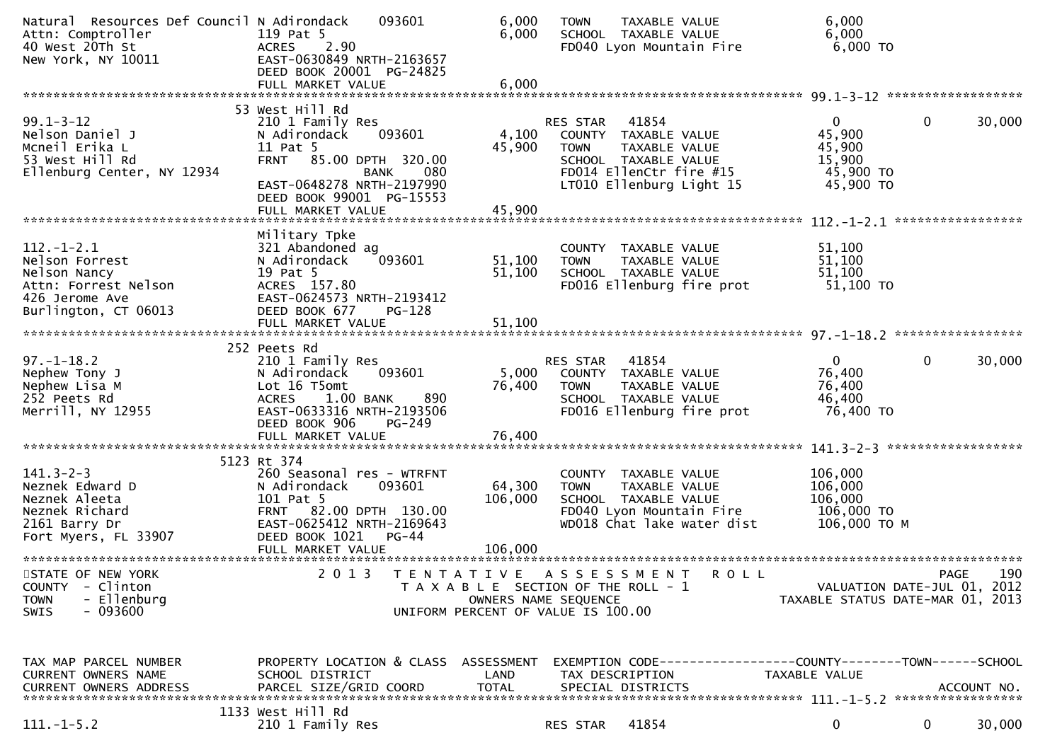| Natural Resources Def Council N Adirondack<br>Attn: Comptroller<br>40 West 20Th St<br>New York, NY 10011             | 093601<br>119 Pat 5<br>2.90<br><b>ACRES</b><br>EAST-0630849 NRTH-2163657<br>DEED BOOK 20001 PG-24825                                                                                                       | 6,000<br>6,000                                                                                      | <b>TOWN</b>                    | TAXABLE VALUE<br>SCHOOL TAXABLE VALUE<br>FD040 Lyon Mountain Fire                                                             | 6,000<br>6,000<br>6,000 TO                                                    |                    |             |
|----------------------------------------------------------------------------------------------------------------------|------------------------------------------------------------------------------------------------------------------------------------------------------------------------------------------------------------|-----------------------------------------------------------------------------------------------------|--------------------------------|-------------------------------------------------------------------------------------------------------------------------------|-------------------------------------------------------------------------------|--------------------|-------------|
|                                                                                                                      | FULL MARKET VALUE                                                                                                                                                                                          | 6,000                                                                                               |                                |                                                                                                                               |                                                                               |                    |             |
| $99.1 - 3 - 12$<br>Nelson Daniel J<br>Mcneil Erika L<br>53 West Hill Rd<br>Ellenburg Center, NY 12934                | 53 West Hill Rd<br>210 1 Family Res<br>093601<br>N Adirondack<br>11 Pat 5<br><b>FRNT</b><br>85.00 DPTH 320.00<br>080<br>BANK<br>EAST-0648278 NRTH-2197990<br>DEED BOOK 99001 PG-15553<br>FULL MARKET VALUE | 4,100<br>45,900<br>45,900                                                                           | RES STAR<br><b>TOWN</b>        | 41854<br>COUNTY TAXABLE VALUE<br>TAXABLE VALUE<br>SCHOOL TAXABLE VALUE<br>FD014 EllenCtr fire #15<br>LT010 Ellenburg Light 15 | 0<br>45,900<br>45,900<br>15,900<br>45,900 TO<br>45,900 TO                     | 0                  | 30,000      |
| $112. - 1 - 2.1$<br>Nelson Forrest<br>Nelson Nancy<br>Attn: Forrest Nelson<br>426 Jerome Ave<br>Burlington, CT 06013 | Military Tpke<br>321 Abandoned ag<br>093601<br>N Adirondack<br>19 Pat 5<br>ACRES 157.80<br>EAST-0624573 NRTH-2193412<br>DEED BOOK 677<br>PG-128<br>FULL MARKET VALUE                                       | 51,100<br>51,100<br>51,100                                                                          | <b>TOWN</b>                    | COUNTY TAXABLE VALUE<br>TAXABLE VALUE<br>SCHOOL TAXABLE VALUE<br>FD016 Ellenburg fire prot                                    | 51,100<br>51,100<br>51,100<br>51,100 TO                                       |                    |             |
|                                                                                                                      | 252 Peets Rd                                                                                                                                                                                               |                                                                                                     |                                |                                                                                                                               |                                                                               |                    |             |
| $97. - 1 - 18.2$<br>Nephew Tony J<br>Nephew Lisa M<br>252 Peets Rd<br>Merrill, NY 12955                              | 210 1 Family Res<br>093601<br>N Adirondack<br>Lot 16 T5omt<br>1.00 BANK<br><b>ACRES</b><br>890<br>EAST-0633316 NRTH-2193506<br>DEED BOOK 906<br>PG-249<br>FULL MARKET VALUE                                | 5,000<br>76,400<br>76,400                                                                           | <b>RES STAR</b><br><b>TOWN</b> | 41854<br>COUNTY TAXABLE VALUE<br>TAXABLE VALUE<br>SCHOOL TAXABLE VALUE<br>FD016 Ellenburg fire prot                           | $\mathbf 0$<br>76,400<br>76,400<br>46,400<br>76,400 TO                        | 0                  | 30,000      |
|                                                                                                                      |                                                                                                                                                                                                            |                                                                                                     |                                |                                                                                                                               |                                                                               | ****************** |             |
| $141.3 - 2 - 3$<br>Neznek Edward D<br>Neznek Aleeta<br>Neznek Richard<br>2161 Barry Dr<br>Fort Myers, FL 33907       | 5123 Rt 374<br>260 Seasonal res - WTRFNT<br>N Adirondack<br>093601<br>101 Pat 5<br>FRNT 82.00 DPTH 130.00<br>EAST-0625412 NRTH-2169643<br>DEED BOOK 1021<br>$PG-44$                                        | 64,300<br>106,000                                                                                   | <b>TOWN</b>                    | COUNTY TAXABLE VALUE<br>TAXABLE VALUE<br>SCHOOL TAXABLE VALUE<br>FD040 Lyon Mountain Fire<br>WD018 Chat lake water dist       | 106,000<br>106,000<br>106,000<br>106,000 TO<br>106,000 ТО М                   |                    |             |
|                                                                                                                      | FULL MARKET VALUE                                                                                                                                                                                          | 106,000                                                                                             |                                |                                                                                                                               |                                                                               |                    |             |
| STATE OF NEW YORK<br><b>COUNTY</b><br>- Clinton<br>- Ellenburg<br><b>TOWN</b><br>$-093600$<br>SWIS                   | 2 0 1 3<br>T E N T A T I V E                                                                                                                                                                               | T A X A B L E SECTION OF THE ROLL - 1<br>OWNERS NAME SEQUENCE<br>UNIFORM PERCENT OF VALUE IS 100.00 |                                | A S S E S S M E N T<br>R O L L                                                                                                | VALUATION DATE-JUL 01, 2012<br>TAXABLE STATUS DATE-MAR 01, 2013               | PAGE               | 190         |
| TAX MAP PARCEL NUMBER<br>CURRENT OWNERS NAME<br><b>CURRENT OWNERS ADDRESS</b>                                        | PROPERTY LOCATION & CLASS<br>SCHOOL DISTRICT<br>PARCEL SIZE/GRID COORD                                                                                                                                     | ASSESSMENT<br>LAND<br><b>TOTAL</b>                                                                  |                                | TAX DESCRIPTION<br>SPECIAL DISTRICTS                                                                                          | EXEMPTION CODE-----------------COUNTY-------TOWN------SCHOOL<br>TAXABLE VALUE |                    | ACCOUNT NO. |
| $111.-1-5.2$                                                                                                         | 1133 West Hill Rd<br>210 1 Family Res                                                                                                                                                                      |                                                                                                     | RES STAR                       | 41854                                                                                                                         | 0                                                                             | 0                  | 30,000      |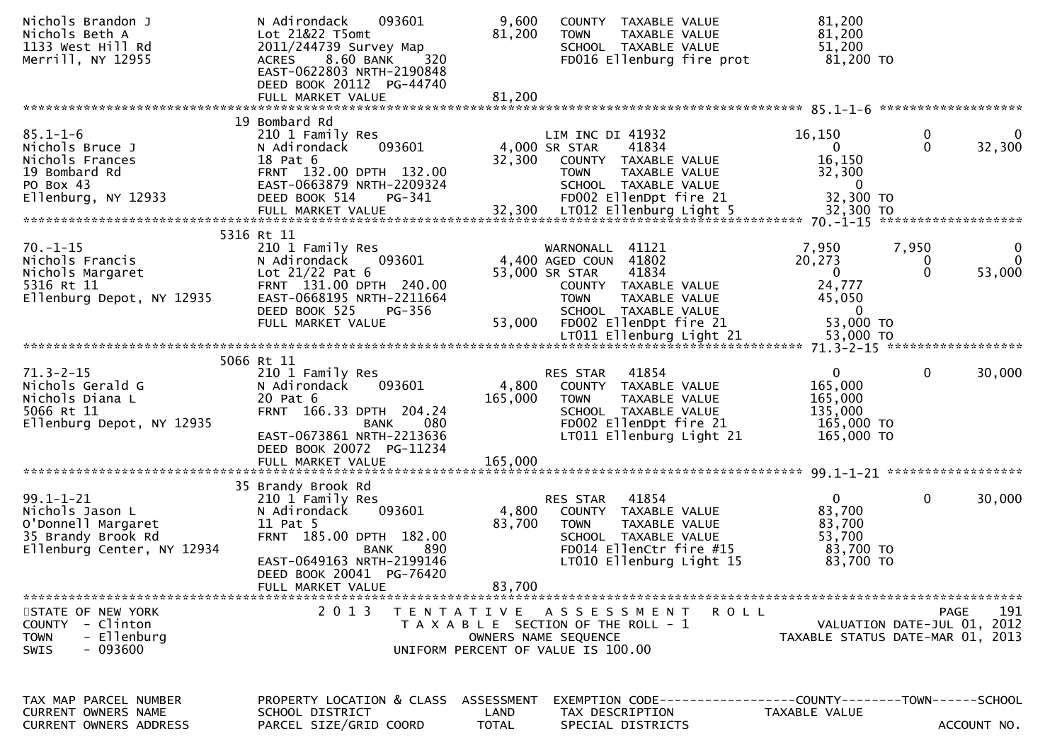| Nichols Brandon J<br>Nichols Beth A<br>1133 West Hill Rd<br>Merrill, NY 12955                                | N Adirondack<br>093601<br>Lot 21&22 T5omt<br>2011/244739 Survey Map<br><b>ACRES</b><br>8.60 BANK<br>320<br>EAST-0622803 NRTH-2190848<br>DEED BOOK 20112 PG-44740<br>FULL MARKET VALUE        | 9,600<br>81,200<br>81,200          | COUNTY TAXABLE VALUE<br><b>TOWN</b><br>TAXABLE VALUE<br>SCHOOL TAXABLE VALUE<br>FD016 Ellenburg fire prot                                                                        | 81,200<br>81,200<br>51,200<br>81,200 TO                                     |                        |                                            |
|--------------------------------------------------------------------------------------------------------------|----------------------------------------------------------------------------------------------------------------------------------------------------------------------------------------------|------------------------------------|----------------------------------------------------------------------------------------------------------------------------------------------------------------------------------|-----------------------------------------------------------------------------|------------------------|--------------------------------------------|
|                                                                                                              |                                                                                                                                                                                              |                                    |                                                                                                                                                                                  |                                                                             |                        | 85.1-1-6 *********************             |
| $85.1 - 1 - 6$<br>Nichols Bruce J<br>Nichols Frances<br>19 Bombard Rd<br>PO Box 43<br>Ellenburg, NY 12933    | 19 Bombard Rd<br>210 1 Family Res<br>093601<br>N Adirondack<br>18 Pat 6<br>FRNT 132.00 DPTH 132.00<br>EAST-0663879 NRTH-2209324<br>DEED BOOK 514<br>PG-341                                   | 32,300                             | LIM INC DI 41932<br>4,000 SR STAR<br>41834<br>COUNTY TAXABLE VALUE<br><b>TOWN</b><br>TAXABLE VALUE<br>SCHOOL TAXABLE VALUE<br>FD002 EllenDpt fire 21                             | 16,150<br>$\mathbf{0}$<br>16,150<br>32,300<br>$\mathbf{0}$<br>32,300 TO     | 0<br>$\mathbf{0}$      | $\Omega$<br>32,300                         |
|                                                                                                              |                                                                                                                                                                                              |                                    |                                                                                                                                                                                  |                                                                             |                        |                                            |
| $70. - 1 - 15$<br>Nichols Francis<br>Nichols Margaret<br>5316 Rt 11<br>Ellenburg Depot, NY 12935             | 5316 Rt 11<br>210 1 Family Res<br>093601<br>N Adirondack<br>Lot $21/22$ Pat 6<br>FRNT 131.00 DPTH 240.00<br>EAST-0668195 NRTH-2211664<br>DEED BOOK 525<br>PG-356<br>FULL MARKET VALUE        | 53,000                             | 41121<br>WARNONALL<br>4,400 AGED COUN 41802<br>41834<br>53,000 SR STAR<br>COUNTY TAXABLE VALUE<br><b>TOWN</b><br>TAXABLE VALUE<br>SCHOOL TAXABLE VALUE<br>FD002 EllenDpt fire 21 | 7,950<br>20,273<br>0<br>24,777<br>45,050<br>$\overline{0}$<br>53,000 TO     | 7,950<br>0<br>$\Omega$ | 0<br>$\Omega$<br>53,000                    |
|                                                                                                              |                                                                                                                                                                                              |                                    | LT011 Ellenburg Light 21                                                                                                                                                         | 53,000 TO                                                                   |                        | 71.3-2-15 *******************              |
| $71.3 - 2 - 15$<br>Nichols Gerald G<br>Nichols Diana L<br>5066 Rt 11<br>Ellenburg Depot, NY 12935            | 5066 Rt 11<br>210 1 Family Res<br>N Adirondack<br>093601<br>20 Pat 6<br>FRNT 166.33 DPTH 204.24<br>080<br>BANK<br>EAST-0673861 NRTH-2213636<br>DEED BOOK 20072 PG-11234<br>FULL MARKET VALUE | 4,800<br>165,000<br>165,000        | 41854<br>RES STAR<br>COUNTY TAXABLE VALUE<br>TAXABLE VALUE<br><b>TOWN</b><br>SCHOOL TAXABLE VALUE<br>FD002 EllenDpt fire 21<br>LT011 Ellenburg Light 21                          | $\overline{0}$<br>165,000<br>165,000<br>135,000<br>165,000 TO<br>165,000 TO | $\mathbf 0$            | 30,000                                     |
|                                                                                                              |                                                                                                                                                                                              |                                    |                                                                                                                                                                                  |                                                                             |                        |                                            |
| $99.1 - 1 - 21$<br>Nichols Jason L<br>O'Donnell Margaret<br>35 Brandy Brook Rd<br>Ellenburg Center, NY 12934 | 35 Brandy Brook Rd<br>210 1 Family Res<br>N Adirondack<br>093601<br>11 Pat 5<br>FRNT 185.00 DPTH 182.00<br>890<br><b>BANK</b><br>EAST-0649163 NRTH-2199146                                   | 4,800<br>83,700                    | 41854<br><b>RES STAR</b><br>COUNTY TAXABLE VALUE<br><b>TOWN</b><br>TAXABLE VALUE<br>SCHOOL TAXABLE VALUE<br>FD014 EllenCtr fire #15<br>LT010 Ellenburg Light 15                  | $\overline{0}$<br>83,700<br>83,700<br>53,700<br>83,700 TO<br>83,700 TO      | $\mathbf 0$            | 30,000                                     |
|                                                                                                              | DEED BOOK 20041 PG-76420<br>FULL MARKET VALUE                                                                                                                                                | 83,700                             |                                                                                                                                                                                  |                                                                             |                        |                                            |
| STATE OF NEW YORK<br><b>COUNTY</b><br>- Clinton<br>- Ellenburg<br><b>TOWN</b><br>$-093600$<br>SWIS           | 2 0 1 3                                                                                                                                                                                      |                                    | TENTATIVE ASSESSMENT<br><b>ROLL</b><br>T A X A B L E SECTION OF THE ROLL - 1<br>OWNERS NAME SEQUENCE<br>UNIFORM PERCENT OF VALUE IS 100.00                                       | TAXABLE STATUS DATE-MAR 01, 2013                                            |                        | 191<br>PAGE<br>VALUATION DATE-JUL 01, 2012 |
| TAX MAP PARCEL NUMBER<br><b>CURRENT OWNERS NAME</b><br>CURRENT OWNERS ADDRESS                                | PROPERTY LOCATION & CLASS<br>SCHOOL DISTRICT<br>PARCEL SIZE/GRID COORD                                                                                                                       | ASSESSMENT<br>LAND<br><b>TOTAL</b> | TAX DESCRIPTION<br>SPECIAL DISTRICTS                                                                                                                                             | TAXABLE VALUE                                                               |                        | ACCOUNT NO.                                |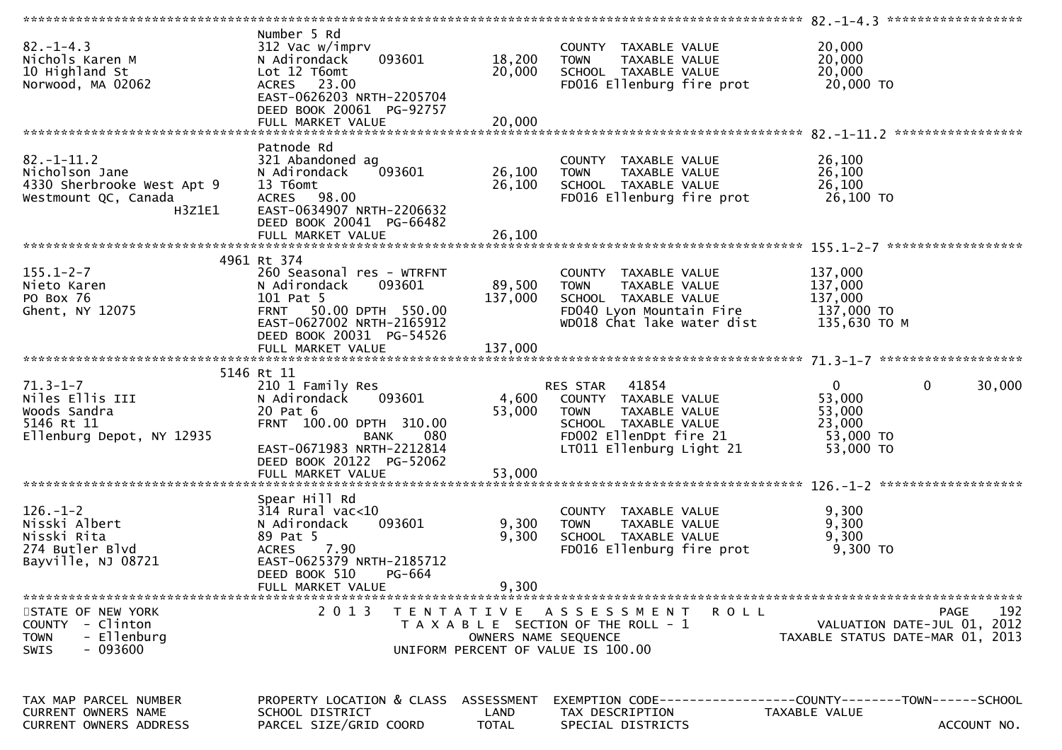| $82. - 1 - 4.3$<br>Nichols Karen M<br>10 Highland St<br>Norwood, MA 02062                          | Number 5 Rd<br>312 Vac w/imprv<br>093601<br>N Adirondack<br>Lot 12 T6omt<br>ACRES 23.00<br>EAST-0626203 NRTH-2205704<br>DEED BOOK 20061 PG-92757             | 18,200<br>20,000              | COUNTY TAXABLE VALUE<br>TAXABLE VALUE<br><b>TOWN</b><br>SCHOOL TAXABLE VALUE<br>FD016 Ellenburg fire prot                                            | 20,000<br>20,000<br>20,000<br>20,000 TO                                                      |
|----------------------------------------------------------------------------------------------------|--------------------------------------------------------------------------------------------------------------------------------------------------------------|-------------------------------|------------------------------------------------------------------------------------------------------------------------------------------------------|----------------------------------------------------------------------------------------------|
|                                                                                                    |                                                                                                                                                              |                               |                                                                                                                                                      |                                                                                              |
| $82. - 1 - 11.2$<br>Nicholson Jane<br>4330 Sherbrooke West Apt 9<br>Westmount QC, Canada<br>H3Z1E1 | Patnode Rd<br>321 Abandoned ag<br>093601<br>N Adirondack<br>13 T6omt<br>ACRES 98.00<br>EAST-0634907 NRTH-2206632<br>DEED BOOK 20041 PG-66482                 | 26,100<br>26,100              | COUNTY TAXABLE VALUE<br><b>TOWN</b><br>TAXABLE VALUE<br>SCHOOL TAXABLE VALUE<br>FD016 Ellenburg fire prot                                            | 26,100<br>26,100<br>26,100<br>26,100 TO                                                      |
|                                                                                                    |                                                                                                                                                              |                               |                                                                                                                                                      |                                                                                              |
| $155.1 - 2 - 7$<br>Nieto Karen<br>PO Box 76<br>Ghent, NY 12075                                     | 4961 Rt 374<br>260 Seasonal res - WTRFNT<br>N Adirondack<br>093601<br>101 Pat 5<br>FRNT 50.00 DPTH 550.00<br>EAST-0627002 NRTH-2165912                       | 89,500<br>137,000             | COUNTY TAXABLE VALUE<br><b>TOWN</b><br>TAXABLE VALUE<br>SCHOOL TAXABLE VALUE<br>FD040 Lyon Mountain Fire<br>WD018 Chat lake water dist               | 137,000<br>137,000<br>137,000<br>137,000 TO<br>135,630 TO M                                  |
|                                                                                                    | DEED BOOK 20031 PG-54526                                                                                                                                     |                               |                                                                                                                                                      |                                                                                              |
| $71.3 - 1 - 7$<br>Niles Ellis III<br>Woods Sandra<br>5146 Rt 11<br>Ellenburg Depot, NY 12935       | 5146 Rt 11<br>210 1 Family Res<br>N Adirondack<br>093601<br>20 Pat 6<br>FRNT 100.00 DPTH 310.00<br>080<br>BANK<br>EAST-0671983 NRTH-2212814                  | 4,600<br>53,000               | RES STAR 41854<br>COUNTY TAXABLE VALUE<br>TAXABLE VALUE<br><b>TOWN</b><br>SCHOOL TAXABLE VALUE<br>FD002 EllenDpt fire 21<br>LT011 Ellenburg Light 21 | $\mathbf 0$<br>$\mathbf 0$<br>30,000<br>53,000<br>53,000<br>23,000<br>53,000 TO<br>53,000 TO |
|                                                                                                    | DEED BOOK 20122 PG-52062<br>FULL MARKET VALUE                                                                                                                | 53,000                        |                                                                                                                                                      |                                                                                              |
| $126. - 1 - 2$<br>Nisski Albert<br>Nisski Rita<br>274 Butler Blvd<br>Bayville, NJ 08721            | Spear Hill Rd<br>$314$ Rural vac< $10$<br>093601<br>N Adirondack<br>89 Pat 5<br>7.90<br><b>ACRES</b><br>EAST-0625379 NRTH-2185712<br>DEED BOOK 510<br>PG-664 | 9,300<br>9,300                | COUNTY TAXABLE VALUE<br><b>TOWN</b><br>TAXABLE VALUE<br>SCHOOL TAXABLE VALUE<br>FD016 Ellenburg fire prot                                            | 9,300<br>9,300<br>9,300<br>$9,300$ TO                                                        |
| STATE OF NEW YORK<br>COUNTY - Clinton<br>- Ellenburg<br><b>TOWN</b>                                | FULL MARKET VALUE<br>2 0 1 3                                                                                                                                 | 9,300<br>OWNERS NAME SEQUENCE | TENTATIVE ASSESSMENT<br><b>ROLL</b><br>T A X A B L E SECTION OF THE ROLL - 1                                                                         | 192<br>PAGE<br>VALUATION DATE-JUL 01, 2012<br>TAXABLE STATUS DATE-MAR 01, 2013               |
| $-093600$<br><b>SWIS</b><br>TAX MAP PARCEL NUMBER<br>CURRENT OWNERS NAME<br>CURRENT OWNERS ADDRESS | PROPERTY LOCATION & CLASS ASSESSMENT<br>SCHOOL DISTRICT<br>PARCEL SIZE/GRID COORD                                                                            | LAND<br><b>TOTAL</b>          | UNIFORM PERCENT OF VALUE IS 100.00<br>TAX DESCRIPTION<br>SPECIAL DISTRICTS                                                                           | TAXABLE VALUE<br>ACCOUNT NO.                                                                 |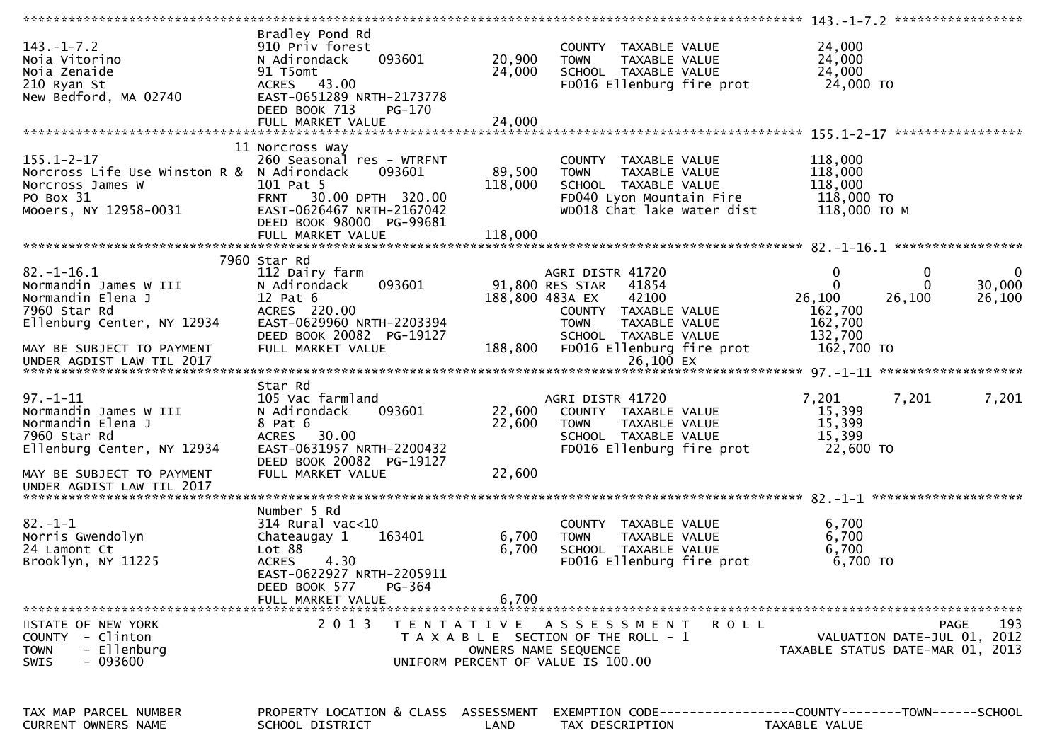|                                                                                                                          |                                                                                                                                                                                       |                              |                                                                                                                                        | $143. -1 - 7.2$ ******************                                                 |                       |
|--------------------------------------------------------------------------------------------------------------------------|---------------------------------------------------------------------------------------------------------------------------------------------------------------------------------------|------------------------------|----------------------------------------------------------------------------------------------------------------------------------------|------------------------------------------------------------------------------------|-----------------------|
| $143. - 1 - 7.2$<br>Noja Vitorino<br>Noia Zenaide<br>210 Ryan St<br>New Bedford, MA 02740                                | Bradley Pond Rd<br>910 Priv forest<br>093601<br>N Adirondack<br>91 T5omt<br>ACRES 43.00<br>EAST-0651289 NRTH-2173778<br>DEED BOOK 713<br>PG-170                                       | 20,900<br>24,000             | COUNTY TAXABLE VALUE<br><b>TOWN</b><br>TAXABLE VALUE<br>SCHOOL TAXABLE VALUE<br>FD016 Ellenburg fire prot                              | 24,000<br>24,000<br>24,000<br>24,000 TO                                            |                       |
|                                                                                                                          |                                                                                                                                                                                       |                              |                                                                                                                                        |                                                                                    |                       |
| $155.1 - 2 - 17$<br>Norcross Life Use Winston R & N Adirondack<br>Norcross James W<br>PO Box 31<br>Mooers, NY 12958-0031 | 11 Norcross Way<br>260 Seasonal res - WTRFNT<br>093601<br>101 Pat 5<br>30.00 DPTH 320.00<br><b>FRNT</b><br>EAST-0626467 NRTH-2167042<br>DEED BOOK 98000 PG-99681<br>FULL MARKET VALUE | 89,500<br>118,000<br>118,000 | COUNTY TAXABLE VALUE<br><b>TOWN</b><br>TAXABLE VALUE<br>SCHOOL TAXABLE VALUE<br>FD040 Lyon Mountain Fire<br>WD018 Chat lake water dist | 118,000<br>118,000<br>118,000<br>118,000 TO<br>118,000 ТО М                        |                       |
|                                                                                                                          |                                                                                                                                                                                       |                              |                                                                                                                                        |                                                                                    |                       |
| $82.-1-16.1$<br>Normandin James W III<br>Normandin Elena J<br>7960 Star Rd<br>Ellenburg Center, NY 12934                 | 7960 Star Rd<br>112 Dairy farm<br>093601<br>N Adirondack<br>$12$ Pat $6$<br>ACRES 220.00<br>EAST-0629960 NRTH-2203394                                                                 |                              | AGRI DISTR 41720<br>91,800 RES STAR<br>41854<br>42100<br>188,800 483A EX<br>COUNTY TAXABLE VALUE<br><b>TOWN</b><br>TAXABLE VALUE       | $\mathbf 0$<br>0<br>$\Omega$<br>$\Omega$<br>26,100<br>26,100<br>162,700<br>162,700 | 0<br>30,000<br>26,100 |
| MAY BE SUBJECT TO PAYMENT                                                                                                | DEED BOOK 20082 PG-19127<br>FULL MARKET VALUE                                                                                                                                         | 188,800                      | SCHOOL TAXABLE VALUE<br>FD016 Ellenburg fire prot                                                                                      | 132,700<br>162,700 TO                                                              |                       |
|                                                                                                                          | Star Rd                                                                                                                                                                               |                              |                                                                                                                                        |                                                                                    |                       |
| $97. - 1 - 11$<br>Normandin James W III<br>Normandin Elena J<br>7960 Star Rd<br>Ellenburg Center, NY 12934               | 105 Vac farmland<br>093601<br>N Adirondack<br>8 Pat 6<br>30.00<br><b>ACRES</b><br>EAST-0631957 NRTH-2200432<br>DEED BOOK 20082 PG-19127                                               | 22,600<br>22,600             | AGRI DISTR 41720<br>COUNTY TAXABLE VALUE<br><b>TOWN</b><br>TAXABLE VALUE<br>SCHOOL TAXABLE VALUE<br>FD016 Ellenburg fire prot          | 7,201<br>7,201<br>15,399<br>15,399<br>15,399<br>22,600 TO                          | 7,201                 |
| MAY BE SUBJECT TO PAYMENT                                                                                                | FULL MARKET VALUE                                                                                                                                                                     | 22,600                       |                                                                                                                                        |                                                                                    |                       |
| UNDER AGDIST LAW TIL 2017                                                                                                |                                                                                                                                                                                       |                              |                                                                                                                                        |                                                                                    |                       |
| $82 - 1 - 1$<br>Norris Gwendolyn<br>24 Lamont Ct<br>Brooklyn, NY 11225                                                   | Number 5 Rd<br>$314$ Rural vac<10<br>163401<br>Chateaugay 1<br>Lot 88<br>4.30<br><b>ACRES</b><br>EAST-0622927 NRTH-2205911<br>DEED BOOK 577<br>PG-364<br>FULL MARKET VALUE            | 6,700<br>6,700<br>6,700      | COUNTY TAXABLE VALUE<br>TAXABLE VALUE<br><b>TOWN</b><br>SCHOOL TAXABLE VALUE<br>FD016 Ellenburg fire prot                              | 6,700<br>6,700<br>6,700<br>6,700 TO                                                |                       |
|                                                                                                                          |                                                                                                                                                                                       |                              |                                                                                                                                        |                                                                                    |                       |
| STATE OF NEW YORK<br>COUNTY - Clinton<br>- Ellenburg<br><b>TOWN</b><br>- 093600<br><b>SWIS</b>                           | 2 0 1 3                                                                                                                                                                               | T E N T A T I V E            | A S S E S S M E N T<br>R O L L<br>T A X A B L E SECTION OF THE ROLL - 1<br>OWNERS NAME SEQUENCE<br>UNIFORM PERCENT OF VALUE IS 100.00  | VALUATION DATE-JUL 01, 2012<br>TAXABLE STATUS DATE-MAR 01, 2013                    | 193<br>PAGE           |
| TAX MAP PARCEL NUMBER<br>CURRENT OWNERS NAME                                                                             | PROPERTY LOCATION & CLASS ASSESSMENT<br>SCHOOL DISTRICT                                                                                                                               | LAND                         | EXEMPTION CODE-----------------COUNTY-------TOWN------SCHOOL<br>TAX DESCRIPTION                                                        | <b>TAXABLE VALUE</b>                                                               |                       |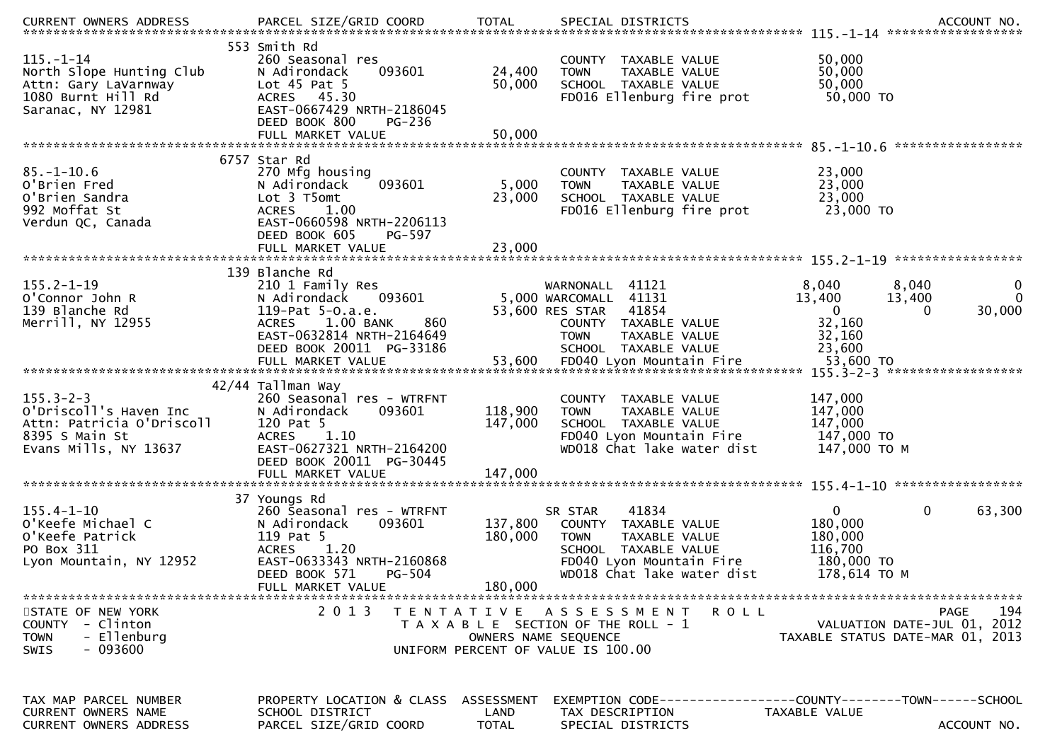| $115. - 1 - 14$<br>North Slope Hunting Club<br>Attn: Gary LaVarnway<br>1080 Burnt Hill Rd<br>Saranac, NY 12981    | 553 Smith Rd<br>260 Seasonal res<br>093601<br>N Adirondack<br>Lot $45$ Pat $5$<br>ACRES 45.30<br>EAST-0667429 NRTH-2186045<br>DEED BOOK 800<br>PG-236                           | 24,400<br>50,000                   | COUNTY TAXABLE VALUE<br>TAXABLE VALUE<br><b>TOWN</b><br>SCHOOL TAXABLE VALUE<br>FD016 Ellenburg fire prot                                                  | 50,000<br>50,000<br>50,000<br>50,000 TO                                                                                |
|-------------------------------------------------------------------------------------------------------------------|---------------------------------------------------------------------------------------------------------------------------------------------------------------------------------|------------------------------------|------------------------------------------------------------------------------------------------------------------------------------------------------------|------------------------------------------------------------------------------------------------------------------------|
|                                                                                                                   | FULL MARKET VALUE                                                                                                                                                               | 50,000                             |                                                                                                                                                            |                                                                                                                        |
| $85. - 1 - 10.6$<br>O'Brien Fred<br>O'Brien Sandra<br>992 Moffat St<br>Verdun QC, Canada                          | 6757 Star Rd<br>270 Mfg housing<br>N Adirondack<br>093601<br>Lot 3 T5omt<br><b>ACRES</b><br>1.00<br>EAST-0660598 NRTH-2206113<br>DEED BOOK 605<br>PG-597                        | 5,000<br>23,000                    | COUNTY TAXABLE VALUE<br>TAXABLE VALUE<br><b>TOWN</b><br>SCHOOL TAXABLE VALUE<br>FD016 Ellenburg fire prot                                                  | 23,000<br>23,000<br>23,000<br>23,000 TO                                                                                |
|                                                                                                                   |                                                                                                                                                                                 |                                    |                                                                                                                                                            |                                                                                                                        |
| $155.2 - 1 - 19$<br>O'Connor John R<br>139 Blanche Rd<br>Merrill, NY 12955                                        | 139 Blanche Rd<br>210 1 Family Res<br>093601<br>N Adirondack<br>119-Pat 5-0.a.e.<br>$1.00$ BANK<br><b>ACRES</b><br>860<br>EAST-0632814 NRTH-2164649<br>DEED BOOK 20011 PG-33186 |                                    | WARNONALL 41121<br>5,000 WARCOMALL 41131<br>53,600 RES STAR<br>41854<br>COUNTY TAXABLE VALUE<br><b>TOWN</b><br>TAXABLE VALUE<br>SCHOOL TAXABLE VALUE       | 8,040<br>8,040<br>0<br>$\mathbf 0$<br>13,400<br>13,400<br>30,000<br>$\Omega$<br>$\Omega$<br>32,160<br>32,160<br>23,600 |
|                                                                                                                   |                                                                                                                                                                                 |                                    |                                                                                                                                                            |                                                                                                                        |
| $155.3 - 2 - 3$<br>O'Driscoll's Haven Inc<br>Attn: Patricia O'Driscoll<br>8395 S Main St<br>Evans Mills, NY 13637 | 42/44 Tallman Way<br>260 Seasonal res - WTRFNT<br>093601<br>N Adirondack<br>120 Pat 5<br>1.10<br><b>ACRES</b><br>EAST-0627321 NRTH-2164200<br>DEED BOOK 20011 PG-30445          | 118,900<br>147,000                 | COUNTY TAXABLE VALUE<br>TAXABLE VALUE<br><b>TOWN</b><br>SCHOOL TAXABLE VALUE<br>FD040 Lyon Mountain Fire<br>WD018 Chat lake water dist                     | 147,000<br>147,000<br>147,000<br>147,000 TO<br>147,000 TO M                                                            |
|                                                                                                                   |                                                                                                                                                                                 |                                    |                                                                                                                                                            |                                                                                                                        |
| $155.4 - 1 - 10$<br>O'Keefe Michael C<br>O'Keefe Patrick<br>PO Box 311<br>Lyon Mountain, NY 12952                 | 37 Youngs Rd<br>260 Seasonal res - WTRFNT<br>N Adirondack<br>093601<br>119 Pat 5<br>1.20<br><b>ACRES</b><br>EAST-0633343 NRTH-2160868<br>DEED BOOK 571<br>PG-504                | 137,800<br>180,000                 | 41834<br>SR STAR<br>COUNTY TAXABLE VALUE<br><b>TOWN</b><br>TAXABLE VALUE<br>SCHOOL TAXABLE VALUE<br>FD040 Lyon Mountain Fire<br>WD018 Chat lake water dist | $\mathbf{0}$<br>0<br>63,300<br>180,000<br>180,000<br>116,700<br>180,000 TO<br>178,614 ТО М                             |
| STATE OF NEW YORK<br>COUNTY - Clinton<br>- Ellenburg<br><b>TOWN</b><br>$-093600$<br><b>SWIS</b>                   | FULL MARKET VALUE<br>2013                                                                                                                                                       | 180,000                            | TENTATIVE ASSESSMENT<br><b>ROLL</b><br>T A X A B L E SECTION OF THE ROLL - 1<br>OWNERS NAME SEQUENCE<br>UNIFORM PERCENT OF VALUE IS 100.00                 | 194<br>PAGE<br>VALUATION DATE-JUL 01, 2012<br>TAXABLE STATUS DATE-MAR 01, 2013                                         |
| TAX MAP PARCEL NUMBER<br><b>CURRENT OWNERS NAME</b><br><b>CURRENT OWNERS ADDRESS</b>                              | PROPERTY LOCATION & CLASS<br>SCHOOL DISTRICT<br>PARCEL SIZE/GRID COORD                                                                                                          | ASSESSMENT<br>LAND<br><b>TOTAL</b> | TAX DESCRIPTION<br>SPECIAL DISTRICTS                                                                                                                       | TAXABLE VALUE<br>ACCOUNT NO.                                                                                           |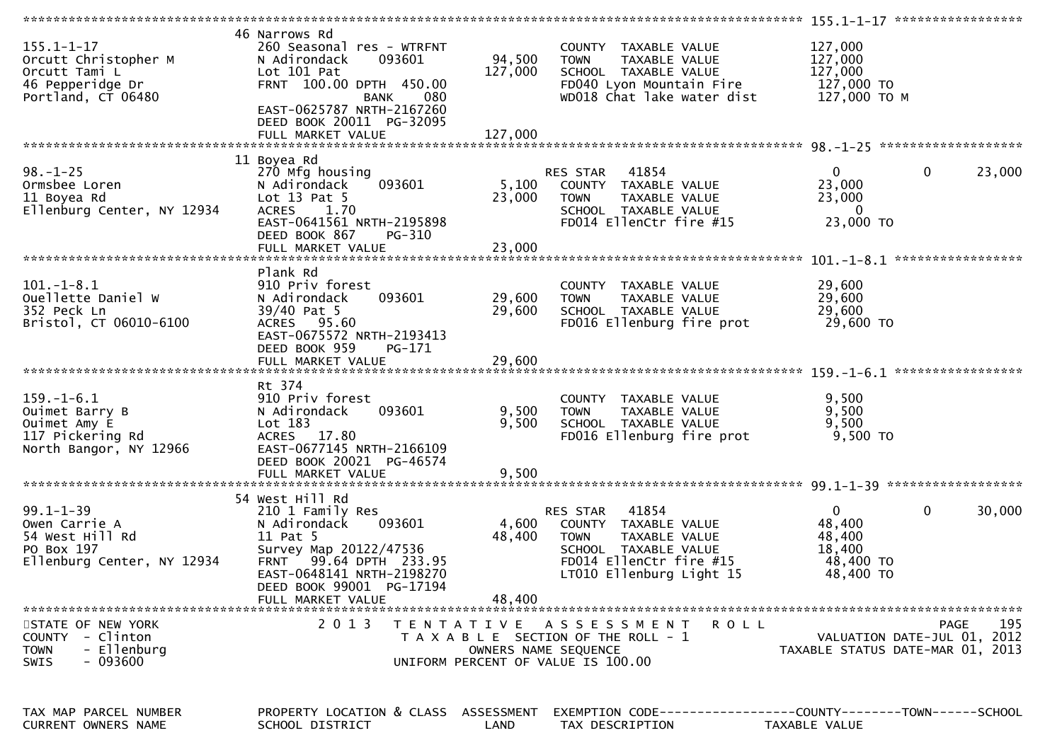| $155.1 - 1 - 17$<br>Orcutt Christopher M<br>Orcutt Tami L<br>46 Pepperidge Dr<br>Portland, CT 06480 | 46 Narrows Rd<br>260 Seasonal res - WTRFNT<br>093601<br>N Adirondack<br>Lot 101 Pat<br>FRNT 100.00 DPTH 450.00<br>080<br><b>BANK</b><br>EAST-0625787 NRTH-2167260<br>DEED BOOK 20011 PG-32095<br>FULL MARKET VALUE | 94,500<br>127,000<br>127,000 | COUNTY TAXABLE VALUE<br><b>TOWN</b><br>TAXABLE VALUE<br>SCHOOL TAXABLE VALUE<br>FD040 Lyon Mountain Fire<br>WD018 Chat lake water dist                   | 127,000<br>127,000<br>127,000<br>127,000 TO<br>127,000 ТО М      |                                            |
|-----------------------------------------------------------------------------------------------------|--------------------------------------------------------------------------------------------------------------------------------------------------------------------------------------------------------------------|------------------------------|----------------------------------------------------------------------------------------------------------------------------------------------------------|------------------------------------------------------------------|--------------------------------------------|
|                                                                                                     |                                                                                                                                                                                                                    |                              |                                                                                                                                                          |                                                                  |                                            |
| $98. - 1 - 25$<br>Ormsbee Loren<br>11 Boyea Rd<br>Ellenburg Center, NY 12934                        | 11 Boyea Rd<br>270 Mfg housing<br>093601<br>N Adirondack<br>Lot $13$ Pat $5$<br><b>ACRES</b><br>1.70<br>EAST-0641561 NRTH-2195898<br>DEED BOOK 867<br>PG-310                                                       | 5,100<br>23,000              | 41854<br>RES STAR<br>COUNTY TAXABLE VALUE<br>TAXABLE VALUE<br><b>TOWN</b><br>SCHOOL TAXABLE VALUE<br>FD014 EllenCtr fire #15                             | 0<br>23,000<br>23,000<br>$\Omega$<br>23,000 TO                   | 0<br>23,000                                |
|                                                                                                     |                                                                                                                                                                                                                    |                              |                                                                                                                                                          |                                                                  |                                            |
| $101.-1-8.1$<br>Ouellette Daniel W<br>352 Peck Ln<br>Bristol, CT 06010-6100                         | Plank Rd<br>910 Priv forest<br>093601<br>N Adirondack<br>39/40 Pat 5<br>ACRES 95.60<br>EAST-0675572 NRTH-2193413<br>DEED BOOK 959<br>PG-171                                                                        | 29,600<br>29,600             | COUNTY TAXABLE VALUE<br>TAXABLE VALUE<br><b>TOWN</b><br>SCHOOL TAXABLE VALUE<br>FD016 Ellenburg fire prot                                                | 29,600<br>29,600<br>29,600<br>29,600 TO                          |                                            |
|                                                                                                     | FULL MARKET VALUE                                                                                                                                                                                                  | 29,600                       |                                                                                                                                                          |                                                                  |                                            |
| $159. - 1 - 6.1$<br>Ouimet Barry B<br>Ouimet Amy E<br>117 Pickering Rd<br>North Bangor, NY 12966    | Rt 374<br>910 Priv forest<br>N Adirondack<br>093601<br>Lot 183<br>ACRES 17.80<br>EAST-0677145 NRTH-2166109<br>DEED BOOK 20021 PG-46574                                                                             | 9,500<br>9,500               | COUNTY TAXABLE VALUE<br>TAXABLE VALUE<br><b>TOWN</b><br>SCHOOL TAXABLE VALUE<br>FD016 Ellenburg fire prot                                                | 9,500<br>9,500<br>9,500<br>9,500 TO                              |                                            |
| $99.1 - 1 - 39$<br>Owen Carrie A<br>54 West Hill Rd<br>PO Box 197<br>Ellenburg Center, NY 12934     | 54 West Hill Rd<br>210 1 Family Res<br>093601<br>N Adirondack<br>11 Pat 5<br>Survey Map 20122/47536<br>FRNT 99.64 DPTH 233.95<br>EAST-0648141 NRTH-2198270<br>DEED BOOK 99001 PG-17194<br>FULL MARKET VALUE        | 4,600<br>48,400<br>48,400    | 41854<br>RES STAR<br>COUNTY TAXABLE VALUE<br>TAXABLE VALUE<br><b>TOWN</b><br>SCHOOL TAXABLE VALUE<br>FD014 EllenCtr fire #15<br>LT010 Ellenburg Light 15 | $\Omega$<br>48,400<br>48,400<br>18,400<br>48,400 TO<br>48,400 TO | 0<br>30,000                                |
| STATE OF NEW YORK<br>COUNTY - Clinton<br>- Ellenburg<br><b>TOWN</b><br>$-093600$<br><b>SWIS</b>     | 2 0 1 3                                                                                                                                                                                                            |                              | TENTATIVE ASSESSMENT<br>R O L L<br>T A X A B L E SECTION OF THE ROLL - 1<br>OWNERS NAME SEQUENCE<br>UNIFORM PERCENT OF VALUE IS 100.00                   | TAXABLE STATUS DATE-MAR 01, 2013                                 | 195<br>PAGE<br>VALUATION DATE-JUL 01, 2012 |
| TAX MAP PARCEL NUMBER<br>CURRENT OWNERS NAME                                                        | PROPERTY LOCATION & CLASS ASSESSMENT<br>SCHOOL DISTRICT                                                                                                                                                            | LAND                         | EXEMPTION CODE-----------------COUNTY-------TOWN------SCHOOL<br>TAX DESCRIPTION                                                                          | TAXABLE VALUE                                                    |                                            |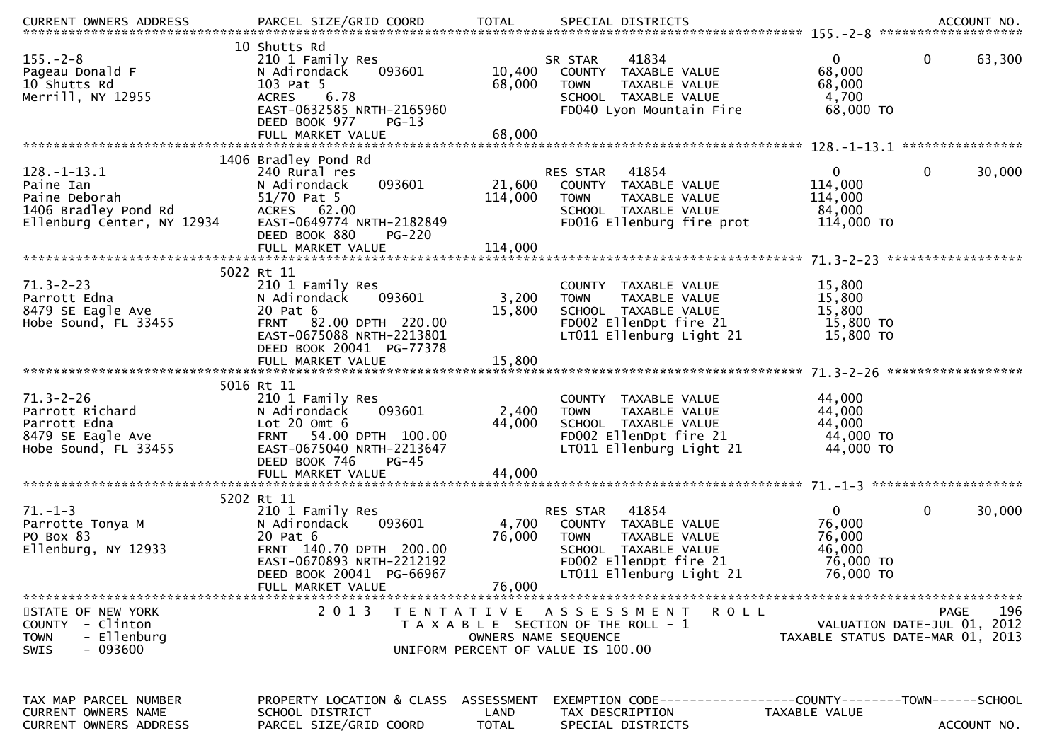| .CURRENT OWNERS ADDRESS PARCEL SIZE/GRID COORD TOTAL SPECIAL DISTRICTS ACCOUNT NO ACCOUNT NO ACCOUNT NO AND ARCEL SIZE/GRID COORD TOTAL SPECIAL DISTRICTS |                                                                                                                                                          |                  |                                                                                                                                                         |                                                                  |                                                                                |
|-----------------------------------------------------------------------------------------------------------------------------------------------------------|----------------------------------------------------------------------------------------------------------------------------------------------------------|------------------|---------------------------------------------------------------------------------------------------------------------------------------------------------|------------------------------------------------------------------|--------------------------------------------------------------------------------|
| $155. - 2 - 8$<br>Pageau Donald F<br>10 Shutts Rd<br>Merrill, NY 12955                                                                                    | 10 Shutts Rd<br>210 1 Family Res<br>093601<br>N Adirondack<br>103 Pat 5<br>6.78<br><b>ACRES</b><br>EAST-0632585 NRTH-2165960<br>DEED BOOK 977<br>$PG-13$ | 10,400<br>68,000 | 41834<br>SR STAR<br>COUNTY TAXABLE VALUE<br>TAXABLE VALUE<br><b>TOWN</b><br>SCHOOL TAXABLE VALUE<br>FD040 Lyon Mountain Fire                            | $\Omega$<br>68,000<br>68,000<br>4,700<br>68,000 TO               | 0<br>63,300                                                                    |
|                                                                                                                                                           | 1406 Bradley Pond Rd                                                                                                                                     |                  |                                                                                                                                                         |                                                                  |                                                                                |
| $128. - 1 - 13.1$<br>Paine Ian<br>Paine Deborah<br>1406 Bradley Pond Rd<br>Fllenburg Center. NY 12934<br>Ellenburg Center, NY 12934                       | 240 Rural res<br>093601<br>N Adirondack<br>51/70 Pat 5<br>ACRES 62.00<br>EAST-0649774 NRTH-2182849<br>DEED BOOK 880<br><b>PG-220</b>                     | 114,000          | RES STAR 41854<br>21,600 COUNTY TAXABLE VALUE<br>TAXABLE VALUE<br><b>TOWN</b><br>SCHOOL TAXABLE VALUE<br>FD016 Ellenburg fire prot                      | $\mathbf{0}$<br>114,000<br>114,000<br>84,000<br>114,000 TO       | $\mathbf 0$<br>30,000                                                          |
|                                                                                                                                                           |                                                                                                                                                          |                  |                                                                                                                                                         |                                                                  |                                                                                |
| $71.3 - 2 - 23$<br>Parrott Edna<br>8479 SE Eagle Ave<br>Hobe Sound, FL 33455                                                                              | 5022 Rt 11<br>210 1 Family Res<br>093601<br>N Adirondack<br>20 Pat 6<br>FRNT 82.00 DPTH 220.00<br>EAST-0675088 NRTH-2213801<br>DEED BOOK 20041 PG-77378  | 3,200<br>15,800  | COUNTY TAXABLE VALUE<br><b>TOWN</b><br>TAXABLE VALUE<br>SCHOOL TAXABLE VALUE<br>FD002 EllenDpt fire 21<br>LT011 Ellenburg Light 21                      | 15,800<br>15,800<br>15,800<br>15,800 TO<br>15,800 TO             |                                                                                |
|                                                                                                                                                           | 5016 Rt 11                                                                                                                                               |                  |                                                                                                                                                         |                                                                  |                                                                                |
| $71.3 - 2 - 26$<br>Parrott Richard<br>Parrott Edna<br>8479 SE Eagle Ave<br>Hobe Sound, FL 33455                                                           | 210 1 Family Res<br>093601<br>N Adirondack<br>Lot $20$ Omt $6$<br>FRNT 54.00 DPTH 100.00<br>EAST-0675040 NRTH-2213647<br>DEED BOOK 746<br>$PG-45$        | 2,400<br>44,000  | COUNTY TAXABLE VALUE<br>TAXABLE VALUE<br><b>TOWN</b><br>SCHOOL TAXABLE VALUE<br>FD002 EllenDpt fire 21<br>LT011 Ellenburg Light 21                      | 44,000<br>44,000<br>44,000<br>44,000 TO<br>44,000 TO             |                                                                                |
|                                                                                                                                                           |                                                                                                                                                          |                  |                                                                                                                                                         |                                                                  |                                                                                |
| $71. - 1 - 3$<br>Parrotte Tonya M<br>PO Box 83<br>Ellenburg, NY 12933                                                                                     | 5202 Rt 11<br>210 1 Family Res<br>093601<br>N Adirondack<br>20 Pat 6<br>FRNT 140.70 DPTH 200.00<br>EAST-0670893 NRTH-2212192<br>DEED BOOK 20041 PG-66967 | 4,700<br>76,000  | RES STAR<br>41854<br>COUNTY TAXABLE VALUE<br><b>TOWN</b><br>TAXABLE VALUE<br>SCHOOL TAXABLE VALUE<br>FD002 EllenDpt fire 21<br>LT011 Ellenburg Light 21 | $\Omega$<br>76,000<br>76,000<br>46,000<br>76,000 TO<br>76,000 TO | 0<br>30,000                                                                    |
|                                                                                                                                                           | FULL MARKET VALUE                                                                                                                                        | 76,000           |                                                                                                                                                         |                                                                  |                                                                                |
| STATE OF NEW YORK<br>COUNTY - Clinton<br>- Ellenburg<br><b>TOWN</b><br>- 093600<br><b>SWIS</b>                                                            | 2 0 1 3                                                                                                                                                  |                  | TENTATIVE ASSESSMENT<br>R O L L<br>T A X A B L E SECTION OF THE ROLL - 1<br>OWNERS NAME SEOUENCE<br>UNIFORM PERCENT OF VALUE IS 100.00                  |                                                                  | 196<br>PAGE<br>VALUATION DATE-JUL 01, 2012<br>TAXABLE STATUS DATE-MAR 01, 2013 |
| TAX MAP PARCEL NUMBER<br><b>CURRENT OWNERS NAME</b><br>CURRENT OWNERS ADDRESS                                                                             | PROPERTY LOCATION & CLASS ASSESSMENT<br>SCHOOL DISTRICT<br>PARCEL SIZE/GRID COORD                                                                        | LAND<br>TOTAL    | TAX DESCRIPTION<br>SPECIAL DISTRICTS                                                                                                                    | TAXABLE VALUE                                                    | ACCOUNT NO.                                                                    |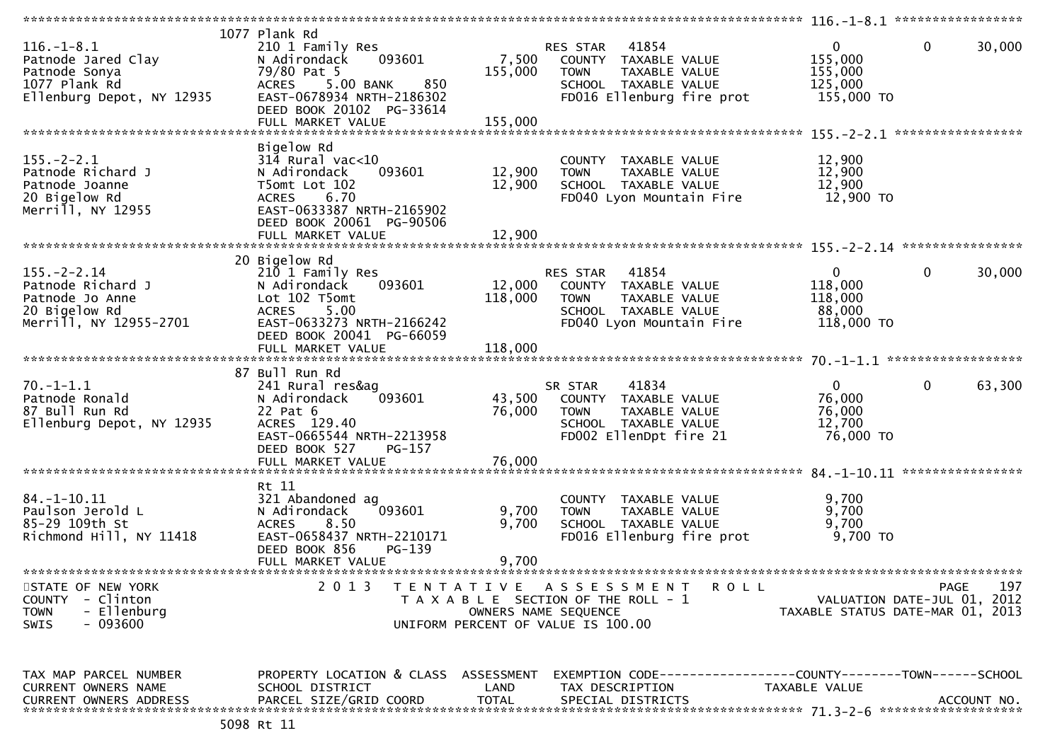|                                                                                                       |                                                                                                                                                                                   |                            |                                                                                                                                            | $116. - 1 - 8.1$ ******************                         |                                            |
|-------------------------------------------------------------------------------------------------------|-----------------------------------------------------------------------------------------------------------------------------------------------------------------------------------|----------------------------|--------------------------------------------------------------------------------------------------------------------------------------------|-------------------------------------------------------------|--------------------------------------------|
| $116. - 1 - 8.1$<br>Patnode Jared Clay<br>Patnode Sonya<br>1077 Plank Rd<br>Ellenburg Depot, NY 12935 | 1077 Plank Rd<br>210 1 Family Res<br>N Adirondack<br>093601<br>79/80 Pat 5<br><b>ACRES</b><br>5.00 BANK<br>850<br>EAST-0678934 NRTH-2186302<br>DEED BOOK 20102 PG-33614           | 7,500<br>155,000           | 41854<br>RES STAR<br>COUNTY TAXABLE VALUE<br>TAXABLE VALUE<br><b>TOWN</b><br>SCHOOL TAXABLE VALUE<br>FD016 Ellenburg fire prot             | $\mathbf{0}$<br>155,000<br>155,000<br>125,000<br>155,000 TO | 0<br>30,000                                |
| $155. - 2 - 2.1$<br>Patnode Richard J<br>Patnode Joanne<br>20 Bigelow Rd<br>Merrill, NY 12955         | Bigelow Rd<br>$314$ Rural vac<10<br>093601<br>N Adirondack<br>T5omt Lot 102<br>6.70<br><b>ACRES</b><br>EAST-0633387 NRTH-2165902<br>DEED BOOK 20061 PG-90506<br>FULL MARKET VALUE | 12,900<br>12,900<br>12,900 | COUNTY TAXABLE VALUE<br>TAXABLE VALUE<br><b>TOWN</b><br>SCHOOL TAXABLE VALUE<br>FD040 Lyon Mountain Fire                                   | 12,900<br>12,900<br>12,900<br>12,900 TO                     | ****************                           |
| $155. - 2 - 2.14$<br>Patnode Richard J<br>Patnode Jo Anne<br>20 Bigelow Rd                            | 20 Bigelow Rd<br>210 1 Family Res<br>093601<br>N Adirondack<br>Lot 102 T5omt<br>5.00<br><b>ACRES</b>                                                                              | 12,000<br>118,000          | 41854<br><b>RES STAR</b><br>COUNTY TAXABLE VALUE<br><b>TOWN</b><br>TAXABLE VALUE<br>SCHOOL TAXABLE VALUE                                   | $\mathbf{0}$<br>118,000<br>118,000<br>88,000                | 0<br>30,000                                |
| Merrill, NY 12955-2701                                                                                | EAST-0633273 NRTH-2166242<br>DEED BOOK 20041 PG-66059<br>FULL MARKET VALUE<br>87 Bull Run Rd                                                                                      | 118,000                    | FD040 Lyon Mountain Fire                                                                                                                   | 118,000 TO                                                  |                                            |
| $70. - 1 - 1.1$<br>Patnode Ronald<br>87 Bull Run Rd<br>Ellenburg Depot, NY 12935                      | 241 Rural res&ag<br>093601<br>N Adirondack<br>22 Pat 6<br>ACRES 129.40<br>EAST-0665544 NRTH-2213958<br>DEED BOOK 527<br>PG-157                                                    | 43,500<br>76,000           | SR STAR<br>41834<br>COUNTY TAXABLE VALUE<br>TAXABLE VALUE<br><b>TOWN</b><br>SCHOOL TAXABLE VALUE<br>FD002 EllenDpt fire 21                 | $\Omega$<br>76,000<br>76,000<br>12,700<br>76,000 TO         | 0<br>63,300                                |
|                                                                                                       | FULL MARKET VALUE                                                                                                                                                                 | 76,000                     |                                                                                                                                            |                                                             | ****************                           |
| $84. - 1 - 10.11$<br>Paulson Jerold L<br>85-29 109th St<br>Richmond Hill, NY 11418                    | Rt 11<br>321 Abandoned ag<br>093601<br>N Adirondack<br>8.50<br><b>ACRES</b><br>EAST-0658437 NRTH-2210171<br>DEED BOOK 856<br>PG-139<br>FULL MARKET VALUE                          | 9,700<br>9,700<br>9,700    | <b>COUNTY</b><br>TAXABLE VALUE<br><b>TOWN</b><br>TAXABLE VALUE<br>SCHOOL TAXABLE VALUE<br>FD016 Ellenburg fire prot                        | 9,700<br>9,700<br>9,700<br>9,700 TO                         |                                            |
| STATE OF NEW YORK<br>COUNTY - Clinton<br><b>TOWN</b><br>- Ellenburg<br>- 093600<br><b>SWIS</b>        | 2013                                                                                                                                                                              |                            | TENTATIVE ASSESSMENT<br><b>ROLL</b><br>T A X A B L E SECTION OF THE ROLL - 1<br>OWNERS NAME SEQUENCE<br>UNIFORM PERCENT OF VALUE IS 100.00 | TAXABLE STATUS DATE-MAR 01, 2013                            | PAGE<br>197<br>VALUATION DATE-JUL 01, 2012 |
| TAX MAP PARCEL NUMBER<br>CURRENT OWNERS NAME<br><b>CURRENT OWNERS ADDRESS</b>                         | PROPERTY LOCATION & CLASS ASSESSMENT<br>SCHOOL DISTRICT<br>PARCEL SIZE/GRID COORD                                                                                                 | LAND<br><b>TOTAL</b>       | TAX DESCRIPTION<br>SPECIAL DISTRICTS                                                                                                       | TAXABLE VALUE                                               | ACCOUNT NO.                                |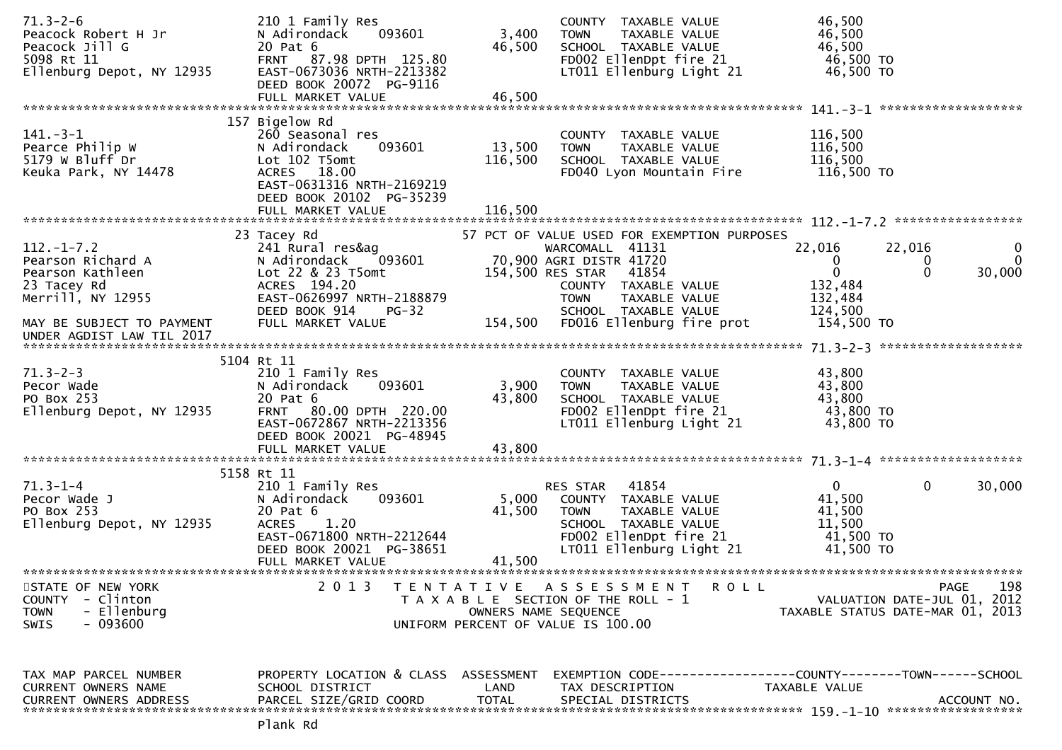| $71.3 - 2 - 6$<br>Peacock Robert H Jr<br>Peacock Jill G<br>5098 Rt 11<br>Ellenburg Depot, NY 12935                                                      | 210 1 Family Res<br>093601<br>N Adirondack<br>20 Pat 6<br>FRNT 87.98 DPTH 125.80<br>EAST-0673036 NRTH-2213382<br>DEED BOOK 20072 PG-9116<br>FULL MARKET VALUE                | 3,400<br>46,500<br>46,500    | COUNTY TAXABLE VALUE<br>TAXABLE VALUE<br><b>TOWN</b><br>SCHOOL TAXABLE VALUE<br>FD002 EllenDpt fire 21<br>LT011 Ellenburg Light 21                                                                                               | 46,500<br>46,500<br>46,500<br>46,500 TO<br>46,500 TO                                                            |                         |
|---------------------------------------------------------------------------------------------------------------------------------------------------------|------------------------------------------------------------------------------------------------------------------------------------------------------------------------------|------------------------------|----------------------------------------------------------------------------------------------------------------------------------------------------------------------------------------------------------------------------------|-----------------------------------------------------------------------------------------------------------------|-------------------------|
| $141 - 3 - 1$<br>Pearce Philip W<br>5179 W Bluff Dr<br>Keuka Park, NY 14478                                                                             | 157 Bigelow Rd<br>260 Seasonal res<br>093601<br>N Adirondack<br>Lot 102 T5omt<br>ACRES 18.00<br>EAST-0631316 NRTH-2169219<br>DEED BOOK 20102 PG-35239<br>FULL MARKET VALUE   | 13,500<br>116,500<br>116,500 | COUNTY TAXABLE VALUE<br>TAXABLE VALUE<br><b>TOWN</b><br>SCHOOL TAXABLE VALUE<br>FD040 Lyon Mountain Fire                                                                                                                         | 116,500<br>116,500<br>116,500<br>116,500 TO                                                                     |                         |
| $112. - 1 - 7.2$<br>Pearson Richard A<br>Pearson Kathleen<br>23 Tacey Rd<br>Merrill, NY 12955<br>MAY BE SUBJECT TO PAYMENT<br>UNDER AGDIST LAW TIL 2017 | 23 Tacey Rd<br>241 Rural res&ag<br>093601<br>N Adirondack<br>Lot 22 & 23 T5omt<br>ACRES 194.20<br>EAST-0626997 NRTH-2188879<br>DEED BOOK 914<br>$PG-32$<br>FULL MARKET VALUE | 154,500                      | 57 PCT OF VALUE USED FOR EXEMPTION PURPOSES<br>WARCOMALL 41131<br>70,900 AGRI DISTR 41720<br>154,500 RES STAR 41854<br>COUNTY TAXABLE VALUE<br>TAXABLE VALUE<br><b>TOWN</b><br>SCHOOL TAXABLE VALUE<br>FD016 Ellenburg fire prot | 22,016<br>22,016<br>$\mathbf{0}$<br>0<br>$\mathbf 0$<br>$\Omega$<br>132,484<br>132,484<br>124,500<br>154,500 TO | 0<br>$\Omega$<br>30,000 |
| $71.3 - 2 - 3$<br>Pecor Wade<br>PO Box 253<br>Ellenburg Depot, NY 12935                                                                                 | 5104 Rt 11<br>210 1 Family Res<br>N Adirondack<br>093601<br>20 Pat 6<br>80.00 DPTH 220.00<br><b>FRNT</b><br>EAST-0672867 NRTH-2213356<br>DEED BOOK 20021 PG-48945            | 3,900<br>43,800              | COUNTY TAXABLE VALUE<br>TAXABLE VALUE<br><b>TOWN</b><br>SCHOOL TAXABLE VALUE<br>FD002 EllenDpt fire 21<br>LT011 Ellenburg Light 21                                                                                               | 43,800<br>43,800<br>43,800<br>43,800 TO<br>43,800 TO                                                            |                         |
| $71.3 - 1 - 4$<br>Pecor Wade J<br>PO Box 253<br>Ellenburg Depot, NY 12935                                                                               | 5158 Rt 11<br>210 1 Family Res<br>093601<br>N Adirondack<br>20 Pat 6<br><b>ACRES</b><br>1.20<br>EAST-0671800 NRTH-2212644<br>DEED BOOK 20021 PG-38651<br>FULL MARKET VALUE   | 5,000<br>41,500<br>41,500    | 41854<br>RES STAR<br>COUNTY TAXABLE VALUE<br><b>TOWN</b><br>TAXABLE VALUE<br>SCHOOL TAXABLE VALUE<br>FD002 EllenDpt fire 21<br>LT011 Ellenburg Light 21                                                                          | $\mathbf{0}$<br>$\mathbf{0}$<br>41,500<br>41,500<br>11,500<br>41,500 TO<br>41,500 TO                            | 30,000                  |
| STATE OF NEW YORK<br>- Clinton<br><b>COUNTY</b><br>- Ellenburg<br><b>TOWN</b><br><b>SWIS</b><br>- 093600                                                | 2 0 1 3                                                                                                                                                                      | OWNERS NAME SEQUENCE         | TENTATIVE ASSESSMENT<br>R O L L<br>T A X A B L E SECTION OF THE ROLL - 1<br>UNIFORM PERCENT OF VALUE IS 100.00                                                                                                                   | PAGE<br>VALUATION DATE-JUL 01, 2012<br>TAXABLE STATUS DATE-MAR 01, 2013                                         | 198                     |
| TAX MAP PARCEL NUMBER<br>CURRENT OWNERS NAME<br><b>CURRENT OWNERS ADDRESS</b>                                                                           | PROPERTY LOCATION & CLASS ASSESSMENT<br>SCHOOL DISTRICT<br>PARCEL SIZE/GRID COORD                                                                                            | LAND<br><b>TOTAL</b>         | TAX DESCRIPTION<br>SPECIAL DISTRICTS                                                                                                                                                                                             | EXEMPTION CODE-----------------COUNTY-------TOWN------SCHOOL<br>TAXABLE VALUE                                   | ACCOUNT NO.             |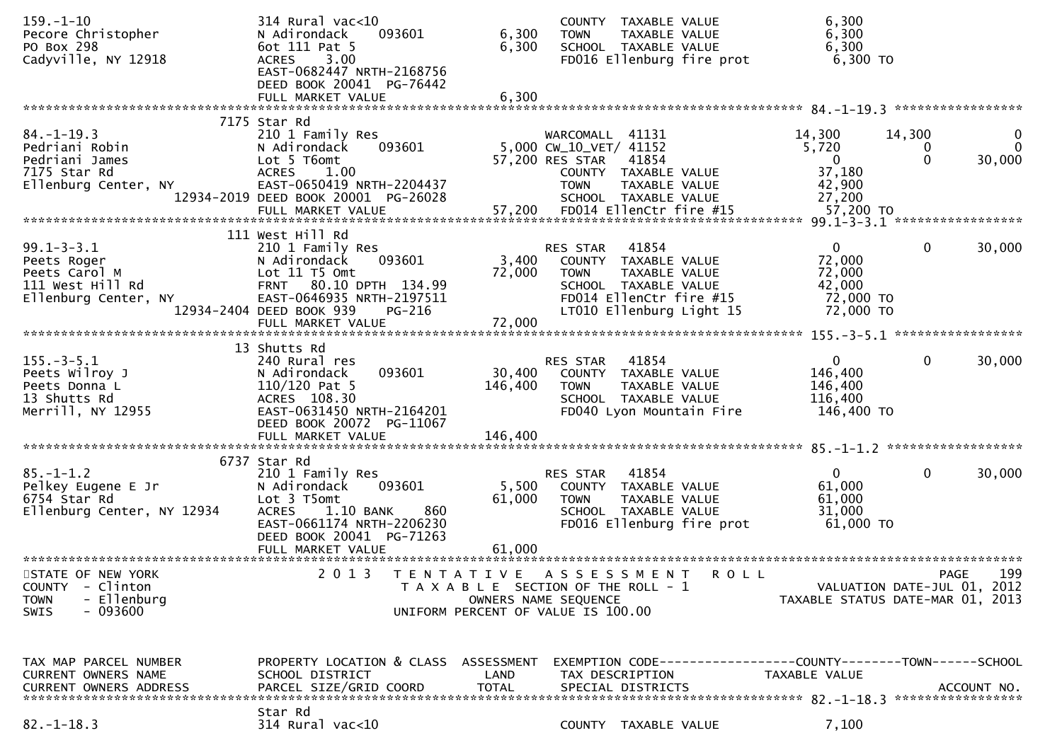| $159. - 1 - 10$<br>Pecore Christopher                                                                     | $314$ Rural vac<10<br>093601<br>N Adirondack                                                                                                           | 6,300                | COUNTY TAXABLE VALUE<br>TAXABLE VALUE<br><b>TOWN</b>                                                                                  | 6,300<br>6,300                                            |                                                   |
|-----------------------------------------------------------------------------------------------------------|--------------------------------------------------------------------------------------------------------------------------------------------------------|----------------------|---------------------------------------------------------------------------------------------------------------------------------------|-----------------------------------------------------------|---------------------------------------------------|
| PO Box 298<br>Cadyville, NY 12918                                                                         | 6ot 111 Pat 5<br>3.00<br><b>ACRES</b><br>EAST-0682447 NRTH-2168756                                                                                     | 6,300                | SCHOOL TAXABLE VALUE<br>FD016 Ellenburg fire prot                                                                                     | 6,300<br>6,300 TO                                         |                                                   |
|                                                                                                           | DEED BOOK 20041 PG-76442<br>FULL MARKET VALUE                                                                                                          | 6,300                |                                                                                                                                       |                                                           |                                                   |
| $84. - 1 - 19.3$                                                                                          | 7175 Star Rd<br>210 1 Family Res                                                                                                                       |                      | WARCOMALL 41131                                                                                                                       | 14,300                                                    | 14,300<br>$\bf{0}$                                |
| Pedriani Robin<br>Pedriani James<br>7175 Star Rd                                                          | N Adirondack<br>093601<br>Lot 5 T6omt<br><b>ACRES</b><br>1.00                                                                                          |                      | 5,000 CW_10_VET/ 41152<br>57,200 RES STAR<br>41854<br>COUNTY TAXABLE VALUE                                                            | 5,720<br>$\overline{0}$<br>37,180                         | $\mathbf{0}$<br>$\mathbf 0$<br>$\Omega$<br>30,000 |
| Ellenburg Center, NY                                                                                      | EAST-0650419 NRTH-2204437<br>12934-2019 DEED BOOK 20001 PG-26028                                                                                       |                      | TAXABLE VALUE<br><b>TOWN</b><br>SCHOOL TAXABLE VALUE                                                                                  | 42,900<br>27,200                                          |                                                   |
|                                                                                                           | FULL MARKET VALUE                                                                                                                                      | 57,200               | FD014 EllenCtr fire #15                                                                                                               | 57,200 TO                                                 |                                                   |
| $99.1 - 3 - 3.1$<br>Peets Roger<br>Peets Carol M<br>111 West Hill Rd<br>Ellenburg Center, NY              | 111 West Hill Rd<br>210 1 Family Res<br>093601<br>N Adirondack<br>Lot 11 T5 Omt<br>FRNT 80.10 DPTH 134.99<br>EAST-0646935 NRTH-2197511                 | 3,400<br>72,000      | 41854<br>RES STAR<br>COUNTY TAXABLE VALUE<br>TAXABLE VALUE<br><b>TOWN</b><br>SCHOOL TAXABLE VALUE<br>FD014 EllenCtr fire #15          | $\overline{0}$<br>72,000<br>72,000<br>42,000<br>72,000 TO | $\mathbf 0$<br>30,000                             |
|                                                                                                           | 12934-2404 DEED BOOK 939<br>PG-216<br>FULL MARKET VALUE                                                                                                | 72,000               | LT010 Ellenburg Light 15                                                                                                              | 72,000 TO                                                 |                                                   |
|                                                                                                           | 13 Shutts Rd                                                                                                                                           |                      |                                                                                                                                       |                                                           |                                                   |
| $155. - 3 - 5.1$<br>Peets Wilroy J<br>Peets Donna L<br>13 Shutts Rd                                       | 240 Rural res<br>093601<br>N Adirondack<br>$110/120$ Pat 5<br>ACRES 108.30                                                                             | 30,400<br>146,400    | 41854<br><b>RES STAR</b><br>COUNTY TAXABLE VALUE<br><b>TOWN</b><br>TAXABLE VALUE<br>SCHOOL TAXABLE VALUE                              | $\overline{0}$<br>146,400<br>146,400<br>116,400           | $\mathbf 0$<br>30,000                             |
| Merrill, NY 12955                                                                                         | EAST-0631450 NRTH-2164201<br>DEED BOOK 20072 PG-11067<br>FULL MARKET VALUE                                                                             | 146,400              | FD040 Lyon Mountain Fire                                                                                                              | 146,400 TO                                                |                                                   |
|                                                                                                           | 6737 Star Rd                                                                                                                                           |                      |                                                                                                                                       |                                                           |                                                   |
| $85. - 1 - 1.2$<br>Pelkey Eugene E Jr<br>6754 Star Rd<br>Ellenburg Center, NY 12934                       | 210 1 Family Res<br>093601<br>N Adirondack<br>Lot 3 T5omt<br><b>ACRES</b><br>1.10 BANK<br>860<br>EAST-0661174 NRTH-2206230<br>DEED BOOK 20041 PG-71263 | 5,500<br>61,000      | 41854<br>RES STAR<br>COUNTY TAXABLE VALUE<br>TAXABLE VALUE<br><b>TOWN</b><br>SCHOOL TAXABLE VALUE<br>FD016 Ellenburg fire prot        | $\mathbf{0}$<br>61,000<br>61,000<br>31,000<br>61,000 TO   | $\mathbf{0}$<br>30,000                            |
|                                                                                                           | FULL MARKET VALUE                                                                                                                                      | 61,000               |                                                                                                                                       |                                                           |                                                   |
| STATE OF NEW YORK<br>- Clinton<br><b>COUNTY</b><br>- Ellenburg<br><b>TOWN</b><br>$-093600$<br><b>SWIS</b> | 2013                                                                                                                                                   | T E N T A T I V E    | A S S E S S M E N T<br>R O L L<br>T A X A B L E SECTION OF THE ROLL - 1<br>OWNERS NAME SEQUENCE<br>UNIFORM PERCENT OF VALUE IS 100.00 | TAXABLE STATUS DATE-MAR 01, 2013                          | 199<br>PAGE<br>VALUATION DATE-JUL 01, 2012        |
| TAX MAP PARCEL NUMBER                                                                                     | PROPERTY LOCATION & CLASS ASSESSMENT                                                                                                                   |                      |                                                                                                                                       |                                                           |                                                   |
| CURRENT OWNERS NAME<br><b>CURRENT OWNERS ADDRESS</b>                                                      | SCHOOL DISTRICT<br>PARCEL SIZE/GRID COORD                                                                                                              | LAND<br><b>TOTAL</b> | TAX DESCRIPTION<br>SPECIAL DISTRICTS                                                                                                  | TAXABLE VALUE                                             | ACCOUNT NO.                                       |
| $82. - 1 - 18.3$                                                                                          | Star Rd<br>314 Rural vac<10                                                                                                                            |                      | COUNTY TAXABLE VALUE                                                                                                                  | 7,100                                                     |                                                   |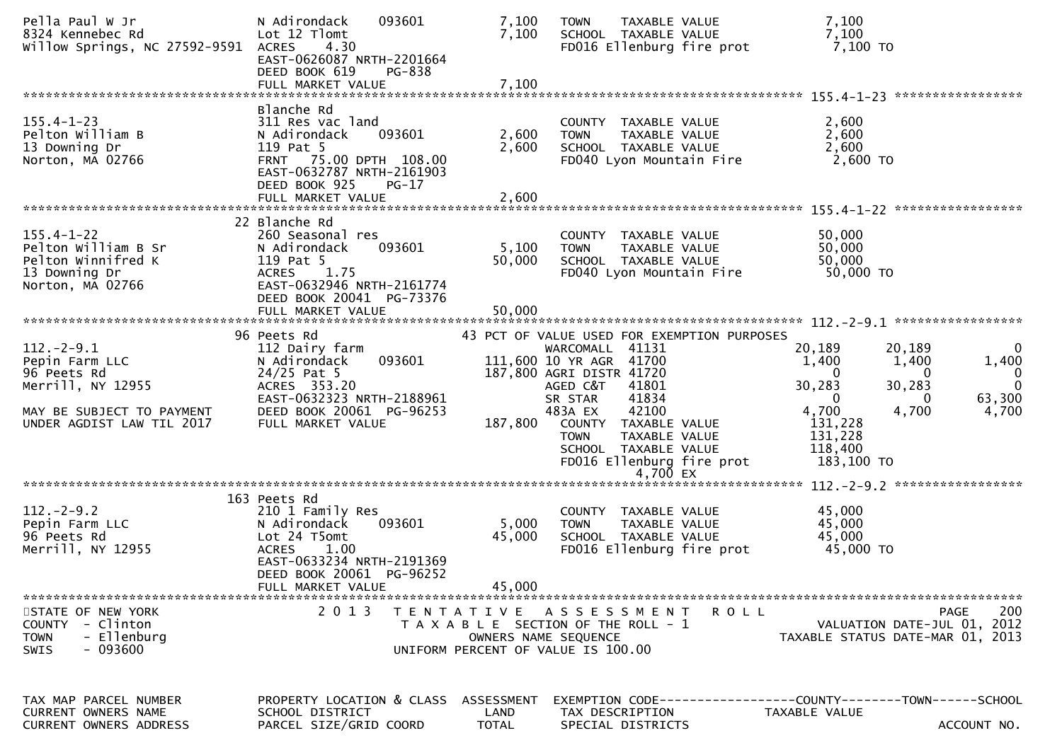| Pella Paul W Jr<br>8324 Kennebec Rd<br>Willow Springs, NC 27592-9591                               | N Adirondack<br>093601<br>Lot 12 Tlomt<br><b>ACRES</b><br>4.30<br>EAST-0626087 NRTH-2201664<br>DEED BOOK 619<br><b>PG-838</b><br>FULL MARKET VALUE                            | 7,100<br>7,100<br>7,100            | TAXABLE VALUE<br><b>TOWN</b><br>SCHOOL TAXABLE VALUE<br>FD016 Ellenburg fire prot                                                                 | 7,100<br>7,100<br>7,100 то                                                                                       |
|----------------------------------------------------------------------------------------------------|-------------------------------------------------------------------------------------------------------------------------------------------------------------------------------|------------------------------------|---------------------------------------------------------------------------------------------------------------------------------------------------|------------------------------------------------------------------------------------------------------------------|
|                                                                                                    |                                                                                                                                                                               |                                    |                                                                                                                                                   |                                                                                                                  |
| $155.4 - 1 - 23$<br>Pelton William B<br>13 Downing Dr<br>Norton, MA 02766                          | Blanche Rd<br>311 Res vac land<br>N Adirondack<br>093601<br>119 Pat 5<br>FRNT 75.00 DPTH 108.00<br>EAST-0632787 NRTH-2161903<br>DEED BOOK 925<br>$PG-17$<br>FULL MARKET VALUE | 2,600<br>2,600<br>2,600            | COUNTY TAXABLE VALUE<br><b>TOWN</b><br>TAXABLE VALUE<br>SCHOOL TAXABLE VALUE<br>FD040 Lyon Mountain Fire                                          | 2,600<br>2,600<br>2,600<br>2,600 TO                                                                              |
|                                                                                                    | 22 Blanche Rd                                                                                                                                                                 |                                    |                                                                                                                                                   |                                                                                                                  |
| $155.4 - 1 - 22$<br>Pelton William B Sr<br>Pelton Winnifred K<br>13 Downing Dr<br>Norton, MA 02766 | 260 Seasonal res<br>N Adirondack<br>093601<br>119 Pat 5<br>1.75<br><b>ACRES</b><br>EAST-0632946 NRTH-2161774<br>DEED BOOK 20041 PG-73376                                      | 5,100<br>50,000                    | COUNTY TAXABLE VALUE<br><b>TOWN</b><br>TAXABLE VALUE<br>SCHOOL TAXABLE VALUE<br>FD040 Lyon Mountain Fire                                          | 50,000<br>50,000<br>50,000<br>50,000 TO                                                                          |
|                                                                                                    | 96 Peets Rd                                                                                                                                                                   |                                    | 43 PCT OF VALUE USED FOR EXEMPTION PURPOSES                                                                                                       |                                                                                                                  |
| $112. - 2 - 9.1$<br>Pepin Farm LLC<br>96 Peets Rd<br>Merrill, NY 12955                             | 112 Dairy farm<br>093601<br>N Adirondack<br>24/25 Pat 5<br>ACRES 353.20                                                                                                       |                                    | WARCOMALL 41131<br>111,600 10 YR AGR 41700<br>187,800 AGRI DISTR 41720<br>41801<br>AGED C&T                                                       | 20,189<br>20,189<br>0<br>1,400<br>1,400<br>1,400<br>$\Omega$<br>0<br>$\Omega$<br>$\mathbf 0$<br>30,283<br>30,283 |
| MAY BE SUBJECT TO PAYMENT<br>UNDER AGDIST LAW TIL 2017                                             | EAST-0632323 NRTH-2188961<br>DEED BOOK 20061 PG-96253<br>FULL MARKET VALUE                                                                                                    | 187,800                            | 41834<br>SR STAR<br>42100<br>483A EX<br>COUNTY TAXABLE VALUE<br>TAXABLE VALUE<br><b>TOWN</b><br>SCHOOL TAXABLE VALUE<br>FD016 Ellenburg fire prot | 63,300<br>0<br>$\Omega$<br>4,700<br>4,700<br>4,700<br>131,228<br>131,228<br>118,400<br>183,100 TO                |
|                                                                                                    |                                                                                                                                                                               |                                    |                                                                                                                                                   |                                                                                                                  |
| $112. - 2 - 9.2$<br>Pepin Farm LLC<br>96 Peets Rd<br>Merrill, NY 12955                             | 163 Peets Rd<br>210 1 Family Res<br>093601<br>N Adirondack<br>Lot 24 T5omt<br><b>ACRES</b><br>1.00<br>EAST-0633234 NRTH-2191369<br>DEED BOOK 20061 PG-96252                   | 5,000<br>45,000                    | COUNTY TAXABLE VALUE<br>TAXABLE VALUE<br><b>TOWN</b><br>SCHOOL TAXABLE VALUE<br>FD016 Ellenburg fire prot                                         | 45,000<br>45,000<br>45,000<br>45,000 TO                                                                          |
|                                                                                                    | FULL MARKET VALUE                                                                                                                                                             | 45,000                             |                                                                                                                                                   |                                                                                                                  |
| STATE OF NEW YORK<br>COUNTY - Clinton<br><b>TOWN</b><br>- Ellenburg<br>$-093600$<br><b>SWIS</b>    | 2 0 1 3                                                                                                                                                                       |                                    | TENTATIVE ASSESSMENT<br>R O L L<br>T A X A B L E SECTION OF THE ROLL - 1<br>OWNERS NAME SEQUENCE<br>UNIFORM PERCENT OF VALUE IS 100.00            | 200<br><b>PAGE</b><br>VALUATION DATE-JUL 01, 2012<br>TAXABLE STATUS DATE-MAR 01, 2013                            |
| TAX MAP PARCEL NUMBER<br><b>CURRENT OWNERS NAME</b><br>CURRENT OWNERS ADDRESS                      | PROPERTY LOCATION & CLASS<br>SCHOOL DISTRICT<br>PARCEL SIZE/GRID COORD                                                                                                        | ASSESSMENT<br>LAND<br><b>TOTAL</b> | TAX DESCRIPTION<br>SPECIAL DISTRICTS                                                                                                              | EXEMPTION        CODE------------------COUNTY-------TOWN------SCHOOL<br>TAXABLE VALUE<br>ACCOUNT NO.             |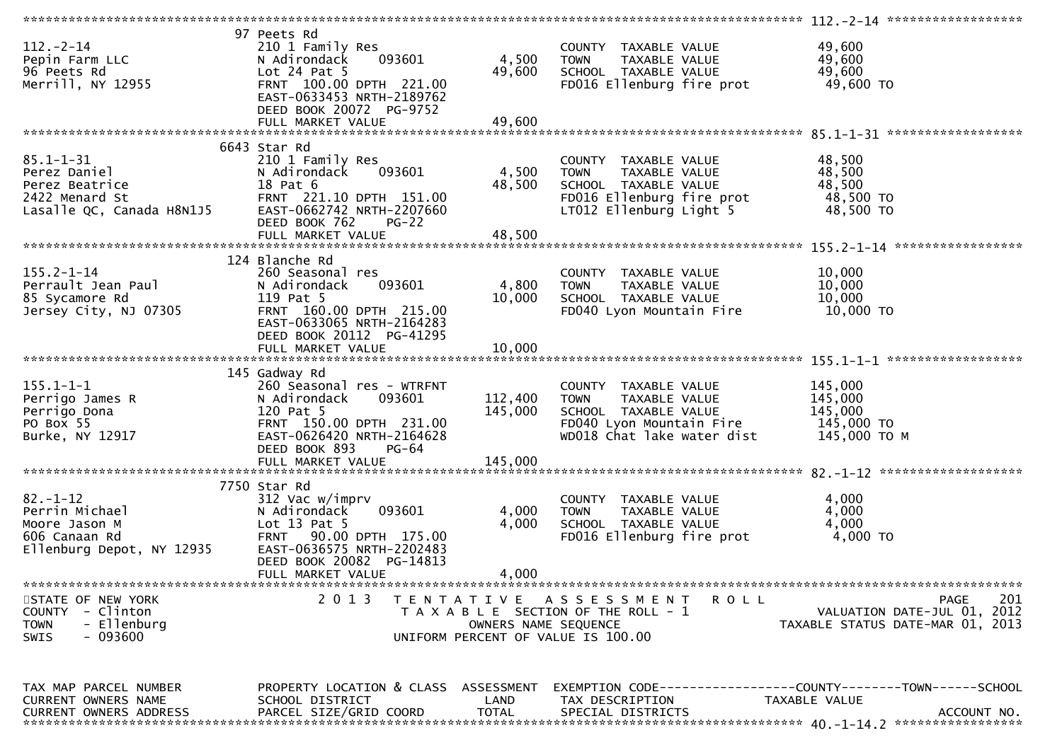|                                                                                                                |                                                                                                                                                                         |                                           |                                                                                                                                        | $112 - -2 - 14$ ********************                                                         |
|----------------------------------------------------------------------------------------------------------------|-------------------------------------------------------------------------------------------------------------------------------------------------------------------------|-------------------------------------------|----------------------------------------------------------------------------------------------------------------------------------------|----------------------------------------------------------------------------------------------|
| $112. - 2 - 14$<br>Pepin Farm LLC<br>96 Peets Rd<br>Merrill, NY 12955                                          | 97 Peets Rd<br>210 1 Family Res<br>093601<br>N Adirondack<br>Lot $24$ Pat $5$<br>FRNT 100.00 DPTH 221.00<br>EAST-0633453 NRTH-2189762<br>DEED BOOK 20072 PG-9752        | 4,500<br>49,600                           | COUNTY TAXABLE VALUE<br>TAXABLE VALUE<br><b>TOWN</b><br>SCHOOL TAXABLE VALUE<br>FD016 Ellenburg fire prot                              | 49,600<br>49,600<br>49,600<br>49,600 TO                                                      |
| 6643 Star Rd                                                                                                   |                                                                                                                                                                         |                                           |                                                                                                                                        |                                                                                              |
| $85.1 - 1 - 31$<br>Perez Daniel<br>Perez Beatrice<br>2422 Menard St<br>Lasalle QC, Canada H8N1J5               | 210 1 Family Res<br>093601<br>N Adirondack<br>18 Pat 6<br>FRNT 221.10 DPTH 151.00<br>EAST-0662742 NRTH-2207660<br>DEED BOOK 762<br>$PG-22$                              | 4,500<br>48,500                           | COUNTY TAXABLE VALUE<br><b>TOWN</b><br>TAXABLE VALUE<br>SCHOOL TAXABLE VALUE<br>FD016 Ellenburg fire prot<br>LT012 Ellenburg Light 5   | 48,500<br>48,500<br>48,500<br>48,500 TO<br>48,500 TO                                         |
|                                                                                                                |                                                                                                                                                                         |                                           |                                                                                                                                        |                                                                                              |
| $155.2 - 1 - 14$<br>Perrault Jean Paul<br>85 Sycamore Rd<br>Jersey City, NJ 07305                              | 124 Blanche Rd<br>260 Seasonal res<br>093601<br>N Adirondack<br>119 Pat 5<br>FRNT 160.00 DPTH 215.00<br>EAST-0633065 NRTH-2164283<br>DEED BOOK 20112 PG-41295           | 4,800<br>10,000                           | COUNTY TAXABLE VALUE<br><b>TOWN</b><br>TAXABLE VALUE<br>SCHOOL TAXABLE VALUE<br>FD040 Lyon Mountain Fire                               | 10,000<br>10,000<br>10,000<br>10,000 TO                                                      |
|                                                                                                                |                                                                                                                                                                         |                                           |                                                                                                                                        |                                                                                              |
|                                                                                                                | 145 Gadway Rd                                                                                                                                                           |                                           |                                                                                                                                        |                                                                                              |
| $155.1 - 1 - 1$<br>Perrigo James R<br>Perrigo Dona<br>PO Box 55<br>Burke, NY 12917                             | 260 Seasonal res - WTRFNT<br>093601<br>N Adirondack<br>120 Pat 5<br>FRNT 150.00 DPTH 231.00<br>EAST-0626420 NRTH-2164628<br>DEED BOOK 893<br>PG-64<br>FULL MARKET VALUE | 112,400<br>145,000<br>145,000             | COUNTY TAXABLE VALUE<br>TAXABLE VALUE<br><b>TOWN</b><br>SCHOOL TAXABLE VALUE<br>FD040 Lyon Mountain Fire<br>WD018 Chat lake water dist | 145,000<br>145,000<br>145,000<br>145,000 TO<br>145,000 ТО М                                  |
|                                                                                                                |                                                                                                                                                                         |                                           |                                                                                                                                        |                                                                                              |
| 7750 Star Rd<br>$82 - 1 - 12$<br>Perrin Michael<br>Moore Jason M<br>606 Canaan Rd<br>Ellenburg Depot, NY 12935 | 312 Vac w/imprv<br>093601<br>N Adirondack<br>Lot $13$ Pat $5$<br>FRNT 90.00 DPTH 175.00<br>EAST-0636575 NRTH-2202483<br>DEED BOOK 20082 PG-14813<br>FULL MARKET VALUE   | 4,000<br>4,000<br>4,000                   | COUNTY TAXABLE VALUE<br>TAXABLE VALUE<br><b>TOWN</b><br>SCHOOL TAXABLE VALUE<br>FD016 Ellenburg fire prot                              | 4,000<br>4,000<br>4,000<br>4,000 TO                                                          |
|                                                                                                                |                                                                                                                                                                         |                                           |                                                                                                                                        |                                                                                              |
| STATE OF NEW YORK<br>COUNTY - Clinton<br>- Ellenburg<br><b>TOWN</b><br>- 093600<br>SWIS                        | 2 0 1 3                                                                                                                                                                 | T E N T A T I V E<br>OWNERS NAME SEQUENCE | A S S E S S M E N T<br>R O L L<br>T A X A B L E SECTION OF THE ROLL - 1<br>UNIFORM PERCENT OF VALUE IS 100.00                          | 201<br><b>PAGE</b><br>VALUATION DATE-JUL 01, 2012<br>TAXABLE STATUS DATE-MAR 01, 2013        |
| TAX MAP PARCEL NUMBER<br>CURRENT OWNERS NAME<br><b>CURRENT OWNERS ADDRESS</b>                                  | PROPERTY LOCATION & CLASS ASSESSMENT<br>SCHOOL DISTRICT<br>PARCEL SIZE/GRID COORD                                                                                       | LAND<br><b>TOTAL</b>                      | TAX DESCRIPTION<br>SPECIAL DISTRICTS                                                                                                   | EXEMPTION CODE-----------------COUNTY-------TOWN------SCHOOL<br>TAXABLE VALUE<br>ACCOUNT NO. |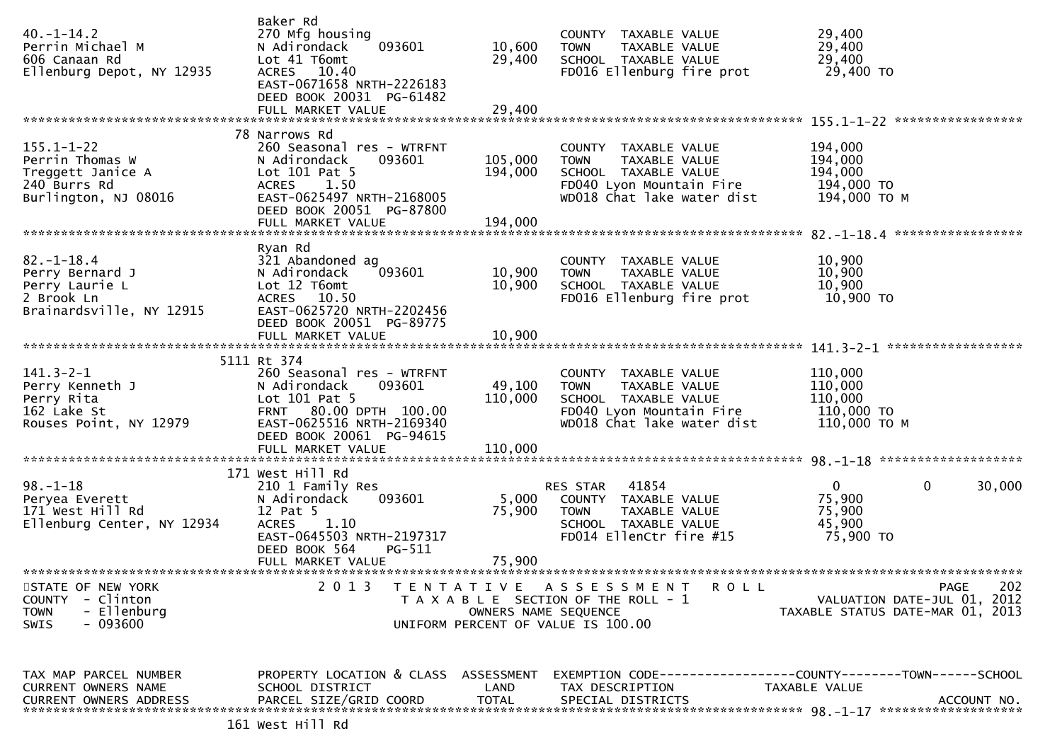| $40. -1 - 14.2$<br>Perrin Michael M<br>606 Canaan Rd<br>Ellenburg Depot, NY 12935                | Baker Rd<br>270 Mfg housing<br>093601<br>N Adirondack<br>Lot 41 T6omt<br>ACRES 10.40<br>EAST-0671658 NRTH-2226183<br>DEED BOOK 20031 PG-61482                                                 | 10,600<br>29,400              | COUNTY TAXABLE VALUE<br><b>TOWN</b><br>TAXABLE VALUE<br>SCHOOL TAXABLE VALUE<br>FD016 Ellenburg fire prot                              | 29,400<br>29,400<br>29,400<br>29,400 TO                                                      |
|--------------------------------------------------------------------------------------------------|-----------------------------------------------------------------------------------------------------------------------------------------------------------------------------------------------|-------------------------------|----------------------------------------------------------------------------------------------------------------------------------------|----------------------------------------------------------------------------------------------|
|                                                                                                  | 78 Narrows Rd                                                                                                                                                                                 |                               |                                                                                                                                        |                                                                                              |
| $155.1 - 1 - 22$<br>Perrin Thomas W<br>Treggett Janice A<br>240 Burrs Rd<br>Burlington, NJ 08016 | 260 Seasonal res - WTRFNT<br>N Adirondack<br>093601<br>Lot $101$ Pat 5<br><b>ACRES</b><br>1.50<br>EAST-0625497 NRTH-2168005<br>DEED BOOK 20051 PG-87800<br>FULL MARKET VALUE                  | 105,000<br>194,000<br>194,000 | COUNTY TAXABLE VALUE<br><b>TOWN</b><br>TAXABLE VALUE<br>SCHOOL TAXABLE VALUE<br>FD040 Lyon Mountain Fire<br>WD018 Chat lake water dist | 194,000<br>194,000<br>194,000<br>194,000 TO<br>194,000 ТО М                                  |
|                                                                                                  |                                                                                                                                                                                               |                               |                                                                                                                                        |                                                                                              |
| $82. - 1 - 18.4$<br>Perry Bernard J<br>Perry Laurie L<br>2 Brook Ln<br>Brainardsville, NY 12915  | Ryan Rd<br>321 Abandoned ag<br>N Adirondack<br>093601<br>Lot 12 T6omt<br>ACRES 10.50<br>EAST-0625720 NRTH-2202456                                                                             | 10,900<br>10,900              | COUNTY TAXABLE VALUE<br>TAXABLE VALUE<br><b>TOWN</b><br>SCHOOL TAXABLE VALUE<br>FD016 Ellenburg fire prot                              | 10,900<br>10,900<br>10,900<br>10,900 TO                                                      |
|                                                                                                  | DEED BOOK 20051 PG-89775                                                                                                                                                                      |                               |                                                                                                                                        |                                                                                              |
|                                                                                                  |                                                                                                                                                                                               |                               |                                                                                                                                        |                                                                                              |
| $141.3 - 2 - 1$<br>Perry Kenneth J<br>Perry Rita<br>162 Lake St<br>Rouses Point, NY 12979        | 5111 Rt 374<br>260 Seasonal res - WTRFNT<br>093601<br>N Adirondack<br>Lot $101$ Pat 5<br>FRNT 80.00 DPTH 100.00<br>EAST-0625516 NRTH-2169340<br>DEED BOOK 20061 PG-94615<br>FULL MARKET VALUE | 49,100<br>110,000<br>110,000  | COUNTY TAXABLE VALUE<br><b>TOWN</b><br>TAXABLE VALUE<br>SCHOOL TAXABLE VALUE<br>FD040 Lyon Mountain Fire<br>WD018 Chat lake water dist | 110,000<br>110,000<br>110,000<br>110,000 TO<br>110,000 ТО М                                  |
|                                                                                                  |                                                                                                                                                                                               |                               |                                                                                                                                        |                                                                                              |
| $98. - 1 - 18$<br>Peryea Everett<br>171 West Hill Rd<br>Ellenburg Center, NY 12934               | 171 West Hill Rd<br>210 1 Family Res<br>N Adirondack<br>093601<br>12 Pat 5<br><b>ACRES</b><br>1.10<br>EAST-0645503 NRTH-2197317<br>DEED BOOK 564<br>PG-511<br>FULL MARKET VALUE               | 5,000<br>75,900<br>75,900     | RES STAR 41854<br>COUNTY TAXABLE VALUE<br>TAXABLE VALUE<br><b>TOWN</b><br>SCHOOL TAXABLE VALUE<br>FD014 EllenCtr fire #15              | $\overline{0}$<br>$\mathbf 0$<br>30,000<br>75,900<br>75,900<br>45,900<br>75,900 TO           |
| STATE OF NEW YORK                                                                                | 2 0 1 3                                                                                                                                                                                       |                               | TENTATIVE ASSESSMENT<br>ROLL                                                                                                           | 202<br>PAGE                                                                                  |
| <b>COUNTY</b><br>- Clinton<br>- Ellenburg<br><b>TOWN</b><br>- 093600<br>SWIS                     |                                                                                                                                                                                               | OWNERS NAME SEQUENCE          | T A X A B L E SECTION OF THE ROLL - 1<br>UNIFORM PERCENT OF VALUE IS 100.00                                                            | VALUATION DATE-JUL 01, 2012<br>TAXABLE STATUS DATE-MAR 01, 2013                              |
| TAX MAP PARCEL NUMBER<br>CURRENT OWNERS NAME<br>CURRENT OWNERS ADDRESS                           | PROPERTY LOCATION & CLASS ASSESSMENT<br>SCHOOL DISTRICT<br>PARCEL SIZE/GRID COORD                                                                                                             | LAND<br><b>TOTAL</b>          | TAX DESCRIPTION<br>SPECIAL DISTRICTS                                                                                                   | EXEMPTION CODE-----------------COUNTY-------TOWN------SCHOOL<br>TAXABLE VALUE<br>ACCOUNT NO. |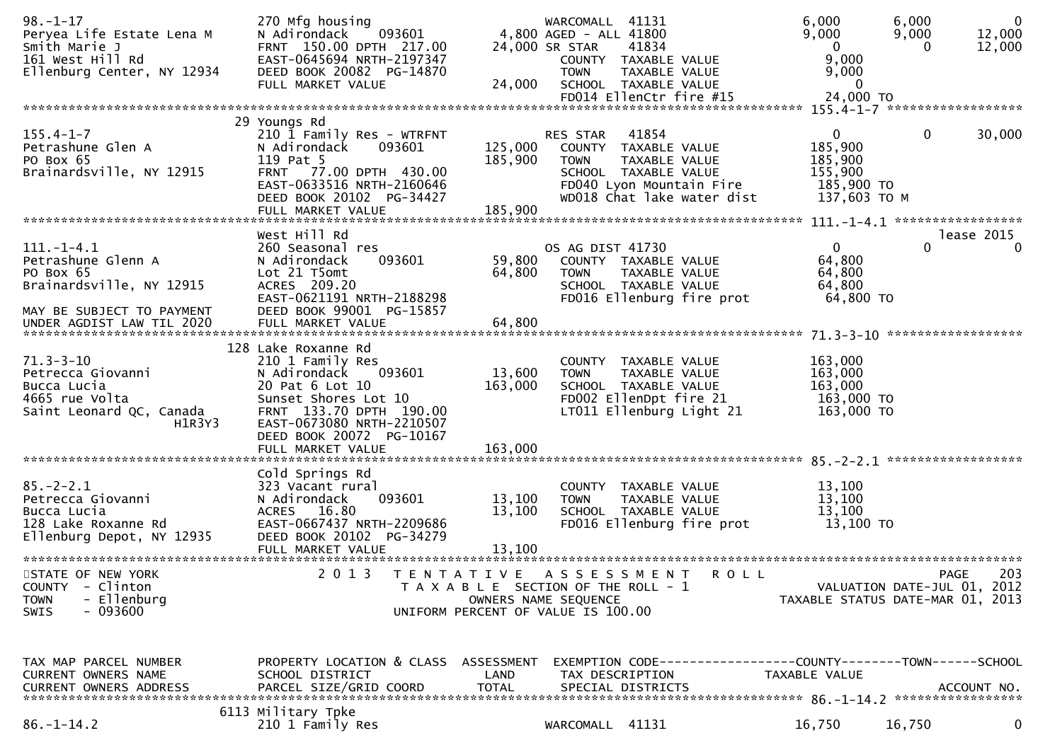| $98. - 1 - 17$<br>Peryea Life Estate Lena M<br>Smith Marie J<br>161 West Hill Rd<br>Ellenburg Center, NY 12934               | 270 Mfg housing<br>093601<br>N Adirondack<br>FRNT 150.00 DPTH 217.00<br>EAST-0645694 NRTH-2197347<br>DEED BOOK 20082 PG-14870<br>FULL MARKET VALUE                                               | 24,000                             | WARCOMALL 41131<br>4,800 AGED - ALL 41800<br>24,000 SR STAR<br>41834<br>COUNTY TAXABLE VALUE<br><b>TOWN</b><br>TAXABLE VALUE<br>SCHOOL TAXABLE VALUE<br>FD014 EllenCtr fire #15 | 6,000<br>9,000<br>$\Omega$<br>9,000<br>9,000<br>$\mathbf{0}$<br>24,000 TO | 6,000<br>9,000<br>$\Omega$  | $\mathbf{0}$<br>12,000<br>12,000 |
|------------------------------------------------------------------------------------------------------------------------------|--------------------------------------------------------------------------------------------------------------------------------------------------------------------------------------------------|------------------------------------|---------------------------------------------------------------------------------------------------------------------------------------------------------------------------------|---------------------------------------------------------------------------|-----------------------------|----------------------------------|
|                                                                                                                              |                                                                                                                                                                                                  |                                    |                                                                                                                                                                                 |                                                                           |                             |                                  |
| $155.4 - 1 - 7$<br>Petrashune Glen A<br>PO Box 65<br>Brainardsville, NY 12915                                                | 29 Youngs Rd<br>210 1 Family Res - WTRFNT<br>N Adirondack<br>093601<br>119 Pat 5<br>FRNT 77.00 DPTH 430.00<br>EAST-0633516 NRTH-2160646<br>DEED BOOK 20102 PG-34427                              | 125,000<br>185,900                 | 41854<br>RES STAR<br>COUNTY TAXABLE VALUE<br>TAXABLE VALUE<br><b>TOWN</b><br>SCHOOL TAXABLE VALUE<br>FD040 Lyon Mountain Fire<br>WD018 Chat lake water dist                     | 0<br>185,900<br>185,900<br>155,900<br>185,900 TO<br>137,603 TO M          | $\mathbf 0$                 | 30,000                           |
|                                                                                                                              | West Hill Rd                                                                                                                                                                                     |                                    |                                                                                                                                                                                 |                                                                           |                             | lease 2015                       |
| $111. - 1 - 4.1$<br>Petrashune Glenn A<br>PO Box 65<br>Brainardsville, NY 12915<br>MAY BE SUBJECT TO PAYMENT                 | 260 Seasonal res<br>093601<br>N Adirondack<br>Lot 21 T5omt<br>ACRES 209.20<br>EAST-0621191 NRTH-2188298<br>DEED BOOK 99001 PG-15857                                                              | 59,800<br>64,800                   | OS AG DIST 41730<br>COUNTY TAXABLE VALUE<br><b>TOWN</b><br>TAXABLE VALUE<br>SCHOOL TAXABLE VALUE<br>FD016 Ellenburg fire prot                                                   | $\mathbf 0$<br>64,800<br>64,800<br>64,800<br>64,800 TO                    | $\Omega$                    | $\Omega$                         |
| UNDER AGDIST LAW TIL 2020                                                                                                    | FULL MARKET VALUE                                                                                                                                                                                | 64,800                             |                                                                                                                                                                                 |                                                                           | ******************          |                                  |
| $71.3 - 3 - 10$<br>Petrecca Giovanni<br>Bucca Lucia<br>4665 rue Volta<br>Saint Leonard QC, Canada<br>H1R3Y3                  | 128 Lake Roxanne Rd<br>210 1 Family Res<br>N Adirondack<br>093601<br>20 Pat 6 Lot 10<br>Sunset Shores Lot 10<br>FRNT 133.70 DPTH 190.00<br>EAST-0673080 NRTH-2210507<br>DEED BOOK 20072 PG-10167 | 13,600<br>163,000                  | COUNTY TAXABLE VALUE<br>TAXABLE VALUE<br><b>TOWN</b><br>SCHOOL TAXABLE VALUE<br>FD002 EllenDpt fire 21<br>LT011 Ellenburg Light 21                                              | 163,000<br>163,000<br>163,000<br>163,000 TO<br>163,000 TO                 |                             |                                  |
| $85. - 2 - 2.1$<br>Petrecca Giovanni<br>Bucca Lucia<br>128 Lake Roxanne Rd<br>Ellenburg Depot, NY 12935<br>STATE OF NEW YORK | Cold Springs Rd<br>323 Vacant rural<br>093601<br>N Adirondack<br>16.80<br><b>ACRES</b><br>EAST-0667437 NRTH-2209686<br>DEED BOOK 20102 PG-34279<br>FULL MARKET VALUE<br>2 0 1 3                  | 13,100<br>13,100<br>13,100         | COUNTY TAXABLE VALUE<br>TAXABLE VALUE<br><b>TOWN</b><br>SCHOOL TAXABLE VALUE<br>FD016 Ellenburg fire prot<br>A S S E S S M E N T                                                | 13,100<br>13,100<br>13,100<br>13,100 TO                                   |                             | 203                              |
| <b>COUNTY</b><br>- Clinton<br>- Ellenburg<br><b>TOWN</b><br>SWIS<br>- 093600                                                 |                                                                                                                                                                                                  | T E N T A T I V E                  | ROLL<br>T A X A B L E SECTION OF THE ROLL - 1<br>OWNERS NAME SEQUENCE<br>UNIFORM PERCENT OF VALUE IS 100.00                                                                     | TAXABLE STATUS DATE-MAR 01, 2013                                          | VALUATION DATE-JUL 01, 2012 | PAGE                             |
| TAX MAP PARCEL NUMBER<br>CURRENT OWNERS NAME<br><b>CURRENT OWNERS ADDRESS</b>                                                | PROPERTY LOCATION & CLASS<br>SCHOOL DISTRICT<br>PARCEL SIZE/GRID COORD                                                                                                                           | ASSESSMENT<br>LAND<br><b>TOTAL</b> | TAX DESCRIPTION<br>SPECIAL DISTRICTS                                                                                                                                            | TAXABLE VALUE                                                             |                             | ACCOUNT NO.                      |
| $86. - 1 - 14.2$                                                                                                             | 6113 Military Tpke<br>210 1 Family Res                                                                                                                                                           |                                    | WARCOMALL 41131                                                                                                                                                                 | 16,750                                                                    | 16,750                      | 0                                |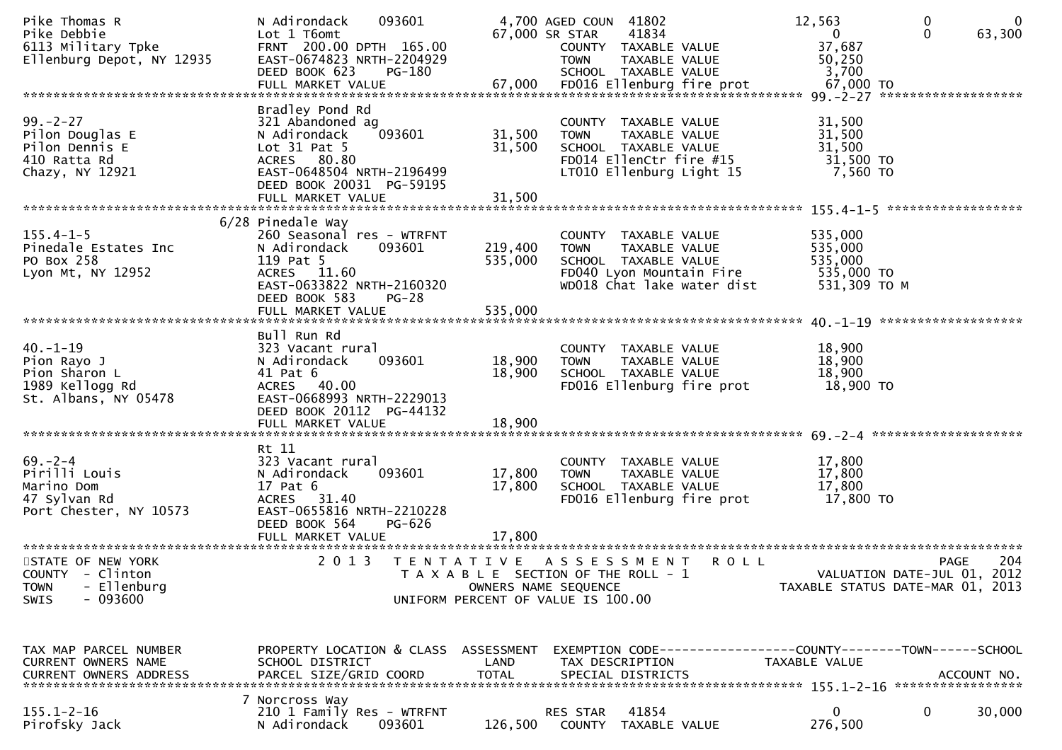| Pike Thomas R<br>Pike Debbie<br>6113 Military Tpke<br>Ellenburg Depot, NY 12935<br>ے ہے کہ ہے کہ ہیں کہ ہے ۔<br>FULL MARKET VALUE 712.000 FDO16 E11enburg fire prot 67,000 TO 67,000 FDO16 FDO16 E11enburg fire prot | 093601<br>N Adirondack<br>Lot 1 T6omt<br>FRNT 200.00 DPTH 165.00<br>EAST-0674823 NRTH-2204929<br>DEED BOOK 623<br>PG-180                                                     |                                                                             | 4,700 AGED COUN 41802<br>67,000 SR STAR<br><b>TOWN</b> | 41834<br>COUNTY TAXABLE VALUE<br>TAXABLE VALUE<br>SCHOOL TAXABLE VALUE                                                             | 12,563<br>$\mathbf{0}$<br>37,687<br>50,250<br>3,700 | $\mathbf 0$<br>$\mathbf{0}$ | $\mathbf 0$<br>63,300 |
|----------------------------------------------------------------------------------------------------------------------------------------------------------------------------------------------------------------------|------------------------------------------------------------------------------------------------------------------------------------------------------------------------------|-----------------------------------------------------------------------------|--------------------------------------------------------|------------------------------------------------------------------------------------------------------------------------------------|-----------------------------------------------------|-----------------------------|-----------------------|
| $99. - 2 - 27$<br>Pilon Douglas E<br>Pilon Dennis E<br>410 Ratta Rd<br>Chazy, NY 12921                                                                                                                               | Bradley Pond Rd<br>321 Abandoned ag<br>093601<br>N Adirondack<br>Lot $31$ Pat 5<br>ACRES 80.80<br>EAST-0648504 NRTH-2196499<br>DEED BOOK 20031 PG-59195<br>FULL MARKET VALUE | 31,500<br>31,500<br>31,500                                                  | <b>TOWN</b>                                            | COUNTY TAXABLE VALUE<br>TAXABLE VALUE<br>SCHOOL TAXABLE VALUE<br>FD014 EllenCtr fire #15<br>LT010 Ellenburg Light 15               | 31,500<br>31,500<br>31,500<br>31,500 TO<br>7,560 TO |                             |                       |
| $155.4 - 1 - 5$<br>Pinedale Estates Inc<br>PO Box 258<br>Lyon Mt, NY 12952                                                                                                                                           | 6/28 Pinedale Way<br>260 Seasonal res - WTRFNT<br>N Adirondack<br>093601<br>119 Pat 5<br>ACRES 11.60<br>EAST-0633822 NRTH-2160320<br>DEED BOOK 583<br>$PG-28$                | 219,400<br>535,000                                                          | <b>TOWN</b>                                            | COUNTY TAXABLE VALUE<br>TAXABLE VALUE<br>SCHOOL TAXABLE VALUE<br>FD040 Lyon Mountain Fire 535,000 TO<br>WD018 Chat lake water dist | 535,000<br>535,000<br>535,000<br>531,309 ТО М       |                             |                       |
| $40. -1 - 19$<br>Pion Rayo J<br>Pion Sharon L<br>1989 Kellogg Rd<br>St. Albans, NY 05478                                                                                                                             | Bull Run Rd<br>323 Vacant rural<br>093601<br>N Adirondack<br>41 Pat 6<br>ACRES 40.00<br>EAST-0668993 NRTH-2229013<br>DEED BOOK 20112 PG-44132<br>FULL MARKET VALUE           | 18,900<br>18,900<br>18,900                                                  | <b>TOWN</b>                                            | COUNTY TAXABLE VALUE<br>TAXABLE VALUE<br>SCHOOL TAXABLE VALUE<br>FD016 Ellenburg fire prot                                         | 18,900<br>18,900<br>18,900<br>18,900 TO             |                             |                       |
| $69. - 2 - 4$<br>Pirilli Louis<br>Marino Dom<br>47 Sylvan Rd<br>Port Chester, NY 10573                                                                                                                               | Rt 11<br>323 Vacant rural<br>N Adirondack<br>093601<br>17 Pat 6<br>ACRES 31.40<br>EAST-0655816 NRTH-2210228<br>DEED BOOK 564<br><b>PG-626</b>                                | 17,800<br>17,800                                                            | <b>TOWN</b>                                            | COUNTY TAXABLE VALUE<br>TAXABLE VALUE<br>SCHOOL TAXABLE VALUE<br>FD016 Ellenburg fire prot                                         | 17,800<br>17,800<br>17,800<br>17,800 TO             |                             |                       |
| STATE OF NEW YORK<br>COUNTY - Clinton<br>- Ellenburg<br><b>TOWN</b><br>$-093600$<br>SWIS                                                                                                                             | 2 0 1 3                                                                                                                                                                      | T A X A B L E SECTION OF THE ROLL - 1<br>UNIFORM PERCENT OF VALUE IS 100.00 | OWNERS NAME SEQUENCE                                   | TENTATIVE ASSESSMENT<br><b>ROLL</b>                                                                                                | TAXABLE STATUS DATE-MAR 01, 2013                    | VALUATION DATE-JUL 01, 2012 | 204<br>PAGE           |
| TAX MAP PARCEL NUMBER<br>CURRENT OWNERS NAME<br><b>CURRENT OWNERS ADDRESS</b>                                                                                                                                        | PROPERTY LOCATION & CLASS ASSESSMENT<br>SCHOOL DISTRICT<br>PARCEL SIZE/GRID COORD                                                                                            | LAND<br><b>TOTAL</b>                                                        |                                                        | EXEMPTION CODE-----------------COUNTY-------TOWN------SCHOOL<br>TAX DESCRIPTION<br>SPECIAL DISTRICTS                               | TAXABLE VALUE                                       |                             | ACCOUNT NO.           |
| $155.1 - 2 - 16$<br>Pirofsky Jack                                                                                                                                                                                    | 7 Norcross Way<br>210 1 Family Res - WTRFNT<br>N Adirondack<br>093601                                                                                                        | 126,500                                                                     | RES STAR                                               | 41854<br>COUNTY TAXABLE VALUE                                                                                                      | 0<br>276,500                                        | 0                           | 30,000                |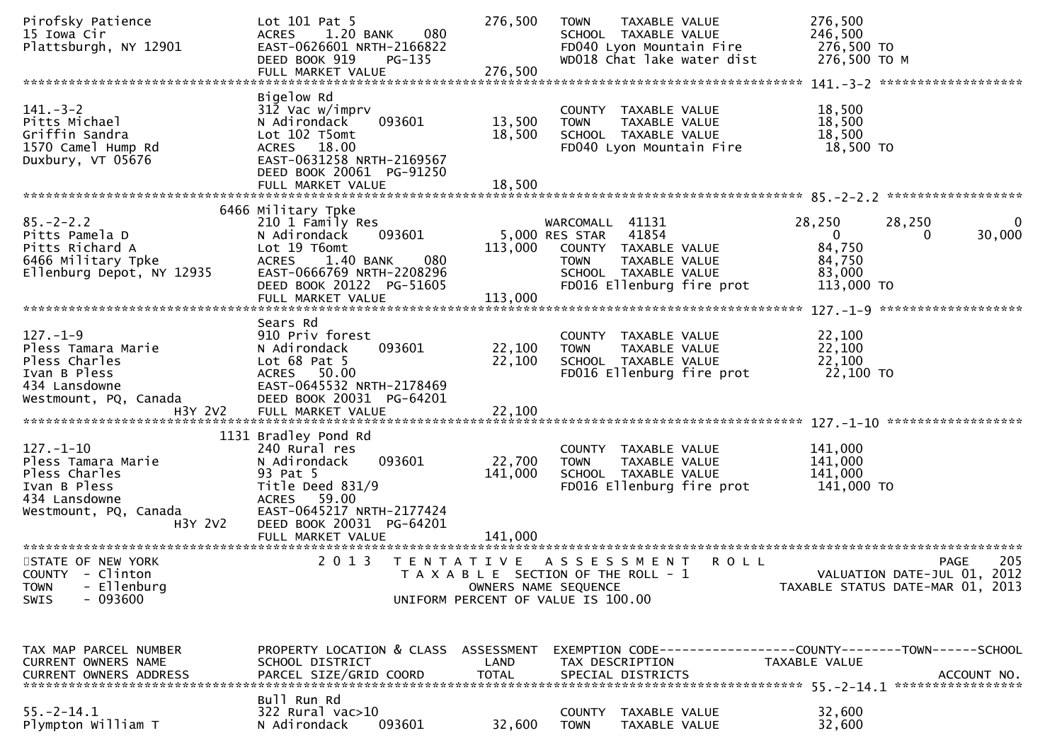| Pirofsky Patience<br>15 Iowa Cir<br>Plattsburgh, NY 12901                                                                   | Lot 101 Pat 5<br>1.20 BANK<br>080<br><b>ACRES</b><br>EAST-0626601 NRTH-2166822<br>DEED BOOK 919<br>$PG-135$                                                                   | 276,500              | <b>TOWN</b><br><b>TAXABLE VALUE</b><br>SCHOOL TAXABLE VALUE<br>FD040 Lyon Mountain Fire<br>WD018 Chat lake water dist                                   | 276,500<br>246,500<br>276,500 TO<br>276,500 ТО М                                                        |
|-----------------------------------------------------------------------------------------------------------------------------|-------------------------------------------------------------------------------------------------------------------------------------------------------------------------------|----------------------|---------------------------------------------------------------------------------------------------------------------------------------------------------|---------------------------------------------------------------------------------------------------------|
| $141 - 3 - 2$<br>Pitts Michael<br>Griffin Sandra<br>1570 Camel Hump Rd<br>Duxbury, VT 05676                                 | Bigelow Rd<br>312 Vac w/imprv<br>093601<br>N Adirondack<br>Lot 102 T5omt<br>ACRES 18.00<br>EAST-0631258 NRTH-2169567<br>DEED BOOK 20061 PG-91250                              | 13,500<br>18,500     | COUNTY TAXABLE VALUE<br>TAXABLE VALUE<br><b>TOWN</b><br>SCHOOL TAXABLE VALUE<br>FD040 Lyon Mountain Fire                                                | 18,500<br>18,500<br>18,500<br>18,500 TO                                                                 |
|                                                                                                                             |                                                                                                                                                                               |                      |                                                                                                                                                         |                                                                                                         |
| $85. - 2 - 2.2$<br>Pitts Pamela D<br>Pitts Richard A<br>6466 Military Tpke<br>Ellenburg Depot, NY 12935                     | 6466 Military Tpke<br>210 1 Family Res<br>N Adirondack<br>093601<br>Lot 19 T6omt<br>1.40 BANK<br>080<br><b>ACRES</b><br>EAST-0666769 NRTH-2208296<br>DEED BOOK 20122 PG-51605 | 113,000              | WARCOMALL 41131<br>5,000 RES STAR<br>41854<br>COUNTY TAXABLE VALUE<br>TAXABLE VALUE<br><b>TOWN</b><br>SCHOOL TAXABLE VALUE<br>FD016 Ellenburg fire prot | 28,250<br>28,250<br>$\bf{0}$<br>30,000<br>$\mathbf{0}$<br>0<br>84,750<br>84,750<br>83,000<br>113,000 TO |
| $127. - 1 - 9$<br>Pless Tamara Marie<br>Pless Charles<br>Ivan B Pless<br>434 Lansdowne<br>Westmount, PQ, Canada             | Sears Rd<br>910 Priv forest<br>093601<br>N Adirondack<br>Lot $68$ Pat $5$<br>ACRES 50.00<br>EAST-0645532 NRTH-2178469<br>DEED BOOK 20031 PG-64201                             | 22,100<br>22,100     | COUNTY TAXABLE VALUE<br>TAXABLE VALUE<br><b>TOWN</b><br>SCHOOL TAXABLE VALUE<br>FD016 Ellenburg fire prot                                               | 22,100<br>22,100<br>22,100<br>22,100 TO                                                                 |
| $127. - 1 - 10$<br>Pless Tamara Marie<br>Pless Charles<br>Ivan B Pless<br>434 Lansdowne<br>Westmount, PQ, Canada<br>H3Y 2V2 | 1131 Bradley Pond Rd<br>240 Rural res<br>093601<br>N Adirondack<br>93 Pat 5<br>Title Deed 831/9<br>ACRES 59.00<br>EAST-0645217 NRTH-2177424<br>DEED BOOK 20031 PG-64201       | 22,700<br>141,000    | COUNTY<br>TAXABLE VALUE<br><b>TOWN</b><br>TAXABLE VALUE<br>SCHOOL TAXABLE VALUE<br>FD016 Ellenburg fire prot                                            | 141,000<br>141,000<br>141,000<br>141,000 TO                                                             |
| STATE OF NEW YORK<br>COUNTY - Clinton<br>- Ellenburg<br><b>TOWN</b><br>$-093600$<br>SWIS                                    | 2 0 1 3                                                                                                                                                                       | OWNERS NAME SEQUENCE | TENTATIVE ASSESSMENT<br><b>ROLL</b><br>T A X A B L E SECTION OF THE ROLL - 1<br>UNIFORM PERCENT OF VALUE IS 100.00                                      | 205<br><b>PAGE</b><br>VALUATION DATE-JUL 01, 2012<br>TAXABLE STATUS DATE-MAR 01, 2013                   |
| TAX MAP PARCEL NUMBER<br>CURRENT OWNERS NAME                                                                                | PROPERTY LOCATION & CLASS ASSESSMENT<br>SCHOOL DISTRICT                                                                                                                       | LAND                 | TAX DESCRIPTION                                                                                                                                         | EXEMPTION CODE-----------------COUNTY-------TOWN------SCHOOL<br>TAXABLE VALUE                           |
| $55. - 2 - 14.1$<br>Plympton William T                                                                                      | Bull Run Rd<br>322 Rural vac>10<br>093601<br>N Adirondack                                                                                                                     | 32,600               | COUNTY<br>TAXABLE VALUE<br><b>TOWN</b><br>TAXABLE VALUE                                                                                                 | 32,600<br>32,600                                                                                        |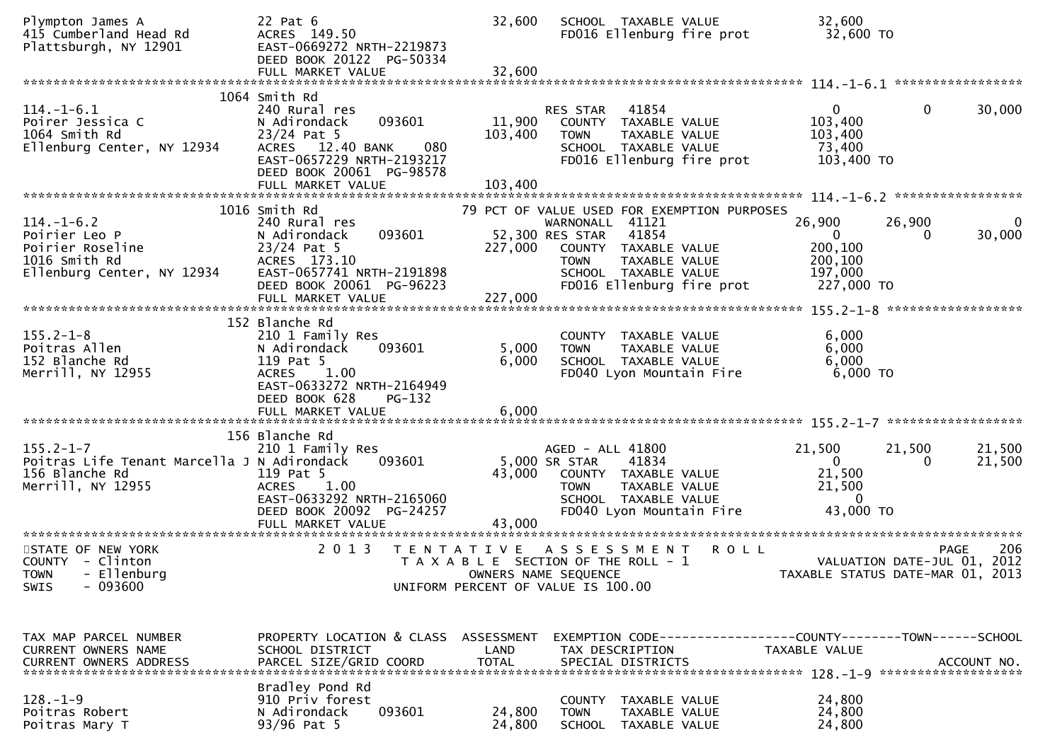| Plympton James A<br>415 Cumberland Head Rd<br>Plattsburgh, NY 12901                                   | 22 Pat 6<br>ACRES 149.50<br>EAST-0669272 NRTH-2219873<br>DEED BOOK 20122 PG-50334                                                                                       | 32,600             | SCHOOL TAXABLE VALUE<br>FD016 Ellenburg fire prot                                                                                                                                                       | 32,600<br>32,600 TO                                                                     |                    |
|-------------------------------------------------------------------------------------------------------|-------------------------------------------------------------------------------------------------------------------------------------------------------------------------|--------------------|---------------------------------------------------------------------------------------------------------------------------------------------------------------------------------------------------------|-----------------------------------------------------------------------------------------|--------------------|
|                                                                                                       | 1064 Smith Rd                                                                                                                                                           |                    |                                                                                                                                                                                                         |                                                                                         |                    |
| $114. - 1 - 6.1$<br>Poirer Jessica C<br>1064 Smith Rd<br>Ellenburg Center, NY 12934                   | 240 Rural res<br>093601<br>N Adirondack<br>$23/24$ Pat 5<br>ACRES 12.40 BANK<br>080<br>EAST-0657229 NRTH-2193217<br>DEED BOOK 20061 PG-98578                            | 11,900<br>103,400  | 41854<br>RES STAR<br>COUNTY TAXABLE VALUE<br><b>TOWN</b><br>TAXABLE VALUE<br>SCHOOL TAXABLE VALUE<br>FD016 Ellenburg fire prot                                                                          | $\mathbf{0}$<br>$\overline{0}$<br>103,400<br>103,400<br>73,400<br>103,400 TO            | 30,000             |
|                                                                                                       | FULL MARKET VALUE                                                                                                                                                       | 103,400            |                                                                                                                                                                                                         |                                                                                         |                    |
| $114. - 1 - 6.2$<br>Poirier Leo P<br>Poirier Roseline<br>1016 Smith Rd<br>Ellenburg Center, NY 12934  | 1016 Smith Rd<br>240 Rural res<br>093601<br>N Adirondack<br>$23/24$ Pat 5<br>ACRES 173.10<br>EAST-0657741 NRTH-2191898<br>DEED BOOK 20061 PG-96223<br>FULL MARKET VALUE | 227,000<br>227,000 | 79 PCT OF VALUE USED FOR EXEMPTION PURPOSES<br>WARNONALL 41121<br>52,300 RES STAR<br>41854<br>COUNTY TAXABLE VALUE<br>TAXABLE VALUE<br><b>TOWN</b><br>SCHOOL TAXABLE VALUE<br>FD016 Ellenburg fire prot | 26,900<br>26,900<br>$\Omega$<br>$\Omega$<br>200,100<br>200,100<br>197,000<br>227,000 TO | 0<br>30,000        |
|                                                                                                       | 152 Blanche Rd                                                                                                                                                          |                    |                                                                                                                                                                                                         |                                                                                         |                    |
| $155.2 - 1 - 8$<br>Poitras Allen<br>152 Blanche Rd<br>Merrill, NY 12955                               | 210 1 Family Res<br>093601<br>N Adirondack<br>119 Pat 5<br>1.00<br><b>ACRES</b><br>EAST-0633272 NRTH-2164949<br>DEED BOOK 628<br><b>PG-132</b>                          | 5,000<br>6,000     | COUNTY TAXABLE VALUE<br>TAXABLE VALUE<br><b>TOWN</b><br>SCHOOL TAXABLE VALUE<br>FD040 Lyon Mountain Fire                                                                                                | 6,000<br>6,000<br>6,000<br>6,000 TO                                                     |                    |
|                                                                                                       | 156 Blanche Rd                                                                                                                                                          |                    |                                                                                                                                                                                                         |                                                                                         |                    |
| $155.2 - 1 - 7$<br>Poitras Life Tenant Marcella J N Adirondack<br>156 Blanche Rd<br>Merrill, NY 12955 | 210 1 Family Res<br>093601<br>119 Pat 5<br><b>ACRES</b><br>1.00<br>EAST-0633292 NRTH-2165060<br>DEED BOOK 20092 PG-24257<br>FULL MARKET VALUE                           | 43,000<br>43,000   | AGED - ALL 41800<br>5,000 SR STAR<br>41834<br>COUNTY TAXABLE VALUE<br>TAXABLE VALUE<br><b>TOWN</b><br>SCHOOL TAXABLE VALUE<br>FD040 Lyon Mountain Fire                                                  | 21,500<br>21,500<br>$\overline{0}$<br>21,500<br>21,500<br>$\mathbf{0}$<br>43,000 TO     | 21,500<br>21,500   |
| STATE OF NEW YORK<br>COUNTY - Clinton<br>- Ellenburg<br><b>TOWN</b><br>$-093600$<br>SWIS              | 2 0 1 3                                                                                                                                                                 |                    | TENTATIVE ASSESSMENT<br><b>ROLL</b><br>T A X A B L E SECTION OF THE ROLL - 1<br>OWNERS NAME SEQUENCE<br>UNIFORM PERCENT OF VALUE IS 100.00                                                              | VALUATION DATE-JUL 01, 2012<br>TAXABLE STATUS DATE-MAR 01, 2013                         | 206<br><b>PAGE</b> |
| TAX MAP PARCEL NUMBER<br>CURRENT OWNERS NAME                                                          | PROPERTY LOCATION & CLASS ASSESSMENT<br>SCHOOL DISTRICT                                                                                                                 | LAND               | EXEMPTION CODE------------------COUNTY--------TOWN------SCHOOL<br>TAX DESCRIPTION                                                                                                                       | TAXABLE VALUE                                                                           |                    |
| $128. - 1 - 9$<br>Poitras Robert<br>Poitras Mary T                                                    | Bradley Pond Rd<br>910 Priv forest<br>093601<br>N Adirondack<br>93/96 Pat 5                                                                                             | 24,800<br>24,800   | <b>COUNTY</b><br>TAXABLE VALUE<br><b>TOWN</b><br>TAXABLE VALUE<br>SCHOOL TAXABLE VALUE                                                                                                                  | 24,800<br>24,800<br>24,800                                                              |                    |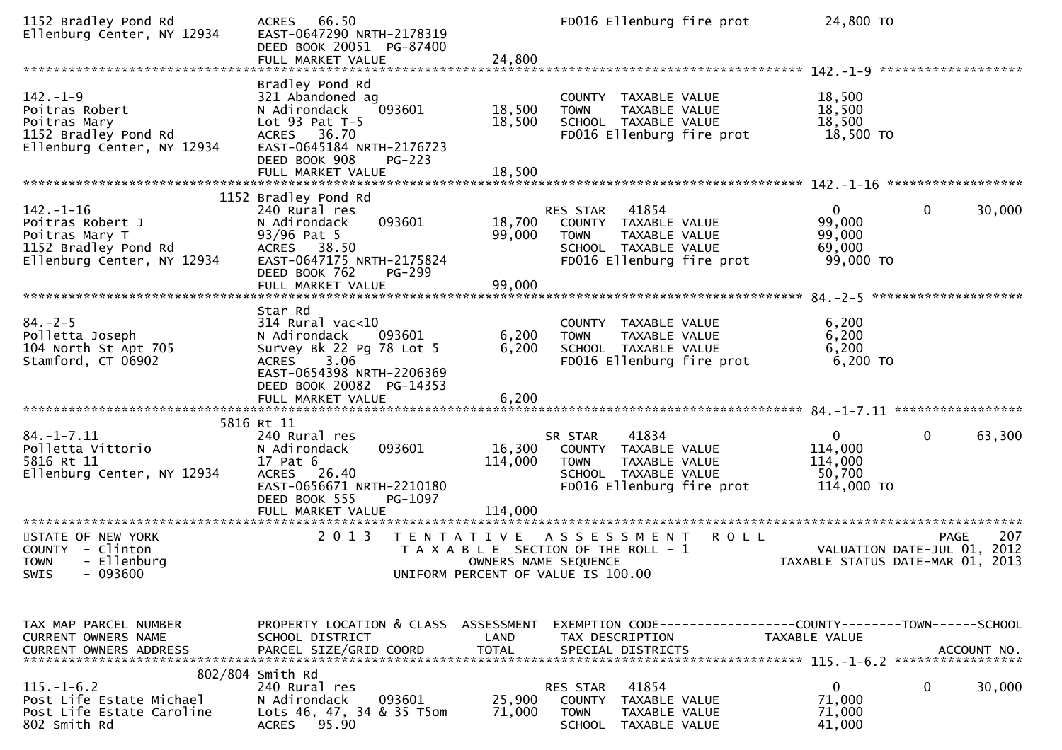| 1152 Bradley Pond Rd<br>Ellenburg Center, NY 12934                                                          | 66.50<br><b>ACRES</b><br>EAST-0647290 NRTH-2178319<br>DEED BOOK 20051 PG-87400<br>FULL MARKET VALUE                                                                                | 24,800                       | FD016 Ellenburg fire prot                                                                                                                 | 24,800 TO                                                  |                                                   |
|-------------------------------------------------------------------------------------------------------------|------------------------------------------------------------------------------------------------------------------------------------------------------------------------------------|------------------------------|-------------------------------------------------------------------------------------------------------------------------------------------|------------------------------------------------------------|---------------------------------------------------|
| $142. - 1 - 9$<br>Poitras Robert<br>Poitras Mary<br>1152 Bradley Pond Rd<br>Ellenburg Center, NY 12934      | Bradley Pond Rd<br>321 Abandoned ag<br>093601<br>N Adirondack<br>Lot $93$ Pat T-5<br>ACRES 36.70<br>EAST-0645184 NRTH-2176723<br>DEED BOOK 908<br>$PG-223$                         | 18,500<br>18,500             | COUNTY TAXABLE VALUE<br>TAXABLE VALUE<br><b>TOWN</b><br>SCHOOL TAXABLE VALUE<br>FD016 Ellenburg fire prot                                 | 18,500<br>18,500<br>18,500<br>18,500 TO                    |                                                   |
| $142. - 1 - 16$<br>Poitras Robert J<br>Poitras Mary T<br>1152 Bradley Pond Rd<br>Ellenburg Center, NY 12934 | 1152 Bradley Pond Rd<br>240 Rural res<br>093601<br>N Adirondack<br>93/96 Pat 5<br>ACRES 38.50<br>EAST-0647175 NRTH-2175824<br>DEED BOOK 762<br>PG-299<br>FULL MARKET VALUE         | 18,700<br>99,000<br>99,000   | 41854<br>RES STAR<br>COUNTY TAXABLE VALUE<br>TAXABLE VALUE<br><b>TOWN</b><br>SCHOOL TAXABLE VALUE<br>FD016 Ellenburg fire prot            | $\mathbf{0}$<br>99,000<br>99,000<br>69,000<br>99,000 TO    | $\mathbf 0$<br>30,000                             |
| $84. - 2 - 5$<br>Polletta Joseph<br>104 North St Apt 705<br>Stamford, CT 06902                              | Star Rd<br>$314$ Rural vac<10<br>093601<br>N Adirondack<br>Survey Bk 22 Pg 78 Lot 5<br>3.06<br>ACRES<br>EAST-0654398 NRTH-2206369<br>DEED BOOK 20082 PG-14353<br>FULL MARKET VALUE | 6,200<br>6,200<br>6,200      | COUNTY TAXABLE VALUE<br>TAXABLE VALUE<br><b>TOWN</b><br>SCHOOL TAXABLE VALUE<br>FD016 Ellenburg fire prot                                 | 6,200<br>6,200<br>6,200<br>6,200 TO                        |                                                   |
| $84. - 1 - 7.11$<br>Polletta Vittorio<br>5816 Rt 11<br>Ellenburg Center, NY 12934                           | 5816 Rt 11<br>240 Rural res<br>093601<br>N Adirondack<br>17 Pat 6<br>ACRES 26.40<br>EAST-0656671 NRTH-2210180<br>DEED BOOK 555<br>PG-1097<br>FULL MARKET VALUE                     | 16,300<br>114,000<br>114,000 | 41834<br>SR STAR<br>COUNTY TAXABLE VALUE<br>TAXABLE VALUE<br><b>TOWN</b><br>SCHOOL TAXABLE VALUE<br>FD016 Ellenburg fire prot             | $\mathbf{0}$<br>114,000<br>114,000<br>50,700<br>114,000 TO | $\mathbf 0$<br>63,300                             |
| STATE OF NEW YORK<br>COUNTY - Clinton<br><b>TOWN</b><br>- Ellenburg<br>SWIS - 093600                        | 2 0 1 3                                                                                                                                                                            | T E N T A T I V E            | A S S E S S M E N T<br><b>ROLL</b><br>T A X A B L E SECTION OF THE ROLL - 1<br>OWNERS NAME SEQUENCE<br>UNIFORM PERCENT OF VALUE IS 100.00 | TAXABLE STATUS DATE-MAR 01, 2013                           | 207<br><b>PAGE</b><br>VALUATION DATE-JUL 01, 2012 |
| TAX MAP PARCEL NUMBER<br><b>CURRENT OWNERS NAME</b>                                                         | PROPERTY LOCATION & CLASS ASSESSMENT<br>SCHOOL DISTRICT                                                                                                                            | LAND                         | EXEMPTION CODE-----------------COUNTY-------TOWN------SCHOOL<br>TAX DESCRIPTION                                                           | TAXABLE VALUE                                              |                                                   |
| $115. - 1 - 6.2$<br>Post Life Estate Michael<br>Post Life Estate Caroline<br>802 Smith Rd                   | 802/804 Smith Rd<br>240 Rural res<br>N Adirondack<br>093601<br>Lots 46, 47, 34 & 35 T5om<br>ACRES 95.90                                                                            | 25,900<br>71,000             | 41854<br>RES STAR<br>COUNTY TAXABLE VALUE<br><b>TOWN</b><br><b>TAXABLE VALUE</b><br><b>SCHOOL</b><br>TAXABLE VALUE                        | $\mathbf 0$<br>71,000<br>71,000<br>41,000                  | 0<br>30,000                                       |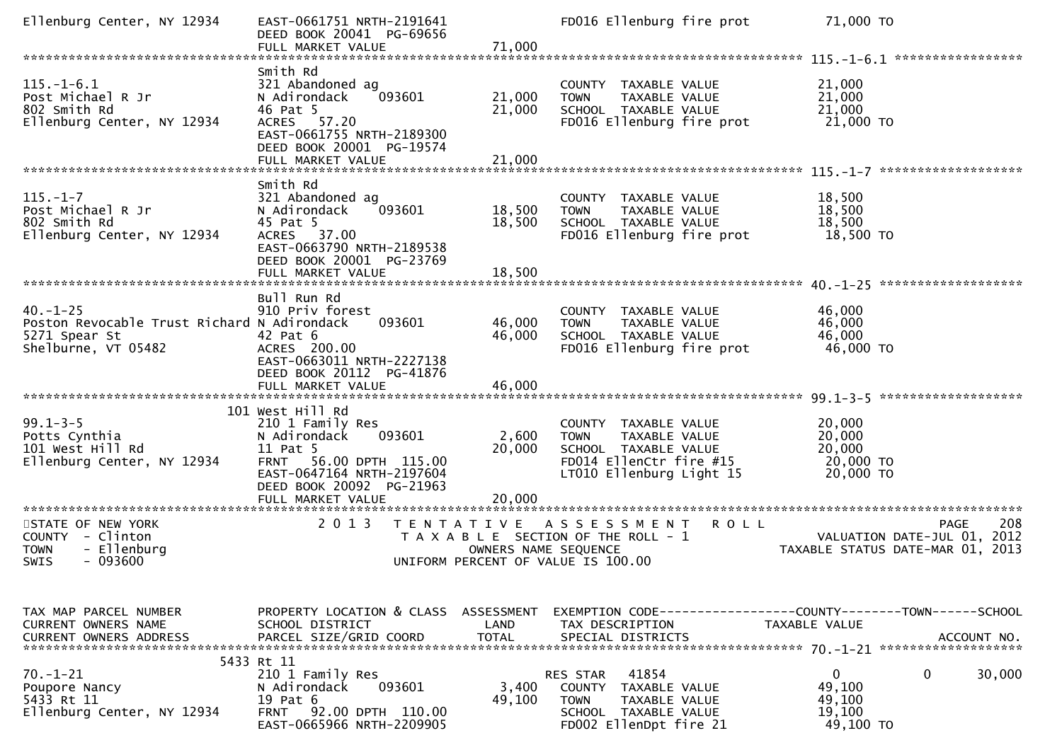| Ellenburg Center, NY 12934                                                                                 | EAST-0661751 NRTH-2191641<br>DEED BOOK 20041 PG-69656                                                                                                                                | 71,000                     | FD016 Ellenburg fire prot                                                                                                           |             | 71,000 TO                                                                                 |
|------------------------------------------------------------------------------------------------------------|--------------------------------------------------------------------------------------------------------------------------------------------------------------------------------------|----------------------------|-------------------------------------------------------------------------------------------------------------------------------------|-------------|-------------------------------------------------------------------------------------------|
|                                                                                                            | FULL MARKET VALUE                                                                                                                                                                    |                            |                                                                                                                                     |             |                                                                                           |
| $115. - 1 - 6.1$<br>Post Michael R Jr<br>802 Smith Rd<br>Ellenburg Center, NY 12934                        | Smith Rd<br>321 Abandoned ag<br>N Adirondack<br>093601<br>46 Pat 5<br>ACRES 57.20<br>EAST-0661755 NRTH-2189300<br>DEED BOOK 20001 PG-19574<br>FULL MARKET VALUE                      | 21,000<br>21,000<br>21,000 | COUNTY TAXABLE VALUE<br>TAXABLE VALUE<br><b>TOWN</b><br>SCHOOL TAXABLE VALUE<br>FD016 Ellenburg fire prot                           |             | 21,000<br>21,000<br>21,000<br>21,000 TO                                                   |
|                                                                                                            |                                                                                                                                                                                      |                            |                                                                                                                                     |             |                                                                                           |
| $115. - 1 - 7$<br>Post Michael R Jr<br>802 Smith Rd<br>Ellenburg Center, NY 12934                          | Smith Rd<br>321 Abandoned ag<br>N Adirondack<br>093601<br>45 Pat 5<br>ACRES 37.00<br>EAST-0663790 NRTH-2189538<br>DEED BOOK 20001 PG-23769                                           | 18,500<br>18,500           | COUNTY TAXABLE VALUE<br>TAXABLE VALUE<br><b>TOWN</b><br>SCHOOL TAXABLE VALUE<br>FD016 Ellenburg fire prot                           |             | 18,500<br>18,500<br>18,500<br>18,500 TO                                                   |
|                                                                                                            | FULL MARKET VALUE                                                                                                                                                                    | 18,500                     |                                                                                                                                     |             |                                                                                           |
| $40. - 1 - 25$<br>Poston Revocable Trust Richard N Adirondack<br>5271 Spear St<br>Shelburne, VT 05482      | Bull Run Rd<br>910 Priv forest<br>093601<br>42 Pat 6<br>ACRES 200.00<br>EAST-0663011 NRTH-2227138<br>DEED BOOK 20112 PG-41876<br>FULL MARKET VALUE                                   | 46,000<br>46,000<br>46,000 | COUNTY TAXABLE VALUE<br>TAXABLE VALUE<br><b>TOWN</b><br>SCHOOL TAXABLE VALUE<br>FD016 Ellenburg fire prot                           |             | 46,000<br>46,000<br>46,000<br>46,000 TO                                                   |
|                                                                                                            | 101 West Hill Rd                                                                                                                                                                     |                            |                                                                                                                                     |             |                                                                                           |
| $99.1 - 3 - 5$<br>Potts Cynthia<br>101 West Hill Rd<br>Ellenburg Center, NY 12934<br>********************* | 210 1 Family Res<br>N Adirondack<br>093601<br>11 Pat 5<br>FRNT 56.00 DPTH 115.00<br>EAST-0647164 NRTH-2197604<br>DEED BOOK 20092 PG-21963<br>FULL MARKET VALUE<br>****************** | 2,600<br>20,000<br>20,000  | COUNTY TAXABLE VALUE<br><b>TOWN</b><br>TAXABLE VALUE<br>SCHOOL TAXABLE VALUE<br>FD014 EllenCtr fire #15<br>LT010 Ellenburg Light 15 |             | 20,000<br>20,000<br>20,000<br>20,000 TO<br>20,000 TO                                      |
| STATE OF NEW YORK<br>COUNTY - Clinton<br>- Ellenburg<br><b>TOWN</b><br>$-093600$<br><b>SWIS</b>            | 2 0 1 3<br>T E N T A T I V E                                                                                                                                                         | OWNERS NAME SEQUENCE       | A S S E S S M E N T<br>T A X A B L E SECTION OF THE ROLL - 1<br>UNIFORM PERCENT OF VALUE IS 100.00                                  | <b>ROLL</b> | 208<br><b>PAGE</b><br>VALUATION DATE-JUL 01, 2012<br>TAXABLE STATUS DATE-MAR 01,<br>-2013 |
|                                                                                                            |                                                                                                                                                                                      |                            |                                                                                                                                     |             |                                                                                           |
| TAX MAP PARCEL NUMBER<br>CURRENT OWNERS NAME                                                               | PROPERTY LOCATION & CLASS<br>SCHOOL DISTRICT                                                                                                                                         | ASSESSMENT<br>LAND         | TAX DESCRIPTION                                                                                                                     |             | TAXABLE VALUE                                                                             |
| $70. - 1 - 21$<br>Poupore Nancy<br>5433 Rt 11<br>Ellenburg Center, NY 12934                                | 5433 Rt 11<br>210 1 Family Res<br>N Adirondack<br>093601<br>19 Pat 6<br>FRNT 92.00 DPTH 110.00<br>EAST-0665966 NRTH-2209905                                                          | 3,400<br>49,100            | 41854<br>RES STAR<br>COUNTY<br>TAXABLE VALUE<br><b>TOWN</b><br>TAXABLE VALUE<br>SCHOOL TAXABLE VALUE<br>FD002 EllenDpt fire 21      |             | $\mathbf{0}$<br>0<br>30,000<br>49,100<br>49,100<br>19,100<br>49,100 TO                    |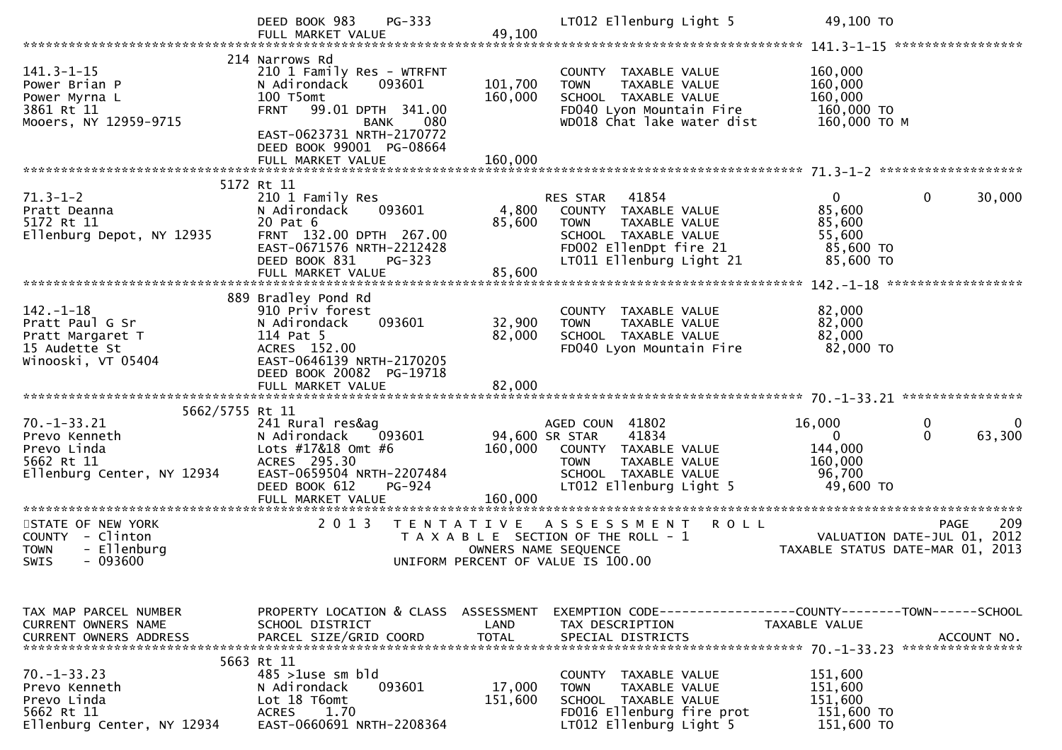|                                                                                                                                                  | $PG-333$<br>DEED BOOK 983<br>FULL MARKET VALUE                                                                                                                                                                             | 49,100                                    | LT012 Ellenburg Light 5                                                                                                                                 | 49,100 TO                                                                        |                                    |
|--------------------------------------------------------------------------------------------------------------------------------------------------|----------------------------------------------------------------------------------------------------------------------------------------------------------------------------------------------------------------------------|-------------------------------------------|---------------------------------------------------------------------------------------------------------------------------------------------------------|----------------------------------------------------------------------------------|------------------------------------|
| $141.3 - 1 - 15$<br>Power Brian P<br>Power Myrna L<br>3861 Rt 11<br>Mooers, NY 12959-9715                                                        | 214 Narrows Rd<br>210 1 Family Res - WTRFNT<br>093601<br>N Adirondack<br>100 T5omt<br><b>FRNT</b><br>99.01 DPTH 341.00<br>080<br><b>BANK</b><br>EAST-0623731 NRTH-2170772<br>DEED BOOK 99001 PG-08664<br>FULL MARKET VALUE | 101,700<br>160,000<br>160,000             | COUNTY TAXABLE VALUE<br><b>TOWN</b><br>TAXABLE VALUE<br>SCHOOL TAXABLE VALUE<br>FD040 Lyon Mountain Fire<br>WD018 Chat lake water dist                  | 160,000<br>160,000<br>160,000<br>160,000 TO<br>160,000 ТО М                      |                                    |
|                                                                                                                                                  |                                                                                                                                                                                                                            |                                           |                                                                                                                                                         |                                                                                  |                                    |
| $71.3 - 1 - 2$<br>Pratt Deanna<br>5172 Rt 11<br>Ellenburg Depot, NY 12935                                                                        | 5172 Rt 11<br>210 1 Family Res<br>N Adirondack<br>093601<br>20 Pat 6<br>FRNT 132.00 DPTH 267.00<br>EAST-0671576 NRTH-2212428<br>DEED BOOK 831<br>$PG-323$<br>FULL MARKET VALUE                                             | 4,800<br>85,600<br>85,600                 | 41854<br>RES STAR<br>COUNTY TAXABLE VALUE<br><b>TOWN</b><br>TAXABLE VALUE<br>SCHOOL TAXABLE VALUE<br>FD002 EllenDpt fire 21<br>LT011 Ellenburg Light 21 | 0<br>$\overline{0}$<br>85,600<br>85,600<br>55,600<br>85,600 TO<br>85,600 TO      | 30,000                             |
|                                                                                                                                                  |                                                                                                                                                                                                                            |                                           |                                                                                                                                                         |                                                                                  | *******************                |
| $142. - 1 - 18$<br>Pratt Paul G Sr<br>Pratt Margaret T<br>15 Audette St<br>Winooski, VT 05404                                                    | 889 Bradley Pond Rd<br>910 Priv forest<br>N Adirondack<br>093601<br>114 Pat 5<br>ACRES 152.00<br>EAST-0646139 NRTH-2170205<br>DEED BOOK 20082 PG-19718<br>FULL MARKET VALUE                                                | 32,900<br>82,000<br>82,000                | COUNTY<br>TAXABLE VALUE<br>TAXABLE VALUE<br><b>TOWN</b><br>SCHOOL TAXABLE VALUE<br>FD040 Lyon Mountain Fire                                             | 82,000<br>82,000<br>82,000<br>82,000 TO                                          |                                    |
|                                                                                                                                                  |                                                                                                                                                                                                                            |                                           |                                                                                                                                                         |                                                                                  |                                    |
| 5662/5755 Rt 11<br>$70. - 1 - 33.21$<br>Prevo Kenneth<br>Prevo Linda<br>5662 Rt 11<br>Ellenburg Center, NY 12934<br>**************************** | 241 Rural res&ag<br>N Adirondack<br>093601<br>Lots #17&18 Omt #6<br>ACRES 295.30<br>EAST-0659504 NRTH-2207484<br>DEED BOOK 612<br><b>PG-924</b><br>FULL MARKET VALUE<br>********************                               | 160,000<br>160,000                        | AGED COUN 41802<br>94,600 SR STAR<br>41834<br>COUNTY TAXABLE VALUE<br>TAXABLE VALUE<br><b>TOWN</b><br>SCHOOL TAXABLE VALUE<br>LT012 Ellenburg Light 5   | 16,000<br>0<br>$\Omega$<br>$\Omega$<br>144,000<br>160,000<br>96,700<br>49,600 TO | $\Omega$<br>63,300                 |
| STATE OF NEW YORK<br>COUNTY - Clinton<br><b>TOWN</b><br>- Ellenburg<br>$-093600$<br><b>SWIS</b>                                                  | 2 0 1 3                                                                                                                                                                                                                    | T E N T A T I V E<br>OWNERS NAME SEQUENCE | <b>ROLL</b><br>A S S E S S M E N T<br>T A X A B L E SECTION OF THE ROLL - 1<br>UNIFORM PERCENT OF VALUE IS 100.00                                       | VALUATION DATE-JUL 01,<br>TAXABLE STATUS DATE-MAR 01,                            | 209<br><b>PAGE</b><br>2012<br>2013 |
| TAX MAP PARCEL NUMBER<br>CURRENT OWNERS NAME<br>CURRENT OWNERS ADDRESS                                                                           | PROPERTY LOCATION & CLASS<br>SCHOOL DISTRICT<br>PARCEL SIZE/GRID COORD                                                                                                                                                     | ASSESSMENT<br>LAND<br><b>TOTAL</b>        | EXEMPTION CODE-----------------COUNTY-------TOWN------SCHOOL<br>TAX DESCRIPTION<br>SPECIAL DISTRICTS                                                    | TAXABLE VALUE                                                                    | ACCOUNT NO.                        |
| $70. -1 - 33.23$<br>Prevo Kenneth<br>Prevo Linda<br>5662 Rt 11<br>Ellenburg Center, NY 12934                                                     | 5663 Rt 11<br>$485$ >1use sm bld<br>093601<br>N Adirondack<br>Lot 18 T6omt<br>1.70<br><b>ACRES</b><br>EAST-0660691 NRTH-2208364                                                                                            | 17,000<br>151,600                         | COUNTY TAXABLE VALUE<br>TAXABLE VALUE<br>TOWN<br>SCHOOL TAXABLE VALUE<br>FD016 Ellenburg fire prot<br>LT012 Ellenburg Light 5                           | 151,600<br>151,600<br>151,600<br>151,600 TO<br>151,600 TO                        |                                    |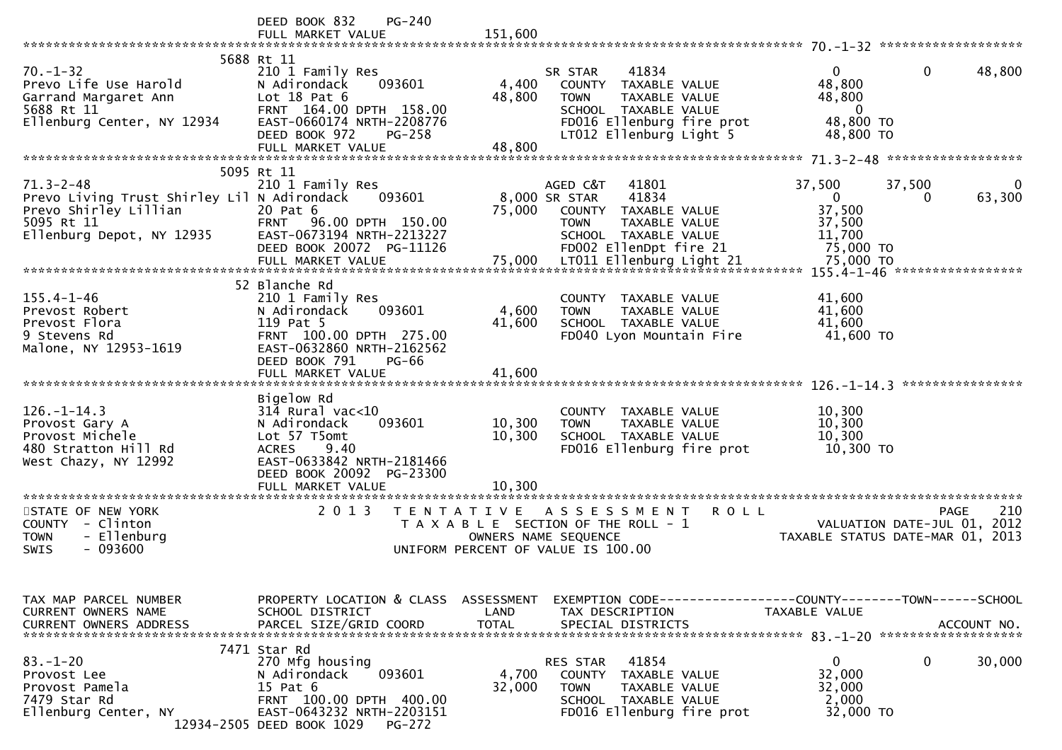|                                                                                                                                    | PG-240<br>DEED BOOK 832<br>FULL MARKET VALUE                                                                                                                                           | 151,600                                                                         |                                                                                                                                                                 |                                                                                              |             |
|------------------------------------------------------------------------------------------------------------------------------------|----------------------------------------------------------------------------------------------------------------------------------------------------------------------------------------|---------------------------------------------------------------------------------|-----------------------------------------------------------------------------------------------------------------------------------------------------------------|----------------------------------------------------------------------------------------------|-------------|
| $70. - 1 - 32$<br>Prevo Life Use Harold<br>Garrand Margaret Ann<br>5688 Rt 11<br>Ellenburg Center, NY 12934                        | 5688 Rt 11<br>210 1 Family Res<br>093601<br>N Adirondack<br>Lot $18$ Pat $6$<br>FRNT 164.00 DPTH 158.00<br>EAST-0660174 NRTH-2208776<br>DEED BOOK 972<br>$PG-258$<br>FULL MARKET VALUE | 4,400<br>48,800<br>48,800                                                       | 41834<br>SR STAR<br>COUNTY TAXABLE VALUE<br><b>TOWN</b><br><b>TAXABLE VALUE</b><br>SCHOOL TAXABLE VALUE<br>FD016 Ellenburg fire prot<br>LT012 Ellenburg Light 5 | $\mathbf{0}$<br>$\mathbf{0}$<br>48,800<br>48,800<br>$\overline{0}$<br>48,800 TO<br>48,800 TO | 48,800      |
|                                                                                                                                    |                                                                                                                                                                                        |                                                                                 |                                                                                                                                                                 |                                                                                              |             |
| $71.3 - 2 - 48$<br>Prevo Living Trust Shirley Lil N Adirondack<br>Prevo Shirley Lillian<br>5095 Rt 11<br>Ellenburg Depot, NY 12935 | 5095 Rt 11<br>210 1 Family Res<br>093601<br>20 Pat 6<br>FRNT 96.00 DPTH 150.00<br>EAST-0673194 NRTH-2213227<br>DEED BOOK 20072 PG-11126                                                | 8,000 SR STAR<br>75,000                                                         | AGED C&T<br>41801<br>41834<br>COUNTY TAXABLE VALUE<br><b>TOWN</b><br>TAXABLE VALUE<br>SCHOOL TAXABLE VALUE<br>FD002 EllenDpt fire 21                            | 37,500<br>37,500<br>$\mathbf{0}$<br>0<br>37,500<br>37,500<br>11,700<br>75,000 TO             | 63,300      |
|                                                                                                                                    | FULL MARKET VALUE                                                                                                                                                                      |                                                                                 |                                                                                                                                                                 | 75,000 TO                                                                                    |             |
|                                                                                                                                    |                                                                                                                                                                                        |                                                                                 |                                                                                                                                                                 | 155.4-1-46 ******************                                                                |             |
| $155.4 - 1 - 46$<br>Prevost Robert<br>Prevost Flora<br>9 Stevens Rd<br>Malone, NY 12953-1619                                       | 52 Blanche Rd<br>210 1 Family Res<br>093601<br>N Adirondack<br>119 Pat 5<br>FRNT 100.00 DPTH 275.00<br>EAST-0632860 NRTH-2162562<br>DEED BOOK 791<br><b>PG-66</b>                      | 4,600<br>41,600                                                                 | COUNTY<br>TAXABLE VALUE<br><b>TOWN</b><br>TAXABLE VALUE<br>SCHOOL TAXABLE VALUE<br>FD040 Lyon Mountain Fire                                                     | 41,600<br>41,600<br>41,600<br>41,600 TO                                                      |             |
|                                                                                                                                    | FULL MARKET VALUE                                                                                                                                                                      | 41,600                                                                          |                                                                                                                                                                 |                                                                                              |             |
|                                                                                                                                    |                                                                                                                                                                                        |                                                                                 |                                                                                                                                                                 |                                                                                              |             |
| $126. - 1 - 14.3$<br>Provost Gary A<br>Provost Michele<br>480 Stratton Hill Rd<br>West Chazy, NY 12992                             | Bigelow Rd<br>$314$ Rural vac<10<br>093601<br>N Adirondack<br>Lot 57 T5omt<br>9.40<br><b>ACRES</b><br>EAST-0633842 NRTH-2181466<br>DEED BOOK 20092 PG-23300                            | 10,300<br>10,300                                                                | COUNTY TAXABLE VALUE<br><b>TOWN</b><br>TAXABLE VALUE<br>SCHOOL TAXABLE VALUE<br>FD016 Ellenburg fire prot                                                       | 10,300<br>10,300<br>10,300<br>10,300 TO                                                      |             |
|                                                                                                                                    | FULL MARKET VALUE                                                                                                                                                                      | 10,300                                                                          |                                                                                                                                                                 |                                                                                              |             |
| **********************<br>STATE OF NEW YORK<br>COUNTY - Clinton<br>- Ellenburg<br><b>TOWN</b><br>$-093600$<br>SWIS                 | *********************<br>2 0 1 3                                                                                                                                                       | T E N T A T I V E<br>OWNERS NAME SEQUENCE<br>UNIFORM PERCENT OF VALUE IS 100.00 | <b>ROLL</b><br>A S S E S S M E N T<br>T A X A B L E SECTION OF THE ROLL - 1                                                                                     | <b>PAGE</b><br>VALUATION DATE-JUL 01, 2012<br>TAXABLE STATUS DATE-MAR 01, 2013               | 210         |
| TAX MAP PARCEL NUMBER<br>CURRENT OWNERS NAME<br><b>CURRENT OWNERS ADDRESS</b>                                                      | PROPERTY LOCATION & CLASS ASSESSMENT<br>SCHOOL DISTRICT<br>PARCEL SIZE/GRID COORD                                                                                                      | LAND<br><b>TOTAL</b>                                                            | TAX DESCRIPTION<br>SPECIAL DISTRICTS                                                                                                                            | EXEMPTION CODE------------------COUNTY-------TOWN------SCHOOL<br>TAXABLE VALUE               | ACCOUNT NO. |
| $83. - 1 - 20$<br>Provost Lee<br>Provost Pamela<br>7479 Star Rd<br>Ellenburg Center, NY                                            | 7471 Star Rd<br>270 Mfg housing<br>093601<br>N Adirondack<br>15 Pat 6<br>FRNT 100.00 DPTH 400.00<br>EAST-0643232 NRTH-2203151<br>12934-2505 DEED BOOK 1029 PG-272                      | 4,700<br>32,000                                                                 | 41854<br>RES STAR<br>COUNTY<br>TAXABLE VALUE<br><b>TOWN</b><br>TAXABLE VALUE<br>SCHOOL TAXABLE VALUE<br>FD016 Ellenburg fire prot                               | 0<br>0<br>32,000<br>32,000<br>2,000<br>32,000 TO                                             | 30,000      |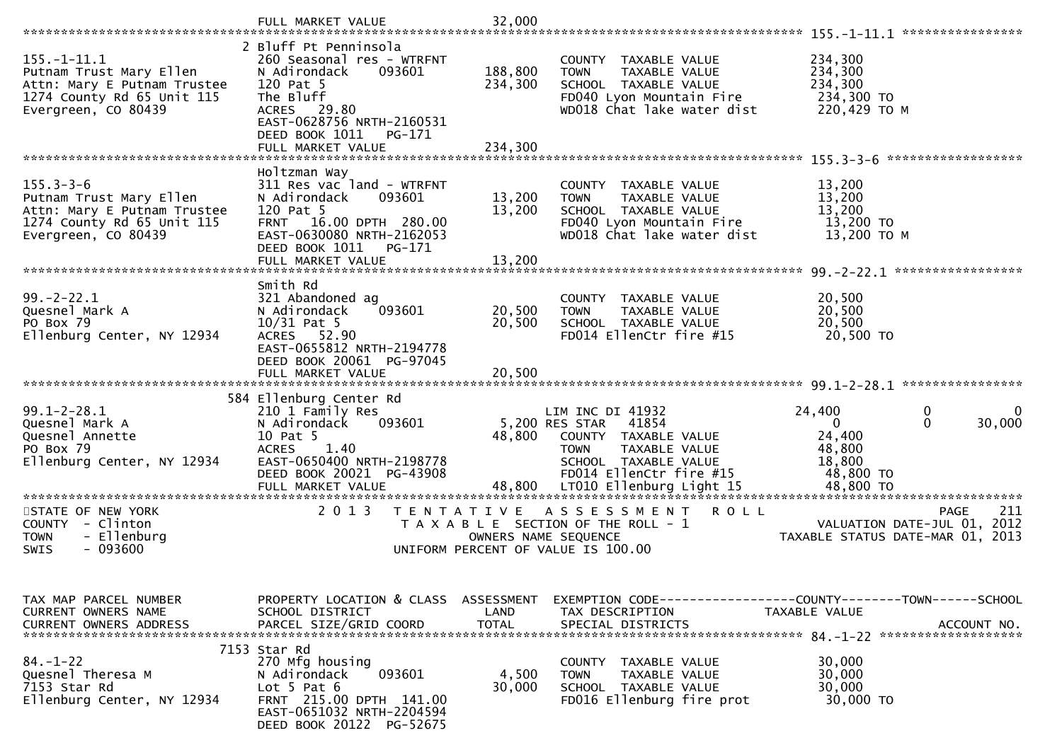|                                                                                                                                  | FULL MARKET VALUE                                                                                                                                                                        | 32,000                             |                                                                                                                                                                                           |                                                                                                                      |
|----------------------------------------------------------------------------------------------------------------------------------|------------------------------------------------------------------------------------------------------------------------------------------------------------------------------------------|------------------------------------|-------------------------------------------------------------------------------------------------------------------------------------------------------------------------------------------|----------------------------------------------------------------------------------------------------------------------|
|                                                                                                                                  |                                                                                                                                                                                          |                                    |                                                                                                                                                                                           | ****************                                                                                                     |
| $155. - 1 - 11.1$<br>Putnam Trust Mary Ellen<br>Attn: Mary E Putnam Trustee<br>1274 County Rd 65 Unit 115<br>Evergreen, CO 80439 | 2 Bluff Pt Penninsola<br>260 Seasonal res - WTRFNT<br>093601<br>N Adirondack<br>120 Pat 5<br>The Bluff<br>ACRES 29.80<br>EAST-0628756 NRTH-2160531<br>DEED BOOK 1011<br>PG-171           | 188,800<br>234,300                 | COUNTY TAXABLE VALUE<br><b>TOWN</b><br>TAXABLE VALUE<br>SCHOOL TAXABLE VALUE<br>FD040 Lyon Mountain Fire<br>WD018 Chat lake water dist                                                    | 234,300<br>234,300<br>234,300<br>234,300 TO<br>220,429 ТО М                                                          |
|                                                                                                                                  | FULL MARKET VALUE                                                                                                                                                                        | 234,300                            |                                                                                                                                                                                           |                                                                                                                      |
| $155.3 - 3 - 6$<br>Putnam Trust Mary Ellen<br>Attn: Mary E Putnam Trustee<br>1274 County Rd 65 Unit 115<br>Evergreen, CO 80439   | Holtzman Way<br>311 Res vac land - WTRFNT<br>N Adirondack<br>093601<br>120 Pat 5<br>FRNT 16.00 DPTH 280.00<br>EAST-0630080 NRTH-2162053<br>DEED BOOK 1011<br>PG-171<br>FULL MARKET VALUE | 13,200<br>13,200<br>13,200         | COUNTY TAXABLE VALUE<br><b>TOWN</b><br>TAXABLE VALUE<br>SCHOOL TAXABLE VALUE<br>FD040 Lyon Mountain Fire<br>WD018 Chat lake water dist                                                    | 13,200<br>13,200<br>13,200<br>13,200 TO<br>13,200 TO M                                                               |
|                                                                                                                                  |                                                                                                                                                                                          |                                    |                                                                                                                                                                                           |                                                                                                                      |
| $99. -2 - 22.1$<br>Quesnel Mark A<br>PO Box 79<br>Ellenburg Center, NY 12934                                                     | Smith Rd<br>321 Abandoned ag<br>093601<br>N Adirondack<br>$10/31$ Pat 5<br>ACRES 52.90<br>EAST-0655812 NRTH-2194778                                                                      | 20,500<br>20,500                   | COUNTY TAXABLE VALUE<br><b>TOWN</b><br>TAXABLE VALUE<br>SCHOOL TAXABLE VALUE<br>FD014 EllenCtr fire #15                                                                                   | 20,500<br>20,500<br>20,500<br>20,500 TO                                                                              |
|                                                                                                                                  | DEED BOOK 20061 PG-97045<br>FULL MARKET VALUE                                                                                                                                            | 20,500                             |                                                                                                                                                                                           |                                                                                                                      |
|                                                                                                                                  |                                                                                                                                                                                          |                                    |                                                                                                                                                                                           |                                                                                                                      |
| $99.1 - 2 - 28.1$<br>Quesnel Mark A<br>Quesnel Annette<br>PO Box 79<br>Ellenburg Center, NY 12934                                | 584 Ellenburg Center Rd<br>210 1 Family Res<br>N Adirondack<br>093601<br>10 Pat 5<br>1.40<br><b>ACRES</b><br>EAST-0650400 NRTH-2198778<br>DEED BOOK 20021 PG-43908<br>FULL MARKET VALUE  | 48,800<br>48,800                   | LIM INC DI 41932<br>5,200 RES STAR<br>41854<br>COUNTY TAXABLE VALUE<br><b>TAXABLE VALUE</b><br><b>TOWN</b><br>SCHOOL TAXABLE VALUE<br>FD014 EllenCtr fire #15<br>LT010 Ellenburg Light 15 | 24,400<br>0<br>0<br>$\mathbf{0}$<br>30,000<br>$\overline{0}$<br>24,400<br>48,800<br>18,800<br>48,800 TO<br>48,800 TO |
| STATE OF NEW YORK<br>- Clinton<br>COUNTY<br>- Ellenburg<br><b>TOWN</b>                                                           | 2 0 1 3<br>T E N T A T I V E                                                                                                                                                             |                                    | A S S E S S M E N T<br><b>ROLL</b><br>T A X A B L E SECTION OF THE ROLL - 1<br>OWNERS NAME SEQUENCE                                                                                       | <b>PAGE</b><br>211<br>VALUATION DATE-JUL 01, 2012<br>TAXABLE STATUS DATE-MAR 01, 2013                                |
| $-093600$<br>SWIS                                                                                                                |                                                                                                                                                                                          |                                    | UNIFORM PERCENT OF VALUE IS 100.00                                                                                                                                                        |                                                                                                                      |
| TAX MAP PARCEL NUMBER<br>CURRENT OWNERS NAME<br>CURRENT OWNERS ADDRESS                                                           | PROPERTY LOCATION & CLASS<br>SCHOOL DISTRICT<br>PARCEL SIZE/GRID COORD                                                                                                                   | ASSESSMENT<br>LAND<br><b>TOTAL</b> | EXEMPTION CODE------------------COUNTY--------TOWN------SCHOOL<br>TAX DESCRIPTION<br>SPECIAL DISTRICTS                                                                                    | TAXABLE VALUE<br>ACCOUNT NO.                                                                                         |
| $84. - 1 - 22$<br>Quesnel Theresa M<br>7153 Star Rd<br>Ellenburg Center, NY 12934                                                | 7153 Star Rd<br>270 Mfg housing<br>093601<br>N Adirondack<br>Lot $5$ Pat $6$<br>FRNT 215.00 DPTH 141.00<br>EAST-0651032 NRTH-2204594<br>DEED BOOK 20122 PG-52675                         | 4,500<br>30,000                    | COUNTY TAXABLE VALUE<br>TAXABLE VALUE<br><b>TOWN</b><br>SCHOOL TAXABLE VALUE<br>FD016 Ellenburg fire prot                                                                                 | 30,000<br>30,000<br>30,000<br>30,000 TO                                                                              |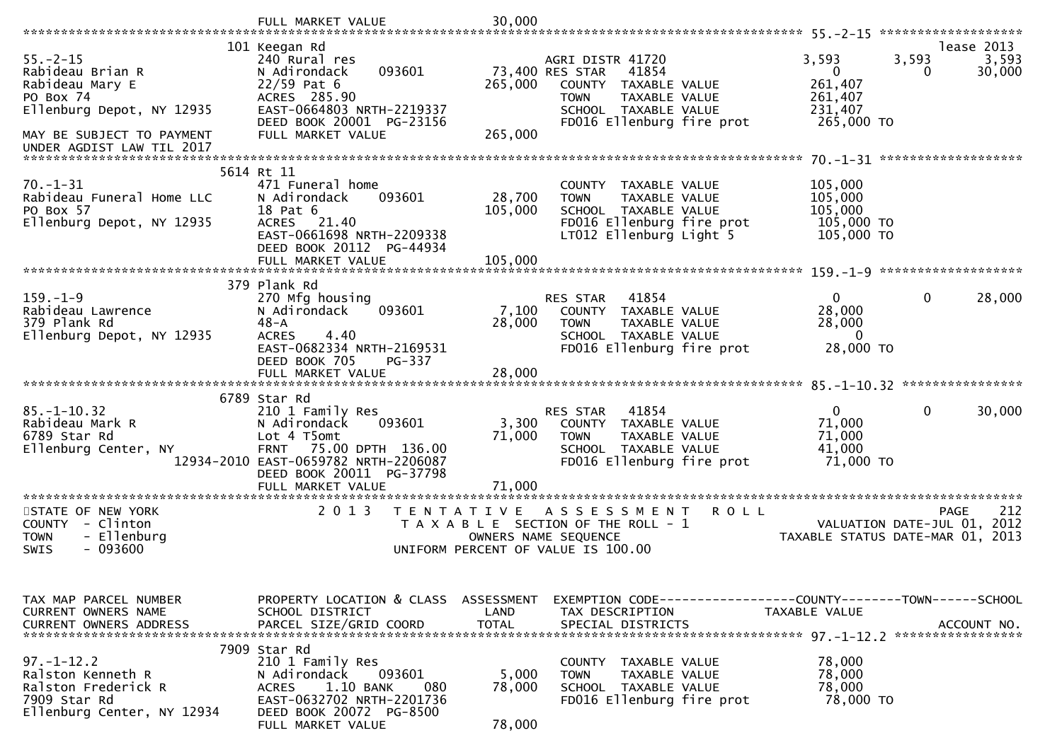|                                                                                                                            | FULL MARKET VALUE                                                                                                                                                 | 30,000            |                                                                                                                                             |                                                           |                                                                                |
|----------------------------------------------------------------------------------------------------------------------------|-------------------------------------------------------------------------------------------------------------------------------------------------------------------|-------------------|---------------------------------------------------------------------------------------------------------------------------------------------|-----------------------------------------------------------|--------------------------------------------------------------------------------|
|                                                                                                                            |                                                                                                                                                                   |                   |                                                                                                                                             |                                                           |                                                                                |
| $55. - 2 - 15$<br>Rabideau Brian R<br>Rabideau Mary E                                                                      | 101 Keegan Rd<br>240 Rural res<br>N Adirondack<br>093601<br>$22/59$ Pat 6                                                                                         | 265,000           | AGRI DISTR 41720<br>73,400 RES STAR<br>41854<br>COUNTY<br>TAXABLE VALUE                                                                     | 3,593<br>$\mathbf{0}$<br>261,407                          | lease 2013<br>3,593<br>3,593<br>30,000<br>0                                    |
| PO Box 74<br>Ellenburg Depot, NY 12935                                                                                     | ACRES 285.90<br>EAST-0664803 NRTH-2219337                                                                                                                         |                   | TAXABLE VALUE<br><b>TOWN</b><br>SCHOOL TAXABLE VALUE                                                                                        | 261,407<br>231,407                                        |                                                                                |
| MAY BE SUBJECT TO PAYMENT<br>UNDER AGDIST LAW TIL 2017                                                                     | DEED BOOK 20001 PG-23156<br>FULL MARKET VALUE                                                                                                                     | 265,000           | FD016 Ellenburg fire prot                                                                                                                   | 265,000 TO                                                |                                                                                |
|                                                                                                                            | 5614 Rt 11                                                                                                                                                        |                   |                                                                                                                                             |                                                           |                                                                                |
| $70. - 1 - 31$<br>Rabideau Funeral Home LLC<br>PO Box 57<br>Ellenburg Depot, NY 12935                                      | 471 Funeral home<br>093601<br>N Adirondack<br>18 Pat 6<br><b>ACRES</b><br>21.40<br>EAST-0661698 NRTH-2209338                                                      | 28,700<br>105,000 | COUNTY TAXABLE VALUE<br><b>TOWN</b><br><b>TAXABLE VALUE</b><br>SCHOOL TAXABLE VALUE<br>FD016 Ellenburg fire prot<br>LT012 Ellenburg Light 5 | 105,000<br>105,000<br>105,000<br>105,000 TO<br>105,000 TO |                                                                                |
|                                                                                                                            | DEED BOOK 20112 PG-44934<br>FULL MARKET VALUE                                                                                                                     | 105,000           |                                                                                                                                             |                                                           |                                                                                |
|                                                                                                                            |                                                                                                                                                                   |                   |                                                                                                                                             |                                                           |                                                                                |
| $159. - 1 - 9$<br>Rabideau Lawrence<br>379 Plank Rd<br>Ellenburg Depot, NY 12935                                           | 379 Plank Rd<br>270 Mfg housing<br>N Adirondack<br>093601<br>$48 - A$<br>4.40<br><b>ACRES</b><br>EAST-0682334 NRTH-2169531                                        | 7,100<br>28,000   | 41854<br><b>RES STAR</b><br>TAXABLE VALUE<br>COUNTY<br><b>TOWN</b><br>TAXABLE VALUE<br>SCHOOL TAXABLE VALUE<br>FD016 Ellenburg fire prot    | $\mathbf{0}$<br>28,000<br>28,000<br>$\Omega$<br>28,000 TO | $\mathbf{0}$<br>28,000                                                         |
|                                                                                                                            | DEED BOOK 705<br>PG-337                                                                                                                                           |                   |                                                                                                                                             |                                                           |                                                                                |
|                                                                                                                            | FULL MARKET VALUE                                                                                                                                                 | 28,000            |                                                                                                                                             |                                                           |                                                                                |
|                                                                                                                            | 6789 Star Rd                                                                                                                                                      |                   |                                                                                                                                             |                                                           |                                                                                |
| $85. - 1 - 10.32$<br>Rabideau Mark R<br>6789 Star Rd<br>Ellenburg Center, NY                                               | 210 1 Family Res<br>N Adirondack<br>093601<br>Lot 4 T5omt<br>75.00 DPTH 136.00<br><b>FRNT</b><br>12934-2010 EAST-0659782 NRTH-2206087<br>DEED BOOK 20011 PG-37798 | 3,300<br>71,000   | RES STAR<br>41854<br>COUNTY TAXABLE VALUE<br>TAXABLE VALUE<br><b>TOWN</b><br>SCHOOL TAXABLE VALUE<br>FD016 Ellenburg fire prot              | $\mathbf{0}$<br>71,000<br>71,000<br>41,000<br>71,000 TO   | $\mathbf{0}$<br>30,000                                                         |
|                                                                                                                            | FULL MARKET VALUE                                                                                                                                                 | 71,000            |                                                                                                                                             |                                                           |                                                                                |
| *********************<br>STATE OF NEW YORK<br>COUNTY<br>- Clinton<br>- Ellenburg<br><b>TOWN</b><br><b>SWIS</b><br>- 093600 | *******************<br>2 0 1 3<br>T E N T A T I V E                                                                                                               | *************     | A S S E S S M E N T<br><b>ROLL</b><br>T A X A B L E SECTION OF THE ROLL - 1<br>OWNERS NAME SEQUENCE<br>UNIFORM PERCENT OF VALUE IS 100.00   |                                                           | 212<br>PAGE<br>VALUATION DATE-JUL 01, 2012<br>TAXABLE STATUS DATE-MAR 01, 2013 |
| TAX MAP PARCEL NUMBER<br>CURRENT OWNERS NAME                                                                               | PROPERTY LOCATION & CLASS ASSESSMENT<br>SCHOOL DISTRICT                                                                                                           | LAND              | TAX DESCRIPTION                                                                                                                             | TAXABLE VALUE                                             |                                                                                |
| <b>CURRENT OWNERS ADDRESS</b>                                                                                              | PARCEL SIZE/GRID COORD                                                                                                                                            | <b>TOTAL</b>      | SPECIAL DISTRICTS                                                                                                                           |                                                           | ACCOUNT NO.                                                                    |
|                                                                                                                            | 7909 Star Rd                                                                                                                                                      |                   |                                                                                                                                             |                                                           |                                                                                |
| $97. - 1 - 12.2$<br>Ralston Kenneth R<br>Ralston Frederick R<br>7909 Star Rd<br>Ellenburg Center, NY 12934                 | 210 1 Family Res<br>093601<br>N Adirondack<br>1.10 BANK<br><b>ACRES</b><br>080<br>EAST-0632702 NRTH-2201736<br>DEED BOOK 20072 PG-8500                            | 5,000<br>78,000   | COUNTY TAXABLE VALUE<br>TAXABLE VALUE<br><b>TOWN</b><br>SCHOOL TAXABLE VALUE<br>FD016 Ellenburg fire prot                                   | 78,000<br>78,000<br>78,000<br>78,000 TO                   |                                                                                |
|                                                                                                                            | FULL MARKET VALUE                                                                                                                                                 | 78,000            |                                                                                                                                             |                                                           |                                                                                |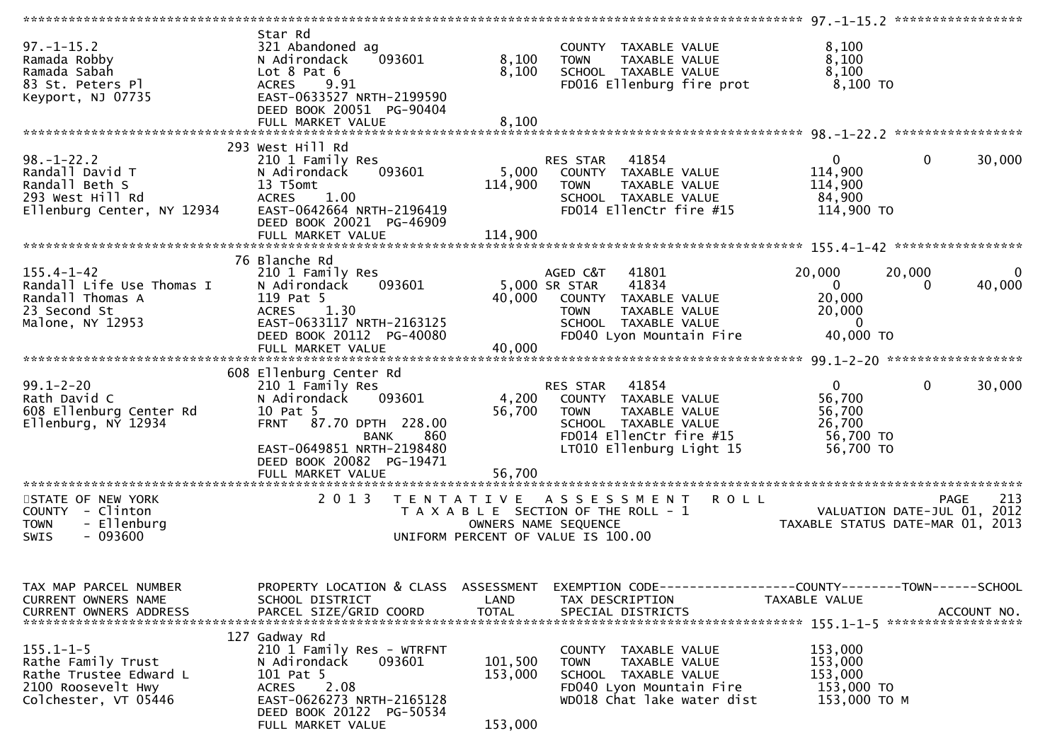| $97. - 1 - 15.2$<br>Ramada Robby<br>Ramada Sabah<br>83 St. Peters_Pl_<br>Keyport, NJ 07735                    | Star Rd<br>321 Abandoned ag<br>N Adirondack<br>093601<br>Lot $8$ Pat $6$<br>ACRES 9.91<br>EAST-0633527 NRTH-2199590<br>DEED BOOK 20051 PG-90404                                                          | 8,100<br>8,100                | COUNTY TAXABLE VALUE<br>TAXABLE VALUE<br><b>TOWN</b><br>SCHOOL TAXABLE VALUE<br>FD016 Ellenburg fire prot                                                                                                              | 8,100<br>8,100<br>8,100<br>8,100 TO                                    |                                              |
|---------------------------------------------------------------------------------------------------------------|----------------------------------------------------------------------------------------------------------------------------------------------------------------------------------------------------------|-------------------------------|------------------------------------------------------------------------------------------------------------------------------------------------------------------------------------------------------------------------|------------------------------------------------------------------------|----------------------------------------------|
|                                                                                                               |                                                                                                                                                                                                          |                               |                                                                                                                                                                                                                        |                                                                        |                                              |
| $98. - 1 - 22.2$<br>Randall David T<br>Randall Beth S<br>293 West Hill Rd<br>Ellenburg Center, NY 12934       | 293 West Hill Rd<br>210 1 Family Res<br>093601<br>N Adirondack<br>13 T5omt<br>ACRES 1.00<br>EAST-0642664 NRTH-2196419<br>DEED BOOK 20021 PG-46909                                                        | 114,900                       | RES STAR 41854<br>5,000 COUNTY TAXABLE VALUE<br>TAXABLE VALUE<br><b>TOWN</b><br>SCHOOL TAXABLE VALUE<br>FD014 EllenCtr fire #15                                                                                        | $\overline{0}$<br>114,900<br>114,900<br>84,900<br>114,900 TO           | $\mathbf 0$<br>30,000                        |
|                                                                                                               |                                                                                                                                                                                                          |                               |                                                                                                                                                                                                                        |                                                                        |                                              |
| $155.4 - 1 - 42$<br>Randall Life Use Thomas I<br>Randall Thomas A<br>23 Second St<br>Malone, NY 12953         | 76 Blanche Rd<br>210 1 Family Res<br>093601<br>N Adirondack<br>119 Pat 5<br>ACRES 1.30<br>EAST-0633117 NRTH-2163125<br>DEED BOOK 20112 PG-40080                                                          | 40,000                        | AGED C&T 41801<br>5,000 SR STAR<br>41834<br>COUNTY TAXABLE VALUE<br><b>TOWN</b><br>TAXABLE VALUE<br>SCHOOL TAXABLE VALUE<br>FD040 Lyon Mountain Fire                                                                   | 20,000<br>$\overline{0}$<br>20,000<br>20,000<br>$\sim$ 0<br>40,000 TO  | 20,000<br>$\mathbf{0}$<br>40,000<br>$\Omega$ |
|                                                                                                               |                                                                                                                                                                                                          |                               |                                                                                                                                                                                                                        |                                                                        |                                              |
|                                                                                                               |                                                                                                                                                                                                          |                               |                                                                                                                                                                                                                        |                                                                        |                                              |
| $99.1 - 2 - 20$<br>Rath David C<br>608 Ellenburg Center Rd<br>$E1$ lenburg, N $\tilde{Y}$ 12934               | 608 Ellenburg Center Rd<br>210 1 Family Res<br>093601<br>N Adirondack<br>10 Pat 5<br>FRNT 87.70 DPTH 228.00<br>860<br>BANK<br>EAST-0649851 NRTH-2198480<br>DEED BOOK 20082 PG-19471<br>FULL MARKET VALUE | 56,700<br>56,700              | RES STAR 41854<br>4,200 COUNTY TAXABLE VALUE<br><b>TOWN</b><br>TAXABLE VALUE<br>SCHOOL TAXABLE VALUE<br>FD014 EllenCtr fire #15<br>LT010 Ellenburg Light 15                                                            | $\overline{0}$<br>56,700<br>56,700<br>26,700<br>56,700 TO<br>56,700 TO | $\mathbf 0$<br>30,000                        |
| STATE OF NEW YORK                                                                                             |                                                                                                                                                                                                          |                               | 2013 TENTATIVE ASSESSMENT ROLL                                                                                                                                                                                         |                                                                        |                                              |
| COUNTY - Clinton<br>- Ellenburg<br><b>TOWN</b><br>$-093600$<br>SWIS                                           |                                                                                                                                                                                                          |                               | TAXABLE SECTION OF THE ROLL - 1<br>OWNERS NAME SEQUENCE THE ROLL - 1<br>OWNERS NAME SEQUENCE THE ROLL - 1<br>OWNERS NAME SEQUENCE THE ROLL - 1<br>OWNERS NAME SEQUENCE TO 100.00<br>UNIFORM PERCENT OF VALUE IS 100.00 |                                                                        |                                              |
| TAX MAP PARCEL NUMBER<br>CURRENT OWNERS NAME<br><b>CURRENT OWNERS ADDRESS</b>                                 | PROPERTY LOCATION & CLASS ASSESSMENT<br>SCHOOL DISTRICT<br>PARCEL SIZE/GRID COORD                                                                                                                        | LAND<br><b>TOTAL</b>          | EXEMPTION CODE-----------------COUNTY-------TOWN------SCHOOL<br>TAX DESCRIPTION<br>SPECIAL DISTRICTS                                                                                                                   | TAXABLE VALUE                                                          | ACCOUNT NO.                                  |
| $155.1 - 1 - 5$<br>Rathe Family Trust<br>Rathe Trustee Edward L<br>2100 Roosevelt Hwy<br>Colchester, VT 05446 | 127 Gadway Rd<br>210 1 Family Res - WTRFNT<br>093601<br>N Adirondack<br>101 Pat 5<br>2.08<br>ACRES<br>EAST-0626273 NRTH-2165128<br>DEED BOOK 20122 PG-50534<br>FULL MARKET VALUE                         | 101,500<br>153,000<br>153,000 | COUNTY TAXABLE VALUE<br>TAXABLE VALUE<br>TOWN<br>SCHOOL TAXABLE VALUE<br>FD040 Lyon Mountain Fire<br>WD018 Chat lake water dist                                                                                        | 153,000<br>153,000<br>153,000<br>153,000 TO<br>153,000 TO M            |                                              |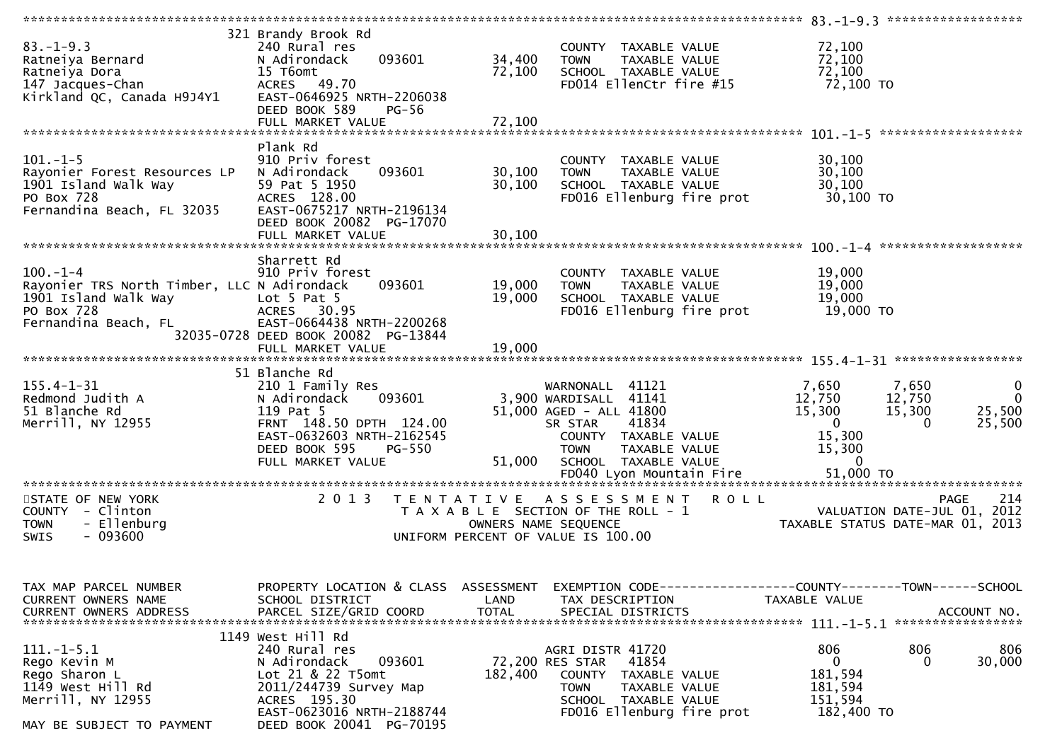| $83. - 1 - 9.3$<br>Ratneiya Bernard<br>Ratneiya Dora<br>147 Jacques-Chan<br>Kirkland QC, Canada H9J4Y1                      | 321 Brandy Brook Rd<br>240 Rural res<br>093601<br>N Adirondack<br>15 T6omt<br>ACRES 49.70<br>EAST-0646925 NRTH-2206038<br>DEED BOOK 589<br>PG-56                                     | 34,400<br>72,100           | COUNTY TAXABLE VALUE<br>TAXABLE VALUE<br><b>TOWN</b><br>SCHOOL TAXABLE VALUE<br>FD014 EllenCtr fire #15                                                                 | 72,100<br>72,100<br>72,100<br>72,100 TO                                                                                                                           |
|-----------------------------------------------------------------------------------------------------------------------------|--------------------------------------------------------------------------------------------------------------------------------------------------------------------------------------|----------------------------|-------------------------------------------------------------------------------------------------------------------------------------------------------------------------|-------------------------------------------------------------------------------------------------------------------------------------------------------------------|
|                                                                                                                             |                                                                                                                                                                                      |                            |                                                                                                                                                                         |                                                                                                                                                                   |
| $101. - 1 - 5$<br>Rayonier Forest Resources LP<br>1901 Island Walk Way<br>PO Box 728<br>Fernandina Beach, FL 32035          | Plank Rd<br>910 Priv forest<br>093601<br>N Adirondack<br>59 Pat 5 1950<br>ACRES 128.00<br>EAST-0675217 NRTH-2196134<br>DEED BOOK 20082 PG-17070<br>FULL MARKET VALUE                 | 30,100<br>30,100<br>30,100 | COUNTY TAXABLE VALUE<br>TAXABLE VALUE<br><b>TOWN</b><br>SCHOOL TAXABLE VALUE<br>FD016 Ellenburg fire prot                                                               | 30,100<br>30,100<br>30,100<br>30,100 TO                                                                                                                           |
|                                                                                                                             |                                                                                                                                                                                      |                            |                                                                                                                                                                         |                                                                                                                                                                   |
| $100. - 1 - 4$<br>Rayonier TRS North Timber, LLC N Adirondack<br>1901 Island Walk Way<br>PO Box 728<br>Fernandina Beach, FL | Sharrett Rd<br>910 Priv forest<br>093601<br>Lot $5$ Pat $5$<br>ACRES 30.95<br>EAST-0664438 NRTH-2200268                                                                              | 19,000<br>19,000           | COUNTY TAXABLE VALUE<br>TAXABLE VALUE<br><b>TOWN</b><br>SCHOOL TAXABLE VALUE<br>FD016 Ellenburg fire prot                                                               | 19,000<br>19,000<br>19,000<br>19,000 TO                                                                                                                           |
|                                                                                                                             | 32035-0728 DEED BOOK 20082 PG-13844                                                                                                                                                  |                            |                                                                                                                                                                         |                                                                                                                                                                   |
|                                                                                                                             |                                                                                                                                                                                      |                            |                                                                                                                                                                         |                                                                                                                                                                   |
|                                                                                                                             | 51 Blanche Rd                                                                                                                                                                        |                            |                                                                                                                                                                         |                                                                                                                                                                   |
| $155.4 - 1 - 31$<br>Redmond Judith A<br>51 Blanche Rd<br>Merrill, NY 12955                                                  | 210 1 Family Res<br>093601<br>N Adirondack<br>119 Pat 5<br>FRNT 148.50 DPTH 124.00<br>EAST-0632603 NRTH-2162545<br>DEED BOOK 595<br>PG-550<br>FULL MARKET VALUE                      | 51,000                     | WARNONALL 41121<br>3,900 WARDISALL 41141<br>51,000 AGED - ALL 41800<br>41834<br>SR STAR<br>COUNTY TAXABLE VALUE<br>TAXABLE VALUE<br><b>TOWN</b><br>SCHOOL TAXABLE VALUE | $\mathbf 0$<br>7,650<br>7,650<br>12,750<br>12,750<br>$\Omega$<br>15,300<br>25,500<br>15,300<br>$\mathbf{0}$<br>25,500<br>$\Omega$<br>15,300<br>15,300<br>$\Omega$ |
|                                                                                                                             |                                                                                                                                                                                      |                            |                                                                                                                                                                         |                                                                                                                                                                   |
| STATE OF NEW YORK<br>COUNTY - Clinton<br>- Ellenburg<br><b>TOWN</b><br>$-093600$<br>SWIS                                    | 2 0 1 3<br>T E N T A T I V E                                                                                                                                                         | OWNERS NAME SEQUENCE       | A S S E S S M E N T<br><b>ROLL</b><br>T A X A B L E SECTION OF THE ROLL - 1<br>UNIFORM PERCENT OF VALUE IS 100.00                                                       | 214<br><b>PAGE</b><br>VALUATION DATE-JUL 01, 2012<br>TAXABLE STATUS DATE-MAR 01, 2013                                                                             |
| TAX MAP PARCEL NUMBER<br>CURRENT OWNERS NAME<br><b>CURRENT OWNERS ADDRESS</b>                                               | PROPERTY LOCATION & CLASS ASSESSMENT<br>SCHOOL DISTRICT<br>PARCEL SIZE/GRID COORD                                                                                                    | LAND<br><b>TOTAL</b>       | TAX DESCRIPTION<br>SPECIAL DISTRICTS                                                                                                                                    | EXEMPTION CODE-----------------COUNTY--------TOWN------SCHOOL<br>TAXABLE VALUE<br>ACCOUNT NO.<br>*****************                                                |
| $111.-1-5.1$<br>Rego Kevin M<br>Rego Sharon L<br>1149 West Hill Rd<br>Merrill, NY 12955<br>MAY BE SUBJECT TO PAYMENT        | 1149 West Hill Rd<br>240 Rural res<br>093601<br>N Adirondack<br>Lot 21 & 22 T5omt<br>2011/244739 Survey Map<br>ACRES 195.30<br>EAST-0623016 NRTH-2188744<br>DEED BOOK 20041 PG-70195 | 182,400                    | AGRI DISTR 41720<br>72,200 RES STAR<br>41854<br>COUNTY TAXABLE VALUE<br>TOWN<br>TAXABLE VALUE<br>SCHOOL TAXABLE VALUE<br>FD016 Ellenburg fire prot                      | 806<br>806<br>806<br>30,000<br>0<br>0<br>181,594<br>181,594<br>151,594<br>182,400 TO                                                                              |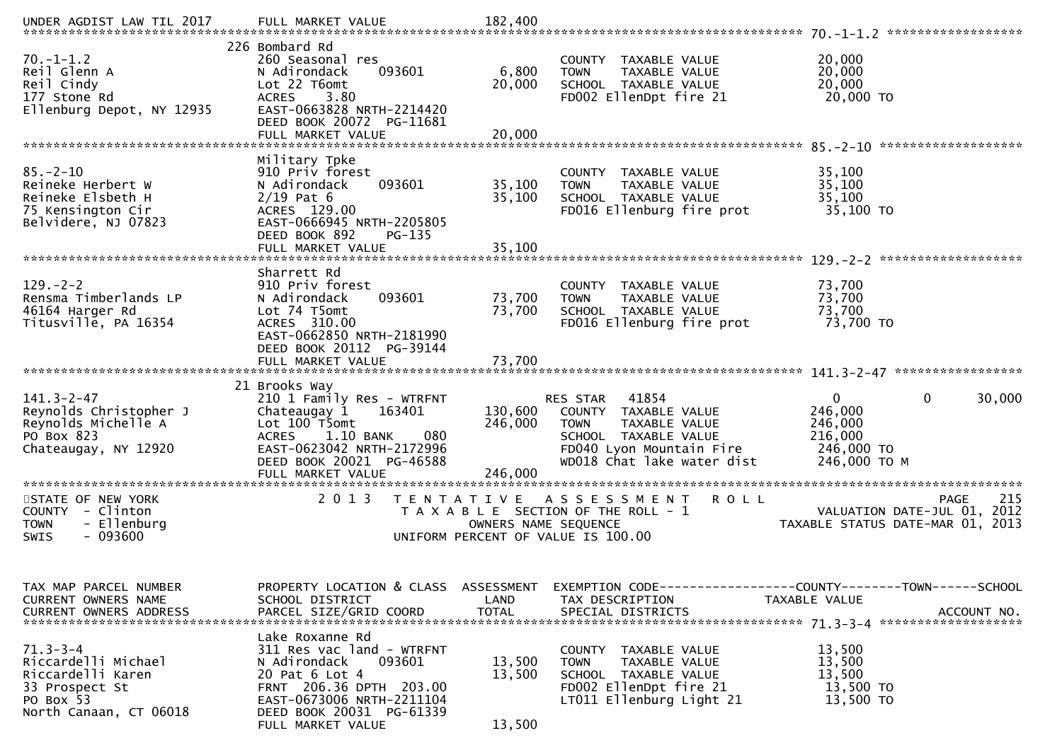| $70. - 1 - 1.2$<br>Reil Glenn A<br>Reil Cindy<br>177 Stone Rd<br>Ellenburg Depot, NY 12935              | 226 Bombard Rd<br>260 Seasonal res<br>093601<br>N Adirondack<br>Lot 22 T6omt<br>3.80<br><b>ACRES</b><br>EAST-0663828 NRTH-2214420<br>DEED BOOK 20072 PG-11681<br>FULL MARKET VALUE | 6,800<br>20,000<br>20,000  | COUNTY TAXABLE VALUE<br><b>TOWN</b><br>TAXABLE VALUE<br>SCHOOL TAXABLE VALUE<br>FD002 EllenDpt fire 21                                                      | 20,000<br>20,000<br>20,000<br>20,000 TO                                                      |
|---------------------------------------------------------------------------------------------------------|------------------------------------------------------------------------------------------------------------------------------------------------------------------------------------|----------------------------|-------------------------------------------------------------------------------------------------------------------------------------------------------------|----------------------------------------------------------------------------------------------|
| $85. - 2 - 10$<br>Reineke Herbert W<br>Reineke Elsbeth H<br>75 Kensington Cir<br>Belvidere, NJ 07823    | Military Tpke<br>910 Priv forest<br>N Adirondack<br>093601<br>$2/19$ Pat 6<br>ACRES 129.00<br>EAST-0666945 NRTH-2205805<br>DEED BOOK 892<br>PG-135                                 | 35,100<br>35,100           | COUNTY TAXABLE VALUE<br>TAXABLE VALUE<br><b>TOWN</b><br>SCHOOL TAXABLE VALUE<br>FD016 Ellenburg fire prot                                                   | 35,100<br>35,100<br>35,100<br>35,100 TO                                                      |
| $129. - 2 - 2$<br>Rensma Timberlands LP<br>46164 Harger Rd<br>Titusville, PA 16354                      | Sharrett Rd<br>910 Priv forest<br>093601<br>N Adirondack<br>Lot 74 T5omt<br>ACRES 310.00<br>EAST-0662850 NRTH-2181990<br>DEED BOOK 20112 PG-39144<br>FULL MARKET VALUE             | 73,700<br>73,700<br>73,700 | COUNTY TAXABLE VALUE<br>TAXABLE VALUE<br><b>TOWN</b><br>SCHOOL TAXABLE VALUE<br>FD016 Ellenburg fire prot                                                   | 73,700<br>73,700<br>73,700<br>73,700 TO                                                      |
| $141.3 - 2 - 47$<br>Reynolds Christopher J<br>Reynolds Michelle A<br>PO Box 823<br>Chateaugay, NY 12920 | 21 Brooks Way<br>210 1 Family Res - WTRFNT<br>Chateaugay 1<br>163401<br>Lot 100 T5omt<br>1.10 BANK<br>080<br><b>ACRES</b><br>EAST-0623042 NRTH-2172996<br>DEED BOOK 20021 PG-46588 | 130,600<br>246,000         | 41854<br>RES STAR<br>COUNTY TAXABLE VALUE<br><b>TOWN</b><br>TAXABLE VALUE<br>SCHOOL TAXABLE VALUE<br>FD040 Lyon Mountain Fire<br>WD018 Chat lake water dist | $\Omega$<br>0<br>30,000<br>246,000<br>246,000<br>216,000<br>246,000 TO<br>246,000 ТО М       |
| STATE OF NEW YORK<br>COUNTY - Clinton<br>- Ellenburg<br><b>TOWN</b><br>$-093600$<br>SWIS                | 2 0 1 3<br>T E N T A T I V E                                                                                                                                                       | OWNERS NAME SEQUENCE       | <b>ROLL</b><br>A S S E S S M E N T<br>T A X A B L E SECTION OF THE ROLL - 1<br>UNIFORM PERCENT OF VALUE IS 100.00                                           | 215<br><b>PAGE</b><br>2012<br>VALUATION DATE-JUL 01,<br>TAXABLE STATUS DATE-MAR 01,<br>2013  |
| TAX MAP PARCEL NUMBER<br>CURRENT OWNERS NAME<br>CURRENT OWNERS ADDRESS                                  | PROPERTY LOCATION & CLASS ASSESSMENT<br>SCHOOL DISTRICT<br>PARCEL SIZE/GRID COORD                                                                                                  | LAND<br><b>TOTAL</b>       | TAX DESCRIPTION<br>SPECIAL DISTRICTS                                                                                                                        | EXEMPTION CODE-----------------COUNTY-------TOWN------SCHOOL<br>TAXABLE VALUE<br>ACCOUNT NO. |
| $71.3 - 3 - 4$<br>Riccardelli Michael<br>Riccardelli Karen<br>33 Prospect St                            | Lake Roxanne Rd<br>311 Res vac land - WTRFNT<br>093601<br>N Adirondack<br>20 Pat 6 Lot 4                                                                                           | 13,500<br>13,500           | COUNTY TAXABLE VALUE<br><b>TOWN</b><br>TAXABLE VALUE<br>SCHOOL TAXABLE VALUE                                                                                | 13,500<br>13,500<br>13,500                                                                   |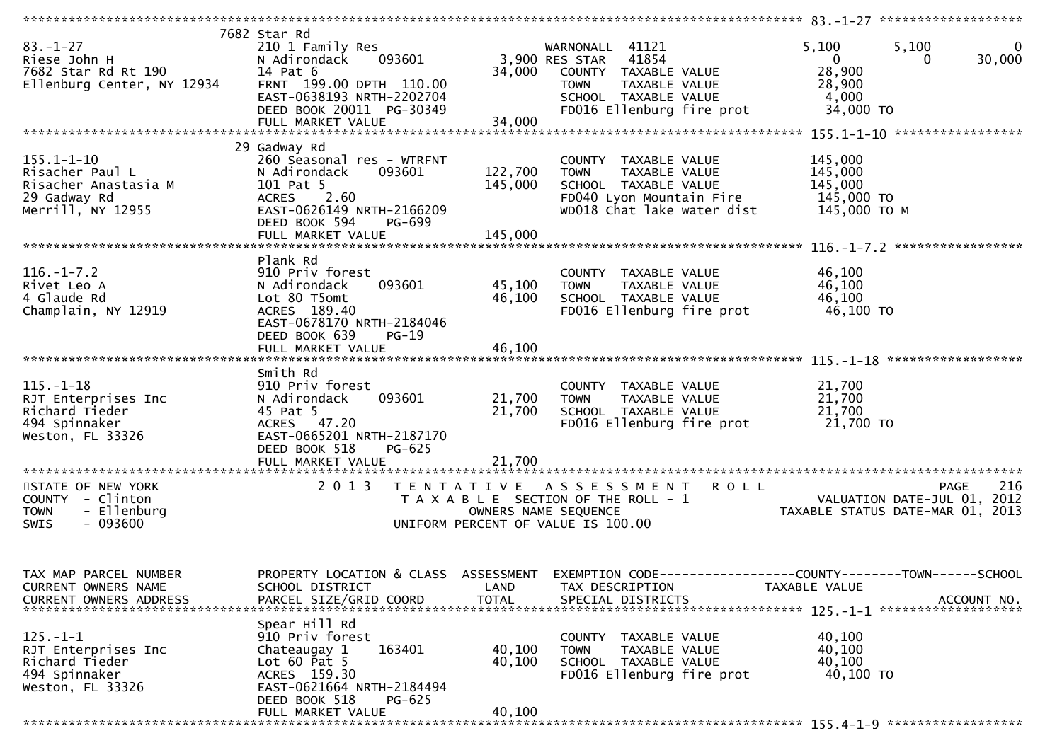| $83. - 1 - 27$<br>Riese John H<br>7682 Star Rd Rt 190<br>Ellenburg Center, NY 12934 | 7682 Star Rd<br>210 1 Family Res<br>093601<br>N Adirondack<br>14 Pat 6<br>FRNT 199.00 DPTH 110.00<br>EAST-0638193 NRTH-2202704<br>DEED BOOK 20011 PG-30349 | 34,000               | WARNONALL 41121<br>3,900 RES STAR 41854<br>COUNTY TAXABLE VALUE<br><b>TOWN</b><br>TAXABLE VALUE<br>SCHOOL TAXABLE VALUE<br>FD016 Ellenburg fire prot | 5,100<br>5,100<br>$\bf{0}$<br>30,000<br>$\overline{0}$<br>$\Omega$<br>28,900<br>28,900<br>4,000<br>34,000 TO      |
|-------------------------------------------------------------------------------------|------------------------------------------------------------------------------------------------------------------------------------------------------------|----------------------|------------------------------------------------------------------------------------------------------------------------------------------------------|-------------------------------------------------------------------------------------------------------------------|
| $155.1 - 1 - 10$<br>Risacher Paul L                                                 | 29 Gadway Rd<br>260 Seasonal res - WTRFNT<br>093601<br>N Adirondack                                                                                        | 122,700              | COUNTY TAXABLE VALUE<br>TAXABLE VALUE<br><b>TOWN</b>                                                                                                 | 145,000<br>145,000                                                                                                |
| Risacher Anastasia M<br>29 Gadway Rd<br>Merrill, NY 12955                           | 101 Pat 5<br>ACRES 2.60<br>EAST-0626149 NRTH-2166209<br>DEED BOOK 594<br>PG-699                                                                            | 145,000              | SCHOOL TAXABLE VALUE<br>FD040 Lyon Mountain Fire<br>WD018 Chat lake water dist                                                                       | 145,000<br>145,000 TO<br>145,000 ТО М                                                                             |
|                                                                                     |                                                                                                                                                            |                      |                                                                                                                                                      |                                                                                                                   |
|                                                                                     | Plank Rd                                                                                                                                                   |                      |                                                                                                                                                      |                                                                                                                   |
| $116. - 1 - 7.2$<br>Rivet Leo A<br>4 Glaude Rd<br>Champlain, NY 12919               | 910 Priv forest<br>093601<br>N Adirondack<br>Lot 80 T5omt<br>ACRES 189.40<br>EAST-0678170 NRTH-2184046                                                     | 45,100<br>46,100     | COUNTY TAXABLE VALUE<br><b>TOWN</b><br>TAXABLE VALUE<br>SCHOOL TAXABLE VALUE<br>FD016 Ellenburg fire prot                                            | 46,100<br>46,100<br>46,100<br>46,100 TO                                                                           |
|                                                                                     | DEED BOOK 639<br>$PG-19$<br>FULL MARKET VALUE                                                                                                              | 46,100               |                                                                                                                                                      |                                                                                                                   |
| $115. - 1 - 18$                                                                     | Smith Rd<br>910 Priv forest                                                                                                                                |                      | COUNTY TAXABLE VALUE                                                                                                                                 | 21,700                                                                                                            |
| RJT Enterprises Inc<br>Richard Tieder<br>494 Spinnaker                              | 093601<br>N Adirondack<br>45 Pat 5<br>ACRES 47.20                                                                                                          | 21,700<br>21,700     | TAXABLE VALUE<br><b>TOWN</b><br>SCHOOL TAXABLE VALUE<br>FD016 Ellenburg fire prot                                                                    | 21,700<br>21,700<br>21,700 TO                                                                                     |
| Weston, FL 33326                                                                    | EAST-0665201 NRTH-2187170<br>DEED BOOK 518<br>PG-625<br>FULL MARKET VALUE                                                                                  | 21,700               |                                                                                                                                                      |                                                                                                                   |
| STATE OF NEW YORK                                                                   | 2 0 1 3                                                                                                                                                    |                      | TENTATIVE ASSESSMENT ROLL                                                                                                                            | 216<br><b>PAGE</b>                                                                                                |
| COUNTY - Clinton<br>- Ellenburg<br><b>TOWN</b>                                      |                                                                                                                                                            | OWNERS NAME SEQUENCE | T A X A B L E SECTION OF THE ROLL - 1                                                                                                                | VALUATION DATE-JUL 01, 2012<br>TAXABLE STATUS DATE-MAR 01, 2013                                                   |
| $-093600$<br>SWIS                                                                   |                                                                                                                                                            |                      | UNIFORM PERCENT OF VALUE IS 100.00                                                                                                                   |                                                                                                                   |
| TAX MAP PARCEL NUMBER<br>CURRENT OWNERS NAME                                        | SCHOOL DISTRICT                                                                                                                                            | LAND                 | TAX DESCRIPTION                                                                                                                                      | PROPERTY LOCATION & CLASS ASSESSMENT EXEMPTION CODE----------------COUNTY-------TOWN------SCHOOL<br>TAXABLE VALUE |
| <b>CURRENT OWNERS ADDRESS</b>                                                       | PARCEL SIZE/GRID COORD                                                                                                                                     | <b>TOTAL</b>         | SPECIAL DISTRICTS                                                                                                                                    | ACCOUNT NO.                                                                                                       |
|                                                                                     | Spear Hill Rd                                                                                                                                              |                      |                                                                                                                                                      |                                                                                                                   |
| $125.-1-1$<br>RJT Enterprises Inc                                                   | 910 Priv forest<br>163401<br>Chateaugay 1                                                                                                                  | 40,100               | COUNTY TAXABLE VALUE<br>TAXABLE VALUE<br><b>TOWN</b>                                                                                                 | 40,100<br>40,100                                                                                                  |
| Richard Tieder                                                                      | Lot $60$ Pat $5$                                                                                                                                           | 40,100               | SCHOOL TAXABLE VALUE                                                                                                                                 | 40,100                                                                                                            |
| 494 Spinnaker<br>Weston, FL 33326                                                   | ACRES 159.30<br>EAST-0621664 NRTH-2184494                                                                                                                  |                      | FD016 Ellenburg fire prot                                                                                                                            | 40,100 TO                                                                                                         |
|                                                                                     | DEED BOOK 518<br><b>PG-625</b>                                                                                                                             |                      |                                                                                                                                                      |                                                                                                                   |
|                                                                                     | FULL MARKET VALUE                                                                                                                                          | 40,100               |                                                                                                                                                      |                                                                                                                   |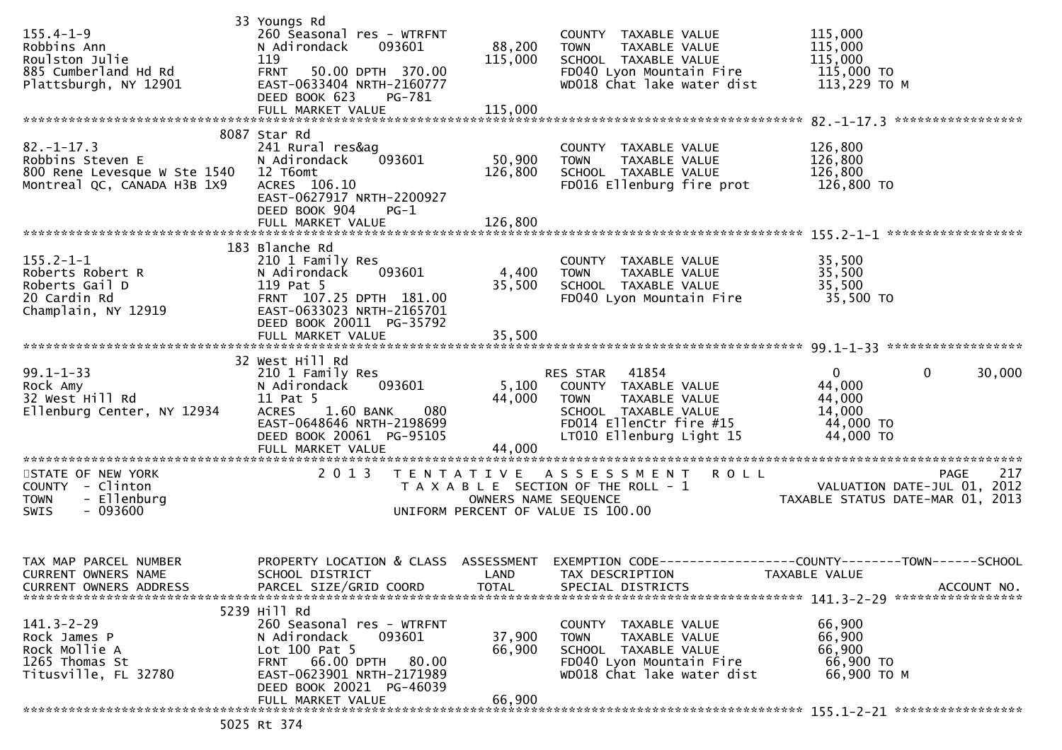| $155.4 - 1 - 9$<br>Robbins Ann<br>Roulston Julie<br>885 Cumberland Hd Rd<br>Plattsburgh, NY 12901            | 33 Youngs Rd<br>260 Seasonal res - WTRFNT<br>N Adirondack<br>093601<br>119<br>50.00 DPTH 370.00<br><b>FRNT</b><br>EAST-0633404 NRTH-2160777<br>DEED BOOK 623<br>PG-781<br>FULL MARKET VALUE | 88,200<br>115,000<br>115,000 | COUNTY TAXABLE VALUE<br>TAXABLE VALUE<br><b>TOWN</b><br>SCHOOL TAXABLE VALUE<br>FD040 Lyon Mountain Fire 115,000 TO<br>WD018 Chat lake water dist           | 115,000<br>115,000<br>115,000<br>113,229 TO M                                                  |
|--------------------------------------------------------------------------------------------------------------|---------------------------------------------------------------------------------------------------------------------------------------------------------------------------------------------|------------------------------|-------------------------------------------------------------------------------------------------------------------------------------------------------------|------------------------------------------------------------------------------------------------|
|                                                                                                              | 8087 Star Rd                                                                                                                                                                                |                              |                                                                                                                                                             |                                                                                                |
| $82. - 1 - 17.3$<br>Robbins Steven E<br>800 Rene Levesque W Ste 1540 12 T6omt<br>Montreal QC, CANADA H3B 1X9 | 241 Rural res&aq<br>093601<br>N Adirondack<br>ACRES 106.10<br>EAST-0627917 NRTH-2200927<br>DEED BOOK 904<br>$PG-1$                                                                          | 50,900<br>126,800            | COUNTY TAXABLE VALUE<br><b>TOWN</b><br>TAXABLE VALUE<br>SCHOOL TAXABLE VALUE<br>FD016 Ellenburg fire prot                                                   | 126,800<br>126,800<br>126,800<br>126,800 TO                                                    |
|                                                                                                              | FULL MARKET VALUE                                                                                                                                                                           | 126,800                      |                                                                                                                                                             |                                                                                                |
| $155.2 - 1 - 1$<br>155.4-1-1<br>Roberts Robert R<br>Roberts Gail D<br>20 Cardin Rd<br>Champlain, NY 12919    | 183 Blanche Rd<br>210 1 Family Res<br>093601<br>N Adirondack<br>119 Pat 5<br>FRNT 107.25 DPTH 181.00<br>EAST-0633023 NRTH-2165701<br>DEED BOOK 20011 PG-35792                               | 4,400<br>35,500              | COUNTY TAXABLE VALUE<br><b>TOWN</b><br>TAXABLE VALUE<br>SCHOOL TAXABLE VALUE<br>FD040 Lyon Mountain Fire 35,500 TO                                          | 35,500<br>35,500<br>35,500                                                                     |
|                                                                                                              |                                                                                                                                                                                             |                              |                                                                                                                                                             |                                                                                                |
|                                                                                                              | 32 West Hill Rd                                                                                                                                                                             |                              |                                                                                                                                                             |                                                                                                |
| $99.1 - 1 - 33$<br>Rock Amy<br>32 West Hill Rd<br>Ellenburg Center, NY 12934                                 | 210 1 Family Res<br>N Adirondack<br>093601<br>11 Pat 5<br>1.60 BANK<br>080<br><b>ACRES</b><br>EAST-0648646 NRTH-2198699<br>DEED BOOK 20061 PG-95105                                         | 44,000                       | RES STAR 41854<br>5,100 COUNTY TAXABLE VALUE<br>TAXABLE VALUE<br><b>TOWN</b><br>SCHOOL TAXABLE VALUE<br>FD014 EllenCtr fire #15<br>LT010 Ellenburg Light 15 | $\mathbf{0}$<br>$\mathbf{0}$<br>30,000<br>44,000<br>44,000<br>14,000<br>44,000 TO<br>44,000 TO |
|                                                                                                              |                                                                                                                                                                                             |                              |                                                                                                                                                             |                                                                                                |
| STATE OF NEW YORK<br>COUNTY - Clinton<br>- Ellenburg<br><b>TOWN</b><br>SWIS<br>- 093600                      | 2 0 1 3                                                                                                                                                                                     | OWNERS NAME SEQUENCE         | TENTATIVE ASSESSMENT<br><b>ROLL</b><br>T A X A B L E SECTION OF THE ROLL - 1<br>UNIFORM PERCENT OF VALUE IS 100.00                                          | 217<br>PAGE<br>VALUATION DATE-JUL 01, 2012<br>TAXABLE STATUS DATE-MAR 01, 2013                 |
| TAX MAP PARCEL NUMBER<br>CURRENT OWNERS NAME<br>CURRENT OWNERS ADDRESS                                       | PROPERTY LOCATION & CLASS ASSESSMENT<br>SCHOOL DISTRICT<br>PARCEL SIZE/GRID COORD                                                                                                           | LAND<br><b>TOTAL</b>         | TAX DESCRIPTION<br>SPECIAL DISTRICTS                                                                                                                        | TAXABLE VALUE<br>ACCOUNT NO.                                                                   |
|                                                                                                              | 5239 Hill Rd                                                                                                                                                                                |                              |                                                                                                                                                             |                                                                                                |
| $141.3 - 2 - 29$<br>Rock James P<br>Rock Mollie A<br>1265 Thomas St<br>Titusville, FL 32780                  | 260 Seasonal res - WTRFNT<br>093601<br>N Adirondack<br>Lot 100 Pat 5<br>66.00 DPTH<br>80.00<br><b>FRNT</b><br>EAST-0623901 NRTH-2171989<br>DEED BOOK 20021 PG-46039                         | 37,900<br>66,900             | COUNTY TAXABLE VALUE<br><b>TOWN</b><br>TAXABLE VALUE<br>SCHOOL TAXABLE VALUE<br>FD040 Lyon Mountain Fire<br>WD018 Chat lake water dist                      | 66,900<br>66,900<br>66,900<br>66,900 TO<br>66,900 ТО М                                         |
|                                                                                                              | FULL MARKET VALUE                                                                                                                                                                           | 66,900                       |                                                                                                                                                             |                                                                                                |
|                                                                                                              | 5025 Rt 374                                                                                                                                                                                 |                              |                                                                                                                                                             |                                                                                                |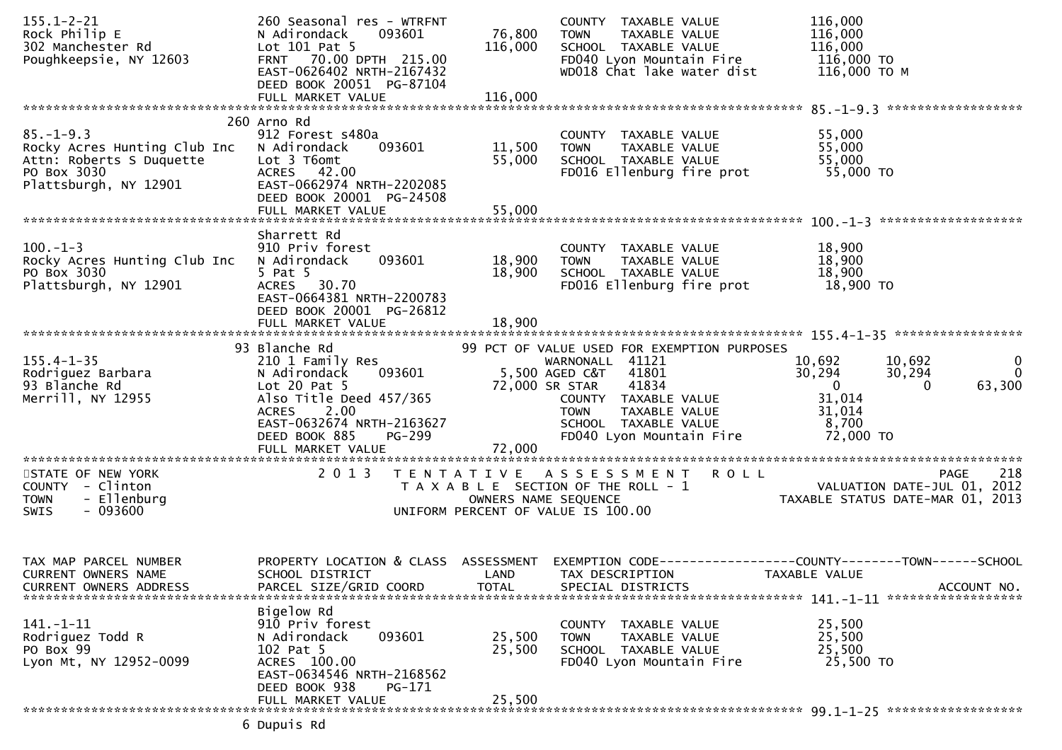| $155.1 - 2 - 21$<br>Rock Philip E<br>302 Manchester Rd<br>Poughkeepsie, NY 12603                                    | 260 Seasonal res - WTRFNT<br>N Adirondack<br>093601<br>Lot 101 Pat 5<br>FRNT 70.00 DPTH 215.00<br>EAST-0626402 NRTH-2167432<br>DEED BOOK 20051 PG-87104<br>FULL MARKET VALUE               | 76,800<br>116,000<br>116,000       | COUNTY TAXABLE VALUE<br>TAXABLE VALUE<br>TOWN<br>SCHOOL TAXABLE VALUE<br>FD040 Lyon Mountain Fire<br>WD018 Chat lake water dist                                                                                | 116,000<br>116,000<br>116,000<br>116,000 TO<br>116,000 ТО М                                                                                   |
|---------------------------------------------------------------------------------------------------------------------|--------------------------------------------------------------------------------------------------------------------------------------------------------------------------------------------|------------------------------------|----------------------------------------------------------------------------------------------------------------------------------------------------------------------------------------------------------------|-----------------------------------------------------------------------------------------------------------------------------------------------|
|                                                                                                                     | 260 Arno Rd                                                                                                                                                                                |                                    |                                                                                                                                                                                                                |                                                                                                                                               |
| $85. - 1 - 9.3$<br>Rocky Acres Hunting Club Inc<br>Attn: Roberts S Duquette<br>PO Box 3030<br>Plattsburgh, NY 12901 | 912 Forest s480a<br>N Adirondack<br>093601<br>Lot 3 T6omt<br>ACRES 42.00<br>EAST-0662974 NRTH-2202085<br>DEED BOOK 20001 PG-24508<br>FULL MARKET VALUE                                     | 11,500<br>55,000<br>55,000         | COUNTY TAXABLE VALUE<br>TAXABLE VALUE<br><b>TOWN</b><br>SCHOOL TAXABLE VALUE<br>FD016 Ellenburg fire prot                                                                                                      | 55,000<br>55,000<br>55,000<br>55,000 TO                                                                                                       |
|                                                                                                                     | Sharrett Rd                                                                                                                                                                                |                                    |                                                                                                                                                                                                                |                                                                                                                                               |
| $100.-1-3$<br>Rocky Acres Hunting Club Inc<br>PO Box 3030<br>Plattsburgh, NY 12901                                  | 910 Priv forest<br>093601<br>N Adirondack<br>$5$ Pat $5$<br>ACRES 30.70<br>EAST-0664381 NRTH-2200783<br>DEED BOOK 20001 PG-26812                                                           | 18,900<br>18,900                   | COUNTY TAXABLE VALUE<br>TAXABLE VALUE<br><b>TOWN</b><br>SCHOOL TAXABLE VALUE<br>FD016 Ellenburg fire prot                                                                                                      | 18,900<br>18,900<br>18,900<br>18,900 TO                                                                                                       |
|                                                                                                                     | FULL MARKET VALUE                                                                                                                                                                          | 18,900                             |                                                                                                                                                                                                                |                                                                                                                                               |
|                                                                                                                     |                                                                                                                                                                                            |                                    |                                                                                                                                                                                                                |                                                                                                                                               |
| $155.4 - 1 - 35$<br>Rodriguez Barbara<br>93 Blanche Rd<br>Merrill, NY 12955                                         | 93 Blanche Rd<br>210 1 Family Res<br>093601<br>N Adirondack<br>Lot $20$ Pat $5$<br>Also Title Deed 457/365<br><b>ACRES</b><br>2.00<br>EAST-0632674 NRTH-2163627<br>DEED BOOK 885<br>PG-299 | 72,000 SR STAR                     | 99 PCT OF VALUE USED FOR EXEMPTION PURPOSES<br>WARNONALL 41121<br>5,500 AGED C&T<br>41801<br>41834<br>COUNTY TAXABLE VALUE<br>TAXABLE VALUE<br><b>TOWN</b><br>SCHOOL TAXABLE VALUE<br>FD040 Lyon Mountain Fire | 10,692<br>10,692<br>0<br>$\Omega$<br>30,294<br>30,294<br>$\overline{0}$<br>63,300<br>$\overline{0}$<br>31,014<br>31,014<br>8,700<br>72,000 TO |
| STATE OF NEW YORK<br>COUNTY - Clinton<br>- Ellenburg<br><b>TOWN</b><br>SWIS<br>- 093600                             | 2 0 1 3                                                                                                                                                                                    | OWNERS NAME SEQUENCE               | TENTATIVE ASSESSMENT ROLL<br>T A X A B L E SECTION OF THE ROLL - 1<br>UNIFORM PERCENT OF VALUE IS 100.00                                                                                                       | 218<br>PAGE<br>VALUATION DATE-JUL 01, 2012<br>TAXABLE STATUS DATE-MAR 01, 2013                                                                |
|                                                                                                                     |                                                                                                                                                                                            |                                    |                                                                                                                                                                                                                |                                                                                                                                               |
| TAX MAP PARCEL NUMBER<br><b>CURRENT OWNERS NAME</b><br><b>CURRENT OWNERS ADDRESS</b>                                | PROPERTY LOCATION & CLASS<br>SCHOOL DISTRICT<br>PARCEL SIZE/GRID COORD                                                                                                                     | ASSESSMENT<br>LAND<br><b>TOTAL</b> | TAX DESCRIPTION<br>SPECIAL DISTRICTS                                                                                                                                                                           | EXEMPTION        CODE-----------------COUNTY-------TOWN------SCHOOL<br>TAXABLE VALUE<br>ACCOUNT NO.                                           |
| $141. - 1 - 11$<br>Rodriguez Todd R<br>PO Box 99<br>Lyon Mt, NY 12952-0099                                          | Bigelow Rd<br>910 Priv forest<br>093601<br>N Adirondack<br>102 Pat 5<br>ACRES 100.00<br>EAST-0634546 NRTH-2168562<br>DEED BOOK 938<br>PG-171<br>FULL MARKET VALUE                          | 25,500<br>25,500<br>25,500         | TAXABLE VALUE<br><b>COUNTY</b><br>TAXABLE VALUE<br><b>TOWN</b><br>SCHOOL TAXABLE VALUE<br>FD040 Lyon Mountain Fire                                                                                             | 25,500<br>25,500<br>25,500<br>25,500 TO                                                                                                       |
|                                                                                                                     |                                                                                                                                                                                            |                                    |                                                                                                                                                                                                                |                                                                                                                                               |
|                                                                                                                     | 6 Dupuis Rd                                                                                                                                                                                |                                    |                                                                                                                                                                                                                |                                                                                                                                               |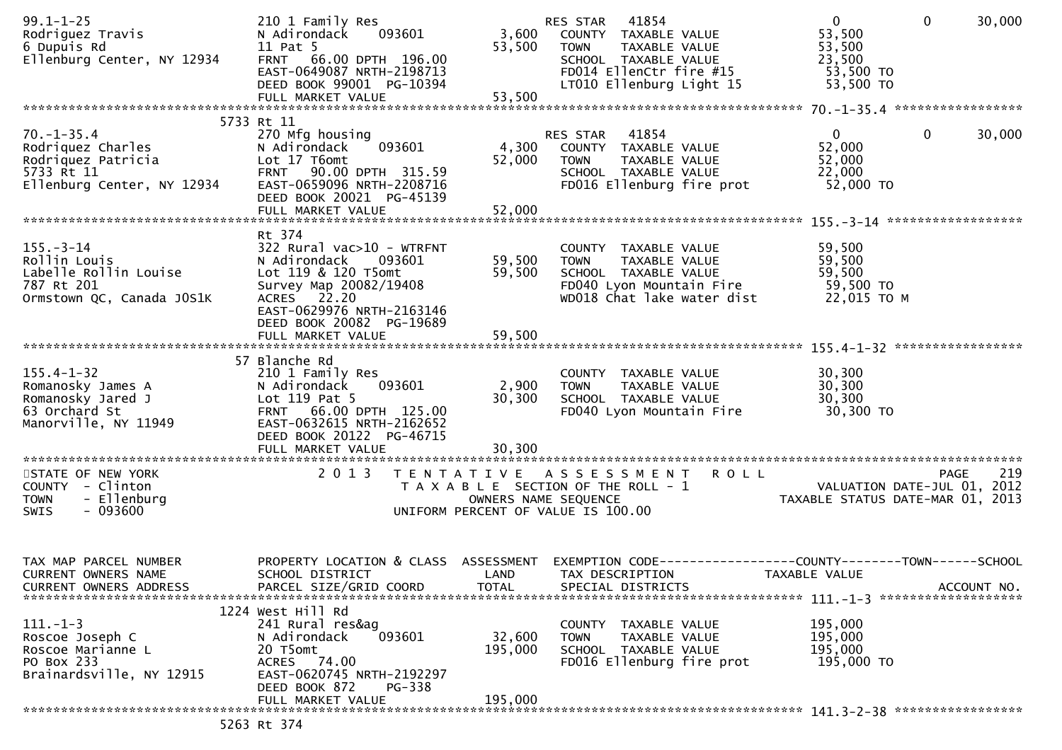| $99.1 - 1 - 25$<br>Rodriguez Travis<br>6 Dupuis Rd<br>Ellenburg Center, NY 12934                                                             | 210 1 Family Res<br>093601<br>N Adirondack<br>11 Pat 5<br>FRNT 66.00 DPTH 196.00<br>EAST-0649087 NRTH-2198713<br>DEED BOOK 99001 PG-10394                                                                        | 3,600<br>53,500                    | RES STAR 41854<br>COUNTY TAXABLE VALUE<br><b>TOWN</b><br>TAXABLE VALUE<br>SCHOOL TAXABLE VALUE<br>FD014 EllenCtr fire #15<br>LT010 Ellenburg Light 15                          | $\mathbf{0}$<br>$\mathbf{0}$<br>30,000<br>53,500<br>53,500<br>23,500<br>53,500 TO<br>53,500 TO                |  |
|----------------------------------------------------------------------------------------------------------------------------------------------|------------------------------------------------------------------------------------------------------------------------------------------------------------------------------------------------------------------|------------------------------------|--------------------------------------------------------------------------------------------------------------------------------------------------------------------------------|---------------------------------------------------------------------------------------------------------------|--|
|                                                                                                                                              | FULL MARKET VALUE                                                                                                                                                                                                | 53,500                             |                                                                                                                                                                                |                                                                                                               |  |
| $70. - 1 - 35.4$<br>Rodriquez Charles<br>Rodriquez Patricia<br>5733 Rt 11<br>Ellenburg Center, NY 12934                                      | 5733 Rt 11<br>270 Mfg housing<br>093601<br>N Adirondack<br>Lot 17 T6omt<br>FRNT 90.00 DPTH 315.59<br>EAST-0659096 NRTH-2208716<br>DEED BOOK 20021 PG-45139<br>FULL MARKET VALUE                                  | 4,300<br>52,000<br>52,000          | RES STAR<br>41854<br>COUNTY TAXABLE VALUE<br><b>TOWN</b><br>TAXABLE VALUE<br>SCHOOL TAXABLE VALUE<br>FD016 Ellenburg fire prot                                                 | $\mathbf{0}$<br>$\mathbf{0}$<br>30,000<br>52,000<br>52,000<br>22,000<br>52,000 TO                             |  |
| $155. - 3 - 14$<br>Rollin Louis<br>Labelle Rollin Louise<br>787 Rt 201<br>Ormstown QC, Canada JOS1K                                          | Rt 374<br>$322$ Rural vac $510 - WTRFNT$<br>N Adirondack<br>093601<br>Lot 119 & 120 T5omt<br>Survey Map 20082/19408<br>ACRES 22.20<br>EAST-0629976 NRTH-2163146<br>DEED BOOK 20082 PG-19689<br>FULL MARKET VALUE | 59,500<br>59,500<br>59,500         | COUNTY TAXABLE VALUE<br>TAXABLE VALUE<br><b>TOWN</b><br>SCHOOL TAXABLE VALUE<br>FD040 Lyon Mountain Fire<br>WD018 Chat lake water dist                                         | 59,500<br>59,500<br>59,500<br>59,500 TO<br>22,015 TO M                                                        |  |
| $155.4 - 1 - 32$<br>Romanosky James A<br>Romanosky Jared J<br>63 Orchard St<br>Manorville, NY 11949<br>STATE OF NEW YORK<br>COUNTY - Clinton | 57 Blanche Rd<br>210 1 Family Res<br>093601<br>N Adirondack<br>Lot 119 Pat 5<br>FRNT 66.00 DPTH 125.00<br>EAST-0632615 NRTH-2162652<br>DEED BOOK 20122 PG-46715<br>2 0 1 3                                       | 2,900<br>30,300                    | COUNTY TAXABLE VALUE<br>TAXABLE VALUE<br><b>TOWN</b><br>SCHOOL TAXABLE VALUE<br>FD040 Lyon Mountain Fire<br>TENTATIVE ASSESSMENT ROLL<br>T A X A B L E SECTION OF THE ROLL - 1 | 30,300<br>30,300<br>30,300<br>30,300 TO<br>219<br>PAGE<br>$\overline{01}$ , $\overline{01}$ , $\overline{01}$ |  |
| - Ellenburg<br><b>TOWN</b><br>- 093600<br>SWIS                                                                                               |                                                                                                                                                                                                                  | OWNERS NAME SEQUENCE               | UNIFORM PERCENT OF VALUE IS 100.00                                                                                                                                             | TAXABLE STATUS DATE-MAR 01, 2013                                                                              |  |
| TAX MAP PARCEL NUMBER<br>CURRENT OWNERS NAME<br><b>CURRENT OWNERS ADDRESS</b>                                                                | PROPERTY LOCATION & CLASS<br>SCHOOL DISTRICT<br>PARCEL SIZE/GRID COORD                                                                                                                                           | ASSESSMENT<br>LAND<br><b>TOTAL</b> | TAX DESCRIPTION<br>SPECIAL DISTRICTS                                                                                                                                           | EXEMPTION CODE-----------------COUNTY-------TOWN------SCHOOL<br>TAXABLE VALUE<br>ACCOUNT NO.                  |  |
| $111.-1-3$<br>Roscoe Joseph C<br>Roscoe Marianne L<br>PO Box 233<br>Brainardsville, NY 12915                                                 | 1224 West Hill Rd<br>241 Rural res&ag<br>093601<br>N Adirondack<br>20 T5omt<br>ACRES 74.00<br>EAST-0620745 NRTH-2192297<br>DEED BOOK 872<br>PG-338                                                               | 32,600<br>195,000                  | COUNTY<br>TAXABLE VALUE<br>TAXABLE VALUE<br><b>TOWN</b><br>SCHOOL TAXABLE VALUE<br>FD016 Ellenburg fire prot                                                                   | 195,000<br>195,000<br>195,000<br>195,000 TO                                                                   |  |
|                                                                                                                                              | FULL MARKET VALUE<br>5263 Rt 374                                                                                                                                                                                 | 195,000                            |                                                                                                                                                                                |                                                                                                               |  |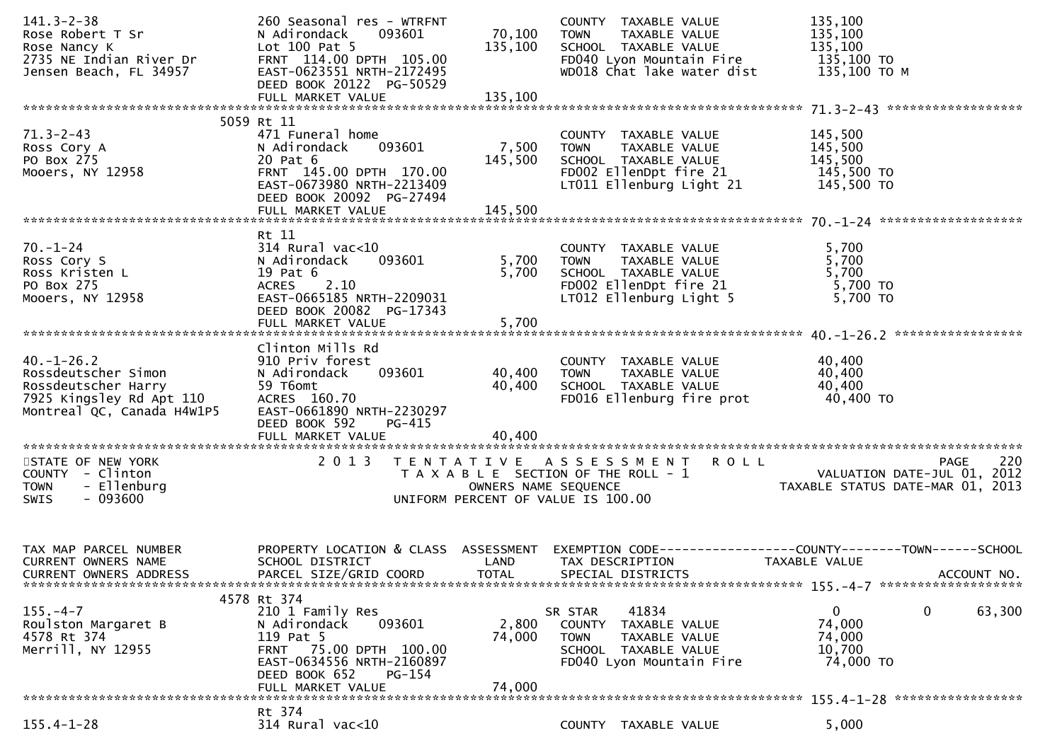| $141.3 - 2 - 38$<br>Rose Robert T Sr                                   | 260 Seasonal res - WTRFNT<br>093601<br>N Adirondack  | 70,100               | COUNTY TAXABLE VALUE<br><b>TOWN</b><br>TAXABLE VALUE                      | 135,100<br>135,100                                              |
|------------------------------------------------------------------------|------------------------------------------------------|----------------------|---------------------------------------------------------------------------|-----------------------------------------------------------------|
| Rose Nancy K                                                           | Lot 100 Pat 5                                        | 135,100              | SCHOOL TAXABLE VALUE                                                      | 135,100                                                         |
| 2735 NE Indian River Dr<br>Jensen Beach, FL 34957                      | FRNT 114.00 DPTH 105.00<br>EAST-0623551 NRTH-2172495 |                      | FD040 Lyon Mountain Fire<br>WD018 Chat lake water dist                    | 135,100 TO<br>135,100 ТО М                                      |
|                                                                        | DEED BOOK 20122 PG-50529                             |                      |                                                                           |                                                                 |
|                                                                        | FULL MARKET VALUE                                    | 135,100              |                                                                           |                                                                 |
|                                                                        | 5059 Rt 11                                           |                      |                                                                           |                                                                 |
| $71.3 - 2 - 43$                                                        | 471 Funeral home                                     |                      | COUNTY TAXABLE VALUE                                                      | 145,500                                                         |
| Ross Cory A<br>PO Box 275                                              | N Adirondack<br>093601<br>20 Pat 6                   | 7,500<br>145,500     | TAXABLE VALUE<br><b>TOWN</b><br>SCHOOL TAXABLE VALUE                      | 145,500<br>145,500                                              |
| Mooers, NY 12958                                                       | FRNT 145.00 DPTH 170.00                              |                      | FD002 EllenDpt fire 21                                                    | 145,500 TO                                                      |
|                                                                        | EAST-0673980 NRTH-2213409                            |                      | LT011 Ellenburg Light 21                                                  | 145,500 TO                                                      |
|                                                                        | DEED BOOK 20092 PG-27494<br>FULL MARKET VALUE        | 145,500              |                                                                           |                                                                 |
|                                                                        |                                                      |                      |                                                                           |                                                                 |
| $70. - 1 - 24$                                                         | Rt 11<br>314 Rural vac<10                            |                      | COUNTY TAXABLE VALUE                                                      | 5,700                                                           |
| Ross Cory S                                                            | 093601<br>N Adirondack                               | 5,700                | TAXABLE VALUE<br><b>TOWN</b>                                              | 5,700                                                           |
| Ross Kristen L                                                         | 19 Pat 6                                             | 5,700                |                                                                           | 5,700                                                           |
| PO Box 275                                                             | 2.10<br><b>ACRES</b><br>EAST-0665185 NRTH-2209031    |                      | SCHOOL TAXABLE VALUE<br>FDOO2 EllenDpt fire 21<br>LTO12 Ellenburg Light 5 | 5,700 TO                                                        |
| Mooers, NY 12958                                                       | DEED BOOK 20082 PG-17343                             |                      | LT012 Ellenburg Light 5                                                   | 5,700 TO                                                        |
|                                                                        | FULL MARKET VALUE                                    | 5,700                |                                                                           |                                                                 |
|                                                                        | Clinton Mills Rd                                     |                      |                                                                           |                                                                 |
| $40. - 1 - 26.2$                                                       | 910 Priv forest                                      |                      | COUNTY TAXABLE VALUE                                                      | 40,400                                                          |
| Rossdeutscher Simon                                                    | 093601<br>N Adirondack                               | 40,400               | TAXABLE VALUE<br><b>TOWN</b>                                              | 40,400                                                          |
| Rossdeutscher Harry<br>xossueurscher Harry<br>7925 Kingsley Rd Apt 110 | 59 T6omt<br>ACRES 160.70                             | 40,400               | SCHOOL TAXABLE VALUE<br>FD016 Ellenburg fire prot                         | 40,400<br>40,400 TO                                             |
| Montreal QC, Canada H4W1P5                                             | EAST-0661890 NRTH-2230297                            |                      |                                                                           |                                                                 |
|                                                                        | DEED BOOK 592<br>PG-415                              |                      |                                                                           |                                                                 |
|                                                                        | FULL MARKET VALUE                                    | 40,400               |                                                                           |                                                                 |
| STATE OF NEW YORK                                                      |                                                      |                      | 2013 TENTATIVE ASSESSMENT ROLL                                            | 220<br>PAGE                                                     |
| COUNTY - Clinton                                                       |                                                      |                      | T A X A B L E SECTION OF THE ROLL - 1                                     | VALUATION DATE-JUL 01, 2012<br>TAXABLE STATUS DATE-MAR 01, 2013 |
| <b>TOWN</b><br>- Ellenburg<br>$-093600$<br><b>SWIS</b>                 |                                                      | OWNERS NAME SEQUENCE | UNIFORM PERCENT OF VALUE IS 100.00                                        |                                                                 |
|                                                                        |                                                      |                      |                                                                           |                                                                 |
|                                                                        |                                                      |                      |                                                                           |                                                                 |
| TAX MAP PARCEL NUMBER                                                  | PROPERTY LOCATION & CLASS ASSESSMENT                 |                      |                                                                           | EXEMPTION CODE-----------------COUNTY--------TOWN------SCHOOL   |
| <b>CURRENT OWNERS NAME</b>                                             | SCHOOL DISTRICT                                      | LAND                 | TAX DESCRIPTION                                                           | TAXABLE VALUE                                                   |
| <b>CURRENT OWNERS ADDRESS</b>                                          | PARCEL SIZE/GRID COORD                               | <b>TOTAL</b>         | SPECIAL DISTRICTS                                                         | ACCOUNT NO.                                                     |
|                                                                        | 4578 Rt 374                                          |                      |                                                                           |                                                                 |
| $155. - 4 - 7$                                                         | 210 1 Family Res                                     |                      | 41834<br>SR STAR                                                          | $\mathbf 0$<br>$\mathbf{0}$<br>63,300                           |
| Roulston Margaret B<br>4578 Rt 374                                     | 093601<br>N Adirondack<br>119 Pat 5                  | 2,800<br>74,000      | COUNTY TAXABLE VALUE<br>TAXABLE VALUE<br><b>TOWN</b>                      | 74,000<br>74,000                                                |
| Merrill, NY 12955                                                      | FRNT 75.00 DPTH 100.00                               |                      | SCHOOL TAXABLE VALUE                                                      | 10,700                                                          |
|                                                                        | EAST-0634556 NRTH-2160897                            |                      | FD040 Lyon Mountain Fire                                                  | 74,000 TO                                                       |
|                                                                        | DEED BOOK 652<br>$PG-154$<br>FULL MARKET VALUE       | 74,000               |                                                                           |                                                                 |
|                                                                        |                                                      |                      |                                                                           |                                                                 |
| $155.4 - 1 - 28$                                                       | Rt 374<br>314 Rural vac<10                           |                      | COUNTY TAXABLE VALUE                                                      | 5,000                                                           |
|                                                                        |                                                      |                      |                                                                           |                                                                 |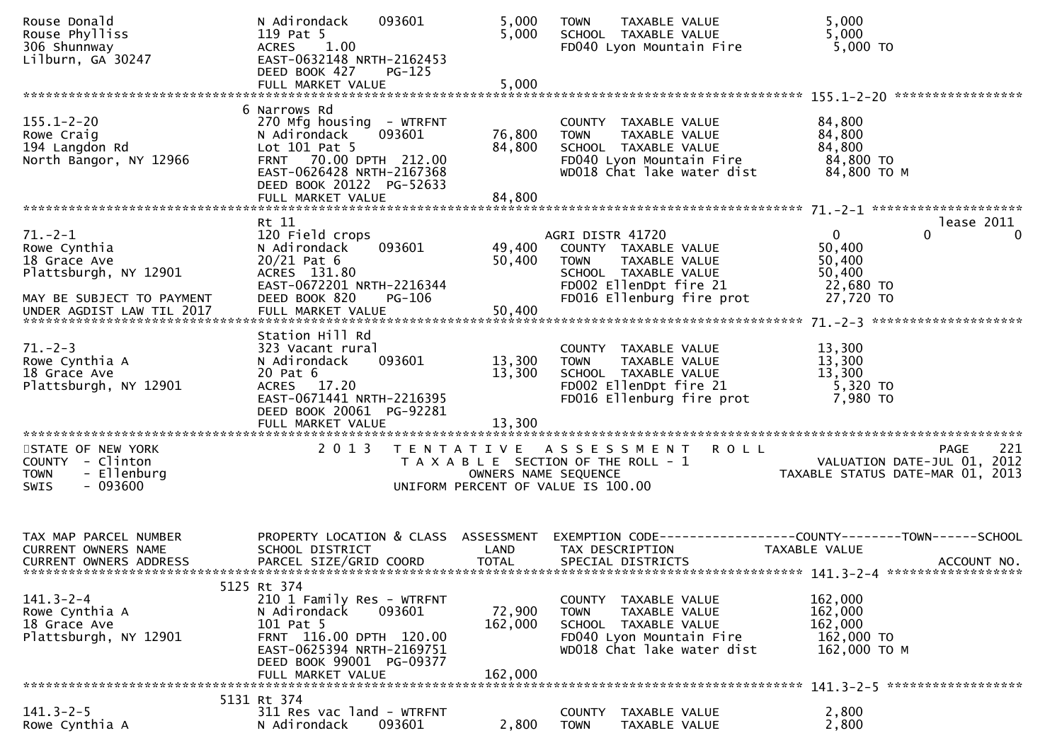| Rouse Donald<br>Rouse Phylliss<br>306 Shunnway<br>Lilburn, GA 30247                                                              | 093601<br>N Adirondack<br>119 Pat 5<br>1.00<br><b>ACRES</b><br>EAST-0632148 NRTH-2162453<br>DEED BOOK 427<br>$PG-125$<br>FULL MARKET VALUE                                                  | 5,000<br>5,000<br>5,000      | <b>TOWN</b><br>TAXABLE VALUE<br>SCHOOL TAXABLE VALUE<br>FD040 Lyon Mountain Fire                                                                        | 5,000<br>5,000<br>5,000 TO                                                                   |
|----------------------------------------------------------------------------------------------------------------------------------|---------------------------------------------------------------------------------------------------------------------------------------------------------------------------------------------|------------------------------|---------------------------------------------------------------------------------------------------------------------------------------------------------|----------------------------------------------------------------------------------------------|
|                                                                                                                                  |                                                                                                                                                                                             |                              |                                                                                                                                                         |                                                                                              |
| $155.1 - 2 - 20$<br>Rowe Craig<br>194 Langdon Rd<br>North Bangor, NY 12966                                                       | 6 Narrows Rd<br>270 Mfg housing - WTRFNT<br>093601<br>N Adirondack<br>Lot 101 Pat 5<br>FRNT 70.00 DPTH 212.00<br>EAST-0626428 NRTH-2167368<br>DEED BOOK 20122 PG-52633<br>FULL MARKET VALUE | 76,800<br>84,800<br>84,800   | COUNTY TAXABLE VALUE<br><b>TOWN</b><br>TAXABLE VALUE<br>SCHOOL TAXABLE VALUE<br>FD040 Lyon Mountain Fire<br>WD018 Chat lake water dist                  | 84,800<br>84,800<br>84,800<br>84,800 TO<br>84,800 TO M                                       |
|                                                                                                                                  | Rt 11                                                                                                                                                                                       |                              |                                                                                                                                                         | lease 2011                                                                                   |
| $71. - 2 - 1$<br>Rowe Cynthia<br>18 Grace Ave<br>Plattsburgh, NY 12901<br>MAY BE SUBJECT TO PAYMENT<br>UNDER AGDIST LAW TIL 2017 | 120 Field crops<br>N Adirondack<br>093601<br>$20/21$ Pat 6<br>ACRES 131.80<br>EAST-0672201 NRTH-2216344<br>DEED BOOK 820<br>PG-106                                                          | 49,400<br>50,400             | AGRI DISTR 41720<br>COUNTY TAXABLE VALUE<br>TAXABLE VALUE<br><b>TOWN</b><br>SCHOOL TAXABLE VALUE<br>FD002 EllenDpt fire 21<br>FD016 Ellenburg fire prot | $\mathbf{0}$<br>0<br>$\Omega$<br>50,400<br>50,400<br>50,400<br>22,680 TO<br>27,720 TO        |
|                                                                                                                                  |                                                                                                                                                                                             |                              |                                                                                                                                                         |                                                                                              |
| $71. - 2 - 3$<br>Rowe Cynthia A<br>18 Grace Ave<br>Plattsburgh, NY 12901                                                         | Station Hill Rd<br>323 Vacant rural<br>093601<br>N Adirondack<br>20 Pat 6<br>ACRES 17.20<br>EAST-0671441 NRTH-2216395<br>DEED BOOK 20061 PG-92281<br>FULL MARKET VALUE                      | 13,300<br>13,300<br>13,300   | COUNTY TAXABLE VALUE<br><b>TOWN</b><br>TAXABLE VALUE<br>SCHOOL TAXABLE VALUE<br>FD002 EllenDpt fire 21<br>FD016 Ellenburg fire prot                     | 13,300<br>13,300<br>13,300<br>5,320 TO<br>7,980 TO                                           |
|                                                                                                                                  |                                                                                                                                                                                             |                              |                                                                                                                                                         |                                                                                              |
| STATE OF NEW YORK<br>COUNTY - Clinton<br>- Ellenburg<br><b>TOWN</b><br>$-093600$<br><b>SWIS</b>                                  | 2 0 1 3                                                                                                                                                                                     | OWNERS NAME SEQUENCE         | TENTATIVE ASSESSMENT<br><b>ROLL</b><br>T A X A B L E SECTION OF THE ROLL - 1<br>UNIFORM PERCENT OF VALUE IS 100.00                                      | 221<br>PAGE<br>VALUATION DATE-JUL 01, 2012<br>TAXABLE STATUS DATE-MAR 01, 2013               |
| TAX MAP PARCEL NUMBER<br>CURRENT OWNERS NAME<br>CURRENT OWNERS ADDRESS                                                           | PROPERTY LOCATION & CLASS ASSESSMENT<br>SCHOOL DISTRICT<br>PARCEL SIZE/GRID COORD                                                                                                           | LAND<br><b>TOTAL</b>         | TAX DESCRIPTION<br>SPECIAL DISTRICTS                                                                                                                    | EXEMPTION CODE-----------------COUNTY-------TOWN------SCHOOL<br>TAXABLE VALUE<br>ACCOUNT NO. |
|                                                                                                                                  | 5125 Rt 374                                                                                                                                                                                 |                              |                                                                                                                                                         |                                                                                              |
| $141.3 - 2 - 4$<br>Rowe Cynthia A<br>18 Grace Ave<br>Plattsburgh, NY 12901                                                       | 210 1 Family Res - WTRFNT<br>093601<br>N Adirondack<br>101 Pat 5<br>FRNT 116.00 DPTH 120.00<br>EAST-0625394 NRTH-2169751<br>DEED BOOK 99001 PG-09377<br>FULL MARKET VALUE                   | 72,900<br>162,000<br>162,000 | COUNTY TAXABLE VALUE<br><b>TOWN</b><br>TAXABLE VALUE<br>SCHOOL TAXABLE VALUE<br>FD040 Lyon Mountain Fire<br>WD018 Chat lake water dist                  | 162,000<br>162,000<br>162,000<br>162,000 TO<br>162,000 ТО М                                  |
|                                                                                                                                  | 5131 Rt 374                                                                                                                                                                                 |                              |                                                                                                                                                         |                                                                                              |
| $141.3 - 2 - 5$<br>Rowe Cynthia A                                                                                                | 311 Res vac land - WTRFNT<br>093601<br>N Adirondack                                                                                                                                         | 2,800                        | TAXABLE VALUE<br><b>COUNTY</b><br><b>TOWN</b><br>TAXABLE VALUE                                                                                          | 2,800<br>2,800                                                                               |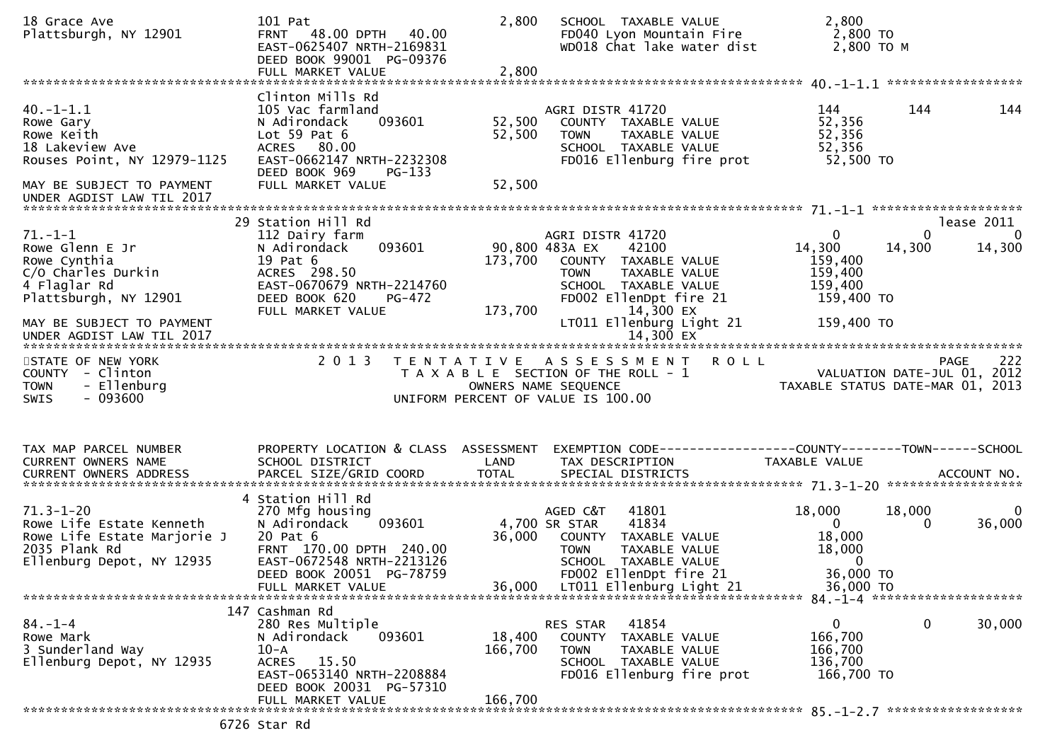| 18 Grace Ave<br>Plattsburgh, NY 12901                                                                                    | 101 Pat<br>FRNT 48.00 DPTH 40.00<br>EAST-0625407 NRTH-2169831<br>DEED BOOK 99001 PG-09376                                                                                     | 2,800                        | SCHOOL TAXABLE VALUE<br>FD040 Lyon Mountain Fire<br>WD018 Chat lake water dist                                                                              | 2,800<br>2,800 TO<br>2,800 TO M                                                       |                                        |
|--------------------------------------------------------------------------------------------------------------------------|-------------------------------------------------------------------------------------------------------------------------------------------------------------------------------|------------------------------|-------------------------------------------------------------------------------------------------------------------------------------------------------------|---------------------------------------------------------------------------------------|----------------------------------------|
| $40.-1-1.1$<br>Rowe Gary<br>Rowe Keith<br>18 Lakeview Ave<br>Rouses Point, NY 12979-1125                                 | Clinton Mills Rd<br>105 Vac farmland<br>093601<br>N Adirondack<br>Lot $59$ Pat $6$<br>ACRES 80.00<br>EAST-0662147 NRTH-2232308<br>DEED BOOK 969<br>PG-133                     | 52,500<br>52,500             | AGRI DISTR 41720<br>COUNTY TAXABLE VALUE<br>TOWN<br>TAXABLE VALUE<br>SCHOOL TAXABLE VALUE<br>FD016 Ellenburg fire prot                                      | 144<br>144<br>52,356<br>52,356<br>52,356<br>52,500 TO                                 | 144                                    |
| MAY BE SUBJECT TO PAYMENT<br>UNDER AGDIST LAW TIL 2017                                                                   | FULL MARKET VALUE                                                                                                                                                             | 52,500                       |                                                                                                                                                             |                                                                                       |                                        |
| $71. - 1 - 1$<br>Rowe Glenn E Jr<br>Rowe Cynthia<br>C/O Charles Durkin<br>4 Flaglar Rd<br>Plattsburgh, NY 12901          | 29 Station Hill Rd<br>112 Dairy farm<br>093601<br>N Adirondack<br>19 Pat 6<br>ACRES 298.50<br>EAST-0670679 NRTH-2214760<br>DEED BOOK 620<br>PG-472<br>FULL MARKET VALUE       | 173,700<br>173,700           | AGRI DISTR 41720<br>90,800 483A EX<br>42100<br>COUNTY TAXABLE VALUE<br>TAXABLE VALUE<br>TOWN<br>SCHOOL TAXABLE VALUE<br>FD002 EllenDpt fire 21<br>14,300 EX | $\Omega$<br>0<br>14,300<br>14,300<br>159,400<br>159,400<br>159,400<br>159,400 TO      | lease 2011<br>$\overline{0}$<br>14,300 |
| MAY BE SUBJECT TO PAYMENT                                                                                                |                                                                                                                                                                               |                              | LT011 Ellenburg Light 21                                                                                                                                    | 159,400 TO                                                                            |                                        |
| STATE OF NEW YORK<br>COUNTY - Clinton<br>- Ellenburg<br><b>TOWN</b><br>$-093600$<br><b>SWIS</b>                          | 2 0 1 3                                                                                                                                                                       |                              | TENTATIVE ASSESSMENT ROLL<br>T A X A B L E SECTION OF THE ROLL - 1<br>OWNERS NAME SEQUENCE<br>UNIFORM PERCENT OF VALUE IS 100.00                            | <b>PAGE</b><br>VALUATION DATE-JUL 01, 2012<br>TAXABLE STATUS DATE-MAR 01, 2013        | 222                                    |
| TAX MAP PARCEL NUMBER<br><b>CURRENT OWNERS NAME</b>                                                                      | PROPERTY LOCATION & CLASS ASSESSMENT<br>SCHOOL DISTRICT                                                                                                                       | LAND                         | TAX DESCRIPTION                                                                                                                                             | EXEMPTION CODE------------------COUNTY--------TOWN------SCHOOL<br>TAXABLE VALUE       |                                        |
| $71.3 - 1 - 20$<br>Rowe Life Estate Kenneth<br>Rowe Life Estate Marjorie J<br>2035 Plank Rd<br>Ellenburg Depot, NY 12935 | 4 Station Hill Rd<br>270 Mfg housing<br>093601<br>N Adirondack<br>20 Pat 6<br>FRNT 170.00 DPTH 240.00<br>EAST-0672548 NRTH-2213126<br>DEED BOOK 20051 PG-78759                | 36,000                       | AGED C&T<br>41801<br>4,700 SR STAR<br>41834<br>COUNTY TAXABLE VALUE<br><b>TOWN</b><br>TAXABLE VALUE<br>SCHOOL TAXABLE VALUE<br>FD002 EllenDpt fire 21       | 18,000<br>18,000<br>$\mathbf 0$<br>0<br>18,000<br>18,000<br>$\mathbf{0}$<br>36,000 TO | 0<br>36,000                            |
| $84. - 1 - 4$<br>Rowe Mark<br>3 Sunderland Way<br>Ellenburg Depot, NY 12935                                              | 147 Cashman Rd<br>280 Res Multiple<br>093601<br>N Adirondack<br>$10-A$<br>15.50<br><b>ACRES</b><br>EAST-0653140 NRTH-2208884<br>DEED BOOK 20031 PG-57310<br>FULL MARKET VALUE | 18,400<br>166,700<br>166,700 | 41854<br>RES STAR<br>COUNTY<br>TAXABLE VALUE<br>TAXABLE VALUE<br><b>TOWN</b><br>SCHOOL TAXABLE VALUE<br>FD016 Ellenburg fire prot                           | 0<br>0<br>166,700<br>166,700<br>136,700<br>166,700 TO                                 | 30,000                                 |
|                                                                                                                          |                                                                                                                                                                               |                              |                                                                                                                                                             |                                                                                       |                                        |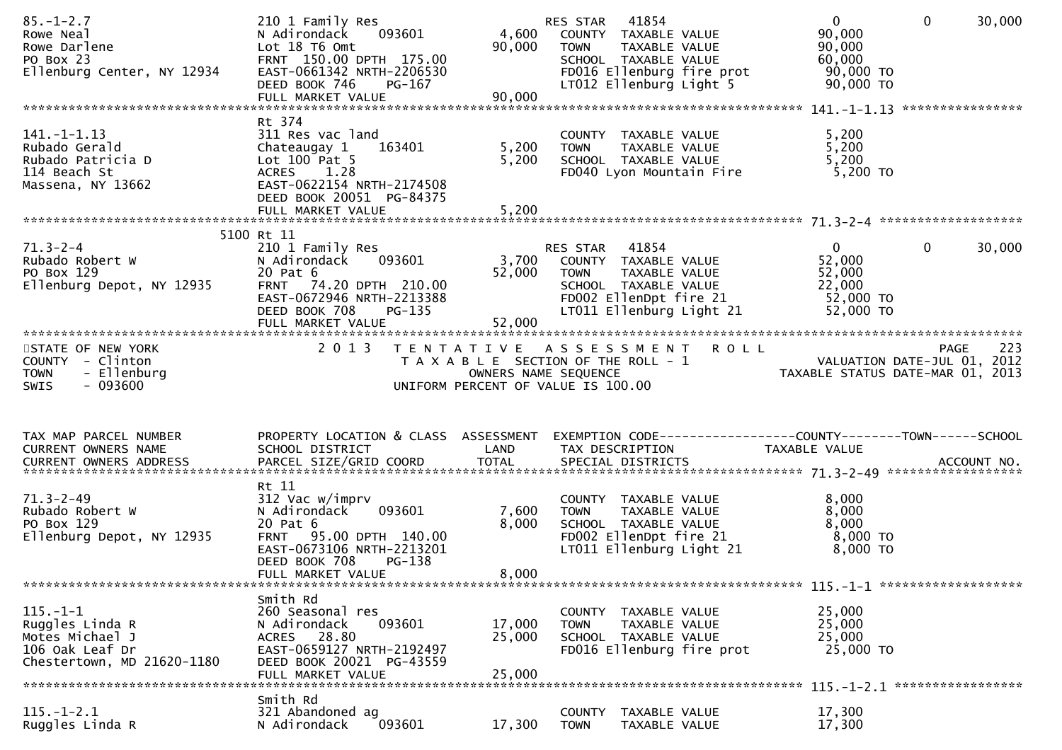| $85. - 1 - 2.7$<br>Rowe Neal<br>Rowe Darlene<br>PO Box 23<br>Ellenburg Center, NY 12934               | 210 1 Family Res<br>093601<br>N Adirondack<br>Lot 18 T6 Omt<br>FRNT 150.00 DPTH 175.00<br>EAST-0661342 NRTH-2206530<br>DEED BOOK 746<br>PG-167<br>FULL MARKET VALUE                | 4,600<br>90,000<br>90,000  | RES STAR 41854<br>COUNTY TAXABLE VALUE<br>TAXABLE VALUE<br><b>TOWN</b><br>SCHOOL TAXABLE VALUE<br>FD016 Ellenburg fire prot<br>LT012 Ellenburg Light 5            | $\mathbf 0$<br>$\mathbf{0}$<br>90,000<br>90,000<br>60,000<br>90,000 TO<br>$90,000$ TO                                                           | 30,000 |
|-------------------------------------------------------------------------------------------------------|------------------------------------------------------------------------------------------------------------------------------------------------------------------------------------|----------------------------|-------------------------------------------------------------------------------------------------------------------------------------------------------------------|-------------------------------------------------------------------------------------------------------------------------------------------------|--------|
|                                                                                                       |                                                                                                                                                                                    |                            |                                                                                                                                                                   |                                                                                                                                                 |        |
| $141. -1 - 1.13$<br>Rubado Gerald<br>Rubado Patricia D<br>114 Beach St<br>Massena, NY 13662           | Rt 374<br>311 Res vac land<br>Chateaugay 1<br>163401<br>Lot $100$ Pat 5<br>ACRES 1.28<br>EAST-0622154 NRTH-2174508<br>DEED BOOK 20051 PG-84375<br>FULL MARKET VALUE                | 5,200<br>5,200<br>5,200    | COUNTY TAXABLE VALUE<br>TAXABLE VALUE<br><b>TOWN</b><br>SCHOOL TAXABLE VALUE<br>FD040 Lyon Mountain Fire                                                          | 5,200<br>5,200<br>5,200<br>5,200 TO                                                                                                             |        |
|                                                                                                       |                                                                                                                                                                                    |                            |                                                                                                                                                                   |                                                                                                                                                 |        |
| $71.3 - 2 - 4$<br>Rubado Robert W<br>PO Box 129<br>Ellenburg Depot, NY 12935                          | 5100 Rt 11<br>210 1 Family Res<br>N Adirondack<br>093601<br>20 Pat 6<br>FRNT 74.20 DPTH 210.00<br>EAST-0672946 NRTH-2213388<br>DEED BOOK 708<br><b>PG-135</b><br>FULL MARKET VALUE | 52,000<br>52,000           | <b>RES STAR 41854</b><br>3,700 COUNTY TAXABLE VALUE<br><b>TOWN</b><br>TAXABLE VALUE<br>SCHOOL TAXABLE VALUE<br>FD002 EllenDpt fire 21<br>LT011 Ellenburg Light 21 | $\mathbf{0}$<br>$\mathbf{0}$<br>52,000<br>52,000<br>22,000<br>52,000 TO<br>52,000 TO                                                            | 30,000 |
| STATE OF NEW YORK<br>COUNTY - Clinton<br><b>TOWN</b><br>- Ellenburg<br>$-093600$<br><b>SWIS</b>       |                                                                                                                                                                                    |                            | 2013 TENTATIVE ASSESSMENT ROLL<br>UNIFORM PERCENT OF VALUE IS 100.00                                                                                              | PAGE<br>T A X A B L E SECTION OF THE ROLL - 1<br>T A X A B L E SECTION OF THE ROLL - 1<br>OWNERS NAME SEQUENCE TAXABLE STATUS DATE-MAR 01, 2013 | 223    |
| TAX MAP PARCEL NUMBER<br>CURRENT OWNERS NAME<br>CURRENT OWNERS ADDRESS                                | SCHOOL DISTRICT                                                                                                                                                                    | LAND                       | TAX DESCRIPTION                                                                                                                                                   | PROPERTY LOCATION & CLASS ASSESSMENT EXEMPTION CODE----------------COUNTY-------TOWN------SCHOOL<br>TAXABLE VALUE                               |        |
| $71.3 - 2 - 49$<br>Rubado Robert W<br>PO Box 129<br>Ellenburg Depot, NY 12935                         | Rt 11<br>312 Vac w/imprv<br>093601<br>N Adirondack<br>20 Pat 6<br>FRNT 95.00 DPTH 140.00<br>EAST-0673106 NRTH-2213201<br>DEED BOOK 708<br>PG-138<br>FULL MARKET VALUE              | 7,600<br>8,000<br>8,000    | COUNTY TAXABLE VALUE<br>TOWN TAXABLE VALUE<br>SCHOOL TAXABLE VALUE<br>FDOO2 EllenDpt fire 21<br>LTO11 Ellenburg Light 21                                          | 8,000<br>8,000<br>8,000<br>8,000 TO<br>8,000 TO                                                                                                 |        |
| $115. - 1 - 1$<br>Ruggles Linda R<br>Motes Michael J<br>106 Oak Leaf Dr<br>Chestertown, MD 21620-1180 | Smith Rd<br>260 Seasonal res<br>093601<br>N Adirondack<br>ACRES 28.80<br>EAST-0659127 NRTH-2192497<br>DEED BOOK 20021 PG-43559<br>FULL MARKET VALUE                                | 17,000<br>25,000<br>25,000 | COUNTY TAXABLE VALUE<br>TAXABLE VALUE<br><b>TOWN</b><br>SCHOOL TAXABLE VALUE<br>FD016 Ellenburg fire prot                                                         | 25,000<br>25,000<br>25,000<br>25,000 TO                                                                                                         |        |
|                                                                                                       |                                                                                                                                                                                    |                            |                                                                                                                                                                   |                                                                                                                                                 |        |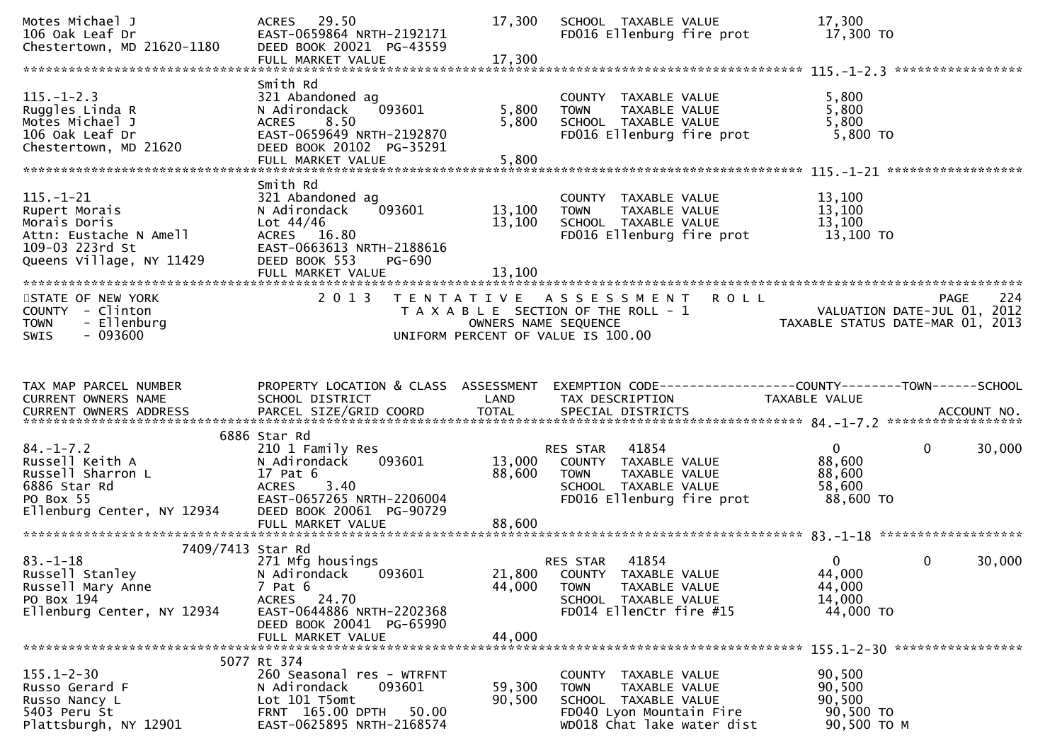| Motes Michael J<br>106 Oak Leaf Dr<br>Chestertown, MD 21620-1180                                                                                    | ACRES 29.50<br>EAST-0659864 NRTH-2192171<br>DEED BOOK 20021 PG-43559<br>FULL MARKET VALUE                                                                    | 17,300<br>17,300           | SCHOOL TAXABLE VALUE<br>FD016 Ellenburg fire prot                                                                                                                                                              | 17,300<br>17,300 TO                                     |                        |
|-----------------------------------------------------------------------------------------------------------------------------------------------------|--------------------------------------------------------------------------------------------------------------------------------------------------------------|----------------------------|----------------------------------------------------------------------------------------------------------------------------------------------------------------------------------------------------------------|---------------------------------------------------------|------------------------|
| $115. - 1 - 2.3$<br>Ruggles Linda R<br>Motes Michael J<br>106 Oak Leaf Dr<br>Chestertown, MD 21620                                                  | Smith Rd<br>321 Abandoned ag<br>N Adirondack<br>093601<br>8.50<br><b>ACRES</b><br>EAST-0659649 NRTH-2192870<br>DEED BOOK 20102 PG-35291<br>FULL MARKET VALUE | 5,800<br>5,800<br>5,800    | COUNTY TAXABLE VALUE<br>TAXABLE VALUE<br><b>TOWN</b><br>SCHOOL TAXABLE VALUE<br>FD016 Ellenburg fire prot                                                                                                      | 5,800<br>5,800<br>5,800<br>5,800 TO                     |                        |
| $115. - 1 - 21$<br>Rupert Morais<br>Morais Doris<br>Attn: Eustache N Amell<br>Attn: Eustache N Amell<br>109-03 223rd St<br>Queens Village, NY 11429 | Smith Rd<br>321 Abandoned ag<br>093601<br>N Adirondack<br>Lot $44/46$<br>ACRES 16.80<br>EAST-0663613 NRTH-2188616<br>DEED BOOK 553<br>PG-690                 | 13,100<br>13,100<br>13,100 | COUNTY TAXABLE VALUE<br>TOWN     TAXABLE VALUE<br>SCHOOL  TAXABLE VALUE<br>FD016 Ellenburg fire prot                                                                                                           | 13,100<br>13,100<br>13,100<br>13,100 TO                 |                        |
| STATE OF NEW YORK<br>COUNTY - Clinton<br>- Ellenburg<br><b>TOWN</b><br>$-093600$<br><b>SWIS</b>                                                     |                                                                                                                                                              |                            | 2013 TENTATIVE ASSESSMENT ROLL<br>T A X A B L E SECTION OF THE ROLL - 1<br>OWNERS NAME SEQUENCE ON THE ROLL - 1<br>OWNERS NAME SEQUENCE TAXABLE STATUS DATE-MAR 01, 2013<br>UNIFORM PERCENT OF VALUE IS 100.00 |                                                         |                        |
| TAX MAP PARCEL NUMBER<br>CURRENT OWNERS NAME                                                                                                        | PROPERTY LOCATION & CLASS ASSESSMENT<br>SCHOOL DISTRICT                                                                                                      | LAND                       | EXEMPTION CODE-----------------COUNTY-------TOWN------SCHOOL<br>TAX DESCRIPTION                                                                                                                                | TAXABLE VALUE                                           |                        |
| %84.-1-7.2<br>Russell Keith A<br>Russell Sharron L<br>6886 Star Rd<br>PO Box 55<br>Ellenburg Center, NY 12934                                       | 6886 Star Rd<br>210 1 Family Res<br>093601<br>N Adirondack<br>17 Pat 6<br>3.40<br><b>ACRES</b><br>EAST-0657265 NRTH-2206004<br>DEED BOOK 20061 PG-90729      | 13,000<br>88,600           | RES STAR 41854<br>COUNTY TAXABLE VALUE<br><b>TOWN</b><br>TAXABLE VALUE<br>TAXABLE VALUE<br>SCHOOL TAXABLE VALUE<br>FD016 Ellenburg fire prot 88,600 TO                                                         | 0<br>88,600<br>88,600<br>58,600                         | 30,000<br>$\mathbf{0}$ |
| 7409/7413 Star Rd<br>$83 - 1 - 18$<br>Russell Stanley<br>Russell Mary Anne<br>PO Box 194<br>Ellenburg Center, NY 12934                              | 271 Mfg housings<br>N Adirondack<br>093601<br>$7$ Pat $6$<br>ACRES 24.70<br>EAST-0644886 NRTH-2202368<br>DEED BOOK 20041 PG-65990<br>FULL MARKET VALUE       | 44,000<br>44,000           | 41854<br>RES STAR<br>21,800 COUNTY TAXABLE VALUE<br>TAXABLE VALUE<br><b>TOWN</b><br>SCHOOL TAXABLE VALUE<br>FD014 EllenCtr fire #15                                                                            | $\mathbf{0}$<br>44,000<br>44,000<br>14,000<br>44,000 TO | $\mathbf{0}$<br>30,000 |
| $155.1 - 2 - 30$<br>Russo Gerard F<br>Russo Nancy L<br>5403 Peru St<br>Plattsburgh, NY 12901                                                        | 5077 Rt 374<br>260 Seasonal res - WTRFNT<br>N Adirondack<br>093601<br>Lot 101 T5omt<br>FRNT 165.00 DPTH<br>50.00<br>EAST-0625895 NRTH-2168574                | 59,300<br>90,500           | COUNTY<br>TAXABLE VALUE<br><b>TOWN</b><br>TAXABLE VALUE<br>SCHOOL TAXABLE VALUE<br>FD040 Lyon Mountain Fire<br>WD018 Chat lake water dist                                                                      | 90,500<br>90,500<br>90,500<br>90,500 TO<br>90,500 ТО М  |                        |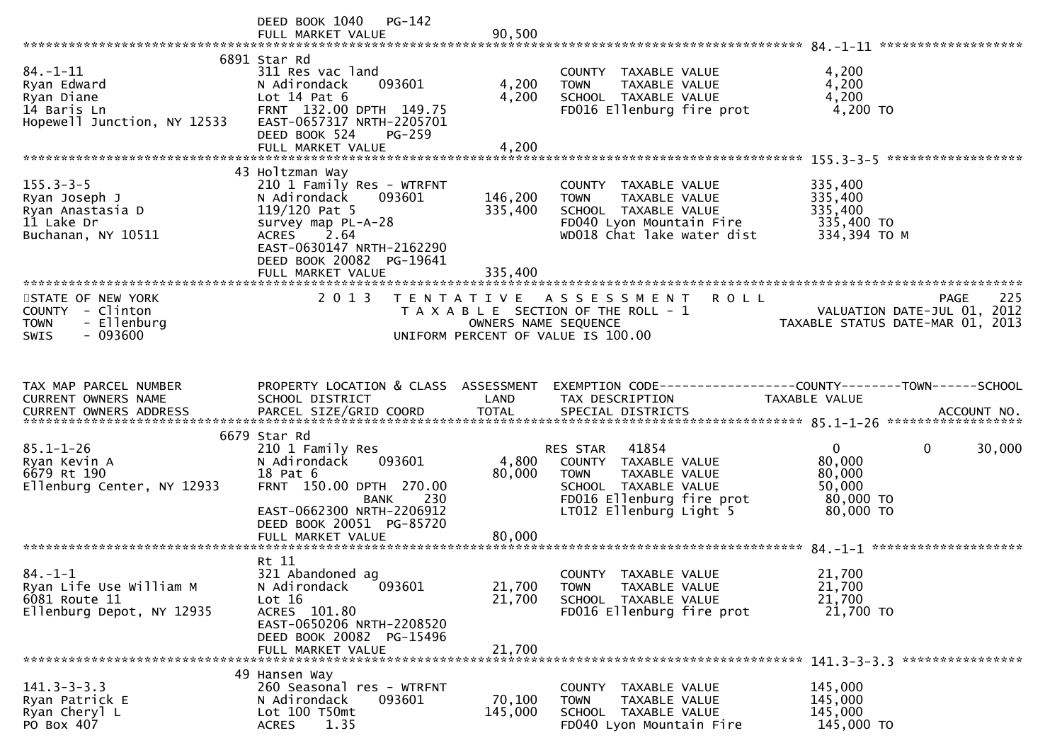|                                                                                           | DEED BOOK 1040 PG-142<br>FULL MARKET VALUE                                                                                                                                                                            | 90,500                        |                                                                                                                                                        |                                                                                              |     |
|-------------------------------------------------------------------------------------------|-----------------------------------------------------------------------------------------------------------------------------------------------------------------------------------------------------------------------|-------------------------------|--------------------------------------------------------------------------------------------------------------------------------------------------------|----------------------------------------------------------------------------------------------|-----|
| $84. - 1 - 11$<br>Ryan Edward<br>Ryan Diane<br>14 Baris Ln<br>Hopewell Junction, NY 12533 | 6891 Star Rd<br>311 Res vac land<br>093601<br>N Adirondack<br>Lot $14$ Pat $6$<br>FRNT 132.00 DPTH 149.75<br>EAST-0657317 NRTH-2205701<br>DEED BOOK 524<br>PG-259<br>FULL MARKET VALUE                                | 4,200<br>4,200<br>4,200       | COUNTY TAXABLE VALUE<br>TAXABLE VALUE<br><b>TOWN</b><br>SCHOOL TAXABLE VALUE<br>FD016 Ellenburg fire prot                                              | 4,200<br>4,200<br>4,200<br>4,200 TO                                                          |     |
|                                                                                           |                                                                                                                                                                                                                       |                               |                                                                                                                                                        |                                                                                              |     |
| $155.3 - 3 - 5$<br>Ryan Joseph J<br>Ryan Anastasia D<br>11 Lake Dr<br>Buchanan, NY 10511  | 43 Holtzman Way<br>210 1 Family Res - WTRFNT<br>N Adirondack<br>093601<br>$119/120$ Pat 5<br>survey map PL-A-28<br><b>ACRES</b><br>2.64<br>EAST-0630147 NRTH-2162290<br>DEED BOOK 20082 PG-19641<br>FULL MARKET VALUE | 146,200<br>335,400<br>335,400 | COUNTY TAXABLE VALUE<br>TAXABLE VALUE<br><b>TOWN</b><br>SCHOOL TAXABLE VALUE<br>FD040 Lyon Mountain Fire<br>WD018 Chat lake water dist                 | 335,400<br>335,400<br>335,400<br>335,400 TO<br>334,394 TO M                                  |     |
|                                                                                           |                                                                                                                                                                                                                       |                               |                                                                                                                                                        |                                                                                              |     |
| STATE OF NEW YORK<br>COUNTY - Clinton<br>- Ellenburg<br><b>TOWN</b><br>$-093600$<br>SWIS  | 2 0 1 3                                                                                                                                                                                                               | OWNERS NAME SEQUENCE          | TENTATIVE ASSESSMENT ROLL<br>T A X A B L E SECTION OF THE ROLL - 1<br>UNIFORM PERCENT OF VALUE IS 100.00                                               | PAGE<br>VALUATION DATE-JUL 01, 2012<br>TAXABLE STATUS DATE-MAR 01, 2013                      | 225 |
|                                                                                           |                                                                                                                                                                                                                       |                               |                                                                                                                                                        |                                                                                              |     |
| TAX MAP PARCEL NUMBER<br>CURRENT OWNERS NAME                                              | PROPERTY LOCATION & CLASS ASSESSMENT<br>SCHOOL DISTRICT                                                                                                                                                               | LAND                          | TAX DESCRIPTION                                                                                                                                        | EXEMPTION CODE-----------------COUNTY-------TOWN------SCHOOL<br>TAXABLE VALUE                |     |
|                                                                                           | 6679 Star Rd                                                                                                                                                                                                          |                               |                                                                                                                                                        |                                                                                              |     |
| $85.1 - 1 - 26$<br>Ryan Kevin A<br>6679 Rt 190<br>Ellenburg Center, NY 12933              | 210 1 Family Res<br>N Adirondack<br>093601<br>18 Pat 6<br>FRNT 150.00 DPTH 270.00<br>230<br>BANK<br>EAST-0662300 NRTH-2206912<br>DEED BOOK 20051 PG-85720                                                             | 4,800<br>80,000               | RES STAR 41854<br>COUNTY TAXABLE VALUE<br><b>TOWN</b><br>TAXABLE VALUE<br>SCHOOL TAXABLE VALUE<br>FD016 Ellenburg fire prot<br>LT012 Ellenburg Light 5 | $\mathbf 0$<br>30,000<br>$\mathbf 0$<br>80,000<br>80,000<br>50,000<br>80,000 TO<br>80,000 TO |     |
|                                                                                           | FULL MARKET VALUE                                                                                                                                                                                                     | 80,000                        |                                                                                                                                                        |                                                                                              |     |
| $84. - 1 - 1$<br>Ryan Life Use William M<br>6081 Route 11<br>Ellenburg Depot, NY 12935    | Rt 11<br>321 Abandoned ag<br>093601<br>N Adirondack<br>Lot 16<br>ACRES 101.80<br>EAST-0650206 NRTH-2208520<br>DEED BOOK 20082 PG-15496<br>FULL MARKET VALUE                                                           | 21,700<br>21,700<br>21,700    | COUNTY TAXABLE VALUE<br>TAXABLE VALUE<br><b>TOWN</b><br>SCHOOL TAXABLE VALUE<br>FD016 Ellenburg fire prot                                              | 21,700<br>21,700<br>21,700<br>21,700 TO                                                      |     |
|                                                                                           |                                                                                                                                                                                                                       |                               |                                                                                                                                                        |                                                                                              |     |
| $141.3 - 3 - 3.3$<br>Ryan Patrick E<br>Ryan Cheryl L<br>PO Box 407                        | 49 Hansen Way<br>260 Seasonal res - WTRFNT<br>093601<br>N Adirondack<br>Lot 100 T50mt<br>1.35<br><b>ACRES</b>                                                                                                         | 70,100<br>145,000             | COUNTY TAXABLE VALUE<br>TAXABLE VALUE<br><b>TOWN</b><br>SCHOOL TAXABLE VALUE<br>FD040 Lyon Mountain Fire                                               | 145,000<br>145,000<br>145,000<br>145,000 TO                                                  |     |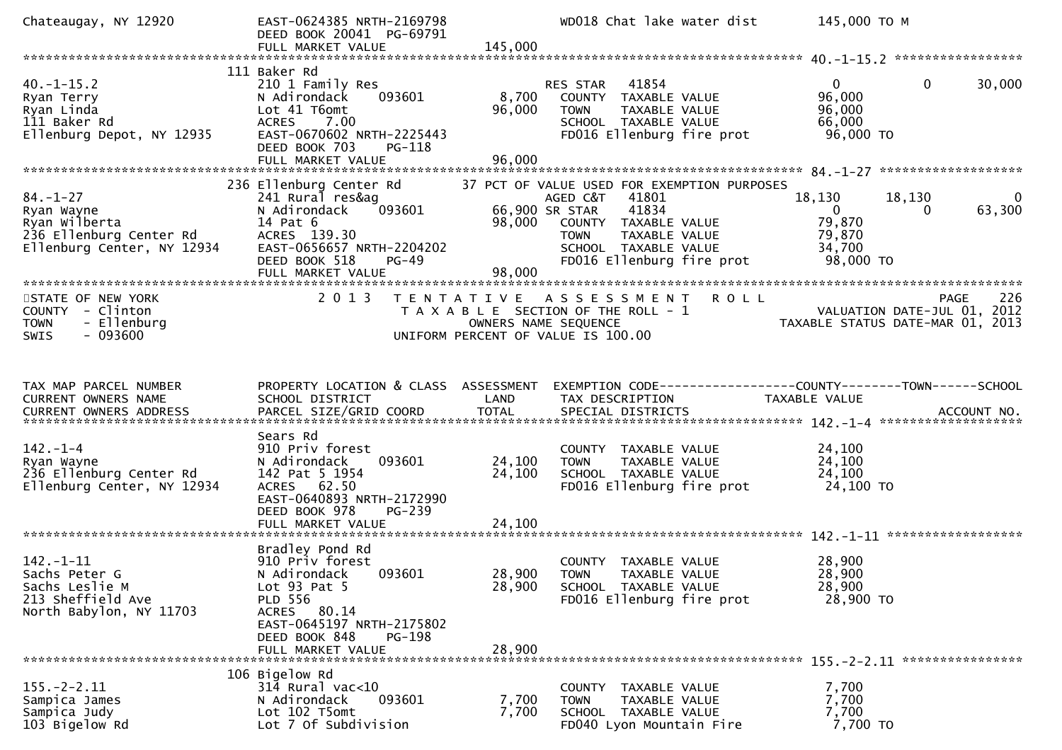| Chateaugay, NY 12920                                                                                                    | EAST-0624385 NRTH-2169798<br>DEED BOOK 20041 PG-69791                                                                                                                                       |                            | WD018 Chat lake water dist                                                                                                                                                                    | 145,000 TO M                                                                                           |                          |
|-------------------------------------------------------------------------------------------------------------------------|---------------------------------------------------------------------------------------------------------------------------------------------------------------------------------------------|----------------------------|-----------------------------------------------------------------------------------------------------------------------------------------------------------------------------------------------|--------------------------------------------------------------------------------------------------------|--------------------------|
|                                                                                                                         |                                                                                                                                                                                             |                            |                                                                                                                                                                                               |                                                                                                        |                          |
| $40. -1 - 15.2$<br>Ryan Terry<br>Ryan Linda<br>111 Baker Rd<br>Ellenburg Depot, NY 12935                                | 111 Baker Rd<br>210 1 Family Res<br>093601<br>N Adirondack<br>Lot 41 T6omt<br>ACRES 7.00<br>EAST-0670602 NRTH-2225443<br>DEED BOOK 703<br>PG-118<br>FULL MARKET VALUE                       | 8,700<br>96,000<br>96,000  | RES STAR<br>41854<br>COUNTY TAXABLE VALUE<br><b>TOWN</b><br>TAXABLE VALUE<br>SCHOOL TAXABLE VALUE<br>FD016 Ellenburg fire prot                                                                | $\mathbf{0}$<br>$\mathbf{0}$<br>96,000<br>96,000<br>66,000<br>96,000 TO                                | 30,000                   |
| $84. - 1 - 27$<br>Ryan Wayne<br>Ryan Wilberta<br>куап wiiperta<br>236 Ellenburg Center Rd<br>Ellenburg Center, NY 12934 | 236 Ellenburg Center Rd<br>241 Rural res&ag<br>093601<br>N Adirondack<br>14 Pat 6<br>ACRES 139.30<br>EAST-0656657 NRTH-2204202<br>DEED BOOK 518<br>$PG-49$<br>FULL MARKET VALUE             | 66,900 SR STAR<br>98,000   | 37 PCT OF VALUE USED FOR EXEMPTION PURPOSES<br>41801<br>AGED C&T<br>41834<br>98,000 COUNTY TAXABLE VALUE<br>TAXABLE VALUE<br><b>TOWN</b><br>SCHOOL TAXABLE VALUE<br>FD016 Ellenburg fire prot | 18,130<br>18,130<br>$\overline{\mathbf{0}}$<br>$\mathbf{0}$<br>79,870<br>79,870<br>34,700<br>98,000 TO | $\overline{0}$<br>63,300 |
| STATE OF NEW YORK<br>COUNTY - Clinton<br><b>TOWN</b><br>- Ellenburg<br>$-093600$<br><b>SWIS</b>                         | 2 0 1 3                                                                                                                                                                                     | OWNERS NAME SEQUENCE       | TENTATIVE ASSESSMENT<br><b>ROLL</b><br>T A X A B L E SECTION OF THE ROLL - 1<br>UNIFORM PERCENT OF VALUE IS 100.00                                                                            | VALUATION DATE-JUL 01, 2012<br>TAXABLE STATUS DATE-MAR 01, 2013                                        | 226<br>PAGE              |
| TAX MAP PARCEL NUMBER<br>CURRENT OWNERS NAME                                                                            | PROPERTY LOCATION & CLASS ASSESSMENT<br>SCHOOL DISTRICT                                                                                                                                     | LAND                       | EXEMPTION CODE------------------COUNTY--------TOWN------SCHOOL<br>TAX DESCRIPTION                                                                                                             | TAXABLE VALUE                                                                                          |                          |
| $142. - 1 - 4$<br>Ryan Wayne<br>236 Ellenburg Center Rd<br>Ellenburg Center, NY 12934                                   | Sears Rd<br>910 Priv forest<br>093601<br>N Adirondack<br>142 Pat 5 1954<br>ACRES 62.50<br>EAST-0640893 NRTH-2172990<br>DEED BOOK 978<br>PG-239<br>FULL MARKET VALUE                         | 24,100<br>24,100<br>24,100 | COUNTY TAXABLE VALUE<br>TAXABLE VALUE<br>TOWN<br>SCHOOL TAXABLE VALUE<br>FD016 Ellenburg fire prot                                                                                            | 24,100<br>24,100<br>24,100<br>24,100 TO                                                                |                          |
| $142. - 1 - 11$<br>Sachs Peter G<br>Sachs Leslie M<br>213 Sheffield Ave<br>North Babylon, NY 11703                      | Bradley Pond Rd<br>910 Priv forest<br>N Adirondack 093601<br>Lot $93$ Pat $5$<br><b>PLD 556</b><br>ACRES 80.14<br>EAST-0645197 NRTH-2175802<br>DEED BOOK 848<br>PG-198<br>FULL MARKET VALUE | 28,900<br>28,900           | COUNTY TAXABLE VALUE<br>28,900 TOWN<br>TAXABLE VALUE<br>SCHOOL TAXABLE VALUE<br>FD016 Ellenburg fire prot                                                                                     | 28,900<br>28,900<br>28,900<br>28,900 TO                                                                |                          |
| $155. - 2 - 2.11$<br>Sampica James<br>Sampica Judy<br>103 Bigelow Rd                                                    | 106 Bigelow Rd<br>314 Rural vac<10<br>N Adirondack<br>093601<br>Lot 102 T5omt<br>Lot 7 Of Subdivision                                                                                       | 7,700<br>7,700             | COUNTY TAXABLE VALUE<br>TAXABLE VALUE<br><b>TOWN</b><br>SCHOOL TAXABLE VALUE<br>FD040 Lyon Mountain Fire                                                                                      | 7,700<br>7,700<br>7,700<br>7,700 TO                                                                    |                          |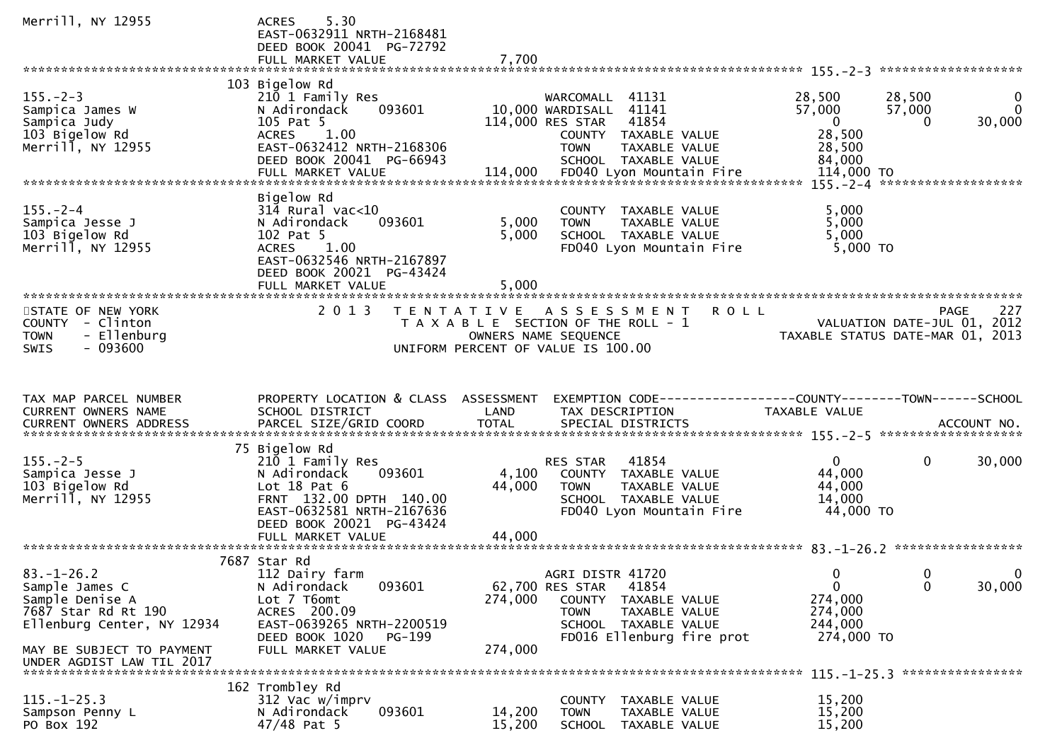| Merrill, NY 12955                                                                                          | 5.30<br><b>ACRES</b><br>EAST-0632911 NRTH-2168481<br>DEED BOOK 20041 PG-72792<br>FULL MARKET VALUE                                                                                       | 7,700                     |                                                                                                                                                                     |                                                                     |                                                                   |
|------------------------------------------------------------------------------------------------------------|------------------------------------------------------------------------------------------------------------------------------------------------------------------------------------------|---------------------------|---------------------------------------------------------------------------------------------------------------------------------------------------------------------|---------------------------------------------------------------------|-------------------------------------------------------------------|
|                                                                                                            |                                                                                                                                                                                          |                           |                                                                                                                                                                     |                                                                     |                                                                   |
| $155. - 2 - 3$<br>Sampica James W<br>Sampica Judy<br>103 Bigelow Rd<br>Merrill, NY 12955                   | 103 Bigelow Rd<br>210 1 Family Res<br>093601<br>N Adirondack<br>105 Pat 5<br>1.00<br><b>ACRES</b><br>EAST-0632412 NRTH-2168306<br>DEED BOOK 20041 PG-66943                               |                           | WARCOMALL 41131<br>10,000 WARDISALL 41141<br>114,000 RES STAR<br>41854<br>COUNTY TAXABLE VALUE<br><b>TOWN</b><br>TAXABLE VALUE<br>SCHOOL TAXABLE VALUE              | 28,500<br>57,000<br>$\overline{0}$<br>28,500<br>28,500<br>84,000    | 28,500<br>$\overline{0}$<br>57,000<br>$\mathbf{0}$<br>30,000<br>0 |
|                                                                                                            | Bigelow Rd                                                                                                                                                                               |                           |                                                                                                                                                                     |                                                                     |                                                                   |
| $155. - 2 - 4$<br>Sampica Jesse J<br>103 Bigelow Rd<br>Merrill, NY 12955                                   | $314$ Rural vac<10<br>093601<br>N Adirondack<br>102 Pat 5<br><b>ACRES</b><br>1.00<br>EAST-0632546 NRTH-2167897<br>DEED BOOK 20021 PG-43424<br>FULL MARKET VALUE                          | 5,000<br>5,000<br>5,000   | COUNTY TAXABLE VALUE<br><b>TOWN</b><br>TAXABLE VALUE<br>SCHOOL TAXABLE VALUE<br>FD040 Lyon Mountain Fire                                                            | 5,000<br>5,000<br>5,000<br>5,000 TO                                 |                                                                   |
|                                                                                                            |                                                                                                                                                                                          |                           |                                                                                                                                                                     |                                                                     |                                                                   |
| STATE OF NEW YORK<br>COUNTY - Clinton<br>- Ellenburg<br><b>TOWN</b><br>$-093600$<br><b>SWIS</b>            | 2 0 1 3                                                                                                                                                                                  | T E N T A T I V E         | <b>ROLL</b><br>A S S E S S M E N T<br>T A X A B L E SECTION OF THE ROLL - 1<br>OWNERS NAME SEQUENCE<br>UNIFORM PERCENT OF VALUE IS 100.00                           | VALUATION DATE-MAR 01, 2013<br>TAXABLE STATUS DATE-MAR 01, 2013     | 227<br><b>PAGE</b><br>VALUATION DATE-JUL 01, 2012                 |
| TAX MAP PARCEL NUMBER<br>CURRENT OWNERS NAME                                                               | PROPERTY LOCATION & CLASS ASSESSMENT<br>SCHOOL DISTRICT                                                                                                                                  | LAND                      | EXEMPTION CODE-----------------COUNTY-------TOWN------SCHOOL<br>TAX DESCRIPTION                                                                                     | TAXABLE VALUE                                                       |                                                                   |
| CURRENT OWNERS ADDRESS                                                                                     | PARCEL SIZE/GRID COORD                                                                                                                                                                   | <b>TOTAL</b>              | SPECIAL DISTRICTS                                                                                                                                                   |                                                                     | ACCOUNT NO.                                                       |
| $155. - 2 - 5$<br>Sampica Jesse J<br>103 Bigelow Rd<br>Merrill, NY 12955                                   | 75 Bigelow Rd<br>210 1 Family Res<br>093601<br>N Adirondack<br>Lot $18$ Pat $6$<br>FRNT 132.00 DPTH 140.00<br>EAST-0632581 NRTH-2167636<br>DEED BOOK 20021 PG-43424<br>FULL MARKET VALUE | 4,100<br>44,000<br>44,000 | 41854<br>RES STAR<br>COUNTY TAXABLE VALUE<br><b>TOWN</b><br>TAXABLE VALUE<br>SCHOOL TAXABLE VALUE<br>FD040 Lyon Mountain Fire                                       | $\mathbf{0}$<br>44,000<br>44,000<br>14,000<br>44,000 TO             | $\mathbf{0}$<br>30,000                                            |
|                                                                                                            |                                                                                                                                                                                          |                           |                                                                                                                                                                     |                                                                     |                                                                   |
| $83. - 1 - 26.2$<br>Sample James C<br>Sample Denise A<br>7687 Star Rd Rt 190<br>Ellenburg Center, NY 12934 | 7687 Star Rd<br>112 Dairy farm<br>N Adirondack<br>093601<br>Lot 7 T6omt<br>ACRES 200.09<br>EAST-0639265 NRTH-2200519<br>DEED BOOK 1020<br>PG-199                                         | 274,000                   | AGRI DISTR 41720<br>62,700 RES STAR<br>41854<br><b>COUNTY</b><br>TAXABLE VALUE<br><b>TOWN</b><br>TAXABLE VALUE<br>SCHOOL TAXABLE VALUE<br>FD016 Ellenburg fire prot | $\Omega$<br>$\Omega$<br>274,000<br>274,000<br>244,000<br>274,000 TO | 0<br>0<br>0<br>30,000                                             |
| MAY BE SUBJECT TO PAYMENT<br>UNDER AGDIST LAW TIL 2017                                                     | FULL MARKET VALUE                                                                                                                                                                        | 274,000                   |                                                                                                                                                                     |                                                                     |                                                                   |
|                                                                                                            |                                                                                                                                                                                          |                           |                                                                                                                                                                     | $115. - 1 - 25.3$                                                   | ****************                                                  |
| $115. - 1 - 25.3$<br>Sampson Penny L<br>PO Box 192                                                         | 162 Trombley Rd<br>312 Vac w/imprv<br>093601<br>N Adirondack<br>$47/48$ Pat 5                                                                                                            | 14,200                    | TAXABLE VALUE<br>COUNTY<br><b>TOWN</b><br>TAXABLE VALUE                                                                                                             | 15,200<br>15,200<br>15,200                                          |                                                                   |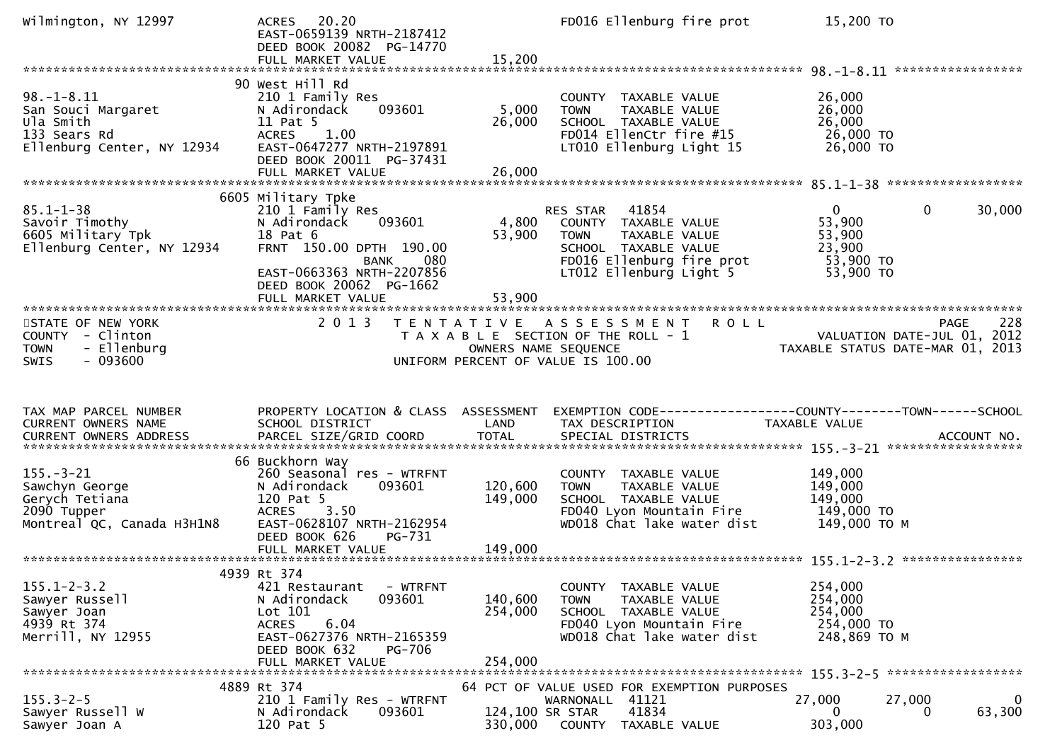| Wilmington, NY 12997                                                                              | ACRES 20.20<br>EAST-0659139 NRTH-2187412<br>DEED BOOK 20082 PG-14770                                                                                                                       |                               | FD016 Ellenburg fire prot                                                                                                                          | 15,200 TO                                                                                  |        |
|---------------------------------------------------------------------------------------------------|--------------------------------------------------------------------------------------------------------------------------------------------------------------------------------------------|-------------------------------|----------------------------------------------------------------------------------------------------------------------------------------------------|--------------------------------------------------------------------------------------------|--------|
|                                                                                                   |                                                                                                                                                                                            |                               |                                                                                                                                                    |                                                                                            |        |
| $98. - 1 - 8.11$<br>San Souci Margaret<br>Ula Smith<br>133 Sears Rd<br>Ellenburg Center, NY 12934 | 90 West Hill Rd<br>210 1 Family Res<br>093601<br>N Adirondack<br>11 Pat 5<br><b>ACRES</b><br>1.00<br>EAST-0647277 NRTH-2197891<br>DEED BOOK 20011 PG-37431                                 | 5,000<br>26,000               | COUNTY TAXABLE VALUE<br>TAXABLE VALUE<br><b>TOWN</b><br>SCHOOL TAXABLE VALUE<br>FD014 EllenCtr fire #15<br>LT010 Ellenburg Light 15                | 26,000<br>26,000<br>26,000<br>26,000 TO<br>26,000 TO                                       |        |
|                                                                                                   | 6605 Military Tpke                                                                                                                                                                         |                               |                                                                                                                                                    |                                                                                            |        |
| $85.1 - 1 - 38$<br>Savoir Timothy<br>6605 Military Tpk<br>Ellenburg Center, NY 12934              | 210 1 Family Res<br>093601<br>N Adirondack<br>18 Pat 6<br>FRNT 150.00 DPTH 190.00<br>080<br>BANK<br>EAST-0663363 NRTH-2207856<br>DEED BOOK 20062 PG-1662<br>FULL MARKET VALUE              | 4,800<br>53,900<br>53,900     | RES STAR<br>41854<br>COUNTY TAXABLE VALUE<br>TAXABLE VALUE<br>TOWN<br>SCHOOL TAXABLE VALUE<br>FD016 Ellenburg fire prot<br>LT012 Ellenburg Light 5 | $\mathbf{0}$<br>0<br>53,900<br>53,900<br>23,900<br>53,900 TO<br>53,900 TO                  | 30,000 |
|                                                                                                   |                                                                                                                                                                                            |                               |                                                                                                                                                    |                                                                                            |        |
| STATE OF NEW YORK<br>COUNTY - Clinton<br><b>TOWN</b><br>- Ellenburg<br>$-093600$<br><b>SWIS</b>   | 2 0 1 3                                                                                                                                                                                    | OWNERS NAME SEQUENCE          | TENTATIVE ASSESSMENT ROLL<br>T A X A B L E SECTION OF THE ROLL - 1<br>UNIFORM PERCENT OF VALUE IS 100.00                                           | <b>PAGE</b><br>PAGE 228<br>VALUATION DATE-JUL 01, 2012<br>TAXABLE STATUS DATE MAR 01, 2011 | 228    |
|                                                                                                   |                                                                                                                                                                                            |                               |                                                                                                                                                    |                                                                                            |        |
|                                                                                                   |                                                                                                                                                                                            |                               |                                                                                                                                                    |                                                                                            |        |
| TAX MAP PARCEL NUMBER<br>CURRENT OWNERS NAME                                                      | PROPERTY LOCATION & CLASS ASSESSMENT<br>SCHOOL DISTRICT                                                                                                                                    | LAND                          | TAX DESCRIPTION                                                                                                                                    | TAXABLE VALUE                                                                              |        |
|                                                                                                   | 66 Buckhorn Way                                                                                                                                                                            |                               |                                                                                                                                                    |                                                                                            |        |
| $155. - 3 - 21$<br>Sawchyn George<br>Gerych Tetiana<br>2090 Tupper<br>Montreal QC, Canada H3H1N8  | 260 Seasonal res - WTRFNT<br>N Adirondack<br>093601<br>120 Pat 5<br>ACRES 3.50<br>EAST-0628107 NRTH-2162954                                                                                | 120,600<br>149,000            | COUNTY TAXABLE VALUE<br>TAXABLE VALUE<br>TOWN<br>SCHOOL TAXABLE VALUE<br>FD040 Lyon Mountain Fire<br>WD018 Chat lake water dist                    | 149,000<br>149,000<br>149,000<br>149,000 TO<br>149,000 ТО М                                |        |
|                                                                                                   | DEED BOOK 626<br>PG-731                                                                                                                                                                    |                               |                                                                                                                                                    |                                                                                            |        |
|                                                                                                   |                                                                                                                                                                                            |                               |                                                                                                                                                    |                                                                                            |        |
| $155.1 - 2 - 3.2$<br>Sawyer Russell<br>Sawyer Joan<br>4939 Rt 374<br>Merrill, NY 12955            | 4939 Rt 374<br>421 Restaurant<br>- WTRFNT<br>093601<br>N Adirondack<br>Lot 101<br>6.04<br><b>ACRES</b><br>EAST-0627376 NRTH-2165359<br><b>PG-706</b><br>DEED BOOK 632<br>FULL MARKET VALUE | 140,600<br>254,000<br>254,000 | COUNTY TAXABLE VALUE<br>TAXABLE VALUE<br><b>TOWN</b><br>SCHOOL TAXABLE VALUE<br>FD040 Lyon Mountain Fire<br>WD018 Chat lake water dist             | 254,000<br>254,000<br>254,000<br>254,000 TO<br>248,869 TO M                                |        |
|                                                                                                   | 4889 Rt 374                                                                                                                                                                                |                               | 64 PCT OF VALUE USED FOR EXEMPTION PURPOSES                                                                                                        |                                                                                            |        |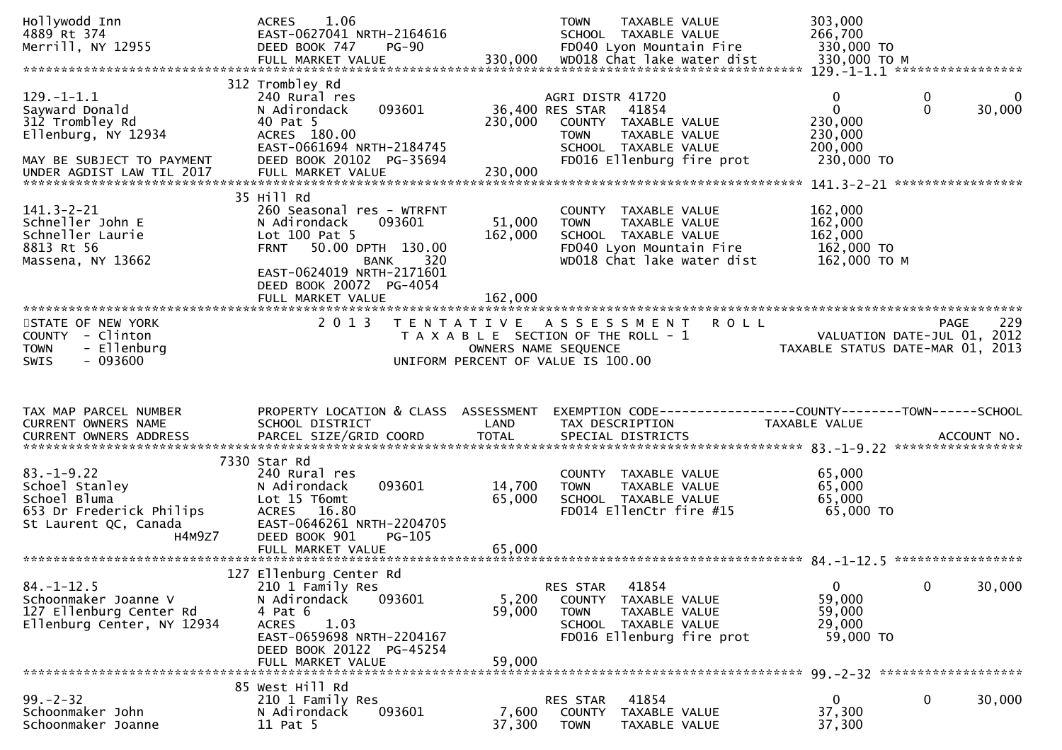| Hollywodd Inn<br>4889 Rt 374<br>Merrill, NY 12955                                                                                      | 1.06<br><b>ACRES</b><br>EAST-0627041 NRTH-2164616<br>DEED BOOK 747<br><b>PG-90</b><br>FULL MARKET VALUE                                                                                       | 330,000                    | TAXABLE VALUE<br><b>TOWN</b><br>SCHOOL TAXABLE VALUE<br>FD040 Lyon Mountain Fire<br>WD018 Chat lake water dist                                            | 303,000<br>266,700<br>330,000 TO<br>330,000 TO M                |                                                          |
|----------------------------------------------------------------------------------------------------------------------------------------|-----------------------------------------------------------------------------------------------------------------------------------------------------------------------------------------------|----------------------------|-----------------------------------------------------------------------------------------------------------------------------------------------------------|-----------------------------------------------------------------|----------------------------------------------------------|
| $129. - 1 - 1.1$<br>Sayward Donald<br>312 Trombley Rd<br>Ellenburg, NY 12934<br>MAY BE SUBJECT TO PAYMENT<br>UNDER AGDIST LAW TIL 2017 | 312 Trombley Rd<br>240 Rural res<br>093601<br>N Adirondack<br>40 Pat 5<br>ACRES 180.00<br>EAST-0661694 NRTH-2184745<br>DEED BOOK 20102 PG-35694<br>FULL MARKET VALUE                          | 230,000<br>230,000         | AGRI DISTR 41720<br>36,400 RES STAR<br>41854<br>COUNTY TAXABLE VALUE<br><b>TOWN</b><br>TAXABLE VALUE<br>SCHOOL TAXABLE VALUE<br>FD016 Ellenburg fire prot | $\mathbf 0$<br>0<br>230,000<br>230,000<br>200,000<br>230,000 TO | $\boldsymbol{0}$<br>$\mathbf 0$<br>$\mathbf 0$<br>30,000 |
| $141.3 - 2 - 21$<br>Schneller John E<br>Schneller Laurie<br>8813 Rt 56<br>Massena, NY 13662                                            | 35 Hill Rd<br>260 Seasonal res - WTRFNT<br>N Adirondack<br>093601<br>Lot 100 Pat 5<br>50.00 DPTH 130.00<br><b>FRNT</b><br>BANK<br>320<br>EAST-0624019 NRTH-2171601<br>DEED BOOK 20072 PG-4054 | 51,000<br>162,000          | COUNTY TAXABLE VALUE<br>TAXABLE VALUE<br><b>TOWN</b><br>SCHOOL TAXABLE VALUE<br>FD040 Lyon Mountain Fire<br>WD018 Chat lake water dist                    | 162,000<br>162,000<br>162,000<br>162,000 TO<br>162,000 ТО М     |                                                          |
| STATE OF NEW YORK<br>COUNTY - Clinton<br>- Ellenburg<br><b>TOWN</b><br>$-093600$<br><b>SWIS</b>                                        | 2 0 1 3                                                                                                                                                                                       | OWNERS NAME SEQUENCE       | TENTATIVE ASSESSMENT<br><b>ROLL</b><br>T A X A B L E SECTION OF THE ROLL - 1<br>UNIFORM PERCENT OF VALUE IS 100.00                                        | VALUATION DATE-JUL 01, 2012<br>TAXABLE STATUS DATE-MAR 01, 2013 | 229<br>PAGE                                              |
| TAX MAP PARCEL NUMBER<br>CURRENT OWNERS NAME                                                                                           | PROPERTY LOCATION & CLASS ASSESSMENT<br>SCHOOL DISTRICT                                                                                                                                       | LAND                       | EXEMPTION CODE-----------------COUNTY-------TOWN------SCHOOL<br>TAX DESCRIPTION                                                                           | TAXABLE VALUE                                                   |                                                          |
| $83. - 1 - 9.22$<br>Schoel Stanley<br>Schoel Bluma<br>653 Dr Frederick Philips<br>St Laurent QC, Canada<br>H4M9Z7                      | 7330 Star Rd<br>240 Rural res<br>093601<br>N Adirondack<br>Lot 15 T6omt<br>ACRES 16.80<br>EAST-0646261 NRTH-2204705<br>DEED BOOK 901<br>PG-105<br>FULL MARKET VALUE                           | 14,700<br>65,000<br>65,000 | COUNTY TAXABLE VALUE<br>TAXABLE VALUE<br><b>TOWN</b><br>SCHOOL TAXABLE VALUE<br>FD014 EllenCtr fire #15                                                   | 65,000<br>65,000<br>65,000<br>65,000 TO                         |                                                          |
| $84. - 1 - 12.5$<br>Schoonmaker Joanne V<br>127 Ellenburg Center Rd<br>Ellenburg Center, NY 12934                                      | 127 Ellenburg Center Rd<br>210 1 Family Res<br>093601<br>N Adirondack<br>4 Pat 6<br><b>ACRES</b><br>1.03<br>EAST-0659698 NRTH-2204167<br>DEED BOOK 20122 PG-45254<br>FULL MARKET VALUE        | 5,200<br>59,000<br>59,000  | 41854<br>RES STAR<br><b>COUNTY</b><br>TAXABLE VALUE<br><b>TOWN</b><br>TAXABLE VALUE<br>SCHOOL TAXABLE VALUE<br>FD016 Ellenburg fire prot                  | $\overline{0}$<br>59,000<br>59,000<br>29,000<br>59,000 TO       | 30,000<br>$\mathbf 0$                                    |
| $99. - 2 - 32$<br>Schoonmaker John                                                                                                     | 85 West Hill Rd<br>210 1 Family Res<br>093601                                                                                                                                                 | 7,600                      | 41854<br>RES STAR<br>TAXABLE VALUE                                                                                                                        | $\overline{0}$<br>37,300                                        | 0<br>30,000                                              |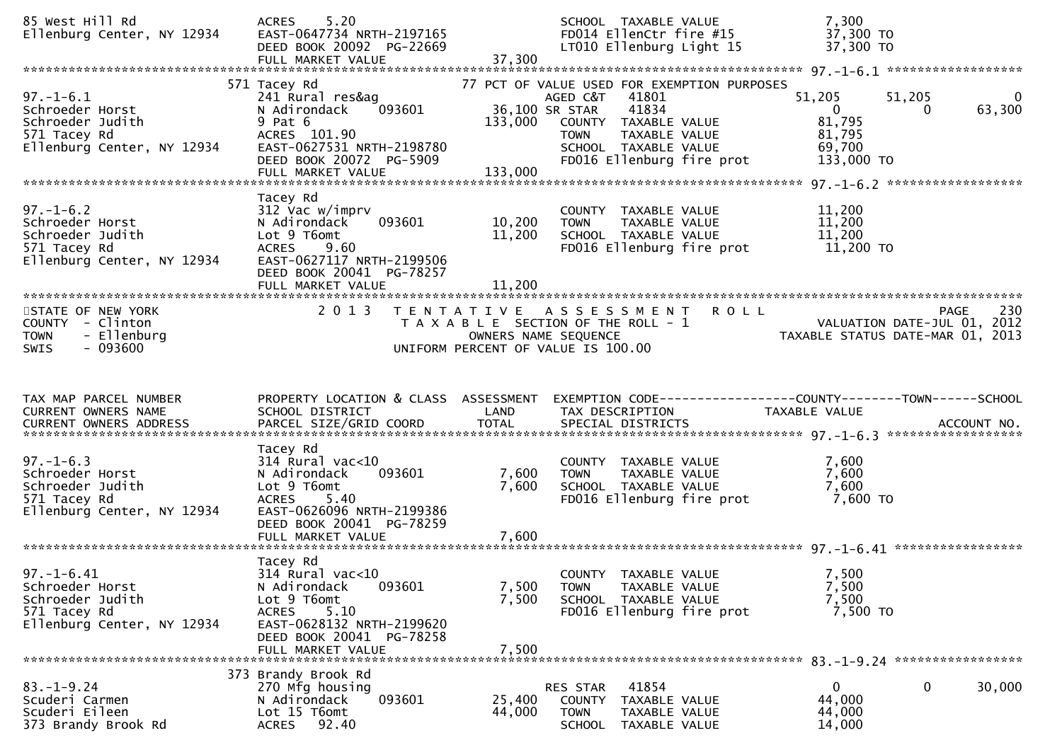| 85 West Hill Rd<br>Ellenburg Center, NY 12934                                                         | 5.20<br><b>ACRES</b><br>EAST-0647734 NRTH-2197165<br>DEED BOOK 20092 PG-22669<br>FULL MARKET VALUE                                                                          | 37,300                     | SCHOOL TAXABLE VALUE<br>FD014 EllenCtr fire #15<br>LT010 Ellenburg Light 15                                                                                                                              | 7,300<br>37,300 TO<br>37,300 TO                                      |                                   |
|-------------------------------------------------------------------------------------------------------|-----------------------------------------------------------------------------------------------------------------------------------------------------------------------------|----------------------------|----------------------------------------------------------------------------------------------------------------------------------------------------------------------------------------------------------|----------------------------------------------------------------------|-----------------------------------|
|                                                                                                       |                                                                                                                                                                             |                            |                                                                                                                                                                                                          |                                                                      |                                   |
| $97. - 1 - 6.1$<br>Schroeder Horst<br>Schroeder Judith<br>571 Tacey Rd<br>Ellenburg Center, NY 12934  | 571 Tacey Rd<br>241 Rural res&ag<br>093601<br>N Adirondack<br>$9$ Pat $6$<br>ACRES 101.90<br>EAST-0627531 NRTH-2198780<br>DEED BOOK 20072 PG-5909<br>FULL MARKET VALUE      | 133,000<br>133,000         | 77 PCT OF VALUE USED FOR EXEMPTION PURPOSES<br>AGED C&T<br>41801<br>36,100 SR STAR<br>41834<br>COUNTY TAXABLE VALUE<br>TAXABLE VALUE<br><b>TOWN</b><br>SCHOOL TAXABLE VALUE<br>FD016 Ellenburg fire prot | 51,205<br>$\overline{0}$<br>81,795<br>81,795<br>69,700<br>133,000 TO | 51,205<br>$\bf{0}$<br>63,300<br>0 |
| $97. - 1 - 6.2$<br>Schroeder Horst<br>Schroeder Judith<br>571 Tacey Rd<br>Ellenburg Center, NY 12934  | Tacey Rd<br>312 Vac w/imprv<br>093601<br>N Adirondack<br>Lot 9 T6omt<br><b>ACRES</b><br>9.60<br>EAST-0627117 NRTH-2199506<br>DEED BOOK 20041 PG-78257<br>FULL MARKET VALUE  | 10,200<br>11,200<br>11,200 | COUNTY TAXABLE VALUE<br>TAXABLE VALUE<br>TOWN<br>SCHOOL TAXABLE VALUE<br>FD016 Ellenburg fire prot                                                                                                       | 11,200<br>11,200<br>11,200<br>11,200 TO                              |                                   |
| STATE OF NEW YORK<br>COUNTY - Clinton<br>- Ellenburg<br><b>TOWN</b><br>$-093600$<br><b>SWIS</b>       | 2 0 1 3                                                                                                                                                                     | T E N T A T I V E          | <b>ROLL</b><br>A S S E S S M E N T<br>T A X A B L E SECTION OF THE ROLL - 1<br>OWNERS NAME SEQUENCE<br>UNIFORM PERCENT OF VALUE IS 100.00                                                                | VALUATION DATE-JUL 01, 2012<br>TAXABLE STATUS DATE-MAR 01, 2013      | 230<br>PAGE                       |
|                                                                                                       |                                                                                                                                                                             |                            |                                                                                                                                                                                                          |                                                                      |                                   |
| TAX MAP PARCEL NUMBER<br>CURRENT OWNERS NAME<br>CURRENT OWNERS ADDRESS                                | PROPERTY LOCATION & CLASS ASSESSMENT<br>SCHOOL DISTRICT<br>PARCEL SIZE/GRID COORD                                                                                           | LAND<br><b>TOTAL</b>       | EXEMPTION CODE-----------------COUNTY-------TOWN------SCHOOL<br>TAX DESCRIPTION<br>SPECIAL DISTRICTS                                                                                                     | TAXABLE VALUE                                                        | ACCOUNT NO.                       |
| $97. - 1 - 6.3$<br>Schroeder Horst<br>Schroeder Judith<br>571 Tacey Rd<br>Ellenburg Center, NY 12934  | Tacey Rd<br>$314$ Rural vac< $10$<br>093601<br>N Adirondack<br>Lot 9 T6omt<br>5.40<br><b>ACRES</b><br>EAST-0626096 NRTH-2199386<br>DEED BOOK 20041 PG-78259                 | 7,600<br>7,600             | COUNTY TAXABLE VALUE<br>TAXABLE VALUE<br><b>TOWN</b><br>SCHOOL TAXABLE VALUE<br>FD016 Ellenburg fire prot                                                                                                | 7,600<br>7,600<br>7,600<br>7,600 TO                                  |                                   |
| $97. - 1 - 6.41$<br>Schroeder Horst<br>Schroeder Judith<br>571 Tacey Rd<br>Ellenburg Center, NY 12934 | Tacey Rd<br>314 Rural vac<10<br>N Adirondack<br>093601<br>Lot 9 T6omt<br>5.10<br><b>ACRES</b><br>EAST-0628132 NRTH-2199620<br>DEED BOOK 20041 PG-78258<br>FULL MARKET VALUE | 7,500<br>7,500<br>7,500    | COUNTY TAXABLE VALUE<br>TAXABLE VALUE<br><b>TOWN</b><br>SCHOOL TAXABLE VALUE<br>FD016 Ellenburg fire prot                                                                                                | 7,500<br>7,500<br>7,500<br>7,500 TO                                  |                                   |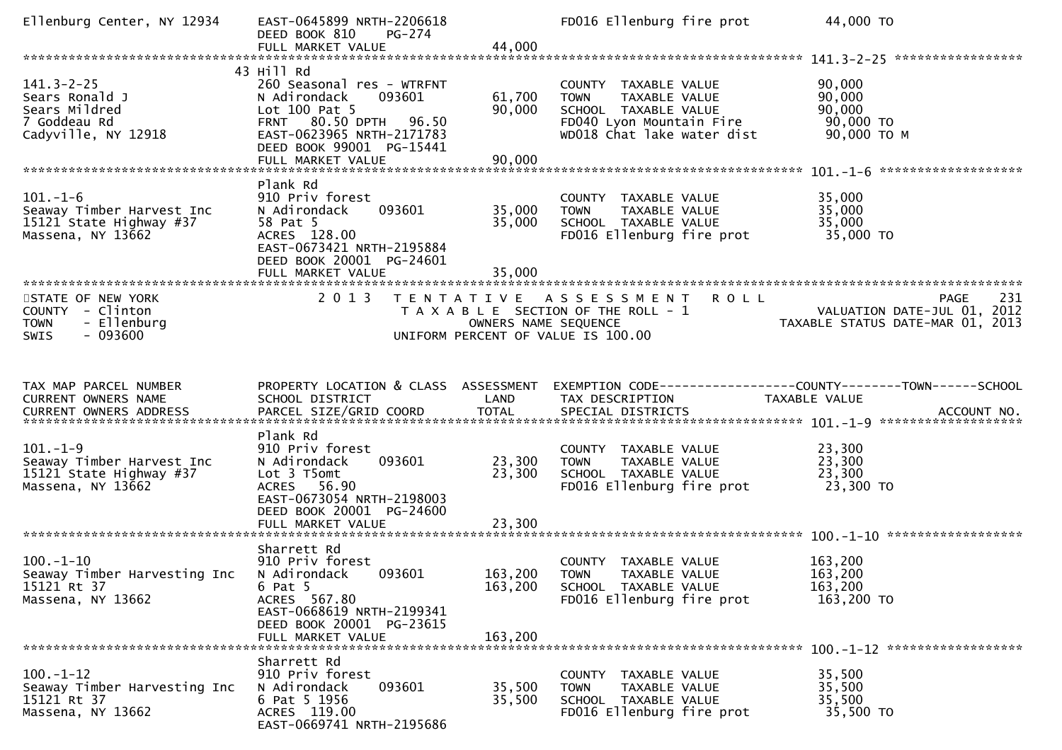|                                                                                                 | EAST-0645899 NRTH-2206618<br>DEED BOOK 810<br>PG-274<br>FULL MARKET VALUE                                                                                                                 | 44,000                             | FD016 Ellenburg fire prot                                                                                                              | 44,000 TO                                                                      |
|-------------------------------------------------------------------------------------------------|-------------------------------------------------------------------------------------------------------------------------------------------------------------------------------------------|------------------------------------|----------------------------------------------------------------------------------------------------------------------------------------|--------------------------------------------------------------------------------|
|                                                                                                 |                                                                                                                                                                                           |                                    |                                                                                                                                        |                                                                                |
| $141.3 - 2 - 25$<br>Sears Ronald J<br>Sears Mildred<br>7 Goddeau Rd<br>Cadyville, NY 12918      | 43 Hill Rd<br>260 Seasonal res - WTRFNT<br>093601<br>N Adirondack<br>Lot 100 Pat 5<br>FRNT 80.50 DPTH 96.50<br>EAST-0623965 NRTH-2171783<br>DEED BOOK 99001 PG-15441<br>FULL MARKET VALUE | 61,700<br>90,000<br>90,000         | COUNTY TAXABLE VALUE<br>TAXABLE VALUE<br><b>TOWN</b><br>SCHOOL TAXABLE VALUE<br>FD040 Lyon Mountain Fire<br>WD018 Chat lake water dist | 90,000<br>90,000<br>90,000<br>90,000 TO<br>90,000 ТО М                         |
|                                                                                                 | Plank Rd                                                                                                                                                                                  |                                    |                                                                                                                                        |                                                                                |
| $101.-1-6$<br>Seaway Timber Harvest Inc<br>15121 State Highway #37<br>Massena, NY 13662         | 910 Priv forest<br>093601<br>N Adirondack<br>58 Pat 5<br>ACRES 128.00<br>EAST-0673421 NRTH-2195884<br>DEED BOOK 20001 PG-24601<br>FULL MARKET VALUE                                       | 35,000<br>35,000<br>35,000         | COUNTY TAXABLE VALUE<br>TAXABLE VALUE<br><b>TOWN</b><br>SCHOOL TAXABLE VALUE<br>FD016 Ellenburg fire prot                              | 35,000<br>35,000<br>35,000<br>35,000 TO                                        |
|                                                                                                 |                                                                                                                                                                                           |                                    |                                                                                                                                        |                                                                                |
| STATE OF NEW YORK<br>COUNTY - Clinton<br>- Ellenburg<br><b>TOWN</b><br>$-093600$<br><b>SWIS</b> | 2 0 1 3                                                                                                                                                                                   | OWNERS NAME SEQUENCE               | TENTATIVE ASSESSMENT<br><b>ROLL</b><br>T A X A B L E SECTION OF THE ROLL - 1<br>UNIFORM PERCENT OF VALUE IS 100.00                     | 231<br>PAGE<br>VALUATION DATE-JUL 01, 2012<br>TAXABLE STATUS DATE-MAR 01, 2013 |
|                                                                                                 |                                                                                                                                                                                           |                                    |                                                                                                                                        |                                                                                |
| TAX MAP PARCEL NUMBER<br>CURRENT OWNERS NAME                                                    | PROPERTY LOCATION & CLASS ASSESSMENT<br>SCHOOL DISTRICT                                                                                                                                   | LAND                               | TAX DESCRIPTION                                                                                                                        | EXEMPTION CODE-----------------COUNTY-------TOWN------SCHOOL<br>TAXABLE VALUE  |
|                                                                                                 |                                                                                                                                                                                           |                                    |                                                                                                                                        |                                                                                |
| $101. - 1 - 9$<br>Seaway Timber Harvest Inc<br>15121 State Highway #37<br>Massena, NY 13662     | Plank Rd<br>910 Priv forest<br>093601<br>N Adirondack<br>Lot 3 T5omt<br>ACRES 56.90<br>EAST-0673054 NRTH-2198003<br>DEED BOOK 20001 PG-24600                                              | 23,300<br>23,300                   | COUNTY TAXABLE VALUE<br>TAXABLE VALUE<br><b>TOWN</b><br>SCHOOL TAXABLE VALUE<br>FD016 Ellenburg fire prot                              | 23,300<br>23,300<br>23,300<br>23,300 TO                                        |
|                                                                                                 | FULL MARKET VALUE                                                                                                                                                                         | 23,300                             |                                                                                                                                        |                                                                                |
| $100. - 1 - 10$<br>Seaway Timber Harvesting Inc<br>15121 Rt 37<br>Massena, NY 13662             | Sharrett Rd<br>910 Priv forest<br>N Adirondack<br>093601<br>$6$ Pat $5$<br>ACRES 567.80<br>EAST-0668619 NRTH-2199341<br>DEED BOOK 20001 PG-23615<br>FULL MARKET VALUE                     | 163,200 TOWN<br>163,200<br>163,200 | COUNTY TAXABLE VALUE<br>TAXABLE VALUE<br>SCHOOL TAXABLE VALUE<br>FD016 Ellenburg fire prot                                             | 163,200<br>163,200<br>163,200<br>163,200 TO                                    |
|                                                                                                 | Sharrett Rd                                                                                                                                                                               |                                    |                                                                                                                                        |                                                                                |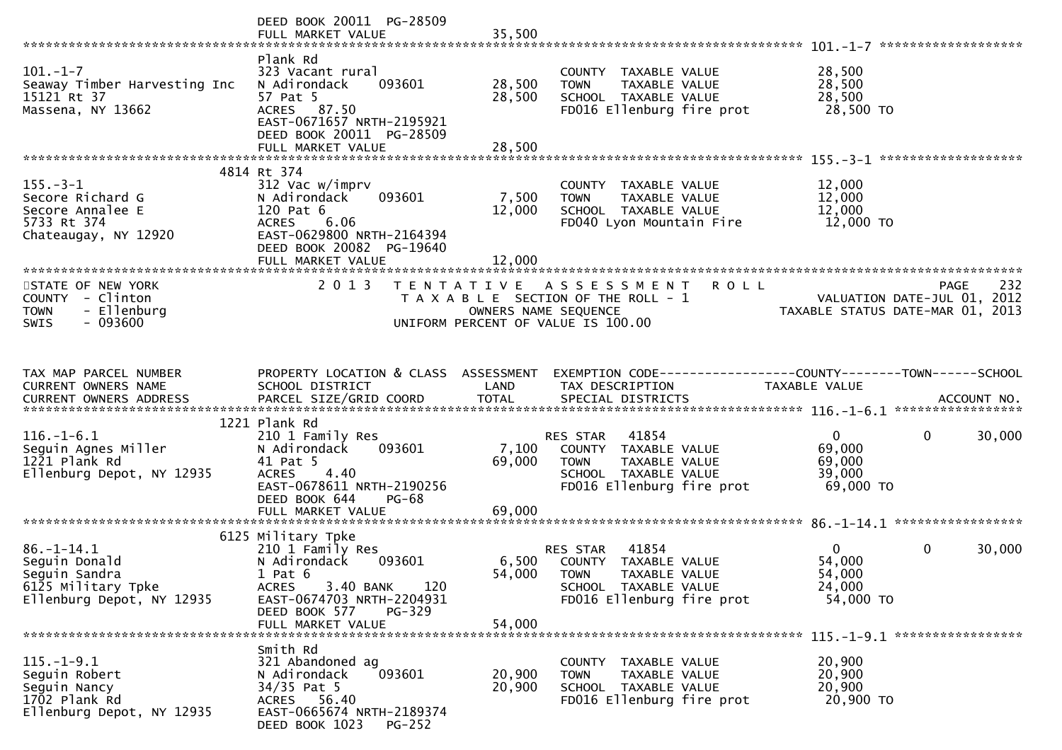|                                                                                                       | DEED BOOK 20011 PG-28509<br>FULL MARKET VALUE                                                                                                                                                    | 35,500                     |                                                                                                                                            |                                                     |                                                   |
|-------------------------------------------------------------------------------------------------------|--------------------------------------------------------------------------------------------------------------------------------------------------------------------------------------------------|----------------------------|--------------------------------------------------------------------------------------------------------------------------------------------|-----------------------------------------------------|---------------------------------------------------|
| $101. - 1 - 7$<br>Seaway Timber Harvesting Inc<br>15121 Rt 37<br>Massena, NY 13662                    | Plank Rd<br>323 Vacant rural<br>N Adirondack<br>093601<br>57 Pat 5<br>ACRES 87.50<br>EAST-0671657 NRTH-2195921<br>DEED BOOK 20011 PG-28509<br>FULL MARKET VALUE                                  | 28,500<br>28,500<br>28,500 | COUNTY TAXABLE VALUE<br><b>TOWN</b><br>TAXABLE VALUE<br>SCHOOL TAXABLE VALUE<br>FD016 Ellenburg fire prot                                  | 28,500<br>28,500<br>28,500<br>28,500 TO             |                                                   |
|                                                                                                       |                                                                                                                                                                                                  |                            |                                                                                                                                            |                                                     |                                                   |
| $155. - 3 - 1$<br>Secore Richard G<br>Secore Annalee E<br>5733 Rt 374<br>Chateaugay, NY 12920         | 4814 Rt 374<br>312 Vac w/imprv<br>093601<br>N Adirondack<br>120 Pat 6<br><b>ACRES</b><br>6.06<br>EAST-0629800 NRTH-2164394<br>DEED BOOK 20082 PG-19640                                           | 7,500<br>12,000            | COUNTY TAXABLE VALUE<br><b>TOWN</b><br><b>TAXABLE VALUE</b><br>SCHOOL TAXABLE VALUE<br>FD040 Lyon Mountain Fire                            | 12,000<br>12,000<br>12,000<br>12,000 TO             |                                                   |
|                                                                                                       | FULL MARKET VALUE                                                                                                                                                                                | 12,000                     |                                                                                                                                            |                                                     |                                                   |
| STATE OF NEW YORK<br>COUNTY - Clinton<br>- Ellenburg<br><b>TOWN</b><br>$-093600$<br><b>SWIS</b>       | 2 0 1 3                                                                                                                                                                                          |                            | TENTATIVE ASSESSMENT<br><b>ROLL</b><br>T A X A B L E SECTION OF THE ROLL - 1<br>OWNERS NAME SEQUENCE<br>UNIFORM PERCENT OF VALUE IS 100.00 | TAXABLE STATUS DATE-MAR 01, 2013                    | 232<br><b>PAGE</b><br>VALUATION DATE-JUL 01, 2012 |
| TAX MAP PARCEL NUMBER<br>CURRENT OWNERS NAME                                                          | PROPERTY LOCATION & CLASS ASSESSMENT<br>SCHOOL DISTRICT                                                                                                                                          | LAND                       | EXEMPTION CODE------------------COUNTY--------TOWN------SCHOOL<br>TAX DESCRIPTION                                                          | TAXABLE VALUE                                       |                                                   |
| $116. - 1 - 6.1$<br>Seguin Agnes Miller<br>1221 Plank Rd<br>Ellenburg Depot, NY 12935                 | 1221 Plank Rd<br>210 1 Family Res<br>093601<br>N Adirondack<br>41 Pat 5<br><b>ACRES</b><br>4.40<br>EAST-0678611 NRTH-2190256<br>DEED BOOK 644<br><b>PG-68</b>                                    | 7,100<br>69,000            | RES STAR<br>41854<br>COUNTY TAXABLE VALUE<br><b>TOWN</b><br>TAXABLE VALUE<br>SCHOOL TAXABLE VALUE<br>FD016 Ellenburg fire prot             | $\Omega$<br>69,000<br>69,000<br>39,000<br>69,000 TO | $\mathbf 0$<br>30,000                             |
|                                                                                                       | FULL MARKET VALUE                                                                                                                                                                                | 69,000                     |                                                                                                                                            |                                                     |                                                   |
| $86. - 1 - 14.1$<br>Seguin Donald<br>Seguin Sandra<br>6125 Military Tpke<br>Ellenburg Depot, NY 12935 | 6125 Military Tpke<br>210 1 Family Res<br>N Adirondack<br>093601<br>$1$ Pat $6$<br>3.40 BANK<br>120<br><b>ACRES</b><br>EAST-0674703 NRTH-2204931<br>PG-329<br>DEED BOOK 577<br>FULL MARKET VALUE | 6,500<br>54,000<br>54,000  | 41854<br>RES STAR<br>COUNTY TAXABLE VALUE<br><b>TOWN</b><br>TAXABLE VALUE<br>SCHOOL TAXABLE VALUE<br>FD016 Ellenburg fire prot             | $\Omega$<br>54,000<br>54,000<br>24,000<br>54,000 TO | $\mathbf 0$<br>30,000                             |
| $115. - 1 - 9.1$<br>Seguin Robert<br>Seguin Nancy<br>1702 Plank Rd<br>Ellenburg Depot, NY 12935       | Smith Rd<br>321 Abandoned ag<br>093601<br>N Adirondack<br>34/35 Pat 5<br>56.40<br>ACRES<br>EAST-0665674 NRTH-2189374<br>DEED BOOK 1023<br>PG-252                                                 | 20,900<br>20,900           | COUNTY<br>TAXABLE VALUE<br>TAXABLE VALUE<br><b>TOWN</b><br>SCHOOL TAXABLE VALUE<br>FD016 Ellenburg fire prot                               | 20,900<br>20,900<br>20,900<br>20,900 TO             |                                                   |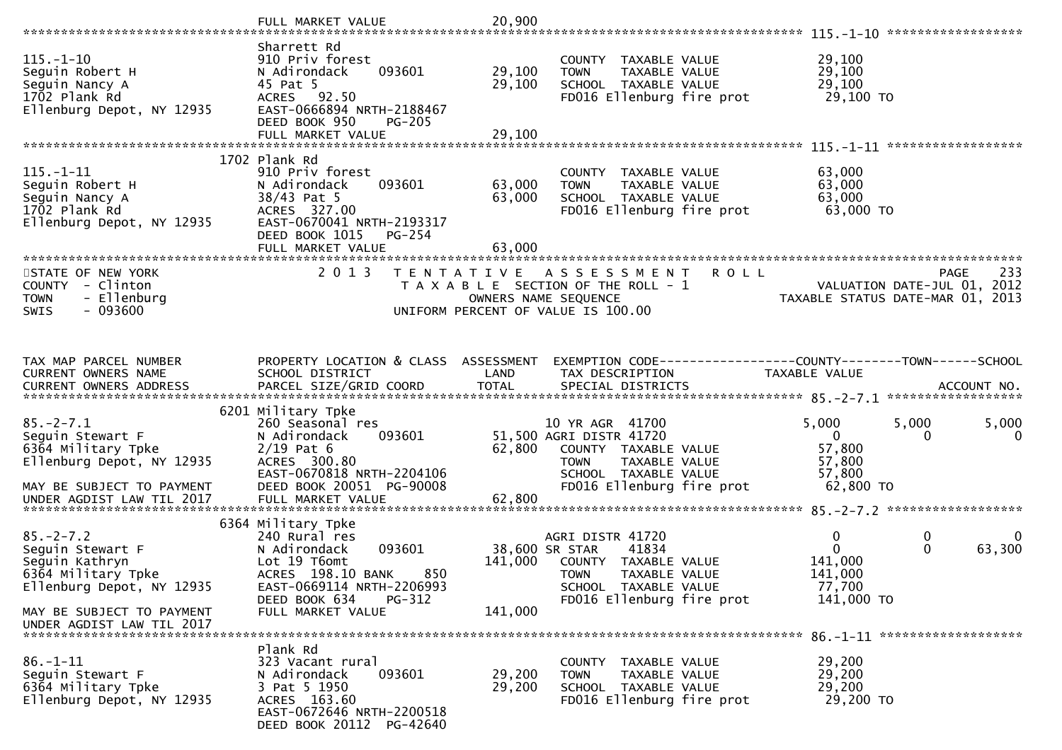|                                                                                                          | FULL MARKET VALUE                                                                                                                                    | 20,900                    |                                                                                                                                        |                                                                 |                                                                                |
|----------------------------------------------------------------------------------------------------------|------------------------------------------------------------------------------------------------------------------------------------------------------|---------------------------|----------------------------------------------------------------------------------------------------------------------------------------|-----------------------------------------------------------------|--------------------------------------------------------------------------------|
| $115. - 1 - 10$<br>Seguin Robert H<br>Seguin Nancy A<br>1702 Plank Rd<br>Ellenburg Depot, NY 12935       | Sharrett Rd<br>910 Priv forest<br>093601<br>N Adirondack<br>45 Pat 5<br>ACRES 92.50<br>EAST-0666894 NRTH-2188467<br>DEED BOOK 950<br><b>PG-205</b>   | 29,100<br>29,100          | COUNTY TAXABLE VALUE<br>TAXABLE VALUE<br><b>TOWN</b><br>SCHOOL TAXABLE VALUE<br>FD016 Ellenburg fire prot                              | 29,100<br>29,100<br>29,100<br>29,100 то                         |                                                                                |
|                                                                                                          | FULL MARKET VALUE                                                                                                                                    | 29,100                    |                                                                                                                                        |                                                                 |                                                                                |
|                                                                                                          |                                                                                                                                                      |                           |                                                                                                                                        |                                                                 |                                                                                |
| $115. - 1 - 11$<br>Seguin Robert H<br>Seguin Nancy A<br>1702 Plank Rd<br>Ellenburg Depot, NY 12935       | 1702 Plank Rd<br>910 Priv forest<br>093601<br>N Adirondack<br>38/43 Pat 5<br>ACRES 327.00<br>EAST-0670041 NRTH-2193317<br>DEED BOOK 1015<br>$PG-254$ | 63,000<br>63,000          | COUNTY TAXABLE VALUE<br>TAXABLE VALUE<br><b>TOWN</b><br>SCHOOL TAXABLE VALUE<br>FD016 Ellenburg fire prot                              | 63,000<br>63,000<br>63,000<br>63,000 TO                         |                                                                                |
|                                                                                                          | FULL MARKET VALUE                                                                                                                                    | 63,000                    |                                                                                                                                        |                                                                 |                                                                                |
| STATE OF NEW YORK<br>COUNTY - Clinton<br><b>TOWN</b><br>- Ellenburg<br>$-093600$<br><b>SWIS</b>          | 2013<br>T E N T A T I V E                                                                                                                            | OWNERS NAME SEQUENCE      | ASSESSMENT<br>T A X A B L E SECTION OF THE ROLL - 1<br>UNIFORM PERCENT OF VALUE IS 100.00                                              | <b>ROLL</b>                                                     | 233<br>PAGE<br>VALUATION DATE-JUL 01, 2012<br>TAXABLE STATUS DATE-MAR 01, 2013 |
| TAX MAP PARCEL NUMBER<br>CURRENT OWNERS NAME                                                             | PROPERTY LOCATION & CLASS ASSESSMENT<br>SCHOOL DISTRICT                                                                                              | LAND                      | EXEMPTION CODE-----------------COUNTY-------TOWN------SCHOOL<br>TAX DESCRIPTION                                                        | TAXABLE VALUE                                                   |                                                                                |
|                                                                                                          | 6201 Military Tpke                                                                                                                                   |                           |                                                                                                                                        |                                                                 |                                                                                |
| $85. -2 - 7.1$<br>Seguin Stewart F<br>6364 Military Tpke<br>Ellenburg Depot, NY 12935                    | 260 Seasonal res<br>N Adirondack<br>093601<br>$2/19$ Pat 6<br>ACRES 300.80<br>EAST-0670818 NRTH-2204106                                              | 62,800                    | 10 YR AGR 41700<br>51,500 AGRI DISTR 41720<br>COUNTY TAXABLE VALUE<br>TAXABLE VALUE<br><b>TOWN</b><br>SCHOOL TAXABLE VALUE             | 5,000<br>$\Omega$<br>57,800<br>57,800<br>57,800                 | 5,000<br>5,000<br>0<br>0                                                       |
| MAY BE SUBJECT TO PAYMENT<br>UNDER AGDIST LAW TIL 2017                                                   | DEED BOOK 20051 PG-90008<br>FULL MARKET VALUE                                                                                                        | 62,800                    | FD016 Ellenburg fire prot                                                                                                              | 62,800 TO                                                       |                                                                                |
|                                                                                                          | 6364 Military Tpke                                                                                                                                   |                           |                                                                                                                                        |                                                                 |                                                                                |
| $85. - 2 - 7.2$<br>Seguin Stewart F<br>Seguin Kathryn<br>6364 Military Tpke<br>Ellenburg Depot, NY 12935 | 240 Rural res<br>N Adirondack<br>093601<br>Lot 19 T6omt<br>850<br>ACRES 198.10 BANK<br>EAST-0669114 NRTH-2206993<br>DEED BOOK 634<br>PG-312          | 38,600 SR STAR<br>141,000 | AGRI DISTR 41720<br>41834<br>COUNTY TAXABLE VALUE<br><b>TOWN</b><br>TAXABLE VALUE<br>SCHOOL TAXABLE VALUE<br>FD016 Ellenburg fire prot | 0<br>$\mathbf{0}$<br>141,000<br>141,000<br>77,700<br>141,000 TO | 0<br>0<br>63,300<br>$\mathbf{0}$                                               |
| MAY BE SUBJECT TO PAYMENT<br>UNDER AGDIST LAW TIL 2017                                                   | FULL MARKET VALUE                                                                                                                                    | 141,000                   |                                                                                                                                        |                                                                 |                                                                                |
| $86. - 1 - 11$<br>Seguin Stewart F<br>6364 Military Tpke<br>Ellenburg Depot, NY 12935                    | Plank Rd<br>323 Vacant rural<br>N Adirondack<br>093601<br>3 Pat 5 1950<br>ACRES 163.60<br>EAST-0672646 NRTH-2200518<br>DEED BOOK 20112 PG-42640      | 29,200<br>29,200          | COUNTY TAXABLE VALUE<br><b>TOWN</b><br>TAXABLE VALUE<br>SCHOOL TAXABLE VALUE<br>FD016 Ellenburg fire prot                              | 29,200<br>29,200<br>29,200<br>29,200 TO                         |                                                                                |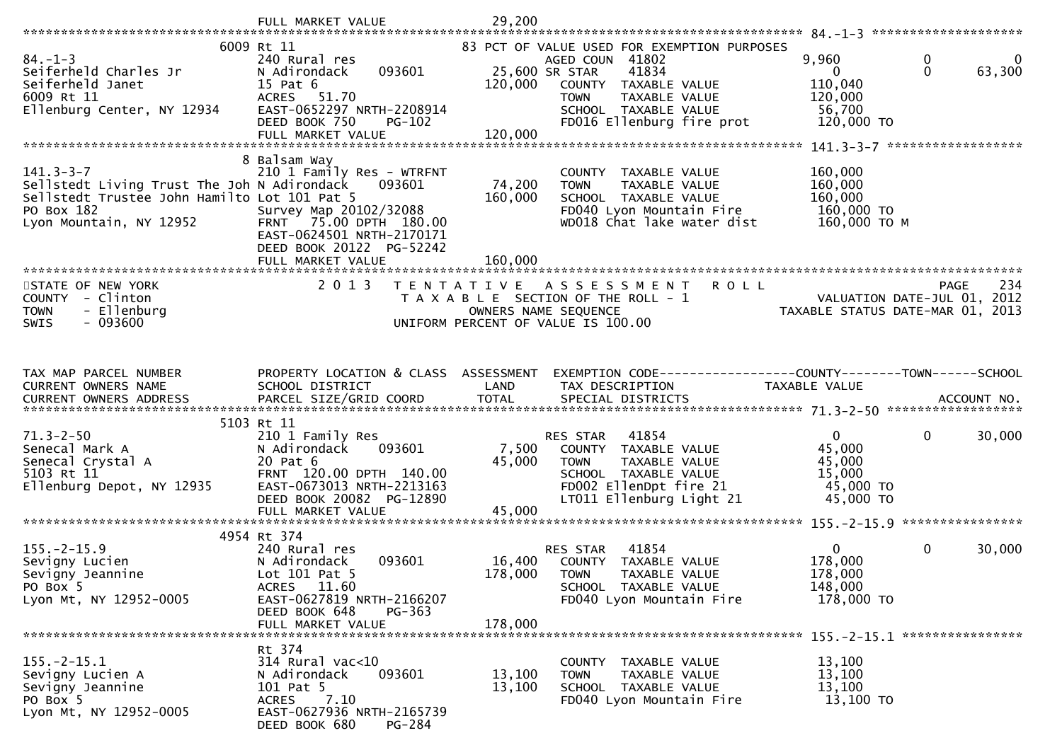|                                                                                                                                                         | FULL MARKET VALUE                                                                                                                                                     | 29,200                       |                                                                                                                                                                                                        |                                                                        | 84. -1-3 **********************        |
|---------------------------------------------------------------------------------------------------------------------------------------------------------|-----------------------------------------------------------------------------------------------------------------------------------------------------------------------|------------------------------|--------------------------------------------------------------------------------------------------------------------------------------------------------------------------------------------------------|------------------------------------------------------------------------|----------------------------------------|
| $84. - 1 - 3$<br>Seiferheld Charles Jr<br>Seiferheld Janet<br>6009 Rt 11<br>Ellenburg Center, NY 12934                                                  | 6009 Rt 11<br>240 Rural res<br>N Adirondack<br>093601<br>15 Pat 6<br>ACRES 51.70<br>EAST-0652297 NRTH-2208914<br>DEED BOOK 750<br><b>PG-102</b><br>FULL MARKET VALUE  | 120,000<br>120,000           | 83 PCT OF VALUE USED FOR EXEMPTION PURPOSES<br>AGED COUN 41802<br>25,600 SR STAR<br>41834<br>COUNTY TAXABLE VALUE<br>TAXABLE VALUE<br><b>TOWN</b><br>SCHOOL TAXABLE VALUE<br>FD016 Ellenburg fire prot | 9,960<br>$\mathbf{0}$<br>110,040<br>120,000<br>56,700<br>120,000 TO    | $\mathbf 0$<br>0<br>$\Omega$<br>63,300 |
|                                                                                                                                                         | 8 Balsam Way                                                                                                                                                          |                              |                                                                                                                                                                                                        |                                                                        |                                        |
| $141.3 - 3 - 7$<br>Sellstedt Living Trust The Joh N Adirondack<br>Sellstedt Trustee John Hamilto Lot 101 Pat 5<br>PO Box 182<br>Lyon Mountain, NY 12952 | 210 1 Family Res - WTRFNT<br>093601<br>Survey Map 20102/32088<br>FRNT 75.00 DPTH 180.00<br>EAST-0624501 NRTH-2170171<br>DEED BOOK 20122 PG-52242<br>FULL MARKET VALUE | 74,200<br>160,000<br>160,000 | COUNTY TAXABLE VALUE<br>TAXABLE VALUE<br><b>TOWN</b><br>SCHOOL TAXABLE VALUE<br>FD040 Lyon Mountain Fire<br>WD018 Chat lake water dist                                                                 | 160,000<br>160,000<br>160,000<br>160,000 TO<br>160,000 ТО М            |                                        |
|                                                                                                                                                         |                                                                                                                                                                       |                              |                                                                                                                                                                                                        |                                                                        |                                        |
| STATE OF NEW YORK<br>COUNTY - Clinton<br><b>TOWN</b><br>- Ellenburg<br>$-093600$<br><b>SWIS</b>                                                         | 2 0 1 3                                                                                                                                                               | OWNERS NAME SEQUENCE         | TENTATIVE ASSESSMENT ROLL<br>T A X A B L E SECTION OF THE ROLL - 1<br>UNIFORM PERCENT OF VALUE IS 100.00                                                                                               | - 1<br>VALUATION DATE-JUL 01, 2012<br>TAXABLE STATUS DATE-MAR 01, 2013 | 234<br>PAGE                            |
|                                                                                                                                                         |                                                                                                                                                                       |                              |                                                                                                                                                                                                        |                                                                        |                                        |
| TAX MAP PARCEL NUMBER<br>CURRENT OWNERS NAME                                                                                                            | PROPERTY LOCATION & CLASS ASSESSMENT<br>SCHOOL DISTRICT                                                                                                               | LAND                         | EXEMPTION CODE-----------------COUNTY-------TOWN------SCHOOL<br>TAX DESCRIPTION                                                                                                                        | TAXABLE VALUE                                                          |                                        |
|                                                                                                                                                         |                                                                                                                                                                       |                              |                                                                                                                                                                                                        |                                                                        |                                        |
|                                                                                                                                                         | 5103 Rt 11                                                                                                                                                            |                              |                                                                                                                                                                                                        |                                                                        |                                        |
| $71.3 - 2 - 50$<br>Senecal Mark A<br>Senecal Crystal A<br>5103 Rt 11<br>Ellenburg Depot, NY 12935                                                       | 210 1 Family Res<br>N Adirondack<br>093601<br>20 Pat 6<br>FRNT 120.00 DPTH 140.00<br>EAST-0673013 NRTH-2213163<br>DEED BOOK 20082 PG-12890                            | 7,500<br>45,000<br>45,000    | RES STAR<br>41854<br>COUNTY TAXABLE VALUE<br><b>TOWN</b><br>TAXABLE VALUE<br>SCHOOL TAXABLE VALUE<br>FD002 EllenDpt fire 21<br>LT011 Ellenburg Light 21                                                | $\mathbf{0}$<br>45,000<br>45,000<br>15,000<br>45,000 TO<br>45,000 TO   | 30,000<br>$\mathbf{0}$                 |
|                                                                                                                                                         | FULL MARKET VALUE                                                                                                                                                     |                              |                                                                                                                                                                                                        |                                                                        |                                        |
|                                                                                                                                                         | 4954 Rt 374                                                                                                                                                           |                              |                                                                                                                                                                                                        |                                                                        |                                        |
| $155. - 2 - 15.9$<br>Sevigny Lucien<br>Sevigny Jeannine<br>PO Box 5<br>Lyon Mt, NY 12952-0005                                                           | 240 Rural res<br>093601<br>N Adirondack<br>Lot 101 Pat 5<br>ACRES 11.60<br>EAST-0627819 NRTH-2166207<br>DEED BOOK 648<br>PG-363<br>FULL MARKET VALUE                  | 16,400<br>178,000<br>178,000 | 41854<br>RES STAR<br>COUNTY TAXABLE VALUE<br><b>TOWN</b><br>TAXABLE VALUE<br>SCHOOL TAXABLE VALUE<br>FD040 Lyon Mountain Fire                                                                          | $\mathbf{0}$<br>178,000<br>178,000<br>148,000<br>178,000 TO            | $\mathbf{0}$<br>30,000                 |
|                                                                                                                                                         | Rt 374                                                                                                                                                                |                              |                                                                                                                                                                                                        |                                                                        |                                        |
| $155. - 2 - 15.1$<br>Sevigny Lucien A<br>Sevigny Jeannine<br>PO Box 5<br>Lyon Mt, NY 12952-0005                                                         | $314$ Rural vac<10<br>N Adirondack<br>093601<br>101 Pat 5<br>7.10<br><b>ACRES</b><br>EAST-0627936 NRTH-2165739<br>DEED BOOK 680<br><b>PG-284</b>                      | 13,100<br>13,100             | COUNTY TAXABLE VALUE<br><b>TOWN</b><br>TAXABLE VALUE<br>SCHOOL TAXABLE VALUE<br>FD040 Lyon Mountain Fire                                                                                               | 13,100<br>13,100<br>13,100<br>13,100 TO                                |                                        |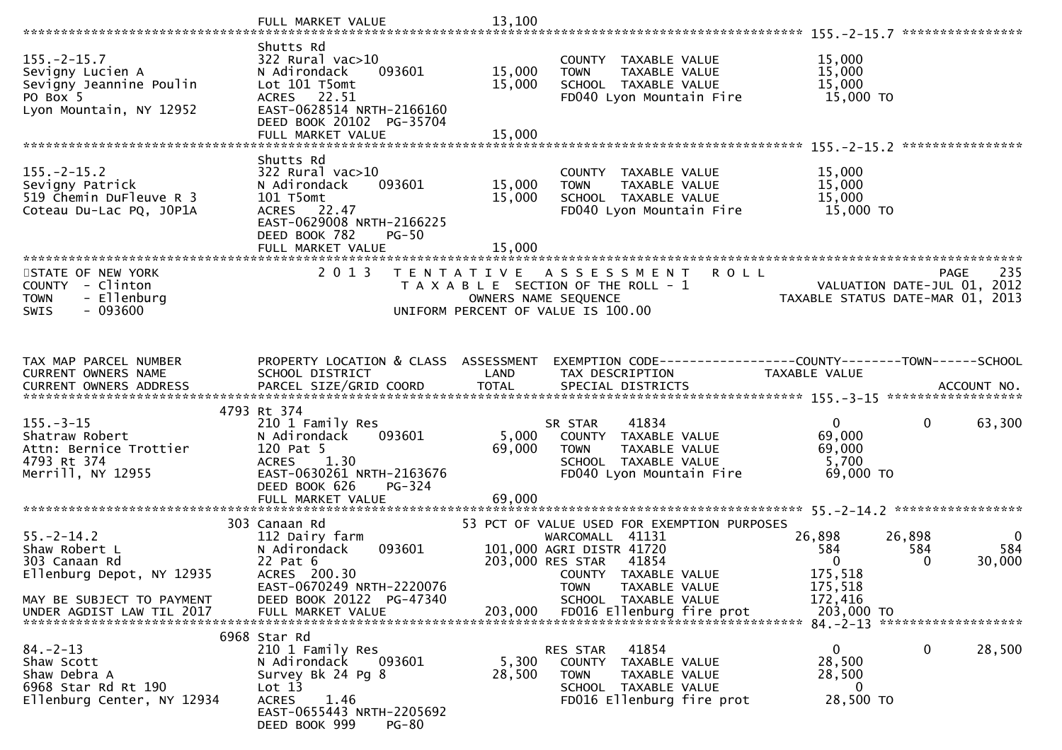|                                                                                            | FULL MARKET VALUE                                                                                                                                 | 13,100           |                                                                                                          | ****************                                                              |
|--------------------------------------------------------------------------------------------|---------------------------------------------------------------------------------------------------------------------------------------------------|------------------|----------------------------------------------------------------------------------------------------------|-------------------------------------------------------------------------------|
|                                                                                            | Shutts Rd                                                                                                                                         |                  |                                                                                                          |                                                                               |
| $155. - 2 - 15.7$<br>Sevigny Lucien A<br>Sevigny Jeannine Poulin<br>PO Box 5               | $322$ Rural vac $>10$<br>N Adirondack<br>093601<br>Lot 101 T5omt<br>ACRES 22.51                                                                   | 15,000<br>15,000 | COUNTY TAXABLE VALUE<br>TAXABLE VALUE<br><b>TOWN</b><br>SCHOOL TAXABLE VALUE<br>FD040 Lyon Mountain Fire | 15,000<br>15,000<br>15,000<br>15,000 TO                                       |
| Lyon Mountain, NY 12952                                                                    | EAST-0628514 NRTH-2166160<br>DEED BOOK 20102 PG-35704<br>FULL MARKET VALUE                                                                        | 15,000           |                                                                                                          |                                                                               |
|                                                                                            |                                                                                                                                                   |                  |                                                                                                          |                                                                               |
| $155. - 2 - 15.2$<br>Sevigny Patrick<br>519 Chemin DuFleuve R 3<br>Coteau Du-Lac PQ, JOP1A | Shutts Rd<br>$322$ Rural vac $>10$<br>N Adirondack<br>093601<br>101 T5omt<br>ACRES 22.47<br>EAST-0629008 NRTH-2166225<br>DEED BOOK 782<br>$PG-50$ | 15,000<br>15,000 | COUNTY TAXABLE VALUE<br><b>TOWN</b><br>TAXABLE VALUE<br>SCHOOL TAXABLE VALUE<br>FD040 Lyon Mountain Fire | 15,000<br>15,000<br>15,000<br>15,000 TO                                       |
|                                                                                            | FULL MARKET VALUE                                                                                                                                 | 15,000           |                                                                                                          |                                                                               |
| STATE OF NEW YORK                                                                          | 2 0 1 3                                                                                                                                           |                  | TENTATIVE ASSESSMENT<br><b>ROLL</b>                                                                      | 235<br>PAGE                                                                   |
| COUNTY - Clinton<br>- Ellenburg<br><b>TOWN</b><br>$-093600$<br><b>SWIS</b>                 |                                                                                                                                                   |                  | T A X A B L E SECTION OF THE ROLL - 1<br>OWNERS NAME SEQUENCE<br>UNIFORM PERCENT OF VALUE IS 100.00      | VALUATION DATE-JUL 01, 2012<br>TAXABLE STATUS DATE-MAR 01, 2013               |
|                                                                                            |                                                                                                                                                   |                  |                                                                                                          |                                                                               |
| TAX MAP PARCEL NUMBER<br>CURRENT OWNERS NAME                                               | PROPERTY LOCATION & CLASS ASSESSMENT<br>SCHOOL DISTRICT                                                                                           | LAND             | TAX DESCRIPTION                                                                                          | EXEMPTION CODE-----------------COUNTY-------TOWN------SCHOOL<br>TAXABLE VALUE |
|                                                                                            | 4793 Rt 374                                                                                                                                       |                  |                                                                                                          |                                                                               |
| $155. - 3 - 15$                                                                            | 210 1 Family Res                                                                                                                                  |                  | 41834<br>SR STAR                                                                                         | 0<br>0<br>63,300                                                              |
| Shatraw Robert<br>Attn: Bernice Trottier                                                   | N Adirondack<br>093601<br>120 Pat 5                                                                                                               | 5,000<br>69,000  | COUNTY TAXABLE VALUE<br>TAXABLE VALUE<br><b>TOWN</b>                                                     | 69,000<br>69,000                                                              |
| 4793 Rt 374                                                                                | 1.30<br><b>ACRES</b>                                                                                                                              |                  | SCHOOL TAXABLE VALUE                                                                                     | 5,700                                                                         |
| Merrill, NY 12955                                                                          | EAST-0630261 NRTH-2163676<br>DEED BOOK 626<br>PG-324                                                                                              |                  | FD040 Lyon Mountain Fire                                                                                 | 69,000 TO                                                                     |
|                                                                                            |                                                                                                                                                   |                  |                                                                                                          |                                                                               |
|                                                                                            | 303 Canaan Rd                                                                                                                                     |                  | 53 PCT OF VALUE USED FOR EXEMPTION PURPOSES                                                              |                                                                               |
| $55. - 2 - 14.2$<br>Shaw Robert L                                                          | 112 Dairy farm<br>093601<br>N Adirondack                                                                                                          |                  | WARCOMALL 41131<br>101,000 AGRI DISTR 41720                                                              | 26,898<br>26,898<br>- 0<br>584<br>584<br>584                                  |
| 303 Canaan Rd                                                                              | 22 Pat 6                                                                                                                                          |                  | 203,000 RES STAR<br>41854                                                                                | 30,000<br>0<br>$\Omega$                                                       |
| Ellenburg Depot, NY 12935                                                                  | ACRES 200.30                                                                                                                                      |                  | COUNTY TAXABLE VALUE                                                                                     | 175,518                                                                       |
| MAY BE SUBJECT TO PAYMENT                                                                  | EAST-0670249 NRTH-2220076<br>DEED BOOK 20122 PG-47340                                                                                             |                  | TAXABLE VALUE<br><b>TOWN</b><br>SCHOOL TAXABLE VALUE                                                     | 175,518<br>172,416                                                            |
| UNDER AGDIST LAW TIL 2017                                                                  | FULL MARKET VALUE                                                                                                                                 | 203,000          | FD016 Ellenburg fire prot                                                                                | 203,000 TO                                                                    |
|                                                                                            | 6968 Star Rd                                                                                                                                      |                  |                                                                                                          | 84. - 2 - 13 ********************                                             |
| $84. - 2 - 13$                                                                             | 210 1 Family Res                                                                                                                                  |                  | 41854<br>RES STAR                                                                                        | $\mathbf{0}$<br>0<br>28,500                                                   |
| Shaw Scott                                                                                 | 093601<br>N Adirondack                                                                                                                            | 5,300            | COUNTY<br>TAXABLE VALUE                                                                                  | 28,500                                                                        |
| Shaw Debra A<br>6968 Star Rd Rt 190                                                        | Survey Bk 24 Pg 8<br>Lot 13                                                                                                                       | 28,500           | <b>TOWN</b><br>TAXABLE VALUE<br>SCHOOL TAXABLE VALUE                                                     | 28,500<br>0                                                                   |
| Ellenburg Center, NY 12934                                                                 | <b>ACRES</b><br>1.46<br>EAST-0655443 NRTH-2205692<br>DEED BOOK 999<br><b>PG-80</b>                                                                |                  | FD016 Ellenburg fire prot                                                                                | 28,500 TO                                                                     |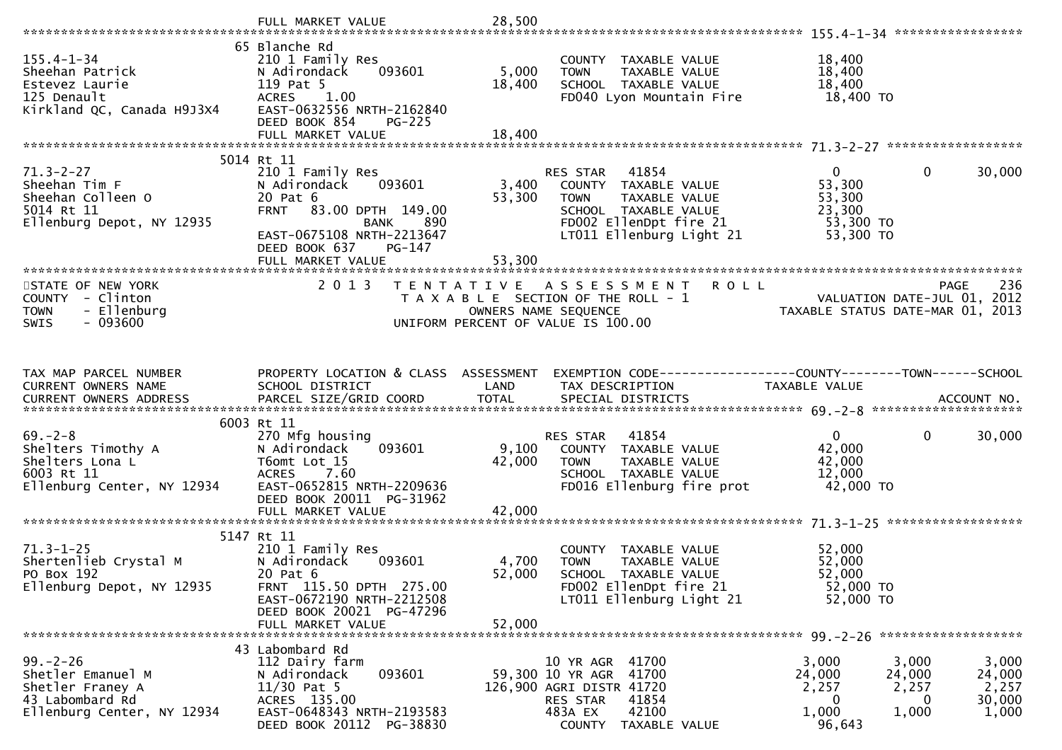| $155.4 - 1 - 34$<br>Sheehan Patrick                                                                      | 65 Blanche Rd<br>210 1 Family Res<br>093601<br>N Adirondack                                                                                              | 5,000           | COUNTY TAXABLE VALUE<br><b>TOWN</b><br>TAXABLE VALUE                                                                                             | 18,400<br>18,400                                        |                                                                                       |
|----------------------------------------------------------------------------------------------------------|----------------------------------------------------------------------------------------------------------------------------------------------------------|-----------------|--------------------------------------------------------------------------------------------------------------------------------------------------|---------------------------------------------------------|---------------------------------------------------------------------------------------|
| Estevez Laurie<br>125 Denault<br>Kirkland QC, Canada H9J3X4                                              | 119 Pat 5<br>ACRES 1.00<br>EAST-0632556 NRTH-2162840<br>DEED BOOK 854<br><b>PG-225</b>                                                                   | 18,400          | SCHOOL TAXABLE VALUE<br>FD040 Lyon Mountain Fire                                                                                                 | 18,400<br>18,400 TO                                     |                                                                                       |
|                                                                                                          |                                                                                                                                                          |                 |                                                                                                                                                  |                                                         |                                                                                       |
| $71.3 - 2 - 27$<br>Sheehan Tim F<br>Sheehan Colleen O<br>5014 Rt 11<br>Ellenburg Depot, NY 12935         | 5014 Rt 11<br>210 1 Family Res<br>N Adirondack<br>093601<br>20 Pat 6<br>FRNT 83.00 DPTH 149.00<br>BANK<br>890                                            | 3,400<br>53,300 | RES STAR 41854<br>COUNTY TAXABLE VALUE<br>TAXABLE VALUE<br>TOWN<br>SCHOOL TAXABLE VALUE<br>FD002 EllenDpt fire 21                                | $\mathbf{0}$<br>53,300<br>53,300<br>23,300<br>53,300 TO | $\mathbf 0$<br>30,000                                                                 |
|                                                                                                          | EAST-0675108 NRTH-2213647<br>DEED BOOK 637<br>PG-147<br>FULL MARKET VALUE                                                                                | 53,300          | LT011 Ellenburg Light 21                                                                                                                         | 53,300 TO                                               |                                                                                       |
| STATE OF NEW YORK<br>COUNTY - Clinton<br>- Ellenburg<br><b>TOWN</b><br>$-093600$<br><b>SWIS</b>          | 2 0 1 3                                                                                                                                                  |                 | TENTATIVE ASSESSMENT ROLL<br>T A X A B L E SECTION OF THE ROLL - 1<br>OWNERS NAME SEQUENCE<br>UNIFORM PERCENT OF VALUE IS 100.00                 |                                                         | 236<br><b>PAGE</b><br>VALUATION DATE-JUL 01, 2012<br>TAXABLE STATUS DATE-MAR 01, 2013 |
| TAX MAP PARCEL NUMBER<br>CURRENT OWNERS NAME                                                             | PROPERTY LOCATION & CLASS ASSESSMENT<br>SCHOOL DISTRICT                                                                                                  | LAND            | EXEMPTION CODE-----------------COUNTY--------TOWN------SCHOOL<br>TAX DESCRIPTION                                                                 | TAXABLE VALUE                                           |                                                                                       |
| $69 - 2 - 8$<br>Shelters Timothy A<br>Shelters Lona L<br>6003 Rt 11<br>Ellenburg Center, NY 12934        | 6003 Rt 11<br>270 Mfg housing<br>093601<br>N Adirondack<br>T6omt Lot 15<br>ACRES 7.60<br>EAST-0652815 NRTH-2209636<br>DEED BOOK 20011 PG-31962           | 9,100<br>42,000 | 41854<br>RES STAR<br>COUNTY TAXABLE VALUE<br><b>TOWN</b><br>TAXABLE VALUE<br>SCHOOL TAXABLE VALUE<br>FD016 Ellenburg fire prot                   | $\mathbf{0}$<br>42,000<br>42,000<br>12,000<br>42,000 TO | $\mathbf 0$<br>30,000                                                                 |
|                                                                                                          | FULL MARKET VALUE                                                                                                                                        | 42,000          |                                                                                                                                                  |                                                         |                                                                                       |
| $71.3 - 1 - 25$<br>Shertenlieb Crystal M<br>PO Box 192<br>Ellenburg Depot, NY 12935                      | 5147 Rt 11<br>210 1 Family Res<br>N Adirondack<br>093601<br>20 Pat 6<br>FRNT 115.50 DPTH 275.00<br>EAST-0672190 NRTH-2212508<br>DEED BOOK 20021 PG-47296 | 4,700<br>52,000 | COUNTY TAXABLE VALUE<br>TAXABLE VALUE<br><b>TOWN</b><br>SCHOOL TAXABLE VALUE<br>FD002 EllenDpt fire 21<br>LT011 Ellenburg Light 21               | 52,000<br>52,000<br>52,000<br>52,000 TO<br>52,000 TO    |                                                                                       |
|                                                                                                          | FULL MARKET VALUE                                                                                                                                        | 52,000          |                                                                                                                                                  |                                                         |                                                                                       |
| $99. - 2 - 26$<br>Shetler Emanuel M<br>Shetler Franey A<br>43 Labombard Rd<br>Ellenburg Center, NY 12934 | 43 Labombard Rd<br>112 Dairy farm<br>093601<br>N Adirondack<br>$11/30$ Pat 5<br>ACRES 135.00<br>EAST-0648343 NRTH-2193583<br>DEED BOOK 20112 PG-38830    |                 | 10 YR AGR 41700<br>59,300 10 YR AGR 41700<br>126,900 AGRI DISTR 41720<br>RES STAR<br>41854<br>42100<br>483A EX<br><b>COUNTY</b><br>TAXABLE VALUE | 3,000<br>24,000<br>2,257<br>0<br>1,000<br>96,643        | 3,000<br>3,000<br>24,000<br>24,000<br>2,257<br>2,257<br>30,000<br>0<br>1,000<br>1,000 |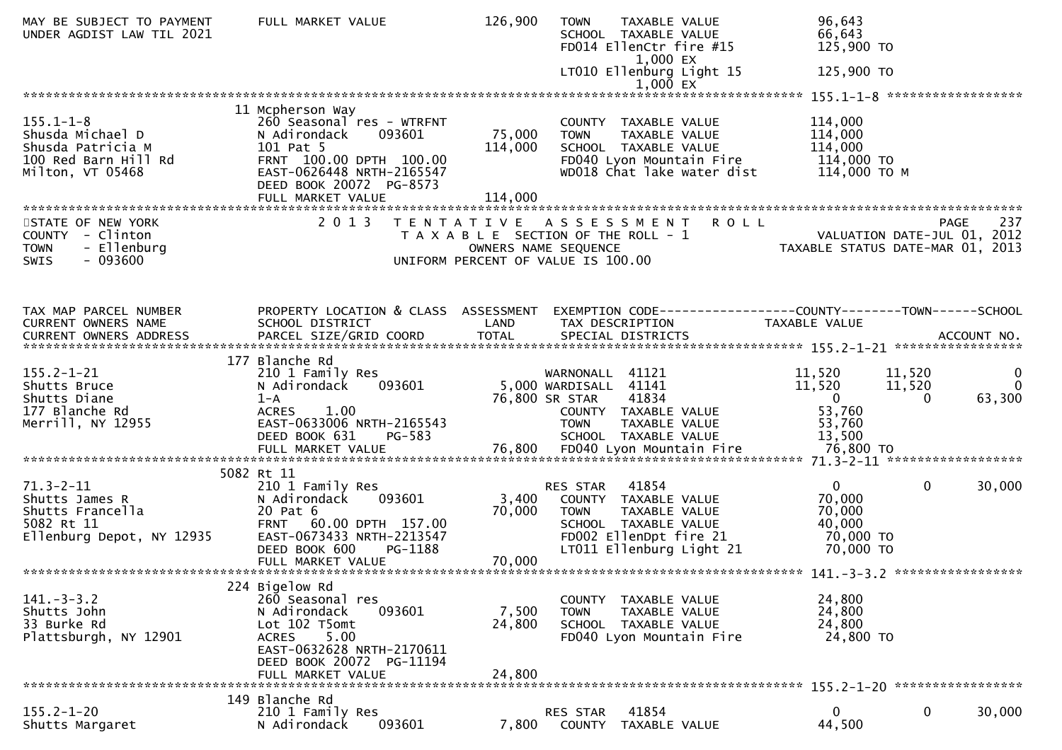| MAY BE SUBJECT TO PAYMENT<br>UNDER AGDIST LAW TIL 2021 | FULL MARKET VALUE                                   | 126,900                                                       | <b>TOWN</b>           | <b>TAXABLE VALUE</b><br>SCHOOL TAXABLE VALUE<br>FD014 EllenCtr fire #15<br>1,000 EX | 96,643<br>66,643<br>125,900 TO |                                                                        |
|--------------------------------------------------------|-----------------------------------------------------|---------------------------------------------------------------|-----------------------|-------------------------------------------------------------------------------------|--------------------------------|------------------------------------------------------------------------|
|                                                        |                                                     |                                                               |                       | LT010 Ellenburg Light 15<br>$1,000$ EX                                              | 125,900 TO                     |                                                                        |
|                                                        |                                                     |                                                               |                       |                                                                                     |                                |                                                                        |
|                                                        | 11 Mcpherson Way                                    |                                                               |                       |                                                                                     |                                |                                                                        |
| $155.1 - 1 - 8$<br>Shusda Michael D                    | 260 Seasonal res - WTRFNT<br>093601<br>N Adirondack | 75,000                                                        | <b>TOWN</b>           | COUNTY TAXABLE VALUE<br>TAXABLE VALUE                                               | 114,000<br>114,000             |                                                                        |
| Shusda Patricia M                                      | 101 Pat 5                                           | 114,000                                                       |                       | SCHOOL TAXABLE VALUE                                                                | 114,000                        |                                                                        |
| 100 Red Barn Hill Rd                                   | FRNT 100.00 DPTH 100.00                             |                                                               |                       | FD040 Lyon Mountain Fire                                                            | 114,000 TO                     |                                                                        |
| Milton, VT 05468                                       | EAST-0626448 NRTH-2165547                           |                                                               |                       | WD018 Chat lake water dist                                                          | 114,000 ТО М                   |                                                                        |
|                                                        | DEED BOOK 20072 PG-8573<br>FULL MARKET VALUE        | 114,000                                                       |                       |                                                                                     |                                |                                                                        |
|                                                        |                                                     |                                                               |                       |                                                                                     |                                |                                                                        |
| STATE OF NEW YORK                                      | 2 0 1 3                                             |                                                               |                       | TENTATIVE ASSESSMENT ROLL                                                           |                                | 237<br><b>PAGE</b>                                                     |
| COUNTY - Clinton<br>- Ellenburg<br><b>TOWN</b>         |                                                     | T A X A B L E SECTION OF THE ROLL - 1<br>OWNERS NAME SEQUENCE |                       |                                                                                     |                                | - 1<br>VALUATION DATE-JUL 01, 2012<br>TAXABLE STATUS DATE-MAR 01, 2013 |
| $-093600$<br><b>SWIS</b>                               |                                                     | UNIFORM PERCENT OF VALUE IS 100.00                            |                       |                                                                                     |                                |                                                                        |
|                                                        |                                                     |                                                               |                       |                                                                                     |                                |                                                                        |
|                                                        |                                                     |                                                               |                       |                                                                                     |                                |                                                                        |
| TAX MAP PARCEL NUMBER                                  | PROPERTY LOCATION & CLASS ASSESSMENT                |                                                               |                       |                                                                                     |                                | EXEMPTION CODE-----------------COUNTY--------TOWN------SCHOOL          |
| CURRENT OWNERS NAME                                    | SCHOOL DISTRICT                                     | LAND                                                          |                       | TAX DESCRIPTION                                                                     | <b>TAXABLE VALUE</b>           |                                                                        |
|                                                        |                                                     |                                                               |                       |                                                                                     |                                |                                                                        |
|                                                        | 177 Blanche Rd                                      |                                                               |                       |                                                                                     |                                |                                                                        |
| $155.2 - 1 - 21$                                       | 210 1 Family Res                                    |                                                               | WARNONALL 41121       |                                                                                     | 11,520                         | 11,520<br>0                                                            |
| Shutts Bruce                                           | 093601<br>N Adirondack                              |                                                               | 5,000 WARDISALL 41141 |                                                                                     | 11,520                         | 11,520<br>$\Omega$                                                     |
| Shutts Diane<br>177 Blanche Rd                         | $1 - A$<br><b>ACRES</b><br>1.00                     |                                                               | 76,800 SR STAR        | 41834<br>COUNTY TAXABLE VALUE                                                       | $\overline{0}$<br>53,760       | 63,300<br>$\Omega$                                                     |
| Merrill, NY 12955                                      | EAST-0633006 NRTH-2165543                           |                                                               | <b>TOWN</b>           | TAXABLE VALUE                                                                       | 53,760                         |                                                                        |
|                                                        | DEED BOOK 631<br>PG-583                             |                                                               |                       | SCHOOL TAXABLE VALUE                                                                | 13,500                         |                                                                        |
|                                                        |                                                     |                                                               |                       |                                                                                     |                                |                                                                        |
|                                                        | 5082 Rt 11                                          |                                                               |                       |                                                                                     |                                |                                                                        |
| $71.3 - 2 - 11$                                        | 210 1 Family Res                                    |                                                               | RES STAR              | 41854                                                                               | $\overline{0}$                 | $\mathbf{0}$<br>30,000                                                 |
| Shutts James R<br>Shutts Francella                     | 093601<br>N Adirondack<br>20 Pat 6                  | 3,400<br>70,000                                               |                       | COUNTY TAXABLE VALUE                                                                | 70,000<br>70,000               |                                                                        |
| 5082 Rt 11                                             | FRNT 60.00 DPTH 157.00                              |                                                               | <b>TOWN</b>           | TAXABLE VALUE<br>SCHOOL TAXABLE VALUE                                               | 40,000                         |                                                                        |
| Ellenburg Depot, NY 12935                              | EAST-0673433 NRTH-2213547                           |                                                               |                       | FD002 EllenDpt fire 21                                                              | 70,000 TO                      |                                                                        |
|                                                        | DEED BOOK 600<br>PG-1188                            |                                                               |                       | LT011 Ellenburg Light 21                                                            | 70,000 TO                      |                                                                        |
|                                                        | FULL MARKET VALUE                                   | 70,000                                                        |                       |                                                                                     |                                |                                                                        |
|                                                        | 224 Bigelow Rd                                      |                                                               |                       |                                                                                     |                                |                                                                        |
| $141. - 3 - 3.2$                                       | 260 Seasonal res                                    |                                                               | COUNTY                | TAXABLE VALUE                                                                       | 24,800                         |                                                                        |
| Shutts John<br>33 Burke Rd                             | N Adirondack<br>093601<br>Lot 102 T5omt             | 7,500<br>24,800                                               | <b>TOWN</b>           | TAXABLE VALUE<br>SCHOOL TAXABLE VALUE                                               | 24,800<br>24,800               |                                                                        |
| Plattsburgh, NY 12901                                  | <b>ACRES</b><br>5.00                                |                                                               |                       | FD040 Lyon Mountain Fire                                                            | 24,800 TO                      |                                                                        |
|                                                        | EAST-0632628 NRTH-2170611                           |                                                               |                       |                                                                                     |                                |                                                                        |
|                                                        | DEED BOOK 20072 PG-11194                            |                                                               |                       |                                                                                     |                                |                                                                        |
|                                                        | FULL MARKET VALUE                                   | 24,800                                                        |                       |                                                                                     |                                |                                                                        |
|                                                        | 149 Blanche Rd                                      |                                                               |                       |                                                                                     |                                |                                                                        |
| $155.2 - 1 - 20$                                       | 210 1 Family Res                                    |                                                               | RES STAR              | 41854                                                                               | $\mathbf{0}$                   | 0<br>30,000                                                            |
| Shutts Margaret                                        | 093601<br>N Adirondack                              | 7,800                                                         | COUNTY                | TAXABLE VALUE                                                                       | 44,500                         |                                                                        |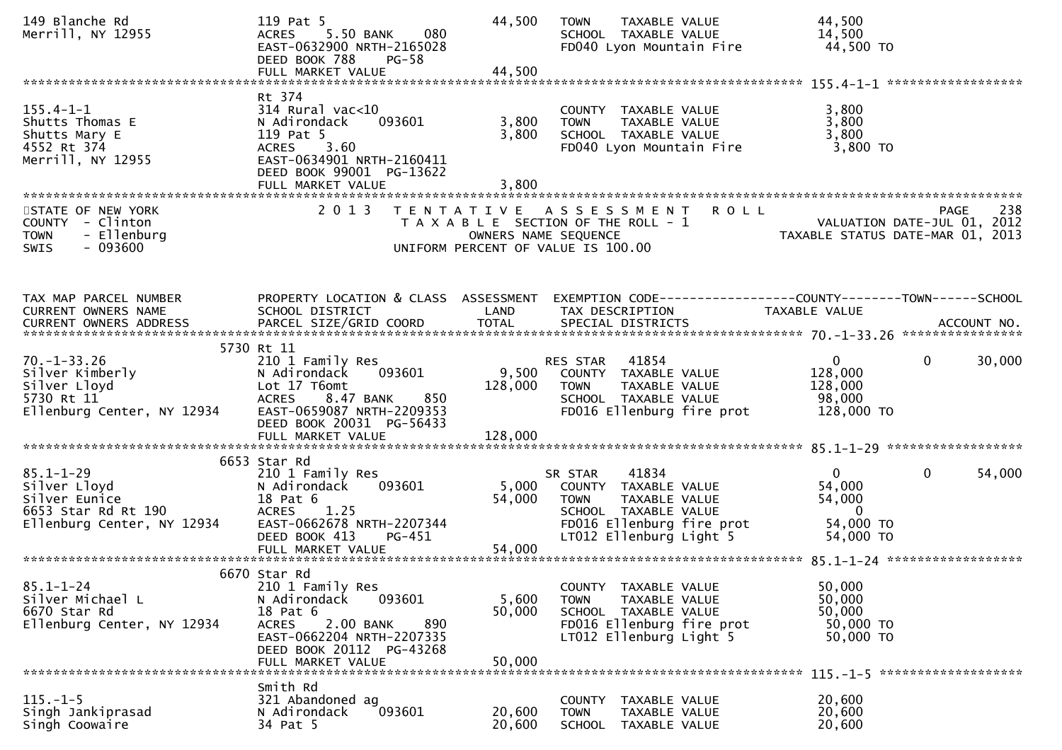| 149 Blanche Rd<br>Merrill, NY 12955                                                                             | 119 Pat 5<br>5.50 BANK<br>080<br><b>ACRES</b><br>EAST-0632900 NRTH-2165028<br>DEED BOOK 788<br>$PG-58$                                                                                   | 44,500                    | TAXABLE VALUE<br><b>TOWN</b><br>SCHOOL TAXABLE VALUE<br>FD040 Lyon Mountain Fire                                                                                     | 44,500<br>14,500<br>44,500 TO                                                          |                       |
|-----------------------------------------------------------------------------------------------------------------|------------------------------------------------------------------------------------------------------------------------------------------------------------------------------------------|---------------------------|----------------------------------------------------------------------------------------------------------------------------------------------------------------------|----------------------------------------------------------------------------------------|-----------------------|
|                                                                                                                 |                                                                                                                                                                                          |                           |                                                                                                                                                                      |                                                                                        |                       |
| $155.4 - 1 - 1$<br>Shutts Thomas E<br>Shutts Mary E<br>4552 Rt 374<br>Merrill, NY 12955                         | Rt 374<br>$314$ Rural vac<10<br>093601<br>N Adirondack<br>119 Pat 5<br>ACRES 3.60<br>EAST-0634901 NRTH-2160411<br>DEED BOOK 99001 PG-13622<br>FULL MARKET VALUE                          | 3,800<br>3,800<br>3,800   | COUNTY TAXABLE VALUE<br><b>TOWN</b><br>TAXABLE VALUE<br>SCHOOL TAXABLE VALUE<br>FD040 Lyon Mountain Fire                                                             | 3,800<br>3,800<br>3,800<br>3,800 TO                                                    |                       |
| STATE OF NEW YORK<br>COUNTY - Clinton<br><b>TOWN</b><br>- Ellenburg<br>$-093600$<br><b>SWIS</b>                 | 2 0 1 3                                                                                                                                                                                  |                           | TENTATIVE ASSESSMENT<br>T A X A B L E SECTION OF THE ROLL - 1<br>T A X A B L E SECTION OF THE ROLL - 1<br>OWNERS NAME SEQUENCE<br>UNIFORM PERCENT OF VALUE IS 100.00 | <b>ROLL</b>                                                                            | 238<br>PAGE           |
| TAX MAP PARCEL NUMBER<br>CURRENT OWNERS NAME                                                                    | PROPERTY LOCATION & CLASS ASSESSMENT<br>SCHOOL DISTRICT                                                                                                                                  | <b>Example 12</b>         | TAX DESCRIPTION                                                                                                                                                      | EXEMPTION CODE------------------COUNTY--------TOWN------SCHOOL<br>TAXABLE VALUE        |                       |
| $70. - 1 - 33.26$<br>70.-1-33.26<br>Silver Kimberly<br>Silver Lloyd<br>5730 Rt 11<br>Ellenburg Center, NY 12934 | 5730 Rt 11<br>210 1 Family Res<br>093601<br>N Adirondack<br>Lot 17 T6omt<br><b>ACRES</b><br>8.47 BANK<br>850<br>EAST-0659087 NRTH-2209353<br>DEED BOOK 20031 PG-56433                    | 128,000                   | RES STAR 41854<br>9,500 COUNTY TAXABLE VALUE<br>TAXABLE VALUE<br>TOWN<br>SCHOOL TAXABLE VALUE<br>FD016 Ellenburg fire prot                                           | $\mathbf{0}$<br>128,000<br>128,000<br>98,000<br>128,000 TO                             | $\mathbf 0$<br>30,000 |
|                                                                                                                 |                                                                                                                                                                                          |                           |                                                                                                                                                                      |                                                                                        |                       |
| $85.1 - 1 - 29$<br>Silver Lloyd<br>Silver Eunice<br>6653 Star Rd Rt 190<br>Ellenburg Center, NY 12934           | 6653 Star Rd<br>210 1 Family Res<br>N Adirondack<br>093601<br>18 Pat 6<br>ACRES 1.25<br>EAST-0662678 NRTH-2207344<br>DEED BOOK 413<br>PG-451                                             | 54,000                    | SR STAR 41834<br>5,000 COUNTY TAXABLE VALUE<br><b>TOWN</b><br>TAXABLE VALUE<br>SCHOOL TAXABLE VALUE<br>FD016 Ellenburg fire prot<br>LT012 Ellenburg Light 5          | $\mathbf{0}$<br>54,000<br>54,000<br>$\overline{\phantom{0}}$<br>54,000 TO<br>54,000 TO | $\mathbf 0$<br>54,000 |
|                                                                                                                 |                                                                                                                                                                                          |                           |                                                                                                                                                                      |                                                                                        |                       |
| $85.1 - 1 - 24$<br>Silver Michael L<br>6670 Star Rd<br>Ellenburg Center, NY 12934                               | 6670 Star Rd<br>210 1 Family Res<br>093601<br>N Adirondack<br>18 Pat 6<br><b>ACRES</b><br>2.00 BANK<br>890<br>EAST-0662204 NRTH-2207335<br>DEED BOOK 20112 PG-43268<br>FULL MARKET VALUE | 5,600<br>50,000<br>50,000 | COUNTY TAXABLE VALUE<br>TAXABLE VALUE<br><b>TOWN</b><br>SCHOOL TAXABLE VALUE<br>FD016 Ellenburg fire prot<br>LT012 Ellenburg Light 5                                 | 50,000<br>50,000<br>50,000<br>50,000 TO<br>50,000 TO                                   |                       |
|                                                                                                                 | Smith Rd                                                                                                                                                                                 |                           |                                                                                                                                                                      |                                                                                        |                       |
| $115. - 1 - 5$<br>Singh Jankiprasad<br>Singh Coowaire                                                           | 321 Abandoned ag<br>093601<br>N Adirondack<br>34 Pat 5                                                                                                                                   | 20,600<br>20,600          | COUNTY TAXABLE VALUE<br>TAXABLE VALUE<br><b>TOWN</b><br>SCHOOL TAXABLE VALUE                                                                                         | 20,600<br>20,600<br>20,600                                                             |                       |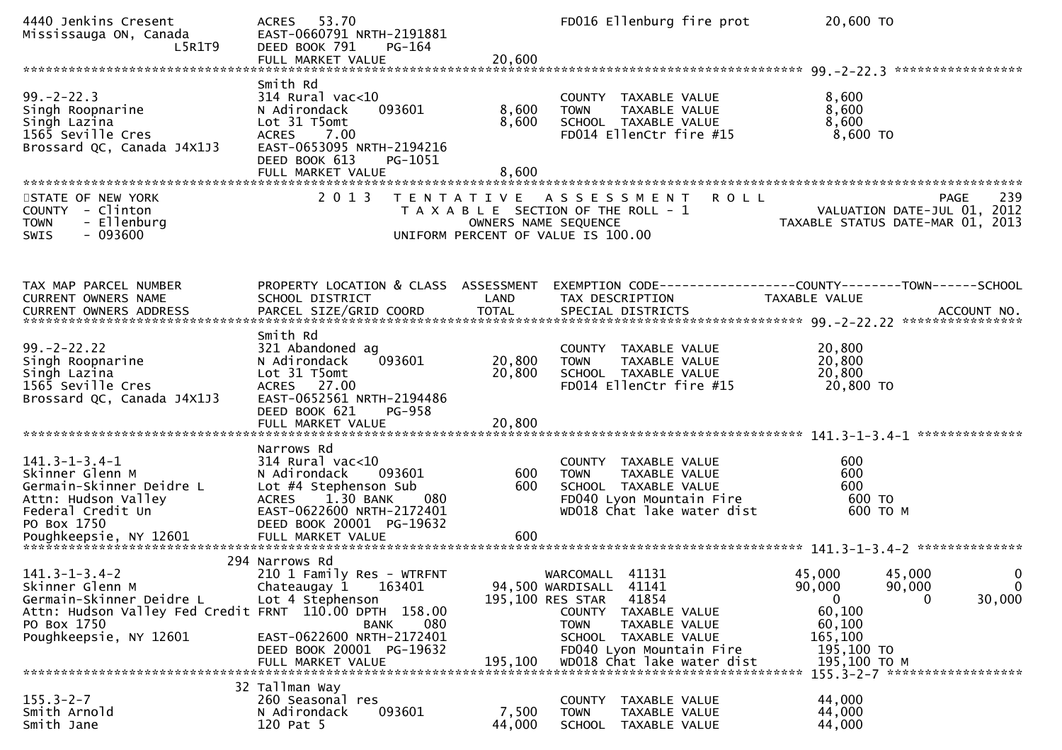| 4440 Jenkins Cresent<br>Mississauga ON, Canada<br>L5R1T9                                                                                                                                                                                            | ACRES 53.70<br>EAST-0660791 NRTH-2191881<br>DEED BOOK 791<br>PG-164                                                                                                              |                            | FD016 Ellenburg fire prot                                                                                                                 | 20,600 TO                                                          |                            |
|-----------------------------------------------------------------------------------------------------------------------------------------------------------------------------------------------------------------------------------------------------|----------------------------------------------------------------------------------------------------------------------------------------------------------------------------------|----------------------------|-------------------------------------------------------------------------------------------------------------------------------------------|--------------------------------------------------------------------|----------------------------|
|                                                                                                                                                                                                                                                     |                                                                                                                                                                                  |                            |                                                                                                                                           |                                                                    |                            |
| $99. -2 - 22.3$<br>Singh Roopnarine<br>Singh Lazina<br>1565 Seville Cres<br>Brossard QC, Canada J4X1J3                                                                                                                                              | Smith Rd<br>$314$ Rural vac<10<br>093601<br>N Adirondack<br>Lot 31 T5omt<br>7.00<br><b>ACRES</b><br>EAST-0653095 NRTH-2194216<br>DEED BOOK 613<br>PG-1051<br>FULL MARKET VALUE   | 8,600<br>8,600<br>8,600    | COUNTY TAXABLE VALUE<br>TAXABLE VALUE<br><b>TOWN</b><br>SCHOOL TAXABLE VALUE<br>FD014 EllenCtr fire #15                                   | 8,600<br>8,600<br>8,600<br>$8,600$ TO                              |                            |
| STATE OF NEW YORK                                                                                                                                                                                                                                   | 2 0 1 3                                                                                                                                                                          |                            | TENTATIVE ASSESSMENT<br><b>ROLL</b>                                                                                                       |                                                                    | 239<br>PAGE                |
| COUNTY - Clinton<br><b>TOWN</b><br>- Ellenburg<br>SWIS<br>- 093600                                                                                                                                                                                  |                                                                                                                                                                                  |                            | T A X A B L E SECTION OF THE ROLL - 1<br>OWNERS NAME SEQUENCE<br>UNIFORM PERCENT OF VALUE IS 100.00                                       | VALUATION DATE-JUL 01, 2012<br>TAXABLE STATUS DATE-MAR 01, 2013    |                            |
| TAX MAP PARCEL NUMBER<br>CURRENT OWNERS NAME                                                                                                                                                                                                        | PROPERTY LOCATION & CLASS ASSESSMENT<br>SCHOOL DISTRICT                                                                                                                          | LAND                       | EXEMPTION CODE------------------COUNTY--------TOWN------SCHOOL<br>TAX DESCRIPTION                                                         | TAXABLE VALUE                                                      |                            |
| $99. -2 - 22.22$<br>Singh Roopnarine<br>Singh Lazina<br>1565 Seville Cres<br>Brossard QC, Canada J4X1J3                                                                                                                                             | Smith Rd<br>321 Abandoned ag<br>093601<br>N Adirondack<br>Lot 31 T5omt<br>ACRES 27.00<br>EAST-0652561 NRTH-2194486<br>DEED BOOK 621<br>PG-958<br>FULL MARKET VALUE               | 20,800<br>20,800<br>20,800 | COUNTY TAXABLE VALUE<br>TAXABLE VALUE<br><b>TOWN</b><br>SCHOOL TAXABLE VALUE<br>FD014 EllenCtr fire #15                                   | 20,800<br>20,800<br>20,800<br>20,800 TO                            |                            |
|                                                                                                                                                                                                                                                     |                                                                                                                                                                                  |                            |                                                                                                                                           |                                                                    |                            |
| $141.3 - 1 - 3.4 - 1$<br>Skinner Glenn M<br>Germain-Skinner Deidre L<br>Attn: Hudson Valley<br>Federal Credit Un<br>PO Box 1750<br>Poughkeepsie, NY 12601 FULL MARKET VALUE 600 600 500 FULL FOR FALLE FOR THE REAL FOR THE REAL OF THE REAL FACTOR | Narrows Rd<br>$314$ Rural vac<10<br>N Adirondack<br>093601<br>Lot #4 Stephenson Sub<br>1.30 BANK<br>080<br><b>ACRES</b><br>EAST-0622600 NRTH-2172401<br>DEED BOOK 20001 PG-19632 | 600<br>600                 | COUNTY<br>TAXABLE VALUE<br><b>TOWN</b><br>TAXABLE VALUE<br>SCHOOL TAXABLE VALUE<br>FD040 Lyon Mountain Fire<br>WD018 Chat lake water dist | 600<br>600<br>600<br>600 TO<br>600 то м                            |                            |
|                                                                                                                                                                                                                                                     |                                                                                                                                                                                  |                            |                                                                                                                                           |                                                                    |                            |
| $141.3 - 1 - 3.4 - 2$<br>Skinner Glenn M<br>Germain-Skinner Deidre L<br>Attn: Hudson Valley Fed Credit FRNT 110.00 DPTH 158.00<br>PO Box 1750                                                                                                       | 294 Narrows Rd<br>210 1 Family Res - WTRFNT<br>163401<br>Chateaugay 1<br>Lot 4 Stephenson<br>080<br><b>BANK</b>                                                                  |                            | WARCOMALL<br>41131<br>94,500 WARDISALL 41141<br>41854<br>195,100 RES STAR<br>TAXABLE VALUE<br>COUNTY<br><b>TOWN</b><br>TAXABLE VALUE      | 45,000<br>45,000<br>90,000<br>90,000<br>0<br>0<br>60,100<br>60,100 | 0<br>$\mathbf 0$<br>30,000 |
| Poughkeepsie, NY 12601                                                                                                                                                                                                                              | EAST-0622600 NRTH-2172401<br>DEED BOOK 20001 PG-19632<br>FULL MARKET VALUE                                                                                                       | 195,100                    | SCHOOL TAXABLE VALUE<br>FD040 Lyon Mountain Fire<br>WD018 Chat lake water dist                                                            | 165,100<br>195,100 TO<br>195,100 то м                              |                            |
|                                                                                                                                                                                                                                                     | 32 Tallman Way                                                                                                                                                                   |                            |                                                                                                                                           | 155.3-2-7 *******************                                      |                            |
| $155.3 - 2 - 7$<br>Smith Arnold<br>Smith Jane                                                                                                                                                                                                       | 260 Seasonal res<br>093601<br>N Adirondack<br>120 Pat 5                                                                                                                          | 7,500<br>44,000            | <b>COUNTY</b><br>TAXABLE VALUE<br>TAXABLE VALUE<br><b>TOWN</b><br><b>SCHOOL</b><br>TAXABLE VALUE                                          | 44,000<br>44,000<br>44,000                                         |                            |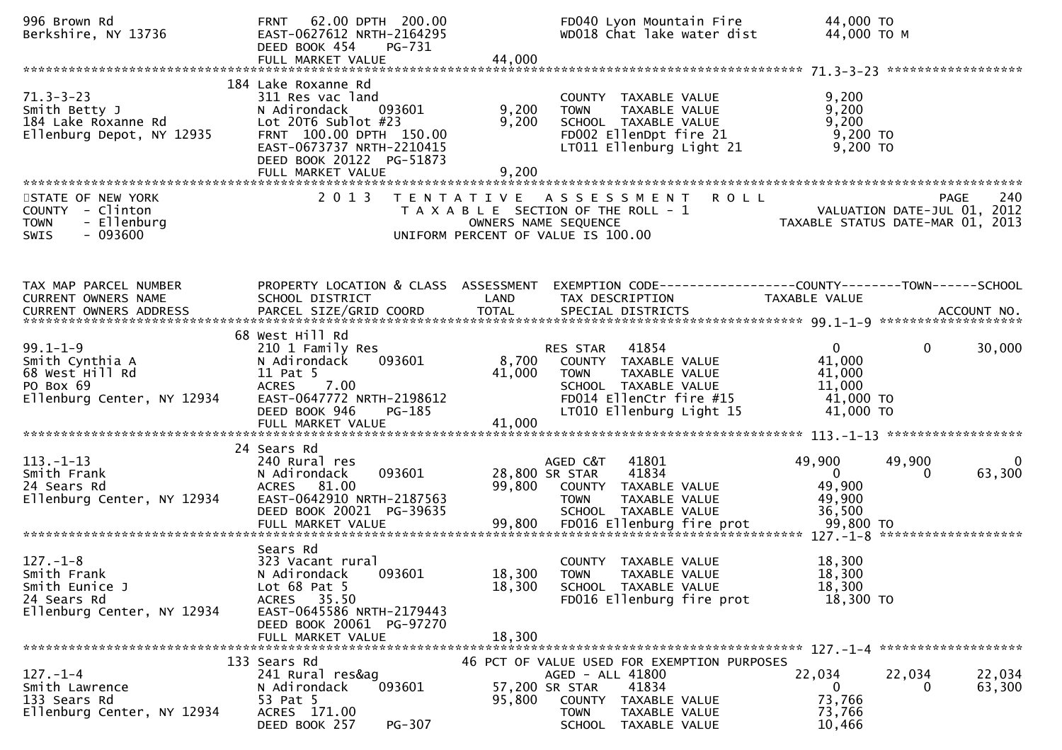| 996 Brown Rd<br>Berkshire, NY 13736                                                                   | 62.00 DPTH 200.00<br><b>FRNT</b><br>EAST-0627612 NRTH-2164295<br>DEED BOOK 454<br>PG-731<br>FULL MARKET VALUE                                                                                         | 44,000                    | FD040 Lyon Mountain Fire<br>WD018 Chat lake water dist                                                                                                                     | 44,000 TO<br>44,000 TO M                                                                                        |   |
|-------------------------------------------------------------------------------------------------------|-------------------------------------------------------------------------------------------------------------------------------------------------------------------------------------------------------|---------------------------|----------------------------------------------------------------------------------------------------------------------------------------------------------------------------|-----------------------------------------------------------------------------------------------------------------|---|
| $71.3 - 3 - 23$<br>Smith Betty J<br>Smıth Betty J<br>184 Lake Roxanne Rd<br>Ellenburg Depot, NY 12935 | 184 Lake Roxanne Rd<br>311 Res vac land<br>N Adirondack<br>093601<br>Lot $20T6$ Sublot $#23$<br>FRNT 100.00 DPTH 150.00<br>EAST-0673737 NRTH-2210415<br>DEED BOOK 20122 PG-51873<br>FULL MARKET VALUE | 9,200<br>9,200<br>9,200   | COUNTY TAXABLE VALUE<br><b>TOWN</b><br>TAXABLE VALUE<br>SCHOOL TAXABLE VALUE<br>FD002 EllenDpt fire 21<br>LT011 Ellenburg Light 21                                         | 9,200<br>9,200<br>9,200<br>$9,200$ TO<br>9,200 TO                                                               |   |
| STATE OF NEW YORK<br>COUNTY - Clinton<br>- Ellenburg<br><b>TOWN</b><br>- 093600<br><b>SWIS</b>        |                                                                                                                                                                                                       |                           | 2013 TENTATIVE ASSESSMENT<br>T A X A B L E SECTION OF THE ROLL - 1<br>OWNERS NAME SEQUENCE<br>UNIFORM PERCENT OF VALUE IS 100.00                                           | PAGE 240<br>VALUATION DATE-JUL 01, 2012<br>TAXARLE STATUS DATE ULL 01, 2012<br>TAXABLE STATUS DATE-MAR 01, 2013 |   |
| TAX MAP PARCEL NUMBER<br>CURRENT OWNERS NAME                                                          | PROPERTY LOCATION & CLASS ASSESSMENT<br>SCHOOL DISTRICT                                                                                                                                               | LAND                      | TAX DESCRIPTION                                                                                                                                                            | EXEMPTION CODE------------------COUNTY--------TOWN------SCHOOL<br>TAXABLE VALUE                                 |   |
| $99.1 - 1 - 9$<br>Smith Cynthia A<br>68 West Hill Rd<br>PO Box 69<br>Ellenburg Center, NY 12934       | 68 West Hill Rd<br>210 1 Family Res<br>093601<br>N Adirondack<br>11 Pat 5<br>7.00<br><b>ACRES</b><br>EAST-0647772 NRTH-2198612<br>DEED BOOK 946<br>PG-185<br>FULL MARKET VALUE                        | 8,700<br>41,000<br>41,000 | 41854<br>RES STAR<br>COUNTY TAXABLE VALUE<br>TAXABLE VALUE<br><b>TOWN</b><br>SCHOOL TAXABLE VALUE<br>FD014 EllenCtr fire #15<br>LT010 Ellenburg Light 15                   | 30,000<br>$\mathbf{0}$<br>$\mathbf{0}$<br>41,000<br>41,000<br>11,000<br>41,000 TO<br>41,000 TO                  |   |
| $113. - 1 - 13$<br>Smith Frank<br>24 Sears Rd<br>Ellenburg Center, NY 12934                           | 24 Sears Rd<br>240 Rural res<br>093601<br>N Adirondack<br>ACRES 81.00<br>EAST-0642910 NRTH-2187563<br>DEED BOOK 20021 PG-39635<br>FULL MARKET VALUE                                                   | 99,800<br>99,800          | AGED C&T<br>41801<br>28,800 SR STAR<br>41834<br>COUNTY TAXABLE VALUE<br>TAXABLE VALUE<br><b>TOWN</b><br>SCHOOL TAXABLE VALUE<br>FD016 Ellenburg fire prot                  | 49,900<br>49,900<br>63,300<br>$\mathbf{0}$<br>$\Omega$<br>49,900<br>49,900<br>36,500<br>99,800 TO               | 0 |
| $127. - 1 - 8$<br>Smith Frank<br>Smith Eunice J<br>24 Sears Rd<br>Ellenburg Center, NY 12934          | Sears Rd<br>323 Vacant rural<br>093601<br>N Adirondack<br>Lot $68$ Pat $5$<br>ACRES 35.50<br>EAST-0645586 NRTH-2179443<br>DEED BOOK 20061 PG-97270<br>FULL MARKET VALUE                               | 18,300<br>18,300          | COUNTY TAXABLE VALUE<br>18,300 TOWN<br>TAXABLE VALUE<br>SCHOOL TAXABLE VALUE<br>FD016 Ellenburg fire prot                                                                  | 18,300<br>18,300<br>18,300<br>18,300 TO                                                                         |   |
| $127. - 1 - 4$<br>Smith Lawrence<br>133 Sears Rd<br>Ellenburg Center, NY 12934                        | 133 Sears Rd<br>241 Rural res&ag<br>093601<br>N Adirondack<br>53 Pat 5<br>ACRES 171.00<br>DEED BOOK 257<br>PG-307                                                                                     | 95,800                    | 46 PCT OF VALUE USED FOR EXEMPTION PURPOSES<br>AGED - ALL 41800<br>57,200 SR STAR<br>41834<br>COUNTY TAXABLE VALUE<br><b>TOWN</b><br>TAXABLE VALUE<br>SCHOOL TAXABLE VALUE | 22,034<br>22,034<br>22,034<br>63,300<br>0<br>73,766<br>73,766<br>10,466                                         |   |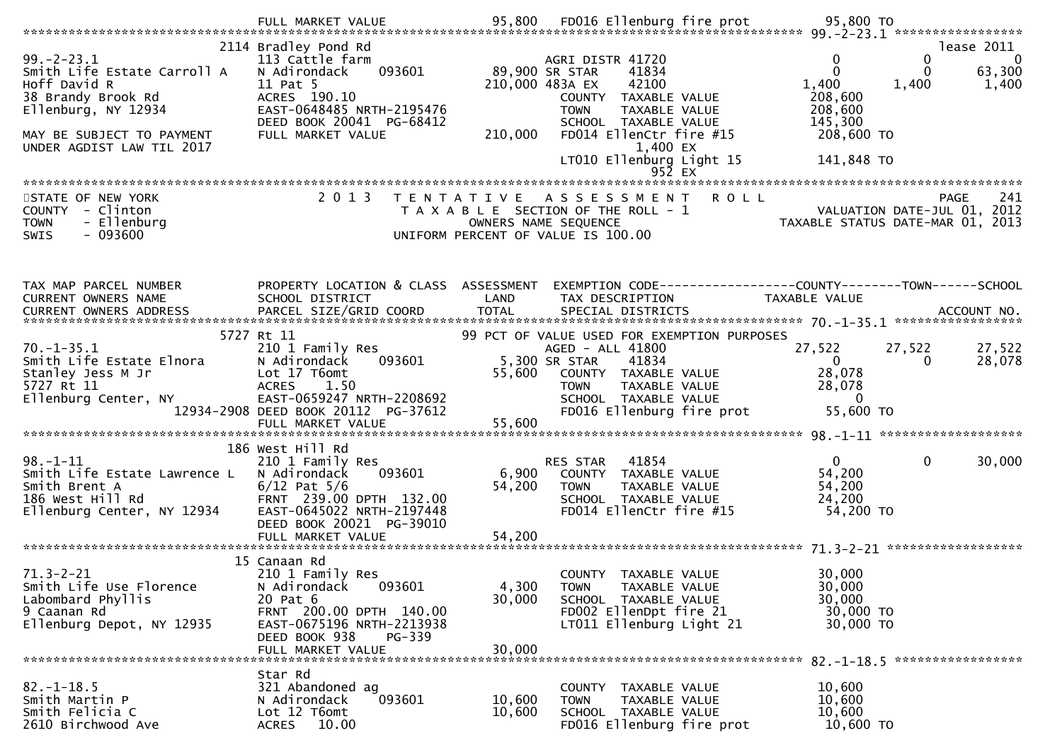| $99. - 2 - 23.1$<br>Smith Life Estate Carroll A<br>Hoff David R<br>38 Brandy Brook Rd<br>Ellenburg, NY 12934<br>MAY BE SUBJECT TO PAYMENT<br>UNDER AGDIST LAW TIL 2017 | 2114 Bradley Pond Rd<br>113 Cattle farm<br>093601<br>N Adirondack<br>11 Pat 5<br>ACRES 190.10<br>EAST-0648485 NRTH-2195476<br>DEED BOOK 20041 PG-68412<br>FULL MARKET VALUE               | 210,000 483A EX<br>210,000 | AGRI DISTR 41720<br>41834<br>89,900 SR STAR<br>42100<br>COUNTY TAXABLE VALUE<br><b>TOWN</b><br>TAXABLE VALUE<br>SCHOOL TAXABLE VALUE<br>FD014 EllenCtr fire #15<br>1,400 EX<br>LT010 Ellenburg Light 15<br>$95\bar{2}$ EX | 0<br>$\Omega$<br>1,400<br>208,600<br>208,600<br>145,300<br>208,600 TO<br>141,848 TO | lease 2011<br>$\overline{0}$<br>0<br>$\mathbf 0$<br>63,300<br>1,400<br>1,400 |
|------------------------------------------------------------------------------------------------------------------------------------------------------------------------|-------------------------------------------------------------------------------------------------------------------------------------------------------------------------------------------|----------------------------|---------------------------------------------------------------------------------------------------------------------------------------------------------------------------------------------------------------------------|-------------------------------------------------------------------------------------|------------------------------------------------------------------------------|
| STATE OF NEW YORK<br>COUNTY - Clinton<br>- Ellenburg<br><b>TOWN</b><br><b>SWIS</b><br>- 093600                                                                         | 2 0 1 3                                                                                                                                                                                   | T E N T A T I V E          | A S S E S S M E N T R O L L<br>T A X A B L E SECTION OF THE ROLL - 1<br>OWNERS NAME SEQUENCE<br>UNIFORM PERCENT OF VALUE IS 100.00                                                                                        | VALUATION DATE-JUL 01, 2012<br>TAXABLE STATIIS DATE-MAP 01 2012                     | 241<br><b>PAGE</b><br>TAXABLE STATUS DATE-MAR 01, 2013                       |
| TAX MAP PARCEL NUMBER<br>CURRENT OWNERS NAME<br>CURRENT OWNERS ADDRESS                                                                                                 | PROPERTY LOCATION & CLASS ASSESSMENT<br>SCHOOL DISTRICT                                                                                                                                   | LAND                       | EXEMPTION CODE-----------------COUNTY-------TOWN------SCHOOL<br>TAX DESCRIPTION                                                                                                                                           | TAXABLE VALUE                                                                       |                                                                              |
| $70. - 1 - 35.1$<br>Smith Life Estate Elnora<br>Stanley Jess M Jr<br>5727 Rt 11<br>Ellenburg Center, NY                                                                | 5727 Rt 11<br>210 1 Family Res<br>093601<br>N Adirondack<br>Lot 17 T6omt<br><b>ACRES</b><br>1.50<br>EAST-0659247 NRTH-2208692<br>12934-2908 DEED BOOK 20112 PG-37612<br>FULL MARKET VALUE | 55,600<br>55,600           | 99 PCT OF VALUE USED FOR EXEMPTION PURPOSES<br>AGED - ALL 41800<br>5,300 SR STAR<br>41834<br>COUNTY TAXABLE VALUE<br>TAXABLE VALUE<br><b>TOWN</b><br>SCHOOL TAXABLE VALUE<br>FD016 Ellenburg fire prot                    | 27,522<br>$\mathbf{0}$<br>28,078<br>28,078<br>$\Omega$<br>55,600 TO                 | 27,522<br>27,522<br>28,078<br>0                                              |
| $98. - 1 - 11$<br>Smith Life Estate Lawrence L<br>Smith Brent A<br>NY 12934<br>186 West Hill Rd<br>Ellenburg Center, NY 12934                                          | 186 West Hill Rd<br>210 1 Family Res<br>N Adirondack<br>093601<br>$6/12$ Pat $5/6$<br>FRNT 239.00 DPTH 132.00<br>EAST-0645022 NRTH-2197448<br>DEED BOOK 20021 PG-39010                    | 6,900<br>54,200            | 41854<br><b>RES STAR</b><br>COUNTY TAXABLE VALUE<br>TAXABLE VALUE<br><b>TOWN</b><br>SCHOOL TAXABLE VALUE<br>FD014 EllenCtr fire #15                                                                                       | $\mathbf{0}$<br>54,200<br>54,200<br>24,200<br>54,200 TO                             | $\mathbf 0$<br>30,000                                                        |
| $71.3 - 2 - 21$<br>Smith Life Use Florence<br>Labombard Phyllis<br>9 Caanan Rd<br>Ellenburg Depot, NY 12935                                                            | 15 Canaan Rd<br>210 1 Family Res<br>093601<br>N Adirondack<br>20 Pat 6<br>FRNT 200.00 DPTH 140.00<br>EAST-0675196 NRTH-2213938<br>PG-339<br>DEED BOOK 938<br>FULL MARKET VALUE            | 4,300<br>30,000<br>30,000  | COUNTY TAXABLE VALUE<br>TAXABLE VALUE<br><b>TOWN</b><br>SCHOOL TAXABLE VALUE<br>FD002 EllenDpt fire 21<br>LT011 Ellenburg Light 21                                                                                        | 30,000<br>30,000<br>30,000<br>30,000 TO<br>30,000 TO                                |                                                                              |
| $82. - 1 - 18.5$<br>Smith Martin P<br>Smith Felicia C<br>2610 Birchwood Ave                                                                                            | Star Rd<br>321 Abandoned ag<br>093601<br>N Adirondack<br>Lot 12 T6omt<br>10.00<br><b>ACRES</b>                                                                                            | 10,600<br>10,600           | COUNTY TAXABLE VALUE<br>TAXABLE VALUE<br><b>TOWN</b><br>SCHOOL TAXABLE VALUE<br>FD016 Ellenburg fire prot                                                                                                                 | 10,600<br>10,600<br>10,600<br>10,600 TO                                             |                                                                              |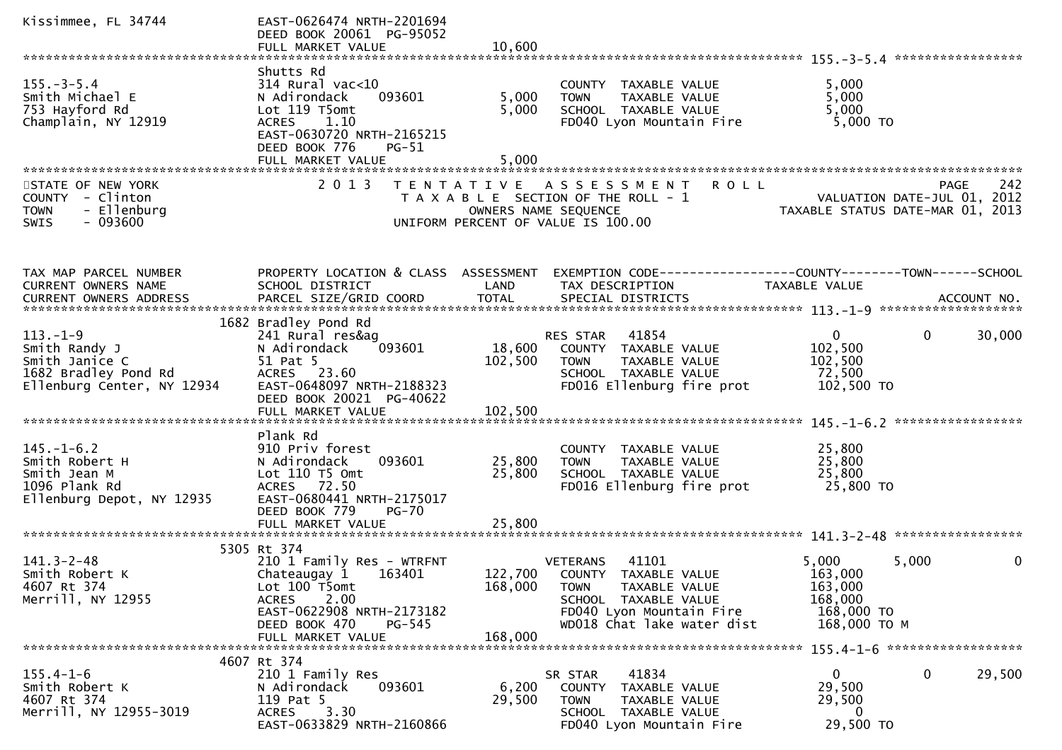| Kissimmee, FL 34744                                                                                     | EAST-0626474 NRTH-2201694<br>DEED BOOK 20061 PG-95052<br>FULL MARKET VALUE                                                                                             | 10,600                  |                                                                                                                                                                            |                                                                      |                                                   |
|---------------------------------------------------------------------------------------------------------|------------------------------------------------------------------------------------------------------------------------------------------------------------------------|-------------------------|----------------------------------------------------------------------------------------------------------------------------------------------------------------------------|----------------------------------------------------------------------|---------------------------------------------------|
|                                                                                                         |                                                                                                                                                                        |                         |                                                                                                                                                                            |                                                                      |                                                   |
| $155. - 3 - 5.4$<br>Smith Michael E<br>753 Hayford Rd<br>Champlain, NY 12919                            | Shutts Rd<br>$314$ Rural vac<10<br>N Adirondack<br>093601<br>Lot 119 T5omt<br>ACRES 1.10<br>EAST-0630720 NRTH-2165215<br>DEED BOOK 776<br>$PG-51$<br>FULL MARKET VALUE | 5,000<br>5,000<br>5,000 | COUNTY TAXABLE VALUE<br>TAXABLE VALUE<br><b>TOWN</b><br>SCHOOL TAXABLE VALUE<br>FD040 Lyon Mountain Fire                                                                   | 5,000<br>5,000<br>5,000<br>5,000 TO                                  |                                                   |
|                                                                                                         |                                                                                                                                                                        |                         |                                                                                                                                                                            |                                                                      |                                                   |
| STATE OF NEW YORK<br>COUNTY - Clinton<br>- Ellenburg<br><b>TOWN</b><br>$-093600$<br><b>SWIS</b>         | 2 0 1 3                                                                                                                                                                |                         | <b>ROLL</b><br>TENTATIVE ASSESSMENT<br>T A X A B L E SECTION OF THE ROLL - 1<br>OWNERS NAME SEQUENCE<br>UNIFORM PERCENT OF VALUE IS 100.00                                 | TAXABLE STATUS DATE-MAR 01, 2013                                     | 242<br><b>PAGE</b><br>VALUATION DATE-JUL 01, 2012 |
| TAX MAP PARCEL NUMBER<br>CURRENT OWNERS NAME                                                            | PROPERTY LOCATION & CLASS ASSESSMENT<br>SCHOOL DISTRICT                                                                                                                | LAND                    | EXEMPTION CODE------------------COUNTY--------TOWN------SCHOOL<br>TAX DESCRIPTION                                                                                          | <b>TAXABLE VALUE</b>                                                 |                                                   |
|                                                                                                         | 1682 Bradley Pond Rd                                                                                                                                                   |                         |                                                                                                                                                                            |                                                                      |                                                   |
| $113. - 1 - 9$<br>Smith Randy J<br>Smith Janice C<br>1682 Bradley Pond Rd<br>Ellenburg Center, NY 12934 | 241 Rural res&ag<br>093601<br>N Adirondack<br>51 Pat 5<br>ACRES 23.60<br>EAST-0648097 NRTH-2188323<br>DEED BOOK 20021 PG-40622                                         | 18,600<br>102,500       | 41854<br>RES STAR<br>COUNTY TAXABLE VALUE<br><b>TOWN</b><br>TAXABLE VALUE<br>SCHOOL TAXABLE VALUE<br>FD016 Ellenburg fire prot                                             | $\Omega$<br>102,500<br>102,500<br>72,500<br>102,500 TO               | 0<br>30,000                                       |
|                                                                                                         |                                                                                                                                                                        |                         |                                                                                                                                                                            |                                                                      |                                                   |
| $145. - 1 - 6.2$<br>Smith Robert H<br>Smith Jean M<br>1096 Plank Rd<br>Ellenburg Depot, NY 12935        | Plank Rd<br>910 Priv forest<br>093601<br>N Adirondack<br>Lot 110 T5 Omt<br>ACRES 72.50<br>EAST-0680441 NRTH-2175017<br>DEED BOOK 779<br>$PG-70$                        | 25,800<br>25,800        | COUNTY TAXABLE VALUE<br>TAXABLE VALUE<br><b>TOWN</b><br>SCHOOL TAXABLE VALUE<br>FD016 Ellenburg fire prot                                                                  | 25,800<br>25,800<br>25,800<br>25,800 TO                              |                                                   |
|                                                                                                         | FULL MARKET VALUE                                                                                                                                                      | 25,800                  |                                                                                                                                                                            |                                                                      |                                                   |
|                                                                                                         | 5305 Rt 374                                                                                                                                                            |                         |                                                                                                                                                                            |                                                                      |                                                   |
| $141.3 - 2 - 48$<br>Smith Robert K<br>4607 Rt 374<br>Merrill, NY 12955                                  | 210 1 Family Res - WTRFNT<br>Chateaugay 1<br>163401<br>Lot 100 T5omt<br><b>ACRES</b><br>2.00<br>EAST-0622908 NRTH-2173182<br>PG-545                                    | 168,000                 | <b>VETERANS</b><br>41101<br>122,700 COUNTY TAXABLE VALUE<br><b>TOWN</b><br>TAXABLE VALUE<br>SCHOOL TAXABLE VALUE<br>FD040 Lyon Mountain Fire<br>WD018 Chat lake water dist | 5,000<br>163,000<br>163,000<br>168,000<br>168,000 TO<br>168,000 ТО М | 5,000<br>0                                        |
|                                                                                                         | DEED BOOK 470<br>FULL MARKET VALUE                                                                                                                                     | 168,000                 |                                                                                                                                                                            |                                                                      |                                                   |
|                                                                                                         |                                                                                                                                                                        |                         |                                                                                                                                                                            |                                                                      |                                                   |
| $155.4 - 1 - 6$<br>Smith Robert K<br>4607 Rt 374<br>Merrill, NY 12955-3019                              | 4607 Rt 374<br>210 1 Family Res<br>093601<br>N Adirondack<br>119 Pat 5<br>3.30<br><b>ACRES</b><br>EAST-0633829 NRTH-2160866                                            | 6,200<br>29,500         | 41834<br>SR STAR<br>COUNTY TAXABLE VALUE<br>TAXABLE VALUE<br><b>TOWN</b><br>SCHOOL TAXABLE VALUE<br>FD040 Lyon Mountain Fire                                               | $\mathbf{0}$<br>29,500<br>29,500<br>0<br>29,500 TO                   | 29,500<br>0                                       |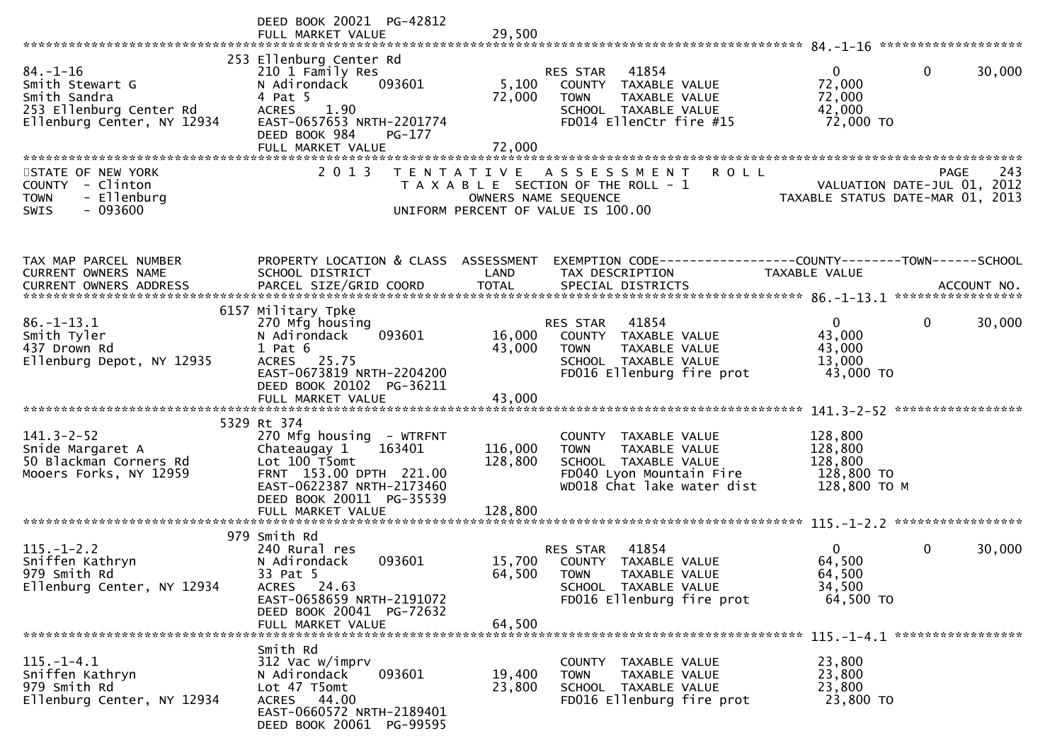|                                                                                                            | DEED BOOK 20021 PG-42812<br>FULL MARKET VALUE                                                                                                                                               | 29,500                        |                                                                                                                                            |                                                             |                                            |
|------------------------------------------------------------------------------------------------------------|---------------------------------------------------------------------------------------------------------------------------------------------------------------------------------------------|-------------------------------|--------------------------------------------------------------------------------------------------------------------------------------------|-------------------------------------------------------------|--------------------------------------------|
| $84. - 1 - 16$<br>Smith Stewart G<br>Smith Sandra<br>253 Ellenburg Center Rd<br>Ellenburg Center, NY 12934 | 253 Ellenburg Center Rd<br>210 1 Family Res<br>N Adirondack<br>093601<br>4 Pat 5<br>1.90<br><b>ACRES</b><br>EAST-0657653 NRTH-2201774<br>DEED BOOK 984<br>PG-177<br>FULL MARKET VALUE       | 5,100<br>72,000<br>72,000     | RES STAR<br>41854<br>COUNTY TAXABLE VALUE<br><b>TOWN</b><br>TAXABLE VALUE<br>SCHOOL TAXABLE VALUE<br>FD014 EllenCtr fire #15               | $\overline{0}$<br>72,000<br>72,000<br>42,000<br>72,000 TO   | $\mathbf{0}$<br>30,000                     |
| STATE OF NEW YORK<br>COUNTY - Clinton<br>- Ellenburg<br><b>TOWN</b><br>$-093600$<br>SWIS                   | 2 0 1 3                                                                                                                                                                                     |                               | <b>ROLL</b><br>TENTATIVE ASSESSMENT<br>T A X A B L E SECTION OF THE ROLL - 1<br>OWNERS NAME SEQUENCE<br>UNIFORM PERCENT OF VALUE IS 100.00 | TAXABLE STATUS DATE-MAR 01, 2013                            | 243<br>PAGE<br>VALUATION DATE-JUL 01, 2012 |
| TAX MAP PARCEL NUMBER<br>CURRENT OWNERS NAME                                                               | PROPERTY LOCATION & CLASS ASSESSMENT<br>SCHOOL DISTRICT                                                                                                                                     | LAND                          | EXEMPTION CODE-----------------COUNTY-------TOWN------SCHOOL<br>TAX DESCRIPTION                                                            | <b>TAXABLE VALUE</b>                                        |                                            |
| $86. - 1 - 13.1$<br>Smith Tyler<br>437 Drown Rd<br>Ellenburg Depot, NY 12935                               | 6157 Military Tpke<br>270 Mfg housing<br>N Adirondack<br>093601<br>$1$ Pat $6$<br>ACRES 25.75<br>EAST-0673819 NRTH-2204200<br>DEED BOOK 20102 PG-36211                                      | 16,000<br>43,000              | RES STAR 41854<br>COUNTY TAXABLE VALUE<br><b>TOWN</b><br>TAXABLE VALUE<br>SCHOOL TAXABLE VALUE<br>FD016 Ellenburg fire prot                | $\overline{0}$<br>43,000<br>43,000<br>13,000<br>43,000 TO   | $\mathbf{0}$<br>30,000                     |
| $141.3 - 2 - 52$<br>Snide Margaret A<br>50 Blackman Corners Rd<br>Mooers Forks, NY 12959                   | 5329 Rt 374<br>270 Mfg housing - WTRFNT<br>163401<br>Chateaugay 1<br>Lot 100 T5omt<br>FRNT 153.00 DPTH 221.00<br>EAST-0622387 NRTH-2173460<br>DEED BOOK 20011 PG-35539<br>FULL MARKET VALUE | 116,000<br>128,800<br>128,800 | COUNTY TAXABLE VALUE<br><b>TOWN</b><br>TAXABLE VALUE<br>SCHOOL TAXABLE VALUE<br>FD040 Lyon Mountain Fire<br>WD018 Chat lake water dist     | 128,800<br>128,800<br>128,800<br>128,800 TO<br>128,800 ТО М |                                            |
| $115. - 1 - 2.2$<br>Sniffen Kathryn<br>979 Smith Rd<br>Ellenburg Center, NY 12934                          | 979 Smith Rd<br>240 Rural res<br>093601<br>N Adirondack<br>33 Pat 5<br>ACRES 24.63<br>EAST-0658659 NRTH-2191072<br>DEED BOOK 20041 PG-72632<br>FULL MARKET VALUE                            | 64,500<br>64,500              | 41854<br>RES STAR<br>15,700 COUNTY TAXABLE VALUE<br><b>TOWN</b><br>TAXABLE VALUE<br>SCHOOL TAXABLE VALUE<br>FD016 Ellenburg fire prot      | $\Omega$<br>64,500<br>64,500<br>34,500<br>64,500 TO         | $\mathbf 0$<br>30,000                      |
| $115. - 1 - 4.1$<br>Sniffen Kathryn<br>979 Smith Rd<br>Ellenburg Center, NY 12934                          | Smith Rd<br>312 Vac w/imprv<br>093601<br>N Adirondack<br>Lot 47 T5omt<br>ACRES 44.00<br>EAST-0660572 NRTH-2189401<br>DEED BOOK 20061 PG-99595                                               | 19,400<br>23,800              | COUNTY TAXABLE VALUE<br>TAXABLE VALUE<br><b>TOWN</b><br>SCHOOL TAXABLE VALUE<br>FD016 Ellenburg fire prot                                  | 23,800<br>23,800<br>23,800<br>23,800 TO                     |                                            |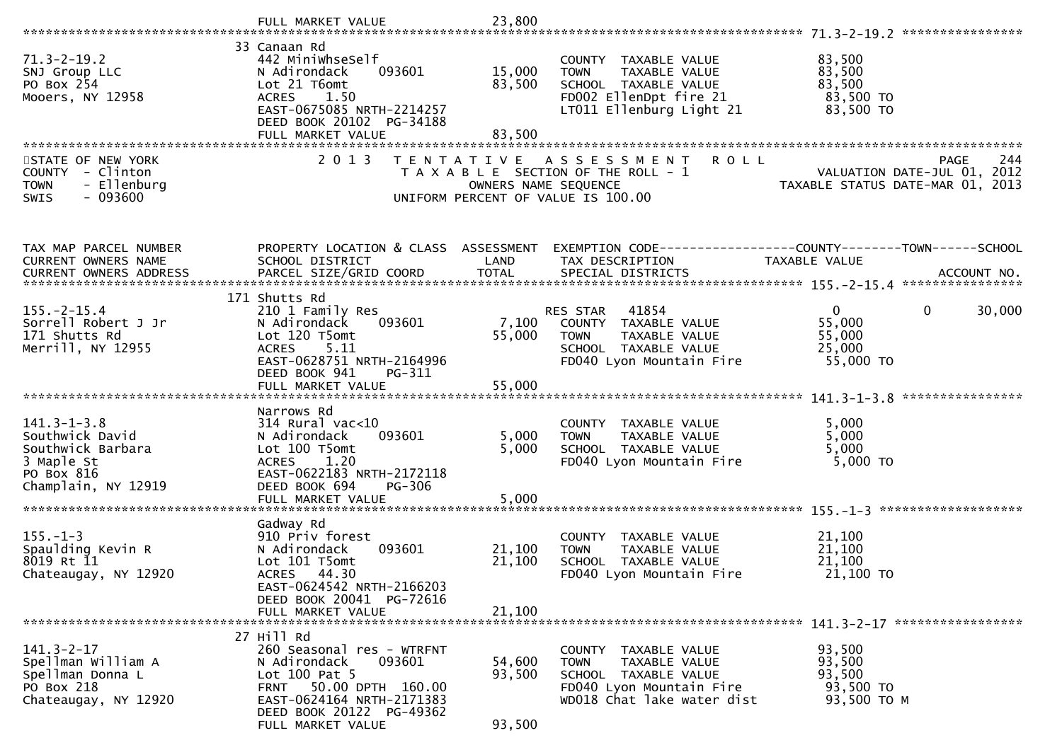|                                                                                                              | FULL MARKET VALUE                                                                                                                                                                          | 23,800                     |                                                                                                                                        |                                                                 |                                            |
|--------------------------------------------------------------------------------------------------------------|--------------------------------------------------------------------------------------------------------------------------------------------------------------------------------------------|----------------------------|----------------------------------------------------------------------------------------------------------------------------------------|-----------------------------------------------------------------|--------------------------------------------|
| $71.3 - 2 - 19.2$<br>SNJ Group LLC<br>PO Box 254<br>Mooers, NY 12958                                         | 33 Canaan Rd<br>442 MiniwhseSelf<br>093601<br>N Adirondack<br>Lot 21 T6omt<br><b>ACRES</b><br>1.50<br>EAST-0675085 NRTH-2214257<br>DEED BOOK 20102 PG-34188<br>FULL MARKET VALUE           | 15,000<br>83,500<br>83,500 | COUNTY TAXABLE VALUE<br><b>TOWN</b><br>TAXABLE VALUE<br>SCHOOL TAXABLE VALUE<br>FD002 EllenDpt fire 21<br>LT011 Ellenburg Light 21     | 83,500<br>83,500<br>83,500<br>83,500 TO<br>83,500 TO            |                                            |
| STATE OF NEW YORK<br>COUNTY - Clinton<br>- Ellenburg<br><b>TOWN</b><br>$-093600$<br>SWIS                     | 2 0 1 3                                                                                                                                                                                    | OWNERS NAME SEQUENCE       | <b>ROLL</b><br>TENTATIVE ASSESSMENT<br>T A X A B L E SECTION OF THE ROLL - 1<br>UNIFORM PERCENT OF VALUE IS 100.00                     | VALUATION DATE-JUL 01, 2012<br>TAXABLE STATUS DATE-MAR 01, 2013 | 244<br><b>PAGE</b>                         |
| TAX MAP PARCEL NUMBER<br>CURRENT OWNERS NAME                                                                 | PROPERTY LOCATION & CLASS ASSESSMENT<br>SCHOOL DISTRICT                                                                                                                                    | LAND                       | TAX DESCRIPTION                                                                                                                        | TAXABLE VALUE                                                   |                                            |
| $155. - 2 - 15.4$<br>Sorrell Robert J Jr<br>171 Shutts Rd<br>Merrill, NY 12955                               | 171 Shutts Rd<br>210 1 Family Res<br>093601<br>N Adirondack<br>Lot 120 T5omt<br>5.11<br><b>ACRES</b><br>EAST-0628751 NRTH-2164996<br>DEED BOOK 941<br>PG-311                               | 7,100<br>55,000            | 41854<br>RES STAR<br>COUNTY TAXABLE VALUE<br><b>TOWN</b><br>TAXABLE VALUE<br>SCHOOL TAXABLE VALUE<br>FD040 Lyon Mountain Fire          | $\overline{0}$<br>55,000<br>55,000<br>25,000<br>55,000 TO       | $\mathbf{0}$<br>30,000<br>**************** |
| $141.3 - 1 - 3.8$<br>Southwick David<br>Southwick Barbara<br>3 Maple St<br>PO Box 816<br>Champlain, NY 12919 | Narrows Rd<br>$314$ Rural vac<10<br>093601<br>N Adirondack<br>Lot 100 T5omt<br>1.20<br><b>ACRES</b><br>EAST-0622183 NRTH-2172118<br>DEED BOOK 694<br>PG-306<br>FULL MARKET VALUE           | 5,000<br>5,000<br>5,000    | COUNTY TAXABLE VALUE<br>TAXABLE VALUE<br><b>TOWN</b><br>SCHOOL TAXABLE VALUE<br>FD040 Lyon Mountain Fire                               | 5,000<br>5,000<br>5,000<br>5,000 TO                             |                                            |
| $155. - 1 - 3$<br>Spaulding Kevin R<br>8019 Rt 11<br>Chateaugay, NY 12920                                    | Gadway Rd<br>910 Priv forest<br>093601<br>N Adirondack<br>Lot 101 T5omt<br>ACRES 44.30<br>EAST-0624542 NRTH-2166203<br>DEED BOOK 20041 PG-72616<br>FULL MARKET VALUE                       | 21,100<br>21,100<br>21,100 | COUNTY TAXABLE VALUE<br>TAXABLE VALUE<br><b>TOWN</b><br>SCHOOL TAXABLE VALUE<br>FD040 Lyon Mountain Fire                               | 21,100<br>21,100<br>21,100<br>21,100 TO                         |                                            |
| $141.3 - 2 - 17$<br>Spellman William A<br>Spellman Donna L<br>PO Box 218<br>Chateaugay, NY 12920             | 27 Hill Rd<br>260 Seasonal res - WTRFNT<br>093601<br>N Adirondack<br>Lot 100 Pat 5<br>FRNT 50.00 DPTH 160.00<br>EAST-0624164 NRTH-2171383<br>DEED BOOK 20122 PG-49362<br>FULL MARKET VALUE | 54,600<br>93,500<br>93,500 | COUNTY TAXABLE VALUE<br><b>TOWN</b><br>TAXABLE VALUE<br>SCHOOL TAXABLE VALUE<br>FD040 Lyon Mountain Fire<br>WD018 Chat lake water dist | 93,500<br>93,500<br>93,500<br>93,500 TO<br>93,500 TO M          |                                            |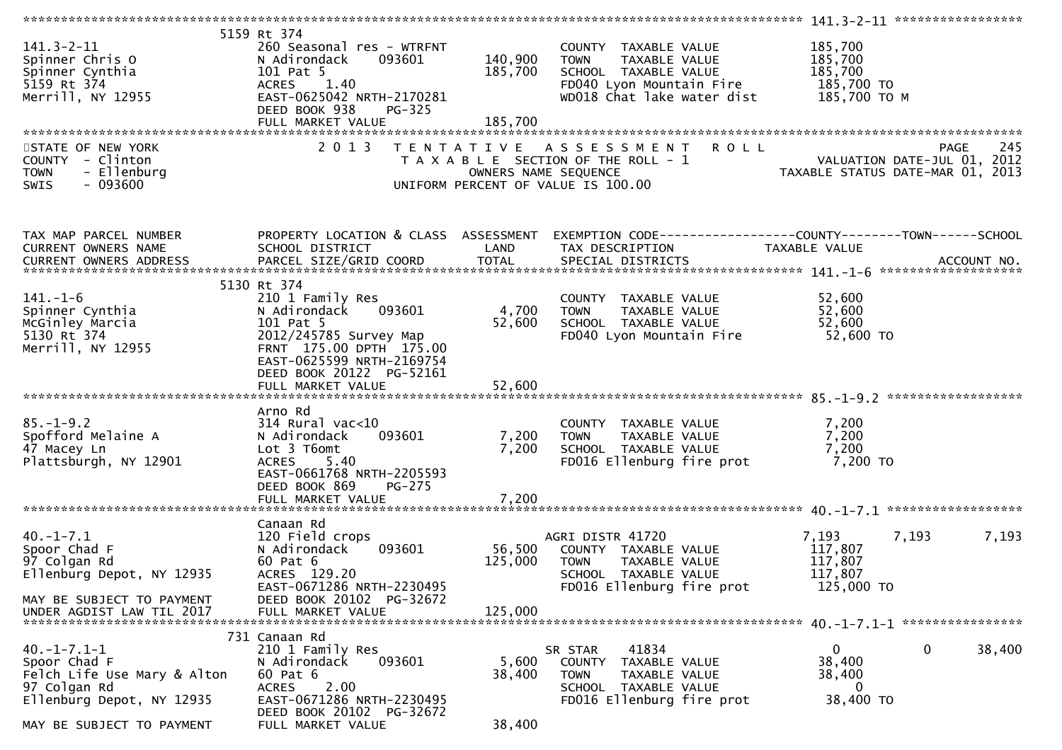| $141.3 - 2 - 11$<br>Spinner Chris O<br>Spinner Cynthia<br>5159 Rt 374<br>Merrill, NY 12955                                                  | 5159 Rt 374<br>260 Seasonal res - WTRFNT<br>N Adirondack<br>093601<br>101 Pat 5<br>ACRES<br>1.40<br>EAST-0625042 NRTH-2170281<br>DEED BOOK 938<br>$PG-325$<br>FULL MARKET VALUE      | 140,900<br>185,700<br>185,700 | COUNTY TAXABLE VALUE<br><b>TOWN</b><br>TAXABLE VALUE<br>SCHOOL TAXABLE VALUE<br>FD040 Lyon Mountain Fire<br>WD018 Chat lake water dist | 185,700<br>185,700<br>185,700<br>185,700 TO<br>185,700 то м                                    |
|---------------------------------------------------------------------------------------------------------------------------------------------|--------------------------------------------------------------------------------------------------------------------------------------------------------------------------------------|-------------------------------|----------------------------------------------------------------------------------------------------------------------------------------|------------------------------------------------------------------------------------------------|
| STATE OF NEW YORK<br>COUNTY - Clinton<br><b>TOWN</b><br>- Ellenburg<br>$-093600$<br><b>SWIS</b>                                             | 2 0 1 3                                                                                                                                                                              | OWNERS NAME SEQUENCE          | <b>ROLL</b><br>TENTATIVE ASSESSMENT<br>T A X A B L E SECTION OF THE ROLL - 1<br>UNIFORM PERCENT OF VALUE IS 100.00                     | 245<br><b>PAGE</b><br>VALUATION DATE-JUL 01, 2012<br>TAXABLE STATUS DATE-MAR 01, 2013          |
| TAX MAP PARCEL NUMBER<br>CURRENT OWNERS NAME<br>CURRENT OWNERS ADDRESS                                                                      | PROPERTY LOCATION & CLASS ASSESSMENT<br>SCHOOL DISTRICT<br>PARCEL SIZE/GRID COORD                                                                                                    | LAND<br><b>TOTAL</b>          | TAX DESCRIPTION<br>SPECIAL DISTRICTS                                                                                                   | EXEMPTION CODE------------------COUNTY--------TOWN------SCHOOL<br>TAXABLE VALUE<br>ACCOUNT NO. |
| $141. - 1 - 6$<br>Spinner Cynthia<br>McGinley Marcia<br>5130 Rt 374<br>Merrill, NY 12955                                                    | 5130 Rt 374<br>210 1 Family Res<br>093601<br>N Adirondack<br>101 Pat 5<br>2012/245785 Survey Map<br>FRNT 175.00 DPTH 175.00<br>EAST-0625599 NRTH-2169754<br>DEED BOOK 20122 PG-52161 | 4,700<br>52,600               | COUNTY TAXABLE VALUE<br>TAXABLE VALUE<br><b>TOWN</b><br>SCHOOL TAXABLE VALUE<br>FD040 Lyon Mountain Fire                               | 52,600<br>52,600<br>52,600<br>52,600 TO                                                        |
| $85. - 1 - 9.2$<br>Spofford Melaine A<br>47 Macey Ln<br>Plattsburgh, NY 12901                                                               | Arno Rd<br>$314$ Rural vac<10<br>N Adirondack<br>093601<br>Lot 3 T6omt<br>ACRES 5.40<br>EAST-0661768 NRTH-2205593<br>DEED BOOK 869<br>PG-275<br>FULL MARKET VALUE                    | 7,200<br>7,200<br>7,200       | COUNTY TAXABLE VALUE<br><b>TOWN</b><br>TAXABLE VALUE<br>SCHOOL TAXABLE VALUE<br>FD016 Ellenburg fire prot                              | 7,200<br>7,200<br>7,200<br>7,200 TO                                                            |
| $40. -1 - 7.1$<br>Spoor Chad F<br>97 Colgan Rd<br>Ellenburg Depot, NY 12935<br>MAY BE SUBJECT TO PAYMENT<br>UNDER AGDIST LAW TIL 2017       | Canaan Rd<br>120 Field crops<br>N Adirondack<br>093601<br>60 Pat 6<br>ACRES 129.20<br>EAST-0671286 NRTH-2230495<br>DEED BOOK 20102 PG-32672<br>FULL MARKET VALUE                     | 56,500<br>125,000<br>125,000  | AGRI DISTR 41720<br>COUNTY TAXABLE VALUE<br><b>TOWN</b><br>TAXABLE VALUE<br>SCHOOL TAXABLE VALUE<br>FD016 Ellenburg fire prot          | 7,193<br>7,193<br>7,193<br>117,807<br>117,807<br>117,807<br>125,000 TO                         |
|                                                                                                                                             |                                                                                                                                                                                      |                               |                                                                                                                                        |                                                                                                |
| $40. -1 - 7.1 - 1$<br>Spoor Chad F<br>Felch Life Use Mary & Alton<br>97 Colgan Rd<br>Ellenburg Depot, NY 12935<br>MAY BE SUBJECT TO PAYMENT | 731 Canaan Rd<br>210 1 Family Res<br>N Adirondack<br>093601<br>60 Pat 6<br>2.00<br><b>ACRES</b><br>EAST-0671286 NRTH-2230495<br>DEED BOOK 20102 PG-32672<br>FULL MARKET VALUE        | 5,600<br>38,400<br>38,400     | 41834<br>SR STAR<br>COUNTY<br>TAXABLE VALUE<br>TAXABLE VALUE<br><b>TOWN</b><br>SCHOOL TAXABLE VALUE<br>FD016 Ellenburg fire prot       | $\mathbf{0}$<br>$\mathbf 0$<br>38,400<br>38,400<br>38,400<br>0<br>38,400 TO                    |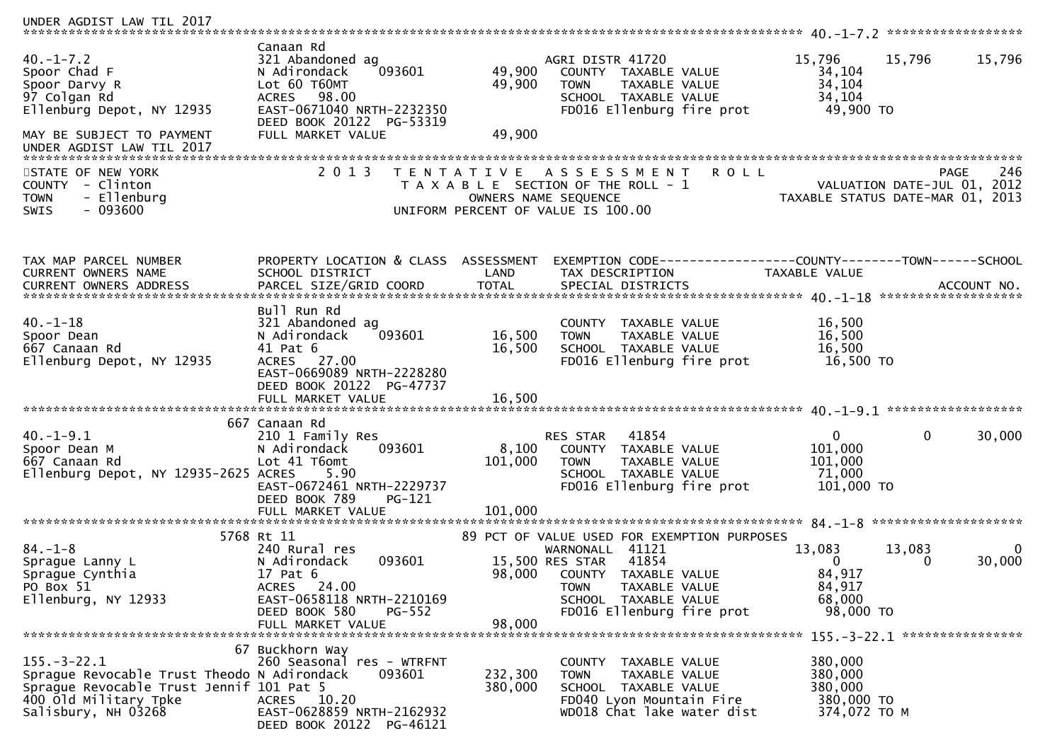| UNDER AGDIST LAW TIL 2017                                                                                                                                    |                                                                                                                                                                                |                            |                                                                                                                                                                                                            |                                                                  |                                            |
|--------------------------------------------------------------------------------------------------------------------------------------------------------------|--------------------------------------------------------------------------------------------------------------------------------------------------------------------------------|----------------------------|------------------------------------------------------------------------------------------------------------------------------------------------------------------------------------------------------------|------------------------------------------------------------------|--------------------------------------------|
| $40. -1 - 7.2$<br>Spoor Chad F<br>Spoor Darvy R<br>97 Colgan Rd<br>Ellenburg Depot, NY 12935<br>MAY BE SUBJECT TO PAYMENT<br>UNDER AGDIST LAW TIL 2017       | Canaan Rd<br>321 Abandoned ag<br>093601<br>N Adirondack<br>Lot 60 T60MT<br>98.00<br><b>ACRES</b><br>EAST-0671040 NRTH-2232350<br>DEED BOOK 20122 PG-53319<br>FULL MARKET VALUE | 49,900<br>49,900<br>49,900 | AGRI DISTR 41720<br>COUNTY TAXABLE VALUE<br><b>TOWN</b><br>TAXABLE VALUE<br>SCHOOL TAXABLE VALUE<br>FD016 Ellenburg fire prot                                                                              | 15,796<br>15,796<br>34,104<br>34,104<br>34,104<br>49,900 TO      | 15,796                                     |
| STATE OF NEW YORK<br>- Clinton<br><b>COUNTY</b><br>- Ellenburg<br><b>TOWN</b><br>$-093600$<br><b>SWIS</b>                                                    | 2 0 1 3                                                                                                                                                                        |                            | TENTATIVE ASSESSMENT<br><b>ROLL</b><br>T A X A B L E SECTION OF THE ROLL - 1<br>OWNERS NAME SEQUENCE<br>UNIFORM PERCENT OF VALUE IS 100.00                                                                 | TAXABLE STATUS DATE-MAR 01, 2013                                 | 246<br>PAGE<br>VALUATION DATE-JUL 01, 2012 |
| TAX MAP PARCEL NUMBER<br>CURRENT OWNERS NAME                                                                                                                 | PROPERTY LOCATION & CLASS ASSESSMENT<br>SCHOOL DISTRICT                                                                                                                        | LAND                       | EXEMPTION CODE-----------------COUNTY-------TOWN------SCHOOL<br>TAX DESCRIPTION                                                                                                                            | TAXABLE VALUE                                                    |                                            |
| $40. - 1 - 18$<br>Spoor Dean<br>667 Canaan Rd<br>Ellenburg Depot, NY 12935                                                                                   | Bull Run Rd<br>321 Abandoned ag<br>093601<br>N Adirondack<br>41 Pat 6<br>ACRES 27.00<br>EAST-0669089 NRTH-2228280<br>DEED BOOK 20122 PG-47737<br>FULL MARKET VALUE             | 16,500<br>16,500<br>16,500 | COUNTY TAXABLE VALUE<br>TAXABLE VALUE<br><b>TOWN</b><br>SCHOOL TAXABLE VALUE<br>FD016 Ellenburg fire prot                                                                                                  | 16,500<br>16,500<br>16,500<br>16,500 TO                          |                                            |
| $40. -1 - 9.1$<br>Spoor Dean M<br>667 Canaan Rd<br>Ellenburg Depot, NY 12935-2625 ACRES                                                                      | 667 Canaan Rd<br>210 1 Family Res<br>N Adirondack<br>093601<br>Lot 41 T6omt<br>5.90<br>EAST-0672461 NRTH-2229737<br>DEED BOOK 789<br>PG-121                                    | 8,100<br>101,000           | 41854<br><b>RES STAR</b><br>COUNTY TAXABLE VALUE<br><b>TOWN</b><br>TAXABLE VALUE<br>SCHOOL TAXABLE VALUE<br>FD016 Ellenburg fire prot                                                                      | $\mathbf{0}$<br>101,000<br>101,000<br>71,000<br>101,000 TO       | $\mathbf{0}$<br>30,000                     |
| $84. - 1 - 8$<br>Sprague Lanny L<br>Sprague Cynthia<br>PO Box 51<br>Ellenburg, NY 12933                                                                      | 5768 Rt 11<br>240 Rural res<br>093601<br>N Adirondack<br>17 Pat 6<br>ACRES 24.00<br>EAST-0658118 NRTH-2210169<br>DEED BOOK 580<br><b>PG-552</b><br>FULL MARKET VALUE           | 98,000                     | 89 PCT OF VALUE USED FOR EXEMPTION PURPOSES<br>WARNONALL<br>41121<br>41854<br>15,500 RES STAR<br>98,000 COUNTY TAXABLE VALUE<br>TAXABLE VALUE<br>TOWN<br>SCHOOL TAXABLE VALUE<br>FD016 Ellenburg fire prot | 13,083<br>13,083<br>0<br>84,917<br>84,917<br>68,000<br>98,000 TO | 30,000<br>0                                |
| $155. - 3 - 22.1$<br>Sprague Revocable Trust Theodo N Adirondack<br>Sprague Revocable Trust Jennif 101 Pat 5<br>400 old Military Tpke<br>Salisbury, NH 03268 | 67 Buckhorn Way<br>260 Seasonal res - WTRFNT<br>093601<br>ACRES 10.20<br>EAST-0628859 NRTH-2162932<br>DEED BOOK 20122 PG-46121                                                 | 232,300<br>380,000         | COUNTY TAXABLE VALUE<br>TAXABLE VALUE<br><b>TOWN</b><br>SCHOOL TAXABLE VALUE<br>FD040 Lyon Mountain Fire<br>WD018 Chat lake water dist                                                                     | 380,000<br>380,000<br>380,000<br>380,000 TO<br>374,072 TO M      |                                            |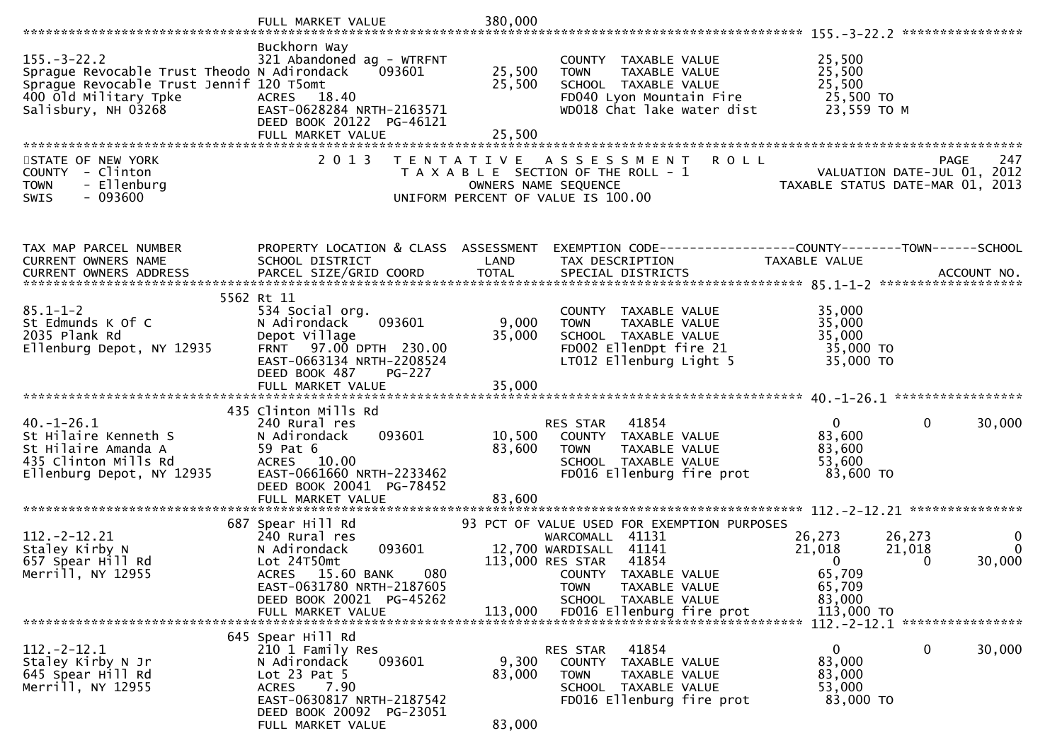|                                                                                                                                                              | FULL MARKET VALUE                                                                                                                               | 380,000          |                                                                                                                                            |                                                                                 |                         |
|--------------------------------------------------------------------------------------------------------------------------------------------------------------|-------------------------------------------------------------------------------------------------------------------------------------------------|------------------|--------------------------------------------------------------------------------------------------------------------------------------------|---------------------------------------------------------------------------------|-------------------------|
|                                                                                                                                                              |                                                                                                                                                 |                  |                                                                                                                                            |                                                                                 |                         |
| $155. - 3 - 22.2$<br>Sprague Revocable Trust Theodo N Adirondack<br>Spraque Revocable Trust Jennif 120 T5omt<br>400 old Military Tpke<br>Salisbury, NH 03268 | Buckhorn Way<br>321 Abandoned ag - WTRFNT<br>093601<br>ACRES 18.40<br>EAST-0628284 NRTH-2163571<br>DEED BOOK 20122 PG-46121                     | 25,500<br>25,500 | COUNTY TAXABLE VALUE<br>TAXABLE VALUE<br><b>TOWN</b><br>SCHOOL TAXABLE VALUE<br>FD040 Lyon Mountain Fire<br>WD018 Chat lake water dist     | 25,500<br>25,500<br>25,500<br>25,500 TO<br>23,559 TO M                          |                         |
|                                                                                                                                                              | FULL MARKET VALUE                                                                                                                               | 25,500           |                                                                                                                                            |                                                                                 |                         |
|                                                                                                                                                              |                                                                                                                                                 |                  |                                                                                                                                            |                                                                                 |                         |
| STATE OF NEW YORK<br>COUNTY - Clinton<br>- Ellenburg<br><b>TOWN</b><br>$-093600$<br><b>SWIS</b>                                                              | 2 0 1 3                                                                                                                                         |                  | <b>ROLL</b><br>TENTATIVE ASSESSMENT<br>T A X A B L E SECTION OF THE ROLL - 1<br>OWNERS NAME SEQUENCE<br>UNIFORM PERCENT OF VALUE IS 100.00 | PAGE<br>VALUATION DATE-JUL 01, 2012<br>TAXABLE STATUS DATE-MAR 01, 2013         | 247                     |
|                                                                                                                                                              |                                                                                                                                                 |                  |                                                                                                                                            |                                                                                 |                         |
| TAX MAP PARCEL NUMBER<br><b>CURRENT OWNERS NAME</b>                                                                                                          | PROPERTY LOCATION & CLASS ASSESSMENT<br>SCHOOL DISTRICT                                                                                         | LAND             | TAX DESCRIPTION                                                                                                                            | EXEMPTION CODE------------------COUNTY--------TOWN------SCHOOL<br>TAXABLE VALUE |                         |
|                                                                                                                                                              |                                                                                                                                                 |                  |                                                                                                                                            |                                                                                 |                         |
|                                                                                                                                                              | 5562 Rt 11                                                                                                                                      |                  |                                                                                                                                            |                                                                                 |                         |
| $85.1 - 1 - 2$<br>St Edmunds K Of C<br>2035 Plank Rd                                                                                                         | 534 Social org.<br>N Adirondack<br>093601<br>Depot Village                                                                                      | 9,000<br>35,000  | COUNTY TAXABLE VALUE<br><b>TOWN</b><br>TAXABLE VALUE<br>SCHOOL TAXABLE VALUE                                                               | 35,000<br>35,000<br>35,000                                                      |                         |
| Ellenburg Depot, NY 12935                                                                                                                                    | FRNT 97.00 DPTH 230.00<br>EAST-0663134 NRTH-2208524<br>DEED BOOK 487<br><b>PG-227</b>                                                           |                  | FD002 EllenDpt fire 21<br>LT012 Ellenburg Light 5                                                                                          | 35,000 TO<br>35,000 TO                                                          |                         |
|                                                                                                                                                              |                                                                                                                                                 |                  |                                                                                                                                            |                                                                                 |                         |
|                                                                                                                                                              | 435 Clinton Mills Rd                                                                                                                            |                  |                                                                                                                                            |                                                                                 |                         |
| $40. - 1 - 26.1$<br>St Hilaire Kenneth S<br>St Hilaire Amanda A<br>435 Clinton Mills Rd<br>Ellenburg Depot, NY 12935                                         | 240 Rural res<br>093601<br>N Adirondack<br>59 Pat 6<br>ACRES 10.00<br>EAST-0661660 NRTH-2233462<br>DEED BOOK 20041 PG-78452                     | 10,500<br>83,600 | RES STAR<br>41854<br>COUNTY TAXABLE VALUE<br>TAXABLE VALUE<br>TOWN<br>SCHOOL TAXABLE VALUE<br>FD016 Ellenburg fire prot                    | $\mathbf{0}$<br>0<br>83,600<br>83,600<br>53,600<br>83,600 TO                    | 30,000                  |
|                                                                                                                                                              | FULL MARKET VALUE                                                                                                                               | 83,600           |                                                                                                                                            |                                                                                 |                         |
|                                                                                                                                                              | 687 Spear Hill Rd                                                                                                                               |                  | 93 PCT OF VALUE USED FOR EXEMPTION PURPOSES                                                                                                |                                                                                 |                         |
| $112. -2 - 12.21$<br>Staley Kirby N<br>657 Spear Hill Rd<br>Merrill, NY 12955                                                                                | 240 Rural res<br>093601<br>N Adirondack<br>Lot 24T50mt<br>080<br>ACRES 15.60 BANK<br>EAST-0631780 NRTH-2187605                                  |                  | WARCOMALL 41131<br>12,700 WARDISALL 41141<br>41854<br>113,000 RES STAR<br>COUNTY TAXABLE VALUE<br><b>TOWN</b><br>TAXABLE VALUE             | 26,273<br>26,273<br>21,018<br>21,018<br>$\overline{0}$<br>0<br>65,709<br>65,709 | 0<br>$\Omega$<br>30,000 |
|                                                                                                                                                              | DEED BOOK 20021 PG-45262<br>FULL MARKET VALUE                                                                                                   | 113,000          | SCHOOL TAXABLE VALUE<br>FD016 Ellenburg fire prot                                                                                          | 83,000<br>113,000 TO                                                            |                         |
|                                                                                                                                                              | 645 Spear Hill Rd                                                                                                                               |                  |                                                                                                                                            | 112. - 2 - 12. 1 *****************                                              |                         |
| $112. -2 - 12.1$<br>Staley Kirby N Jr<br>645 Spear Hill Rd<br>Merrill, NY 12955                                                                              | 210 1 Family Res<br>093601<br>N Adirondack<br>Lot $23$ Pat $5$<br>7.90<br><b>ACRES</b><br>EAST-0630817 NRTH-2187542<br>DEED BOOK 20092 PG-23051 | 9,300<br>83,000  | 41854<br>RES STAR<br>TAXABLE VALUE<br><b>COUNTY</b><br><b>TOWN</b><br>TAXABLE VALUE<br>SCHOOL TAXABLE VALUE<br>FD016 Ellenburg fire prot   | $\Omega$<br>0<br>83,000<br>83,000<br>53,000<br>83,000 TO                        | 30,000                  |
|                                                                                                                                                              | FULL MARKET VALUE                                                                                                                               | 83,000           |                                                                                                                                            |                                                                                 |                         |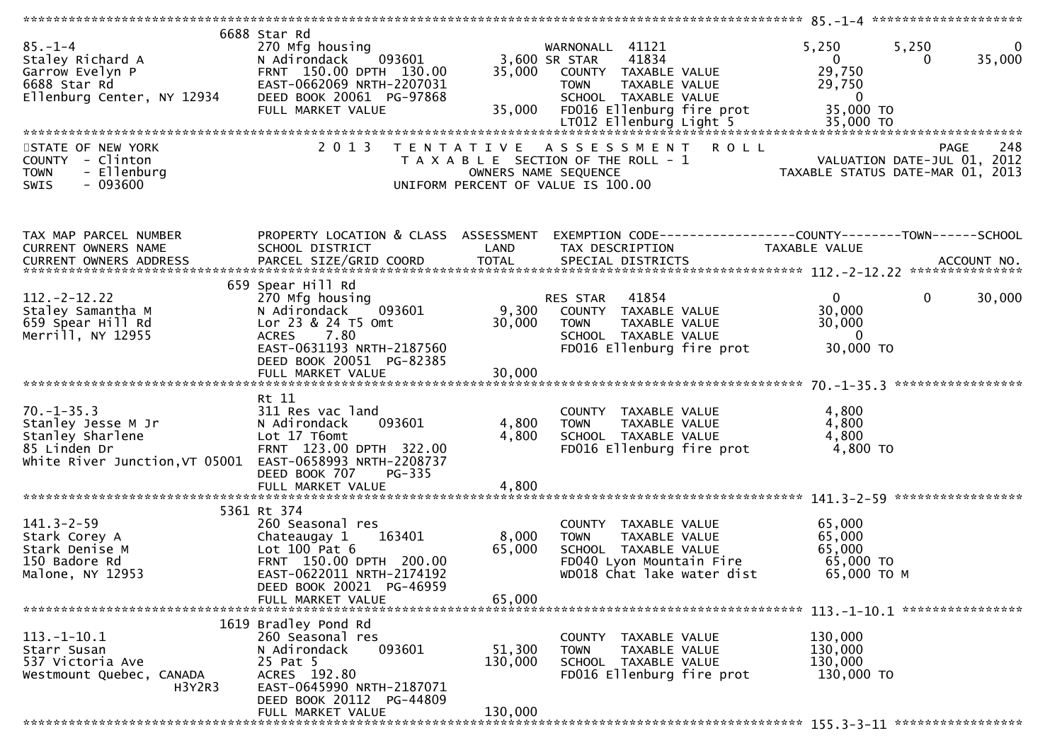| $85. - 1 - 4$<br>Staley Richard A<br>Garrow Evelyn P<br>Garrow Evelyn P<br>6688 Star Rd<br>Ellenburg Center, NY 12934                  | 6688 Star Rd<br>270 Mfg housing<br>093601<br>N Adirondack<br>FRNT 150.00 DPTH 130.00<br>EAST-0662069 NRTH-2207031<br>DEED BOOK 20061 PG-97868<br>FULL MARKET VALUE                      | 3,600 SR STAR<br>35,000<br>35,000 | WARNONALL 41121<br>41834<br>COUNTY TAXABLE VALUE<br><b>TOWN</b><br>TAXABLE VALUE<br>SCHOOL TAXABLE VALUE<br>FD016 Ellenburg fire prot  | 5,250<br>$\overline{0}$<br>5,250<br>35,000<br>$\overline{0}$<br>$\Omega$<br>29,750<br>29,750<br>$\overline{0}$<br>35,000 TO |
|----------------------------------------------------------------------------------------------------------------------------------------|-----------------------------------------------------------------------------------------------------------------------------------------------------------------------------------------|-----------------------------------|----------------------------------------------------------------------------------------------------------------------------------------|-----------------------------------------------------------------------------------------------------------------------------|
| STATE OF NEW YORK<br>COUNTY - Clinton<br>- Ellenburg<br><b>TOWN</b><br>$-093600$<br><b>SWIS</b>                                        | 2 0 1 3                                                                                                                                                                                 |                                   | TENTATIVE ASSESSMENT<br>T A X A B L E SECTION OF THE ROLL - 1<br>OWNERS NAME SEQUENCE<br>UNIFORM PERCENT OF VALUE IS 100.00            | PAGE 248<br>2012 VALUATION DATE-JUL 01, 2012<br>2012 TAXABLE STATIIS DATE MARIC 20                                          |
| TAX MAP PARCEL NUMBER<br>CURRENT OWNERS NAME                                                                                           | PROPERTY LOCATION & CLASS ASSESSMENT<br>SCHOOL DISTRICT                                                                                                                                 | LAND                              | TAX DESCRIPTION                                                                                                                        | EXEMPTION CODE------------------COUNTY--------TOWN------SCHOOL<br>TAXABLE VALUE                                             |
| $112 - 2 - 12.22$<br>Staley Samantha M<br>659 Spear Hill Rd<br>Merrill, NY 12955                                                       | 659 Spear Hill Rd<br>270 Mfg housing<br>N Adirondack<br>093601<br>Lor 23 & 24 T5 Omt<br>7.80<br><b>ACRES</b><br>EAST-0631193 NRTH-2187560<br>DEED BOOK 20051 PG-82385                   | 9,300<br>30,000                   | RES STAR 41854<br>COUNTY TAXABLE VALUE<br><b>TOWN</b><br>TAXABLE VALUE<br>SCHOOL TAXABLE VALUE<br>FD016 Ellenburg fire prot            | $0 \qquad \qquad$<br>$\mathbf 0$<br>30,000<br>30,000<br>30,000<br>$\overline{\phantom{0}}$<br>30,000 TO                     |
| $70. - 1 - 35.3$<br>Stanley Jesse M Jr<br>Stanley Sharlene<br>85 Linden Dr<br>White River Junction, VT 05001 EAST-0658993 NRTH-2208737 | Rt 11<br>311 Res vac land<br>093601<br>N Adirondack<br>Lot 17 T6omt<br>FRNT 123.00 DPTH 322.00<br>DEED BOOK 707<br>PG-335<br>FULL MARKET VALUE                                          | 4,800<br>4,800<br>4,800           | COUNTY TAXABLE VALUE<br><b>TOWN</b><br>TAXABLE VALUE<br>SCHOOL TAXABLE VALUE<br>FD016 Ellenburg fire prot                              | 4,800<br>4,800<br>4,800<br>4,800 TO                                                                                         |
| $141.3 - 2 - 59$<br>Stark Corey A<br>Stark Denise M<br>150 Badore Rd<br>Malone, NY 12953                                               | 5361 Rt 374<br>260 Seasonal res<br>163401<br>Chateaugay 1<br>Lot $100$ Pat $6$<br>FRNT 150.00 DPTH 200.00<br>EAST-0622011 NRTH-2174192<br>DEED BOOK 20021 PG-46959<br>FULL MARKET VALUE | 8,000<br>65,000<br>65,000         | COUNTY TAXABLE VALUE<br><b>TOWN</b><br>TAXABLE VALUE<br>SCHOOL TAXABLE VALUE<br>FD040 Lyon Mountain Fire<br>WD018 Chat lake water dist | 65,000<br>65,000<br>65,000<br>65,000 TO<br>65,000 ТО М                                                                      |
| $113.-1-10.1$<br>Starr Susan<br>537 Victoria Ave<br>Westmount Quebec, CANADA<br>H3Y2R3                                                 | 1619 Bradley Pond Rd<br>260 Seasonal res<br>093601<br>N Adirondack<br>25 Pat 5<br>ACRES 192.80<br>EAST-0645990 NRTH-2187071<br>DEED BOOK 20112 PG-44809<br>FULL MARKET VALUE            | 51,300<br>130,000<br>130,000      | COUNTY TAXABLE VALUE<br><b>TOWN</b><br>TAXABLE VALUE<br>SCHOOL TAXABLE VALUE<br>FD016 Ellenburg fire prot                              | 130,000<br>130,000<br>130,000<br>130,000 TO                                                                                 |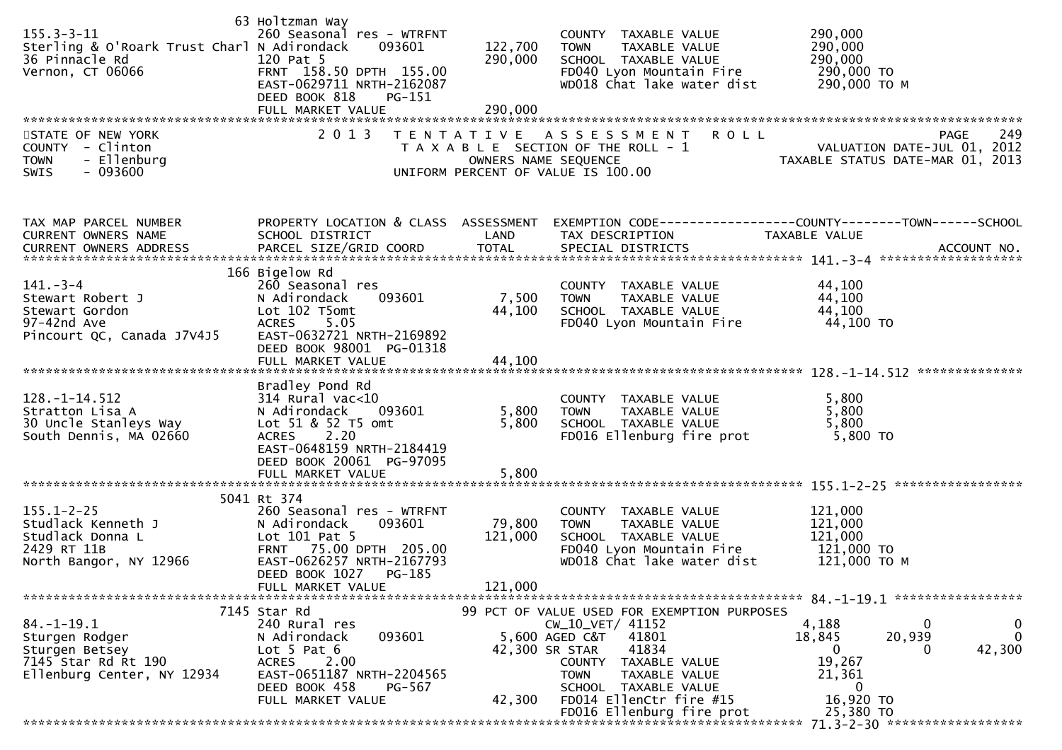| $155.3 - 3 - 11$<br>Sterling & O'Roark Trust Charl N Adirondack<br>36 Pinnacle Rd<br>Vernon, CT 06066<br>STATE OF NEW YORK<br>COUNTY - Clinton<br>- Ellenburg<br><b>TOWN</b><br>$-093600$<br>SWIS | 63 Holtzman Way<br>260 Seasonal res - WTRFNT<br>093601<br>120 Pat 5<br>FRNT 158.50 DPTH 155.00<br>EAST-0629711 NRTH-2162087<br>DEED BOOK 818<br>PG-151<br>FULL MARKET VALUE<br>2 0 1 3      | 122,700<br>290,000<br>290,000<br>OWNERS NAME SEQUENCE | COUNTY TAXABLE VALUE<br><b>TOWN</b><br>TAXABLE VALUE<br>SCHOOL TAXABLE VALUE<br>FD040 Lyon Mountain Fire<br>WD018 Chat lake water dist<br>TENTATIVE ASSESSMENT<br><b>ROLL</b><br>T A X A B L E SECTION OF THE ROLL - 1<br>UNIFORM PERCENT OF VALUE IS 100.00 | 290,000<br>290,000<br>290,000<br>290,000 TO<br>290,000 ТО М<br>249<br><b>PAGE</b><br>VALUATION DATE-JUL 01, 2012<br>TAXABLE STATUS DATE-MAR 01, 2013 |
|---------------------------------------------------------------------------------------------------------------------------------------------------------------------------------------------------|---------------------------------------------------------------------------------------------------------------------------------------------------------------------------------------------|-------------------------------------------------------|--------------------------------------------------------------------------------------------------------------------------------------------------------------------------------------------------------------------------------------------------------------|------------------------------------------------------------------------------------------------------------------------------------------------------|
| TAX MAP PARCEL NUMBER<br>CURRENT OWNERS NAME                                                                                                                                                      | SCHOOL DISTRICT                                                                                                                                                                             | LAND                                                  | TAX DESCRIPTION                                                                                                                                                                                                                                              | PROPERTY LOCATION & CLASS ASSESSMENT EXEMPTION CODE----------------COUNTY-------TOWN------SCHOOL<br>TAXABLE VALUE                                    |
| $141 - 3 - 4$<br>Stewart Robert J<br>Stewart Gordon<br>97-42nd Ave<br>Pincourt QC, Canada J7V4J5                                                                                                  | 166 Bigelow Rd<br>260 Seasonal res<br>093601<br>N Adirondack<br>Lot 102 T5omt<br>5.05<br><b>ACRES</b><br>EAST-0632721 NRTH-2169892<br>DEED BOOK 98001 PG-01318<br>FULL MARKET VALUE         | 7,500<br>44,100<br>44,100                             | COUNTY TAXABLE VALUE<br><b>TOWN</b><br>TAXABLE VALUE<br>SCHOOL TAXABLE VALUE<br>FD040 Lyon Mountain Fire                                                                                                                                                     | 44,100<br>44,100<br>44,100<br>44,100 TO                                                                                                              |
| $128. - 1 - 14.512$<br>Stratton Lisa A<br>30 Uncle Stanleys Way<br>South Dennis, MA 02660                                                                                                         | Bradley Pond Rd<br>$314$ Rural vac<10<br>N Adirondack<br>093601<br>Lot 51 & 52 T5 omt<br>2.20<br><b>ACRES</b><br>EAST-0648159 NRTH-2184419<br>DEED BOOK 20061 PG-97095<br>FULL MARKET VALUE | 5,800<br>5,800<br>5,800                               | COUNTY TAXABLE VALUE<br><b>TOWN</b><br>TAXABLE VALUE<br>SCHOOL TAXABLE VALUE<br>FD016 Ellenburg fire prot                                                                                                                                                    | 5,800<br>5,800<br>5,800<br>5,800 TO                                                                                                                  |
|                                                                                                                                                                                                   |                                                                                                                                                                                             |                                                       |                                                                                                                                                                                                                                                              |                                                                                                                                                      |
| $155.1 - 2 - 25$<br>Studlack Kenneth J<br>Studlack Donna L<br>2429 RT 11B<br>North Bangor, NY 12966                                                                                               | 5041 Rt 374<br>260 Seasonal res - WTRFNT<br>N Adirondack<br>093601<br>Lot 101 Pat 5<br>FRNT 75.00 DPTH 205.00<br>EAST-0626257 NRTH-2167793<br>DEED BOOK 1027<br>PG-185<br>FULL MARKET VALUE | 79,800<br>121,000<br>121,000                          | COUNTY TAXABLE VALUE<br>TAXABLE VALUE<br><b>TOWN</b><br>SCHOOL TAXABLE VALUE<br>FD040 Lyon Mountain Fire<br>WD018 Chat lake water dist                                                                                                                       | 121,000<br>121,000<br>121,000<br>121,000 TO<br>121,000 TO M                                                                                          |
|                                                                                                                                                                                                   | 7145 Star Rd                                                                                                                                                                                |                                                       | 99 PCT OF VALUE USED FOR EXEMPTION PURPOSES                                                                                                                                                                                                                  |                                                                                                                                                      |
| 84. –1–19.1<br>Sturgen Rodger<br>Sturgen Betsey<br>7145 Star Rd Rt 190<br>Ellenburg Center, NY 12934                                                                                              | 240 Rural res<br>N Adirondack<br>093601<br>Lot $5$ Pat $6$<br>2.00<br><b>ACRES</b><br>EAST-0651187 NRTH-2204565<br>DEED BOOK 458<br>PG-567                                                  | 42,300 SR STAR                                        | CW_10_VET/ 41152<br>5,600 AGED C&T<br>41801<br>41834<br>COUNTY TAXABLE VALUE<br><b>TOWN</b><br>TAXABLE VALUE<br>SCHOOL TAXABLE VALUE                                                                                                                         | 4,188<br>0<br>0<br>$\mathbf{0}$<br>18,845<br>20,939<br>42,300<br>0<br>0<br>19,267<br>21,361<br>0                                                     |
|                                                                                                                                                                                                   | FULL MARKET VALUE                                                                                                                                                                           | 42,300                                                | FD014 EllenCtr fire #15<br>FD016 Ellenburg fire prot                                                                                                                                                                                                         | 16,920 ТО<br>25,380 TO                                                                                                                               |
|                                                                                                                                                                                                   |                                                                                                                                                                                             |                                                       | ********************************                                                                                                                                                                                                                             | 71.3-2-30 *******************                                                                                                                        |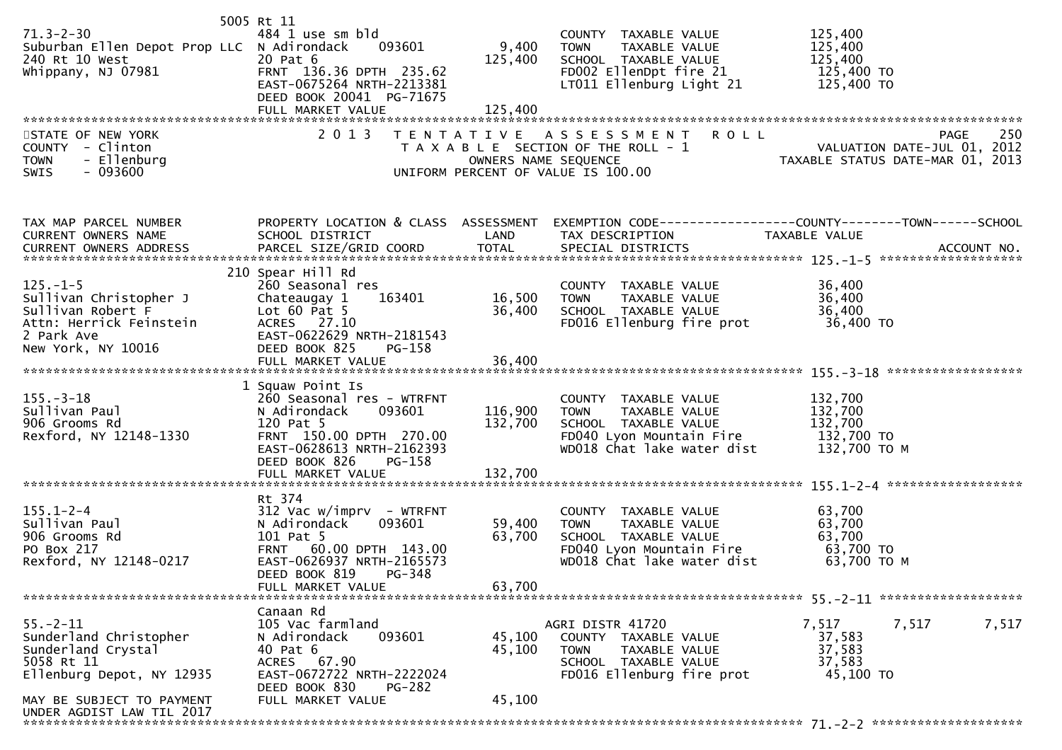|                                            | 5005 Rt 11                     |                      |                                                                                                  |                                                                 |       |
|--------------------------------------------|--------------------------------|----------------------|--------------------------------------------------------------------------------------------------|-----------------------------------------------------------------|-------|
| $71.3 - 2 - 30$                            | 484 1 use sm bld               |                      | COUNTY TAXABLE VALUE                                                                             | 125,400                                                         |       |
| Suburban Ellen Depot Prop LLC N Adirondack | 093601                         | 9,400                | <b>TOWN</b><br>TAXABLE VALUE                                                                     | 125,400                                                         |       |
| 240 Rt 10 West                             | 20 Pat 6                       | 125,400              | SCHOOL TAXABLE VALUE                                                                             | 125,400                                                         |       |
|                                            |                                |                      |                                                                                                  |                                                                 |       |
| Whippany, NJ 07981                         | FRNT 136.36 DPTH 235.62        |                      | FD002 EllenDpt fire 21                                                                           | 125,400 TO                                                      |       |
|                                            | EAST-0675264 NRTH-2213381      |                      | LT011 Ellenburg Light 21                                                                         | 125,400 TO                                                      |       |
|                                            | DEED BOOK 20041 PG-71675       |                      |                                                                                                  |                                                                 |       |
|                                            | FULL MARKET VALUE              | 125,400              |                                                                                                  |                                                                 |       |
|                                            |                                |                      |                                                                                                  |                                                                 |       |
| STATE OF NEW YORK                          | 2013                           |                      | <b>ROLL</b><br>TENTATIVE ASSESSMENT                                                              | <b>PAGE</b>                                                     | 250   |
| COUNTY - Clinton                           |                                |                      | T A X A B L E SECTION OF THE ROLL - 1                                                            |                                                                 |       |
|                                            |                                |                      |                                                                                                  | VALUATION DATE-JUL 01, 2012<br>TAXABLE STATUS DATE-MAR 01, 2013 |       |
| - Ellenburg<br><b>TOWN</b>                 |                                | OWNERS NAME SEQUENCE |                                                                                                  |                                                                 |       |
| $-093600$<br><b>SWIS</b>                   |                                |                      | UNIFORM PERCENT OF VALUE IS 100.00                                                               |                                                                 |       |
|                                            |                                |                      |                                                                                                  |                                                                 |       |
|                                            |                                |                      |                                                                                                  |                                                                 |       |
| TAX MAP PARCEL NUMBER                      |                                |                      | PROPERTY LOCATION & CLASS ASSESSMENT EXEMPTION CODE----------------COUNTY-------TOWN------SCHOOL |                                                                 |       |
| CURRENT OWNERS NAME                        | SCHOOL DISTRICT                | LAND                 | TAX DESCRIPTION                                                                                  | TAXABLE VALUE                                                   |       |
|                                            |                                |                      |                                                                                                  |                                                                 |       |
|                                            |                                |                      |                                                                                                  |                                                                 |       |
|                                            |                                |                      |                                                                                                  |                                                                 |       |
|                                            | 210 Spear Hill Rd              |                      |                                                                                                  |                                                                 |       |
| $125. - 1 - 5$                             | 260 Seasonal res               |                      | COUNTY TAXABLE VALUE                                                                             | 36,400                                                          |       |
| Sullivan Christopher J                     | 163401<br>Chateaugay 1         | 16,500               | TAXABLE VALUE<br><b>TOWN</b>                                                                     | 36,400                                                          |       |
| Sullivan Robert F                          | Lot $60$ Pat $5$               | 36,400               | SCHOOL TAXABLE VALUE                                                                             | 36,400                                                          |       |
| Attn: Herrick Feinstein                    | ACRES 27.10                    |                      | FD016 Ellenburg fire prot                                                                        | 36,400 TO                                                       |       |
| 2 Park Ave                                 | EAST-0622629 NRTH-2181543      |                      |                                                                                                  |                                                                 |       |
|                                            |                                |                      |                                                                                                  |                                                                 |       |
| New York, NY 10016                         | DEED BOOK 825<br>$PG-158$      |                      |                                                                                                  |                                                                 |       |
|                                            | FULL MARKET VALUE              | 36,400               |                                                                                                  |                                                                 |       |
|                                            |                                |                      |                                                                                                  |                                                                 |       |
|                                            | 1 Squaw Point Is               |                      |                                                                                                  |                                                                 |       |
| $155. - 3 - 18$                            | 260 Seasonal res - WTRFNT      |                      | COUNTY TAXABLE VALUE                                                                             | 132,700                                                         |       |
| Sullivan Paul                              | N Adirondack<br>093601         | 116,900              | TAXABLE VALUE<br><b>TOWN</b>                                                                     | 132,700                                                         |       |
| 906 Grooms Rd                              | 120 Pat 5                      | 132,700              | SCHOOL TAXABLE VALUE                                                                             | 132,700                                                         |       |
|                                            |                                |                      |                                                                                                  |                                                                 |       |
| Rexford, NY 12148-1330                     | FRNT 150.00 DPTH 270.00        |                      | FD040 Lyon Mountain Fire                                                                         | 132,700 TO                                                      |       |
|                                            | EAST-0628613 NRTH-2162393      |                      | WD018 Chat lake water dist                                                                       | 132,700 TO M                                                    |       |
|                                            | DEED BOOK 826<br>PG-158        |                      |                                                                                                  |                                                                 |       |
|                                            |                                |                      |                                                                                                  |                                                                 |       |
|                                            |                                |                      |                                                                                                  |                                                                 |       |
|                                            | Rt 374                         |                      |                                                                                                  |                                                                 |       |
| $155.1 - 2 - 4$                            | $312$ Vac w/imprv - WTRFNT     |                      | COUNTY TAXABLE VALUE                                                                             | 63,700                                                          |       |
| Sullivan Paul                              | 093601<br>N Adirondack         | 59,400               | <b>TOWN</b><br>TAXABLE VALUE                                                                     | 63,700                                                          |       |
|                                            |                                |                      |                                                                                                  |                                                                 |       |
| 906 Grooms Rd                              | 101 Pat 5                      | 63,700               | SCHOOL TAXABLE VALUE                                                                             | 63,700                                                          |       |
| PO Box 217                                 | FRNT 60.00 DPTH 143.00         |                      | FD040 Lyon Mountain Fire                                                                         | 63,700 TO                                                       |       |
| Rexford, NY 12148-0217                     | EAST-0626937 NRTH-2165573      |                      | WD018 Chat lake water dist                                                                       | 63,700 ТО М                                                     |       |
|                                            | DEED BOOK 819<br>PG-348        |                      |                                                                                                  |                                                                 |       |
|                                            | FULL MARKET VALUE              | 63,700               |                                                                                                  |                                                                 |       |
|                                            |                                |                      |                                                                                                  |                                                                 |       |
|                                            | Canaan Rd                      |                      |                                                                                                  |                                                                 |       |
|                                            |                                |                      |                                                                                                  |                                                                 |       |
| $55. - 2 - 11$                             | 105 Vac farmland               |                      | AGRI DISTR 41720                                                                                 | 7,517<br>7,517                                                  | 7,517 |
| Sunderland Christopher                     | 093601<br>N Adirondack         | 45,100               | COUNTY TAXABLE VALUE                                                                             | 37,583                                                          |       |
| Sunderland Crystal                         | 40 Pat 6                       | 45,100               | <b>TOWN</b><br>TAXABLE VALUE                                                                     | 37,583                                                          |       |
| 5058 Rt 11                                 | ACRES 67.90                    |                      | SCHOOL TAXABLE VALUE                                                                             | 37,583                                                          |       |
| Ellenburg Depot, NY 12935                  | EAST-0672722 NRTH-2222024      |                      | FD016 Ellenburg fire prot                                                                        | 45,100 TO                                                       |       |
|                                            | DEED BOOK 830<br><b>PG-282</b> |                      |                                                                                                  |                                                                 |       |
| MAY BE SUBJECT TO PAYMENT                  | FULL MARKET VALUE              | 45,100               |                                                                                                  |                                                                 |       |
|                                            |                                |                      |                                                                                                  |                                                                 |       |
| UNDER AGDIST LAW TIL 2017                  |                                |                      |                                                                                                  |                                                                 |       |
|                                            |                                |                      |                                                                                                  |                                                                 |       |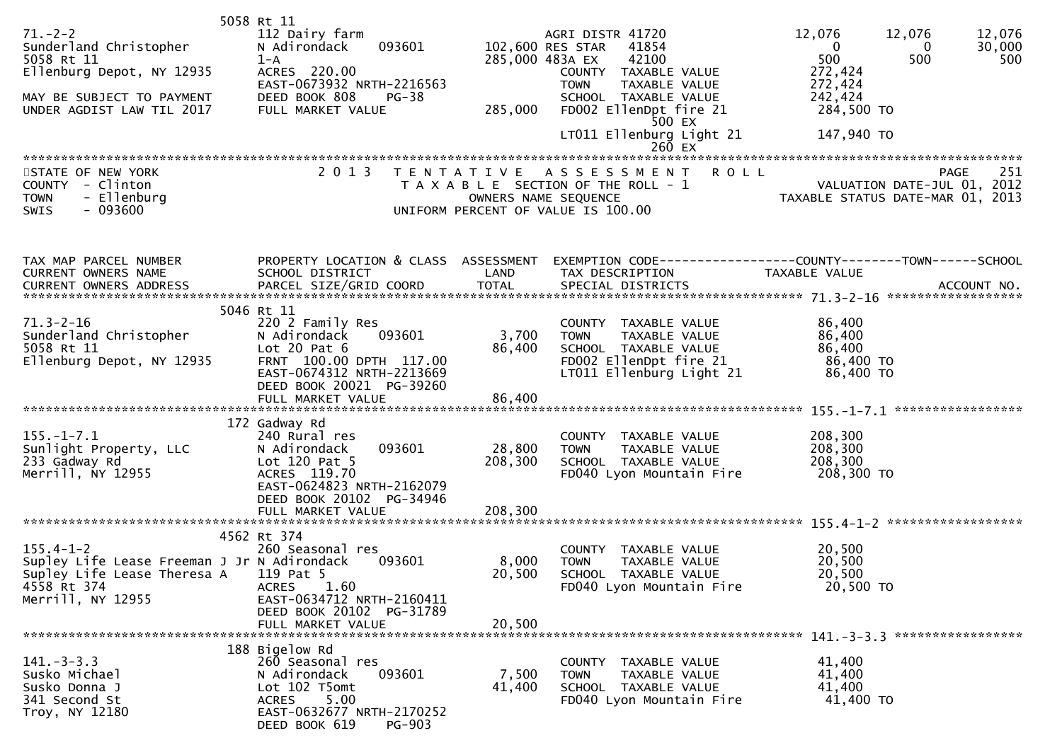| $71. - 2 - 2$<br>Sunderland Christopher<br>5058 Rt 11<br>Ellenburg Depot, NY 12935<br>MAY BE SUBJECT TO PAYMENT<br>UNDER AGDIST LAW TIL 2017 | 5058 Rt 11<br>112 Dairy farm<br>N Adirondack<br>093601<br>$1 - A$<br>ACRES 220.00<br>EAST-0673932 NRTH-2216563<br>DEED BOOK 808<br><b>PG-38</b><br>FULL MARKET VALUE      | 285,000 483A EX<br>285,000                | AGRI DISTR 41720<br>102,600 RES STAR<br>41854<br>42100<br>COUNTY TAXABLE VALUE<br><b>TOWN</b><br>TAXABLE VALUE<br>SCHOOL TAXABLE VALUE<br>FD002 EllenDpt fire 21<br>500 EX<br>LT011 Ellenburg Light 21<br>$260$ EX | 12,076<br>12,076<br>12,076<br>30,000<br>$\overline{0}$<br>$\bf{0}$<br>500<br>500<br>500<br>272,424<br>272,424<br>242,424<br>284,500 TO<br>147,940 TO |
|----------------------------------------------------------------------------------------------------------------------------------------------|---------------------------------------------------------------------------------------------------------------------------------------------------------------------------|-------------------------------------------|--------------------------------------------------------------------------------------------------------------------------------------------------------------------------------------------------------------------|------------------------------------------------------------------------------------------------------------------------------------------------------|
| STATE OF NEW YORK<br>COUNTY - Clinton<br>- Ellenburg<br><b>TOWN</b><br>$-093600$<br>SWIS                                                     | 2 0 1 3                                                                                                                                                                   | T E N T A T I V E<br>OWNERS NAME SEQUENCE | <b>ROLL</b><br>A S S E S S M E N T<br>T A X A B L E SECTION OF THE ROLL - 1<br>UNIFORM PERCENT OF VALUE IS 100.00                                                                                                  | 251<br>PAGE<br>251 - VALUATION DATE-JUL 01, 2012<br>TAXABLE STATUS DATE MARI 2012                                                                    |
| TAX MAP PARCEL NUMBER<br>CURRENT OWNERS NAME<br>CURRENT OWNERS ADDRESS                                                                       | SCHOOL DISTRICT                                                                                                                                                           | LAND                                      | TAX DESCRIPTION                                                                                                                                                                                                    | PROPERTY LOCATION & CLASS ASSESSMENT EXEMPTION CODE----------------COUNTY-------TOWN------SCHOOL<br><b>TAXABLE VALUE</b>                             |
|                                                                                                                                              |                                                                                                                                                                           |                                           |                                                                                                                                                                                                                    |                                                                                                                                                      |
| $71.3 - 2 - 16$<br>sunderland Christopher<br>5058 Rt 11<br>Ellenburg Depot, NY 12935                                                         | 5046 Rt 11<br>220 2 Family Res<br>N Adirondack<br>093601<br>Lot $20$ Pat $6$<br>FRNT 100.00 DPTH 117.00<br>EAST-0674312 NRTH-2213669<br>DEED BOOK 20021 PG-39260          | 3,700<br>86,400                           | COUNTY TAXABLE VALUE<br><b>TOWN</b><br>TAXABLE VALUE<br>SCHOOL TAXABLE VALUE<br>FD002 EllenDpt fire 21<br>LT011 Ellenburg Light 21                                                                                 | 86,400<br>86,400<br>86,400<br>86,400 TO<br>86,400 TO                                                                                                 |
| $155. - 1 - 7.1$<br>Sunlight Property, LLC<br>233 Gadway Rd<br>Merrill, NY 12955                                                             | 172 Gadway Rd<br>240 Rural res<br>093601<br>N Adirondack<br>Lot $120$ Pat 5<br>ACRES 119.70<br>EAST-0624823 NRTH-2162079<br>DEED BOOK 20102 PG-34946<br>FULL MARKET VALUE | 28,800<br>208,300<br>208,300              | COUNTY TAXABLE VALUE<br>TAXABLE VALUE<br><b>TOWN</b><br>SCHOOL TAXABLE VALUE<br>FD040 Lyon Mountain Fire                                                                                                           | 208,300<br>208,300<br>208,300<br>208,300 TO                                                                                                          |
| $155.4 - 1 - 2$<br>Supley Life Lease Freeman J Jr N Adirondack<br>Supley Life Lease Theresa A 119 Pat 5<br>4558 Rt 374<br>Merrill, NY 12955  | 4562 Rt 374<br>260 Seasonal res<br>093601<br>1.60<br>ACRES<br>EAST-0634712 NRTH-2160411<br>DEED BOOK 20102 PG-31789<br>FULL MARKET VALUE                                  | 8,000<br>20,500<br>20,500                 | COUNTY TAXABLE VALUE<br>TAXABLE VALUE<br><b>TOWN</b><br>SCHOOL TAXABLE VALUE<br>FD040 Lyon Mountain Fire                                                                                                           | 20,500<br>20,500<br>20,500<br>20,500 TO                                                                                                              |
| $141. - 3 - 3.3$<br>Susko Michael<br>Susko Donna J<br>341 Second St<br>Troy, NY 12180                                                        | 188 Bigelow Rd<br>260 Seasonal res<br>N Adirondack<br>093601<br>Lot 102 T5omt<br>5.00<br><b>ACRES</b><br>EAST-0632677 NRTH-2170252<br>DEED BOOK 619<br><b>PG-903</b>      | 7,500<br>41,400                           | COUNTY TAXABLE VALUE<br><b>TOWN</b><br>TAXABLE VALUE<br>SCHOOL TAXABLE VALUE<br>FD040 Lyon Mountain Fire                                                                                                           | 41,400<br>41,400<br>41,400<br>41,400 TO                                                                                                              |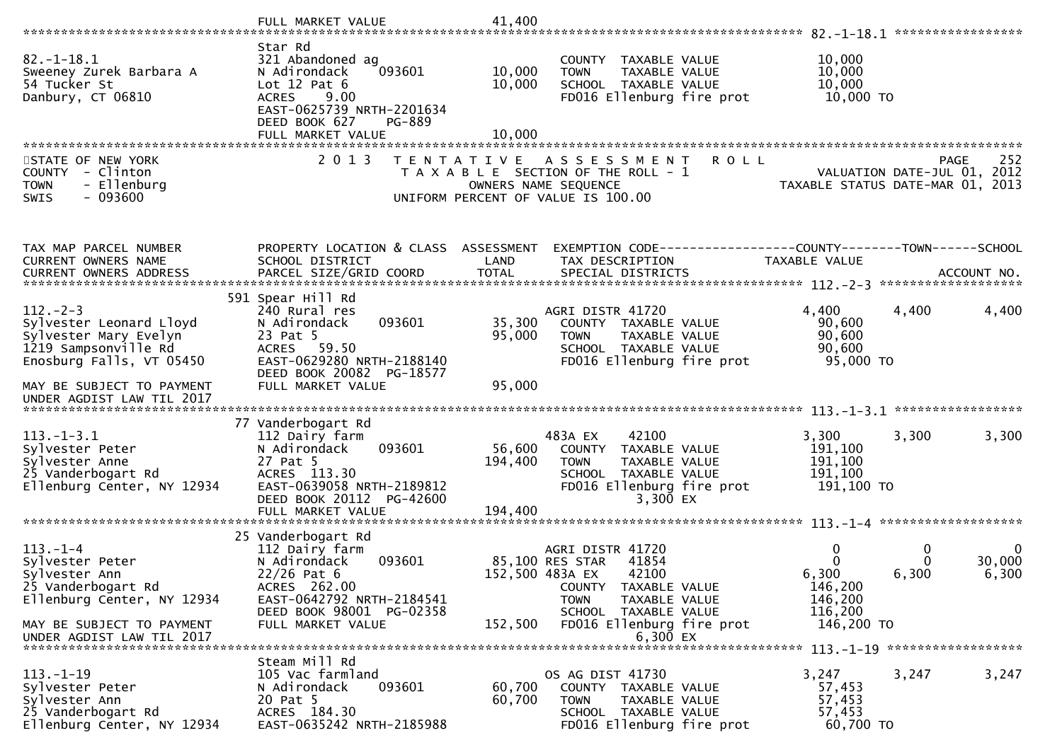|                                                                                                                                                    | FULL MARKET VALUE                                                                                                                                                              | 41,400                       |                                                                                                                                           |                                                                                                |                                 |
|----------------------------------------------------------------------------------------------------------------------------------------------------|--------------------------------------------------------------------------------------------------------------------------------------------------------------------------------|------------------------------|-------------------------------------------------------------------------------------------------------------------------------------------|------------------------------------------------------------------------------------------------|---------------------------------|
| $82. - 1 - 18.1$<br>Sweeney Zurek Barbara A<br>54 Tucker St<br>Danbury, CT 06810                                                                   | Star Rd<br>321 Abandoned ag<br>N Adirondack<br>093601<br>Lot $12$ Pat $6$<br>9.00<br><b>ACRES</b><br>EAST-0625739 NRTH-2201634<br>DEED BOOK 627<br>PG-889<br>FULL MARKET VALUE | 10,000<br>10,000<br>10,000   | COUNTY TAXABLE VALUE<br><b>TOWN</b><br>TAXABLE VALUE<br>SCHOOL TAXABLE VALUE<br>FD016 Ellenburg fire prot                                 | 10,000<br>10,000<br>10,000<br>10,000 TO                                                        |                                 |
| STATE OF NEW YORK<br>COUNTY - Clinton<br>- Ellenburg<br><b>TOWN</b><br>$-093600$<br><b>SWIS</b>                                                    | 2 0 1 3<br>T E N T A T I V E                                                                                                                                                   |                              | A S S E S S M E N T<br><b>ROLL</b><br>T A X A B L E SECTION OF THE ROLL - 1<br>OWNERS NAME SEQUENCE<br>UNIFORM PERCENT OF VALUE IS 100.00 | VALUATION DATE-JUL 01, 2012<br>VALUATION DATE JUL V1, 2013<br>TAXABLE STATUS DATE-MAR 01, 2013 | 252<br><b>PAGE</b>              |
| TAX MAP PARCEL NUMBER<br><b>CURRENT OWNERS NAME</b><br>CURRENT OWNERS ADDRESS                                                                      | PROPERTY LOCATION & CLASS ASSESSMENT<br>SCHOOL DISTRICT<br>PARCEL SIZE/GRID COORD                                                                                              | LAND<br><b>TOTAL</b>         | EXEMPTION CODE-----------------COUNTY-------TOWN------SCHOOL<br>TAX DESCRIPTION<br>SPECIAL DISTRICTS                                      | TAXABLE VALUE                                                                                  | ACCOUNT NO.                     |
|                                                                                                                                                    |                                                                                                                                                                                |                              |                                                                                                                                           |                                                                                                |                                 |
| $112 - 2 - 3$<br>Sylvester Leonard Lloyd<br>Sylvester Mary Evelyn<br>1219 Sampsonville Rd<br>Enosburg Falls, VT 05450<br>MAY BE SUBJECT TO PAYMENT | 591 Spear Hill Rd<br>240 Rural res<br>N Adirondack<br>093601<br>23 Pat 5<br>ACRES 59.50<br>EAST-0629280 NRTH-2188140<br>DEED BOOK 20082 PG-18577<br>FULL MARKET VALUE          | 35,300<br>95,000<br>95,000   | AGRI DISTR 41720<br>COUNTY TAXABLE VALUE<br>TAXABLE VALUE<br><b>TOWN</b><br>SCHOOL TAXABLE VALUE<br>FD016 Ellenburg fire prot             | 4,400<br>4,400<br>90,600<br>90,600<br>90,600<br>95,000 TO                                      | 4,400                           |
| UNDER AGDIST LAW TIL 2017                                                                                                                          |                                                                                                                                                                                |                              |                                                                                                                                           |                                                                                                |                                 |
| $113.-1-3.1$<br>Sylvester Peter<br>Sylvester Anne<br>25 Vanderbogart Rd<br>Ellenburg Center, NY 12934                                              | 77 Vanderbogart Rd<br>112 Dairy farm<br>093601<br>N Adirondack<br>27 Pat 5<br>ACRES 113.30<br>EAST-0639058 NRTH-2189812<br>DEED BOOK 20112 PG-42600                            | 56,600<br>194,400<br>194,400 | 483A EX<br>42100<br>COUNTY TAXABLE VALUE<br>TAXABLE VALUE<br><b>TOWN</b><br>SCHOOL TAXABLE VALUE<br>FD016 Ellenburg fire prot<br>3,300 EX | 3,300<br>3,300<br>191,100<br>191,100<br>191,100<br>191,100 TO                                  | 3,300                           |
|                                                                                                                                                    | FULL MARKET VALUE                                                                                                                                                              |                              |                                                                                                                                           |                                                                                                |                                 |
| $113. - 1 - 4$<br>Sylvester Peter<br>Sylvester Ann<br>25 Vanderbogart Rd<br>Ellenburg Center, NY 12934                                             | 25 Vanderbogart Rd<br>112 Dairy farm<br>093601<br>N Adirondack<br>$22/26$ Pat 6<br>ACRES 262.00<br>EAST-0642792 NRTH-2184541<br>DEED BOOK 98001 PG-02358                       | 152,500 483A EX              | AGRI DISTR 41720<br>85,100 RES STAR<br>41854<br>42100<br>COUNTY TAXABLE VALUE<br><b>TOWN</b><br>TAXABLE VALUE                             | 0<br>$\Omega$<br>6,300<br>6,300<br>146,200<br>146,200                                          | $\mathbf{0}$<br>30,000<br>6,300 |
| MAY BE SUBJECT TO PAYMENT<br>UNDER AGDIST LAW TIL 2017                                                                                             | FULL MARKET VALUE                                                                                                                                                              | 152,500                      | SCHOOL TAXABLE VALUE<br>FD016 Ellenburg fire prot<br>6,300 EX                                                                             | 116,200<br>146,200 TO<br>113. -1-19 *******************                                        |                                 |
| $113. - 1 - 19$<br>Sylvester Peter<br>Sylvester Ann<br>25 Vanderbogart Rd<br>Ellenburg Center, NY 12934                                            | Steam Mill Rd<br>105 Vac farmland<br>093601<br>N Adirondack<br>20 Pat 5<br>ACRES 184.30<br>EAST-0635242 NRTH-2185988                                                           | 60,700<br>60,700             | OS AG DIST 41730<br>COUNTY TAXABLE VALUE<br><b>TOWN</b><br>TAXABLE VALUE<br>SCHOOL TAXABLE VALUE<br>FD016 Ellenburg fire prot             | 3,247<br>3,247<br>57,453<br>57,453<br>57,453<br>60,700 TO                                      | 3,247                           |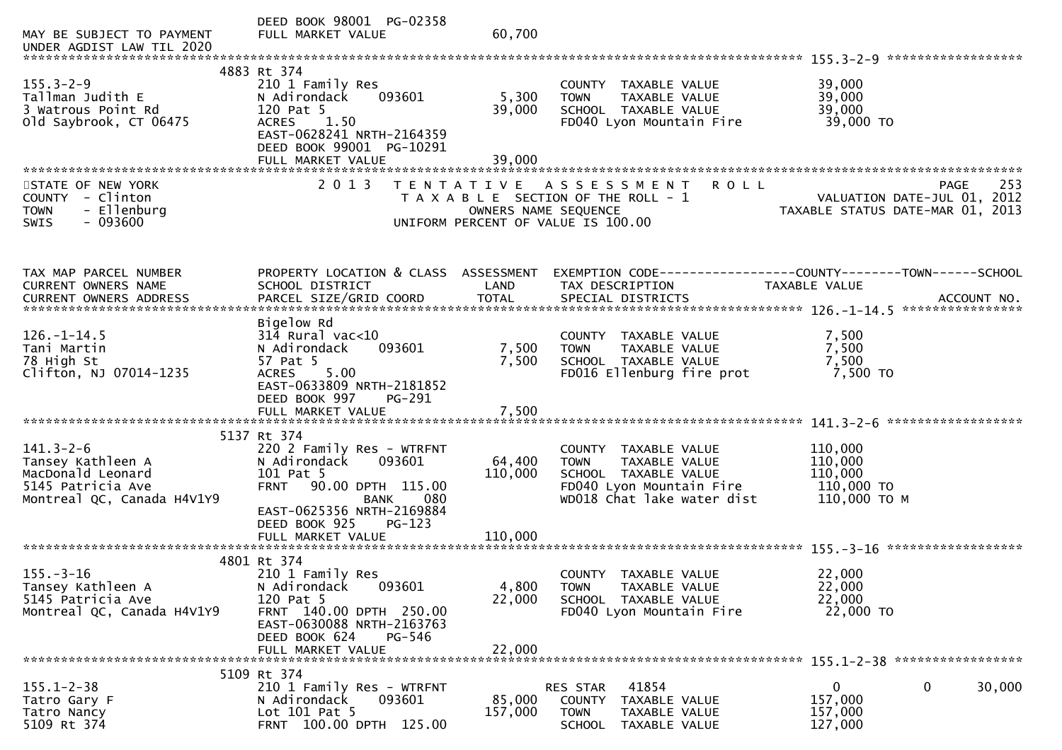| MAY BE SUBJECT TO PAYMENT<br>UNDER AGDIST LAW TIL 2020                                                       | DEED BOOK 98001 PG-02358<br>FULL MARKET VALUE                                                                                                          | 60,700                  |                                                                                                                                           |                                                                                |
|--------------------------------------------------------------------------------------------------------------|--------------------------------------------------------------------------------------------------------------------------------------------------------|-------------------------|-------------------------------------------------------------------------------------------------------------------------------------------|--------------------------------------------------------------------------------|
|                                                                                                              | 4883 Rt 374                                                                                                                                            |                         |                                                                                                                                           |                                                                                |
| $155.3 - 2 - 9$<br>Tallman Judith E<br>3 Watrous Point Rd<br>old Saybrook, CT 06475                          | 210 1 Family Res<br>N Adirondack<br>093601<br>120 Pat 5<br>1.50<br><b>ACRES</b><br>EAST-0628241 NRTH-2164359<br>DEED BOOK 99001 PG-10291               | 5,300<br>39,000         | COUNTY TAXABLE VALUE<br>TAXABLE VALUE<br><b>TOWN</b><br>SCHOOL TAXABLE VALUE<br>FD040 Lyon Mountain Fire                                  | 39,000<br>39,000<br>39,000<br>39,000 TO                                        |
|                                                                                                              |                                                                                                                                                        |                         |                                                                                                                                           |                                                                                |
| STATE OF NEW YORK<br>- Clinton<br><b>COUNTY</b><br>- Ellenburg<br><b>TOWN</b><br>SWIS<br>- 093600            | 2 0 1 3                                                                                                                                                | OWNERS NAME SEQUENCE    | TENTATIVE ASSESSMENT<br><b>ROLL</b><br>T A X A B L E SECTION OF THE ROLL - 1<br>UNIFORM PERCENT OF VALUE IS 100.00                        | 253<br>PAGE<br>VALUATION DATE-JUL 01, 2012<br>TAXABLE STATUS DATE-MAR 01, 2013 |
| TAX MAP PARCEL NUMBER<br><b>CURRENT OWNERS NAME</b><br><b>CURRENT OWNERS ADDRESS</b>                         | PROPERTY LOCATION & CLASS ASSESSMENT<br>SCHOOL DISTRICT                                                                                                | LAND                    | TAX DESCRIPTION                                                                                                                           | TAXABLE VALUE                                                                  |
| $126. - 1 - 14.5$<br>Tani Martin<br>78 High St<br>Clifton, NJ 07014-1235                                     | Bigelow Rd<br>$314$ Rural vac<10<br>093601<br>N Adirondack<br>57 Pat 5<br>5.00<br><b>ACRES</b><br>EAST-0633809 NRTH-2181852<br>DEED BOOK 997<br>PG-291 | 7,500<br>7,500<br>7,500 | COUNTY TAXABLE VALUE<br><b>TOWN</b><br>TAXABLE VALUE<br>SCHOOL TAXABLE VALUE<br>FD016 Ellenburg fire prot                                 | 7,500<br>7,500<br>7,500<br>7,500 TO                                            |
|                                                                                                              | FULL MARKET VALUE                                                                                                                                      |                         |                                                                                                                                           |                                                                                |
| $141.3 - 2 - 6$<br>Tansey Kathleen A<br>MacDonald Leonard<br>5145 Patricia Ave<br>Montreal QC, Canada H4V1Y9 | 5137 Rt 374<br>220 2 Family Res - WTRFNT<br>093601<br>N Adirondack<br>101 Pat 5<br>90.00 DPTH 115.00<br><b>FRNT</b><br><b>BANK</b><br>080              | 64,400<br>110,000       | COUNTY<br>TAXABLE VALUE<br>TAXABLE VALUE<br><b>TOWN</b><br>SCHOOL TAXABLE VALUE<br>FD040 Lyon Mountain Fire<br>WD018 Chat lake water dist | 110,000<br>110,000<br>110,000<br>110,000 TO<br>110,000 ТО М                    |
|                                                                                                              | EAST-0625356 NRTH-2169884<br>DEED BOOK 925<br>$PG-123$                                                                                                 |                         |                                                                                                                                           |                                                                                |
|                                                                                                              |                                                                                                                                                        |                         |                                                                                                                                           |                                                                                |
|                                                                                                              | 4801 Rt 374                                                                                                                                            |                         |                                                                                                                                           |                                                                                |
| $155. - 3 - 16$<br>Tansey Kathleen A<br>5145 Patricia Ave<br>Montreal QC, Canada H4V1Y9                      | 210 1 Family Res<br>093601<br>N Adirondack<br>120 Pat 5<br>FRNT 140.00 DPTH 250.00<br>EAST-0630088 NRTH-2163763<br>DEED BOOK 624<br>PG-546             | 4,800<br>22,000         | COUNTY TAXABLE VALUE<br><b>TOWN</b><br>TAXABLE VALUE<br>SCHOOL TAXABLE VALUE<br>FD040 Lyon Mountain Fire                                  | 22,000<br>22,000<br>22,000<br>22,000 TO                                        |
|                                                                                                              | FULL MARKET VALUE                                                                                                                                      | 22,000                  |                                                                                                                                           |                                                                                |
|                                                                                                              | 5109 Rt 374                                                                                                                                            |                         |                                                                                                                                           |                                                                                |
| $155.1 - 2 - 38$<br>Tatro Gary F<br>Tatro Nancy<br>5109 Rt 374                                               | 210 1 Family Res - WTRFNT<br>N Adirondack<br>093601<br>Lot $101$ Pat 5<br>FRNT 100.00 DPTH 125.00                                                      | 85,000<br>157,000       | 41854<br>RES STAR<br>COUNTY<br>TAXABLE VALUE<br><b>TOWN</b><br>TAXABLE VALUE<br>SCHOOL<br>TAXABLE VALUE                                   | $\mathbf 0$<br>0<br>30,000<br>157,000<br>157,000<br>127,000                    |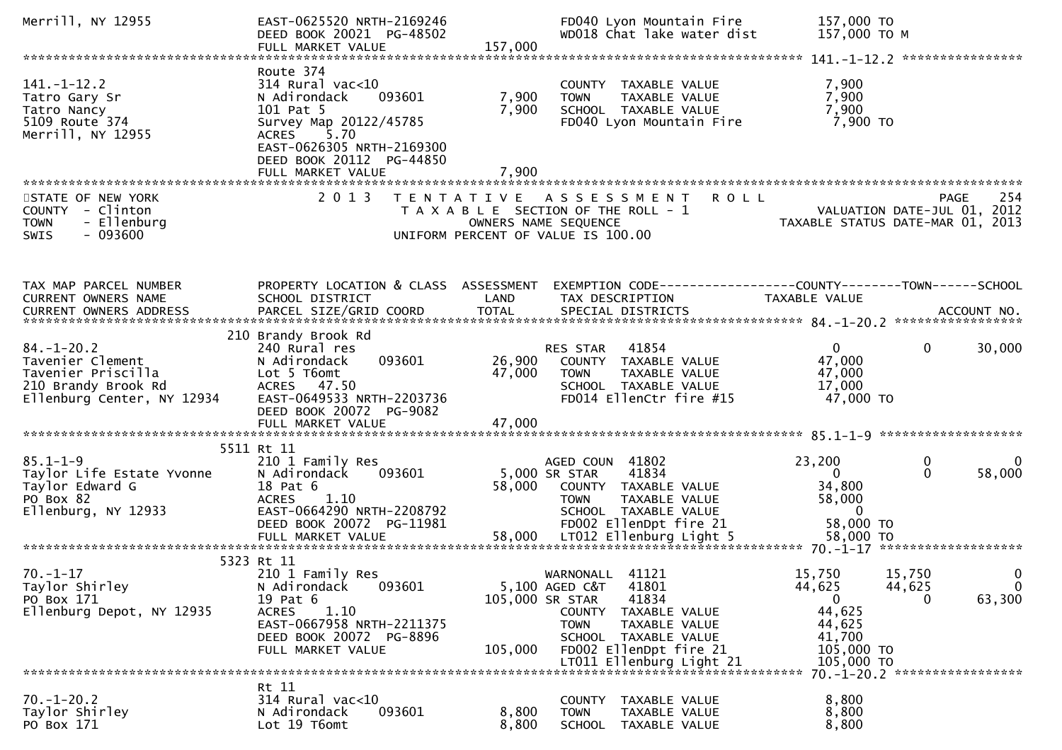| Merrill, NY 12955                                                                                               | EAST-0625520 NRTH-2169246<br>DEED BOOK 20021 PG-48502<br>FULL MARKET VALUE                                                                                                                 | 157,000                    | FD040 Lyon Mountain Fire<br>WD018 Chat lake water dist                                                                                                              | 157,000 TO<br>157,000 TO M                                                   |                                                                                            |
|-----------------------------------------------------------------------------------------------------------------|--------------------------------------------------------------------------------------------------------------------------------------------------------------------------------------------|----------------------------|---------------------------------------------------------------------------------------------------------------------------------------------------------------------|------------------------------------------------------------------------------|--------------------------------------------------------------------------------------------|
|                                                                                                                 |                                                                                                                                                                                            |                            |                                                                                                                                                                     |                                                                              |                                                                                            |
| $141. - 1 - 12.2$<br>Tatro Gary Sr<br>Tatro Nancy<br>5109 Route 374<br>Merrill, NY 12955                        | Route 374<br>314 Rural vac<10<br>093601<br>N Adirondack<br>101 Pat 5<br>Survey Map 20122/45785<br>ACRES 5.70<br>EAST-0626305 NRTH-2169300<br>DEED BOOK 20112 PG-44850<br>FULL MARKET VALUE | 7,900<br>7,900<br>7,900    | COUNTY TAXABLE VALUE<br>TAXABLE VALUE<br><b>TOWN</b><br>SCHOOL TAXABLE VALUE<br>FD040 Lyon Mountain Fire                                                            | 7,900<br>7,900<br>7,900<br>7,900 то                                          |                                                                                            |
|                                                                                                                 |                                                                                                                                                                                            |                            |                                                                                                                                                                     |                                                                              |                                                                                            |
| STATE OF NEW YORK<br>COUNTY - Clinton<br>- Ellenburg<br><b>TOWN</b><br>$-093600$<br><b>SWIS</b>                 | 2 0 1 3                                                                                                                                                                                    |                            | TENTATIVE ASSESSMENT<br><b>ROLL</b><br>T A X A B L E SECTION OF THE ROLL - 1<br>OWNERS NAME SEQUENCE<br>UNIFORM PERCENT OF VALUE IS 100.00                          |                                                                              | 254<br>PAGE<br>PAGE 254<br>VALUATION DATE-JUL 01, 2012<br>TAXABLE STATUS DATE-MAR 01, 2013 |
|                                                                                                                 |                                                                                                                                                                                            |                            |                                                                                                                                                                     |                                                                              |                                                                                            |
| TAX MAP PARCEL NUMBER<br>CURRENT OWNERS NAME                                                                    | PROPERTY LOCATION & CLASS ASSESSMENT<br>SCHOOL DISTRICT                                                                                                                                    | LAND                       | EXEMPTION CODE------------------COUNTY--------TOWN------SCHOOL<br>TAX DESCRIPTION                                                                                   | TAXABLE VALUE                                                                |                                                                                            |
|                                                                                                                 | 210 Brandy Brook Rd                                                                                                                                                                        |                            |                                                                                                                                                                     |                                                                              |                                                                                            |
| $84. - 1 - 20.2$<br>Tavenier Clement<br>Tavenier Priscilla<br>210 Brandy Brook Rd<br>Ellenburg Center, NY 12934 | 240 Rural res<br>093601<br>N Adirondack<br>Lot 5 T6omt<br>ACRES 47.50<br>EAST-0649533 NRTH-2203736<br>DEED BOOK 20072 PG-9082                                                              | 26,900<br>47,000           | 41854<br>RES STAR<br>COUNTY TAXABLE VALUE<br><b>TOWN</b><br>TAXABLE VALUE<br>SCHOOL TAXABLE VALUE<br>FD014 EllenCtr fire #15                                        | $\overline{0}$<br>47,000<br>47,000<br>17,000<br>47,000 TO                    | $\mathbf{0}$<br>30,000                                                                     |
|                                                                                                                 | FULL MARKET VALUE                                                                                                                                                                          | 47,000                     |                                                                                                                                                                     |                                                                              |                                                                                            |
|                                                                                                                 | 5511 Rt 11                                                                                                                                                                                 |                            |                                                                                                                                                                     |                                                                              |                                                                                            |
| $85.1 - 1 - 9$<br>Taylor Life Estate Yvonne<br>Taylor Edward G<br>PO Box 82<br>Ellenburg, NY 12933              | 210 1 Family Res<br>N Adirondack<br>093601<br>18 Pat 6<br><b>ACRES</b><br>1.10<br>EAST-0664290 NRTH-2208792<br>DEED BOOK 20072 PG-11981                                                    | 58,000                     | AGED COUN 41802<br>41834<br>5,000 SR STAR<br>COUNTY TAXABLE VALUE<br>TAXABLE VALUE<br><b>TOWN</b><br>SCHOOL TAXABLE VALUE<br>FD002 EllenDpt fire 21                 | 23,200<br>$\Omega$<br>34,800<br>58,000<br>$\mathbf{0}$<br>58,000 TO          | 0<br>0<br>58,000<br>$\mathbf{0}$                                                           |
|                                                                                                                 |                                                                                                                                                                                            |                            |                                                                                                                                                                     |                                                                              |                                                                                            |
| $70. - 1 - 17$<br>Taylor Shirley<br>PO Box 171<br>Ellenburg Depot, NY 12935                                     | 5323 Rt 11<br>210 1 Family Res<br>N Adirondack<br>093601<br>19 Pat 6<br>1.10<br><b>ACRES</b><br>EAST-0667958 NRTH-2211375<br>DEED BOOK 20072 PG-8896<br>FULL MARKET VALUE                  | 105,000 SR STAR<br>105,000 | 41121<br>WARNONALL<br>5,100 AGED C&T<br>41801<br>41834<br>COUNTY<br>TAXABLE VALUE<br><b>TOWN</b><br>TAXABLE VALUE<br>SCHOOL TAXABLE VALUE<br>FD002 EllenDpt fire 21 | 15,750<br>44,625<br>$\mathbf{0}$<br>44,625<br>44,625<br>41,700<br>105,000 TO | 15,750<br>0<br>44,625<br>$\mathbf 0$<br>63,300<br>$\Omega$                                 |
|                                                                                                                 |                                                                                                                                                                                            |                            | LT011 Ellenburg Light 21                                                                                                                                            | 105,000 TO                                                                   | 70. -1-20. 2 ******************                                                            |
|                                                                                                                 | Rt 11                                                                                                                                                                                      |                            |                                                                                                                                                                     |                                                                              |                                                                                            |
| $70. - 1 - 20.2$<br>Taylor Shirley<br>PO Box 171                                                                | $314$ Rural vac<10<br>N Adirondack<br>093601<br>Lot 19 T6omt                                                                                                                               | 8,800<br>8,800             | COUNTY TAXABLE VALUE<br><b>TOWN</b><br>TAXABLE VALUE<br>SCHOOL<br>TAXABLE VALUE                                                                                     | 8,800<br>8,800<br>8,800                                                      |                                                                                            |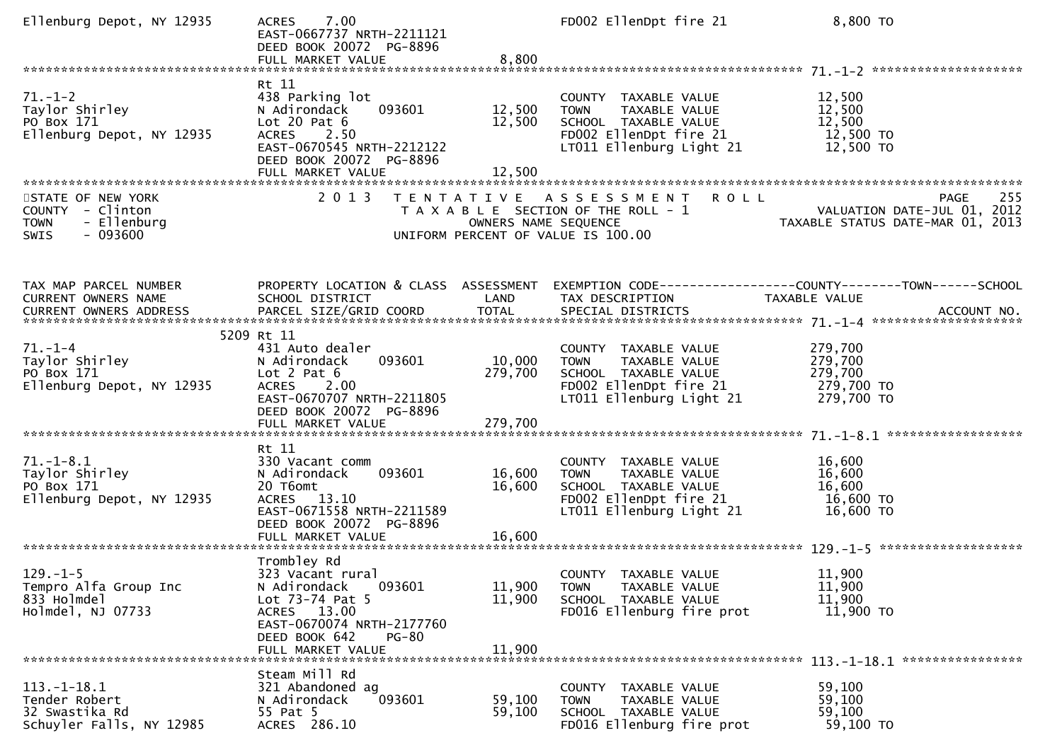| Ellenburg Depot, NY 12935                                                                      | 7.00<br><b>ACRES</b><br>EAST-0667737 NRTH-2211121<br>DEED BOOK 20072 PG-8896<br>FULL MARKET VALUE                                                                         | 8,800                        | FD002 EllenDpt fire 21                                                                                                             | 8,800 TO                                                                                                                                                                        |
|------------------------------------------------------------------------------------------------|---------------------------------------------------------------------------------------------------------------------------------------------------------------------------|------------------------------|------------------------------------------------------------------------------------------------------------------------------------|---------------------------------------------------------------------------------------------------------------------------------------------------------------------------------|
| $71. - 1 - 2$<br>Taylor Shirley<br>PO Box 171<br>Ellenburg Depot, NY 12935                     | Rt 11<br>438 Parking lot<br>N Adirondack<br>093601<br>Lot $20$ Pat $6$<br><b>ACRES</b><br>2.50<br>EAST-0670545 NRTH-2212122<br>DEED BOOK 20072 PG-8896                    | 12,500<br>12,500             | COUNTY TAXABLE VALUE<br>TAXABLE VALUE<br><b>TOWN</b><br>SCHOOL TAXABLE VALUE<br>FD002 EllenDpt fire 21<br>LT011 Ellenburg Light 21 | 12,500<br>12,500<br>12,500<br>12,500 TO<br>12,500 TO                                                                                                                            |
| STATE OF NEW YORK<br>COUNTY - Clinton<br><b>TOWN</b><br>- Ellenburg<br><b>SWIS</b><br>- 093600 | 2 0 1 3                                                                                                                                                                   | OWNERS NAME SEQUENCE         | TENTATIVE ASSESSMENT<br>T A X A B L E SECTION OF THE ROLL - 1<br>UNIFORM PERCENT OF VALUE IS 100.00                                | PAGE 255<br>VALUATION DATE-JUL 01, 2012<br>TAXARLE STATUS DATE USE 21, 2012                                                                                                     |
| TAX MAP PARCEL NUMBER<br>CURRENT OWNERS NAME                                                   | PROPERTY LOCATION & CLASS ASSESSMENT<br>SCHOOL DISTRICT                                                                                                                   | LAND                         | TAX DESCRIPTION                                                                                                                    | EXEMPTION CODE-----------------COUNTY-------TOWN-----SCHOOL<br><b>TAXABLE VALUE</b><br>CURRENT OWNERS ADDRESS PARCEL SIZE/GRID COORD TOTAL SPECIAL DISTRICTS (2007) ACCOUNT NO. |
| $71. - 1 - 4$<br>Taylor Shirley<br>PO Box 171<br>Ellenburg Depot, NY 12935                     | 5209 Rt 11<br>431 Auto dealer<br>093601<br>N Adirondack<br>Lot $2$ Pat $6$<br>ACRES 2.00<br>EAST-0670707 NRTH-2211805<br>DEED BOOK 20072 PG-8896<br>FULL MARKET VALUE     | 10,000<br>279,700<br>279,700 | COUNTY TAXABLE VALUE<br><b>TOWN</b><br>TAXABLE VALUE<br>SCHOOL TAXABLE VALUE<br>FD002 EllenDpt fire 21<br>LT011 Ellenburg Light 21 | 279,700<br>279,700<br>279,700<br>279,700 TO<br>279,700 TO                                                                                                                       |
| $71. - 1 - 8.1$<br>Taylor Shirley<br>PO Box 171<br>Ellenburg Depot, NY 12935                   | Rt 11<br>330 Vacant comm<br>N Adirondack<br>093601<br>20 T6omt<br>ACRES 13.10<br>EAST-0671558 NRTH-2211589<br>DEED BOOK 20072 PG-8896                                     | 16,600<br>16,600             | COUNTY TAXABLE VALUE<br>TAXABLE VALUE<br><b>TOWN</b><br>SCHOOL TAXABLE VALUE<br>FD002 EllenDpt fire 21<br>LT011 Ellenburg Light 21 | 16,600<br>16,600<br>16,600<br>16,600 TO<br>16,600 TO                                                                                                                            |
| $129. - 1 - 5$<br>Tempro Alfa Group Inc<br>833 Holmdel<br>Holmdel, NJ 07733                    | Trombley Rd<br>323 Vacant rural<br>N Adirondack<br>093601<br>Lot 73-74 Pat 5<br>ACRES 13.00<br>EAST-0670074 NRTH-2177760<br>DEED BOOK 642<br>$PG-80$<br>FULL MARKET VALUE | 11,900<br>11,900<br>11,900   | COUNTY TAXABLE VALUE<br><b>TOWN</b><br>TAXABLE VALUE<br>SCHOOL TAXABLE VALUE<br>FD016 Ellenburg fire prot                          | 11,900<br>11,900<br>11,900<br>11,900 TO                                                                                                                                         |
| $113.-1-18.1$<br>Tender Robert<br>32 Swastika Rd<br>Schuyler Falls, NY 12985                   | Steam Mill Rd<br>321 Abandoned ag<br>N Adirondack<br>093601<br>55 Pat 5<br>ACRES 286.10                                                                                   | 59,100<br>59,100             | COUNTY<br>TAXABLE VALUE<br><b>TOWN</b><br>TAXABLE VALUE<br>SCHOOL TAXABLE VALUE<br>FD016 Ellenburg fire prot                       | 59,100<br>59,100<br>59,100<br>59,100 TO                                                                                                                                         |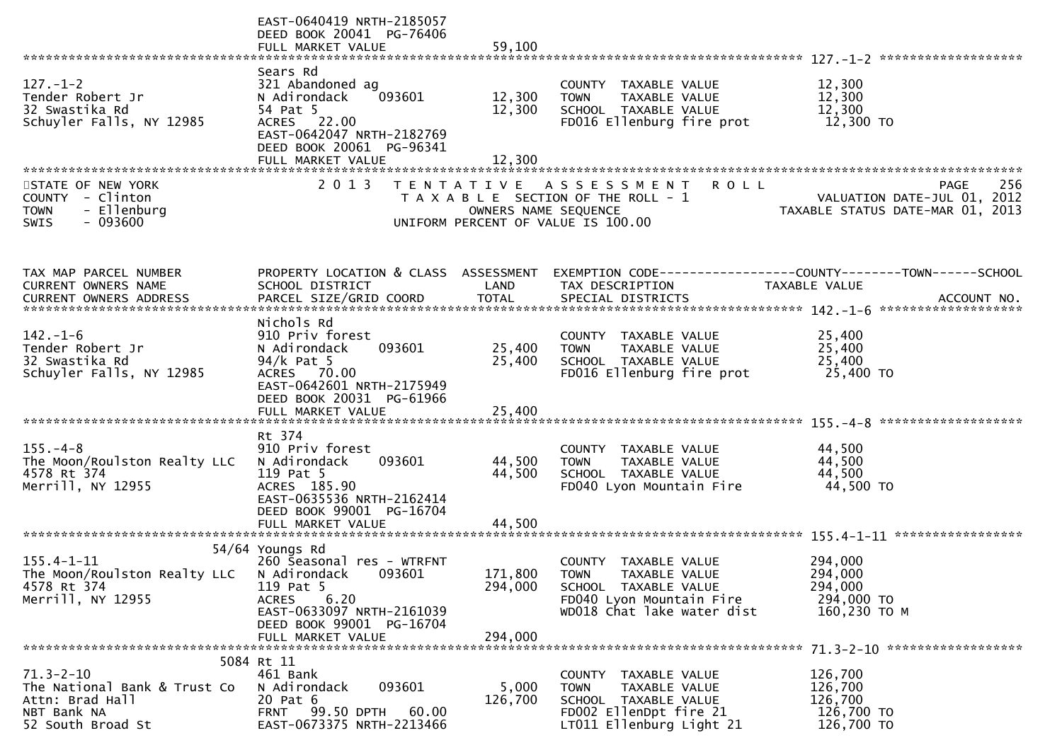|                                                                                                        | EAST-0640419 NRTH-2185057<br>DEED BOOK 20041 PG-76406<br>FULL MARKET VALUE                                                                                                         | 59,100                        |                                                                                                                                                  |                                                                                       |
|--------------------------------------------------------------------------------------------------------|------------------------------------------------------------------------------------------------------------------------------------------------------------------------------------|-------------------------------|--------------------------------------------------------------------------------------------------------------------------------------------------|---------------------------------------------------------------------------------------|
|                                                                                                        |                                                                                                                                                                                    |                               |                                                                                                                                                  |                                                                                       |
| $127. - 1 - 2$<br>Tender Robert Jr<br>32 Swastika Rd<br>Schuyler Falls, NY 12985                       | Sears Rd<br>321 Abandoned ag<br>093601<br>N Adirondack<br>54 Pat 5<br>ACRES 22.00<br>EAST-0642047 NRTH-2182769<br>DEED BOOK 20061 PG-96341                                         | 12,300<br>12,300              | COUNTY TAXABLE VALUE<br><b>TOWN</b><br>TAXABLE VALUE<br>SCHOOL TAXABLE VALUE<br>FD016 Ellenburg fire prot                                        | 12,300<br>12,300<br>12,300<br>12,300 TO                                               |
|                                                                                                        |                                                                                                                                                                                    |                               |                                                                                                                                                  |                                                                                       |
| STATE OF NEW YORK<br>COUNTY - Clinton<br>- Ellenburg<br><b>TOWN</b><br>$-093600$<br><b>SWIS</b>        | 2 0 1 3                                                                                                                                                                            | OWNERS NAME SEQUENCE          | TENTATIVE ASSESSMENT<br><b>ROLL</b><br>T A X A B L E SECTION OF THE ROLL - 1<br>UNIFORM PERCENT OF VALUE IS 100.00                               | 256<br><b>PAGE</b><br>VALUATION DATE-JUL 01, 2012<br>TAXABLE STATUS DATE-MAR 01, 2013 |
| TAX MAP PARCEL NUMBER<br>CURRENT OWNERS NAME                                                           | PROPERTY LOCATION & CLASS ASSESSMENT<br>SCHOOL DISTRICT                                                                                                                            | LAND                          | TAX DESCRIPTION                                                                                                                                  | EXEMPTION CODE-----------------COUNTY-------TOWN------SCHOOL<br>TAXABLE VALUE         |
| $142. - 1 - 6$<br>Tender Robert Jr<br>32 Swastika Rd<br>Schuyler Falls, NY 12985                       | Nichols Rd<br>910 Priv forest<br>093601<br>N Adirondack<br>$94/k$ Pat 5<br>ACRES 70.00<br>EAST-0642601 NRTH-2175949<br>DEED BOOK 20031 PG-61966                                    | 25,400<br>25,400              | COUNTY TAXABLE VALUE<br>TAXABLE VALUE<br><b>TOWN</b><br>SCHOOL TAXABLE VALUE<br>FD016 Ellenburg fire prot                                        | 25,400<br>25,400<br>25,400<br>25,400 TO                                               |
|                                                                                                        |                                                                                                                                                                                    |                               |                                                                                                                                                  |                                                                                       |
| $155. - 4 - 8$<br>The Moon/Roulston Realty LLC<br>4578 Rt 374<br>Merrill, NY 12955                     | Rt 374<br>910 Priv forest<br>093601<br>N Adirondack<br>119 Pat 5<br>ACRES 185.90<br>EAST-0635536 NRTH-2162414<br>DEED BOOK 99001 PG-16704                                          | 44,500<br>44,500              | COUNTY TAXABLE VALUE<br>TAXABLE VALUE<br><b>TOWN</b><br>SCHOOL TAXABLE VALUE<br>FD040 Lyon Mountain Fire                                         | 44,500<br>44,500<br>44,500<br>44,500 TO                                               |
|                                                                                                        | FULL MARKET VALUE                                                                                                                                                                  | 44,500                        |                                                                                                                                                  |                                                                                       |
| $155.4 - 1 - 11$<br>The Moon/Roulston Realty LLC<br>4578 Rt 374<br>Merrill, NY 12955                   | 54/64 Youngs Rd<br>260 Seasonal res - WTRFNT<br>N Adirondack<br>093601<br>119 Pat 5<br>6.20<br>ACRES<br>EAST-0633097 NRTH-2161039<br>DEED BOOK 99001 PG-16704<br>FULL MARKET VALUE | 171,800<br>294,000<br>294,000 | <b>COUNTY</b><br>TAXABLE VALUE<br><b>TOWN</b><br>TAXABLE VALUE<br>SCHOOL TAXABLE VALUE<br>FD040 Lyon Mountain Fire<br>WD018 Chat lake water dist | 294,000<br>294,000<br>294,000<br>294,000 TO<br>160,230 ТО М                           |
|                                                                                                        | 5084 Rt 11                                                                                                                                                                         |                               |                                                                                                                                                  |                                                                                       |
| $71.3 - 2 - 10$<br>The National Bank & Trust Co<br>Attn: Brad Hall<br>NBT Bank NA<br>52 South Broad St | 461 Bank<br>093601<br>N Adirondack<br>20 Pat 6<br><b>FRNT 99.50 DPTH</b><br>60.00<br>EAST-0673375 NRTH-2213466                                                                     | 5,000<br>126,700              | COUNTY TAXABLE VALUE<br><b>TOWN</b><br>TAXABLE VALUE<br>SCHOOL TAXABLE VALUE<br>FD002 EllenDpt fire 21<br>LT011 Ellenburg Light 21               | 126,700<br>126,700<br>126,700<br>126,700 TO<br>126,700 TO                             |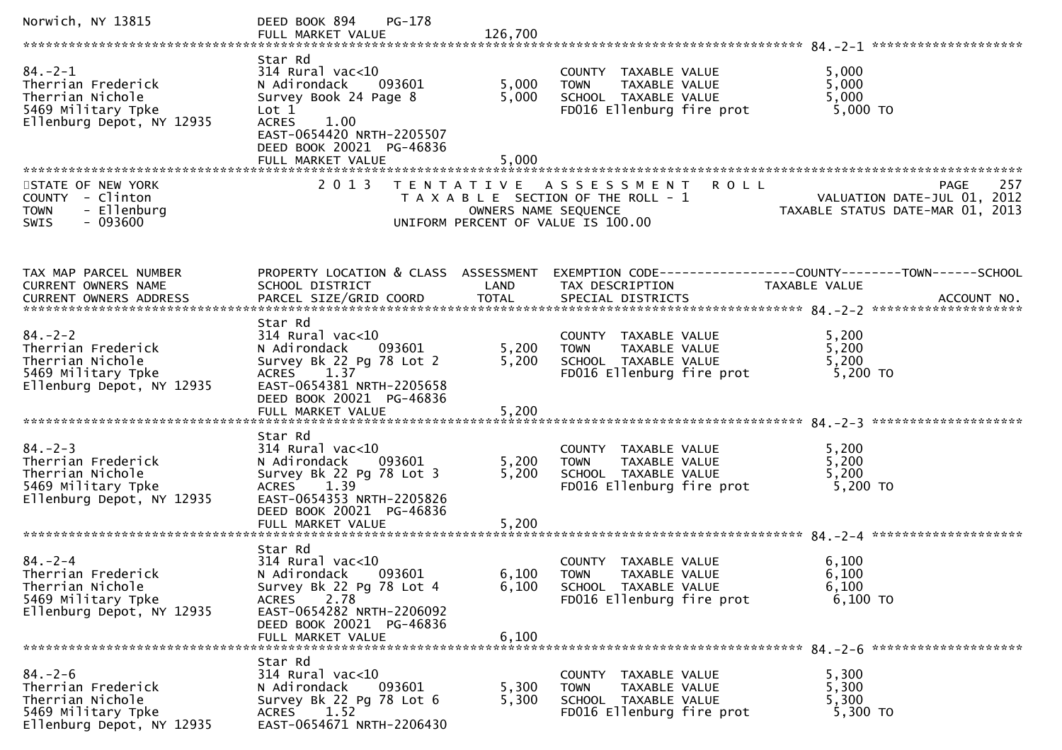| Norwich, NY 13815                                                                                          | $PG-178$<br>DEED BOOK 894                                                                                                                                                               |                         |                                                                                                           |                                                                                      |
|------------------------------------------------------------------------------------------------------------|-----------------------------------------------------------------------------------------------------------------------------------------------------------------------------------------|-------------------------|-----------------------------------------------------------------------------------------------------------|--------------------------------------------------------------------------------------|
| $84. -2 - 1$<br>Therrian Frederick<br>Therrian Nichole<br>5469 Military Tpke<br>Ellenburg Depot, NY 12935  | Star Rd<br>$314$ Rural vac<10<br>N Adirondack<br>093601<br>Survey Book 24 Page 8<br>Lot 1<br>1.00<br><b>ACRES</b><br>EAST-0654420 NRTH-2205507<br>DEED BOOK 20021 PG-46836              | 5,000<br>5,000<br>5,000 | COUNTY TAXABLE VALUE<br><b>TOWN</b><br>TAXABLE VALUE<br>SCHOOL TAXABLE VALUE<br>FD016 Ellenburg fire prot | 5,000<br>5,000<br>5,000<br>5,000 TO                                                  |
| STATE OF NEW YORK<br>COUNTY - Clinton<br>- Ellenburg<br><b>TOWN</b><br>$-093600$<br><b>SWIS</b>            | 2 0 1 3                                                                                                                                                                                 | OWNERS NAME SEQUENCE    | TENTATIVE ASSESSMENT ROLL<br>T A X A B L E SECTION OF THE ROLL - 1<br>UNIFORM PERCENT OF VALUE IS 100.00  | 257<br>PAGE<br>VALUATION DATE-JUL 01, 2012<br>TAXABLE STATUS DATE-MAR 01, 2013       |
| TAX MAP PARCEL NUMBER<br>CURRENT OWNERS NAME                                                               | PROPERTY LOCATION & CLASS ASSESSMENT<br>SCHOOL DISTRICT                                                                                                                                 | LAND                    | TAX DESCRIPTION                                                                                           | EXEMPTION        CODE-----------------COUNTY-------TOWN------SCHOOL<br>TAXABLE VALUE |
| $84. - 2 - 2$<br>Therrian Frederick<br>Therrian Nichole<br>5469 Military Tpke<br>Ellenburg Depot, NY 12935 | Star Rd<br>$314$ Rural vac<10<br>N Adirondack<br>093601<br>Survey Bk 22 Pg 78 Lot 2<br>ACRES 1.37<br>EAST-0654381 NRTH-2205658<br>DEED BOOK 20021 PG-46836                              | 5,200<br>5,200          | COUNTY TAXABLE VALUE<br>TAXABLE VALUE<br><b>TOWN</b><br>SCHOOL TAXABLE VALUE<br>FD016 Ellenburg fire prot | 5,200<br>5,200<br>5,200<br>5,200 TO                                                  |
| $84. - 2 - 3$<br>Therrian Frederick<br>Therrian Nichole<br>5469 Military Tpke<br>Ellenburg Depot, NY 12935 | Star Rd<br>$314$ Rural vac<10<br>N Adirondack 093601<br>Survey Bk 22 Pg 78 Lot 3<br>ACRES 1.39<br>EAST-0654353 NRTH-2205826<br>DEED BOOK 20021 PG-46836<br>FULL MARKET VALUE            | 5,200<br>5,200<br>5,200 | COUNTY TAXABLE VALUE<br>TAXABLE VALUE<br><b>TOWN</b><br>SCHOOL TAXABLE VALUE<br>FD016 Ellenburg fire prot | 5,200<br>5,200<br>5,200<br>5,200 TO                                                  |
| $84 - 2 - 4$<br>Therrian Frederick<br>Therrian Nichole<br>5469 Military Tpke<br>Ellenburg Depot, NY 12935  | Star Rd<br>314 Rural vac<10<br>093601<br>N Adirondack<br>Survey Bk 22 Pg 78 Lot 4<br><b>ACRES</b><br>2.78<br>EAST-0654282 NRTH-2206092<br>DEED BOOK 20021 PG-46836<br>FULL MARKET VALUE | 6,100<br>6,100          | COUNTY TAXABLE VALUE<br>6,100 TOWN TAXABLE VALUE<br>SCHOOL TAXABLE VALUE<br>FD016 Ellenburg fire prot     | 6,100<br>6,100<br>6,100<br>$6,100$ TO                                                |
| $84. - 2 - 6$<br>Therrian Frederick<br>Therrian Nichole<br>5469 Military Tpke<br>Ellenburg Depot, NY 12935 | Star Rd<br>314 Rural vac<10<br>N Adirondack<br>093601<br>Survey Bk 22 Pg 78 Lot 6<br>ACRES<br>1.52<br>EAST-0654671 NRTH-2206430                                                         | 5,300<br>5,300          | COUNTY TAXABLE VALUE<br>TAXABLE VALUE<br><b>TOWN</b><br>SCHOOL TAXABLE VALUE<br>FD016 Ellenburg fire prot | 5,300<br>5,300<br>5,300<br>5,300 TO                                                  |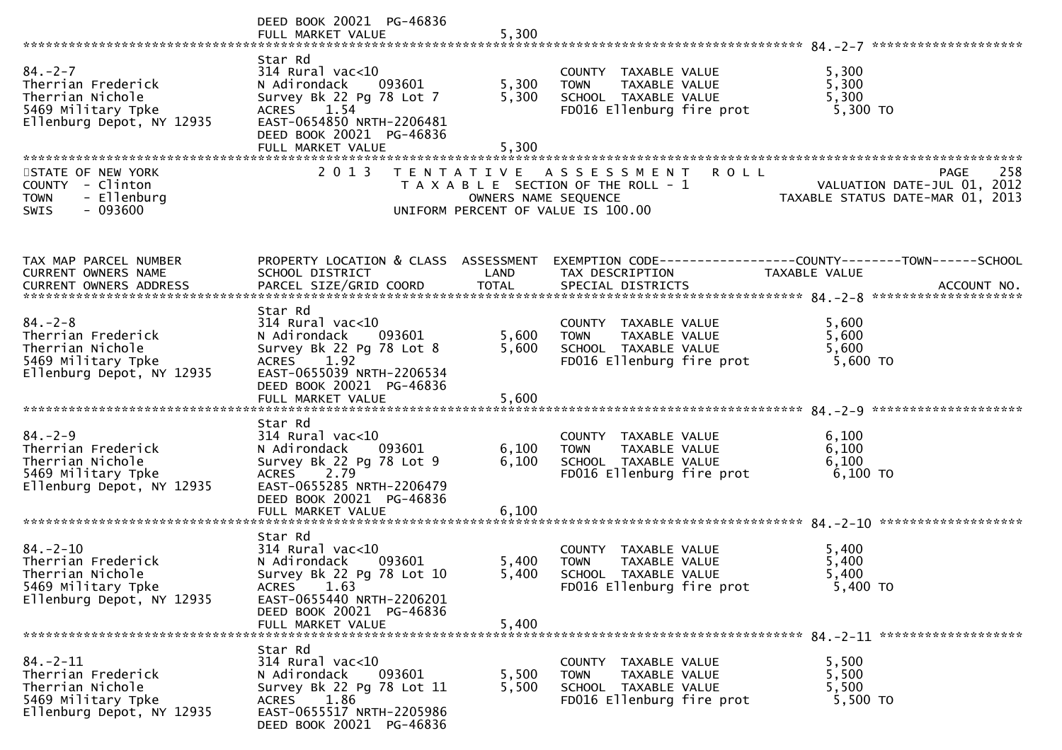|                                                                                                             | DEED BOOK 20021 PG-46836                                                                                                                                                        |                         |                                                                                                                    |                                                                                                                                                                                                               |
|-------------------------------------------------------------------------------------------------------------|---------------------------------------------------------------------------------------------------------------------------------------------------------------------------------|-------------------------|--------------------------------------------------------------------------------------------------------------------|---------------------------------------------------------------------------------------------------------------------------------------------------------------------------------------------------------------|
| $84. - 2 - 7$<br>Therrian Frederick<br>Therrian Nichole<br>5469 Military Tpke<br>Ellenburg Depot, NY 12935  | Star Rd<br>$314$ Rural vac<10<br>N Adirondack<br>093601<br>Survey Bk 22 Pg 78 Lot 7<br>ACRES 1.54<br>EAST-0654850 NRTH-2206481<br>DEED BOOK 20021 PG-46836<br>FULL MARKET VALUE | 5,300<br>5,300<br>5,300 | COUNTY TAXABLE VALUE<br>TAXABLE VALUE<br><b>TOWN</b><br>SCHOOL TAXABLE VALUE<br>FD016 Ellenburg fire prot          | 5,300<br>5,300<br>5,300<br>5,300 TO                                                                                                                                                                           |
| STATE OF NEW YORK<br>COUNTY - Clinton<br>- Ellenburg<br><b>TOWN</b><br>$-093600$<br>SWIS                    | 2 0 1 3                                                                                                                                                                         | OWNERS NAME SEQUENCE    | <b>ROLL</b><br>TENTATIVE ASSESSMENT<br>T A X A B L E SECTION OF THE ROLL - 1<br>UNIFORM PERCENT OF VALUE IS 100.00 | 258<br><b>PAGE</b><br>VALUATION DATE-JUL 01, 2012<br>TAXABLE STATUS DATE-MAR 01, 2013                                                                                                                         |
| TAX MAP PARCEL NUMBER<br>CURRENT OWNERS NAME                                                                | SCHOOL DISTRICT                                                                                                                                                                 | LAND                    | TAX DESCRIPTION                                                                                                    | PROPERTY LOCATION & CLASS ASSESSMENT EXEMPTION CODE----------------COUNTY-------TOWN------SCHOOL<br>TAXABLE VALUE<br>CURRENT OWNERS ADDRESS PARCEL SIZE/GRID COORD TOTAL SPECIAL DISTRICTS (2014) ACCOUNT NO. |
| $84. - 2 - 8$<br>Therrian Frederick<br>Therrian Nichole<br>5469 Military Tpke<br>Ellenburg Depot, NY 12935  | Star Rd<br>$314$ Rural vac<10<br>N Adirondack<br>093601<br>Survey Bk 22 Pg 78 Lot 8<br>ACRES 1.92<br>EAST-0655039 NRTH-2206534<br>DEED BOOK 20021 PG-46836                      | 5,600<br>5,600          | COUNTY TAXABLE VALUE<br>TAXABLE VALUE<br><b>TOWN</b><br>SCHOOL TAXABLE VALUE<br>FD016 Ellenburg fire prot          | 5,600<br>5,600<br>5,600<br>5,600 TO                                                                                                                                                                           |
| $84. - 2 - 9$<br>Therrian Frederick<br>Therrian Nichole<br>5469 Military Tpke<br>Ellenburg Depot, NY 12935  | Star Rd<br>$314$ Rural vac<10<br>N Adirondack<br>093601<br>Survey Bk 22 Pg 78 Lot 9<br>ACRES 2.79<br>EAST-0655285 NRTH-2206479<br>DEED BOOK 20021 PG-46836<br>FULL MARKET VALUE | 6,100<br>6,100<br>6,100 | COUNTY TAXABLE VALUE<br>TAXABLE VALUE<br><b>TOWN</b><br>SCHOOL TAXABLE VALUE<br>FD016 Ellenburg fire prot          | 6,100<br>6,100<br>6,100<br>6,100 то                                                                                                                                                                           |
| $84. - 2 - 10$<br>Therrian Frederick<br>Therrian Nichole<br>5469 Military Tpke<br>Ellenburg Depot, NY 12935 | Star Rd<br>314 Rural vac<10<br>N Adirondack<br>093601<br>Survey Bk 22 Pg 78 Lot 10<br>ACRES 1.63<br>EAST-0655440 NRTH-2206201<br>DEED BOOK 20021 PG-46836<br>FULL MARKET VALUE  | 5,400<br>5,400<br>5,400 | COUNTY TAXABLE VALUE<br><b>TOWN</b><br>TAXABLE VALUE<br>SCHOOL TAXABLE VALUE<br>FD016 Ellenburg fire prot          | 5,400<br>5,400<br>5.400<br>5,400 TO                                                                                                                                                                           |
| $84. - 2 - 11$<br>Therrian Frederick<br>Therrian Nichole<br>5469 Military Tpke<br>Ellenburg Depot, NY 12935 | Star Rd<br>314 Rural vac<10<br>N Adirondack<br>093601<br>Survey Bk 22 Pg 78 Lot 11<br>1.86<br>ACRES<br>EAST-0655517 NRTH-2205986<br>DEED BOOK 20021 PG-46836                    | 5,500<br>5,500          | COUNTY TAXABLE VALUE<br>TAXABLE VALUE<br><b>TOWN</b><br>SCHOOL TAXABLE VALUE<br>FD016 Ellenburg fire prot          | 5,500<br>5,500<br>5,500<br>5,500 TO                                                                                                                                                                           |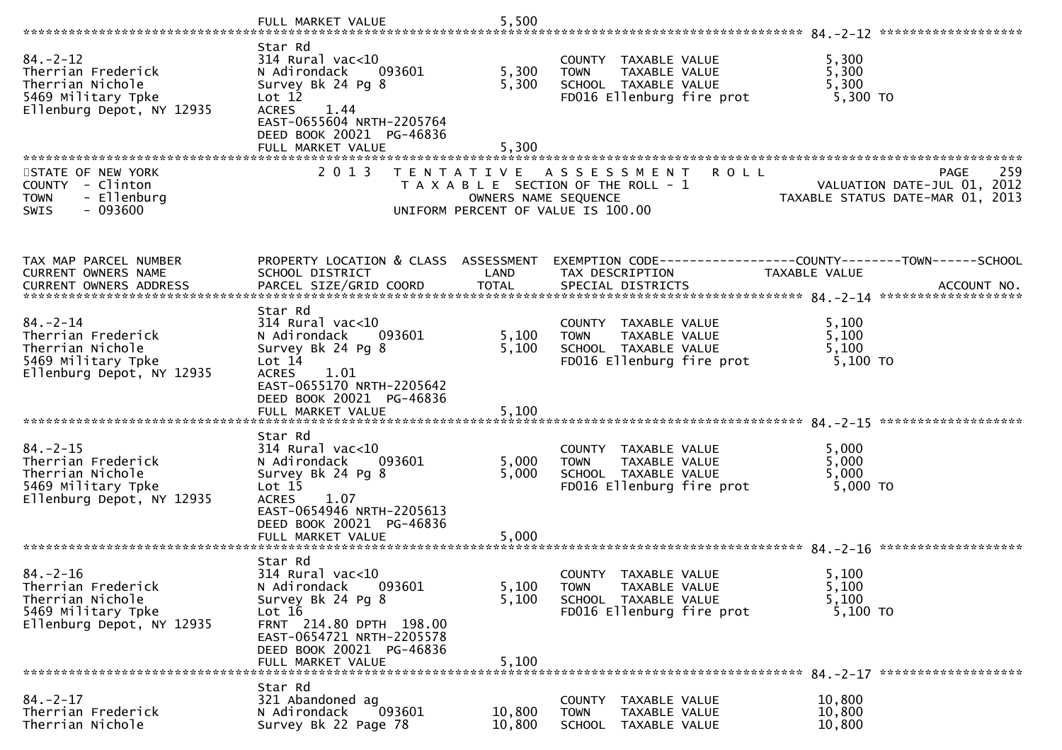|                                                                                                             | FULL MARKET VALUE                                                                                                                                                                                          | 5,500                   |                                                                                                                    |                                                                                                                   |
|-------------------------------------------------------------------------------------------------------------|------------------------------------------------------------------------------------------------------------------------------------------------------------------------------------------------------------|-------------------------|--------------------------------------------------------------------------------------------------------------------|-------------------------------------------------------------------------------------------------------------------|
| $84. - 2 - 12$<br>Therrian Frederick<br>Therrian Nichole<br>5469 Military Tpke<br>Ellenburg Depot, NY 12935 | Star Rd<br>$314$ Rural vac<10<br>N Adirondack<br>093601<br>Survey Bk 24 Pg 8<br>Lot 12<br><b>ACRES</b><br>1.44<br>EAST-0655604 NRTH-2205764<br>DEED BOOK 20021 PG-46836<br>FULL MARKET VALUE               | 5,300<br>5,300<br>5,300 | COUNTY TAXABLE VALUE<br>TAXABLE VALUE<br><b>TOWN</b><br>SCHOOL TAXABLE VALUE<br>FD016 Ellenburg fire prot          | 5,300<br>5,300<br>5,300<br>5,300 TO                                                                               |
| STATE OF NEW YORK<br>COUNTY - Clinton<br><b>TOWN</b><br>- Ellenburg<br>$-093600$<br><b>SWIS</b>             | 2 0 1 3                                                                                                                                                                                                    | OWNERS NAME SEQUENCE    | TENTATIVE ASSESSMENT<br><b>ROLL</b><br>T A X A B L E SECTION OF THE ROLL - 1<br>UNIFORM PERCENT OF VALUE IS 100.00 | 259<br><b>PAGE</b><br>VALUATION DATE-JUL 01, 2012<br>TAXABLE STATUS DATE-MAR 01, 2013                             |
| TAX MAP PARCEL NUMBER<br>CURRENT OWNERS NAME                                                                | SCHOOL DISTRICT                                                                                                                                                                                            | LAND                    | TAX DESCRIPTION                                                                                                    | PROPERTY LOCATION & CLASS ASSESSMENT EXEMPTION CODE----------------COUNTY-------TOWN------SCHOOL<br>TAXABLE VALUE |
| $84. - 2 - 14$<br>Therrian Frederick<br>Therrian Nichole<br>5469 Military Tpke<br>Ellenburg Depot, NY 12935 | Star Rd<br>314 Rural vac<10<br>N Adirondack<br>093601<br>Survey Bk 24 Pg 8<br>Lot 14<br><b>ACRES</b><br>1.01<br>EAST-0655170 NRTH-2205642<br>DEED BOOK 20021 PG-46836<br>FULL MARKET VALUE                 | 5,100<br>5,100<br>5,100 | COUNTY TAXABLE VALUE<br>TAXABLE VALUE<br>TOWN<br>SCHOOL TAXABLE VALUE<br>FD016 Ellenburg fire prot                 | 5,100<br>5,100<br>5,100<br>5,100 TO                                                                               |
| $84. - 2 - 15$<br>Therrian Frederick<br>Therrian Nichole<br>5469 Military Tpke<br>Ellenburg Depot, NY 12935 | Star Rd<br>$314$ Rural vac< $10$<br>093601<br>N Adirondack<br>Survey Bk 24 Pg 8<br>Lot <sub>15</sub><br><b>ACRES</b><br>1.07<br>EAST-0654946 NRTH-2205613<br>DEED BOOK 20021 PG-46836<br>FULL MARKET VALUE | 5,000<br>5,000<br>5,000 | COUNTY TAXABLE VALUE<br>TAXABLE VALUE<br><b>TOWN</b><br>SCHOOL TAXABLE VALUE<br>FD016 Ellenburg fire prot          | 5,000<br>5,000<br>5,000<br>5,000 TO                                                                               |
| $84. - 2 - 16$<br>Therrian Frederick<br>Therrian Nichole<br>5469 Military Tpke<br>Ellenburg Depot, NY 12935 | Star Rd<br>$314$ Rural vac<10<br>N Adirondack<br>093601<br>Survey Bk 24 Pg 8<br>Lot 16<br>FRNT 214.80 DPTH 198.00<br>EAST-0654721 NRTH-2205578<br>DEED BOOK 20021 PG-46836<br>FULL MARKET VALUE            | 5,100<br>5,100<br>5,100 | COUNTY TAXABLE VALUE<br>TAXABLE VALUE<br><b>TOWN</b><br>SCHOOL TAXABLE VALUE<br>FD016 Ellenburg fire prot          | 5,100<br>5,100<br>5,100<br>5,100 TO                                                                               |
| $84. - 2 - 17$<br>Therrian Frederick<br>Therrian Nichole                                                    | Star Rd<br>321 Abandoned ag<br>093601<br>N Adirondack<br>Survey Bk 22 Page 78                                                                                                                              | 10,800<br>10,800        | <b>COUNTY</b><br>TAXABLE VALUE<br><b>TOWN</b><br>TAXABLE VALUE<br>SCHOOL TAXABLE VALUE                             | 10,800<br>10,800<br>10,800                                                                                        |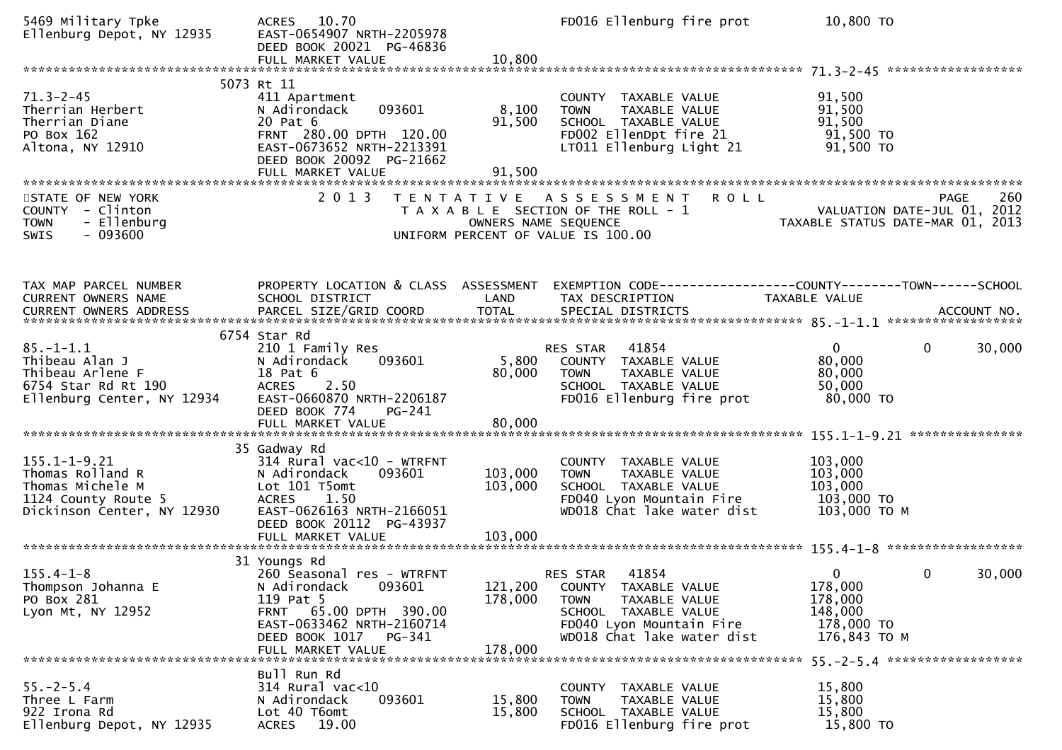| 5469 Military Tpke<br>Ellenburg Depot, NY 12935                                                                 | ACRES 10.70<br>EAST-0654907 NRTH-2205978<br>DEED BOOK 20021 PG-46836<br>FULL MARKET VALUE                                                                                                | 10,800                        | FD016 Ellenburg fire prot                                                                                                                                   | 10,800 TO                                                                                                 |             |
|-----------------------------------------------------------------------------------------------------------------|------------------------------------------------------------------------------------------------------------------------------------------------------------------------------------------|-------------------------------|-------------------------------------------------------------------------------------------------------------------------------------------------------------|-----------------------------------------------------------------------------------------------------------|-------------|
|                                                                                                                 | 5073 Rt 11                                                                                                                                                                               |                               |                                                                                                                                                             |                                                                                                           |             |
| $71.3 - 2 - 45$<br>Therrian Herbert<br>Therrian Diane<br>PO Box 162<br>Altona, NY 12910                         | 411 Apartment<br>093601<br>N Adirondack<br>20 Pat 6<br>FRNT 280.00 DPTH 120.00<br>EAST-0673652 NRTH-2213391<br>DEED BOOK 20092 PG-21662                                                  | 8,100<br>91,500               | COUNTY TAXABLE VALUE<br>TAXABLE VALUE<br><b>TOWN</b><br>SCHOOL TAXABLE VALUE<br>FD002 EllenDpt fire 21<br>LT011 Ellenburg Light 21                          | 91,500<br>91,500<br>91,500<br>91,500 TO<br>91,500 TO                                                      |             |
| STATE OF NEW YORK<br>COUNTY - Clinton<br>- Ellenburg<br><b>TOWN</b><br>$-093600$<br>SWIS                        | 2 0 1 3                                                                                                                                                                                  |                               | TENTATIVE ASSESSMENT<br><b>ROLL</b><br>T A X A B L E SECTION OF THE ROLL - 1<br>OWNERS NAME SEQUENCE<br>UNIFORM PERCENT OF VALUE IS 100.00                  | 260 PAGE<br>VALUATION DATE-JUL 01, 2012<br>TAXARLE STATUS DATE ULL 20<br>TAXABLE STATUS DATE-MAR 01, 2013 | 260<br>PAGE |
| TAX MAP PARCEL NUMBER<br>CURRENT OWNERS NAME                                                                    | PROPERTY LOCATION & CLASS ASSESSMENT<br>SCHOOL DISTRICT                                                                                                                                  | LAND                          | EXEMPTION CODE-----------------COUNTY-------TOWN------SCHOOL<br>TAX DESCRIPTION                                                                             | TAXABLE VALUE                                                                                             |             |
| $85. - 1 - 1.1$<br>Thibeau Alan J<br>Thibeau Arlene F<br>6754 Star Rd Rt 190<br>Ellenburg Center, NY 12934      | 6754 Star Rd<br>210 1 Family Res<br>093601<br>N Adirondack<br>18 Pat 6<br>2.50<br><b>ACRES</b><br>EAST-0660870 NRTH-2206187<br>DEED BOOK 774<br>PG-241<br>FULL MARKET VALUE              | 5,800<br>80,000<br>80,000     | 41854<br>RES STAR<br>COUNTY TAXABLE VALUE<br>TAXABLE VALUE<br><b>TOWN</b><br>SCHOOL TAXABLE VALUE<br>FD016 Ellenburg fire prot                              | $\mathbf{0}$<br>$\mathbf{0}$<br>80,000<br>80,000<br>50,000<br>80,000 TO                                   | 30,000      |
| $155.1 - 1 - 9.21$<br>Thomas Rolland R<br>Thomas Michele M<br>1124 County Route 5<br>Dickinson Center, NY 12930 | 35 Gadway Rd<br>314 Rural vac<10 - WTRFNT<br>N Adirondack<br>093601<br>Lot 101 T5omt<br><b>ACRES</b><br>1.50<br>EAST-0626163 NRTH-2166051<br>DEED BOOK 20112 PG-43937                    | 103,000<br>103,000            | COUNTY TAXABLE VALUE<br><b>TOWN</b><br>TAXABLE VALUE<br>SCHOOL TAXABLE VALUE<br>FD040 Lyon Mountain Fire<br>WD018 Chat lake water dist                      | 103,000<br>103,000<br>103,000<br>103,000 TO<br>103,000 ТО М                                               |             |
| $155.4 - 1 - 8$<br>Thompson Johanna E<br>PO Box 281<br>Lyon Mt, NY 12952                                        | 31 Youngs Rd<br>260 Seasonal res - WTRFNT<br>093601<br>N Adirondack<br>119 Pat 5<br>FRNT 65.00 DPTH 390.00<br>EAST-0633462 NRTH-2160714<br>DEED BOOK 1017<br>PG-341<br>FULL MARKET VALUE | 121,200<br>178,000<br>178,000 | 41854<br>RES STAR<br>COUNTY TAXABLE VALUE<br>TAXABLE VALUE<br><b>TOWN</b><br>SCHOOL TAXABLE VALUE<br>FD040 Lyon Mountain Fire<br>WD018 Chat lake water dist | $\mathbf{0}$<br>0<br>178,000<br>178,000<br>148,000<br>178,000 TO<br>176,843 ТО М                          | 30,000      |
| $55. - 2 - 5.4$<br>Three L Farm<br>922 Irona Rd<br>Ellenburg Depot, NY 12935                                    | Bull Run Rd<br>314 Rural vac<10<br>093601<br>N Adirondack<br>Lot 40 T6omt<br>19.00<br><b>ACRES</b>                                                                                       | 15,800<br>15,800              | COUNTY TAXABLE VALUE<br>TAXABLE VALUE<br>TOWN<br>SCHOOL TAXABLE VALUE<br>FD016 Ellenburg fire prot                                                          | 15,800<br>15,800<br>15,800<br>15,800 TO                                                                   |             |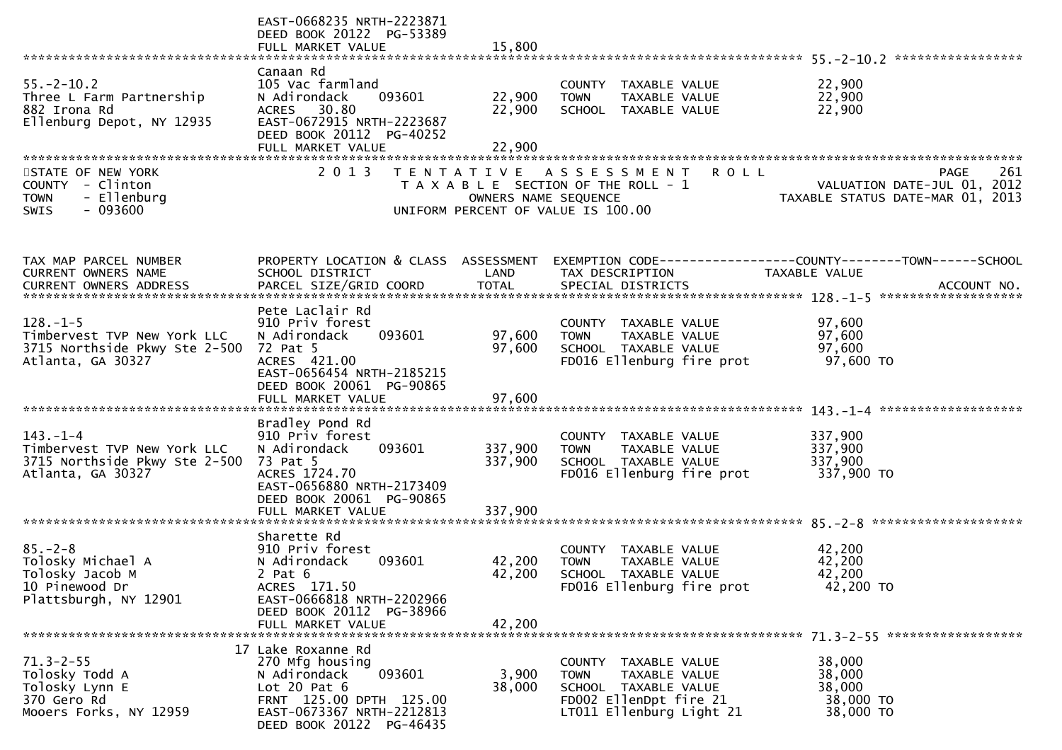|                                                              | EAST-0668235 NRTH-2223871<br>DEED BOOK 20122 PG-53389<br>FULL MARKET VALUE | 15,800               |                                                      |                                                                                                      |
|--------------------------------------------------------------|----------------------------------------------------------------------------|----------------------|------------------------------------------------------|------------------------------------------------------------------------------------------------------|
|                                                              | Canaan Rd                                                                  |                      |                                                      |                                                                                                      |
| $55. - 2 - 10.2$                                             | 105 Vac farmland                                                           |                      | COUNTY TAXABLE VALUE                                 | 22,900                                                                                               |
| Three L Farm Partnership                                     | 093601<br>N Adirondack<br>ACRES 30.80                                      | 22,900<br>22,900     | TAXABLE VALUE<br><b>TOWN</b>                         | 22,900<br>22,900                                                                                     |
| 882 Irona Rd<br>Ellenburg Depot, NY 12935                    | EAST-0672915 NRTH-2223687                                                  |                      | SCHOOL TAXABLE VALUE                                 |                                                                                                      |
|                                                              | DEED BOOK 20112 PG-40252                                                   |                      |                                                      |                                                                                                      |
|                                                              | FULL MARKET VALUE                                                          | 22,900               |                                                      |                                                                                                      |
| STATE OF NEW YORK                                            | 2 0 1 3                                                                    | T E N T A T I V E    | A S S E S S M E N T                                  | <b>ROLL</b><br>261<br>PAGE                                                                           |
| COUNTY - Clinton                                             |                                                                            |                      | T A X A B L E SECTION OF THE ROLL - 1                | VALUATION DATE-JUL 01, 2012                                                                          |
| - Ellenburg<br><b>TOWN</b>                                   |                                                                            | OWNERS NAME SEQUENCE |                                                      | TAXABLE STATUS DATE-MAR 01, 2013                                                                     |
| $-093600$<br>SWIS                                            |                                                                            |                      | UNIFORM PERCENT OF VALUE IS 100.00                   |                                                                                                      |
|                                                              |                                                                            |                      |                                                      |                                                                                                      |
|                                                              |                                                                            |                      |                                                      |                                                                                                      |
| TAX MAP PARCEL NUMBER                                        | PROPERTY LOCATION & CLASS ASSESSMENT                                       |                      |                                                      |                                                                                                      |
| CURRENT OWNERS NAME                                          | SCHOOL DISTRICT                                                            | LAND                 | TAX DESCRIPTION                                      | <b>TAXABLE VALUE</b>                                                                                 |
|                                                              |                                                                            |                      |                                                      | CURRENT OWNERS ADDRESS PARCEL SIZE/GRID COORD TOTAL SPECIAL DISTRICTS 700. TOTAL SPECIAL ACCOUNT NO. |
|                                                              | Pete Laclair Rd                                                            |                      |                                                      |                                                                                                      |
| $128. - 1 - 5$                                               | 910 Priv forest                                                            |                      | COUNTY TAXABLE VALUE                                 | 97,600                                                                                               |
| Timbervest TVP New York LLC<br>3715 Northside Pkwy Ste 2-500 | 093601<br>N Adirondack<br>72 Pat 5                                         | 97,600<br>97,600     | <b>TOWN</b><br>TAXABLE VALUE<br>SCHOOL TAXABLE VALUE | 97,600<br>97,600                                                                                     |
| Atlanta, GA 30327                                            | ACRES 421.00                                                               |                      | FD016 Ellenburg fire prot                            | 97,600 TO                                                                                            |
|                                                              | EAST-0656454 NRTH-2185215                                                  |                      |                                                      |                                                                                                      |
|                                                              | DEED BOOK 20061 PG-90865                                                   |                      |                                                      |                                                                                                      |
|                                                              | FULL MARKET VALUE                                                          | 97,600               |                                                      |                                                                                                      |
|                                                              | Bradley Pond Rd                                                            |                      |                                                      |                                                                                                      |
| $143. - 1 - 4$                                               | 910 Priv forest                                                            |                      | COUNTY TAXABLE VALUE                                 | 337,900                                                                                              |
| Timbervest TVP New York LLC                                  | 093601<br>N Adirondack                                                     | 337,900              | TAXABLE VALUE<br><b>TOWN</b>                         | 337,900                                                                                              |
| 3715 Northside Pkwy Ste 2-500<br>Atlanta, GA 30327           | 73 Pat 5<br>ACRES 1724.70                                                  | 337,900              | SCHOOL TAXABLE VALUE<br>FD016 Ellenburg fire prot    | 337,900<br>337,900 TO                                                                                |
|                                                              | EAST-0656880 NRTH-2173409                                                  |                      |                                                      |                                                                                                      |
|                                                              | DEED BOOK 20061 PG-90865                                                   |                      |                                                      |                                                                                                      |
|                                                              | FULL MARKET VALUE                                                          | 337,900              |                                                      |                                                                                                      |
|                                                              | Sharette Rd                                                                |                      |                                                      |                                                                                                      |
| $85. - 2 - 8$                                                | 910 Priv forest                                                            |                      | COUNTY TAXABLE VALUE                                 | 42,200                                                                                               |
| Tolosky Michael A                                            | 093601<br>N Adirondack                                                     | 42,200               | <b>TOWN</b><br>TAXABLE VALUE                         | 42,200                                                                                               |
| Tolosky Jacob M<br>10 Pinewood Dr                            | 2 Pat $6$<br>ACRES 171.50                                                  | 42,200               | SCHOOL TAXABLE VALUE<br>FD016 Ellenburg fire prot    | 42,200<br>42,200 TO                                                                                  |
| Plattsburgh, NY 12901                                        | EAST-0666818 NRTH-2202966                                                  |                      |                                                      |                                                                                                      |
|                                                              | DEED BOOK 20112 PG-38966                                                   |                      |                                                      |                                                                                                      |
|                                                              | FULL MARKET VALUE                                                          | 42,200               |                                                      |                                                                                                      |
|                                                              | 17 Lake Roxanne Rd                                                         |                      |                                                      |                                                                                                      |
| $71.3 - 2 - 55$                                              | 270 Mfg housing                                                            |                      | COUNTY TAXABLE VALUE                                 | 38,000                                                                                               |
| Tolosky Todd A                                               | N Adirondack<br>093601                                                     | 3,900                | <b>TOWN</b><br>TAXABLE VALUE                         | 38,000                                                                                               |
| Tolosky Lynn E                                               | Lot $20$ Pat $6$                                                           | 38,000               | SCHOOL TAXABLE VALUE                                 | 38,000                                                                                               |
| 370 Gero Rd<br>Mooers Forks, NY 12959                        | FRNT 125.00 DPTH 125.00<br>EAST-0673367 NRTH-2212813                       |                      | FD002 EllenDpt fire 21<br>LT011 Ellenburg Light 21   | 38,000 TO<br>38,000 TO                                                                               |
|                                                              | DEED BOOK 20122 PG-46435                                                   |                      |                                                      |                                                                                                      |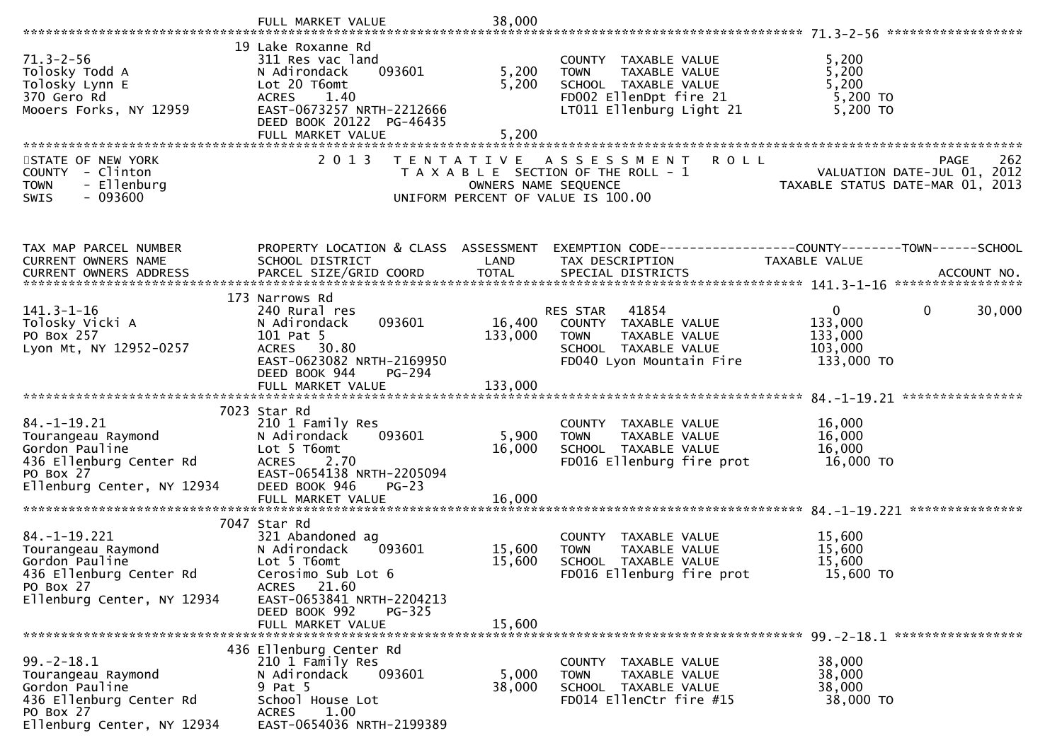|                                                                                                   | FULL MARKET VALUE                                                                                                                                                 | 38,000                                    |                                                                                                                                    |                                                                                       |
|---------------------------------------------------------------------------------------------------|-------------------------------------------------------------------------------------------------------------------------------------------------------------------|-------------------------------------------|------------------------------------------------------------------------------------------------------------------------------------|---------------------------------------------------------------------------------------|
|                                                                                                   |                                                                                                                                                                   |                                           |                                                                                                                                    |                                                                                       |
| $71.3 - 2 - 56$<br>Tolosky Todd A<br>Tolosky Lynn E<br>370 Gero Rd<br>Mooers Forks, NY 12959      | 19 Lake Roxanne Rd<br>311 Res vac land<br>093601<br>N Adirondack<br>Lot 20 T6omt<br><b>ACRES</b><br>1.40<br>EAST-0673257 NRTH-2212666<br>DEED BOOK 20122 PG-46435 | 5,200<br>5,200                            | COUNTY TAXABLE VALUE<br>TAXABLE VALUE<br><b>TOWN</b><br>SCHOOL TAXABLE VALUE<br>FD002 EllenDpt fire 21<br>LT011 Ellenburg Light 21 | 5,200<br>5,200<br>5,200<br>5,200 TO<br>$5,200$ TO                                     |
|                                                                                                   | FULL MARKET VALUE                                                                                                                                                 | 5,200                                     |                                                                                                                                    |                                                                                       |
| STATE OF NEW YORK<br>COUNTY - Clinton<br>- Ellenburg<br><b>TOWN</b><br>SWIS<br>- 093600           | 2 0 1 3                                                                                                                                                           | T E N T A T I V E<br>OWNERS NAME SEQUENCE | <b>ROLL</b><br>A S S E S S M E N T<br>T A X A B L E SECTION OF THE ROLL - 1<br>UNIFORM PERCENT OF VALUE IS 100.00                  | 262<br>PAGE<br>VALUATION DATE-JUL 01, 2012<br>TAXABLE STATUS DATE-MAR 01, 2013        |
| TAX MAP PARCEL NUMBER                                                                             | PROPERTY LOCATION & CLASS ASSESSMENT                                                                                                                              |                                           |                                                                                                                                    | EXEMPTION        CODE-----------------COUNTY-------TOWN------SCHOOL                   |
| CURRENT OWNERS NAME                                                                               | SCHOOL DISTRICT                                                                                                                                                   | LAND                                      | TAX DESCRIPTION                                                                                                                    | TAXABLE VALUE                                                                         |
|                                                                                                   | 173 Narrows Rd                                                                                                                                                    |                                           |                                                                                                                                    |                                                                                       |
| $141.3 - 1 - 16$<br>Tolosky Vicki A<br>PO Box 257<br>Lyon Mt, NY 12952-0257                       | 240 Rural res<br>093601<br>N Adirondack<br>101 Pat 5<br>ACRES 30.80<br>EAST-0623082 NRTH-2169950<br>DEED BOOK 944<br>PG-294                                       | 16,400<br>133,000                         | 41854<br>RES STAR<br>COUNTY TAXABLE VALUE<br><b>TOWN</b><br>TAXABLE VALUE<br>SCHOOL TAXABLE VALUE<br>FD040 Lyon Mountain Fire      | $\mathbf{0}$<br>$\mathbf{0}$<br>30,000<br>133,000<br>133,000<br>103,000<br>133,000 TO |
|                                                                                                   |                                                                                                                                                                   |                                           |                                                                                                                                    |                                                                                       |
| $84. - 1 - 19.21$<br>Tourangeau Raymond<br>Gordon Pauline<br>436 Ellenburg Center Rd              | 7023 Star Rd<br>210 1 Family Res<br>N Adirondack<br>093601<br>Lot 5 T6omt<br><b>ACRES</b><br>2.70<br>EAST-0654138 NRTH-2205094                                    | 5,900<br>16,000                           | COUNTY TAXABLE VALUE<br><b>TOWN</b><br>TAXABLE VALUE<br>SCHOOL TAXABLE VALUE<br>FD016 Ellenburg fire prot                          | 16,000<br>16,000<br>16,000<br>16,000 TO                                               |
| PO Box 27<br>Ellenburg Center, NY 12934                                                           | DEED BOOK 946<br>$PG-23$<br>FULL MARKET VALUE                                                                                                                     | 16,000                                    |                                                                                                                                    |                                                                                       |
|                                                                                                   | 7047 Star Rd                                                                                                                                                      |                                           |                                                                                                                                    |                                                                                       |
| $84. -1 - 19.221$<br>Tourangeau Raymond<br>Gordon Pauline<br>436 Ellenburg Center Rd<br>PO Box 27 | 321 Abandoned ag<br>N Adirondack<br>093601<br>Lot 5 T6omt<br>Cerosimo Sub Lot 6<br>ACRES 21.60                                                                    | 15,600<br>15,600                          | COUNTY TAXABLE VALUE<br>TAXABLE VALUE<br><b>TOWN</b><br>SCHOOL TAXABLE VALUE<br>FD016 Ellenburg fire prot                          | 15,600<br>15,600<br>15,600<br>15,600 TO                                               |
| Ellenburg Center, NY 12934                                                                        | EAST-0653841 NRTH-2204213<br>DEED BOOK 992<br>$PG-325$<br>FULL MARKET VALUE                                                                                       | 15,600                                    |                                                                                                                                    |                                                                                       |
|                                                                                                   |                                                                                                                                                                   |                                           |                                                                                                                                    |                                                                                       |
| $99. - 2 - 18.1$<br>Tourangeau Raymond<br>Gordon Pauline<br>436 Ellenburg Center Rd<br>PO Box 27  | 436 Ellenburg Center Rd<br>210 1 Family Res<br>093601<br>N Adirondack<br>9 Pat 5<br>School House Lot<br>1.00<br>ACRES                                             | 5,000<br>38,000                           | COUNTY TAXABLE VALUE<br><b>TOWN</b><br>TAXABLE VALUE<br>SCHOOL TAXABLE VALUE<br>FD014 EllenCtr fire #15                            | 38,000<br>38,000<br>38,000<br>38,000 TO                                               |
| Ellenburg Center, NY 12934                                                                        | EAST-0654036 NRTH-2199389                                                                                                                                         |                                           |                                                                                                                                    |                                                                                       |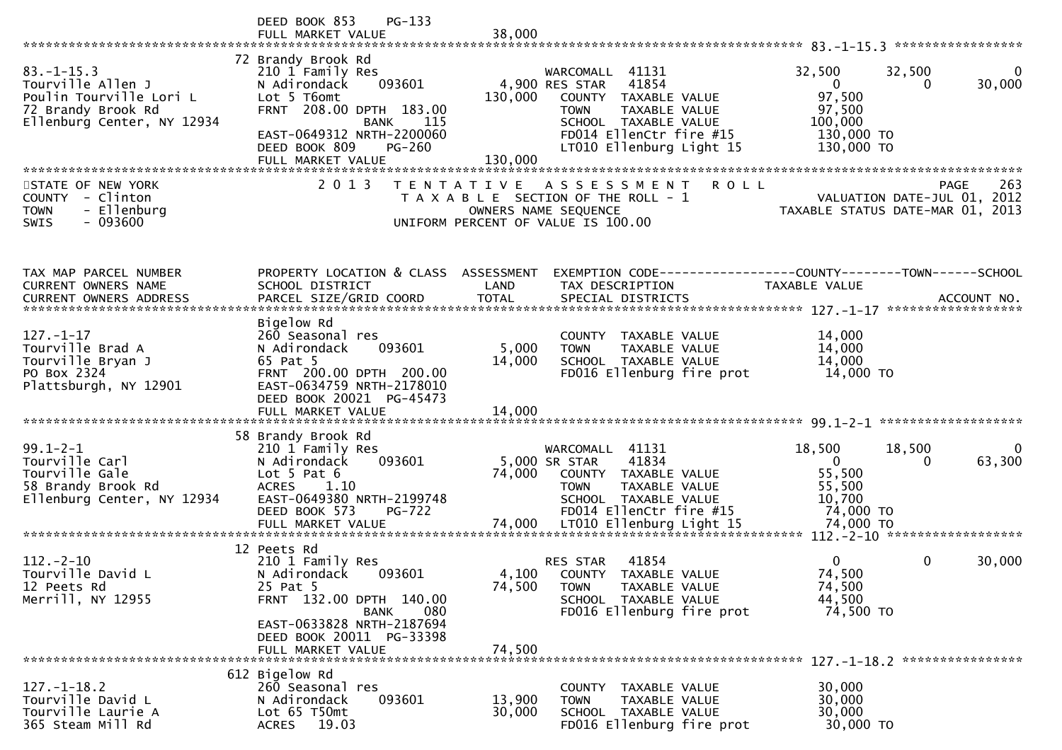|                                                                                                                      | $PG-133$<br>DEED BOOK 853<br>FULL MARKET VALUE                                                                                                                                                                  |                                                                                                                                                                                                            |                                                                                                                          |
|----------------------------------------------------------------------------------------------------------------------|-----------------------------------------------------------------------------------------------------------------------------------------------------------------------------------------------------------------|------------------------------------------------------------------------------------------------------------------------------------------------------------------------------------------------------------|--------------------------------------------------------------------------------------------------------------------------|
|                                                                                                                      |                                                                                                                                                                                                                 | 38,000                                                                                                                                                                                                     |                                                                                                                          |
| $83. - 1 - 15.3$<br>Tourville Allen J<br>Poulin Tourville Lori L<br>72 Brandy Brook Rd<br>Ellenburg Center, NY 12934 | 72 Brandy Brook Rd<br>210 1 Family Res<br>093601<br>N Adirondack<br>Lot 5 T6omt<br>FRNT 208.00 DPTH 183.00<br><b>BANK</b><br>115<br>EAST-0649312 NRTH-2200060<br>DEED BOOK 809<br>$PG-260$<br>FULL MARKET VALUE | 41131<br>WARCOMALL<br>41854<br>4,900 RES STAR<br>130,000<br>COUNTY TAXABLE VALUE<br>TAXABLE VALUE<br><b>TOWN</b><br>SCHOOL TAXABLE VALUE<br>FD014 EllenCtr fire #15<br>LT010 Ellenburg Light 15<br>130,000 | 32,500<br>32,500<br>$\Omega$<br>30,000<br>$\overline{0}$<br>0<br>97,500<br>97,500<br>100,000<br>130,000 TO<br>130,000 TO |
| STATE OF NEW YORK                                                                                                    | 2 0 1 3<br>T E N T A T I V E                                                                                                                                                                                    | <b>ROLL</b><br>A S S E S S M E N T                                                                                                                                                                         | 263<br><b>PAGE</b>                                                                                                       |
| - Clinton<br><b>COUNTY</b><br>- Ellenburg<br><b>TOWN</b><br>- 093600<br>SWIS                                         |                                                                                                                                                                                                                 | T A X A B L E SECTION OF THE ROLL - 1<br>OWNERS NAME SEQUENCE<br>UNIFORM PERCENT OF VALUE IS 100.00                                                                                                        | VALUATION DATE-JUL 01, 2012<br>TAXABLE STATUS DATE-MAR 01, 2013                                                          |
| TAX MAP PARCEL NUMBER                                                                                                | PROPERTY LOCATION & CLASS ASSESSMENT                                                                                                                                                                            |                                                                                                                                                                                                            | EXEMPTION CODE------------------COUNTY--------TOWN------SCHOOL                                                           |
| <b>CURRENT OWNERS NAME</b>                                                                                           | SCHOOL DISTRICT                                                                                                                                                                                                 | LAND<br>TAX DESCRIPTION                                                                                                                                                                                    | <b>TAXABLE VALUE</b>                                                                                                     |
|                                                                                                                      |                                                                                                                                                                                                                 |                                                                                                                                                                                                            |                                                                                                                          |
| $127. - 1 - 17$<br>Tourville Brad A<br>Tourville Bryan J<br>PO Box 2324<br>Plattsburgh, NY 12901                     | Bigelow Rd<br>260 Seasonal res<br>093601<br>N Adirondack<br>65 Pat 5<br>FRNT 200.00 DPTH 200.00<br>EAST-0634759 NRTH-2178010<br>DEED BOOK 20021 PG-45473<br>FULL MARKET VALUE                                   | COUNTY TAXABLE VALUE<br>5,000<br><b>TOWN</b><br>TAXABLE VALUE<br>14,000<br>SCHOOL TAXABLE VALUE<br>FD016 Ellenburg fire prot<br>14,000                                                                     | 14,000<br>14,000<br>14,000<br>14,000 TO                                                                                  |
|                                                                                                                      | 58 Brandy Brook Rd                                                                                                                                                                                              |                                                                                                                                                                                                            |                                                                                                                          |
| $99.1 - 2 - 1$<br>Tourville Carl<br>Tourville Gale<br>58 Brandy Brook Rd<br>Ellenburg Center, NY 12934               | 210 1 Family Res<br>N Adirondack<br>093601<br>Lot $5$ Pat $6$<br>1.10<br><b>ACRES</b><br>EAST-0649380 NRTH-2199748<br>DEED BOOK 573<br><b>PG-722</b>                                                            | 41131<br>WARCOMALL<br>41834<br>5,000 SR STAR<br>74,000<br>COUNTY TAXABLE VALUE<br>TAXABLE VALUE<br><b>TOWN</b><br>SCHOOL TAXABLE VALUE<br>FD014 EllenCtr fire #15                                          | 18,500<br>18,500<br>$\mathbf{0}$<br>63,300<br>0<br>55,500<br>55,500<br>10,700<br>74,000 TO                               |
|                                                                                                                      | 12 Peets Rd                                                                                                                                                                                                     |                                                                                                                                                                                                            |                                                                                                                          |
| $112 - 2 - 10$<br>Tourville David L<br>12 Peets Rd<br>Merrill, NY 12955                                              | 210 1 Family Res<br>N Adirondack<br>093601<br>25 Pat 5<br>FRNT 132.00 DPTH 140.00<br>080<br><b>BANK</b><br>EAST-0633828 NRTH-2187694                                                                            | 41854<br><b>RES STAR</b><br>4,100<br>COUNTY TAXABLE VALUE<br>74,500<br>TAXABLE VALUE<br><b>TOWN</b><br>SCHOOL TAXABLE VALUE<br>FD016 Ellenburg fire prot                                                   | 0<br>$\mathbf{0}$<br>30,000<br>74,500<br>74,500<br>44,500<br>74,500 TO                                                   |
|                                                                                                                      | DEED BOOK 20011 PG-33398<br>FULL MARKET VALUE                                                                                                                                                                   | 74,500                                                                                                                                                                                                     |                                                                                                                          |
|                                                                                                                      |                                                                                                                                                                                                                 |                                                                                                                                                                                                            |                                                                                                                          |
| $127. - 1 - 18.2$<br>Tourville David L<br>Tourville Laurie A<br>365 Steam Mill Rd                                    | 612 Bigelow Rd<br>260 Seasonal res<br>093601<br>N Adirondack<br>Lot 65 T50mt<br>19.03<br><b>ACRES</b>                                                                                                           | <b>COUNTY</b><br>TAXABLE VALUE<br>13,900<br>TAXABLE VALUE<br><b>TOWN</b><br>30,000<br>SCHOOL TAXABLE VALUE<br>FD016 Ellenburg fire prot                                                                    | 30,000<br>30,000<br>30,000<br>30,000 TO                                                                                  |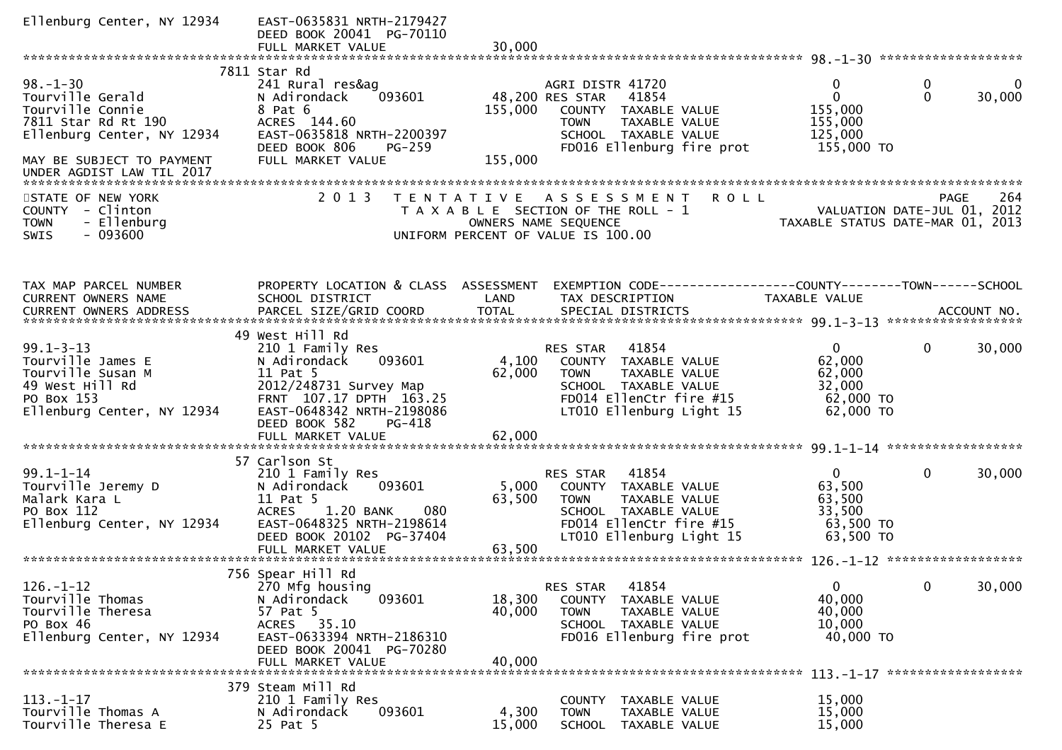| Ellenburg Center, NY 12934                                                                                                                                            | EAST-0635831 NRTH-2179427<br>DEED BOOK 20041 PG-70110<br>FULL MARKET VALUE                                                                                                             | 30,000                     |                                                                                                                                                           |                                                                                                     |                                   |     |
|-----------------------------------------------------------------------------------------------------------------------------------------------------------------------|----------------------------------------------------------------------------------------------------------------------------------------------------------------------------------------|----------------------------|-----------------------------------------------------------------------------------------------------------------------------------------------------------|-----------------------------------------------------------------------------------------------------|-----------------------------------|-----|
|                                                                                                                                                                       |                                                                                                                                                                                        |                            |                                                                                                                                                           |                                                                                                     |                                   |     |
| $98. - 1 - 30$<br>Tourville Gerald<br>Tourville Connie<br>7811 Star Rd Rt 190<br>Ellenburg Center, NY 12934<br>MAY BE SUBJECT TO PAYMENT<br>UNDER AGDIST LAW TIL 2017 | 7811 Star Rd<br>241 Rural res&ag<br>N Adirondack<br>093601<br>8 Pat 6<br>ACRES 144.60<br>EAST-0635818 NRTH-2200397<br>PG-259<br>DEED BOOK 806<br>FULL MARKET VALUE                     | 155,000<br>155,000         | AGRI DISTR 41720<br>48,200 RES STAR<br>41854<br>COUNTY TAXABLE VALUE<br><b>TOWN</b><br>TAXABLE VALUE<br>SCHOOL TAXABLE VALUE<br>FD016 Ellenburg fire prot | 0<br>0<br>155,000<br>155,000<br>125,000<br>155,000 TO                                               | 0<br>$\mathbf 0$<br>30,000        | 0   |
| STATE OF NEW YORK<br>COUNTY - Clinton<br>- Ellenburg<br><b>TOWN</b><br>$-093600$<br>SWIS                                                                              | 2 0 1 3                                                                                                                                                                                |                            | TENTATIVE ASSESSMENT<br><b>ROLL</b><br>T A X A B L E SECTION OF THE ROLL - 1<br>OWNERS NAME SEQUENCE<br>UNIFORM PERCENT OF VALUE IS 100.00                | VALUATION DATE-JUL 01, 2012<br>TAXABLE STATIIS DATE-MAP 01 2012<br>TAXABLE STATUS DATE-MAR 01, 2013 | <b>PAGE</b>                       | 264 |
| TAX MAP PARCEL NUMBER<br>CURRENT OWNERS NAME<br>CURRENT OWNERS ADDRESS                                                                                                | PROPERTY LOCATION & CLASS ASSESSMENT<br>SCHOOL DISTRICT                                                                                                                                | LAND                       | EXEMPTION CODE------------------COUNTY--------TOWN------SCHOOL<br>TAX DESCRIPTION                                                                         | TAXABLE VALUE                                                                                       |                                   |     |
| $99.1 - 3 - 13$<br>Tourville James E<br>Tourville Susan M<br>49 West Hill Rd<br>PO Box 153<br>Ellenburg Center, NY 12934                                              | 49 West Hill Rd<br>210 1 Family Res<br>093601<br>N Adirondack<br>11 Pat 5<br>2012/248731 Survey Map<br>FRNT 107.17 DPTH 163.25<br>EAST-0648342 NRTH-2198086<br>DEED BOOK 582<br>PG-418 | 4,100<br>62,000            | 41854<br>RES STAR<br>COUNTY TAXABLE VALUE<br>TAXABLE VALUE<br><b>TOWN</b><br>SCHOOL TAXABLE VALUE<br>FD014 EllenCtr fire #15<br>LT010 Ellenburg Light 15  | $\mathbf{0}$<br>62,000<br>62,000<br>32,000<br>$62,000$ TO<br>62,000 TO                              | 30,000<br>$\mathbf{0}$            |     |
| $99.1 - 1 - 14$<br>Tourville Jeremy D<br>Malark Kara L<br>PO Box 112<br>Ellenburg Center, NY 12934                                                                    | 57 Carlson St<br>210 1 Family Res<br>N Adirondack<br>093601<br>11 Pat 5<br>ACRES 1.20 BANK<br>080<br>EAST-0648325 NRTH-2198614<br>DEED BOOK 20102 PG-37404                             | 5,000<br>63,500            | 41854<br>RES STAR<br>COUNTY TAXABLE VALUE<br>TAXABLE VALUE<br><b>TOWN</b><br>SCHOOL TAXABLE VALUE<br>FD014 EllenCtr fire #15<br>LT010 Ellenburg Light 15  | $\mathbf{0}$<br>63,500<br>63,500<br>33,500<br>63,500 TO<br>63,500 TO                                | $\mathbf 0$<br>30,000             |     |
| $126. - 1 - 12$<br>Tourville Thomas<br>Tourville Theresa<br>PO Box 46<br>Ellenburg Center, NY 12934                                                                   | 756 Spear Hill Rd<br>270 Mfg housing<br>093601<br>N Adirondack<br>57 Pat 5<br>ACRES 35.10<br>EAST-0633394 NRTH-2186310<br>DEED BOOK 20041 PG-70280<br>FULL MARKET VALUE                | 18,300<br>40,000<br>40,000 | 41854<br>RES STAR<br><b>COUNTY</b><br>TAXABLE VALUE<br><b>TOWN</b><br>TAXABLE VALUE<br>SCHOOL TAXABLE VALUE<br>FD016 Ellenburg fire prot                  | $\overline{0}$<br>40,000<br>40,000<br>10,000<br>40,000 TO                                           | 0<br>30,000<br>****************** |     |
| $113. - 1 - 17$<br>Tourville Thomas A<br>Tourville Theresa E                                                                                                          | 379 Steam Mill Rd<br>210 1 Family Res<br>N Adirondack<br>093601<br>25 Pat 5                                                                                                            | 4,300<br>15,000            | COUNTY TAXABLE VALUE<br>TAXABLE VALUE<br><b>TOWN</b><br><b>SCHOOL</b><br>TAXABLE VALUE                                                                    | 15,000<br>15,000<br>15,000                                                                          |                                   |     |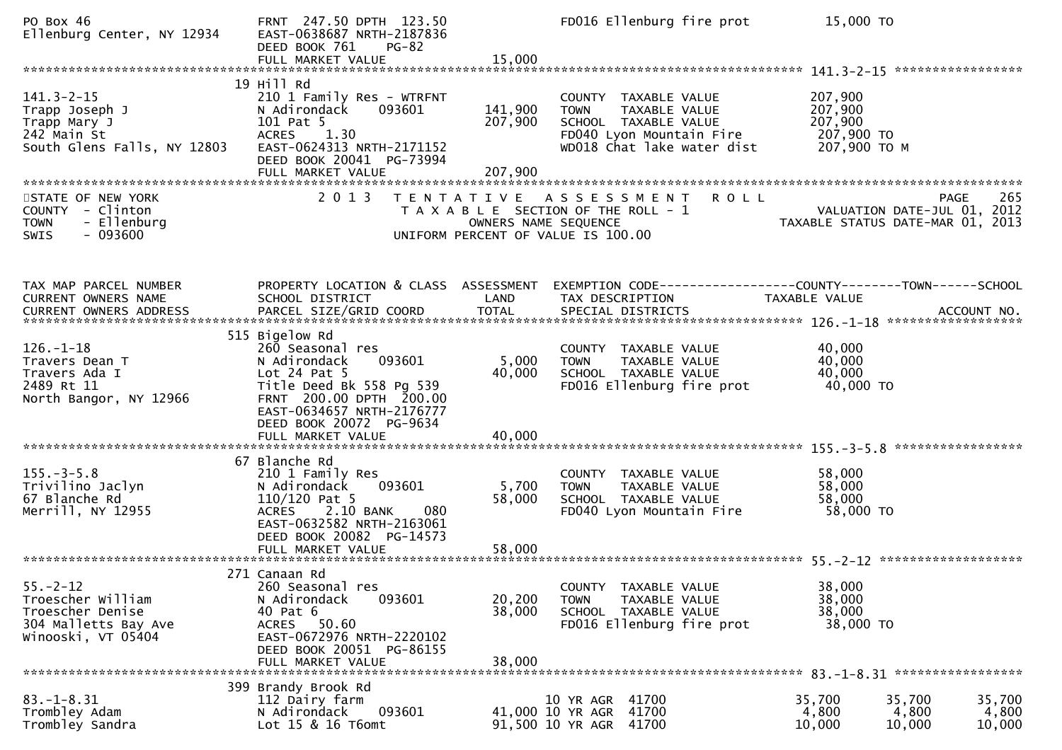PO Box 46 FRNT 247.50 DPTH 123.50 FD016 Ellenburg fire prot 15,000 TOEllenburg Center, NY 12934 EAST-0638687 NRTH-21878 DEED BOOK 761 |<br>FULL MARKET VALUE FULL MARKET VALUE 15,000 \*\*\*\*\*\*\*\*\*\*\*\*\*\*\*\*\*\*\*\*\*\*\*\*\*\*\*\*\*\*\*\*\*\*\*\*\*\*\*\*\*\*\*\*\*\*\*\*\*\*\*\*\*\*\*\*\*\*\*\*\*\*\*\*\*\*\*\*\*\*\*\*\*\*\*\*\*\*\*\*\*\*\*\*\*\*\*\*\*\*\*\*\*\*\*\*\*\*\*\*\*\*\* 141.3-2-15 \*\*\*\*\*\*\*\*\*\*\*\*\*\*\*\*\* 19 Hill Rd 141.3-2-15 210 1 Family Res - WTRFNT COUNTY TAXABLE VALUE 207,900 $207,900$ Trapp Joseph J N Adirondack 093601 141,900 TOWN TAXABLE VALUE 207,900207,900 Trapp Mary J 101 Pat 5 207,900 SCHOOL TAXABLE VALUE 207,900207,900 TO 242 Main St ACRES 1.30 FD040 Lyon Mountain Fire 207,900 TO207,900 ТО М South Glens Falls, NY 12803 DEED BOOK 20041 PG-73994<br>FULL MARKET VALUE FULL MARKET VALUE 207,900 \*\*\*\*\*\*\*\*\*\*\*\*\*\*\*\*\*\*\*\*\*\*\*\*\*\*\*\*\*\*\*\*\*\*\*\*\*\*\*\*\*\*\*\*\*\*\*\*\*\*\*\*\*\*\*\*\*\*\*\*\*\*\*\*\*\*\*\*\*\*\*\*\*\*\*\*\*\*\*\*\*\*\*\*\*\*\*\*\*\*\*\*\*\*\*\*\*\*\*\*\*\*\*\*\*\*\*\*\*\*\*\*\*\*\*\*\*\*\*\*\*\*\*\*\*\*\*\*\*\*\*\*265 STATE OF NEW YORK 2 0 1 3 T E N T A T I V E A S S E S S M E N T R O L L PAGE<br>2 T A X A B L E SECTION OF THE ROLL - 1 VALUATION DATE-JUL 0 VALUATION DATE-JUL 01, 2012 COUNTY - Clinton T A X A B L E SECTION OF THE ROLL - 1 VALUATION DATE-JUL 01, 2012 TOWN - Ellenburg OWNERS NAME SEQUENCE TAXABLE STATUS DATE-MAR 01, 2013SWIS - 093600 UNIFORM PERCENT OF VALUE IS 100.00TAX MAP PARCEL NUMBER PROPERTY LOCATION & CLASS ASSESSMENT EXEMPTION CODE------------------COUNTY--------TOWN------SCHOOLCURRENT OWNERS NAME SCHOOL DISTRICT LAND TAX DESCRIPTION TAXABLE VALUE<br>CURRENT OWNERS ARRRESS RARGEL STZE(CRIR)COORR TOTAL SRECIAL RISTRICTS CURRENT OWNERS ADDRESS PARCEL SIZE/GRID COORD TOTAL SPECIAL DISTRICTS ACCOUNT NO. \*\*\*\*\*\*\*\*\*\*\*\*\*\*\*\*\*\*\*\*\*\*\*\*\*\*\*\*\*\*\*\*\*\*\*\*\*\*\*\*\*\*\*\*\*\*\*\*\*\*\*\*\*\*\*\*\*\*\*\*\*\*\*\*\*\*\*\*\*\*\*\*\*\*\*\*\*\*\*\*\*\*\*\*\*\*\*\*\*\*\*\*\*\*\*\*\*\*\*\*\*\*\* 126.-1-18 \*\*\*\*\*\*\*\*\*\*\*\*\*\*\*\*\*\* 515 Bigelow Rd260 Seasonal res 126.-1-18 260 Seasonal res COUNTY TAXABLE VALUE 40,00040,000 Travers Dean T N Adirondack 093601 5,000 TOWN TAXABLE VALUE 40,000<br>Travers Ada T Let 24 Pat E 40,000 SCUOOL TAXABLE VALUE 40,000 40,000 Travers Ada I Lot 24 Pat 5 40,000 SCHOOL TAXABLE VALUE 40,00040,000 TO 2489 Rt 11 Title Deed Bk 558 Pg 539 FD016 Ellenburg fire prot 40,000 TOFRNT 200.00 DPTH 200.00 EAST-0634657 NRTH-2176777DEED BOOK 20072 PG-9634<br>EULL MARKET VALUE FULL MARKET VALUE 40,000 \*\*\*\*\*\*\*\*\*\*\*\*\*\*\*\*\*\*\*\*\*\*\*\*\*\*\*\*\*\*\*\*\*\*\*\*\*\*\*\*\*\*\*\*\*\*\*\*\*\*\*\*\*\*\*\*\*\*\*\*\*\*\*\*\*\*\*\*\*\*\*\*\*\*\*\*\*\*\*\*\*\*\*\*\*\*\*\*\*\*\*\*\*\*\*\*\*\*\*\*\*\*\* 155.-3-5.8 \*\*\*\*\*\*\*\*\*\*\*\*\*\*\*\*\* 67 Blanche Rd210 1 Family Res 155.-3-5.8 210 1 Family Res COUNTY TAXABLE VALUE 58,00058,000 Trivilino Jaclyn N Adirondack 093601 5,700 TOWN TAXABLE VALUE 58,00058,000 67 Blanche Rd 110/120 Pat 5 58,000 SCHOOL TAXABLE VALUE<br>Merrill. NY 12955 ACRES 2.10 BANK 080 FD040 Lyon Mountain Fi 58,000 TO FD040 Lyon Mountain Fire EAST-0632582 NRTH-2163061 DEED BOOK 20082 PG-14573 FULL MARKET VALUE 58,000 \*\*\*\*\*\*\*\*\*\*\*\*\*\*\*\*\*\*\*\*\*\*\*\*\*\*\*\*\*\*\*\*\*\*\*\*\*\*\*\*\*\*\*\*\*\*\*\*\*\*\*\*\*\*\*\*\*\*\*\*\*\*\*\*\*\*\*\*\*\*\*\*\*\*\*\*\*\*\*\*\*\*\*\*\*\*\*\*\*\*\*\*\*\*\*\*\*\*\*\*\*\*\* 55.-2-12 \*\*\*\*\*\*\*\*\*\*\*\*\*\*\*\*\*\*\* 271 Canaan Rd260 Seasonal res 55.-2-12 260 Seasonal res COUNTY TAXABLE VALUE 38,00038,000 Troescher William N Adirondack 093601 20,200 TOWN TAXABLE VALUE 38,00038,000 Troescher Denise 40 Pat 6 38,000 SCHOOL TAXABLE VALUE 38,00038,000 TO 304 Malletts Bay Ave ACRES 50.60 FD016 Ellenburg fire prot 38,000 TOEAST-0672976 NRTH-2220102 DEED BOOK 20051 PG-86155 FULL MARKET VALUE 38,000 \*\*\*\*\*\*\*\*\*\*\*\*\*\*\*\*\*\*\*\*\*\*\*\*\*\*\*\*\*\*\*\*\*\*\*\*\*\*\*\*\*\*\*\*\*\*\*\*\*\*\*\*\*\*\*\*\*\*\*\*\*\*\*\*\*\*\*\*\*\*\*\*\*\*\*\*\*\*\*\*\*\*\*\*\*\*\*\*\*\*\*\*\*\*\*\*\*\*\*\*\*\*\* 83.-1-8.31 \*\*\*\*\*\*\*\*\*\*\*\*\*\*\*\*\* 399 Brandy Brook Rd112 Dairy farm 83.-1-8.31 112 Dairy farm 10 YR AGR <sup>41700</sup> 35,700 35,700 35,7004,800 Trombley Adam N Adirondack 093601 41,000 10 YR AGR <sup>41700</sup> 4,800 4,800 4,80010,000 91,500 10 YR AGR 41700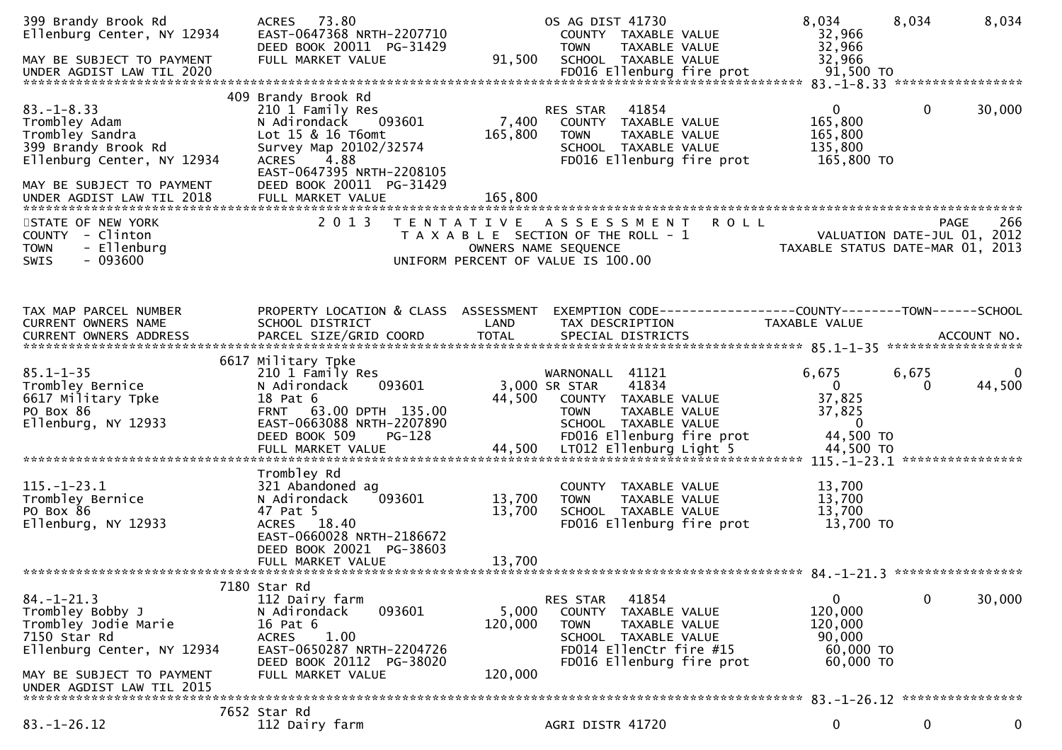| 399 Brandy Brook Rd<br>Ellenburg Center, NY 12934<br>MAY BE SUBJECT TO PAYMENT                                                                                       | ACRES 73.80<br>EAST-0647368 NRTH-2207710<br>DEED BOOK 20011 PG-31429<br>FULL MARKET VALUE                                                                                                             | 91,500                      | OS AG DIST 41730<br>COUNTY TAXABLE VALUE<br>TAXABLE VALUE<br><b>TOWN</b><br>SCHOOL TAXABLE VALUE                                                                    | 8,034<br>32,966<br>32,966<br>32,966                                                            | 8,034             | 8,034       |
|----------------------------------------------------------------------------------------------------------------------------------------------------------------------|-------------------------------------------------------------------------------------------------------------------------------------------------------------------------------------------------------|-----------------------------|---------------------------------------------------------------------------------------------------------------------------------------------------------------------|------------------------------------------------------------------------------------------------|-------------------|-------------|
| $83. - 1 - 8.33$<br>Trombley Adam<br>Trombley Sandra<br>399 Brandy Brook Rd<br>Ellenburg Center, NY 12934<br>MAY BE SUBJECT TO PAYMENT                               | 409 Brandy Brook Rd<br>210 1 Family Res<br>N Adirondack<br>093601<br>Lot $15$ & $16$ T6omt<br>Survey Map 20102/32574<br><b>ACRES</b><br>4.88<br>EAST-0647395 NRTH-2208105<br>DEED BOOK 20011 PG-31429 | 7,400<br>165,800            | 41854<br>RES STAR<br>COUNTY TAXABLE VALUE<br><b>TOWN</b><br>TAXABLE VALUE<br>SCHOOL TAXABLE VALUE<br>FD016 Ellenburg fire prot                                      | $\overline{0}$<br>165,800<br>165,800<br>135,800<br>165,800 TO                                  | $\mathbf{0}$      | 30,000      |
| UNDER AGDIST LAW TIL 2018                                                                                                                                            | FULL MARKET VALUE                                                                                                                                                                                     | 165,800                     |                                                                                                                                                                     |                                                                                                |                   |             |
| STATE OF NEW YORK<br>COUNTY - Clinton<br>- Ellenburg<br><b>TOWN</b><br>$-093600$<br>SWIS                                                                             | 2 0 1 3                                                                                                                                                                                               |                             | <b>ROLL</b><br>TENTATIVE ASSESSMENT<br>T A X A B L E SECTION OF THE ROLL - 1<br>OWNERS NAME SEQUENCE<br>UNIFORM PERCENT OF VALUE IS 100.00                          | VALUATION DATE-JUL 01, 2012<br>VALUATION DATE-JUL 01, 2012<br>TAXABLE STATUS DATE-MAR 01, 2013 | PAGE              | 266         |
| TAX MAP PARCEL NUMBER<br>CURRENT OWNERS NAME                                                                                                                         | PROPERTY LOCATION & CLASS ASSESSMENT<br>SCHOOL DISTRICT                                                                                                                                               | LAND                        | EXEMPTION CODE-----------------COUNTY-------TOWN------SCHOOL<br>TAX DESCRIPTION                                                                                     | TAXABLE VALUE                                                                                  |                   |             |
| $85.1 - 1 - 35$<br>Trombley Bernice<br>6617 Military Tpke<br>PO Box 86<br>Ellenburg, NY 12933                                                                        | 6617 Military Tpke<br>210 1 Family Res<br>N Adirondack<br>093601<br>18 Pat 6<br>FRNT 63.00 DPTH 135.00<br>EAST-0663088 NRTH-2207890<br>DEED BOOK 509<br>PG-128                                        | 44,500                      | WARNONALL 41121<br>3,000 SR STAR<br>41834<br>COUNTY TAXABLE VALUE<br>TAXABLE VALUE<br><b>TOWN</b><br>SCHOOL TAXABLE VALUE<br>FD016 Ellenburg fire prot              | 6,675<br>$\mathbf{0}$<br>37,825<br>37,825<br>$\overline{0}$<br>44,500 TO                       | 6,675<br>$\Omega$ | 0<br>44,500 |
| $115. - 1 - 23.1$<br>Trombley Bernice<br>PO Box 86<br>Ellenburg, NY 12933                                                                                            | Trombley Rd<br>321 Abandoned ag<br>093601<br>N Adirondack<br>47 Pat 5<br>ACRES 18.40<br>EAST-0660028 NRTH-2186672<br>DEED BOOK 20021 PG-38603<br>FULL MARKET VALUE                                    | 13,700<br>13,700<br>13,700  | COUNTY TAXABLE VALUE<br><b>TOWN</b><br>TAXABLE VALUE<br>SCHOOL TAXABLE VALUE<br>FD016 Ellenburg fire prot                                                           | 13,700<br>13,700<br>13,700<br>13,700 TO                                                        |                   |             |
|                                                                                                                                                                      | 7180 Star Rd                                                                                                                                                                                          |                             |                                                                                                                                                                     |                                                                                                |                   |             |
| $84. - 1 - 21.3$<br>Trombley Bobby J<br>Trombley Jodie Marie<br>7150 Star Rd<br>Ellenburg Center, NY 12934<br>MAY BE SUBJECT TO PAYMENT<br>UNDER AGDIST LAW TIL 2015 | 112 Dairy farm<br>093601<br>N Adirondack<br>16 Pat 6<br>1.00<br><b>ACRES</b><br>EAST-0650287 NRTH-2204726<br>DEED BOOK 20112 PG-38020<br>FULL MARKET VALUE                                            | 5,000<br>120,000<br>120,000 | 41854<br>RES STAR<br><b>COUNTY</b><br>TAXABLE VALUE<br>TAXABLE VALUE<br><b>TOWN</b><br>SCHOOL TAXABLE VALUE<br>FD014 EllenCtr fire #15<br>FD016 Ellenburg fire prot | 0<br>120,000<br>120,000<br>90,000<br>60,000 TO<br>60,000 ТО                                    | $\mathbf 0$       | 30,000      |
|                                                                                                                                                                      | 7652 Star Rd                                                                                                                                                                                          |                             |                                                                                                                                                                     |                                                                                                |                   |             |
| $83. - 1 - 26.12$                                                                                                                                                    | 112 Dairy farm                                                                                                                                                                                        |                             | AGRI DISTR 41720                                                                                                                                                    | 0                                                                                              | 0                 | $\mathbf 0$ |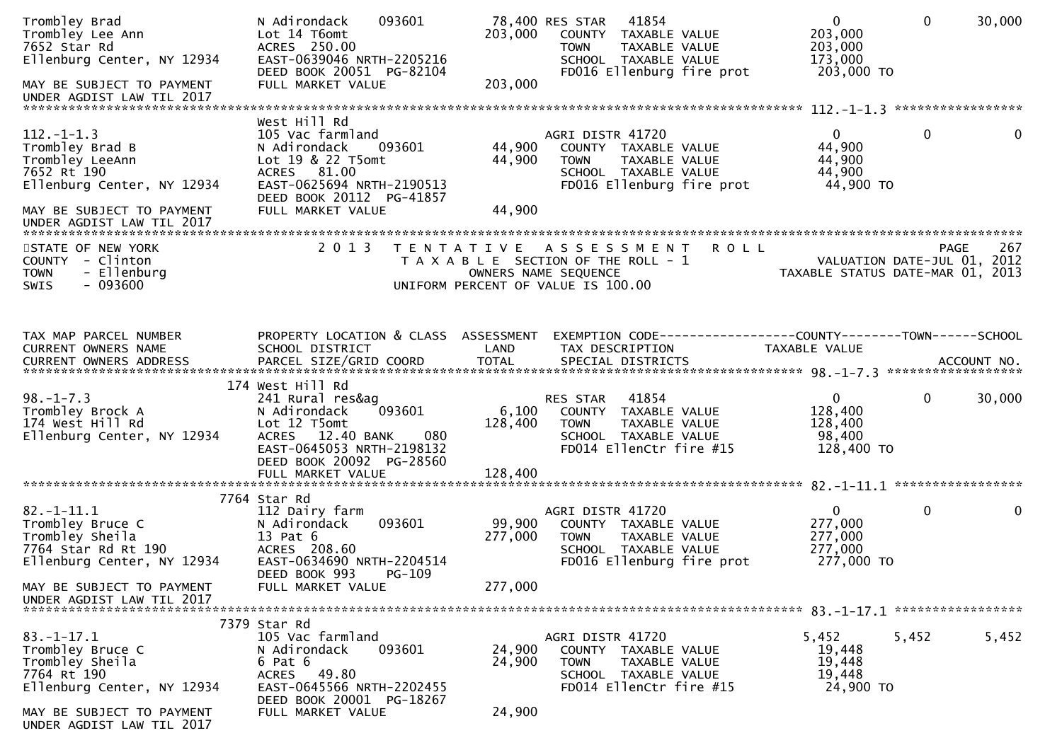| Trombley Brad<br>Trombley Lee Ann<br>7652 Star Rd<br>Ellenburg Center, NY 12934                                                           | 093601<br>N Adirondack<br>Lot 14 T6omt<br>ACRES 250.00<br>EAST-0639046 NRTH-2205216<br>DEED BOOK 20051 PG-82104                                                                         | 203,000<br>203,000          | 78,400 RES STAR<br>41854<br>COUNTY TAXABLE VALUE<br><b>TOWN</b><br>TAXABLE VALUE<br>SCHOOL TAXABLE VALUE<br>FD016 Ellenburg fire prot      | $\mathbf{0}$<br>203,000<br>203,000<br>173,000<br>203,000 TO     | $\Omega$     | 30,000 |
|-------------------------------------------------------------------------------------------------------------------------------------------|-----------------------------------------------------------------------------------------------------------------------------------------------------------------------------------------|-----------------------------|--------------------------------------------------------------------------------------------------------------------------------------------|-----------------------------------------------------------------|--------------|--------|
| MAY BE SUBJECT TO PAYMENT<br>UNDER AGDIST LAW TIL 2017                                                                                    | FULL MARKET VALUE                                                                                                                                                                       |                             |                                                                                                                                            |                                                                 |              |        |
| $112. -1 - 1.3$<br>Trombley Brad B<br>Trombley LeeAnn<br>7652 Rt 190<br>Ellenburg Center, NY 12934<br>MAY BE SUBJECT TO PAYMENT           | West Hill Rd<br>105 Vac farmland<br>N Adirondack<br>093601<br>Lot 19 & 22 T5omt<br>ACRES 81.00<br>EAST-0625694 NRTH-2190513<br>DEED BOOK 20112 PG-41857<br>FULL MARKET VALUE            | 44,900<br>44,900<br>44,900  | AGRI DISTR 41720<br>COUNTY TAXABLE VALUE<br>TAXABLE VALUE<br><b>TOWN</b><br>SCHOOL TAXABLE VALUE<br>FD016 Ellenburg fire prot              | $\Omega$<br>44,900<br>44,900<br>44,900<br>44,900 TO             | $\Omega$     | 0      |
| UNDER AGDIST LAW TIL 2017                                                                                                                 |                                                                                                                                                                                         |                             |                                                                                                                                            |                                                                 |              |        |
| STATE OF NEW YORK<br>COUNTY - Clinton<br>- Ellenburg<br><b>TOWN</b><br>$-093600$<br><b>SWIS</b>                                           | 2 0 1 3                                                                                                                                                                                 |                             | TENTATIVE ASSESSMENT<br><b>ROLL</b><br>T A X A B L E SECTION OF THE ROLL - 1<br>OWNERS NAME SEQUENCE<br>UNIFORM PERCENT OF VALUE IS 100.00 | VALUATION DATE-JUL 01, 2012<br>TAXABLE STATUS DATE-MAR 01, 2013 | PAGE         | 267    |
| TAX MAP PARCEL NUMBER<br>CURRENT OWNERS NAME<br>CURRENT OWNERS ADDRESS PARCEL SIZE/GRID COORD TOTAL SPECIAL DISTRICTS 700. TO ACCOUNT NO. | PROPERTY LOCATION & CLASS ASSESSMENT<br>SCHOOL DISTRICT                                                                                                                                 | LAND                        | TAX DESCRIPTION                                                                                                                            | TAXABLE VALUE                                                   |              |        |
| $98. - 1 - 7.3$<br>Trombley Brock A<br>174 West Hill Rd<br>Ellenburg Center, NY 12934                                                     | 174 West Hill Rd<br>241 Rural res&ag<br>093601<br>N Adirondack<br>Lot 12 T5omt<br>ACRES 12.40 BANK<br>080<br>EAST-0645053 NRTH-2198132<br>DEED BOOK 20092 PG-28560<br>FULL MARKET VALUE | 6,100<br>128,400<br>128,400 | 41854<br>RES STAR<br>COUNTY TAXABLE VALUE<br><b>TOWN</b><br>TAXABLE VALUE<br>SCHOOL TAXABLE VALUE<br>FD014 EllenCtr fire #15               | $\overline{0}$<br>128,400<br>128,400<br>98,400<br>128,400 TO    | $\mathbf{0}$ | 30,000 |
|                                                                                                                                           |                                                                                                                                                                                         |                             |                                                                                                                                            |                                                                 |              |        |
| $82.-1-11.1$<br>Trombley Bruce C<br>Trombley Sheila<br>7764 Star Rd Rt 190<br>Ellenburg Center, NY 12934                                  | 7764 Star Rd<br>112 Dairy farm<br>N Adirondack<br>093601<br>13 Pat 6<br>ACRES 208.60<br>EAST-0634690 NRTH-2204514<br>DEED BOOK 993<br>$PG-109$                                          | 99,900<br>277,000           | AGRI DISTR 41720<br>COUNTY TAXABLE VALUE<br>TAXABLE VALUE<br><b>TOWN</b><br>SCHOOL TAXABLE VALUE<br>FD016 Ellenburg fire prot              | $\mathbf 0$<br>277,000<br>277,000<br>277,000<br>277,000 TO      | $\mathbf{0}$ | 0      |
| MAY BE SUBJECT TO PAYMENT<br>UNDER AGDIST LAW TIL 2017                                                                                    | FULL MARKET VALUE                                                                                                                                                                       | 277,000                     |                                                                                                                                            |                                                                 |              |        |
|                                                                                                                                           | 7379 Star Rd                                                                                                                                                                            |                             |                                                                                                                                            |                                                                 |              |        |
| $83. - 1 - 17.1$<br>Trombley Bruce C<br>Trombley Sheila<br>7764 Rt 190<br>Ellenburg Center, NY 12934                                      | 105 Vac farmland<br>N Adirondack<br>093601<br>6 Pat 6<br>ACRES 49.80<br>EAST-0645566 NRTH-2202455<br>DEED BOOK 20001 PG-18267                                                           | 24,900<br>24,900            | AGRI DISTR 41720<br>COUNTY TAXABLE VALUE<br><b>TOWN</b><br>TAXABLE VALUE<br>SCHOOL TAXABLE VALUE<br>FD014 EllenCtr fire #15                | 5,452<br>19,448<br>19,448<br>19,448<br>24,900 TO                | 5,452        | 5,452  |
| MAY BE SUBJECT TO PAYMENT<br>UNDER AGDIST LAW TIL 2017                                                                                    | FULL MARKET VALUE                                                                                                                                                                       | 24,900                      |                                                                                                                                            |                                                                 |              |        |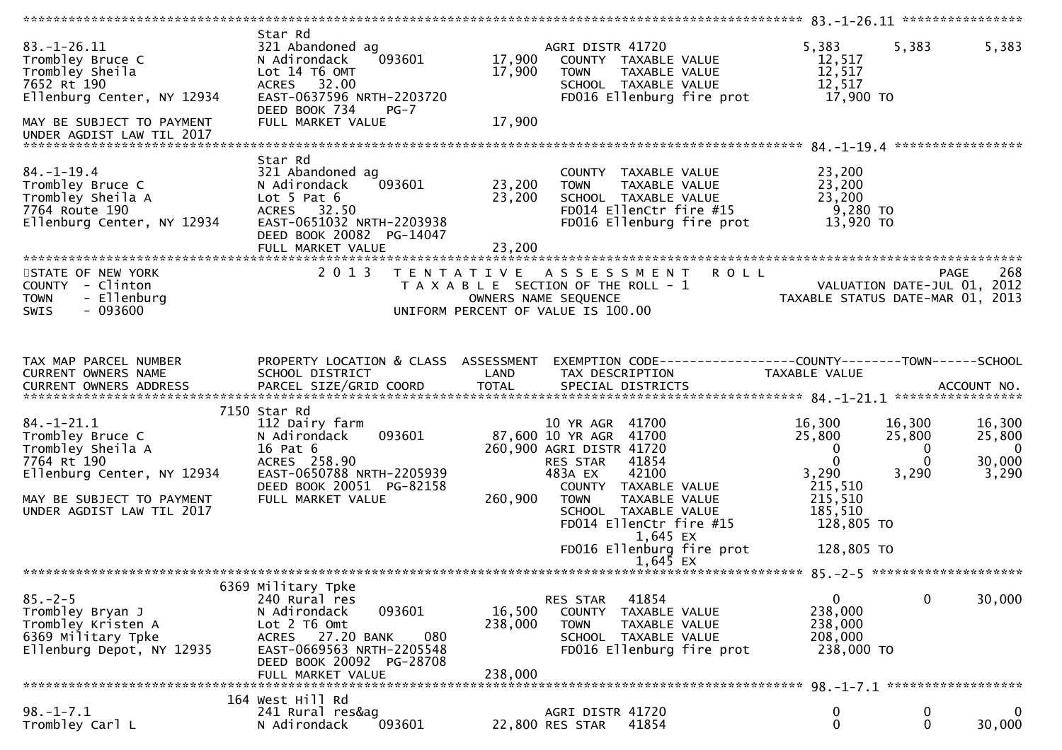|                                                                                                                                                                  |                                                                                                                                                                                        |                                                                                                                                                                                                                                                                                          | ********************** 83.-1-26.11 *****************                                                                                                |                                                                                            |
|------------------------------------------------------------------------------------------------------------------------------------------------------------------|----------------------------------------------------------------------------------------------------------------------------------------------------------------------------------------|------------------------------------------------------------------------------------------------------------------------------------------------------------------------------------------------------------------------------------------------------------------------------------------|-----------------------------------------------------------------------------------------------------------------------------------------------------|--------------------------------------------------------------------------------------------|
| $83. - 1 - 26.11$<br>Trombley Bruce C<br>Trombley Sheila<br>7652 Rt 190<br>Ellenburg Center, NY 12934<br>MAY BE SUBJECT TO PAYMENT<br>UNDER AGDIST LAW TIL 2017  | Star Rd<br>321 Abandoned ag<br>N Adirondack<br>093601<br>Lot 14 T6 OMT<br>ACRES 32.00<br>EAST-0637596 NRTH-2203720<br>DEED BOOK 734<br>$PG-7$<br>FULL MARKET VALUE                     | AGRI DISTR 41720<br>17,900<br>COUNTY TAXABLE VALUE<br>17,900<br><b>TOWN</b><br>TAXABLE VALUE<br>SCHOOL TAXABLE VALUE<br>FD016 Ellenburg fire prot<br>17,900                                                                                                                              | 5,383<br>5,383<br>12,517<br>12,517<br>12,517<br>17,900 TO                                                                                           | 5,383                                                                                      |
| $84. - 1 - 19.4$<br>Trombley Bruce C<br>Trombley Sheila A<br>7764 Route 190<br>Ellenburg Center, NY 12934                                                        | Star Rd<br>321 Abandoned ag<br>093601<br>N Adirondack<br>Lot $5$ Pat $6$<br>ACRES 32.50<br>EAST-0651032 NRTH-2203938<br>DEED BOOK 20082 PG-14047<br>FULL MARKET VALUE                  | COUNTY TAXABLE VALUE<br>23,200<br>TAXABLE VALUE<br><b>TOWN</b><br>23,200<br>SCHOOL TAXABLE VALUE<br>FD014 EllenCtr fire #15<br>FD016 Ellenburg fire prot<br>23,200                                                                                                                       | 23,200<br>23,200<br>23,200<br>9,280 TO<br>13,920 TO                                                                                                 |                                                                                            |
| STATE OF NEW YORK<br>COUNTY - Clinton<br>- Ellenburg<br><b>TOWN</b><br>$-093600$<br><b>SWIS</b>                                                                  | 2 0 1 3                                                                                                                                                                                | TENTATIVE ASSESSMENT ROLL<br>T A X A B L E SECTION OF THE ROLL - 1<br>OWNERS NAME SEQUENCE THE TRISCOPY TAXABLE STATUS DATE-JUL 01, 2012<br>UNIFORM PERCENT OF VALUE IS 100.00<br>UNIFORM PERCENT OF VALUE IS 100.00                                                                     |                                                                                                                                                     | 268<br><b>PAGE</b>                                                                         |
| TAX MAP PARCEL NUMBER<br>CURRENT OWNERS NAME                                                                                                                     | PROPERTY LOCATION & CLASS ASSESSMENT<br>SCHOOL DISTRICT                                                                                                                                | EXEMPTION CODE------------------COUNTY--------TOWN------SCHOOL<br>LAND<br>TAX DESCRIPTION                                                                                                                                                                                                | TAXABLE VALUE                                                                                                                                       |                                                                                            |
| $84. - 1 - 21.1$<br>Trombley Bruce C<br>Trombley Sheila A<br>7764 Rt 190<br>Ellenburg Center, NY 12934<br>MAY BE SUBJECT TO PAYMENT<br>UNDER AGDIST LAW TIL 2017 | 7150 Star Rd<br>112 Dairy farm<br>093601<br>N Adirondack<br>16 Pat 6<br>ACRES 258.90<br>EAST-0650788 NRTH-2205939<br>DEED BOOK 20051 PG-82158<br>FULL MARKET VALUE                     | 10 YR AGR 41700<br>87,600 10 YR AGR 41700<br>260,900 AGRI DISTR 41720<br>RES STAR 41854<br>42100<br>483A EX<br>COUNTY TAXABLE VALUE<br>260,900<br>TAXABLE VALUE<br><b>TOWN</b><br>SCHOOL TAXABLE VALUE<br>FD014 EllenCtr fire #15<br>1,645 EX<br>FD016 Ellenburg fire prot<br>$1.645$ EX | 16,300<br>16,300<br>25,800<br>25,800<br>$\mathbf{0}$<br>$\mathbf{0}$<br>3,290<br>3,290<br>215,510<br>215,510<br>185,510<br>128,805 TO<br>128,805 TO | 16,300<br>25,800<br>$\overline{\mathbf{0}}$<br>$\bf{0}$<br>30,000<br>$\mathbf{0}$<br>3,290 |
|                                                                                                                                                                  |                                                                                                                                                                                        |                                                                                                                                                                                                                                                                                          |                                                                                                                                                     |                                                                                            |
| $85. - 2 - 5$<br>Trombley Bryan J<br>Trombley Kristen A<br>6369 Military Tpke<br>Ellenburg Depot, NY 12935<br>******************************                     | 6369 Military Tpke<br>240 Rural res<br>N Adirondack<br>093601<br>Lot 2 T6 Omt<br>ACRES 27.20 BANK<br>080<br>EAST-0669563 NRTH-2205548<br>DEED BOOK 20092 PG-28708<br>FULL MARKET VALUE | 41854<br>RES STAR<br>16,500<br><b>COUNTY</b><br>TAXABLE VALUE<br>238,000<br>TAXABLE VALUE<br><b>TOWN</b><br>SCHOOL TAXABLE VALUE<br>FD016 Ellenburg fire prot<br>238,000                                                                                                                 | 0<br>238,000<br>238,000<br>208,000<br>238,000 TO                                                                                                    | $\mathbf 0$<br>30,000                                                                      |
|                                                                                                                                                                  | 164 West Hill Rd                                                                                                                                                                       |                                                                                                                                                                                                                                                                                          |                                                                                                                                                     |                                                                                            |
| $98. - 1 - 7.1$<br>Trombley Carl L                                                                                                                               | 241 Rural res&ag<br>093601<br>N Adirondack                                                                                                                                             | AGRI DISTR 41720<br>41854<br>22,800 RES STAR                                                                                                                                                                                                                                             | 0<br>0                                                                                                                                              | $\bf{0}$<br>$\mathbf 0$<br>0<br>30,000                                                     |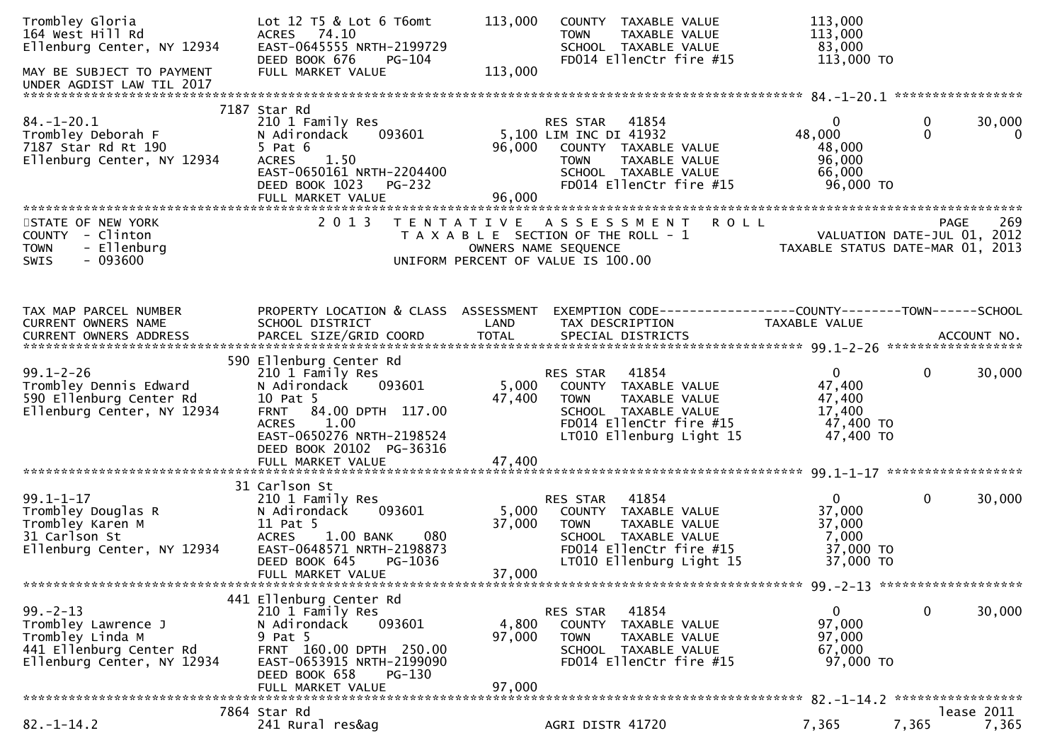| Trombley Gloria<br>164 West Hill Rd<br>Ellenburg Center, NY 12934<br>MAY BE SUBJECT TO PAYMENT<br>UNDER AGDIST LAW TIL 2017 | Lot 12 T5 & Lot 6 T6omt<br>ACRES 74.10<br>EAST-0645555 NRTH-2199729<br>DEED BOOK 676<br>PG-104<br>FULL MARKET VALUE                                                                                    | 113,000<br>COUNTY TAXABLE VALUE<br>TAXABLE VALUE<br><b>TOWN</b><br>SCHOOL TAXABLE VALUE<br>FD014 EllenCtr fire #15<br>113,000                                                         | 113,000<br>113,000<br>83,000<br>113,000 TO                                                          |
|-----------------------------------------------------------------------------------------------------------------------------|--------------------------------------------------------------------------------------------------------------------------------------------------------------------------------------------------------|---------------------------------------------------------------------------------------------------------------------------------------------------------------------------------------|-----------------------------------------------------------------------------------------------------|
| $84. - 1 - 20.1$<br>Trombley Deborah F<br>7187 Star Rd Rt 190<br>Ellenburg Center, NY 12934                                 | 7187 Star Rd<br>210 1 Family Res<br>093601<br>N Adirondack<br>$5$ Pat $6$<br>1.50<br><b>ACRES</b><br>EAST-0650161 NRTH-2204400<br>DEED BOOK 1023<br>PG-232<br>FULL MARKET VALUE                        | 41854<br>RES STAR<br>5,100 LIM INC DI 41932<br>96,000<br>COUNTY TAXABLE VALUE<br>TAXABLE VALUE<br>TOWN<br>SCHOOL TAXABLE VALUE<br>FD014 EllenCtr fire #15<br>96,000                   | 30,000<br>0<br>0<br>$\mathbf 0$<br>48,000<br>$\mathbf 0$<br>48,000<br>96,000<br>66,000<br>96,000 TO |
| STATE OF NEW YORK<br>COUNTY - Clinton<br>- Ellenburg<br><b>TOWN</b><br>$-093600$<br><b>SWIS</b>                             | 2 0 1 3                                                                                                                                                                                                | TENTATIVE ASSESSMENT<br>T A X A B L E SECTION OF THE ROLL - 1<br>OWNERS NAME SEQUENCE<br>UNIFORM PERCENT OF VALUE IS 100.00                                                           | <b>ROLL</b><br>269<br>PAGE<br>VALUATION DATE-JUL 01, 2012<br>TAXABLE STATUS DATE-MAR 01, 2013       |
| TAX MAP PARCEL NUMBER<br>CURRENT OWNERS NAME                                                                                | PROPERTY LOCATION & CLASS ASSESSMENT<br>SCHOOL DISTRICT                                                                                                                                                | LAND<br>TAX DESCRIPTION                                                                                                                                                               | EXEMPTION CODE-----------------COUNTY--------TOWN------SCHOOL<br>TAXABLE VALUE                      |
| $99.1 - 2 - 26$<br>Trombley Dennis Edward<br>590 Ellenburg Center Rd<br>Ellenburg Center, NY 12934                          | 590 Ellenburg Center Rd<br>210 1 Family Res<br>093601<br>N Adirondack<br>10 Pat 5<br>84.00 DPTH 117.00<br><b>FRNT</b><br>1.00<br><b>ACRES</b><br>EAST-0650276 NRTH-2198524<br>DEED BOOK 20102 PG-36316 | 41854<br>RES STAR<br>5,000<br>COUNTY TAXABLE VALUE<br>47,400<br>TAXABLE VALUE<br><b>TOWN</b><br>SCHOOL TAXABLE VALUE<br>FD014 EllenCtr fire #15<br>LT010 Ellenburg Light 15           | $\overline{0}$<br>$\mathbf 0$<br>30,000<br>47,400<br>47,400<br>17,400<br>47,400 TO<br>47,400 TO     |
| $99.1 - 1 - 17$<br>Trombley Douglas R<br>Trombley Karen M<br>31 Carlson St<br>Ellenburg Center, NY 12934                    | 31 Carlson St<br>210 1 Family Res<br>093601<br>N Adirondack<br>11 Pat 5<br><b>ACRES</b><br>1.00 BANK<br>080<br>EAST-0648571 NRTH-2198873<br>DEED BOOK 645<br>PG-1036<br>FULL MARKET VALUE              | 41854<br>RES STAR<br>5,000<br>COUNTY TAXABLE VALUE<br>37,000<br>TAXABLE VALUE<br><b>TOWN</b><br>SCHOOL TAXABLE VALUE<br>FD014 EllenCtr fire #15<br>LT010 Ellenburg Light 15<br>37,000 | 0<br>$\mathbf 0$<br>30,000<br>37,000<br>37,000<br>7,000<br>37,000 TO<br>37,000 TO                   |
| $99. - 2 - 13$<br>Trombley Lawrence J<br>Trombley Linda M<br>441 Ellenburg Center Rd<br>Ellenburg Center, NY 12934          | 441 Ellenburg Center Rd<br>210 1 Family Res<br>093601<br>N Adirondack<br>9 Pat 5<br>FRNT 160.00 DPTH 250.00<br>EAST-0653915 NRTH-2199090<br>DEED BOOK 658<br>$PG-130$<br>FULL MARKET VALUE             | 41854<br>RES STAR<br>4,800<br>COUNTY TAXABLE VALUE<br>97,000<br><b>TOWN</b><br>TAXABLE VALUE<br>SCHOOL TAXABLE VALUE<br>FD014 EllenCtr fire #15<br>97,000                             | $\mathbf 0$<br>30,000<br>$\overline{0}$<br>97,000<br>97,000<br>67,000<br>97,000 TO                  |
| $82. - 1 - 14.2$                                                                                                            | 7864 Star Rd<br>241 Rural res&ag                                                                                                                                                                       | AGRI DISTR 41720                                                                                                                                                                      | lease 2011<br>7,365<br>7,365<br>7,365                                                               |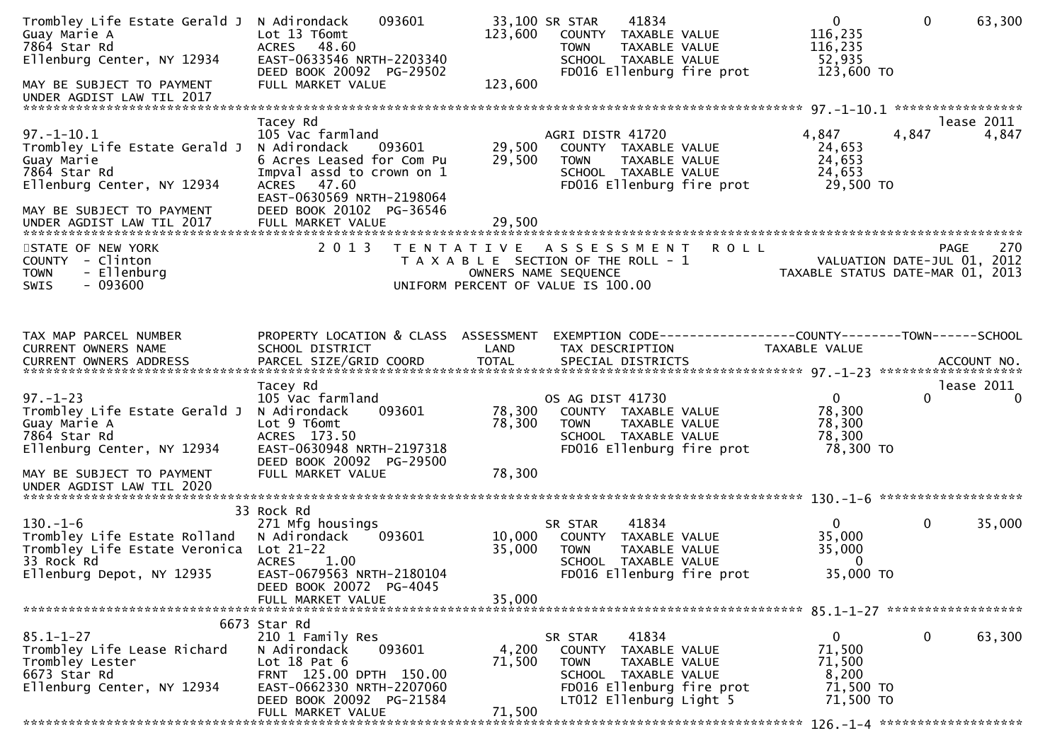| Trombley Life Estate Gerald J<br>Guay Marie A<br>7864 Star Rd<br>Ellenburg Center, NY 12934                                                | 093601<br>N Adirondack<br>Lot 13 T6omt<br>ACRES 48.60<br>EAST-0633546 NRTH-2203340<br>DEED BOOK 20092 PG-29502                                                                           | 123,600                   | 33,100 SR STAR<br>41834<br>COUNTY TAXABLE VALUE<br><b>TOWN</b><br>TAXABLE VALUE<br>SCHOOL TAXABLE VALUE<br>FD016 Ellenburg fire prot                     | $\mathbf{0}$<br>116,235<br>116,235<br>52,935                                  | $\mathbf{0}$<br>123,600 TO                      | 63,300                 |
|--------------------------------------------------------------------------------------------------------------------------------------------|------------------------------------------------------------------------------------------------------------------------------------------------------------------------------------------|---------------------------|----------------------------------------------------------------------------------------------------------------------------------------------------------|-------------------------------------------------------------------------------|-------------------------------------------------|------------------------|
| MAY BE SUBJECT TO PAYMENT<br>UNDER AGDIST LAW TIL 2017                                                                                     | FULL MARKET VALUE                                                                                                                                                                        | 123,600                   |                                                                                                                                                          |                                                                               |                                                 |                        |
| $97. - 1 - 10.1$<br>Trombley Life Estate Gerald J<br>Guay Marie<br>7864 Star Rd<br>Ellenburg Center, NY 12934<br>MAY BE SUBJECT TO PAYMENT | Tacey Rd<br>105 Vac farmland<br>N Adirondack<br>093601<br>6 Acres Leased for Com Pu<br>Impval assd to crown on 1<br>ACRES 47.60<br>EAST-0630569 NRTH-2198064<br>DEED BOOK 20102 PG-36546 | 29,500<br>29,500          | AGRI DISTR 41720<br>COUNTY TAXABLE VALUE<br><b>TOWN</b><br>TAXABLE VALUE<br>SCHOOL TAXABLE VALUE<br>FD016 Ellenburg fire prot                            | 4,847<br>24,653<br>24,653<br>24,653                                           | 4,847<br>29,500 TO                              | lease 2011<br>4,847    |
| STATE OF NEW YORK<br>COUNTY - Clinton<br>- Ellenburg<br><b>TOWN</b><br>$-093600$<br><b>SWIS</b>                                            | 2 0 1 3                                                                                                                                                                                  |                           | TENTATIVE ASSESSMENT<br>T A X A B L E SECTION OF THE ROLL - 1<br>OWNERS NAME SEQUENCE<br>UNIFORM PERCENT OF VALUE IS 100.00                              | <b>ROLL</b><br>VALUATION DATE-JUL 01, 2012                                    | <b>PAGE</b><br>TAXABLE STATUS DATE-MAR 01, 2013 | 270                    |
| TAX MAP PARCEL NUMBER<br><b>CURRENT OWNERS NAME</b>                                                                                        | PROPERTY LOCATION & CLASS ASSESSMENT<br>SCHOOL DISTRICT                                                                                                                                  | LAND                      | TAX DESCRIPTION                                                                                                                                          | EXEMPTION CODE-----------------COUNTY-------TOWN------SCHOOL<br>TAXABLE VALUE |                                                 |                        |
| $97. - 1 - 23$<br>Trombley Life Estate Gerald J<br>Guay Marie A<br>7864 Star Rd<br>Ellenburg Center, NY 12934                              | Tacey Rd<br>105 Vac farmland<br>093601<br>N Adirondack<br>Lot 9 T6omt<br>ACRES 173.50<br>EAST-0630948 NRTH-2197318<br>DEED BOOK 20092 PG-29500                                           | 78,300<br>78,300          | OS AG DIST 41730<br>COUNTY TAXABLE VALUE<br>TAXABLE VALUE<br><b>TOWN</b><br>SCHOOL TAXABLE VALUE<br>FD016 Ellenburg fire prot                            | $\overline{0}$<br>78,300<br>78,300<br>78,300                                  | $\Omega$<br>78,300 TO                           | lease 2011<br>$\Omega$ |
| MAY BE SUBJECT TO PAYMENT<br>UNDER AGDIST LAW TIL 2020                                                                                     | FULL MARKET VALUE                                                                                                                                                                        | 78,300                    |                                                                                                                                                          |                                                                               |                                                 |                        |
| $130. - 1 - 6$<br>Trombley Life Estate Rolland<br>Trombley Life Estate Veronica Lot 21-22<br>33 Rock Rd<br>Ellenburg Depot, NY 12935       | 33 Rock Rd<br>271 Mfg housings<br>N Adirondack<br>093601<br><b>ACRES</b><br>1.00<br>EAST-0679563 NRTH-2180104<br>DEED BOOK 20072 PG-4045                                                 | 10,000<br>35,000          | 41834<br>SR STAR<br>COUNTY TAXABLE VALUE<br><b>TOWN</b><br>TAXABLE VALUE<br>SCHOOL TAXABLE VALUE<br>FD016 Ellenburg fire prot                            | $\Omega$<br>35,000<br>35,000                                                  | $\mathbf 0$<br>$\bf{0}$<br>35,000 TO            | 35,000                 |
|                                                                                                                                            | FULL MARKET VALUE                                                                                                                                                                        | 35,000                    |                                                                                                                                                          |                                                                               |                                                 |                        |
| $85.1 - 1 - 27$<br>Trombley Life Lease Richard<br>Trombley Lester<br>6673 Star Rd<br>Ellenburg Center, NY 12934                            | 6673 Star Rd<br>210 1 Family Res<br>093601<br>N Adirondack<br>Lot $18$ Pat $6$<br>FRNT 125.00 DPTH 150.00<br>EAST-0662330 NRTH-2207060<br>DEED BOOK 20092 PG-21584<br>FULL MARKET VALUE  | 4,200<br>71,500<br>71,500 | 41834<br>SR STAR<br>COUNTY TAXABLE VALUE<br><b>TOWN</b><br>TAXABLE VALUE<br>SCHOOL TAXABLE VALUE<br>FD016 Ellenburg fire prot<br>LT012 Ellenburg Light 5 | $\mathbf{0}$<br>71,500<br>71,500                                              | $\mathbf 0$<br>8,200<br>71,500 TO<br>71,500 TO  | 63,300                 |
|                                                                                                                                            |                                                                                                                                                                                          |                           |                                                                                                                                                          |                                                                               |                                                 |                        |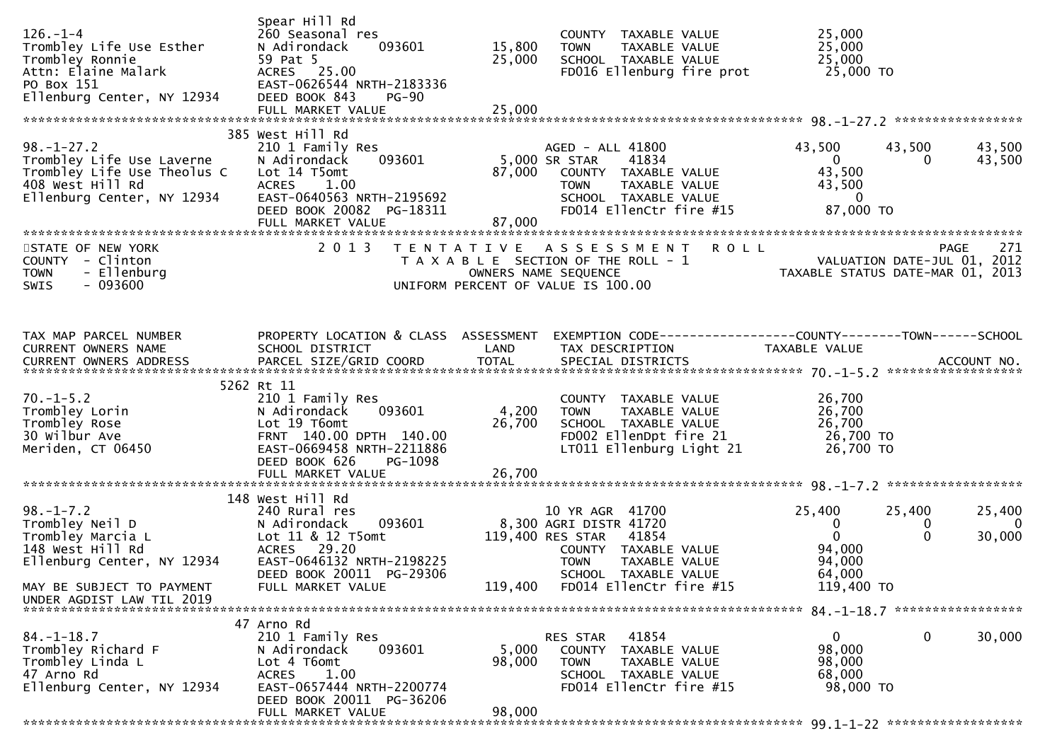| $126. - 1 - 4$<br>Trombley Life Use Esther<br>Trombley Ronnie<br>Attn: Elaine Malark<br>PO Box 151<br>Ellenburg Center, NY 12934 | Spear Hill Rd<br>260 Seasonal res<br>N Adirondack<br>093601<br>59 Pat 5<br>ACRES 25.00<br>EAST-0626544 NRTH-2183336<br>DEED BOOK 843<br><b>PG-90</b>         | 15,800<br>25,000<br>25,000        | COUNTY TAXABLE VALUE<br>TAXABLE VALUE<br><b>TOWN</b><br>SCHOOL TAXABLE VALUE<br>FD016 Ellenburg fire prot                                           | 25,000<br>25,000<br>25,000<br>25,000 TO                                     |                                                         |
|----------------------------------------------------------------------------------------------------------------------------------|--------------------------------------------------------------------------------------------------------------------------------------------------------------|-----------------------------------|-----------------------------------------------------------------------------------------------------------------------------------------------------|-----------------------------------------------------------------------------|---------------------------------------------------------|
|                                                                                                                                  |                                                                                                                                                              |                                   |                                                                                                                                                     |                                                                             |                                                         |
| $98. - 1 - 27.2$<br>Trombley Life Use Laverne<br>Trombley Life Use Theolus C Lot 14 T5omt                                        | 385 West Hill Rd<br>210 1 Family Res<br>093601<br>N Adirondack<br>DEED BOOK 20082 PG-18311<br>FULL MARKET VALUE                                              | 5,000 SR STAR<br>87,000<br>87,000 | AGED - ALL 41800<br>41834<br>COUNTY TAXABLE VALUE<br><b>TOWN</b><br>TAXABLE VALUE<br>SCHOOL TAXABLE VALUE<br>FD014 EllenCtr fire #15                | 43,500<br>$\overline{0}$<br>43,500<br>43,500<br>$\overline{0}$<br>87,000 TO | 43,500<br>43,500<br>43,500<br>0                         |
| STATE OF NEW YORK                                                                                                                | 2 0 1 3                                                                                                                                                      |                                   | <b>ROLL</b><br>TENTATIVE ASSESSMENT                                                                                                                 |                                                                             | 271<br>PAGE                                             |
| COUNTY - Clinton<br>- Ellenburg<br><b>TOWN</b><br>$-093600$<br>SWIS                                                              |                                                                                                                                                              |                                   | T A X A B L E SECTION OF THE ROLL - 1<br>OWNERS NAME SEQUENCE<br>UNIFORM PERCENT OF VALUE IS 100.00                                                 | ROLL - 1<br>VALUATION DATE-JUL 01, 2012<br>TAXABLE STATUS DATE-MAR 01, 2013 |                                                         |
| TAX MAP PARCEL NUMBER<br>CURRENT OWNERS NAME                                                                                     | PROPERTY LOCATION & CLASS ASSESSMENT<br>SCHOOL DISTRICT                                                                                                      | LAND                              | EXEMPTION CODE-----------------COUNTY-------TOWN------SCHOOL<br>TAX DESCRIPTION                                                                     | TAXABLE VALUE                                                               |                                                         |
|                                                                                                                                  |                                                                                                                                                              |                                   |                                                                                                                                                     |                                                                             |                                                         |
| 70.-1-5.2<br>Trombley Lorin<br>Trombley Rose<br>30 Wilbur Ave<br>Meriden, CT 06450                                               | 5262 Rt 11<br>210 1 Family Res<br>093601<br>N Adirondack<br>Lot 19 T6omt<br>FRNT 140.00 DPTH 140.00<br>EAST-0669458 NRTH-2211886<br>DEED BOOK 626<br>PG-1098 | 4,200<br>26,700                   | COUNTY TAXABLE VALUE<br>TAXABLE VALUE<br><b>TOWN</b><br>SCHOOL TAXABLE VALUE<br>FD002 EllenDpt fire 21<br>LT011 Ellenburg Light 21                  | 26,700<br>26,700<br>26,700<br>26,700 TO<br>26,700 TO                        |                                                         |
|                                                                                                                                  |                                                                                                                                                              |                                   |                                                                                                                                                     |                                                                             |                                                         |
|                                                                                                                                  | 148 West Hill Rd                                                                                                                                             |                                   |                                                                                                                                                     |                                                                             |                                                         |
| $98. - 1 - 7.2$<br>98.-1-7.2<br>Trombley Neil D<br>Trombley Marcia L<br>148 West Hill Rd<br>Ellenburg Center, NY 12934           | 240 Rural res<br>093601<br>N Adirondack<br>Lot 11 & 12 T5omt<br>ACRES 29.20<br>EAST-0646132 NRTH-2198225<br>DEED BOOK 20011 PG-29306                         |                                   | 10 YR AGR 41700<br>8,300 AGRI DISTR 41720<br>119,400 RES STAR 41854<br>COUNTY TAXABLE VALUE<br><b>TOWN</b><br>TAXABLE VALUE<br>SCHOOL TAXABLE VALUE | 25,400<br>$\overline{0}$<br>$\overline{0}$<br>94,000<br>94,000<br>64,000    | 25,400<br>25,400<br>$\Omega$<br>0<br>$\Omega$<br>30,000 |
| MAY BE SUBJECT TO PAYMENT<br>UNDER AGDIST LAW TIL 2019                                                                           | FULL MARKET VALUE                                                                                                                                            | 119,400                           | FD014 EllenCtr fire #15                                                                                                                             | 119,400 TO                                                                  |                                                         |
|                                                                                                                                  | 47 Arno Rd                                                                                                                                                   |                                   |                                                                                                                                                     |                                                                             |                                                         |
| $84. - 1 - 18.7$<br>Trombley Richard F<br>Trombley Linda L<br>47 Arno Rd<br>Ellenburg Center, NY 12934                           | 210 1 Family Res<br>093601<br>N Adirondack<br>Lot 4 T6omt<br><b>ACRES</b><br>1.00<br>EAST-0657444 NRTH-2200774<br>DEED BOOK 20011 PG-36206                   | 5,000<br>98,000                   | RES STAR<br>41854<br><b>COUNTY</b><br>TAXABLE VALUE<br><b>TOWN</b><br><b>TAXABLE VALUE</b><br>SCHOOL TAXABLE VALUE<br>FD014 EllenCtr fire #15       | 0<br>98,000<br>98,000<br>68,000<br>98,000 TO                                | $\mathbf 0$<br>30,000                                   |
|                                                                                                                                  | FULL MARKET VALUE                                                                                                                                            | 98,000                            |                                                                                                                                                     |                                                                             |                                                         |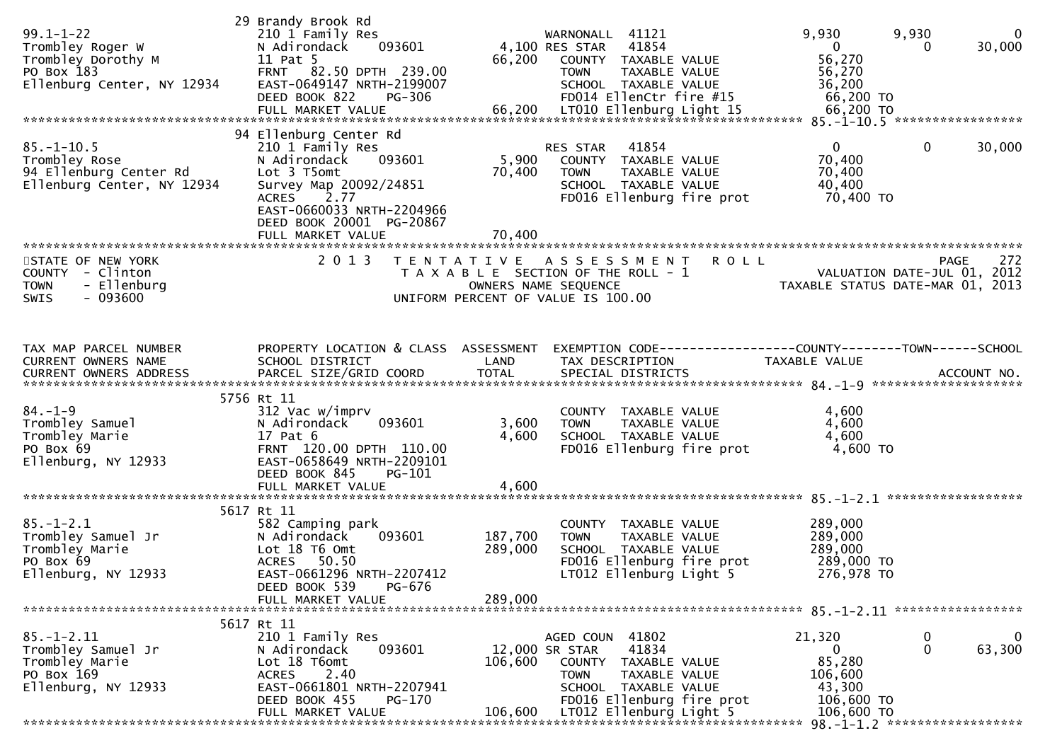| $99.1 - 1 - 22$<br>Trombley Roger W<br>Trombley Dorothy M<br>PO Box 183<br>Ellenburg Center, NY 12934 | 29 Brandy Brook Rd<br>210 1 Family Res<br>N Adirondack<br>093601<br>11 Pat 5<br>FRNT 82.50 DPTH 239.00<br>EAST-0649147 NRTH-2199007<br>DEED BOOK 822<br>PG-306                                            | 66,200                        | WARNONALL 41121<br>4,100 RES STAR 41854<br>COUNTY TAXABLE VALUE<br>TAXABLE VALUE<br><b>TOWN</b><br>SCHOOL TAXABLE VALUE<br>FD014 EllenCtr fire #15                                 | 9,930<br>$\mathbf{0}$<br>56,270<br>56,270<br>36,200<br>66,200 TO                  | 9,930<br>$\mathbf 0$<br>30,000<br>0     |
|-------------------------------------------------------------------------------------------------------|-----------------------------------------------------------------------------------------------------------------------------------------------------------------------------------------------------------|-------------------------------|------------------------------------------------------------------------------------------------------------------------------------------------------------------------------------|-----------------------------------------------------------------------------------|-----------------------------------------|
| $85. - 1 - 10.5$<br>Trombley Rose<br>94 Ellenburg Center Rd<br>Ellenburg Center, NY 12934             | 94 Ellenburg Center Rd<br>210 1 Family Res<br>093601<br>N Adirondack<br>Lot 3 T5omt<br>Survey Map 20092/24851<br>ACRES 2.77<br>EAST-0660033 NRTH-2204966<br>DEED BOOK 20001 PG-20867<br>FULL MARKET VALUE | 5,900<br>70,400<br>70,400     | RES STAR<br>41854<br>COUNTY TAXABLE VALUE<br><b>TOWN</b><br>TAXABLE VALUE<br>SCHOOL TAXABLE VALUE<br>FD016 Ellenburg fire prot                                                     | $\mathbf 0$<br>70,400<br>70,400<br>40,400<br>70,400 TO                            | $\mathbf 0$<br>30,000                   |
| STATE OF NEW YORK<br>COUNTY - Clinton<br><b>TOWN</b><br>- Ellenburg<br>$-093600$<br><b>SWIS</b>       | 2 0 1 3                                                                                                                                                                                                   |                               | TENTATIVE ASSESSMENT<br><b>ROLL</b><br>T A X A B L E SECTION OF THE ROLL - 1<br>OWNERS NAME SEQUENCE<br>UNIFORM PERCENT OF VALUE IS 100.00                                         | VALUATION DATE-JUL 01, 2012<br>TAXABLE STATUS DATE-MAR 01, 2013                   | 272<br>PAGE                             |
| TAX MAP PARCEL NUMBER<br>CURRENT OWNERS NAME<br>CURRENT OWNERS ADDRESS                                | PROPERTY LOCATION & CLASS ASSESSMENT<br>SCHOOL DISTRICT<br>PARCEL SIZE/GRID COORD                                                                                                                         | LAND<br><b>TOTAL</b>          | TAX DESCRIPTION<br>SPECIAL DISTRICTS                                                                                                                                               | TAXABLE VALUE                                                                     | ACCOUNT NO.                             |
| $84. - 1 - 9$<br>Trombley Samuel<br>Trombley Marie<br>PO Box 69<br>Ellenburg, NY 12933                | 5756 Rt 11<br>312 Vac w/imprv<br>093601<br>N Adirondack<br>17 Pat 6<br>FRNT 120.00 DPTH 110.00<br>EAST-0658649 NRTH-2209101<br>DEED BOOK 845<br>PG-101                                                    | 3,600<br>4,600                | COUNTY TAXABLE VALUE<br>TAXABLE VALUE<br><b>TOWN</b><br>SCHOOL TAXABLE VALUE<br>FD016 Ellenburg fire prot                                                                          | 4,600<br>4,600<br>4,600<br>4,600 TO                                               |                                         |
|                                                                                                       | FULL MARKET VALUE                                                                                                                                                                                         | 4,600                         |                                                                                                                                                                                    |                                                                                   |                                         |
| $85. - 1 - 2.1$<br>Trombley Samuel Jr<br>Trombley Marie<br>PO Box 69<br>Ellenburg, NY 12933           | 5617 Rt 11<br>582 Camping park<br>N Adirondack<br>093601<br>Lot 18 T6 Omt<br>ACRES 50.50<br>EAST-0661296 NRTH-2207412<br>PG-676<br>DEED BOOK 539<br>FULL MARKET VALUE                                     | 187,700<br>289,000<br>289,000 | COUNTY TAXABLE VALUE<br>TAXABLE VALUE<br><b>TOWN</b><br>SCHOOL TAXABLE VALUE<br>FD016 Ellenburg fire prot<br>LT012 Ellenburg Light 5                                               | 289,000<br>289,000<br>289,000<br>289,000 TO<br>276,978 TO                         |                                         |
|                                                                                                       | 5617 Rt 11                                                                                                                                                                                                |                               |                                                                                                                                                                                    |                                                                                   |                                         |
| $85. - 1 - 2.11$<br>Trombley Samuel Jr<br>Trombley Marie<br>PO Box 169<br>Ellenburg, NY 12933         | 210 1 Family Res<br>093601<br>N Adirondack<br>Lot 18 T6omt<br>2.40<br><b>ACRES</b><br>EAST-0661801 NRTH-2207941<br>DEED BOOK 455<br>PG-170<br>FULL MARKET VALUE                                           | 106,600<br>106,600            | AGED COUN 41802<br>12,000 SR STAR<br>41834<br>COUNTY TAXABLE VALUE<br><b>TOWN</b><br>TAXABLE VALUE<br>SCHOOL TAXABLE VALUE<br>FD016 Ellenburg fire prot<br>LT012 Ellenburg Light 5 | 21,320<br>$\mathbf{0}$<br>85,280<br>106,600<br>43,300<br>106,600 TO<br>106,600 TO | $\bf{0}$<br>0<br>$\mathbf{0}$<br>63,300 |
|                                                                                                       |                                                                                                                                                                                                           |                               |                                                                                                                                                                                    |                                                                                   |                                         |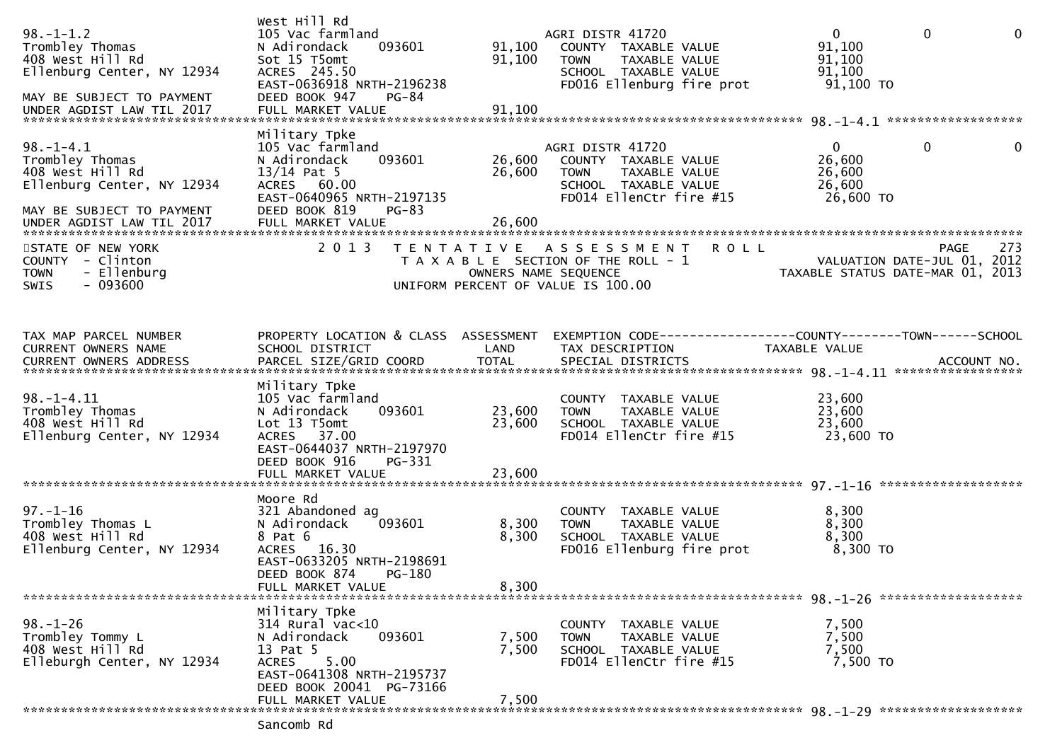| $98. - 1 - 1.2$<br>Trombley Thomas<br>408 West Hill Rd<br>Ellenburg Center, NY 12934<br>MAY BE SUBJECT TO PAYMENT<br>UNDER AGDIST LAW TIL 2017 | West Hill Rd<br>105 Vac farmland<br>093601<br>N Adirondack<br>Sot 15 T5omt<br>ACRES 245.50<br>EAST-0636918 NRTH-2196238<br>DEED BOOK 947<br>PG-84<br>FULL MARKET VALUE    | 91,100<br>91,100<br>91,100 | AGRI DISTR 41720<br>COUNTY TAXABLE VALUE<br><b>TOWN</b><br>TAXABLE VALUE<br>SCHOOL TAXABLE VALUE<br>FD016 Ellenburg fire prot              | $\overline{0}$<br>91,100<br>91,100<br>91,100<br>$91,100$ TO     | $\mathbf 0$  | $\mathbf{0}$ |
|------------------------------------------------------------------------------------------------------------------------------------------------|---------------------------------------------------------------------------------------------------------------------------------------------------------------------------|----------------------------|--------------------------------------------------------------------------------------------------------------------------------------------|-----------------------------------------------------------------|--------------|--------------|
| $98. - 1 - 4.1$<br>Trombley Thomas<br>408 West Hill Rd<br>Ellenburg Center, NY 12934<br>MAY BE SUBJECT TO PAYMENT<br>UNDER AGDIST LAW TIL 2017 | Military Tpke<br>105 Vac farmland<br>N Adirondack<br>093601<br>$13/14$ Pat 5<br>ACRES 60.00<br>EAST-0640965 NRTH-2197135<br>DEED BOOK 819<br>$PG-83$<br>FULL MARKET VALUE | 26,600<br>26,600<br>26,600 | AGRI DISTR 41720<br>COUNTY TAXABLE VALUE<br><b>TOWN</b><br>TAXABLE VALUE<br>SCHOOL TAXABLE VALUE<br>FD014 EllenCtr fire #15                | $\mathbf{0}$<br>26,600<br>26,600<br>26,600<br>26,600 TO         | $\mathbf{0}$ | $\mathbf 0$  |
| STATE OF NEW YORK<br>COUNTY - Clinton<br>- Ellenburg<br><b>TOWN</b><br>$-093600$<br><b>SWIS</b>                                                | 2 0 1 3                                                                                                                                                                   |                            | <b>ROLL</b><br>TENTATIVE ASSESSMENT<br>T A X A B L E SECTION OF THE ROLL - 1<br>OWNERS NAME SEQUENCE<br>UNIFORM PERCENT OF VALUE IS 100.00 | VALUATION DATE-JUL 01, 2012<br>TAXABLE STATUS DATE-MAR 01, 2013 | <b>PAGE</b>  | 273          |
| TAX MAP PARCEL NUMBER<br>CURRENT OWNERS NAME                                                                                                   | PROPERTY LOCATION & CLASS ASSESSMENT<br>SCHOOL DISTRICT                                                                                                                   | LAND                       | TAX DESCRIPTION                                                                                                                            | <b>TAXABLE VALUE</b>                                            |              |              |
| $98. - 1 - 4.11$<br>Trombley Thomas<br>408 West Hill Rd<br>Ellenburg Center, NY 12934                                                          | Military Tpke<br>105 Vac farmland<br>N Adirondack<br>093601<br>Lot 13 T5omt<br>37.00<br><b>ACRES</b><br>EAST-0644037 NRTH-2197970<br>DEED BOOK 916<br>PG-331              | 23,600<br>23,600           | COUNTY TAXABLE VALUE<br><b>TOWN</b><br>TAXABLE VALUE<br>SCHOOL TAXABLE VALUE<br>FD014 EllenCtr fire #15                                    | 23,600<br>23,600<br>23,600<br>23,600 TO                         |              |              |
|                                                                                                                                                |                                                                                                                                                                           |                            |                                                                                                                                            |                                                                 |              |              |
| $97. - 1 - 16$<br>Trombley Thomas L<br>408 West Hill Rd<br>Ellenburg Center, NY 12934                                                          | Moore Rd<br>321 Abandoned ag<br>N Adirondack<br>093601<br>8 Pat 6<br>ACRES 16.30<br>EAST-0633205 NRTH-2198691<br>DEED BOOK 874<br><b>PG-180</b><br>FULL MARKET VALUE      | 8,300<br>8,300<br>8,300    | COUNTY TAXABLE VALUE<br>TAXABLE VALUE<br><b>TOWN</b><br>SCHOOL TAXABLE VALUE<br>FD016 Ellenburg fire prot                                  | 8,300<br>8,300<br>8,300<br>8,300 TO                             |              |              |
| ********************************                                                                                                               | Military Tpke                                                                                                                                                             |                            |                                                                                                                                            |                                                                 |              |              |
| $98. - 1 - 26$<br>Trombley Tommy L<br>408 West Hill Rd<br>Elleburgh Center, NY 12934                                                           | 314 Rural vac<10<br>093601<br>N Adirondack<br>13 Pat 5<br>5.00<br><b>ACRES</b><br>EAST-0641308 NRTH-2195737<br>DEED BOOK 20041 PG-73166                                   | 7,500<br>7,500             | COUNTY TAXABLE VALUE<br>TAXABLE VALUE<br><b>TOWN</b><br>SCHOOL TAXABLE VALUE<br>FD014 EllenCtr fire #15                                    | 7,500<br>7,500<br>7,500<br>7,500 TO                             |              |              |
|                                                                                                                                                | FULL MARKET VALUE                                                                                                                                                         | 7,500                      |                                                                                                                                            |                                                                 |              |              |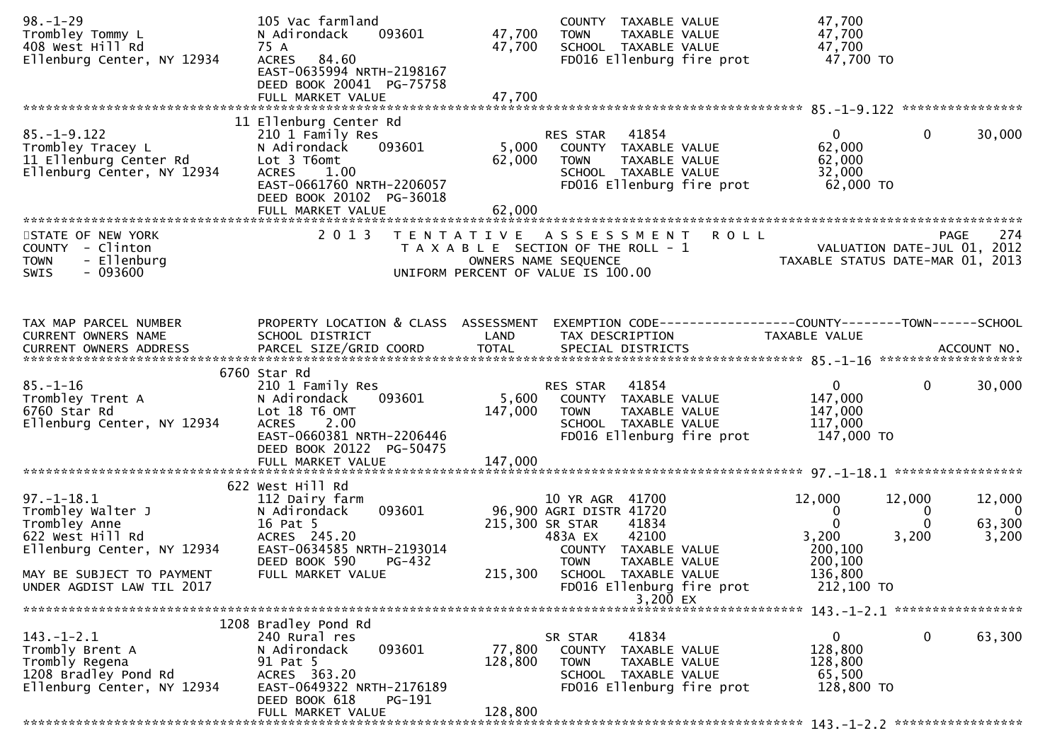| $98. - 1 - 29$<br>Trombley Tommy L<br>408 West Hill Rd<br>Ellenburg Center, NY 12934                     | 105 Vac farmland<br>093601<br>N Adirondack<br>75 A<br>ACRES 84.60<br>EAST-0635994 NRTH-2198167<br>DEED BOOK 20041 PG-75758<br>FULL MARKET VALUE                 | 47,700<br>47,700<br>47,700 | COUNTY TAXABLE VALUE<br>TAXABLE VALUE<br><b>TOWN</b><br>SCHOOL TAXABLE VALUE<br>FD016 Ellenburg fire prot                                          | 47,700<br>47,700<br>47,700<br>47,700 TO                                       |                                                                       |
|----------------------------------------------------------------------------------------------------------|-----------------------------------------------------------------------------------------------------------------------------------------------------------------|----------------------------|----------------------------------------------------------------------------------------------------------------------------------------------------|-------------------------------------------------------------------------------|-----------------------------------------------------------------------|
|                                                                                                          | 11 Ellenburg Center Rd                                                                                                                                          |                            |                                                                                                                                                    |                                                                               |                                                                       |
| $85. - 1 - 9.122$<br>Trombley Tracey L<br>11 Ellenburg Center Rd<br>Ellenburg Center, NY 12934           | 210 1 Family Res<br>093601<br>N Adirondack<br>Lot 3 T6omt<br><b>ACRES</b><br>1.00<br>EAST-0661760 NRTH-2206057<br>DEED BOOK 20102 PG-36018<br>FULL MARKET VALUE | 5,000<br>62,000<br>62,000  | RES STAR<br>41854<br>COUNTY TAXABLE VALUE<br><b>TOWN</b><br>TAXABLE VALUE<br>SCHOOL TAXABLE VALUE<br>FD016 Ellenburg fire prot                     | $\mathbf{0}$<br>62,000<br>62,000<br>32,000<br>62,000 TO                       | $\mathbf{0}$<br>30,000                                                |
|                                                                                                          |                                                                                                                                                                 |                            |                                                                                                                                                    |                                                                               |                                                                       |
| STATE OF NEW YORK<br>COUNTY - Clinton<br>- Ellenburg<br><b>TOWN</b><br>$-093600$<br><b>SWIS</b>          | 2 0 1 3                                                                                                                                                         |                            | <b>ROLL</b><br>TENTATIVE ASSESSMENT<br>T A X A B L E SECTION OF THE ROLL - 1<br>OWNERS NAME SEQUENCE<br>UNIFORM PERCENT OF VALUE IS 100.00         | VALUATION DATE-JUL 01, 2012<br>TAXABLE STATUS DATE-MAR 01, 2013               | 274<br>PAGE                                                           |
| TAX MAP PARCEL NUMBER                                                                                    | PROPERTY LOCATION & CLASS ASSESSMENT                                                                                                                            |                            | EXEMPTION CODE------------------COUNTY--------TOWN------SCHOOL                                                                                     |                                                                               |                                                                       |
| CURRENT OWNERS NAME                                                                                      | SCHOOL DISTRICT                                                                                                                                                 | LAND                       | TAX DESCRIPTION                                                                                                                                    | TAXABLE VALUE                                                                 |                                                                       |
| $85. - 1 - 16$<br>Trombley Trent A<br>6760 Star Rd<br>Ellenburg Center, NY 12934                         | 6760 Star Rd<br>210 1 Family Res<br>093601<br>N Adirondack<br>Lot 18 T6 OMT<br>2.00<br><b>ACRES</b><br>EAST-0660381 NRTH-2206446                                | 5,600<br>147,000           | 41854<br>RES STAR<br>COUNTY TAXABLE VALUE<br><b>TOWN</b><br>TAXABLE VALUE<br>SCHOOL TAXABLE VALUE<br>FD016 Ellenburg fire prot                     | $\overline{0}$<br>147,000<br>147,000<br>117,000<br>147,000 TO                 | $\overline{0}$<br>30,000                                              |
|                                                                                                          | DEED BOOK 20122 PG-50475<br>FULL MARKET VALUE                                                                                                                   | 147,000                    |                                                                                                                                                    |                                                                               |                                                                       |
|                                                                                                          |                                                                                                                                                                 |                            |                                                                                                                                                    |                                                                               |                                                                       |
| $97. - 1 - 18.1$<br>Trombley Walter J<br>Trombley Anne<br>622 West Hill Rd<br>Ellenburg Center, NY 12934 | 622 West Hill Rd<br>112 Dairy farm<br>093601<br>N Adirondack<br>16 Pat 5<br>ACRES 245.20<br>EAST-0634585 NRTH-2193014<br>DEED BOOK 590<br>PG-432                |                            | 10 YR AGR 41700<br>96,900 AGRI DISTR 41720<br>215,300 SR STAR<br>41834<br>42100<br>483A EX<br>COUNTY TAXABLE VALUE<br><b>TOWN</b><br>TAXABLE VALUE | 12,000<br>12,000<br>0<br>$\mathbf{0}$<br>3,200<br>3,200<br>200,100<br>200,100 | 12,000<br>$\overline{\mathbf{0}}$<br>0<br>63,300<br>$\Omega$<br>3,200 |
| MAY BE SUBJECT TO PAYMENT<br>UNDER AGDIST LAW TIL 2017                                                   | FULL MARKET VALUE                                                                                                                                               | 215,300                    | SCHOOL TAXABLE VALUE<br>FD016 Ellenburg fire prot<br>3,200 $EX$                                                                                    | 136,800<br>212,100 TO                                                         |                                                                       |
|                                                                                                          |                                                                                                                                                                 |                            |                                                                                                                                                    | 143. -1-2.1 *******************                                               |                                                                       |
| $143.-1-2.1$<br>Trombly Brent A<br>Trombly Regena<br>1208 Bradley Pond Rd<br>Ellenburg Center, NY 12934  | 1208 Bradley Pond Rd<br>240 Rural res<br>093601<br>N Adirondack<br>91 Pat 5<br>ACRES 363.20<br>EAST-0649322 NRTH-2176189<br>DEED BOOK 618<br>PG-191             | 77,800<br>128,800          | 41834<br>SR STAR<br>COUNTY TAXABLE VALUE<br>TAXABLE VALUE<br><b>TOWN</b><br>SCHOOL TAXABLE VALUE<br>FD016 Ellenburg fire prot                      | $\mathbf{0}$<br>128,800<br>128,800<br>65,500<br>128,800 TO                    | $\mathbf 0$<br>63,300                                                 |
|                                                                                                          | FULL MARKET VALUE                                                                                                                                               | 128,800                    |                                                                                                                                                    |                                                                               |                                                                       |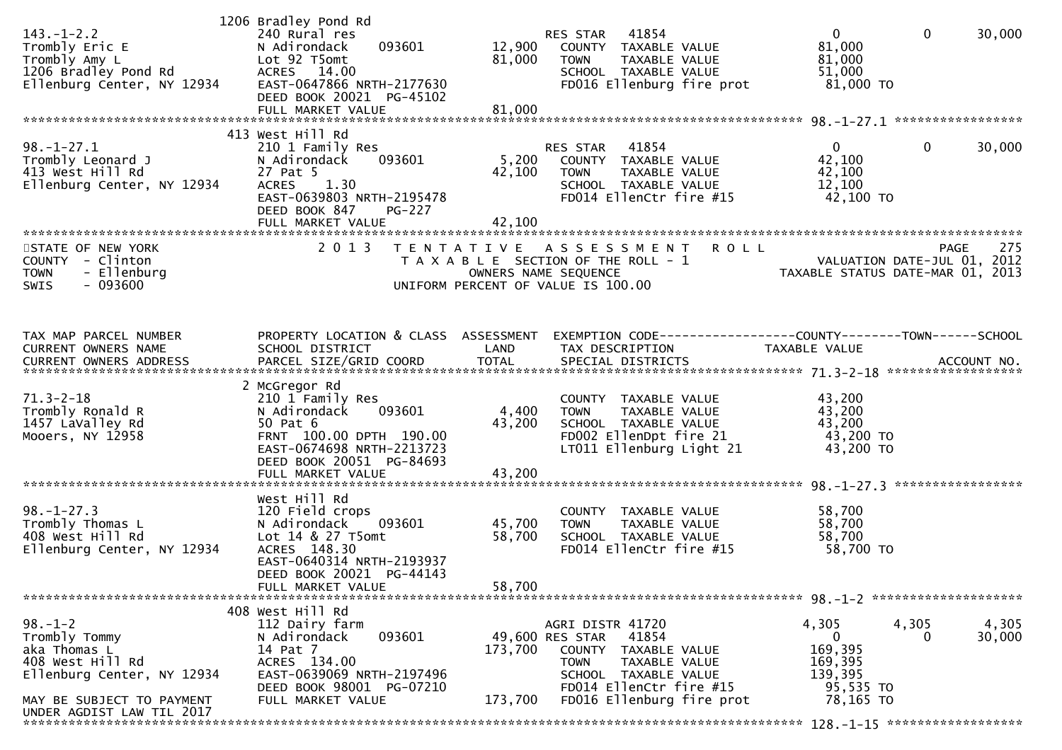| $143. - 1 - 2.2$<br>Trombly Eric E<br>Trombly Amy L<br>1206 Bradley Pond Rd<br>Ellenburg Center, NY 12934 | 1206 Bradley Pond Rd<br>240 Rural res<br>093601<br>N Adirondack<br>Lot 92 T5omt<br>ACRES 14.00<br>EAST-0647866 NRTH-2177630<br>DEED BOOK 20021 PG-45102<br>FULL MARKET VALUE | 12,900<br>81,000<br>81,000 | 41854<br>RES STAR<br>COUNTY TAXABLE VALUE<br><b>TOWN</b><br>TAXABLE VALUE<br>SCHOOL TAXABLE VALUE<br>FD016 Ellenburg fire prot                             | $\overline{0}$<br>81,000<br>81,000<br>51,000<br>$81,000$ TO | $\mathbf 0$<br>30,000                                                                 |
|-----------------------------------------------------------------------------------------------------------|------------------------------------------------------------------------------------------------------------------------------------------------------------------------------|----------------------------|------------------------------------------------------------------------------------------------------------------------------------------------------------|-------------------------------------------------------------|---------------------------------------------------------------------------------------|
|                                                                                                           | 413 West Hill Rd                                                                                                                                                             |                            |                                                                                                                                                            |                                                             |                                                                                       |
| $98. - 1 - 27.1$<br>Trombly Leonard J<br>413 West Hill Rd<br>Ellenburg Center, NY 12934                   | 210 1 Family Res<br>N Adirondack<br>093601<br>27 Pat 5<br>1.30<br><b>ACRES</b><br>EAST-0639803 NRTH-2195478<br>DEED BOOK 847<br><b>PG-227</b><br>FULL MARKET VALUE           | 5,200<br>42,100<br>42,100  | RES STAR<br>41854<br>COUNTY TAXABLE VALUE<br><b>TOWN</b><br>TAXABLE VALUE<br>SCHOOL TAXABLE VALUE<br>FD014 EllenCtr fire #15                               | $\overline{0}$<br>42,100<br>42,100<br>12,100<br>42,100 TO   | $\mathbf{0}$<br>30,000                                                                |
|                                                                                                           |                                                                                                                                                                              |                            |                                                                                                                                                            |                                                             |                                                                                       |
| STATE OF NEW YORK<br>COUNTY - Clinton<br>- Ellenburg<br><b>TOWN</b><br>$-093600$<br><b>SWIS</b>           | 2 0 1 3                                                                                                                                                                      |                            | <b>ROLL</b><br>TENTATIVE ASSESSMENT<br>T A X A B L E SECTION OF THE ROLL - 1<br>OWNERS NAME SEQUENCE<br>UNIFORM PERCENT OF VALUE IS 100.00                 |                                                             | 275<br><b>PAGE</b><br>VALUATION DATE-JUL 01, 2012<br>TAXABLE STATUS DATE-MAR 01, 2013 |
| TAX MAP PARCEL NUMBER<br>CURRENT OWNERS NAME                                                              | PROPERTY LOCATION & CLASS ASSESSMENT<br>SCHOOL DISTRICT                                                                                                                      | LAND                       | EXEMPTION CODE------------------COUNTY--------TOWN------SCHOOL<br>TAX DESCRIPTION                                                                          | TAXABLE VALUE                                               |                                                                                       |
| $71.3 - 2 - 18$<br>Trombly Ronald R<br>1457 LaValley Rd<br>Mooers, NY 12958                               | 2 McGregor Rd<br>210 1 Family Res<br>N Adirondack<br>093601<br>50 Pat 6<br>FRNT 100.00 DPTH 190.00<br>EAST-0674698 NRTH-2213723<br>DEED BOOK 20051 PG-84693                  | 4,400<br>43,200            | COUNTY TAXABLE VALUE<br><b>TOWN</b><br>TAXABLE VALUE<br>SCHOOL TAXABLE VALUE<br>FD002 EllenDpt fire 21<br>LT011 Ellenburg Light 21                         | 43,200<br>43,200<br>43,200<br>43,200 TO<br>43,200 TO        |                                                                                       |
|                                                                                                           |                                                                                                                                                                              |                            |                                                                                                                                                            |                                                             | *****************                                                                     |
| $98. - 1 - 27.3$<br>Trombly Thomas L<br>408 West Hill Rd<br>Ellenburg Center, NY 12934                    | West Hill Rd<br>120 Field crops<br>N Adirondack<br>093601<br>Lot 14 & 27 T5omt<br>ACRES 148.30<br>EAST-0640314 NRTH-2193937<br>DEED BOOK 20021 PG-44143<br>FULL MARKET VALUE | 45,700<br>58,700<br>58,700 | COUNTY TAXABLE VALUE<br>TAXABLE VALUE<br><b>TOWN</b><br>SCHOOL TAXABLE VALUE<br>FD014 EllenCtr fire #15                                                    | 58,700<br>58,700<br>58,700<br>58,700 TO                     |                                                                                       |
|                                                                                                           |                                                                                                                                                                              |                            |                                                                                                                                                            |                                                             |                                                                                       |
| $98. - 1 - 2$<br>Trombly Tommy<br>aka Thomas L<br>408 West Hill Rd<br>Ellenburg Center, NY 12934          | 408 West Hill Rd<br>112 Dairy farm<br>093601<br>N Adirondack<br>14 Pat 7<br>ACRES 134.00<br>EAST-0639069 NRTH-2197496<br>DEED BOOK 98001 PG-07210                            | 173,700                    | AGRI DISTR 41720<br>41854<br>49,600 RES STAR<br>COUNTY<br>TAXABLE VALUE<br><b>TOWN</b><br>TAXABLE VALUE<br>SCHOOL TAXABLE VALUE<br>FD014 EllenCtr fire #15 | 4,305<br>0<br>169,395<br>169,395<br>139,395<br>95,535 TO    | 4,305<br>4,305<br>30,000                                                              |
| MAY BE SUBJECT TO PAYMENT<br>UNDER AGDIST LAW TIL 2017                                                    | FULL MARKET VALUE                                                                                                                                                            | 173,700                    | FD016 Ellenburg fire prot                                                                                                                                  | 78,165 TO                                                   |                                                                                       |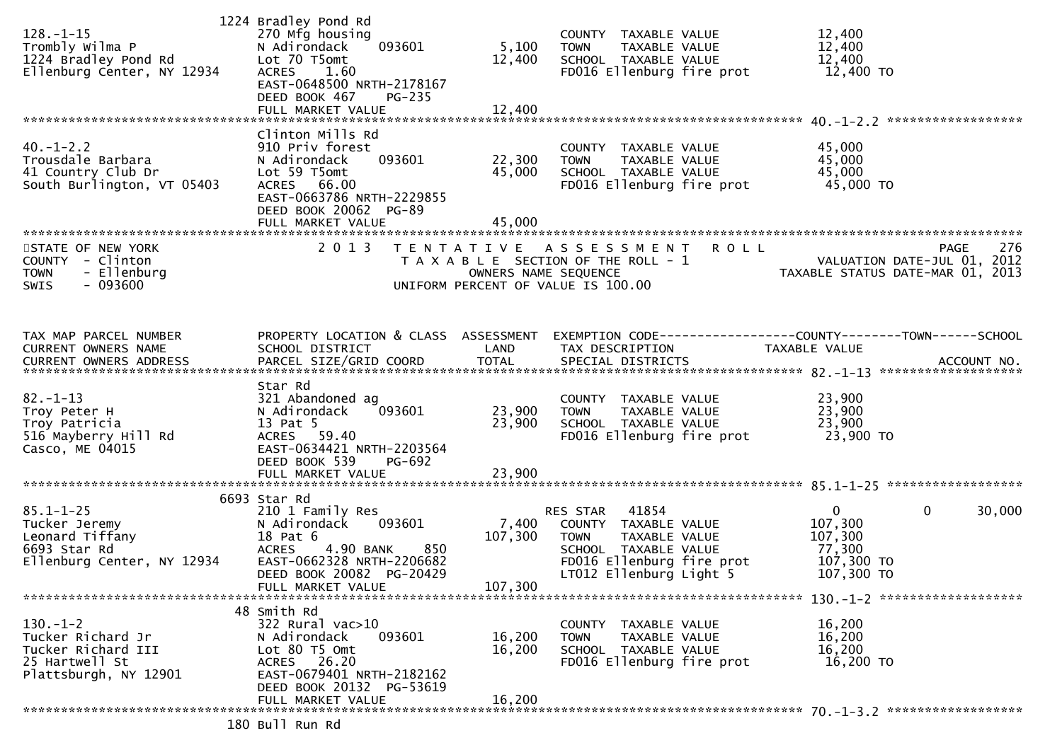| $128. - 1 - 15$<br>Trombly Wilma P<br>1224 Bradley Pond Rd<br>Ellenburg Center, NY 12934            | 1224 Bradley Pond Rd<br>270 Mfg housing<br>N Adirondack<br>093601<br>Lot 70 T5omt<br>ACRES<br>1.60<br>EAST-0648500 NRTH-2178167<br>DEED BOOK 467<br>PG-235<br>FULL MARKET VALUE          | 5,100<br>12,400<br>12,400   | COUNTY TAXABLE VALUE<br><b>TOWN</b><br>TAXABLE VALUE<br>SCHOOL TAXABLE VALUE<br>FD016 Ellenburg fire prot                                                 | 12,400<br>12,400<br>12,400<br>12,400 TO                                                  |        |
|-----------------------------------------------------------------------------------------------------|------------------------------------------------------------------------------------------------------------------------------------------------------------------------------------------|-----------------------------|-----------------------------------------------------------------------------------------------------------------------------------------------------------|------------------------------------------------------------------------------------------|--------|
|                                                                                                     |                                                                                                                                                                                          |                             |                                                                                                                                                           |                                                                                          |        |
| $40. - 1 - 2.2$<br>Trousdale Barbara<br>41 Country Club Dr<br>South Burlington, VT 05403            | Clinton Mills Rd<br>910 Priv forest<br>093601<br>N Adirondack<br>Lot 59 T5omt<br>ACRES 66.00<br>EAST-0663786 NRTH-2229855<br>DEED BOOK 20062 PG-89<br>FULL MARKET VALUE                  | 22,300<br>45,000<br>45,000  | COUNTY TAXABLE VALUE<br>TAXABLE VALUE<br><b>TOWN</b><br>SCHOOL TAXABLE VALUE<br>FD016 Ellenburg fire prot                                                 | 45,000<br>45,000<br>45,000<br>45,000 TO                                                  |        |
|                                                                                                     |                                                                                                                                                                                          |                             |                                                                                                                                                           |                                                                                          |        |
| STATE OF NEW YORK<br>COUNTY - Clinton<br>- Ellenburg<br><b>TOWN</b><br>$-093600$<br><b>SWIS</b>     | 2 0 1 3                                                                                                                                                                                  | OWNERS NAME SEQUENCE        | TENTATIVE ASSESSMENT ROLL<br>T A X A B L E SECTION OF THE ROLL - 1<br>UNIFORM PERCENT OF VALUE IS 100.00                                                  | <b>PAGE</b><br>VALUATION DATE-JUL 01, 2012<br>TAXABLE STATUS DATE-MAR 01, 2013           | 276    |
| TAX MAP PARCEL NUMBER                                                                               | PROPERTY LOCATION & CLASS ASSESSMENT                                                                                                                                                     |                             |                                                                                                                                                           | EXEMPTION CODE-----------------COUNTY-------TOWN------SCHOOL                             |        |
| CURRENT OWNERS NAME                                                                                 | SCHOOL DISTRICT                                                                                                                                                                          | LAND                        | TAX DESCRIPTION                                                                                                                                           | TAXABLE VALUE                                                                            |        |
| $82 - 1 - 13$<br>Troy Peter H<br>Troy Patricia<br>516 Mayberry Hill Rd<br>Casco, ME 04015           | Star Rd<br>321 Abandoned ag<br>093601<br>N Adirondack<br>13 Pat 5<br>ACRES 59.40<br>EAST-0634421 NRTH-2203564<br>DEED BOOK 539<br>PG-692                                                 | 23,900<br>23,900            | COUNTY TAXABLE VALUE<br>TAXABLE VALUE<br><b>TOWN</b><br>SCHOOL TAXABLE VALUE<br>FD016 Ellenburg fire prot                                                 | 23,900<br>23,900<br>23,900<br>23,900 TO                                                  |        |
|                                                                                                     | FULL MARKET VALUE                                                                                                                                                                        | 23,900                      |                                                                                                                                                           |                                                                                          |        |
| $85.1 - 1 - 25$<br>Tucker Jeremy<br>Leonard Tiffany<br>6693 Star Rd<br>Ellenburg Center, NY 12934   | 6693 Star Rd<br>210 1 Family Res<br>093601<br>N Adirondack<br>18 Pat 6<br>4.90 BANK<br><b>ACRES</b><br>850<br>EAST-0662328 NRTH-2206682<br>DEED BOOK 20082 PG-20429<br>FULL MARKET VALUE | 7,400<br>107,300<br>107,300 | 41854<br>RES STAR<br>COUNTY TAXABLE VALUE<br><b>TOWN</b><br>TAXABLE VALUE<br>SCHOOL TAXABLE VALUE<br>FD016 Ellenburg fire prot<br>LT012 Ellenburg Light 5 | $\mathbf{0}$<br>$\mathbf{0}$<br>107,300<br>107,300<br>77,300<br>107,300 TO<br>107,300 TO | 30,000 |
|                                                                                                     |                                                                                                                                                                                          |                             |                                                                                                                                                           |                                                                                          |        |
| $130 - 1 - 2$<br>Tucker Richard Jr<br>Tucker Richard III<br>25 Hartwell St<br>Plattsburgh, NY 12901 | 48 Smith Rd<br>322 Rural vac>10<br>093601<br>N Adirondack<br>Lot 80 T5 Omt<br>ACRES 26.20<br>EAST-0679401 NRTH-2182162<br>DEED BOOK 20132 PG-53619                                       | 16,200<br>16,200            | COUNTY<br>TAXABLE VALUE<br>TAXABLE VALUE<br><b>TOWN</b><br>SCHOOL TAXABLE VALUE<br>FD016 Ellenburg fire prot                                              | 16,200<br>16,200<br>16,200<br>16,200 TO                                                  |        |
|                                                                                                     | FULL MARKET VALUE                                                                                                                                                                        | 16,200                      |                                                                                                                                                           |                                                                                          |        |
|                                                                                                     | $180$ Rull Dun Dd                                                                                                                                                                        |                             |                                                                                                                                                           |                                                                                          |        |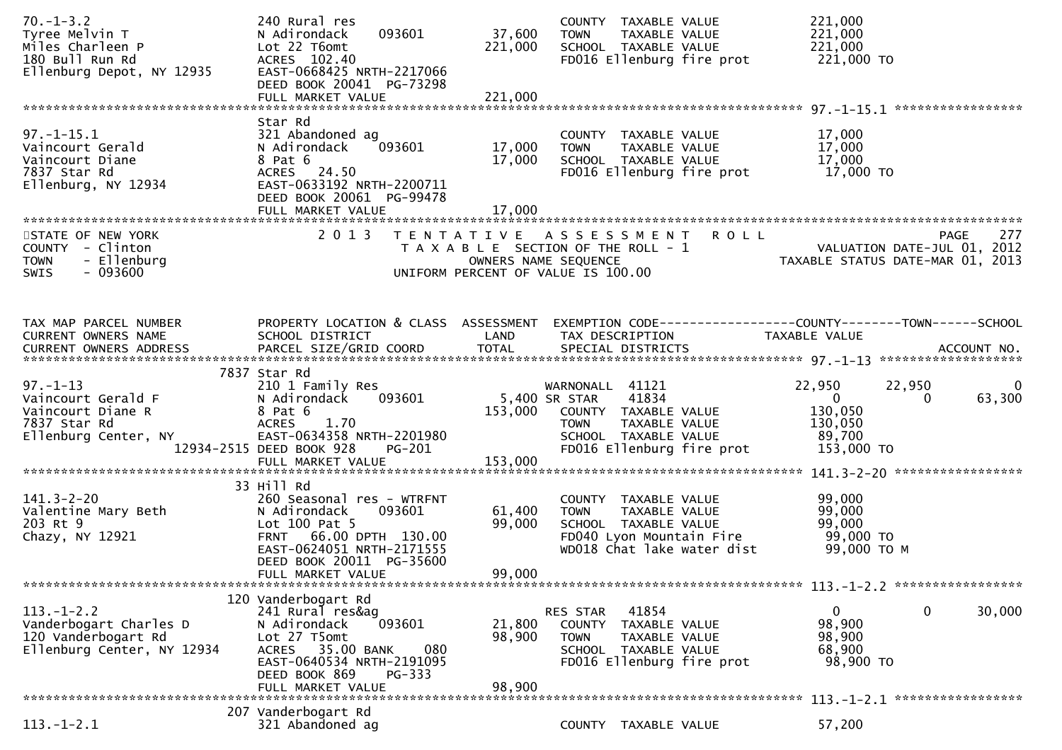| $70. - 1 - 3.2$<br>Tyree Melvin T<br>Miles Charleen P<br>180 Bull Run Rd<br>Ellenburg Depot, NY 12935 | 240 Rural res<br>093601<br>N Adirondack<br>Lot 22 T6omt<br>ACRES 102.40<br>EAST-0668425 NRTH-2217066                                                                                       | 37,600<br>221,000                  | COUNTY TAXABLE VALUE<br>TAXABLE VALUE<br><b>TOWN</b><br>SCHOOL TAXABLE VALUE<br>FD016 Ellenburg fire prot                                                                     | 221,000<br>221,000<br>221,000<br>221,000 TO                                                                           |
|-------------------------------------------------------------------------------------------------------|--------------------------------------------------------------------------------------------------------------------------------------------------------------------------------------------|------------------------------------|-------------------------------------------------------------------------------------------------------------------------------------------------------------------------------|-----------------------------------------------------------------------------------------------------------------------|
|                                                                                                       | DEED BOOK 20041 PG-73298                                                                                                                                                                   | 221,000                            |                                                                                                                                                                               |                                                                                                                       |
| $97. - 1 - 15.1$<br>Vaincourt Gerald<br>Vaincourt Diane<br>7837 Star Rd<br>Ellenburg, NY 12934        | Star Rd<br>321 Abandoned ag<br>093601 2001<br>N Adirondack<br>8 Pat 6<br>ACRES 24.50<br>EAST-0633192 NRTH-2200711<br>DEED BOOK 20061 PG-99478                                              | 17,000<br>17,000                   | COUNTY TAXABLE VALUE<br><b>TOWN</b><br>TAXABLE VALUE<br>SCHOOL TAXABLE VALUE                                                                                                  | 17,000<br>17,000<br>17,000                                                                                            |
| STATE OF NEW YORK<br>COUNTY - Clinton<br><b>TOWN</b><br>- Ellenburg<br>$-093600$<br><b>SWIS</b>       |                                                                                                                                                                                            | UNIFORM PERCENT OF VALUE IS 100.00 | 2013 TENTATIVE ASSESSMENT ROLL                                                                                                                                                | 277<br>PAGE<br>T A X A B L E SECTION OF THE ROLL - 1<br>OWNERS NAME SEQUENCE<br>CONNERS NAME SEQUENCE                 |
| TAX MAP PARCEL NUMBER<br>CURRENT OWNERS NAME                                                          | SCHOOL DISTRICT<br><b>Example 18 The LAND</b>                                                                                                                                              |                                    | TAX DESCRIPTION                                                                                                                                                               | PROPERTY LOCATION & CLASS ASSESSMENT EXEMPTION CODE----------------COUNTY-------TOWN------SCHOOL<br>TAXABLE VALUE     |
| $97. - 1 - 13$<br>Vaincourt Gerald F<br>Vaincourt Diane R<br>7837 Star Rd<br>Ellenburg Center, NY     | 7837 Star Rd<br>210 1 Family Res<br>093601<br>N Adirondack<br>8 Pat 6<br>ACRES 1.70<br>EAST-0634358 NRTH-2201980<br>12934-2515 DEED BOOK 928<br>PG-201                                     | 5,400 SR STAR<br>153,000           | WARNONALL 41121<br>41834<br>153,000 COUNTY TAXABLE VALUE<br><b>TOWN</b><br>TAXABLE VALUE 130,050<br>TAXABLE VALUE 89,700<br>SCHOOL TAXABLE VALUE<br>FD016 Ellenburg fire prot | 22,950<br>22,950<br>$\overline{\mathbf{0}}$<br>$\overline{\mathbf{0}}$<br>63,300<br>$\Omega$<br>130,050<br>153,000 TO |
| 141.3-2-20<br>Valentine Mary Beth<br>203 Rt 9<br>Chazy, NY 12921                                      | 33 Hill Rd<br>260 Seasonal res - WTRFNT<br>N Adirondack<br>093601<br>Lot 100 Pat 5<br>FRNT 66.00 DPTH 130.00<br>EAST-0624051 NRTH-2171555<br>DEED BOOK 20011 PG-35600<br>FULL MARKET VALUE | 61,400<br>99,000<br>99,000         | COUNTY TAXABLE VALUE<br>TAXABLE VALUE<br><b>TOWN</b><br>SCHOOL TAXABLE VALUE<br>FD040 Lyon Mountain Fire<br>WD018 Chat lake water dist                                        | 99,000<br>99,000<br>99,000<br>99,000 TO<br>99,000 то м                                                                |
| $113. - 1 - 2.2$<br>Vanderbogart Charles D<br>120 Vanderbogart Rd<br>Ellenburg Center, NY 12934       | 120 Vanderbogart Rd<br>241 Rural res&ag<br>093601<br>N Adirondack<br>Lot 27 T5omt<br>ACRES 35.00 BANK<br>080<br>EAST-0640534 NRTH-2191095<br>DEED BOOK 869<br>PG-333<br>FULL MARKET VALUE  | 21,800<br>98,900<br>98,900         | 41854<br>RES STAR<br>COUNTY<br>TAXABLE VALUE<br><b>TOWN</b><br>TAXABLE VALUE<br>SCHOOL TAXABLE VALUE<br>FD016 Ellenburg fire prot                                             | $\mathbf 0$<br>30,000<br>$\mathbf{0}$<br>98,900<br>98,900<br>68,900<br>98,900 TO                                      |
|                                                                                                       |                                                                                                                                                                                            |                                    |                                                                                                                                                                               |                                                                                                                       |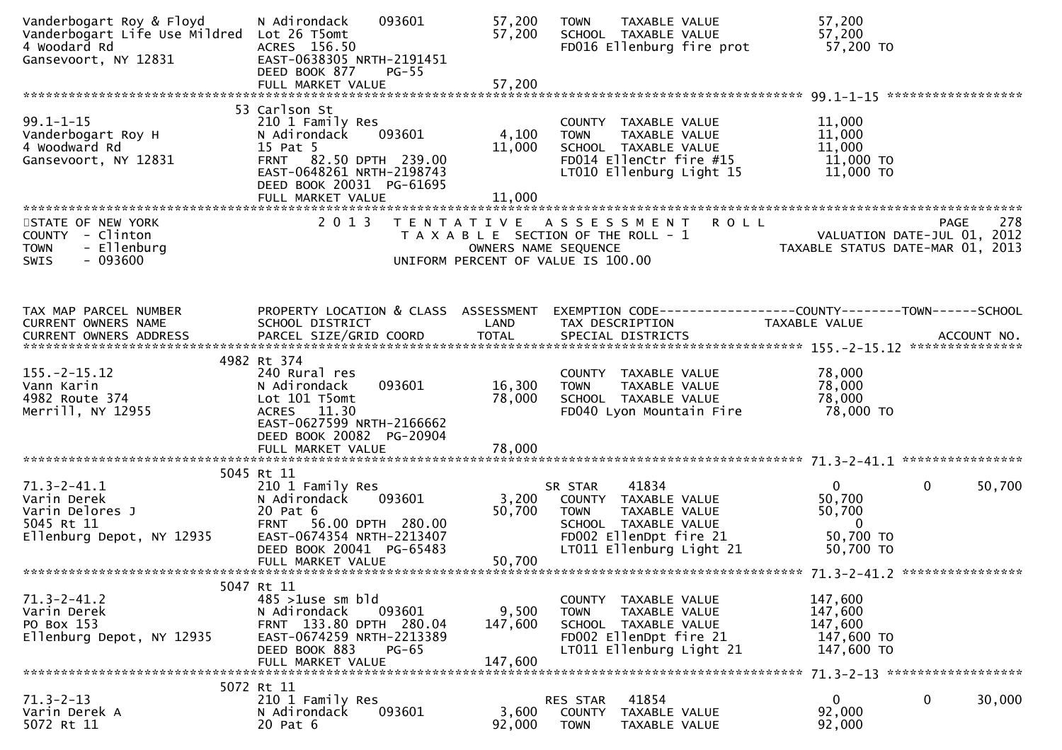| Vanderbogart Roy & Floyd<br>Vanderbogart Life Use Mildred Lot 26 T5omt<br>4 Woodard Rd<br>Gansevoort, NY 12831 | 093601<br>N Adirondack<br>ACRES 156.50<br>EAST-0638305 NRTH-2191451<br>DEED BOOK 877<br>$PG-55$<br>FULL MARKET VALUE                                                                      | 57,200<br>57,200<br>57,200  | TAXABLE VALUE<br><b>TOWN</b><br>SCHOOL TAXABLE VALUE<br>FD016 Ellenburg fire prot                                                                      | 57,200<br>57,200<br>57,200 TO                                                            |        |
|----------------------------------------------------------------------------------------------------------------|-------------------------------------------------------------------------------------------------------------------------------------------------------------------------------------------|-----------------------------|--------------------------------------------------------------------------------------------------------------------------------------------------------|------------------------------------------------------------------------------------------|--------|
| $99.1 - 1 - 15$<br>Vanderbogart Roy H<br>4 Woodward Rd<br>Gansevoort, NY 12831                                 | 53 Carlson St<br>210 1 Family Res<br>093601<br>N Adirondack<br>15 Pat 5<br>82.50 DPTH 239.00<br><b>FRNT</b><br>EAST-0648261 NRTH-2198743<br>DEED BOOK 20031 PG-61695<br>FULL MARKET VALUE | 4,100<br>11,000<br>11,000   | COUNTY TAXABLE VALUE<br><b>TOWN</b><br>TAXABLE VALUE<br>SCHOOL TAXABLE VALUE<br>FD014 EllenCtr fire #15<br>LT010 Ellenburg Light 15                    | 11,000<br>11,000<br>11,000<br>11,000 TO<br>11,000 TO                                     |        |
| STATE OF NEW YORK<br>COUNTY - Clinton<br>- Ellenburg<br><b>TOWN</b><br>$-093600$<br><b>SWIS</b>                | 2 0 1 3                                                                                                                                                                                   | OWNERS NAME SEQUENCE        | TENTATIVE ASSESSMENT ROLL<br>T A X A B L E SECTION OF THE ROLL - 1<br>UNIFORM PERCENT OF VALUE IS 100.00                                               | PAGE<br>VALUATION DATE-JUL 01, 2012<br>TAXABLE STATUS DATE-MAR 01, 2013                  | 278    |
| TAX MAP PARCEL NUMBER<br>CURRENT OWNERS NAME                                                                   | PROPERTY LOCATION & CLASS ASSESSMENT<br>SCHOOL DISTRICT                                                                                                                                   | LAND                        | TAX DESCRIPTION                                                                                                                                        | EXEMPTION CODE------------------COUNTY--------TOWN------SCHOOL<br>TAXABLE VALUE          |        |
| $155. - 2 - 15.12$<br>Vann Karin<br>4982 Route 374<br>Merrill, NY 12955                                        | 4982 Rt 374<br>240 Rural res<br>093601<br>N Adirondack<br>Lot 101 T5omt<br>ACRES 11.30<br>EAST-0627599 NRTH-2166662<br>DEED BOOK 20082 PG-20904                                           | 16,300<br>78,000            | COUNTY TAXABLE VALUE<br><b>TOWN</b><br>TAXABLE VALUE<br>SCHOOL TAXABLE VALUE<br>FD040 Lyon Mountain Fire                                               | 78,000<br>78,000<br>78,000<br>78,000 TO                                                  |        |
| $71.3 - 2 - 41.1$<br>Varin Derek<br>Varin Delores J<br>5045 Rt 11<br>Ellenburg Depot, NY 12935                 | 5045 Rt 11<br>210 1 Family Res<br>093601<br>N Adirondack<br>20 Pat 6<br>FRNT 56.00 DPTH 280.00<br>EAST-0674354 NRTH-2213407<br>DEED BOOK 20041 PG-65483<br>FULL MARKET VALUE              | 3,200<br>50,700<br>50,700   | 41834<br>SR STAR<br>COUNTY TAXABLE VALUE<br><b>TOWN</b><br>TAXABLE VALUE<br>SCHOOL TAXABLE VALUE<br>FD002 EllenDpt fire 21<br>LT011 Ellenburg Light 21 | $\mathbf{0}$<br>$\Omega$<br>50,700<br>50,700<br>$\overline{0}$<br>50,700 TO<br>50,700 TO | 50,700 |
| $71.3 - 2 - 41.2$<br>Varin Derek<br>PO Box 153<br>Ellenburg Depot, NY 12935                                    | 5047 Rt 11<br>$485 > 1$ use sm bld<br>093601<br>N Adirondack<br>FRNT 133.80 DPTH 280.04<br>EAST-0674259 NRTH-2213389<br>DEED BOOK 883<br>$PG-65$<br>FULL MARKET VALUE                     | 9,500<br>147,600<br>147,600 | COUNTY TAXABLE VALUE<br><b>TOWN</b><br>TAXABLE VALUE<br>SCHOOL TAXABLE VALUE<br>FD002 EllenDpt fire 21<br>LT011 Ellenburg Light 21                     | 147,600<br>147,600<br>147,600<br>147,600 TO<br>147,600 TO                                |        |
| $71.3 - 2 - 13$<br>Varin Derek A<br>5072 Rt 11                                                                 | 5072 Rt 11<br>210 1 Family Res<br>093601<br>N Adirondack<br>20 Pat 6                                                                                                                      | 3,600<br>92,000             | 41854<br>RES STAR<br><b>COUNTY</b><br>TAXABLE VALUE<br><b>TOWN</b><br>TAXABLE VALUE                                                                    | 0<br>0<br>30,000<br>92,000<br>92,000                                                     |        |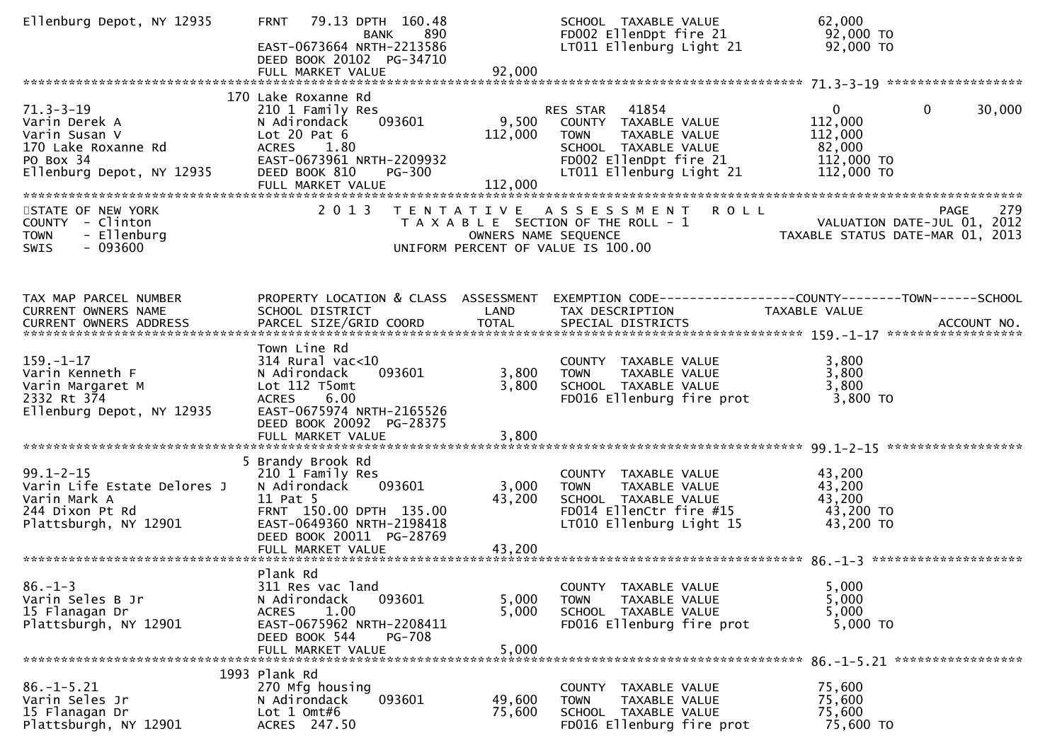| Ellenburg Depot, NY 12935                                                                                          | 79.13 DPTH 160.48<br><b>FRNT</b><br>890<br>BANK<br>EAST-0673664 NRTH-2213586<br>DEED BOOK 20102 PG-34710<br>FULL MARKET VALUE                                                           | 92,000                      | SCHOOL TAXABLE VALUE<br>FD002 EllenDpt fire 21<br>LT011 Ellenburg Light 21                                                                           | 62,000<br>92,000 TO<br>92,000 TO                                                         |        |
|--------------------------------------------------------------------------------------------------------------------|-----------------------------------------------------------------------------------------------------------------------------------------------------------------------------------------|-----------------------------|------------------------------------------------------------------------------------------------------------------------------------------------------|------------------------------------------------------------------------------------------|--------|
| $71.3 - 3 - 19$<br>Varin Derek A<br>Varin Susan V<br>170 Lake Roxanne Rd<br>PO Box 34<br>Ellenburg Depot, NY 12935 | 170 Lake Roxanne Rd<br>210 1 Family Res<br>093601<br>N Adirondack<br>Lot $20$ Pat $6$<br>ACRES 1.80<br>EAST-0673961 NRTH-2209932<br><b>PG-300</b><br>DEED BOOK 810<br>FULL MARKET VALUE | 9,500<br>112,000<br>112,000 | RES STAR 41854<br>COUNTY TAXABLE VALUE<br><b>TOWN</b><br>TAXABLE VALUE<br>SCHOOL TAXABLE VALUE<br>FD002 EllenDpt fire 21<br>LT011 Ellenburg Light 21 | $\mathbf{0}$<br>$\mathbf{0}$<br>112,000<br>112,000<br>82,000<br>112,000 TO<br>112,000 TO | 30,000 |
| STATE OF NEW YORK<br>COUNTY - Clinton<br>- Ellenburg<br><b>TOWN</b><br>$-093600$<br>SWIS                           |                                                                                                                                                                                         | OWNERS NAME SEQUENCE        | 2013 TENTATIVE ASSESSMENT ROLL<br>T A X A B L E SECTION OF THE ROLL - 1<br>UNIFORM PERCENT OF VALUE IS 100.00                                        | <b>PAGE</b><br>VALUATION DATE-JUL 01, 2012<br>TAXABLE STATUS DATE-MAR 01, 2013           | 279    |
| TAX MAP PARCEL NUMBER<br>CURRENT OWNERS NAME                                                                       | PROPERTY LOCATION & CLASS ASSESSMENT<br>SCHOOL DISTRICT                                                                                                                                 | LAND                        | TAX DESCRIPTION                                                                                                                                      | EXEMPTION CODE-----------------COUNTY-------TOWN------SCHOOL<br>TAXABLE VALUE            |        |
| $159. - 1 - 17$<br>Varin Kenneth F<br>Varin Margaret M<br>2332 Rt 374<br>Ellenburg Depot, NY 12935                 | Town Line Rd<br>$314$ Rural vac<10<br>093601<br>N Adirondack<br>Lot 112 T5omt<br>ACRES 6.00<br>EAST-0675974 NRTH-2165526<br>DEED BOOK 20092 PG-28375<br>FULL MARKET VALUE               | 3,800<br>3,800<br>3,800     | COUNTY TAXABLE VALUE<br>TAXABLE VALUE<br><b>TOWN</b><br>SCHOOL TAXABLE VALUE<br>FD016 Ellenburg fire prot                                            | 3,800<br>3,800<br>3,800<br>$3,800$ TO                                                    |        |
| $99.1 - 2 - 15$<br>Varin Life Estate Delores J<br>Varin Mark A<br>244 Dixon Pt Rd<br>Plattsburgh, NY 12901         | 5 Brandy Brook Rd<br>210 1 Family Res<br>N Adirondack<br>093601<br>11 Pat 5<br>FRNT 150.00 DPTH 135.00<br>EAST-0649360 NRTH-2198418<br>DEED BOOK 20011 PG-28769                         | 3,000<br>43,200             | COUNTY TAXABLE VALUE<br>TAXABLE VALUE<br><b>TOWN</b><br>SCHOOL TAXABLE VALUE<br>FD014 EllenCtr fire #15<br>LT010 Ellenburg Light 15                  | 43,200<br>43,200<br>43,200<br>43,200 TO<br>43,200 TO                                     |        |
| $86. - 1 - 3$<br>Varin Seles B Jr<br>15 Flanagan Dr<br>Plattsburgh, NY 12901                                       | Plank Rd<br>311 Res vac land<br>093601<br>N Adirondack<br>1.00<br><b>ACRES</b><br>EAST-0675962 NRTH-2208411<br>DEED BOOK 544<br><b>PG-708</b><br>FULL MARKET VALUE                      | 5,000<br>5,000<br>5,000     | COUNTY TAXABLE VALUE<br><b>TOWN</b><br>TAXABLE VALUE<br>SCHOOL TAXABLE VALUE<br>FD016 Ellenburg fire prot                                            | 5,000<br>5,000<br>5,000<br>5,000 TO                                                      |        |
| $86. - 1 - 5.21$<br>Varin Seles Jr<br>15 Flanagan Dr<br>Plattsburgh, NY 12901                                      | 1993 Plank Rd<br>270 Mfg housing<br>093601<br>N Adirondack<br>Lot $1$ Omt#6<br>ACRES 247.50                                                                                             | 49,600<br>75,600            | COUNTY TAXABLE VALUE<br>TAXABLE VALUE<br><b>TOWN</b><br>SCHOOL TAXABLE VALUE<br>FD016 Ellenburg fire prot                                            | 75,600<br>75,600<br>75,600<br>75,600 TO                                                  |        |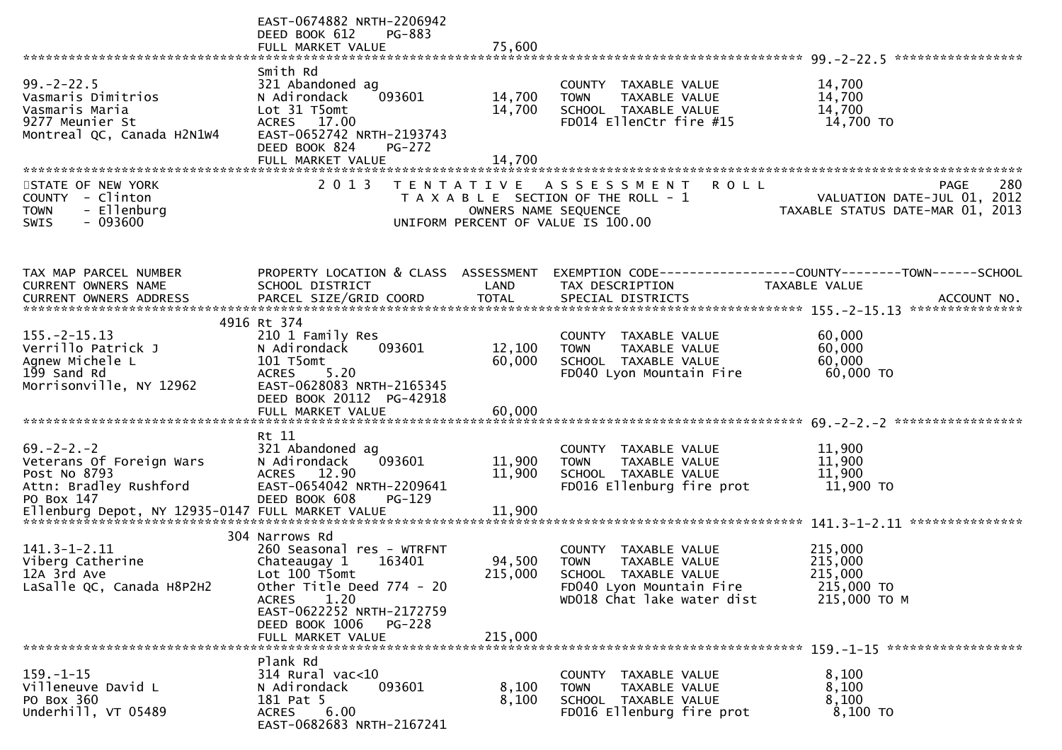|                                                                                                           | EAST-0674882 NRTH-2206942<br>DEED BOOK 612<br>PG-883<br>FULL MARKET VALUE                                                                                                                     | 75,600                                    |                                                                                                                                        |                                                                                        |
|-----------------------------------------------------------------------------------------------------------|-----------------------------------------------------------------------------------------------------------------------------------------------------------------------------------------------|-------------------------------------------|----------------------------------------------------------------------------------------------------------------------------------------|----------------------------------------------------------------------------------------|
|                                                                                                           |                                                                                                                                                                                               |                                           |                                                                                                                                        |                                                                                        |
| $99. - 2 - 22.5$<br>Vasmaris Dimitrios<br>Vasmaris Maria<br>9277 Meunier St<br>Montreal QC, Canada H2N1W4 | Smith Rd<br>321 Abandoned ag<br>093601<br>N Adirondack<br>Lot 31 T5omt<br>ACRES 17.00<br>EAST-0652742 NRTH-2193743<br>DEED BOOK 824<br><b>PG-272</b>                                          | 14,700<br>14,700                          | COUNTY TAXABLE VALUE<br>TAXABLE VALUE<br><b>TOWN</b><br>SCHOOL TAXABLE VALUE<br>FD014 EllenCtr fire #15                                | 14,700<br>14,700<br>14,700<br>14,700 TO                                                |
|                                                                                                           |                                                                                                                                                                                               |                                           |                                                                                                                                        |                                                                                        |
|                                                                                                           |                                                                                                                                                                                               |                                           |                                                                                                                                        |                                                                                        |
| STATE OF NEW YORK<br><b>COUNTY</b><br>- Clinton<br>- Ellenburg<br><b>TOWN</b><br>$-093600$<br>SWIS        | 2 0 1 3                                                                                                                                                                                       | T E N T A T I V E<br>OWNERS NAME SEQUENCE | A S S E S S M E N T<br>R O L L<br>T A X A B L E SECTION OF THE ROLL - 1<br>UNIFORM PERCENT OF VALUE IS 100.00                          | 280<br><b>PAGE</b><br>VALUATION DATE-JUL 01, 2012<br>TAXABLE STATUS DATE-MAR 01, 2013  |
| TAX MAP PARCEL NUMBER<br>CURRENT OWNERS NAME                                                              | PROPERTY LOCATION & CLASS ASSESSMENT<br>SCHOOL DISTRICT                                                                                                                                       | LAND                                      | TAX DESCRIPTION                                                                                                                        | EXEMPTION CODE------------------COUNTY--------TOWN------SCHOOL<br><b>TAXABLE VALUE</b> |
|                                                                                                           |                                                                                                                                                                                               |                                           |                                                                                                                                        |                                                                                        |
|                                                                                                           | 4916 Rt 374                                                                                                                                                                                   |                                           |                                                                                                                                        |                                                                                        |
| $155. -2 - 15.13$<br>Verrillo Patrick J<br>Agnew Michele L<br>199 Sand Rd                                 | 210 1 Family Res<br>093601<br>N Adirondack<br>101 T5omt<br>5.20<br><b>ACRES</b>                                                                                                               | 12,100<br>60,000                          | COUNTY TAXABLE VALUE<br>TAXABLE VALUE<br><b>TOWN</b><br>SCHOOL TAXABLE VALUE<br>FD040 Lyon Mountain Fire                               | 60,000<br>60,000<br>60,000<br>60,000 TO                                                |
| Morrisonville, NY 12962                                                                                   | EAST-0628083 NRTH-2165345<br>DEED BOOK 20112 PG-42918<br>FULL MARKET VALUE                                                                                                                    | 60,000                                    |                                                                                                                                        |                                                                                        |
|                                                                                                           | Rt 11                                                                                                                                                                                         |                                           |                                                                                                                                        |                                                                                        |
| $69. -2 - 2. -2$<br>Veterans Of Foreign Wars<br>Post No 8793<br>Attn: Bradley Rushford<br>PO Box 147      | 321 Abandoned ag<br>093601<br>N Adirondack<br>ACRES 12.90<br>EAST-0654042 NRTH-2209641<br>DEED BOOK 608<br>$PG-129$                                                                           | 11,900<br>11,900                          | COUNTY<br>TAXABLE VALUE<br>TAXABLE VALUE<br><b>TOWN</b><br>SCHOOL TAXABLE VALUE<br>FD016 Ellenburg fire prot                           | 11,900<br>11,900<br>11,900<br>11,900 TO                                                |
|                                                                                                           |                                                                                                                                                                                               |                                           |                                                                                                                                        |                                                                                        |
| $141.3 - 1 - 2.11$<br>Viberg Catherine<br>12A 3rd Ave<br>LaSalle QC, Canada H8P2H2                        | 304 Narrows Rd<br>260 Seasonal res - WTRFNT<br>Chateaugay 1<br>163401<br>Lot 100 T5omt<br>Other Title Deed 774 - 20<br>1.20<br>ACRES<br>EAST-0622252 NRTH-2172759<br>DEED BOOK 1006<br>PG-228 | 94,500<br>215,000                         | COUNTY TAXABLE VALUE<br><b>TOWN</b><br>TAXABLE VALUE<br>SCHOOL TAXABLE VALUE<br>FD040 Lyon Mountain Fire<br>WD018 Chat lake water dist | 215,000<br>215,000<br>215,000<br>215,000 TO<br>215,000 ТО М                            |
|                                                                                                           | FULL MARKET VALUE                                                                                                                                                                             | 215,000                                   |                                                                                                                                        |                                                                                        |
| $159. - 1 - 15$<br>Villeneuve David L<br>PO Box 360<br>Underhill, VT 05489                                | Plank Rd<br>314 Rural vac<10<br>093601<br>N Adirondack<br>181 Pat 5<br>6.00<br>ACRES<br>EAST-0682683 NRTH-2167241                                                                             | 8,100<br>8,100                            | COUNTY TAXABLE VALUE<br>TAXABLE VALUE<br><b>TOWN</b><br>SCHOOL TAXABLE VALUE<br>FD016 Ellenburg fire prot                              | 8,100<br>8,100<br>8,100<br>8,100 TO                                                    |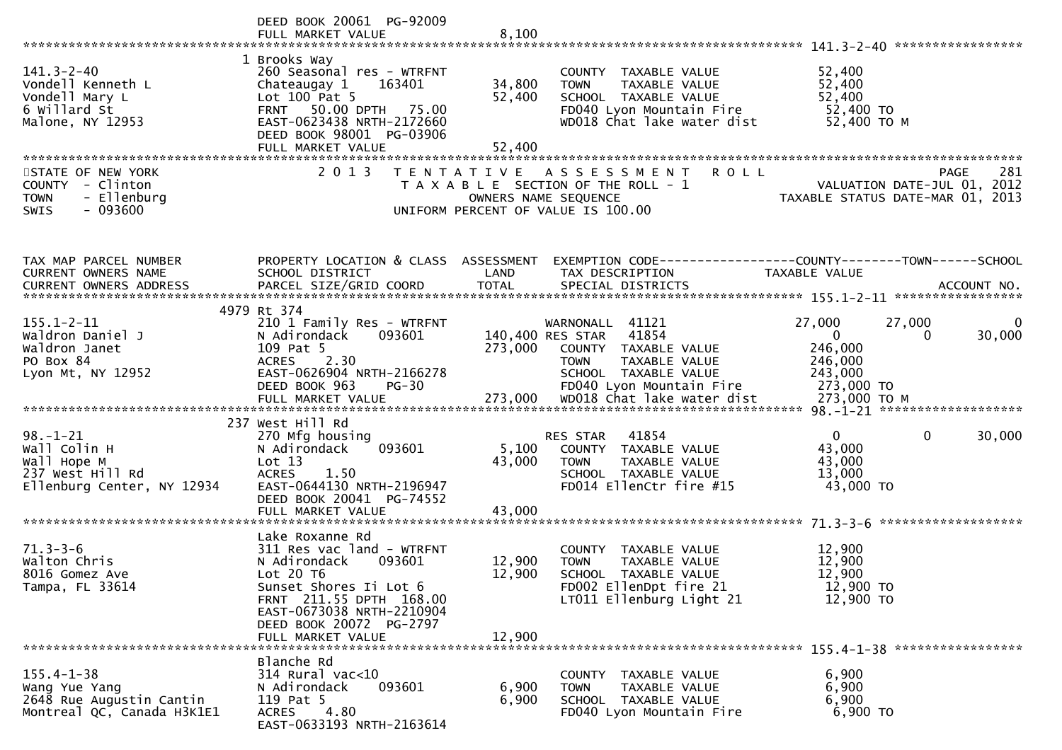|                                                                                                 | DEED BOOK 20061 PG-92009                                                                                                                                                                                              |                            |                                                                                                                                                       |                                                                                                                                                                                                                                                           |
|-------------------------------------------------------------------------------------------------|-----------------------------------------------------------------------------------------------------------------------------------------------------------------------------------------------------------------------|----------------------------|-------------------------------------------------------------------------------------------------------------------------------------------------------|-----------------------------------------------------------------------------------------------------------------------------------------------------------------------------------------------------------------------------------------------------------|
| $141.3 - 2 - 40$<br>Vondell Kenneth L<br>Vondell Mary L<br>6 Willard St<br>Malone, NY 12953     | 1 Brooks Way<br>260 Seasonal res - WTRFNT<br>Chateaugay 1<br>163401<br>Lot $100$ Pat 5<br>FRNT 50.00 DPTH 75.00<br>EAST-0623438 NRTH-2172660<br>DEED BOOK 98001 PG-03906<br>FULL MARKET VALUE                         | 34,800<br>52,400<br>52,400 | COUNTY TAXABLE VALUE<br><b>TOWN</b><br>TAXABLE VALUE<br>SCHOOL TAXABLE VALUE<br>FD040 Lyon Mountain Fire<br>WD018 Chat lake water dist                | 52,400<br>52,400<br>52,400<br>52,400 TO<br>52,400 TO M                                                                                                                                                                                                    |
| STATE OF NEW YORK<br>COUNTY - Clinton<br>- Ellenburg<br><b>TOWN</b><br>$-093600$<br>SWIS        | 2 0 1 3                                                                                                                                                                                                               |                            | <b>ROLL</b><br>TENTATIVE ASSESSMENT<br>T A X A B L E SECTION OF THE ROLL - 1<br>OWNERS NAME SEQUENCE<br>UNIFORM PERCENT OF VALUE IS 100.00            | 281<br><b>PAGE</b><br>VALUATION DATE-JUL 01, 2012<br>TAXABLE STATUS DATE-MAR 01, 2013                                                                                                                                                                     |
| TAX MAP PARCEL NUMBER<br>CURRENT OWNERS NAME                                                    | SCHOOL DISTRICT                                                                                                                                                                                                       | LAND                       | TAX DESCRIPTION                                                                                                                                       | PROPERTY LOCATION & CLASS ASSESSMENT EXEMPTION CODE----------------COUNTY-------TOWN------SCHOOL<br>TAXABLE VALUE                                                                                                                                         |
| $155.1 - 2 - 11$<br>Waldron Daniel J<br>Waldron Janet<br>PO Box 84<br>Lyon Mt, NY 12952         | 4979 Rt 374<br>210 1 Family Res - WTRFNT<br>093601<br>N Adirondack<br>109 Pat 5<br>2.30<br><b>ACRES</b><br>EAST-0626904 NRTH-2166278<br>DEED BOOK 963<br>$PG-30$                                                      | 273,000                    | WARNONALL 41121<br>140,400 RES STAR 41854<br>COUNTY TAXABLE VALUE<br><b>TOWN</b><br>TAXABLE VALUE<br>SCHOOL TAXABLE VALUE<br>FD040 Lyon Mountain Fire | 27,000<br>27,000<br>$\bf{0}$<br>$\overline{0}$<br>30,000<br>$\Omega$<br>246,000<br>246,000<br>243,000<br>273,000 TO<br>FULL MARKET VALUE<br>FULL MARKET VALUE 273,000 WDO18 Chat lake water dist 273,000 TO M FULL MARKET VALUE 273,000 TO M 273,000 FORM |
| $98. - 1 - 21$<br>Wall Colin H<br>Wall Hope M<br>237 West Hill Rd<br>Ellenburg Center, NY 12934 | 237 West Hill Rd<br>270 Mfg housing<br>093601<br>N Adirondack<br>Lot 13<br><b>ACRES</b><br>1.50<br>EAST-0644130 NRTH-2196947<br>DEED BOOK 20041 PG-74552<br>FULL MARKET VALUE                                         | 5,100<br>43,000<br>43,000  | RES STAR 41854<br>COUNTY TAXABLE VALUE<br>TAXABLE VALUE<br><b>TOWN</b><br>SCHOOL TAXABLE VALUE<br>FD014 EllenCtr fire #15                             | $\overline{0}$<br>$\mathbf{0}$<br>30,000<br>43,000<br>43,000<br>13,000<br>43,000 TO                                                                                                                                                                       |
| $71.3 - 3 - 6$<br>Walton Chris<br>8016 Gomez Ave<br>Tampa, FL 33614                             | Lake Roxanne Rd<br>311 Res vac land - WTRFNT<br>093601<br>N Adirondack<br>Lot 20 T6<br>Sunset Shores Ii Lot 6<br>FRNT 211.55 DPTH 168.00<br>EAST-0673038 NRTH-2210904<br>DEED BOOK 20072 PG-2797<br>FULL MARKET VALUE | 12,900<br>12,900<br>12,900 | COUNTY TAXABLE VALUE<br><b>TOWN</b><br>TAXABLE VALUE<br>SCHOOL TAXABLE VALUE<br>FD002 EllenDpt fire 21<br>LT011 Ellenburg Light 21                    | 12,900<br>12,900<br>12,900<br>12,900 TO<br>12,900 TO                                                                                                                                                                                                      |
| $155.4 - 1 - 38$<br>Wang Yue Yang<br>2648 Rue Augustin Cantin<br>Montreal QC, Canada H3K1E1     | Blanche Rd<br>$314$ Rural vac<10<br>093601<br>N Adirondack<br>119 Pat 5<br>4.80<br><b>ACRES</b><br>EAST-0633193 NRTH-2163614                                                                                          | 6,900<br>6,900             | COUNTY TAXABLE VALUE<br>TAXABLE VALUE<br><b>TOWN</b><br>SCHOOL TAXABLE VALUE<br>FD040 Lyon Mountain Fire                                              | 6,900<br>6,900<br>6,900<br>6,900 TO                                                                                                                                                                                                                       |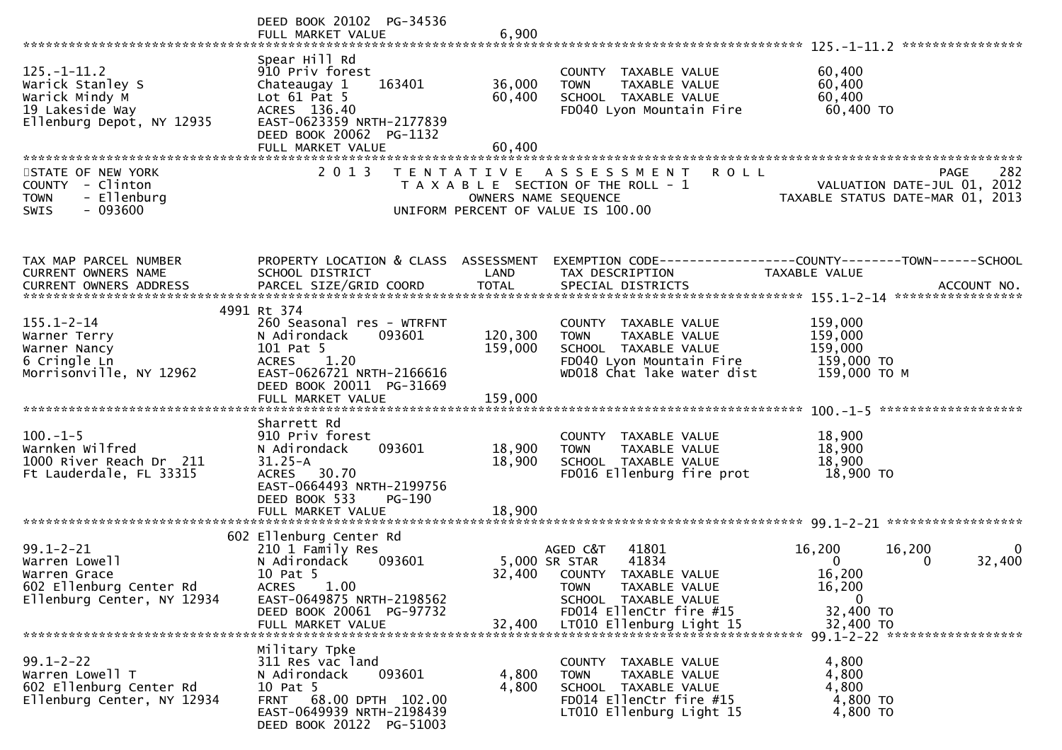|                                                                                                           | DEED BOOK 20102 PG-34536<br>FULL MARKET VALUE                                                                                                                                           | 6,900                      |                                                                                                                                                                                    | ****************                                                                                                                                |
|-----------------------------------------------------------------------------------------------------------|-----------------------------------------------------------------------------------------------------------------------------------------------------------------------------------------|----------------------------|------------------------------------------------------------------------------------------------------------------------------------------------------------------------------------|-------------------------------------------------------------------------------------------------------------------------------------------------|
| $125. - 1 - 11.2$<br>Warick Stanley S<br>Warick Mindy M<br>19 Lakeside Way<br>Ellenburg Depot, NY 12935   | Spear Hill Rd<br>910 Priv forest<br>163401<br>Chateaugay 1<br>Lot $61$ Pat $5$<br>ACRES 136.40<br>EAST-0623359 NRTH-2177839<br>DEED BOOK 20062 PG-1132<br>FULL MARKET VALUE             | 36,000<br>60,400<br>60,400 | COUNTY TAXABLE VALUE<br>TAXABLE VALUE<br><b>TOWN</b><br>SCHOOL TAXABLE VALUE<br>FD040 Lyon Mountain Fire                                                                           | 60,400<br>60,400<br>60,400<br>60,400 TO                                                                                                         |
| STATE OF NEW YORK<br>COUNTY - Clinton<br><b>TOWN</b><br>- Ellenburg<br>$-093600$<br><b>SWIS</b>           | 2 0 1 3                                                                                                                                                                                 | OWNERS NAME SEQUENCE       | <b>ROLL</b><br>TENTATIVE ASSESSMENT<br>T A X A B L E SECTION OF THE ROLL - 1<br>UNIFORM PERCENT OF VALUE IS 100.00                                                                 | 282<br><b>PAGE</b><br>VALUATION DATE-JUL 01, 2012<br>TAXABLE STATUS DATE-MAR 01, 2013                                                           |
| TAX MAP PARCEL NUMBER<br>CURRENT OWNERS NAME                                                              | PROPERTY LOCATION & CLASS ASSESSMENT<br>SCHOOL DISTRICT                                                                                                                                 | LAND                       | TAX DESCRIPTION                                                                                                                                                                    | EXEMPTION CODE-----------------COUNTY-------TOWN------SCHOOL<br>TAXABLE VALUE                                                                   |
| $155.1 - 2 - 14$<br>Warner Terry<br>Warner Nancy<br>6 Cringle Ln<br>Morrisonville, NY 12962               | 4991 Rt 374<br>260 Seasonal res - WTRFNT<br>093601<br>N Adirondack<br>101 Pat 5<br>1.20<br><b>ACRES</b><br>EAST-0626721 NRTH-2166616<br>DEED BOOK 20011 PG-31669                        | 120,300<br>159,000         | COUNTY TAXABLE VALUE<br>TAXABLE VALUE<br><b>TOWN</b><br>SCHOOL TAXABLE VALUE<br>FD040 Lyon Mountain Fire<br>WD018 Chat lake water dist                                             | 159,000<br>159,000<br>159,000<br>159,000 TO<br>159,000 ТО М                                                                                     |
| $100.-1-5$<br>Warnken Wilfred<br>1000 River Reach Dr 211<br>Ft Lauderdale, FL 33315                       | Sharrett Rd<br>910 Priv forest<br>093601<br>N Adirondack<br>$31.25 - A$<br>ACRES 30.70<br>EAST-0664493 NRTH-2199756<br>DEED BOOK 533<br>PG-190<br>FULL MARKET VALUE                     | 18,900<br>18,900<br>18,900 | COUNTY TAXABLE VALUE<br><b>TOWN</b><br>TAXABLE VALUE<br>SCHOOL TAXABLE VALUE<br>FD016 Ellenburg fire prot                                                                          | 18,900<br>18,900<br>18,900<br>18,900 TO                                                                                                         |
| $99.1 - 2 - 21$<br>Warren Lowell<br>Warren Grace<br>602 Ellenburg Center Rd<br>Ellenburg Center, NY 12934 | 602 Ellenburg Center Rd<br>210 1 Family Res<br>N Adirondack<br>093601<br>10 Pat 5<br>1.00<br><b>ACRES</b><br>EAST-0649875 NRTH-2198562<br>DEED BOOK 20061 PG-97732<br>FULL MARKET VALUE | 32,400<br>32,400           | AGED C&T<br>41801<br>41834<br>5,000 SR STAR<br>COUNTY TAXABLE VALUE<br><b>TOWN</b><br>TAXABLE VALUE<br>SCHOOL TAXABLE VALUE<br>FD014 EllenCtr fire #15<br>LT010 Ellenburg Light 15 | 16,200<br>16,200<br>0<br>$\mathbf{0}$<br>32,400<br>0<br>16,200<br>16,200<br>$\Omega$<br>32,400 TO<br>32,400 TO<br>99.1-2-22 ******************* |
| $99.1 - 2 - 22$<br>Warren Lowell T<br>602 Ellenburg Center Rd<br>Ellenburg Center, NY 12934               | Military Tpke<br>311 Res vac land<br>N Adirondack<br>093601<br>10 Pat 5<br>68.00 DPTH 102.00<br>FRNT<br>EAST-0649939 NRTH-2198439<br>DEED BOOK 20122 PG-51003                           | 4,800<br>4,800             | COUNTY TAXABLE VALUE<br>TAXABLE VALUE<br><b>TOWN</b><br>SCHOOL TAXABLE VALUE<br>FD014 EllenCtr fire #15<br>LT010 Ellenburg Light 15                                                | 4,800<br>4,800<br>4,800<br>4,800 TO<br>4,800 TO                                                                                                 |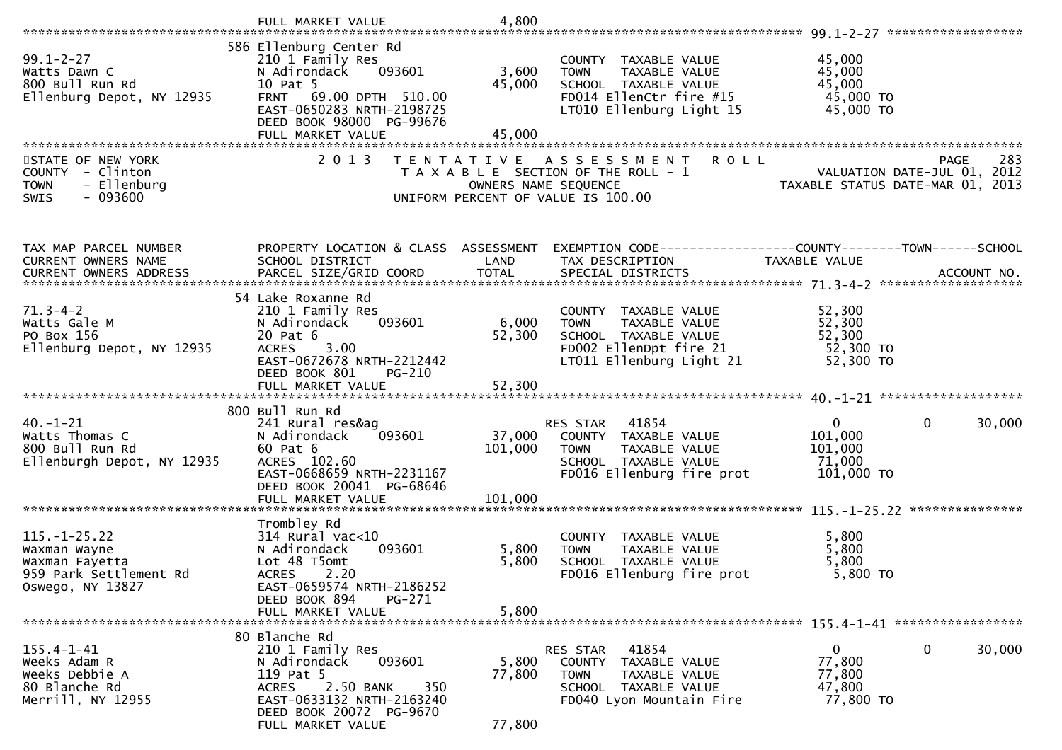|                                                                                                 | FULL MARKET VALUE                                                                                                                                                    | 4,800                |                                                                                                                                     |                                                                                                   |
|-------------------------------------------------------------------------------------------------|----------------------------------------------------------------------------------------------------------------------------------------------------------------------|----------------------|-------------------------------------------------------------------------------------------------------------------------------------|---------------------------------------------------------------------------------------------------|
|                                                                                                 |                                                                                                                                                                      |                      |                                                                                                                                     |                                                                                                   |
| $99.1 - 2 - 27$<br>Watts Dawn C<br>800 Bull Run Rd<br>Ellenburg Depot, NY 12935                 | 586 Ellenburg Center Rd<br>210 1 Family Res<br>093601<br>N Adirondack<br>10 Pat 5<br>FRNT 69.00 DPTH 510.00<br>EAST-0650283 NRTH-2198725<br>DEED BOOK 98000 PG-99676 | 3,600<br>45,000      | COUNTY TAXABLE VALUE<br><b>TOWN</b><br>TAXABLE VALUE<br>SCHOOL TAXABLE VALUE<br>FD014 EllenCtr fire #15<br>LT010 Ellenburg Light 15 | 45,000<br>45,000<br>45,000<br>45,000 TO<br>45,000 TO                                              |
|                                                                                                 | FULL MARKET VALUE                                                                                                                                                    | 45,000               |                                                                                                                                     |                                                                                                   |
|                                                                                                 |                                                                                                                                                                      |                      |                                                                                                                                     |                                                                                                   |
| STATE OF NEW YORK<br>COUNTY - Clinton<br>- Ellenburg<br><b>TOWN</b><br>$-093600$<br><b>SWIS</b> | 2 0 1 3                                                                                                                                                              | OWNERS NAME SEQUENCE | <b>ROLL</b><br>TENTATIVE ASSESSMENT<br>T A X A B L E SECTION OF THE ROLL - 1<br>UNIFORM PERCENT OF VALUE IS 100.00                  | 283<br><b>PAGE</b><br>ROLL - 1<br>VALUATION DATE-JUL 01, 2012<br>TAXABLE STATUS DATE-MAR 01, 2013 |
| TAX MAP PARCEL NUMBER                                                                           | PROPERTY LOCATION & CLASS ASSESSMENT                                                                                                                                 |                      |                                                                                                                                     |                                                                                                   |
| CURRENT OWNERS NAME                                                                             | SCHOOL DISTRICT                                                                                                                                                      | LAND                 | TAX DESCRIPTION                                                                                                                     | EXEMPTION CODE------------------COUNTY--------TOWN------SCHOOL<br>TAXABLE VALUE                   |
|                                                                                                 |                                                                                                                                                                      |                      |                                                                                                                                     |                                                                                                   |
|                                                                                                 | 54 Lake Roxanne Rd                                                                                                                                                   |                      |                                                                                                                                     |                                                                                                   |
| $71.3 - 4 - 2$                                                                                  | 210 1 Family Res                                                                                                                                                     |                      | COUNTY TAXABLE VALUE                                                                                                                | 52,300                                                                                            |
| Watts Gale M<br>PO Box 156                                                                      | 093601<br>N Adirondack<br>20 Pat 6                                                                                                                                   | 6,000<br>52,300      | TAXABLE VALUE<br>TOWN<br>SCHOOL TAXABLE VALUE                                                                                       | 52,300<br>52,300                                                                                  |
| Ellenburg Depot, NY 12935                                                                       | <b>ACRES</b><br>3.00                                                                                                                                                 |                      | FD002 EllenDpt fire 21                                                                                                              | 52,300 TO                                                                                         |
|                                                                                                 | EAST-0672678 NRTH-2212442                                                                                                                                            |                      | LT011 Ellenburg Light 21                                                                                                            | 52,300 TO                                                                                         |
|                                                                                                 | DEED BOOK 801<br>PG-210                                                                                                                                              |                      |                                                                                                                                     |                                                                                                   |
|                                                                                                 |                                                                                                                                                                      |                      |                                                                                                                                     |                                                                                                   |
|                                                                                                 | 800 Bull Run Rd                                                                                                                                                      |                      |                                                                                                                                     |                                                                                                   |
| $40. - 1 - 21$<br>Watts Thomas C                                                                | 241 Rural res&ag<br>093601                                                                                                                                           |                      | 41854<br>RES STAR<br>37,000 COUNTY TAXABLE VALUE                                                                                    | $\mathbf{0}$<br>$\mathbf 0$<br>30,000<br>101,000                                                  |
| 800 Bull Run Rd                                                                                 | N Adirondack<br>60 Pat 6                                                                                                                                             | 101,000              | TAXABLE VALUE<br>TOWN                                                                                                               | 101,000                                                                                           |
| Ellenburgh Depot, NY 12935                                                                      | ACRES 102.60                                                                                                                                                         |                      | SCHOOL TAXABLE VALUE                                                                                                                | 71,000                                                                                            |
|                                                                                                 | EAST-0668659 NRTH-2231167<br>DEED BOOK 20041 PG-68646                                                                                                                |                      | FD016 Ellenburg fire prot                                                                                                           | 101,000 TO                                                                                        |
|                                                                                                 |                                                                                                                                                                      |                      |                                                                                                                                     |                                                                                                   |
|                                                                                                 |                                                                                                                                                                      |                      |                                                                                                                                     |                                                                                                   |
| $115. - 1 - 25.22$                                                                              | Trombley Rd<br>$314$ Rural vac< $10$                                                                                                                                 |                      | COUNTY TAXABLE VALUE                                                                                                                | 5,800                                                                                             |
| Waxman Wayne                                                                                    | N Adirondack<br>093601                                                                                                                                               | 5,800                | TAXABLE VALUE<br><b>TOWN</b>                                                                                                        | 5,800                                                                                             |
| Waxman Fayetta                                                                                  | Lot 48 T5omt                                                                                                                                                         | 5,800                | SCHOOL TAXABLE VALUE                                                                                                                | 5,800                                                                                             |
| 959 Park Settlement Rd                                                                          | <b>ACRES</b><br>2.20                                                                                                                                                 |                      | FD016 Ellenburg fire prot                                                                                                           | $5,800$ TO                                                                                        |
| Oswego, NY 13827                                                                                | EAST-0659574 NRTH-2186252<br>DEED BOOK 894<br>PG-271                                                                                                                 |                      |                                                                                                                                     |                                                                                                   |
|                                                                                                 | FULL MARKET VALUE                                                                                                                                                    | 5,800                |                                                                                                                                     |                                                                                                   |
|                                                                                                 | 80 Blanche Rd                                                                                                                                                        |                      |                                                                                                                                     |                                                                                                   |
| $155.4 - 1 - 41$                                                                                | 210 1 Family Res                                                                                                                                                     |                      | RES STAR<br>41854                                                                                                                   | 0<br>30,000<br>$\mathbf{0}$                                                                       |
| Weeks Adam R                                                                                    | 093601<br>N Adirondack                                                                                                                                               | 5,800                | COUNTY TAXABLE VALUE                                                                                                                | 77,800                                                                                            |
| Weeks Debbie A<br>80 Blanche Rd                                                                 | 119 Pat 5                                                                                                                                                            | 77,800               | <b>TOWN</b><br>TAXABLE VALUE                                                                                                        | 77,800                                                                                            |
| Merrill, NY 12955                                                                               | 2.50 BANK<br><b>ACRES</b><br>350<br>EAST-0633132 NRTH-2163240                                                                                                        |                      | SCHOOL TAXABLE VALUE<br>FD040 Lyon Mountain Fire                                                                                    | 47,800<br>77,800 TO                                                                               |
|                                                                                                 | DEED BOOK 20072 PG-9670                                                                                                                                              |                      |                                                                                                                                     |                                                                                                   |
|                                                                                                 | FULL MARKET VALUE                                                                                                                                                    | 77,800               |                                                                                                                                     |                                                                                                   |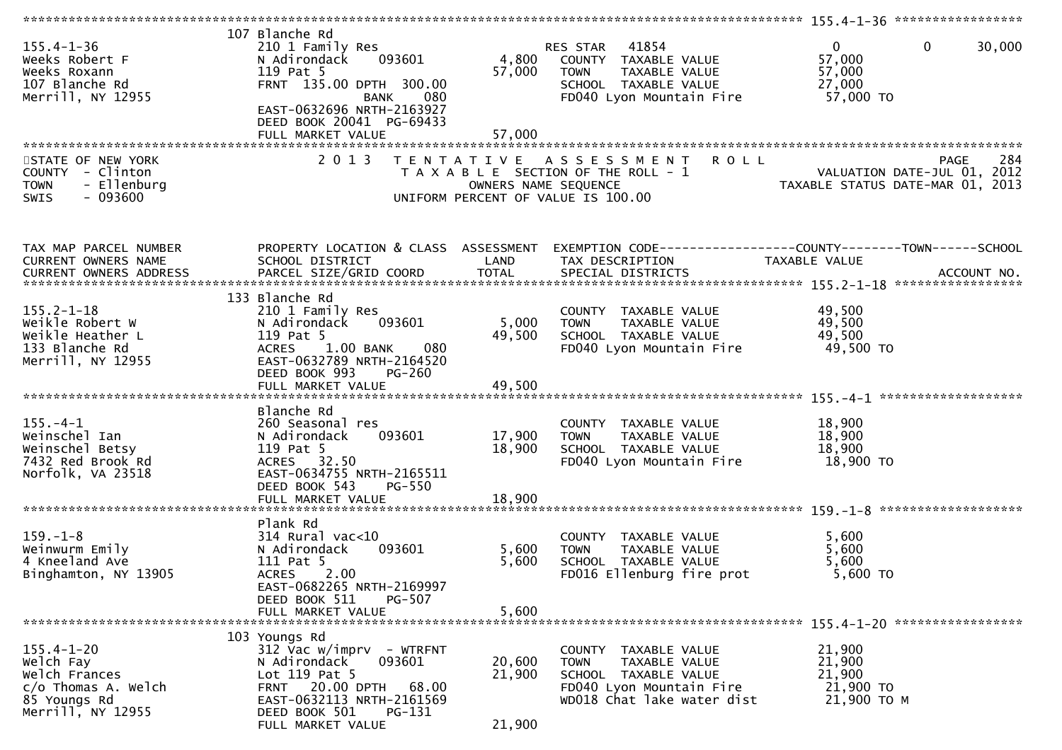| $155.4 - 1 - 36$<br>Weeks Robert F<br>Weeks Roxann<br>107 Blanche Rd<br>Merrill, NY 12955                    | 107 Blanche Rd<br>210 1 Family Res<br>093601<br>N Adirondack<br>119 Pat 5<br>FRNT 135.00 DPTH 300.00<br>BANK<br>080<br>EAST-0632696 NRTH-2163927<br>DEED BOOK 20041 PG-69433 | 4,800<br>57,000            | 41854<br>RES STAR<br>COUNTY TAXABLE VALUE<br>TAXABLE VALUE<br><b>TOWN</b><br>SCHOOL TAXABLE VALUE<br>FD040 Lyon Mountain Fire          | $\mathbf 0$<br>$\overline{0}$<br>30,000<br>57,000<br>57,000<br>27,000<br>57,000 TO    |
|--------------------------------------------------------------------------------------------------------------|------------------------------------------------------------------------------------------------------------------------------------------------------------------------------|----------------------------|----------------------------------------------------------------------------------------------------------------------------------------|---------------------------------------------------------------------------------------|
|                                                                                                              | FULL MARKET VALUE                                                                                                                                                            | 57,000                     |                                                                                                                                        |                                                                                       |
| STATE OF NEW YORK<br>COUNTY - Clinton<br>- Ellenburg<br><b>TOWN</b><br>$-093600$<br>SWIS                     | 2013                                                                                                                                                                         | OWNERS NAME SEQUENCE       | <b>ROLL</b><br>TENTATIVE ASSESSMENT<br>T A X A B L E SECTION OF THE ROLL - 1<br>UNIFORM PERCENT OF VALUE IS 100.00                     | 284<br><b>PAGE</b><br>VALUATION DATE-JUL 01, 2012<br>TAXABLE STATUS DATE-MAR 01, 2013 |
|                                                                                                              |                                                                                                                                                                              |                            |                                                                                                                                        |                                                                                       |
| TAX MAP PARCEL NUMBER<br>CURRENT OWNERS NAME                                                                 | PROPERTY LOCATION & CLASS ASSESSMENT<br>SCHOOL DISTRICT                                                                                                                      | LAND                       | TAX DESCRIPTION                                                                                                                        | <b>TAXABLE VALUE</b>                                                                  |
|                                                                                                              |                                                                                                                                                                              |                            |                                                                                                                                        |                                                                                       |
|                                                                                                              |                                                                                                                                                                              |                            |                                                                                                                                        |                                                                                       |
| $155.2 - 1 - 18$<br>Weikle Robert W<br>Weikle Heather L<br>133 Blanche Rd<br>Merrill, NY 12955               | 133 Blanche Rd<br>210 1 Family Res<br>093601<br>N Adirondack<br>119 Pat 5<br>ACRES 1.00 BANK<br>080<br>EAST-0632789 NRTH-2164520<br>DEED BOOK 993<br><b>PG-260</b>           | 5,000<br>49,500            | COUNTY TAXABLE VALUE<br>TAXABLE VALUE<br>TOWN<br>SCHOOL TAXABLE VALUE<br>FD040 Lyon Mountain Fire                                      | 49,500<br>49,500<br>49,500<br>49,500 TO                                               |
|                                                                                                              |                                                                                                                                                                              |                            |                                                                                                                                        |                                                                                       |
| $155. - 4 - 1$<br>Weinschel Ian<br>Weinschel Betsy<br>7432 Red Brook Rd<br>Norfolk, VA 23518                 | Blanche Rd<br>260 Seasonal res<br>093601<br>N Adirondack<br>119 Pat 5<br>ACRES 32.50<br>EAST-0634755 NRTH-2165511<br>DEED BOOK 543<br>PG-550<br>FULL MARKET VALUE            | 17,900<br>18,900<br>18,900 | COUNTY TAXABLE VALUE<br>TAXABLE VALUE<br>TOWN<br>SCHOOL TAXABLE VALUE<br>FD040 Lyon Mountain Fire                                      | 18,900<br>18,900<br>18,900<br>18,900 TO                                               |
|                                                                                                              |                                                                                                                                                                              |                            |                                                                                                                                        |                                                                                       |
| $159. - 1 - 8$<br>Weinwurm Emily<br>4 Kneeland Ave<br>Binghamton, NY 13905                                   | Plank Rd<br>$314$ Rural vac< $10$<br>093601<br>N Adirondack<br>111 Pat 5<br>2.00<br><b>ACRES</b><br>EAST-0682265 NRTH-2169997<br>DEED BOOK 511<br>PG-507                     | 5,600<br>5,600             | COUNTY TAXABLE VALUE<br>TAXABLE VALUE<br><b>TOWN</b><br>SCHOOL TAXABLE VALUE<br>FD016 Ellenburg fire prot                              | 5,600<br>5,600<br>5,600<br>$5,600$ TO                                                 |
|                                                                                                              | FULL MARKET VALUE                                                                                                                                                            | 5,600                      |                                                                                                                                        |                                                                                       |
|                                                                                                              |                                                                                                                                                                              |                            |                                                                                                                                        |                                                                                       |
| $155.4 - 1 - 20$<br>Welch Fay<br>Welch Frances<br>$c/o$ Thomas A. Welch<br>85 Youngs Rd<br>Merrill, NY 12955 | 103 Youngs Rd<br>$312$ Vac w/imprv - WTRFNT<br>N Adirondack<br>093601<br>Lot 119 Pat 5<br>FRNT 20.00 DPTH<br>68.00<br>EAST-0632113 NRTH-2161569<br>DEED BOOK 501<br>PG-131   | 20,600<br>21,900           | COUNTY TAXABLE VALUE<br>TAXABLE VALUE<br><b>TOWN</b><br>SCHOOL TAXABLE VALUE<br>FD040 Lyon Mountain Fire<br>WD018 Chat lake water dist | 21,900<br>21,900<br>21,900<br>21,900 TO<br>21,900 TO M                                |
|                                                                                                              | FULL MARKET VALUE                                                                                                                                                            | 21,900                     |                                                                                                                                        |                                                                                       |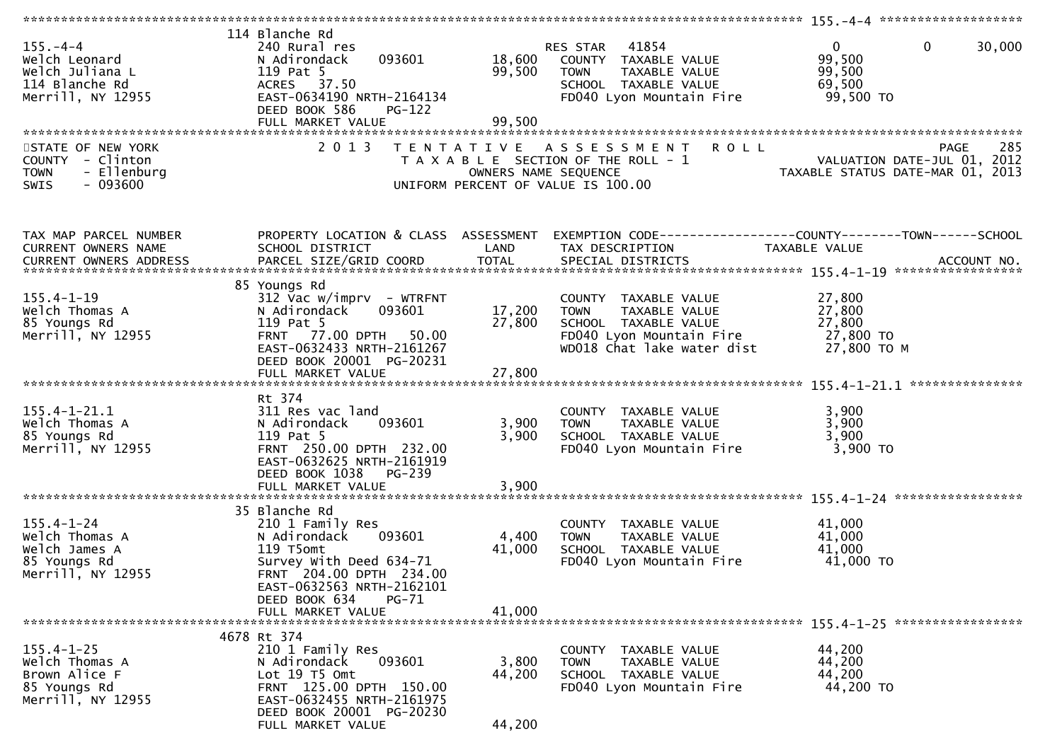| $155. - 4 - 4$<br>Welch Leonard<br>Welch Juliana L<br>114 Blanche Rd<br>Merrill, NY 12955       | 114 Blanche Rd<br>240 Rural res<br>093601<br>N Adirondack<br>119 Pat 5<br>ACRES 37.50<br>EAST-0634190 NRTH-2164134<br>DEED BOOK 586<br><b>PG-122</b><br>FULL MARKET VALUE           | 18,600<br>99,500<br>99,500 | RES STAR 41854<br>COUNTY TAXABLE VALUE<br>TAXABLE VALUE<br>TOWN<br>SCHOOL TAXABLE VALUE<br>FD040 Lyon Mountain Fire                              | $\mathbf 0$<br>$\mathbf{0}$<br>99,500<br>99,500<br>69,500<br>99,500 TO                                            | 30,000 |
|-------------------------------------------------------------------------------------------------|-------------------------------------------------------------------------------------------------------------------------------------------------------------------------------------|----------------------------|--------------------------------------------------------------------------------------------------------------------------------------------------|-------------------------------------------------------------------------------------------------------------------|--------|
|                                                                                                 |                                                                                                                                                                                     |                            |                                                                                                                                                  |                                                                                                                   |        |
| STATE OF NEW YORK<br>COUNTY - Clinton<br>- Ellenburg<br><b>TOWN</b><br>$-093600$<br><b>SWIS</b> | 2 0 1 3                                                                                                                                                                             |                            | TENTATIVE ASSESSMENT ROLL<br>T A X A B L E SECTION OF THE ROLL - 1<br>OWNERS NAME SEQUENCE<br>UNIFORM PERCENT OF VALUE IS 100.00                 | <b>PAGE</b><br>ROLL - 1<br>VALUATION DATE-JUL 01, 2012<br>TAXABLE STATUS DATE-MAR 01, 2013                        | 285    |
| TAX MAP PARCEL NUMBER<br>CURRENT OWNERS NAME<br>CURRENT OWNERS ADDRESS                          | SCHOOL DISTRICT                                                                                                                                                                     | LAND                       | TAX DESCRIPTION                                                                                                                                  | PROPERTY LOCATION & CLASS ASSESSMENT EXEMPTION CODE----------------COUNTY-------TOWN------SCHOOL<br>TAXABLE VALUE |        |
| $155.4 - 1 - 19$<br>Welch Thomas A<br>85 Youngs Rd<br>Merrill, NY 12955                         | 85 Youngs Rd<br>$312$ Vac w/imprv - WTRFNT<br>093601<br>N Adirondack<br>119 Pat 5<br>77.00 DPTH 50.00<br><b>FRNT</b><br>EAST-0632433 NRTH-2161267<br>DEED BOOK 20001 PG-20231       | 17,200<br>27,800           | COUNTY TAXABLE VALUE<br>TAXABLE VALUE<br><b>TOWN</b><br>SCHOOL TAXABLE VALUE<br>FD040 Lyon Mountain Fire 27,800 TO<br>WD018 Chat lake water dist | 27,800<br>27,800<br>27,800<br>27,800 ТО М                                                                         |        |
|                                                                                                 | FULL MARKET VALUE                                                                                                                                                                   | 27,800                     |                                                                                                                                                  |                                                                                                                   |        |
| $155.4 - 1 - 21.1$<br>Welch Thomas A<br>85 Youngs Rd<br>Merrill, NY 12955                       | Rt 374<br>311 Res vac land<br>093601<br>N Adirondack<br>119 Pat 5<br>FRNT 250.00 DPTH 232.00<br>EAST-0632625 NRTH-2161919<br>DEED BOOK 1038 PG-239                                  | 3,900<br>3,900             | COUNTY TAXABLE VALUE<br><b>TOWN</b><br>TAXABLE VALUE<br>SCHOOL TAXABLE VALUE<br>FD040 Lyon Mountain Fire                                         | 3,900<br>3,900<br>3,900<br>3,900 TO                                                                               |        |
|                                                                                                 | FULL MARKET VALUE                                                                                                                                                                   | 3,900                      |                                                                                                                                                  |                                                                                                                   |        |
| $155.4 - 1 - 24$<br>Welch Thomas A<br>Welch James A<br>85 Youngs Rd<br>Merrill, NY 12955        | 35 Blanche Rd<br>210 1 Family Res<br>093601<br>N Adirondack<br>119 T5omt<br>Survey With Deed 634-71<br>FRNT 204.00 DPTH 234.00<br>EAST-0632563 NRTH-2162101                         | 4,400<br>41,000            | COUNTY TAXABLE VALUE<br>TAXABLE VALUE<br><b>TOWN</b><br>SCHOOL TAXABLE VALUE<br>FD040 Lyon Mountain Fire                                         | 41,000<br>41,000<br>41,000<br>41,000 TO                                                                           |        |
|                                                                                                 | DEED BOOK 634<br>PG-71<br>FULL MARKET VALUE                                                                                                                                         | 41,000                     |                                                                                                                                                  |                                                                                                                   |        |
| $155.4 - 1 - 25$<br>Welch Thomas A<br>Brown Alice F<br>85 Youngs Rd<br>Merrill, NY 12955        | 4678 Rt 374<br>210 1 Family Res<br>N Adirondack<br>093601<br>Lot 19 T5 Omt<br>FRNT 125.00 DPTH 150.00<br>EAST-0632455 NRTH-2161975<br>DEED BOOK 20001 PG-20230<br>FULL MARKET VALUE | 3,800<br>44,200<br>44,200  | COUNTY TAXABLE VALUE<br><b>TOWN</b><br>TAXABLE VALUE<br>SCHOOL TAXABLE VALUE<br>FD040 Lyon Mountain Fire                                         | 44,200<br>44,200<br>44,200<br>44,200 TO                                                                           |        |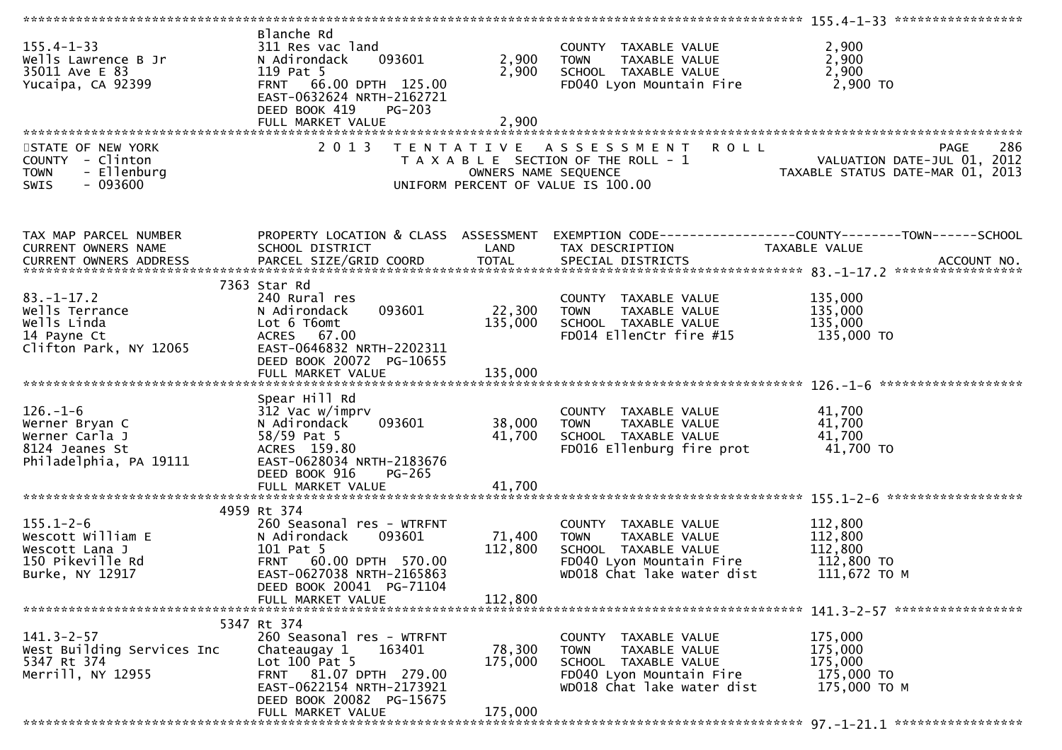| $155.4 - 1 - 33$<br>Wells Lawrence B Jr<br>35011 Ave E 83<br>Yucaipa, CA 92399                  | Blanche Rd<br>311 Res vac land<br>093601<br>N Adirondack<br>119 Pat 5<br>FRNT 66.00 DPTH 125.00<br>EAST-0632624 NRTH-2162721<br>DEED BOOK 419<br>$PG-203$<br>FULL MARKET VALUE | 2,900<br>2,900<br>2,900 | COUNTY TAXABLE VALUE<br>TAXABLE VALUE<br><b>TOWN</b><br>SCHOOL TAXABLE VALUE<br>FD040 Lyon Mountain Fire                               | 2,900<br>2,900<br>2,900<br>2,900 TO                                                               |
|-------------------------------------------------------------------------------------------------|--------------------------------------------------------------------------------------------------------------------------------------------------------------------------------|-------------------------|----------------------------------------------------------------------------------------------------------------------------------------|---------------------------------------------------------------------------------------------------|
|                                                                                                 |                                                                                                                                                                                |                         |                                                                                                                                        |                                                                                                   |
| STATE OF NEW YORK<br>COUNTY - Clinton<br>- Ellenburg<br><b>TOWN</b><br>$-093600$<br><b>SWIS</b> | 2 0 1 3                                                                                                                                                                        | OWNERS NAME SEQUENCE    | TENTATIVE ASSESSMENT ROLL<br>T A X A B L E SECTION OF THE ROLL - 1<br>UNIFORM PERCENT OF VALUE IS 100.00                               | 286<br><b>PAGE</b><br>ROLL - 1<br>VALUATION DATE-JUL 01, 2012<br>TAXABLE STATUS DATE-MAR 01, 2013 |
| TAX MAP PARCEL NUMBER<br>CURRENT OWNERS NAME                                                    | PROPERTY LOCATION & CLASS ASSESSMENT<br>SCHOOL DISTRICT                                                                                                                        | LAND                    | TAX DESCRIPTION                                                                                                                        | EXEMPTION CODE------------------COUNTY--------TOWN------SCHOOL<br>TAXABLE VALUE                   |
|                                                                                                 |                                                                                                                                                                                |                         |                                                                                                                                        |                                                                                                   |
| $83. - 1 - 17.2$<br>Wells Terrance<br>Wells Linda<br>14 Payne Ct<br>Clifton Park, NY 12065      | 7363 Star Rd<br>240 Rural res<br>093601<br>N Adirondack<br>Lot 6 T6omt<br>ACRES 67.00<br>EAST-0646832 NRTH-2202311<br>DEED BOOK 20072 PG-10655                                 | 22,300<br>135,000       | COUNTY TAXABLE VALUE<br>TAXABLE VALUE<br><b>TOWN</b><br>SCHOOL TAXABLE VALUE<br>FD014 EllenCtr fire #15                                | 135,000<br>135,000<br>135,000<br>135,000 TO                                                       |
|                                                                                                 | FULL MARKET VALUE                                                                                                                                                              | 135,000                 |                                                                                                                                        |                                                                                                   |
|                                                                                                 |                                                                                                                                                                                |                         |                                                                                                                                        |                                                                                                   |
| $126. - 1 - 6$<br>Werner Bryan C<br>Werner Carla J<br>8124 Jeanes St<br>Philadelphia, PA 19111  | Spear Hill Rd<br>312 Vac w/imprv<br>093601<br>N Adirondack<br>58/59 Pat 5<br>ACRES 159.80<br>EAST-0628034 NRTH-2183676<br>DEED BOOK 916<br>PG-265                              | 38,000<br>41,700        | COUNTY TAXABLE VALUE<br><b>TOWN</b><br>TAXABLE VALUE<br>SCHOOL TAXABLE VALUE<br>FD016 Ellenburg fire prot                              | 41,700<br>41,700<br>41,700<br>41,700 TO                                                           |
|                                                                                                 | FULL MARKET VALUE                                                                                                                                                              | 41,700                  |                                                                                                                                        |                                                                                                   |
|                                                                                                 |                                                                                                                                                                                |                         |                                                                                                                                        |                                                                                                   |
| $155.1 - 2 - 6$<br>Wescott William E<br>Wescott Lana J<br>150 Pikeville Rd<br>Burke, NY 12917   | 4959 Rt 374<br>260 Seasonal res - WTRFNT<br>093601<br>N Adirondack<br>101 Pat 5<br>FRNT 60.00 DPTH 570.00<br>EAST-0627038 NRTH-2165863<br>DEED BOOK 20041 PG-71104             | 71,400<br>112,800       | COUNTY TAXABLE VALUE<br>TAXABLE VALUE<br><b>TOWN</b><br>SCHOOL TAXABLE VALUE<br>FD040 Lyon Mountain Fire<br>WD018 Chat lake water dist | 112,800<br>112,800<br>112,800<br>112,800 TO<br>111,672 ТО М                                       |
|                                                                                                 | FULL MARKET VALUE                                                                                                                                                              | 112,800                 |                                                                                                                                        |                                                                                                   |
|                                                                                                 |                                                                                                                                                                                |                         |                                                                                                                                        |                                                                                                   |
| $141.3 - 2 - 57$<br>West Building Services Inc<br>5347 Rt 374<br>Merrill, NY 12955              | 5347 Rt 374<br>260 Seasonal res - WTRFNT<br>163401<br>Chateaugay 1<br>Lot $100$ Pat 5<br>FRNT 81.07 DPTH 279.00<br>EAST-0622154 NRTH-2173921<br>DEED BOOK 20082 PG-15675       | 78,300<br>175,000       | COUNTY TAXABLE VALUE<br>TAXABLE VALUE<br><b>TOWN</b><br>SCHOOL TAXABLE VALUE<br>FD040 Lyon Mountain Fire<br>WD018 Chat lake water dist | 175,000<br>175,000<br>175,000<br>175,000 TO<br>175,000 TO M                                       |
|                                                                                                 | FULL MARKET VALUE                                                                                                                                                              | 175,000                 |                                                                                                                                        |                                                                                                   |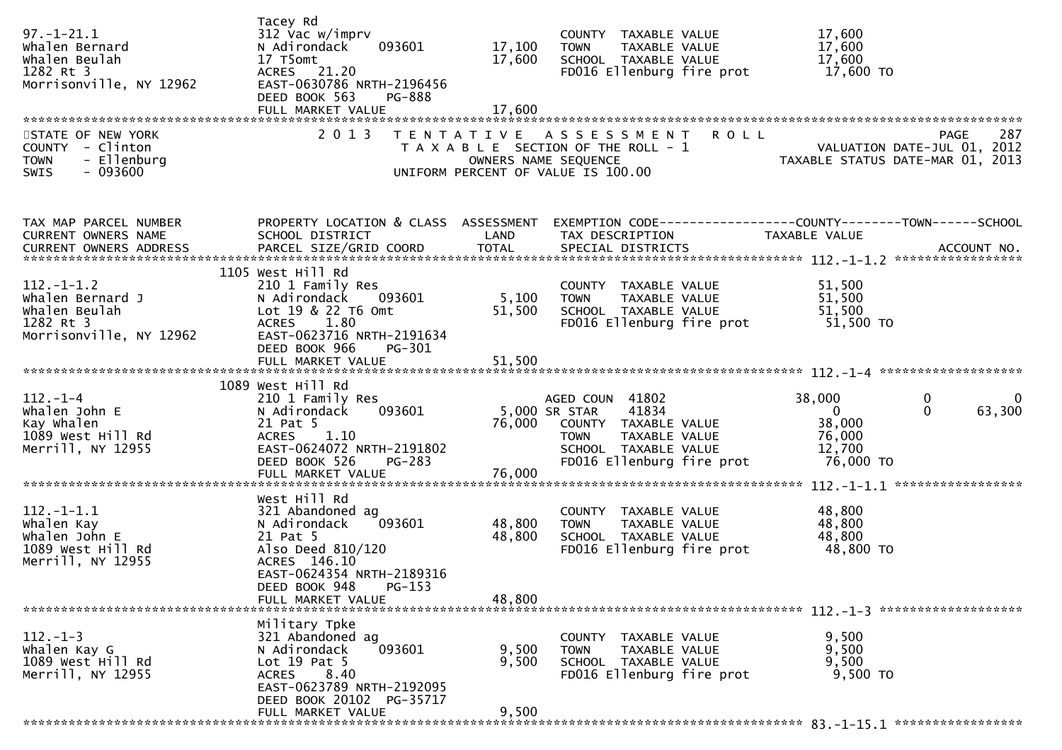| $97. - 1 - 21.1$<br>Whalen Bernard<br>Whalen Beulah<br>1282 Rt 3<br>Morrisonville, NY 12962     | Tacey Rd<br>312 Vac w/imprv<br>093601<br>N Adirondack<br>17 T5omt<br>ACRES 21.20<br>EAST-0630786 NRTH-2196456<br>DEED BOOK 563<br>PG-888<br>FULL MARKET VALUE         | 17,100<br>17,600<br>17,600                | COUNTY TAXABLE VALUE<br>TAXABLE VALUE<br><b>TOWN</b><br>SCHOOL TAXABLE VALUE<br>FD016 Ellenburg fire prot                                              | 17,600<br>17,600<br>17,600<br>17,600 TO                                                                 |
|-------------------------------------------------------------------------------------------------|-----------------------------------------------------------------------------------------------------------------------------------------------------------------------|-------------------------------------------|--------------------------------------------------------------------------------------------------------------------------------------------------------|---------------------------------------------------------------------------------------------------------|
| STATE OF NEW YORK<br>COUNTY - Clinton<br>- Ellenburg<br><b>TOWN</b><br>$-093600$<br><b>SWIS</b> | 2 0 1 3                                                                                                                                                               | T E N T A T I V E<br>OWNERS NAME SEQUENCE | ASSESSMENT ROLL<br>T A X A B L E SECTION OF THE ROLL - 1<br>UNIFORM PERCENT OF VALUE IS 100.00                                                         | 287<br><b>PAGE</b><br>VALUATION DATE-JUL 01, 2012<br>TAXABLE STATUS DATE-MAR 01, 2013                   |
| TAX MAP PARCEL NUMBER<br>CURRENT OWNERS NAME                                                    | PROPERTY LOCATION & CLASS ASSESSMENT<br>SCHOOL DISTRICT                                                                                                               | LAND                                      | TAX DESCRIPTION                                                                                                                                        | EXEMPTION CODE-----------------COUNTY-------TOWN------SCHOOL<br>TAXABLE VALUE                           |
| $112. - 1 - 1.2$<br>Whalen Bernard J<br>whalen Beulah<br>1282 Rt 3<br>Morrisonville, NY 12962   | 1105 West Hill Rd<br>210 1 Family Res<br>N Adirondack<br>093601<br>Lot 19 & 22 T6 Omt<br>1.80<br><b>ACRES</b><br>EAST-0623716 NRTH-2191634<br>DEED BOOK 966<br>PG-301 | 5,100<br>51,500                           | COUNTY TAXABLE VALUE<br><b>TOWN</b><br>TAXABLE VALUE<br>SCHOOL TAXABLE VALUE<br>FD016 Ellenburg fire prot                                              | 51,500<br>51,500<br>51,500<br>51,500 TO                                                                 |
|                                                                                                 |                                                                                                                                                                       |                                           |                                                                                                                                                        |                                                                                                         |
| $112. - 1 - 4$<br>Whalen John E<br>Kay Whalen<br>1089 West Hill Rd<br>Merrill, NY 12955         | 1089 West Hill Rd<br>210 1 Family Res<br>093601<br>N Adirondack<br>21 Pat 5<br>1.10<br><b>ACRES</b><br>EAST-0624072 NRTH-2191802<br>DEED BOOK 526<br>PG-283           | 76,000                                    | AGED COUN 41802<br>5,000 SR STAR<br>41834<br>COUNTY TAXABLE VALUE<br>TAXABLE VALUE<br><b>TOWN</b><br>SCHOOL TAXABLE VALUE<br>FD016 Ellenburg fire prot | 38,000<br>0<br>0<br>63,300<br>$\overline{0}$<br>$\mathbf{0}$<br>38,000<br>76,000<br>12,700<br>76,000 TO |
|                                                                                                 | FULL MARKET VALUE                                                                                                                                                     | 76,000                                    |                                                                                                                                                        |                                                                                                         |
| $112.-1-1.1$<br>Whalen Kay<br>Whalen John E<br>1089 West Hill Rd<br>Merrill, NY 12955           | West Hill Rd<br>321 Abandoned ag<br>093601<br>N Adirondack<br>21 Pat 5<br>Also Deed 810/120<br>ACRES 146.10<br>EAST-0624354 NRTH-2189316<br>DEED BOOK 948<br>$PG-153$ | 48,800<br>48,800                          | COUNTY TAXABLE VALUE<br>TAXABLE VALUE<br><b>TOWN</b><br>SCHOOL TAXABLE VALUE<br>FD016 Ellenburg fire prot                                              | 48,800<br>48,800<br>48,800<br>48,800 TO                                                                 |
|                                                                                                 | FULL MARKET VALUE                                                                                                                                                     | 48,800                                    |                                                                                                                                                        |                                                                                                         |
| $112. - 1 - 3$<br>Whalen Kay G<br>1089 West Hill Rd<br>Merrill, NY 12955                        | Military Tpke<br>321 Abandoned ag<br>N Adirondack<br>093601<br>Lot $19$ Pat 5<br>8.40<br><b>ACRES</b><br>EAST-0623789 NRTH-2192095<br>DEED BOOK 20102 PG-35717        | 9,500<br>9,500                            | COUNTY TAXABLE VALUE<br><b>TOWN</b><br>TAXABLE VALUE<br>SCHOOL TAXABLE VALUE<br>FD016 Ellenburg fire prot                                              | 9,500<br>9,500<br>9,500<br>9,500 TO                                                                     |
|                                                                                                 | FULL MARKET VALUE                                                                                                                                                     | 9,500                                     |                                                                                                                                                        |                                                                                                         |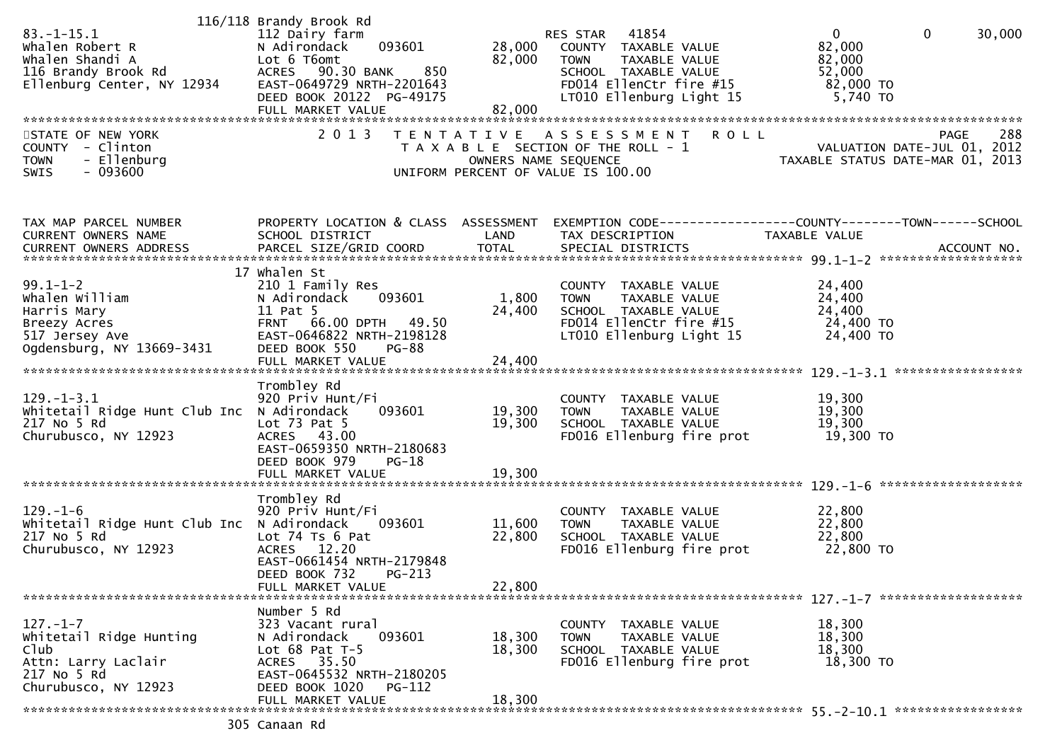| $83.-1-15.1$<br>Whalen Robert R<br>Whalen Shandi A<br>116 Brandy Brook Rd<br>Ellenburg Center, NY 12934         | 116/118 Brandy Brook Rd<br>112 Dairy farm<br>093601<br>N Adirondack<br>Lot 6 T6omt<br>ACRES 90.30 BANK<br>850<br>EAST-0649729 NRTH-2201643<br>DEED BOOK 20122 PG-49175<br>FULL MARKET VALUE | 28,000<br>82,000<br>82,000 | 41854<br>RES STAR<br>COUNTY TAXABLE VALUE<br>TAXABLE VALUE<br><b>TOWN</b><br>SCHOOL TAXABLE VALUE<br>FD014 EllenCtr fire #15<br>LT010 Ellenburg Light 15 | $\overline{0}$<br>$\mathbf 0$<br>82,000<br>82,000<br>52,000<br>82,000 TO<br>5,740 TO | 30,000      |
|-----------------------------------------------------------------------------------------------------------------|---------------------------------------------------------------------------------------------------------------------------------------------------------------------------------------------|----------------------------|----------------------------------------------------------------------------------------------------------------------------------------------------------|--------------------------------------------------------------------------------------|-------------|
| STATE OF NEW YORK<br>COUNTY - Clinton<br><b>TOWN</b><br>- Ellenburg<br>$-093600$<br><b>SWIS</b>                 | 2 0 1 3                                                                                                                                                                                     | OWNERS NAME SEQUENCE       | <b>ROLL</b><br>TENTATIVE ASSESSMENT<br>T A X A B L E SECTION OF THE ROLL - 1<br>UNIFORM PERCENT OF VALUE IS 100.00                                       | VALUATION DATE-JUL 01, 2012<br>TAXABLE STATUS DATE-MAR 01, 2013                      | 288<br>PAGE |
| TAX MAP PARCEL NUMBER<br>CURRENT OWNERS NAME                                                                    | PROPERTY LOCATION & CLASS ASSESSMENT<br>SCHOOL DISTRICT                                                                                                                                     | LAND                       | EXEMPTION CODE-----------------COUNTY-------TOWN------SCHOOL<br>TAX DESCRIPTION                                                                          | TAXABLE VALUE                                                                        |             |
| $99.1 - 1 - 2$<br>whalen william<br>Harris Mary<br>Breezy Acres<br>517 Jersey Ave<br>Ogdensburg, NY 13669-3431  | 17 whalen St<br>210 1 Family Res<br>N Adirondack<br>093601<br>11 Pat 5<br>FRNT 66.00 DPTH 49.50<br>EAST-0646822 NRTH-2198128<br>DEED BOOK 550<br><b>PG-88</b>                               | 1,800<br>24,400            | COUNTY TAXABLE VALUE<br>TAXABLE VALUE<br><b>TOWN</b><br>SCHOOL TAXABLE VALUE<br>FD014 EllenCtr fire #15<br>LT010 Ellenburg Light 15                      | 24,400<br>24,400<br>24,400<br>24,400 TO<br>24,400 TO                                 |             |
|                                                                                                                 | Trombley Rd                                                                                                                                                                                 |                            |                                                                                                                                                          |                                                                                      |             |
| $129. - 1 - 3.1$<br>Whitetail Ridge Hunt Club Inc N Adirondack<br>217 No 5 Rd<br>Churubusco, NY 12923           | 920 Priv Hunt/Fi<br>093601<br>Lot $73$ Pat $5$<br>ACRES 43.00<br>EAST-0659350 NRTH-2180683<br>DEED BOOK 979<br>$PG-18$<br>FULL MARKET VALUE                                                 | 19,300<br>19,300<br>19,300 | COUNTY TAXABLE VALUE<br>TAXABLE VALUE<br><b>TOWN</b><br>SCHOOL TAXABLE VALUE<br>FD016 Ellenburg fire prot                                                | 19,300<br>19,300<br>19,300<br>19,300 TO                                              |             |
|                                                                                                                 |                                                                                                                                                                                             |                            |                                                                                                                                                          |                                                                                      |             |
| $129. - 1 - 6$<br>Whitetail Ridge Hunt Club Inc N Adirondack<br>217 No 5 Rd<br>Churubusco, NY 12923             | Trombley Rd<br>920 Priv Hunt/Fi<br>093601<br>Lot 74 Ts 6 Pat<br>12.20<br><b>ACRES</b><br>EAST-0661454 NRTH-2179848<br>DEED BOOK 732<br>PG-213<br>FULL MARKET VALUE                          | 11,600<br>22,800<br>22,800 | COUNTY TAXABLE VALUE<br><b>TOWN</b><br>TAXABLE VALUE<br>SCHOOL TAXABLE VALUE<br>FD016 Ellenburg fire prot                                                | 22,800<br>22,800<br>22,800<br>22,800 TO                                              |             |
|                                                                                                                 |                                                                                                                                                                                             |                            |                                                                                                                                                          |                                                                                      |             |
| $127. - 1 - 7$<br>Whitetail Ridge Hunting<br>Club<br>Attn: Larry Laclair<br>217 No 5 Rd<br>Churubusco, NY 12923 | Number 5 Rd<br>323 Vacant rural<br>093601<br>N Adirondack<br>Lot $68$ Pat T-5<br>35.50<br>ACRES<br>EAST-0645532 NRTH-2180205<br>DEED BOOK 1020<br>PG-112                                    | 18,300<br>18,300           | COUNTY TAXABLE VALUE<br><b>TOWN</b><br>TAXABLE VALUE<br>SCHOOL TAXABLE VALUE<br>FD016 Ellenburg fire prot                                                | 18,300<br>18,300<br>18,300<br>18,300 TO                                              |             |
|                                                                                                                 | FULL MARKET VALUE                                                                                                                                                                           | 18,300                     |                                                                                                                                                          |                                                                                      |             |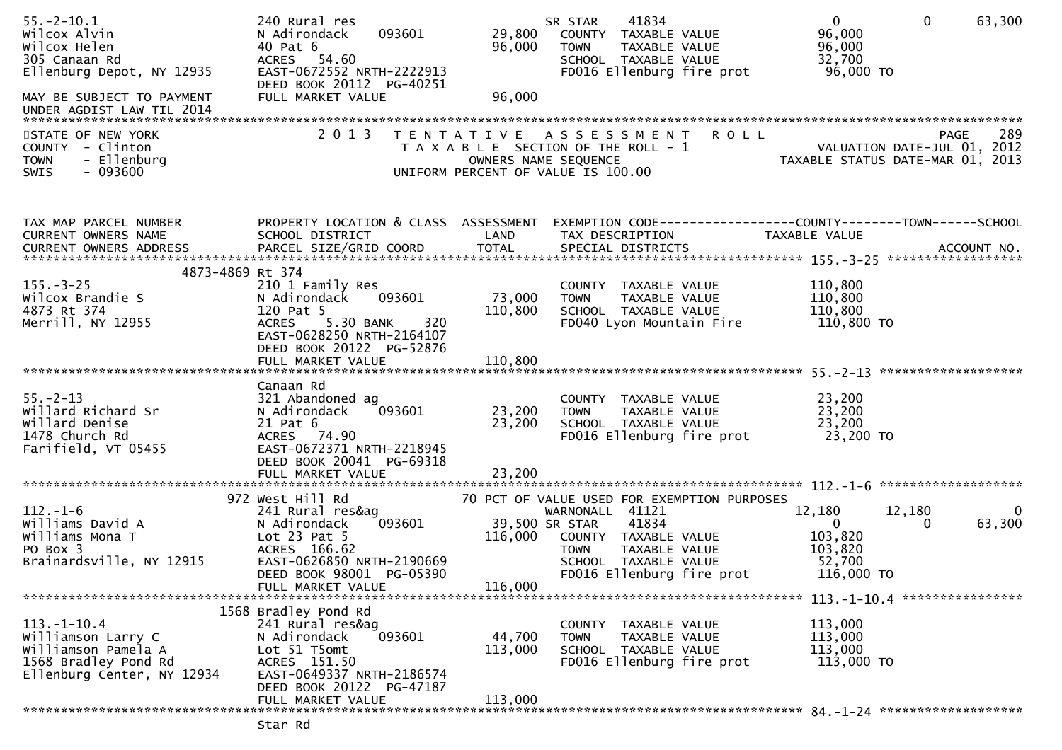| $55. - 2 - 10.1$<br>Wilcox Alvin<br>Wilcox Helen<br>305 Canaan Rd<br>Ellenburg Depot, NY 12935<br>MAY BE SUBJECT TO PAYMENT | 240 Rural res<br>093601<br>N Adirondack<br>40 Pat 6<br>ACRES 54.60<br>EAST-0672552 NRTH-2222913<br>DEED BOOK 20112 PG-40251<br>FULL MARKET VALUE | 29,800<br>96,000<br>96,000 | 41834<br>SR STAR<br>COUNTY TAXABLE VALUE<br>TAXABLE VALUE<br><b>TOWN</b><br>SCHOOL TAXABLE VALUE<br>FD016 Ellenburg fire prot | $\mathbf{0}$<br>$\mathbf 0$<br>96,000<br>96,000<br>32,700<br>96,000 TO | 63,300      |
|-----------------------------------------------------------------------------------------------------------------------------|--------------------------------------------------------------------------------------------------------------------------------------------------|----------------------------|-------------------------------------------------------------------------------------------------------------------------------|------------------------------------------------------------------------|-------------|
| UNDER AGDIST LAW TIL 2014                                                                                                   |                                                                                                                                                  |                            |                                                                                                                               |                                                                        |             |
| STATE OF NEW YORK<br>COUNTY - Clinton<br>- Ellenburg<br><b>TOWN</b><br>$-093600$<br>SWIS                                    | 2 0 1 3                                                                                                                                          | OWNERS NAME SEQUENCE       | TENTATIVE ASSESSMENT ROLL<br>T A X A B L E SECTION OF THE ROLL - 1<br>UNIFORM PERCENT OF VALUE IS 100.00                      | VALUATION DATE-JUL 01, 2012<br>TAXABLE STATUS DATE-MAR 01, 2013        | 289<br>PAGE |
| TAX MAP PARCEL NUMBER<br>CURRENT OWNERS NAME                                                                                | PROPERTY LOCATION & CLASS ASSESSMENT<br>SCHOOL DISTRICT                                                                                          | LAND                       | EXEMPTION CODE-----------------COUNTY--------TOWN------SCHOOL<br>TAX DESCRIPTION                                              | TAXABLE VALUE                                                          |             |
| 4873-4869 Rt 374                                                                                                            |                                                                                                                                                  |                            |                                                                                                                               |                                                                        |             |
| $155. - 3 - 25$<br>Wilcox Brandie S                                                                                         | 210 1 Family Res<br>093601<br>N Adirondack                                                                                                       | 73,000                     | COUNTY TAXABLE VALUE<br>TAXABLE VALUE<br><b>TOWN</b>                                                                          | 110,800<br>110,800                                                     |             |
| 4873 Rt 374                                                                                                                 | 120 Pat 5                                                                                                                                        | 110,800                    | SCHOOL TAXABLE VALUE                                                                                                          | 110,800                                                                |             |
| Merrill, NY 12955                                                                                                           | ACRES 5.30 BANK<br>320<br>EAST-0628250 NRTH-2164107<br>DEED BOOK 20122 PG-52876                                                                  |                            | FD040 Lyon Mountain Fire                                                                                                      | 110,800 TO                                                             |             |
|                                                                                                                             |                                                                                                                                                  |                            |                                                                                                                               |                                                                        |             |
| $55. - 2 - 13$<br>Willard Richard Sr<br>Willard Denise<br>1478 Church Rd<br>Farifield, VT 05455                             | Canaan Rd<br>321 Abandoned ag<br>093601<br>N Adirondack<br>21 Pat 6<br>ACRES 74.90<br>EAST-0672371 NRTH-2218945<br>DEED BOOK 20041 PG-69318      | 23,200<br>23,200           | COUNTY TAXABLE VALUE<br>TAXABLE VALUE<br><b>TOWN</b><br>SCHOOL TAXABLE VALUE<br>FD016 Ellenburg fire prot                     | 23,200<br>23,200<br>23,200<br>23,200 TO                                |             |
|                                                                                                                             |                                                                                                                                                  |                            |                                                                                                                               |                                                                        |             |
|                                                                                                                             |                                                                                                                                                  |                            |                                                                                                                               |                                                                        |             |
| $112. - 1 - 6$                                                                                                              | 972 West Hill Rd<br>241 Rural res&ag                                                                                                             |                            | 70 PCT OF VALUE USED FOR EXEMPTION PURPOSES<br>WARNONALL 41121                                                                | 12,180<br>12,180                                                       | 0           |
| Williams David A                                                                                                            | 093601<br>N Adirondack                                                                                                                           |                            | 39,500 SR STAR<br>41834                                                                                                       | $\mathbf{0}$<br>$\Omega$                                               | 63,300      |
| Williams Mona T                                                                                                             | Lot $23$ Pat $5$                                                                                                                                 | 116,000                    | COUNTY TAXABLE VALUE                                                                                                          | 103,820                                                                |             |
| PO Box 3<br>Brainardsville, NY 12915                                                                                        | ACRES 166.62<br>EAST-0626850 NRTH-2190669                                                                                                        |                            | TAXABLE VALUE<br><b>TOWN</b><br>SCHOOL TAXABLE VALUE                                                                          | 103,820<br>52,700                                                      |             |
|                                                                                                                             | DEED BOOK 98001 PG-05390                                                                                                                         |                            | FD016 Ellenburg fire prot                                                                                                     | 116,000 TO                                                             |             |
|                                                                                                                             | FULL MARKET VALUE                                                                                                                                | 116,000                    |                                                                                                                               |                                                                        |             |
|                                                                                                                             | 1568 Bradley Pond Rd                                                                                                                             |                            |                                                                                                                               |                                                                        |             |
| $113.-1-10.4$                                                                                                               | 241 Rural res&ag                                                                                                                                 |                            | COUNTY<br>TAXABLE VALUE                                                                                                       | 113,000                                                                |             |
| Williamson Larry C                                                                                                          | 093601<br>N Adirondack                                                                                                                           | 44,700                     | <b>TOWN</b><br>TAXABLE VALUE                                                                                                  | 113,000                                                                |             |
| Williamson Pamela A<br>1568 Bradley Pond Rd                                                                                 | Lot 51 T5omt<br>ACRES 151.50                                                                                                                     | 113,000                    | SCHOOL TAXABLE VALUE<br>FD016 Ellenburg fire prot                                                                             | 113,000<br>113,000 TO                                                  |             |
| Ellenburg Center, NY 12934                                                                                                  | EAST-0649337 NRTH-2186574                                                                                                                        |                            |                                                                                                                               |                                                                        |             |
|                                                                                                                             | DEED BOOK 20122 PG-47187<br>FULL MARKET VALUE                                                                                                    | 113,000                    |                                                                                                                               |                                                                        |             |

Star Rd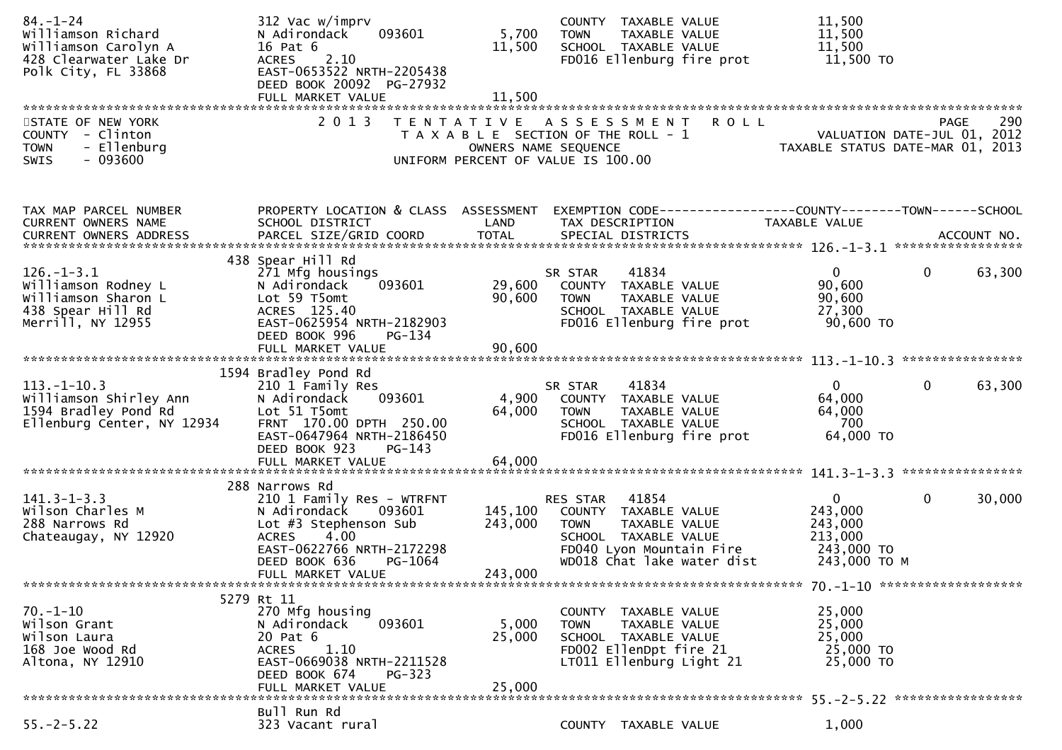| $84. - 1 - 24$<br>Williamson Richard<br>Williamson Carolyn A<br>428 Clearwater Lake Dr<br>Polk City, FL 33868 | 312 Vac w/imprv<br>093601<br>N Adirondack<br>16 Pat 6<br>ACRES 2.10<br>EAST-0653522 NRTH-2205438<br>DEED BOOK 20092 PG-27932                                                                      | 5,700<br>11,500               | COUNTY TAXABLE VALUE<br>TAXABLE VALUE<br><b>TOWN</b><br>SCHOOL TAXABLE VALUE<br>FD016 Ellenburg fire prot                                            | 11,500<br>11,500<br>11,500<br>11,500 TO                                                                                                                                                            |  |
|---------------------------------------------------------------------------------------------------------------|---------------------------------------------------------------------------------------------------------------------------------------------------------------------------------------------------|-------------------------------|------------------------------------------------------------------------------------------------------------------------------------------------------|----------------------------------------------------------------------------------------------------------------------------------------------------------------------------------------------------|--|
| STATE OF NEW YORK<br>COUNTY - Clinton<br>- Ellenburg<br><b>TOWN</b><br>$-093600$<br>SWIS                      | 2 0 1 3                                                                                                                                                                                           |                               | TENTATIVE ASSESSMENT<br>T A X A B L E SECTION OF THE ROLL - 1<br>OWNERS NAME SEQUENCE<br>UNIFORM PERCENT OF VALUE IS 100.00                          | PAGE 290<br>VALUATION DATE-JUL 01, 2012<br>TAXARLE STATUS DATE USE 2012                                                                                                                            |  |
| TAX MAP PARCEL NUMBER<br>CURRENT OWNERS NAME                                                                  | PROPERTY LOCATION & CLASS ASSESSMENT<br>SCHOOL DISTRICT                                                                                                                                           | LAND                          | TAX DESCRIPTION                                                                                                                                      | EXEMPTION CODE------------------COUNTY--------TOWN------SCHOOL<br>TAXABLE VALUE<br>.CURRENT OWNERS ADDRESS PARCEL SIZE/GRID COORD TOTAL SPECIAL DISTRICTS ACCOUNT NO ACCOUNT NO ACCOUNT NO ACCOUNT |  |
| $126. - 1 - 3.1$<br>Williamson Rodney L<br>Williamson Sharon L<br>438 Spear Hill Rd<br>Merrill, NY 12955      | 438 Spear Hill Rd<br>271 Mfg housings<br>093601<br>N Adirondack<br>Lot 59 T5omt<br>ACRES 125.40<br>EAST-0625954 NRTH-2182903<br>DEED BOOK 996<br>PG-134<br>FULL MARKET VALUE                      | 90,600<br>90,600              | 41834<br>SR STAR<br>29,600 COUNTY TAXABLE VALUE<br><b>TOWN</b><br>TAXABLE VALUE<br>SCHOOL TAXABLE VALUE<br>FD016 Ellenburg fire prot                 | 63,300<br>$\mathbf{0}$<br>0<br>90,600<br>90,600<br>27,300<br>90,600 TO                                                                                                                             |  |
| $113.-1-10.3$<br>Williamson Shirley Ann<br>1594 Bradley Pond Rd<br>Ellenburg Center, NY 12934                 | 1594 Bradley Pond Rd<br>210 1 Family Res<br>093601<br>N Adirondack<br>Lot 51 T5omt<br>FRNT 170.00 DPTH 250.00<br>EAST-0647964 NRTH-2186450<br>DEED BOOK 923<br>$PG-143$                           | 4,900<br>64,000               | 41834<br>SR STAR<br>COUNTY TAXABLE VALUE<br>TAXABLE VALUE<br><b>TOWN</b><br>SCHOOL TAXABLE VALUE<br>FD016 Ellenburg fire prot                        | $\overline{0}$<br>$\Omega$<br>63,300<br>64,000<br>64,000<br>700<br>64,000 TO                                                                                                                       |  |
| $141.3 - 1 - 3.3$<br>Wilson Charles M<br>288 Narrows Rd<br>Chateaugay, NY 12920                               | 288 Narrows Rd<br>210 1 Family Res - WTRFNT<br>N Adirondack 093601<br>Lot #3 Stephenson Sub<br>4.00<br><b>ACRES</b><br>EAST-0622766 NRTH-2172298<br>DEED BOOK 636<br>PG-1064<br>FULL MARKET VALUE | 145,100<br>243,000<br>243,000 | 41854<br>RES STAR<br>COUNTY TAXABLE VALUE<br>TAXABLE VALUE<br>TOWN<br>SCHOOL TAXABLE VALUE<br>FD040 Lyon Mountain Fire<br>WD018 Chat lake water dist | $\Omega$<br>$\mathbf{0}$<br>30,000<br>243,000<br>243,000<br>213,000<br>243,000 TO<br>243,000 ТО М                                                                                                  |  |
| $70. - 1 - 10$<br>Wilson Grant<br>Wilson Laura<br>168 Joe Wood Rd<br>Altona, NY 12910                         | 5279 Rt 11<br>270 Mfg housing<br>093601<br>N Adirondack<br>20 Pat 6<br><b>ACRES</b><br>1.10<br>EAST-0669038 NRTH-2211528<br>DEED BOOK 674<br>$PG-323$<br>FULL MARKET VALUE                        | 5,000<br>25,000<br>25,000     | COUNTY TAXABLE VALUE<br><b>TOWN</b><br>TAXABLE VALUE<br>SCHOOL TAXABLE VALUE<br>FD002 EllenDpt fire 21<br>LT011 Ellenburg Light 21                   | 25,000<br>25,000<br>25,000<br>25,000 TO<br>25,000 TO                                                                                                                                               |  |
| $55. - 2 - 5.22$                                                                                              | Bull Run Rd<br>323 Vacant rural                                                                                                                                                                   |                               | COUNTY TAXABLE VALUE                                                                                                                                 | 1,000                                                                                                                                                                                              |  |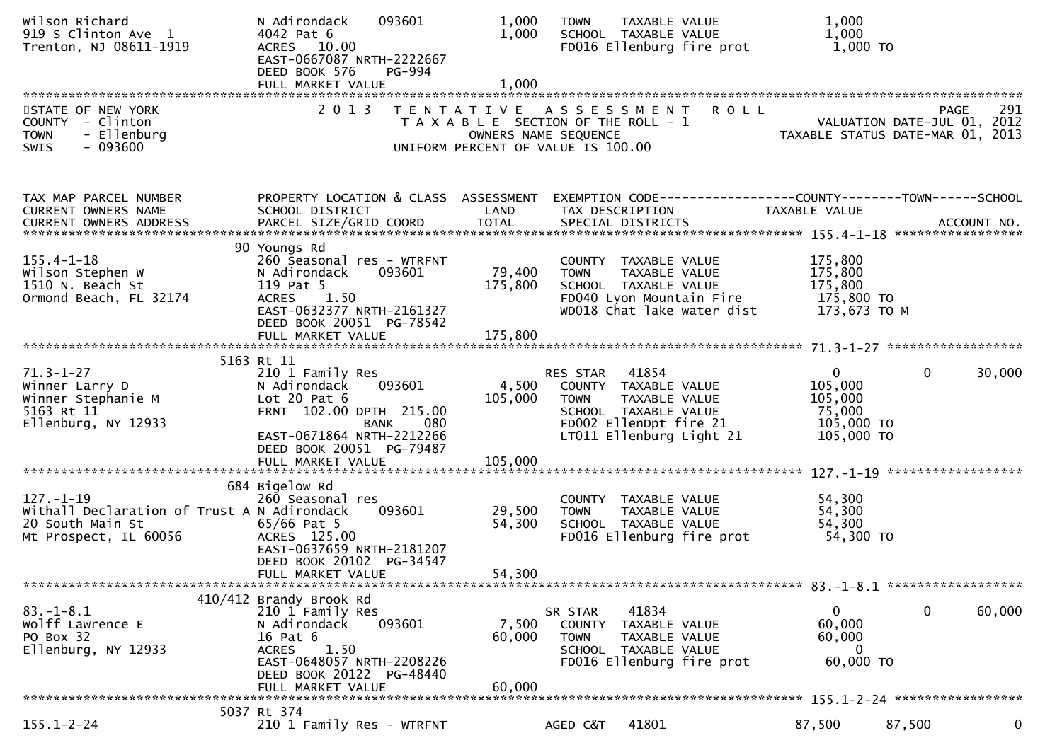| Wilson Richard<br>919 S Clinton Ave 1<br>Trenton, NJ 08611-1919                                             | 093601<br>N Adirondack<br>4042 Pat 6<br>ACRES 10.00<br>EAST-0667087 NRTH-2222667<br>DEED BOOK 576<br>PG-994                                                                            | 1,000<br>1,000             | TAXABLE VALUE<br><b>TOWN</b><br>SCHOOL TAXABLE VALUE<br>FD016 Ellenburg fire prot                                                                    | 1,000<br>1,000<br>1,000 TO                                                                                        |             |
|-------------------------------------------------------------------------------------------------------------|----------------------------------------------------------------------------------------------------------------------------------------------------------------------------------------|----------------------------|------------------------------------------------------------------------------------------------------------------------------------------------------|-------------------------------------------------------------------------------------------------------------------|-------------|
| STATE OF NEW YORK<br>COUNTY - Clinton<br>- Ellenburg<br><b>TOWN</b><br>$-093600$<br><b>SWIS</b>             |                                                                                                                                                                                        | OWNERS NAME SEQUENCE       | 2013 TENTATIVE ASSESSMENT<br><b>ROLL</b><br>T A X A B L E SECTION OF THE ROLL - 1<br>UNIFORM PERCENT OF VALUE IS 100.00                              | PAGE<br>291 - YALUATION DATE-JUL<br>2012 - VALUATION DATE-JUL<br>2013 - TAXABLE STATUS DATE-MAR 2013              | 291         |
| TAX MAP PARCEL NUMBER<br>CURRENT OWNERS NAME                                                                | SCHOOL DISTRICT                                                                                                                                                                        | LAND<br><b>TOTAL</b>       | TAX DESCRIPTION                                                                                                                                      | PROPERTY LOCATION & CLASS ASSESSMENT EXEMPTION CODE----------------COUNTY-------TOWN------SCHOOL<br>TAXABLE VALUE |             |
| $155.4 - 1 - 18$<br>Wilson Stephen W<br>1510 N. Beach St<br>Ormond Beach, FL 32174                          | 90 Youngs Rd<br>260 Seasonal res - WTRFNT<br>093601<br>N Adirondack<br>119 Pat 5<br>ACRES 1.50<br>EAST-0632377 NRTH-2161327<br>DEED BOOK 20051 PG-78542                                | 79,400<br>175,800          | COUNTY TAXABLE VALUE<br>TAXABLE VALUE<br><b>TOWN</b><br>SCHOOL TAXABLE VALUE<br>FD040 Lyon Mountain Fire<br>WD018 Chat lake water dist               | 175,800<br>175,800<br>175,800<br>175,800 TO<br>173,673 то м                                                       |             |
|                                                                                                             |                                                                                                                                                                                        | 175,800                    |                                                                                                                                                      |                                                                                                                   |             |
| $71.3 - 1 - 27$<br>Winner Larry D<br>Winner Stephanie M<br>5163 Rt 11<br>Ellenburg, NY 12933                | 5163 Rt 11<br>210 1 Family Res<br>093601<br>N Adirondack<br>Lot $20$ Pat $6$<br>FRNT 102.00 DPTH 215.00<br>080<br><b>BANK</b><br>EAST-0671864 NRTH-2212266<br>DEED BOOK 20051 PG-79487 | 4,500<br>105,000           | RES STAR 41854<br>COUNTY TAXABLE VALUE<br><b>TOWN</b><br>TAXABLE VALUE<br>SCHOOL TAXABLE VALUE<br>FD002 EllenDpt fire 21<br>LT011 Ellenburg Light 21 | $\overline{0}$<br>$\mathbf{0}$<br>105,000<br>105,000<br>75,000<br>105,000 TO<br>105,000 TO                        | 30,000      |
|                                                                                                             |                                                                                                                                                                                        |                            |                                                                                                                                                      |                                                                                                                   |             |
| $127. - 1 - 19$<br>Withall Declaration of Trust A N Adirondack<br>20 South Main St<br>Mt Prospect, IL 60056 | 684 Bigelow Rd<br>260 Seasonal res<br>093601<br>65/66 Pat 5<br>ACRES 125.00<br>EAST-0637659 NRTH-2181207<br>DEED BOOK 20102 PG-34547<br>FULL MARKET VALUE                              | 29,500<br>54,300<br>54,300 | COUNTY TAXABLE VALUE<br>TAXABLE VALUE<br><b>TOWN</b><br>SCHOOL TAXABLE VALUE<br>FD016 Ellenburg fire prot                                            | 54,300<br>54,300<br>54,300<br>54,300 TO                                                                           |             |
|                                                                                                             | 410/412 Brandy Brook Rd                                                                                                                                                                |                            |                                                                                                                                                      |                                                                                                                   |             |
| $83.-1-8.1$<br>Wolff Lawrence E<br>PO Box 32<br>Ellenburg, NY 12933                                         | 210 1 Family Res<br>N Adirondack<br>093601<br>16 Pat 6<br>1.50<br><b>ACRES</b><br>EAST-0648057 NRTH-2208226<br>DEED BOOK 20122 PG-48440<br>FULL MARKET VALUE                           | 7,500<br>60,000<br>60,000  | 41834<br>SR STAR<br>COUNTY TAXABLE VALUE<br>TAXABLE VALUE<br><b>TOWN</b><br>SCHOOL TAXABLE VALUE<br>FD016 Ellenburg fire prot                        | 0<br>0<br>60,000<br>60,000<br>$\Omega$<br>60,000 TO                                                               | 60,000      |
| $155.1 - 2 - 24$                                                                                            | 5037 Rt 374                                                                                                                                                                            |                            |                                                                                                                                                      |                                                                                                                   |             |
|                                                                                                             | 210 1 Family Res - WTRFNT                                                                                                                                                              |                            | 41801<br>AGED C&T                                                                                                                                    | 87,500<br>87,500                                                                                                  | $\mathbf 0$ |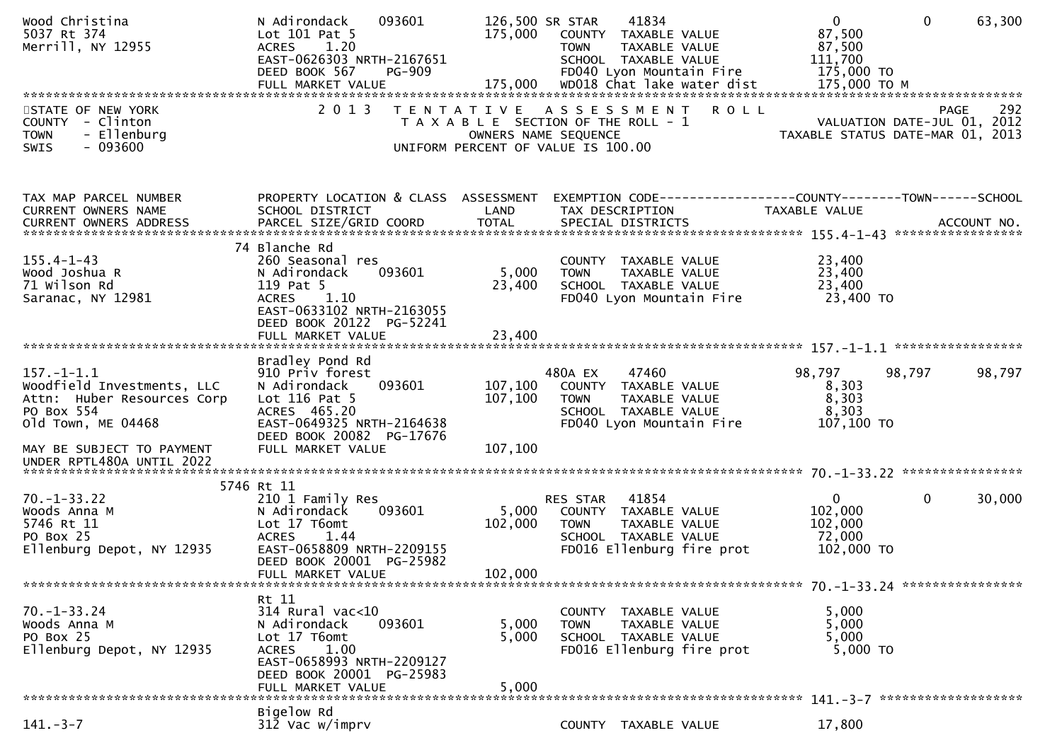| Wood Christina<br>5037 Rt 374<br>Merrill, NY 12955                                                                                                                         | N Adirondack<br>093601<br>Lot 101 Pat 5<br><b>ACRES</b><br>1.20<br>EAST-0626303 NRTH-2167651<br>DEED BOOK 567<br><b>PG-909</b>                                                 | 126,500 SR STAR<br>175,000    | 41834<br>COUNTY TAXABLE VALUE<br>TAXABLE VALUE<br><b>TOWN</b><br>SCHOOL TAXABLE VALUE<br>FD040 Lyon Mountain Fire                          | $\mathbf{0}$<br>$\mathbf 0$<br>87,500<br>87,500<br>111,700<br>175,000 TO            | 63,300 |
|----------------------------------------------------------------------------------------------------------------------------------------------------------------------------|--------------------------------------------------------------------------------------------------------------------------------------------------------------------------------|-------------------------------|--------------------------------------------------------------------------------------------------------------------------------------------|-------------------------------------------------------------------------------------|--------|
| STATE OF NEW YORK<br>COUNTY - Clinton<br>- Ellenburg<br><b>TOWN</b><br>$-093600$<br>SWIS                                                                                   | 2 0 1 3                                                                                                                                                                        |                               | TENTATIVE ASSESSMENT<br><b>ROLL</b><br>T A X A B L E SECTION OF THE ROLL - 1<br>OWNERS NAME SEQUENCE<br>UNIFORM PERCENT OF VALUE IS 100.00 | PAGE<br>VALUATION DATE-JUL 01, 2012<br>TAXABLE STATUS DATE-MAR 01, 2013             | 292    |
| TAX MAP PARCEL NUMBER<br>CURRENT OWNERS NAME                                                                                                                               | PROPERTY LOCATION & CLASS ASSESSMENT<br>SCHOOL DISTRICT                                                                                                                        | LAND                          | TAX DESCRIPTION                                                                                                                            | EXEMPTION CODE-----------------COUNTY-------TOWN-----SCHOOL<br><b>TAXABLE VALUE</b> |        |
| $155.4 - 1 - 43$<br>Wood Joshua R<br>71 Wilson Rd<br>Saranac, NY 12981                                                                                                     | 74 Blanche Rd<br>260 Seasonal res<br>093601<br>N Adirondack<br>119 Pat 5<br>ACRES 1.10<br>EAST-0633102 NRTH-2163055<br>DEED BOOK 20122 PG-52241<br>FULL MARKET VALUE           | 5,000<br>23,400<br>23,400     | COUNTY TAXABLE VALUE<br><b>TOWN</b><br>TAXABLE VALUE<br>SCHOOL TAXABLE VALUE<br>FD040 Lyon Mountain Fire                                   | 23,400<br>23,400<br>23,400<br>23,400 TO                                             |        |
| $157. - 1 - 1.1$<br>Woodfield Investments, LLC<br>Attn: Huber Resources Corp<br>PO Box 554<br>old Town, ME 04468<br>MAY BE SUBJECT TO PAYMENT<br>UNDER RPTL480A UNTIL 2022 | Bradley Pond Rd<br>910 Priv forest<br>N Adirondack<br>093601<br>Lot $116$ Pat 5<br>ACRES 465.20<br>EAST-0649325 NRTH-2164638<br>DEED BOOK 20082 PG-17676<br>FULL MARKET VALUE  | 107,100<br>107,100<br>107,100 | 47460<br>480A EX<br>COUNTY TAXABLE VALUE<br>TAXABLE VALUE<br><b>TOWN</b><br>SCHOOL TAXABLE VALUE<br>FD040 Lyon Mountain Fire               | 98,797<br>98,797<br>8,303<br>8,303<br>8,303<br>107,100 TO                           | 98,797 |
| $70. - 1 - 33.22$<br>Woods Anna M<br>5746 Rt 11<br>PO Box 25<br>Ellenburg Depot, NY 12935                                                                                  | 5746 Rt 11<br>210 1 Family Res<br>093601<br>N Adirondack<br>Lot 17 T6omt<br><b>ACRES</b><br>1.44<br>EAST-0658809 NRTH-2209155<br>DEED BOOK 20001 PG-25982<br>FULL MARKET VALUE | 5,000<br>102,000<br>102,000   | RES STAR<br>41854<br>COUNTY TAXABLE VALUE<br><b>TOWN</b><br>TAXABLE VALUE<br>SCHOOL TAXABLE VALUE<br>FD016 Ellenburg fire prot             | $\mathbf{0}$<br>$\mathbf{0}$<br>102,000<br>102,000<br>72,000<br>102,000 TO          | 30,000 |
| $70. - 1 - 33.24$<br>Woods Anna M<br>PO Box 25<br>Ellenburg Depot, NY 12935                                                                                                | Rt 11<br>314 Rural vac<10<br>093601<br>N Adirondack<br>Lot 17 T6omt<br><b>ACRES</b><br>1.00<br>EAST-0658993 NRTH-2209127<br>DEED BOOK 20001 PG-25983<br>FULL MARKET VALUE      | 5,000<br>5,000<br>5,000       | COUNTY TAXABLE VALUE<br>TAXABLE VALUE<br><b>TOWN</b><br>SCHOOL TAXABLE VALUE<br>FD016 Ellenburg fire prot                                  | 5,000<br>5,000<br>5,000<br>5,000 TO                                                 |        |
| $141. - 3 - 7$                                                                                                                                                             | Bigelow Rd<br>$312$ Vac w/imprv                                                                                                                                                |                               | COUNTY TAXABLE VALUE                                                                                                                       | 17,800                                                                              |        |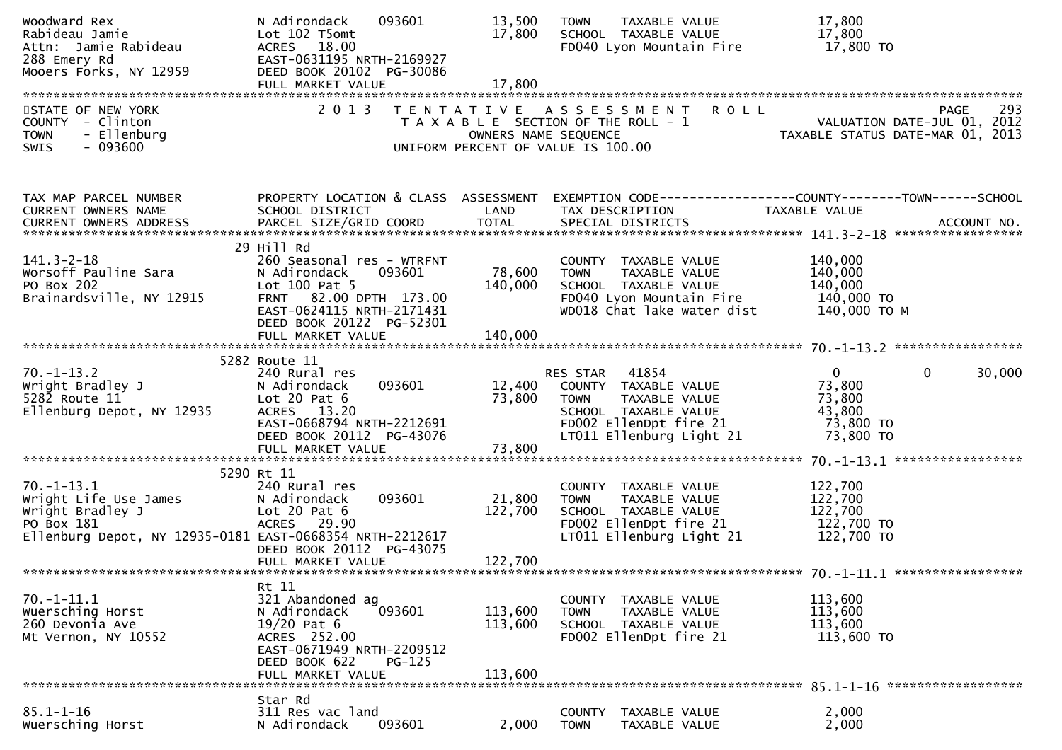| Woodward Rex<br>Rabideau Jamie<br>Attn: Jamie Rabideau<br>288 Emery Rd<br>Mooers Forks, NY 12959                                        | N Adirondack<br>093601<br>Lot 102 T5omt<br>ACRES 18.00<br>EAST-0631195 NRTH-2169927<br>DEED BOOK 20102 PG-30086                                                                              | 13,500<br>17,800                                           | TAXABLE VALUE<br><b>TOWN</b><br>SCHOOL TAXABLE VALUE<br>FD040 Lyon Mountain Fire                                                                     | 17,800<br>17,800<br>17,800 TO                                                              |
|-----------------------------------------------------------------------------------------------------------------------------------------|----------------------------------------------------------------------------------------------------------------------------------------------------------------------------------------------|------------------------------------------------------------|------------------------------------------------------------------------------------------------------------------------------------------------------|--------------------------------------------------------------------------------------------|
|                                                                                                                                         |                                                                                                                                                                                              |                                                            |                                                                                                                                                      |                                                                                            |
| STATE OF NEW YORK<br>COUNTY - Clinton<br>- Ellenburg<br><b>TOWN</b><br>$-093600$<br><b>SWIS</b>                                         | 2 0 1 3                                                                                                                                                                                      | OWNERS NAME SEQUENCE<br>UNIFORM PERCENT OF VALUE IS 100.00 | <b>ROLL</b><br>TENTATIVE ASSESSMENT<br>T A X A B L E SECTION OF THE ROLL - 1                                                                         | 293<br>PAGE<br>PAGE 293<br>VALUATION DATE-JUL 01, 2012<br>TAXABLE STATUS DATE-MAR 01, 2013 |
| TAX MAP PARCEL NUMBER<br>CURRENT OWNERS NAME                                                                                            | PROPERTY LOCATION & CLASS ASSESSMENT<br>SCHOOL DISTRICT                                                                                                                                      | LAND                                                       | TAX DESCRIPTION                                                                                                                                      | EXEMPTION CODE-----------------COUNTY--------TOWN------SCHOOL<br>TAXABLE VALUE             |
| $141.3 - 2 - 18$<br>Worsoff Pauline Sara<br>PO Box 202<br>Brainardsville, NY 12915                                                      | 29 Hill Rd<br>260 Seasonal res - WTRFNT<br>N Adirondack<br>093601<br>Lot $100$ Pat 5<br>FRNT 82.00 DPTH 173.00<br>EAST-0624115 NRTH-2171431<br>DEED BOOK 20122 PG-52301<br>FULL MARKET VALUE | 78,600<br>140,000<br>140,000                               | COUNTY TAXABLE VALUE<br><b>TOWN</b><br>TAXABLE VALUE<br>SCHOOL TAXABLE VALUE<br>FD040 Lyon Mountain Fire<br>WD018 Chat lake water dist               | 140,000<br>140,000<br>140,000<br>140,000 TO<br>140,000 ТО М                                |
|                                                                                                                                         |                                                                                                                                                                                              |                                                            |                                                                                                                                                      |                                                                                            |
| $70. - 1 - 13.2$<br>Wright Bradley J<br>5282 Route 11<br>Ellenburg Depot, NY 12935                                                      | 5282 Route 11<br>240 Rural res<br>N Adirondack<br>093601<br>Lot $20$ Pat $6$<br>ACRES 13.20<br>EAST-0668794 NRTH-2212691<br>DEED BOOK 20112 PG-43076                                         | 12,400<br>73,800                                           | RES STAR 41854<br>COUNTY TAXABLE VALUE<br><b>TOWN</b><br>TAXABLE VALUE<br>SCHOOL TAXABLE VALUE<br>FD002 EllenDpt fire 21<br>LT011 Ellenburg Light 21 | $\mathbf 0$<br>$\Omega$<br>30,000<br>73,800<br>73,800<br>43,800<br>73,800 TO<br>73,800 TO  |
|                                                                                                                                         | 5290 Rt 11                                                                                                                                                                                   |                                                            |                                                                                                                                                      |                                                                                            |
| $70. - 1 - 13.1$<br>Wright Life Use James<br>Wright Bradley J<br>PO Box 181<br>Ellenburg Depot, NY 12935-0181 EAST-0668354 NRTH-2212617 | 240 Rural res<br>093601<br>N Adirondack<br>Lot $20$ Pat $6$<br>ACRES 29.90<br>DEED BOOK 20112 PG-43075                                                                                       | 21,800<br>122,700                                          | COUNTY TAXABLE VALUE<br><b>TOWN</b><br>TAXABLE VALUE<br>SCHOOL TAXABLE VALUE<br>FD002 EllenDpt fire 21<br>LT011 Ellenburg Light 21                   | 122,700<br>122,700<br>122,700<br>122,700 TO<br>122,700 TO                                  |
|                                                                                                                                         |                                                                                                                                                                                              |                                                            |                                                                                                                                                      |                                                                                            |
| $70. - 1 - 11.1$<br>Wuersching Horst<br>260 Devonia Ave<br>Mt Vernon, NY 10552                                                          | Rt 11<br>321 Abandoned ag<br>N Adirondack<br>093601<br>$19/20$ Pat 6<br>ACRES 252.00<br>EAST-0671949 NRTH-2209512<br>DEED BOOK 622<br>$PG-125$<br>FULL MARKET VALUE                          | 113,600<br>113,600<br>113,600                              | COUNTY TAXABLE VALUE<br><b>TOWN</b><br>TAXABLE VALUE<br>SCHOOL TAXABLE VALUE<br>FD002 EllenDpt fire 21                                               | 113,600<br>113,600<br>113,600<br>113,600 TO                                                |
|                                                                                                                                         |                                                                                                                                                                                              |                                                            |                                                                                                                                                      |                                                                                            |
| $85.1 - 1 - 16$<br>Wuersching Horst                                                                                                     | Star Rd<br>311 Res vac land<br>093601<br>N Adirondack                                                                                                                                        | 2,000                                                      | <b>COUNTY</b><br>TAXABLE VALUE<br>TAXABLE VALUE<br><b>TOWN</b>                                                                                       | 2,000<br>2,000                                                                             |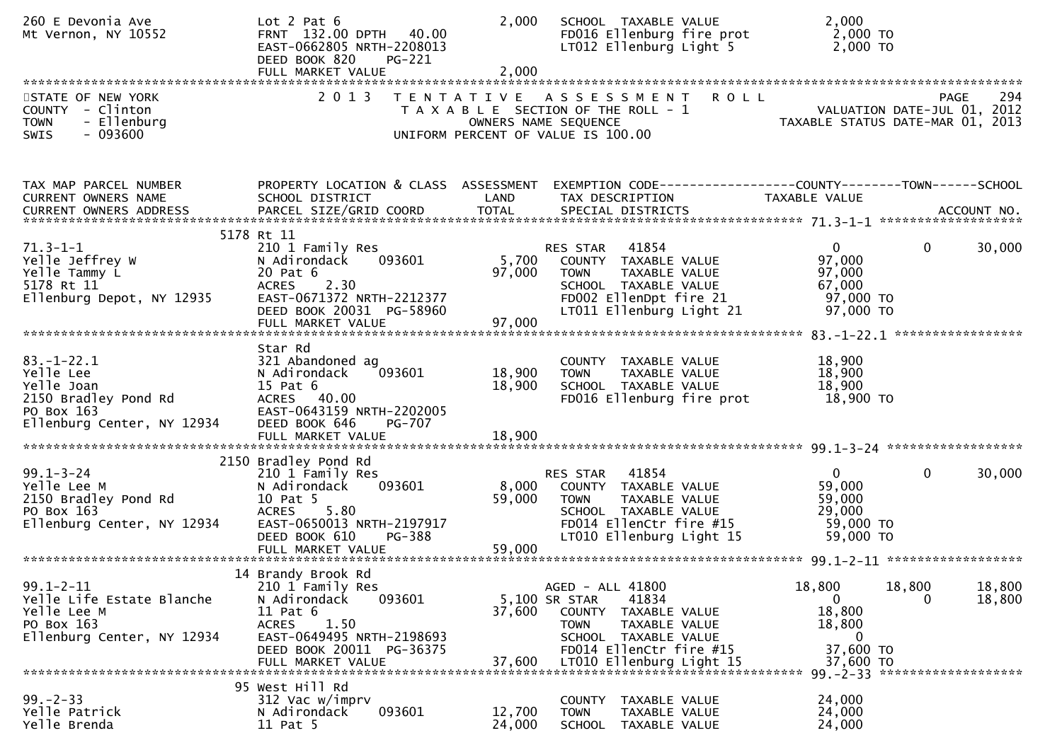| 260 E Devonia Ave<br>Mt Vernon, NY 10552        | Lot $2$ Pat $6$<br>FRNT 132.00 DPTH 40.00<br>EAST-0662805 NRTH-2208013<br>DEED BOOK 820<br>PG-221<br>FULL MARKET VALUE | 2,000<br>2,000  | SCHOOL TAXABLE VALUE<br>FD016 Ellenburg fire prot<br>LT012 Ellenburg Light 5      | 2,000<br>2,000 TO<br>2,000 TO                                         |        |
|-------------------------------------------------|------------------------------------------------------------------------------------------------------------------------|-----------------|-----------------------------------------------------------------------------------|-----------------------------------------------------------------------|--------|
| STATE OF NEW YORK<br>COUNTY - Clinton           | 2 0 1 3                                                                                                                |                 | TENTATIVE ASSESSMENT<br>T A X A B L E SECTION OF THE ROLL - 1                     | PAGE 294<br>VALUATION DATE-JUL 01, 2012<br>TAXABLE STATUS DATE USE 21 |        |
| - Ellenburg<br><b>TOWN</b><br>$-093600$<br>SWIS |                                                                                                                        |                 | OWNERS NAME SEQUENCE<br>UNIFORM PERCENT OF VALUE IS 100.00                        |                                                                       |        |
| TAX MAP PARCEL NUMBER<br>CURRENT OWNERS NAME    | PROPERTY LOCATION & CLASS ASSESSMENT<br>SCHOOL DISTRICT                                                                | LAND            | EXEMPTION CODE------------------COUNTY--------TOWN------SCHOOL<br>TAX DESCRIPTION | <b>TAXABLE VALUE</b>                                                  |        |
|                                                 | 5178 Rt 11                                                                                                             |                 |                                                                                   |                                                                       |        |
| $71.3 - 1 - 1$                                  | 210 1 Family Res                                                                                                       |                 | RES STAR 41854                                                                    | $\overline{0}$<br>$\mathbf{0}$                                        | 30,000 |
| Yelle Jeffrey W<br>Yelle Tammy L                | 093601<br>N Adirondack<br>20 Pat 6                                                                                     | 5,700<br>97,000 | COUNTY TAXABLE VALUE<br><b>TOWN</b><br>TAXABLE VALUE                              | 97,000<br>97,000                                                      |        |
| 5178 Rt 11                                      | ACRES 2.30                                                                                                             |                 | SCHOOL TAXABLE VALUE                                                              | 67,000                                                                |        |
| Ellenburg Depot, NY 12935                       | EAST-0671372 NRTH-2212377<br>DEED BOOK 20031 PG-58960                                                                  |                 | FD002 EllenDpt fire 21<br>LT011 Ellenburg Light 21                                | 97,000 TO<br>97,000 TO                                                |        |
|                                                 | FULL MARKET VALUE                                                                                                      | 97,000          |                                                                                   |                                                                       |        |
|                                                 | Star Rd                                                                                                                |                 |                                                                                   |                                                                       |        |
| $83. - 1 - 22.1$                                | 321 Abandoned ag                                                                                                       |                 | COUNTY TAXABLE VALUE                                                              | 18,900                                                                |        |
| Yelle Lee                                       | 093601<br>N Adirondack                                                                                                 | 18,900          | TAXABLE VALUE<br><b>TOWN</b>                                                      | 18,900                                                                |        |
| Yelle Joan<br>2150 Bradley Pond Rd              | 15 Pat 6<br>ACRES 40.00                                                                                                | 18,900          | SCHOOL TAXABLE VALUE<br>FD016 Ellenburg fire prot                                 | 18,900<br>18,900 TO                                                   |        |
| PO Box 163                                      | EAST-0643159 NRTH-2202005                                                                                              |                 |                                                                                   |                                                                       |        |
| Ellenburg Center, NY 12934                      | DEED BOOK 646<br>PG-707<br>FULL MARKET VALUE                                                                           | 18,900          |                                                                                   |                                                                       |        |
|                                                 |                                                                                                                        |                 |                                                                                   |                                                                       |        |
| $99.1 - 3 - 24$                                 | 2150 Bradley Pond Rd                                                                                                   |                 | RES STAR 41854                                                                    | $\overline{0}$<br>$\mathbf{0}$                                        | 30,000 |
| Yelle Lee M                                     | 210 1 Family Res<br>093601<br>N Adirondack                                                                             | 8,000           | COUNTY TAXABLE VALUE                                                              | 59,000                                                                |        |
| 2150 Bradley Pond Rd                            | 10 Pat 5                                                                                                               | 59,000          | <b>TOWN</b><br>TAXABLE VALUE                                                      | 59,000                                                                |        |
| PO Box 163<br>Ellenburg Center, NY 12934        | ACRES 5.80<br>EAST-0650013 NRTH-2197917                                                                                |                 | SCHOOL TAXABLE VALUE<br>FD014 EllenCtr fire #15                                   | 29,000<br>59,000 TO                                                   |        |
|                                                 | DEED BOOK 610<br><b>PG-388</b>                                                                                         |                 | LT010 Ellenburg Light 15                                                          | 59,000 TO                                                             |        |
|                                                 | FULL MARKET VALUE                                                                                                      | 59,000          |                                                                                   |                                                                       |        |
|                                                 | 14 Brandy Brook Rd                                                                                                     |                 |                                                                                   |                                                                       |        |
| $99.1 - 2 - 11$                                 | 210 1 Family Res                                                                                                       |                 | AGED - ALL 41800                                                                  | 18,800<br>18,800                                                      | 18,800 |
| Yelle Life Estate Blanche<br>Yelle Lee M        | 093601<br>N Adirondack<br>$11$ Pat $6$                                                                                 | 37,600          | 5,100 SR STAR<br>41834<br>COUNTY TAXABLE VALUE                                    | $\mathbf{0}$<br>0<br>18,800                                           | 18,800 |
| PO Box 163                                      | <b>ACRES</b><br>1.50                                                                                                   |                 | <b>TOWN</b><br>TAXABLE VALUE                                                      | 18,800                                                                |        |
| Ellenburg Center, NY 12934                      | EAST-0649495 NRTH-2198693<br>DEED BOOK 20011 PG-36375                                                                  |                 | SCHOOL TAXABLE VALUE<br>FD014 EllenCtr fire #15                                   | $\Omega$<br>37,600 TO                                                 |        |
|                                                 | FULL MARKET VALUE                                                                                                      | 37,600          | LT010 Ellenburg Light 15                                                          | 37,600 TO                                                             |        |
|                                                 | 95 West Hill Rd                                                                                                        |                 |                                                                                   | 99. - 2 - 33 ********************                                     |        |
| $99 - 2 - 33$                                   | 312 Vac w/imprv                                                                                                        |                 | <b>COUNTY</b><br>TAXABLE VALUE                                                    | 24,000                                                                |        |
| Yelle Patrick                                   | 093601<br>N Adirondack                                                                                                 | 12,700          | <b>TOWN</b><br>TAXABLE VALUE                                                      | 24,000                                                                |        |
| Yelle Brenda                                    | 11 Pat 5                                                                                                               | 24,000          | SCHOOL TAXABLE VALUE                                                              | 24,000                                                                |        |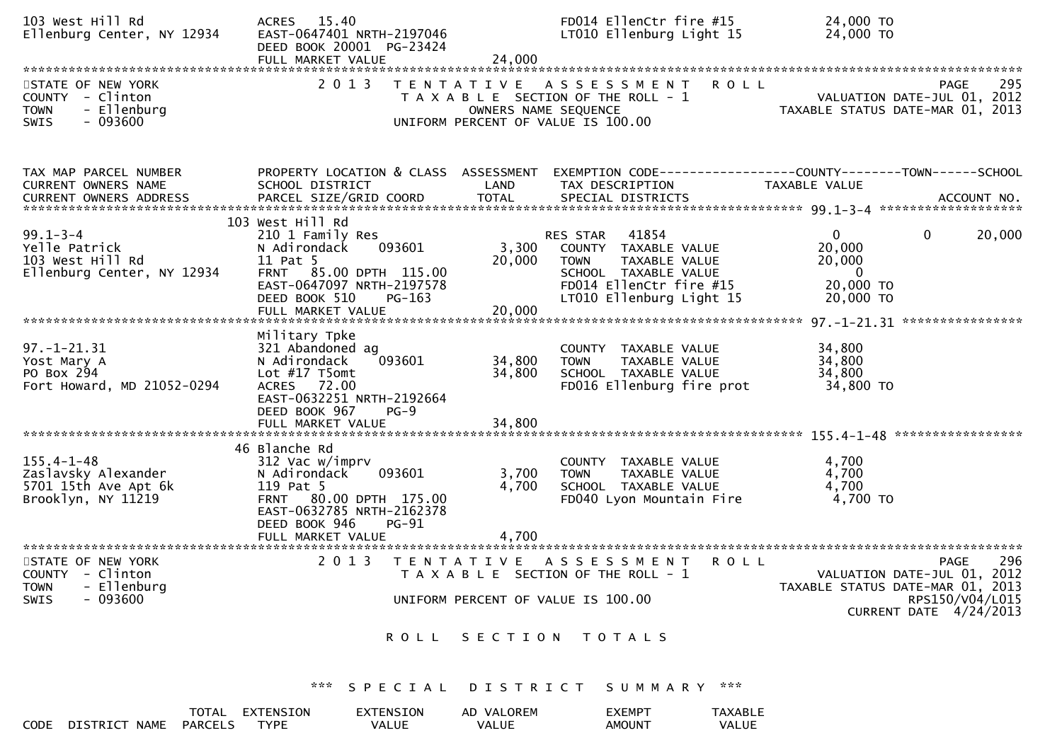| 103 West Hill Rd<br>Ellenburg Center, NY 12934                                           | ACRES 15.40<br>EAST-0647401 NRTH-2197046<br>DEED BOOK 20001 PG-23424<br>FULL MARKET VALUE                                                                                  | 24,000                                                     | FD014 EllenCtr fire #15<br>LT010 Ellenburg Light 15                                                                                                   | 24,000 TO<br>24,000 TO                                                                |                                                                                                                                    |
|------------------------------------------------------------------------------------------|----------------------------------------------------------------------------------------------------------------------------------------------------------------------------|------------------------------------------------------------|-------------------------------------------------------------------------------------------------------------------------------------------------------|---------------------------------------------------------------------------------------|------------------------------------------------------------------------------------------------------------------------------------|
| STATE OF NEW YORK<br>COUNTY - Clinton<br>- Ellenburg<br><b>TOWN</b><br>$-093600$<br>SWIS | 2 0 1 3                                                                                                                                                                    | OWNERS NAME SEQUENCE<br>UNIFORM PERCENT OF VALUE IS 100.00 | TENTATIVE ASSESSMENT<br>T A X A B L E SECTION OF THE ROLL - 1                                                                                         | ROLL<br>VALUATION DATE-JUL 01, 2012<br>TAXABLE STATUS DATE-MAR 01, 2013               | 295<br><b>PAGE</b>                                                                                                                 |
| TAX MAP PARCEL NUMBER<br>CURRENT OWNERS NAME                                             | PROPERTY LOCATION & CLASS ASSESSMENT<br>SCHOOL DISTRICT                                                                                                                    | LAND                                                       | TAX DESCRIPTION                                                                                                                                       | EXEMPTION CODE-----------------COUNTY-------TOWN------SCHOOL<br>TAXABLE VALUE         |                                                                                                                                    |
| $99.1 - 3 - 4$<br>Yelle Patrick<br>103 West Hill Rd<br>Ellenburg Center, NY 12934        | 103 West Hill Rd<br>210 1 Family Res<br>093601<br>N Adirondack<br>11 Pat 5<br>FRNT 85.00 DPTH 115.00<br>EAST-0647097 NRTH-2197578<br>DEED BOOK 510<br>PG-163               | 3,300<br>20,000                                            | RES STAR 41854<br>COUNTY TAXABLE VALUE<br>TAXABLE VALUE<br><b>TOWN</b><br>SCHOOL TAXABLE VALUE<br>FD014 EllenCtr fire #15<br>LT010 Ellenburg Light 15 | $\mathbf{0}$<br>20,000<br>20,000<br>$\overline{\mathbf{0}}$<br>20,000 TO<br>20,000 TO | 20,000<br>$\overline{0}$                                                                                                           |
| $97. - 1 - 21.31$<br>Yost Mary A<br>PO Box 294<br>Fort Howard, MD 21052-0294             | Military Tpke<br>321 Abandoned ag<br>093601<br>N Adirondack<br>Lot $#17$ T5omt<br>ACRES 72.00<br>EAST-0632251 NRTH-2192664<br>DEED BOOK 967<br>$PG-9$<br>FULL MARKET VALUE | 34,800<br>34,800<br>34,800                                 | COUNTY TAXABLE VALUE<br><b>TOWN</b><br>TAXABLE VALUE<br>SCHOOL TAXABLE VALUE<br>FD016 Ellenburg fire prot                                             | 34,800<br>34,800<br>34,800<br>34,800 TO                                               |                                                                                                                                    |
| $155.4 - 1 - 48$<br>Zaslavsky Alexander<br>5701 15th Ave Apt 6k<br>Brooklyn, NY 11219    | 46 Blanche Rd<br>312 Vac w/imprv<br>N Adirondack<br>093601<br>119 Pat 5<br>FRNT 80.00 DPTH 175.00<br>EAST-0632785 NRTH-2162378<br>DEED BOOK 946<br><b>PG-91</b>            | 3,700<br>4,700<br>4,700                                    | COUNTY TAXABLE VALUE<br>TAXABLE VALUE<br><b>TOWN</b><br>SCHOOL TAXABLE VALUE<br>FD040 Lyon Mountain Fire                                              | 4,700<br>4,700<br>4,700<br>4,700 TO                                                   |                                                                                                                                    |
| STATE OF NEW YORK<br>COUNTY - Clinton<br>- Ellenburg<br><b>TOWN</b><br>$-093600$<br>SWIS | 2 0 1 3                                                                                                                                                                    | UNIFORM PERCENT OF VALUE IS 100.00                         | TENTATIVE ASSESSMENT<br>T A X A B L E SECTION OF THE ROLL - 1                                                                                         | <b>ROLL</b>                                                                           | 296<br><b>PAGE</b><br>VALUATION DATE-JUL 01, 2012<br>TAXABLE STATUS DATE-MAR 01, 2013<br>RPS150/V04/L015<br>CURRENT DATE 4/24/2013 |
|                                                                                          |                                                                                                                                                                            | ROLL SECTION TOTALS                                        |                                                                                                                                                       |                                                                                       |                                                                                                                                    |
|                                                                                          | ***<br>SPECIAL                                                                                                                                                             |                                                            | DISTRICT SUMMARY ***                                                                                                                                  |                                                                                       |                                                                                                                                    |
| TOTAL EXTENSION<br>CODE DISTRICT NAME PARCELS                                            | EXTENSION<br><b>TYPE</b><br>VALUE                                                                                                                                          | AD VALOREM<br>VALUE                                        | <b>EXEMPT</b><br><b>AMOUNT</b>                                                                                                                        | <b>TAXABLE</b><br>VALUE                                                               |                                                                                                                                    |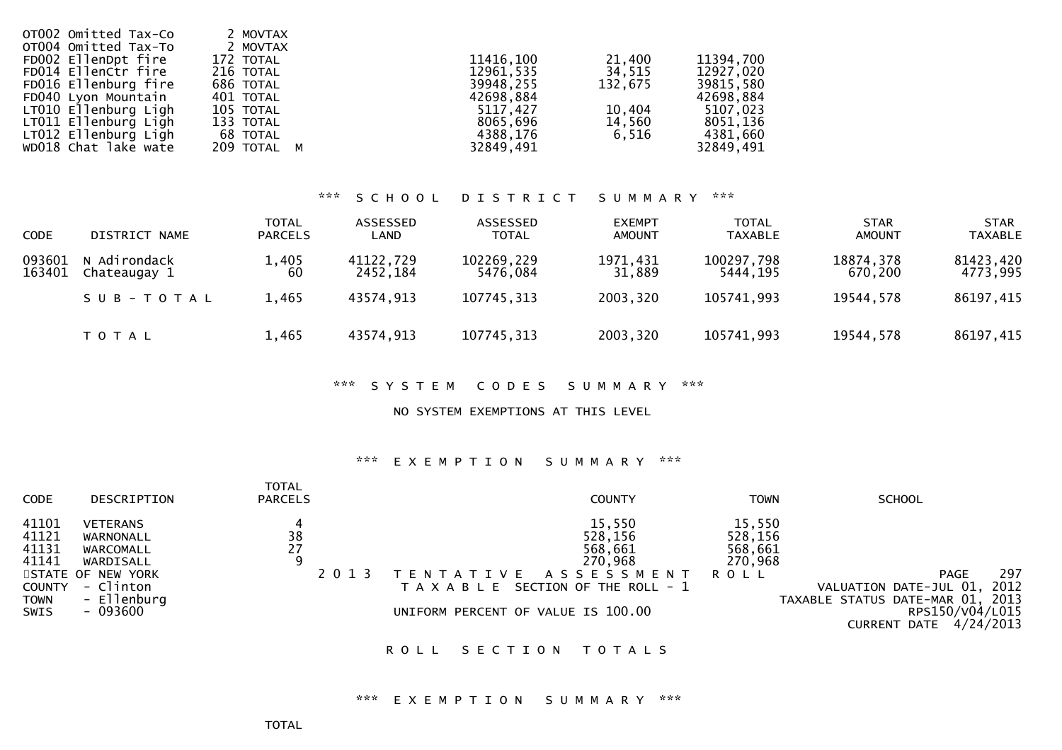| OT002 Omitted Tax-Co<br>OT004 Omitted Tax-To<br>FD002 EllenDpt fire<br>FD014 EllenCtr fire<br>FD016 Ellenburg fire<br>FD040 Lyon Mountain<br>LT010 Ellenburg Ligh<br>LT011 Ellenburg Ligh<br>LT012 Ellenburg Ligh | 2 MOVTAX<br>2 MOVTAX<br>172 TOTAL<br>216 TOTAL<br>686 TOTAL<br>401 TOTAL<br>105 TOTAL<br>133 TOTAL<br>68 TOTAL | 11416,100<br>12961,535<br>39948,255<br>42698,884<br>5117.427<br>8065,696<br>4388,176 | 21,400<br>34,515<br>132.675<br>10,404<br>14,560<br>6.516 | 11394,700<br>12927,020<br>39815,580<br>42698,884<br>5107,023<br>8051,136<br>4381,660 |
|-------------------------------------------------------------------------------------------------------------------------------------------------------------------------------------------------------------------|----------------------------------------------------------------------------------------------------------------|--------------------------------------------------------------------------------------|----------------------------------------------------------|--------------------------------------------------------------------------------------|
| WD018 Chat lake wate                                                                                                                                                                                              | 209 TOTAL M                                                                                                    | 32849,491                                                                            |                                                          | 32849,491                                                                            |

## \*\*\* S C H O O L D I S T R I C T S U M M A R Y \*\*\*

| <b>CODE</b>      | DISTRICT NAME                | <b>TOTAL</b><br><b>PARCELS</b> | ASSESSED<br>LAND      | ASSESSED<br><b>TOTAL</b> | <b>EXEMPT</b><br><b>AMOUNT</b> | <b>TOTAL</b><br>TAXABLE | <b>STAR</b><br><b>AMOUNT</b> | <b>STAR</b><br><b>TAXABLE</b> |
|------------------|------------------------------|--------------------------------|-----------------------|--------------------------|--------------------------------|-------------------------|------------------------------|-------------------------------|
| 093601<br>163401 | N Adirondack<br>Chateaugay 1 | 1,405<br>60                    | 41122,729<br>2452.184 | 102269,229<br>5476.084   | 1971,431<br>31,889             | 100297,798<br>5444.195  | 18874,378<br>670.200         | 81423,420<br>4773,995         |
|                  | SUB-TOTAL                    | 1,465                          | 43574,913             | 107745,313               | 2003,320                       | 105741,993              | 19544,578                    | 86197,415                     |
|                  | <b>TOTAL</b>                 | 1,465                          | 43574,913             | 107745,313               | 2003,320                       | 105741,993              | 19544,578                    | 86197,415                     |

\*\*\* S Y S T E M C O D E S S U M M A R Y \*\*\*

NO SYSTEM EXEMPTIONS AT THIS LEVEL

#### \*\*\* E X E M P T I O N S U M M A R Y \*\*\*

| <b>CODE</b>                                                              | DESCRIPTION                                                                                                         | <b>TOTAL</b><br><b>PARCELS</b> |                                               | <b>COUNTY</b>                                                                                            | <b>TOWN</b>                                        | <b>SCHOOL</b>                                                                                                                  |
|--------------------------------------------------------------------------|---------------------------------------------------------------------------------------------------------------------|--------------------------------|-----------------------------------------------|----------------------------------------------------------------------------------------------------------|----------------------------------------------------|--------------------------------------------------------------------------------------------------------------------------------|
| 41101<br>41121<br>41131<br>41141<br><b>COUNTY</b><br><b>TOWN</b><br>SWIS | <b>VETERANS</b><br>WARNONALL<br>WARCOMALL<br>WARDISALL<br>STATE OF NEW YORK<br>- Clinton<br>- Ellenburg<br>- 093600 | $\frac{38}{27}$<br>9           | 2 0 1 3<br>UNIFORM PERCENT OF VALUE IS 100.00 | 15,550<br>528,156<br>568,661<br>270,968<br>TENTATIVE ASSESSMENT<br>T A X A B L E SECTION OF THE ROLL - 1 | 15,550<br>528,156<br>568,661<br>270,968<br>R O L L | 297<br>PAGE<br>2012<br>VALUATION DATE-JUL 01,<br>TAXABLE STATUS DATE-MAR 01, 2013<br>RPS150/V04/L015<br>CURRENT DATE 4/24/2013 |

ROLL SECTION TOTALS

\*\*\* E X E M P T I O N S U M M A R Y \*\*\*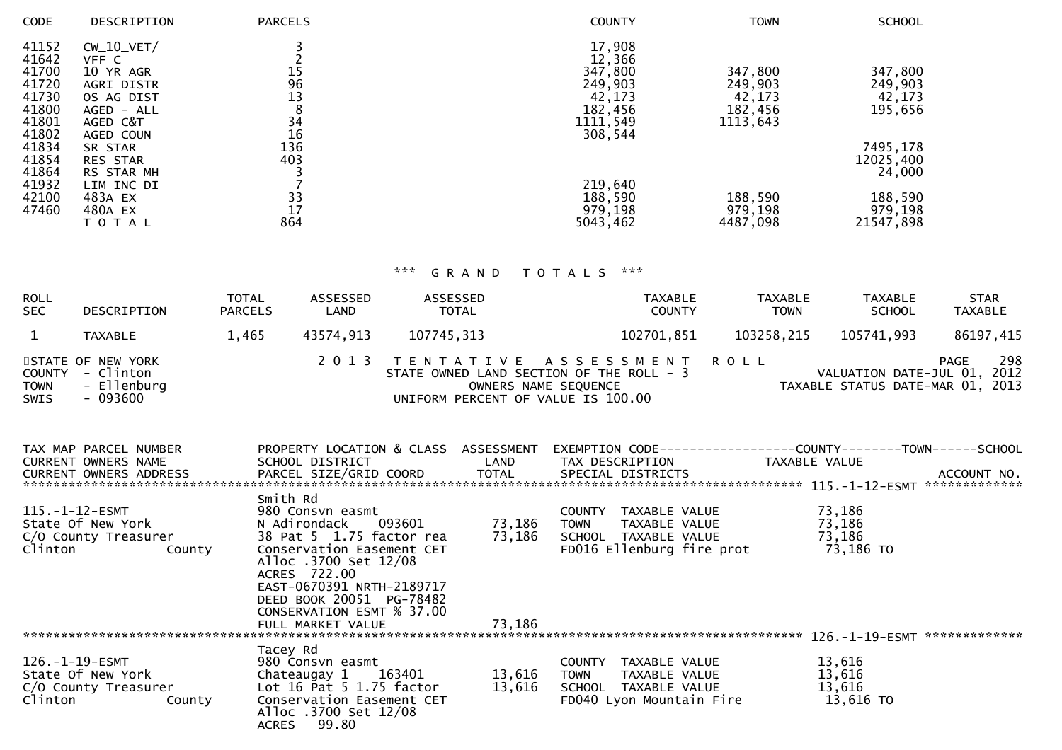| <b>DESCRIPTION</b>    | <b>PARCELS</b> | <b>COUNTY</b>                                             | <b>TOWN</b>                                                               | <b>SCHOOL</b>                                                  |
|-----------------------|----------------|-----------------------------------------------------------|---------------------------------------------------------------------------|----------------------------------------------------------------|
| $CW_10_VET/$<br>VFF C |                | 17,908<br>12,366                                          |                                                                           |                                                                |
| 10 YR AGR             |                |                                                           |                                                                           | 347,800                                                        |
|                       |                |                                                           |                                                                           | 249,903                                                        |
| OS AG DIST            |                |                                                           |                                                                           | 42,173                                                         |
| AGED - ALL            |                |                                                           |                                                                           | 195,656                                                        |
| AGED C&T              |                |                                                           |                                                                           |                                                                |
| AGED COUN             |                |                                                           |                                                                           |                                                                |
| SR STAR               |                |                                                           |                                                                           | 7495,178                                                       |
| <b>RES STAR</b>       | 403            |                                                           |                                                                           | 12025,400                                                      |
| RS STAR MH            |                |                                                           |                                                                           | 24,000                                                         |
| LIM INC DI            |                | 219,640                                                   |                                                                           |                                                                |
| 483A EX               |                | 188,590                                                   | 188,590                                                                   | 188,590                                                        |
| 480A EX               |                |                                                           |                                                                           | 979,198                                                        |
| T O T A L             | 864            | 5043,462                                                  | 4487,098                                                                  | 21547,898                                                      |
|                       | AGRI DISTR     | $\frac{15}{96}$<br>13<br>8<br>34<br>16<br>136<br>33<br>17 | 347,800<br>249,903<br>42,173<br>182,456<br>1111,549<br>308,544<br>979,198 | 347,800<br>249,903<br>42,173<br>182,456<br>1113,643<br>979,198 |

| <b>ROLL</b><br><b>SEC</b> | DESCRIPTION                                                      | <b>TOTAL</b><br><b>PARCELS</b> | ASSESSED<br>LAND | ASSESSED<br><b>TOTAL</b>                                                       | <b>TAXABLE</b><br><b>COUNTY</b>                        | <b>TAXABLE</b><br><b>TOWN</b> | <b>TAXABLE</b><br><b>SCHOOL</b>                                 | <b>STAR</b><br><b>TAXABLE</b> |
|---------------------------|------------------------------------------------------------------|--------------------------------|------------------|--------------------------------------------------------------------------------|--------------------------------------------------------|-------------------------------|-----------------------------------------------------------------|-------------------------------|
|                           | TAXABLE                                                          | 1.465                          | 43574.913        | 107745,313                                                                     | 102701,851                                             | 103258,215                    | 105741.993                                                      | 86197,415                     |
| <b>TOWN</b><br>SWIS       | STATE OF NEW YORK<br>COUNTY - Clinton<br>- Ellenburg<br>- 093600 |                                |                  | STATE OWNED LAND SECTION OF THE ROLL - 3<br>UNIFORM PERCENT OF VALUE IS 100.00 | 2013 TENTATIVE ASSESSMENT ROLL<br>OWNERS NAME SEQUENCE |                               | VALUATION DATE-JUL 01, 2012<br>TAXABLE STATUS DATE-MAR 01, 2013 | 298<br>PAGE                   |

| TAX MAP PARCEL NUMBER  | PROPERTY LOCATION & CLASS ASSESSMENT |        | EXEMPTION CODE-----------------COUNTY-------TOWN------SCHOOL |                                 |
|------------------------|--------------------------------------|--------|--------------------------------------------------------------|---------------------------------|
| CURRENT OWNERS NAME    | SCHOOL DISTRICT                      | LAND   | TAX DESCRIPTION                                              | TAXABLE VALUE                   |
| CURRENT OWNERS ADDRESS | PARCEL SIZE/GRID COORD               | TOTAL  | SPECIAL DISTRICTS                                            | ACCOUNT NO.<br>*************    |
|                        | Smith Rd                             |        |                                                              |                                 |
| 115.-1-12-ESMT         | 980 Consvn easmt                     |        | TAXABLE VALUE<br>COUNTY                                      | 73,186                          |
| State Of New York      | N Adirondack 093601                  | 73,186 | <b>TOWN</b><br>TAXABLE VALUE                                 | 73,186                          |
| C/O County Treasurer   | 38 Pat 5 1.75 factor rea             | 73,186 | SCHOOL TAXABLE VALUE                                         | 73,186                          |
| Clinton<br>County      | Conservation Easement CET            |        | FD016 Ellenburg fire prot                                    | 73,186 TO                       |
|                        | Alloc .3700 Set 12/08                |        |                                                              |                                 |
|                        | ACRES 722.00                         |        |                                                              |                                 |
|                        | EAST-0670391 NRTH-2189717            |        |                                                              |                                 |
|                        | DEED BOOK 20051 PG-78482             |        |                                                              |                                 |
|                        | CONSERVATION ESMT % 37.00            |        |                                                              |                                 |
|                        | FULL MARKET VALUE                    | 73,186 |                                                              |                                 |
|                        |                                      |        |                                                              | *************<br>126.–1–19–ESMT |
|                        | Tacey Rd                             |        |                                                              |                                 |
| 126.-1-19-ESMT         | 980 Consvn easmt                     |        | COUNTY<br>TAXABLE VALUE                                      | 13,616                          |
| State Of New York      | 163401<br>Chateaugay 1               | 13,616 | <b>TOWN</b><br>TAXABLE VALUE                                 | 13,616                          |
| C/O County Treasurer   | Lot $16$ Pat 5 1.75 factor           | 13,616 | SCHOOL<br>TAXABLE VALUE                                      | 13,616                          |
| Clinton<br>County      | Conservation Easement CET            |        | FD040 Lyon Mountain Fire                                     | 13,616 TO                       |
|                        | Alloc .3700 Set 12/08                |        |                                                              |                                 |
|                        | 99.80<br><b>ACRES</b>                |        |                                                              |                                 |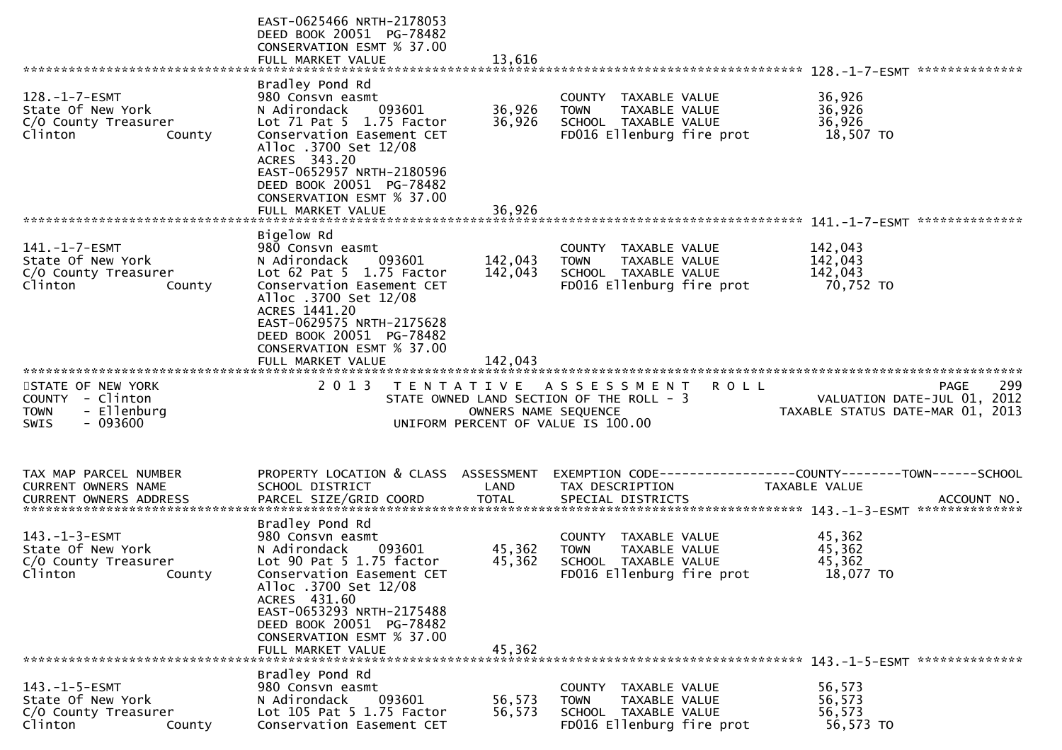|                                                                                         | EAST-0625466 NRTH-2178053<br>DEED BOOK 20051 PG-78482<br>CONSERVATION ESMT % 37.00<br>FULL MARKET VALUE                                                                                                                                                                    | 13.616                     |                                                                                                           |                                            |
|-----------------------------------------------------------------------------------------|----------------------------------------------------------------------------------------------------------------------------------------------------------------------------------------------------------------------------------------------------------------------------|----------------------------|-----------------------------------------------------------------------------------------------------------|--------------------------------------------|
|                                                                                         |                                                                                                                                                                                                                                                                            |                            |                                                                                                           |                                            |
| $128. - 1 - 7 - ESMT$<br>State Of New York<br>C/O County Treasurer<br>Clinton<br>County | Bradley Pond Rd<br>980 Consvn easmt<br>N Adirondack<br>093601<br>Lot $71$ Pat $5$ $1.75$ Factor<br>Conservation Easement CET<br>Alloc .3700 Set 12/08<br>ACRES 343.20<br>EAST-0652957 NRTH-2180596                                                                         | 36,926<br>36,926           | COUNTY TAXABLE VALUE<br>TAXABLE VALUE<br><b>TOWN</b><br>SCHOOL TAXABLE VALUE<br>FD016 Ellenburg fire prot | 36,926<br>36,926<br>36,926<br>18,507 TO    |
|                                                                                         | DEED BOOK 20051 PG-78482<br>CONSERVATION ESMT % 37.00<br>FULL MARKET VALUE                                                                                                                                                                                                 | 36.926                     |                                                                                                           |                                            |
| 141.-1-7-ESMT<br>State Of New York<br>C/O County Treasurer<br>Clinton<br>County         | Bigelow Rd<br>980 Consvn easmt<br>N Adirondack<br>093601<br>Lot 62 Pat 5 1.75 Factor<br>Conservation Easement CET<br>Alloc .3700 Set 12/08                                                                                                                                 | 142,043<br>142,043         | COUNTY TAXABLE VALUE<br>TAXABLE VALUE<br><b>TOWN</b><br>SCHOOL TAXABLE VALUE<br>FD016 Ellenburg fire prot | 142,043<br>142,043<br>142,043<br>70,752 TO |
|                                                                                         | ACRES 1441.20<br>EAST-0629575 NRTH-2175628<br>DEED BOOK 20051 PG-78482<br>CONSERVATION ESMT % 37.00<br>FULL MARKET VALUE                                                                                                                                                   | 142,043                    |                                                                                                           |                                            |
| STATE OF NEW YORK<br>COUNTY - Clinton<br>- Ellenburg<br><b>TOWN</b>                     | 2 0 1 3                                                                                                                                                                                                                                                                    | T E N T A T I V E          | A S S E S S M E N T<br>R O L L<br>STATE OWNED LAND SECTION OF THE ROLL - 3                                | 299<br>PAGE<br>VALUATION DATE-JUL 01, 2012 |
| $-093600$<br><b>SWIS</b>                                                                |                                                                                                                                                                                                                                                                            |                            | OWNERS NAME SEQUENCE<br>UNIFORM PERCENT OF VALUE IS 100.00                                                | TAXABLE STATUS DATE-MAR 01, 2013           |
| TAX MAP PARCEL NUMBER<br>CURRENT OWNERS NAME<br><b>CURRENT OWNERS ADDRESS</b>           | PROPERTY LOCATION & CLASS ASSESSMENT<br>SCHOOL DISTRICT<br>PARCEL SIZE/GRID COORD                                                                                                                                                                                          | LAND<br><b>TOTAL</b>       | TAX DESCRIPTION<br>SPECIAL DISTRICTS                                                                      | TAXABLE VALUE<br>ACCOUNT NO.               |
| $143. - 1 - 3 - ESMT$<br>State Of New York<br>C/O County Treasurer<br>Clinton<br>County | Bradley Pond Rd<br>980 Consvn easmt<br>093601<br>N Adirondack<br>Lot 90 Pat 5 1.75 factor<br>Conservation Easement CET<br>Alloc .3700 Set 12/08<br>ACRES 431.60<br>EAST-0653293 NRTH-2175488<br>DEED BOOK 20051 PG-78482<br>CONSERVATION ESMT % 37.00<br>FULL MARKET VALUE | 45,362<br>45,362<br>45,362 | COUNTY TAXABLE VALUE<br><b>TOWN</b><br>TAXABLE VALUE<br>SCHOOL TAXABLE VALUE<br>FD016 Ellenburg fire prot | 45,362<br>45,362<br>45,362<br>18,077 TO    |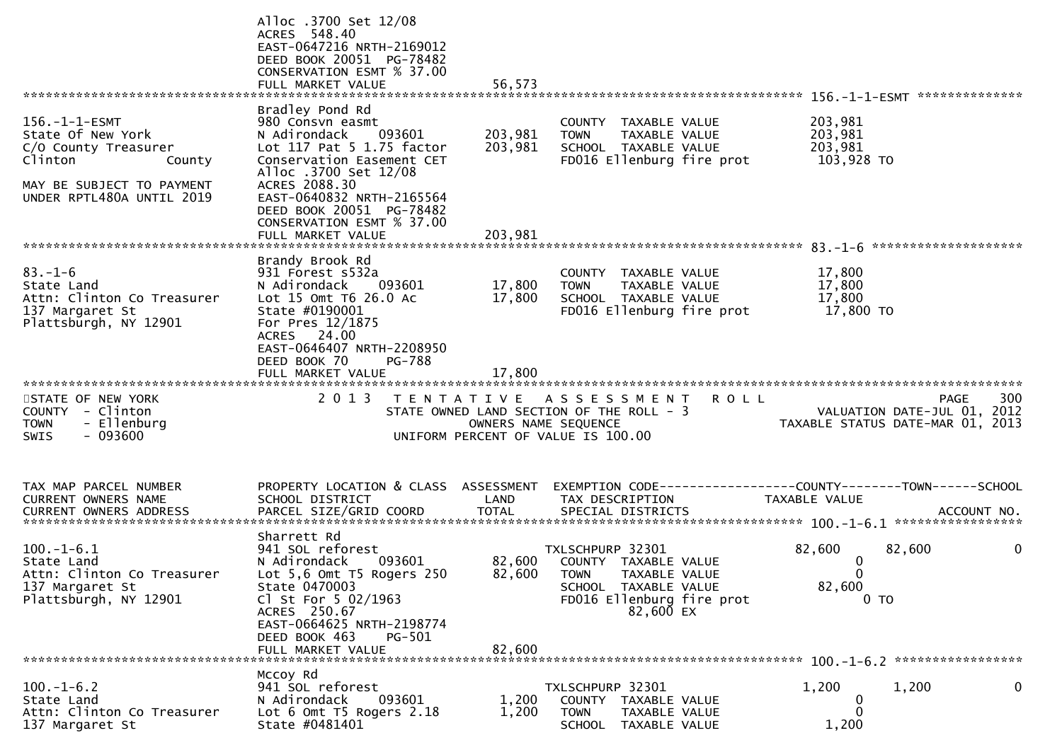|                                                                                                                                                   | Alloc .3700 Set 12/08<br>ACRES 548.40<br>EAST-0647216 NRTH-2169012<br>DEED BOOK 20051 PG-78482<br>CONSERVATION ESMT % 37.00<br>FULL MARKET VALUE                                                                                                                             | 56,573                        |                                                                                                                                                |             |                                              |                                                                                       |
|---------------------------------------------------------------------------------------------------------------------------------------------------|------------------------------------------------------------------------------------------------------------------------------------------------------------------------------------------------------------------------------------------------------------------------------|-------------------------------|------------------------------------------------------------------------------------------------------------------------------------------------|-------------|----------------------------------------------|---------------------------------------------------------------------------------------|
| $156. - 1 - 1 - ESMT$<br>State Of New York<br>C/O County Treasurer<br>Clinton<br>County<br>MAY BE SUBJECT TO PAYMENT<br>UNDER RPTL480A UNTIL 2019 | Bradley Pond Rd<br>980 Consvn easmt<br>N Adirondack<br>093601<br>Lot 117 Pat 5 1.75 factor<br>Conservation Easement CET<br>Alloc .3700 Set 12/08<br>ACRES 2088.30<br>EAST-0640832 NRTH-2165564<br>DEED BOOK 20051 PG-78482<br>CONSERVATION ESMT % 37.00<br>FULL MARKET VALUE | 203,981<br>203,981<br>203,981 | COUNTY TAXABLE VALUE<br>TAXABLE VALUE<br><b>TOWN</b><br>SCHOOL TAXABLE VALUE<br>FD016 Ellenburg fire prot                                      |             | 203,981<br>203,981<br>203,981<br>103,928 TO  |                                                                                       |
|                                                                                                                                                   |                                                                                                                                                                                                                                                                              |                               |                                                                                                                                                |             |                                              |                                                                                       |
| $83. - 1 - 6$<br>State Land<br>Attn: Clinton Co Treasurer<br>137 Margaret St<br>Plattsburgh, NY 12901                                             | Brandy Brook Rd<br>931 Forest s532a<br>N Adirondack<br>093601<br>Lot 15 Omt T6 26.0 Ac<br>State #0190001<br>For Pres 12/1875<br>ACRES 24.00<br>EAST-0646407 NRTH-2208950<br>DEED BOOK 70<br>PG-788                                                                           | 17,800<br>17,800              | COUNTY TAXABLE VALUE<br><b>TOWN</b><br>TAXABLE VALUE<br>SCHOOL TAXABLE VALUE<br>FD016 Ellenburg fire prot                                      |             | 17,800<br>17,800<br>17,800<br>17,800 TO      |                                                                                       |
|                                                                                                                                                   | FULL MARKET VALUE                                                                                                                                                                                                                                                            | 17,800                        |                                                                                                                                                |             |                                              |                                                                                       |
| STATE OF NEW YORK<br>COUNTY - Clinton<br>- Ellenburg<br><b>TOWN</b><br>$-093600$<br>SWIS                                                          | 2 0 1 3<br>T E N T A T I V E                                                                                                                                                                                                                                                 |                               | A S S E S S M E N T<br>STATE OWNED LAND SECTION OF THE ROLL - 3<br>OWNERS NAME SEQUENCE<br>UNIFORM PERCENT OF VALUE IS 100.00                  | <b>ROLL</b> |                                              | 300<br><b>PAGE</b><br>VALUATION DATE-JUL 01, 2012<br>TAXABLE STATUS DATE-MAR 01, 2013 |
| TAX MAP PARCEL NUMBER<br>CURRENT OWNERS NAME<br>CURRENT OWNERS ADDRESS                                                                            | PROPERTY LOCATION & CLASS ASSESSMENT<br>SCHOOL DISTRICT<br>PARCEL SIZE/GRID COORD                                                                                                                                                                                            | LAND<br><b>TOTAL</b>          | EXEMPTION        CODE-----------------COUNTY-------TOWN------SCHOOL<br>TAX DESCRIPTION<br>SPECIAL DISTRICTS                                    |             | TAXABLE VALUE                                | ACCOUNT NO.                                                                           |
| $100.-1-6.1$<br>State Land<br>Attn: Clinton Co Treasurer<br>137 Margaret St<br>Plattsburgh, NY 12901                                              | Sharrett Rd<br>941 SOL reforest<br>N Adirondack<br>093601<br>Lot 5,6 Omt T5 Rogers 250<br>State 0470003<br>Cl St For $5$ 02/1963<br>ACRES 250.67<br>EAST-0664625 NRTH-2198774<br>DEED BOOK 463<br>PG-501<br>FULL MARKET VALUE                                                | 82,600                        | TXLSCHPURP 32301<br>82,600 COUNTY TAXABLE VALUE<br>82,600 TOWN TAXABLE VALUE<br>SCHOOL TAXABLE VALUE<br>FD016 Ellenburg fire prot<br>82,600 EX |             | 82,600<br>0<br>0<br>82,600<br>0 <sub>T</sub> | 82,600<br>0                                                                           |
|                                                                                                                                                   | Mccoy Rd                                                                                                                                                                                                                                                                     |                               |                                                                                                                                                |             |                                              |                                                                                       |
| $100.-1-6.2$<br>State Land<br>Attn: Clinton Co Treasurer<br>137 Margaret St                                                                       | 941 SOL reforest<br>N Adirondack<br>093601<br>Lot 6 Omt T5 Rogers 2.18<br>State #0481401                                                                                                                                                                                     | 1,200<br>1,200                | TXLSCHPURP 32301<br>COUNTY TAXABLE VALUE<br><b>TOWN</b><br>TAXABLE VALUE<br>SCHOOL TAXABLE VALUE                                               |             | 1,200<br>$\bf{0}$<br>$\Omega$<br>1,200       | $\mathbf{0}$<br>1,200                                                                 |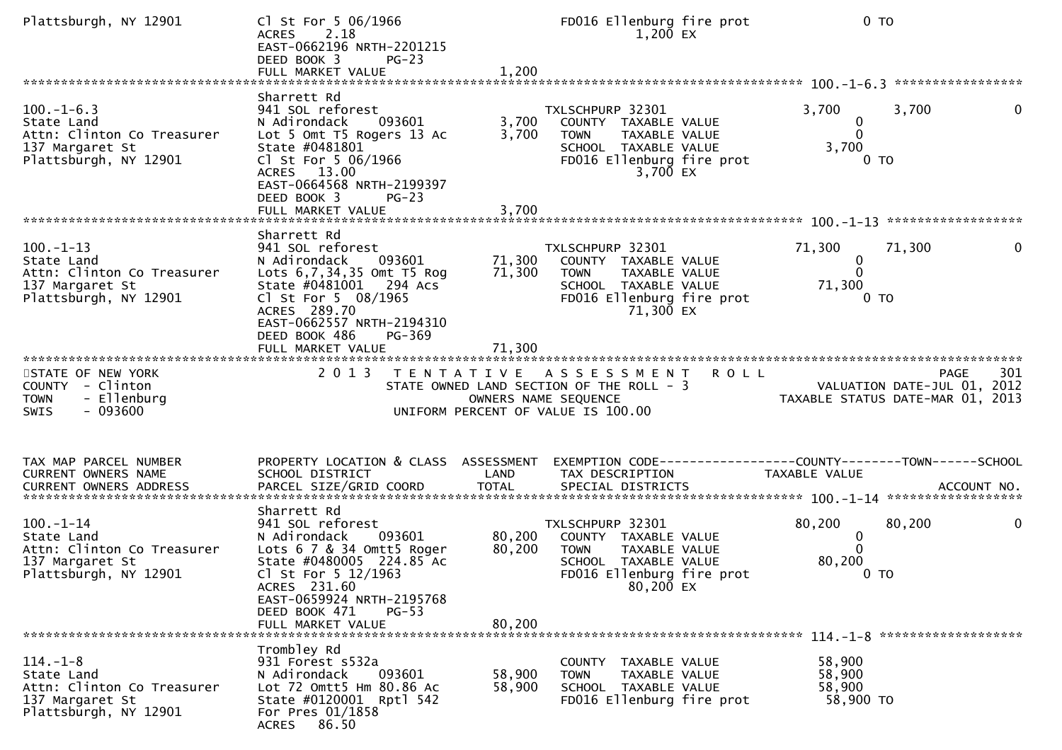| Plattsburgh, NY 12901                                                                                   | Cl St For 5 06/1966<br><b>ACRES</b><br>2.18<br>EAST-0662196 NRTH-2201215<br>DEED BOOK 3<br>$PG-23$<br>FULL MARKET VALUE                                                                                                                 | 1,200                      | FD016 Ellenburg fire prot<br>1,200 EX                                                                                                      | $0$ TO                                                                         |
|---------------------------------------------------------------------------------------------------------|-----------------------------------------------------------------------------------------------------------------------------------------------------------------------------------------------------------------------------------------|----------------------------|--------------------------------------------------------------------------------------------------------------------------------------------|--------------------------------------------------------------------------------|
| $100.-1-6.3$<br>State Land<br>Attn: Clinton Co Treasurer<br>137 Margaret St<br>Plattsburgh, NY 12901    | Sharrett Rd<br>941 SOL reforest<br>093601<br>N Adirondack<br>Lot 5 Omt T5 Rogers 13 Ac<br>State #0481801<br>Cl St For 5 06/1966<br>ACRES 13.00<br>EAST-0664568 NRTH-2199397<br>DEED BOOK 3<br>$PG-23$                                   | 3,700<br>3,700             | TXLSCHPURP 32301<br>COUNTY TAXABLE VALUE<br><b>TOWN</b><br>TAXABLE VALUE<br>SCHOOL TAXABLE VALUE<br>FD016 Ellenburg fire prot<br>3,700 EX  | $\mathbf{0}$<br>3,700<br>3,700<br>0<br>$\mathbf{0}$<br>3,700<br>0 <sub>T</sub> |
| $100. -1 - 13$<br>State Land<br>Attn: Clinton Co Treasurer<br>137 Margaret St<br>Plattsburgh, NY 12901  | Sharrett Rd<br>941 SOL reforest<br>N Adirondack<br>093601<br>Lots 6,7,34,35 Omt T5 Rog<br>State #0481001 294 Acs<br>Cl St For 5 08/1965<br>ACRES 289.70<br>EAST-0662557 NRTH-2194310<br>DEED BOOK 486<br>PG-369<br>FULL MARKET VALUE    | 71,300<br>71,300<br>71,300 | TXLSCHPURP 32301<br>COUNTY TAXABLE VALUE<br><b>TOWN</b><br>TAXABLE VALUE<br>SCHOOL TAXABLE VALUE<br>FD016 Ellenburg fire prot<br>71,300 EX | 71,300<br>71,300<br>0<br>0<br>0<br>71,300<br>0 <sub>T</sub>                    |
| STATE OF NEW YORK<br>COUNTY - Clinton<br><b>TOWN</b><br>- Ellenburg<br>$-093600$<br>SWIS                | 2013 TENTATIVE ASSESSMENT ROLL                                                                                                                                                                                                          |                            | STATE OWNED LAND SECTION OF THE ROLL - 3<br>OWNERS NAME SEQUENCE<br>UNIFORM PERCENT OF VALUE IS 100.00                                     | 301<br>PAGE<br>VALUATION DATE-JUL 01, 2012<br>TAXABLE STATUS DATE-MAR 01, 2013 |
| TAX MAP PARCEL NUMBER<br>CURRENT OWNERS NAME                                                            | PROPERTY LOCATION & CLASS ASSESSMENT<br>SCHOOL DISTRICT                                                                                                                                                                                 | LAND                       | TAX DESCRIPTION                                                                                                                            | EXEMPTION CODE-----------------COUNTY-------TOWN------SCHOOL<br>TAXABLE VALUE  |
| $100. - 1 - 14$<br>State Land<br>Attn: Clinton Co Treasurer<br>137 Margaret St<br>Plattsburgh, NY 12901 | Sharrett Rd<br>941 SOL reforest<br>093601<br>N Adirondack<br>Lots 6 7 & 34 Omtt5 Roger<br>State #0480005 224.85 Ac<br>Cl St For 5 12/1963<br>ACRES 231.60<br>EAST-0659924 NRTH-2195768<br>DEED BOOK 471<br>$PG-53$<br>FULL MARKET VALUE | 80,200<br>80,200<br>80,200 | TXLSCHPURP 32301<br>COUNTY TAXABLE VALUE<br><b>TOWN</b><br>TAXABLE VALUE<br>SCHOOL TAXABLE VALUE<br>FD016 Ellenburg fire prot<br>80,200 EX | 80,200<br>80,200<br>0<br>0<br>$\Omega$<br>80,200<br>0 <sub>T</sub>             |
| $114. - 1 - 8$<br>State Land<br>Attn: Clinton Co Treasurer<br>137 Margaret St<br>Plattsburgh, NY 12901  | Trombley Rd<br>931 Forest s532a<br>N Adirondack<br>093601<br>Lot 72 Omtt5 Hm 80.86 Ac<br>State #0120001 Rptl 542<br>For Pres 01/1858<br>ACRES 86.50                                                                                     | 58,900<br>58,900           | COUNTY TAXABLE VALUE<br>TAXABLE VALUE<br><b>TOWN</b><br>SCHOOL TAXABLE VALUE<br>FD016 Ellenburg fire prot                                  | 58,900<br>58,900<br>58,900<br>58,900 TO                                        |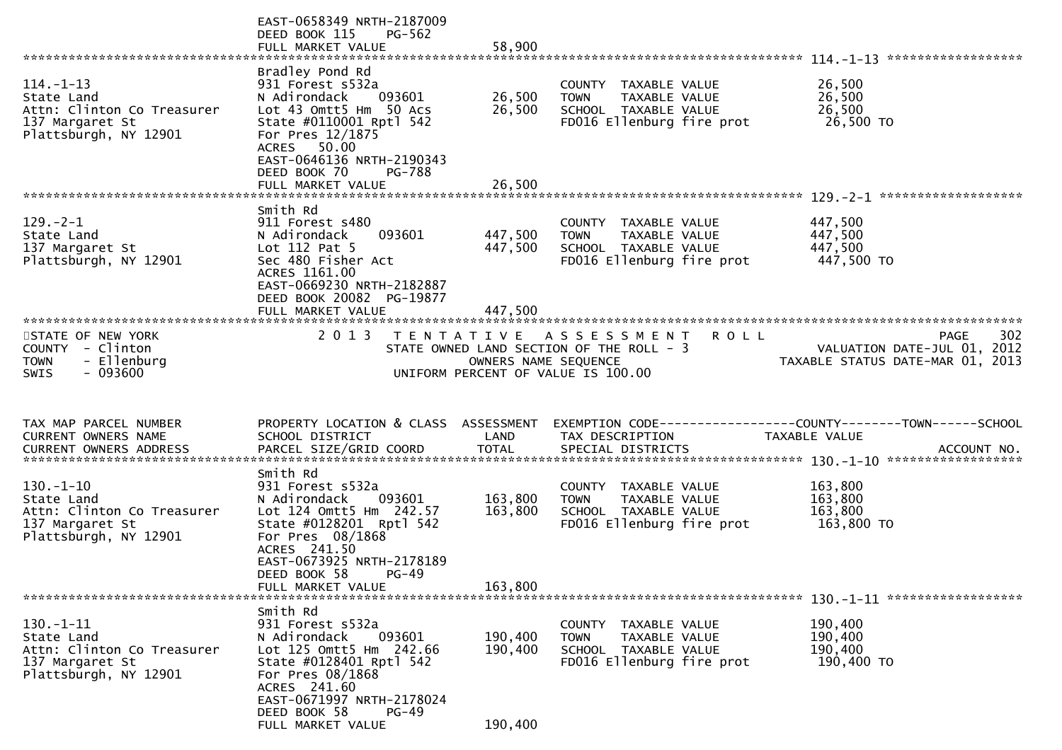|                                                                                                         | EAST-0658349 NRTH-2187009<br>DEED BOOK 115<br><b>PG-562</b><br>FULL MARKET VALUE                                                                                                                                         | 58,900                        |                                                                                                                       |                                                                                      |     |
|---------------------------------------------------------------------------------------------------------|--------------------------------------------------------------------------------------------------------------------------------------------------------------------------------------------------------------------------|-------------------------------|-----------------------------------------------------------------------------------------------------------------------|--------------------------------------------------------------------------------------|-----|
| $114. - 1 - 13$<br>State Land<br>Attn: Clinton Co Treasurer<br>137 Margaret St<br>Plattsburgh, NY 12901 | Bradley Pond Rd<br>931 Forest s532a<br>093601<br>N Adirondack<br>Lot 43 Omtt5 Hm 50 Acs<br>State #0110001 Rptl 542<br>For Pres 12/1875<br>ACRES 50.00<br>EAST-0646136 NRTH-2190343<br>DEED BOOK 70<br>PG-788             | 26,500<br>26,500              | COUNTY TAXABLE VALUE<br><b>TOWN</b><br>TAXABLE VALUE<br>SCHOOL TAXABLE VALUE<br>FD016 Ellenburg fire prot             | 26,500<br>26,500<br>26,500<br>26,500 TO                                              |     |
|                                                                                                         |                                                                                                                                                                                                                          |                               |                                                                                                                       |                                                                                      |     |
| $129. - 2 - 1$<br>State Land<br>137 Margaret St<br>Plattsburgh, NY 12901                                | Smith Rd<br>911 Forest s480<br>093601<br>N Adirondack<br>Lot 112 Pat 5<br>Sec 480 Fisher Act<br>ACRES 1161.00<br>EAST-0669230 NRTH-2182887<br>DEED BOOK 20082 PG-19877<br>FULL MARKET VALUE                              | 447,500<br>447,500<br>447,500 | COUNTY TAXABLE VALUE<br>TAXABLE VALUE<br><b>TOWN</b><br>SCHOOL TAXABLE VALUE<br>FD016 Ellenburg fire prot             | 447,500<br>447,500<br>447,500<br>447,500 TO                                          |     |
| STATE OF NEW YORK<br>COUNTY - Clinton<br>- Ellenburg<br><b>TOWN</b><br>$-093600$<br><b>SWIS</b>         | 2 0 1 3                                                                                                                                                                                                                  | OWNERS NAME SEQUENCE          | TENTATIVE ASSESSMENT<br><b>ROLL</b><br>STATE OWNED LAND SECTION OF THE ROLL - 3<br>UNIFORM PERCENT OF VALUE IS 100.00 | PAGE<br>VALUATION DATE-JUL 01, 2012<br>TAXABLE STATUS DATE-MAR 01, 2013              | 302 |
| TAX MAP PARCEL NUMBER<br>CURRENT OWNERS NAME                                                            | PROPERTY LOCATION & CLASS ASSESSMENT<br>SCHOOL DISTRICT                                                                                                                                                                  | LAND                          | TAX DESCRIPTION                                                                                                       | EXEMPTION        CODE-----------------COUNTY-------TOWN------SCHOOL<br>TAXABLE VALUE |     |
| $130.-1-10$<br>State Land<br>Attn: Clinton Co Treasurer<br>137 Margaret St<br>Plattsburgh, NY 12901     | Smith Rd<br>931 Forest s532a<br>N Adirondack<br>093601<br>Lot 124 Omtt5 Hm 242.57<br>State #0128201 Rptl 542<br>For Pres 08/1868<br>ACRES 241.50<br>EAST-0673925 NRTH-2178189<br>DEED BOOK 58 PG-49<br>FULL MARKET VALUE | 163,800<br>163,800<br>163,800 | COUNTY TAXABLE VALUE<br>TAXABLE VALUE<br><b>TOWN</b><br>SCHOOL TAXABLE VALUE<br>FD016 Ellenburg fire prot             | 163,800<br>163,800<br>163,800<br>163,800 TO                                          |     |
|                                                                                                         |                                                                                                                                                                                                                          |                               |                                                                                                                       |                                                                                      |     |
| $130.-1-11$<br>State Land<br>Attn: Clinton Co Treasurer<br>137 Margaret St<br>Plattsburgh, NY 12901     | Smith Rd<br>931 Forest s532a<br>N Adirondack<br>093601<br>Lot 125 Omtt5 Hm 242.66<br>State #0128401 Rptl 542<br>For Pres 08/1868<br>ACRES 241.60<br>EAST-0671997 NRTH-2178024                                            | 190,400<br>190,400            | COUNTY TAXABLE VALUE<br>TAXABLE VALUE<br><b>TOWN</b><br>SCHOOL TAXABLE VALUE<br>FD016 Ellenburg fire prot             | 190,400<br>190,400<br>190,400<br>190,400 TO                                          |     |
|                                                                                                         | DEED BOOK 58<br>$PG-49$<br>FULL MARKET VALUE                                                                                                                                                                             | 190,400                       |                                                                                                                       |                                                                                      |     |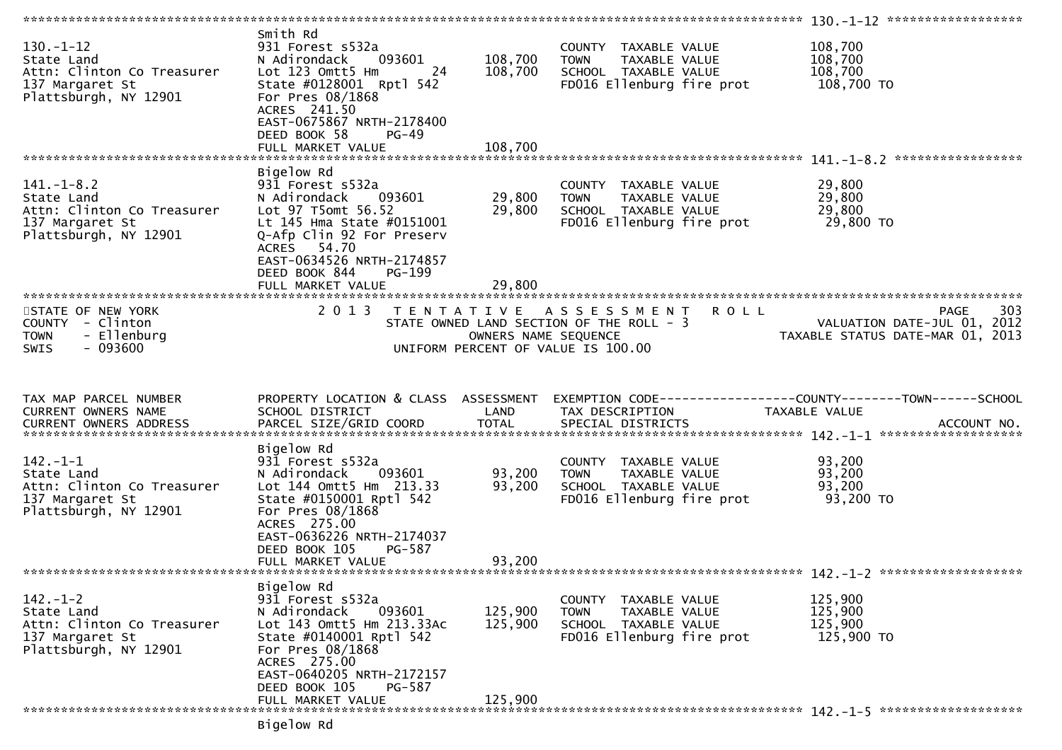| $130. - 1 - 12$<br>State Land<br>Attn: Clinton Co Treasurer<br>137 Margaret St<br>Plattsburgh, NY 12901  | Smith Rd<br>931 Forest s532a<br>093601<br>N Adirondack<br>Lot 123 Omtt5 Hm<br>24<br>State #0128001 Rptl 542<br>For Pres 08/1868<br>ACRES 241.50<br>EAST-0675867 NRTH-2178400<br>DEED BOOK 58<br>$PG-49$<br>FULL MARKET VALUE         | 108,700<br>108,700<br>108,700             | COUNTY TAXABLE VALUE<br><b>TOWN</b><br>TAXABLE VALUE<br>SCHOOL TAXABLE VALUE<br>FD016 Ellenburg fire prot            | 108,700<br>108,700<br>108,700<br>108,700 TO                                                  |
|----------------------------------------------------------------------------------------------------------|--------------------------------------------------------------------------------------------------------------------------------------------------------------------------------------------------------------------------------------|-------------------------------------------|----------------------------------------------------------------------------------------------------------------------|----------------------------------------------------------------------------------------------|
|                                                                                                          |                                                                                                                                                                                                                                      |                                           |                                                                                                                      |                                                                                              |
| $141. - 1 - 8.2$<br>State Land<br>Attn: Clinton Co Treasurer<br>137 Margaret St<br>Plattsburgh, NY 12901 | Bigelow Rd<br>931 Forest s532a<br>N Adirondack<br>093601<br>Lot 97 T5omt 56.52<br>Lt 145 Hma State #0151001<br>Q-Afp Clin 92 For Preserv<br>ACRES 54.70<br>EAST-0634526 NRTH-2174857<br>DEED BOOK 844<br>PG-199<br>FULL MARKET VALUE | 29,800<br>29,800<br>29,800                | COUNTY TAXABLE VALUE<br>TAXABLE VALUE<br><b>TOWN</b><br>SCHOOL TAXABLE VALUE<br>FD016 Ellenburg fire prot            | 29,800<br>29,800<br>29,800<br>29,800 TO                                                      |
|                                                                                                          |                                                                                                                                                                                                                                      |                                           |                                                                                                                      |                                                                                              |
| STATE OF NEW YORK<br>COUNTY - Clinton<br>- Ellenburg<br><b>TOWN</b><br>$-093600$<br>SWIS                 | 2 0 1 3                                                                                                                                                                                                                              | T E N T A T I V E<br>OWNERS NAME SEQUENCE | A S S E S S M E N T<br><b>ROLL</b><br>STATE OWNED LAND SECTION OF THE ROLL - 3<br>UNIFORM PERCENT OF VALUE IS 100.00 | 303<br><b>PAGE</b><br>VALUATION DATE-JUL 01, 2012<br>VALUATION DATE-MAR 01, 2013             |
|                                                                                                          |                                                                                                                                                                                                                                      |                                           |                                                                                                                      |                                                                                              |
| TAX MAP PARCEL NUMBER<br>CURRENT OWNERS NAME<br>CURRENT OWNERS ADDRESS                                   | PROPERTY LOCATION & CLASS ASSESSMENT<br>SCHOOL DISTRICT<br>PARCEL SIZE/GRID COORD                                                                                                                                                    | LAND<br><b>TOTAL</b>                      | TAX DESCRIPTION<br>SPECIAL DISTRICTS                                                                                 | EXEMPTION CODE-----------------COUNTY-------TOWN------SCHOOL<br>TAXABLE VALUE<br>ACCOUNT NO. |
| $142. - 1 - 1$<br>State Land<br>Attn: Clinton Co Treasurer<br>137 Margaret St<br>Plattsburgh, NY 12901   | Bigelow Rd<br>931 Forest s532a<br>N Adirondack<br>093601<br>Lot 144 Omtt5 Hm 213.33<br>State #0150001 Rptl 542<br>For Pres 08/1868<br>ACRES 275.00<br>EAST-0636226 NRTH-2174037<br>DEED BOOK 105<br>PG-587<br>FULL MARKET VALUE      | 93,200<br>93,200<br>93,200                | COUNTY TAXABLE VALUE<br>TAXABLE VALUE<br><b>TOWN</b><br>SCHOOL TAXABLE VALUE<br>FD016 Ellenburg fire prot            | 93,200<br>93,200<br>93,200<br>93,200 TO                                                      |
|                                                                                                          |                                                                                                                                                                                                                                      |                                           |                                                                                                                      |                                                                                              |
| $142. - 1 - 2$<br>State Land<br>Attn: Clinton Co Treasurer<br>137 Margaret St<br>Plattsburgh, NY 12901   | Bigelow Rd<br>931 Forest s532a<br>093601<br>N Adirondack<br>Lot 143 Omtt5 Hm 213.33Ac<br>State #0140001 Rptl 542<br>For Pres 08/1868<br>ACRES 275.00<br>EAST-0640205 NRTH-2172157<br>DEED BOOK 105<br>PG-587<br>FULL MARKET VALUE    | 125,900<br>125,900<br>125,900             | COUNTY TAXABLE VALUE<br>TAXABLE VALUE<br><b>TOWN</b><br>SCHOOL TAXABLE VALUE<br>FD016 Ellenburg fire prot            | 125,900<br>125,900<br>125,900<br>125,900 TO                                                  |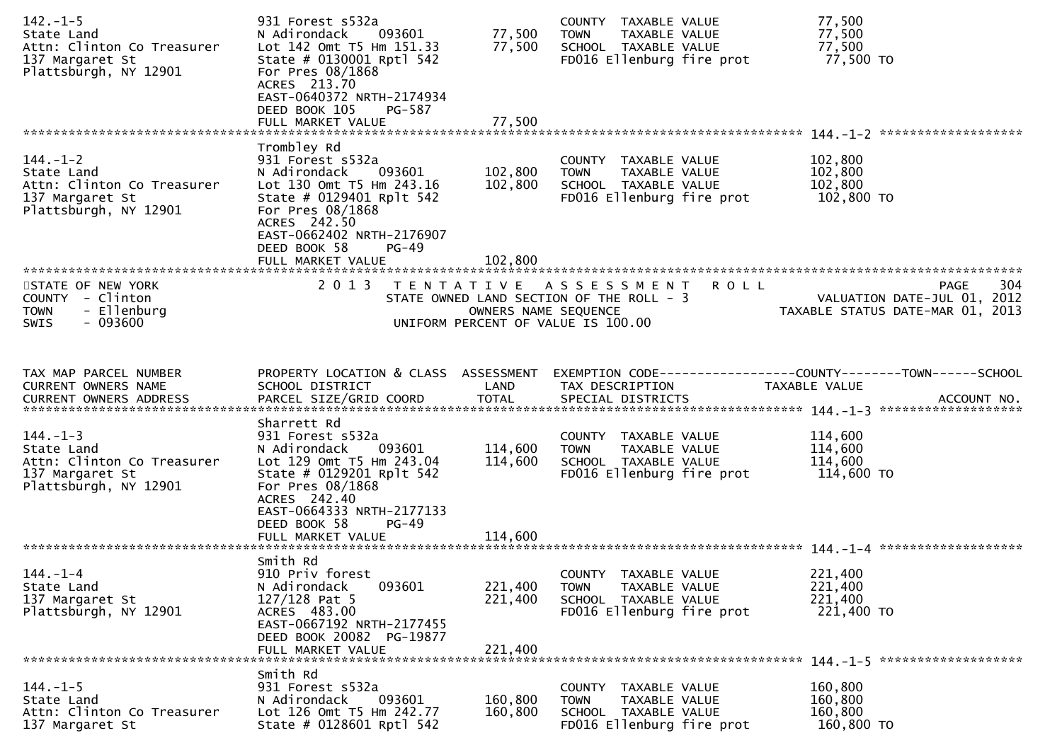| $142. - 1 - 5$<br>State Land<br>Attn: Clinton Co Treasurer<br>137 Margaret St<br>Plattsburgh, NY 12901 | 931 Forest s532a<br>N Adirondack<br>093601<br>Lot 142 Omt T5 Hm 151.33<br>State # 0130001 Rptl 542<br>For Pres 08/1868<br>ACRES 213.70<br>EAST-0640372 NRTH-2174934<br>DEED BOOK 105<br>PG-587                                     | 77,500<br>77,500              | COUNTY TAXABLE VALUE<br><b>TOWN</b><br>TAXABLE VALUE<br>SCHOOL TAXABLE VALUE<br>FD016 Ellenburg fire prot             | 77,500<br>77,500<br>77,500<br>77,500 TO                                                                       |
|--------------------------------------------------------------------------------------------------------|------------------------------------------------------------------------------------------------------------------------------------------------------------------------------------------------------------------------------------|-------------------------------|-----------------------------------------------------------------------------------------------------------------------|---------------------------------------------------------------------------------------------------------------|
|                                                                                                        | FULL MARKET VALUE                                                                                                                                                                                                                  | 77,500                        |                                                                                                                       |                                                                                                               |
| $144. - 1 - 2$<br>State Land<br>Attn: Clinton Co Treasurer<br>137 Margaret St<br>Plattsburgh, NY 12901 | Trombley Rd<br>931 Forest s532a<br>093601<br>N Adirondack<br>Lot 130 Omt T5 Hm 243.16<br>State # 0129401 Rplt 542<br>For Pres 08/1868<br>ACRES 242.50<br>EAST-0662402 NRTH-2176907<br>DEED BOOK 58<br>$PG-49$<br>FULL MARKET VALUE | 102,800<br>102,800<br>102,800 | COUNTY TAXABLE VALUE<br>TAXABLE VALUE<br><b>TOWN</b><br>SCHOOL TAXABLE VALUE<br>FD016 Ellenburg fire prot             | 102,800<br>102,800<br>102,800<br>102,800 TO                                                                   |
| STATE OF NEW YORK<br>COUNTY - Clinton<br>- Ellenburg<br><b>TOWN</b><br>$-093600$<br>SWIS               | 2013                                                                                                                                                                                                                               | OWNERS NAME SEQUENCE          | TENTATIVE ASSESSMENT<br><b>ROLL</b><br>STATE OWNED LAND SECTION OF THE ROLL - 3<br>UNIFORM PERCENT OF VALUE IS 100.00 | PAGE<br>304<br>VALUATION DATE-JUL 01, 2012<br>VALUATION DATE-JUL U1, ZUIZ<br>TAXABLE STATUS DATE-MAR 01, 2013 |
| TAX MAP PARCEL NUMBER<br>CURRENT OWNERS NAME<br><b>CURRENT OWNERS ADDRESS</b>                          | PROPERTY LOCATION & CLASS ASSESSMENT<br>SCHOOL DISTRICT<br>PARCEL SIZE/GRID COORD                                                                                                                                                  | LAND<br><b>TOTAL</b>          | TAX DESCRIPTION<br>SPECIAL DISTRICTS                                                                                  | EXEMPTION CODE-----------------COUNTY--------TOWN------SCHOOL<br>TAXABLE VALUE<br>ACCOUNT NO.                 |
| $144. - 1 - 3$<br>State Land<br>Attn: Clinton Co Treasurer<br>137 Margaret St<br>Plattsburgh, NY 12901 | Sharrett Rd<br>931 Forest s532a<br>N Adirondack<br>093601<br>Lot 129 Omt T5 Hm 243.04<br>State # 0129201 Rplt 542<br>For Pres 08/1868<br>ACRES 242.40<br>EAST-0664333 NRTH-2177133<br>DEED BOOK 58<br>$PG-49$                      | 114,600<br>114,600            | COUNTY TAXABLE VALUE<br>TAXABLE VALUE<br><b>TOWN</b><br>SCHOOL TAXABLE VALUE<br>FD016 Ellenburg fire prot             | 114,600<br>114,600<br>114,600<br>114,600 TO                                                                   |
|                                                                                                        |                                                                                                                                                                                                                                    |                               |                                                                                                                       |                                                                                                               |
| $144. - 1 - 4$<br>State Land<br>137 Margaret St<br>Plattsburgh, NY 12901                               | Smith Rd<br>910 Priv forest<br>093601<br>N Adirondack<br>$127/128$ Pat 5<br>ACRES 483.00<br>EAST-0667192 NRTH-2177455<br>DEED BOOK 20082 PG-19877<br>FULL MARKET VALUE                                                             | 221,400<br>221,400<br>221,400 | COUNTY TAXABLE VALUE<br>TAXABLE VALUE<br><b>TOWN</b><br>SCHOOL TAXABLE VALUE<br>FD016 Ellenburg fire prot             | 221,400<br>221,400<br>221,400<br>221,400 TO                                                                   |
| $144. - 1 - 5$<br>State Land<br>Attn: Clinton Co Treasurer<br>137 Margaret St                          | Smith Rd<br>931 Forest s532a<br>093601<br>N Adirondack<br>Lot 126 Omt T5 Hm 242.77<br>State # 0128601 Rptl 542                                                                                                                     | 160,800<br>160,800            | COUNTY TAXABLE VALUE<br>TAXABLE VALUE<br><b>TOWN</b><br>SCHOOL TAXABLE VALUE<br>FD016 Ellenburg fire prot             | 160,800<br>160,800<br>160,800<br>160,800 TO                                                                   |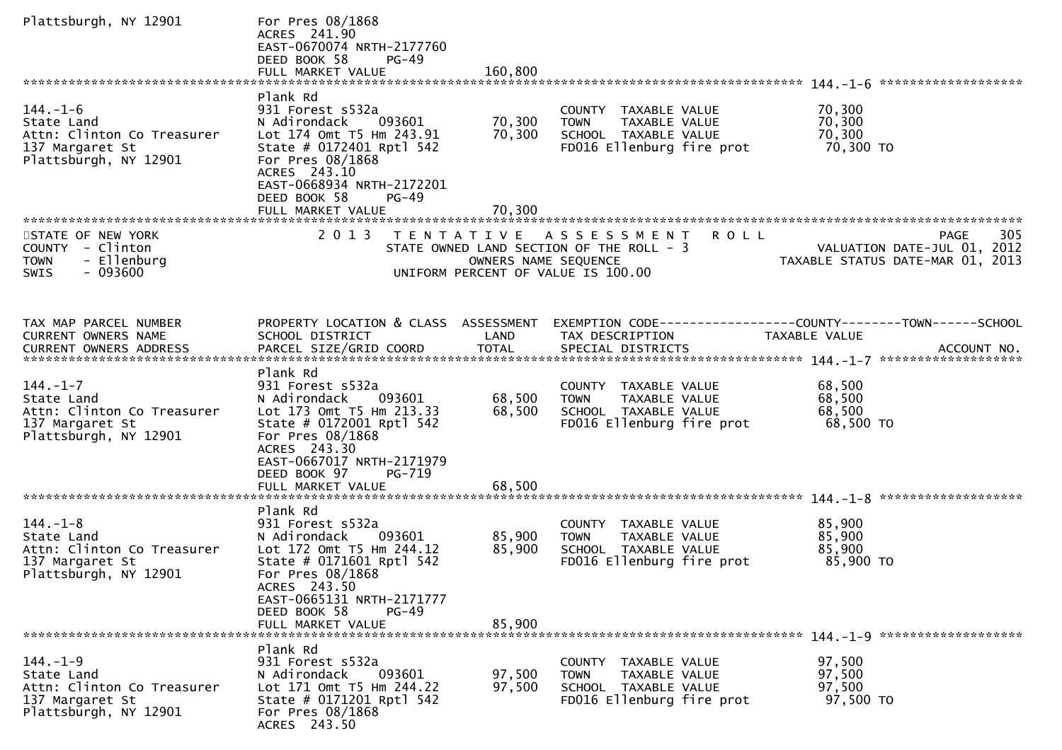| Plattsburgh, NY 12901                                                                                  | For Pres 08/1868<br>ACRES 241.90<br>EAST-0670074 NRTH-2177760<br>DEED BOOK 58<br>$PG-49$                                                                                                                   |                      |                                                                                                                      |                                                                                                |
|--------------------------------------------------------------------------------------------------------|------------------------------------------------------------------------------------------------------------------------------------------------------------------------------------------------------------|----------------------|----------------------------------------------------------------------------------------------------------------------|------------------------------------------------------------------------------------------------|
|                                                                                                        |                                                                                                                                                                                                            |                      |                                                                                                                      |                                                                                                |
| $144. - 1 - 6$<br>State Land<br>Attn: Clinton Co Treasurer<br>137 Margaret St<br>Plattsburgh, NY 12901 | Plank Rd<br>931 Forest s532a<br>093601<br>N Adirondack<br>Lot 174 Omt T5 Hm 243.91<br>State # 0172401 Rptl 542<br>For Pres 08/1868<br>ACRES 243.10<br>EAST-0668934 NRTH-2172201                            | 70,300<br>70,300     | COUNTY TAXABLE VALUE<br>TAXABLE VALUE<br><b>TOWN</b><br>SCHOOL TAXABLE VALUE<br>FD016 Ellenburg fire prot            | 70,300<br>70,300<br>70,300<br>70,300 TO                                                        |
|                                                                                                        | DEED BOOK 58<br>$PG-49$                                                                                                                                                                                    | 70,300               |                                                                                                                      |                                                                                                |
|                                                                                                        | FULL MARKET VALUE                                                                                                                                                                                          |                      |                                                                                                                      |                                                                                                |
| STATE OF NEW YORK<br>COUNTY - Clinton<br>- Ellenburg<br><b>TOWN</b><br>$-093600$<br><b>SWIS</b>        | 2 0 1 3<br>T E N T A T I V E                                                                                                                                                                               | OWNERS NAME SEQUENCE | A S S E S S M E N T<br><b>ROLL</b><br>STATE OWNED LAND SECTION OF THE ROLL - 3<br>UNIFORM PERCENT OF VALUE IS 100.00 | 305<br><b>PAGE</b><br>VALUATION DATE-JUL 01, 2012<br>TAXABLE STATUS DATE-MAR 01, 2013          |
|                                                                                                        |                                                                                                                                                                                                            |                      |                                                                                                                      |                                                                                                |
|                                                                                                        |                                                                                                                                                                                                            |                      |                                                                                                                      |                                                                                                |
| TAX MAP PARCEL NUMBER<br>CURRENT OWNERS NAME<br>CURRENT OWNERS ADDRESS                                 | PROPERTY LOCATION & CLASS ASSESSMENT<br>SCHOOL DISTRICT<br>PARCEL SIZE/GRID COORD                                                                                                                          | LAND<br><b>TOTAL</b> | TAX DESCRIPTION<br>SPECIAL DISTRICTS                                                                                 | EXEMPTION CODE------------------COUNTY--------TOWN------SCHOOL<br>TAXABLE VALUE<br>ACCOUNT NO. |
|                                                                                                        | Plank Rd                                                                                                                                                                                                   |                      |                                                                                                                      |                                                                                                |
| $144. - 1 - 7$<br>State Land<br>Attn: Clinton Co Treasurer<br>137 Margaret St<br>Plattsburgh, NY 12901 | 931 Forest s532a<br>N Adirondack<br>093601<br>Lot 173 Omt T5 Hm 213.33<br>State # 0172001 Rptl 542<br>For Pres 08/1868<br>ACRES 243.30<br>EAST-0667017 NRTH-2171979<br>DEED BOOK 97<br>PG-719              | 68,500<br>68,500     | COUNTY TAXABLE VALUE<br>TAXABLE VALUE<br><b>TOWN</b><br>SCHOOL TAXABLE VALUE<br>FD016 Ellenburg fire prot            | 68,500<br>68,500<br>68,500<br>68,500 TO                                                        |
|                                                                                                        | FULL MARKET VALUE                                                                                                                                                                                          | 68,500               |                                                                                                                      |                                                                                                |
|                                                                                                        |                                                                                                                                                                                                            |                      |                                                                                                                      |                                                                                                |
| $144. - 1 - 8$<br>State Land<br>Attn: Clinton Co Treasurer<br>137 Margaret St<br>Plattsburgh, NY 12901 | Plank Rd<br>931 Forest s532a<br>093601<br>N Adirondack<br>Lot 172 Omt T5 Hm 244.12<br>State # 0171601 Rptl 542<br>For Pres 08/1868<br>ACRES 243.50<br>EAST-0665131 NRTH-2171777<br>DEED BOOK 58<br>$PG-49$ | 85,900<br>85,900     | COUNTY TAXABLE VALUE<br><b>TOWN</b><br>TAXABLE VALUE<br>SCHOOL TAXABLE VALUE<br>FD016 Ellenburg fire prot            | 85,900<br>85,900<br>85,900<br>85,900 TO                                                        |
|                                                                                                        | FULL MARKET VALUE                                                                                                                                                                                          | 85,900               |                                                                                                                      |                                                                                                |
|                                                                                                        |                                                                                                                                                                                                            |                      |                                                                                                                      |                                                                                                |
| $144. - 1 - 9$<br>State Land<br>Attn: Clinton Co Treasurer<br>137 Margaret St<br>Plattsburgh, NY 12901 | Plank Rd<br>931 Forest s532a<br>093601<br>N Adirondack<br>Lot 171 Omt T5 Hm 244.22<br>State # 0171201 Rptl 542<br>For Pres 08/1868<br>ACRES 243.50                                                         | 97,500<br>97,500     | COUNTY TAXABLE VALUE<br><b>TOWN</b><br>TAXABLE VALUE<br>SCHOOL TAXABLE VALUE<br>FD016 Ellenburg fire prot            | 97,500<br>97,500<br>97,500<br>97,500 TO                                                        |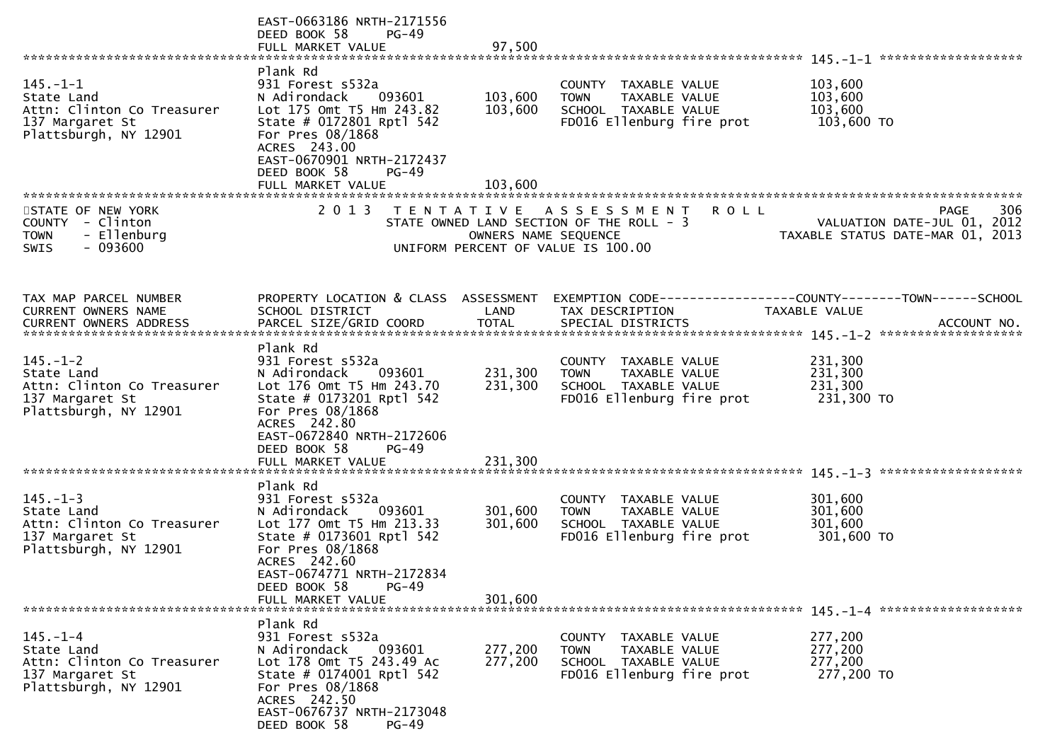|                                                 | EAST-0663186 NRTH-2171556<br>DEED BOOK 58<br>$PG-49$ |                      |                                                      |                                                              |
|-------------------------------------------------|------------------------------------------------------|----------------------|------------------------------------------------------|--------------------------------------------------------------|
|                                                 | Plank Rd                                             |                      |                                                      |                                                              |
| $145. - 1 - 1$                                  | 931 Forest s532a                                     |                      | COUNTY TAXABLE VALUE                                 | 103,600                                                      |
| State Land                                      | N Adirondack<br>093601                               | 103,600<br>103,600   | TAXABLE VALUE<br><b>TOWN</b>                         | 103,600<br>103,600                                           |
| Attn: Clinton Co Treasurer<br>137 Margaret St   | Lot 175 Omt T5 Hm 243.82<br>State # 0172801 Rptl 542 |                      | SCHOOL TAXABLE VALUE<br>FD016 Ellenburg fire prot    | 103,600 TO                                                   |
| Plattsburgh, NY 12901                           | For Pres 08/1868                                     |                      |                                                      |                                                              |
|                                                 | ACRES 243.00<br>EAST-0670901 NRTH-2172437            |                      |                                                      |                                                              |
|                                                 | DEED BOOK 58<br>$PG-49$                              |                      |                                                      |                                                              |
|                                                 | FULL MARKET VALUE                                    | 103,600              |                                                      |                                                              |
| STATE OF NEW YORK                               | 2 0 1 3                                              |                      | TENTATIVE ASSESSMENT<br>R O L L                      | 306<br><b>PAGE</b>                                           |
| COUNTY - Clinton                                |                                                      |                      | STATE OWNED LAND SECTION OF THE ROLL - 3             | VALUATION DATE-JUL 01, 2012                                  |
| <b>TOWN</b><br>- Ellenburg<br>$-093600$<br>SWIS |                                                      | OWNERS NAME SEQUENCE | UNIFORM PERCENT OF VALUE IS 100.00                   | TAXABLE STATUS DATE-MAR 01, 2013                             |
|                                                 |                                                      |                      |                                                      |                                                              |
|                                                 |                                                      |                      |                                                      |                                                              |
| TAX MAP PARCEL NUMBER                           | PROPERTY LOCATION & CLASS ASSESSMENT                 |                      |                                                      | EXEMPTION CODE-----------------COUNTY-------TOWN------SCHOOL |
| <b>CURRENT OWNERS NAME</b>                      | SCHOOL DISTRICT                                      | LAND                 | TAX DESCRIPTION                                      | <b>TAXABLE VALUE</b>                                         |
|                                                 |                                                      |                      |                                                      |                                                              |
|                                                 | Plank Rd                                             |                      |                                                      |                                                              |
| $145. - 1 - 2$                                  | 931 Forest s532a                                     | 231,300              | COUNTY TAXABLE VALUE                                 | 231,300                                                      |
| State Land<br>Attn: Clinton Co Treasurer        | N Adirondack<br>093601<br>Lot 176 Omt T5 Hm 243.70   | 231,300              | <b>TOWN</b><br>TAXABLE VALUE<br>SCHOOL TAXABLE VALUE | 231,300<br>231,300                                           |
| 137 Margaret St                                 | State # 0173201 Rptl 542                             |                      | FD016 Ellenburg fire prot                            | 231,300 TO                                                   |
| Plattsburgh, NY 12901                           | For Pres 08/1868<br>ACRES 242.80                     |                      |                                                      |                                                              |
|                                                 | EAST-0672840 NRTH-2172606                            |                      |                                                      |                                                              |
|                                                 | DEED BOOK 58<br>$PG-49$                              |                      |                                                      |                                                              |
|                                                 | FULL MARKET VALUE                                    | 231,300              |                                                      |                                                              |
|                                                 | Plank Rd                                             |                      |                                                      |                                                              |
| $145. - 1 - 3$<br>State Land                    | 931 Forest s532a<br>N Adirondack<br>093601           | 301,600              | COUNTY TAXABLE VALUE<br><b>TOWN</b><br>TAXABLE VALUE | 301,600<br>301,600                                           |
| Attn: Clinton Co Treasurer                      | Lot 177 Omt T5 Hm 213.33                             | 301,600              | SCHOOL TAXABLE VALUE                                 | 301,600                                                      |
| 137 Margaret St                                 | State # 0173601 Rptl 542                             |                      | FD016 Ellenburg fire prot                            | 301,600 TO                                                   |
| Plattsburgh, NY 12901                           | For Pres 08/1868<br>ACRES 242.60                     |                      |                                                      |                                                              |
|                                                 | EAST-0674771 NRTH-2172834                            |                      |                                                      |                                                              |
|                                                 | DEED BOOK 58<br>$PG-49$<br>FULL MARKET VALUE         | 301,600              |                                                      |                                                              |
|                                                 |                                                      |                      |                                                      | $145. - 1 - 4$ *********************                         |
|                                                 | Plank Rd                                             |                      |                                                      |                                                              |
| $145. - 1 - 4$<br>State Land                    | 931 Forest s532a<br>093601<br>N Adirondack           | 277,200              | COUNTY TAXABLE VALUE<br>TAXABLE VALUE<br>TOWN        | 277,200<br>277,200                                           |
| Attn: Clinton Co Treasurer                      | Lot 178 Omt T5 243.49 Ac                             | 277,200              | SCHOOL TAXABLE VALUE                                 | 277,200                                                      |
| 137 Margaret St<br>Plattsburgh, NY 12901        | State # 0174001 Rptl 542<br>For Pres 08/1868         |                      | FD016 Ellenburg fire prot                            | 277,200 TO                                                   |
|                                                 | ACRES 242.50                                         |                      |                                                      |                                                              |
|                                                 | EAST-0676737 NRTH-2173048<br>DEED BOOK 58<br>$PG-49$ |                      |                                                      |                                                              |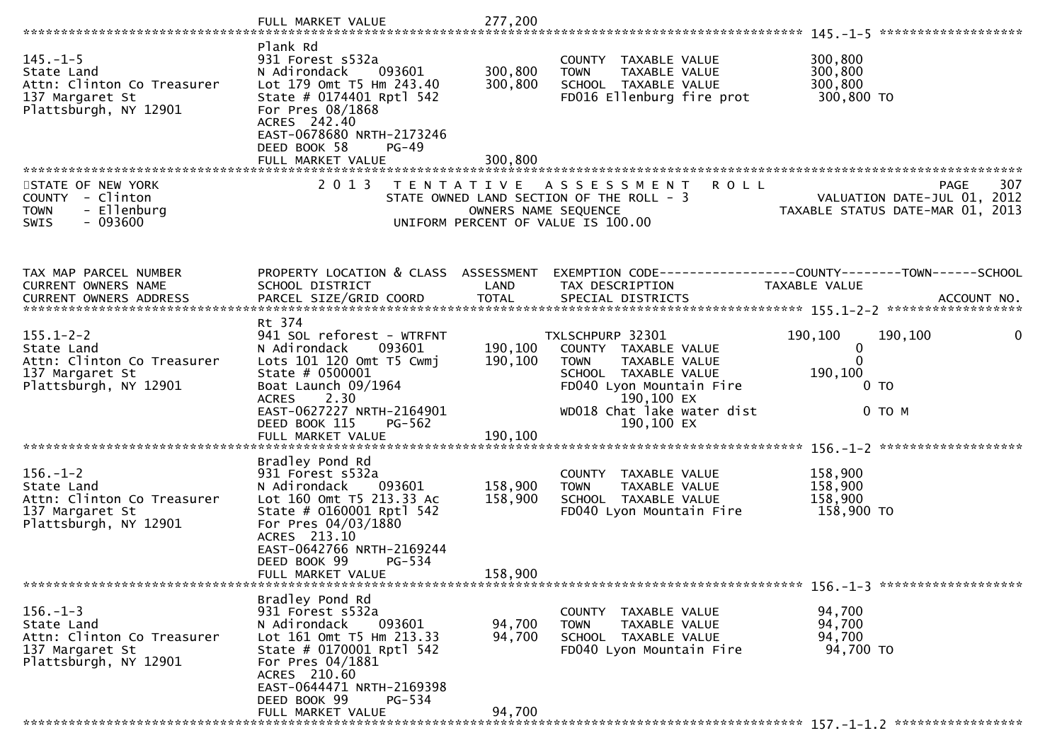|                                                                                                          | FULL MARKET VALUE                                                                                                                                                                                                       | 277,200              |                                                                                                                                                   |                                                                                |
|----------------------------------------------------------------------------------------------------------|-------------------------------------------------------------------------------------------------------------------------------------------------------------------------------------------------------------------------|----------------------|---------------------------------------------------------------------------------------------------------------------------------------------------|--------------------------------------------------------------------------------|
|                                                                                                          |                                                                                                                                                                                                                         |                      |                                                                                                                                                   |                                                                                |
| $145. - 1 - 5$<br>State Land<br>Attn: Clinton Co Treasurer<br>137 Margaret St<br>Plattsburgh, NY 12901   | Plank Rd<br>931 Forest s532a<br>N Adirondack<br>093601<br>Lot 179 Omt T5 Hm 243.40<br>State # 0174401 Rptl 542<br>For Pres 08/1868<br>ACRES 242.40<br>EAST-0678680 NRTH-2173246                                         | 300,800<br>300,800   | COUNTY TAXABLE VALUE<br>TAXABLE VALUE<br><b>TOWN</b><br>SCHOOL TAXABLE VALUE<br>FD016 Ellenburg fire prot                                         | 300,800<br>300,800<br>300,800<br>300,800 TO                                    |
|                                                                                                          | DEED BOOK 58<br>$PG-49$                                                                                                                                                                                                 |                      |                                                                                                                                                   |                                                                                |
|                                                                                                          | FULL MARKET VALUE                                                                                                                                                                                                       | 300,800              |                                                                                                                                                   |                                                                                |
| STATE OF NEW YORK<br>- Clinton<br><b>COUNTY</b><br>- Ellenburg<br><b>TOWN</b><br>- 093600<br><b>SWIS</b> | 2 0 1 3                                                                                                                                                                                                                 | OWNERS NAME SEQUENCE | TENTATIVE ASSESSMENT<br><b>ROLL</b><br>STATE OWNED LAND SECTION OF THE ROLL - 3<br>UNIFORM PERCENT OF VALUE IS 100.00                             | 307<br>PAGE<br>VALUATION DATE-JUL 01, 2012<br>TAXABLE STATUS DATE-MAR 01, 2013 |
| TAX MAP PARCEL NUMBER<br><b>CURRENT OWNERS NAME</b>                                                      | PROPERTY LOCATION & CLASS ASSESSMENT<br>SCHOOL DISTRICT                                                                                                                                                                 | LAND                 | TAX DESCRIPTION                                                                                                                                   | EXEMPTION CODE-----------------COUNTY-------TOWN------SCHOOL<br>TAXABLE VALUE  |
|                                                                                                          |                                                                                                                                                                                                                         |                      |                                                                                                                                                   |                                                                                |
| $155.1 - 2 - 2$<br>State Land<br>Attn: Clinton Co Treasurer<br>137 Margaret St<br>Plattsburgh, NY 12901  | Rt 374<br>941 SOL reforest - WTRFNT<br>N Adirondack<br>093601<br>Lots 101 120 Omt T5 Cwmj<br>State # 0500001<br>Boat Launch 09/1964<br>2.30<br><b>ACRES</b>                                                             | 190,100<br>190,100   | TXLSCHPURP 32301<br>COUNTY TAXABLE VALUE<br><b>TOWN</b><br><b>TAXABLE VALUE</b><br>SCHOOL TAXABLE VALUE<br>FD040 Lyon Mountain Fire<br>190,100 EX | 190,100<br>190,100<br>0<br>0<br>$\mathbf{0}$<br>190,100<br>0 TO                |
|                                                                                                          | EAST-0627227 NRTH-2164901<br>DEED BOOK 115<br>PG-562<br>FULL MARKET VALUE                                                                                                                                               | 190,100              | WD018 Chat lake water dist<br>190,100 EX                                                                                                          | $0$ TO M                                                                       |
|                                                                                                          | Bradley Pond Rd                                                                                                                                                                                                         |                      |                                                                                                                                                   |                                                                                |
| $156. - 1 - 2$<br>State Land<br>Attn: Clinton Co Treasurer<br>137 Margaret St<br>Plattsburgh, NY 12901   | 931 Forest s532a<br>N Adirondack<br>093601<br>Lot 160 Omt T5 213.33 Ac<br>State # 0160001 Rptl 542<br>For Pres 04/03/1880<br>ACRES 213.10                                                                               | 158,900<br>158,900   | COUNTY TAXABLE VALUE<br><b>TOWN</b><br>TAXABLE VALUE<br>SCHOOL TAXABLE VALUE<br>FD040 Lyon Mountain Fire                                          | 158,900<br>158,900<br>158,900<br>158,900 TO                                    |
|                                                                                                          | EAST-0642766 NRTH-2169244<br>DEED BOOK 99<br>PG-534<br>FULL MARKET VALUE                                                                                                                                                | 158,900              |                                                                                                                                                   |                                                                                |
| $156. - 1 - 3$<br>State Land<br>Attn: Clinton Co Treasurer<br>137 Margaret St<br>Plattsburgh, NY 12901   | Bradley Pond Rd<br>931 Forest s532a<br>N Adirondack<br>093601<br>Lot 161 Omt T5 Hm 213.33<br>State # 0170001 Rptl 542<br>For Pres 04/1881<br>ACRES 210.60<br>EAST-0644471 NRTH-2169398<br>DEED BOOK 99<br><b>PG-534</b> | 94,700<br>94,700     | COUNTY TAXABLE VALUE<br>TAXABLE VALUE<br>TOWN<br>SCHOOL TAXABLE VALUE<br>FD040 Lyon Mountain Fire                                                 | 94,700<br>94,700<br>94,700<br>94,700 TO                                        |
|                                                                                                          | FULL MARKET VALUE                                                                                                                                                                                                       | 94,700               |                                                                                                                                                   |                                                                                |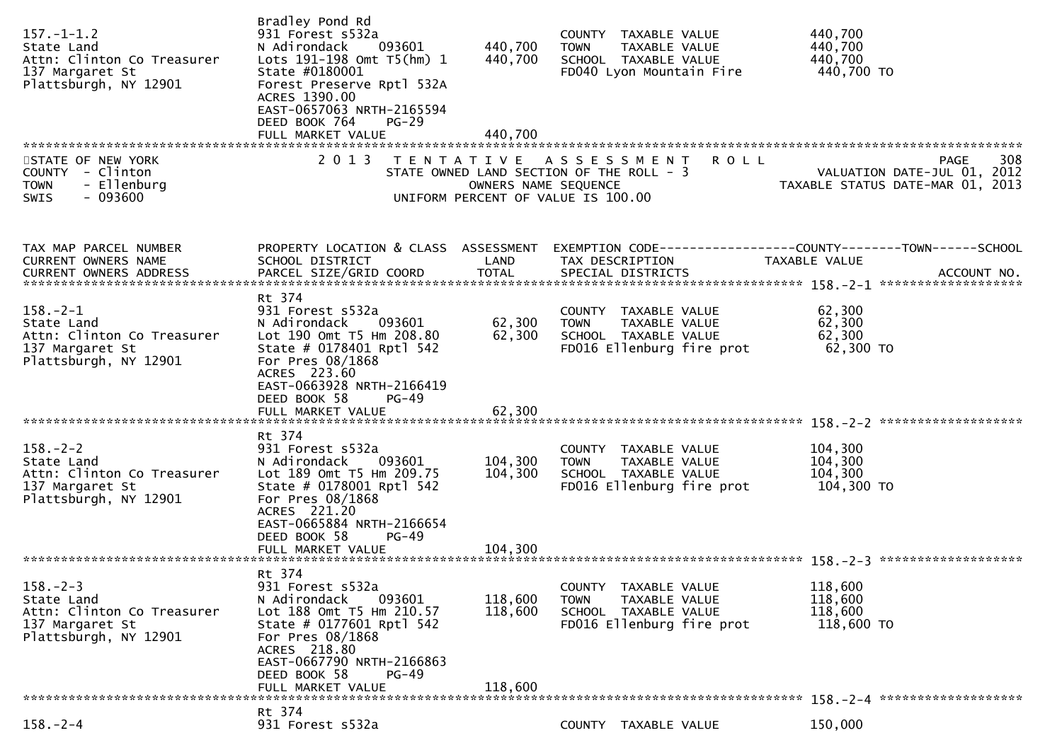| $157. - 1 - 1.2$<br>State Land<br>Attn: Clinton Co Treasurer<br>137 Margaret St<br>Plattsburgh, NY 12901 | Bradley Pond Rd<br>931 Forest s532a<br>N Adirondack<br>093601<br>Lots 191-198 Omt T5(hm) 1<br>State #0180001<br>Forest Preserve Rptl 532A<br>ACRES 1390.00<br>EAST-0657063 NRTH-2165594<br>DEED BOOK 764<br>$PG-29$<br>FULL MARKET VALUE | 440,700<br>440,700<br>440,700 | COUNTY TAXABLE VALUE<br><b>TOWN</b><br>TAXABLE VALUE<br>SCHOOL TAXABLE VALUE<br>FD040 Lyon Mountain Fire              | 440,700<br>440,700<br>440,700<br>440,700 TO                                    |
|----------------------------------------------------------------------------------------------------------|------------------------------------------------------------------------------------------------------------------------------------------------------------------------------------------------------------------------------------------|-------------------------------|-----------------------------------------------------------------------------------------------------------------------|--------------------------------------------------------------------------------|
| STATE OF NEW YORK<br>COUNTY - Clinton<br>- Ellenburg<br><b>TOWN</b><br>$-093600$<br><b>SWIS</b>          | 2 0 1 3                                                                                                                                                                                                                                  | OWNERS NAME SEQUENCE          | TENTATIVE ASSESSMENT<br><b>ROLL</b><br>STATE OWNED LAND SECTION OF THE ROLL - 3<br>UNIFORM PERCENT OF VALUE IS 100.00 | 308<br>PAGE<br>VALUATION DATE-JUL 01, 2012<br>TAXABLE STATUS DATE-MAR 01, 2013 |
| TAX MAP PARCEL NUMBER<br>CURRENT OWNERS NAME                                                             | PROPERTY LOCATION & CLASS ASSESSMENT<br>SCHOOL DISTRICT                                                                                                                                                                                  | LAND                          | EXEMPTION CODE------------------COUNTY--------TOWN------SCHOOL<br>TAX DESCRIPTION                                     | TAXABLE VALUE                                                                  |
| $158. - 2 - 1$<br>State Land<br>Attn: Clinton Co Treasurer<br>137 Margaret St<br>Plattsburgh, NY 12901   | Rt 374<br>931 Forest s532a<br>N Adirondack<br>093601<br>Lot 190 Omt T5 Hm 208.80<br>State # 0178401 Rptl 542<br>For Pres 08/1868<br>ACRES 223.60<br>EAST-0663928 NRTH-2166419<br>DEED BOOK 58<br>PG-49                                   | 62,300<br>62,300              | COUNTY TAXABLE VALUE<br>TAXABLE VALUE<br><b>TOWN</b><br>SCHOOL TAXABLE VALUE<br>FD016 Ellenburg fire prot             | 62,300<br>62,300<br>62,300<br>62,300 TO                                        |
|                                                                                                          |                                                                                                                                                                                                                                          |                               |                                                                                                                       |                                                                                |
| $158. - 2 - 2$<br>State Land<br>Attn: Clinton Co Treasurer<br>137 Margaret St<br>Plattsburgh, NY 12901   | Rt 374<br>931 Forest s532a<br>093601<br>N Adirondack<br>Lot 189 Omt T5 Hm 209.75<br>State # 0178001 Rptl 542<br>For Pres 08/1868<br>ACRES 221.20<br>EAST-0665884 NRTH-2166654                                                            | 104,300<br>104,300            | COUNTY TAXABLE VALUE<br><b>TOWN</b><br>TAXABLE VALUE<br>SCHOOL TAXABLE VALUE<br>FD016 Ellenburg fire prot             | 104,300<br>104,300<br>104,300<br>104,300 TO                                    |
|                                                                                                          | DEED BOOK 58<br><b>PG-49</b>                                                                                                                                                                                                             |                               |                                                                                                                       |                                                                                |
| $158. - 2 - 3$<br>State Land<br>Attn: Clinton Co Treasurer<br>137 Margaret St<br>Plattsburgh, NY 12901   | Rt 374<br>931 Forest s532a<br>N Adirondack<br>093601<br>Lot 188 Omt T5 Hm 210.57<br>State # 0177601 Rptl 542<br>For Pres 08/1868<br>ACRES 218.80<br>EAST-0667790 NRTH-2166863<br>DEED BOOK 58<br>$PG-49$                                 | 118,600<br>118,600            | COUNTY TAXABLE VALUE<br><b>TOWN</b><br>TAXABLE VALUE<br>SCHOOL TAXABLE VALUE<br>FD016 Ellenburg fire prot             | 118,600<br>118,600<br>118,600<br>118,600 TO                                    |
|                                                                                                          | FULL MARKET VALUE                                                                                                                                                                                                                        | 118,600                       |                                                                                                                       |                                                                                |
| $158. - 2 - 4$                                                                                           | Rt 374<br>931 Forest s532a                                                                                                                                                                                                               |                               | COUNTY TAXABLE VALUE                                                                                                  | 150,000                                                                        |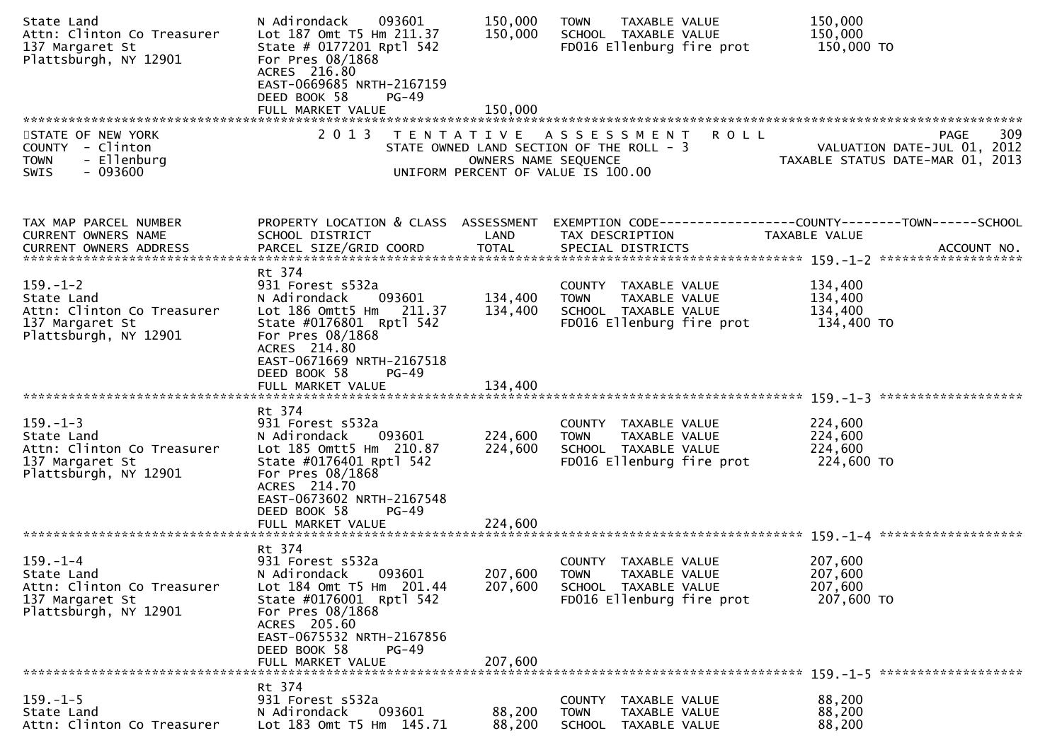| State Land<br>Attn: Clinton Co Treasurer<br>137 Margaret St<br>Plattsburgh, NY 12901                   | N Adirondack<br>093601<br>Lot 187 Omt T5 Hm 211.37<br>State # 0177201 Rptl 542<br>For Pres 08/1868<br>ACRES 216.80<br>EAST-0669685 NRTH-2167159<br>DEED BOOK 58<br>PG-49<br>FULL MARKET VALUE                                     | 150,000<br>150,000<br>150,000 | TAXABLE VALUE<br><b>TOWN</b><br>SCHOOL TAXABLE VALUE<br>FD016 Ellenburg fire prot                            | 150,000<br>150,000<br>150,000 TO                                               |
|--------------------------------------------------------------------------------------------------------|-----------------------------------------------------------------------------------------------------------------------------------------------------------------------------------------------------------------------------------|-------------------------------|--------------------------------------------------------------------------------------------------------------|--------------------------------------------------------------------------------|
| STATE OF NEW YORK<br>COUNTY - Clinton<br><b>TOWN</b><br>- Ellenburg<br>$-093600$<br><b>SWIS</b>        | 2 0 1 3                                                                                                                                                                                                                           | OWNERS NAME SEQUENCE          | TENTATIVE ASSESSMENT ROLL<br>STATE OWNED LAND SECTION OF THE ROLL - 3<br>UNIFORM PERCENT OF VALUE IS 100.00  | 309<br>PAGE<br>VALUATION DATE-JUL 01, 2012<br>TAXABLE STATUS DATE-MAR 01, 2013 |
| TAX MAP PARCEL NUMBER<br>CURRENT OWNERS NAME                                                           | PROPERTY LOCATION & CLASS ASSESSMENT<br>SCHOOL DISTRICT                                                                                                                                                                           | LAND                          | TAX DESCRIPTION                                                                                              | EXEMPTION CODE-----------------COUNTY-------TOWN------SCHOOL<br>TAXABLE VALUE  |
| $159. - 1 - 2$<br>State Land<br>Attn: Clinton Co Treasurer<br>137 Margaret St<br>Plattsburgh, NY 12901 | Rt 374<br>931 Forest s532a<br>093601<br>N Adirondack<br>Lot 186 Omtt5 Hm 211.37<br>State #0176801 Rptl 542<br>For Pres 08/1868<br>ACRES 214.80<br>EAST-0671669 NRTH-2167518<br>DEED BOOK 58<br>$PG-49$                            | 134,400<br>134,400            | COUNTY TAXABLE VALUE<br>TAXABLE VALUE<br><b>TOWN</b><br>SCHOOL TAXABLE VALUE<br>FD016 Ellenburg fire prot    | 134,400<br>134,400<br>134,400<br>134,400 TO                                    |
|                                                                                                        |                                                                                                                                                                                                                                   |                               |                                                                                                              |                                                                                |
| $159. - 1 - 3$<br>State Land<br>Attn: Clinton Co Treasurer<br>137 Margaret St<br>Plattsburgh, NY 12901 | Rt 374<br>931 Forest s532a<br>N Adirondack<br>093601<br>Lot 185 Omtt5 Hm 210.87<br>State #0176401 Rptl 542<br>For Pres 08/1868<br>ACRES 214.70<br>EAST-0673602 NRTH-2167548<br>DEED BOOK 58<br>$PG-49$                            | 224,600<br>224,600            | COUNTY TAXABLE VALUE<br>TAXABLE VALUE<br><b>TOWN</b><br>SCHOOL TAXABLE VALUE<br>FD016 Ellenburg fire prot    | 224,600<br>224,600<br>224,600<br>224,600 TO                                    |
|                                                                                                        | FULL MARKET VALUE                                                                                                                                                                                                                 | 224,600                       |                                                                                                              |                                                                                |
| $159. - 1 - 4$<br>State Land<br>Attn: Clinton Co Treasurer<br>137 Margaret St<br>Plattsburgh, NY 12901 | Rt 374<br>931 Forest s532a<br>N Adirondack<br>093601<br>Lot 184 Omt T5 Hm 201.44<br>State #0176001 Rptl 542<br>For Pres 08/1868<br>ACRES 205.60<br>EAST-0675532 NRTH-2167856<br>DEED BOOK 58<br><b>PG-49</b><br>FULL MARKET VALUE | 207,600<br>207,600<br>207,600 | COUNTY<br>TAXABLE VALUE<br><b>TOWN</b><br>TAXABLE VALUE<br>SCHOOL TAXABLE VALUE<br>FD016 Ellenburg fire prot | 207,600<br>207,600<br>207,600<br>207,600 TO                                    |
|                                                                                                        | Rt 374                                                                                                                                                                                                                            |                               |                                                                                                              |                                                                                |
| $159. - 1 - 5$<br>State Land<br>Attn: Clinton Co Treasurer                                             | 931 Forest s532a<br>093601<br>N Adirondack<br>Lot 183 Omt T5 Hm 145.71                                                                                                                                                            | 88,200<br>88,200              | <b>COUNTY</b><br>TAXABLE VALUE<br><b>TOWN</b><br>TAXABLE VALUE<br><b>SCHOOL</b><br>TAXABLE VALUE             | 88,200<br>88,200<br>88,200                                                     |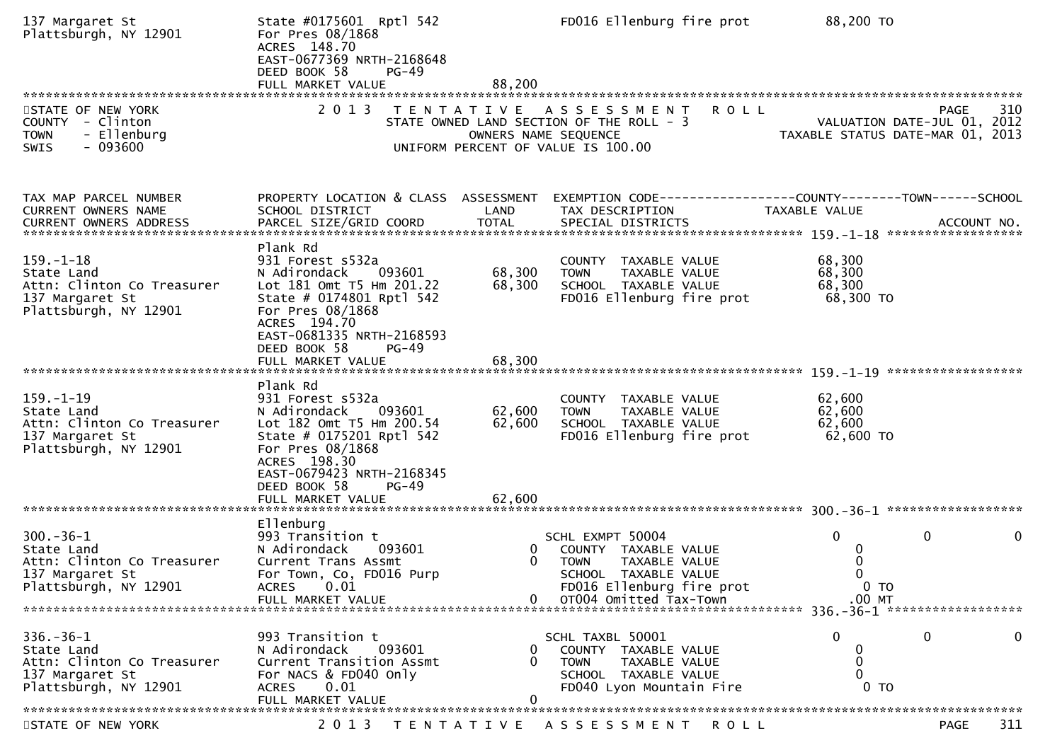| 137 Margaret St<br>Plattsburgh, NY 12901                                                                | State #0175601 Rptl 542<br>For Pres 08/1868<br>ACRES 148.70<br>EAST-0677369 NRTH-2168648<br>DEED BOOK 58<br>$PG-49$<br>FULL MARKET VALUE                                                                                        | 88,200                     | FD016 Ellenburg fire prot                                                                                                                                 | 88,200 TO                                                                                                          |
|---------------------------------------------------------------------------------------------------------|---------------------------------------------------------------------------------------------------------------------------------------------------------------------------------------------------------------------------------|----------------------------|-----------------------------------------------------------------------------------------------------------------------------------------------------------|--------------------------------------------------------------------------------------------------------------------|
| STATE OF NEW YORK<br>COUNTY - Clinton<br><b>TOWN</b><br>- Ellenburg<br>$-093600$<br><b>SWIS</b>         | 2 0 1 3                                                                                                                                                                                                                         | OWNERS NAME SEQUENCE       | <b>ROLL</b><br>TENTATIVE ASSESSMENT<br>STATE OWNED LAND SECTION OF THE ROLL - 3<br>UNIFORM PERCENT OF VALUE IS 100.00                                     | 310<br>PAGE<br>VALUATION DATE-JUL 01, 2012<br>TAXABLE STATUS DATE-MAR 01, 2013                                     |
| TAX MAP PARCEL NUMBER<br><b>CURRENT OWNERS NAME</b>                                                     | PROPERTY LOCATION & CLASS ASSESSMENT<br>SCHOOL DISTRICT                                                                                                                                                                         | LAND                       | TAX DESCRIPTION                                                                                                                                           | EXEMPTION CODE-----------------COUNTY-------TOWN------SCHOOL<br>TAXABLE VALUE<br>ACCOUNT NO.<br>****************** |
| $159. - 1 - 18$<br>State Land<br>Attn: Clinton Co Treasurer<br>137 Margaret St<br>Plattsburgh, NY 12901 | Plank Rd<br>931 Forest s532a<br>N Adirondack<br>093601<br>Lot 181 Omt T5 Hm 201.22<br>State # 0174801 Rptl 542<br>For Pres 08/1868<br>ACRES 194.70<br>EAST-0681335 NRTH-2168593<br>DEED BOOK 58<br>$PG-49$<br>FULL MARKET VALUE | 68,300<br>68,300<br>68,300 | COUNTY TAXABLE VALUE<br>TAXABLE VALUE<br><b>TOWN</b><br>SCHOOL TAXABLE VALUE<br>FD016 Ellenburg fire prot                                                 | 68,300<br>68,300<br>68,300<br>68,300 TO                                                                            |
| $159. - 1 - 19$<br>State Land<br>Attn: Clinton Co Treasurer<br>137 Margaret St<br>Plattsburgh, NY 12901 | Plank Rd<br>931 Forest s532a<br>N Adirondack<br>093601<br>Lot 182 Omt T5 Hm 200.54<br>State # 0175201 Rptl 542<br>For Pres 08/1868<br>ACRES 198.30<br>EAST-0679423 NRTH-2168345<br>DEED BOOK 58<br>$PG-49$<br>FULL MARKET VALUE | 62,600<br>62,600<br>62,600 | COUNTY TAXABLE VALUE<br>TAXABLE VALUE<br><b>TOWN</b><br>SCHOOL TAXABLE VALUE<br>FD016 Ellenburg fire prot                                                 | 62,600<br>62,600<br>62,600<br>62,600 TO                                                                            |
| $300 - 36 - 1$<br>State Land<br>Attn: Clinton Co Treasurer<br>137 Margaret St<br>Plattsburgh, NY 12901  | Ellenburg<br>993 Transition t<br>N Adirondack<br>093601<br>Current Trans Assmt<br>For Town, Co, FD016 Purp<br>ACRES 0.01<br>FULL MARKET VALUE                                                                                   | 0<br>0                     | SCHL EXMPT 50004<br>COUNTY TAXABLE VALUE<br><b>TOWN</b><br>TAXABLE VALUE<br>SCHOOL TAXABLE VALUE<br>FD016 Ellenburg fire prot<br>0 0T004 Omitted Tax-Town | 0<br>0<br>$\mathbf 0$<br>0<br>0<br>$\Omega$<br>0 <sub>T</sub><br>$.00$ MT                                          |
| $336. - 36 - 1$<br>State Land<br>Attn: Clinton Co Treasurer<br>137 Margaret St<br>Plattsburgh, NY 12901 | 993 Transition t<br>N Adirondack<br>093601<br>Current Transition Assmt<br>For NACS & FD040 Only<br>0.01<br><b>ACRES</b><br>FULL MARKET VALUE                                                                                    | 0<br>0                     | SCHL TAXBL 50001<br>COUNTY TAXABLE VALUE<br><b>TOWN</b><br>TAXABLE VALUE<br>SCHOOL TAXABLE VALUE<br>FD040 Lyon Mountain Fire                              | $\Omega$<br>0<br>$\bf{0}$<br>0<br>0<br>$\Omega$<br>0 <sub>T</sub>                                                  |
| STATE OF NEW YORK                                                                                       |                                                                                                                                                                                                                                 |                            | 2013 TENTATIVE ASSESSMENT ROLL                                                                                                                            | 311<br>PAGE                                                                                                        |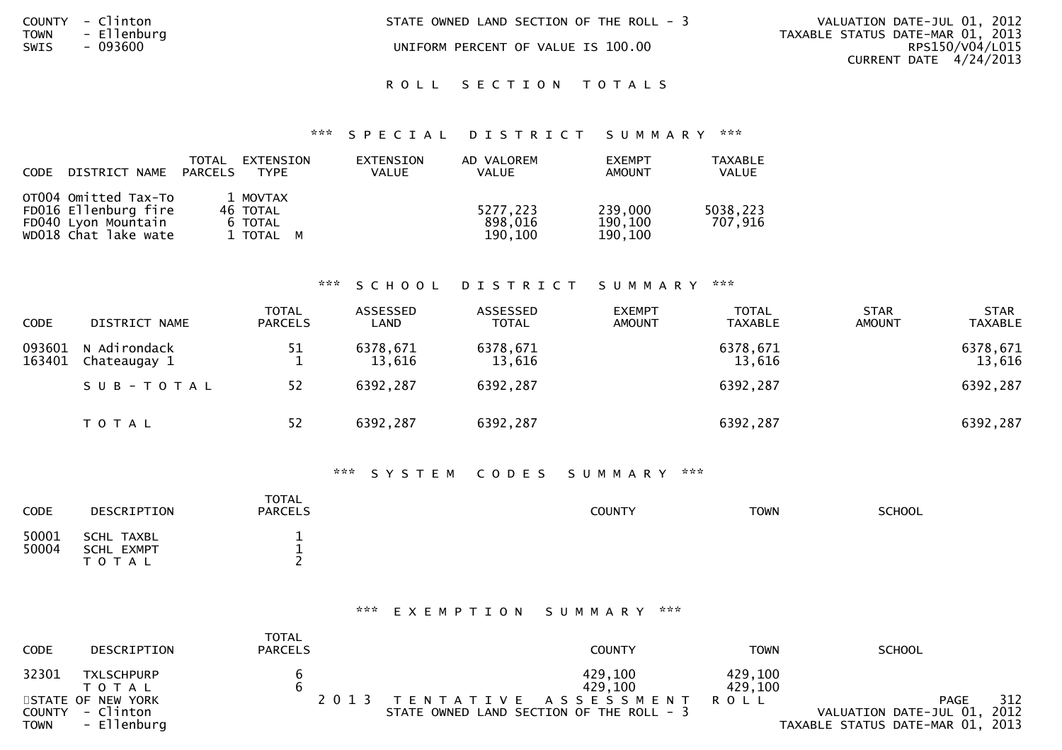| STATE OWNED LAND SECTION OF THE ROLL - 3 |  |  |  |
|------------------------------------------|--|--|--|
|                                          |  |  |  |

UNIFORM PERCENT OF VALUE IS 100.00

VALUATION DATE-JUL 01, 2012 TAXABLE STATUS DATE-MAR 01, 2013 RPS150/V04/L015 CURRENT DATE 4/24/2013

#### ROLL SECTION TOTALS

#### \*\*\* S P E C I A L D I S T R I C T S U M M A R Y \*\*\*

| <b>CODE</b> | DISTRICT NAME                                                                               | TOTAL<br>PARCELS | EXTENSION<br>TYPE                            | EXTENSION<br><b>VALUE</b> | AD VALOREM<br><b>VALUE</b>     | <b>EXEMPT</b><br>AMOUNT       | <b>TAXABLE</b><br><b>VALUE</b> |
|-------------|---------------------------------------------------------------------------------------------|------------------|----------------------------------------------|---------------------------|--------------------------------|-------------------------------|--------------------------------|
|             | OT004 Omitted Tax-To<br>FD016 Ellenburg fire<br>FD040 Lyon Mountain<br>WD018 Chat lake wate |                  | 1 MOVTAX<br>46 TOTAL<br>6 TOTAL<br>1 TOTAL M |                           | 5277.223<br>898,016<br>190,100 | 239,000<br>190,100<br>190,100 | 5038,223<br>707,916            |

COUNTY - Clinton<br>TOWN - Ellenburg<br>SWIS - 093600

#### \*\*\* S C H O O L D I S T R I C T S U M M A R Y \*\*\*

| <b>CODE</b>      | DISTRICT NAME                | <b>TOTAL</b><br><b>PARCELS</b> | ASSESSED<br>LAND   | ASSESSED<br><b>TOTAL</b> | <b>EXEMPT</b><br><b>AMOUNT</b> | <b>TOTAL</b><br><b>TAXABLE</b> | <b>STAR</b><br><b>AMOUNT</b> | <b>STAR</b><br><b>TAXABLE</b> |
|------------------|------------------------------|--------------------------------|--------------------|--------------------------|--------------------------------|--------------------------------|------------------------------|-------------------------------|
| 093601<br>163401 | N Adirondack<br>Chateaugay 1 | 51                             | 6378,671<br>13,616 | 6378,671<br>13,616       |                                | 6378,671<br>13,616             |                              | 6378,671<br>13,616            |
|                  | SUB-TOTAL                    | 52                             | 6392,287           | 6392,287                 |                                | 6392,287                       |                              | 6392,287                      |
|                  | T O T A L                    | 52                             | 6392,287           | 6392,287                 |                                | 6392,287                       |                              | 6392,287                      |

#### \*\*\* S Y S T E M C O D E S S U M M A R Y \*\*\*

| CODE           | DESCRIPTION                           | <b>TOTAL</b><br><b>PARCELS</b> | COUNTY | <b>TOWN</b> | <b>SCHOOL</b> |
|----------------|---------------------------------------|--------------------------------|--------|-------------|---------------|
| 50001<br>50004 | SCHL TAXBL<br>SCHL EXMPT<br>T O T A L | -                              |        |             |               |

#### \*\*\* E X E M P T I O N S U M M A R Y \*\*\*

| <b>CODE</b> | DESCRIPTION                     | TOTAL<br><b>PARCELS</b> | <b>COUNTY</b>                            | TOWN                   | <b>SCHOOL</b>                                                   |
|-------------|---------------------------------|-------------------------|------------------------------------------|------------------------|-----------------------------------------------------------------|
| 32301       | <b>TXLSCHPURP</b>               |                         | 429.100                                  | 429,100                |                                                                 |
|             | T O T A L<br>STATE OF NEW YORK  |                         | 429,100<br>2013 TENTATIVE ASSESSMENT     | 429,100<br><b>ROLL</b> | 312<br><b>PAGE</b>                                              |
| <b>TOWN</b> | COUNTY - Clinton<br>- Ellenburg |                         | STATE OWNED LAND SECTION OF THE ROLL - 3 |                        | VALUATION DATE-JUL 01, 2012<br>TAXABLE STATUS DATE-MAR 01, 2013 |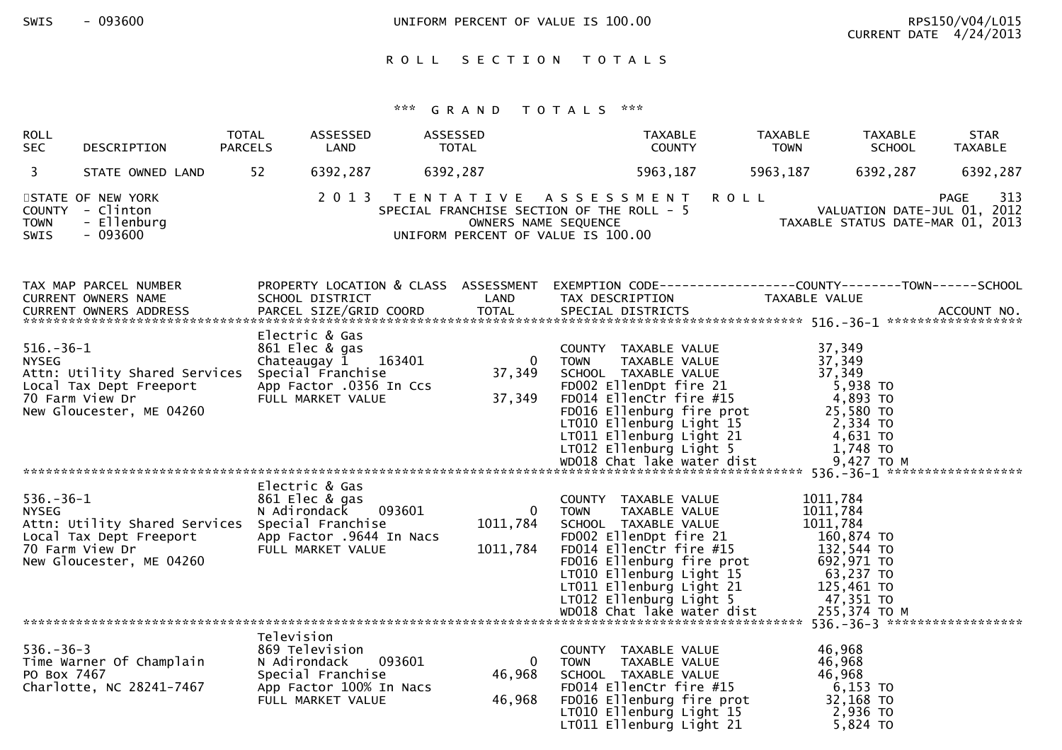SWIS - 093600 CONTERNATION UNIFORM PERCENT OF VALUE IS 100.00

## ROLL SECTION TOTALS

| <b>ROLL</b><br><b>SEC</b>       | DESCRIPTION                                                                                                               | TOTAL<br><b>PARCELS</b> | ASSESSED<br>LAND                                                                                                               | ASSESSED<br><b>TOTAL</b>               | <b>TAXABLE</b><br><b>COUNTY</b>                                                                                                                                                                                                                                                                                                | <b>TAXABLE</b><br><b>TOWN</b> | TAXABLE<br><b>SCHOOL</b>                                                                                          | <b>STAR</b><br><b>TAXABLE</b>                                                         |
|---------------------------------|---------------------------------------------------------------------------------------------------------------------------|-------------------------|--------------------------------------------------------------------------------------------------------------------------------|----------------------------------------|--------------------------------------------------------------------------------------------------------------------------------------------------------------------------------------------------------------------------------------------------------------------------------------------------------------------------------|-------------------------------|-------------------------------------------------------------------------------------------------------------------|---------------------------------------------------------------------------------------|
| $\mathbf{3}$                    | STATE OWNED LAND                                                                                                          | 52                      | 6392,287                                                                                                                       | 6392,287                               | 5963,187                                                                                                                                                                                                                                                                                                                       | 5963,187                      | 6392,287                                                                                                          | 6392,287                                                                              |
| <b>TOWN</b><br>SWIS             | STATE OF NEW YORK<br>COUNTY - Clinton<br>- Ellenburg<br>$-093600$                                                         |                         |                                                                                                                                | OWNERS NAME SEQUENCE                   | 2013 TENTATIVE ASSESSMENT<br>SPECIAL FRANCHISE SECTION OF THE ROLL - 5<br>UNIFORM PERCENT OF VALUE IS 100.00                                                                                                                                                                                                                   | <b>ROLL</b>                   |                                                                                                                   | 313<br><b>PAGE</b><br>VALUATION DATE-JUL 01, 2012<br>TAXABLE STATUS DATE-MAR 01, 2013 |
|                                 | TAX MAP PARCEL NUMBER<br>CURRENT OWNERS NAME<br><b>CURRENT OWNERS ADDRESS</b>                                             |                         | SCHOOL DISTRICT<br>PARCEL SIZE/GRID COORD                                                                                      | LAND<br><b>TOTAL</b>                   | PROPERTY LOCATION & CLASS ASSESSMENT EXEMPTION CODE----------------COUNTY-------TOWN------SCHOOL<br>TAX DESCRIPTION<br>SPECIAL DISTRICTS                                                                                                                                                                                       | TAXABLE VALUE                 |                                                                                                                   | ACCOUNT NO.                                                                           |
| $516.-36-1$<br><b>NYSEG</b>     | Attn: Utility Shared Services<br>Local Tax Dept Freeport<br>70 Farm View Dr<br>New Gloucester, ME 04260                   |                         | Electric & Gas<br>861 Elec & gas<br>Chateaugay $1$ 163401<br>Special Franchise<br>App Factor .0356 In Ccs<br>FULL MARKET VALUE | $\Omega$<br>37,349<br>37,349           | COUNTY TAXABLE VALUE<br><b>TOWN</b><br>TAXABLE VALUE<br>SCHOOL TAXABLE VALUE<br>FD002 EllenDpt fire 21<br>FD014 Ellenctr fire 21<br>FD014 Ellenctr fire #15<br>FD016 Ellenburg C<br>FD016 Ellenburg fire prot<br>LTO10 Ellenburg Light 15<br>LTO11 Ellenburg Light 21<br>LTO12 Ellenburg Light 5<br>WDO18 Chat lake water dist |                               | 37,349<br>37,349<br>37,349<br>5,938 TO<br>4,893 TO<br>25,580 TO<br>2,334 TO<br>4,631 TO<br>1,748 TO<br>9,427 TO M |                                                                                       |
| $536. - 36 - 1$<br><b>NYSEG</b> | Attn: Utility Shared Services Special Franchise<br>Local Tax Dept Freeport<br>70 Farm View Dr<br>New Gloucester, ME 04260 |                         | Electric & Gas<br>861 Elec & gas<br>N Adirondack 093601<br>App Factor .9644 In Nacs<br>FULL MARKET VALUE                       | $\overline{0}$<br>1011,784<br>1011,784 | COUNTY TAXABLE VALUE<br>TAXABLE VALUE<br><b>TOWN</b><br>SCHOOL TAXABLE VALUE<br>FD002 EllenDpt fire 21<br>FD014 EllenCtr fire #15<br>FD016 Ellenburg fire prot<br>LT010 Ellenburg Light 15<br>LT011 Ellenburg Light 21<br>LT012 Ellenburg Light 5                                                                              | 1011,784                      | 1011,784<br>1011,784<br>160,874 TO<br>132,544 TO<br>692,971 TO<br>63,237 TO<br>125,461 TO<br>47,351 TO            |                                                                                       |
| $536. - 36 - 3$<br>PO Box 7467  | Time Warner Of Champlain<br>Charlotte, NC 28241-7467                                                                      | Television              | 869 Television<br>093601<br>N Adirondack<br>Special Franchise<br>App Factor 100% In Nacs<br>FULL MARKET VALUE                  | $\Omega$<br>46,968<br>46,968           | COUNTY TAXABLE VALUE<br>TAXABLE VALUE<br><b>TOWN</b><br>SCHOOL TAXABLE VALUE<br>FD014 EllenCtr fire #15<br>FD016 Ellenburg fire prot<br>LT010 Ellenburg Light 15<br>LT011 Ellenburg Light 21                                                                                                                                   |                               | 46,968<br>46,968<br>46,968<br>$6,153$ TO<br>32,168 TO<br>2,936 то<br>5,824 TO                                     |                                                                                       |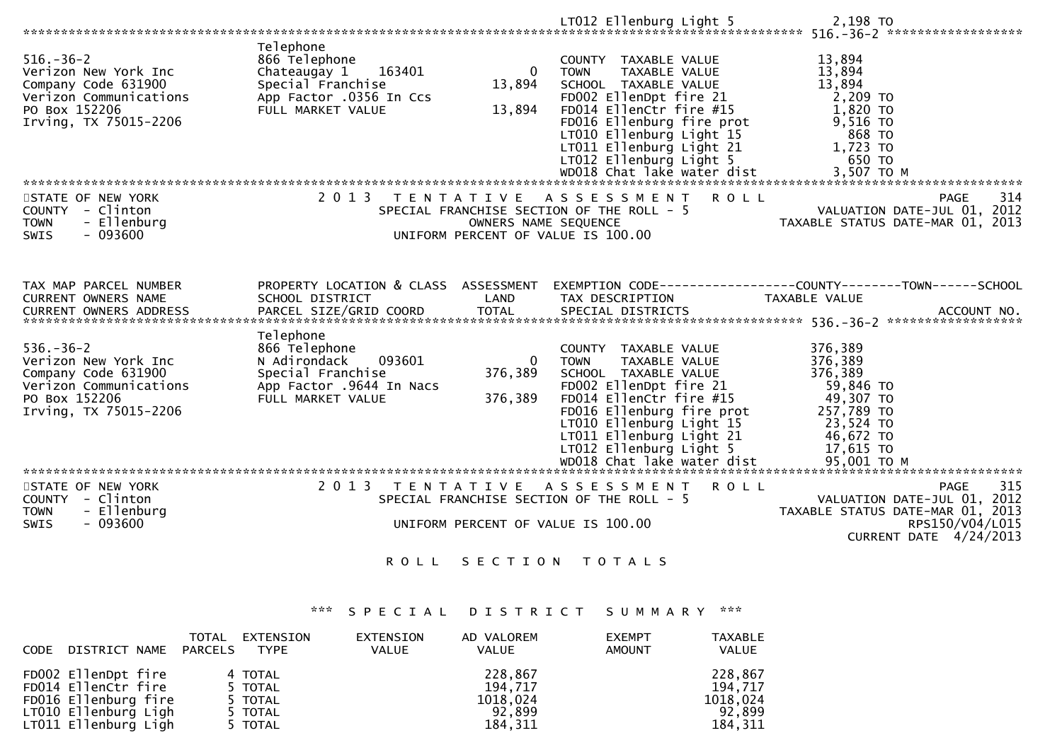|                                                                                                                                    |                                                                                                                                                |                                  | LT012 Ellenburg Light 5                                                                                                                                                                                                                                                         | 2,198 TO                                                                                                                    |                                                                                                                                    |
|------------------------------------------------------------------------------------------------------------------------------------|------------------------------------------------------------------------------------------------------------------------------------------------|----------------------------------|---------------------------------------------------------------------------------------------------------------------------------------------------------------------------------------------------------------------------------------------------------------------------------|-----------------------------------------------------------------------------------------------------------------------------|------------------------------------------------------------------------------------------------------------------------------------|
| $516. - 36 - 2$<br>Verizon New York Inc<br>Company Code 631900<br>Verizon Communications<br>PO Box 152206<br>Irving, TX 75015-2206 | Telephone<br>866 Telephone<br>Chateaugay 1<br>163401<br>Special Franchise<br>App Factor .0356 In Ccs<br>FULL MARKET VALUE                      | $\mathbf{0}$<br>13,894<br>13,894 | COUNTY TAXABLE VALUE<br><b>TOWN</b><br>TAXABLE VALUE<br>SCHOOL TAXABLE VALUE<br>FD002 EllenDpt fire 21<br>FD014 EllenCtr fire #15<br>FD016 Ellenburg fire prot<br>LT010 Ellenburg Light 15<br>LT011 Ellenburg Light 21                                                          | 13,894<br>13,894<br>13,894<br>2,209 TO<br>$1,820$ TO<br>9,516 TO<br>868 TO<br>1,723 TO                                      |                                                                                                                                    |
| STATE OF NEW YORK<br>COUNTY - Clinton<br><b>TOWN</b><br>- Ellenburg<br>$-093600$<br><b>SWIS</b>                                    | 2 0 1 3                                                                                                                                        | OWNERS NAME SEQUENCE             | TENTATIVE ASSESSMENT<br>SPECIAL FRANCHISE SECTION OF THE ROLL - 5<br>UNIFORM PERCENT OF VALUE IS 100.00                                                                                                                                                                         | <b>ROLL</b>                                                                                                                 | 314<br>PAGE<br>VALUATION DATE-JUL 01, 2012<br>TAXABLE STATUS DATE-MAR 01, 2013                                                     |
| TAX MAP PARCEL NUMBER<br>CURRENT OWNERS NAME<br><b>CURRENT OWNERS ADDRESS</b>                                                      | PROPERTY LOCATION & CLASS ASSESSMENT EXEMPTION CODE----------------COUNTY--------TOWN------SCHOOL<br>SCHOOL DISTRICT<br>PARCEL SIZE/GRID COORD | LAND<br><b>TOTAL</b>             | TAX DESCRIPTION<br>SPECIAL DISTRICTS                                                                                                                                                                                                                                            | TAXABLE VALUE                                                                                                               | ACCOUNT NO.                                                                                                                        |
| $536. - 36 - 2$<br>Verizon New York Inc<br>Company Code 631900<br>Verizon Communications<br>PO Box 152206<br>Irving, TX 75015-2206 | Telephone<br>866 Telephone<br>N Adirondack<br>093601<br>Special Franchise<br>App Factor .9644 In Nacs<br>FULL MARKET VALUE                     | $\Omega$<br>376,389<br>376,389   | COUNTY TAXABLE VALUE<br>TAXABLE VALUE<br><b>TOWN</b><br>SCHOOL TAXABLE VALUE<br>FD002 EllenDpt fire 21<br>FD014 EllenCtr fire #15<br>FD016 Ellenburg fire prot<br>LT010 Ellenburg Light 15<br>LT011 Ellenburg Light 21<br>LT012 Ellenburg Light 5<br>WD018 Chat lake water dist | 376,389<br>376,389<br>376,389<br>59,846 TO<br>49,307 TO<br>257,789 TO<br>23,524 TO<br>46,672 TO<br>17,615 TO<br>95,001 TO M |                                                                                                                                    |
| STATE OF NEW YORK<br>COUNTY - Clinton<br><b>TOWN</b><br>- Ellenburg<br>$-093600$<br>SWIS                                           | 2013 TENTATIVE                                                                                                                                 |                                  | A S S E S S M E N T<br>SPECIAL FRANCHISE SECTION OF THE ROLL - 5<br>UNIFORM PERCENT OF VALUE IS 100.00                                                                                                                                                                          | <b>ROLL</b>                                                                                                                 | 315<br><b>PAGE</b><br>VALUATION DATE-JUL 01, 2012<br>TAXABLE STATUS DATE-MAR 01, 2013<br>RPS150/V04/L015<br>CURRENT DATE 4/24/2013 |
|                                                                                                                                    | <b>ROLL</b>                                                                                                                                    |                                  | SECTION TOTALS                                                                                                                                                                                                                                                                  |                                                                                                                             |                                                                                                                                    |

## \*\*\* S P E C I A L D I S T R I C T S U M M A R Y \*\*\*

| DISTRICT NAME PARCELS<br><b>CODE</b>                                                                               | TOTAL<br>EXTENSION<br><b>TYPE</b>                   | EXTENSION<br><b>VALUE</b> | AD VALOREM<br><b>VALUE</b>                           | <b>EXEMPT</b><br><b>AMOUNT</b> | <b>TAXABLE</b><br>VALUE                             |
|--------------------------------------------------------------------------------------------------------------------|-----------------------------------------------------|---------------------------|------------------------------------------------------|--------------------------------|-----------------------------------------------------|
| FD002 EllenDpt fire<br>FD014 EllenCtr fire<br>FD016 Ellenburg fire<br>LT010 Ellenburg Ligh<br>LT011 Ellenburg Ligh | 4 TOTAL<br>5 TOTAL<br>5 TOTAL<br>5 TOTAL<br>5 TOTAL |                           | 228,867<br>194,717<br>1018,024<br>92,899<br>184, 311 |                                | 228,867<br>194,717<br>1018,024<br>92,899<br>184,311 |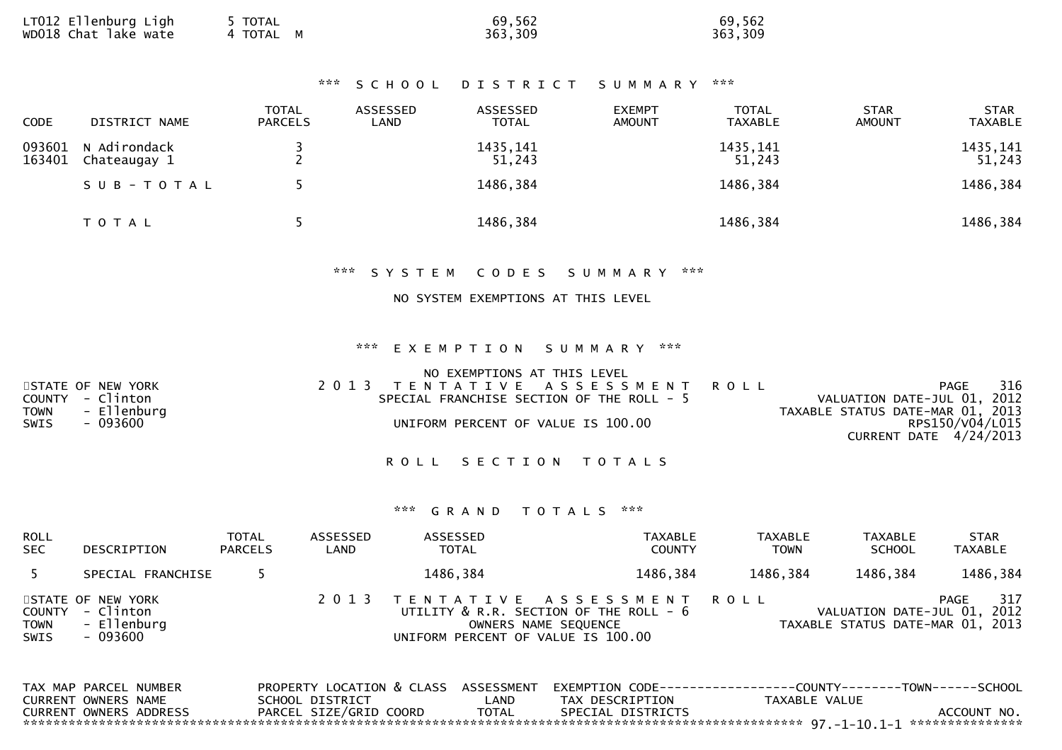| 4 TOTAL M | LT012 Ellenburg Ligh<br>wDO18 Chat lake wate | TOTAL | 69,562<br>363,309 | 69,562<br>363,309 |
|-----------|----------------------------------------------|-------|-------------------|-------------------|
|-----------|----------------------------------------------|-------|-------------------|-------------------|

#### \*\*\* S C H O O L D I S T R I C T S U M M A R Y \*\*\*

| <b>CODE</b>      | DISTRICT NAME                | <b>TOTAL</b><br><b>PARCELS</b> | ASSESSED<br>LAND | ASSESSED<br><b>TOTAL</b> | <b>EXEMPT</b><br><b>AMOUNT</b> | <b>TOTAL</b><br><b>TAXABLE</b> | <b>STAR</b><br><b>AMOUNT</b> | <b>STAR</b><br><b>TAXABLE</b> |
|------------------|------------------------------|--------------------------------|------------------|--------------------------|--------------------------------|--------------------------------|------------------------------|-------------------------------|
| 093601<br>163401 | N Adirondack<br>Chateaugay 1 |                                |                  | 1435, 141<br>51,243      |                                | 1435, 141<br>51,243            |                              | 1435, 141<br>51,243           |
|                  | SUB-TOTAL                    |                                |                  | 1486,384                 |                                | 1486,384                       |                              | 1486,384                      |
|                  | T O T A L                    |                                |                  | 1486,384                 |                                | 1486,384                       |                              | 1486,384                      |

## \*\*\* S Y S T E M C O D E S S U M M A R Y \*\*\*

### NO SYSTEM EXEMPTIONS AT THIS LEVEL

## \*\*\* E X E M P T I O N S U M M A R Y \*\*\*

|             |                   | NO EXEMPTIONS AT THIS LEVEL               |                             |     |
|-------------|-------------------|-------------------------------------------|-----------------------------|-----|
|             | STATE OF NEW YORK | 2013 TENTATIVE ASSESSMENT ROLL            | PAGE                        | 316 |
|             | COUNTY - Clinton  | SPECIAL FRANCHISE SECTION OF THE ROLL - 5 | VALUATION DATE-JUL 01, 2012 |     |
| <b>TOWN</b> | - Ellenburg       | TAXABLE STATUS DATE-MAR 01, 2013          |                             |     |
| SWIS        | - 093600          | UNIFORM PERCENT OF VALUE IS 100.00        | RPS150/V04/L015             |     |
|             |                   |                                           | CURRENT DATE 4/24/2013      |     |
|             |                   |                                           |                             |     |

### ROLL SECTION TOTALS

| <b>ROLL</b><br><b>SEC</b>     | DESCRIPTION                                               | <b>TOTAL</b><br><b>PARCELS</b> | ASSESSED<br>LAND | ASSESSED<br><b>TOTAL</b>           | TAXABLE<br><b>COUNTY</b>                                                               | <b>TAXABLE</b><br><b>TOWN</b> | <b>TAXABLE</b><br><b>SCHOOL</b>                                 | <b>STAR</b><br><b>TAXABLE</b> |
|-------------------------------|-----------------------------------------------------------|--------------------------------|------------------|------------------------------------|----------------------------------------------------------------------------------------|-------------------------------|-----------------------------------------------------------------|-------------------------------|
|                               | SPECIAL FRANCHISE                                         |                                |                  | 1486,384                           | 1486,384                                                                               | 1486,384                      | 1486,384                                                        | 1486,384                      |
| COUNTY<br><b>TOWN</b><br>SWIS | STATE OF NEW YORK<br>- Clinton<br>- Ellenburg<br>- 093600 |                                | 2 0 1 3          | UNIFORM PERCENT OF VALUE IS 100.00 | TENTATIVE ASSESSMENT<br>UTILITY & R.R. SECTION OF THE ROLL - 6<br>OWNERS NAME SEQUENCE | ROLL                          | VALUATION DATE-JUL 01, 2012<br>TAXABLE STATUS DATE-MAR 01, 2013 | 317<br>PAGE                   |

| TAX MAP PARCEL NUMBER  |                        |       |                   | PROPERTY LOCATION & CLASS ASSESSMENT EXEMPTION CODE---------------COUNTY-------TOWN------SCHOOL |             |
|------------------------|------------------------|-------|-------------------|-------------------------------------------------------------------------------------------------|-------------|
| CURRENT OWNERS NAME    | SCHOOL DISTRICT        | _AND  | TAX DESCRIPTION   | TAXABLE VALUE                                                                                   |             |
| CURRENT OWNERS ADDRESS | PARCEL SIZE/GRID COORD | TOTAL | SPECIAL DISTRICTS |                                                                                                 | ACCOUNT NO. |
|                        |                        |       |                   |                                                                                                 |             |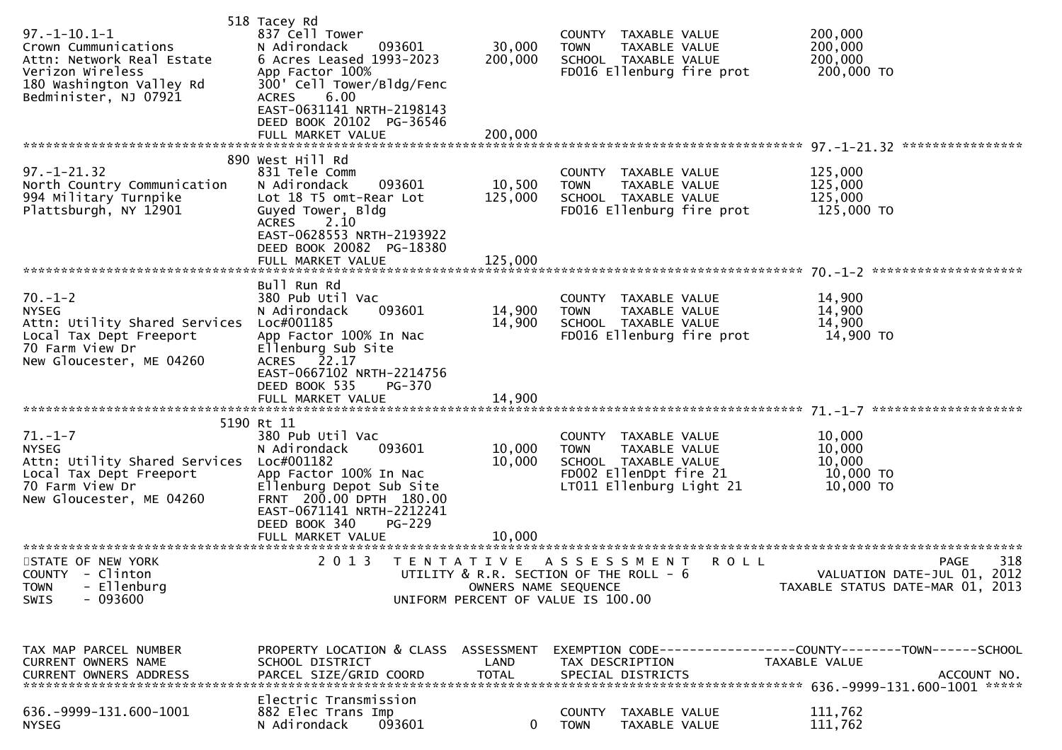| $97. - 1 - 10.1 - 1$<br>Crown Cummunications<br>Attn: Network Real Estate<br>Verizon Wireless<br>180 Washington Valley Rd<br>Bedminister, NJ 07921 | 518 Tacey Rd<br>837 Cell Tower<br>N Adirondack<br>093601<br>6 Acres Leased 1993-2023<br>App Factor 100%<br>300' Cell Tower/Bldg/Fenc<br>6.00<br><b>ACRES</b><br>EAST-0631141 NRTH-2198143<br>DEED BOOK 20102 PG-36546<br>FULL MARKET VALUE | 30,000<br>200,000<br>200,000 | COUNTY TAXABLE VALUE<br><b>TOWN</b><br>TAXABLE VALUE<br>SCHOOL TAXABLE VALUE<br>FD016 Ellenburg fire prot       | 200,000<br>200,000<br>200,000<br>200,000 TO                                    |     |
|----------------------------------------------------------------------------------------------------------------------------------------------------|--------------------------------------------------------------------------------------------------------------------------------------------------------------------------------------------------------------------------------------------|------------------------------|-----------------------------------------------------------------------------------------------------------------|--------------------------------------------------------------------------------|-----|
| $97. - 1 - 21.32$<br>North Country Communication<br>994 Military Turnpike<br>Plattsburgh, NY 12901                                                 | 890 West Hill Rd<br>831 Tele Comm<br>N Adirondack<br>093601<br>Lot 18 T5 omt-Rear Lot<br>Guyed Tower, Bldg<br><b>ACRES</b><br>2.10<br>EAST-0628553 NRTH-2193922<br>DEED BOOK 20082 PG-18380<br>FULL MARKET VALUE                           | 10,500<br>125,000<br>125,000 | COUNTY TAXABLE VALUE<br>TAXABLE VALUE<br><b>TOWN</b><br>SCHOOL TAXABLE VALUE<br>FD016 Ellenburg fire prot       | 125,000<br>125,000<br>125,000<br>125,000 TO                                    |     |
|                                                                                                                                                    | Bull Run Rd                                                                                                                                                                                                                                |                              |                                                                                                                 |                                                                                |     |
| $70. - 1 - 2$<br><b>NYSEG</b><br>Attn: Utility Shared Services<br>Local Tax Dept Freeport<br>70 Farm View Dr<br>New Gloucester, ME 04260           | 380 Pub Util Vac<br>093601<br>N Adirondack<br>Loc#001185<br>App Factor 100% In Nac<br>Ellenburg Sub Site<br>ACRES 22.17                                                                                                                    | 14,900<br>14,900             | COUNTY TAXABLE VALUE<br>TAXABLE VALUE<br><b>TOWN</b><br>SCHOOL TAXABLE VALUE<br>FD016 Ellenburg fire prot       | 14,900<br>14,900<br>14,900<br>14,900 TO                                        |     |
|                                                                                                                                                    | EAST-0667102 NRTH-2214756<br>DEED BOOK 535<br><b>PG-370</b><br>FULL MARKET VALUE                                                                                                                                                           | 14,900                       |                                                                                                                 |                                                                                |     |
|                                                                                                                                                    | 5190 Rt 11                                                                                                                                                                                                                                 |                              |                                                                                                                 |                                                                                |     |
| $71. - 1 - 7$<br><b>NYSEG</b><br>Attn: Utility Shared Services                                                                                     | 380 Pub Util Vac<br>093601<br>N Adirondack<br>Loc#001182                                                                                                                                                                                   | 10,000<br>10,000             | COUNTY TAXABLE VALUE<br><b>TOWN</b><br>TAXABLE VALUE<br>SCHOOL TAXABLE VALUE                                    | 10,000<br>10,000<br>10,000                                                     |     |
| Local Tax Dept Freeport<br>70 Farm View Dr<br>New Gloucester, ME 04260                                                                             | App Factor 100% In Nac<br>Ellenburg Depot Sub Site<br>FRNT 200.00 DPTH 180.00<br>EAST-0671141 NRTH-2212241<br>DEED BOOK 340<br>PG-229                                                                                                      |                              | FD002 EllenDpt fire 21<br>LT011 Ellenburg Light 21                                                              | 10,000 TO<br>10,000 TO                                                         |     |
|                                                                                                                                                    | FULL MARKET VALUE                                                                                                                                                                                                                          | 10,000                       |                                                                                                                 |                                                                                |     |
| STATE OF NEW YORK<br>COUNTY - Clinton<br><b>TOWN</b><br>- Ellenburg<br>SWIS<br>- 093600                                                            | 2 0 1 3                                                                                                                                                                                                                                    | OWNERS NAME SEQUENCE         | TENTATIVE ASSESSMENT<br>R O L L<br>UTILITY & R.R. SECTION OF THE ROLL - 6<br>UNIFORM PERCENT OF VALUE IS 100.00 | <b>PAGE</b><br>VALUATION DATE-JUL 01, 2012<br>TAXABLE STATUS DATE-MAR 01, 2013 | 318 |
| TAX MAP PARCEL NUMBER<br>CURRENT OWNERS NAME                                                                                                       | PROPERTY LOCATION & CLASS<br>SCHOOL DISTRICT                                                                                                                                                                                               | ASSESSMENT<br>LAND           | TAX DESCRIPTION                                                                                                 | TAXABLE VALUE                                                                  |     |
| 636. - 9999 - 131. 600 - 1001<br><b>NYSEG</b>                                                                                                      | Electric Transmission<br>882 Elec Trans Imp<br>093601<br>N Adirondack                                                                                                                                                                      | $\mathbf{0}$                 | TAXABLE VALUE<br>COUNTY<br>TOWN<br>TAXABLE VALUE                                                                | 111,762<br>111,762                                                             |     |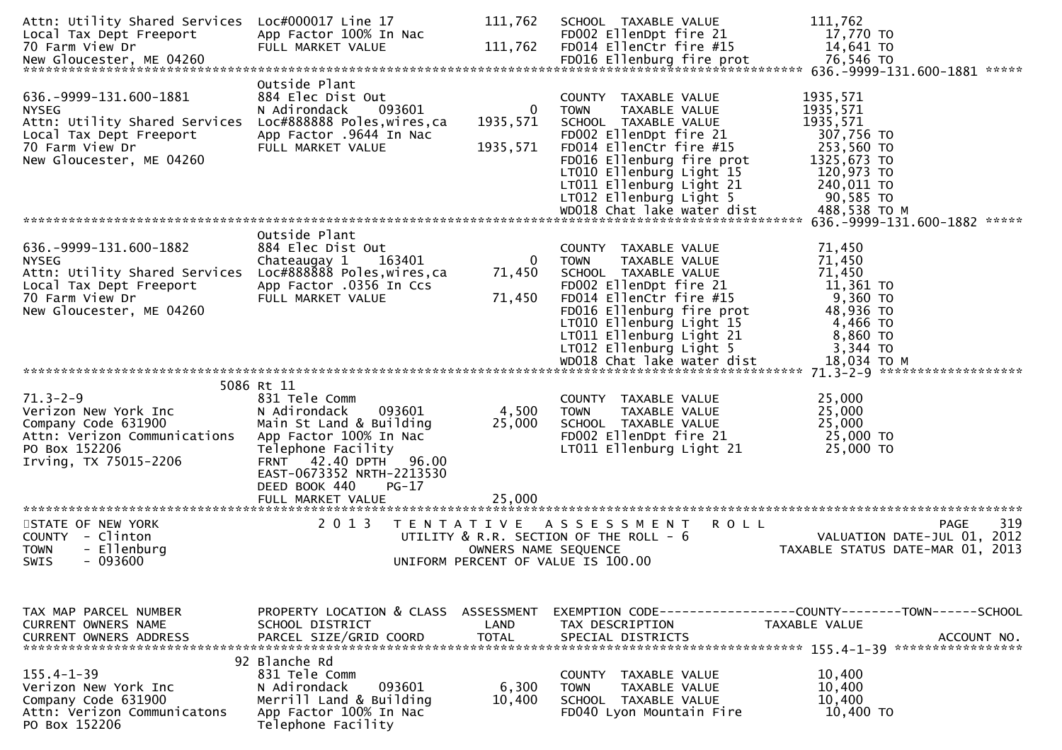| Attn: Utility Shared Services Loc#000017 Line 17<br>Local Tax Dept Freeport                                                                              | App Factor 100% In Nac                                                                                                                                                                                                | 111,762                    | SCHOOL TAXABLE VALUE<br>FD002 EllenDpt fire 21                                                                                                                                                                                                                           | 111,762<br>17,770 TO                                                                                                                 |
|----------------------------------------------------------------------------------------------------------------------------------------------------------|-----------------------------------------------------------------------------------------------------------------------------------------------------------------------------------------------------------------------|----------------------------|--------------------------------------------------------------------------------------------------------------------------------------------------------------------------------------------------------------------------------------------------------------------------|--------------------------------------------------------------------------------------------------------------------------------------|
| 70 Farm View Dr                                                                                                                                          | FULL MARKET VALUE                                                                                                                                                                                                     | 111,762                    | FD014 EllenCtr fire #15                                                                                                                                                                                                                                                  | 14,641 TO                                                                                                                            |
|                                                                                                                                                          |                                                                                                                                                                                                                       |                            |                                                                                                                                                                                                                                                                          | 76,546 TO<br>636.-9999-131.600-1881 ******                                                                                           |
| 636. - 9999 - 131. 600 - 1881<br><b>NYSEG</b><br>Attn: Utility Shared Services<br>Local Tax Dept Freeport<br>70 Farm View Dr<br>New Gloucester, ME 04260 | Outside Plant<br>884 Elec Dist Out<br>093601<br>N Adirondack<br>Loc#888888 Poles, wires, ca<br>App Factor .9644 In Nac<br>FULL MARKET VALUE                                                                           | 0<br>1935,571<br>1935, 571 | COUNTY TAXABLE VALUE<br><b>TOWN</b><br>TAXABLE VALUE<br>SCHOOL TAXABLE VALUE<br>FD002 EllenDpt fire 21<br>FD014 EllenCtr fire #15<br>FD016 Ellenburg fire prot<br>LT010 Ellenburg Light 15<br>LT011 Ellenburg Light 21<br>LT012 Ellenburg Light 5                        | 1935,571<br>1935,571<br>1935,571<br>307,756 TO<br>253,560 TO<br>1325,673 TO<br>120,973 TO<br>240,011 TO<br>90,585 TO<br>488,538 TO M |
|                                                                                                                                                          | Outside Plant                                                                                                                                                                                                         |                            |                                                                                                                                                                                                                                                                          | 636. - 9999 - 131. 600 - 1882 *****                                                                                                  |
| 636. - 9999 - 131. 600 - 1882<br><b>NYSEG</b><br>Attn: Utility Shared Services<br>Local Tax Dept Freeport<br>70 Farm View Dr<br>New Gloucester, ME 04260 | 884 Elec Dist Out<br>Chateaugay 1<br>163401<br>Loc#888888 Poles, wires, ca<br>App Factor .0356 In Ccs<br>FULL MARKET VALUE                                                                                            | 0<br>71,450<br>71,450      | COUNTY TAXABLE VALUE<br>TAXABLE VALUE<br>TOWN<br>SCHOOL TAXABLE VALUE<br>FD002 EllenDpt fire 21<br>FD014 EllenCtr fire #15<br>FD016 Ellenburg fire prot<br>LT010 Ellenburg Light 15<br>LT011 Ellenburg Light 21<br>LT012 Ellenburg Light 5<br>WD018 Chat lake water dist | 71,450<br>71,450<br>71,450<br>11,361 TO<br>9,360 TO<br>48,936 TO<br>4,466 TO<br>8,860 TO<br>3,344 TO<br>18,034 TO M                  |
|                                                                                                                                                          |                                                                                                                                                                                                                       |                            |                                                                                                                                                                                                                                                                          |                                                                                                                                      |
| $71.3 - 2 - 9$<br>Verizon New York Inc<br>Company Code 631900<br>Attn: Verizon Communications<br>PO Box 152206<br>Irving, TX 75015-2206                  | 5086 Rt 11<br>831 Tele Comm<br>N Adirondack<br>093601<br>Main St Land & Building<br>App Factor 100% In Nac<br>Telephone Facility<br>FRNT 42.40 DPTH<br>96.00<br>EAST-0673352 NRTH-2213530<br>DEED BOOK 440<br>$PG-17$ | 4,500<br>25,000            | COUNTY TAXABLE VALUE<br><b>TOWN</b><br>TAXABLE VALUE<br>SCHOOL TAXABLE VALUE<br>FD002 EllenDpt fire 21<br>LT011 Ellenburg Light 21                                                                                                                                       | 25,000<br>25,000<br>25,000<br>25,000 TO<br>25,000 TO                                                                                 |
|                                                                                                                                                          | FULL MARKET VALUE                                                                                                                                                                                                     | 25,000                     |                                                                                                                                                                                                                                                                          |                                                                                                                                      |
| STATE OF NEW YORK<br>COUNTY - Clinton<br>- Ellenburg<br><b>TOWN</b><br><b>SWIS</b><br>- 093600                                                           | 2 0 1 3<br>T E N T A T I V E                                                                                                                                                                                          | OWNERS NAME SEQUENCE       | A S S E S S M E N T<br><b>ROLL</b><br>UTILITY & R.R. SECTION OF THE ROLL - 6<br>UNIFORM PERCENT OF VALUE IS 100.00                                                                                                                                                       | 319<br><b>PAGE</b><br>VALUATION DATE-JUL 01, 2012<br>TAXABLE STATUS DATE-MAR 01, 2013                                                |
| TAX MAP PARCEL NUMBER<br>CURRENT OWNERS NAME<br><b>CURRENT OWNERS ADDRESS</b>                                                                            | PROPERTY LOCATION & CLASS ASSESSMENT<br>SCHOOL DISTRICT<br>PARCEL SIZE/GRID COORD                                                                                                                                     | LAND<br><b>TOTAL</b>       | TAX DESCRIPTION<br>SPECIAL DISTRICTS                                                                                                                                                                                                                                     | EXEMPTION CODE------------------COUNTY--------TOWN------SCHOOL<br>TAXABLE VALUE<br>ACCOUNT NO.                                       |
| $155.4 - 1 - 39$<br>Verizon New York Inc<br>Company Code 631900<br>Attn: Verizon Communicatons<br>PO Box 152206                                          | 92 Blanche Rd<br>831 Tele Comm<br>N Adirondack<br>093601<br>Merrill Land & Building<br>App Factor 100% In Nac<br>Telephone Facility                                                                                   | 6,300<br>10,400            | COUNTY TAXABLE VALUE<br>TAXABLE VALUE<br><b>TOWN</b><br>SCHOOL TAXABLE VALUE<br>FD040 Lyon Mountain Fire                                                                                                                                                                 | 10,400<br>10,400<br>10,400<br>10,400 TO                                                                                              |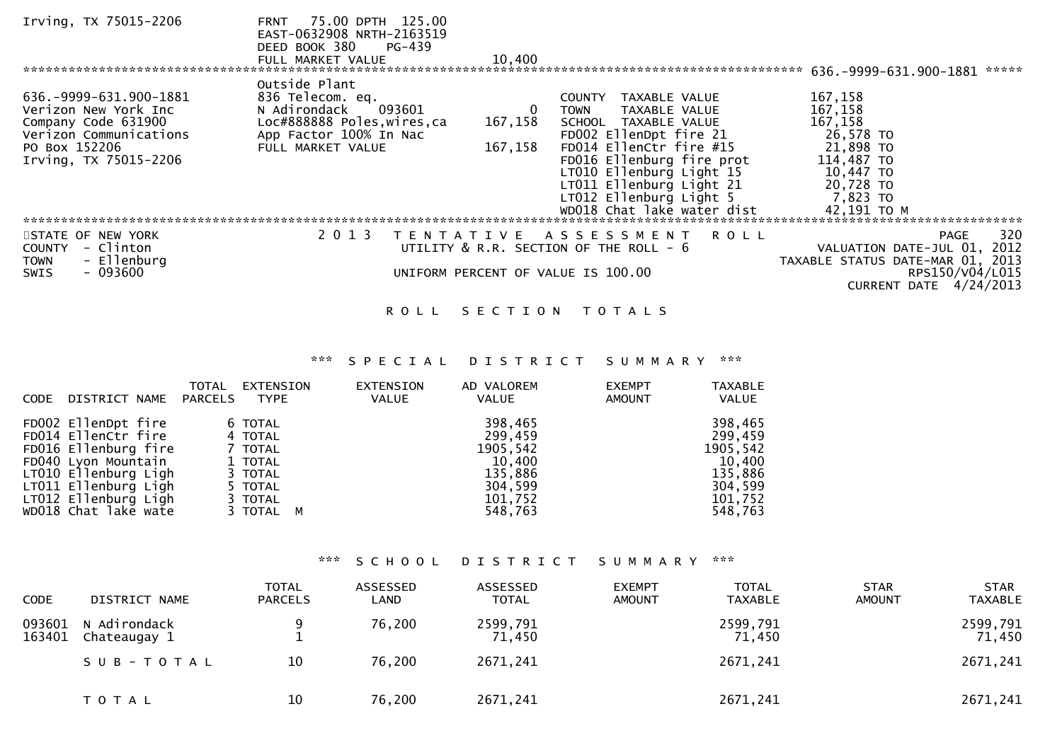| Irving, TX 75015-2206      | 75.00 DPTH 125.00<br><b>FRNT</b><br>EAST-0632908 NRTH-2163519<br>DEED BOOK 380<br>PG-439<br>FULL MARKET VALUE | 10,400  |                                        | $636. -9999 - 631.900 - 1881$ ***** |
|----------------------------|---------------------------------------------------------------------------------------------------------------|---------|----------------------------------------|-------------------------------------|
| 636.-9999-631.900-1881     | Outside Plant<br>836 Telecom. eq.                                                                             |         | TAXABLE VALUE<br><b>COUNTY</b>         | 167,158                             |
| Verizon New York Inc       | N Adirondack<br>093601                                                                                        | 0       | TAXABLE VALUE<br>TOWN                  | 167,158                             |
| Company Code 631900        | Loc#888888 Poles, wires, ca                                                                                   | 167,158 | SCHOOL TAXABLE VALUE                   | 167,158                             |
| Verizon Communications     | App Factor 100% In Nac                                                                                        |         | FD002 EllenDpt fire 21                 | 26,578 TO                           |
| PO Box 152206              | FULL MARKET VALUE                                                                                             | 167,158 | FD014 EllenCtr fire #15                | 21,898 TO                           |
| Irving, TX 75015-2206      |                                                                                                               |         | FD016 Ellenburg fire prot              | 114,487 TO                          |
|                            |                                                                                                               |         | LT010 Ellenburg Light 15               | 10,447 TO                           |
|                            |                                                                                                               |         | LT011 Ellenburg Light 21               | 20,728 TO                           |
|                            |                                                                                                               |         | LT012 Ellenburg Light 5                | 7,823 TO                            |
|                            |                                                                                                               |         | WD018 Chat lake water dist             | 42,191 TO M                         |
| STATE OF NEW YORK          | 2 0 1 3<br>T E N T A T I V E                                                                                  |         | A S S E S S M E N T<br><b>ROLL</b>     | 320<br>PAGE                         |
| - Clinton<br><b>COUNTY</b> |                                                                                                               |         | UTILITY & R.R. SECTION OF THE ROLL - 6 | VALUATION DATE-JUL 01, 2012         |
| - Ellenburg<br><b>TOWN</b> |                                                                                                               |         |                                        | TAXABLE STATUS DATE-MAR 01, 2013    |
| $-093600$<br><b>SWIS</b>   |                                                                                                               |         | UNIFORM PERCENT OF VALUE IS 100.00     | RPS150/V04/L015                     |
|                            |                                                                                                               |         |                                        | CURRENT DATE $4/24/2013$            |

## ROLL SECTION TOTALS

## \*\*\* S P E C I A L D I S T R I C T S U M M A R Y \*\*\*

| DISTRICT NAME<br><b>CODE</b>                                                                                                                                      | TOTAL<br>EXTENSION<br>PARCELS<br>TYPE                                     | EXTENSION<br>AD VALOREM<br><b>VALUE</b><br><b>VALUE</b>                   | <b>EXEMPT</b><br><b>AMOUNT</b> | <b>TAXABLE</b><br>VALUE                                                   |
|-------------------------------------------------------------------------------------------------------------------------------------------------------------------|---------------------------------------------------------------------------|---------------------------------------------------------------------------|--------------------------------|---------------------------------------------------------------------------|
| FD002 EllenDpt fire<br>FD014 EllenCtr fire<br>FD016 Ellenburg fire<br>FD040 Lyon Mountain<br>LT010 Ellenburg Ligh<br>LT011 Ellenburg Ligh<br>LT012 Ellenburg Ligh | 6 TOTAL<br>4 TOTAL<br>7 TOTAL<br>1 TOTAL<br>3 TOTAL<br>5 TOTAL<br>3 TOTAL | 398,465<br>299,459<br>1905,542<br>10,400<br>135,886<br>304,599<br>101,752 |                                | 398,465<br>299,459<br>1905,542<br>10,400<br>135,886<br>304,599<br>101,752 |
| WD018 Chat lake wate                                                                                                                                              | 3 TOTAL M                                                                 | 548,763                                                                   |                                | 548,763                                                                   |

## \*\*\* S C H O O L D I S T R I C T S U M M A R Y \*\*\*

| <b>CODE</b>      | DISTRICT NAME                | <b>TOTAL</b><br><b>PARCELS</b> | ASSESSED<br>LAND | ASSESSED<br><b>TOTAL</b> | <b>EXEMPT</b><br><b>AMOUNT</b> | <b>TOTAL</b><br><b>TAXABLE</b> | <b>STAR</b><br><b>AMOUNT</b> | <b>STAR</b><br><b>TAXABLE</b> |
|------------------|------------------------------|--------------------------------|------------------|--------------------------|--------------------------------|--------------------------------|------------------------------|-------------------------------|
| 093601<br>163401 | N Adirondack<br>Chateaugay 1 |                                | 76,200           | 2599,791<br>71,450       |                                | 2599,791<br>71,450             |                              | 2599,791<br>71,450            |
|                  | SUB-TOTAL                    | 10                             | 76,200           | 2671,241                 |                                | 2671,241                       |                              | 2671,241                      |
|                  | T O T A L                    | 10                             | 76,200           | 2671,241                 |                                | 2671,241                       |                              | 2671,241                      |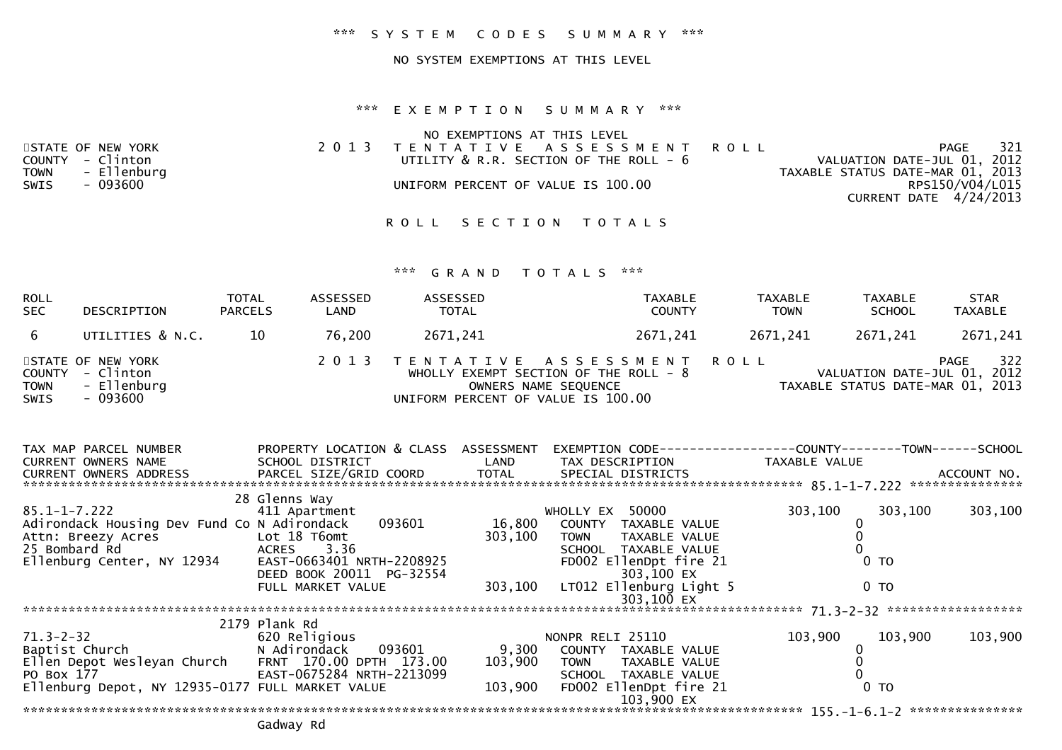#### \*\*\* S Y S T E M C O D E S S U M M A R Y \*\*\*

### NO SYSTEM EXEMPTIONS AT THIS LEVEL

#### \*\*\* E X E M P T I O N S U M M A R Y \*\*\*

|                   | NO EXEMPTIONS AT THIS LEVEL            |                                  |
|-------------------|----------------------------------------|----------------------------------|
| STATE OF NEW YORK | 2013 TENTATIVE ASSESSMENT ROLL         | 321<br>PAGE                      |
| COUNTY - Clinton  | UTILITY & R.R. SECTION OF THE ROLL - 6 | VALUATION DATE-JUL 01, 2012      |
| TOWN - Ellenburg  |                                        | TAXABLE STATUS DATE-MAR 01, 2013 |
| SWIS<br>- 093600  | UNIFORM PERCENT OF VALUE IS 100.00     | RPS150/V04/L015                  |
|                   |                                        | CURRENT DATE 4/24/2013           |

ROLL SECTION TOTALS

| ROLL<br><b>SEC</b>  | <b>DESCRIPTION</b>                                               | <b>TOTAL</b><br><b>PARCELS</b> | ASSESSED<br>LAND | ASSESSED<br><b>TOTAL</b>           | <b>TAXABLE</b><br><b>COUNTY</b>                                                                  | <b>TAXABLE</b><br><b>TOWN</b> | <b>TAXABLE</b><br><b>SCHOOL</b>                                 | <b>STAR</b><br><b>TAXABLE</b> |
|---------------------|------------------------------------------------------------------|--------------------------------|------------------|------------------------------------|--------------------------------------------------------------------------------------------------|-------------------------------|-----------------------------------------------------------------|-------------------------------|
| -6                  | UTILITIES & N.C.                                                 | 10                             | 76,200           | 2671.241                           | 2671,241                                                                                         | 2671,241                      | 2671,241                                                        | 2671,241                      |
| <b>TOWN</b><br>SWIS | STATE OF NEW YORK<br>COUNTY - Clinton<br>- Ellenburg<br>- 093600 |                                |                  | UNIFORM PERCENT OF VALUE IS 100.00 | 2013 TENTATIVE ASSESSMENT ROLL<br>WHOLLY EXEMPT SECTION OF THE ROLL $-8$<br>OWNERS NAME SEQUENCE |                               | VALUATION DATE-JUL 01, 2012<br>TAXABLE STATUS DATE-MAR 01, 2013 | 322<br>PAGE                   |

| TAX MAP PARCEL NUMBER                               | PROPERTY LOCATION & CLASS ASSESSMENT |                          | EXEMPTION CODE---              | --------------COUNTY--------TOWN------SCHOOL |                    |
|-----------------------------------------------------|--------------------------------------|--------------------------|--------------------------------|----------------------------------------------|--------------------|
| <b>CURRENT OWNERS NAME</b>                          | SCHOOL DISTRICT                      | <b>Example 12 DELAND</b> | TAX DESCRIPTION                | TAXABLE VALUE                                |                    |
| CURRENT OWNERS ADDRESS                              | PARCEL SIZE/GRID COORD               | TOTAL                    | SPECIAL DISTRICTS              |                                              | ACCOUNT NO.        |
|                                                     |                                      |                          |                                |                                              | ***************    |
|                                                     | 28 Glenns Way                        |                          |                                |                                              |                    |
| 85.1-1-7.222                                        | 411 Apartment                        |                          | 50000<br>WHOLLY EX             | 303,100<br>303,100                           | 303,100            |
| Adirondack Housing Dev Fund Co N Adirondack         | 093601                               | 16,800                   | COUNTY<br>TAXABLE VALUE        |                                              |                    |
| Attn: Breezy Acres                                  | Lot 18 T6omt                         | 303,100                  | TAXABLE VALUE<br><b>TOWN</b>   |                                              |                    |
| 25 Bombard Rd                                       | 3.36<br>ACRES                        |                          | <b>SCHOOL</b><br>TAXABLE VALUE |                                              |                    |
| Ellenburg Center, NY 12934                          | EAST-0663401 NRTH-2208925            |                          | FD002 EllenDpt fire 21         | 0 <sub>TO</sub>                              |                    |
|                                                     | DEED BOOK 20011 PG-32554             |                          | 303,100 EX                     |                                              |                    |
|                                                     | FULL MARKET VALUE                    | 303,100                  | LT012 Ellenburg Light 5        | 0 <sub>T</sub>                               |                    |
|                                                     |                                      |                          | 303,100 EX                     |                                              |                    |
|                                                     |                                      |                          |                                |                                              | ****************** |
|                                                     | 2179 Plank Rd                        |                          |                                |                                              |                    |
| $71.3 - 2 - 32$                                     | 620 Religious                        |                          | NONPR RELI 25110               | 103,900<br>103,900                           | 103,900            |
| Baptist Church                                      | N Adirondack    093601               | 9,300                    | COUNTY TAXABLE VALUE           |                                              |                    |
| Ellen Depot Wesleyan Church FRNT 170.00 DPTH 173.00 |                                      | 103,900                  | TOWN TAXABLE VALUE             |                                              |                    |
| PO Box 177                                          | EAST-0675284 NRTH-2213099            |                          | SCHOOL TAXABLE VALUE           |                                              |                    |
| Ellenburg Depot, NY 12935-0177 FULL MARKET VALUE    |                                      | 103,900                  | FD002 EllenDpt fire 21         | 0 <sub>TO</sub>                              |                    |
|                                                     |                                      |                          | 103,900 EX                     |                                              |                    |
|                                                     |                                      |                          |                                |                                              |                    |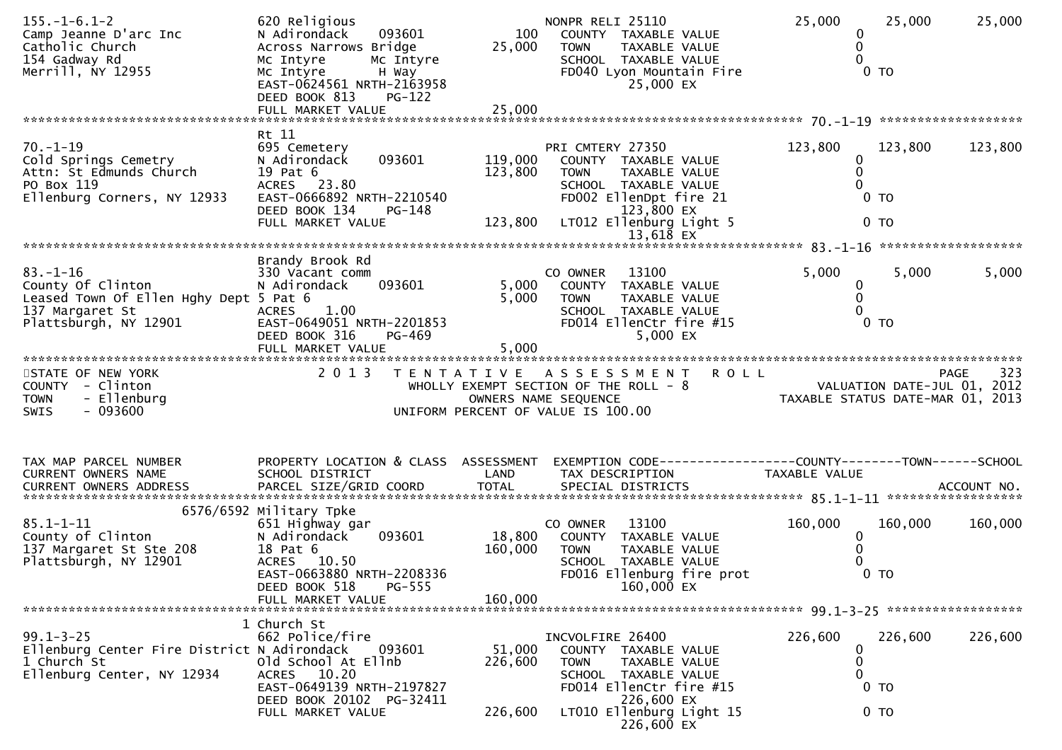| $155. - 1 - 6.1 - 2$<br>Camp Jeanne D'arc Inc<br>Catholic Church<br>154 Gadway Rd<br>Merrill, NY 12955                    | 620 Religious<br>093601<br>N Adirondack<br>Across Narrows Bridge<br>Mc Intyre<br>Mc Intyre<br>Mc Intyre<br>H Way<br>EAST-0624561 NRTH-2163958<br>DEED BOOK 813<br>PG-122<br>FULL MARKET VALUE | 100<br>25,000<br>25,000      | NONPR RELI 25110<br>COUNTY TAXABLE VALUE<br>TAXABLE VALUE<br><b>TOWN</b><br>SCHOOL TAXABLE VALUE<br>FD040 Lyon Mountain Fire<br>25,000 EX    | 25,000<br>25,000<br>0<br>$\mathbf 0$<br>$\Omega$<br>$0$ TO      | 25,000      |
|---------------------------------------------------------------------------------------------------------------------------|-----------------------------------------------------------------------------------------------------------------------------------------------------------------------------------------------|------------------------------|----------------------------------------------------------------------------------------------------------------------------------------------|-----------------------------------------------------------------|-------------|
|                                                                                                                           | Rt 11                                                                                                                                                                                         |                              |                                                                                                                                              |                                                                 |             |
| $70. - 1 - 19$<br>Cold Springs Cemetry<br>Attn: St Edmunds Church<br>PO Box 119<br>Ellenburg Corners, NY 12933            | 695 Cemetery<br>093601<br>N Adirondack<br>19 Pat 6<br>ACRES 23.80<br>EAST-0666892 NRTH-2210540<br>DEED BOOK 134<br>PG-148                                                                     | 119,000<br>123,800           | PRI CMTERY 27350<br>COUNTY TAXABLE VALUE<br>TAXABLE VALUE<br><b>TOWN</b><br>SCHOOL TAXABLE VALUE<br>FD002 EllenDpt fire 21<br>123,800 EX     | 123,800<br>123,800<br>0<br>$\mathbf 0$<br>0<br>$0$ TO           | 123,800     |
|                                                                                                                           | FULL MARKET VALUE                                                                                                                                                                             | 123,800                      | LT012 Ellenburg Light 5<br>$13,618$ EX                                                                                                       | 0 <sub>T</sub>                                                  |             |
|                                                                                                                           | Brandy Brook Rd                                                                                                                                                                               |                              |                                                                                                                                              |                                                                 |             |
| $83. - 1 - 16$<br>County Of Clinton<br>Leased Town Of Ellen Hghy Dept 5 Pat 6<br>137 Margaret St<br>Plattsburgh, NY 12901 | 330 Vacant comm<br>093601<br>N Adirondack<br>1.00<br>ACRES<br>EAST-0649051 NRTH-2201853<br>DEED BOOK 316<br>PG-469                                                                            | 5,000<br>5,000               | CO OWNER<br>13100<br>COUNTY TAXABLE VALUE<br>TAXABLE VALUE<br>TOWN<br>SCHOOL TAXABLE VALUE<br>FD014 EllenCtr fire #15<br>5,000 EX            | 5,000<br>5,000<br>0<br>0<br>0<br>0 <sub>T</sub>                 | 5,000       |
|                                                                                                                           | FULL MARKET VALUE                                                                                                                                                                             | 5,000                        |                                                                                                                                              |                                                                 |             |
| STATE OF NEW YORK<br>COUNTY - Clinton<br>- Ellenburg<br><b>TOWN</b><br>$-093600$<br><b>SWIS</b>                           | 2 0 1 3                                                                                                                                                                                       | T E N T A T I V E            | <b>ROLL</b><br>A S S E S S M E N T<br>WHOLLY EXEMPT SECTION OF THE ROLL - 8<br>OWNERS NAME SEQUENCE<br>UNIFORM PERCENT OF VALUE IS 100.00    | VALUATION DATE-JUL 01, 2012<br>TAXABLE STATUS DATE-MAR 01, 2013 | 323<br>PAGE |
| TAX MAP PARCEL NUMBER<br>CURRENT OWNERS NAME<br>CURRENT OWNERS ADDRESS                                                    | PROPERTY LOCATION & CLASS ASSESSMENT<br>SCHOOL DISTRICT<br>PARCEL SIZE/GRID COORD                                                                                                             | LAND<br><b>TOTAL</b>         | TAX DESCRIPTION<br>SPECIAL DISTRICTS                                                                                                         | TAXABLE VALUE                                                   | ACCOUNT NO. |
| $85.1 - 1 - 11$<br>County of Clinton<br>137 Margaret St Ste 208<br>Plattsburgh, NY 12901                                  | 6576/6592 Military Tpke<br>651 Highway gar<br>093601<br>N Adirondack<br>18 Pat 6<br>ACRES 10.50<br>EAST-0663880 NRTH-2208336<br>PG-555<br>DEED BOOK 518<br>FULL MARKET VALUE                  | 18,800<br>160,000<br>160,000 | 13100<br>CO OWNER<br>COUNTY TAXABLE VALUE<br>TAXABLE VALUE<br><b>TOWN</b><br>SCHOOL TAXABLE VALUE<br>FD016 Ellenburg fire prot<br>160,000 EX | 160,000<br>160,000<br>0<br>0<br>0<br>0 <sub>T</sub>             | 160,000     |
|                                                                                                                           |                                                                                                                                                                                               |                              |                                                                                                                                              |                                                                 |             |
| $99.1 - 3 - 25$<br>Ellenburg Center Fire District N Adirondack<br>1 Church St<br>Ellenburg Center, NY 12934               | 1 Church St<br>662 Police/fire<br>093601<br>Old School At Ellnb<br>ACRES 10.20<br>EAST-0649139 NRTH-2197827<br>DEED BOOK 20102 PG-32411                                                       | 51,000<br>226,600            | INCVOLFIRE 26400<br>COUNTY TAXABLE VALUE<br><b>TOWN</b><br>TAXABLE VALUE<br>SCHOOL TAXABLE VALUE<br>FD014 EllenCtr fire #15<br>226,600 EX    | 226,600<br>226,600<br>0<br>0<br>0<br>$0$ TO                     | 226,600     |
|                                                                                                                           | FULL MARKET VALUE                                                                                                                                                                             | 226,600                      | LT010 Ellenburg Light 15<br>226,600 EX                                                                                                       | 0 <sub>T</sub>                                                  |             |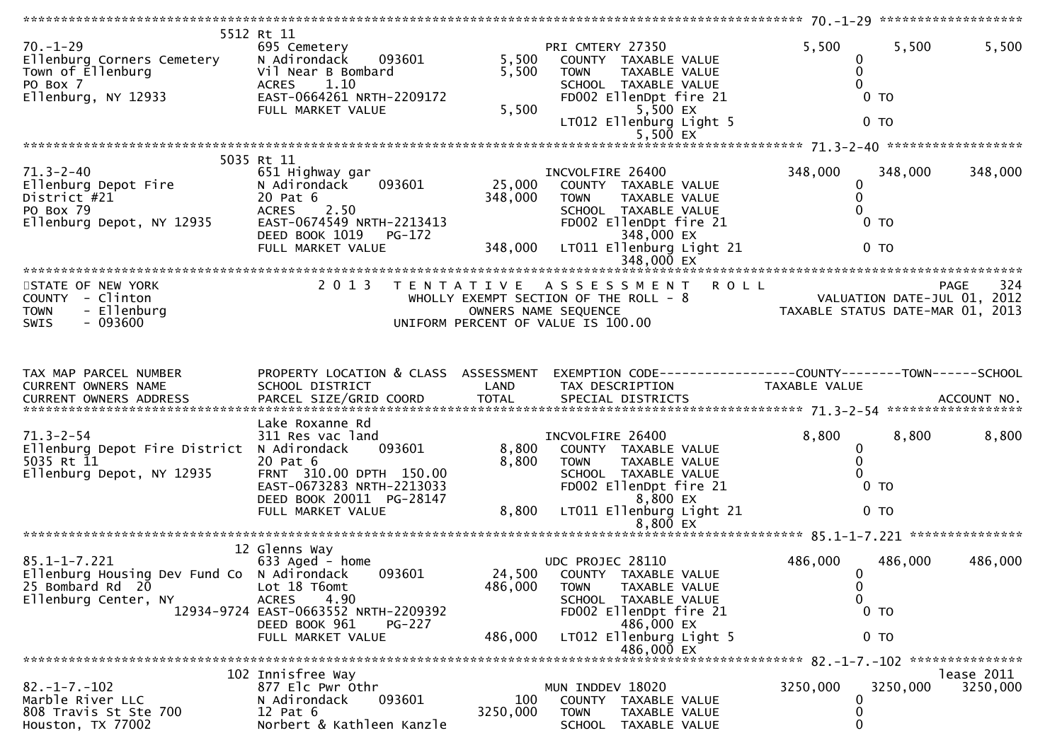| $70. - 1 - 29$<br>Ellenburg Corners Cemetery<br>Town of Ellenburg<br>PO Box 7<br>Ellenburg, NY 12933         | 5512 Rt 11<br>695 Cemetery<br>093601<br>N Adirondack<br>Vil Near B Bombard<br>1.10<br><b>ACRES</b><br>EAST-0664261 NRTH-2209172<br>FULL MARKET VALUE                              | 5,500<br>5,500<br>5,500      | PRI CMTERY 27350<br>COUNTY TAXABLE VALUE<br>TAXABLE VALUE<br><b>TOWN</b><br>SCHOOL TAXABLE VALUE<br>FD002 EllenDpt fire 21<br>5,500 EX<br>LT012 Ellenburg Light 5<br>$5,500$ EX    | 5,500<br>5,500<br>0<br>0<br>0 <sub>T</sub><br>0 <sub>T</sub>                                                                                          | 5,500                  |
|--------------------------------------------------------------------------------------------------------------|-----------------------------------------------------------------------------------------------------------------------------------------------------------------------------------|------------------------------|------------------------------------------------------------------------------------------------------------------------------------------------------------------------------------|-------------------------------------------------------------------------------------------------------------------------------------------------------|------------------------|
|                                                                                                              |                                                                                                                                                                                   |                              |                                                                                                                                                                                    |                                                                                                                                                       |                        |
| $71.3 - 2 - 40$<br>Ellenburg Depot Fire<br>District #21<br>PO Box 79<br>Ellenburg Depot, NY 12935            | 5035 Rt 11<br>651 Highway gar<br>093601<br>N Adirondack<br>20 Pat 6<br>2.50<br><b>ACRES</b><br>EAST-0674549 NRTH-2213413<br>DEED BOOK 1019<br>PG-172<br>FULL MARKET VALUE         | 25,000<br>348,000<br>348,000 | INCVOLFIRE 26400<br>COUNTY TAXABLE VALUE<br><b>TOWN</b><br>TAXABLE VALUE<br>SCHOOL TAXABLE VALUE<br>FD002 EllenDpt fire 21<br>348,000 EX<br>LT011 Ellenburg Light 21<br>348,000 EX | 348,000<br>348,000<br>0<br>$\mathbf{0}$<br>$0$ TO<br>$0$ TO                                                                                           | 348,000                |
|                                                                                                              |                                                                                                                                                                                   |                              |                                                                                                                                                                                    |                                                                                                                                                       |                        |
| STATE OF NEW YORK<br>COUNTY - Clinton<br>- Ellenburg<br><b>TOWN</b><br>$-093600$<br>SWIS                     | 2 0 1 3                                                                                                                                                                           |                              |                                                                                                                                                                                    | PAGE 324<br>WHOLLY EXEMPT SECTION OF THE ROLL - 8<br>OWNERS NAME SEQUENCE<br>UNIFORM PERCENT OF VALUE IS 100.00<br>UNIFORM PERCENT OF VALUE IS 100.00 |                        |
| TAX MAP PARCEL NUMBER<br>CURRENT OWNERS NAME                                                                 | PROPERTY LOCATION & CLASS ASSESSMENT<br>SCHOOL DISTRICT                                                                                                                           | LAND                         | TAX DESCRIPTION                                                                                                                                                                    | EXEMPTION CODE------------------COUNTY--------TOWN------SCHOOL<br>TAXABLE VALUE                                                                       |                        |
| $71.3 - 2 - 54$<br>Ellenburg Depot Fire District N Adirondack<br>5035 Rt 11<br>Ellenburg Depot, NY 12935     | Lake Roxanne Rd<br>311 Res vac land<br>093601<br>20 Pat 6<br>FRNT 310.00 DPTH 150.00<br>EAST-0673283 NRTH-2213033<br>DEED BOOK 20011 PG-28147<br>FULL MARKET VALUE                | 8,800<br>8,800<br>8,800      | INCVOLFIRE 26400<br>COUNTY TAXABLE VALUE<br><b>TOWN</b><br>TAXABLE VALUE<br>SCHOOL TAXABLE VALUE<br>FD002 EllenDpt fire 21<br>8,800 EX<br>LT011 Ellenburg Light 21                 | 8,800<br>8,800<br>0<br>0<br>0 <sub>T</sub><br>0 <sub>T</sub>                                                                                          | 8,800                  |
|                                                                                                              |                                                                                                                                                                                   |                              |                                                                                                                                                                                    |                                                                                                                                                       |                        |
| $85.1 - 1 - 7.221$<br>Ellenburg Housing Dev Fund Co N Adirondack<br>25 Bombard Rd 20<br>Ellenburg Center, NY | 12 Glenns Way<br>633 Aged - home<br>093601<br>Lot 18 T6omt<br>4.90<br><b>ACRES</b><br>12934-9724 EAST-0663552 NRTH-2209392<br>DEED BOOK 961<br><b>PG-227</b><br>FULL MARKET VALUE | 486,000<br>486,000           | UDC PROJEC 28110<br>24,500 COUNTY TAXABLE VALUE<br><b>TOWN</b><br>TAXABLE VALUE<br>SCHOOL TAXABLE VALUE<br>FD002 EllenDpt fire 21<br>486,000 EX<br>LT012 Ellenburg Light 5         | 486,000<br>486,000<br>$\mathbf{0}$<br>0<br>$\Omega$<br>0 <sub>T</sub><br>0 <sub>T</sub>                                                               | 486,000                |
|                                                                                                              |                                                                                                                                                                                   |                              | 486,000 EX                                                                                                                                                                         |                                                                                                                                                       |                        |
|                                                                                                              |                                                                                                                                                                                   |                              |                                                                                                                                                                                    |                                                                                                                                                       |                        |
| $82. -1 - 7. -102$<br>Marble River LLC<br>808 Travis St Ste 700<br>Houston, TX 77002                         | 102 Innisfree Way<br>877 Elc Pwr Othr<br>093601<br>N Adirondack<br>$12$ Pat $6$<br>Norbert & Kathleen Kanzle                                                                      | 100<br>3250,000              | MUN INDDEV 18020<br>COUNTY<br>TAXABLE VALUE<br><b>TOWN</b><br>TAXABLE VALUE<br>SCHOOL TAXABLE VALUE                                                                                | 3250,000<br>3250,000<br>$\mathbf{0}$<br>0<br>0                                                                                                        | lease 2011<br>3250,000 |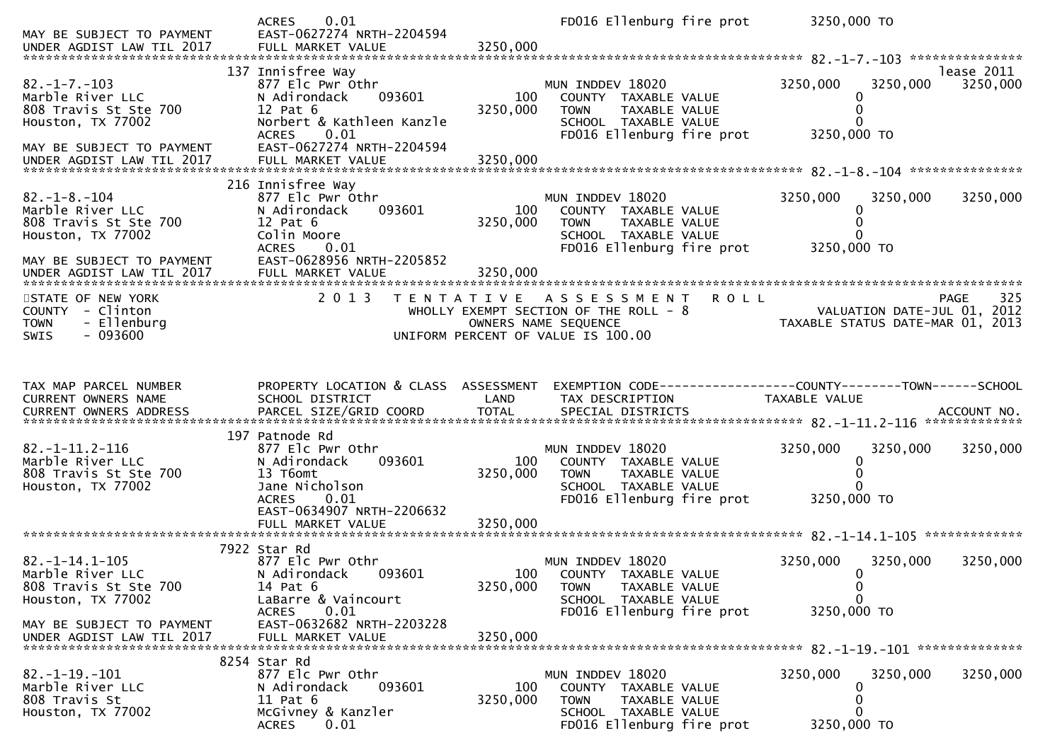| MAY BE SUBJECT TO PAYMENT<br>UNDER AGDIST LAW TIL 2017                                                              | <b>ACRES</b><br>0.01<br>EAST-0627274 NRTH-2204594<br>FULL MARKET VALUE                                                                          | 3250,000             | FD016 Ellenburg fire prot                                                                                                                 | 3250,000 TO                                                             |             |
|---------------------------------------------------------------------------------------------------------------------|-------------------------------------------------------------------------------------------------------------------------------------------------|----------------------|-------------------------------------------------------------------------------------------------------------------------------------------|-------------------------------------------------------------------------|-------------|
|                                                                                                                     | 137 Innisfree Way                                                                                                                               |                      |                                                                                                                                           |                                                                         | lease 2011  |
| $82. -1 - 7. -103$<br>Marble River LLC<br>808 Travis St Ste 700<br>Houston, TX 77002                                | 877 Elc Pwr Othr<br>N Adirondack<br>093601<br>12 Pat 6<br>Norbert & Kathleen Kanzle<br><b>ACRES</b><br>0.01                                     | 100<br>3250,000      | MUN INDDEV 18020<br>COUNTY TAXABLE VALUE<br>TAXABLE VALUE<br><b>TOWN</b><br>SCHOOL TAXABLE VALUE<br>FD016 Ellenburg fire prot             | 3250,000<br>3250,000<br>0<br>3250,000 TO                                | 3250,000    |
| MAY BE SUBJECT TO PAYMENT                                                                                           | EAST-0627274 NRTH-2204594                                                                                                                       |                      |                                                                                                                                           |                                                                         |             |
| $82. - 1 - 8. - 104$<br>Marble River LLC<br>808 Travis St Ste 700<br>Houston, TX 77002<br>MAY BE SUBJECT TO PAYMENT | 216 Innisfree Way<br>877 Elc Pwr Othr<br>N Adirondack<br>093601<br>12 Pat 6<br>Colin Moore<br><b>ACRES</b><br>0.01<br>EAST-0628956 NRTH-2205852 | 100<br>3250,000      | MUN INDDEV 18020<br>COUNTY TAXABLE VALUE<br>TAXABLE VALUE<br><b>TOWN</b><br>SCHOOL TAXABLE VALUE<br>FD016 Ellenburg fire prot             | 3250,000<br>3250,000<br>0<br>0<br>3250,000 TO                           | 3250,000    |
|                                                                                                                     |                                                                                                                                                 |                      |                                                                                                                                           |                                                                         |             |
| STATE OF NEW YORK<br>COUNTY - Clinton<br>- Ellenburg<br><b>TOWN</b><br>$-093600$<br>SWIS                            | 2 0 1 3                                                                                                                                         | T E N T A T I V E    | <b>ROLL</b><br>A S S E S S M E N T<br>WHOLLY EXEMPT SECTION OF THE ROLL - 8<br>OWNERS NAME SEQUENCE<br>UNIFORM PERCENT OF VALUE IS 100.00 | PAGE<br>VALUATION DATE-JUL 01, 2012<br>TAXABLE STATUS DATE-MAR 01, 2013 | 325         |
|                                                                                                                     |                                                                                                                                                 |                      |                                                                                                                                           |                                                                         |             |
| TAX MAP PARCEL NUMBER                                                                                               | PROPERTY LOCATION & CLASS ASSESSMENT                                                                                                            |                      |                                                                                                                                           | EXEMPTION CODE------------------COUNTY--------TOWN------SCHOOL          |             |
| CURRENT OWNERS NAME<br>CURRENT OWNERS ADDRESS                                                                       | SCHOOL DISTRICT<br>PARCEL SIZE/GRID COORD                                                                                                       | LAND<br><b>TOTAL</b> | TAX DESCRIPTION<br>SPECIAL DISTRICTS                                                                                                      | TAXABLE VALUE                                                           | ACCOUNT NO. |
|                                                                                                                     |                                                                                                                                                 |                      |                                                                                                                                           |                                                                         |             |
| $82. -1 - 11.2 - 116$<br>Marble River LLC<br>808 Travis St Ste 700<br>Houston, TX 77002                             | 197 Patnode Rd<br>877 Elc Pwr Othr<br>093601<br>N Adirondack<br>13 T6omt<br>Jane Nicholson<br>0.01<br><b>ACRES</b>                              | 100<br>3250,000      | MUN INDDEV 18020<br>COUNTY TAXABLE VALUE<br><b>TOWN</b><br><b>TAXABLE VALUE</b><br>SCHOOL TAXABLE VALUE<br>FD016 Ellenburg fire prot      | 3250,000<br>3250,000<br>0<br>0<br>3250,000 TO                           | 3250,000    |
|                                                                                                                     | EAST-0634907 NRTH-2206632                                                                                                                       |                      |                                                                                                                                           |                                                                         |             |
| $82. -1 - 14.1 - 105$<br>Marble River LLC<br>808 Travis St Ste 700                                                  | 7922 Star Rd<br>877 Elc Pwr Othr<br>093601<br>N Adirondack<br>14 Pat 6                                                                          | 100<br>3250,000      | MUN INDDEV 18020<br>COUNTY TAXABLE VALUE<br>TAXABLE VALUE<br><b>TOWN</b>                                                                  | 3250,000<br>3250,000<br>$\mathbf{0}$<br>0                               | 3250,000    |
| Houston, TX 77002<br>MAY BE SUBJECT TO PAYMENT<br>UNDER AGDIST LAW TIL 2017                                         | LaBarre & Vaincourt<br>ACRES<br>0.01<br>EAST-0632682 NRTH-2203228<br>FULL MARKET VALUE                                                          | 3250,000             | SCHOOL TAXABLE VALUE<br>FD016 Ellenburg fire prot                                                                                         | $\mathbf{0}$<br>3250,000 TO                                             |             |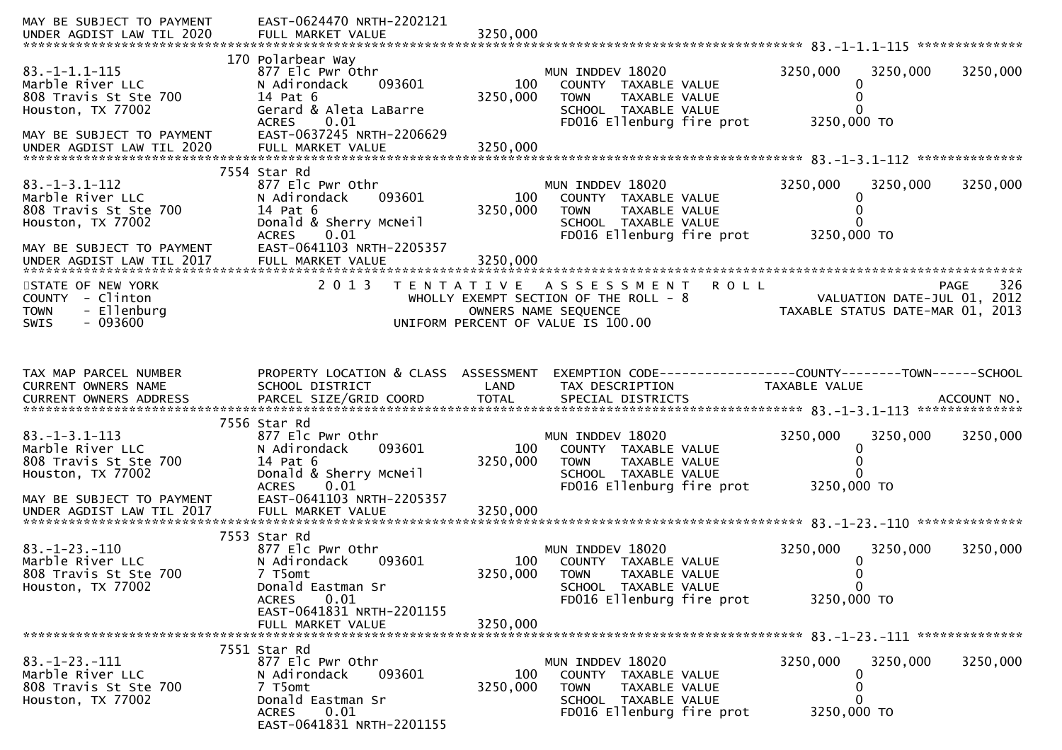| MAY BE SUBJECT TO PAYMENT<br>UNDER AGDIST LAW TIL 2020                                                                                            | EAST-0624470 NRTH-2202121<br>FULL MARKET VALUE                                                                                                                                  | 3250,000                    |                                                                                                                                            |                                                                 |             |
|---------------------------------------------------------------------------------------------------------------------------------------------------|---------------------------------------------------------------------------------------------------------------------------------------------------------------------------------|-----------------------------|--------------------------------------------------------------------------------------------------------------------------------------------|-----------------------------------------------------------------|-------------|
| $83. -1 - 1.1 - 115$<br>Marble River LLC<br>808 Travis St Ste 700<br>Houston, TX 77002<br>MAY BE SUBJECT TO PAYMENT<br>UNDER AGDIST LAW TIL 2020  | 170 Polarbear Way<br>877 Elc Pwr Othr<br>N Adirondack<br>093601<br>14 Pat 6<br>Gerard & Aleta LaBarre<br>0.01<br><b>ACRES</b><br>EAST-0637245 NRTH-2206629<br>FULL MARKET VALUE | 100<br>3250,000<br>3250,000 | MUN INDDEV 18020<br>COUNTY TAXABLE VALUE<br>TAXABLE VALUE<br><b>TOWN</b><br>SCHOOL TAXABLE VALUE<br>FD016 Ellenburg fire prot              | 3250,000<br>3250,000<br>3250,000 TO                             | 3250,000    |
| $83. - 1 - 3.1 - 112$<br>Marble River LLC<br>808 Travis St Ste 700<br>Houston, TX 77002<br>MAY BE SUBJECT TO PAYMENT<br>UNDER AGDIST LAW TIL 2017 | 7554 Star Rd<br>877 Elc Pwr Othr<br>N Adirondack<br>093601<br>14 Pat 6<br>Donald & Sherry McNeil<br><b>ACRES</b><br>0.01<br>EAST-0641103 NRTH-2205357<br>FULL MARKET VALUE      | 100<br>3250,000<br>3250,000 | MUN INDDEV 18020<br>COUNTY TAXABLE VALUE<br>TAXABLE VALUE<br><b>TOWN</b><br>SCHOOL TAXABLE VALUE<br>FD016 Ellenburg fire prot              | 3250,000<br>3250,000<br>3250,000 TO                             | 3250,000    |
| STATE OF NEW YORK<br>COUNTY - Clinton<br><b>TOWN</b><br>- Ellenburg<br>$-093600$<br><b>SWIS</b>                                                   | 2 0 1 3                                                                                                                                                                         |                             | <b>ROLL</b><br>TENTATIVE ASSESSMENT<br>WHOLLY EXEMPT SECTION OF THE ROLL - 8<br>OWNERS NAME SEQUENCE<br>UNIFORM PERCENT OF VALUE IS 100.00 | VALUATION DATE-JUL 01, 2012<br>TAXABLE STATUS DATE-MAR 01, 2013 | 326<br>PAGE |
| TAX MAP PARCEL NUMBER<br>CURRENT OWNERS NAME                                                                                                      | PROPERTY LOCATION & CLASS ASSESSMENT<br>SCHOOL DISTRICT                                                                                                                         | LAND                        | EXEMPTION CODE-----------------COUNTY-------TOWN-----SCHOOL<br>TAX DESCRIPTION                                                             | TAXABLE VALUE                                                   |             |
| $83. - 1 - 3.1 - 113$<br>Marble River LLC<br>808 Travis St Ste 700<br>Houston, TX 77002<br>MAY BE SUBJECT TO PAYMENT                              | 7556 Star Rd<br>877 Elc Pwr Othr<br>093601<br>N Adirondack<br>14 Pat 6<br>Donald & Sherry McNeil<br>0.01<br><b>ACRES</b><br>EAST-0641103 NRTH-2205357                           | 100<br>3250,000             | MUN INDDEV 18020<br>COUNTY TAXABLE VALUE<br><b>TOWN</b><br>TAXABLE VALUE<br>SCHOOL TAXABLE VALUE<br>FD016 Ellenburg fire prot              | 3250,000<br>3250,000<br>3250,000 TO                             | 3250,000    |
| $83. - 1 - 23. - 110$<br>Marble River LLC<br>808 Travis St Ste 700<br>Houston, TX 77002                                                           | 7553 Star Rd<br>877 Elc Pwr Othr<br>N Adirondack<br>093601<br>7 T5omt<br>Donald Eastman Sr<br>0.01<br><b>ACRES</b><br>EAST-0641831 NRTH-2201155<br>FULL MARKET VALUE            | 100<br>3250,000<br>3250,000 | MUN INDDEV 18020<br>COUNTY TAXABLE VALUE<br><b>TOWN</b><br>TAXABLE VALUE<br>SCHOOL TAXABLE VALUE<br>FD016 Ellenburg fire prot              | 3250,000<br>3250,000<br>0<br>0<br>$\mathbf 0$<br>3250,000 TO    | 3250,000    |
| $83. -1 - 23. -111$<br>Marble River LLC<br>808 Travis St Ste 700<br>Houston, TX 77002                                                             | 7551 Star Rd<br>877 Elc Pwr Othr<br>N Adirondack<br>093601<br>7 T5omt<br>Donald Eastman Sr<br><b>ACRES</b><br>0.01<br>EAST-0641831 NRTH-2201155                                 | 100<br>3250,000             | MUN INDDEV 18020<br>COUNTY TAXABLE VALUE<br><b>TOWN</b><br>TAXABLE VALUE<br>SCHOOL TAXABLE VALUE<br>FD016 Ellenburg fire prot              | 3250,000<br>3250,000<br>0<br>0<br>3250,000 TO                   | 3250,000    |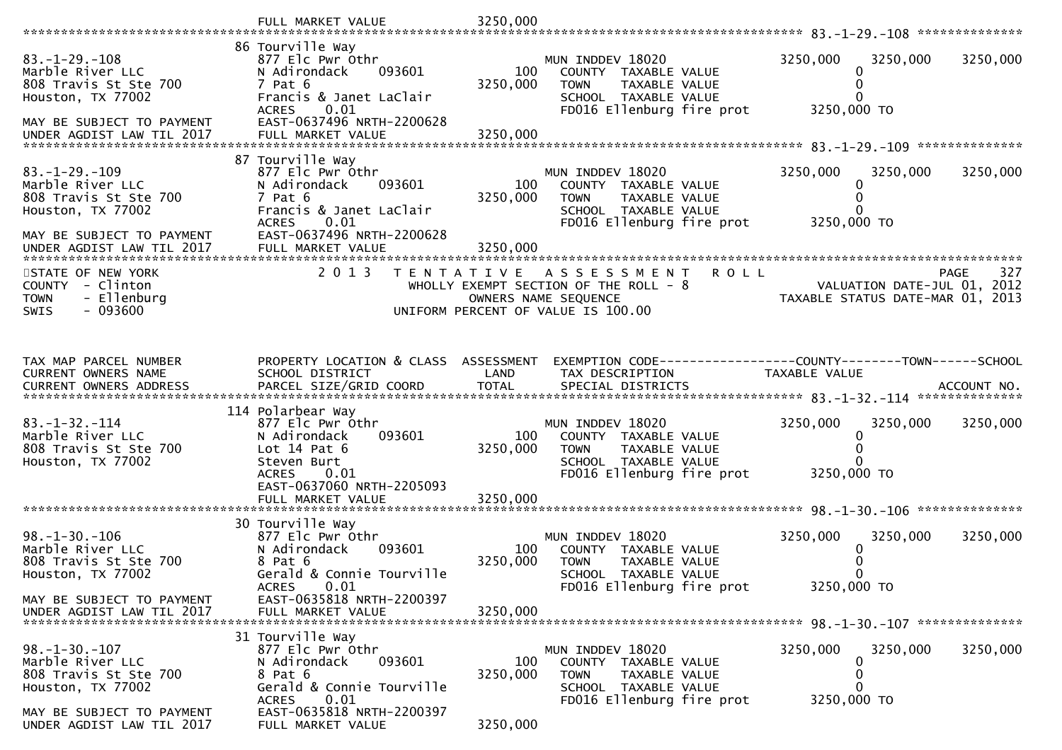|                                           | FULL MARKET VALUE                                 | 3250,000        |                                                                |                                                                 |             |
|-------------------------------------------|---------------------------------------------------|-----------------|----------------------------------------------------------------|-----------------------------------------------------------------|-------------|
|                                           | 86 Tourville Way                                  |                 |                                                                |                                                                 |             |
| $83. - 1 - 29. - 108$                     | 877 Elc Pwr Othr                                  |                 | MUN INDDEV 18020                                               | 3250,000<br>3250,000                                            | 3250,000    |
| Marble River LLC                          | 093601<br>N Adirondack                            | 100             | COUNTY TAXABLE VALUE                                           | 0                                                               |             |
| 808 Travis St Ste 700                     | 7 Pat 6                                           | 3250,000        | <b>TOWN</b><br>TAXABLE VALUE                                   | 0                                                               |             |
| Houston, TX 77002                         | Francis & Janet LaClair                           |                 | SCHOOL TAXABLE VALUE                                           |                                                                 |             |
| MAY BE SUBJECT TO PAYMENT                 | 0.01<br><b>ACRES</b><br>EAST-0637496 NRTH-2200628 |                 | FD016 Ellenburg fire prot                                      | 3250,000 TO                                                     |             |
| UNDER AGDIST LAW TIL 2017                 | FULL MARKET VALUE                                 | 3250,000        |                                                                |                                                                 |             |
|                                           |                                                   |                 |                                                                |                                                                 |             |
|                                           | 87 Tourville Way                                  |                 |                                                                |                                                                 |             |
| $83. -1 - 29. -109$                       | 877 Elc Pwr Othr                                  |                 | MUN INDDEV 18020                                               | 3250,000<br>3250,000                                            | 3250,000    |
| Marble River LLC<br>808 Travis St Ste 700 | N Adirondack<br>093601<br>7 Pat 6                 | 100<br>3250,000 | COUNTY TAXABLE VALUE<br>TAXABLE VALUE<br><b>TOWN</b>           | 0                                                               |             |
| Houston, TX 77002                         | Francis & Janet LaClair                           |                 | SCHOOL TAXABLE VALUE                                           |                                                                 |             |
|                                           | <b>ACRES</b><br>0.01                              |                 | FD016 Ellenburg fire prot                                      | 3250,000 TO                                                     |             |
| MAY BE SUBJECT TO PAYMENT                 | EAST-0637496 NRTH-2200628                         |                 |                                                                |                                                                 |             |
| UNDER AGDIST LAW TIL 2017                 | FULL MARKET VALUE                                 | 3250,000        |                                                                |                                                                 |             |
| STATE OF NEW YORK                         | 2 0 1 3                                           |                 | TENTATIVE ASSESSMENT<br><b>ROLL</b>                            |                                                                 | 327<br>PAGE |
| COUNTY - Clinton                          |                                                   |                 | WHOLLY EXEMPT SECTION OF THE ROLL - 8                          | VALUATION DATE-JUL 01, 2012                                     |             |
| - Ellenburg<br><b>TOWN</b>                |                                                   |                 | OWNERS NAME SEQUENCE                                           | VALUATION DATE-JUL 01, 2012<br>TAXABLE STATUS DATE-MAR 01, 2013 |             |
| $-093600$<br><b>SWIS</b>                  |                                                   |                 | UNIFORM PERCENT OF VALUE IS 100.00                             |                                                                 |             |
|                                           |                                                   |                 |                                                                |                                                                 |             |
|                                           |                                                   |                 |                                                                |                                                                 |             |
| TAX MAP PARCEL NUMBER                     | PROPERTY LOCATION & CLASS ASSESSMENT              |                 | EXEMPTION CODE------------------COUNTY--------TOWN------SCHOOL |                                                                 |             |
| CURRENT OWNERS NAME                       | SCHOOL DISTRICT                                   | LAND            | TAX DESCRIPTION                                                | TAXABLE VALUE                                                   |             |
|                                           |                                                   |                 |                                                                |                                                                 |             |
|                                           | 114 Polarbear Way                                 |                 |                                                                |                                                                 |             |
| $83. -1 - 32. -114$                       | 877 Elc Pwr Othr                                  |                 | MUN INDDEV 18020                                               | 3250,000<br>3250,000                                            | 3250,000    |
| Marble River LLC                          | N Adirondack<br>093601                            | 100             | COUNTY TAXABLE VALUE                                           | 0                                                               |             |
| 808 Travis St Ste 700                     | Lot $14$ Pat $6$                                  | 3250,000        | TAXABLE VALUE<br><b>TOWN</b>                                   |                                                                 |             |
| Houston, TX 77002                         | Steven Burt                                       |                 | SCHOOL TAXABLE VALUE                                           |                                                                 |             |
|                                           | <b>ACRES</b><br>0.01<br>EAST-0637060 NRTH-2205093 |                 | FD016 Ellenburg fire prot                                      | 3250,000 TO                                                     |             |
|                                           | FULL MARKET VALUE                                 | 3250,000        |                                                                |                                                                 |             |
|                                           |                                                   |                 |                                                                |                                                                 |             |
|                                           | 30 Tourville Way                                  |                 |                                                                |                                                                 |             |
| $98. - 1 - 30. - 106$<br>Marble River LLC | 877 Elc Pwr Othr<br>093601<br>N Adirondack        | 100             | MUN INDDEV 18020<br>COUNTY TAXABLE VALUE                       | 3250,000<br>3250,000<br>0                                       | 3250,000    |
| 808 Travis St Ste 700                     | 8 Pat 6                                           | 3250,000        | <b>TOWN</b><br>TAXABLE VALUE                                   |                                                                 |             |
| Houston, TX 77002                         | Gerald & Connie Tourville                         |                 | SCHOOL TAXABLE VALUE                                           |                                                                 |             |
|                                           | ACRES<br>0.01                                     |                 | FD016 Ellenburg fire prot                                      | 3250,000 TO                                                     |             |
| MAY BE SUBJECT TO PAYMENT                 | EAST-0635818 NRTH-2200397                         |                 |                                                                |                                                                 |             |
| UNDER AGDIST LAW TIL 2017                 | FULL MARKET VALUE                                 | 3250,000        |                                                                |                                                                 |             |
|                                           | 31 Tourville Way                                  |                 |                                                                |                                                                 |             |
| $98. - 1 - 30. - 107$                     | 877 Elc Pwr Othr                                  |                 | MUN INDDEV 18020                                               | 3250,000<br>3250,000                                            | 3250,000    |
| Marble River LLC                          | 093601<br>N Adirondack                            | 100             | COUNTY TAXABLE VALUE                                           | 0                                                               |             |
| 808 Travis St Ste 700                     | 8 Pat 6<br>Gerald & Connie Tourville              | 3250,000        | <b>TOWN</b><br>TAXABLE VALUE                                   | 0<br>0                                                          |             |
| Houston, TX 77002                         | 0.01<br><b>ACRES</b>                              |                 | SCHOOL TAXABLE VALUE<br>FD016 Ellenburg fire prot              | 3250,000 TO                                                     |             |
| MAY BE SUBJECT TO PAYMENT                 |                                                   |                 |                                                                |                                                                 |             |
|                                           | EAST-0635818 NRTH-2200397                         |                 |                                                                |                                                                 |             |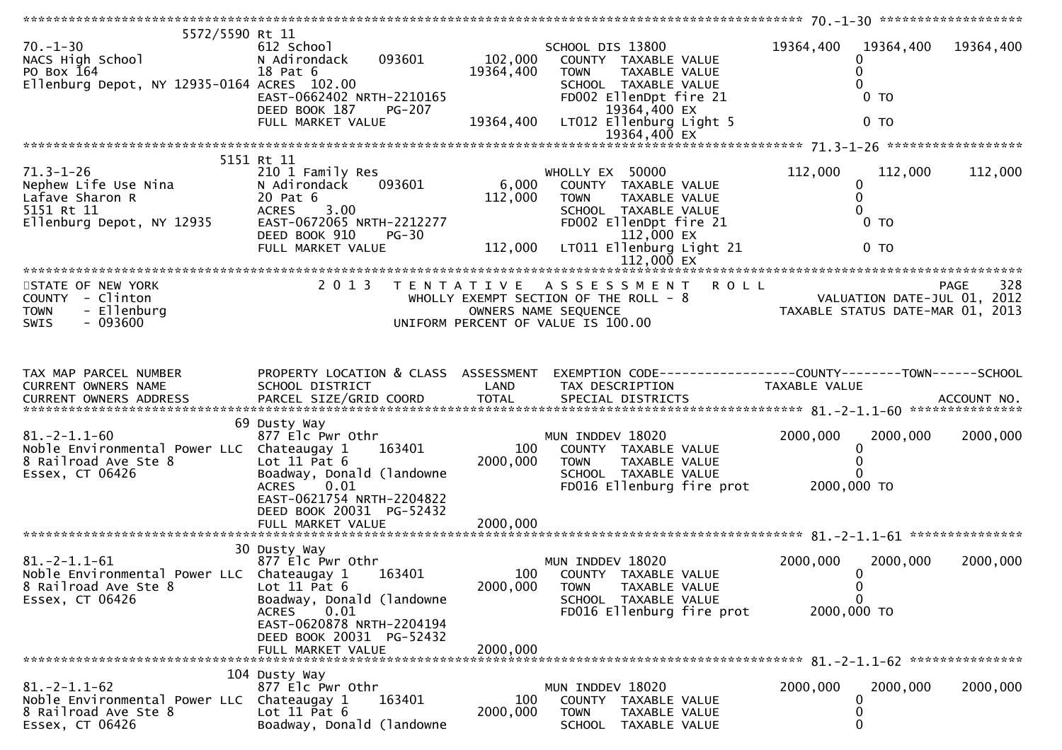| 5572/5590 Rt 11<br>$70. - 1 - 30$<br>NACS High School<br>PO Box 164<br>Ellenburg Depot, NY 12935-0164 ACRES 102.00 | 612 School<br>093601<br>N Adirondack<br>18 Pat 6<br>EAST-0662402 NRTH-2210165<br>DEED BOOK 187<br>PG-207<br>FULL MARKET VALUE                                              | 102,000<br>19364,400  | SCHOOL DIS 13800<br>COUNTY TAXABLE VALUE<br><b>TOWN</b><br>TAXABLE VALUE<br>SCHOOL TAXABLE VALUE<br>FD002 EllenDpt fire 21<br>19364,400 EX<br>19364,400 LT012 Ellenburg Light 5                            | 19364,400<br>0                                       | 19364,400 19364,400<br>0 <sub>T</sub><br>0 <sub>T</sub> |
|--------------------------------------------------------------------------------------------------------------------|----------------------------------------------------------------------------------------------------------------------------------------------------------------------------|-----------------------|------------------------------------------------------------------------------------------------------------------------------------------------------------------------------------------------------------|------------------------------------------------------|---------------------------------------------------------|
|                                                                                                                    |                                                                                                                                                                            |                       |                                                                                                                                                                                                            |                                                      |                                                         |
| 71.3-1-26<br>Nephew Life Use Nina<br>Lafave Sharon R<br>5151 Rt 11<br>Ellenburg Depot, NY 12935                    | 5151 Rt 11<br>210 1 Family Res<br>093601<br>N Adirondack<br>20 Pat 6<br><b>ACRES</b><br>3.00<br>EAST-0672065 NRTH-2212277<br>DEED BOOK 910<br>$PG-30$<br>FULL MARKET VALUE | $6,000$ WH<br>112,000 | WHOLLY EX 50000<br>COUNTY TAXABLE VALUE<br><b>TOWN</b><br>TAXABLE VALUE<br>SCHOOL TAXABLE VALUE<br>FD002 EllenDpt fire 21<br>112,000 EX<br>LT011 Ellenburg Light 21                                        | 112,000<br>0<br>$\mathbf{0}$                         | 112,000<br>112,000<br>0 <sub>T</sub><br>0 <sub>T</sub>  |
|                                                                                                                    |                                                                                                                                                                            | 112,000               | $112,000$ EX                                                                                                                                                                                               |                                                      |                                                         |
| STATE OF NEW YORK<br>COUNTY - Clinton<br>- Ellenburg<br><b>TOWN</b><br>$-093600$<br><b>SWIS</b>                    | 2 0 1 3                                                                                                                                                                    |                       | TENTATIVE ASSESSMENT ROLL<br>WHOLLY EXEMPT SECTION OF THE ROLL - 8<br>WHOLLY EXEMPT SECTION OF THE ROLL - 8<br>OWNERS NAME SEQUENCE TAXABLE STATUS DATE-MAR 01, 2013<br>UNIFORM PERCENT OF VALUE IS 100.00 |                                                      |                                                         |
| TAX MAP PARCEL NUMBER<br>CURRENT OWNERS NAME                                                                       | PROPERTY LOCATION & CLASS ASSESSMENT<br>SCHOOL DISTRICT                                                                                                                    | LAND                  | EXEMPTION CODE-----------------COUNTY--------TOWN------SCHOOL<br>TAX DESCRIPTION                                                                                                                           | TAXABLE VALUE                                        |                                                         |
| $81. - 2 - 1.1 - 60$<br>Noble Environmental Power LLC Chateaugay 1<br>8 Railroad Ave Ste 8<br>Essex, CT 06426      | 69 Dusty Way<br>877 Elc Pwr Othr<br>163401<br>Lot $11$ Pat $6$<br>Boadway, Donald (landowne<br>ACRES 0.01<br>EAST-0621754 NRTH-2204822<br>DEED BOOK 20031 PG-52432         | 100<br>2000,000       | MUN INDDEV 18020<br>COUNTY TAXABLE VALUE<br><b>TOWN</b><br>TAXABLE VALUE<br>SCHOOL TAXABLE VALUE<br>FD016 Ellenburg fire prot                                                                              | 2000,000<br>0<br>$\Omega$<br>2000,000 TO             | 2000,000<br>2000,000                                    |
|                                                                                                                    |                                                                                                                                                                            |                       |                                                                                                                                                                                                            |                                                      |                                                         |
| $81.-2-1.1-61$<br>Noble Environmental Power LLC Chateaugay 1 163401<br>8 Railroad Ave Ste 8<br>$Essex,$ CT 06426   | 30 Dusty Way<br>877 Elc Pwr Othr<br>Lot $11$ Pat $6$<br>Boadway, Donald (landowne<br>0.01<br><b>ACRES</b><br>EAST-0620878 NRTH-2204194                                     | 100<br>2000,000       | MUN INDDEV 18020<br>COUNTY TAXABLE VALUE<br>TAXABLE VALUE<br><b>TOWN</b><br>SCHOOL TAXABLE VALUE<br>FD016 Ellenburg fire prot                                                                              | 2000,000<br>$\Omega$<br>0<br>$\Omega$<br>2000,000 TO | 2000,000<br>2000,000                                    |
|                                                                                                                    | DEED BOOK 20031 PG-52432<br>FULL MARKET VALUE                                                                                                                              | 2000,000              |                                                                                                                                                                                                            |                                                      |                                                         |
| $81.-2-1.1-62$<br>Noble Environmental Power LLC<br>8 Railroad Ave Ste 8<br>Essex, CT 06426                         | 104 Dusty Way<br>877 Elc Pwr Othr<br>163401<br>Chateaugay 1<br>Lot $11$ Pat $6$<br>Boadway, Donald (landowne                                                               | 100<br>2000,000       | MUN INDDEV 18020<br><b>COUNTY</b><br>TAXABLE VALUE<br><b>TOWN</b><br>TAXABLE VALUE<br><b>SCHOOL</b><br>TAXABLE VALUE                                                                                       | 2000,000<br>0                                        | 2000,000<br>2000,000                                    |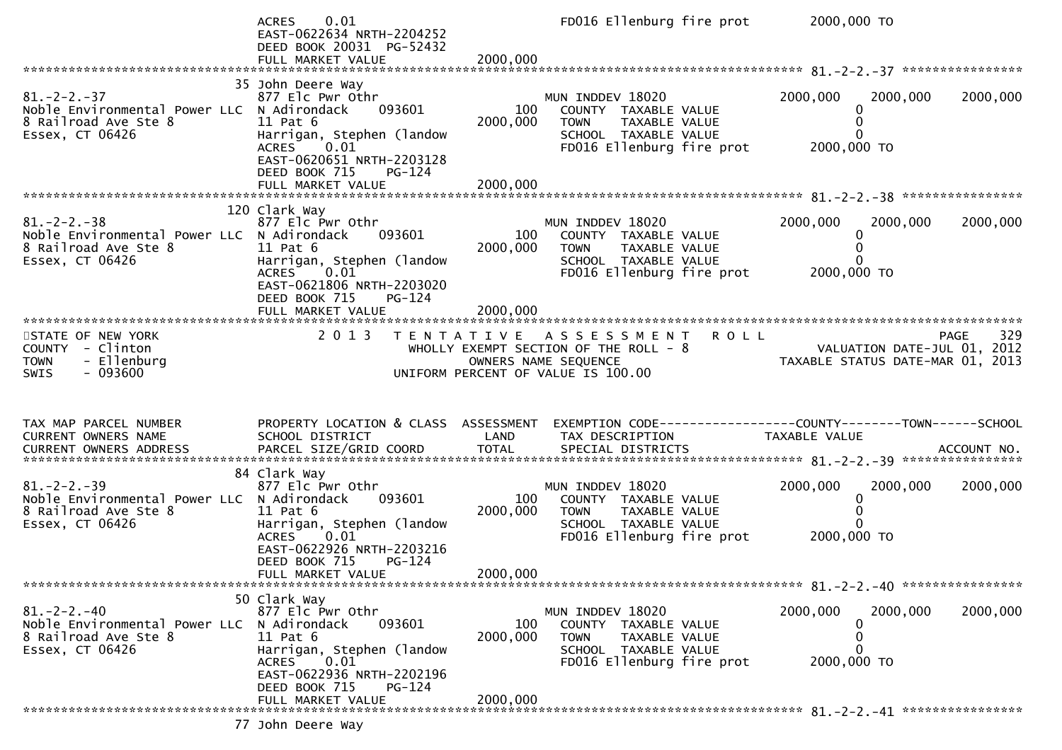|                                                                                                              | 0.01<br><b>ACRES</b><br>EAST-0622634 NRTH-2204252<br>DEED BOOK 20031 PG-52432<br>FULL MARKET VALUE                                                                           | 2000,000             | FD016 Ellenburg fire prot                                                                                                     | 2000,000 TO                                                                     |             |
|--------------------------------------------------------------------------------------------------------------|------------------------------------------------------------------------------------------------------------------------------------------------------------------------------|----------------------|-------------------------------------------------------------------------------------------------------------------------------|---------------------------------------------------------------------------------|-------------|
| $81. - 2 - 2. - 37$<br>Noble Environmental Power LLC N Adirondack<br>8 Railroad Ave Ste 8<br>Essex, CT 06426 | 35 John Deere Way<br>877 Elc Pwr Othr<br>093601<br>$11$ Pat $6$<br>Harrigan, Stephen (landow<br><b>ACRES</b><br>0.01<br>EAST-0620651 NRTH-2203128<br>DEED BOOK 715<br>PG-124 | 100<br>2000,000      | MUN INDDEV 18020<br>COUNTY TAXABLE VALUE<br>TAXABLE VALUE<br><b>TOWN</b><br>SCHOOL TAXABLE VALUE<br>FD016 Ellenburg fire prot | 2000,000<br>2000,000<br>0<br>0<br>$\Omega$<br>2000,000 TO                       | 2000,000    |
|                                                                                                              | 120 Clark Way                                                                                                                                                                |                      |                                                                                                                               |                                                                                 |             |
| $81. -2 - 2. -38$<br>Noble Environmental Power LLC N Adirondack<br>8 Railroad Ave Ste 8<br>Essex, CT 06426   | 877 Elc Pwr Othr<br>093601<br>11 Pat 6<br>Harrigan, Stephen (landow<br>0.01<br>ACRES<br>EAST-0621806 NRTH-2203020<br>DEED BOOK 715<br>$PG-124$                               | 100<br>2000,000      | MUN INDDEV 18020<br>COUNTY TAXABLE VALUE<br>TAXABLE VALUE<br>TOWN<br>SCHOOL TAXABLE VALUE<br>FD016 Ellenburg fire prot        | 2000,000<br>2000,000<br>0<br>0<br>0<br>2000,000 TO                              | 2000,000    |
|                                                                                                              | FULL MARKET VALUE                                                                                                                                                            | 2000,000             |                                                                                                                               |                                                                                 |             |
| STATE OF NEW YORK<br>COUNTY - Clinton<br>- Ellenburg<br><b>TOWN</b><br>$-093600$<br><b>SWIS</b>              | 2 0 1 3                                                                                                                                                                      | OWNERS NAME SEQUENCE | <b>ROLL</b><br>TENTATIVE ASSESSMENT<br>WHOLLY EXEMPT SECTION OF THE ROLL - $8$<br>UNIFORM PERCENT OF VALUE IS 100.00          | VALUATION DATE-JUL 01, 2012<br>TAXABLE STATUS DATE-MAR 01, 2013                 | 329<br>PAGE |
| TAX MAP PARCEL NUMBER<br>CURRENT OWNERS NAME                                                                 | PROPERTY LOCATION & CLASS ASSESSMENT<br>SCHOOL DISTRICT                                                                                                                      | LAND                 | TAX DESCRIPTION                                                                                                               | EXEMPTION CODE------------------COUNTY--------TOWN------SCHOOL<br>TAXABLE VALUE |             |
| $81. - 2 - 2. - 39$<br>Noble Environmental Power LLC N Adirondack<br>8 Railroad Ave Ste 8<br>Essex, CT 06426 | 84 Clark Way<br>877 Elc Pwr Othr<br>093601<br>11 Pat 6<br>Harrigan, Stephen (landow<br>0.01<br><b>ACRES</b><br>EAST-0622926 NRTH-2203216<br>DEED BOOK 715<br>PG-124          | 100<br>2000,000      | MUN INDDEV 18020<br>COUNTY TAXABLE VALUE<br><b>TOWN</b><br>TAXABLE VALUE<br>SCHOOL TAXABLE VALUE<br>FD016 Ellenburg fire prot | 2000,000<br>2000,000<br>0<br>0<br>$\Omega$<br>2000,000 TO                       | 2000,000    |
|                                                                                                              | FULL MARKET VALUE                                                                                                                                                            | 2000,000             |                                                                                                                               |                                                                                 |             |
| $81. - 2 - 2. - 40$<br>Noble Environmental Power LLC N Adirondack<br>8 Railroad Ave Ste 8<br>Essex, CT 06426 | 50 Clark Way<br>877 Elc Pwr Othr<br>093601<br>$11$ Pat $6$<br>Harrigan, Stephen (landow<br>ACRES<br>0.01<br>EAST-0622936 NRTH-2202196<br>DEED BOOK 715<br>PG-124             | 100<br>2000,000      | MUN INDDEV 18020<br>COUNTY TAXABLE VALUE<br><b>TOWN</b><br>TAXABLE VALUE<br>SCHOOL TAXABLE VALUE<br>FD016 Ellenburg fire prot | 2000,000<br>2000,000<br>$\bf{0}$<br>0<br>0<br>2000,000 TO                       | 2000,000    |
|                                                                                                              |                                                                                                                                                                              |                      |                                                                                                                               |                                                                                 |             |
|                                                                                                              | FULL MARKET VALUE                                                                                                                                                            | 2000,000             |                                                                                                                               |                                                                                 |             |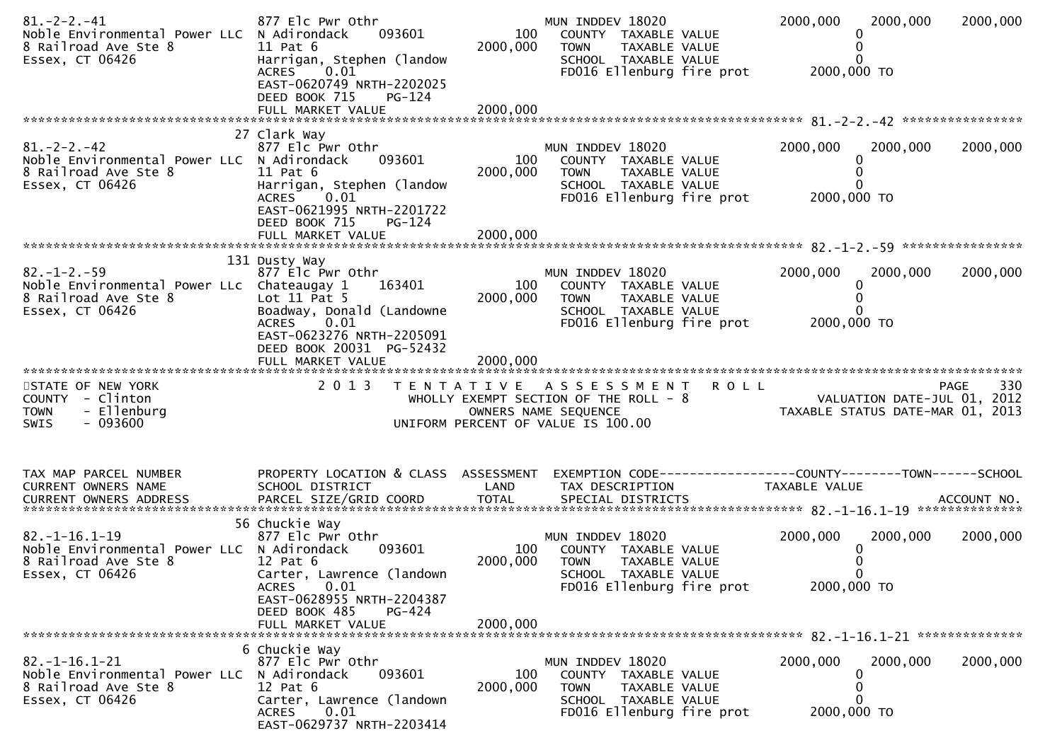| $81. - 2 - 2. - 41$<br>Noble Environmental Power LLC N Adirondack<br>8 Railroad Ave Ste 8<br>Essex, CT 06426  | 877 Elc Pwr Othr<br>093601<br>11 Pat 6<br>Harrigan, Stephen (landow<br>ACRES<br>0.01<br>EAST-0620749 NRTH-2202025<br>DEED BOOK 715<br>$PG-124$<br>FULL MARKET VALUE         | 100<br>2000,000<br>2000,000 | MUN INDDEV 18020<br>COUNTY TAXABLE VALUE<br><b>TOWN</b><br>TAXABLE VALUE<br>SCHOOL TAXABLE VALUE<br>FD016 Ellenburg fire prot              | 2000,000<br>2000,000<br>2000,000 TO                             | 2000,000    |  |
|---------------------------------------------------------------------------------------------------------------|-----------------------------------------------------------------------------------------------------------------------------------------------------------------------------|-----------------------------|--------------------------------------------------------------------------------------------------------------------------------------------|-----------------------------------------------------------------|-------------|--|
|                                                                                                               | 27 Clark Way                                                                                                                                                                |                             |                                                                                                                                            |                                                                 |             |  |
| $81. - 2 - 2. - 42$<br>Noble Environmental Power LLC N Adirondack<br>8 Railroad Ave Ste 8<br>Essex, CT 06426  | 877 Elc Pwr Othr<br>093601<br>11 Pat 6<br>Harrigan, Stephen (landow<br>0.01<br><b>ACRES</b><br>EAST-0621995 NRTH-2201722<br>DEED BOOK 715<br>PG-124                         | 100<br>2000,000             | MUN INDDEV 18020<br>COUNTY TAXABLE VALUE<br><b>TAXABLE VALUE</b><br><b>TOWN</b><br>SCHOOL TAXABLE VALUE<br>FD016 Ellenburg fire prot       | 2000,000<br>2000,000<br>2000,000 TO                             | 2000,000    |  |
|                                                                                                               |                                                                                                                                                                             |                             |                                                                                                                                            |                                                                 |             |  |
| $82. - 1 - 2. - 59$<br>Noble Environmental Power LLc Chateaugay 1<br>8 Railroad Ave Ste 8<br>Essex, CT 06426  | 131 Dusty Way<br>877 Elc Pwr Othr<br>163401<br>Lot $11$ Pat 5<br>Boadway, Donald (Landowne<br>0.01<br><b>ACRES</b><br>EAST-0623276 NRTH-2205091<br>DEED BOOK 20031 PG-52432 | 100<br>2000,000             | MUN INDDEV 18020<br>COUNTY TAXABLE VALUE<br>TAXABLE VALUE<br><b>TOWN</b><br>SCHOOL TAXABLE VALUE<br>FD016 Ellenburg fire prot              | 2000,000<br>2000,000<br>2000,000 TO                             | 2000,000    |  |
|                                                                                                               |                                                                                                                                                                             |                             |                                                                                                                                            |                                                                 |             |  |
| STATE OF NEW YORK<br>COUNTY - Clinton<br><b>TOWN</b><br>- Ellenburg<br>$-093600$<br><b>SWIS</b>               | 2 0 1 3                                                                                                                                                                     |                             | <b>ROLL</b><br>TENTATIVE ASSESSMENT<br>WHOLLY EXEMPT SECTION OF THE ROLL - 8<br>OWNERS NAME SEQUENCE<br>UNIFORM PERCENT OF VALUE IS 100.00 | VALUATION DATE-JUL 01, 2012<br>TAXABLE STATUS DATE-MAR 01, 2013 | 330<br>PAGE |  |
| TAX MAP PARCEL NUMBER<br>CURRENT OWNERS NAME                                                                  | PROPERTY LOCATION & CLASS ASSESSMENT<br>SCHOOL DISTRICT                                                                                                                     | LAND                        | EXEMPTION CODE-----------------COUNTY-------TOWN------SCHOOL<br>TAX DESCRIPTION                                                            | TAXABLE VALUE                                                   |             |  |
|                                                                                                               | 56 Chuckie Way                                                                                                                                                              |                             |                                                                                                                                            |                                                                 |             |  |
| $82. -1 - 16.1 - 19$<br>Noble Environmental Power LLC N Adirondack<br>8 Railroad Ave Ste 8<br>Essex, CT 06426 | 877 Elc Pwr Othr<br>093601<br>$12$ Pat $6$<br>Carter, Lawrence (landown<br>0.01<br><b>ACRES</b><br>EAST-0628955 NRTH-2204387                                                | 100<br>2000,000             | MUN INDDEV 18020<br>COUNTY TAXABLE VALUE<br><b>TOWN</b><br>TAXABLE VALUE<br>SCHOOL TAXABLE VALUE<br>FD016 Ellenburg fire prot              | 2000,000<br>2000,000<br>2000,000 TO                             | 2000,000    |  |
|                                                                                                               | DEED BOOK 485<br>$PG-424$<br>FULL MARKET VALUE                                                                                                                              | 2000,000                    |                                                                                                                                            |                                                                 |             |  |
|                                                                                                               |                                                                                                                                                                             |                             |                                                                                                                                            |                                                                 |             |  |
| $82. -1 - 16.1 - 21$<br>Noble Environmental Power LLC<br>8 Railroad Ave Ste 8<br>Essex, CT 06426              | 6 Chuckie Way<br>877 Elc Pwr Othr<br>N Adirondack<br>093601<br>$12$ Pat $6$<br>Carter, Lawrence (landown<br><b>ACRES</b><br>0.01<br>EAST-0629737 NRTH-2203414               | 100<br>2000,000             | MUN INDDEV 18020<br>COUNTY TAXABLE VALUE<br><b>TOWN</b><br>TAXABLE VALUE<br>SCHOOL TAXABLE VALUE<br>FD016 Ellenburg fire prot              | 2000,000<br>2000,000<br>0<br>2000,000 TO                        | 2000,000    |  |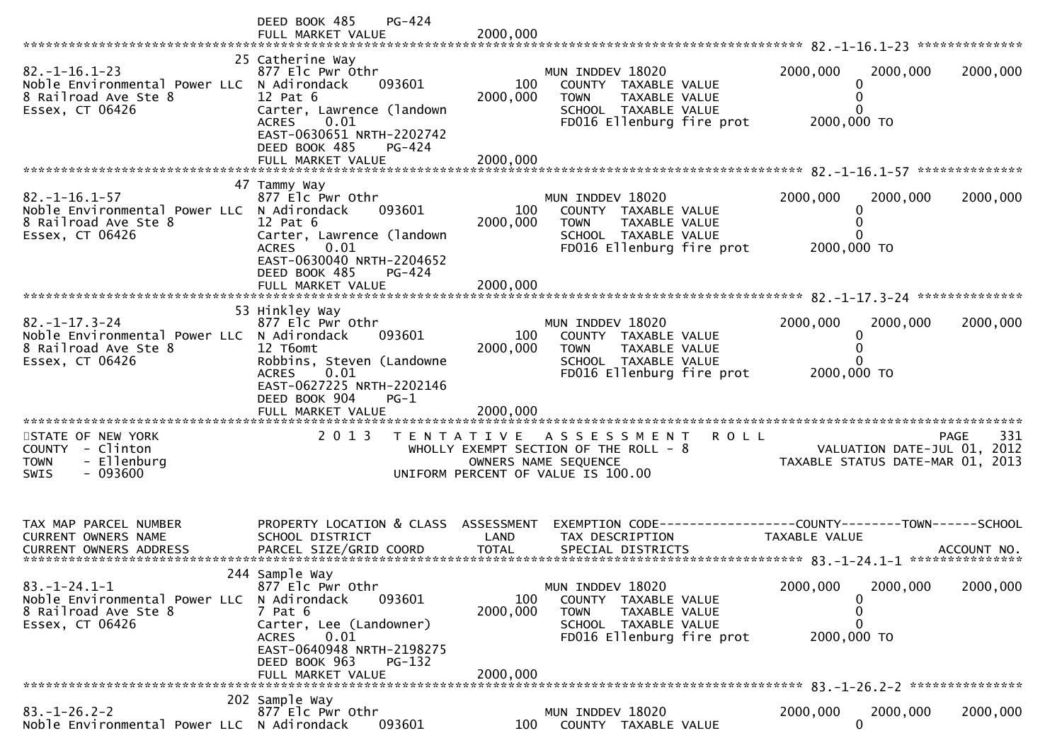|                                                                                                                                         | DEED BOOK 485<br>PG-424<br>FULL MARKET VALUE                                                                                                                                                                           | 2000,000                    |                                                                                                                                            |                                                                                                |             |
|-----------------------------------------------------------------------------------------------------------------------------------------|------------------------------------------------------------------------------------------------------------------------------------------------------------------------------------------------------------------------|-----------------------------|--------------------------------------------------------------------------------------------------------------------------------------------|------------------------------------------------------------------------------------------------|-------------|
| $82. - 1 - 16.1 - 23$<br>Noble Environmental Power LLC N Adirondack<br>8 Railroad Ave Ste 8<br>Essex, CT 06426                          | 25 Catherine Way<br>877 Elc Pwr Othr<br>093601<br>$12$ Pat $6$<br>Carter, Lawrence (landown<br>0.01<br><b>ACRES</b><br>EAST-0630651 NRTH-2202742<br>DEED BOOK 485<br><b>PG-424</b><br>FULL MARKET VALUE                | 100<br>2000,000<br>2000,000 | MUN INDDEV 18020<br>COUNTY TAXABLE VALUE<br><b>TOWN</b><br>TAXABLE VALUE<br>SCHOOL TAXABLE VALUE<br>FD016 Ellenburg fire prot              | 2000,000<br>2000,000<br>$\Omega$<br>0<br>0<br>2000,000 TO                                      | 2000,000    |
|                                                                                                                                         |                                                                                                                                                                                                                        |                             |                                                                                                                                            |                                                                                                |             |
| $82. -1 - 16.1 - 57$<br>Noble Environmental Power LLC N Adirondack<br>8 Railroad Ave Ste 8<br>Essex, CT 06426                           | 47 Tammy Way<br>877 Elc Pwr Othr<br>093601<br>$12$ Pat $6$<br>Carter, Lawrence (landown<br>0.01<br><b>ACRES</b><br>EAST-0630040 NRTH-2204652<br>DEED BOOK 485<br>PG-424<br>FULL MARKET VALUE                           | 100<br>2000,000<br>2000,000 | MUN INDDEV 18020<br>COUNTY TAXABLE VALUE<br>TAXABLE VALUE<br><b>TOWN</b><br>SCHOOL TAXABLE VALUE<br>FD016 Ellenburg fire prot              | 2000,000<br>2000,000<br>0<br>$\Omega$<br>2000,000 TO                                           | 2000,000    |
|                                                                                                                                         |                                                                                                                                                                                                                        |                             |                                                                                                                                            |                                                                                                |             |
| $82. -1 - 17.3 - 24$<br>Noble Environmental Power LLC N Adirondack<br>8 Railroad Ave Ste 8<br>Essex, CT 06426<br>********************** | 53 Hinkley Way<br>877 Elc Pwr Othr<br>093601<br>12 T6omt<br>Robbins, Steven (Landowne<br>0.01<br><b>ACRES</b><br>EAST-0627225 NRTH-2202146<br>DEED BOOK 904<br>$PG-1$<br>FULL MARKET VALUE<br>************************ | 100<br>2000,000<br>2000,000 | MUN INDDEV 18020<br>COUNTY TAXABLE VALUE<br><b>TOWN</b><br>TAXABLE VALUE<br>SCHOOL TAXABLE VALUE<br>FD016 Ellenburg fire prot              | 2000,000<br>2000,000<br>0<br>U<br>2000,000 TO                                                  | 2000,000    |
| STATE OF NEW YORK<br>COUNTY - Clinton<br>- Ellenburg<br><b>TOWN</b><br>$-093600$<br><b>SWIS</b>                                         | 2 0 1 3                                                                                                                                                                                                                |                             | <b>ROLL</b><br>TENTATIVE ASSESSMENT<br>WHOLLY EXEMPT SECTION OF THE ROLL - 8<br>OWNERS NAME SEQUENCE<br>UNIFORM PERCENT OF VALUE IS 100.00 | VALUATION DATE-JUL 01, 2012<br>VALUATION DATE-JUL 01, 2012<br>TAXABLE STATUS DATE-MAR 01, 2013 | 331<br>PAGE |
| TAX MAP PARCEL NUMBER<br>CURRENT OWNERS NAME                                                                                            | PROPERTY LOCATION & CLASS<br>SCHOOL DISTRICT                                                                                                                                                                           | ASSESSMENT<br>LAND          | TAX DESCRIPTION                                                                                                                            | EXEMPTION CODE-----------------COUNTY-------TOWN------SCHOOL<br>TAXABLE VALUE                  |             |
| $83. - 1 - 24.1 - 1$<br>Noble Environmental Power LLC<br>8 Railroad Ave Ste 8<br>Essex, CT 06426                                        | 244 Sample Way<br>877 Elc Pwr Othr<br>093601<br>N Adirondack<br>$7$ Pat $6$<br>Carter, Lee (Landowner)<br><b>ACRES</b><br>0.01<br>EAST-0640948 NRTH-2198275<br>DEED BOOK 963<br><b>PG-132</b><br>FULL MARKET VALUE     | 100<br>2000,000<br>2000,000 | MUN INDDEV 18020<br>COUNTY TAXABLE VALUE<br><b>TOWN</b><br>TAXABLE VALUE<br>SCHOOL TAXABLE VALUE<br>FD016 Ellenburg fire prot              | 2000,000<br>2000,000<br>0<br>0<br>0<br>2000,000 TO                                             | 2000,000    |
|                                                                                                                                         | 202 Sample Way                                                                                                                                                                                                         |                             |                                                                                                                                            |                                                                                                |             |
| $83. - 1 - 26.2 - 2$<br>Noble Environmental Power LLC N Adirondack                                                                      | 877 Elc Pwr Othr<br>093601                                                                                                                                                                                             | 100                         | MUN INDDEV 18020<br>COUNTY TAXABLE VALUE                                                                                                   | 2000,000<br>2000,000<br>$\mathbf{0}$                                                           | 2000,000    |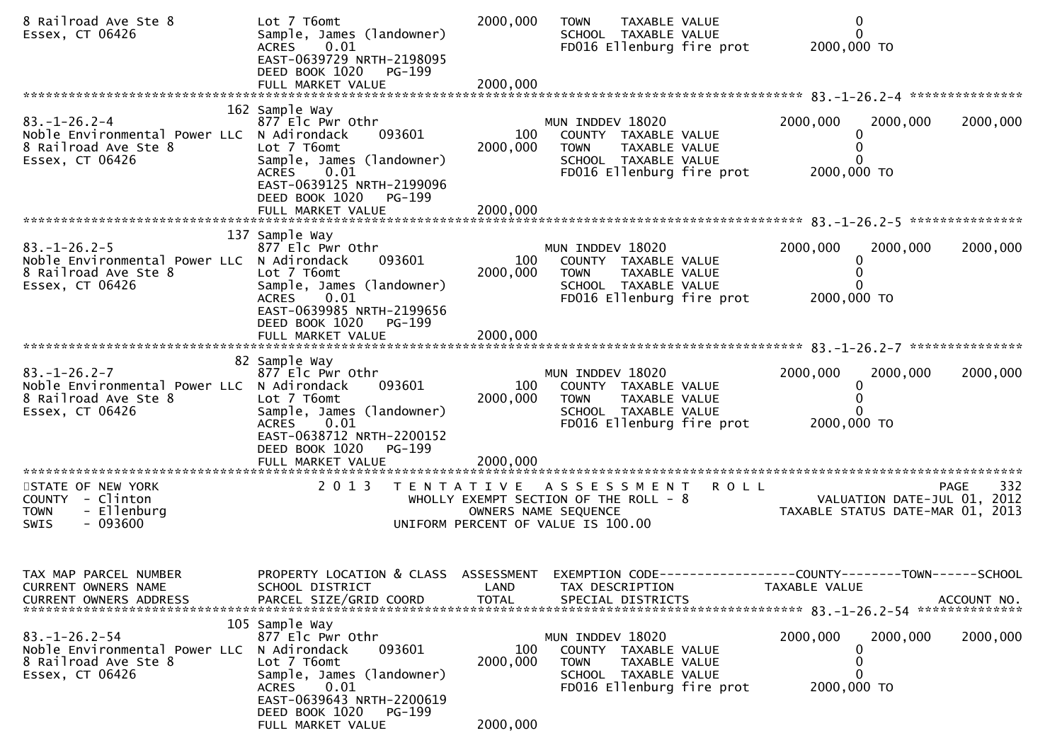| 8 Railroad Ave Ste 8<br>Essex, CT 06426                                                                       | Lot 7 T6omt<br>Sample, James (landowner)<br><b>ACRES</b><br>0.01<br>EAST-0639729 NRTH-2198095<br>DEED BOOK 1020 PG-199                                                                                  | 2000,000                                                                    | <b>TOWN</b>                                 | TAXABLE VALUE<br>SCHOOL TAXABLE VALUE                         | FD016 Ellenburg fire prot | 2000,000 TO             | 0<br>$\mathbf{0}$                                               |                    |
|---------------------------------------------------------------------------------------------------------------|---------------------------------------------------------------------------------------------------------------------------------------------------------------------------------------------------------|-----------------------------------------------------------------------------|---------------------------------------------|---------------------------------------------------------------|---------------------------|-------------------------|-----------------------------------------------------------------|--------------------|
|                                                                                                               | FULL MARKET VALUE                                                                                                                                                                                       | 2000,000                                                                    |                                             |                                                               |                           |                         |                                                                 |                    |
| $83. - 1 - 26.2 - 4$<br>Noble Environmental Power LLC N Adirondack<br>8 Railroad Ave Ste 8<br>Essex, CT 06426 | 162 Sample Way<br>877 Elc Pwr Othr<br>093601<br>Lot 7 T6omt<br>Sample, James (landowner)<br>ACRES 0.01<br>EAST-0639125 NRTH-2199096<br>DEED BOOK 1020<br>PG-199                                         | 100<br>2000,000                                                             | MUN INDDEV 18020<br><b>TOWN</b>             | COUNTY TAXABLE VALUE<br>TAXABLE VALUE<br>SCHOOL TAXABLE VALUE | FD016 Ellenburg fire prot | 2000,000<br>2000,000 TO | 2000,000<br>$\Omega$<br>0                                       | 2000,000           |
|                                                                                                               |                                                                                                                                                                                                         |                                                                             |                                             |                                                               |                           |                         |                                                                 |                    |
| $83. - 1 - 26.2 - 5$<br>Noble Environmental Power LLC N Adirondack<br>8 Railroad Ave Ste 8<br>Essex, CT 06426 | 137 Sample Way<br>877 Elc Pwr Othr<br>093601<br>Lot 7 T6omt<br>Sample, James (landowner)<br>0.01<br>ACRES<br>EAST-0639985 NRTH-2199656                                                                  | 100<br>2000,000                                                             | MUN INDDEV 18020<br><b>TOWN</b>             | COUNTY TAXABLE VALUE<br>TAXABLE VALUE<br>SCHOOL TAXABLE VALUE | FD016 Ellenburg fire prot | 2000,000<br>2000,000 TO | 2000,000<br>0                                                   | 2000,000           |
|                                                                                                               | DEED BOOK 1020<br>PG-199<br>FULL MARKET VALUE                                                                                                                                                           | 2000,000                                                                    |                                             |                                                               |                           |                         |                                                                 |                    |
| $83. - 1 - 26.2 - 7$<br>Noble Environmental Power LLC N Adirondack<br>8 Railroad Ave Ste 8<br>Essex, CT 06426 | 82 Sample Way<br>877 Elc Pwr Othr<br>093601<br>Lot 7 T6omt<br>Sample, James (landowner)<br><b>ACRES</b><br>0.01<br>EAST-0638712 NRTH-2200152<br>DEED BOOK 1020<br>PG-199                                | 100<br>2000,000                                                             | MUN INDDEV 18020<br><b>TOWN</b>             | COUNTY TAXABLE VALUE<br>TAXABLE VALUE<br>SCHOOL TAXABLE VALUE | FD016 Ellenburg fire prot | 2000,000<br>2000,000 TO | 2000,000<br>0                                                   | 2000,000           |
|                                                                                                               |                                                                                                                                                                                                         |                                                                             |                                             |                                                               |                           |                         |                                                                 |                    |
| STATE OF NEW YORK<br>COUNTY - Clinton<br>- Ellenburg<br><b>TOWN</b><br>SWIS<br>- 093600                       | 2 0 1 3<br>T E N T A T I V E                                                                                                                                                                            | WHOLLY EXEMPT SECTION OF THE ROLL - 8<br>UNIFORM PERCENT OF VALUE IS 100.00 | A S S E S S M E N T<br>OWNERS NAME SEQUENCE |                                                               | <b>ROLL</b>               |                         | VALUATION DATE-JUL 01, 2012<br>TAXABLE STATUS DATE-MAR 01, 2013 | 332<br><b>PAGE</b> |
| TAX MAP PARCEL NUMBER<br>CURRENT OWNERS NAME<br><b>CURRENT OWNERS ADDRESS</b>                                 | PROPERTY LOCATION & CLASS ASSESSMENT<br>SCHOOL DISTRICT<br>PARCEL SIZE/GRID COORD                                                                                                                       | LAND<br><b>TOTAL</b>                                                        |                                             | TAX DESCRIPTION<br>SPECIAL DISTRICTS                          |                           | TAXABLE VALUE           | EXEMPTION CODE-----------------COUNTY-------TOWN------SCHOOL    | ACCOUNT NO.        |
| $83. - 1 - 26.2 - 54$<br>Noble Environmental Power LLC<br>8 Railroad Ave Ste 8<br>Essex, CT 06426             | 105 Sample Way<br>877 Elc Pwr Othr<br>N Adirondack<br>093601<br>Lot 7 T6omt<br>Sample, James (landowner)<br>0.01<br>ACRES<br>EAST-0639643 NRTH-2200619<br>DEED BOOK 1020<br>PG-199<br>FULL MARKET VALUE | 100<br>2000,000<br>2000,000                                                 | MUN INDDEV 18020<br><b>TOWN</b>             | COUNTY TAXABLE VALUE<br>TAXABLE VALUE<br>SCHOOL TAXABLE VALUE | FD016 Ellenburg fire prot | 2000,000<br>2000,000 TO | 2000,000<br>0<br>0<br>$\Omega$                                  | 2000,000           |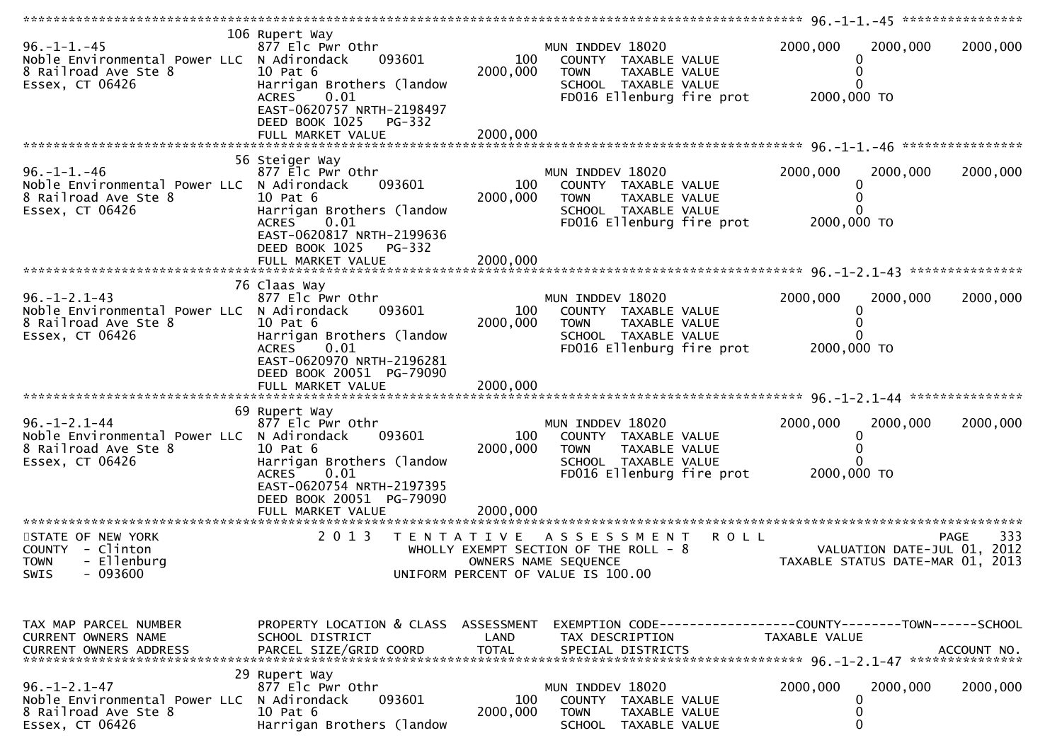| $96. - 1 - 1. - 45$<br>Noble Environmental Power LLC N Adirondack<br>8 Railroad Ave Ste 8<br>Essex, CT 06426  | 106 Rupert Way<br>877 Elc Pwr Othr<br>093601<br>10 Pat 6<br>Harrigan Brothers (landow<br>0.01<br>ACRES<br>EAST-0620757 NRTH-2198497<br>DEED BOOK 1025 PG-332<br>FULL MARKET VALUE   | 100<br>2000,000<br>2000,000 | MUN INDDEV 18020<br>COUNTY TAXABLE VALUE<br>TAXABLE VALUE<br><b>TOWN</b><br>SCHOOL TAXABLE VALUE<br>FD016 Ellenburg fire prot             | 2000,000<br>2000,000<br>0<br>2000,000 TO                                       | 2000,000 |
|---------------------------------------------------------------------------------------------------------------|-------------------------------------------------------------------------------------------------------------------------------------------------------------------------------------|-----------------------------|-------------------------------------------------------------------------------------------------------------------------------------------|--------------------------------------------------------------------------------|----------|
|                                                                                                               | 56 Steiger Way                                                                                                                                                                      |                             |                                                                                                                                           |                                                                                |          |
| $96. - 1 - 1. - 46$<br>Noble Environmental Power LLC N Adirondack<br>8 Railroad Ave Ste 8<br>Essex, CT 06426  | 877 Elc Pwr Othr<br>093601<br>10 Pat 6<br>Harrigan Brothers (landow<br><b>ACRES</b><br>0.01<br>EAST-0620817 NRTH-2199636<br>DEED BOOK 1025<br>PG-332                                | 100<br>2000,000             | MUN INDDEV 18020<br>COUNTY TAXABLE VALUE<br>TAXABLE VALUE<br><b>TOWN</b><br>SCHOOL TAXABLE VALUE<br>FD016 Ellenburg fire prot             | 2000,000<br>2000,000<br>0<br>0<br>2000,000 TO                                  | 2000,000 |
|                                                                                                               | FULL MARKET VALUE                                                                                                                                                                   | 2000,000                    |                                                                                                                                           |                                                                                |          |
|                                                                                                               | 76 Claas Way                                                                                                                                                                        |                             |                                                                                                                                           |                                                                                |          |
| $96. - 1 - 2.1 - 43$<br>Noble Environmental Power LLC N Adirondack<br>8 Railroad Ave Ste 8<br>Essex, CT 06426 | 877 Elc Pwr Othr<br>093601<br>10 Pat 6<br>Harrigan Brothers (landow<br>ACRES 0.01<br>EAST-0620970 NRTH-2196281                                                                      | 100<br>2000,000             | MUN INDDEV 18020<br>COUNTY TAXABLE VALUE<br><b>TOWN</b><br><b>TAXABLE VALUE</b><br>SCHOOL TAXABLE VALUE<br>FD016 Ellenburg fire prot      | 2000,000<br>2000,000<br>0<br>2000,000 TO                                       | 2000,000 |
|                                                                                                               | DEED BOOK 20051 PG-79090                                                                                                                                                            |                             |                                                                                                                                           |                                                                                |          |
|                                                                                                               |                                                                                                                                                                                     |                             |                                                                                                                                           |                                                                                |          |
| $96. - 1 - 2.1 - 44$<br>Noble Environmental Power LLC N Adirondack<br>8 Railroad Ave Ste 8<br>Essex, CT 06426 | 69 Rupert Way<br>877 Elc Pwr Othr<br>093601<br>10 Pat 6<br>Harrigan Brothers (landow<br>ACRES<br>0.01<br>EAST-0620754 NRTH-2197395<br>DEED BOOK 20051 PG-79090<br>FULL MARKET VALUE | 100<br>2000,000<br>2000,000 | MUN INDDEV 18020<br>COUNTY TAXABLE VALUE<br><b>TOWN</b><br>TAXABLE VALUE<br>SCHOOL TAXABLE VALUE<br>FD016 Ellenburg fire prot             | 2000,000<br>2000,000<br>0<br>0<br>2000,000 TO                                  | 2000,000 |
|                                                                                                               |                                                                                                                                                                                     |                             |                                                                                                                                           |                                                                                |          |
| STATE OF NEW YORK<br>COUNTY - Clinton<br>- Ellenburg<br><b>TOWN</b><br>SWIS<br>- 093600                       | 2 0 1 3                                                                                                                                                                             | T E N T A T I V E           | <b>ROLL</b><br>A S S E S S M E N T<br>WHOLLY EXEMPT SECTION OF THE ROLL - 8<br>OWNERS NAME SEQUENCE<br>UNIFORM PERCENT OF VALUE IS 100.00 | <b>PAGE</b><br>VALUATION DATE-JUL 01, 2012<br>TAXABLE STATUS DATE-MAR 01, 2013 | 333      |
|                                                                                                               |                                                                                                                                                                                     |                             |                                                                                                                                           |                                                                                |          |
| TAX MAP PARCEL NUMBER<br><b>CURRENT OWNERS NAME</b>                                                           | PROPERTY LOCATION & CLASS ASSESSMENT<br>SCHOOL DISTRICT                                                                                                                             | LAND                        | TAX DESCRIPTION                                                                                                                           | TAXABLE VALUE                                                                  |          |
|                                                                                                               | 29 Rupert Way                                                                                                                                                                       |                             |                                                                                                                                           |                                                                                |          |
| $96. - 1 - 2.1 - 47$<br>Noble Environmental Power LLC<br>8 Railroad Ave Ste 8<br>Essex, CT 06426              | 877 Elc Pwr Othr<br>093601<br>N Adirondack<br>10 Pat 6<br>Harrigan Brothers (landow                                                                                                 | 100<br>2000,000             | MUN INDDEV 18020<br><b>COUNTY</b><br>TAXABLE VALUE<br><b>TOWN</b><br>TAXABLE VALUE<br><b>SCHOOL</b><br>TAXABLE VALUE                      | 2000,000<br>2000,000<br>0<br>0<br>0                                            | 2000,000 |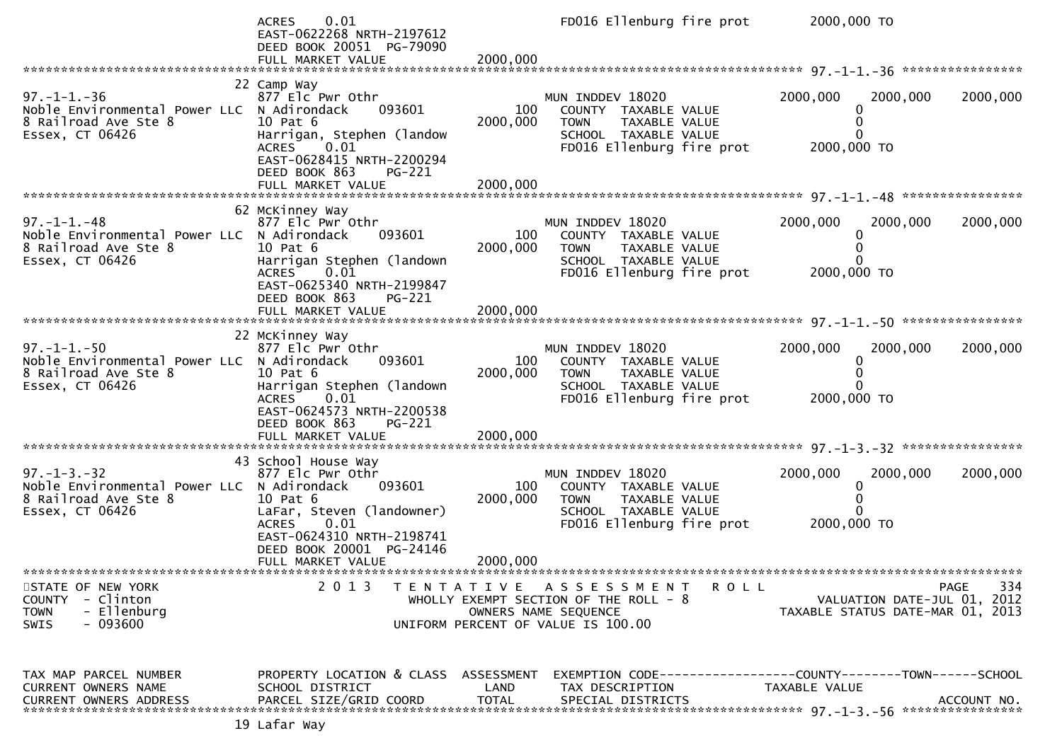ACRES 0.01 FD016 Ellenburg fire prot 2000,000 TO EAST-0622268 NRTH-2197612 DEED BOOK 20051 PG-79090 FULL MARKET VALUE 2000,000 \*\*\*\*\*\*\*\*\*\*\*\*\*\*\*\*\*\*\*\*\*\*\*\*\*\*\*\*\*\*\*\*\*\*\*\*\*\*\*\*\*\*\*\*\*\*\*\*\*\*\*\*\*\*\*\*\*\*\*\*\*\*\*\*\*\*\*\*\*\*\*\*\*\*\*\*\*\*\*\*\*\*\*\*\*\*\*\*\*\*\*\*\*\*\*\*\*\*\*\*\*\*\* 97.-1-1.-36 \*\*\*\*\*\*\*\*\*\*\*\*\*\*\*\* 22 Camp Way877 Elc Pwr Othr 97.-1-1.-36 877 Elc Pwr Othr MUN INDDEV 18020 2000,000 2000,000 2000,000Noble Environmental Power LLC N Adirondack 093601 100 COUNTY TAXABLE VALUE 0<br>8 Bailroad Ave Ste & 10 Bat 6 2000\_000 TOWN TAXABLE VALUE  $\Omega$ 8 Railroad Ave Ste 8 10 Pat 6 2000,000 TOWN TAXABLE VALUE <sup>0</sup> $\Omega$ Harrigan, Stephen (landow<br>ACRES 0.01 2000,000 TO FD016 Ellenburg fire prot EAST-0628415 NRTH-2200294DEED BOOK 863 PG-221 FULL MARKET VALUE 2000,000 \*\*\*\*\*\*\*\*\*\*\*\*\*\*\*\*\*\*\*\*\*\*\*\*\*\*\*\*\*\*\*\*\*\*\*\*\*\*\*\*\*\*\*\*\*\*\*\*\*\*\*\*\*\*\*\*\*\*\*\*\*\*\*\*\*\*\*\*\*\*\*\*\*\*\*\*\*\*\*\*\*\*\*\*\*\*\*\*\*\*\*\*\*\*\*\*\*\*\*\*\*\*\* 97.-1-1.-48 \*\*\*\*\*\*\*\*\*\*\*\*\*\*\*\* 62 McKinney Way877 Elc Pwr Othr 97.-1-1.-48 877 Elc Pwr Othr MUN INDDEV 18020 2000,000 2000,000 2000,000 2000,<br>Noble Environmental Pewer U.C. N.Adirendack 003601 100 COUNTY(TAXABLE VALUE Noble Environmental Power LLC N Adirondack 093601 100 COUNTY TAXABLE VALUE 0<br>8 Bailread Ave Ste & 10 Bat C  $\Omega$ 8 Railroad Ave Ste 8 10 Pat 6 2000,000 TOWN TAXABLE VALUE <sup>0</sup> $\Omega$ Harrigan Stephen (landown<br>ACRES 0.01 2000,000 TO FD016 Ellenburg fire prot EAST-0625340 NRTH-2199847 DEED BOOK 863 PG-221FULL MARKET VALUE FULL MARKET VALUE 2000,000 \*\*\*\*\*\*\*\*\*\*\*\*\*\*\*\*\*\*\*\*\*\*\*\*\*\*\*\*\*\*\*\*\*\*\*\*\*\*\*\*\*\*\*\*\*\*\*\*\*\*\*\*\*\*\*\*\*\*\*\*\*\*\*\*\*\*\*\*\*\*\*\*\*\*\*\*\*\*\*\*\*\*\*\*\*\*\*\*\*\*\*\*\*\*\*\*\*\*\*\*\*\*\* 97.-1-1.-50 \*\*\*\*\*\*\*\*\*\*\*\*\*\*\*\* 22 McKinney Way877 Elc Pwr Othr 97.-1-1.-50 877 Elc Pwr Othr MUN INDDEV 18020 2000,000 2000,000 2000,000Noble Environmental Power LLC N Adirondack 093601 100 COUNTY TAXABLE VALUE 0<br>8 Bailmaad Ave Ste 。。 10 Bat 6 2000 000 TOWN TAXABLE VALUE  $\mathbf 0$ 8 Railroad Ave Ste 8 10 Pat 6 2000,000 TOWN TAXABLE VALUE <sup>0</sup> $\Omega$ Harrigan Stephen (landown<br>ACRES 0.01 2000.000 TO  $FDO16$  Ellenburg fire prot EAST-0624573 NRTH-2200538DEED BOOK 863 PG-221<br>FULL MARKET VALUE FULL MARKET VALUE 2000,000 \*\*\*\*\*\*\*\*\*\*\*\*\*\*\*\*\*\*\*\*\*\*\*\*\*\*\*\*\*\*\*\*\*\*\*\*\*\*\*\*\*\*\*\*\*\*\*\*\*\*\*\*\*\*\*\*\*\*\*\*\*\*\*\*\*\*\*\*\*\*\*\*\*\*\*\*\*\*\*\*\*\*\*\*\*\*\*\*\*\*\*\*\*\*\*\*\*\*\*\*\*\*\* 97.-1-3.-32 \*\*\*\*\*\*\*\*\*\*\*\*\*\*\*\* 43 School House Way877 Elc Pwr Othr 97.-1-3.-32 877 Elc Pwr Othr MUN INDDEV 18020 2000,000 2000,000 2000,000Noble Environmental Power LLC N Adirondack 093601 100 COUNTY TAXABLE VALUE 0<br>8 Bailroad Ave Ste & 10 Bat 6 2000\_000 TOWN TAXABLE VALUE  $\Omega$ 8 Railroad Ave Ste 8 10 Pat 6 2000,000 TOWN TAXABLE VALUE <sup>0</sup> $\Omega$ LaFar, Steven (landowner)<br>ACRES 0.01 2000.000 TO FD016 Ellenburg fire prot EAST-0624310 NRTH-2198741DEED BOOK 20001 PG-24146<br>EULL MARKET VALUE FULL MARKET VALUE 2000,000 \*\*\*\*\*\*\*\*\*\*\*\*\*\*\*\*\*\*\*\*\*\*\*\*\*\*\*\*\*\*\*\*\*\*\*\*\*\*\*\*\*\*\*\*\*\*\*\*\*\*\*\*\*\*\*\*\*\*\*\*\*\*\*\*\*\*\*\*\*\*\*\*\*\*\*\*\*\*\*\*\*\*\*\*\*\*\*\*\*\*\*\*\*\*\*\*\*\*\*\*\*\*\*\*\*\*\*\*\*\*\*\*\*\*\*\*\*\*\*\*\*\*\*\*\*\*\*\*\*\*\*\*334 STATE OF NEW YORK 2 0 1 3 T E N T A T I V E A S S E S S M E N T R O L L PAGE <sup>334</sup>VALUATION DATE-JUL 01, 2012 COUNTY - Clinton WHOLLY EXEMPT SECTION OF THE ROLL - 8 VALUATION DATE-JUL 01, 2012 TOWN - Ellenburg OWNERS NAME SEQUENCE TAXABLE STATUS DATE-MAR 01, 2013SWIS - 093600 UNIFORM PERCENT OF VALUE IS 100.00TAX MAP PARCEL NUMBER PROPERTY LOCATION & CLASS ASSESSMENT EXEMPTION CODE------------------COUNTY--------TOWN------SCHOOLCURRENT OWNERS NAME SCHOOL DISTRICT LAND TAX DESCRIPTION TAXABLE VALUE<br>CURRENT OWNERS ARRRESS RARGEL SIZE(CRIR)COORR TOTAL SRECIAL RISTRICTS CURRENT OWNERS ADDRESS PARCEL SIZE/GRID COORD TOTAL SPECIAL DISTRICTS ACCOUNT NO. \*\*\*\*\*\*\*\*\*\*\*\*\*\*\*\*\*\*\*\*\*\*\*\*\*\*\*\*\*\*\*\*\*\*\*\*\*\*\*\*\*\*\*\*\*\*\*\*\*\*\*\*\*\*\*\*\*\*\*\*\*\*\*\*\*\*\*\*\*\*\*\*\*\*\*\*\*\*\*\*\*\*\*\*\*\*\*\*\*\*\*\*\*\*\*\*\*\*\*\*\*\*\* 97.-1-3.-56 \*\*\*\*\*\*\*\*\*\*\*\*\*\*\*\*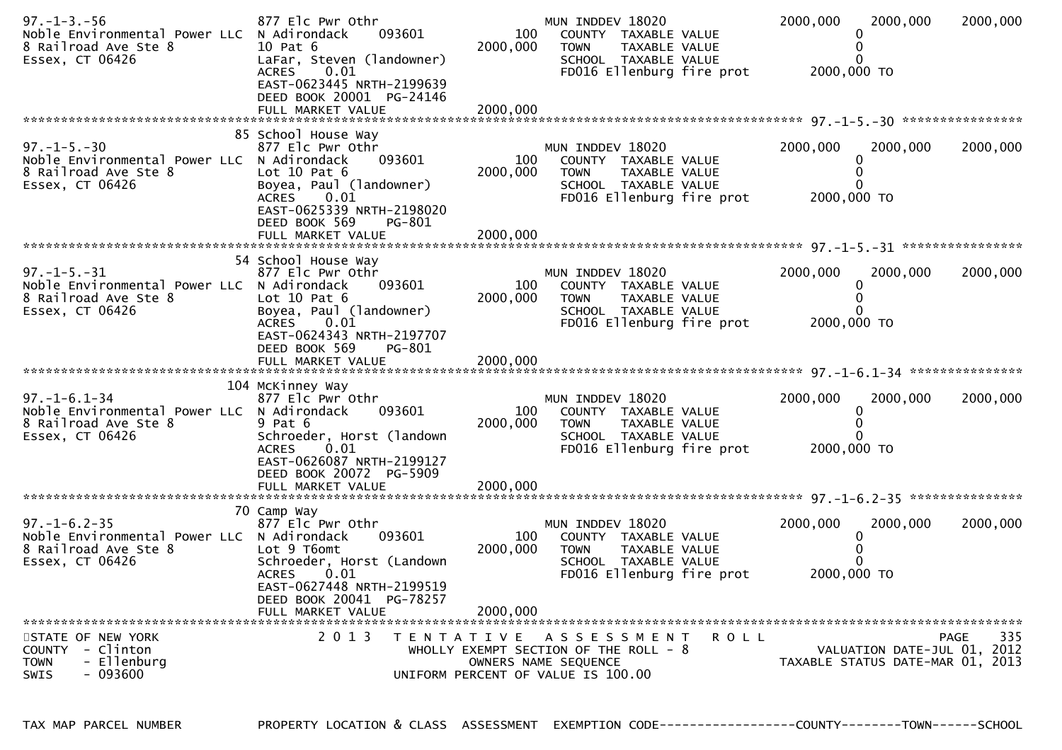| $97. - 1 - 3. - 56$<br>Noble Environmental Power LLC<br>8 Railroad Ave Ste 8<br>Essex, CT 06426               | 877 Elc Pwr Othr<br>N Adirondack<br>093601<br>10 Pat 6<br>LaFar, Steven (landowner)<br><b>ACRES</b><br>0.01<br>EAST-0623445 NRTH-2199639<br>DEED BOOK 20001 PG-24146<br>FULL MARKET VALUE   | 100<br>2000,000<br>2000,000 | MUN INDDEV 18020<br>COUNTY TAXABLE VALUE<br><b>TOWN</b><br>TAXABLE VALUE<br>SCHOOL TAXABLE VALUE<br>FD016 Ellenburg fire prot       | 2000,000<br>2000,000 TO | 2000,000<br>0                                                   | 2000,000    |
|---------------------------------------------------------------------------------------------------------------|---------------------------------------------------------------------------------------------------------------------------------------------------------------------------------------------|-----------------------------|-------------------------------------------------------------------------------------------------------------------------------------|-------------------------|-----------------------------------------------------------------|-------------|
|                                                                                                               |                                                                                                                                                                                             |                             |                                                                                                                                     |                         |                                                                 |             |
| $97. - 1 - 5. - 30$<br>Noble Environmental Power LLC N Adirondack<br>8 Railroad Ave Ste 8<br>Essex, CT 06426  | 85 School House Way<br>877 Elc Pwr Othr<br>093601<br>Lot $10$ Pat $6$<br>Boyea, Paul (landowner)<br>0.01<br><b>ACRES</b><br>EAST-0625339 NRTH-2198020                                       | 100<br>2000,000             | MUN INDDEV 18020<br>COUNTY TAXABLE VALUE<br>TAXABLE VALUE<br><b>TOWN</b><br>SCHOOL TAXABLE VALUE<br>FD016 Ellenburg fire prot       | 2000,000<br>2000,000 TO | 2000,000<br>0<br>0                                              | 2000,000    |
|                                                                                                               | DEED BOOK 569<br>PG-801                                                                                                                                                                     |                             |                                                                                                                                     |                         |                                                                 |             |
|                                                                                                               |                                                                                                                                                                                             |                             |                                                                                                                                     |                         |                                                                 |             |
| $97. -1 - 5. -31$<br>Noble Environmental Power LLC N Adirondack<br>8 Railroad Ave Ste 8<br>Essex, CT 06426    | 54 School House Way<br>877 Elc Pwr Othr<br>093601<br>Lot $10$ Pat $6$<br>Boyea, Paul (landowner)<br>ACRES<br>0.01                                                                           | 100<br>2000,000             | MUN INDDEV 18020<br>COUNTY TAXABLE VALUE<br>TAXABLE VALUE<br><b>TOWN</b><br>SCHOOL TAXABLE VALUE<br>FD016 Ellenburg fire prot       | 2000,000<br>2000,000 TO | 2000,000                                                        | 2000,000    |
|                                                                                                               | EAST-0624343 NRTH-2197707<br>DEED BOOK 569<br>PG-801                                                                                                                                        |                             |                                                                                                                                     |                         |                                                                 |             |
| $97. - 1 - 6.1 - 34$<br>Noble Environmental Power LLC N Adirondack<br>8 Railroad Ave Ste 8<br>Essex, CT 06426 | 104 McKinney Way<br>877 Elc Pwr Othr<br>093601<br>9 Pat 6<br>Schroeder, Horst (landown<br><b>ACRES</b><br>0.01<br>EAST-0626087 NRTH-2199127                                                 | 100<br>2000,000             | MUN INDDEV 18020<br>COUNTY TAXABLE VALUE<br>TOWN<br>TAXABLE VALUE<br>SCHOOL TAXABLE VALUE<br>FD016 Ellenburg fire prot              | 2000,000<br>2000,000 TO | 2000,000<br>0                                                   | 2000,000    |
|                                                                                                               | DEED BOOK 20072 PG-5909<br>FULL MARKET VALUE                                                                                                                                                | 2000,000                    |                                                                                                                                     |                         |                                                                 |             |
| $97. - 1 - 6.2 - 35$<br>Noble Environmental Power LLC N Adirondack<br>8 Railroad Ave Ste 8<br>Essex, CT 06426 | 70 Camp Way<br>877 Elc Pwr Othr<br>093601<br>Lot 9 T6omt<br>Schroeder, Horst (Landown<br><b>ACRES</b><br>0.01<br>EAST-0627448 NRTH-2199519<br>DEED BOOK 20041 PG-78257<br>FULL MARKET VALUE | 100<br>2000,000<br>2000,000 | MUN INDDEV 18020<br>COUNTY TAXABLE VALUE<br><b>TOWN</b><br>TAXABLE VALUE<br>SCHOOL TAXABLE VALUE<br>FD016 Ellenburg fire prot       | 2000,000<br>2000,000 TO | 2000,000<br>0                                                   | 2000,000    |
| STATE OF NEW YORK<br>- Clinton<br><b>COUNTY</b><br>- Ellenburg<br><b>TOWN</b><br>- 093600<br><b>SWIS</b>      | 2 0 1 3                                                                                                                                                                                     |                             | TENTATIVE ASSESSMENT<br>ROLL<br>WHOLLY EXEMPT SECTION OF THE ROLL - 8<br>OWNERS NAME SEQUENCE<br>UNIFORM PERCENT OF VALUE IS 100.00 |                         | VALUATION DATE-JUL 01, 2012<br>TAXABLE STATUS DATE-MAR 01, 2013 | 335<br>PAGE |

TAX MAP PARCEL NUMBER PROPERTY LOCATION & CLASS ASSESSMENT EXEMPTION CODE------------------COUNTY--------TOWN------SCHOOL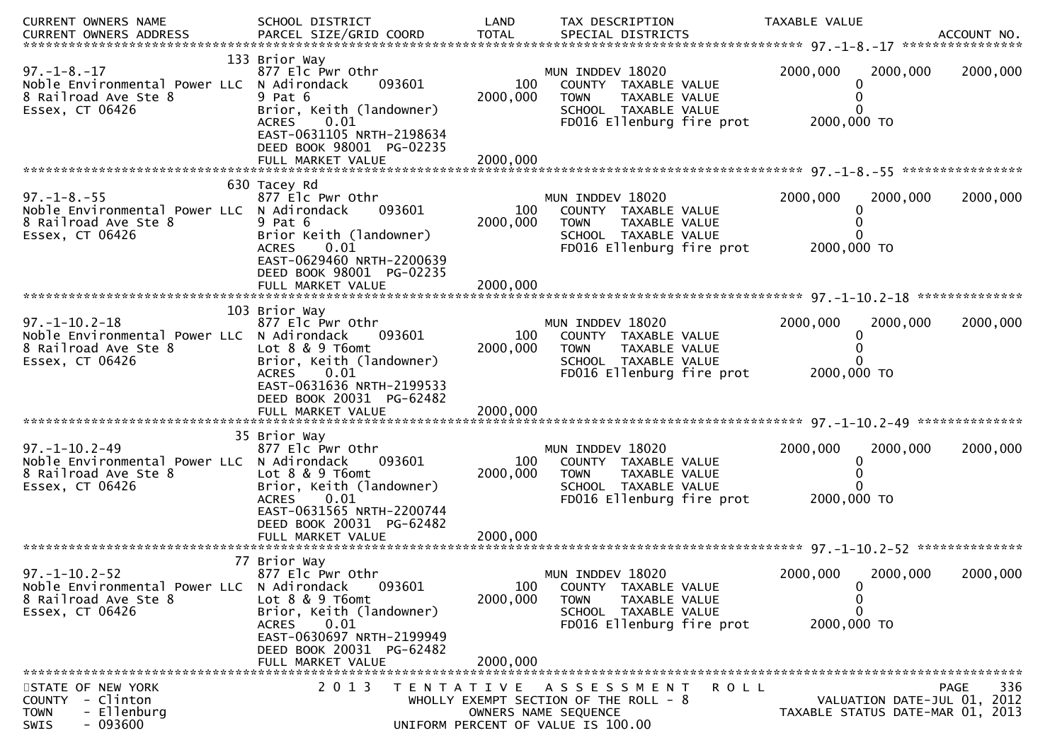| CURRENT OWNERS NAME                                                                                            | SCHOOL DISTRICT                                                                                                                                                            | LAND            | TAX DESCRIPTION                                                                                                                      | TAXABLE VALUE                          |                                                                                |
|----------------------------------------------------------------------------------------------------------------|----------------------------------------------------------------------------------------------------------------------------------------------------------------------------|-----------------|--------------------------------------------------------------------------------------------------------------------------------------|----------------------------------------|--------------------------------------------------------------------------------|
| <b>CURRENT OWNERS ADDRESS</b>                                                                                  | PARCEL SIZE/GRID COORD                                                                                                                                                     | <b>TOTAL</b>    | SPECIAL DISTRICTS                                                                                                                    |                                        | ACCOUNT NO.                                                                    |
|                                                                                                                | 133 Brior Way                                                                                                                                                              |                 |                                                                                                                                      |                                        |                                                                                |
| $97. - 1 - 8. - 17$<br>Noble Environmental Power LLC N Adirondack<br>8 Railroad Ave Ste 8<br>Essex, CT 06426   | 877 Elc Pwr Othr<br>093601<br>$9$ Pat $6$<br>Brior, Keith (landowner)<br>0.01<br><b>ACRES</b>                                                                              | 100<br>2000,000 | MUN INDDEV 18020<br>COUNTY TAXABLE VALUE<br><b>TOWN</b><br>TAXABLE VALUE<br>SCHOOL TAXABLE VALUE<br>FD016 Ellenburg fire prot        | 2000,000<br>$\Omega$<br>2000,000 TO    | 2000,000<br>2000,000                                                           |
|                                                                                                                | EAST-0631105 NRTH-2198634<br>DEED BOOK 98001 PG-02235                                                                                                                      |                 |                                                                                                                                      |                                        |                                                                                |
| $97. - 1 - 8. - 55$<br>Noble Environmental Power LLC N Adirondack<br>8 Railroad Ave Ste 8<br>Essex, CT 06426   | 630 Tacey Rd<br>877 Elc Pwr Othr<br>093601<br>9 Pat 6<br>Brior Keith (landowner)<br>0.01<br><b>ACRES</b>                                                                   | 100<br>2000,000 | MUN INDDEV 18020<br>COUNTY TAXABLE VALUE<br>TAXABLE VALUE<br><b>TOWN</b><br>SCHOOL TAXABLE VALUE<br>FD016 Ellenburg fire prot        | 2000,000<br>0<br>0<br>2000,000 TO      | 2000,000<br>2000,000                                                           |
|                                                                                                                | EAST-0629460 NRTH-2200639<br>DEED BOOK 98001 PG-02235<br>FULL MARKET VALUE                                                                                                 | 2000,000        |                                                                                                                                      |                                        |                                                                                |
|                                                                                                                | 103 Brior Way                                                                                                                                                              |                 |                                                                                                                                      |                                        |                                                                                |
| $97. - 1 - 10.2 - 18$<br>Noble Environmental Power LLC<br>8 Railroad Ave Ste 8<br>Essex, CT 06426              | 877 Elc Pwr Othr<br>N Adirondack<br>093601<br>Lot $8 \& 9 \t{T6}$<br>Brior, Keith (landowner)<br><b>ACRES</b><br>0.01<br>EAST-0631636 NRTH-2199533                         | 100<br>2000,000 | MUN INDDEV 18020<br>COUNTY TAXABLE VALUE<br>TAXABLE VALUE<br><b>TOWN</b><br>SCHOOL TAXABLE VALUE<br>FD016 Ellenburg fire prot        | 2000,000<br>0<br>2000,000 TO           | 2000,000<br>2000,000                                                           |
|                                                                                                                | DEED BOOK 20031 PG-62482                                                                                                                                                   | 2000,000        |                                                                                                                                      |                                        |                                                                                |
|                                                                                                                | FULL MARKET VALUE                                                                                                                                                          |                 |                                                                                                                                      |                                        |                                                                                |
| $97. - 1 - 10.2 - 49$<br>Noble Environmental Power LLC N Adirondack<br>8 Railroad Ave Ste 8<br>Essex, CT 06426 | 35 Brior Way<br>877 Elc Pwr Othr<br>093601<br>Lot 8 & 9 T6omt<br>Brior, Keith (landowner)<br><b>ACRES</b><br>0.01<br>EAST-0631565 NRTH-2200744                             | 100<br>2000,000 | MUN INDDEV 18020<br>COUNTY TAXABLE VALUE<br><b>TOWN</b><br><b>TAXABLE VALUE</b><br>SCHOOL TAXABLE VALUE<br>FD016 Ellenburg fire prot | 2000,000<br>0<br>0<br>2000,000 TO      | 2000,000<br>2000,000                                                           |
|                                                                                                                | DEED BOOK 20031 PG-62482                                                                                                                                                   |                 |                                                                                                                                      |                                        |                                                                                |
|                                                                                                                |                                                                                                                                                                            |                 |                                                                                                                                      |                                        |                                                                                |
| $97. - 1 - 10.2 - 52$<br>Noble Environmental Power LLC N Adirondack<br>8 Railroad Ave Ste 8<br>Essex, CT 06426 | 77 Brior Way<br>877 Elc Pwr Othr<br>093601<br>Lot 8 & 9 T6omt<br>Brior, Keith (landowner)<br>0.01<br><b>ACRES</b><br>EAST-0630697 NRTH-2199949<br>DEED BOOK 20031 PG-62482 | 100<br>2000,000 | MUN INDDEV 18020<br>COUNTY TAXABLE VALUE<br><b>TOWN</b><br>TAXABLE VALUE<br>SCHOOL TAXABLE VALUE<br>FD016 Ellenburg fire prot        | 2000,000<br>0<br>0<br>0<br>2000,000 TO | 2000,000<br>2000,000                                                           |
|                                                                                                                | FULL MARKET VALUE                                                                                                                                                          | 2000,000        |                                                                                                                                      |                                        |                                                                                |
| STATE OF NEW YORK<br>COUNTY - Clinton<br>- Ellenburg<br><b>TOWN</b><br>$-093600$<br>SWIS                       | 2 0 1 3<br>T E N T A T I V E                                                                                                                                               |                 | A S S E S S M E N T<br>ROLL<br>WHOLLY EXEMPT SECTION OF THE ROLL - 8<br>OWNERS NAME SEQUENCE<br>UNIFORM PERCENT OF VALUE IS 100.00   |                                        | PAGE<br>336<br>VALUATION DATE-JUL 01, 2012<br>TAXABLE STATUS DATE-MAR 01, 2013 |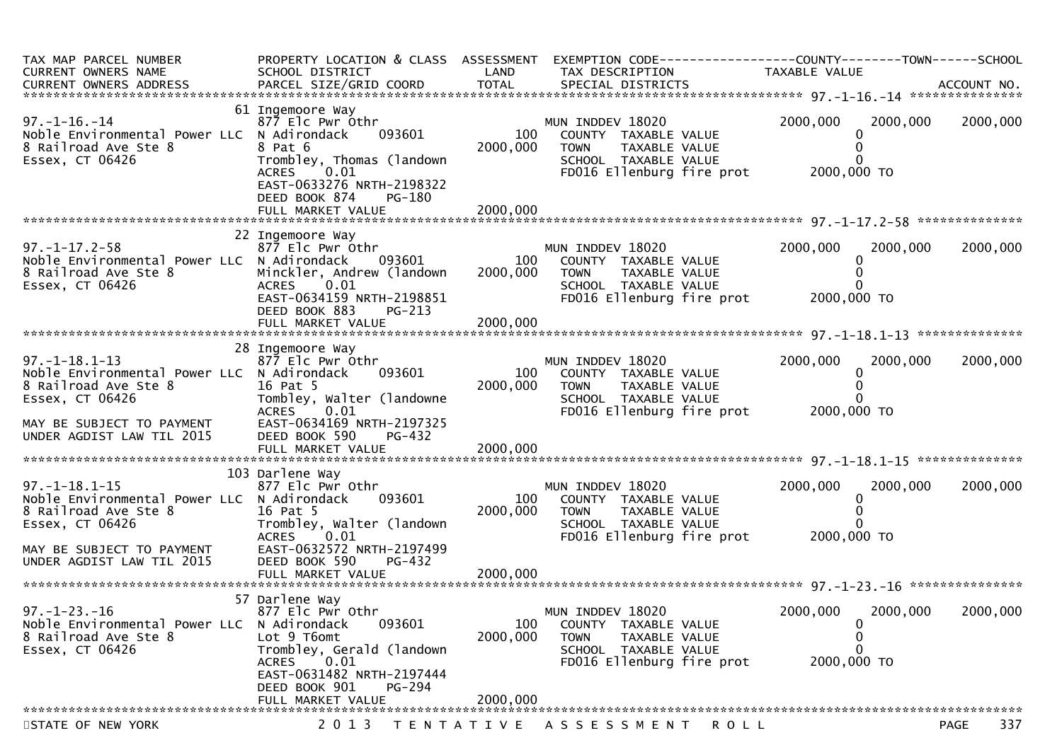| TAX MAP PARCEL NUMBER<br>CURRENT OWNERS NAME                                                                                                                             | PROPERTY LOCATION & CLASS ASSESSMENT<br>SCHOOL DISTRICT                                                                                                                                | LAND                        | EXEMPTION CODE------------------COUNTY--------TOWN------SCHOOL<br>TAX DESCRIPTION                                             | TAXABLE VALUE                                      |             |
|--------------------------------------------------------------------------------------------------------------------------------------------------------------------------|----------------------------------------------------------------------------------------------------------------------------------------------------------------------------------------|-----------------------------|-------------------------------------------------------------------------------------------------------------------------------|----------------------------------------------------|-------------|
| $97. - 1 - 16. - 14$<br>Noble Environmental Power LLC N Adirondack<br>8 Railroad Ave Ste 8<br>Essex, CT 06426                                                            | 61 Ingemoore Way<br>877 Elc Pwr Othr<br>093601<br>8 Pat 6<br>Trombley, Thomas (landown<br><b>ACRES</b><br>0.01<br>EAST-0633276 NRTH-2198322<br>DEED BOOK 874<br>PG-180                 | 100<br>2000,000             | MUN INDDEV 18020<br>COUNTY TAXABLE VALUE<br><b>TOWN</b><br>TAXABLE VALUE<br>SCHOOL TAXABLE VALUE<br>FD016 Ellenburg fire prot | 2000,000<br>2000,000<br>2000,000 TO                | 2000,000    |
| $97. - 1 - 17.2 - 58$<br>Noble Environmental Power LLC N Adirondack<br>8 Railroad Ave Ste 8<br>Essex, CT 06426                                                           | 22 Ingemoore Way<br>877 Elc Pwr Othr<br>093601<br>Minckler, Andrew (landown<br><b>ACRES</b><br>0.01<br>EAST-0634159 NRTH-2198851<br>DEED BOOK 883<br>PG-213                            | 100<br>2000,000             | MUN INDDEV 18020<br>COUNTY TAXABLE VALUE<br>TAXABLE VALUE<br><b>TOWN</b><br>SCHOOL TAXABLE VALUE<br>FD016 Ellenburg fire prot | 2000,000<br>2000,000<br>2000,000 TO                | 2000,000    |
| $97. - 1 - 18.1 - 13$<br>Noble Environmental Power LLC N Adirondack<br>8 Railroad Ave Ste 8<br>Essex, CT 06426<br>MAY BE SUBJECT TO PAYMENT<br>UNDER AGDIST LAW TIL 2015 | 28 Ingemoore Way<br>877 Elc Pwr Othr<br>093601<br>16 Pat 5<br>Tombley, Walter (landowne<br>0.01<br>ACRES<br>EAST-0634169 NRTH-2197325<br>DEED BOOK 590<br>PG-432<br>FULL MARKET VALUE  | 100<br>2000,000<br>2000,000 | MUN INDDEV 18020<br>COUNTY TAXABLE VALUE<br>TAXABLE VALUE<br><b>TOWN</b><br>SCHOOL TAXABLE VALUE<br>FD016 Ellenburg fire prot | 2000,000<br>2000,000<br>2000,000 TO                | 2000,000    |
| $97. - 1 - 18.1 - 15$<br>Noble Environmental Power LLC N Adirondack<br>8 Railroad Ave Ste 8<br>Essex, CT 06426<br>MAY BE SUBJECT TO PAYMENT<br>UNDER AGDIST LAW TIL 2015 | 103 Darlene Way<br>877 Elc Pwr Othr<br>093601<br>16 Pat 5<br>Trombley, Walter (landown<br><b>ACRES</b><br>0.01<br>EAST-0632572 NRTH-2197499<br>DEED BOOK 590<br>PG-432                 | 100<br>2000,000             | MUN INDDEV 18020<br>COUNTY TAXABLE VALUE<br>TAXABLE VALUE<br><b>TOWN</b><br>SCHOOL TAXABLE VALUE<br>FD016 Ellenburg fire prot | 2000,000<br>2000,000<br>2000,000 TO                | 2000,000    |
| $97. - 1 - 23. - 16$<br>Noble Environmental Power LLC N Adirondack<br>8 Railroad Ave Ste 8<br>Essex, CT 06426                                                            | 57 Darlene Way<br>877 Elc Pwr Othr<br>093601<br>Lot 9 T6omt<br>Trombley, Gerald (landown<br>0.01<br>ACRES<br>EAST-0631482 NRTH-2197444<br>DEED BOOK 901<br>PG-294<br>FULL MARKET VALUE | 100<br>2000,000<br>2000,000 | MUN INDDEV 18020<br>COUNTY TAXABLE VALUE<br><b>TOWN</b><br>TAXABLE VALUE<br>SCHOOL TAXABLE VALUE<br>FD016 Ellenburg fire prot | 2000,000<br>2000,000<br>0<br>0<br>0<br>2000,000 TO | 2000,000    |
| STATE OF NEW YORK                                                                                                                                                        | 2 0 1 3                                                                                                                                                                                |                             | TENTATIVE ASSESSMENT<br>ROLL                                                                                                  |                                                    | 337<br>PAGE |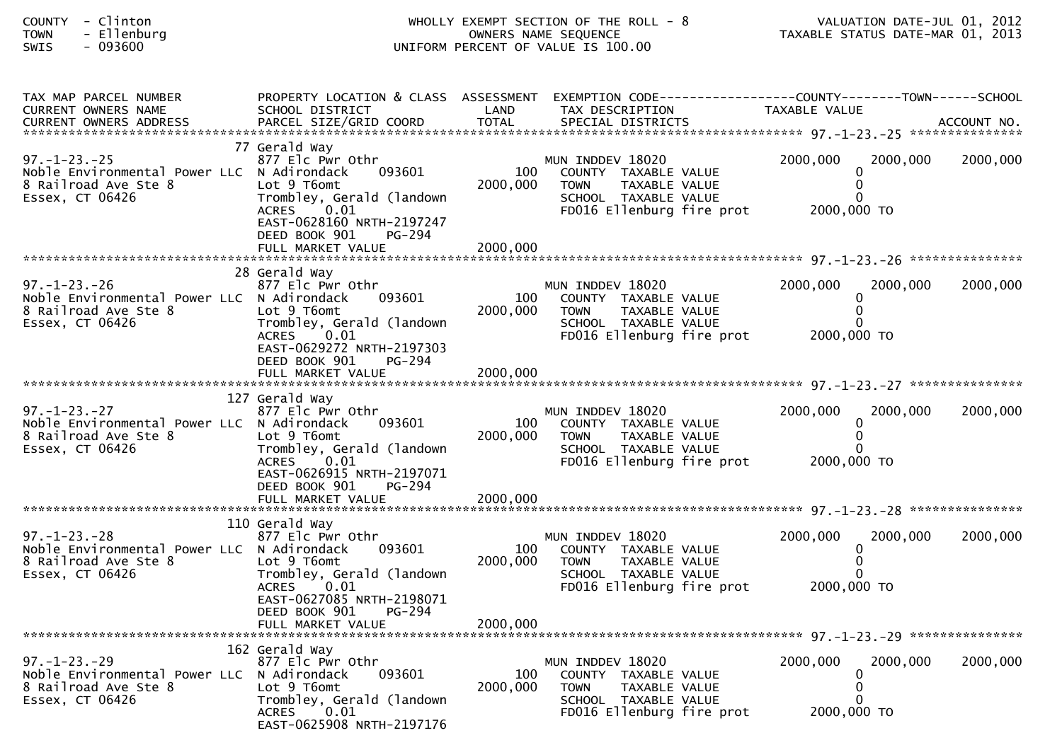| COUNTY - Clinton<br>- Ellenburg<br><b>TOWN</b><br>$-093600$<br>SWIS                                                                 | WHOLLY EXEMPT SECTION OF THE ROLL - 8<br>OWNERS NAME SEQUENCE<br>UNIFORM PERCENT OF VALUE IS 100.00                                                                                    |                             | VALUATION DATE-JUL 01, 2012<br>VALUATION DATE-JUL 01, 2012<br>TAXABLE STATUS DATE-MAR 01, 2013                                |                                                 |          |
|-------------------------------------------------------------------------------------------------------------------------------------|----------------------------------------------------------------------------------------------------------------------------------------------------------------------------------------|-----------------------------|-------------------------------------------------------------------------------------------------------------------------------|-------------------------------------------------|----------|
| TAX MAP PARCEL NUMBER<br>CURRENT OWNERS NAME                                                                                        | SCHOOL DISTRICT                                                                                                                                                                        | LAND                        | PROPERTY LOCATION & CLASS ASSESSMENT EXEMPTION CODE----------------COUNTY-------TOWN-----SCHOOL<br>TAX DESCRIPTION            | TAXABLE VALUE                                   |          |
| $97. - 1 - 23. - 25$<br>Noble Environmental Power LLC N Adirondack<br>8 Railroad Ave Ste 8<br>Essex, CT 06426                       | 77 Gerald Way<br>877 Elc Pwr Othr<br>093601<br>Lot 9 T6omt<br>Trombley, Gerald (landown<br>ACRES 0.01<br>EAST-0628160 NRTH-2197247<br>DEED BOOK 901<br>PG-294                          | 100<br>2000,000             | MUN INDDEV 18020<br>COUNTY TAXABLE VALUE<br>TAXABLE VALUE<br><b>TOWN</b><br>SCHOOL TAXABLE VALUE<br>FD016 Ellenburg fire prot | 2000,000<br>2000,000<br>2000,000 TO             | 2000,000 |
| $97. - 1 - 23. - 26$<br>Noble Environmental Power LLC N Adirondack<br>NODIE ENVIRONMENTE<br>8 Railroad Ave Ste 8<br>Fssex. CT 06426 | 28 Gerald Way<br>877 Elc Pwr Othr<br>093601<br>Lot 9 T6omt<br>Trombley, Gerald (landown<br>ACRES 0.01<br>EAST-0629272 NRTH-2197303<br>DEED BOOK 901<br>PG-294                          | 100<br>2000,000             | MUN INDDEV 18020<br>COUNTY TAXABLE VALUE<br><b>TOWN</b><br>TAXABLE VALUE<br>SCHOOL TAXABLE VALUE<br>FD016 Ellenburg fire prot | 2000,000<br>2000,000<br>2000,000 TO             | 2000,000 |
| $97. - 1 - 23. - 27$<br>Noble Environmental Power LLC N Adirondack<br>8 Railroad Ave Ste 8<br>Essex, CT 06426                       | 127 Gerald Way<br>877 Elc Pwr Othr<br>093601<br>Lot 9 T6omt<br>Trombley, Gerald (landown<br>0.01<br>ACRES<br>EAST-0626915 NRTH-2197071<br>DEED BOOK 901<br>PG-294                      | 100<br>2000,000             | MUN INDDEV 18020<br>COUNTY TAXABLE VALUE<br><b>TOWN</b><br>TAXABLE VALUE<br>SCHOOL TAXABLE VALUE<br>FD016 Ellenburg fire prot | 2000,000<br>2000,000<br>$\bf{0}$<br>2000,000 TO | 2000,000 |
| $97. - 1 - 23. - 28$<br>Noble Environmental Power LLC N Adirondack<br>8 Railroad Ave Ste 8<br>Essex, CT 06426                       | 110 Gerald Way<br>877 Elc Pwr Othr<br>093601<br>Lot 9 T6omt<br>Trombley, Gerald (landown<br>0.01<br>ACRES<br>EAST-0627085 NRTH-2198071<br>DEED BOOK 901<br>PG-294<br>FULL MARKET VALUE | 100<br>2000,000<br>2000,000 | MUN INDDEV 18020<br>COUNTY TAXABLE VALUE<br><b>TOWN</b><br>TAXABLE VALUE<br>SCHOOL TAXABLE VALUE<br>FD016 Ellenburg fire prot | 2000,000<br>2000,000<br>2000,000 TO             | 2000,000 |
| $97. - 1 - 23. - 29$<br>Noble Environmental Power LLC<br>8 Railroad Ave Ste 8<br>Essex, CT 06426                                    | 162 Gerald Way<br>877 Elc Pwr Othr<br>N Adirondack<br>093601<br>Lot 9 T6omt<br>Trombley, Gerald (landown<br>ACRES<br>0.01<br>EAST-0625908 NRTH-2197176                                 | 100<br>2000,000             | MUN INDDEV 18020<br>COUNTY TAXABLE VALUE<br>TAXABLE VALUE<br><b>TOWN</b><br>SCHOOL TAXABLE VALUE<br>FD016 Ellenburg fire prot | 2000,000<br>2000,000<br>2000,000 TO             | 2000,000 |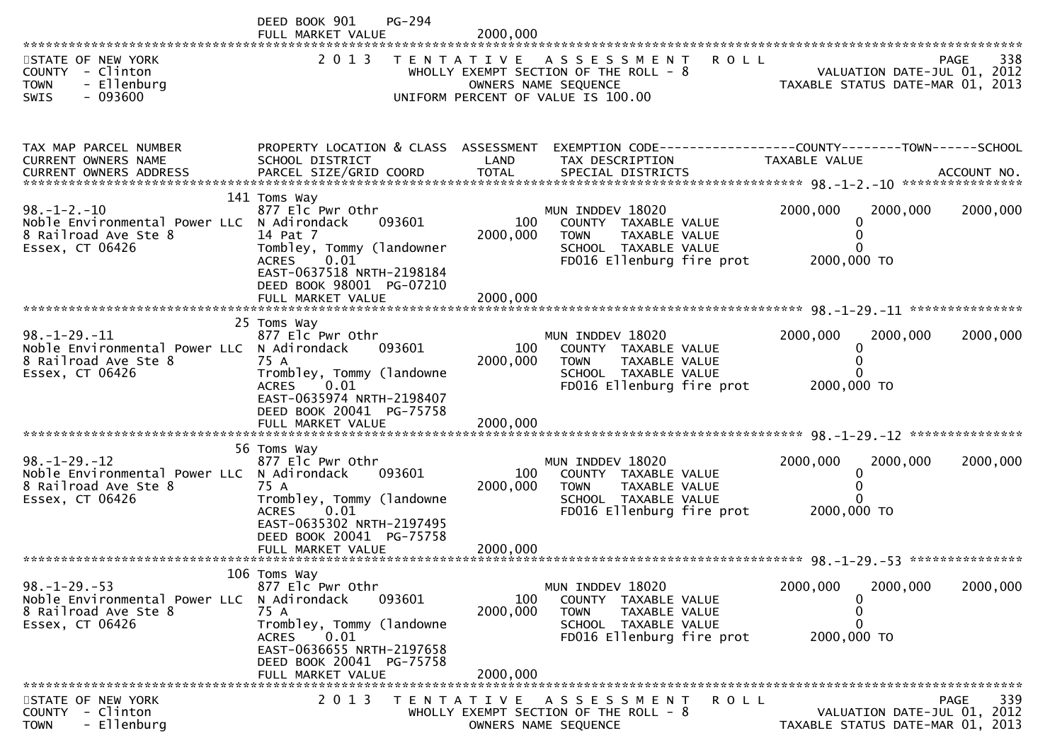|                                                                                                               | DEED BOOK 901<br>PG-294<br>FULL MARKET VALUE                                                                                                                                                   | 2000,000                    |                                                                                                                                            |                                                                 |             |
|---------------------------------------------------------------------------------------------------------------|------------------------------------------------------------------------------------------------------------------------------------------------------------------------------------------------|-----------------------------|--------------------------------------------------------------------------------------------------------------------------------------------|-----------------------------------------------------------------|-------------|
| STATE OF NEW YORK<br>COUNTY - Clinton<br><b>TOWN</b><br>- Ellenburg<br>$-093600$<br><b>SWIS</b>               | 2 0 1 3                                                                                                                                                                                        |                             | TENTATIVE ASSESSMENT<br><b>ROLL</b><br>WHOLLY EXEMPT SECTION OF THE ROLL - 8<br>OWNERS NAME SEQUENCE<br>UNIFORM PERCENT OF VALUE IS 100.00 | VALUATION DATE-JUL 01, 2012<br>TAXABLE STATUS DATE-MAR 01, 2013 | 338<br>PAGE |
|                                                                                                               |                                                                                                                                                                                                |                             |                                                                                                                                            |                                                                 |             |
| TAX MAP PARCEL NUMBER<br>CURRENT OWNERS NAME                                                                  | SCHOOL DISTRICT                                                                                                                                                                                | LAND                        | PROPERTY LOCATION & CLASS ASSESSMENT EXEMPTION CODE----------------COUNTY-------TOWN------SCHOOL<br>TAX DESCRIPTION                        | TAXABLE VALUE                                                   |             |
| $98. - 1 - 2. - 10$<br>Noble Environmental Power LLC N Adirondack<br>8 Railroad Ave Ste 8<br>Essex, CT 06426  | 141 Toms Way<br>877 Elc Pwr Othr<br>093601<br>14 Pat 7<br>Tombley, Tommy (landowner<br>0.01<br>ACRES<br>EAST-0637518 NRTH-2198184<br>DEED BOOK 98001 PG-07210<br>FULL MARKET VALUE             | 100<br>2000,000<br>2000,000 | MUN INDDEV 18020<br>COUNTY TAXABLE VALUE<br><b>TOWN</b><br>TAXABLE VALUE<br>SCHOOL TAXABLE VALUE<br>FD016 Ellenburg fire prot              | 2000,000<br>2000,000<br>2000,000 TO                             | 2000,000    |
| $98. - 1 - 29. - 11$<br>Noble Environmental Power LLC N Adirondack<br>8 Railroad Ave Ste 8<br>Essex, CT 06426 | 25 Toms Way<br>877 Elc Pwr Othr<br>093601<br>75 A<br>Trombley, Tommy (landowne<br>0.01<br>ACRES<br>EAST-0635974 NRTH-2198407<br>DEED BOOK 20041 PG-75758<br>FULL MARKET VALUE                  | 100<br>2000,000<br>2000,000 | MUN INDDEV 18020<br>COUNTY TAXABLE VALUE<br><b>TOWN</b><br>TAXABLE VALUE<br>SCHOOL TAXABLE VALUE<br>FD016 Ellenburg fire prot              | 2000,000<br>2000,000<br>0<br>2000,000 TO                        | 2000,000    |
|                                                                                                               |                                                                                                                                                                                                |                             |                                                                                                                                            |                                                                 |             |
| $98. - 1 - 29. - 12$<br>Noble Environmental Power LLC N Adirondack<br>8 Railroad Ave Ste 8<br>Essex, CT 06426 | 56 Toms Way<br>877 Elc Pwr Othr<br>093601<br>75 A<br>Trombley, Tommy (landowne<br><b>ACRES</b><br>0.01<br>EAST-0635302 NRTH-2197495                                                            | 100<br>2000,000             | MUN INDDEV 18020<br>COUNTY TAXABLE VALUE<br>TAXABLE VALUE<br><b>TOWN</b><br>SCHOOL TAXABLE VALUE<br>FD016 Ellenburg fire prot              | 2000,000<br>2000,000<br>$\Omega$<br>0<br>2000,000 TO            | 2000,000    |
|                                                                                                               | DEED BOOK 20041 PG-75758                                                                                                                                                                       |                             |                                                                                                                                            |                                                                 |             |
| $98. - 1 - 29. - 53$<br>Noble Environmental Power LLC<br>8 Railroad Ave Ste 8<br>Essex, CT 06426              | 106 Toms Way<br>877 Elc Pwr Othr<br>093601<br>N Adirondack<br>75 A<br>Trombley, Tommy (landowne<br>0.01<br>ACRES<br>EAST-0636655 NRTH-2197658<br>DEED BOOK 20041 PG-75758<br>FULL MARKET VALUE | 100<br>2000,000<br>2000.000 | MUN INDDEV 18020<br>COUNTY TAXABLE VALUE<br><b>TOWN</b><br>TAXABLE VALUE<br>SCHOOL TAXABLE VALUE<br>FD016 Ellenburg fire prot              | 2000,000<br>2000,000<br>0<br>0<br>2000,000 TO                   | 2000,000    |
| STATE OF NEW YORK<br>- Clinton<br><b>COUNTY</b><br><b>TOWN</b><br>- Ellenburg                                 | 2 0 1 3                                                                                                                                                                                        | T E N T A T I V E           | A S S E S S M E N T<br><b>ROLL</b><br>WHOLLY EXEMPT SECTION OF THE ROLL - 8<br>OWNERS NAME SEQUENCE                                        | VALUATION DATE-JUL 01, 2012<br>TAXABLE STATUS DATE-MAR 01, 2013 | 339<br>PAGE |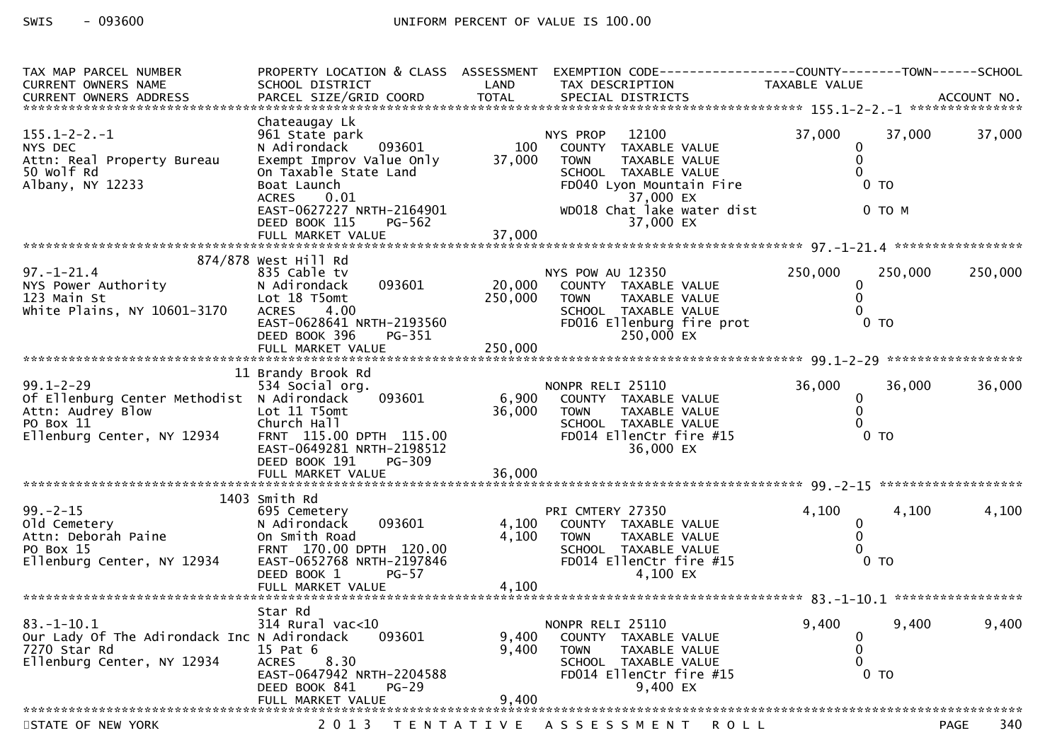| TAX MAP PARCEL NUMBER<br><b>CURRENT OWNERS NAME</b>                                                                                                     | SCHOOL DISTRICT                                                                                                                                                   | LAND                    | PROPERTY LOCATION & CLASS ASSESSMENT EXEMPTION CODE----------------COUNTY-------TOWN------SCHOOL<br>TAX DESCRIPTION                                                       | TAXABLE VALUE                             |                          |                    |
|---------------------------------------------------------------------------------------------------------------------------------------------------------|-------------------------------------------------------------------------------------------------------------------------------------------------------------------|-------------------------|---------------------------------------------------------------------------------------------------------------------------------------------------------------------------|-------------------------------------------|--------------------------|--------------------|
| $155.1 - 2 - 2 - 1$<br>NYS DEC<br>Attn: Real Property Bureau                                                                                            | Chateaugay Lk<br>961 State park<br>N Adirondack 093601<br>Exempt Improv Value Only                                                                                | 100<br>37,000           | 12100<br>NYS PROP<br>COUNTY TAXABLE VALUE<br><b>TOWN</b><br><b>TAXABLE VALUE</b>                                                                                          | 37,000<br>0<br>$\mathbf{0}$               | 37,000                   | 37,000             |
| 50 Wolf Rd<br>Albany, NY 12233                                                                                                                          | On Taxable State Land<br>Boat Launch<br><b>ACRES</b><br>0.01                                                                                                      |                         | SCHOOL TAXABLE VALUE<br>FD040 Lyon Mountain Fire<br>37,000 EX                                                                                                             | 0                                         | 0 <sub>T</sub>           |                    |
|                                                                                                                                                         | EAST-0627227_NRTH-2164901<br>PG-562<br>DEED BOOK 115<br>FULL MARKET VALUE                                                                                         | 37,000                  | WD018 Chat lake water dist<br>37,000 EX                                                                                                                                   |                                           | 0 TO M                   |                    |
| $97. - 1 - 21.4$<br>NYS Power Authority<br>123 Main St<br>White Plains, NY 10601-3170                                                                   | 874/878 West Hill Rd<br>835 Cable tv<br>093601<br>N Adirondack<br>Lot 18 T5omt<br>4.00<br><b>ACRES</b><br>EAST-0628641 NRTH-2193560<br>DEED BOOK 396<br>PG-351    | 20,000<br>250,000       | NYS POW AU 12350<br>COUNTY TAXABLE VALUE<br>TAXABLE VALUE<br><b>TOWN</b><br>SCHOOL TAXABLE VALUE<br>FD016 Ellenburg fire prot<br>250,000 EX                               | 250,000<br>0<br>$\mathbf{0}$<br>$\Omega$  | 250,000<br>$0$ TO        | 250,000            |
| $99.1 - 2 - 29$<br>Of Ellenburg Center Methodist N Adirondack<br>OT Ellenburg Concorner<br>Attn: Audrey Blow<br>20 Boy 11<br>Ellenburg Center, NY 12934 | 11 Brandy Brook Rd<br>534 Social org.<br>093601<br>Lot 11 T5omt<br>Church Hall<br>FRNT 115.00 DPTH 115.00<br>EAST-0649281 NRTH-2198512<br>DEED BOOK 191<br>PG-309 | 6,900<br>36,000         | NONPR RELI 25110<br>COUNTY TAXABLE VALUE<br><b>TOWN</b><br>TAXABLE VALUE<br>SCHOOL TAXABLE VALUE<br>FD014 EllenCtr fire #15<br>36,000 EX                                  | 36,000<br>$\mathbf 0$<br>0<br>0           | 36,000<br>0 <sub>T</sub> | 36,000             |
| $99 - 2 - 15$<br>old Cemetery<br>Attn: Deborah Paine<br>PO Box 15<br>Fllenburg Certic<br>Ellenburg Center, NY 12934                                     | 1403 Smith Rd<br>695 Cemetery<br>093601<br>N Adirondack<br>On Smith Road<br>FRNT 170.00 DPTH 120.00<br>EAST-0652768 NRTH-2197846<br>$PG-57$<br>DEED BOOK 1        | 4,100<br>4,100          | PRI CMTERY 27350<br>COUNTY TAXABLE VALUE<br><b>TOWN</b><br>TAXABLE VALUE<br>SCHOOL TAXABLE VALUE<br>SCHOOL TAXABLE VALUE<br>FD014 EllenCtr fire #15<br>100 EX<br>4,100 EX | 4,100<br>0<br>$\mathbf{0}$<br>$\mathbf 0$ | 4,100<br>0 <sub>T</sub>  | 4,100              |
| $83. - 1 - 10.1$<br>Our Lady Of The Adirondack Inc N Adirondack<br>7270 Star Rd<br>Ellenburg Center, NY 12934                                           | Star Rd<br>314 Rural vac<10<br>093601<br>15 Pat 6<br>8.30<br><b>ACRES</b><br>EAST-0647942 NRTH-2204588<br>DEED BOOK 841<br>$PG-29$<br>FULL MARKET VALUE           | 9,400<br>9,400<br>9,400 | NONPR RELI 25110<br>COUNTY TAXABLE VALUE<br><b>TOWN</b><br>TAXABLE VALUE<br>SCHOOL TAXABLE VALUE<br>FD014 EllenCtr fire #15<br>9,400 EX                                   | 9,400<br>0<br>0<br>$\Omega$               | 9,400<br>0 <sub>T</sub>  | 9,400              |
| STATE OF NEW YORK                                                                                                                                       |                                                                                                                                                                   |                         | 2013 TENTATIVE ASSESSMENT<br>R O L L                                                                                                                                      |                                           |                          | 340<br><b>PAGE</b> |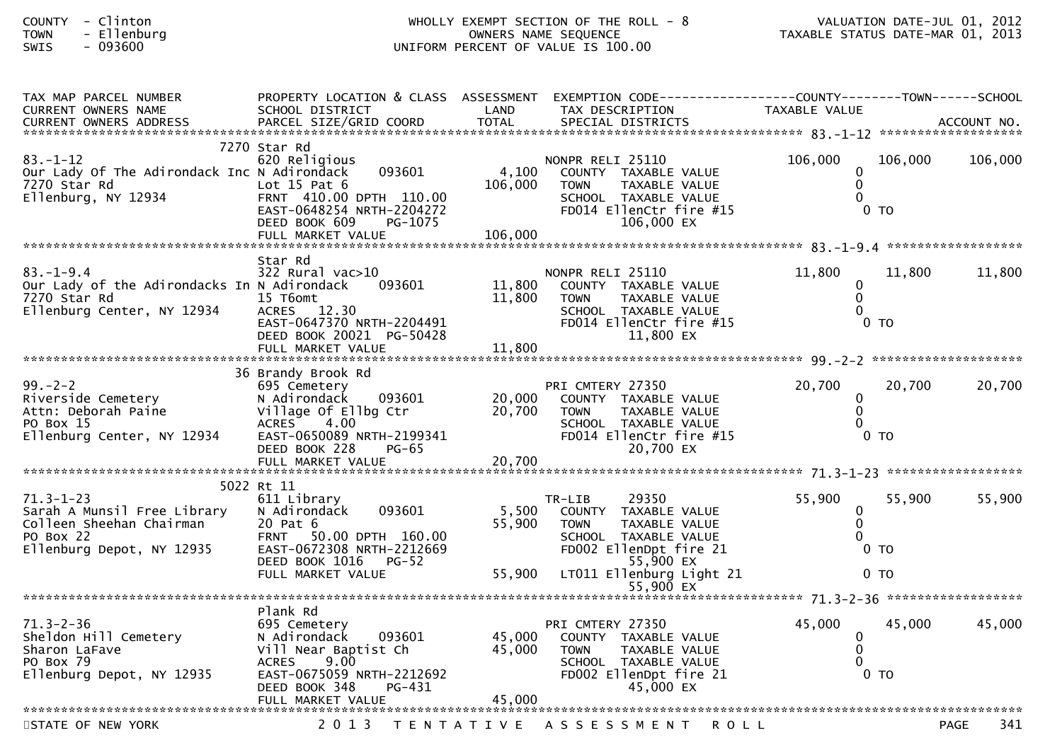| - Clinton<br><b>COUNTY</b><br>- Ellenburg<br><b>TOWN</b><br>$-093600$<br>SWIS                                        | WHOLLY EXEMPT SECTION OF THE ROLL - 8<br>OWNERS NAME SEQUENCE<br>UNIFORM PERCENT OF VALUE IS 100.00                                                                             |                            | VALUATION DATE-JUL 01, 2012<br>VALUATION DATE-JUL 01, ZOIZ<br>TAXABLE STATUS DATE-MAR 01, 2013                                                                     |                                             |                                    |         |
|----------------------------------------------------------------------------------------------------------------------|---------------------------------------------------------------------------------------------------------------------------------------------------------------------------------|----------------------------|--------------------------------------------------------------------------------------------------------------------------------------------------------------------|---------------------------------------------|------------------------------------|---------|
| TAX MAP PARCEL NUMBER<br>CURRENT OWNERS NAME                                                                         | PROPERTY LOCATION & CLASS ASSESSMENT<br>SCHOOL DISTRICT                                                                                                                         | LAND                       | EXEMPTION CODE-----------------COUNTY-------TOWN-----SCHOOL<br>TAX DESCRIPTION                                                                                     | TAXABLE VALUE                               |                                    |         |
| $83. - 1 - 12$<br>Our Lady Of The Adirondack Inc N Adirondack<br>7270 Star Rd<br>Ellenburg, NY 12934                 | 7270 Star Rd<br>620 Religious<br>093601<br>Lot $15$ Pat $6$<br>FRNT 410.00 DPTH 110.00<br>EAST-0648254 NRTH-2204272<br>DEED BOOK 609<br>PG-1075                                 | 4,100<br>106,000           | NONPR RELI 25110<br>COUNTY TAXABLE VALUE<br><b>TAXABLE VALUE</b><br><b>TOWN</b><br>SCHOOL TAXABLE VALUE<br>FD014 EllenCtr fire #15<br>106,000 EX                   | 106,000<br>0<br>$\mathbf{0}$<br>$\Omega$    | 106,000<br>$0$ TO                  | 106,000 |
| $83. - 1 - 9.4$<br>Our Lady of the Adirondacks In N Adirondack<br>7270 Star Rd<br>Ellenburg Center, NY 12934         | Star Rd<br>$322$ Rural vac $>10$<br>093601<br>15 T6omt<br>ACRES 12.30<br>EAST-0647370 NRTH-2204491<br>DEED BOOK 20021 PG-50428<br>FULL MARKET VALUE                             | 11,800<br>11,800<br>11,800 | NONPR RELI 25110<br>COUNTY TAXABLE VALUE<br>TAXABLE VALUE<br><b>TOWN</b><br>SCHOOL TAXABLE VALUE<br>FD014 EllenCtr fire #15<br>11,800 EX                           | 11,800<br>$\mathbf{0}$<br>$\mathbf{0}$<br>0 | 11,800<br>0 <sub>T</sub>           | 11,800  |
| $99. - 2 - 2$<br>Riverside Cemetery<br>Attn: Deborah Paine<br>PO Box 15<br>Ellenburg Center, NY 12934                | 36 Brandy Brook Rd<br>695 Cemetery<br>N Adirondack<br>093601<br>Village Of Ellbg Ctr<br>ACRES 4.00<br>EAST-0650089 NRTH-2199341<br>DEED BOOK 228<br><b>PG-65</b>                | 20,000<br>20,700           | PRI CMTERY 27350<br>COUNTY TAXABLE VALUE<br><b>TOWN</b><br>TAXABLE VALUE<br>SCHOOL TAXABLE VALUE<br>FD014 EllenCtr fire #15<br>20,700 EX                           | 20,700<br>0<br>0<br>$\Omega$                | 20,700<br>$0$ TO                   | 20,700  |
|                                                                                                                      |                                                                                                                                                                                 |                            |                                                                                                                                                                    |                                             |                                    |         |
| $71.3 - 1 - 23$<br>Sarah A Munsil Free Library<br>Colleen Sheehan Chairman<br>PO Box 22<br>Ellenburg Depot, NY 12935 | 5022 Rt 11<br>611 Library<br>093601<br>N Adirondack<br>20 Pat 6<br>FRNT 50.00 DPTH 160.00<br>EAST-0672308 NRTH-2212669<br>DEED BOOK 1016<br>PG-52<br>FULL MARKET VALUE          | 5,500<br>55,900<br>55,900  | 29350<br>TR-LIB<br>COUNTY TAXABLE VALUE<br>TAXABLE VALUE<br><b>TOWN</b><br>SCHOOL TAXABLE VALUE<br>FD002 EllenDpt fire 21<br>55,900 EX<br>LT011 Ellenburg Light 21 | 55,900<br>0<br>0<br>0                       | 55,900<br>$0$ TO<br>0 <sub>T</sub> | 55,900  |
|                                                                                                                      |                                                                                                                                                                                 |                            | 55,900 EX                                                                                                                                                          |                                             |                                    |         |
| $71.3 - 2 - 36$<br>Sheldon Hill Cemetery<br>Sharon LaFave<br>PO Box 79<br>Ellenburg Depot, NY 12935                  | Plank Rd<br>695 Cemetery<br>N Adirondack<br>093601<br>Vill Near Baptist Ch<br>9.00<br><b>ACRES</b><br>EAST-0675059 NRTH-2212692<br>DEED BOOK 348<br>PG-431<br>FULL MARKET VALUE | 45,000<br>45,000<br>45,000 | PRI CMTERY 27350<br>COUNTY TAXABLE VALUE<br><b>TOWN</b><br>TAXABLE VALUE<br>SCHOOL TAXABLE VALUE<br>FD002 EllenDpt fire 21<br>45,000 EX                            | 45,000<br>0<br>0<br>0                       | 45,000<br>$0$ TO                   | 45,000  |
|                                                                                                                      |                                                                                                                                                                                 |                            |                                                                                                                                                                    |                                             |                                    |         |

STATE OF NEW YORK 2013 TENTATIVE ASSESSMENT ROLL PAGE

341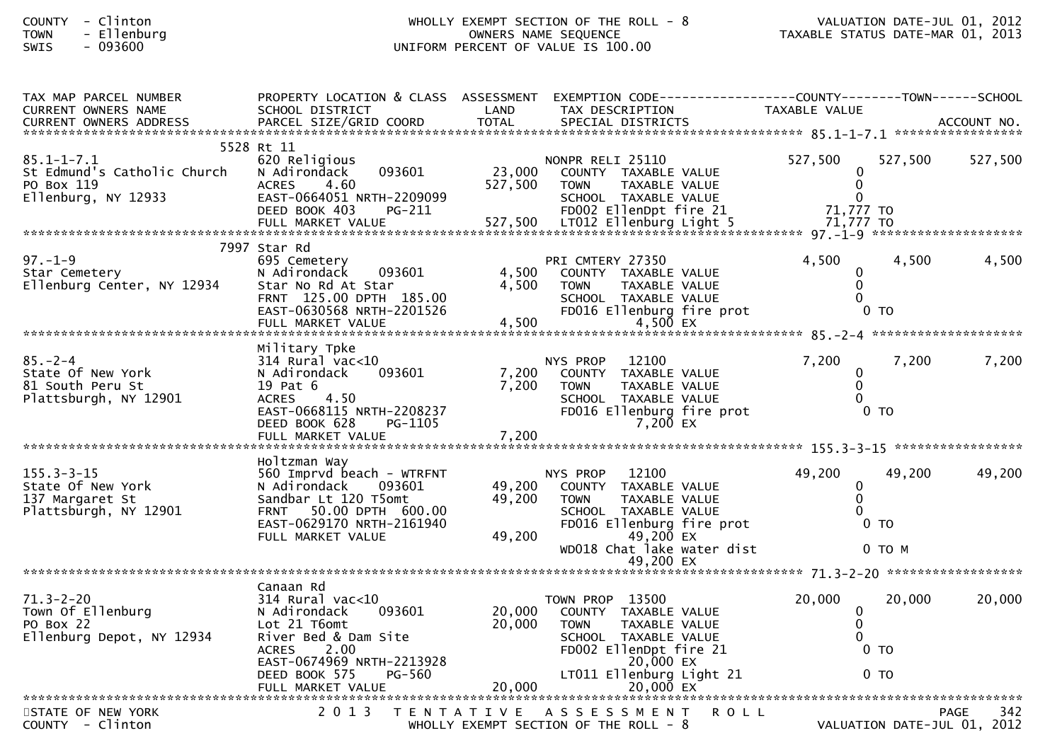## COUNTY - Clinton WHOLLY EXEMPT SECTION OF THE ROLL - 8 VALUATION DATE-JUL 01, 2012 TOWN - Ellenburg OWNERS NAME SEQUENCE TAXABLE STATUS DATE-MAR 01, 2013SWIS - 093600 UNIFORM PERCENT OF VALUE IS 100.00

| TAX MAP PARCEL NUMBER<br>CURRENT OWNERS NAME | PROPERTY LOCATION & CLASS ASSESSMENT<br>SCHOOL DISTRICT | LAND              | EXEMPTION CODE------------------COUNTY--------TOWN------SCHOOL<br>TAX DESCRIPTION | TAXABLE VALUE    |                             |
|----------------------------------------------|---------------------------------------------------------|-------------------|-----------------------------------------------------------------------------------|------------------|-----------------------------|
| <b>CURRENT OWNERS ADDRESS</b>                |                                                         |                   |                                                                                   |                  |                             |
|                                              |                                                         |                   |                                                                                   |                  |                             |
| $85.1 - 1 - 7.1$                             | 5528 Rt 11<br>620 Religious                             |                   |                                                                                   | 527,500          | 527,500                     |
| St Edmund's Catholic Church                  | 093601<br>N Adirondack                                  | 23,000            | NONPR RELI 25110<br>COUNTY TAXABLE VALUE                                          |                  | 527,500                     |
| PO Box 119                                   | <b>ACRES</b><br>4.60                                    | 527,500           | <b>TOWN</b><br>TAXABLE VALUE                                                      | $\Omega$         |                             |
| Ellenburg, NY 12933                          | EAST-0664051 NRTH-2209099                               |                   | SCHOOL TAXABLE VALUE                                                              |                  |                             |
|                                              | DEED BOOK 403<br>PG-211                                 |                   | FD002 EllenDpt fire 21                                                            | 71,777 TO        |                             |
|                                              |                                                         |                   |                                                                                   |                  |                             |
|                                              | 7997 Star Rd                                            |                   |                                                                                   |                  |                             |
| $97. - 1 - 9$<br>Star Cemetery               | 695 Cemetery<br>N Adirondack<br>093601                  | 4,500             | PRI CMTERY 27350<br>COUNTY TAXABLE VALUE                                          | 4,500            | 4,500<br>4,500              |
| Ellenburg Center, NY 12934                   | Star No Rd At Star                                      | 4,500             | TAXABLE VALUE<br><b>TOWN</b>                                                      | $\Omega$         |                             |
|                                              | FRNT 125.00 DPTH 185.00                                 |                   | SCHOOL TAXABLE VALUE                                                              |                  |                             |
|                                              | EAST-0630568 NRTH-2201526                               |                   | FD016 Ellenburg fire prot                                                         | 0 <sub>T</sub>   |                             |
|                                              |                                                         |                   |                                                                                   |                  |                             |
|                                              | Military Tpke                                           |                   |                                                                                   |                  |                             |
| $85. - 2 - 4$                                | $314$ Rural vac< $10$                                   |                   | 12100<br>NYS PROP                                                                 | 7,200            | 7,200<br>7,200              |
| State Of New York<br>81 South Peru St        | 093601<br>N Adirondack<br>19 Pat 6                      | 7,200<br>7,200    | COUNTY TAXABLE VALUE<br>TAXABLE VALUE<br><b>TOWN</b>                              | 0<br>$\Omega$    |                             |
| Plattsburgh, NY 12901                        | <b>ACRES</b><br>4.50                                    |                   | SCHOOL TAXABLE VALUE                                                              |                  |                             |
|                                              | EAST-0668115 NRTH-2208237                               |                   | FD016 Ellenburg fire prot                                                         | 0 <sub>TO</sub>  |                             |
|                                              | DEED BOOK 628<br>PG-1105                                |                   | 7,200 EX                                                                          |                  |                             |
|                                              |                                                         |                   |                                                                                   |                  |                             |
|                                              | Holtzman Way                                            |                   |                                                                                   |                  |                             |
| $155.3 - 3 - 15$                             | 560 Imprvd beach - WTRFNT                               |                   | 12100<br>NYS PROP                                                                 | 49,200           | 49,200<br>49,200            |
| State Of New York<br>137 Margaret St         | N Adirondack<br>093601<br>Sandbar Lt 120 T5omt          | 49,200<br>49,200  | COUNTY TAXABLE VALUE<br>TAXABLE VALUE<br><b>TOWN</b>                              | 0<br>$\mathbf 0$ |                             |
| Plattsburgh, NY 12901                        | FRNT 50.00 DPTH 600.00                                  |                   | SCHOOL TAXABLE VALUE                                                              |                  |                             |
|                                              | EAST-0629170 NRTH-2161940                               |                   | FD016 Ellenburg fire prot                                                         | 0 <sub>T</sub>   |                             |
|                                              | FULL MARKET VALUE                                       | 49,200            | 49,200 $EX$<br>WD018 Chat lake water dist                                         | $0$ TO M         |                             |
|                                              |                                                         |                   | 49,200 EX                                                                         |                  |                             |
|                                              |                                                         |                   |                                                                                   |                  |                             |
| $71.3 - 2 - 20$                              | Canaan Rd<br>314 Rural vac<10                           |                   | TOWN PROP 13500                                                                   | 20,000           | 20,000<br>20,000            |
| Town Of Ellenburg                            | 093601<br>N Adirondack                                  | 20,000            | COUNTY TAXABLE VALUE                                                              | $\bf{0}$         |                             |
| PO Box 22                                    | Lot 21 T6omt                                            | 20,000            | <b>TOWN</b><br>TAXABLE VALUE                                                      | $\Omega$         |                             |
| Ellenburg Depot, NY 12934                    | River Bed & Dam Site                                    |                   | SCHOOL TAXABLE VALUE                                                              |                  |                             |
|                                              | <b>ACRES</b><br>2.00<br>EAST-0674969 NRTH-2213928       |                   | FD002 EllenDpt fire 21<br>20,000 EX                                               | 0 <sub>T</sub>   |                             |
|                                              | <b>PG-560</b><br>DEED BOOK 575                          |                   | LT011 Ellenburg Light 21                                                          | 0 <sub>T</sub>   |                             |
|                                              |                                                         |                   |                                                                                   |                  |                             |
| STATE OF NEW YORK                            | 2 0 1 3                                                 | T E N T A T I V E | A S S E S S M E N T                                                               | <b>ROLL</b>      | 342<br><b>PAGE</b>          |
| COUNTY - Clinton                             |                                                         |                   | WHOLLY EXEMPT SECTION OF THE ROLL - 8                                             |                  | VALUATION DATE-JUL 01, 2012 |
|                                              |                                                         |                   |                                                                                   |                  |                             |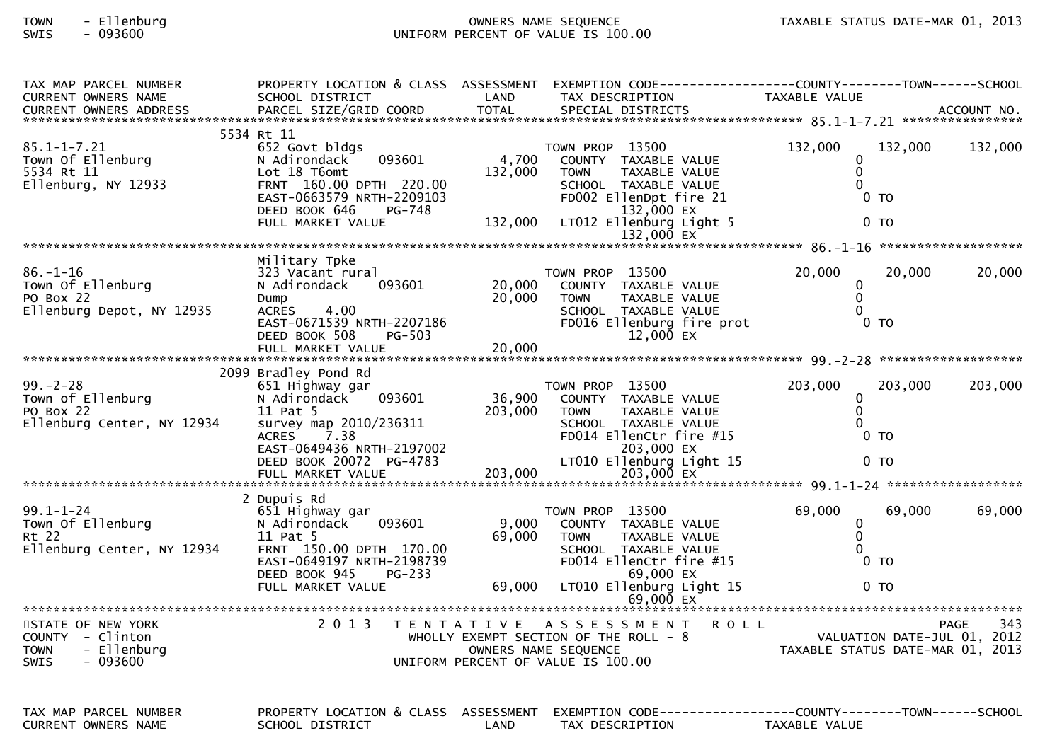## TOWN - Ellenburg OWNERS NAME SEQUENCE TAXABLE STATUS DATE-MAR 01, 2013UNIFORM PERCENT OF VALUE IS 100.00

| TAX MAP PARCEL NUMBER                               | PROPERTY LOCATION & CLASS ASSESSMENT                    |         | EXEMPTION CODE-----------------COUNTY-------TOWN------SCHOOL |                                                                 |                    |
|-----------------------------------------------------|---------------------------------------------------------|---------|--------------------------------------------------------------|-----------------------------------------------------------------|--------------------|
| CURRENT OWNERS NAME                                 | SCHOOL DISTRICT                                         | LAND    | TAX DESCRIPTION                                              | TAXABLE VALUE                                                   |                    |
| CURRENT OWNERS ADDRESS                              |                                                         |         |                                                              |                                                                 |                    |
|                                                     | 5534 Rt 11                                              |         |                                                              |                                                                 |                    |
| $85.1 - 1 - 7.21$                                   | 652 Govt bldgs                                          |         | TOWN PROP 13500                                              | 132,000<br>132,000                                              | 132,000            |
| Town Of Ellenburg                                   | 093601<br>N Adirondack                                  | 4,700   | COUNTY TAXABLE VALUE                                         | 0                                                               |                    |
| 5534 Rt 11                                          | Lot 18 T6omt                                            | 132,000 | <b>TAXABLE VALUE</b><br><b>TOWN</b>                          | $\mathbf 0$                                                     |                    |
| Ellenburg, NY 12933                                 | FRNT 160.00 DPTH 220.00                                 |         | SCHOOL TAXABLE VALUE                                         | $\Omega$                                                        |                    |
|                                                     | EAST-0663579 NRTH-2209103                               |         | FD002 EllenDpt fire 21                                       | 0 <sub>T</sub>                                                  |                    |
|                                                     | DEED BOOK 646<br>PG-748                                 |         | 132,000 EX                                                   |                                                                 |                    |
|                                                     | FULL MARKET VALUE                                       | 132,000 | LT012 Ellenburg Light 5                                      | $0$ TO                                                          |                    |
|                                                     |                                                         |         | 132,000 EX                                                   |                                                                 |                    |
|                                                     |                                                         |         |                                                              |                                                                 |                    |
|                                                     | Military Tpke                                           |         |                                                              |                                                                 |                    |
| $86. - 1 - 16$                                      | 323 Vacant rural                                        |         | TOWN PROP 13500                                              | 20,000<br>20,000                                                | 20,000             |
| Town Of Ellenburg                                   | N Adirondack<br>093601                                  | 20,000  | COUNTY TAXABLE VALUE                                         | $\mathbf{0}$                                                    |                    |
| PO Box 22                                           | Dump                                                    | 20,000  | TAXABLE VALUE<br><b>TOWN</b>                                 | $\mathbf 0$                                                     |                    |
| Ellenburg Depot, NY 12935                           | 4.00<br><b>ACRES</b>                                    |         | SCHOOL TAXABLE VALUE                                         | $\Omega$                                                        |                    |
|                                                     | EAST-0671539 NRTH-2207186                               |         | FD016 Ellenburg fire prot                                    | 0 <sub>T</sub>                                                  |                    |
|                                                     | DEED BOOK 508<br>PG-503                                 |         | 12,000 EX                                                    |                                                                 |                    |
|                                                     | FULL MARKET VALUE                                       | 20,000  |                                                              |                                                                 |                    |
|                                                     | 2099 Bradley Pond Rd                                    |         |                                                              |                                                                 |                    |
| $99. - 2 - 28$                                      | 651 Highway gar                                         |         | TOWN PROP 13500                                              | 203,000<br>203,000                                              | 203,000            |
| Town of Ellenburg                                   | N Adirondack<br>093601                                  | 36,900  | COUNTY TAXABLE VALUE                                         | $\mathbf{0}$                                                    |                    |
| PO Box 22                                           | 11 Pat 5                                                | 203,000 | <b>TAXABLE VALUE</b><br><b>TOWN</b>                          | $\mathbf{0}$                                                    |                    |
| Ellenburg Center, NY 12934                          | survey map 2010/236311                                  |         | SCHOOL TAXABLE VALUE                                         | 0                                                               |                    |
|                                                     | <b>ACRES</b><br>7.38                                    |         | FD014 EllenCtr fire #15                                      | $0$ TO                                                          |                    |
|                                                     | EAST-0649436 NRTH-2197002                               |         | 203,000 EX                                                   |                                                                 |                    |
|                                                     | DEED BOOK 20072 PG-4783                                 |         | LT010 Ellenburg Light 15                                     | 0 <sub>T</sub>                                                  |                    |
|                                                     |                                                         |         |                                                              |                                                                 |                    |
|                                                     |                                                         |         |                                                              |                                                                 |                    |
|                                                     | 2 Dupuis Rd                                             |         |                                                              |                                                                 |                    |
| $99.1 - 1 - 24$                                     | 651 Highway gar                                         |         | TOWN PROP 13500                                              | 69,000<br>69,000                                                | 69,000             |
| Town Of Ellenburg                                   | N Adirondack<br>093601                                  | 9,000   | COUNTY TAXABLE VALUE                                         | 0                                                               |                    |
| Rt 22                                               | 11 Pat 5                                                | 69,000  | TAXABLE VALUE<br><b>TOWN</b>                                 | $\Omega$                                                        |                    |
| Ellenburg Center, NY 12934                          | FRNT 150.00 DPTH 170.00                                 |         | SCHOOL TAXABLE VALUE                                         | $\Omega$                                                        |                    |
|                                                     | EAST-0649197 NRTH-2198739                               |         | FD014 EllenCtr fire #15                                      | $0$ TO                                                          |                    |
|                                                     | DEED BOOK 945<br>PG-233<br>FULL MARKET VALUE            |         | 69,000 EX                                                    |                                                                 |                    |
|                                                     |                                                         | 69,000  | LT010 Ellenburg Light 15<br>$69,000$ $\overline{ex}$         | 0 <sub>T</sub>                                                  |                    |
|                                                     |                                                         |         |                                                              |                                                                 |                    |
| STATE OF NEW YORK                                   | 2 0 1 3                                                 |         | TENTATIVE ASSESSMENT<br><b>ROLL</b>                          |                                                                 | 343<br><b>PAGE</b> |
| COUNTY - Clinton                                    |                                                         |         | WHOLLY EXEMPT SECTION OF THE ROLL - 8                        |                                                                 |                    |
| - Ellenburg<br><b>TOWN</b>                          |                                                         |         | OWNERS NAME SEQUENCE                                         | VALUATION DATE-JUL 01, 2012<br>TAXABLE STATUS DATE-MAR 01, 2013 |                    |
| $-093600$<br><b>SWIS</b>                            |                                                         |         | UNIFORM PERCENT OF VALUE IS 100.00                           |                                                                 |                    |
|                                                     |                                                         |         |                                                              |                                                                 |                    |
|                                                     |                                                         |         |                                                              |                                                                 |                    |
|                                                     |                                                         |         |                                                              |                                                                 |                    |
| TAX MAP PARCEL NUMBER<br><b>CURRENT OWNERS NAME</b> | PROPERTY LOCATION & CLASS ASSESSMENT<br>SCHOOL DISTRICT | LAND    | TAX DESCRIPTION                                              | TAXABLE VALUE                                                   |                    |
|                                                     |                                                         |         |                                                              |                                                                 |                    |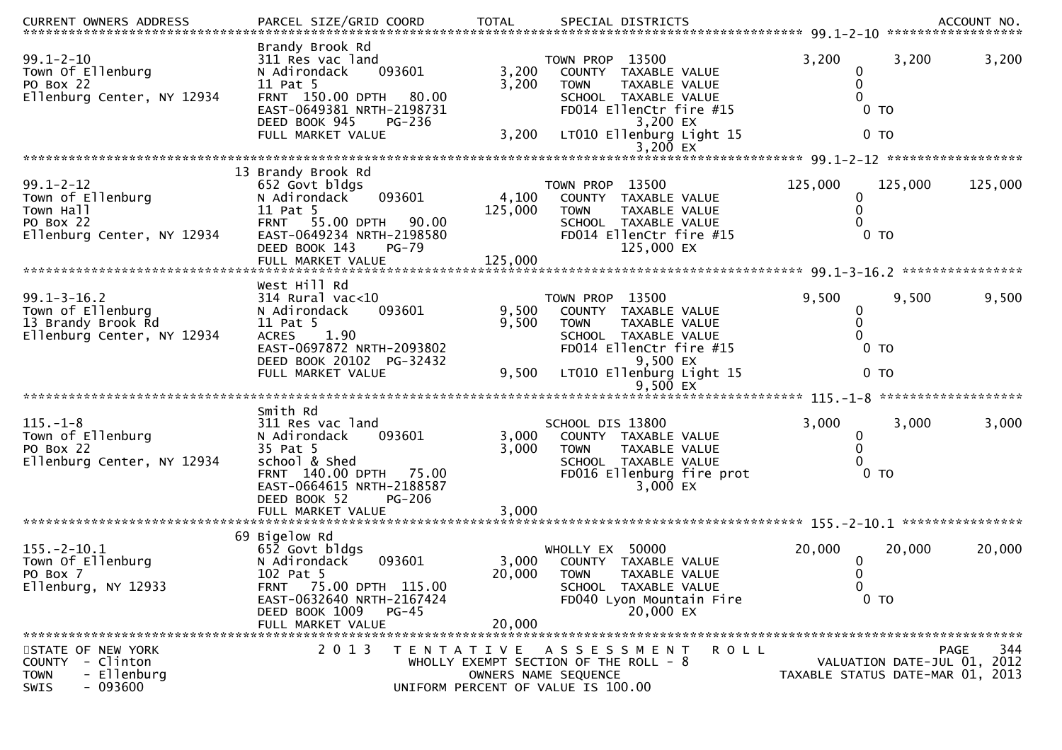| CURRENT OWNERS ADDRESS<br>******************************                                                  | PARCEL SIZE/GRID COORD                                                                                                                                                                           | <b>TOTAL</b>                | SPECIAL DISTRICTS                                                                                                                                                                           |                                                            | ACCOUNT NO.<br>******************                                              |
|-----------------------------------------------------------------------------------------------------------|--------------------------------------------------------------------------------------------------------------------------------------------------------------------------------------------------|-----------------------------|---------------------------------------------------------------------------------------------------------------------------------------------------------------------------------------------|------------------------------------------------------------|--------------------------------------------------------------------------------|
| $99.1 - 2 - 10$<br>Town Of Ellenburg<br>PO Box 22<br>Ellenburg Center, NY 12934                           | Brandy Brook Rd<br>311 Res vac land<br>093601<br>N Adirondack<br>11 Pat 5<br>FRNT 150.00 DPTH<br>80.00<br>EAST-0649381 NRTH-2198731<br>DEED BOOK 945<br>PG-236<br>FULL MARKET VALUE              | 3,200<br>3,200<br>3,200     | 13500<br>TOWN PROP<br><b>COUNTY</b><br>TAXABLE VALUE<br><b>TOWN</b><br>TAXABLE VALUE<br>SCHOOL TAXABLE VALUE<br>FD014 EllenCtr fire #15<br>3,200 EX<br>LT010 Ellenburg Light 15<br>3,200 EX | 3,200<br>$\mathbf 0$<br>0<br>0<br>$0$ TO<br>0 <sub>T</sub> | 3,200<br>3,200                                                                 |
|                                                                                                           |                                                                                                                                                                                                  |                             |                                                                                                                                                                                             |                                                            |                                                                                |
| $99.1 - 2 - 12$<br>Town of Ellenburg<br>Town Hall<br>PO Box 22<br>Ellenburg Center, NY 12934              | 13 Brandy Brook Rd<br>652 Govt bldgs<br>093601<br>N Adirondack<br>11 Pat 5<br>55.00 DPTH<br>90.00<br><b>FRNT</b><br>EAST-0649234 NRTH-2198580<br>DEED BOOK 143<br>$PG-79$<br>FULL MARKET VALUE   | 4,100<br>125,000<br>125,000 | TOWN PROP 13500<br>COUNTY TAXABLE VALUE<br>TAXABLE VALUE<br><b>TOWN</b><br>SCHOOL TAXABLE VALUE<br>FD014 EllenCtr fire #15<br>125,000 EX                                                    | 125,000<br>0<br>0<br>0 <sub>T</sub>                        | 125,000<br>125,000                                                             |
|                                                                                                           | West Hill Rd                                                                                                                                                                                     |                             |                                                                                                                                                                                             |                                                            |                                                                                |
| $99.1 - 3 - 16.2$<br>Town of Ellenburg<br>13 Brandy Brook Rd<br>Ellenburg Center, NY 12934                | $314$ Rural vac<10<br>N Adirondack<br>093601<br>11 Pat 5<br>1.90<br><b>ACRES</b><br>EAST-0697872 NRTH-2093802<br>DEED BOOK 20102 PG-32432<br>FULL MARKET VALUE                                   | 9,500<br>9,500<br>9,500     | TOWN PROP 13500<br>COUNTY TAXABLE VALUE<br><b>TOWN</b><br>TAXABLE VALUE<br>SCHOOL TAXABLE VALUE<br>FD014 EllenCtr fire #15<br>9,500 EX<br>LT010 Ellenburg Light 15                          | 9,500<br>0<br>0<br>0<br>0 <sub>T</sub><br>0 <sub>T</sub>   | 9,500<br>9,500                                                                 |
|                                                                                                           |                                                                                                                                                                                                  |                             |                                                                                                                                                                                             |                                                            |                                                                                |
| $115. - 1 - 8$<br>Town of Ellenburg<br>PO Box 22<br>Ellenburg Center, NY 12934                            | Smith Rd<br>311 Res vac land<br>N Adirondack<br>093601<br>35 Pat 5<br>school & Shed<br>FRNT 140.00 DPTH 75.00<br>EAST-0664615 NRTH-2188587<br><b>PG-206</b><br>DEED BOOK 52<br>FULL MARKET VALUE | 3,000<br>3,000<br>3,000     | SCHOOL DIS 13800<br>COUNTY TAXABLE VALUE<br><b>TOWN</b><br>TAXABLE VALUE<br>SCHOOL TAXABLE VALUE<br>FD016 Ellenburg fire prot<br>$3,000$ EX                                                 | 3,000<br>$\bf{0}$<br>0<br>$0$ TO                           | 3,000<br>3,000                                                                 |
|                                                                                                           | 69 Bigelow Rd                                                                                                                                                                                    |                             |                                                                                                                                                                                             |                                                            |                                                                                |
| $155. - 2 - 10.1$<br>Town Of Ellenburg<br>PO Box 7<br>Ellenburg, NY 12933                                 | 652 Govt bldgs<br>093601<br>N Adirondack<br>102 Pat 5<br>FRNT 75.00 DPTH 115.00<br>EAST-0632640 NRTH-2167424<br>DEED BOOK 1009<br><b>PG-45</b><br>FULL MARKET VALUE                              | 3,000<br>20,000<br>20,000   | WHOLLY EX 50000<br>COUNTY<br>TAXABLE VALUE<br><b>TOWN</b><br><b>TAXABLE VALUE</b><br>SCHOOL TAXABLE VALUE<br>FD040 Lyon Mountain Fire<br>20,000 EX                                          | 20,000<br>$\bf{0}$<br>$\mathbf 0$<br>0<br>0 <sub>T</sub>   | 20,000<br>20,000                                                               |
| STATE OF NEW YORK<br>- Clinton<br><b>COUNTY</b><br>- Ellenburg<br><b>TOWN</b><br>$-093600$<br><b>SWIS</b> | 2 0 1 3                                                                                                                                                                                          |                             | TENTATIVE ASSESSMENT<br><b>ROLL</b><br>WHOLLY EXEMPT SECTION OF THE ROLL - 8<br>OWNERS NAME SEQUENCE<br>UNIFORM PERCENT OF VALUE IS 100.00                                                  |                                                            | 344<br>PAGE<br>VALUATION DATE-JUL 01, 2012<br>TAXABLE STATUS DATE-MAR 01, 2013 |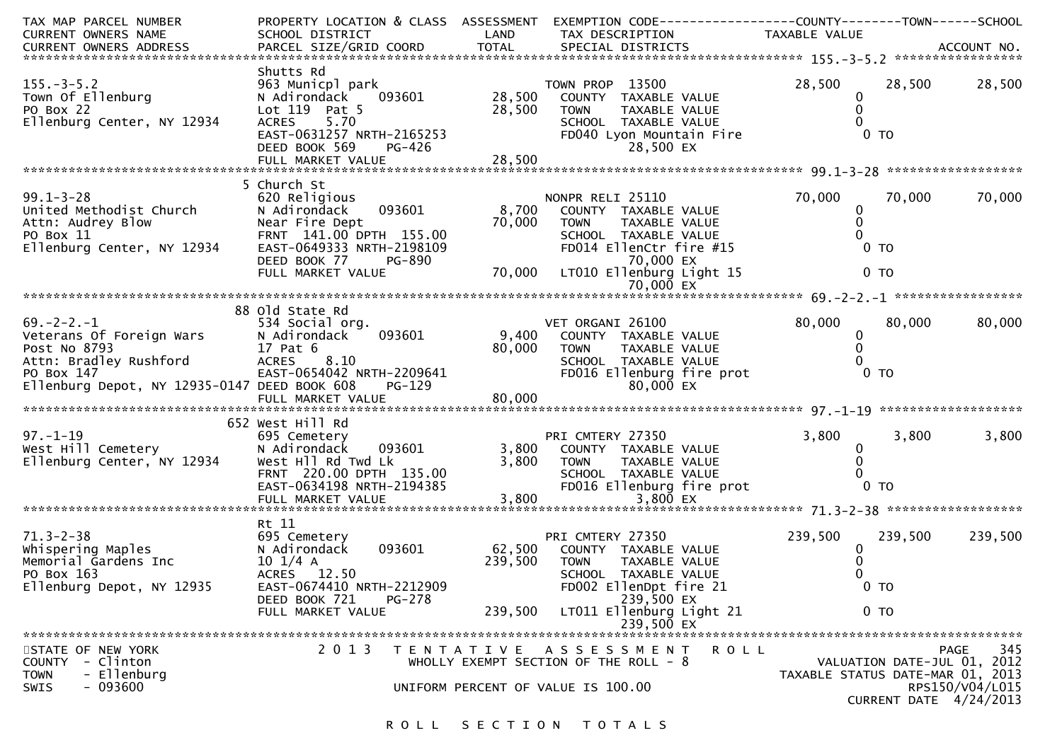| TAX MAP PARCEL NUMBER<br>CURRENT OWNERS NAME                                                                                                                                                                                                                                                                 | PROPERTY LOCATION & CLASS ASSESSMENT<br>SCHOOL DISTRICT<br><b>Example 12 District LAND</b>                                                           |                           | EXEMPTION CODE-----------------COUNTY-------TOWN------SCHOOL<br>TAX DESCRIPTION                                                                                                          | TAXABLE VALUE                          |                                    |                                |
|--------------------------------------------------------------------------------------------------------------------------------------------------------------------------------------------------------------------------------------------------------------------------------------------------------------|------------------------------------------------------------------------------------------------------------------------------------------------------|---------------------------|------------------------------------------------------------------------------------------------------------------------------------------------------------------------------------------|----------------------------------------|------------------------------------|--------------------------------|
|                                                                                                                                                                                                                                                                                                              |                                                                                                                                                      |                           |                                                                                                                                                                                          |                                        |                                    |                                |
| $155. - 3 - 5.2$<br>Town Of Ellenburg<br>PO Box 22<br>Ellenburg Center, NY 12934<br>Ellenburg Center, NY 12934 ACRES 5.70 SCHOOL TAXABLE VALUE<br>EAST-0631257 NRTH-2165253 FD040 Lyon Mountain Fire 0 0 TO<br>DEED BOOK 569 PG-426 28,500 28,500 EX<br>FULL MARKET VALUE 78,500 28,500 EX FULL MARKET VALUE | Shutts Rd<br>963 Municpl park<br>093601<br>N Adirondack<br>Lot 119 Pat 5<br>ACRES 5.70                                                               | 28,500<br>28,500          | TOWN PROP 13500<br>COUNTY TAXABLE VALUE<br><b>TOWN</b><br>TAXABLE VALUE<br>SCHOOL TAXABLE VALUE                                                                                          | 28,500<br>0<br>0                       | 28,500                             | 28,500                         |
|                                                                                                                                                                                                                                                                                                              | 5 Church St                                                                                                                                          |                           |                                                                                                                                                                                          |                                        |                                    |                                |
| $99.1 - 3 - 28$<br>United Methodist Church<br>Attn: Audrey Blow<br>PO Box 11<br>Ellenburg Center, NY 12934                                                                                                                                                                                                   | 620 Religious<br>093601<br>N Adirondack<br>Near Fire Dept<br>FRNT 141.00 DPTH 155.00<br>EAST-0649333 NRTH-2198109<br>DEED BOOK 77<br>PG-890          | 8,700<br>70,000           | NONPR RELI 25110<br>COUNTY TAXABLE VALUE<br>TAXABLE VALUE<br><b>TOWN</b><br>SCHOOL TAXABLE VALUE<br>FD014 EllenCtr fire #15<br>70,000 EX<br>70,000 $\overline{LT010}$ Ellenburg Light 15 | 70,000<br>0<br>$\mathbf 0$             | 70,000<br>0 <sub>T</sub><br>$0$ TO | 70,000                         |
|                                                                                                                                                                                                                                                                                                              | FULL MARKET VALUE                                                                                                                                    |                           | $70,000$ $\overline{ex}$                                                                                                                                                                 |                                        |                                    |                                |
|                                                                                                                                                                                                                                                                                                              | 88 old State Rd                                                                                                                                      |                           |                                                                                                                                                                                          |                                        |                                    |                                |
| $69. -2 - 2. -1$<br>Veterans Of Foreign Wars<br>Post No 8793<br>Attn: Bradley Rushford ACRES<br>PO Box 147<br>Ellenburg Depot, NY 12935-0147 DEED BOOK 608                                                                                                                                                   | 534 Social org.<br>093601<br>N Adirondack<br>17 Pat 6<br>8.10<br>EAST-0654042 NRTH-2209641<br>PG-129<br>FULL MARKET VALUE                            | 9,400<br>80,000<br>80,000 | VET ORGANI 26100<br>COUNTY TAXABLE VALUE<br>TAXABLE VALUE<br><b>TOWN</b><br>SCHOOL TAXABLE VALUE<br>FD016 Ellenburg fire prot<br>80,000 EX                                               | 80,000<br>$\mathbf{0}$<br>$\mathbf{0}$ | 80,000<br>$0$ TO                   | 80,000                         |
|                                                                                                                                                                                                                                                                                                              |                                                                                                                                                      |                           |                                                                                                                                                                                          |                                        |                                    |                                |
| $97. - 1 - 19$<br>у/.-1-19<br>West Hill Cemetery<br>Ellenburg Center, NY 12934                                                                                                                                                                                                                               | 652 West Hill Rd<br>695 Cemetery<br>N Adirondack<br>093601<br>West H <sub>11</sub> Rd Twd Lk<br>FRNT 220.00 DPTH 135.00<br>EAST-0634198 NRTH-2194385 | 3,800<br>3,800            | PRI CMTERY 27350<br>COUNTY TAXABLE VALUE<br><b>TOWN</b><br>TAXABLE VALUE<br>SCHOOL TAXABLE VALUE<br>FD016 Ellenburg fire prot                                                            | 3,800<br>0<br>0                        | 3,800<br>0 <sub>T</sub>            | 3,800                          |
|                                                                                                                                                                                                                                                                                                              | FULL MARKET VALUE                                                                                                                                    | 3,800                     | 3,800 EX                                                                                                                                                                                 |                                        |                                    |                                |
| $71.3 - 2 - 38$<br>whispering Maples<br>Memorial Gardens Inc<br>PO Box 163<br>Ellenburg Depot, NY 12935                                                                                                                                                                                                      | Rt 11<br>695 Cemetery<br>093601<br>N Adirondack<br>$10 \frac{1}{4}$ A<br>ACRES 12.50<br>EAST-0674410 NRTH-2212909<br>DEED BOOK 721<br><b>PG-278</b>  | 62,500<br>239,500         | PRI CMTERY 27350<br>COUNTY TAXABLE VALUE<br><b>TOWN</b><br>TAXABLE VALUE<br>SCHOOL TAXABLE VALUE<br>FD002 EllenDpt fire 21<br>239,500 EX                                                 | 239,500<br>0                           | 239,500<br>0 <sub>T</sub>          | 239,500                        |
|                                                                                                                                                                                                                                                                                                              | FULL MARKET VALUE                                                                                                                                    | 239,500                   | LT011 Ellenburg Light 21                                                                                                                                                                 |                                        | 0 <sub>T</sub>                     |                                |
| STATE OF NEW YORK<br>- Clinton<br><b>COUNTY</b><br>- Ellenburg<br><b>TOWN</b><br>SWIS<br>- 093600                                                                                                                                                                                                            | 2 0 1 3                                                                                                                                              |                           | 239,500 EX<br>TENTATIVE ASSESSMENT<br><b>ROLL</b><br>WHOLLY EXEMPT SECTION OF THE ROLL - 8<br>UNIFORM PERCENT OF VALUE IS 100.00                                                         | TAXABLE STATUS DATE-MAR 01, 2013       | VALUATION DATE-JUL 01, 2012        | 345<br>PAGE<br>RPS150/V04/L015 |
|                                                                                                                                                                                                                                                                                                              |                                                                                                                                                      |                           |                                                                                                                                                                                          |                                        | CURRENT DATE 4/24/2013             |                                |

# ROLL SECTION TOTALS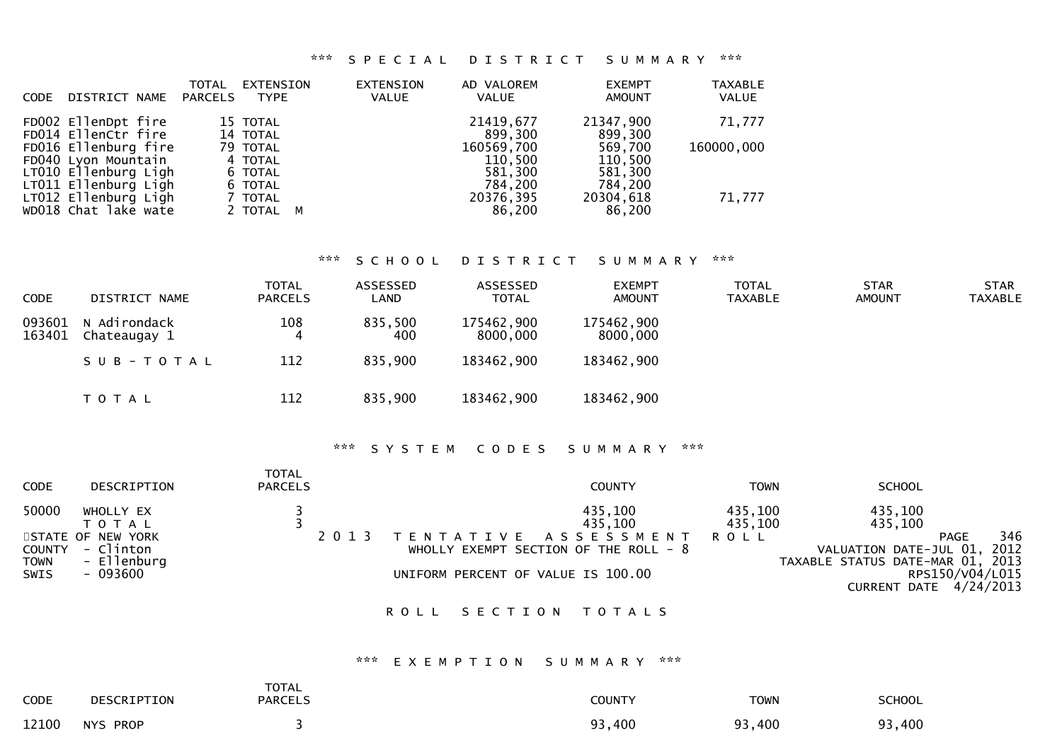## \*\*\* S P E C I A L D I S T R I C T S U M M A R Y \*\*\*

| DISTRICT NAME<br><b>CODE</b>                                                                | <b>TOTAL</b><br>EXTENSION<br><b>PARCELS</b><br><b>TYPE</b> | EXTENSION<br><b>VALUE</b> | AD VALOREM<br>VALUE                         | <b>EXEMPT</b><br><b>AMOUNT</b>           | <b>TAXABLE</b><br><b>VALUE</b> |
|---------------------------------------------------------------------------------------------|------------------------------------------------------------|---------------------------|---------------------------------------------|------------------------------------------|--------------------------------|
| FD002 EllenDpt fire<br>FD014 EllenCtr fire                                                  | 15 TOTAL<br>14 TOTAL                                       |                           | 21419,677<br>899,300                        | 21347,900<br>899,300                     | 71,777                         |
| FD016 Ellenburg fire<br>FD040 Lyon Mountain<br>LT010 Ellenburg Ligh<br>LT011 Ellenburg Ligh | 79 TOTAL<br>4 TOTAL<br>6 TOTAL<br>6 TOTAL                  |                           | 160569,700<br>110,500<br>581,300<br>784,200 | 569,700<br>110,500<br>581,300<br>784,200 | 160000,000                     |
| LT012 Ellenburg Ligh<br>WD018 Chat lake wate                                                | 7 TOTAL<br>2 TOTAL M                                       |                           | 20376,395<br>86,200                         | 20304,618<br>86,200                      | 71,777                         |

## \*\*\* S C H O O L D I S T R I C T S U M M A R Y \*\*\*

| <b>CODE</b>      | DISTRICT NAME                | <b>TOTAL</b><br><b>PARCELS</b> | ASSESSED<br>LAND | ASSESSED<br><b>TOTAL</b> | <b>EXEMPT</b><br>AMOUNT | <b>TOTAL</b><br>TAXABLE | <b>STAR</b><br><b>AMOUNT</b> | <b>STAR</b><br><b>TAXABLE</b> |
|------------------|------------------------------|--------------------------------|------------------|--------------------------|-------------------------|-------------------------|------------------------------|-------------------------------|
| 093601<br>163401 | N Adirondack<br>Chateaugay 1 | 108<br>4                       | 835,500<br>400   | 175462,900<br>8000,000   | 175462,900<br>8000,000  |                         |                              |                               |
|                  | $SUB - TO TAL$               | 112                            | 835,900          | 183462,900               | 183462,900              |                         |                              |                               |
|                  | <b>TOTAL</b>                 | 112                            | 835,900          | 183462,900               | 183462,900              |                         |                              |                               |

## \*\*\* S Y S T E M C O D E S S U M M A R Y \*\*\*

| <b>CODE</b>            | DESCRIPTION                                              | <b>TOTAL</b><br><b>PARCELS</b> | <b>COUNTY</b>                                                                                                | <b>TOWN</b>                       | <b>SCHOOL</b>                                                                           |
|------------------------|----------------------------------------------------------|--------------------------------|--------------------------------------------------------------------------------------------------------------|-----------------------------------|-----------------------------------------------------------------------------------------|
| 50000<br><b>COUNTY</b> | WHOLLY EX<br>T O T A L<br>STATE OF NEW YORK<br>- Clinton |                                | 435,100<br>435,100<br>A S S E S S M E N T<br>ENTATIVE <sup>.</sup><br>WHOLLY EXEMPT SECTION OF THE ROLL $-8$ | 435,100<br>435,100<br><b>ROLL</b> | 435,100<br>435,100<br>346<br><b>PAGE</b><br>VALUATION DATE-JUL 01, 2012                 |
| TOWN<br>SWIS           | - Ellenburg<br>- 093600                                  |                                | UNIFORM PERCENT OF VALUE IS 100.00                                                                           |                                   | TAXABLE STATUS DATE-MAR 01, 2013<br>RPS150/V04/L015<br>4/24/2013<br><b>CURRENT DATE</b> |

### ROLL SECTION TOTALS

#### \*\*\* E X E M P T I O N S U M M A R Y \*\*\*

| CODE  | DESCRIPTION | <b>TOTAL</b><br><b>PARCELS</b> | <b>COUNTY</b> | <b>TOWN</b> | <b>SCHOOL</b> |
|-------|-------------|--------------------------------|---------------|-------------|---------------|
| 12100 | NYS PROP    |                                | 93,400        | 93,400      | 93,400        |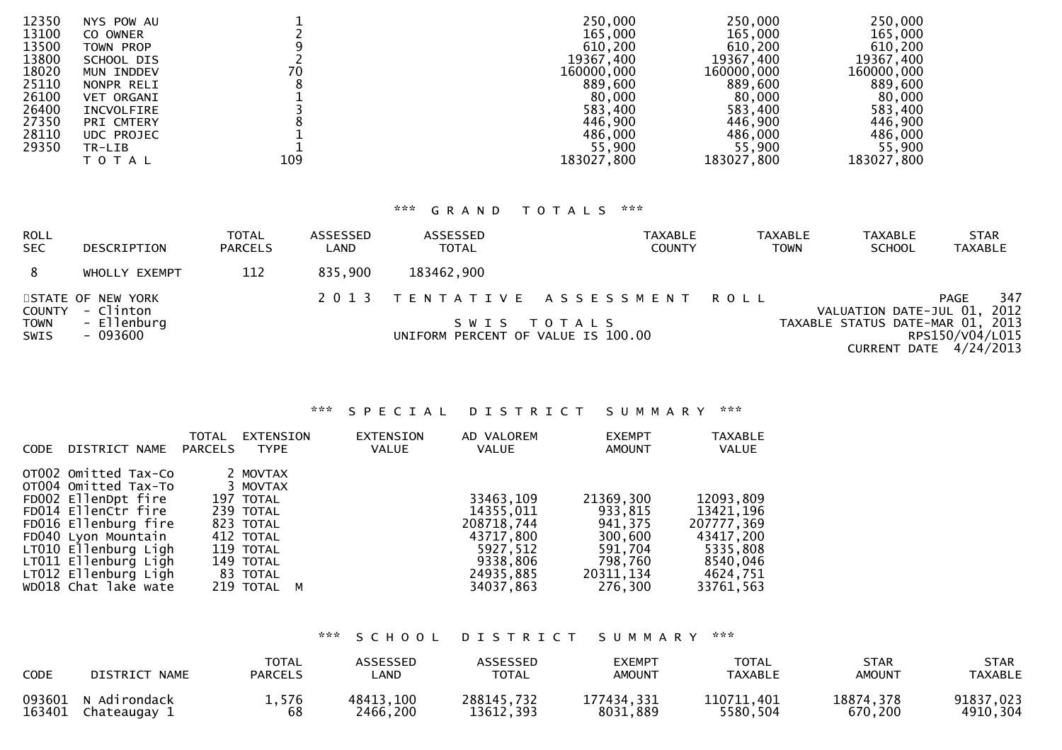| 12350 | NYS POW AU        |     | 250,000    | 250,000    | 250,000    |
|-------|-------------------|-----|------------|------------|------------|
| 13100 | CO OWNER          |     | 165,000    | 165,000    | 165,000    |
| 13500 | TOWN PROP         |     | 610,200    | 610,200    | 610,200    |
| 13800 | SCHOOL DIS        |     | 19367,400  | 19367,400  | 19367,400  |
| 18020 | MUN INDDEV        | 70  | 160000,000 | 160000,000 | 160000,000 |
| 25110 | NONPR RELI        |     | 889,600    | 889,600    | 889,600    |
| 26100 | <b>VET ORGANI</b> |     | 80,000     | 80,000     | 80,000     |
| 26400 | INCVOLFIRE        |     | 583,400    | 583,400    | 583,400    |
| 27350 | PRI CMTERY        |     | 446,900    | 446,900    | 446,900    |
| 28110 | UDC PROJEC        |     | 486,000    | 486,000    | 486,000    |
| 29350 | TR-LIB            |     | 55,900     | 55,900     | 55,900     |
|       | T O T A L         | 109 | 183027,800 | 183027,800 | 183027,800 |
|       |                   |     |            |            |            |

## \*\*\* G R A N D T O T A L S \*\*\*

| ROLL<br><b>SEC</b>  | DESCRIPTION                           | <b>TOTAL</b><br><b>PARCELS</b> | ASSESSED<br>LAND | ASSESSED<br><b>TOTAL</b>           | TAXABLE<br><b>COUNTY</b>       | <b>TAXABLE</b><br><b>TOWN</b> | <b>TAXABLE</b><br><b>SCHOOL</b>  | <b>STAR</b><br><b>TAXABLE</b>               |
|---------------------|---------------------------------------|--------------------------------|------------------|------------------------------------|--------------------------------|-------------------------------|----------------------------------|---------------------------------------------|
| 8                   | WHOLLY EXEMPT                         | 112                            | 835,900          | 183462,900                         |                                |                               |                                  |                                             |
|                     | STATE OF NEW YORK<br>COUNTY - Clinton |                                |                  |                                    | 2013 TENTATIVE ASSESSMENT ROLL |                               | VALUATION DATE-JUL 01, 2012      | 347<br><b>PAGE</b>                          |
| <b>TOWN</b><br>SWIS | - Ellenburg<br>- 093600               |                                |                  | UNIFORM PERCENT OF VALUE IS 100.00 | SWIS TOTALS                    |                               | TAXABLE STATUS DATE-MAR 01, 2013 | RPS150/V04/L015<br>CURRENT DATE $4/24/2013$ |

## \*\*\* S P E C I A L D I S T R I C T S U M M A R Y \*\*\*

| <b>CODE</b> | DISTRICT NAME                                                                                                                                                                                                                             | <b>TOTAL</b><br><b>PARCELS</b> | EXTENSION<br><b>TYPE</b>                                                                                                      | EXTENSION<br><b>VALUE</b> | AD VALOREM<br><b>VALUE</b>                                                                          | <b>EXEMPT</b><br>AMOUNT                                                                  | <b>TAXABLE</b><br>VALUE                                                                            |
|-------------|-------------------------------------------------------------------------------------------------------------------------------------------------------------------------------------------------------------------------------------------|--------------------------------|-------------------------------------------------------------------------------------------------------------------------------|---------------------------|-----------------------------------------------------------------------------------------------------|------------------------------------------------------------------------------------------|----------------------------------------------------------------------------------------------------|
|             | OTO02 Omitted Tax-Co<br>OT004 Omitted Tax-To<br>FD002 EllenDpt fire<br>FD014 EllenCtr fire<br>FD016 Ellenburg fire<br>FD040 Lyon Mountain<br>LT010 Ellenburg Ligh<br>LT011 Ellenburg Ligh<br>LT012 Ellenburg Ligh<br>WD018 Chat lake wate |                                | 2 MOVTAX<br>3 MOVTAX<br>197 TOTAL<br>239 TOTAL<br>823 TOTAL<br>412 TOTAL<br>119 TOTAL<br>149 TOTAL<br>83 TOTAL<br>219 TOTAL M |                           | 33463,109<br>14355,011<br>208718,744<br>43717,800<br>5927,512<br>9338,806<br>24935,885<br>34037,863 | 21369,300<br>933,815<br>941.375<br>300,600<br>591,704<br>798,760<br>20311,134<br>276.300 | 12093,809<br>13421,196<br>207777.369<br>43417,200<br>5335,808<br>8540,046<br>4624,751<br>33761,563 |
|             |                                                                                                                                                                                                                                           |                                |                                                                                                                               |                           |                                                                                                     |                                                                                          |                                                                                                    |

# \*\*\* S C H O O L D I S T R I C T S U M M A R Y \*\*\*

| <b>CODE</b> | DISTRICT NAME | <b>TOTAL</b><br><b>PARCELS</b> | <b>ASSESSED</b><br>_AND | <b>ASSESSED</b><br><b>TOTAL</b> | EXEMPT<br><b>AMOUNT</b> | <b>TOTAL</b><br>TAXABLE | STAR<br><b>AMOUNT</b> | STAR<br>TAXABLE |
|-------------|---------------|--------------------------------|-------------------------|---------------------------------|-------------------------|-------------------------|-----------------------|-----------------|
| 093601      | N Adirondack  | 1,576                          | 48413,100               | 288145,732                      | 177434,331              | 110711,401              | 18874,378             | 91837,023       |
| 163401      | Chateaugay 1  | 68                             | 2466,200                | 13612.393                       | 8031,889                | 5580,504                | 670,200               | 4910,304        |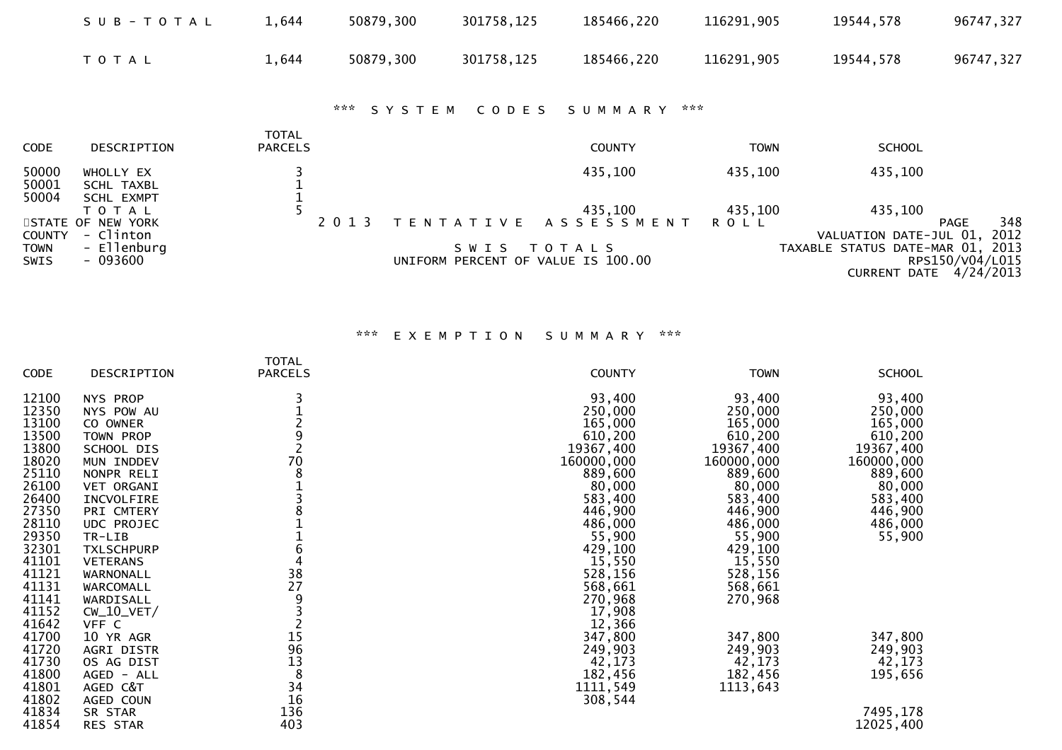|                         | SUB-TOTAL                                    | 1,644                          | 50879,300                                | 301758,125                                 | 185466,220            | 116291,905             | 19544,578                         | 96747,327                                 |
|-------------------------|----------------------------------------------|--------------------------------|------------------------------------------|--------------------------------------------|-----------------------|------------------------|-----------------------------------|-------------------------------------------|
|                         | T O T A L                                    | 1,644                          | 50879,300                                | 301758,125                                 | 185466,220            | 116291,905             | 19544,578                         | 96747,327                                 |
|                         |                                              |                                | $\mathbf{x} \times \mathbf{x}$<br>SYSTEM | CODES                                      | S U M M A R Y         | $\pi \times \pi$       |                                   |                                           |
| CODE                    | DESCRIPTION                                  | <b>TOTAL</b><br><b>PARCELS</b> |                                          |                                            | <b>COUNTY</b>         | <b>TOWN</b>            | <b>SCHOOL</b>                     |                                           |
| 50000<br>50001<br>50004 | WHOLLY EX<br><b>SCHL TAXBL</b><br>SCHL EXMPT |                                |                                          |                                            | 435,100               | 435,100                | 435,100                           |                                           |
| COUNTY                  | T O T A L<br>STATE OF NEW YORK<br>- Clinton  |                                | 2 0 1 3                                  | T E N T A T I V E                          | 435,100<br>ASSESSMENT | 435,100<br><b>ROLL</b> | 435,100<br>VALUATION DATE-JUL 01, | 348<br>PAGE<br>2012                       |
| TOWN<br>SWIS            | - Ellenburg<br>$-093600$                     |                                |                                          | SWIS<br>UNIFORM PERCENT OF VALUE IS 100.00 | <b>TOTALS</b>         |                        | TAXABLE STATUS DATE-MAR 01, 2013  | RPS150/V04/L015<br>CURRENT DATE 4/24/2013 |

## \*\*\* E X E M P T I O N S U M M A R Y \*\*\*

| <b>CODE</b>                                                                                                                                           | DESCRIPTION                                                                                                                                                                                                                                | <b>TOTAL</b><br><b>PARCELS</b>                | <b>COUNTY</b>                                                                                                                                                                            | <b>TOWN</b>                                                                                                                                                                              | <b>SCHOOL</b>                                                                                                                      |
|-------------------------------------------------------------------------------------------------------------------------------------------------------|--------------------------------------------------------------------------------------------------------------------------------------------------------------------------------------------------------------------------------------------|-----------------------------------------------|------------------------------------------------------------------------------------------------------------------------------------------------------------------------------------------|------------------------------------------------------------------------------------------------------------------------------------------------------------------------------------------|------------------------------------------------------------------------------------------------------------------------------------|
| 12100<br>12350<br>13100<br>13500<br>13800<br>18020<br>25110<br>26100<br>26400<br>27350<br>28110<br>29350<br>32301<br>41101<br>41121<br>41131<br>41141 | NYS PROP<br>NYS POW AU<br>CO OWNER<br>TOWN PROP<br>SCHOOL DIS<br>MUN INDDEV<br>NONPR RELI<br>VET ORGANI<br>INCVOLFIRE<br>PRI CMTERY<br>UDC PROJEC<br>TR-LIB<br><b>TXLSCHPURP</b><br><b>VETERANS</b><br>WARNONALL<br>WARCOMALL<br>WARDISALL | 9<br>70<br>8<br>6<br>38<br>27<br>9            | 93,400<br>250,000<br>165,000<br>610,200<br>19367,400<br>160000,000<br>889,600<br>80,000<br>583,400<br>446,900<br>486,000<br>55,900<br>429,100<br>15,550<br>528,156<br>568,661<br>270,968 | 93,400<br>250,000<br>165,000<br>610,200<br>19367,400<br>160000,000<br>889,600<br>80,000<br>583,400<br>446,900<br>486,000<br>55,900<br>429,100<br>15,550<br>528,156<br>568,661<br>270,968 | 93,400<br>250,000<br>165,000<br>610,200<br>19367,400<br>160000,000<br>889,600<br>80,000<br>583,400<br>446,900<br>486,000<br>55,900 |
| 41152<br>41642<br>41700<br>41720<br>41730<br>41800<br>41801<br>41802<br>41834<br>41854                                                                | $CW_10_VET/$<br>VFF C<br>10 YR AGR<br>AGRI DISTR<br>OS AG DIST<br>AGED - ALL<br>AGED C&T<br>AGED COUN<br>SR STAR<br>RES STAR                                                                                                               | 15<br>96<br>13<br>8<br>34<br>16<br>136<br>403 | 17,908<br>12,366<br>347,800<br>249,903<br>42,173<br>182,456<br>1111,549<br>308,544                                                                                                       | 347,800<br>249,903<br>42,173<br>182,456<br>1113,643                                                                                                                                      | 347,800<br>249,903<br>42,173<br>195,656<br>7495,178<br>12025,400                                                                   |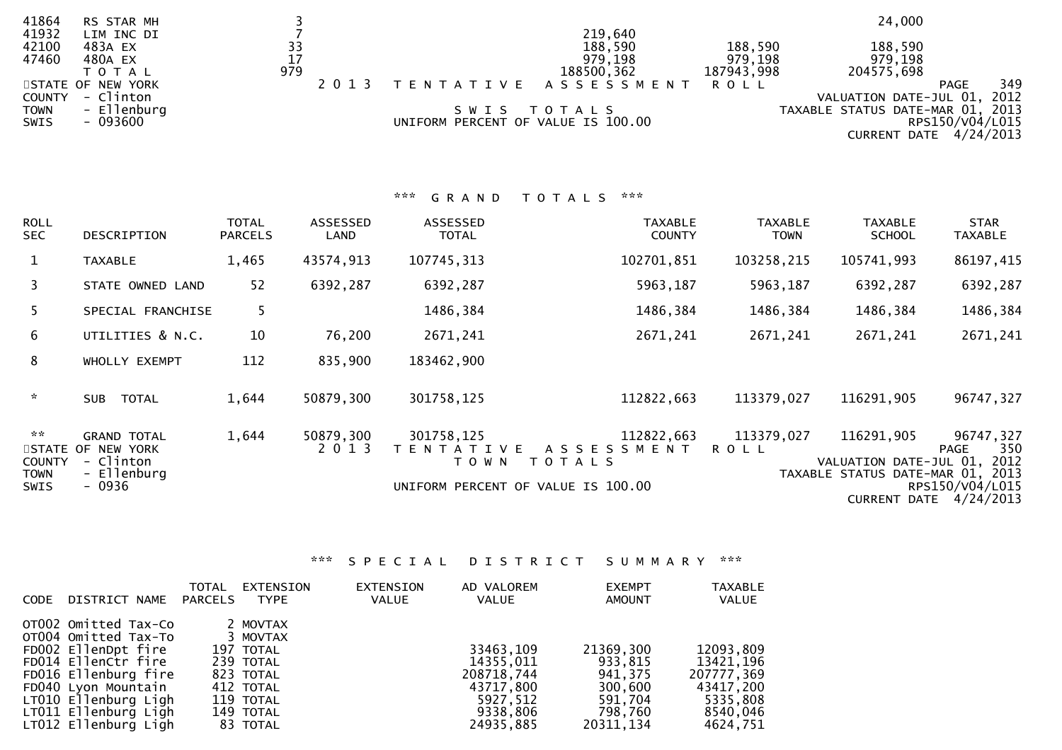| 41864       | RS STAR MH        |     |                                    |                      |            | 24,000                           |                 |     |
|-------------|-------------------|-----|------------------------------------|----------------------|------------|----------------------------------|-----------------|-----|
| 41932       | LIM INC DI        |     |                                    | 219,640              |            |                                  |                 |     |
| 42100       | 483A EX           | 33  |                                    | 188,590              | 188,590    | 188,590                          |                 |     |
| 47460       | 480A EX           | 17  |                                    | 979,198              | 979,198    | 979,198                          |                 |     |
|             | T O T A L         | 979 |                                    | 188500,362           | 187943,998 | 204575,698                       |                 |     |
|             | STATE OF NEW YORK |     |                                    | TENTATIVE ASSESSMENT | R O L L    |                                  | PAGE            | 349 |
| COUNTY      | - Clinton         |     |                                    |                      |            | VALUATION DATE-JUL 01, 2012      |                 |     |
| <b>TOWN</b> | - Ellenburg       |     | SWIS TOTALS                        |                      |            | TAXABLE STATUS DATE-MAR 01, 2013 |                 |     |
| SWIS        | $-093600$         |     | UNIFORM PERCENT OF VALUE IS 100.00 |                      |            |                                  | RPS150/V04/L015 |     |
|             |                   |     |                                    |                      |            | CURRENT DATE 4/24/2013           |                 |     |
|             |                   |     |                                    |                      |            |                                  |                 |     |

|                                                       |                                                                               |                         |                      | ***<br>GRAND                               | $\mathbf{x} \times \mathbf{x}$<br>T O T A L S                                          |                               |                                                                               |                                                                       |
|-------------------------------------------------------|-------------------------------------------------------------------------------|-------------------------|----------------------|--------------------------------------------|----------------------------------------------------------------------------------------|-------------------------------|-------------------------------------------------------------------------------|-----------------------------------------------------------------------|
| <b>ROLL</b><br><b>SEC</b>                             | DESCRIPTION                                                                   | TOTAL<br><b>PARCELS</b> | ASSESSED<br>LAND     | ASSESSED<br><b>TOTAL</b>                   | <b>TAXABLE</b><br><b>COUNTY</b>                                                        | <b>TAXABLE</b><br><b>TOWN</b> | <b>TAXABLE</b><br><b>SCHOOL</b>                                               | <b>STAR</b><br><b>TAXABLE</b>                                         |
| $\mathbf{1}$                                          | <b>TAXABLE</b>                                                                | 1,465                   | 43574,913            | 107745, 313                                | 102701,851                                                                             | 103258,215                    | 105741,993                                                                    | 86197,415                                                             |
| $\mathbf{3}$                                          | STATE OWNED LAND                                                              | 52                      | 6392,287             | 6392,287                                   | 5963,187                                                                               | 5963,187                      | 6392,287                                                                      | 6392,287                                                              |
| 5                                                     | SPECIAL FRANCHISE                                                             | 5                       |                      | 1486,384                                   | 1486,384                                                                               | 1486,384                      | 1486,384                                                                      | 1486,384                                                              |
| $6\overline{6}$                                       | UTILITIES & N.C.                                                              | 10                      | 76,200               | 2671,241                                   | 2671,241                                                                               | 2671,241                      | 2671,241                                                                      | 2671,241                                                              |
| 8                                                     | WHOLLY EXEMPT                                                                 | 112                     | 835,900              | 183462,900                                 |                                                                                        |                               |                                                                               |                                                                       |
| $\sim$                                                | <b>TOTAL</b><br><b>SUB</b>                                                    | 1,644                   | 50879,300            | 301758,125                                 | 112822,663                                                                             | 113379,027                    | 116291,905                                                                    | 96747,327                                                             |
| $\sim$ $\sim$<br><b>COUNTY</b><br>TOWN<br><b>SWIS</b> | <b>GRAND TOTAL</b><br>STATE OF NEW YORK<br>- Clinton<br>- Ellenburg<br>- 0936 | 1,644                   | 50879,300<br>2 0 1 3 | 301758,125<br>T E N T A T I V E<br>T O W N | 112822,663<br>A S S E S S M E N T<br>T O T A L S<br>UNIFORM PERCENT OF VALUE IS 100.00 | 113379,027<br><b>ROLL</b>     | 116291,905<br>VALUATION DATE-JUL 01, 2012<br>TAXABLE STATUS DATE-MAR 01, 2013 | 96747,327<br>350<br>PAGE<br>RPS150/V04/L015<br>CURRENT DATE 4/24/2013 |

\*\*\* S P E C I A L D I S T R I C T S U M M A R Y \*\*\*

| <b>CODE</b> | DISTRICT NAME                                                                                                                                                                                                     | TOTAL<br>PARCELS | EXTENSION<br>TYPE                                                                                              | EXTENSION<br><b>VALUE</b> | AD VALOREM<br>VALUE                                                                    | <b>EXEMPT</b><br><b>AMOUNT</b>                                                 | <b>TAXABLE</b><br><b>VALUE</b>                                                         |
|-------------|-------------------------------------------------------------------------------------------------------------------------------------------------------------------------------------------------------------------|------------------|----------------------------------------------------------------------------------------------------------------|---------------------------|----------------------------------------------------------------------------------------|--------------------------------------------------------------------------------|----------------------------------------------------------------------------------------|
|             | OTO02 Omitted Tax-Co<br>OT004 Omitted Tax-To<br>FD002 EllenDpt fire<br>FD014 EllenCtr fire<br>FD016 Ellenburg fire<br>FD040 Lyon Mountain<br>LT010 Ellenburg Ligh<br>LT011 Ellenburg Ligh<br>LT012 Ellenburg Ligh |                  | 2 MOVTAX<br>3 MOVTAX<br>197 TOTAL<br>239 TOTAL<br>823 TOTAL<br>412 TOTAL<br>119 TOTAL<br>149 TOTAL<br>83 TOTAL |                           | 33463,109<br>14355,011<br>208718,744<br>43717,800<br>5927,512<br>9338,806<br>24935,885 | 21369,300<br>933,815<br>941,375<br>300,600<br>591,704<br>798,760<br>20311, 134 | 12093,809<br>13421, 196<br>207777,369<br>43417,200<br>5335,808<br>8540,046<br>4624,751 |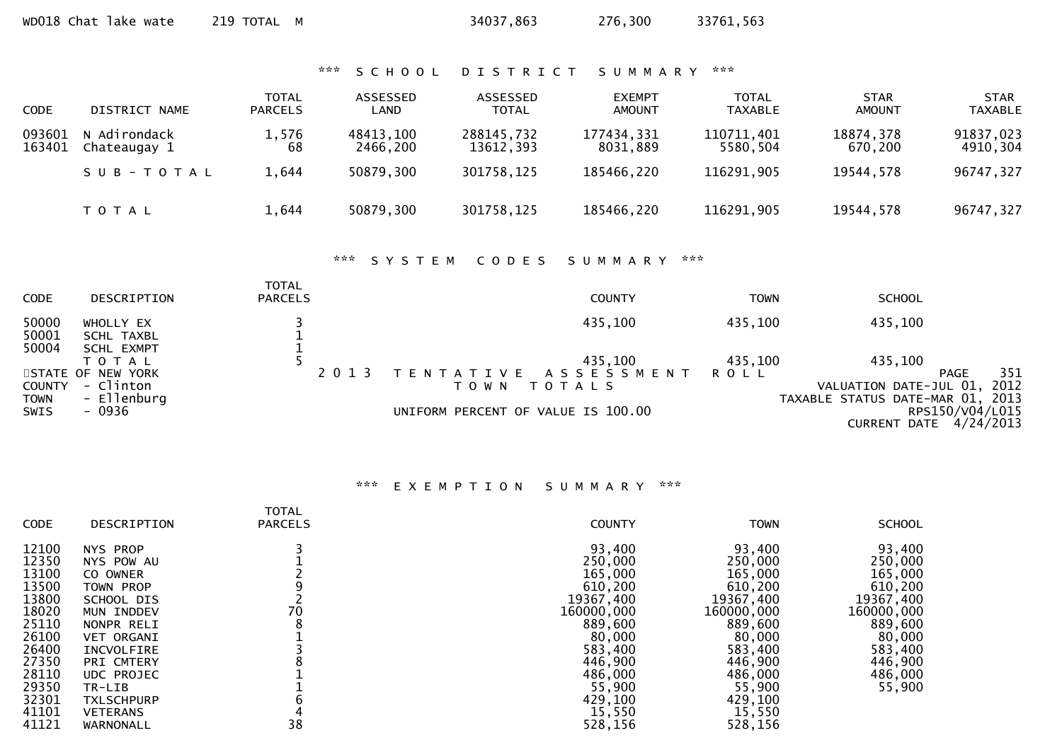\*\*\* S C H O O L D I S T R I C T S U M M A R Y \*\*\*

| <b>CODE</b>      | DISTRICT NAME                | <b>TOTAL</b><br><b>PARCELS</b> | ASSESSED<br><b>LAND</b> | ASSESSED<br><b>TOTAL</b> | <b>EXEMPT</b><br><b>AMOUNT</b> | <b>TOTAL</b><br><b>TAXABLE</b> | <b>STAR</b><br><b>AMOUNT</b> | STAR<br><b>TAXABLE</b> |
|------------------|------------------------------|--------------------------------|-------------------------|--------------------------|--------------------------------|--------------------------------|------------------------------|------------------------|
| 093601<br>163401 | N Adirondack<br>Chateaugay 1 | 1,576<br>68                    | 48413,100<br>2466.200   | 288145,732<br>13612.393  | 177434,331<br>8031.889         | 110711,401<br>5580.504         | 18874,378<br>670.200         | 91837,023<br>4910,304  |
|                  | SUB-TOTAL                    | 1.644                          | 50879,300               | 301758,125               | 185466,220                     | 116291,905                     | 19544,578                    | 96747,327              |
|                  | T O T A L                    | 1,644                          | 50879,300               | 301758,125               | 185466,220                     | 116291,905                     | 19544,578                    | 96747,327              |

# \*\*\* S Y S T E M C O D E S S U M M A R Y \*\*\*

| <b>CODE</b>    | DESCRIPTION             | <b>TOTAL</b><br><b>PARCELS</b> |         |                                    | <b>COUNTY</b>       | TOWN    | <b>SCHOOL</b>                    |      |
|----------------|-------------------------|--------------------------------|---------|------------------------------------|---------------------|---------|----------------------------------|------|
| 50000<br>50001 | WHOLLY EX<br>SCHL TAXBL |                                |         |                                    | 435,100             | 435,100 | 435,100                          |      |
| 50004          | <b>SCHL EXMPT</b>       |                                |         |                                    |                     |         |                                  |      |
|                | T O T A L               |                                |         |                                    | 435,100             | 435,100 | 435,100                          |      |
|                | STATE OF NEW YORK       |                                | 2 0 1 3 | T E N T A T I V E                  | A S S E S S M E N T | ROLL    | <b>PAGE</b>                      | 351  |
| <b>COUNTY</b>  | - Clinton               |                                |         | T O W N                            | T O T A L S         |         | VALUATION DATE-JUL 01,           | 2012 |
| <b>TOWN</b>    | - Ellenburg             |                                |         |                                    |                     |         | TAXABLE STATUS DATE-MAR 01, 2013 |      |
| SWIS           | - 0936                  |                                |         | UNIFORM PERCENT OF VALUE IS 100.00 |                     |         | RPS150/V04/L015                  |      |
|                |                         |                                |         |                                    |                     |         | CURRENT DATE 4/24/2013           |      |

## \*\*\* E X E M P T I O N S U M M A R Y \*\*\*

|             |                   | <b>TOTAL</b>   |               |             |               |
|-------------|-------------------|----------------|---------------|-------------|---------------|
| <b>CODE</b> | DESCRIPTION       | <b>PARCELS</b> | <b>COUNTY</b> | <b>TOWN</b> | <b>SCHOOL</b> |
| 12100       | NYS PROP          |                | 93,400        | 93,400      | 93,400        |
| 12350       | NYS POW AU        |                | 250,000       | 250,000     | 250,000       |
| 13100       | CO OWNER          |                | 165,000       | 165,000     | 165,000       |
| 13500       | TOWN PROP         |                | 610,200       | 610,200     | 610,200       |
| 13800       | SCHOOL DIS        |                | 19367,400     | 19367,400   | 19367,400     |
| 18020       | MUN INDDEV        | 70             | 160000,000    | 160000,000  | 160000,000    |
| 25110       | NONPR RELI        |                | 889,600       | 889,600     | 889,600       |
| 26100       | <b>VET ORGANI</b> |                | 80,000        | 80,000      | 80,000        |
| 26400       | <b>INCVOLFIRE</b> |                | 583,400       | 583,400     | 583,400       |
| 27350       | PRI CMTERY        |                | 446,900       | 446,900     | 446,900       |
| 28110       | <b>UDC PROJEC</b> |                | 486,000       | 486,000     | 486,000       |
| 29350       | TR-LIB            |                | 55,900        | 55,900      | 55,900        |
| 32301       | <b>TXLSCHPURP</b> |                | 429,100       | 429,100     |               |
| 41101       | <b>VETERANS</b>   |                | 15,550        | 15,550      |               |
| 41121       | WARNONALL         | 38             | 528,156       | 528,156     |               |
|             |                   |                |               |             |               |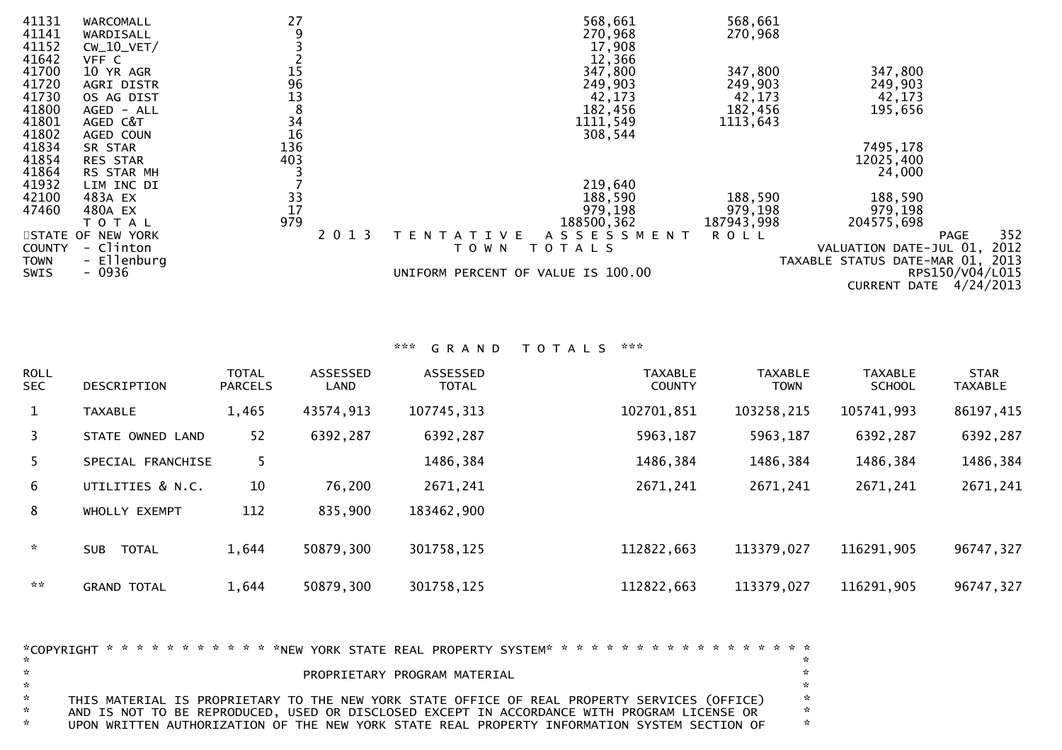| 41131<br>41141<br>41152<br>41642 | WARCOMALL<br>WARDISALL<br>$CW_10_VET/$<br>VFF C | 27<br>9                                 |         |                                    | 568,661<br>270,968<br>17,908<br>12,366 | 568,661<br>270,968 |                                  |                 |
|----------------------------------|-------------------------------------------------|-----------------------------------------|---------|------------------------------------|----------------------------------------|--------------------|----------------------------------|-----------------|
| 41700                            | 10 YR AGR                                       |                                         |         |                                    | 347,800                                | 347,800            | 347,800                          |                 |
| 41720                            | AGRI DISTR                                      |                                         |         |                                    | 249,903                                | 249,903            | 249,903                          |                 |
| 41730                            | OS AG DIST                                      | 15<br>96<br>13<br>8                     |         |                                    | 42,173                                 | 42,173             | 42,173                           |                 |
| 41800                            | AGED - ALL                                      |                                         |         |                                    | 182,456                                | 182,456            | 195,656                          |                 |
| 41801                            | AGED C&T                                        | 34                                      |         |                                    | 1111,549                               | 1113,643           |                                  |                 |
| 41802                            | AGED COUN                                       | 16                                      |         |                                    | 308,544                                |                    |                                  |                 |
| 41834                            | SR STAR                                         | 136                                     |         |                                    |                                        |                    | 7495,178                         |                 |
| 41854                            | <b>RES STAR</b>                                 | 403                                     |         |                                    |                                        |                    | 12025,400                        |                 |
| 41864                            | RS STAR MH                                      |                                         |         |                                    |                                        |                    | 24,000                           |                 |
| 41932                            | LIM INC DI                                      |                                         |         |                                    | 219,640                                |                    |                                  |                 |
| 42100                            | 483A EX                                         | $\begin{array}{c} 33 \\ 17 \end{array}$ |         |                                    | 188,590                                | 188,590            | 188,590                          |                 |
| 47460                            | 480A EX                                         |                                         |         |                                    | 979,198                                | 979,198            | 979,198                          |                 |
|                                  | TOTAL                                           | 979                                     |         |                                    | 188500, 362                            | 187943,998         | 204575,698                       |                 |
|                                  | STATE OF NEW YORK                               |                                         | 2 0 1 3 | IVE<br>EN<br>A                     | A S S E S S M E N T                    | <b>ROLL</b>        |                                  | 352<br>PAGE     |
| <b>COUNTY</b>                    | - Clinton                                       |                                         |         | T O W N                            | TOTALS                                 |                    | VALUATION DATE-JUL 01,           | 2012            |
| <b>TOWN</b>                      | - Ellenburg                                     |                                         |         |                                    |                                        |                    | TAXABLE STATUS DATE-MAR 01, 2013 |                 |
| <b>SWIS</b>                      | $-0936$                                         |                                         |         | UNIFORM PERCENT OF VALUE IS 100.00 |                                        |                    |                                  | RPS150/V04/L015 |
|                                  |                                                 |                                         |         |                                    |                                        |                    | CURRENT DATE                     | 4/24/2013       |

\*\*\* G R A N D T O T A L S \*\*\*

| <b>ROLL</b><br><b>SEC</b> | DESCRIPTION                | <b>TOTAL</b><br><b>PARCELS</b> | <b>ASSESSED</b><br>LAND | ASSESSED<br><b>TOTAL</b> | <b>TAXABLE</b><br><b>COUNTY</b> | <b>TAXABLE</b><br><b>TOWN</b> | <b>TAXABLE</b><br><b>SCHOOL</b> | <b>STAR</b><br><b>TAXABLE</b> |
|---------------------------|----------------------------|--------------------------------|-------------------------|--------------------------|---------------------------------|-------------------------------|---------------------------------|-------------------------------|
| $\mathbf{1}$              | <b>TAXABLE</b>             | 1,465                          | 43574,913               | 107745, 313              | 102701,851                      | 103258,215                    | 105741,993                      | 86197,415                     |
| 3                         | STATE OWNED LAND           | 52                             | 6392,287                | 6392,287                 | 5963,187                        | 5963,187                      | 6392,287                        | 6392,287                      |
| 5.                        | SPECIAL FRANCHISE          | 5                              |                         | 1486,384                 | 1486,384                        | 1486,384                      | 1486,384                        | 1486,384                      |
| 6                         | UTILITIES & N.C.           | 10                             | 76,200                  | 2671,241                 | 2671,241                        | 2671,241                      | 2671,241                        | 2671,241                      |
| 8                         | WHOLLY EXEMPT              | 112                            | 835,900                 | 183462,900               |                                 |                               |                                 |                               |
| $\sim$                    | <b>TOTAL</b><br><b>SUB</b> | 1,644                          | 50879,300               | 301758,125               | 112822,663                      | 113379,027                    | 116291,905                      | 96747,327                     |
| $\sim$ $\times$           | <b>GRAND TOTAL</b>         | 1,644                          | 50879,300               | 301758,125               | 112822,663                      | 113379,027                    | 116291,905                      | 96747,327                     |

| $\sim$        |                                                                                              | <b>Section</b> |
|---------------|----------------------------------------------------------------------------------------------|----------------|
|               |                                                                                              |                |
| $\sim$        | PROPRIETARY PROGRAM MATERIAL                                                                 | *              |
| $\mathbf{x}$  |                                                                                              | a ser          |
| $\sim$        | THIS MATERIAL IS PROPRIETARY TO THE NEW YORK STATE OFFICE OF REAL PROPERTY SERVICES (OFFICE) | $\mathbb{R}^n$ |
| $\sim$        | AND IS NOT TO BE REPRODUCED, USED OR DISCLOSED EXCEPT IN ACCORDANCE WITH PROGRAM LICENSE OR  | <b>X</b>       |
| $\mathcal{R}$ | UPON WRITTEN AUTHORIZATION OF THE NEW YORK STATE REAL PROPERTY INFORMATION SYSTEM SECTION OF | <b>X</b>       |